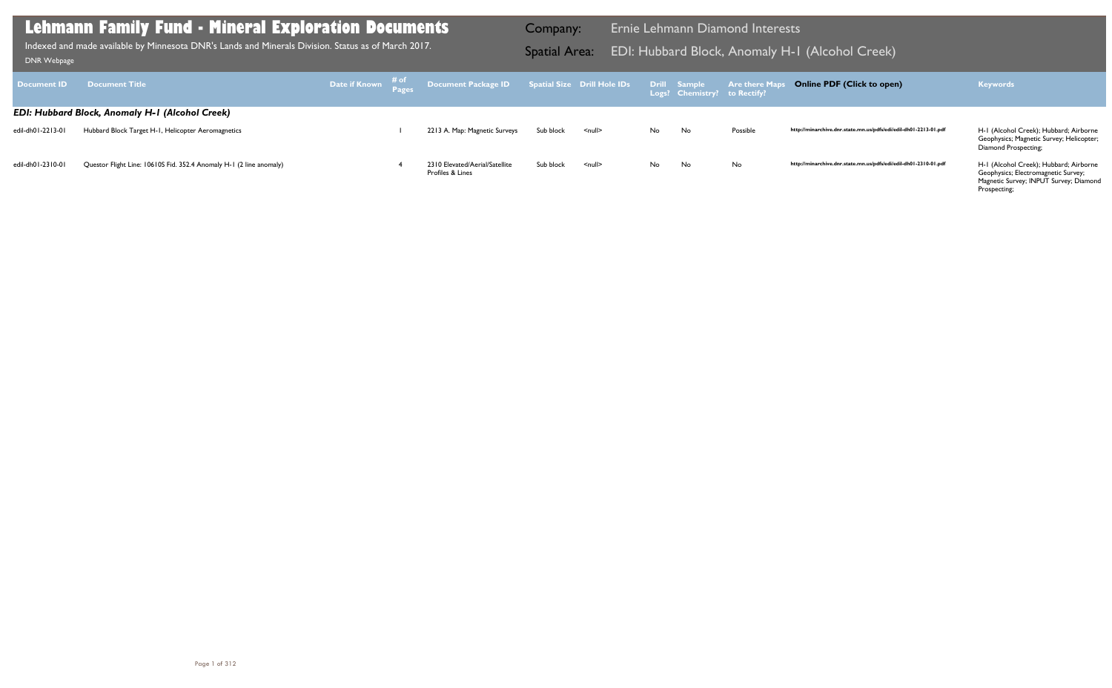Geophysics; Magnetic Survey; Helicopter; Diamond Prospecting;

| DNR Webpage        | <b>Lehmann Family Fund - Mineral Exploration Documents</b><br>Indexed and made available by Minnesota DNR's Lands and Minerals Division. Status as of March 2017. |                          |                                                    | Company:<br><b>Spatial Area:</b>   |                    |     |                                                     | Ernie Lehmann Diamond Interests<br><b>EDI: Hubbard Block, Anomaly H-1</b> |      |
|--------------------|-------------------------------------------------------------------------------------------------------------------------------------------------------------------|--------------------------|----------------------------------------------------|------------------------------------|--------------------|-----|-----------------------------------------------------|---------------------------------------------------------------------------|------|
| <b>Document ID</b> | <b>Document Title</b>                                                                                                                                             | Date if Known # of Pages | <b>Document Package ID</b>                         | <b>Spatial Size Drill Hole IDs</b> |                    |     | <b>Drill Sample</b><br>Logs? Chemistry? to Rectify? | <b>Are there Maps C</b>                                                   |      |
|                    | <b>EDI: Hubbard Block, Anomaly H-1 (Alcohol Creek)</b>                                                                                                            |                          |                                                    |                                    |                    |     |                                                     |                                                                           |      |
| edil-dh01-2213-01  | Hubbard Block Target H-1, Helicopter Aeromagnetics                                                                                                                |                          | 2213 A. Map: Magnetic Surveys                      | Sub block                          | $\leq$ null $\geq$ | No. | No                                                  | Possible                                                                  | http |
| edil-dh01-2310-01  | Questor Flight Line: 10610S Fid. 352.4 Anomaly H-1 (2 line anomaly)                                                                                               |                          | 2310 Elevated/Aerial/Satellite<br>Profiles & Lines | Sub block                          | $\leq$ null $\geq$ | No. | No                                                  | <b>No</b>                                                                 | http |

Geophysics; Electromagnetic Survey; Magnetic Survey; INPUT Survey; Diamond Prospecting;

# H-I (Alcohol Creek)

### **Online PDF (Click to open) Keywords**

http://minarchive.dnr.state.mn.us/pdfs/edi/edil-dh01-2213-01.pdf

http://minarchive.dnr.state.mn.us/pdfs/edi/edil-dh01-2310-01.pdf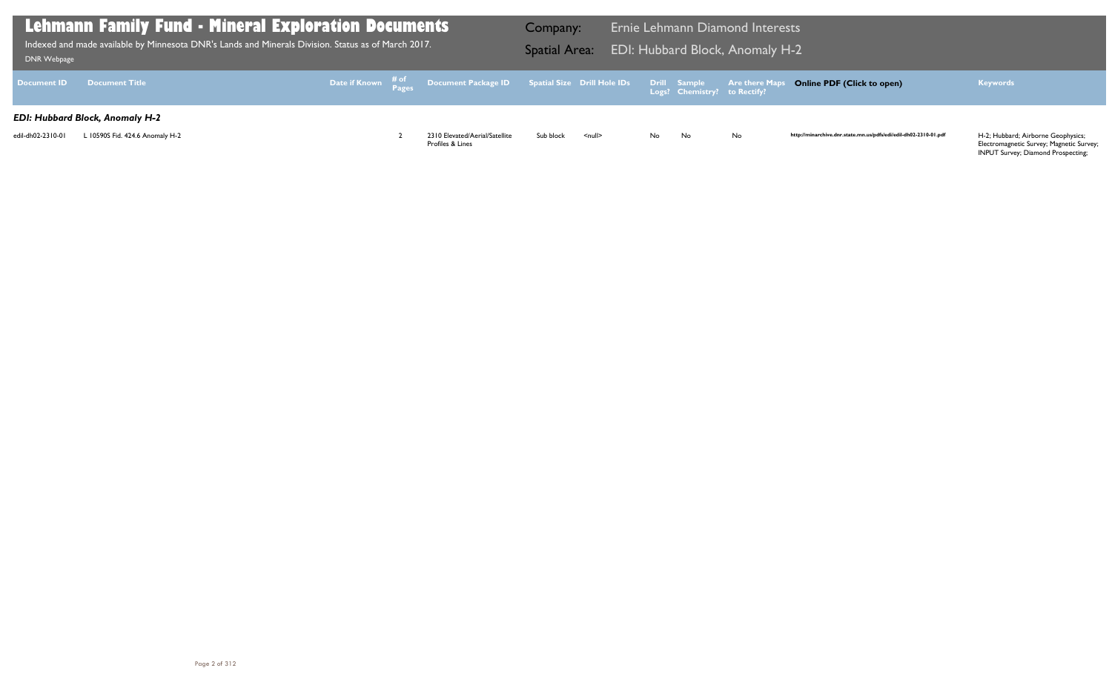| DNR Webpage        | <b>Lehmann Family Fund - Mineral Exploration Documents</b><br>Indexed and made available by Minnesota DNR's Lands and Minerals Division. Status as of March 2017. |  |                                                                                                     | Company:<br><b>Spatial Area:</b> |                    |     |                                              | Ernie Lehmann Diamond Interests<br><b>EDI: Hubbard Block, Anomaly H-2</b> |      |
|--------------------|-------------------------------------------------------------------------------------------------------------------------------------------------------------------|--|-----------------------------------------------------------------------------------------------------|----------------------------------|--------------------|-----|----------------------------------------------|---------------------------------------------------------------------------|------|
| <b>Document ID</b> | <b>Document Title</b>                                                                                                                                             |  | Date if Known $\frac{\text{\# of}}{\text{\# ages}}$ Document Package ID Spatial Size Drill Hole IDs |                                  |                    |     | Drill Sample<br>Logs? Chemistry? to Rectify? | <b>Are there Maps O</b>                                                   |      |
|                    | <b>EDI: Hubbard Block, Anomaly H-2</b>                                                                                                                            |  |                                                                                                     |                                  |                    |     |                                              |                                                                           |      |
| edil-dh02-2310-01  | L 10590S Fid. 424.6 Anomaly H-2                                                                                                                                   |  | 2310 Elevated/Aerial/Satellite<br>Profiles & Lines                                                  | Sub block                        | $\leq$ null $\geq$ | No. | No                                           | No                                                                        | http |

## **Online PDF (Click to open) Keywords**

http://minarchive.dnr.state.mn.us/pdfs/edi/edil-dh02-2310-01.pdf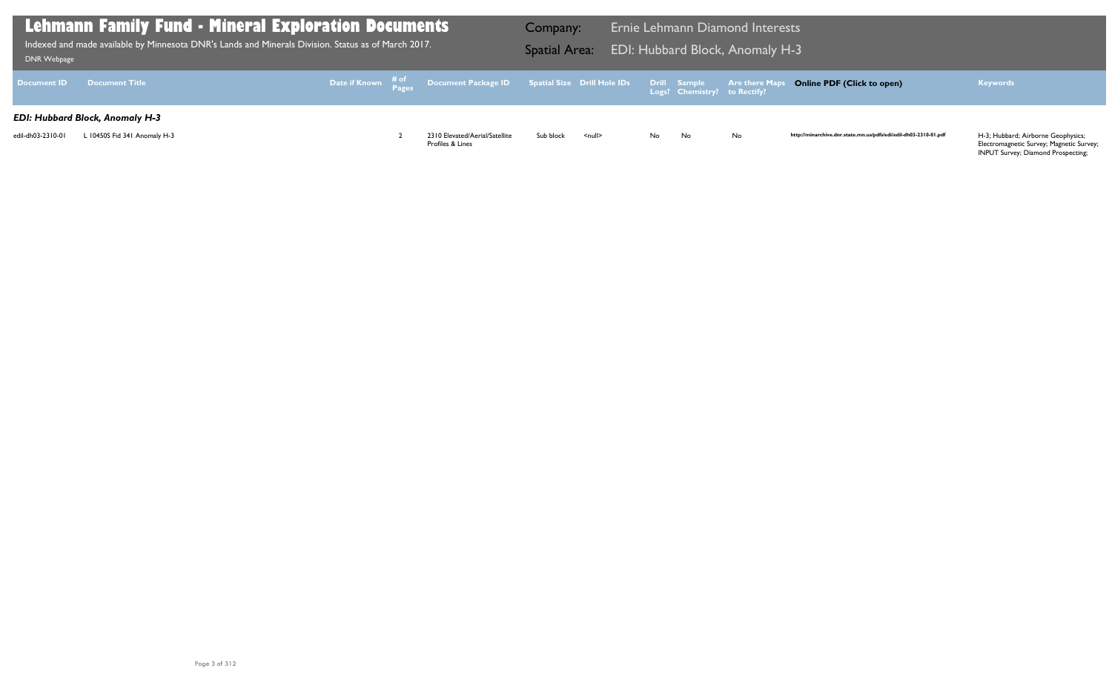| DNR Webpage        | <b>Lehmann Family Fund - Mineral Exploration Documents</b><br>Indexed and made available by Minnesota DNR's Lands and Minerals Division. Status as of March 2017. |  |                                                                                                     | Company:<br><b>Spatial Area:</b> |                    |     |                                              | Ernie Lehmann Diamond Interests<br><b>EDI: Hubbard Block, Anomaly H-3</b> |      |
|--------------------|-------------------------------------------------------------------------------------------------------------------------------------------------------------------|--|-----------------------------------------------------------------------------------------------------|----------------------------------|--------------------|-----|----------------------------------------------|---------------------------------------------------------------------------|------|
| <b>Document ID</b> | <b>Document Title</b>                                                                                                                                             |  | Date if Known $\frac{\text{\# of}}{\text{\# ages}}$ Document Package ID Spatial Size Drill Hole IDs |                                  |                    |     | Drill Sample<br>Logs? Chemistry? to Rectify? | <b>Are there Maps O</b>                                                   |      |
|                    | <b>EDI: Hubbard Block, Anomaly H-3</b>                                                                                                                            |  |                                                                                                     |                                  |                    |     |                                              |                                                                           |      |
| edil-dh03-2310-01  | L 10450S Fid 341 Anomaly H-3                                                                                                                                      |  | 2310 Elevated/Aerial/Satellite<br>Profiles & Lines                                                  | Sub block                        | $\leq$ null $\geq$ | No. | No                                           | No                                                                        | http |

## **Online PDF (Click to open) Keywords**

http://minarchive.dnr.state.mn.us/pdfs/edi/edil-dh03-2310-01.pdf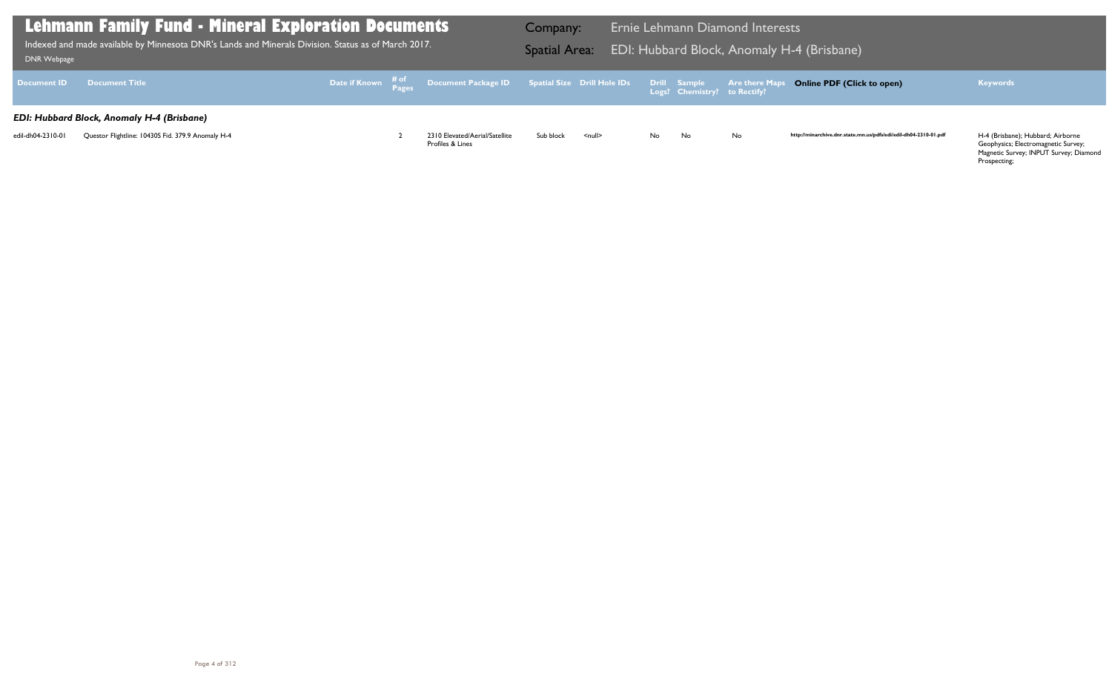| DNR Webpage        | <b>Lehmann Family Fund - Mineral Exploration Documents</b><br>Indexed and made available by Minnesota DNR's Lands and Minerals Division. Status as of March 2017. |  |                                                                                                           | Company:<br><b>Spatial Area:</b> |               |    |                              | Ernie Lehmann Diamond Interests | EDI: Hubbard Block, Anomaly H-4 (Brisbane) |
|--------------------|-------------------------------------------------------------------------------------------------------------------------------------------------------------------|--|-----------------------------------------------------------------------------------------------------------|----------------------------------|---------------|----|------------------------------|---------------------------------|--------------------------------------------|
| <b>Document ID</b> | <b>Document Title</b>                                                                                                                                             |  | Date if Known <sup># of</sup> Document Package ID Spatial Size Drill Hole IDs Drill Sample Are there Maps |                                  |               |    | Logs? Chemistry? to Rectify? |                                 | <b>Online PDF (Clic</b>                    |
|                    | <b>EDI: Hubbard Block, Anomaly H-4 (Brisbane)</b>                                                                                                                 |  |                                                                                                           |                                  |               |    |                              |                                 |                                            |
| edil-dh04-2310-01  | Questor Flightline: 10430S Fid. 379.9 Anomaly H-4                                                                                                                 |  | 2310 Elevated/Aerial/Satellite<br>Profiles & Lines                                                        | Sub block                        | <null></null> | No | No                           | No                              | http://minarchive.dnr.state.m              |

## **Online PDF (Click to open) Keywords**

http://minarchive.dnr.state.mn.us/pdfs/edi/edil-dh04-2310-01.pdf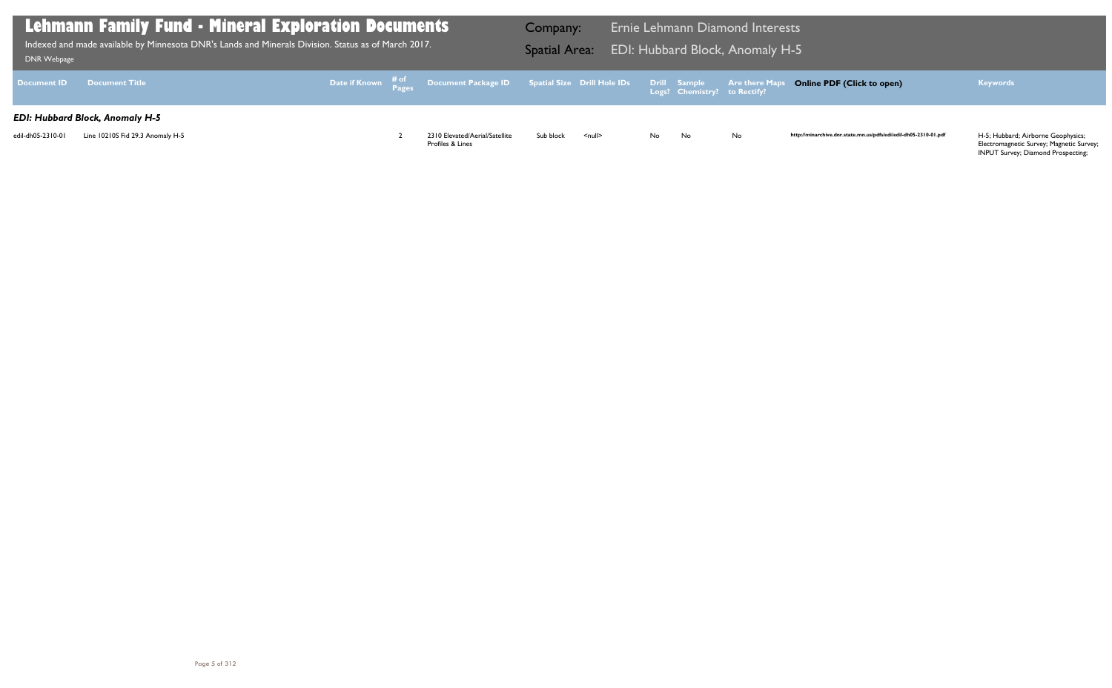| DNR Webpage        | <b>Lehmann Family Fund - Mineral Exploration Documents</b><br>Indexed and made available by Minnesota DNR's Lands and Minerals Division. Status as of March 2017. |  |                                                                                                                | Company:<br><b>Spatial Area:</b> |                    |           |                              | Ernie Lehmann Diamond Interests<br><b>EDI: Hubbard Block, Anomaly H-5</b> |      |
|--------------------|-------------------------------------------------------------------------------------------------------------------------------------------------------------------|--|----------------------------------------------------------------------------------------------------------------|----------------------------------|--------------------|-----------|------------------------------|---------------------------------------------------------------------------|------|
| <b>Document ID</b> | <b>Document Title</b>                                                                                                                                             |  | Date if Known $\frac{\text{\# of}}{\text{Pages}}$ Document Package ID Spatial Size Drill Hole IDs Drill Sample |                                  |                    |           | Logs? Chemistry? to Rectify? | <b>Are there Maps O</b>                                                   |      |
|                    | <b>EDI: Hubbard Block, Anomaly H-5</b>                                                                                                                            |  |                                                                                                                |                                  |                    |           |                              |                                                                           |      |
| edil-dh05-2310-01  | Line 10210S Fid 29.3 Anomaly H-5                                                                                                                                  |  | 2310 Elevated/Aerial/Satellite<br>Profiles & Lines                                                             | Sub block                        | $\leq$ null $\geq$ | <b>No</b> | <b>No</b>                    | No                                                                        | http |

## **Online PDF (Click to open) Keywords**

http://minarchive.dnr.state.mn.us/pdfs/edi/edil-dh05-2310-01.pdf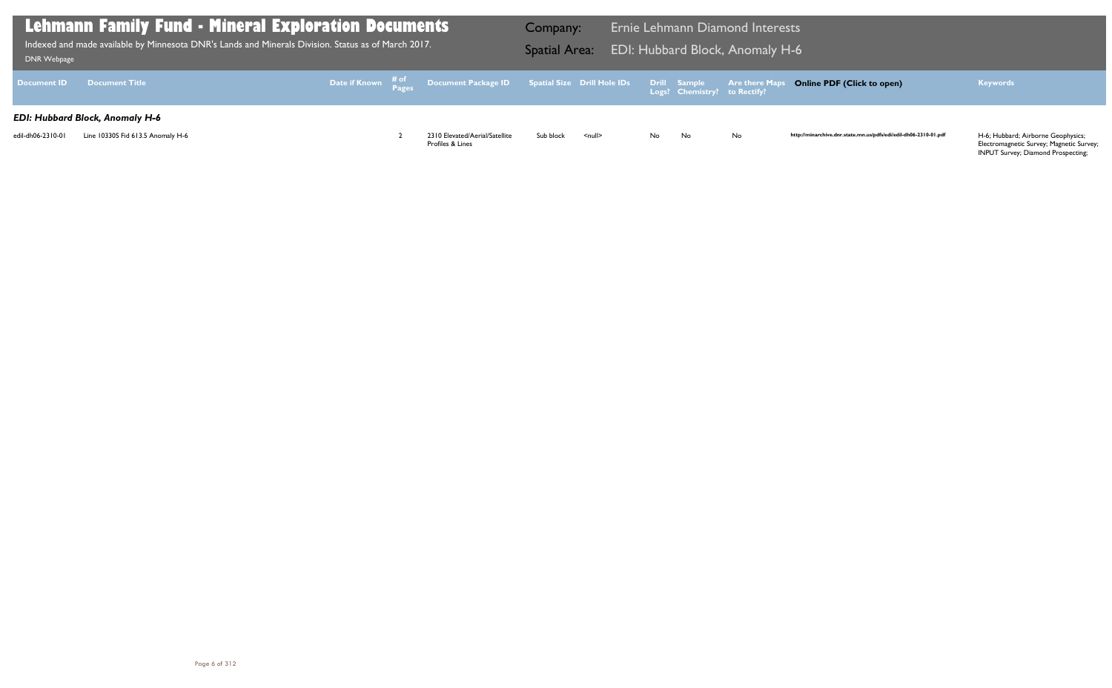| <b>DNR Webpage</b> | <b>Lehmann Family Fund - Mineral Exploration Documents</b><br>Indexed and made available by Minnesota DNR's Lands and Minerals Division. Status as of March 2017. |  |                                                                               | Company:<br><b>Spatial Area:</b> |                    |     |                                              | Ernie Lehmann Diamond Interests<br><b>EDI: Hubbard Block, Anomaly H-6</b> |      |
|--------------------|-------------------------------------------------------------------------------------------------------------------------------------------------------------------|--|-------------------------------------------------------------------------------|----------------------------------|--------------------|-----|----------------------------------------------|---------------------------------------------------------------------------|------|
| <b>Document ID</b> | <b>Document Title</b>                                                                                                                                             |  | Date if Known # <sup>of</sup> Document Package ID Spatial Size Drill Hole IDs |                                  |                    |     | Drill Sample<br>Logs? Chemistry? to Rectify? | <b>Are there Maps O</b>                                                   |      |
|                    | <b>EDI: Hubbard Block, Anomaly H-6</b>                                                                                                                            |  |                                                                               |                                  |                    |     |                                              |                                                                           |      |
| edil-dh06-2310-01  | Line 10330S Fid 613.5 Anomaly H-6                                                                                                                                 |  | 2310 Elevated/Aerial/Satellite<br>Profiles & Lines                            | Sub block                        | $\leq$ null $\geq$ | No. | <b>No</b>                                    | No                                                                        | http |

## **Online PDF (Click to open) Keywords**

http://minarchive.dnr.state.mn.us/pdfs/edi/edil-dh06-2310-01.pdf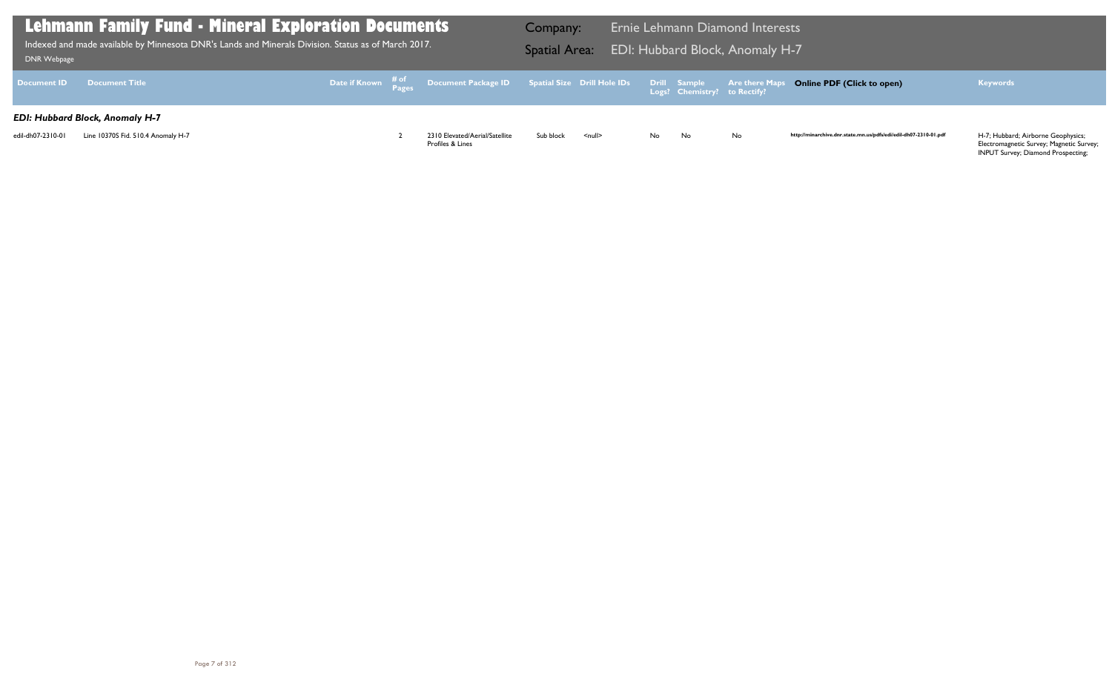| <b>DNR Webpage</b> | <b>Lehmann Family Fund - Mineral Exploration Documents</b><br>Indexed and made available by Minnesota DNR's Lands and Minerals Division. Status as of March 2017. |  |                                                                               | Company:<br><b>Spatial Area:</b> |                    |     |                                              | <b>Ernie Lehmann Diamond Interests</b><br><b>EDI: Hubbard Block, Anomaly H-7</b> |      |
|--------------------|-------------------------------------------------------------------------------------------------------------------------------------------------------------------|--|-------------------------------------------------------------------------------|----------------------------------|--------------------|-----|----------------------------------------------|----------------------------------------------------------------------------------|------|
| <b>Document ID</b> | <b>Document Title</b>                                                                                                                                             |  | Date if Known # <sup>of</sup> Document Package ID Spatial Size Drill Hole IDs |                                  |                    |     | Drill Sample<br>Logs? Chemistry? to Rectify? | <b>Are there Maps O</b>                                                          |      |
|                    | <b>EDI: Hubbard Block, Anomaly H-7</b>                                                                                                                            |  |                                                                               |                                  |                    |     |                                              |                                                                                  |      |
| edil-dh07-2310-01  | Line 10370S Fid. 510.4 Anomaly H-7                                                                                                                                |  | 2310 Elevated/Aerial/Satellite<br>Profiles & Lines                            | Sub block                        | $\leq$ null $\geq$ | No. | No                                           | No                                                                               | http |

## **Online PDF (Click to open) Keywords**

http://minarchive.dnr.state.mn.us/pdfs/edi/edil-dh07-2310-01.pdf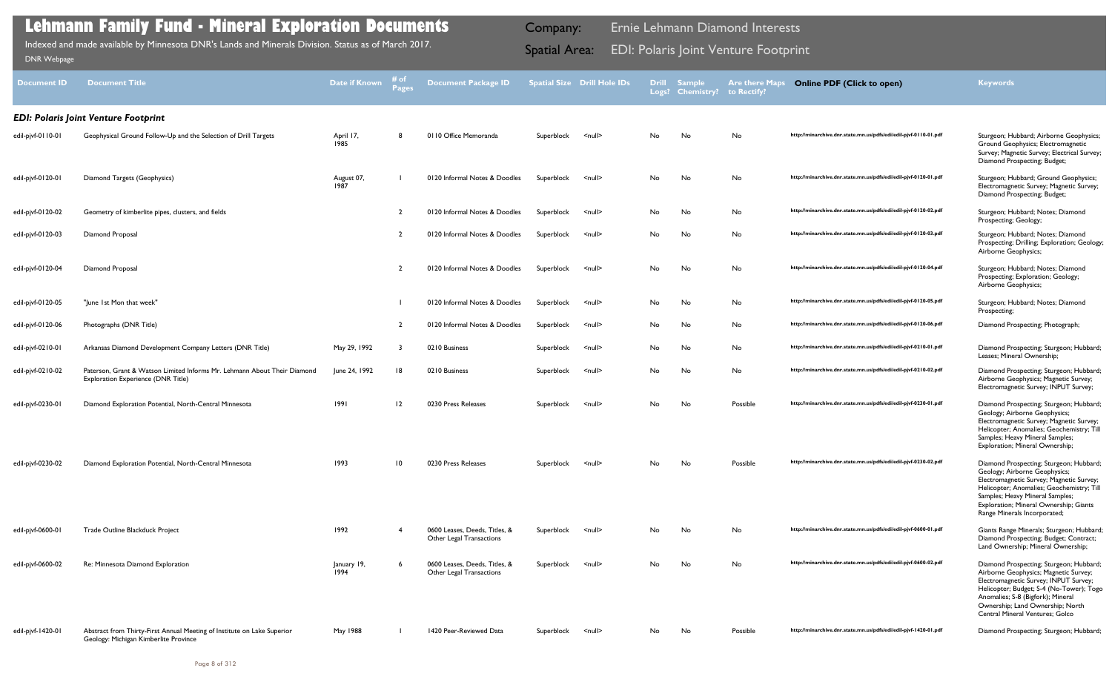| Document ID       | <b>Document Title</b>                                                                                            | Date if Known       | <b>Pages</b>   | <b>Document Package ID</b>                                |            | <b>Spatial Size Drill Hole IDs</b> | <b>Drill</b> | <b>Sample</b><br>Logs? Chemistry? | <b>Are there Maps</b><br>to Rectify? | <b>Online PDF (Click to open)</b>                                | <b>Keywords</b>                                                                                                                                                                                                                                                                   |
|-------------------|------------------------------------------------------------------------------------------------------------------|---------------------|----------------|-----------------------------------------------------------|------------|------------------------------------|--------------|-----------------------------------|--------------------------------------|------------------------------------------------------------------|-----------------------------------------------------------------------------------------------------------------------------------------------------------------------------------------------------------------------------------------------------------------------------------|
|                   | <b>EDI: Polaris Joint Venture Footprint</b>                                                                      |                     |                |                                                           |            |                                    |              |                                   |                                      |                                                                  |                                                                                                                                                                                                                                                                                   |
| edil-pjvf-0110-01 | Geophysical Ground Follow-Up and the Selection of Drill Targets                                                  | April 17,<br>1985   | 8              | 0110 Office Memoranda                                     | Superblock | <null></null>                      | No           | No                                | No                                   | http://minarchive.dnr.state.mn.us/pdfs/edi/edil-pjvf-0110-01.pdf | Sturgeon; Hubbard; Airborne Geophysics;<br>Ground Geophysics; Electromagnetic<br>Survey; Magnetic Survey; Electrical Survey;<br>Diamond Prospecting; Budget;                                                                                                                      |
| edil-pjvf-0120-01 | Diamond Targets (Geophysics)                                                                                     | August 07,<br>1987  |                | 0120 Informal Notes & Doodles                             | Superblock | $null$                             | No           | No                                | No                                   | http://minarchive.dnr.state.mn.us/pdfs/edi/edil-pjvf-0120-01.pdf | Sturgeon; Hubbard; Ground Geophysics;<br>Electromagnetic Survey; Magnetic Survey;<br>Diamond Prospecting; Budget;                                                                                                                                                                 |
| edil-pjvf-0120-02 | Geometry of kimberlite pipes, clusters, and fields                                                               |                     |                | 0120 Informal Notes & Doodles                             | Superblock | $null$                             | No           | No                                | No                                   | http://minarchive.dnr.state.mn.us/pdfs/edi/edil-pjvf-0120-02.pdf | Sturgeon; Hubbard; Notes; Diamond<br>Prospecting; Geology;                                                                                                                                                                                                                        |
| edil-pjvf-0120-03 | Diamond Proposal                                                                                                 |                     |                | 0120 Informal Notes & Doodles                             | Superblock | <null></null>                      | No.          | No                                | No                                   | http://minarchive.dnr.state.mn.us/pdfs/edi/edil-pjvf-0120-03.pdf | Sturgeon; Hubbard; Notes; Diamond<br>Prospecting; Drilling; Exploration; Geology;<br>Airborne Geophysics;                                                                                                                                                                         |
| edil-pjvf-0120-04 | Diamond Proposal                                                                                                 |                     |                | 0120 Informal Notes & Doodles                             | Superblock | <null></null>                      | No           | No                                | No                                   | http://minarchive.dnr.state.mn.us/pdfs/edi/edil-pjvf-0120-04.pdf | Sturgeon; Hubbard; Notes; Diamond<br>Prospecting; Exploration; Geology;<br>Airborne Geophysics;                                                                                                                                                                                   |
| edil-pjvf-0120-05 | "June 1st Mon that week"                                                                                         |                     |                | 0120 Informal Notes & Doodles                             | Superblock | <null></null>                      | No           | No                                | No                                   | http://minarchive.dnr.state.mn.us/pdfs/edi/edil-pjvf-0120-05.pdf | Sturgeon; Hubbard; Notes; Diamond<br>Prospecting;                                                                                                                                                                                                                                 |
| edil-pjvf-0120-06 | Photographs (DNR Title)                                                                                          |                     | $\overline{2}$ | 0120 Informal Notes & Doodles                             | Superblock | <null></null>                      | No           | No                                | No                                   | http://minarchive.dnr.state.mn.us/pdfs/edi/edil-pjvf-0120-06.pdf | Diamond Prospecting; Photograph;                                                                                                                                                                                                                                                  |
| edil-pjvf-0210-01 | Arkansas Diamond Development Company Letters (DNR Title)                                                         | May 29, 1992        |                | 0210 Business                                             | Superblock | <null></null>                      | No           | No                                | No                                   | http://minarchive.dnr.state.mn.us/pdfs/edi/edil-pjvf-0210-01.pdf | Diamond Prospecting; Sturgeon; Hubbard;<br>Leases; Mineral Ownership;                                                                                                                                                                                                             |
| edil-pjvf-0210-02 | Paterson, Grant & Watson Limited Informs Mr. Lehmann About Their Diamond<br>Exploration Experience (DNR Title)   | June 24, 1992       | 18             | 0210 Business                                             | Superblock | <null></null>                      | No.          | No                                | No                                   | http://minarchive.dnr.state.mn.us/pdfs/edi/edil-pjvf-0210-02.pdf | Diamond Prospecting; Sturgeon; Hubbard;<br>Airborne Geophysics; Magnetic Survey;<br>Electromagnetic Survey; INPUT Survey;                                                                                                                                                         |
| edil-pjvf-0230-01 | Diamond Exploration Potential, North-Central Minnesota                                                           | 1991                | 12             | 0230 Press Releases                                       | Superblock | $null$                             | No.          | No                                | Possible                             | http://minarchive.dnr.state.mn.us/pdfs/edi/edil-pjvf-0230-01.pdf | Diamond Prospecting; Sturgeon; Hubbard;<br>Geology; Airborne Geophysics;<br>Electromagnetic Survey; Magnetic Survey;<br>Helicopter; Anomalies; Geochemistry; Till<br>Samples; Heavy Mineral Samples;<br>Exploration; Mineral Ownership;                                           |
| edil-pjvf-0230-02 | Diamond Exploration Potential, North-Central Minnesota                                                           | 1993                | 10             | 0230 Press Releases                                       | Superblock | <null></null>                      | No           | No                                | Possible                             | http://minarchive.dnr.state.mn.us/pdfs/edi/edil-pjvf-0230-02.pdf | Diamond Prospecting; Sturgeon; Hubbard;<br>Geology; Airborne Geophysics;<br>Electromagnetic Survey; Magnetic Survey;<br>Helicopter; Anomalies; Geochemistry; Till<br>Samples; Heavy Mineral Samples;<br>Exploration; Mineral Ownership; Giants<br>Range Minerals Incorporated;    |
| edil-pjvf-0600-01 | Trade Outline Blackduck Project                                                                                  | 1992                |                | 0600 Leases, Deeds, Titles, &<br>Other Legal Transactions | Superblock | <null></null>                      | No           | No                                | No                                   | http://minarchive.dnr.state.mn.us/pdfs/edi/edil-pjvf-0600-01.pdf | Giants Range Minerals; Sturgeon; Hubbard;<br>Diamond Prospecting; Budget; Contract;<br>Land Ownership; Mineral Ownership;                                                                                                                                                         |
| edil-pjvf-0600-02 | Re: Minnesota Diamond Exploration                                                                                | January 19,<br>1994 | 6              | 0600 Leases, Deeds, Titles, &<br>Other Legal Transactions | Superblock | <null></null>                      | No           | No                                | No                                   | http://minarchive.dnr.state.mn.us/pdfs/edi/edil-pjvf-0600-02.pdf | Diamond Prospecting; Sturgeon; Hubbard;<br>Airborne Geophysics; Magnetic Survey;<br>Electromagnetic Survey; INPUT Survey;<br>Helicopter; Budget; S-4 (No-Tower); Togo<br>Anomalies; S-8 (Bigfork); Mineral<br>Ownership; Land Ownership; North<br>Central Mineral Ventures; Golco |
| edil-pjvf-1420-01 | Abstract from Thirty-First Annual Meeting of Institute on Lake Superior<br>Geology: Michigan Kimberlite Province | May 1988            |                | 1420 Peer-Reviewed Data                                   | Superblock | <null></null>                      | No           | No                                | Possible                             | http://minarchive.dnr.state.mn.us/pdfs/edi/edil-pjvf-1420-01.pdf | Diamond Prospecting; Sturgeon; Hubbard;                                                                                                                                                                                                                                           |

Indexed and made available by Minnesota DNR's Lands and Minerals Division. Status as of March 2017. **Indexed and Minerals Division Status and Minerals Division. Status as of March 2017.** Spatial Area: EDI: Polaris Joint Ve Indexed and made available by Minnesota DNR's Lands and Minerals Division. Status as of March 2017.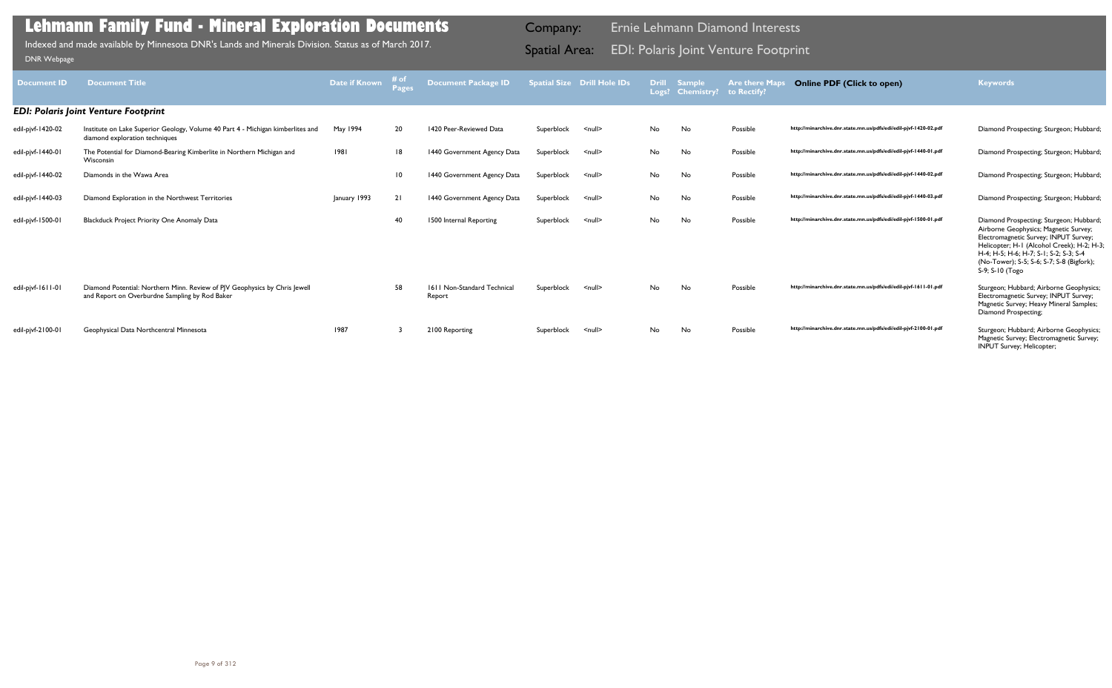| <b>Document ID</b> | <b>Document Title</b>                                                                                                        | Date if Known | # of<br>Pages   | <b>Document Package ID</b>            |            | <b>Spatial Size Drill Hole IDs</b> | <b>Drill</b> | <b>Sample</b><br>Logs? Chemistry? | <b>Are there Maps</b><br>to Rectify? | <b>Online PDF (Click to open)</b>                                | <b>Keywords</b>                                                                                                                                                                                                                                                                  |
|--------------------|------------------------------------------------------------------------------------------------------------------------------|---------------|-----------------|---------------------------------------|------------|------------------------------------|--------------|-----------------------------------|--------------------------------------|------------------------------------------------------------------|----------------------------------------------------------------------------------------------------------------------------------------------------------------------------------------------------------------------------------------------------------------------------------|
|                    | <b>EDI: Polaris Joint Venture Footprint</b>                                                                                  |               |                 |                                       |            |                                    |              |                                   |                                      |                                                                  |                                                                                                                                                                                                                                                                                  |
| edil-pjvf-1420-02  | Institute on Lake Superior Geology, Volume 40 Part 4 - Michigan kimberlites and<br>diamond exploration techniques            | May 1994      | 20              | 1420 Peer-Reviewed Data               | Superblock | $\leq$ null $\geq$                 | No           | No                                | Possible                             | http://minarchive.dnr.state.mn.us/pdfs/edi/edil-pjvf-1420-02.pdf | Diamond Prospecting; Sturgeon; Hubbard                                                                                                                                                                                                                                           |
| edil-pjvf-1440-01  | The Potential for Diamond-Bearing Kimberlite in Northern Michigan and<br>Wisconsin                                           | 1981          | 18              | 1440 Government Agency Data           | Superblock | <null></null>                      | No           | No                                | Possible                             | http://minarchive.dnr.state.mn.us/pdfs/edi/edil-pjvf-1440-01.pdf | Diamond Prospecting; Sturgeon; Hubbard                                                                                                                                                                                                                                           |
| edil-pjvf-1440-02  | Diamonds in the Wawa Area                                                                                                    |               | $\overline{10}$ | 1440 Government Agency Data           | Superblock | <null></null>                      | No           | No                                | Possible                             | http://minarchive.dnr.state.mn.us/pdfs/edi/edil-pjvf-1440-02.pdf | Diamond Prospecting; Sturgeon; Hubbard                                                                                                                                                                                                                                           |
| edil-pjvf-1440-03  | Diamond Exploration in the Northwest Territories                                                                             | January 1993  | 21              | 1440 Government Agency Data           | Superblock | <null></null>                      | No           | No                                | Possible                             | http://minarchive.dnr.state.mn.us/pdfs/edi/edil-pjvf-1440-03.pdf | Diamond Prospecting; Sturgeon; Hubbard                                                                                                                                                                                                                                           |
| edil-pjvf-1500-0   | <b>Blackduck Project Priority One Anomaly Data</b>                                                                           |               | 40              | 1500 Internal Reporting               | Superblock | <null></null>                      | No           | No                                | Possible                             | http://minarchive.dnr.state.mn.us/pdfs/edi/edil-pjvf-1500-01.pdf | Diamond Prospecting; Sturgeon; Hubbard<br>Airborne Geophysics; Magnetic Survey;<br>Electromagnetic Survey; INPUT Survey;<br>Helicopter; H-1 (Alcohol Creek); H-2; H-3;<br>H-4; H-5; H-6; H-7; S-1; S-2; S-3; S-4<br>(No-Tower); S-5; S-6; S-7; S-8 (Bigfork);<br>S-9; S-10 (Togo |
| edil-pjvf-1611-01  | Diamond Potential: Northern Minn. Review of PJV Geophysics by Chris Jewell<br>and Report on Overburdne Sampling by Rod Baker |               | 58              | 1611 Non-Standard Technical<br>Report | Superblock | <null></null>                      | No           | No                                | Possible                             | http://minarchive.dnr.state.mn.us/pdfs/edi/edil-pjvf-1611-01.pdf | Sturgeon; Hubbard; Airborne Geophysics;<br>Electromagnetic Survey; INPUT Survey;<br>Magnetic Survey; Heavy Mineral Samples;<br>Diamond Prospecting;                                                                                                                              |
| edil-pjvf-2100-01  | Geophysical Data Northcentral Minnesota                                                                                      | 1987          |                 | 2100 Reporting                        | Superblock | $\leq$ null $\geq$                 | No           | No                                | Possible                             | http://minarchive.dnr.state.mn.us/pdfs/edi/edil-pjvf-2100-01.pdf | Sturgeon; Hubbard; Airborne Geophysics;<br>Magnetic Survey; Electromagnetic Survey;<br><b>INPUT Survey; Helicopter;</b>                                                                                                                                                          |

Indexed and made available by Minnesota DNR's Lands and Minerals Division. Status as of March 2017. **Indexed and Area:** EDI: Polaris Joint Venture Footprint וDNR Webpage Indexed and made available by Minnesota DNR's Lands and Minerals Division. Status as of March 2017.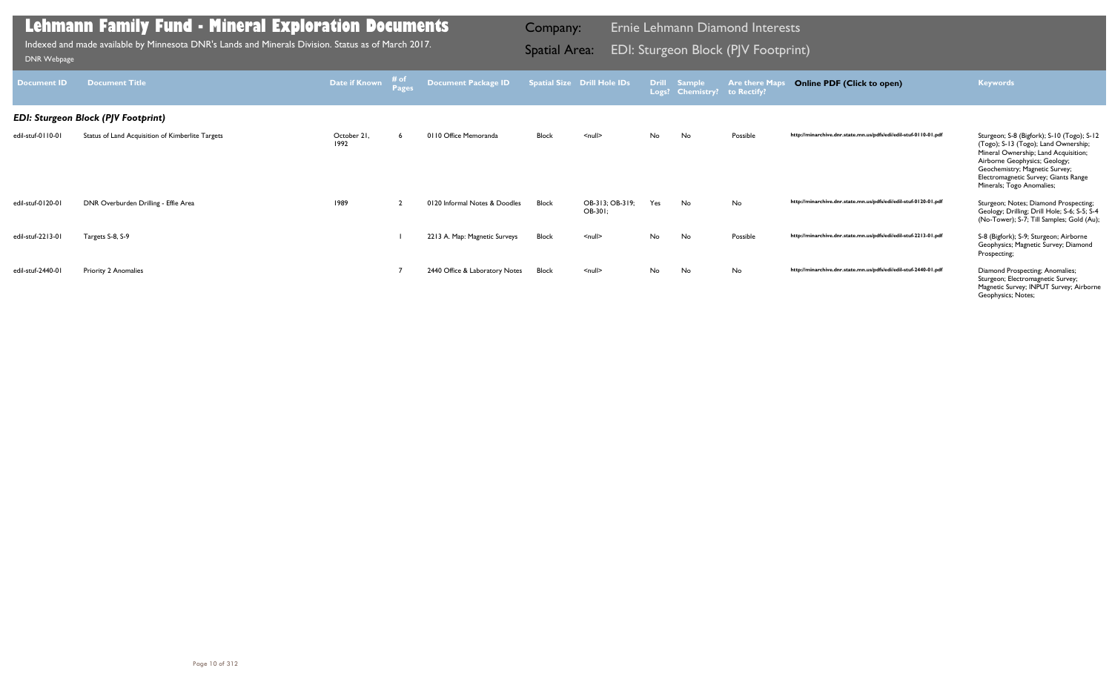| <b>Document ID</b> | <b>Document Title</b>                            | Date if Known       | # of<br>Pages | <b>Document Package ID</b>     |              | <b>Spatial Size Drill Hole IDs</b> |     | Drill Sample<br>Logs? Chemistry? to Rectify? | <b>Are there Maps</b> | <b>Online PDF (Click to open)</b>                                | <b>Keywords</b>                                                                                                                                                                                                                                                    |
|--------------------|--------------------------------------------------|---------------------|---------------|--------------------------------|--------------|------------------------------------|-----|----------------------------------------------|-----------------------|------------------------------------------------------------------|--------------------------------------------------------------------------------------------------------------------------------------------------------------------------------------------------------------------------------------------------------------------|
|                    | <b>EDI: Sturgeon Block (PJV Footprint)</b>       |                     |               |                                |              |                                    |     |                                              |                       |                                                                  |                                                                                                                                                                                                                                                                    |
| edil-stuf-0110-01  | Status of Land Acquisition of Kimberlite Targets | October 21,<br>1992 |               | 0110 Office Memoranda          | <b>Block</b> | $\leq$ null $\geq$                 | No  | No                                           | Possible              | http://minarchive.dnr.state.mn.us/pdfs/edi/edil-stuf-0110-01.pdf | Sturgeon; S-8 (Bigfork); S-10 (Togo); S-12<br>(Togo); S-13 (Togo); Land Ownership;<br>Mineral Ownership; Land Acquisition;<br>Airborne Geophysics; Geology;<br>Geochemistry; Magnetic Survey;<br>Electromagnetic Survey; Giants Range<br>Minerals; Togo Anomalies; |
| edil-stuf-0120-01  | DNR Overburden Drilling - Effie Area             | 1989                |               | 0120 Informal Notes & Doodles  | Block        | OB-313; OB-319;<br>OB-301;         | Yes | No                                           | No                    | http://minarchive.dnr.state.mn.us/pdfs/edi/edil-stuf-0120-01.pdf | Sturgeon; Notes; Diamond Prospecting;<br>Geology; Drilling; Drill Hole; S-6; S-5; S-4<br>(No-Tower); S-7; Till Samples; Gold (Au);                                                                                                                                 |
| edil-stuf-2213-01  | Targets S-8, S-9                                 |                     |               | 2213 A. Map: Magnetic Surveys  | Block        | $null$                             | No  | No                                           | Possible              | http://minarchive.dnr.state.mn.us/pdfs/edi/edil-stuf-2213-01.pdf | S-8 (Bigfork); S-9; Sturgeon; Airborne<br>Geophysics; Magnetic Survey; Diamond<br>Prospecting;                                                                                                                                                                     |
| edil-stuf-2440-01  | Priority 2 Anomalies                             |                     |               | 2440 Office & Laboratory Notes | Block        | $\leq$ null $\geq$                 | No  | No                                           | No                    | http://minarchive.dnr.state.mn.us/pdfs/edi/edil-stuf-2440-01.pdf | Diamond Prospecting; Anomalies;<br>Sturgeon; Electromagnetic Survey;<br>Magnetic Survey; INPUT Survey; Airborne<br>Geophysics; Notes;                                                                                                                              |

Indexed and made available by Minnesota DNR's Lands and Minerals Division. Status as of March 2017. **Indexed and Area:** EDI: Sturgeon Block (PJV Footprint)<br><sub>[DNR Webpage](http://www.dnr.state.mn.us/lands_minerals/polaris/index.html)</sub>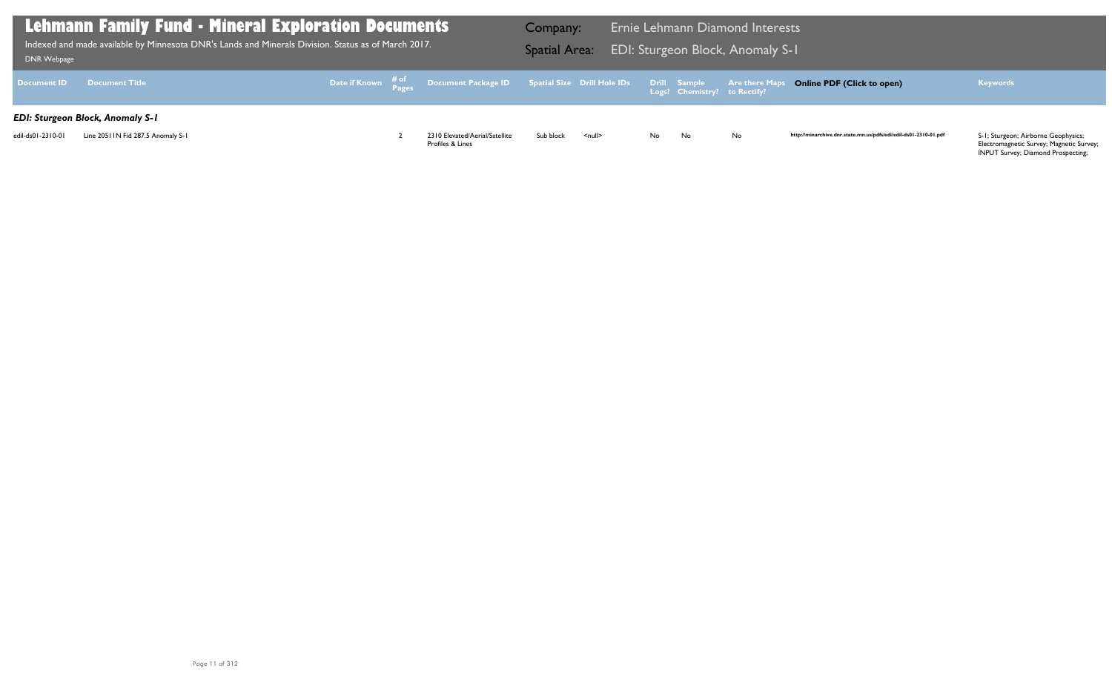| DNR Webpage        | Lehmann Family Fund - Mineral Exploration Documents<br>Indexed and made available by Minnesota DNR's Lands and Minerals Division. Status as of March 2017. |  |                                                                               | Company:<br><b>Spatial Area:</b> |                    |    |                                                     | <b>Ernie Lehmann Diamond Interests</b><br>EDI: Sturgeon Block, Anomaly S-1 |      |
|--------------------|------------------------------------------------------------------------------------------------------------------------------------------------------------|--|-------------------------------------------------------------------------------|----------------------------------|--------------------|----|-----------------------------------------------------|----------------------------------------------------------------------------|------|
| <b>Document ID</b> | <b>Document Title</b>                                                                                                                                      |  | Date if Known # <sup>of</sup> Document Package ID Spatial Size Drill Hole IDs |                                  |                    |    | <b>Drill Sample</b><br>Logs? Chemistry? to Rectify? | <b>Are there Maps C</b>                                                    |      |
|                    | <b>EDI: Sturgeon Block, Anomaly S-1</b>                                                                                                                    |  |                                                                               |                                  |                    |    |                                                     |                                                                            |      |
| edil-ds01-2310-01  | Line 2051 IN Fid 287.5 Anomaly S-1                                                                                                                         |  | 2310 Elevated/Aerial/Satellite<br>Profiles & Lines                            | Sub block                        | $\leq$ null $\geq$ | No | No                                                  | <b>No</b>                                                                  | http |

## **Online PDF (Click to open) Keywords**

http://minarchive.dnr.state.mn.us/pdfs/edi/edil-ds01-2310-01.pdf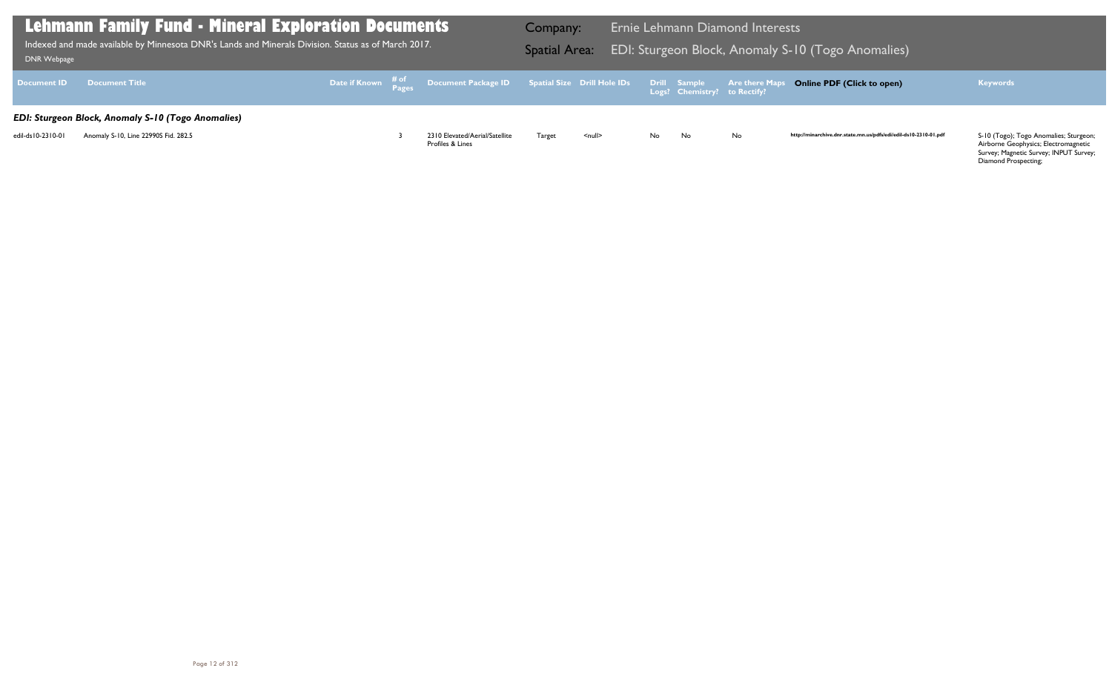Airborne Geophysics; Electromagnetic Survey; Magnetic Survey; INPUT Survey; Diamond Prospecting;

| <b>DNR Webpage</b> | Lehmann Family Fund - Mineral Exploration Documents<br>Indexed and made available by Minnesota DNR's Lands and Minerals Division. Status as of March 2017. |  |                                                                                                     | Company:<br><b>Spatial Area:</b> |                    |    |                                                     | <b>Ernie Lehmann Diamond Interests</b><br>EDI: Sturgeon Block, Anomaly S-1 |      |
|--------------------|------------------------------------------------------------------------------------------------------------------------------------------------------------|--|-----------------------------------------------------------------------------------------------------|----------------------------------|--------------------|----|-----------------------------------------------------|----------------------------------------------------------------------------|------|
| <b>Document ID</b> | <b>Document Title</b>                                                                                                                                      |  | Date if Known $\frac{\text{\# of}}{\text{\# ages}}$ Document Package ID Spatial Size Drill Hole IDs |                                  |                    |    | <b>Drill Sample</b><br>Logs? Chemistry? to Rectify? | <b>Are there Maps C</b>                                                    |      |
|                    | <b>EDI: Sturgeon Block, Anomaly S-10 (Togo Anomalies)</b>                                                                                                  |  |                                                                                                     |                                  |                    |    |                                                     |                                                                            |      |
| edil-ds10-2310-01  | Anomaly S-10, Line 22990S Fid. 282.5                                                                                                                       |  | 2310 Elevated/Aerial/Satellite<br>Profiles & Lines                                                  | Target                           | $\leq$ null $\geq$ | No | No                                                  | <b>No</b>                                                                  | http |

## S-10 (Togo Anomalies)

## **Online PDF (Click to open) Keywords**

http://minarchive.dnr.state.mn.us/pdfs/edi/edil-ds10-2310-01.pdf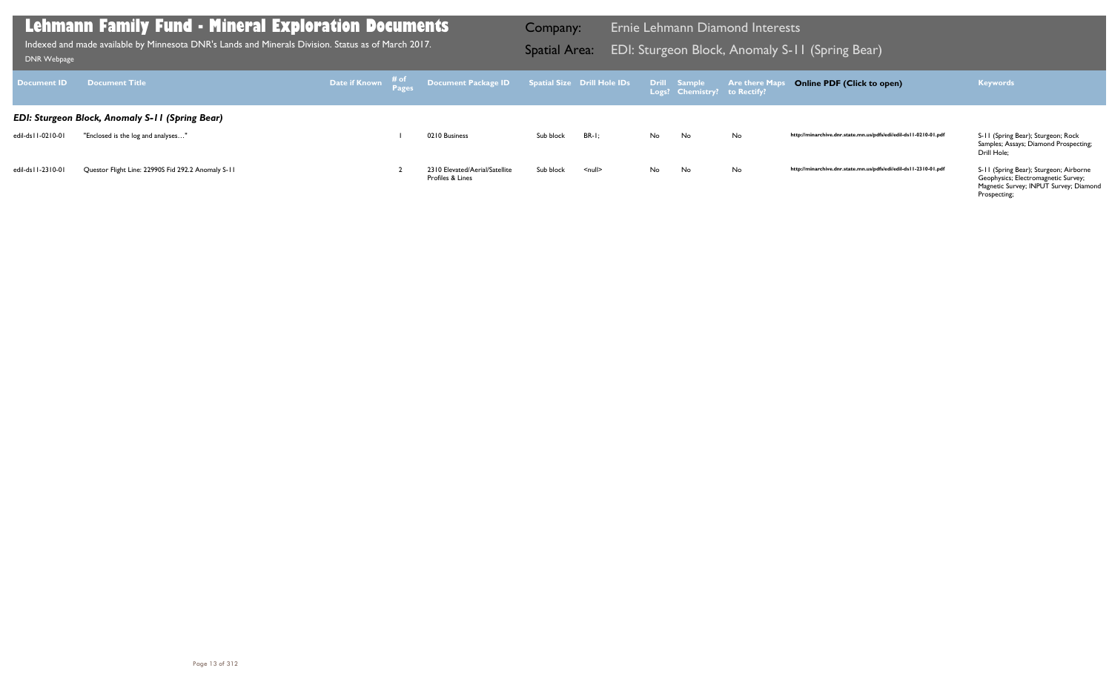http://minarchive.dnr.state.mn.us/pdfs/edi/edil-ds11-2310-01.pdf S-11 (Spring Bear); Sturgeon; Airborne Geophysics; Electromagnetic Survey; Magnetic Survey; INPUT Survey; Diamond Prospecting;

| <b>Document ID</b>   | <b>Document Title</b>                                                                        |  | Date if Known # <sup>of</sup> Document Package ID Spatial Size Drill Hole IDs |           |                    |     | <b>Drill Sample</b><br>Logs? Chemistry? to Rectify? | <b>Are there Maps</b> |
|----------------------|----------------------------------------------------------------------------------------------|--|-------------------------------------------------------------------------------|-----------|--------------------|-----|-----------------------------------------------------|-----------------------|
| edil-ds   1-0210-01  | <b>EDI: Sturgeon Block, Anomaly S-11 (Spring Bear)</b><br>"Enclosed is the log and analyses" |  | 0210 Business                                                                 | Sub block | $BR-I:$            | No  | No.                                                 | No                    |
| edil-ds   1-23   0-0 | Questor Flight Line: 22990S Fid 292.2 Anomaly S-11                                           |  | 2310 Elevated/Aerial/Satellite<br>Profiles & Lines                            | Sub block | $\leq$ null $\geq$ | No. | No.                                                 | No                    |

## **Lehmann Family Fund - Mineral Exploration Documents**

Indexed and made available by Minnesota DNR's Lands and Minerals Division. Status as of March 2017. **Indexed and Area:** EDI: Sturgeon Block, Anomaly S-11 (Spring Bear)<br>DNR Webpage Indexed and made available by Minnesota DNR's Lands and Minerals Division. Status as of March 2017.

Company: Ernie Lehmann Diamond Interests

### **Online PDF (Click to open) Keywords**

http://minarchive.dnr.state.mn.us/pdfs/edi/edil-ds11-0210-01.pdf

S-11 (Spring Bear); Sturgeon; Rock<br>Samples; Assays; Diamond Prospecting; Drill Hole;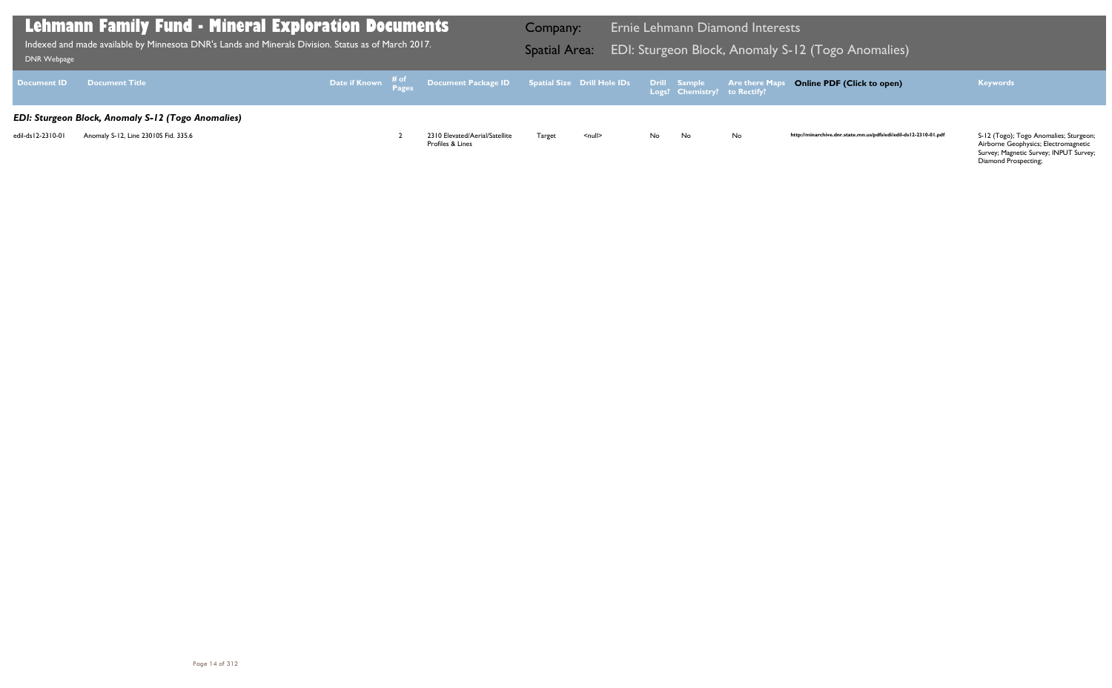Airborne Geophysics; Electromagnetic Survey; Magnetic Survey; INPUT Survey; Diamond Prospecting;

| DNR Webpage        | <b>Lehmann Family Fund - Mineral Exploration Documents</b><br>Indexed and made available by Minnesota DNR's Lands and Minerals Division. Status as of March 2017. |  |                                                                               | Company:<br><b>Spatial Area:</b> |                    |     |                                              | <b>Ernie Lehmann Diamond Interests</b><br>EDI: Sturgeon Block, Anomaly S-1 |      |
|--------------------|-------------------------------------------------------------------------------------------------------------------------------------------------------------------|--|-------------------------------------------------------------------------------|----------------------------------|--------------------|-----|----------------------------------------------|----------------------------------------------------------------------------|------|
| <b>Document ID</b> | <b>Document Title</b>                                                                                                                                             |  | Date if Known # <sup>of</sup> Document Package ID Spatial Size Drill Hole IDs |                                  |                    |     | Drill Sample<br>Logs? Chemistry? to Rectify? | <b>Are there Maps</b> C                                                    |      |
|                    | <b>EDI: Sturgeon Block, Anomaly S-12 (Togo Anomalies)</b>                                                                                                         |  |                                                                               |                                  |                    |     |                                              |                                                                            |      |
| edil-ds12-2310-01  | Anomaly S-12, Line 23010S Fid. 335.6                                                                                                                              |  | 2310 Elevated/Aerial/Satellite<br>Profiles & Lines                            | Target                           | $\leq$ null $\geq$ | No. | No                                           | <b>No</b>                                                                  | http |

## S-12 (Togo Anomalies)

## **Online PDF (Click to open) Keywords**

http://minarchive.dnr.state.mn.us/pdfs/edi/edil-ds12-2310-01.pdf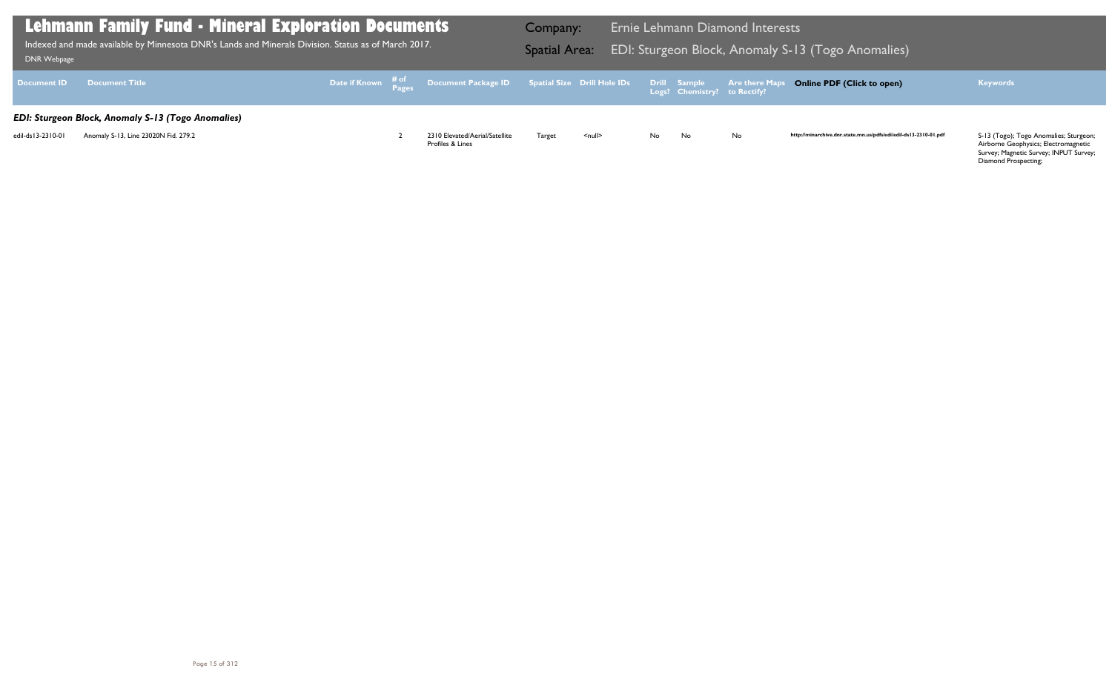Airborne Geophysics; Electromagnetic Survey; Magnetic Survey; INPUT Survey; Diamond Prospecting;

| <b>DNR Webpage</b> | <b>Lehmann Family Fund - Mineral Exploration Documents</b><br>Indexed and made available by Minnesota DNR's Lands and Minerals Division. Status as of March 2017. |  |  |                                                                               |        |                    |     |                                                     | <b>Ernie Lehmann Diamond Interests</b><br>EDI: Sturgeon Block, Anomaly S-1 |      |
|--------------------|-------------------------------------------------------------------------------------------------------------------------------------------------------------------|--|--|-------------------------------------------------------------------------------|--------|--------------------|-----|-----------------------------------------------------|----------------------------------------------------------------------------|------|
| <b>Document ID</b> | <b>Document Title</b>                                                                                                                                             |  |  | Date if Known # <sup>of</sup> Document Package ID Spatial Size Drill Hole IDs |        |                    |     | <b>Drill Sample</b><br>Logs? Chemistry? to Rectify? | <b>Are there Maps</b> C                                                    |      |
|                    | EDI: Sturgeon Block, Anomaly S-13 (Togo Anomalies)                                                                                                                |  |  |                                                                               |        |                    |     |                                                     |                                                                            |      |
| edil-ds13-2310-01  | Anomaly S-13, Line 23020N Fid. 279.2                                                                                                                              |  |  | 2310 Elevated/Aerial/Satellite<br>Profiles & Lines                            | Target | $\leq$ null $\geq$ | No. | No                                                  | <b>No</b>                                                                  | http |

## S-13 (Togo Anomalies)

## **Online PDF (Click to open) Keywords**

http://minarchive.dnr.state.mn.us/pdfs/edi/edil-ds13-2310-01.pdf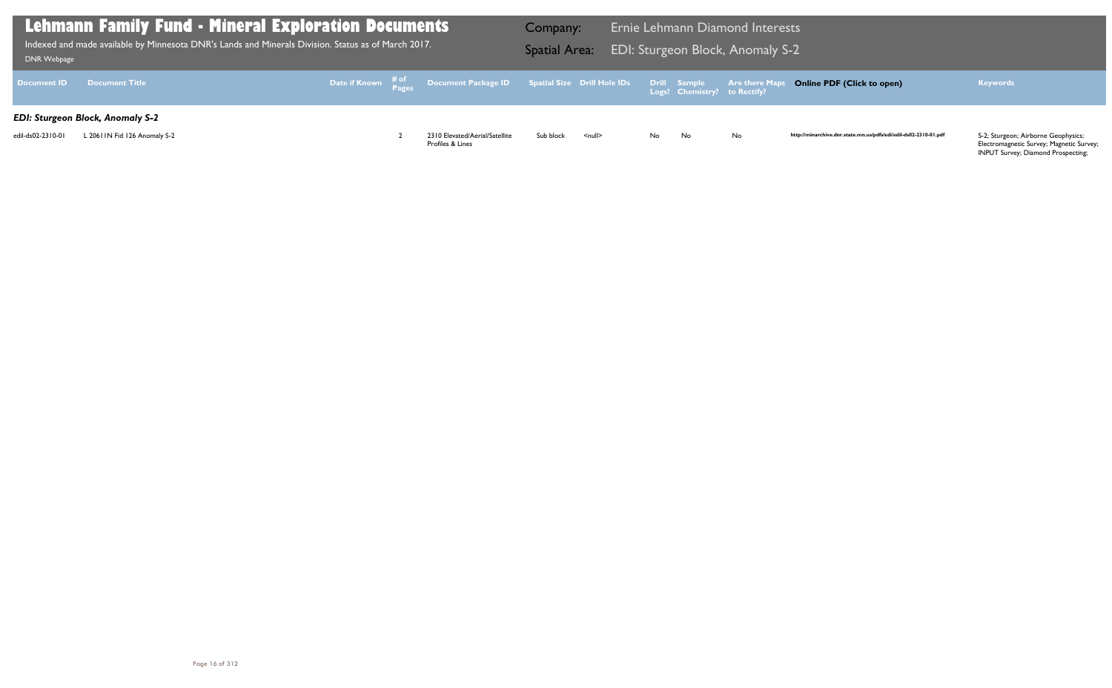| DNR Webpage        | <b>Lehmann Family Fund - Mineral Exploration Documents</b><br>Indexed and made available by Minnesota DNR's Lands and Minerals Division. Status as of March 2017. |  |                                                                               | Company:<br><b>Spatial Area:</b> |                    |    |                                              | <b>Ernie Lehmann Diamond Interests</b><br>EDI: Sturgeon Block, Anomaly S-2 |      |
|--------------------|-------------------------------------------------------------------------------------------------------------------------------------------------------------------|--|-------------------------------------------------------------------------------|----------------------------------|--------------------|----|----------------------------------------------|----------------------------------------------------------------------------|------|
| <b>Document ID</b> | Document Title                                                                                                                                                    |  | Date if Known # <sup>of</sup> Document Package ID Spatial Size Drill Hole IDs |                                  |                    |    | Drill Sample<br>Logs? Chemistry? to Rectify? | <b>Are there Maps C</b>                                                    |      |
|                    | <b>EDI: Sturgeon Block, Anomaly S-2</b>                                                                                                                           |  |                                                                               |                                  |                    |    |                                              |                                                                            |      |
| edil-ds02-2310-01  | L 20611N Fid 126 Anomaly S-2                                                                                                                                      |  | 2310 Elevated/Aerial/Satellite<br>Profiles & Lines                            | Sub block                        | $\leq$ null $\geq$ | No | No                                           | <b>No</b>                                                                  | http |

## **Online PDF (Click to open) Keywords**

http://minarchive.dnr.state.mn.us/pdfs/edi/edil-ds02-2310-01.pdf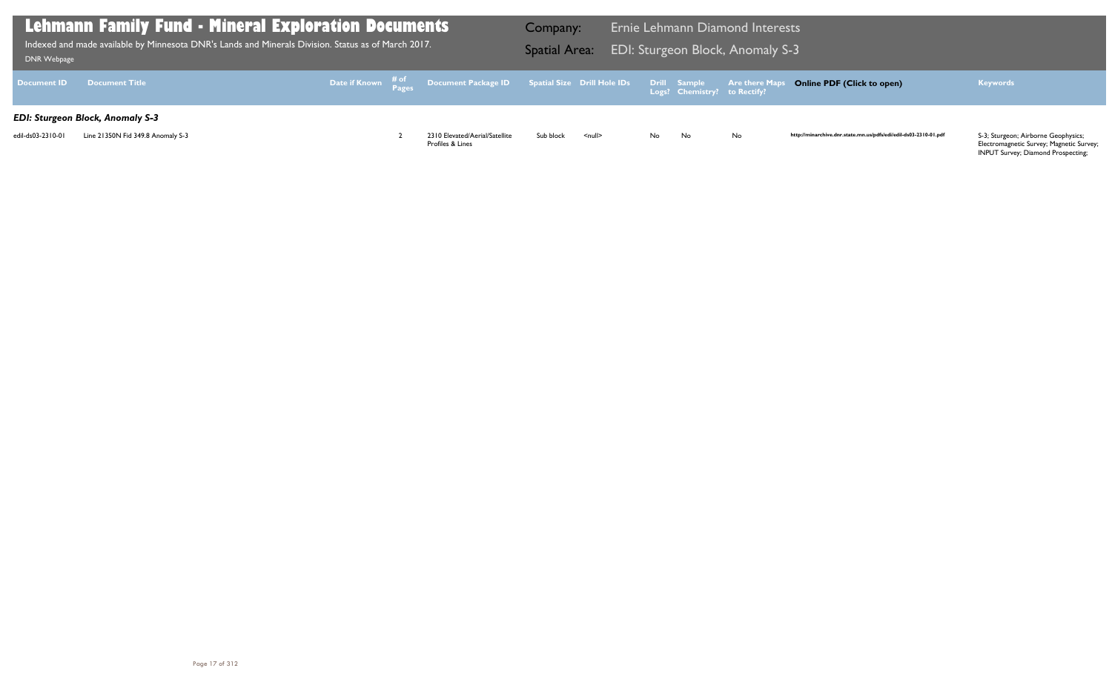| DNR Webpage        | <b>Lehmann Family Fund - Mineral Explorati<u>on Documents</u></b><br>Indexed and made available by Minnesota DNR's Lands and Minerals Division. Status as of March 2017. |  |  |                                                                               |           |                    |     |                                                     | <b>Ernie Lehmann Diamond Interests</b><br>EDI: Sturgeon Block, Anomaly S-3 |      |
|--------------------|--------------------------------------------------------------------------------------------------------------------------------------------------------------------------|--|--|-------------------------------------------------------------------------------|-----------|--------------------|-----|-----------------------------------------------------|----------------------------------------------------------------------------|------|
| <b>Document ID</b> | <b>Document Title</b>                                                                                                                                                    |  |  | Date if Known # <sup>of</sup> Document Package ID Spatial Size Drill Hole IDs |           |                    |     | <b>Drill Sample</b><br>Logs? Chemistry? to Rectify? | <b>Are there Maps C</b>                                                    |      |
|                    | <b>EDI: Sturgeon Block, Anomaly S-3</b>                                                                                                                                  |  |  |                                                                               |           |                    |     |                                                     |                                                                            |      |
| edil-ds03-2310-01  | Line 21350N Fid 349.8 Anomaly S-3                                                                                                                                        |  |  | 2310 Elevated/Aerial/Satellite<br>Profiles & Lines                            | Sub block | $\leq$ null $\geq$ | No. | No                                                  | <b>No</b>                                                                  | http |

## **Online PDF (Click to open) Keywords**

http://minarchive.dnr.state.mn.us/pdfs/edi/edil-ds03-2310-01.pdf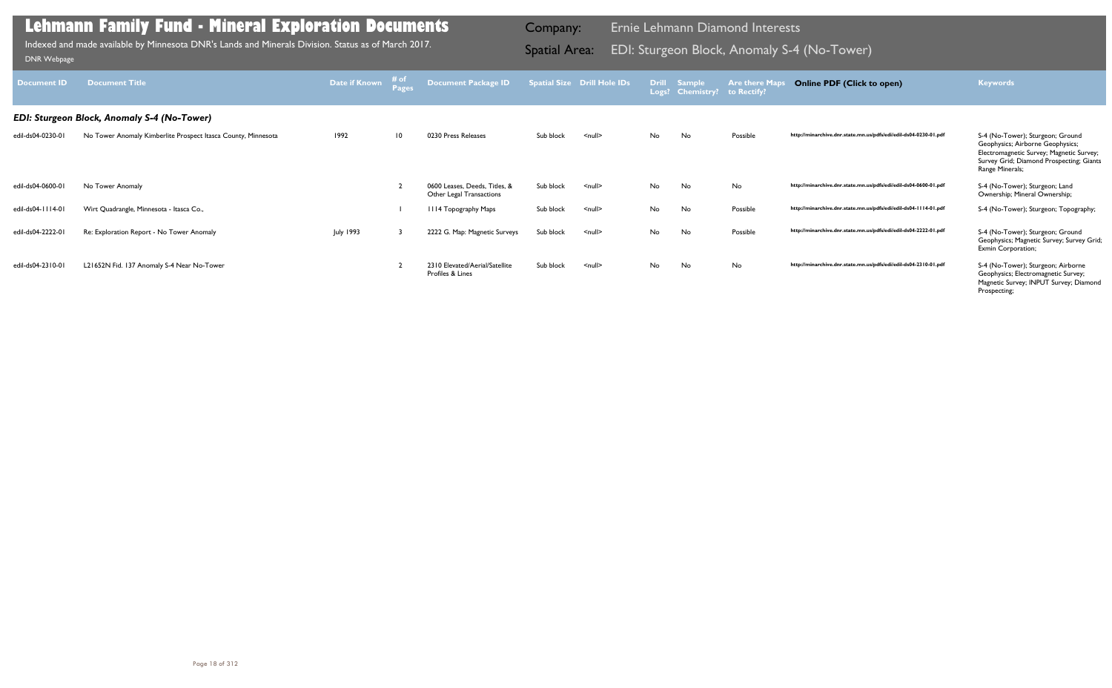| <b>Document ID</b> | <b>Document Title</b>                                         | <b>Date if Known</b> | # of<br><b>Pages</b> | <b>Document Package ID</b>                                |           | <b>Spatial Size Drill Hole IDs</b> | <b>Drill</b> | Sample<br>Logs? Chemistry? | <b>Are there Maps</b><br>to Rectify? | <b>Online PDF (Click to open)</b>                                | <b>Keywords</b>                                                                                                                                                                 |
|--------------------|---------------------------------------------------------------|----------------------|----------------------|-----------------------------------------------------------|-----------|------------------------------------|--------------|----------------------------|--------------------------------------|------------------------------------------------------------------|---------------------------------------------------------------------------------------------------------------------------------------------------------------------------------|
|                    | <b>EDI: Sturgeon Block, Anomaly S-4 (No-Tower)</b>            |                      |                      |                                                           |           |                                    |              |                            |                                      |                                                                  |                                                                                                                                                                                 |
| edil-ds04-0230-01  | No Tower Anomaly Kimberlite Prospect Itasca County, Minnesota | 1992                 | $\overline{10}$      | 0230 Press Releases                                       | Sub block | $\leq$ null $\geq$                 | No.          | No                         | Possible                             | http://minarchive.dnr.state.mn.us/pdfs/edi/edil-ds04-0230-01.pdf | S-4 (No-Tower); Sturgeon; Ground<br>Geophysics; Airborne Geophysics;<br>Electromagnetic Survey; Magnetic Survey;<br>Survey Grid; Diamond Prospecting; Giants<br>Range Minerals; |
| edil-ds04-0600-01  | No Tower Anomaly                                              |                      |                      | 0600 Leases, Deeds, Titles, &<br>Other Legal Transactions | Sub block | $\leq$ null $\geq$                 | No.          | No                         | No                                   | http://minarchive.dnr.state.mn.us/pdfs/edi/edil-ds04-0600-01.pdf | S-4 (No-Tower); Sturgeon; Land<br>Ownership; Mineral Ownership;                                                                                                                 |
| edil-ds04-1114-01  | Wirt Quadrangle, Minnesota - Itasca Co.,                      |                      |                      | 1114 Topography Maps                                      | Sub block | $\leq$ null $\geq$                 | No.          | No                         | Possible                             | http://minarchive.dnr.state.mn.us/pdfs/edi/edil-ds04-1114-01.pdf | S-4 (No-Tower); Sturgeon; Topography;                                                                                                                                           |
| edil-ds04-2222-01  | Re: Exploration Report - No Tower Anomaly                     | July 1993            |                      | 2222 G. Map: Magnetic Surveys                             | Sub block | $\leq$ null $\geq$                 | No.          | No                         | Possible                             | http://minarchive.dnr.state.mn.us/pdfs/edi/edil-ds04-2222-01.pdf | S-4 (No-Tower); Sturgeon; Ground<br>Geophysics; Magnetic Survey; Survey Grid;<br>Exmin Corporation;                                                                             |
| edil-ds04-2310-01  | L21652N Fid. 137 Anomaly S-4 Near No-Tower                    |                      |                      | 2310 Elevated/Aerial/Satellite<br>Profiles & Lines        | Sub block | $\leq$ null $\geq$                 | No.          | No                         | No                                   | http://minarchive.dnr.state.mn.us/pdfs/edi/edil-ds04-2310-01.pdf | S-4 (No-Tower); Sturgeon; Airborne<br>Geophysics; Electromagnetic Survey;<br>Magnetic Survey; INPUT Survey; Diamond<br>Prospecting;                                             |

Indexed and made available by Minnesota DNR's Lands and Minerals Division. Status as of March 2017. **In the Spatial Area:** EDI: Sturgeon Block, Anomaly S-4 (No-Tower)<br>DNR Webpage Indexed and made available by Minnesota DNR's Lands and Minerals Division. Status as of March 2017.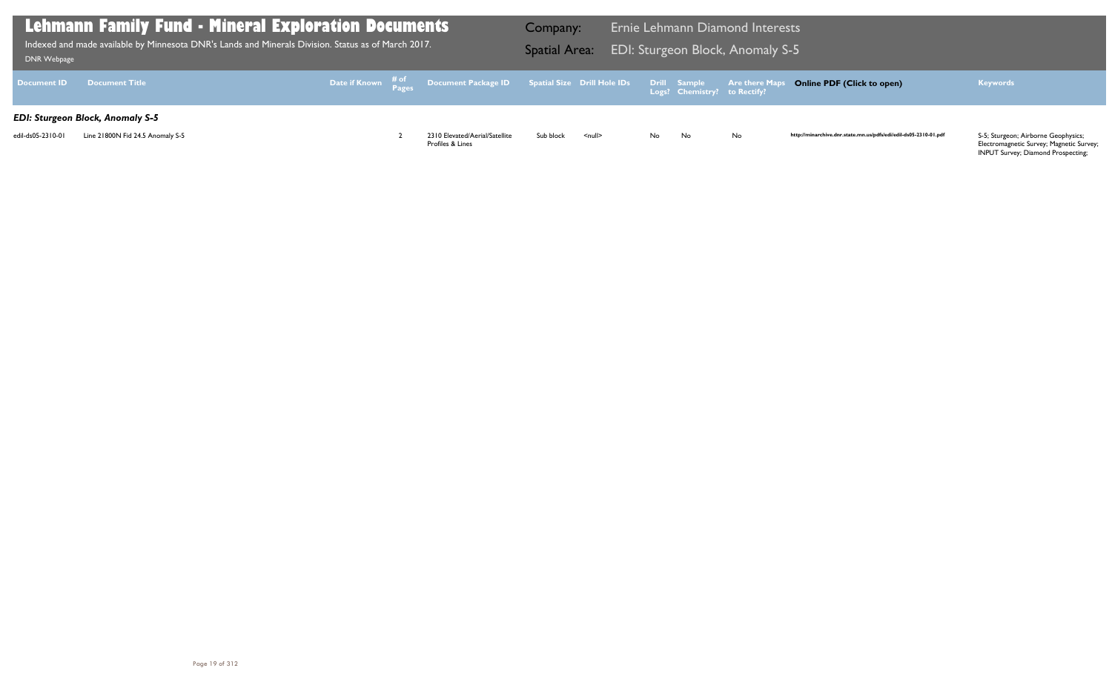| <b>DNR Webpage</b> | <b>Lehmann Family Fund - Mineral Exploration Documents</b><br>Indexed and made available by Minnesota DNR's Lands and Minerals Division. Status as of March 2017. |  |  |                                                                                                   |           |                    |    |                                                     | <b>Ernie Lehmann Diamond Interests</b><br><b>EDI: Sturgeon Block, Anomaly S-5</b> |      |
|--------------------|-------------------------------------------------------------------------------------------------------------------------------------------------------------------|--|--|---------------------------------------------------------------------------------------------------|-----------|--------------------|----|-----------------------------------------------------|-----------------------------------------------------------------------------------|------|
| <b>Document ID</b> | <b>Document Title</b>                                                                                                                                             |  |  | Date if Known $\frac{\text{\# of}}{\text{Pages}}$ Document Package ID Spatial Size Drill Hole IDs |           |                    |    | <b>Drill Sample</b><br>Logs? Chemistry? to Rectify? | <b>Are there Maps C</b>                                                           |      |
|                    | <b>EDI: Sturgeon Block, Anomaly S-5</b>                                                                                                                           |  |  |                                                                                                   |           |                    |    |                                                     |                                                                                   |      |
| edil-ds05-2310-01  | Line 21800N Fid 24.5 Anomaly S-5                                                                                                                                  |  |  | 2310 Elevated/Aerial/Satellite<br>Profiles & Lines                                                | Sub block | $\leq$ null $\geq$ | No | No                                                  | <b>No</b>                                                                         | http |

## **Online PDF (Click to open) Keywords**

http://minarchive.dnr.state.mn.us/pdfs/edi/edil-ds05-2310-01.pdf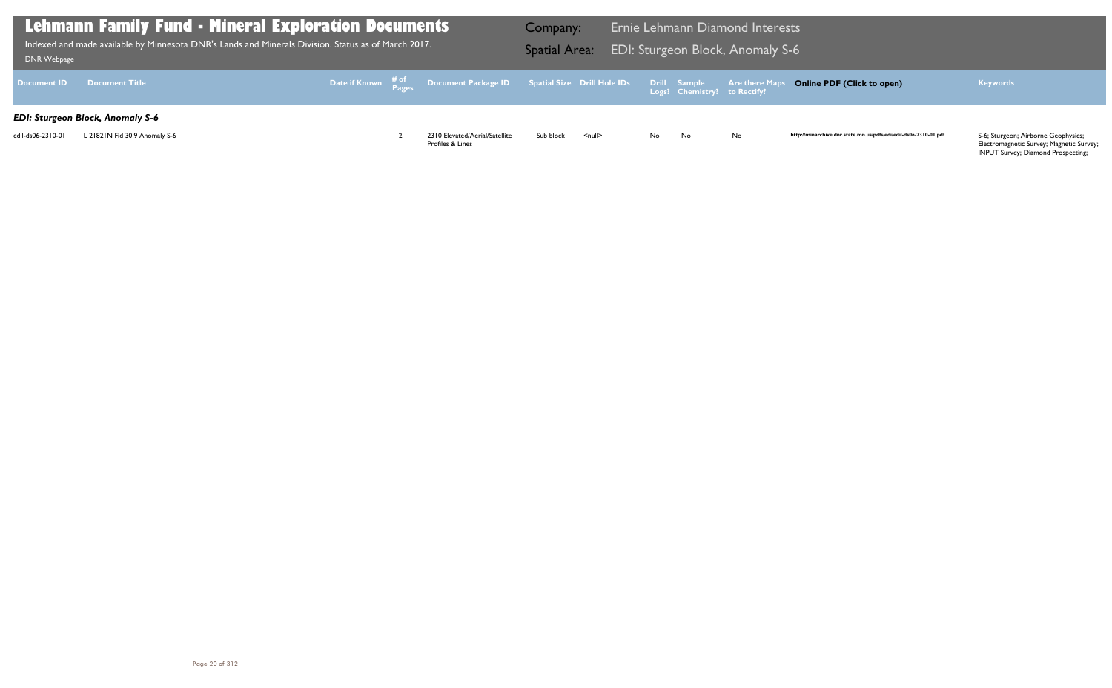| DNR Webpage        | <b>Lehmann Family Fund - Mineral Exploration Documents</b><br>Indexed and made available by Minnesota DNR's Lands and Minerals Division. Status as of March 2017. |  |  |                                                                               |           |                    |    |                                                     | <b>Ernie Lehmann Diamond Interests</b><br><b>EDI: Sturgeon Block, Anomaly S-6</b> |      |
|--------------------|-------------------------------------------------------------------------------------------------------------------------------------------------------------------|--|--|-------------------------------------------------------------------------------|-----------|--------------------|----|-----------------------------------------------------|-----------------------------------------------------------------------------------|------|
| <b>Document ID</b> | <b>Document Title</b>                                                                                                                                             |  |  | Date if Known # <sup>of</sup> Document Package ID Spatial Size Drill Hole IDs |           |                    |    | <b>Drill Sample</b><br>Logs? Chemistry? to Rectify? | <b>Are there Maps C</b>                                                           |      |
|                    | <b>EDI: Sturgeon Block, Anomaly S-6</b>                                                                                                                           |  |  |                                                                               |           |                    |    |                                                     |                                                                                   |      |
| edil-ds06-2310-01  | L 21821N Fid 30.9 Anomaly S-6                                                                                                                                     |  |  | 2310 Elevated/Aerial/Satellite<br>Profiles & Lines                            | Sub block | $\leq$ null $\geq$ | No | No                                                  | <b>No</b>                                                                         | http |

## **Online PDF (Click to open) Keywords**

http://minarchive.dnr.state.mn.us/pdfs/edi/edil-ds06-2310-01.pdf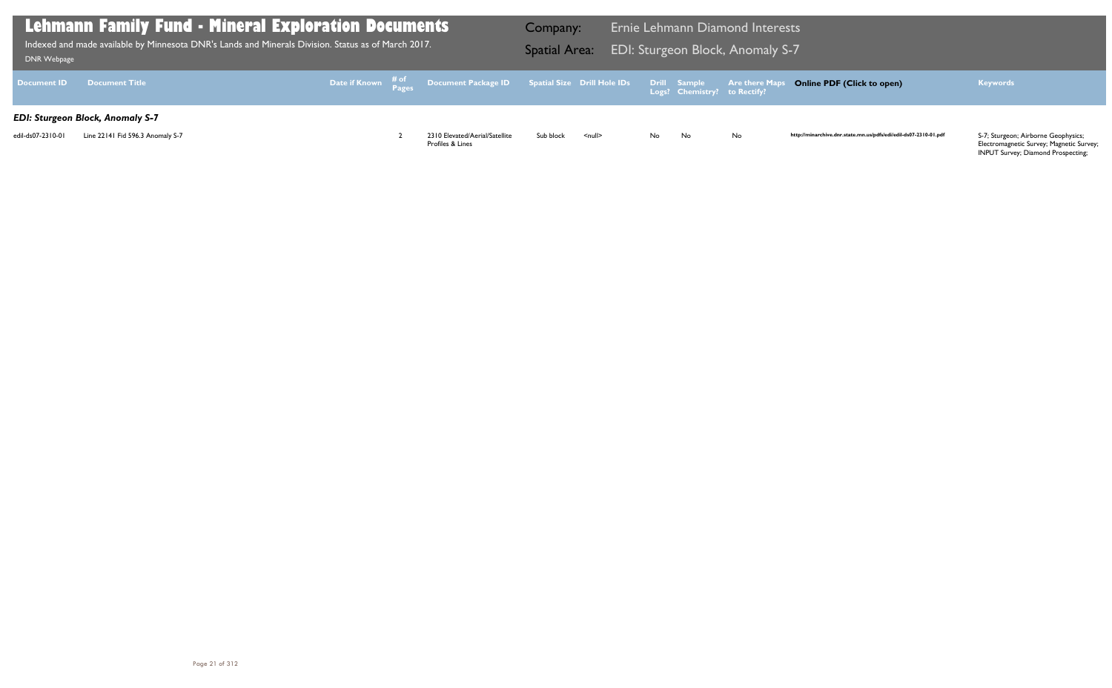| <b>DNR Webpage</b> | Lehmann Family Fund - Mineral Exploration Documents<br>Indexed and made available by Minnesota DNR's Lands and Minerals Division. Status as of March 2017. |  |                                                                                                   | Company:<br><b>Spatial Area:</b> |                    |    |                                                     | <b>Ernie Lehmann Diamond Interests</b><br>EDI: Sturgeon Block, Anomaly S-7 |      |
|--------------------|------------------------------------------------------------------------------------------------------------------------------------------------------------|--|---------------------------------------------------------------------------------------------------|----------------------------------|--------------------|----|-----------------------------------------------------|----------------------------------------------------------------------------|------|
| <b>Document ID</b> | <b>Document Title</b>                                                                                                                                      |  | Date if Known $\frac{\text{\# of}}{\text{Pages}}$ Document Package ID Spatial Size Drill Hole IDs |                                  |                    |    | <b>Drill Sample</b><br>Logs? Chemistry? to Rectify? | <b>Are there Maps C</b>                                                    |      |
|                    | <b>EDI: Sturgeon Block, Anomaly S-7</b>                                                                                                                    |  |                                                                                                   |                                  |                    |    |                                                     |                                                                            |      |
| edil-ds07-2310-01  | Line 22141 Fid 596.3 Anomaly S-7                                                                                                                           |  | 2310 Elevated/Aerial/Satellite<br>Profiles & Lines                                                | Sub block                        | $\leq$ null $\geq$ | No | No                                                  | <b>No</b>                                                                  | http |

## **Online PDF (Click to open) Keywords**

http://minarchive.dnr.state.mn.us/pdfs/edi/edil-ds07-2310-01.pdf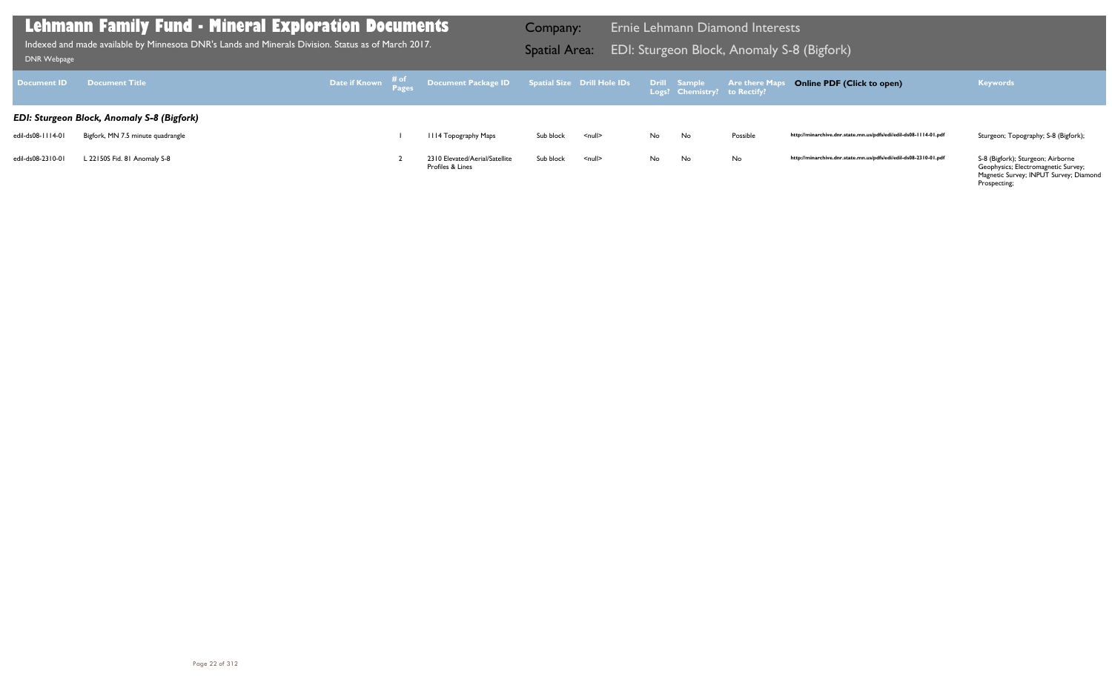S-8 (Bigfork); Sturgeon; Airborne<br>Geophysics; Electromagnetic Survey; Magnetic Survey; INPUT Survey; Diamond Prospecting;

| Document <b>ID</b> | <b>Document Title</b>                             |  |                                                    |           |                    |     | Drill Sample<br>Logs? Chemistry? to Rectify? | <b>Are there Maps</b> |
|--------------------|---------------------------------------------------|--|----------------------------------------------------|-----------|--------------------|-----|----------------------------------------------|-----------------------|
|                    | <b>EDI: Sturgeon Block, Anomaly S-8 (Bigfork)</b> |  |                                                    |           |                    |     |                                              |                       |
| edil-ds08-1114-01  | Bigfork, MN 7.5 minute quadrangle                 |  | 1114 Topography Maps                               | Sub block | $\leq$ null $\geq$ | No. | No                                           | Possible              |
| edil-ds08-2310-01  | L 22150S Fid. 81 Anomaly S-8                      |  | 2310 Elevated/Aerial/Satellite<br>Profiles & Lines | Sub block | <null></null>      | No. | No                                           | No                    |

## **Lehmann Family Fund - Mineral Exploration Documents**

EDI: Sturgeon Block, Anomaly S-8 (Bigfork) Indexed and made available by Minnesota DNR's Lands and Minerals Division. Status as of March 2017. Spatial Area: [DNR Webpage](http://www.dnr.state.mn.us/lands_minerals/polaris/index.html)

Company: Ernie Lehmann Diamond Interests

### **Online PDF (Click to open) Keywords**

http://minarchive.dnr.state.mn.us/pdfs/edi/edil-ds08-1114-01.pdf Sturgeon; Topography; S-8 (Bigfork);

http://minarchive.dnr.state.mn.us/pdfs/edi/edil-ds08-2310-01.pdf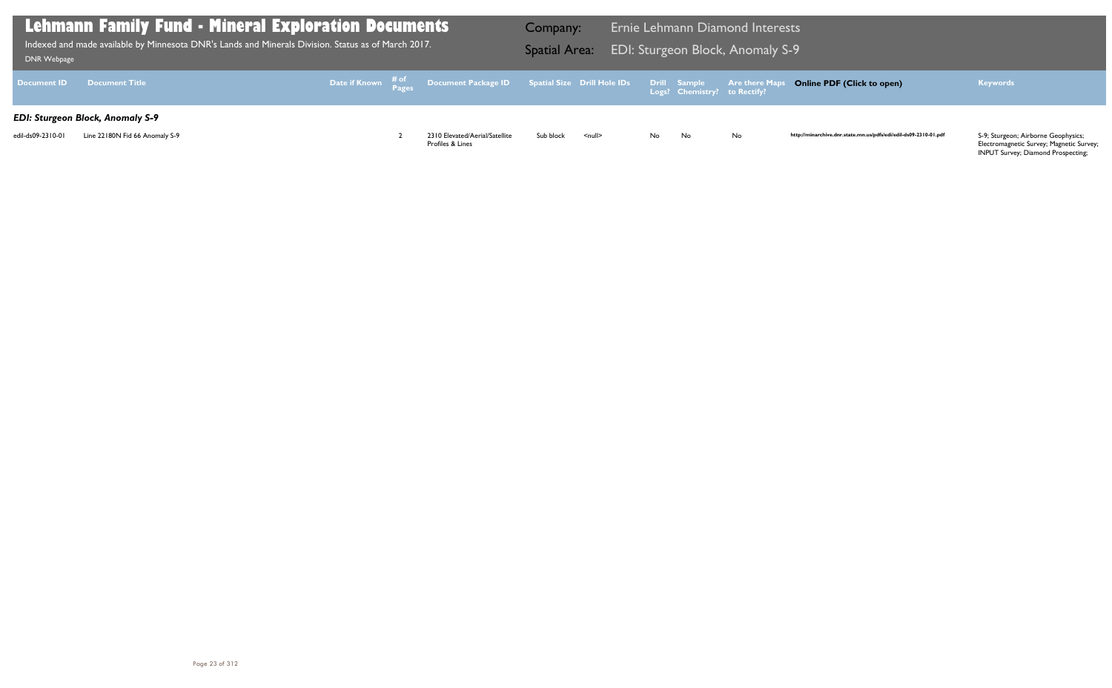| DNR Webpage        | <b>Lehmann Family Fund - Mineral Exploration Documents</b><br>Indexed and made available by Minnesota DNR's Lands and Minerals Division. Status as of March 2017. |  |                                                                               | Company:<br><b>Spatial Area:</b> |                    |    |                                              | <b>Ernie Lehmann Diamond Interests</b><br>EDI: Sturgeon Block, Anomaly S-9 |      |
|--------------------|-------------------------------------------------------------------------------------------------------------------------------------------------------------------|--|-------------------------------------------------------------------------------|----------------------------------|--------------------|----|----------------------------------------------|----------------------------------------------------------------------------|------|
| <b>Document ID</b> | Document Title                                                                                                                                                    |  | Date if Known # <sup>of</sup> Document Package ID Spatial Size Drill Hole IDs |                                  |                    |    | Drill Sample<br>Logs? Chemistry? to Rectify? | <b>Are there Maps C</b>                                                    |      |
|                    | <b>EDI: Sturgeon Block, Anomaly S-9</b>                                                                                                                           |  |                                                                               |                                  |                    |    |                                              |                                                                            |      |
| edil-ds09-2310-01  | Line 22180N Fid 66 Anomaly S-9                                                                                                                                    |  | 2310 Elevated/Aerial/Satellite<br>Profiles & Lines                            | Sub block                        | $\leq$ null $\geq$ | No | No                                           | <b>No</b>                                                                  | http |

## **Online PDF (Click to open) Keywords**

http://minarchive.dnr.state.mn.us/pdfs/edi/edil-ds09-2310-01.pdf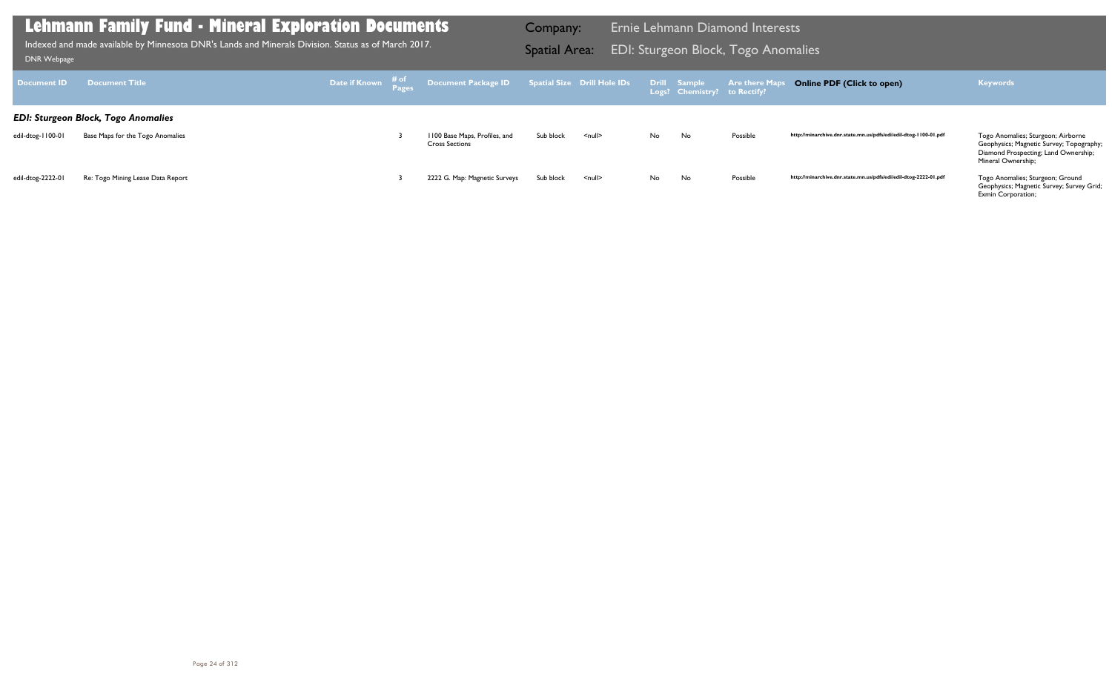| ___                |                                            |  |                                                                                                                  |           |                    |    |                              |          |                                                                  |                                                                                                                                              |
|--------------------|--------------------------------------------|--|------------------------------------------------------------------------------------------------------------------|-----------|--------------------|----|------------------------------|----------|------------------------------------------------------------------|----------------------------------------------------------------------------------------------------------------------------------------------|
| <b>Document ID</b> | <b>Document Title</b>                      |  | <b>Date if Known</b> # <sup>of</sup> Document Package ID Spatial Size Drill Hole IDs Drill Sample Are there Maps |           |                    |    | Logs? Chemistry? to Rectify? |          | <b>Online PDF (Click to open)</b>                                | <b>Keywords</b>                                                                                                                              |
|                    | <b>EDI: Sturgeon Block, Togo Anomalies</b> |  |                                                                                                                  |           |                    |    |                              |          |                                                                  |                                                                                                                                              |
| edil-dtog-1100-01  | Base Maps for the Togo Anomalies           |  | 1100 Base Maps, Profiles, and<br><b>Cross Sections</b>                                                           | Sub block | $\leq$ null $\geq$ | No | No                           | Possible | http://minarchive.dnr.state.mn.us/pdfs/edi/edil-dtog-1100-01.pdf | Togo Anomalies; Sturgeon; Airborne<br>Geophysics; Magnetic Survey; Topography;<br>Diamond Prospecting; Land Ownership;<br>Mineral Ownership; |
| edil-dtog-2222-01  | Re: Togo Mining Lease Data Report          |  | 2222 G. Map: Magnetic Surveys                                                                                    | Sub block | <null></null>      | No | No                           | Possible | http://minarchive.dnr.state.mn.us/pdfs/edi/edil-dtog-2222-01.pdf | Togo Anomalies; Sturgeon; Ground<br>Geophysics; Magnetic Survey; Survey Grid;<br>Exmin Corporation;                                          |

Indexed and made available by Minnesota DNR's Lands and Minerals Division. Status as of March 2017. **Spatial Area:** EDI: Sturgeon Block, Togo Anomalies וDNR Webpage Indexed and made available by Minnesota DNR's Lands and Minerals Division. Status as of March 2017.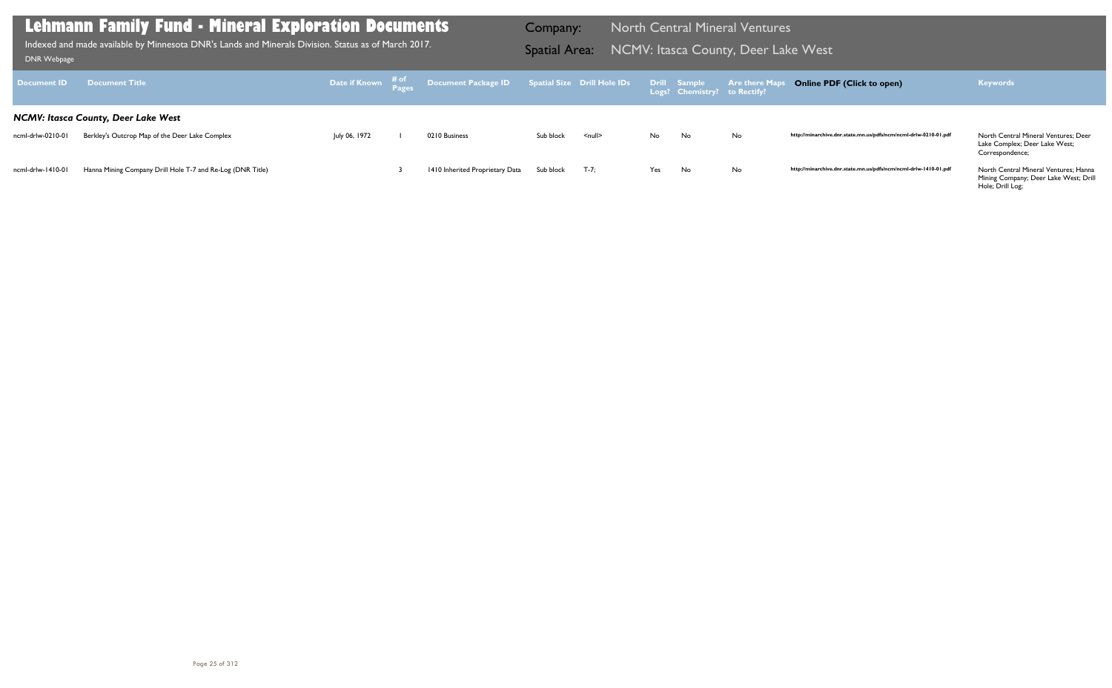Mining Company; Deer Lake West; Drill Hole; Drill Log;

Lake Complex; Deer Lake West; Correspondence;

| Document <b>ID</b> | <b>Document Title</b>                                      |               | Date if Known $\begin{array}{cc} \text{\#} \text{ of} \\ \text{\#} \text{ages} \end{array}$ Document Package ID Spatial Size Drill Hole IDs |           |          |     | Drill Sample<br>Logs? Chemistry? to Rectify? | <b>Are there Maps</b> |
|--------------------|------------------------------------------------------------|---------------|---------------------------------------------------------------------------------------------------------------------------------------------|-----------|----------|-----|----------------------------------------------|-----------------------|
|                    | <b>NCMV: Itasca County, Deer Lake West</b>                 |               |                                                                                                                                             |           |          |     |                                              |                       |
| ncml-drlw-0210-01  | Berkley's Outcrop Map of the Deer Lake Complex             | July 06, 1972 | 0210 Business                                                                                                                               | Sub block | $null$   | No. | No                                           | No                    |
|                    |                                                            |               |                                                                                                                                             |           |          |     |                                              |                       |
| ncml-drlw-1410-01  | Hanna Mining Company Drill Hole T-7 and Re-Log (DNR Title) |               | 1410 Inherited Proprietary Data                                                                                                             | Sub block | $T - 7:$ | Yes | No.                                          | No                    |

## **Lehmann Family Fund - Mineral Exploration Documents**

Indexed and made available by Minnesota DNR's Lands and Minerals Division. Status as of March 2017. **Spatial Area: NCMV: Itasca County, Deer Lake West** Bill Bank webpage Indexed and made available by Minnesota DNR's Lands and Minerals Division. Status as of March 2017.

Company: North Central Mineral Ventures

### **Online PDF (Click to open) Keywords**

http://minarchive.dnr.state.mn.us/pdfs/ncm/ncml-drlw-0210-01.pdf North Central Mineral Ventures; Deer

http://minarchive.dnr.state.mn.us/pdfs/ncm/ncml-drlw-1410-01.pdf North Central Mineral Ventures; Hanna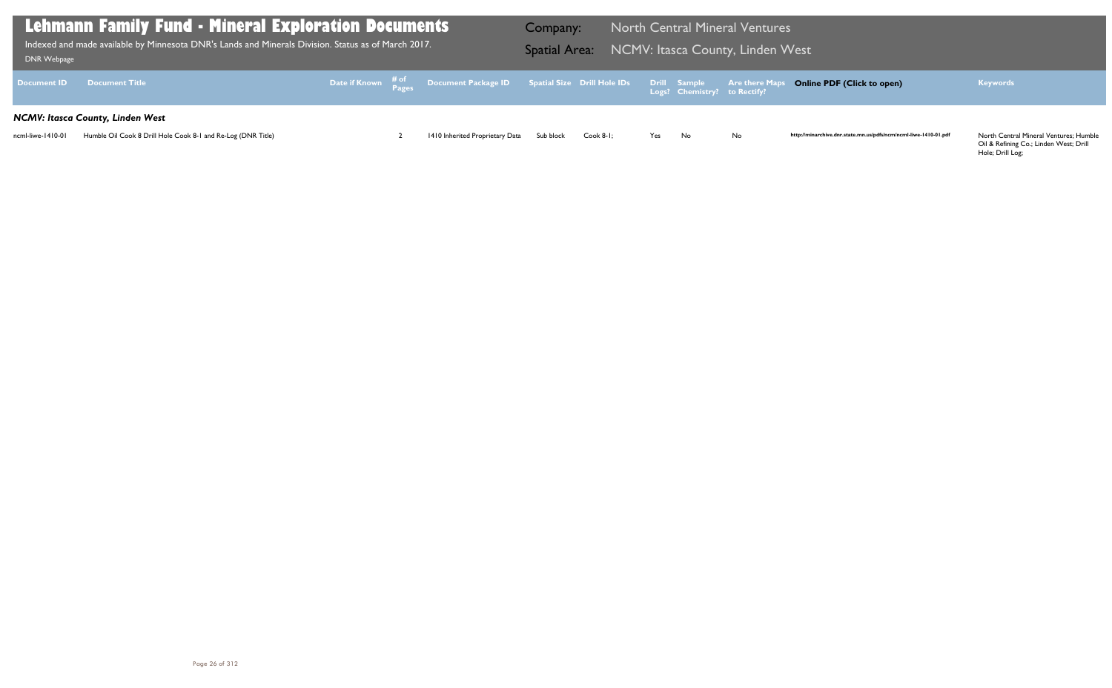Oil & Refining Co.; Linden West; Drill Hole; Drill Log;

| <b>DNR Webpage</b> | Lehmann Family Fund - Mineral Exploration Documents<br>. Indexed and made available by Minnesota DNR's Lands and Minerals Division. Status as of March 2017, |  |                                                                                                                  | <b>Company:</b><br><b>Spatial Area:</b> |              |     |                              | <b>North Central Mineral Ventures</b><br>NCMV: Itasca County, Linden West |          |
|--------------------|--------------------------------------------------------------------------------------------------------------------------------------------------------------|--|------------------------------------------------------------------------------------------------------------------|-----------------------------------------|--------------|-----|------------------------------|---------------------------------------------------------------------------|----------|
| <b>Document ID</b> | <b>Document Title</b>                                                                                                                                        |  | Date if Known $\frac{\text{\# of}}{\text{\# of 2}}$ Document Package ID Spatial Size Drill Hole IDs Drill Sample |                                         |              |     | Logs? Chemistry? to Rectify? | <b>Are there Maps</b> Onli                                                |          |
|                    | <b>NCMV: Itasca County, Linden West</b>                                                                                                                      |  |                                                                                                                  |                                         |              |     |                              |                                                                           |          |
| ncml-liwe-1410-01  | Humble Oil Cook 8 Drill Hole Cook 8-1 and Re-Log (DNR Title)                                                                                                 |  | 1410 Inherited Proprietary Data                                                                                  | Sub block                               | $Cook 8-1$ ; | Yes | No                           | No                                                                        | http://m |

## **Online PDF (Click to open) Keywords**

http://minarchive.dnr.state.mn.us/pdfs/ncm/ncml-liwe-1410-01.pdf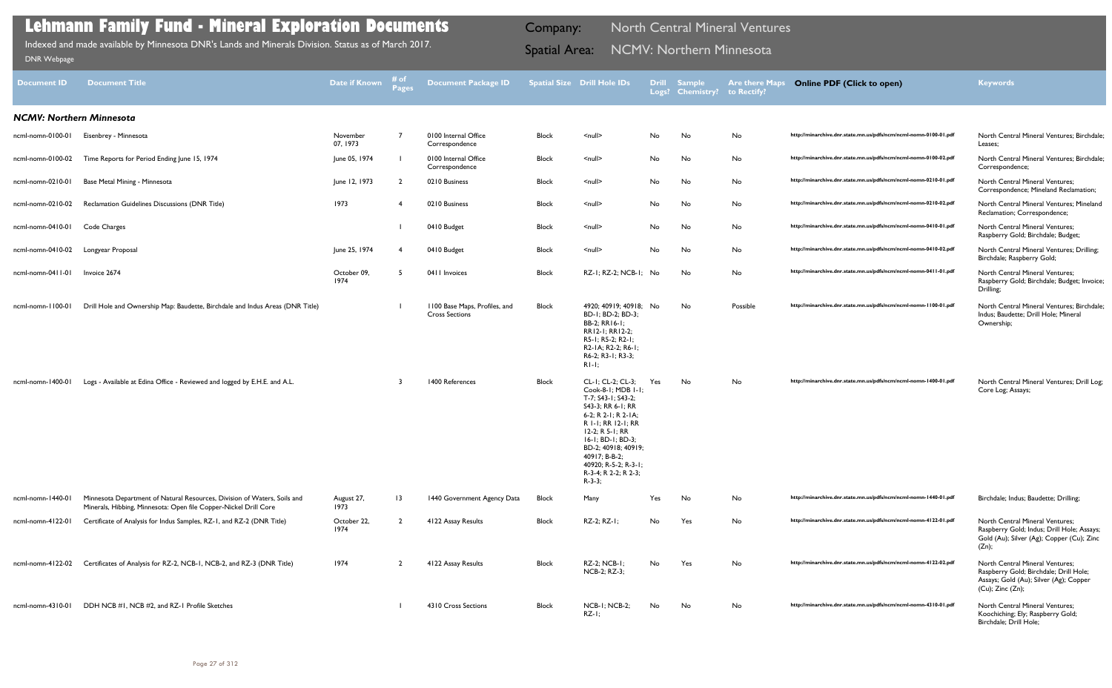| <b>Block</b> | $\leq$ null $\geq$                                                           | No        | No        | No       | http://minarchive.dnr.state.mn.us/pdfs/ncm/ncml-nomn-0100-01.pdf | North Central Mineral Ventures; Birchdale;<br>Leases:                                            |
|--------------|------------------------------------------------------------------------------|-----------|-----------|----------|------------------------------------------------------------------|--------------------------------------------------------------------------------------------------|
| <b>Block</b> | $\leq$ null $\geq$                                                           | <b>No</b> | No        | No       | http://minarchive.dnr.state.mn.us/pdfs/ncm/ncml-nomn-0100-02.pdf | North Central Mineral Ventures; Birchdale;<br>Correspondence;                                    |
| <b>Block</b> | $\leq$ null $\geq$                                                           | No        | No        | No       | http://minarchive.dnr.state.mn.us/pdfs/ncm/ncml-nomn-0210-01.pdf | <b>North Central Mineral Ventures:</b><br>Correspondence; Mineland Reclamation;                  |
| <b>Block</b> | $\leq$ null $\geq$                                                           | No        | No        | No       | http://minarchive.dnr.state.mn.us/pdfs/ncm/ncml-nomn-0210-02.pdf | North Central Mineral Ventures: Mineland<br>Reclamation; Correspondence;                         |
| <b>Block</b> | $\leq$ null $\geq$                                                           | No        | No        | No       | http://minarchive.dnr.state.mn.us/pdfs/ncm/ncml-nomn-0410-01.pdf | <b>North Central Mineral Ventures:</b><br>Raspberry Gold; Birchdale; Budget;                     |
| <b>Block</b> | $\leq$ null $\geq$                                                           | No        | No        | No       | http://minarchive.dnr.state.mn.us/pdfs/ncm/ncml-nomn-0410-02.pdf | North Central Mineral Ventures; Drilling;<br>Birchdale; Raspberry Gold;                          |
| <b>Block</b> | RZ-1; RZ-2; NCB-1; No                                                        |           | No        | No       | http://minarchive.dnr.state.mn.us/pdfs/ncm/ncml-nomn-0411-01.pdf | North Central Mineral Ventures;<br>Raspberry Gold; Birchdale; Budget; Invoice;<br>Drilling;      |
| <b>Block</b> | 4920; 40919; 40918;<br>BD-1: BD-2: BD-3:<br>BB-2; RR16-1;<br>RR12-1; RR12-2; | No        | <b>No</b> | Possible | http://minarchive.dnr.state.mn.us/pdfs/ncm/ncml-nomn-1100-01.pdf | North Central Mineral Ventures; Birchdale;<br>Indus; Baudette; Drill Hole; Mineral<br>Ownership; |

| <b>Document ID</b>              | <b>Document Title</b>                                                                                                                        | <b>Date if Known</b> | # of<br><b>Pages</b> | <b>Document Package ID</b>                             |              | <b>Spatial Size Drill Hole IDs</b>                                                                                                                                                                                                                                          |     | Drill Sample<br>Logs? Chemistry? to Rectify? | <b>Are there Maps</b> | <b>Online PDF (Click to open)</b>                                | <b>Keywords</b>                                                                                                                               |
|---------------------------------|----------------------------------------------------------------------------------------------------------------------------------------------|----------------------|----------------------|--------------------------------------------------------|--------------|-----------------------------------------------------------------------------------------------------------------------------------------------------------------------------------------------------------------------------------------------------------------------------|-----|----------------------------------------------|-----------------------|------------------------------------------------------------------|-----------------------------------------------------------------------------------------------------------------------------------------------|
| <b>NCMV: Northern Minnesota</b> |                                                                                                                                              |                      |                      |                                                        |              |                                                                                                                                                                                                                                                                             |     |                                              |                       |                                                                  |                                                                                                                                               |
| ncml-nomn-0100-01               | Eisenbrey - Minnesota                                                                                                                        | November<br>07, 1973 | $\overline{7}$       | 0100 Internal Office<br>Correspondence                 | Block        | $\leq$ null $\geq$                                                                                                                                                                                                                                                          | No  | No                                           | No                    | http://minarchive.dnr.state.mn.us/pdfs/ncm/ncml-nomn-0100-01.pdf | North Central Mineral Ventures; Birchdale<br>Leases;                                                                                          |
| ncml-nomn-0100-02               | Time Reports for Period Ending June 15, 1974                                                                                                 | June 05, 1974        |                      | 0100 Internal Office<br>Correspondence                 | Block        | $\leq$ null $\geq$                                                                                                                                                                                                                                                          | No  | No                                           | No                    | http://minarchive.dnr.state.mn.us/pdfs/ncm/ncml-nomn-0100-02.pdf | North Central Mineral Ventures; Birchdale<br>Correspondence;                                                                                  |
| ncml-nomn-0210-01               | Base Metal Mining - Minnesota                                                                                                                | June 12, 1973        |                      | 0210 Business                                          | Block        | $\leq$ null $\geq$                                                                                                                                                                                                                                                          | No  | No                                           | No                    | http://minarchive.dnr.state.mn.us/pdfs/ncm/ncml-nomn-0210-01.pdf | <b>North Central Mineral Ventures;</b><br>Correspondence; Mineland Reclamation;                                                               |
| ncml-nomn-0210-02               | Reclamation Guidelines Discussions (DNR Title)                                                                                               | 1973                 |                      | 0210 Business                                          | Block        | $null$                                                                                                                                                                                                                                                                      | No  | No                                           | No                    | http://minarchive.dnr.state.mn.us/pdfs/ncm/ncml-nomn-0210-02.pdf | North Central Mineral Ventures; Mineland<br>Reclamation; Correspondence;                                                                      |
| ncml-nomn-0410-01               | Code Charges                                                                                                                                 |                      |                      | 0410 Budget                                            | <b>Block</b> | $\leq$ null $\geq$                                                                                                                                                                                                                                                          | No  | No                                           | No                    | http://minarchive.dnr.state.mn.us/pdfs/ncm/ncml-nomn-0410-01.pdf | <b>North Central Mineral Ventures;</b><br>Raspberry Gold; Birchdale; Budget;                                                                  |
| ncml-nomn-0410-02               | Longyear Proposal                                                                                                                            | June 25, 1974        |                      | 0410 Budget                                            | Block        | $\leq$ null $\geq$                                                                                                                                                                                                                                                          | No  | No                                           | No                    | http://minarchive.dnr.state.mn.us/pdfs/ncm/ncml-nomn-0410-02.pdf | North Central Mineral Ventures; Drilling;<br>Birchdale; Raspberry Gold;                                                                       |
| ncml-nomn-0411-01               | Invoice 2674                                                                                                                                 | October 09,<br>1974  | -5                   | 0411 Invoices                                          | <b>Block</b> | RZ-1; RZ-2; NCB-1;                                                                                                                                                                                                                                                          | No  | No                                           | No                    | http://minarchive.dnr.state.mn.us/pdfs/ncm/ncml-nomn-0411-01.pdf | North Central Mineral Ventures;<br>Raspberry Gold; Birchdale; Budget; Invoice<br>Drilling;                                                    |
| ncml-nomn-1100-01               | Drill Hole and Ownership Map: Baudette, Birchdale and Indus Areas (DNR Title)                                                                |                      |                      | 1100 Base Maps, Profiles, and<br><b>Cross Sections</b> | Block        | 4920; 40919; 40918; No<br>BD-1; BD-2; BD-3;<br>BB-2; RR16-1;<br>RR12-1; RR12-2;<br>R5-1; R5-2; R2-1;<br>R2-1A; R2-2; R6-1;<br>R6-2; R3-1; R3-3;<br>$R1-1;$                                                                                                                  |     | No                                           | Possible              | http://minarchive.dnr.state.mn.us/pdfs/ncm/ncml-nomn-1100-01.pdf | North Central Mineral Ventures; Birchdale<br>Indus; Baudette; Drill Hole; Mineral<br>Ownership;                                               |
| ncml-nomn-1400-01               | Logs - Available at Edina Office - Reviewed and logged by E.H.E. and A.L.                                                                    |                      | 3                    | 1400 References                                        | <b>Block</b> | CL-1; CL-2; CL-3;<br>Cook-8-1; MDB 1-1;<br>T-7; S43-1; S43-2;<br>S43-3; RR 6-1; RR<br>6-2; R 2-1; R 2-1A;<br>R I-I; RR 12-I; RR<br>12-2; R 5-1; RR<br>16-1; BD-1; BD-3;<br>BD-2; 40918; 40919;<br>40917; B-B-2;<br>40920; R-5-2; R-3-1;<br>R-3-4: R 2-2: R 2-3:<br>$R-3-3;$ | Yes | No                                           | No                    | http://minarchive.dnr.state.mn.us/pdfs/ncm/ncml-nomn-1400-01.pdf | North Central Mineral Ventures; Drill Log;<br>Core Log; Assays;                                                                               |
| ncml-nomn-1440-01               | Minnesota Department of Natural Resources, Division of Waters, Soils and<br>Minerals, Hibbing, Minnesota: Open file Copper-Nickel Drill Core | August 27,<br>1973   | $\overline{13}$      | 1440 Government Agency Data                            | <b>Block</b> | Many                                                                                                                                                                                                                                                                        | Yes | No                                           | No                    | http://minarchive.dnr.state.mn.us/pdfs/ncm/ncml-nomn-1440-01.pdf | Birchdale; Indus; Baudette; Drilling;                                                                                                         |
| ncml-nomn-4122-01               | Certificate of Analysis for Indus Samples, RZ-1, and RZ-2 (DNR Title)                                                                        | October 22,<br>1974  | $\overline{2}$       | 4122 Assay Results                                     | <b>Block</b> | RZ-2; RZ-1;                                                                                                                                                                                                                                                                 | No  | Yes                                          | No                    | http://minarchive.dnr.state.mn.us/pdfs/ncm/ncml-nomn-4122-01.pdf | <b>North Central Mineral Ventures;</b><br>Raspberry Gold; Indus; Drill Hole; Assays;<br>Gold (Au); Silver (Ag); Copper (Cu); Zinc<br>$(Zn)$ ; |
| ncml-nomn-4122-02               | Certificates of Analysis for RZ-2, NCB-1, NCB-2, and RZ-3 (DNR Title)                                                                        | 1974                 | $\overline{2}$       | 4122 Assay Results                                     | <b>Block</b> | RZ-2; NCB-1;<br>NCB-2; RZ-3;                                                                                                                                                                                                                                                | No  | Yes                                          | No                    | http://minarchive.dnr.state.mn.us/pdfs/ncm/ncml-nomn-4122-02.pdf | North Central Mineral Ventures;<br>Raspberry Gold; Birchdale; Drill Hole;<br>Assays; Gold (Au); Silver (Ag); Copper<br>$(Cu)$ ; Zinc $(Zn)$ ; |
| ncml-nomn-4310-01               | DDH NCB #1, NCB #2, and RZ-1 Profile Sketches                                                                                                |                      |                      | 4310 Cross Sections                                    | <b>Block</b> | NCB-1; NCB-2;<br>$RZ-I;$                                                                                                                                                                                                                                                    | No  | No                                           | No                    | http://minarchive.dnr.state.mn.us/pdfs/ncm/ncml-nomn-4310-01.pdf | North Central Mineral Ventures;<br>Koochiching; Ely; Raspberry Gold;                                                                          |

| Yes | No  | No | http://minarchive.dnr.state.mn.us/pdfs/ncm/ncml-nomn-1440-01.pdf | Birchdale; Indus; Baudette; Drilling;                                                                                                                |
|-----|-----|----|------------------------------------------------------------------|------------------------------------------------------------------------------------------------------------------------------------------------------|
| No  | Yes | No | http://minarchive.dnr.state.mn.us/pdfs/ncm/ncml-nomn-4122-01.pdf | <b>North Central Mineral Ventures:</b><br>Raspberry Gold; Indus; Drill Hole; Assays;<br>Gold (Au); Silver (Ag); Copper (Cu); Zinc<br>(Zn);           |
| No  | Yes | No | http://minarchive.dnr.state.mn.us/pdfs/ncm/ncml-nomn-4122-02.pdf | <b>North Central Mineral Ventures:</b><br>Raspberry Gold; Birchdale; Drill Hole;<br>Assays; Gold (Au); Silver (Ag); Copper<br>$(Cu)$ ; Zinc $(Zn)$ ; |
| No  | No  | No | http://minarchive.dnr.state.mn.us/pdfs/ncm/ncml-nomn-4310-01.pdf | <b>North Central Mineral Ventures:</b><br>Koochiching; Ely; Raspberry Gold;<br>Birchdale: Drill Hole:                                                |

## **Lehmann Family Fund - Mineral Exploration Documents**

Indexed and made available by Minnesota DNR's Lands and Minerals Division. Status as of March 2017. **Spatial Area: NCMV: Northern Minnesota** کام Spatial Area: NCMV: Northern Minnesota

Company: North Central Mineral Ventures

### **Online PDF (Click to open) Keywords**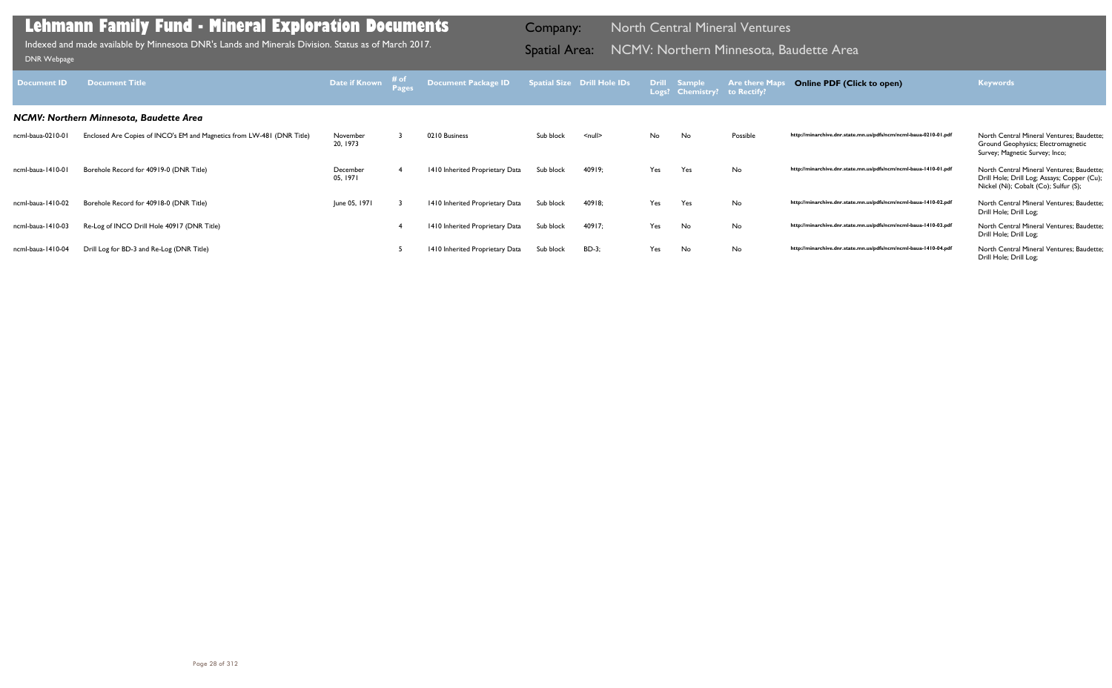| Document ID       | <b>Document Title</b>                                                  | Date if Known # of   | <b>Document Package ID</b>      |           | Spatial Size Drill Hole IDs |     | Drill Sample<br>Logs? Chemistry? to Rectify? | <b>Are there Maps</b> | <b>Online PDF (Click to open)</b>                                | <b>Keywords</b>                                                                                                                   |
|-------------------|------------------------------------------------------------------------|----------------------|---------------------------------|-----------|-----------------------------|-----|----------------------------------------------|-----------------------|------------------------------------------------------------------|-----------------------------------------------------------------------------------------------------------------------------------|
|                   | NCMV: Northern Minnesota, Baudette Area                                |                      |                                 |           |                             |     |                                              |                       |                                                                  |                                                                                                                                   |
| ncml-baua-0210-01 | Enclosed Are Copies of INCO's EM and Magnetics from LW-481 (DNR Title) | November<br>20, 1973 | 0210 Business                   | Sub block | $null$                      | No. | No                                           | Possible              | http://minarchive.dnr.state.mn.us/pdfs/ncm/ncml-baua-0210-01.pdf | North Central Mineral Ventures; Baudette;<br>Ground Geophysics; Electromagnetic<br>Survey; Magnetic Survey; Inco;                 |
| ncml-baua-1410-01 | Borehole Record for 40919-0 (DNR Title)                                | December<br>05, 1971 | 1410 Inherited Proprietary Data | Sub block | 40919;                      | Yes | Yes                                          | No                    | http://minarchive.dnr.state.mn.us/pdfs/ncm/ncml-baua-1410-01.pdf | North Central Mineral Ventures; Baudette;<br>Drill Hole; Drill Log; Assays; Copper (Cu);<br>Nickel (Ni); Cobalt (Co); Sulfur (S); |
| ncml-baua-1410-02 | Borehole Record for 40918-0 (DNR Title)                                | June 05, 1971        | 1410 Inherited Proprietary Data | Sub block | 40918;                      | Yes | Yes                                          | No                    | http://minarchive.dnr.state.mn.us/pdfs/ncm/ncml-baua-1410-02.pdf | North Central Mineral Ventures; Baudette;<br>Drill Hole; Drill Log;                                                               |
| ncml-baua-1410-03 | Re-Log of INCO Drill Hole 40917 (DNR Title)                            |                      | 1410 Inherited Proprietary Data | Sub block | 40917;                      | Yes | No                                           | No                    | http://minarchive.dnr.state.mn.us/pdfs/ncm/ncml-baua-1410-03.pdf | North Central Mineral Ventures; Baudette;<br>Drill Hole; Drill Log;                                                               |
| ncml-baua-1410-04 | Drill Log for BD-3 and Re-Log (DNR Title)                              |                      | 1410 Inherited Proprietary Data | Sub block | BD-3;                       | Yes | No                                           | No                    | http://minarchive.dnr.state.mn.us/pdfs/ncm/ncml-baua-1410-04.pdf | North Central Mineral Ventures; Baudette;<br>Drill Hole; Drill Log;                                                               |

Indexed and made available by Minnesota DNR's Lands and Minerals Division. Status as of March 2017. **Spatial Area: NCMV: Northern Minnesota, Baudette Area** DNR Webpage Indexed and made available by Minnesota DNR's Lands and Minerals Division. Status as of March 2017.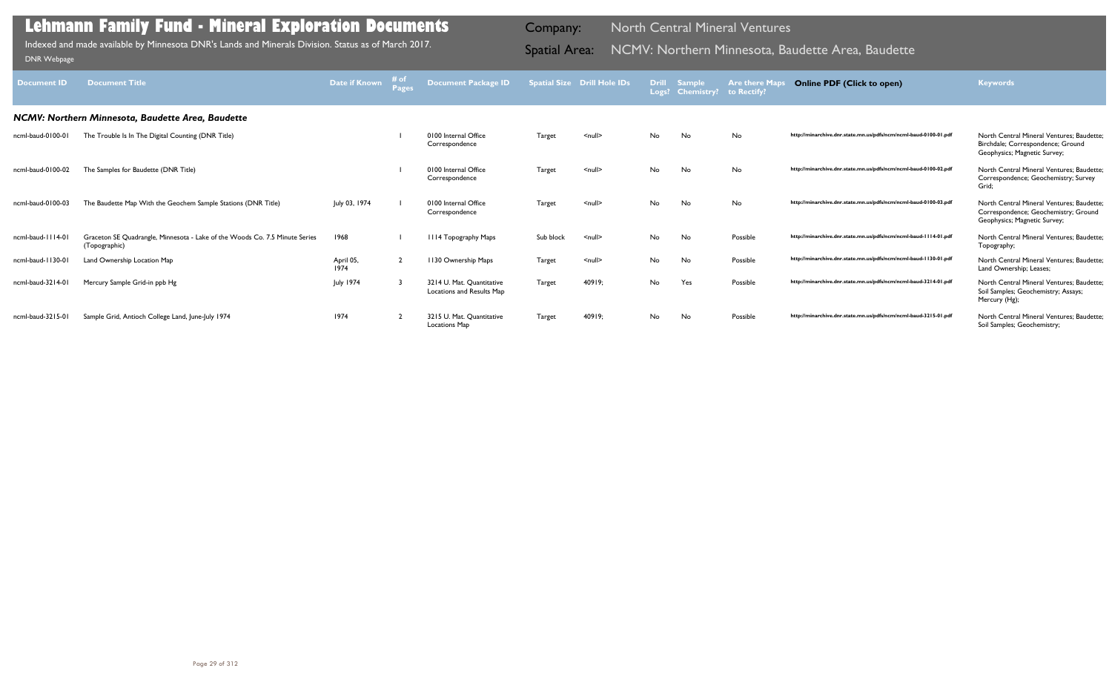| <b>Document ID</b> | <b>Document Title</b>                                                                        | Date if Known     | Document Package ID                                    |               | <b>Spatial Size Drill Hole IDs</b> | <b>Drill</b> | <b>Sample</b><br>Logs? Chemistry? | <b>Are there Maps</b><br>to Rectify? | <b>Online PDF (Click to open)</b>                                | <b>Keywords</b>                                                                                                   |
|--------------------|----------------------------------------------------------------------------------------------|-------------------|--------------------------------------------------------|---------------|------------------------------------|--------------|-----------------------------------|--------------------------------------|------------------------------------------------------------------|-------------------------------------------------------------------------------------------------------------------|
|                    | NCMV: Northern Minnesota, Baudette Area, Baudette                                            |                   |                                                        |               |                                    |              |                                   |                                      |                                                                  |                                                                                                                   |
| ncml-baud-0100-01  | The Trouble Is In The Digital Counting (DNR Title)                                           |                   | 0100 Internal Office<br>Correspondence                 | <b>Target</b> | $\leq$ null $\geq$                 | <b>No</b>    | No                                | No                                   | http://minarchive.dnr.state.mn.us/pdfs/ncm/ncml-baud-0100-01.pdf | North Central Mineral Ventures: Baudette:<br>Birchdale; Correspondence; Ground<br>Geophysics; Magnetic Survey;    |
| ncml-baud-0100-02  | The Samples for Baudette (DNR Title)                                                         |                   | 0100 Internal Office<br>Correspondence                 | Target        | $\leq$ null $\geq$                 | <b>No</b>    | No                                | No                                   | http://minarchive.dnr.state.mn.us/pdfs/ncm/ncml-baud-0100-02.pdf | North Central Mineral Ventures: Baudette:<br>Correspondence; Geochemistry; Survey<br>Grid;                        |
| ncml-baud-0100-03  | The Baudette Map With the Geochem Sample Stations (DNR Title)                                | July 03, 1974     | 0100 Internal Office<br>Correspondence                 | <b>Target</b> | $\leq$ null $\geq$                 | No.          | No                                | No                                   | http://minarchive.dnr.state.mn.us/pdfs/ncm/ncml-baud-0100-03.pdf | North Central Mineral Ventures: Baudette:<br>Correspondence; Geochemistry; Ground<br>Geophysics; Magnetic Survey; |
| ncml-baud-1114-01  | Graceton SE Quadrangle, Minnesota - Lake of the Woods Co. 7.5 Minute Series<br>(Topographic) | 1968              | III4 Topography Maps                                   | Sub block     | $\leq$ null $\geq$                 | No.          | No                                | Possible                             | http://minarchive.dnr.state.mn.us/pdfs/ncm/ncml-baud-1114-01.pdf | North Central Mineral Ventures: Baudette:<br>Topography;                                                          |
| ncml-baud-1130-01  | Land Ownership Location Map                                                                  | April 05,<br>1974 | 1130 Ownership Maps                                    | Target        | $\leq$ null $\geq$                 | No           | No                                | Possible                             | http://minarchive.dnr.state.mn.us/pdfs/ncm/ncml-baud-1130-01.pdf | North Central Mineral Ventures: Baudette:<br>Land Ownership; Leases;                                              |
| ncml-baud-3214-01  | Mercury Sample Grid-in ppb Hg                                                                | July 1974         | 3214 U. Mat. Quantitative<br>Locations and Results Map | Target        | 40919;                             | No.          | Yes                               | Possible                             | http://minarchive.dnr.state.mn.us/pdfs/ncm/ncml-baud-3214-01.pdf | North Central Mineral Ventures: Baudette:<br>Soil Samples; Geochemistry; Assays;<br>Mercury (Hg);                 |
| ncml-baud-3215-01  | Sample Grid, Antioch College Land, June-July 1974                                            | 1974              | 3215 U. Mat. Quantitative<br><b>Locations Map</b>      | Target        | 40919;                             | No.          | No                                | Possible                             | http://minarchive.dnr.state.mn.us/pdfs/ncm/ncml-baud-3215-01.pdf | North Central Mineral Ventures; Baudette;<br>Soil Samples; Geochemistry;                                          |

Indexed and made available by Minnesota DNR's Lands and Minerals Division. Status as of March 2017. **Spatial Area: NCMV: Northern Minnesota, Baudette Area, Baudette B**rea, Baudette Area, Baudette Area, Baudette Area, Baude Indexed and made available by Minnesota DNR's Lands and Minerals Division. Status as of March 2017.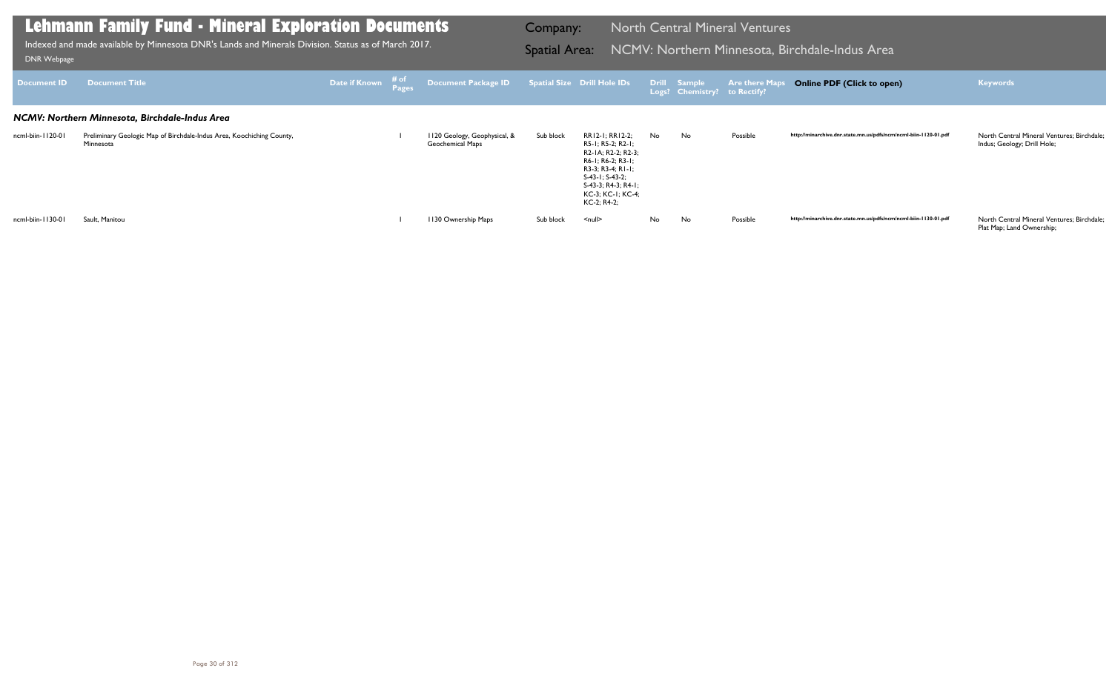| Document <b>ID</b> | <b>Document Title</b>                                                              |  | Date if Known $\frac{\text{\# of}}{\text{Page}}$ Document Package ID Spatial Size Drill Hole IDs Drill Sample Are there Maps |           |                                                                                                                                                                                             |    | Logs? Chemistry? to Rectify? |          | <b>Online PDF (Click to open)</b>                                | <b>Keywords</b>                                                           |
|--------------------|------------------------------------------------------------------------------------|--|------------------------------------------------------------------------------------------------------------------------------|-----------|---------------------------------------------------------------------------------------------------------------------------------------------------------------------------------------------|----|------------------------------|----------|------------------------------------------------------------------|---------------------------------------------------------------------------|
|                    | NCMV: Northern Minnesota, Birchdale-Indus Area                                     |  |                                                                                                                              |           |                                                                                                                                                                                             |    |                              |          |                                                                  |                                                                           |
| ncml-biin-1120-01  | Preliminary Geologic Map of Birchdale-Indus Area, Koochiching County,<br>Minnesota |  | 1120 Geology, Geophysical, &<br>Geochemical Maps                                                                             | Sub block | RR12-1; RR12-2;<br>R5-1; R5-2; R2-1;<br>R2-1A; R2-2; R2-3;<br>R6-1; R6-2; R3-1;<br>$R3-3$ ; $R3-4$ ; $R1-1$ ;<br>S-43-1; S-43-2;<br>S-43-3; R4-3; R4-1;<br>KC-3; KC-1; KC-4;<br>KC-2; R4-2; | No | No                           | Possible | http://minarchive.dnr.state.mn.us/pdfs/ncm/ncml-biin-1120-01.pdf | North Central Mineral Ventures; Birchdale;<br>Indus; Geology; Drill Hole; |
| ncml-biin-1130-01  | Sault, Manitou                                                                     |  | 1130 Ownership Maps                                                                                                          | Sub block | <null></null>                                                                                                                                                                               | No | No.                          | Possible | http://minarchive.dnr.state.mn.us/pdfs/ncm/ncml-biin-1130-01.pdf | North Central Mineral Ventures; Birchdale;                                |

Plat Map; Land Ownership;

## **Lehmann Family Fund - Mineral Exploration Documents**

Indexed and made available by Minnesota DNR's Lands and Minerals Division. Status as of March 2017. Spatial Area: NCMV: Northern Minnesota, Birchdale-Indus Area DNR Webpage Indexed and made available by Minnesota DNR's Lands and Minerals Division. Status as of March 2017.

Company: North Central Mineral Ventures

### **Online PDF (Click to open) Keywords**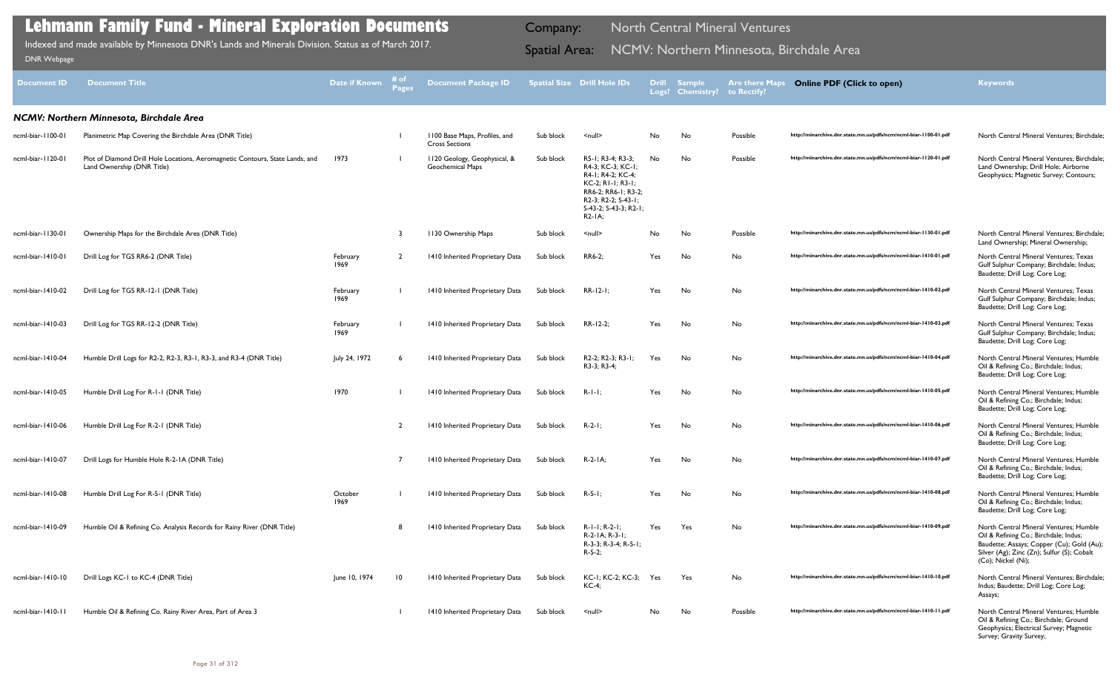| <b>Document ID</b>   | <b>Document Title</b>                                                                                       | Date if Known    | # of<br><b>Pages</b> | <b>Document Package ID</b>                             |           | <b>Spatial Size Drill Hole IDs</b>                                                                                                                                   | <b>Drill</b><br>Logs? | <b>Sample</b><br><b>Chemistry?</b> | <b>Are there Maps</b><br>to Rectify? | <b>Online PDF (Click to open)</b>                                | <b>Keywords</b>                                                                                                                                                                                  |
|----------------------|-------------------------------------------------------------------------------------------------------------|------------------|----------------------|--------------------------------------------------------|-----------|----------------------------------------------------------------------------------------------------------------------------------------------------------------------|-----------------------|------------------------------------|--------------------------------------|------------------------------------------------------------------|--------------------------------------------------------------------------------------------------------------------------------------------------------------------------------------------------|
|                      | NCMV: Northern Minnesota, Birchdale Area                                                                    |                  |                      |                                                        |           |                                                                                                                                                                      |                       |                                    |                                      |                                                                  |                                                                                                                                                                                                  |
| ncml-biar-1100-01    | Planimetric Map Covering the Birchdale Area (DNR Title)                                                     |                  |                      | 1100 Base Maps, Profiles, and<br><b>Cross Sections</b> | Sub block | $\leq$ null $\geq$                                                                                                                                                   | No                    | No                                 | Possible                             | http://minarchive.dnr.state.mn.us/pdfs/ncm/ncml-biar-1100-01.pdf | North Central Mineral Ventures; Birchdale;                                                                                                                                                       |
| ncml-biar-1120-01    | Plot of Diamond Drill Hole Locations, Aeromagnetic Contours, State Lands, and<br>Land Ownership (DNR Title) | 1973             |                      | 1120 Geology, Geophysical, &<br>Geochemical Maps       | Sub block | R5-1; R3-4; R3-3;<br>R4-3; KC-3; KC-1;<br>R4-1; R4-2; KC-4;<br>KC-2: RI-1: R3-1:<br>RR6-2; RR6-1; R3-2;<br>R2-3; R2-2; S-43-1;<br>S-43-2; S-43-3; R2-1;<br>$R2-IA$ ; | No                    | No                                 | Possible                             | http://minarchive.dnr.state.mn.us/pdfs/ncm/ncml-biar-1120-01.pdf | North Central Mineral Ventures; Birchdale;<br>Land Ownership; Drill Hole; Airborne<br>Geophysics; Magnetic Survey; Contours;                                                                     |
| ncml-biar-1130-01    | Ownership Maps for the Birchdale Area (DNR Title)                                                           |                  | -3                   | 1130 Ownership Maps                                    | Sub block | $\leq$ null $\geq$                                                                                                                                                   | No                    | No                                 | Possible                             | http://minarchive.dnr.state.mn.us/pdfs/ncm/ncml-biar-1130-01.pdf | North Central Mineral Ventures; Birchdale;<br>Land Ownership; Mineral Ownership;                                                                                                                 |
| ncml-biar-1410-01    | Drill Log for TGS RR6-2 (DNR Title)                                                                         | February<br>1969 |                      | 1410 Inherited Proprietary Data                        | Sub block | RR6-2;                                                                                                                                                               | Yes                   | No                                 | No                                   | http://minarchive.dnr.state.mn.us/pdfs/ncm/ncml-biar-1410-01.pdf | North Central Mineral Ventures; Texas<br>Gulf Sulphur Company; Birchdale; Indus;<br>Baudette; Drill Log; Core Log;                                                                               |
| ncml-biar-1410-02    | Drill Log for TGS RR-12-1 (DNR Title)                                                                       | February<br>1969 |                      | 1410 Inherited Proprietary Data                        | Sub block | $RR-12-1;$                                                                                                                                                           | Yes                   | No                                 | No                                   | http://minarchive.dnr.state.mn.us/pdfs/ncm/ncml-biar-1410-02.pdf | North Central Mineral Ventures; Texas<br>Gulf Sulphur Company; Birchdale; Indus;<br>Baudette; Drill Log; Core Log;                                                                               |
| $n$ cml-biar-1410-03 | Drill Log for TGS RR-12-2 (DNR Title)                                                                       | February<br>1969 |                      | 1410 Inherited Proprietary Data                        | Sub block | RR-12-2;                                                                                                                                                             | Yes                   | No                                 | No                                   | http://minarchive.dnr.state.mn.us/pdfs/ncm/ncml-biar-1410-03.pdf | North Central Mineral Ventures; Texas<br>Gulf Sulphur Company; Birchdale; Indus;<br>Baudette; Drill Log; Core Log;                                                                               |
| ncml-biar-1410-04    | Humble Drill Logs for R2-2, R2-3, R3-1, R3-3, and R3-4 (DNR Title)                                          | July 24, 1972    |                      | 1410 Inherited Proprietary Data                        | Sub block | R2-2; R2-3; R3-1;<br>R3-3; R3-4;                                                                                                                                     | Yes                   | No                                 | No                                   | http://minarchive.dnr.state.mn.us/pdfs/ncm/ncml-biar-1410-04.pdf | North Central Mineral Ventures; Humble<br>Oil & Refining Co.; Birchdale; Indus;<br>Baudette; Drill Log; Core Log;                                                                                |
| ncml-biar-1410-05    | Humble Drill Log For R-1-1 (DNR Title)                                                                      | 1970             |                      | 1410 Inherited Proprietary Data                        | Sub block | $R-1-1$ ;                                                                                                                                                            | Yes                   | No                                 | No                                   | http://minarchive.dnr.state.mn.us/pdfs/ncm/ncml-biar-1410-05.pdf | North Central Mineral Ventures; Humble<br>Oil & Refining Co.; Birchdale; Indus;<br>Baudette; Drill Log; Core Log;                                                                                |
| ncml-biar-1410-06    | Humble Drill Log For R-2-1 (DNR Title)                                                                      |                  | $\overline{2}$       | 1410 Inherited Proprietary Data                        | Sub block | $R-2-1;$                                                                                                                                                             | Yes                   | No                                 | No                                   | http://minarchive.dnr.state.mn.us/pdfs/ncm/ncml-biar-1410-06.pdf | North Central Mineral Ventures; Humble<br>Oil & Refining Co.; Birchdale; Indus;<br>Baudette; Drill Log; Core Log;                                                                                |
|                      | ncml-biar-1410-07 Drill Logs for Humble Hole R-2-1A (DNR Title)                                             |                  |                      | 1410 Inherited Proprietary Data Sub block R-2-1A;      |           |                                                                                                                                                                      | Yes                   | No                                 |                                      | http://minarchive.dnr.state.mn.us/pdfs/ncm/ncml-biar-1410-07.pdf | North Central Mineral Ventures; Humble<br>Oil & Refining Co.; Birchdale; Indus;<br>Baudette; Drill Log; Core Log;                                                                                |
| ncml-biar-1410-08    | Humble Drill Log For R-5-1 (DNR Title)                                                                      | October<br>1969  |                      | 1410 Inherited Proprietary Data                        | Sub block | $R - 5 - 1$ ;                                                                                                                                                        | Yes                   | No                                 | No                                   | http://minarchive.dnr.state.mn.us/pdfs/ncm/ncml-biar-1410-08.pdf | North Central Mineral Ventures: Humble<br>Oil & Refining Co.; Birchdale; Indus;<br>Baudette; Drill Log; Core Log;                                                                                |
| ncml-biar-1410-09    | Humble Oil & Refining Co. Analysis Records for Rainy River (DNR Title)                                      |                  |                      | 1410 Inherited Proprietary Data                        | Sub block | $R-I-I$ ; $R-2-I$ ;<br>R-2-1A; R-3-1;<br>R-3-3; R-3-4; R-5-1;<br>$R - 5 - 2$ ;                                                                                       | Yes                   | Yes                                | No                                   | http://minarchive.dnr.state.mn.us/pdfs/ncm/ncml-biar-1410-09.pdf | North Central Mineral Ventures; Humble<br>Oil & Refining Co.; Birchdale; Indus;<br>Baudette; Assays; Copper (Cu); Gold (Au);<br>Silver (Ag); Zinc (Zn); Sulfur (S); Cobalt<br>(Co); Nickel (Ni); |
| ncml-biar-1410-10    | Drill Logs KC-1 to KC-4 (DNR Title)                                                                         | June 10, 1974    | $\overline{10}$      | 1410 Inherited Proprietary Data                        | Sub block | KC-1; KC-2; KC-3;<br>$KC-4;$                                                                                                                                         | Yes                   | Yes                                | No                                   | http://minarchive.dnr.state.mn.us/pdfs/ncm/ncml-biar-1410-10.pdf | North Central Mineral Ventures; Birchdale;<br>Indus; Baudette; Drill Log; Core Log;<br>Assays;                                                                                                   |
| ncml-biar-1410-11    | Humble Oil & Refining Co. Rainy River Area, Part of Area 3                                                  |                  |                      | 1410 Inherited Proprietary Data                        | Sub block | $\leq$ null $\geq$                                                                                                                                                   | No                    | No                                 | Possible                             | http://minarchive.dnr.state.mn.us/pdfs/ncm/ncml-biar-1410-11.pdf | North Central Mineral Ventures; Humble<br>Oil & Refining Co.; Birchdale; Ground<br>Geophysics; Electrical Survey; Magnetic<br>Survey; Gravity Survey;                                            |

Indexed and made available by Minnesota DNR's Lands and Minerals Division. Status as of March 2017. Spatial Area: NCMV: Northern Minnesota, Birchdale Area DNR Webpage Indexed and made available by Minnesota DNR's Lands and Minerals Division. Status as of March 2017.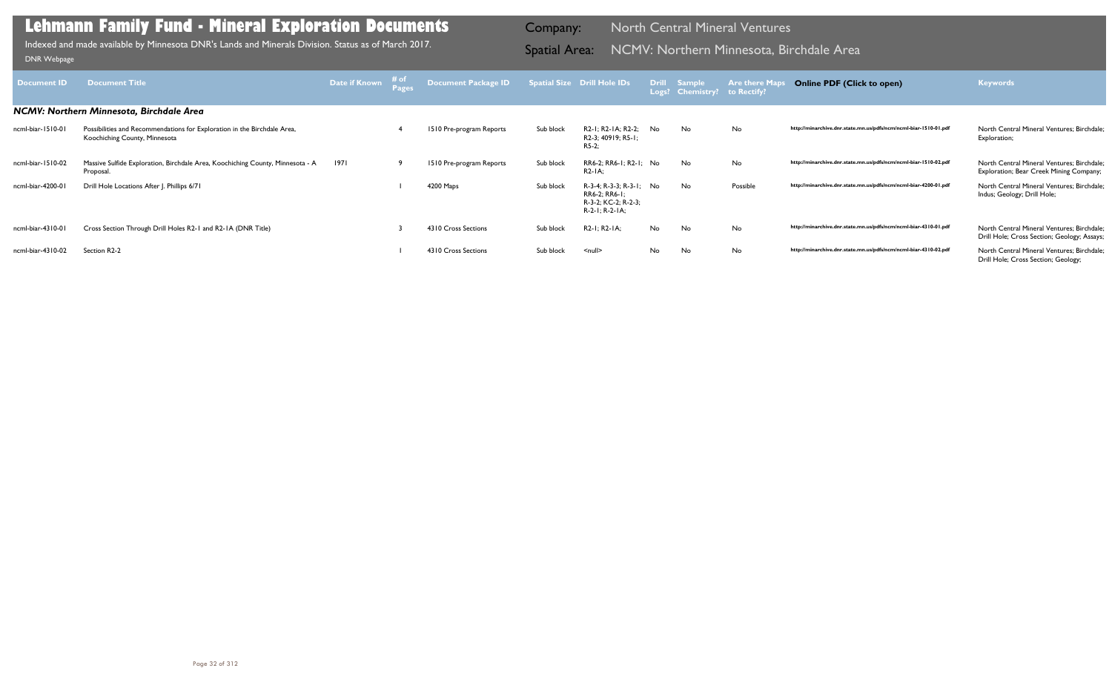| <b>Document ID</b> | <b>Document Title</b>                                                                                     | Date if Known | $\begin{array}{c}\n\text{# of } \\ \text{Pages}\n\end{array}$ | Document Package ID Spatial Size Drill Hole IDs |           |                                                                                   |     | Drill Sample<br>Logs? Chemistry? to Rectify? | <b>Are there Maps</b> | <b>Online PDF (Click to open)</b>                                | <b>Keywords</b>                                                                           |
|--------------------|-----------------------------------------------------------------------------------------------------------|---------------|---------------------------------------------------------------|-------------------------------------------------|-----------|-----------------------------------------------------------------------------------|-----|----------------------------------------------|-----------------------|------------------------------------------------------------------|-------------------------------------------------------------------------------------------|
|                    | NCMV: Northern Minnesota, Birchdale Area                                                                  |               |                                                               |                                                 |           |                                                                                   |     |                                              |                       |                                                                  |                                                                                           |
| ncml-biar-1510-01  | Possibilities and Recommendations for Exploration in the Birchdale Area,<br>Koochiching County, Minnesota |               |                                                               | 1510 Pre-program Reports                        | Sub block | R2-1; R2-1A; R2-2;<br>R2-3; 40919; R5-1;<br>$R5-2:$                               | No. | No.                                          | <b>No</b>             | http://minarchive.dnr.state.mn.us/pdfs/ncm/ncml-biar-1510-01.pdf | North Central Mineral Ventures: Birchdale:<br>Exploration;                                |
| ncml-biar-1510-02  | Massive Sulfide Exploration, Birchdale Area, Koochiching County, Minnesota - A<br>Proposal.               | 1971          | -9                                                            | 1510 Pre-program Reports                        | Sub block | RR6-2; RR6-1; R2-1; No<br>$R2-IA$ :                                               |     | No                                           | No                    | http://minarchive.dnr.state.mn.us/pdfs/ncm/ncml-biar-1510-02.pdf | North Central Mineral Ventures; Birchdale;<br>Exploration; Bear Creek Mining Company;     |
| ncml-biar-4200-01  | Drill Hole Locations After J. Phillips 6/71                                                               |               |                                                               | 4200 Maps                                       | Sub block | R-3-4; R-3-3; R-3-1; No<br>RR6-2; RR6-1;<br>R-3-2; KC-2; R-2-3;<br>R-2-1; R-2-1A; |     | No.                                          | Possible              | http://minarchive.dnr.state.mn.us/pdfs/ncm/ncml-biar-4200-01.pdf | North Central Mineral Ventures: Birchdale:<br>Indus; Geology; Drill Hole;                 |
| ncml-biar-4310-01  | Cross Section Through Drill Holes R2-1 and R2-1A (DNR Title)                                              |               |                                                               | 4310 Cross Sections                             | Sub block | R2-1; R2-1A;                                                                      | No  | No                                           | No                    | http://minarchive.dnr.state.mn.us/pdfs/ncm/ncml-biar-4310-01.pdf | North Central Mineral Ventures; Birchdale;<br>Drill Hole; Cross Section; Geology; Assays; |
| ncml-biar-4310-02  | Section R2-2                                                                                              |               |                                                               | 4310 Cross Sections                             | Sub block | $null$                                                                            | No  | No                                           | No                    | http://minarchive.dnr.state.mn.us/pdfs/ncm/ncml-biar-4310-02.pdf | North Central Mineral Ventures; Birchdale;<br>Drill Hole; Cross Section; Geology;         |

Indexed and made available by Minnesota DNR's Lands and Minerals Division. Status as of March 2017. **Spatial Area: NCMV: Northern Minnesota, Birchdale Area** DNR Webpage Indexed and made available by Minnesota DNR's Lands and Minerals Division. Status as of March 2017.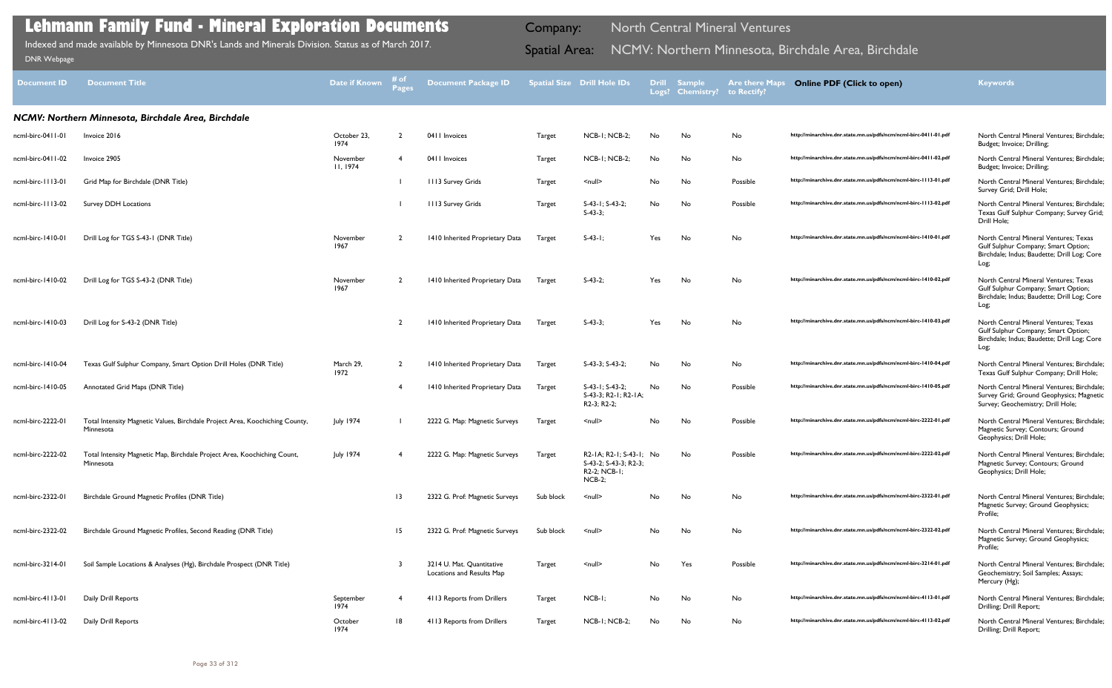| <b>Document ID</b>     | <b>Document Title</b>                                                                     | Date if Known       | # of<br><b>Pages</b> | <b>Document Package ID</b>                             |               | <b>Spatial Size Drill Hole IDs</b>                                               | <b>Drill</b> | <b>Sample</b><br>Logs? Chemistry? | <b>Are there Maps</b><br>to Rectify? | <b>Online PDF (Click to open)</b>                                | <b>Keywords</b>                                                                                                                     |
|------------------------|-------------------------------------------------------------------------------------------|---------------------|----------------------|--------------------------------------------------------|---------------|----------------------------------------------------------------------------------|--------------|-----------------------------------|--------------------------------------|------------------------------------------------------------------|-------------------------------------------------------------------------------------------------------------------------------------|
|                        | NCMV: Northern Minnesota, Birchdale Area, Birchdale                                       |                     |                      |                                                        |               |                                                                                  |              |                                   |                                      |                                                                  |                                                                                                                                     |
| ncml-birc-0411-01      | Invoice 2016                                                                              | October 23,<br>1974 |                      | 0411 Invoices                                          | <b>Target</b> | NCB-1; NCB-2;                                                                    | No           | No                                | No                                   | http://minarchive.dnr.state.mn.us/pdfs/ncm/ncml-birc-0411-01.pdf | North Central Mineral Ventures; Birchdale;<br>Budget; Invoice; Drilling;                                                            |
| ncml-birc-0411-02      | Invoice 2905                                                                              | November<br>11.1974 |                      | 0411 Invoices                                          | Target        | NCB-1; NCB-2;                                                                    | No           | No                                | No                                   | http://minarchive.dnr.state.mn.us/pdfs/ncm/ncml-birc-0411-02.pdf | North Central Mineral Ventures; Birchdale:<br>Budget; Invoice; Drilling;                                                            |
| ncml-birc-         3-0 | Grid Map for Birchdale (DNR Title)                                                        |                     |                      | 1113 Survey Grids                                      | <b>Target</b> | $null$                                                                           | No           | No                                | Possible                             | http://minarchive.dnr.state.mn.us/pdfs/ncm/ncml-birc-1113-01.pdf | North Central Mineral Ventures; Birchdale;<br>Survey Grid; Drill Hole;                                                              |
| ncml-birc-1113-02      | <b>Survey DDH Locations</b>                                                               |                     |                      | 1113 Survey Grids                                      | <b>Target</b> | $S-43-1$ ; $S-43-2$ ;<br>$S-43-3$ ;                                              | No           | No                                | Possible                             | http://minarchive.dnr.state.mn.us/pdfs/ncm/ncml-birc-1113-02.pdf | North Central Mineral Ventures; Birchdale;<br>Texas Gulf Sulphur Company; Survey Grid;<br>Drill Hole;                               |
| ncml-birc-1410-01      | Drill Log for TGS S-43-1 (DNR Title)                                                      | November<br>1967    |                      | 1410 Inherited Proprietary Data                        | Target        | $S-43-1$ ;                                                                       | Yes          | No                                | No                                   | http://minarchive.dnr.state.mn.us/pdfs/ncm/ncml-birc-1410-01.pdf | North Central Mineral Ventures; Texas<br>Gulf Sulphur Company; Smart Option;<br>Birchdale; Indus; Baudette; Drill Log; Core<br>Log; |
| ncml-birc-1410-02      | Drill Log for TGS S-43-2 (DNR Title)                                                      | November<br>1967    |                      | 1410 Inherited Proprietary Data                        | Target        | $S-43-2;$                                                                        | Yes          | No                                | No                                   | http://minarchive.dnr.state.mn.us/pdfs/ncm/ncml-birc-1410-02.pdf | North Central Mineral Ventures; Texas<br>Gulf Sulphur Company; Smart Option;<br>Birchdale; Indus; Baudette; Drill Log; Core<br>Log; |
| ncml-birc-1410-03      | Drill Log for S-43-2 (DNR Title)                                                          |                     | $\overline{2}$       | 1410 Inherited Proprietary Data                        | Target        | $S-43-3;$                                                                        | Yes          | No                                | No                                   | http://minarchive.dnr.state.mn.us/pdfs/ncm/ncml-birc-1410-03.pdf | North Central Mineral Ventures; Texas<br>Gulf Sulphur Company; Smart Option;<br>Birchdale; Indus; Baudette; Drill Log; Core<br>Log; |
| ncml-birc-1410-04      | Texas Gulf Sulphur Company, Smart Option Drill Holes (DNR Title)                          | March 29,<br>1972   | $\overline{2}$       | 1410 Inherited Proprietary Data                        | Target        | S-43-3; S-43-2;                                                                  | No           | No                                | No                                   | http://minarchive.dnr.state.mn.us/pdfs/ncm/ncml-birc-1410-04.pdf | North Central Mineral Ventures; Birchdale;<br>Texas Gulf Sulphur Company; Drill Hole;                                               |
| ncml-birc-1410-05      | Annotated Grid Maps (DNR Title)                                                           |                     |                      | 1410 Inherited Proprietary Data                        | Target        | S-43-1; S-43-2;<br>S-43-3; R2-1; R2-1A;<br>R <sub>2</sub> -3; R <sub>2</sub> -2; | No           | No                                | Possible                             | http://minarchive.dnr.state.mn.us/pdfs/ncm/ncml-birc-1410-05.pdf | North Central Mineral Ventures; Birchdale;<br>Survey Grid; Ground Geophysics; Magnetic<br>Survey; Geochemistry; Drill Hole;         |
| ncml-birc-2222-01      | Total Intensity Magnetic Values, Birchdale Project Area, Koochiching County,<br>Minnesota | <b>July 1974</b>    |                      | 2222 G. Map: Magnetic Surveys                          | Target        | $\leq$ null $\geq$                                                               | No           | No                                | Possible                             | http://minarchive.dnr.state.mn.us/pdfs/ncm/ncml-birc-2222-01.pdf | North Central Mineral Ventures; Birchdale;<br>Magnetic Survey; Contours; Ground<br>Geophysics; Drill Hole;                          |
| ncml-birc-2222-02      | Total Intensity Magnetic Map, Birchdale Project Area, Koochiching Count,<br>Minnesota     | July 1974           |                      | 2222 G. Map: Magnetic Surveys                          | Target        | R2-1A; R2-1; S-43-1; No<br>S-43-2; S-43-3; R2-3;<br>R2-2; NCB-1;<br>$NCB-2;$     |              | No                                | Possible                             | http://minarchive.dnr.state.mn.us/pdfs/ncm/ncml-birc-2222-02.pdf | North Central Mineral Ventures; Birchdale;<br>Magnetic Survey; Contours; Ground<br>Geophysics; Drill Hole;                          |
| ncml-birc-2322-01      | Birchdale Ground Magnetic Profiles (DNR Title)                                            |                     | 13                   | 2322 G. Prof: Magnetic Surveys                         | Sub block     | $\leq$ null $\geq$                                                               | No           | No                                | No                                   | http://minarchive.dnr.state.mn.us/pdfs/ncm/ncml-birc-2322-01.pdf | North Central Mineral Ventures; Birchdale;<br>Magnetic Survey; Ground Geophysics;<br>Profile;                                       |
| ncml-birc-2322-02      | Birchdale Ground Magnetic Profiles, Second Reading (DNR Title)                            |                     | 15                   | 2322 G. Prof: Magnetic Surveys                         | Sub block     | $\leq$ null $\geq$                                                               | No           | No                                | No                                   | http://minarchive.dnr.state.mn.us/pdfs/ncm/ncml-birc-2322-02.pdf | North Central Mineral Ventures; Birchdale;<br>Magnetic Survey; Ground Geophysics;<br>Profile;                                       |
| ncml-birc-3214-01      | Soil Sample Locations & Analyses (Hg), Birchdale Prospect (DNR Title)                     |                     |                      | 3214 U. Mat. Quantitative<br>Locations and Results Map | Target        | $\le$ null $\ge$                                                                 | No           | Yes                               | Possible                             | http://minarchive.dnr.state.mn.us/pdfs/ncm/ncml-birc-3214-01.pdf | North Central Mineral Ventures; Birchdale;<br>Geochemistry; Soil Samples; Assays;<br>Mercury (Hg);                                  |
| ncml-birc-4113-01      | Daily Drill Reports                                                                       | September<br>1974   |                      | 4113 Reports from Drillers                             | Target        | NCB-I;                                                                           | No           | No                                | No                                   | http://minarchive.dnr.state.mn.us/pdfs/ncm/ncml-birc-4113-01.pdf | North Central Mineral Ventures; Birchdale;<br>Drilling; Drill Report;                                                               |
| ncml-birc-4113-02      | Daily Drill Reports                                                                       | October<br>1974     | 18                   | 4113 Reports from Drillers                             | Target        | NCB-1; NCB-2;                                                                    | No           | No                                | No                                   | http://minarchive.dnr.state.mn.us/pdfs/ncm/ncml-birc-4113-02.pdf | North Central Mineral Ventures; Birchdale;<br>Drilling; Drill Report;                                                               |

Indexed and made available by Minnesota DNR's Lands and Minerals Division. Status as of March 2017. **Spatial Area: NCMV: Northern Minnesota, Birchdale Area, Birchdale** الصحيح المسلم DNR Webpage Indexed and made available by Minnesota DNR's Lands and Minerals Division. Status as of March 2017.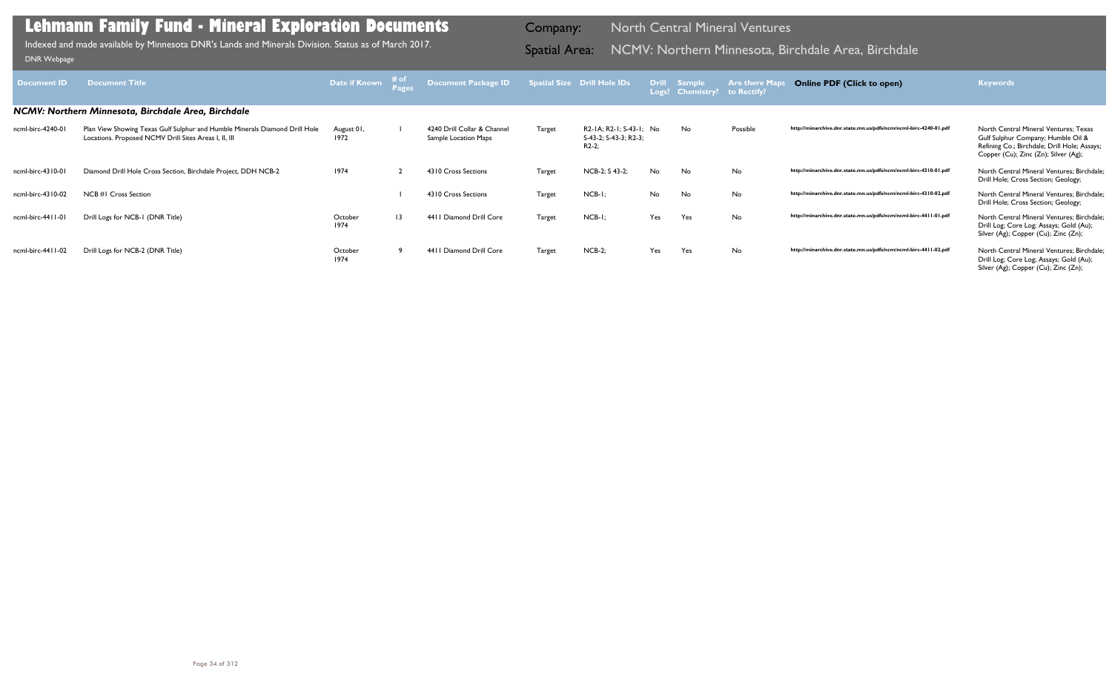| <b>Document ID</b> | <b>Document Title</b>                                                                                                                | Date if Known      | $\begin{array}{c}\n\# \text{ of } \\ \text{Pages}\n\end{array}$ | <b>Document Package ID</b>                          |               | <b>Spatial Size Drill Hole IDs</b>                           |     | Drill Sample<br>Logs? Chemistry? | <b>Are there Maps</b><br>to Rectify? | <b>Online PDF (Click to open)</b>                                | <b>Keywords</b>                                                                                                                                                     |
|--------------------|--------------------------------------------------------------------------------------------------------------------------------------|--------------------|-----------------------------------------------------------------|-----------------------------------------------------|---------------|--------------------------------------------------------------|-----|----------------------------------|--------------------------------------|------------------------------------------------------------------|---------------------------------------------------------------------------------------------------------------------------------------------------------------------|
|                    | NCMV: Northern Minnesota, Birchdale Area, Birchdale                                                                                  |                    |                                                                 |                                                     |               |                                                              |     |                                  |                                      |                                                                  |                                                                                                                                                                     |
| ncml-birc-4240-01  | Plan View Showing Texas Gulf Sulphur and Humble Minerals Diamond Drill Hole<br>Locations. Proposed NCMV Drill Sites Areas I, II, III | August 01,<br>1972 |                                                                 | 4240 Drill Collar & Channel<br>Sample Location Maps | Target        | R2-1A: R2-1: S-43-1: No<br>S-43-2; S-43-3; R2-3;<br>$R2-2$ ; |     | No.                              | Possible                             | http://minarchive.dnr.state.mn.us/pdfs/ncm/ncml-birc-4240-01.pdf | North Central Mineral Ventures: Texas<br>Gulf Sulphur Company; Humble Oil &<br>Refining Co.; Birchdale; Drill Hole; Assays;<br>Copper (Cu); Zinc (Zn); Silver (Ag); |
| ncml-birc-4310-01  | Diamond Drill Hole Cross Section, Birchdale Project, DDH NCB-2                                                                       | 1974               |                                                                 | 4310 Cross Sections                                 | Target        | NCB-2; S 43-2;                                               | No  | No                               | No                                   | http://minarchive.dnr.state.mn.us/pdfs/ncm/ncml-birc-4310-01.pdf | North Central Mineral Ventures: Birchdale:<br>Drill Hole; Cross Section; Geology;                                                                                   |
| ncml-birc-4310-02  | <b>NCB #I Cross Section</b>                                                                                                          |                    |                                                                 | 4310 Cross Sections                                 | Target        | $NCB-I;$                                                     | No  | No                               | No                                   | http://minarchive.dnr.state.mn.us/pdfs/ncm/ncml-birc-4310-02.pdf | North Central Mineral Ventures: Birchdale:<br>Drill Hole; Cross Section; Geology;                                                                                   |
| ncml-birc-4411-01  | Drill Logs for NCB-1 (DNR Title)                                                                                                     | October<br>1974    | $\overline{13}$                                                 | 4411 Diamond Drill Core                             | <b>Target</b> | $NCB-I;$                                                     | Yes | Yes                              | No                                   | http://minarchive.dnr.state.mn.us/pdfs/ncm/ncml-birc-4411-01.pdf | North Central Mineral Ventures: Birchdale:<br>Drill Log; Core Log; Assays; Gold (Au);<br>Silver (Ag); Copper (Cu); Zinc (Zn);                                       |
| ncml-birc-4411-02  | Drill Logs for NCB-2 (DNR Title)                                                                                                     | October<br>1974    |                                                                 | 4411 Diamond Drill Core                             | <b>Target</b> | $NCB-2;$                                                     | Yes | Yes                              | No                                   | http://minarchive.dnr.state.mn.us/pdfs/ncm/ncml-birc-4411-02.pdf | North Central Mineral Ventures; Birchdale;<br>Drill Log; Core Log; Assays; Gold (Au);<br>Silver (Ag); Copper (Cu); Zinc (Zn);                                       |

Indexed and made available by Minnesota DNR's Lands and Minerals Division. Status as of March 2017. **Spatial Area: NCMV: Northern Minnesota, Birchdale Area, Birchdale** الصحيح المسلم DNR Webpage Indexed and made available by Minnesota DNR's Lands and Minerals Division. Status as of March 2017.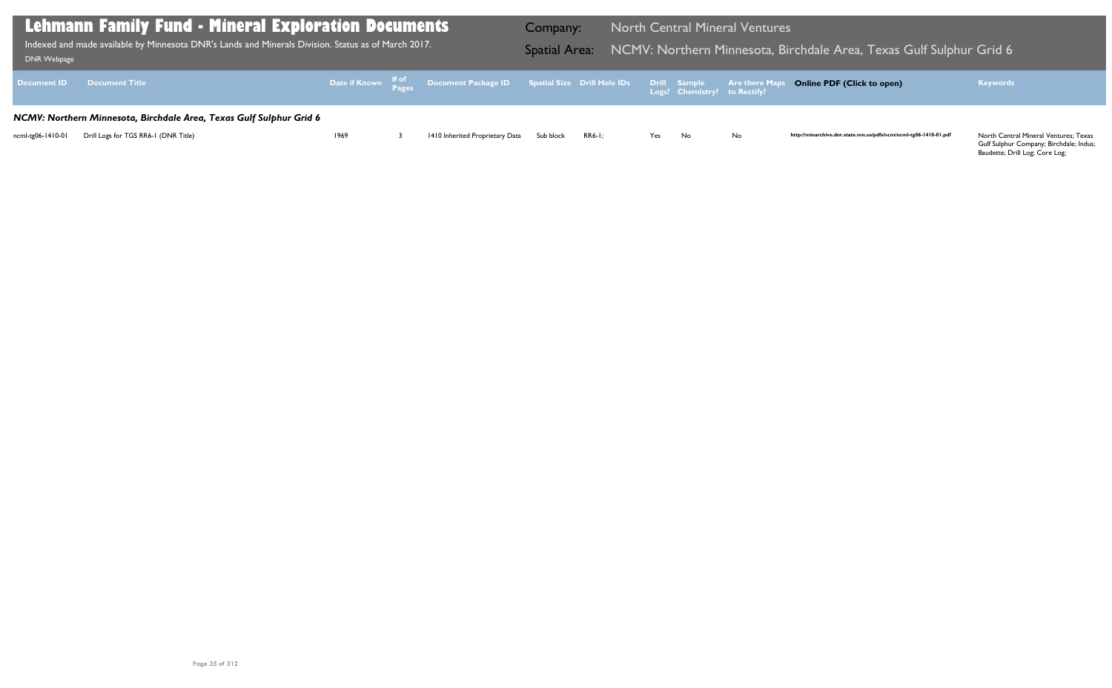North Central Mineral Ventures; Texas<br>Gulf Sulphur Company; Birchdale; Indus; Baudette; Drill Log; Core Log;

| DNR Webpage                                                         | <b>Lehmann Family Fund - Mineral Exploration Documents</b><br>Indexed and made available by Minnesota DNR's Lands and Minerals Division. Status as of March 2017. | <b>Company:</b> |  | <b>North Central Mineral Ventures</b><br>Spatial Area: NCMV: Northern Minnesota, Bi                                           |           |               |     |                              |    |  |  |
|---------------------------------------------------------------------|-------------------------------------------------------------------------------------------------------------------------------------------------------------------|-----------------|--|-------------------------------------------------------------------------------------------------------------------------------|-----------|---------------|-----|------------------------------|----|--|--|
| <b>Document ID</b>                                                  | <b>Document Title</b>                                                                                                                                             |                 |  | Date if Known $\frac{\text{\# of}}{\text{Pases}}$ Document Package ID Spatial Size Drill Hole IDs Drill Sample Are there Maps |           |               |     | Logs? Chemistry? to Rectify? |    |  |  |
| NCMV: Northern Minnesota, Birchdale Area, Texas Gulf Sulphur Grid 6 |                                                                                                                                                                   |                 |  |                                                                                                                               |           |               |     |                              |    |  |  |
| ncml-tg06-1410-01                                                   | Drill Logs for TGS RR6-1 (DNR Title)                                                                                                                              | 1969            |  | 1410 Inherited Proprietary Data                                                                                               | Sub block | <b>RR6-1:</b> | Yes | No.                          | No |  |  |

## Birchdale Area, Texas Gulf Sulphur Grid <mark>6</mark> Inde

### **Online PDF (Click to open) Keywords**

http://minarchive.dnr.state.mn.us/pdfs/ncm/ncml-tg06-1410-01.pdf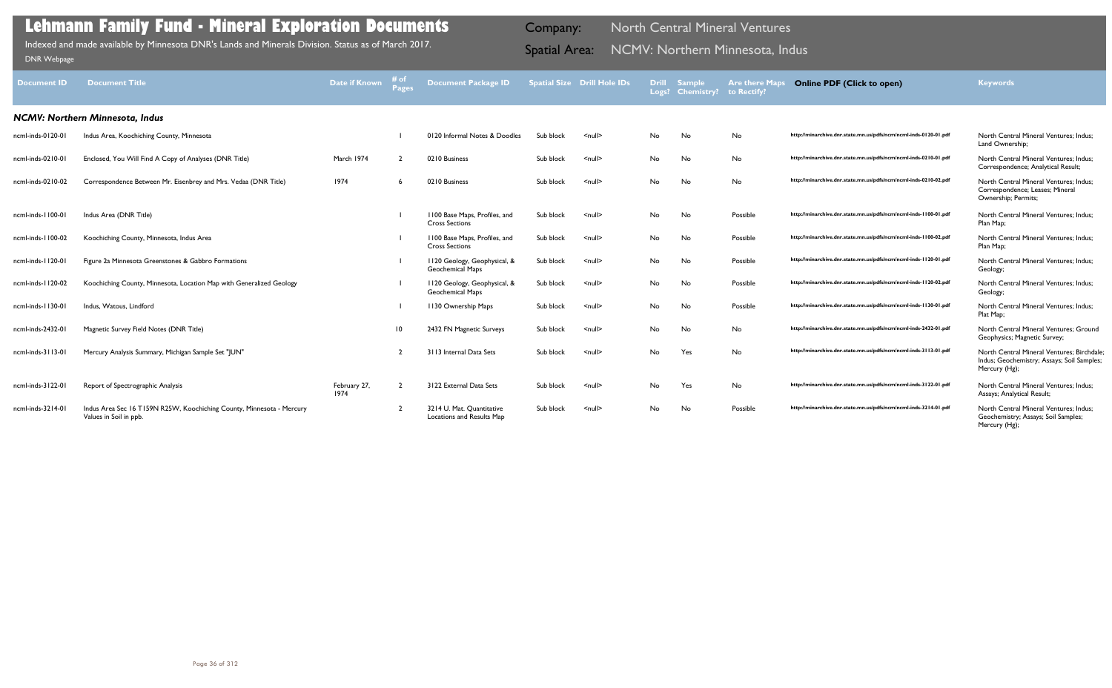| <b>Document ID</b>                     | <b>Document Title</b>                                                                           | Date if Known        | # of<br><b>Pages</b> | <b>Document Package ID</b>                              |           | <b>Spatial Size Drill Hole IDs</b> | <b>Drill</b><br>Logs? | <b>Sample</b><br><b>Chemistry?</b> | <b>Are there Maps</b><br>to Rectify? | <b>Online PDF (Click to open)</b>                                | <b>Keywords</b>                                                                                           |
|----------------------------------------|-------------------------------------------------------------------------------------------------|----------------------|----------------------|---------------------------------------------------------|-----------|------------------------------------|-----------------------|------------------------------------|--------------------------------------|------------------------------------------------------------------|-----------------------------------------------------------------------------------------------------------|
| <b>NCMV: Northern Minnesota, Indus</b> |                                                                                                 |                      |                      |                                                         |           |                                    |                       |                                    |                                      |                                                                  |                                                                                                           |
| ncml-inds-0120-01                      | Indus Area, Koochiching County, Minnesota                                                       |                      |                      | 0120 Informal Notes & Doodles                           | Sub block | $\leq$ null $\geq$                 | No.                   | No                                 | No                                   | http://minarchive.dnr.state.mn.us/pdfs/ncm/ncml-inds-0120-01.pdf | North Central Mineral Ventures: Indus:<br>Land Ownership;                                                 |
| ncml-inds-0210-01                      | Enclosed, You Will Find A Copy of Analyses (DNR Title)                                          | March 1974           |                      | 0210 Business                                           | Sub block | $\leq$ null $\geq$                 | No                    | No                                 | No                                   | http://minarchive.dnr.state.mn.us/pdfs/ncm/ncml-inds-0210-01.pdf | North Central Mineral Ventures: Indus:<br>Correspondence; Analytical Result;                              |
| ncml-inds-0210-02                      | Correspondence Between Mr. Eisenbrey and Mrs. Vedaa (DNR Title)                                 | 1974                 |                      | 0210 Business                                           | Sub block | $\leq$ null $\geq$                 | No                    | No                                 | <b>No</b>                            | http://minarchive.dnr.state.mn.us/pdfs/ncm/ncml-inds-0210-02.pdf | North Central Mineral Ventures: Indus:<br>Correspondence; Leases; Mineral<br>Ownership; Permits;          |
| ncml-inds-1100-01                      | Indus Area (DNR Title)                                                                          |                      |                      | 1100 Base Maps, Profiles, and<br><b>Cross Sections</b>  | Sub block | $\leq$ null $\geq$                 | No.                   | No                                 | Possible                             | http://minarchive.dnr.state.mn.us/pdfs/ncm/ncml-inds-1100-01.pdf | North Central Mineral Ventures: Indus:<br>Plan Map;                                                       |
| ncml-inds-1100-02                      | Koochiching County, Minnesota, Indus Area                                                       |                      |                      | 1100 Base Maps, Profiles, and<br><b>Cross Sections</b>  | Sub block | $\leq$ null $\geq$                 | No                    | No                                 | Possible                             | http://minarchive.dnr.state.mn.us/pdfs/ncm/ncml-inds-1100-02.pdf | North Central Mineral Ventures; Indus;<br>Plan Map;                                                       |
| ncml-inds-1120-01                      | Figure 2a Minnesota Greenstones & Gabbro Formations                                             |                      |                      | 1120 Geology, Geophysical, &<br><b>Geochemical Maps</b> | Sub block | $\leq$ null $\geq$                 | No                    | No                                 | Possible                             | http://minarchive.dnr.state.mn.us/pdfs/ncm/ncml-inds-1120-01.pdf | North Central Mineral Ventures: Indus:<br>Geology;                                                        |
| ncml-inds-1120-02                      | Koochiching County, Minnesota, Location Map with Generalized Geology                            |                      |                      | 1120 Geology, Geophysical, &<br><b>Geochemical Maps</b> | Sub block | $\leq$ null $\geq$                 | No                    | No                                 | Possible                             | http://minarchive.dnr.state.mn.us/pdfs/ncm/ncml-inds-1120-02.pdf | North Central Mineral Ventures; Indus;<br>Geology;                                                        |
| ncml-inds-1130-01                      | Indus, Watous, Lindford                                                                         |                      |                      | 1130 Ownership Maps                                     | Sub block | $\leq$ null $\geq$                 | No                    | No                                 | Possible                             | http://minarchive.dnr.state.mn.us/pdfs/ncm/ncml-inds-1130-01.pdf | North Central Mineral Ventures; Indus;<br>Plat Map;                                                       |
| ncml-inds-2432-01                      | Magnetic Survey Field Notes (DNR Title)                                                         |                      | $\overline{10}$      | 2432 FN Magnetic Surveys                                | Sub block | $\leq$ null $\geq$                 | No                    | No                                 | No                                   | http://minarchive.dnr.state.mn.us/pdfs/ncm/ncml-inds-2432-01.pdf | North Central Mineral Ventures: Ground<br>Geophysics; Magnetic Survey;                                    |
| ncml-inds-3113-01                      | Mercury Analysis Summary, Michigan Sample Set "JUN"                                             |                      |                      | 3113 Internal Data Sets                                 | Sub block | $\leq$ null $\geq$                 | No                    | Yes                                | No                                   | http://minarchive.dnr.state.mn.us/pdfs/ncm/ncml-inds-3113-01.pdf | North Central Mineral Ventures; Birchdale;<br>Indus; Geochemistry; Assays; Soil Samples;<br>Mercury (Hg); |
| ncml-inds-3122-01                      | Report of Spectrographic Analysis                                                               | February 27,<br>1974 |                      | 3122 External Data Sets                                 | Sub block | $\leq$ null $\geq$                 | No                    | Yes                                | No                                   | http://minarchive.dnr.state.mn.us/pdfs/ncm/ncml-inds-3122-01.pdf | North Central Mineral Ventures: Indus:<br>Assays; Analytical Result;                                      |
| ncml-inds-3214-01                      | Indus Area Sec 16 T159N R25W, Koochiching County, Minnesota - Mercury<br>Values in Soil in ppb. |                      | $\mathcal{D}$        | 3214 U. Mat. Quantitative<br>Locations and Results Map  | Sub block | $\leq$ null $\geq$                 | No.                   | No                                 | Possible                             | http://minarchive.dnr.state.mn.us/pdfs/ncm/ncml-inds-3214-01.pdf | North Central Mineral Ventures; Indus;<br>Geochemistry; Assays; Soil Samples;<br>Mercury (Hg);            |

Indexed and made available by Minnesota DNR's Lands and Minerals Division. Status as of March 2017. **Spatial Area: NCMV: Northern Minnesota, Indus** Bonk Webpage Indexed and made available by Minnesota DNR's Lands and Minerals Division. Status as of March 2017.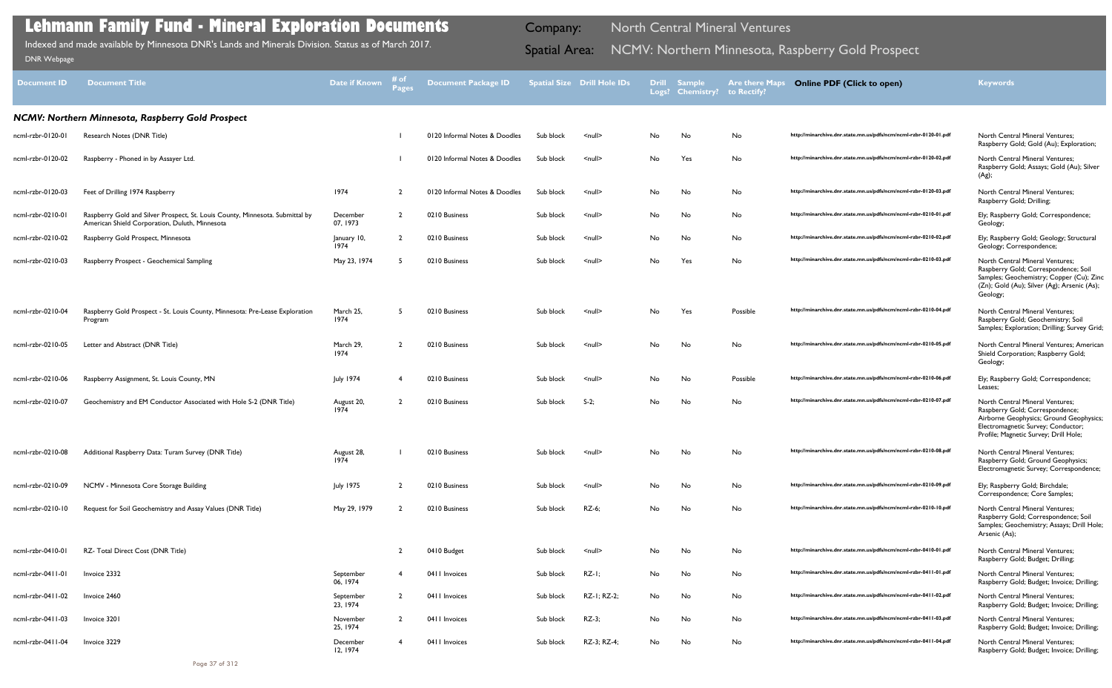| <b>Document ID</b> | <b>Document Title</b>                                                                                                           | Date if Known         | # of<br><b>Pages</b> | <b>Document Package ID</b>    |           | <b>Spatial Size Drill Hole IDs</b> | <b>Drill</b><br>Logs? | <b>Sample</b><br><b>Chemistry?</b> | <b>Are there Maps</b><br>to Rectify? | <b>Online PDF (Click to open)</b>                                | <b>Keywords</b>                                                                                                                                                                              |
|--------------------|---------------------------------------------------------------------------------------------------------------------------------|-----------------------|----------------------|-------------------------------|-----------|------------------------------------|-----------------------|------------------------------------|--------------------------------------|------------------------------------------------------------------|----------------------------------------------------------------------------------------------------------------------------------------------------------------------------------------------|
|                    | NCMV: Northern Minnesota, Raspberry Gold Prospect                                                                               |                       |                      |                               |           |                                    |                       |                                    |                                      |                                                                  |                                                                                                                                                                                              |
| ncml-rzbr-0120-01  | Research Notes (DNR Title)                                                                                                      |                       |                      | 0120 Informal Notes & Doodles | Sub block | $null$                             | No                    | No                                 | No                                   | http://minarchive.dnr.state.mn.us/pdfs/ncm/ncml-rzbr-0120-01.pdf | North Central Mineral Ventures;<br>Raspberry Gold; Gold (Au); Exploration;                                                                                                                   |
| ncml-rzbr-0120-02  | Raspberry - Phoned in by Assayer Ltd.                                                                                           |                       |                      | 0120 Informal Notes & Doodles | Sub block | <null></null>                      | No                    | Yes                                | No                                   | http://minarchive.dnr.state.mn.us/pdfs/ncm/ncml-rzbr-0120-02.pdf | <b>North Central Mineral Ventures;</b><br>Raspberry Gold; Assays; Gold (Au); Silver<br>(Ag);                                                                                                 |
| ncml-rzbr-0120-03  | Feet of Drilling 1974 Raspberry                                                                                                 | 1974                  |                      | 0120 Informal Notes & Doodles | Sub block | <null></null>                      | No                    | No                                 | No                                   | http://minarchive.dnr.state.mn.us/pdfs/ncm/ncml-rzbr-0120-03.pdf | North Central Mineral Ventures;<br>Raspberry Gold; Drilling;                                                                                                                                 |
| ncml-rzbr-0210-01  | Raspberry Gold and Silver Prospect, St. Louis County, Minnesota. Submittal by<br>American Shield Corporation, Duluth, Minnesota | December<br>07, 1973  | $\overline{2}$       | 0210 Business                 | Sub block | $\leq$ null $\geq$                 | No                    | No                                 | No                                   | http://minarchive.dnr.state.mn.us/pdfs/ncm/ncml-rzbr-0210-01.pdf | Ely; Raspberry Gold; Correspondence;<br>Geology;                                                                                                                                             |
| ncml-rzbr-0210-02  | Raspberry Gold Prospect, Minnesota                                                                                              | January 10,<br>1974   | $\overline{2}$       | 0210 Business                 | Sub block | $null$                             | No                    | No                                 | No                                   | http://minarchive.dnr.state.mn.us/pdfs/ncm/ncml-rzbr-0210-02.pdf | Ely; Raspberry Gold; Geology; Structural<br>Geology; Correspondence;                                                                                                                         |
| ncml-rzbr-0210-03  | Raspberry Prospect - Geochemical Sampling                                                                                       | May 23, 1974          |                      | 0210 Business                 | Sub block | $null$                             | No                    | Yes                                | No                                   | http://minarchive.dnr.state.mn.us/pdfs/ncm/ncml-rzbr-0210-03.pdf | North Central Mineral Ventures:<br>Raspberry Gold; Correspondence; Soil<br>Samples; Geochemistry; Copper (Cu); Zinc<br>(Zn); Gold (Au); Silver (Ag); Arsenic (As);<br>Geology;               |
| ncml-rzbr-0210-04  | Raspberry Gold Prospect - St. Louis County, Minnesota: Pre-Lease Exploration<br>Program                                         | March 25,<br>1974     |                      | 0210 Business                 | Sub block | $null$                             | No                    | Yes                                | Possible                             | http://minarchive.dnr.state.mn.us/pdfs/ncm/ncml-rzbr-0210-04.pdf | North Central Mineral Ventures;<br>Raspberry Gold; Geochemistry; Soil<br>Samples; Exploration; Drilling; Survey Grid;                                                                        |
| ncml-rzbr-0210-05  | Letter and Abstract (DNR Title)                                                                                                 | March 29,<br>1974     |                      | 0210 Business                 | Sub block | <null></null>                      | No                    | No                                 | No                                   | http://minarchive.dnr.state.mn.us/pdfs/ncm/ncml-rzbr-0210-05.pdf | North Central Mineral Ventures; American<br>Shield Corporation; Raspberry Gold;<br>Geology;                                                                                                  |
| ncml-rzbr-0210-06  | Raspberry Assignment, St. Louis County, MN                                                                                      | <b>July 1974</b>      |                      | 0210 Business                 | Sub block | <null></null>                      | No                    | No                                 | Possible                             | http://minarchive.dnr.state.mn.us/pdfs/ncm/ncml-rzbr-0210-06.pdf | Ely; Raspberry Gold; Correspondence;<br>Leases;                                                                                                                                              |
| ncml-rzbr-0210-07  | Geochemistry and EM Conductor Associated with Hole S-2 (DNR Title)                                                              | August 20,<br>1974    |                      | 0210 Business                 | Sub block | $S-2;$                             | No                    | No                                 | No                                   | http://minarchive.dnr.state.mn.us/pdfs/ncm/ncml-rzbr-0210-07.pdf | North Central Mineral Ventures;<br>Raspberry Gold; Correspondence;<br>Airborne Geophysics; Ground Geophysics;<br>Electromagnetic Survey; Conductor;<br>Profile; Magnetic Survey; Drill Hole; |
| ncml-rzbr-0210-08  | Additional Raspberry Data: Turam Survey (DNR Title)                                                                             | August 28,<br>1974    |                      | 0210 Business                 | Sub block | <null></null>                      | No.                   | No                                 | No.                                  | http://minarchive.dnr.state.mn.us/pdfs/ncm/ncml-rzbr-0210-08.pdf | <b>North Central Mineral Ventures:</b><br>Raspberry Gold; Ground Geophysics;<br>Electromagnetic Survey; Correspondence;                                                                      |
| ncml-rzbr-0210-09  | NCMV - Minnesota Core Storage Building                                                                                          | <b>July 1975</b>      |                      | 0210 Business                 | Sub block | $<$ null $>$                       | No                    | No                                 | No                                   | http://minarchive.dnr.state.mn.us/pdfs/ncm/ncml-rzbr-0210-09.pdf | Ely; Raspberry Gold; Birchdale;<br>Correspondence; Core Samples;                                                                                                                             |
| ncml-rzbr-0210-10  | Request for Soil Geochemistry and Assay Values (DNR Title)                                                                      | May 29, 1979          |                      | 0210 Business                 | Sub block | RZ-6;                              | No                    | No                                 | No                                   | http://minarchive.dnr.state.mn.us/pdfs/ncm/ncml-rzbr-0210-10.pdf | North Central Mineral Ventures;<br>Raspberry Gold; Correspondence; Soil<br>Samples; Geochemistry; Assays; Drill Hole;<br>Arsenic (As);                                                       |
| ncml-rzbr-0410-01  | RZ- Total Direct Cost (DNR Title)                                                                                               |                       |                      | 0410 Budget                   | Sub block | $<$ null $>$                       | No                    | No                                 | No                                   | http://minarchive.dnr.state.mn.us/pdfs/ncm/ncml-rzbr-0410-01.pdf | <b>North Central Mineral Ventures;</b><br>Raspberry Gold; Budget; Drilling;                                                                                                                  |
| ncml-rzbr-0411-01  | Invoice 2332                                                                                                                    | September<br>06, 1974 |                      | 0411 Invoices                 | Sub block | $RZ-I;$                            | No                    | No                                 | No                                   | http://minarchive.dnr.state.mn.us/pdfs/ncm/ncml-rzbr-0411-01.pdf | North Central Mineral Ventures;<br>Raspberry Gold; Budget; Invoice; Drilling;                                                                                                                |
| ncml-rzbr-0411-02  | Invoice 2460                                                                                                                    | September<br>23, 1974 | $\overline{2}$       | 0411 Invoices                 | Sub block | RZ-1; RZ-2;                        | No                    | No                                 | No                                   | http://minarchive.dnr.state.mn.us/pdfs/ncm/ncml-rzbr-0411-02.pdf | North Central Mineral Ventures;<br>Raspberry Gold; Budget; Invoice; Drilling;                                                                                                                |
| ncml-rzbr-0411-03  | Invoice 3201                                                                                                                    | November<br>25, 1974  | $\overline{2}$       | 0411 Invoices                 | Sub block | $RZ-3;$                            | No                    | No                                 | No                                   | http://minarchive.dnr.state.mn.us/pdfs/ncm/ncml-rzbr-0411-03.pdf | North Central Mineral Ventures;<br>Raspberry Gold; Budget; Invoice; Drilling;                                                                                                                |
| ncml-rzbr-0411-04  | Invoice 3229                                                                                                                    | December<br>12, 1974  |                      | 0411 Invoices                 | Sub block | RZ-3; RZ-4;                        | No                    | No                                 | No                                   | http://minarchive.dnr.state.mn.us/pdfs/ncm/ncml-rzbr-0411-04.pdf | <b>North Central Mineral Ventures;</b><br>Raspberry Gold; Budget; Invoice; Drilling;                                                                                                         |

Indexed and made available by Minnesota DNR's Lands and Minerals Division. Status as of March 2017. **Spatial Area: NCMV: Northern Minnesota, Raspberry Gold Prospect** DNR Webpage Indexed and made available by Minnesota DNR's Lands and Minerals Division. Status as of March 2017.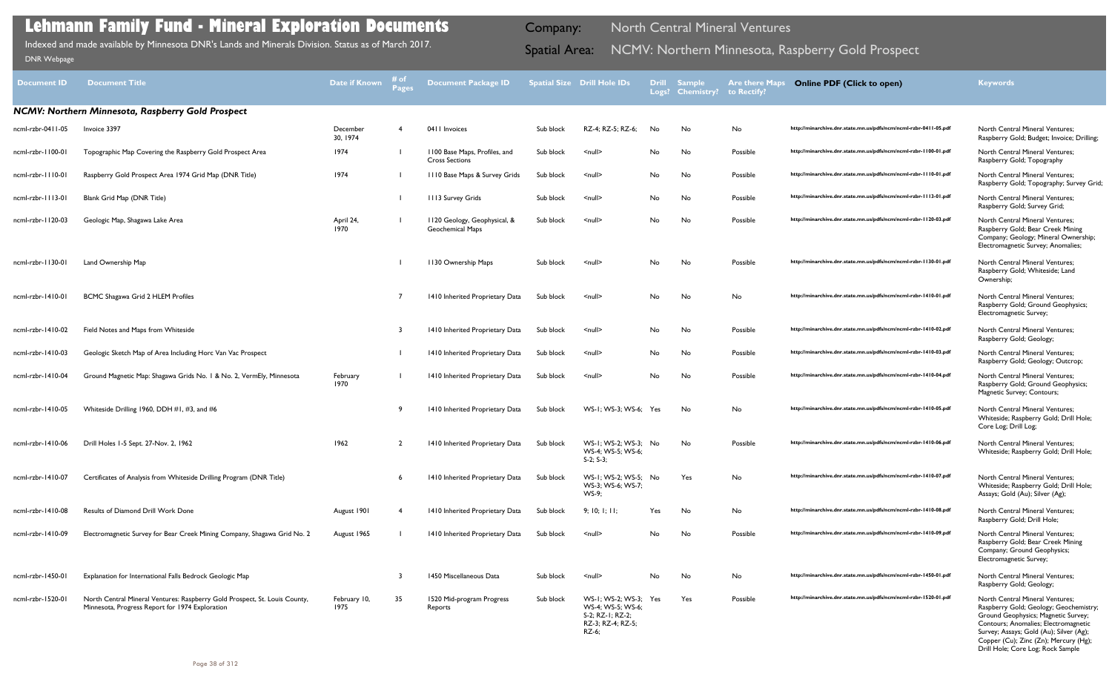| <b>Document ID</b> | Document Title                                                                                                                | Date if Known        | Pages          | <b>Document Package ID</b>                              |           | Spatial Size Drill Hole IDs                                                              |     | <b>Drill Sample</b><br>Logs? Chemistry? to Rectify? | <b>Are there Maps</b> | <b>Online PDF (Click to open)</b>                                | <b>Keywords</b>                                                                                                                                                                                                                                                                          |
|--------------------|-------------------------------------------------------------------------------------------------------------------------------|----------------------|----------------|---------------------------------------------------------|-----------|------------------------------------------------------------------------------------------|-----|-----------------------------------------------------|-----------------------|------------------------------------------------------------------|------------------------------------------------------------------------------------------------------------------------------------------------------------------------------------------------------------------------------------------------------------------------------------------|
|                    | NCMV: Northern Minnesota, Raspberry Gold Prospect                                                                             |                      |                |                                                         |           |                                                                                          |     |                                                     |                       |                                                                  |                                                                                                                                                                                                                                                                                          |
| ncml-rzbr-0411-05  | Invoice 3397                                                                                                                  | December<br>30, 1974 | -4             | 0411 Invoices                                           | Sub block | RZ-4; RZ-5; RZ-6;                                                                        | No  | No                                                  | No                    | http://minarchive.dnr.state.mn.us/pdfs/ncm/ncml-rzbr-0411-05.pdf | <b>North Central Mineral Ventures;</b><br>Raspberry Gold; Budget; Invoice; Drilling;                                                                                                                                                                                                     |
| ncml-rzbr-1100-01  | Topographic Map Covering the Raspberry Gold Prospect Area                                                                     | 1974                 |                | 1100 Base Maps, Profiles, and<br><b>Cross Sections</b>  | Sub block | $null$                                                                                   | No  | No                                                  | Possible              | http://minarchive.dnr.state.mn.us/pdfs/ncm/ncml-rzbr-1100-01.pdf | North Central Mineral Ventures;<br>Raspberry Gold; Topography                                                                                                                                                                                                                            |
| ncml-rzbr-1110-01  | Raspberry Gold Prospect Area 1974 Grid Map (DNR Title)                                                                        | 1974                 |                | III0 Base Maps & Survey Grids                           | Sub block | $null$                                                                                   | No  | No                                                  | Possible              | http://minarchive.dnr.state.mn.us/pdfs/ncm/ncml-rzbr-1110-01.pdf | <b>North Central Mineral Ventures;</b><br>Raspberry Gold; Topography; Survey Grid;                                                                                                                                                                                                       |
| ncml-rzbr-1113-01  | Blank Grid Map (DNR Title)                                                                                                    |                      |                | 1113 Survey Grids                                       | Sub block | $null$                                                                                   | No  | No                                                  | Possible              | http://minarchive.dnr.state.mn.us/pdfs/ncm/ncml-rzbr-1113-01.pdf | <b>North Central Mineral Ventures;</b><br>Raspberry Gold; Survey Grid;                                                                                                                                                                                                                   |
| ncml-rzbr-1120-03  | Geologic Map, Shagawa Lake Area                                                                                               | April 24,<br>1970    |                | 1120 Geology, Geophysical, &<br><b>Geochemical Maps</b> | Sub block | $\leq$ null $\geq$                                                                       | No  | No.                                                 | Possible              | http://minarchive.dnr.state.mn.us/pdfs/ncm/ncml-rzbr-1120-03.pdf | <b>North Central Mineral Ventures;</b><br>Raspberry Gold; Bear Creek Mining<br>Company; Geology; Mineral Ownership;<br>Electromagnetic Survey; Anomalies;                                                                                                                                |
| ncml-rzbr-1130-01  | Land Ownership Map                                                                                                            |                      |                | 1130 Ownership Maps                                     | Sub block | $null$                                                                                   | No  | No                                                  | Possible              | http://minarchive.dnr.state.mn.us/pdfs/ncm/ncml-rzbr-1130-01.pdf | <b>North Central Mineral Ventures;</b><br>Raspberry Gold; Whiteside; Land<br>Ownership;                                                                                                                                                                                                  |
| ncml-rzbr-1410-01  | BCMC Shagawa Grid 2 HLEM Profiles                                                                                             |                      |                | 1410 Inherited Proprietary Data                         | Sub block | $null$                                                                                   | No  | No                                                  | No                    | http://minarchive.dnr.state.mn.us/pdfs/ncm/ncml-rzbr-1410-01.pdf | <b>North Central Mineral Ventures;</b><br>Raspberry Gold; Ground Geophysics;<br>Electromagnetic Survey;                                                                                                                                                                                  |
| ncml-rzbr-1410-02  | Field Notes and Maps from Whiteside                                                                                           |                      | -3             | 1410 Inherited Proprietary Data                         | Sub block | $null$                                                                                   | No  | No                                                  | Possible              | http://minarchive.dnr.state.mn.us/pdfs/ncm/ncml-rzbr-1410-02.pdf | <b>North Central Mineral Ventures;</b><br>Raspberry Gold; Geology;                                                                                                                                                                                                                       |
| ncml-rzbr-1410-03  | Geologic Sketch Map of Area Including Horc Van Vac Prospect                                                                   |                      |                | 1410 Inherited Proprietary Data                         | Sub block | $null$                                                                                   | No  | No                                                  | Possible              | http://minarchive.dnr.state.mn.us/pdfs/ncm/ncml-rzbr-1410-03.pdf | <b>North Central Mineral Ventures;</b><br>Raspberry Gold; Geology; Outcrop;                                                                                                                                                                                                              |
| ncml-rzbr-1410-04  | Ground Magnetic Map: Shagawa Grids No. 1 & No. 2, VermEly, Minnesota                                                          | February<br>1970     |                | 1410 Inherited Proprietary Data                         | Sub block | $null$                                                                                   | No  | No                                                  | Possible              | http://minarchive.dnr.state.mn.us/pdfs/ncm/ncml-rzbr-1410-04.pdf | North Central Mineral Ventures;<br>Raspberry Gold; Ground Geophysics;<br>Magnetic Survey; Contours;                                                                                                                                                                                      |
| ncml-rzbr-1410-05  | Whiteside Drilling 1960, DDH #1, #3, and #6                                                                                   |                      | -9             | 1410 Inherited Proprietary Data                         | Sub block | WS-1; WS-3; WS-6; Yes                                                                    |     | No                                                  | No                    | http://minarchive.dnr.state.mn.us/pdfs/ncm/ncml-rzbr-1410-05.pdf | North Central Mineral Ventures;<br>Whiteside; Raspberry Gold; Drill Hole;<br>Core Log; Drill Log;                                                                                                                                                                                        |
| ncml-rzbr-1410-06  | Drill Holes 1-5 Sept. 27-Nov. 2, 1962                                                                                         | 1962                 | $\overline{2}$ | 1410 Inherited Proprietary Data                         | Sub block | WS-1; WS-2; WS-3; No<br>WS-4; WS-5; WS-6;<br>$S-2; S-3;$                                 |     | No                                                  | Possible              | http://minarchive.dnr.state.mn.us/pdfs/ncm/ncml-rzbr-1410-06.pdf | North Central Mineral Ventures;<br>Whiteside; Raspberry Gold; Drill Hole;                                                                                                                                                                                                                |
| ncml-rzbr-1410-07  | Certificates of Analysis from Whiteside Drilling Program (DNR Title)                                                          |                      |                | 1410 Inherited Proprietary Data                         | Sub block | WS-1; WS-2; WS-5; No<br>WS-3; WS-6; WS-7;<br>$WS-9$                                      |     | Yes                                                 | No                    | http://minarchive.dnr.state.mn.us/pdfs/ncm/ncml-rzbr-1410-07.pdf | North Central Mineral Ventures;<br>Whiteside; Raspberry Gold; Drill Hole;<br>Assays; Gold (Au); Silver (Ag);                                                                                                                                                                             |
| ncml-rzbr-1410-08  | Results of Diamond Drill Work Done                                                                                            | August 1901          | -4             | 1410 Inherited Proprietary Data                         | Sub block | 9; 10; 1; 11;                                                                            | Yes | No                                                  | No                    | http://minarchive.dnr.state.mn.us/pdfs/ncm/ncml-rzbr-1410-08.pdf | North Central Mineral Ventures;<br>Raspberry Gold; Drill Hole;                                                                                                                                                                                                                           |
| ncml-rzbr-1410-09  | Electromagnetic Survey for Bear Creek Mining Company, Shagawa Grid No. 2                                                      | August 1965          |                | 1410 Inherited Proprietary Data                         | Sub block | $\leq$ null $\geq$                                                                       | No  | No                                                  | Possible              | http://minarchive.dnr.state.mn.us/pdfs/ncm/ncml-rzbr-1410-09.pdf | North Central Mineral Ventures;<br>Raspberry Gold; Bear Creek Mining<br>Company; Ground Geophysics;<br>Electromagnetic Survey;                                                                                                                                                           |
| ncml-rzbr-1450-01  | Explanation for International Falls Bedrock Geologic Map                                                                      |                      | 3              | 1450 Miscellaneous Data                                 | Sub block | $null$                                                                                   | No  | No                                                  | No                    | http://minarchive.dnr.state.mn.us/pdfs/ncm/ncml-rzbr-1450-01.pdf | North Central Mineral Ventures;<br>Raspberry Gold; Geology;                                                                                                                                                                                                                              |
| ncml-rzbr-1520-01  | North Central Mineral Ventures: Raspberry Gold Prospect, St. Louis County,<br>Minnesota, Progress Report for 1974 Exploration | February 10,<br>1975 | 35             | 1520 Mid-program Progress<br>Reports                    | Sub block | WS-1; WS-2; WS-3;<br>WS-4; WS-5; WS-6;<br>S-2; RZ-1; RZ-2;<br>RZ-3; RZ-4; RZ-5;<br>RZ-6; | Yes | Yes                                                 | Possible              | http://minarchive.dnr.state.mn.us/pdfs/ncm/ncml-rzbr-1520-01.pdf | <b>North Central Mineral Ventures;</b><br>Raspberry Gold; Geology; Geochemistry;<br>Ground Geophysics; Magnetic Survey;<br>Contours; Anomalies; Electromagnetic<br>Survey; Assays; Gold (Au); Silver (Ag);<br>Copper (Cu); Zinc (Zn); Mercury (Hg);<br>Drill Hole; Core Log; Rock Sample |

Indexed and made available by Minnesota DNR's Lands and Minerals Division. Status as of March 2017. **Spatial Area: NCMV: Northern Minnesota, Raspberry Gold Prospect** DNR Webpage Indexed and made available by Minnesota DNR's Lands and Minerals Division. Status as of March 2017.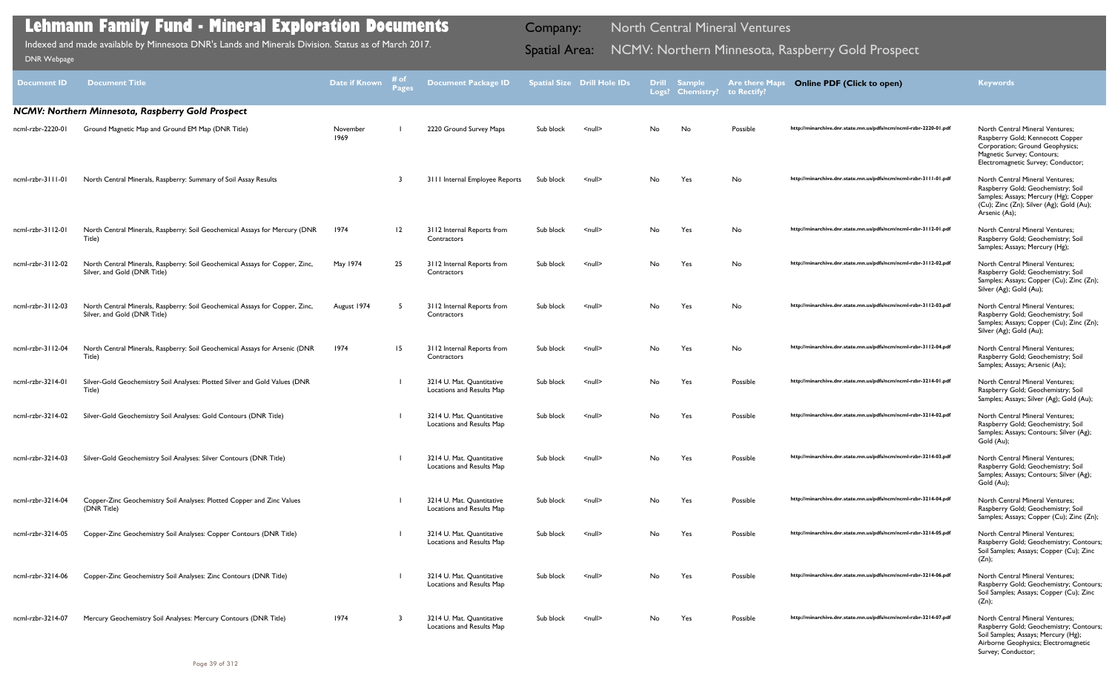| <b>Document ID</b> | <b>Document Title</b>                                                                                        | Date if Known    | # of<br><b>Pages</b> | <b>Document Package ID</b>                             |           | <b>Spatial Size Drill Hole IDs</b> |     | <b>Drill Sample</b><br>Logs? Chemistry? | <b>Are there Maps</b><br>to Rectify? | <b>Online PDF (Click to open)</b>                                | <b>Keywords</b>                                                                                                                                                                    |
|--------------------|--------------------------------------------------------------------------------------------------------------|------------------|----------------------|--------------------------------------------------------|-----------|------------------------------------|-----|-----------------------------------------|--------------------------------------|------------------------------------------------------------------|------------------------------------------------------------------------------------------------------------------------------------------------------------------------------------|
|                    | NCMV: Northern Minnesota, Raspberry Gold Prospect                                                            |                  |                      |                                                        |           |                                    |     |                                         |                                      |                                                                  |                                                                                                                                                                                    |
| ncml-rzbr-2220-01  | Ground Magnetic Map and Ground EM Map (DNR Title)                                                            | November<br>1969 |                      | 2220 Ground Survey Maps                                | Sub block | $\leq$ null $\geq$                 | No. | No                                      | Possible                             | http://minarchive.dnr.state.mn.us/pdfs/ncm/ncml-rzbr-2220-01.pdf | <b>North Central Mineral Ventures;</b><br>Raspberry Gold; Kennecott Copper<br>Corporation; Ground Geophysics;<br>Magnetic Survey; Contours;<br>Electromagnetic Survey; Conductor;  |
| ncml-rzbr-3111-01  | North Central Minerals, Raspberry: Summary of Soil Assay Results                                             |                  |                      | 3111 Internal Employee Reports                         | Sub block | $null$                             | No  | Yes                                     | No                                   | http://minarchive.dnr.state.mn.us/pdfs/ncm/ncml-rzbr-3111-01.pdf | <b>North Central Mineral Ventures;</b><br>Raspberry Gold; Geochemistry; Soil<br>Samples; Assays; Mercury (Hg); Copper<br>(Cu); Zinc (Zn); Silver (Ag); Gold (Au);<br>Arsenic (As); |
| ncml-rzbr-3112-01  | North Central Minerals, Raspberry: Soil Geochemical Assays for Mercury (DNR<br>Title)                        | 1974             | 12                   | 3112 Internal Reports from<br>Contractors              | Sub block | $null$                             | No  | Yes                                     | No                                   | http://minarchive.dnr.state.mn.us/pdfs/ncm/ncml-rzbr-3112-01.pdf | North Central Mineral Ventures;<br>Raspberry Gold; Geochemistry; Soil<br>Samples; Assays; Mercury (Hg);                                                                            |
| ncml-rzbr-3112-02  | North Central Minerals, Raspberry: Soil Geochemical Assays for Copper, Zinc,<br>Silver, and Gold (DNR Title) | May 1974         | 25                   | 3112 Internal Reports from<br>Contractors              | Sub block | $null$                             | No  | Yes                                     | No                                   | http://minarchive.dnr.state.mn.us/pdfs/ncm/ncml-rzbr-3112-02.pdf | North Central Mineral Ventures;<br>Raspberry Gold; Geochemistry; Soil<br>Samples; Assays; Copper (Cu); Zinc (Zn);<br>Silver (Ag); Gold (Au);                                       |
| ncml-rzbr-3112-03  | North Central Minerals, Raspberry: Soil Geochemical Assays for Copper, Zinc,<br>Silver, and Gold (DNR Title) | August 1974      |                      | 3112 Internal Reports from<br>Contractors              | Sub block | $\leq$ null $\geq$                 | No. | Yes                                     | No                                   | http://minarchive.dnr.state.mn.us/pdfs/ncm/ncml-rzbr-3112-03.pdf | North Central Mineral Ventures;<br>Raspberry Gold; Geochemistry; Soil<br>Samples; Assays; Copper (Cu); Zinc (Zn);<br>Silver (Ag); Gold (Au);                                       |
| ncml-rzbr-3112-04  | North Central Minerals, Raspberry: Soil Geochemical Assays for Arsenic (DNR<br>Title)                        | 1974             | 15                   | 3112 Internal Reports from<br>Contractors              | Sub block | $\leq$ null $\geq$                 | No  | Yes                                     | No                                   | http://minarchive.dnr.state.mn.us/pdfs/ncm/ncml-rzbr-3112-04.pdf | North Central Mineral Ventures;<br>Raspberry Gold; Geochemistry; Soil<br>Samples; Assays; Arsenic (As);                                                                            |
| ncml-rzbr-3214-01  | Silver-Gold Geochemistry Soil Analyses: Plotted Silver and Gold Values (DNR<br>Title)                        |                  |                      | 3214 U. Mat. Quantitative<br>Locations and Results Map | Sub block | $null$                             | No  | Yes                                     | Possible                             | http://minarchive.dnr.state.mn.us/pdfs/ncm/ncml-rzbr-3214-01.pdf | North Central Mineral Ventures;<br>Raspberry Gold; Geochemistry; Soil<br>Samples; Assays; Silver (Ag); Gold (Au);                                                                  |
| ncml-rzbr-3214-02  | Silver-Gold Geochemistry Soil Analyses: Gold Contours (DNR Title)                                            |                  |                      | 3214 U. Mat. Quantitative<br>Locations and Results Map | Sub block | <null></null>                      | No  | Yes                                     | Possible                             | http://minarchive.dnr.state.mn.us/pdfs/ncm/ncml-rzbr-3214-02.pdf | <b>North Central Mineral Ventures;</b><br>Raspberry Gold; Geochemistry; Soil<br>Samples; Assays; Contours; Silver (Ag);<br>Gold (Au);                                              |
| ncml-rzbr-3214-03  | Silver-Gold Geochemistry Soil Analyses: Silver Contours (DNR Title)                                          |                  |                      | 3214 U. Mat. Ouantitative<br>Locations and Results Map | Sub block | <null></null>                      | No. | Yes                                     | Possible                             | http://minarchive.dnr.state.mn.us/pdfs/ncm/ncml-rzbr-3214-03.pdf | North Central Mineral Ventures;<br>Raspberry Gold; Geochemistry; Soil<br>Samples; Assays; Contours; Silver (Ag);<br>Gold (Au);                                                     |
| ncml-rzbr-3214-04  | Copper-Zinc Geochemistry Soil Analyses: Plotted Copper and Zinc Values<br>(DNR Title)                        |                  |                      | 3214 U. Mat. Quantitative<br>Locations and Results Map | Sub block | $null$                             | No  | Yes                                     | Possible                             | http://minarchive.dnr.state.mn.us/pdfs/ncm/ncml-rzbr-3214-04.pdf | North Central Mineral Ventures;<br>Raspberry Gold; Geochemistry; Soil<br>Samples; Assays; Copper (Cu); Zinc (Zn);                                                                  |
| ncml-rzbr-3214-05  | Copper-Zinc Geochemistry Soil Analyses: Copper Contours (DNR Title)                                          |                  |                      | 3214 U. Mat. Quantitative<br>Locations and Results Map | Sub block | $null$                             | No  | Yes                                     | Possible                             | http://minarchive.dnr.state.mn.us/pdfs/ncm/ncml-rzbr-3214-05.pdf | North Central Mineral Ventures;<br>Raspberry Gold; Geochemistry; Contours;<br>Soil Samples; Assays; Copper (Cu); Zinc<br>(Zn);                                                     |
| ncml-rzbr-3214-06  | Copper-Zinc Geochemistry Soil Analyses: Zinc Contours (DNR Title)                                            |                  |                      | 3214 U. Mat. Quantitative<br>Locations and Results Map | Sub block | $null$                             | No  | Yes                                     | Possible                             | http://minarchive.dnr.state.mn.us/pdfs/ncm/ncml-rzbr-3214-06.pdf | <b>North Central Mineral Ventures;</b><br>Raspberry Gold; Geochemistry; Contours;<br>Soil Samples; Assays; Copper (Cu); Zinc<br>(Zn);                                              |
| ncml-rzbr-3214-07  | Mercury Geochemistry Soil Analyses: Mercury Contours (DNR Title)                                             | 1974             | -3                   | 3214 U. Mat. Quantitative<br>Locations and Results Map | Sub block | <null></null>                      | No. | Yes                                     | Possible                             | http://minarchive.dnr.state.mn.us/pdfs/ncm/ncml-rzbr-3214-07.pdf | North Central Mineral Ventures;<br>Raspberry Gold; Geochemistry; Contours;<br>Soil Samples; Assays; Mercury (Hg);<br>Airborne Geophysics; Electromagnetic<br>Survey; Conductor;    |

Indexed and made available by Minnesota DNR's Lands and Minerals Division. Status as of March 2017.

Company: North Central Mineral Ventures

# Indexed and made available by Minnesota DNR's Lands and Minerals Division. Status as of March 2017. **Spatial Area: NCMV: Northern Minnesota, Raspberry Gold Prospect** DNR Webpage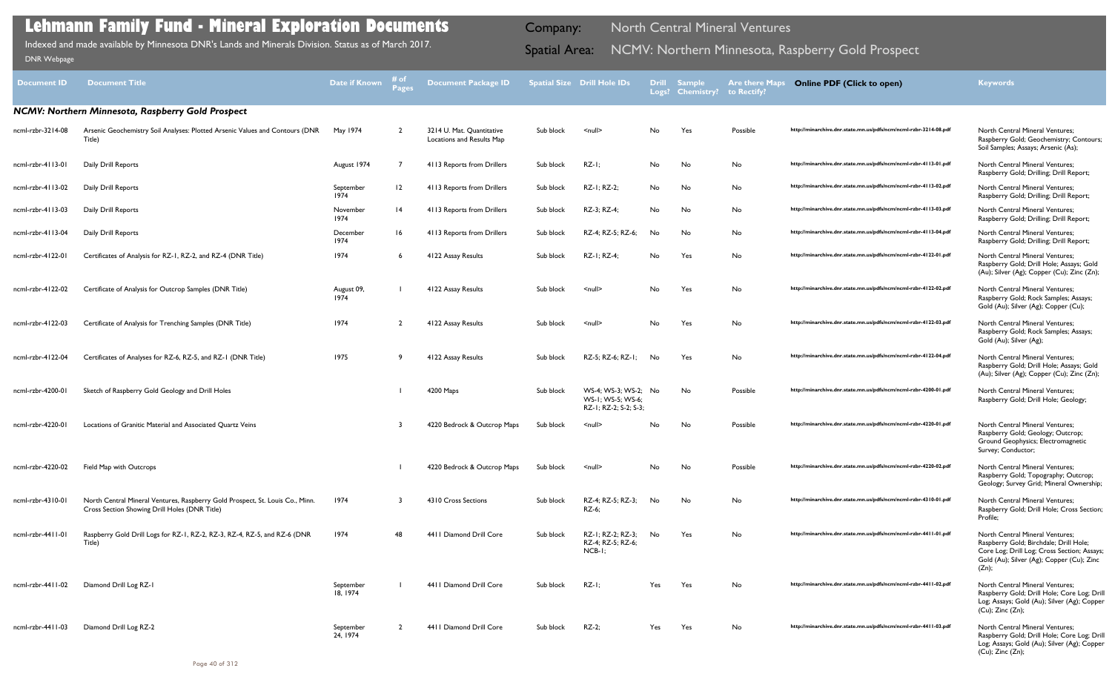| <b>Document ID</b> | <b>Document Title</b>                                                                                                          | <b>Date if Known</b>  | # of<br><b>Pages</b> | <b>Document Package ID</b>                             |           | <b>Spatial Size Drill Hole IDs</b>                                 |     | Drill Sample<br>Logs? Chemistry? | <b>Are there Maps</b><br>to Rectify? | <b>Online PDF (Click to open)</b>                                | <b>Keywords</b>                                                                                                                                                                   |
|--------------------|--------------------------------------------------------------------------------------------------------------------------------|-----------------------|----------------------|--------------------------------------------------------|-----------|--------------------------------------------------------------------|-----|----------------------------------|--------------------------------------|------------------------------------------------------------------|-----------------------------------------------------------------------------------------------------------------------------------------------------------------------------------|
|                    | NCMV: Northern Minnesota, Raspberry Gold Prospect                                                                              |                       |                      |                                                        |           |                                                                    |     |                                  |                                      |                                                                  |                                                                                                                                                                                   |
| ncml-rzbr-3214-08  | Arsenic Geochemistry Soil Analyses: Plotted Arsenic Values and Contours (DNR<br>Title)                                         | May 1974              | $\overline{2}$       | 3214 U. Mat. Quantitative<br>Locations and Results Map | Sub block | $\le$ null $\ge$                                                   | No  | Yes                              | Possible                             | http://minarchive.dnr.state.mn.us/pdfs/ncm/ncml-rzbr-3214-08.pdf | <b>North Central Mineral Ventures;</b><br>Raspberry Gold; Geochemistry; Contours;<br>Soil Samples; Assays; Arsenic (As);                                                          |
| ncml-rzbr-4113-01  | Daily Drill Reports                                                                                                            | August 1974           |                      | 4113 Reports from Drillers                             | Sub block | $RZ-I;$                                                            | No  | No                               | No                                   | http://minarchive.dnr.state.mn.us/pdfs/ncm/ncml-rzbr-4113-01.pdf | North Central Mineral Ventures;<br>Raspberry Gold; Drilling; Drill Report;                                                                                                        |
| ncml-rzbr-4113-02  | Daily Drill Reports                                                                                                            | September<br>1974     | 12                   | 4113 Reports from Drillers                             | Sub block | RZ-I; RZ-2;                                                        | No  | No                               | No                                   | http://minarchive.dnr.state.mn.us/pdfs/ncm/ncml-rzbr-4113-02.pdf | <b>North Central Mineral Ventures;</b><br>Raspberry Gold; Drilling; Drill Report;                                                                                                 |
| ncml-rzbr-4113-03  | Daily Drill Reports                                                                                                            | November<br>1974      | 4                    | 4113 Reports from Drillers                             | Sub block | RZ-3; RZ-4;                                                        | No  | No                               | No                                   | http://minarchive.dnr.state.mn.us/pdfs/ncm/ncml-rzbr-4113-03.pdf | <b>North Central Mineral Ventures;</b><br>Raspberry Gold; Drilling; Drill Report;                                                                                                 |
| ncml-rzbr-4113-04  | Daily Drill Reports                                                                                                            | December<br>1974      | 16                   | 4113 Reports from Drillers                             | Sub block | RZ-4; RZ-5; RZ-6;                                                  | No  | No                               | No                                   | http://minarchive.dnr.state.mn.us/pdfs/ncm/ncml-rzbr-4113-04.pdf | <b>North Central Mineral Ventures;</b><br>Raspberry Gold; Drilling; Drill Report;                                                                                                 |
| ncml-rzbr-4122-01  | Certificates of Analysis for RZ-1, RZ-2, and RZ-4 (DNR Title)                                                                  | 1974                  | 6                    | 4122 Assay Results                                     | Sub block | RZ-1; RZ-4;                                                        | No  | Yes                              | No                                   | http://minarchive.dnr.state.mn.us/pdfs/ncm/ncml-rzbr-4122-01.pdf | North Central Mineral Ventures;<br>Raspberry Gold; Drill Hole; Assays; Gold<br>(Au); Silver (Ag); Copper (Cu); Zinc (Zn);                                                         |
| ncml-rzbr-4122-02  | Certificate of Analysis for Outcrop Samples (DNR Title)                                                                        | August 09,<br>1974    |                      | 4122 Assay Results                                     | Sub block | <null></null>                                                      | No  | Yes                              | No                                   | http://minarchive.dnr.state.mn.us/pdfs/ncm/ncml-rzbr-4122-02.pdf | <b>North Central Mineral Ventures;</b><br>Raspberry Gold; Rock Samples; Assays;<br>Gold (Au); Silver (Ag); Copper (Cu);                                                           |
| ncml-rzbr-4122-03  | Certificate of Analysis for Trenching Samples (DNR Title)                                                                      | 1974                  | $\overline{2}$       | 4122 Assay Results                                     | Sub block | <null></null>                                                      | No. | Yes                              | No                                   | http://minarchive.dnr.state.mn.us/pdfs/ncm/ncml-rzbr-4122-03.pdf | <b>North Central Mineral Ventures;</b><br>Raspberry Gold; Rock Samples; Assays;<br>Gold (Au); Silver (Ag);                                                                        |
| ncml-rzbr-4122-04  | Certificates of Analyses for RZ-6, RZ-5, and RZ-1 (DNR Title)                                                                  | 1975                  | -9                   | 4122 Assay Results                                     | Sub block | RZ-5; RZ-6; RZ-1;                                                  | No  | Yes                              | No                                   | http://minarchive.dnr.state.mn.us/pdfs/ncm/ncml-rzbr-4122-04.pdf | <b>North Central Mineral Ventures;</b><br>Raspberry Gold; Drill Hole; Assays; Gold<br>(Au); Silver (Ag); Copper (Cu); Zinc (Zn);                                                  |
| ncml-rzbr-4200-01  | Sketch of Raspberry Gold Geology and Drill Holes                                                                               |                       |                      | 4200 Maps                                              | Sub block | WS-4; WS-3; WS-2; No<br>WS-1; WS-5; WS-6;<br>RZ-I; RZ-2; S-2; S-3; |     | No                               | Possible                             | http://minarchive.dnr.state.mn.us/pdfs/ncm/ncml-rzbr-4200-01.pdf | North Central Mineral Ventures;<br>Raspberry Gold; Drill Hole; Geology;                                                                                                           |
| ncml-rzbr-4220-01  | Locations of Granitic Material and Associated Quartz Veins                                                                     |                       |                      | 4220 Bedrock & Outcrop Maps                            | Sub block | $null$                                                             | No  | No                               | Possible                             | http://minarchive.dnr.state.mn.us/pdfs/ncm/ncml-rzbr-4220-01.pdf | <b>North Central Mineral Ventures;</b><br>Raspberry Gold; Geology; Outcrop;<br>Ground Geophysics; Electromagnetic<br>Survey; Conductor;                                           |
| ncml-rzbr-4220-02  | Field Map with Outcrops                                                                                                        |                       |                      | 4220 Bedrock & Outcrop Maps                            | Sub block | <null></null>                                                      | No  | No                               | Possible                             | http://minarchive.dnr.state.mn.us/pdfs/ncm/ncml-rzbr-4220-02.pdf | North Central Mineral Ventures;<br>Raspberry Gold; Topography; Outcrop;<br>Geology; Survey Grid; Mineral Ownership;                                                               |
| ncml-rzbr-4310-01  | North Central Mineral Ventures, Raspberry Gold Prospect, St. Louis Co., Minn.<br>Cross Section Showing Drill Holes (DNR Title) | 1974                  | 3                    | 4310 Cross Sections                                    | Sub block | RZ-4; RZ-5; RZ-3;<br>RZ-6;                                         | No  | No                               | No                                   | http://minarchive.dnr.state.mn.us/pdfs/ncm/ncml-rzbr-4310-01.pdf | <b>North Central Mineral Ventures;</b><br>Raspberry Gold; Drill Hole; Cross Section;<br>Profile;                                                                                  |
| ncml-rzbr-4411-01  | Raspberry Gold Drill Logs for RZ-1, RZ-2, RZ-3, RZ-4, RZ-5, and RZ-6 (DNR<br>Title)                                            | 1974                  | 48                   | 4411 Diamond Drill Core                                | Sub block | RZ-1: RZ-2: RZ-3:<br>RZ-4; RZ-5; RZ-6;<br>$NCB-I$                  | No  | Yes                              | No                                   | http://minarchive.dnr.state.mn.us/pdfs/ncm/ncml-rzbr-4411-01.pdf | North Central Mineral Ventures;<br>Raspberry Gold; Birchdale; Drill Hole;<br>Core Log; Drill Log; Cross Section; Assays;<br>Gold (Au); Silver (Ag); Copper (Cu); Zinc<br>$(Zn)$ ; |
| ncml-rzbr-4411-02  | Diamond Drill Log RZ-1                                                                                                         | September<br>18, 1974 |                      | 4411 Diamond Drill Core                                | Sub block | $RZ-I;$                                                            | Yes | Yes                              | No                                   | http://minarchive.dnr.state.mn.us/pdfs/ncm/ncml-rzbr-4411-02.pdf | North Central Mineral Ventures;<br>Raspberry Gold; Drill Hole; Core Log; Drill<br>Log; Assays; Gold (Au); Silver (Ag); Copper<br>$(Cu)$ ; Zinc $(Zn)$ ;                           |
| ncml-rzbr-4411-03  | Diamond Drill Log RZ-2                                                                                                         | September<br>24, 1974 |                      | 4411 Diamond Drill Core                                | Sub block | $RZ-2$ ;                                                           | Yes | Yes                              | No                                   | http://minarchive.dnr.state.mn.us/pdfs/ncm/ncml-rzbr-4411-03.pdf | North Central Mineral Ventures;<br>Raspberry Gold; Drill Hole; Core Log; Drill<br>Log; Assays; Gold (Au); Silver (Ag); Copper<br>$(Cu)$ ; Zinc $(Zn)$ ;                           |

Indexed and made available by Minnesota DNR's Lands and Minerals Division. Status as of March 2017. **Spatial Area: NCMV: Northern Minnesota, Raspberry Gold Prospect** DNR Webpage Indexed and made available by Minnesota DNR's Lands and Minerals Division. Status as of March 2017.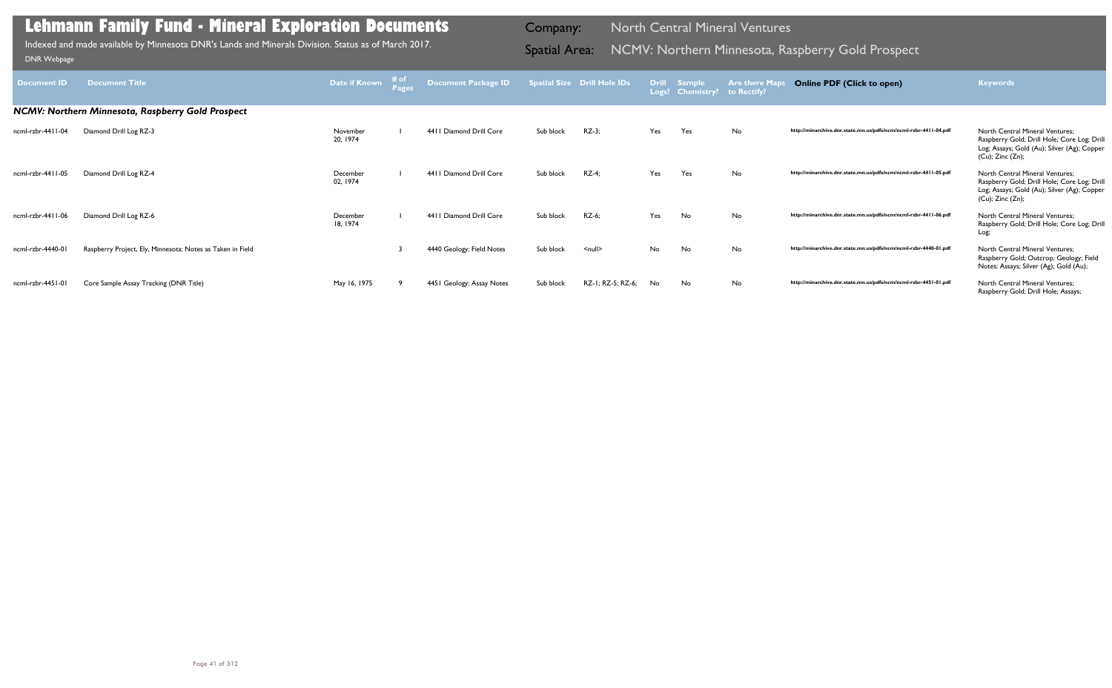| Document ID       | <b>Document Title</b>                                      | Date if Known        | $\begin{array}{c}\n\text{# of } \\ \text{Page}\n\end{array}$ | Document Package ID       |           | <b>Spatial Size Drill Hole IDs</b> | Logs? | Drill Sample<br><b>Chemistry?</b> | <b>Are there Maps</b><br>to Rectify? | <b>Online PDF (Click to open)</b>                                | <b>Keywords</b>                                                                                                                                         |
|-------------------|------------------------------------------------------------|----------------------|--------------------------------------------------------------|---------------------------|-----------|------------------------------------|-------|-----------------------------------|--------------------------------------|------------------------------------------------------------------|---------------------------------------------------------------------------------------------------------------------------------------------------------|
|                   | <b>NCMV: Northern Minnesota, Raspberry Gold Prospect</b>   |                      |                                                              |                           |           |                                    |       |                                   |                                      |                                                                  |                                                                                                                                                         |
| ncml-rzbr-4411-04 | Diamond Drill Log RZ-3                                     | November<br>20, 1974 |                                                              | 4411 Diamond Drill Core   | Sub block | $RZ-3$ ;                           | Yes   | Yes                               | No                                   | http://minarchive.dnr.state.mn.us/pdfs/ncm/ncml-rzbr-4411-04.pdf | North Central Mineral Ventures;<br>Raspberry Gold; Drill Hole; Core Log; Drill<br>Log; Assays; Gold (Au); Silver (Ag); Copper<br>(Cu); Zinc (Zn);       |
| ncml-rzbr-4411-05 | Diamond Drill Log RZ-4                                     | December<br>02, 1974 |                                                              | 4411 Diamond Drill Core   | Sub block | $RZ-4;$                            | Yes   | Yes                               | No                                   | http://minarchive.dnr.state.mn.us/pdfs/ncm/ncml-rzbr-4411-05.pdf | North Central Mineral Ventures;<br>Raspberry Gold; Drill Hole; Core Log; Drill<br>Log; Assays; Gold (Au); Silver (Ag); Copper<br>$(Cu)$ ; Zinc $(Zn)$ ; |
| ncml-rzbr-4411-06 | Diamond Drill Log RZ-6                                     | December<br>18, 1974 |                                                              | 4411 Diamond Drill Core   | Sub block | RZ-6;                              | Yes   | No                                | No                                   | http://minarchive.dnr.state.mn.us/pdfs/ncm/ncml-rzbr-4411-06.pdf | North Central Mineral Ventures;<br>Raspberry Gold; Drill Hole; Core Log; Drill<br>Log;                                                                  |
| ncml-rzbr-4440-01 | Raspberry Project, Ely, Minnesota: Notes as Taken in Field |                      |                                                              | 4440 Geology: Field Notes | Sub block | $\leq$ null $\geq$                 | No    | No                                | No                                   | http://minarchive.dnr.state.mn.us/pdfs/ncm/ncml-rzbr-4440-01.pdf | North Central Mineral Ventures;<br>Raspberry Gold; Outcrop; Geology; Field<br>Notes; Assays; Silver (Ag); Gold (Au);                                    |
| ncml-rzbr-4451-01 | Core Sample Assay Tracking (DNR Title)                     | May 16, 1975         |                                                              | 4451 Geology: Assay Notes | Sub block | RZ-I; RZ-5; RZ-6;                  | No.   | No                                | No                                   | http://minarchive.dnr.state.mn.us/pdfs/ncm/ncml-rzbr-4451-01.pdf | <b>North Central Mineral Ventures:</b><br>Raspberry Gold; Drill Hole; Assays;                                                                           |

Indexed and made available by Minnesota DNR's Lands and Minerals Division. Status as of March 2017. **Spatial Area: NCMV: Northern Minnesota, Raspberry Gold Prospect** DNR Webpage Indexed and made available by Minnesota DNR's Lands and Minerals Division. Status as of March 2017.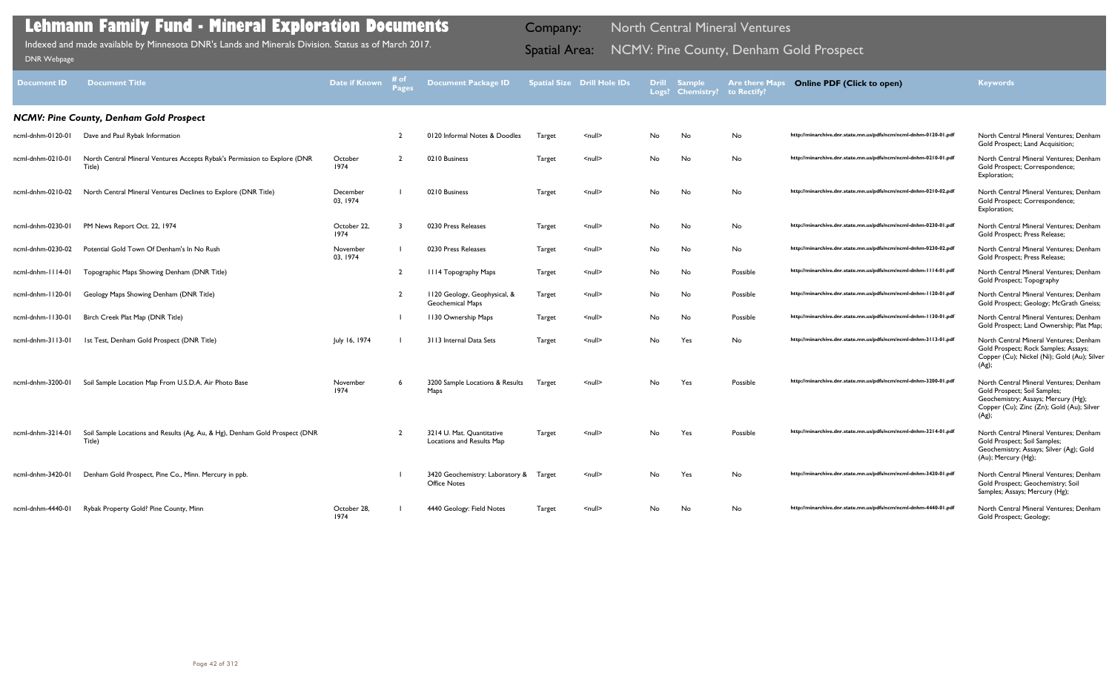| <b>Document ID</b> | <b>Document Title</b>                                                                 | <b>Date if Known</b>    | # of<br><b>Pages</b> | <b>Document Package ID</b>                                    |               | <b>Spatial Size Drill Hole IDs</b> | <b>Drill</b> | <b>Sample</b><br>Logs? Chemistry? | <b>Are there Maps</b><br>to Rectify? | <b>Online PDF (Click to open)</b>                                | <b>Keywords</b>                                                                                                                                                     |
|--------------------|---------------------------------------------------------------------------------------|-------------------------|----------------------|---------------------------------------------------------------|---------------|------------------------------------|--------------|-----------------------------------|--------------------------------------|------------------------------------------------------------------|---------------------------------------------------------------------------------------------------------------------------------------------------------------------|
|                    | <b>NCMV: Pine County, Denham Gold Prospect</b>                                        |                         |                      |                                                               |               |                                    |              |                                   |                                      |                                                                  |                                                                                                                                                                     |
| ncml-dnhm-0120-01  | Dave and Paul Rybak Information                                                       |                         |                      | 0120 Informal Notes & Doodles                                 | Target        | $\leq$ null $\geq$                 | No           | No                                | No                                   | http://minarchive.dnr.state.mn.us/pdfs/ncm/ncml-dnhm-0120-01.pdf | North Central Mineral Ventures; Denham<br>Gold Prospect; Land Acquisition;                                                                                          |
| ncml-dnhm-0210-01  | North Central Mineral Ventures Accepts Rybak's Permission to Explore (DNR<br>Title)   | October<br>1974         |                      | 0210 Business                                                 | Target        | $\leq$ null $\geq$                 | No           | No                                | No                                   | http://minarchive.dnr.state.mn.us/pdfs/ncm/ncml-dnhm-0210-01.pdf | North Central Mineral Ventures; Denham<br>Gold Prospect; Correspondence;<br>Exploration;                                                                            |
| ncml-dnhm-0210-02  | North Central Mineral Ventures Declines to Explore (DNR Title)                        | December<br>03, 1974    |                      | 0210 Business                                                 | Target        | $\le$ null $\ge$                   | No           | No                                | No                                   | http://minarchive.dnr.state.mn.us/pdfs/ncm/ncml-dnhm-0210-02.pdf | North Central Mineral Ventures: Denham<br>Gold Prospect; Correspondence;<br>Exploration;                                                                            |
| ncml-dnhm-0230-01  | PM News Report Oct. 22, 1974                                                          | October 22,<br>1974     |                      | 0230 Press Releases                                           | Target        | <null></null>                      | No           | No                                | No                                   | http://minarchive.dnr.state.mn.us/pdfs/ncm/ncml-dnhm-0230-01.pdf | North Central Mineral Ventures; Denham<br>Gold Prospect; Press Release;                                                                                             |
| ncml-dnhm-0230-02  | Potential Gold Town Of Denham's In No Rush                                            | November<br>03, 1974    |                      | 0230 Press Releases                                           | Target        | $\le$ null $\ge$                   | No.          | No                                | No                                   | http://minarchive.dnr.state.mn.us/pdfs/ncm/ncml-dnhm-0230-02.pdf | North Central Mineral Ventures; Denham<br>Gold Prospect; Press Release;                                                                                             |
| ncml-dnhm-1114-01  | Topographic Maps Showing Denham (DNR Title)                                           |                         | $\overline{2}$       | <b>III4 Topography Maps</b>                                   | Target        | $\leq$ null $\geq$                 | No           | No                                | Possible                             | http://minarchive.dnr.state.mn.us/pdfs/ncm/ncml-dnhm-1114-01.pdf | North Central Mineral Ventures; Denham<br>Gold Prospect; Topography                                                                                                 |
| ncml-dnhm-1120-01  | Geology Maps Showing Denham (DNR Title)                                               |                         |                      | II20 Geology, Geophysical, &<br>Geochemical Maps              | Target        | $\leq$ null $\geq$                 | No           | No                                | Possible                             | http://minarchive.dnr.state.mn.us/pdfs/ncm/ncml-dnhm-1120-01.pdf | North Central Mineral Ventures: Denham<br>Gold Prospect; Geology; McGrath Gneiss;                                                                                   |
| ncml-dnhm-1130-01  | Birch Creek Plat Map (DNR Title)                                                      |                         |                      | 1130 Ownership Maps                                           | <b>Target</b> | $\leq$ null $\geq$                 | No           | No                                | Possible                             | http://minarchive.dnr.state.mn.us/pdfs/ncm/ncml-dnhm-1130-01.pdf | North Central Mineral Ventures; Denham<br>Gold Prospect; Land Ownership; Plat Map;                                                                                  |
| ncml-dnhm-3113-01  | 1st Test, Denham Gold Prospect (DNR Title)                                            | July 16, 1974           |                      | 3113 Internal Data Sets                                       | <b>Target</b> | <null></null>                      | No           | Yes                               | No                                   | http://minarchive.dnr.state.mn.us/pdfs/ncm/ncml-dnhm-3113-01.pdf | North Central Mineral Ventures; Denham<br>Gold Prospect; Rock Samples; Assays;<br>Copper (Cu); Nickel (Ni); Gold (Au); Silver<br>(Ag);                              |
| ncml-dnhm-3200-01  | Soil Sample Location Map From U.S.D.A. Air Photo Base                                 | November<br><b>1974</b> |                      | 3200 Sample Locations & Results<br>Maps                       | Target        | $\leq$ null $\geq$                 | No.          | Yes                               | Possible                             | http://minarchive.dnr.state.mn.us/pdfs/ncm/ncml-dnhm-3200-01.pdf | North Central Mineral Ventures: Denham<br>Gold Prospect; Soil Samples;<br>Geochemistry; Assays; Mercury (Hg);<br>Copper (Cu); Zinc (Zn); Gold (Au); Silver<br>(Ag); |
| ncml-dnhm-3214-01  | Soil Sample Locations and Results (Ag, Au, & Hg), Denham Gold Prospect (DNR<br>Title) |                         | $\overline{2}$       | 3214 U. Mat. Quantitative<br>Locations and Results Map        | Target        | <null></null>                      | No.          | Yes                               | Possible                             | http://minarchive.dnr.state.mn.us/pdfs/ncm/ncml-dnhm-3214-01.pdf | North Central Mineral Ventures; Denham<br>Gold Prospect; Soil Samples;<br>Geochemistry; Assays; Silver (Ag); Gold<br>(Au); Mercury (Hg);                            |
| ncml-dnhm-3420-01  | Denham Gold Prospect, Pine Co., Minn. Mercury in ppb.                                 |                         |                      | 3420 Geochemistry: Laboratory & Target<br><b>Office Notes</b> |               | $\leq$ null $\geq$                 | No.          | Yes                               | No                                   | http://minarchive.dnr.state.mn.us/pdfs/ncm/ncml-dnhm-3420-01.pdf | North Central Mineral Ventures; Denham<br>Gold Prospect; Geochemistry; Soil<br>Samples; Assays; Mercury (Hg);                                                       |
| ncml-dnhm-4440-01  | Rybak Property Gold? Pine County, Minn                                                | October 28,<br>1974     |                      | 4440 Geology: Field Notes                                     | <b>Target</b> | $\leq$ null $\geq$                 | No           | No                                | No                                   | http://minarchive.dnr.state.mn.us/pdfs/ncm/ncml-dnhm-4440-01.pdf | North Central Mineral Ventures; Denham<br>Gold Prospect; Geology;                                                                                                   |

Indexed and made available by Minnesota DNR's Lands and Minerals Division. Status as of March 2017. **Spatial Area: NCMV: Pine County, Denham Gold Prospect** DNR Webpage Indexed and made available by Minnesota DNR's Lands and Minerals Division. Status as of March 2017.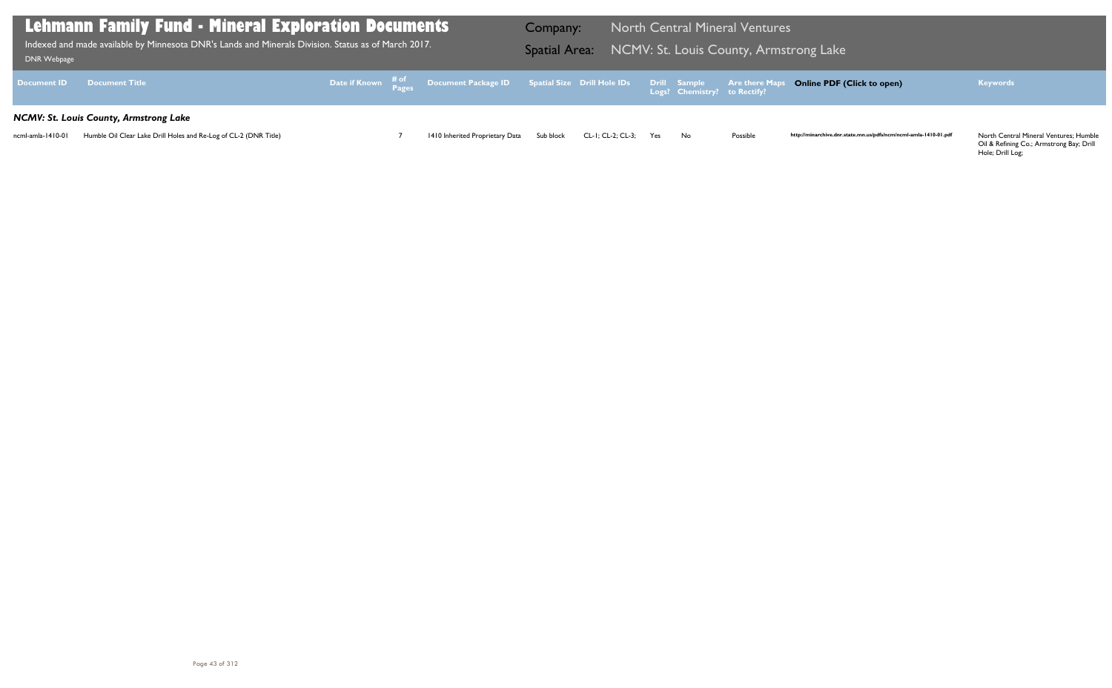Oil & Refining Co.; Armstrong Bay; Drill Hole; Drill Log;

| <b>DNR Webpage</b> | Lehmann Family Fund - Mineral Exploration Documents<br>Indexed and made available by Minnesota DNR's Lands and Minerals Division. Status as of March 2017. |  |                                                                                                | Company:  | Spatial Area: NCMV: St. Louis County, Armstrong Lake |     |                              | <b>North Central Mineral Ventures</b> |                         |
|--------------------|------------------------------------------------------------------------------------------------------------------------------------------------------------|--|------------------------------------------------------------------------------------------------|-----------|------------------------------------------------------|-----|------------------------------|---------------------------------------|-------------------------|
| <b>Document ID</b> | <b>Document Title</b>                                                                                                                                      |  | Date if Known # of Document Package ID Spatial Size Drill Hole IDs Drill Sample Are there Maps |           |                                                      |     | Logs? Chemistry? to Rectify? |                                       | <b>Online PDF</b>       |
|                    | NCMV: St. Louis County, Armstrong Lake                                                                                                                     |  |                                                                                                |           |                                                      |     |                              |                                       |                         |
| ncml-amla-1410-01  | Humble Oil Clear Lake Drill Holes and Re-Log of CL-2 (DNR Title)                                                                                           |  | 1410 Inherited Proprietary Data                                                                | Sub block | CL-1: CL-2: CL-3:                                    | Yes | No.                          | Possible                              | http://minarchive.dnr.s |

### **Online PDF (Click to open) Keywords**

http://minarchive.dnr.state.mn.us/pdfs/ncm/ncml-amla-1410-01.pdf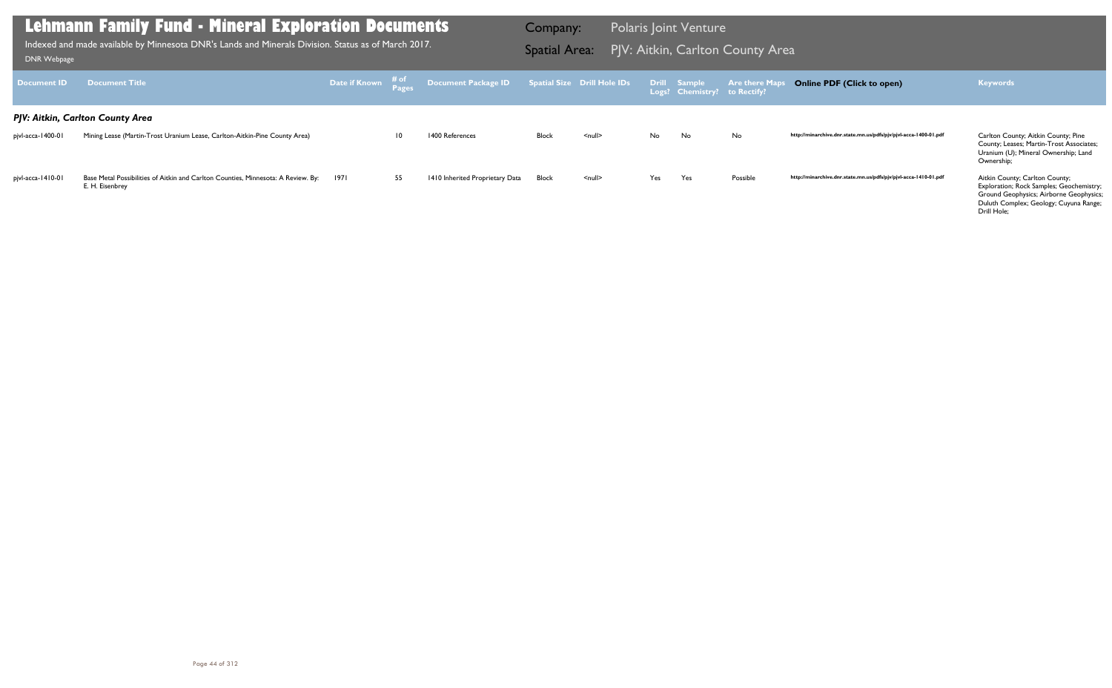County; Leases; Martin-Trost Associates; Uranium (U); Mineral Ownership; Land Ownership;

| <b>Document ID</b> | <b>Document Title</b>                                                                                | <b>Date if Known</b> # of<br><b>Pages</b> |                 | Document Package ID Spatial Size Drill Hole IDs |              |               |     | Drill Sample<br>Logs? Chemistry? to Rectify? | <b>Are there Maps</b> |
|--------------------|------------------------------------------------------------------------------------------------------|-------------------------------------------|-----------------|-------------------------------------------------|--------------|---------------|-----|----------------------------------------------|-----------------------|
|                    | PJV: Aitkin, Carlton County Area                                                                     |                                           |                 |                                                 |              |               |     |                                              |                       |
| pjvl-acca-1400-01  | Mining Lease (Martin-Trost Uranium Lease, Carlton-Aitkin-Pine County Area)                           |                                           | $\overline{10}$ | 1400 References                                 | <b>Block</b> | $<$ null $>$  | No. | No.                                          | No                    |
| pjvl-acca-1410-01  | Base Metal Possibilities of Aitkin and Carlton Counties, Minnesota: A Review. By:<br>E. H. Eisenbrey | 1971                                      | 55              | 1410 Inherited Proprietary Data                 | <b>Block</b> | <null></null> | Yes | Yes                                          | Possible              |

1971 55 1410 Inherited Proprietary Data Block <null> Yes Yes Possible **http://minarchive.dnr.state.mn.us/pdfs/pjv/pjvl-acca-1410-01.pdf** Aitkin County; Carlton County;

Exploration; Rock Samples; Geochemistry; Ground Geophysics; Airborne Geophysics; Duluth Complex; Geology; Cuyuna Range; Drill Hole;

### **Lehmann Family Fund - Mineral Exploration Documents**

Indexed and made available by Minnesota DNR's Lands and Minerals Division. Status as of March 2017. **Spatial Area:** PJV: Aitkin, Carlton County Area ו[DNR Webpage](http://www.dnr.state.mn.us/lands_minerals/polaris/index.html)

Company: Polaris Joint Venture

### **Online PDF (Click to open) Keywords**

http://minarchive.dnr.state.mn.us/pdfs/pjv/pjvl-acca-1400-01.pdf Carlton County; Aitkin County; Pine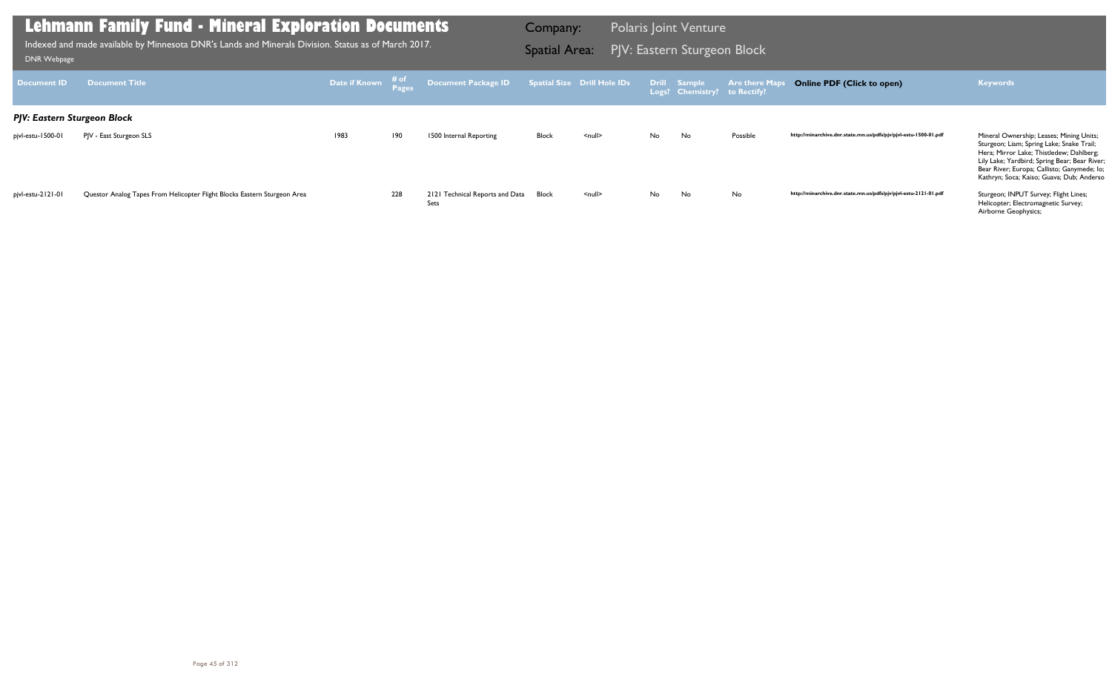http://minarchive.dnr.state.mn.us/pdfs/pjv/pjvl-estu-1500-01.pdf Mineral Ownership; Leases; Mining Units; Sturgeon; Liam; Spring Lake; Snake Trail; Hera; Mirror Lake; Thistledew; Dahlberg; Lily Lake; Yardbird; Spring Bear; Bear River; Bear River; Europa; Callisto; Ganymede; Io; Kathryn; Soca; Kaiso; Guava; Dub; Anderso

http://minarchive.dnr.state.mn.us/pdfs/pjv/pjvl-estu-2121-01.pdf Sturgeon; INPUT Survey; Flight Lines;

Helicopter; Electromagnetic Survey; Airborne Geophysics;

| <b>Document ID</b>          | <b>Document Title</b>                                                    | Date if Known | # of<br>Pages | Document Package ID                     |              | Spatial Size Drill Hole IDs |    | Drill Sample<br>Logs? Chemistry? to Rectify? | <b>Are there Maps</b> |
|-----------------------------|--------------------------------------------------------------------------|---------------|---------------|-----------------------------------------|--------------|-----------------------------|----|----------------------------------------------|-----------------------|
| PJV: Eastern Sturgeon Block |                                                                          |               |               |                                         |              |                             |    |                                              |                       |
| pjvl-estu-1500-01           | PJV - East Sturgeon SLS                                                  | 1983          | 190           | 1500 Internal Reporting                 | <b>Block</b> | $\leq$ null $\geq$          | No | No                                           | Possible              |
|                             |                                                                          |               |               |                                         |              |                             |    |                                              |                       |
|                             |                                                                          |               |               |                                         |              |                             |    |                                              |                       |
| pjvl-estu-2121-01           | Questor Analog Tapes From Helicopter Flight Blocks Eastern Sturgeon Area |               | 228           | 2121 Technical Reports and Data<br>Sets | Block        | $\leq$ null $\geq$          | No | No                                           | No                    |

### **Lehmann Family Fund - Mineral Exploration Documents**

Indexed and made available by Minnesota DNR's Lands and Minerals Division. Status as of March 2017. **Spatial Area: PJV: Eastern Sturgeon Block**<br>[DNR Webpage](http://www.dnr.state.mn.us/lands_minerals/polaris/index.html)

Company: Polaris Joint Venture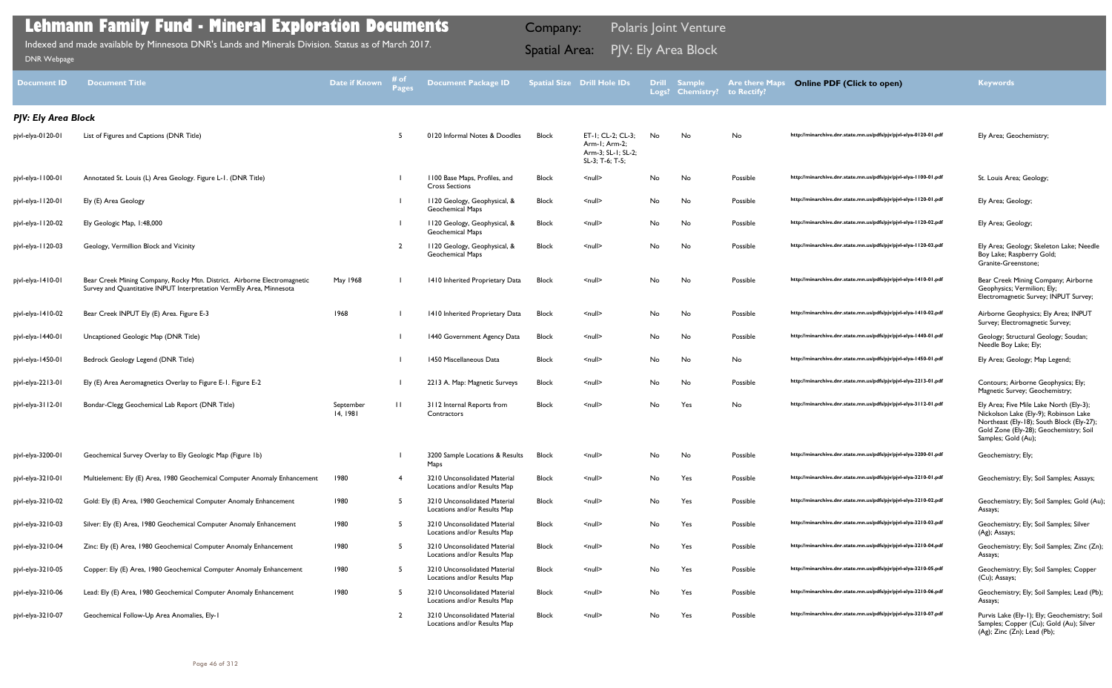Boy Lake; Raspberry Gold; Granite-Greenstone;

Geophysics; Vermilion; Ely; Electromagnetic Survey; INPUT Survey;

Survey; Electromagnetic Survey;

Needle Boy Lake; Ely;

Magnetic Survey; Geochemistry;

| <b>Document ID</b>         | <b>Document Title</b>                                                                                                                            | <b>Date if Known</b>  | # of<br><b>Pages</b> | <b>Document Package ID</b>                                   |              | <b>Spatial Size Drill Hole IDs</b>                                          | <b>Drill</b><br>Logs? | <b>Sample</b><br><b>Chemistry?</b> | <b>Are there Maps</b><br>to Rectify? |
|----------------------------|--------------------------------------------------------------------------------------------------------------------------------------------------|-----------------------|----------------------|--------------------------------------------------------------|--------------|-----------------------------------------------------------------------------|-----------------------|------------------------------------|--------------------------------------|
| <b>PJV: Ely Area Block</b> |                                                                                                                                                  |                       |                      |                                                              |              |                                                                             |                       |                                    |                                      |
| pjvl-elya-0120-01          | List of Figures and Captions (DNR Title)                                                                                                         |                       | 5                    | 0120 Informal Notes & Doodles                                | Block        | ET-1; CL-2; CL-3;<br>Arm-1; Arm-2;<br>Arm-3; SL-1; SL-2;<br>SL-3; T-6; T-5; | No                    | No                                 | No                                   |
| pjvl-elya-1100-01          | Annotated St. Louis (L) Area Geology. Figure L-1. (DNR Title)                                                                                    |                       |                      | 1100 Base Maps, Profiles, and<br><b>Cross Sections</b>       | <b>Block</b> | $null$                                                                      | No                    | No                                 | Possible                             |
| pjvl-elya-1120-01          | Ely (E) Area Geology                                                                                                                             |                       |                      | 1120 Geology, Geophysical, &<br>Geochemical Maps             | Block        | $null$                                                                      | No                    | No                                 | Possible                             |
| pjvl-elya-1120-02          | Ely Geologic Map, 1:48,000                                                                                                                       |                       |                      | 1120 Geology, Geophysical, &<br>Geochemical Maps             | Block        | $null$                                                                      | No                    | No                                 | Possible                             |
| pjvl-elya-1120-03          | Geology, Vermillion Block and Vicinity                                                                                                           |                       | $\overline{2}$       | 1120 Geology, Geophysical, &<br>Geochemical Maps             | Block        | $null$                                                                      | No                    | No                                 | Possible                             |
| pjvl-elya-1410-01          | Bear Creek Mining Company, Rocky Mtn. District. Airborne Electromagnetic<br>Survey and Quantitative INPUT Interpretation VermEly Area, Minnesota | May 1968              |                      | 1410 Inherited Proprietary Data                              | <b>Block</b> | <null></null>                                                               | No                    | No                                 | Possible                             |
| pjvl-elya-1410-02          | Bear Creek INPUT Ely (E) Area. Figure E-3                                                                                                        | 1968                  |                      | 1410 Inherited Proprietary Data                              | <b>Block</b> | $null$                                                                      | No                    | No                                 | Possible                             |
| pjvl-elya-1440-01          | Uncaptioned Geologic Map (DNR Title)                                                                                                             |                       |                      | 1440 Government Agency Data                                  | <b>Block</b> | $null$                                                                      | No                    | No                                 | Possible                             |
| pjvl-elya-1450-01          | Bedrock Geology Legend (DNR Title)                                                                                                               |                       |                      | 1450 Miscellaneous Data                                      | Block        | <null></null>                                                               | No                    | No                                 | No                                   |
| pjvl-elya-2213-01          | Ely (E) Area Aeromagnetics Overlay to Figure E-1. Figure E-2                                                                                     |                       |                      | 2213 A. Map: Magnetic Surveys                                | <b>Block</b> | $null$                                                                      | No                    | No                                 | Possible                             |
| pjvl-elya-3112-01          | Bondar-Clegg Geochemical Lab Report (DNR Title)                                                                                                  | September<br>14, 1981 | $\mathbf{H}$         | 3112 Internal Reports from<br>Contractors                    | <b>Block</b> | $null$                                                                      | No                    | Yes                                | No                                   |
| pjvl-elya-3200-01          | Geochemical Survey Overlay to Ely Geologic Map (Figure 1b)                                                                                       |                       |                      | 3200 Sample Locations & Results<br>Maps                      | Block        | $null$                                                                      | No                    | No.                                | Possible                             |
| pjvl-elya-3210-01          | Multielement: Ely (E) Area, 1980 Geochemical Computer Anomaly Enhancement                                                                        | 1980                  | 4                    | 3210 Unconsolidated Material<br>Locations and/or Results Map | <b>Block</b> | $null$                                                                      | No                    | Yes                                | Possible                             |
| pjvl-elya-3210-02          | Gold: Ely (E) Area, 1980 Geochemical Computer Anomaly Enhancement                                                                                | 1980                  | 5                    | 3210 Unconsolidated Material<br>Locations and/or Results Map | <b>Block</b> | $null$                                                                      | No                    | Yes                                | Possible                             |
| pjvl-elya-3210-03          | Silver: Ely (E) Area, 1980 Geochemical Computer Anomaly Enhancement                                                                              | 1980                  | 5                    | 3210 Unconsolidated Material<br>Locations and/or Results Map | Block        | $null$                                                                      | No                    | Yes                                | Possible                             |
| pjvl-elya-3210-04          | Zinc: Ely (E) Area, 1980 Geochemical Computer Anomaly Enhancement                                                                                | 1980                  | 5                    | 3210 Unconsolidated Material<br>Locations and/or Results Map | <b>Block</b> | $null$                                                                      | No                    | Yes                                | Possible                             |
| pjvl-elya-3210-05          | Copper: Ely (E) Area, 1980 Geochemical Computer Anomaly Enhancement                                                                              | 1980                  | 5                    | 3210 Unconsolidated Material<br>Locations and/or Results Map | <b>Block</b> | $null$                                                                      | No                    | Yes                                | Possible                             |
| pjvl-elya-3210-06          | Lead: Ely (E) Area, 1980 Geochemical Computer Anomaly Enhancement                                                                                | 1980                  | 5                    | 3210 Unconsolidated Material<br>Locations and/or Results Map | <b>Block</b> | $null$                                                                      | No                    | Yes                                | Possible                             |
| pjvl-elya-3210-07          | Geochemical Follow-Up Area Anomalies, Ely-1                                                                                                      |                       | $\overline{2}$       | 3210 Unconsolidated Material<br>Locations and/or Results Map | <b>Block</b> | $null$                                                                      | No                    | Yes                                | Possible                             |

Nickolson Lake (Ely-9); Robinson Lake Northeast (Ely-18); South Block (Ely-27); Gold Zone (Ely-28); Geochemistry; Soil Samples; Gold (Au);

Assays;

(Ag); Assays;

Assays;

(Cu); Assays;

Assays;

Samples; Copper (Cu); Gold (Au); Silver (Ag); Zinc (Zn); Lead (Pb);

### **Lehmann Family Fund - Mineral Exploration Documents**

Indexed and made available by Minnesota DNR's Lands and Minerals Division. Status as of March 2017. **Spatial Area:** PJV: Ely Area Block ו[DNR Webpage](http://www.dnr.state.mn.us/lands_minerals/polaris/index.html)

Company: Polaris Joint Venture

### **Online PDF (Click to open) Keywords**

http://minarchive.dnr.state.mn.us/pdfs/pjv/pjvl-elya-0120-01.pdf Ely Area; Geochemistry;

http://minarchive.dnr.state.mn.us/pdfs/pjv/pjvl-elya-1100-01.pdf St. Louis Area; Geology; http://minarchive.dnr.state.mn.us/pdfs/pjv/pjvl-elya-1120-01.pdf Ely Area; Geology;

http://minarchive.dnr.state.mn.us/pdfs/pjv/pjvl-elya-1120-02.pdf Ely Area; Geology;

http://minarchive.dnr.state.mn.us/pdfs/pjv/pjvl-elya-1120-03.pdf Ely Area; Geology; Skeleton Lake; Needle

http://minarchive.dnr.state.mn.us/pdfs/pjv/pjvl-elya-1410-01.pdf Bear Creek Mining Company; Airborne

http://minarchive.dnr.state.mn.us/pdfs/pjv/pjvl-elya-1410-02.pdf Airborne Geophysics; Ely Area; INPUT

http://minarchive.dnr.state.mn.us/pdfs/pjv/pjvl-elya-1440-01.pdf Geology; Structural Geology; Soudan;

http://minarchive.dnr.state.mn.us/pdfs/pjv/pjvl-elya-1450-01.pdf Ely Area; Geology; Map Legend;

http://minarchive.dnr.state.mn.us/pdfs/pjv/pjvl-elya-2213-01.pdf Contours; Airborne Geophysics; Ely;

http://minarchive.dnr.state.mn.us/pdfs/pjv/pjvl-elya-3112-01.pdf Ely Area; Five Mile Lake North (Ely-3);

http://minarchive.dnr.state.mn.us/pdfs/pjv/pjvl-elya-3200-01.pdf Geochemistry; Ely; http://minarchive.dnr.state.mn.us/pdfs/pjv/pjvl-elya-3210-01.pdf Geochemistry; Ely; Soil Samples; Assays; http://minarchive.dnr.state.mn.us/pdfs/pjv/pjvl-elya-3210-02.pdf Geochemistry; Ely; Soil Samples; Gold (Au); http://minarchive.dnr.state.mn.us/pdfs/pjv/pjvl-elya-3210-03.pdf Geochemistry; Ely; Soil Samples; Silver http://minarchive.dnr.state.mn.us/pdfs/pjv/pjvl-elya-3210-04.pdf Geochemistry; Ely; Soil Samples; Zinc (Zn); http://minarchive.dnr.state.mn.us/pdfs/pjv/pjvl-elya-3210-05.pdf Geochemistry; Ely; Soil Samples; Copper http://minarchive.dnr.state.mn.us/pdfs/pjv/pjvl-elya-3210-06.pdf Geochemistry; Ely; Soil Samples; Lead (Pb); http://minarchive.dnr.state.mn.us/pdfs/pjv/pjvl-elya-3210-07.pdf Purvis Lake (Ely-1); Ely; Geochemistry; Soil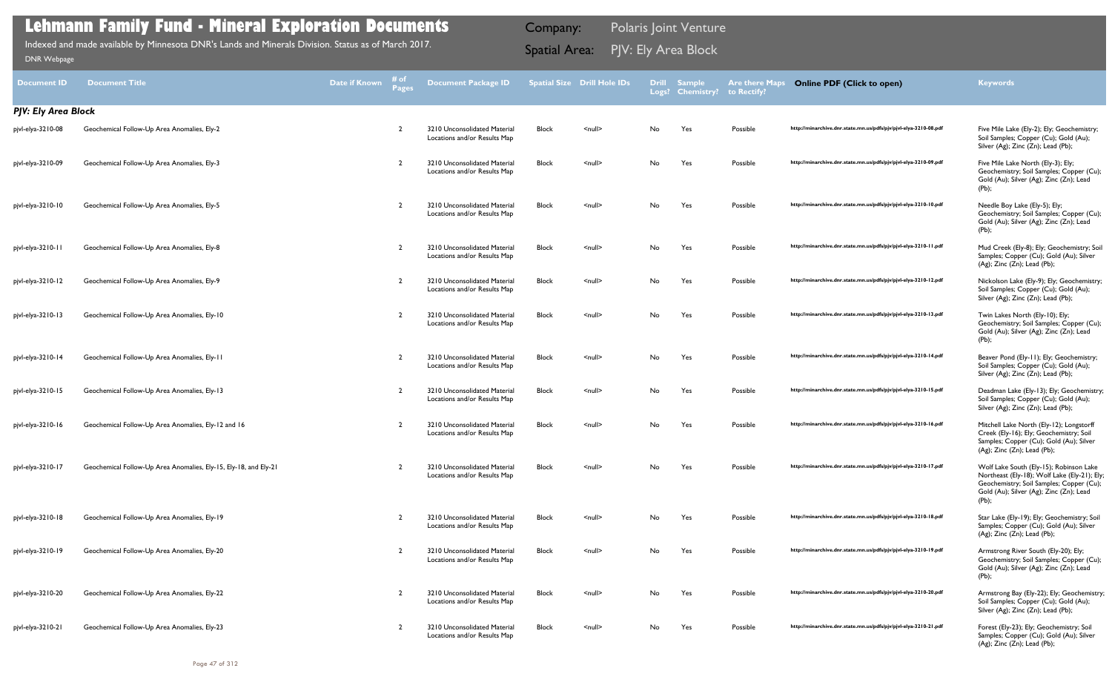| <b>Document ID</b>         | <b>Document Title</b>                                            | Date if Known | i# of<br>Pages | <b>Document Package ID</b>                                   |              | <b>Spatial Size Drill Hole IDs</b> | <b>Drill</b> | <b>Sample</b><br>Logs? Chemistry? | <b>Are there Maps</b><br>to Rectify? | <b>Online PDF (Click to open)</b>                                | <b>Keywords</b>                                                                                                                                                                       |
|----------------------------|------------------------------------------------------------------|---------------|----------------|--------------------------------------------------------------|--------------|------------------------------------|--------------|-----------------------------------|--------------------------------------|------------------------------------------------------------------|---------------------------------------------------------------------------------------------------------------------------------------------------------------------------------------|
| <b>PJV: Ely Area Block</b> |                                                                  |               |                |                                                              |              |                                    |              |                                   |                                      |                                                                  |                                                                                                                                                                                       |
| pjvl-elya-3210-08          | Geochemical Follow-Up Area Anomalies, Ely-2                      |               | -2             | 3210 Unconsolidated Material<br>Locations and/or Results Map | <b>Block</b> | $null$                             | No.          | Yes                               | Possible                             | http://minarchive.dnr.state.mn.us/pdfs/pjv/pjvl-elya-3210-08.pdf | Five Mile Lake (Ely-2); Ely; Geochemistry;<br>Soil Samples; Copper (Cu); Gold (Au);<br>Silver (Ag); Zinc (Zn); Lead (Pb);                                                             |
| pjvl-elya-3210-09          | Geochemical Follow-Up Area Anomalies, Ely-3                      |               | $\overline{2}$ | 3210 Unconsolidated Material<br>Locations and/or Results Map | Block        | $null$                             | No.          | Yes                               | Possible                             | http://minarchive.dnr.state.mn.us/pdfs/pjv/pjvl-elya-3210-09.pdf | Five Mile Lake North (Ely-3); Ely;<br>Geochemistry; Soil Samples; Copper (Cu);<br>Gold (Au); Silver (Ag); Zinc (Zn); Lead<br>$(Pb)$ ;                                                 |
| pjvl-elya-3210-10          | Geochemical Follow-Up Area Anomalies, Ely-5                      |               | -2             | 3210 Unconsolidated Material<br>Locations and/or Results Map | <b>Block</b> | $\leq$ null $\geq$                 | No           | Yes                               | Possible                             | http://minarchive.dnr.state.mn.us/pdfs/pjv/pjvl-elya-3210-10.pdf | Needle Boy Lake (Ely-5); Ely;<br>Geochemistry; Soil Samples; Copper (Cu);<br>Gold (Au); Silver (Ag); Zinc (Zn); Lead<br>$(Pb)$ ;                                                      |
| pjvl-elya-3210-1           | Geochemical Follow-Up Area Anomalies, Ely-8                      |               | -2             | 3210 Unconsolidated Material<br>Locations and/or Results Map | Block        | $\leq$ null $\geq$                 | No           | Yes                               | Possible                             | http://minarchive.dnr.state.mn.us/pdfs/pjv/pjvl-elya-3210-11.pdf | Mud Creek (Ely-8); Ely; Geochemistry; Soil<br>Samples; Copper (Cu); Gold (Au); Silver<br>$(Ag)$ ; Zinc $(Zn)$ ; Lead $(Pb)$ ;                                                         |
| pjvl-elya-3210-12          | Geochemical Follow-Up Area Anomalies, Ely-9                      |               | $\overline{2}$ | 3210 Unconsolidated Material<br>Locations and/or Results Map | Block        | $\leq$ null $\geq$                 | No           | Yes                               | Possible                             | http://minarchive.dnr.state.mn.us/pdfs/pjv/pjvl-elya-3210-12.pdf | Nickolson Lake (Ely-9); Ely; Geochemistry;<br>Soil Samples; Copper (Cu); Gold (Au);<br>Silver (Ag); Zinc (Zn); Lead (Pb);                                                             |
| pjvl-elya-3210-13          | Geochemical Follow-Up Area Anomalies, Ely-10                     |               | $\overline{2}$ | 3210 Unconsolidated Material<br>Locations and/or Results Map | Block        | $\leq$ null $\geq$                 | No           | Yes                               | Possible                             | http://minarchive.dnr.state.mn.us/pdfs/pjv/pjvl-elya-3210-13.pdf | Twin Lakes North (Ely-10); Ely;<br>Geochemistry; Soil Samples; Copper (Cu);<br>Gold (Au); Silver (Ag); Zinc (Zn); Lead<br>(Pb);                                                       |
| pjvl-elya-3210-14          | Geochemical Follow-Up Area Anomalies, Ely-11                     |               | $\mathcal{P}$  | 3210 Unconsolidated Material<br>Locations and/or Results Map | Block        | $\leq$ null $\geq$                 | No           | Yes                               | Possible                             | http://minarchive.dnr.state.mn.us/pdfs/pjv/pjvl-elya-3210-14.pdf | Beaver Pond (Ely-11); Ely; Geochemistry;<br>Soil Samples; Copper (Cu); Gold (Au);<br>Silver (Ag); Zinc (Zn); Lead (Pb);                                                               |
| pjvl-elya-3210-15          | Geochemical Follow-Up Area Anomalies, Ely-13                     |               | $\overline{2}$ | 3210 Unconsolidated Material<br>Locations and/or Results Map | <b>Block</b> | $\leq$ null $\geq$                 | No           | Yes                               | Possible                             | http://minarchive.dnr.state.mn.us/pdfs/pjv/pjvl-elya-3210-15.pdf | Deadman Lake (Ely-13); Ely; Geochemistry;<br>Soil Samples; Copper (Cu); Gold (Au);<br>Silver (Ag); Zinc (Zn); Lead (Pb);                                                              |
| pjvl-elya-3210-16          | Geochemical Follow-Up Area Anomalies, Ely-12 and 16              |               | -2             | 3210 Unconsolidated Material<br>Locations and/or Results Map | Block        | $null$                             | No.          | Yes                               | Possible                             | http://minarchive.dnr.state.mn.us/pdfs/pjv/pjvl-elya-3210-16.pdf | Mitchell Lake North (Ely-12); Longstorff<br>Creek (Ely-16); Ely; Geochemistry; Soil<br>Samples; Copper (Cu); Gold (Au); Silver<br>(Ag); Zinc (Zn); Lead (Pb);                         |
| pjvl-elya-3210-17          | Geochemical Follow-Up Area Anomalies, Ely-15, Ely-18, and Ely-21 |               |                | 3210 Unconsolidated Material<br>Locations and/or Results Map | <b>Block</b> | $\leq$ null $\geq$                 | No.          | Yes                               | Possible                             | http://minarchive.dnr.state.mn.us/pdfs/pjv/pjvl-elya-3210-17.pdf | Wolf Lake South (Ely-15); Robinson Lake<br>Northeast (Ely-18); Wolf Lake (Ely-21); Ely<br>Geochemistry; Soil Samples; Copper (Cu)<br>Gold (Au); Silver (Ag); Zinc (Zn); Lead<br>(Pb); |
| pjvl-elya-3210-18          | Geochemical Follow-Up Area Anomalies, Ely-19                     |               | -2             | 3210 Unconsolidated Material<br>Locations and/or Results Map | <b>Block</b> | $null$                             | No           | Yes                               | Possible                             | http://minarchive.dnr.state.mn.us/pdfs/pjv/pjvl-elya-3210-18.pdf | Star Lake (Ely-19); Ely; Geochemistry; Soil<br>Samples; Copper (Cu); Gold (Au); Silver<br>(Ag); Zinc (Zn); Lead (Pb);                                                                 |
| pjvl-elya-3210-19          | Geochemical Follow-Up Area Anomalies, Ely-20                     |               | -2             | 3210 Unconsolidated Material<br>Locations and/or Results Map | <b>Block</b> | $null$                             | No.          | Yes                               | Possible                             | http://minarchive.dnr.state.mn.us/pdfs/pjv/pjvl-elya-3210-19.pdf | Armstrong River South (Ely-20); Ely;<br>Geochemistry; Soil Samples; Copper (Cu);<br>Gold (Au); Silver (Ag); Zinc (Zn); Lead<br>(Pb);                                                  |
| pjvl-elya-3210-20          | Geochemical Follow-Up Area Anomalies, Ely-22                     |               | -2             | 3210 Unconsolidated Material<br>Locations and/or Results Map | <b>Block</b> | $null$                             | No           | Yes                               | Possible                             | http://minarchive.dnr.state.mn.us/pdfs/pjv/pjvl-elya-3210-20.pdf | Armstrong Bay (Ely-22); Ely; Geochemistry;<br>Soil Samples; Copper (Cu); Gold (Au);<br>Silver (Ag); Zinc (Zn); Lead (Pb);                                                             |
| pjvl-elya-3210-21          | Geochemical Follow-Up Area Anomalies, Ely-23                     |               | $\overline{2}$ | 3210 Unconsolidated Material<br>Locations and/or Results Map | Block        | $null$                             | No           | Yes                               | Possible                             | http://minarchive.dnr.state.mn.us/pdfs/pjv/pjvl-elya-3210-21.pdf | Forest (Ely-23); Ely; Geochemistry; Soil<br>Samples; Copper (Cu); Gold (Au); Silver<br>$(Ag)$ ; Zinc $(Zn)$ ; Lead $(Pb)$ ;                                                           |

Indexed and made available by Minnesota DNR's Lands and Minerals Division. Status as of March 2017. **Spatial Area:** PJV: Ely Area Block ו[DNR Webpage](http://www.dnr.state.mn.us/lands_minerals/polaris/index.html)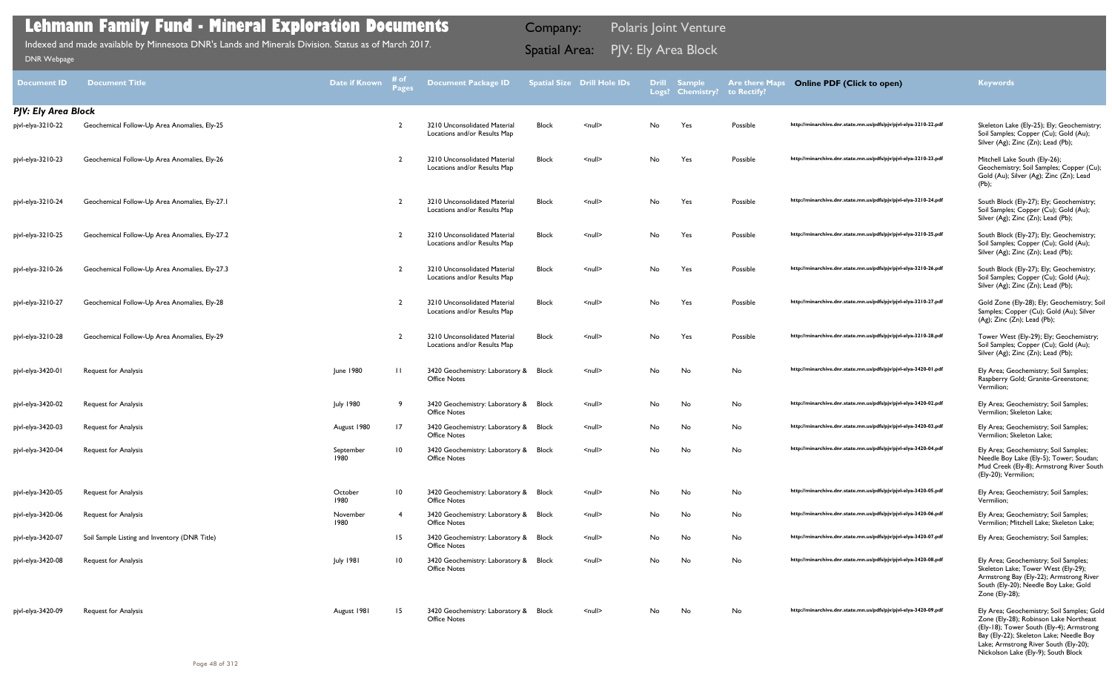| Document ID                | <b>Document Title</b>                          | <b>Date if Known</b> | # of<br>Pages    | <b>Document Package ID</b>                                   |              | <b>Spatial Size Drill Hole IDs</b> |    | Drill Sample<br>Logs? Chemistry? | <b>Are there Maps</b><br>to Rectify? | <b>Online PDF (Click to open)</b>                                | <b>Keywords</b>                                                                                                                                                                                                                                             |
|----------------------------|------------------------------------------------|----------------------|------------------|--------------------------------------------------------------|--------------|------------------------------------|----|----------------------------------|--------------------------------------|------------------------------------------------------------------|-------------------------------------------------------------------------------------------------------------------------------------------------------------------------------------------------------------------------------------------------------------|
| <b>PJV: Ely Area Block</b> |                                                |                      |                  |                                                              |              |                                    |    |                                  |                                      |                                                                  |                                                                                                                                                                                                                                                             |
| pjvl-elya-3210-22          | Geochemical Follow-Up Area Anomalies, Ely-25   |                      | -2               | 3210 Unconsolidated Material<br>Locations and/or Results Map | <b>Block</b> | $null$                             | No | Yes                              | Possible                             | http://minarchive.dnr.state.mn.us/pdfs/pjv/pjvl-elya-3210-22.pdf | Skeleton Lake (Ely-25); Ely; Geochemistry;<br>Soil Samples; Copper (Cu); Gold (Au);<br>Silver (Ag); Zinc (Zn); Lead (Pb);                                                                                                                                   |
| pjvl-elya-3210-23          | Geochemical Follow-Up Area Anomalies, Ely-26   |                      | 2                | 3210 Unconsolidated Material<br>Locations and/or Results Map | Block        | $null$                             | No | Yes                              | Possible                             | http://minarchive.dnr.state.mn.us/pdfs/pjv/pjvl-elya-3210-23.pdf | Mitchell Lake South (Ely-26);<br>Geochemistry; Soil Samples; Copper (Cu);<br>Gold (Au); Silver (Ag); Zinc (Zn); Lead<br>$(Pb)$ ;                                                                                                                            |
| pjvl-elya-3210-24          | Geochemical Follow-Up Area Anomalies, Ely-27.1 |                      | $\overline{2}$   | 3210 Unconsolidated Material<br>Locations and/or Results Map | Block        | $null$                             | No | Yes                              | Possible                             | http://minarchive.dnr.state.mn.us/pdfs/pjv/pjvl-elya-3210-24.pdf | South Block (Ely-27); Ely; Geochemistry;<br>Soil Samples; Copper (Cu); Gold (Au);<br>Silver (Ag); Zinc (Zn); Lead (Pb);                                                                                                                                     |
| pjvl-elya-3210-25          | Geochemical Follow-Up Area Anomalies, Ely-27.2 |                      | -2               | 3210 Unconsolidated Material<br>Locations and/or Results Map | <b>Block</b> | $null$                             | No | Yes                              | Possible                             | http://minarchive.dnr.state.mn.us/pdfs/pjv/pjvl-elya-3210-25.pdf | South Block (Ely-27); Ely; Geochemistry;<br>Soil Samples; Copper (Cu); Gold (Au);<br>Silver (Ag); Zinc (Zn); Lead (Pb);                                                                                                                                     |
| pjvl-elya-3210-26          | Geochemical Follow-Up Area Anomalies, Ely-27.3 |                      | $\overline{2}$   | 3210 Unconsolidated Material<br>Locations and/or Results Map | <b>Block</b> | $null$                             | No | Yes                              | Possible                             | http://minarchive.dnr.state.mn.us/pdfs/pjv/pjvl-elya-3210-26.pdf | South Block (Ely-27); Ely; Geochemistry;<br>Soil Samples; Copper (Cu); Gold (Au);<br>Silver (Ag); Zinc (Zn); Lead (Pb);                                                                                                                                     |
| pjvl-elya-3210-27          | Geochemical Follow-Up Area Anomalies, Ely-28   |                      | -2               | 3210 Unconsolidated Material<br>Locations and/or Results Map | <b>Block</b> | $null$                             | No | Yes                              | Possible                             | http://minarchive.dnr.state.mn.us/pdfs/pjv/pjvl-elya-3210-27.pdf | Gold Zone (Ely-28); Ely; Geochemistry; Soil<br>Samples; Copper (Cu); Gold (Au); Silver<br>$(Ag)$ ; Zinc $(Zn)$ ; Lead $(Pb)$ ;                                                                                                                              |
| pjvl-elya-3210-28          | Geochemical Follow-Up Area Anomalies, Ely-29   |                      | $\overline{2}$   | 3210 Unconsolidated Material<br>Locations and/or Results Map | Block        | $null$                             | No | Yes                              | Possible                             | http://minarchive.dnr.state.mn.us/pdfs/pjv/pjvl-elya-3210-28.pdf | Tower West (Ely-29); Ely; Geochemistry;<br>Soil Samples; Copper (Cu); Gold (Au);<br>Silver (Ag); Zinc (Zn); Lead (Pb);                                                                                                                                      |
| pjvl-elya-3420-01          | <b>Request for Analysis</b>                    | June 1980            |                  | 3420 Geochemistry: Laboratory & Block<br><b>Office Notes</b> |              | $null$                             | No | No                               | No                                   | http://minarchive.dnr.state.mn.us/pdfs/pjv/pjvl-elya-3420-01.pdf | Ely Area; Geochemistry; Soil Samples;<br>Raspberry Gold; Granite-Greenstone;<br>Vermilion;                                                                                                                                                                  |
| pjvl-elya-3420-02          | <b>Request for Analysis</b>                    | <b>July 1980</b>     |                  | 3420 Geochemistry: Laboratory & Block<br><b>Office Notes</b> |              | $null$                             | No | No                               | No                                   | http://minarchive.dnr.state.mn.us/pdfs/pjv/pjvl-elya-3420-02.pdf | Ely Area; Geochemistry; Soil Samples;<br>Vermilion; Skeleton Lake;                                                                                                                                                                                          |
| pjvl-elya-3420-03          | <b>Request for Analysis</b>                    | August 1980          | 17               | 3420 Geochemistry: Laboratory & Block<br><b>Office Notes</b> |              | $null$                             | No | No                               | No                                   | http://minarchive.dnr.state.mn.us/pdfs/pjv/pjvl-elya-3420-03.pdf | Ely Area; Geochemistry; Soil Samples;<br>Vermilion; Skeleton Lake;                                                                                                                                                                                          |
| pjvl-elya-3420-04          | <b>Request for Analysis</b>                    | September<br>1980    | 10               | 3420 Geochemistry: Laboratory & Block<br><b>Office Notes</b> |              | $null$                             | No | No                               | No                                   | http://minarchive.dnr.state.mn.us/pdfs/pjv/pjvl-elya-3420-04.pdf | Ely Area; Geochemistry; Soil Samples;<br>Needle Boy Lake (Ely-5); Tower; Soudan;<br>Mud Creek (Ely-8); Armstrong River South<br>(Ely-20); Vermilion;                                                                                                        |
| pjvl-elya-3420-05          | <b>Request for Analysis</b>                    | October<br>1980      | 10               | 3420 Geochemistry: Laboratory & Block<br><b>Office Notes</b> |              | $null$                             | No | No                               | No                                   | http://minarchive.dnr.state.mn.us/pdfs/pjv/pjvl-elya-3420-05.pdf | Ely Area; Geochemistry; Soil Samples;<br>Vermilion;                                                                                                                                                                                                         |
| pjvl-elya-3420-06          | <b>Request for Analysis</b>                    | November<br>1980     | 4                | 3420 Geochemistry: Laboratory & Block<br><b>Office Notes</b> |              | $\leq$ null $\geq$                 | No | No                               | No                                   | http://minarchive.dnr.state.mn.us/pdfs/pjv/pjvl-elya-3420-06.pdf | Ely Area; Geochemistry; Soil Samples;<br>Vermilion; Mitchell Lake; Skeleton Lake;                                                                                                                                                                           |
| pjvl-elya-3420-07          | Soil Sample Listing and Inventory (DNR Title)  |                      | 15 <sub>15</sub> | 3420 Geochemistry: Laboratory & Block<br><b>Office Notes</b> |              | $\le$ null $\ge$                   | No | No                               | No                                   | http://minarchive.dnr.state.mn.us/pdfs/pjv/pjvl-elya-3420-07.pdf | Ely Area; Geochemistry; Soil Samples;                                                                                                                                                                                                                       |
| pjvl-elya-3420-08          | <b>Request for Analysis</b>                    | <b>July 1981</b>     | 10               | 3420 Geochemistry: Laboratory & Block<br><b>Office Notes</b> |              | $null$                             | No | No                               | No                                   | http://minarchive.dnr.state.mn.us/pdfs/pjv/pjvl-elya-3420-08.pdf | Ely Area; Geochemistry; Soil Samples;<br>Skeleton Lake; Tower West (Ely-29);<br>Armstrong Bay (Ely-22); Armstrong River<br>South (Ely-20); Needle Boy Lake; Gold<br>Zone (Ely-28);                                                                          |
| pjvl-elya-3420-09          | <b>Request for Analysis</b>                    | August 1981          | 15               | 3420 Geochemistry: Laboratory & Block<br><b>Office Notes</b> |              | $null$                             | No | No                               | No                                   | http://minarchive.dnr.state.mn.us/pdfs/pjv/pjvl-elya-3420-09.pdf | Ely Area; Geochemistry; Soil Samples; Gold<br>Zone (Ely-28); Robinson Lake Northeast<br>(Ely-18); Tower South (Ely-4); Armstrong<br>Bay (Ely-22); Skeleton Lake; Needle Boy<br>Lake; Armstrong River South (Ely-20);<br>Nickolson Lake (Ely-9); South Block |
|                            |                                                |                      |                  |                                                              |              |                                    |    |                                  |                                      |                                                                  |                                                                                                                                                                                                                                                             |

Indexed and made available by Minnesota DNR's Lands and Minerals Division. Status as of March 2017. **Spatial Area:** PJV: Ely Area Block ו[DNR Webpage](http://www.dnr.state.mn.us/lands_minerals/polaris/index.html)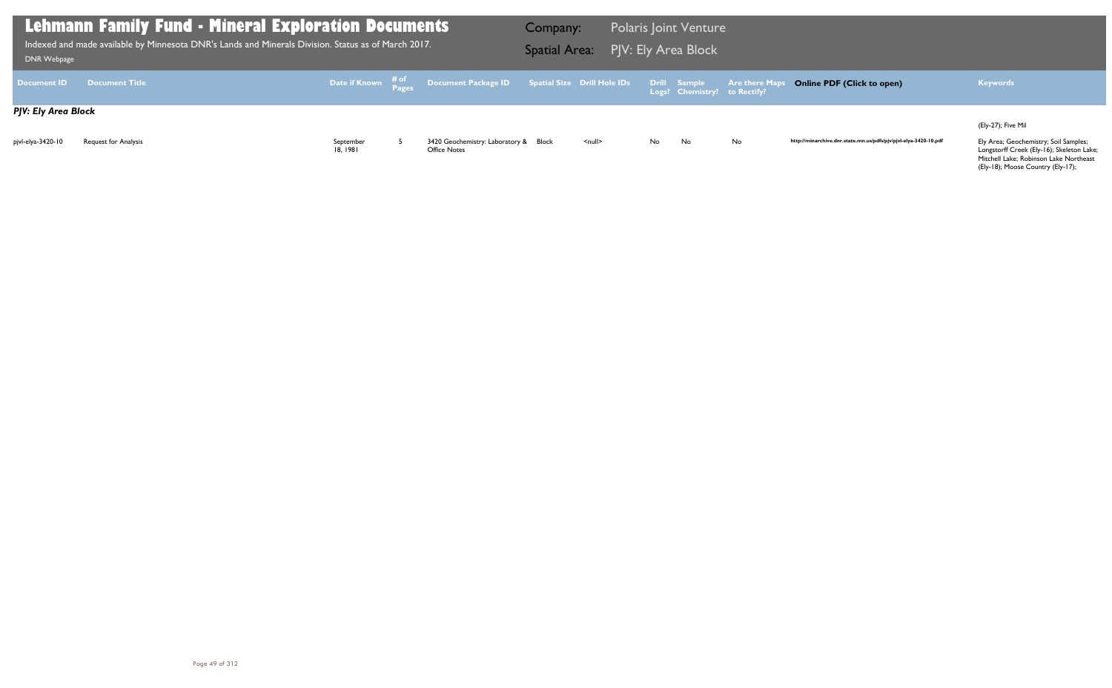(Ely-27); Five Mil

Longstorff Creek (Ely-16); Skeleton Lake; Mitchell Lake; Robinson Lake Northeast (Ely-18); Moose Country (Ely-17);

http://minarchive.dnr.state.mn.us/pdfs/pjv/pjvl-elya-3420-10.pdf

| DNR Webpage         | <b>Lehmann Family Fund - Mineral Exploration Documents</b><br>Indexed and made available by Minnesota DNR's Lands and Minerals Division. Status as of March 2017. |                       |                                                                                                                              | Company:<br><b>Spatial Area:</b> |                    |     | <b>Polaris Joint Venture</b><br>PIV: Ely Area Block |                       |
|---------------------|-------------------------------------------------------------------------------------------------------------------------------------------------------------------|-----------------------|------------------------------------------------------------------------------------------------------------------------------|----------------------------------|--------------------|-----|-----------------------------------------------------|-----------------------|
| <b>Document ID</b>  | <b>Document Title</b>                                                                                                                                             |                       | Date if Known $\begin{array}{cc} \text{\# of} \ \text{\# pages} \end{array}$ Document Package ID Spatial Size Drill Hole IDs |                                  |                    |     | Drill Sample<br>Logs? Chemistry? to Rectify?        | <b>Are there Maps</b> |
| PJV: Ely Area Block |                                                                                                                                                                   |                       |                                                                                                                              |                                  |                    |     |                                                     |                       |
| pjvl-elya-3420-10   | <b>Request for Analysis</b>                                                                                                                                       | September<br>18. 1981 | 3420 Geochemistry: Laboratory & Block<br><b>Office Notes</b>                                                                 |                                  | $\leq$ null $\geq$ | No. | <b>No</b>                                           | No                    |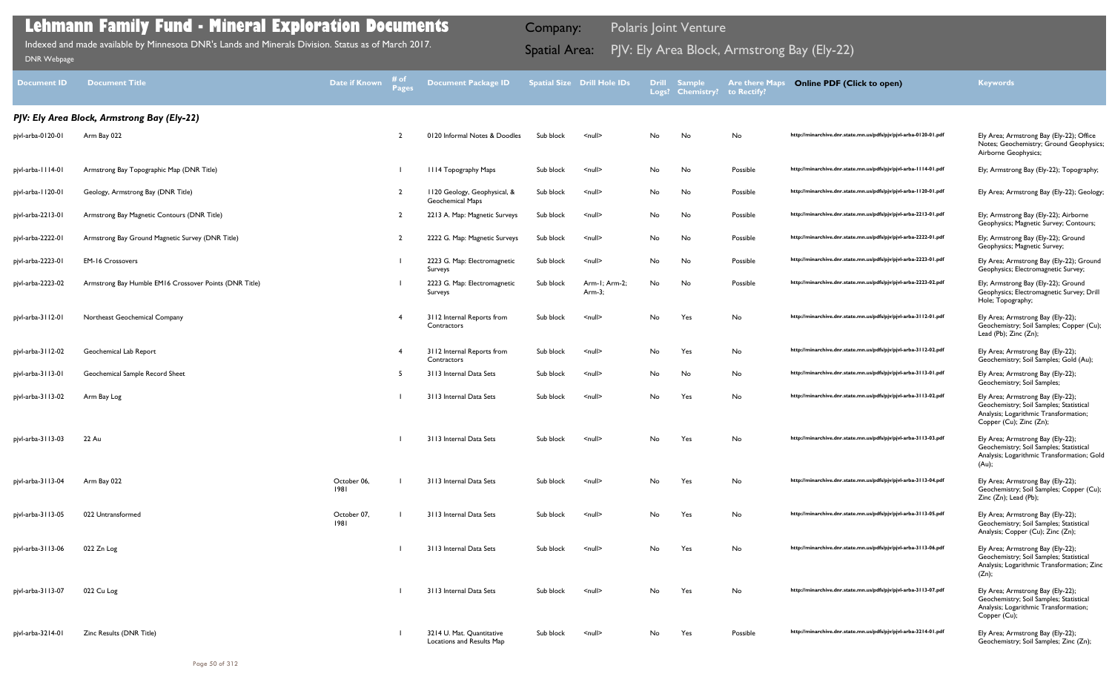| <b>Document ID</b> | <b>Document Title</b>                                  | Date if Known       | # of<br><b>Pages</b> | <b>Document Package ID</b>                             |           | <b>Spatial Size Drill Hole IDs</b> | <b>Drill</b> | <b>Sample</b><br>Logs? Chemistry? | <b>Are there Maps</b><br>to Rectify? | <b>Online PDF (Click to open)</b>                                | <b>Keywords</b>                                                                                                                                  |
|--------------------|--------------------------------------------------------|---------------------|----------------------|--------------------------------------------------------|-----------|------------------------------------|--------------|-----------------------------------|--------------------------------------|------------------------------------------------------------------|--------------------------------------------------------------------------------------------------------------------------------------------------|
|                    | PJV: Ely Area Block, Armstrong Bay (Ely-22)            |                     |                      |                                                        |           |                                    |              |                                   |                                      |                                                                  |                                                                                                                                                  |
| pjvl-arba-0120-01  | Arm Bay 022                                            |                     | $\mathcal{L}$        | 0120 Informal Notes & Doodles                          | Sub block | $\leq$ null $\geq$                 | No           | No                                | No                                   | http://minarchive.dnr.state.mn.us/pdfs/pjv/pjvl-arba-0120-01.pdf | Ely Area; Armstrong Bay (Ely-22); Office<br>Notes; Geochemistry; Ground Geophysics;<br>Airborne Geophysics;                                      |
| pjvl-arba-1114-01  | Armstrong Bay Topographic Map (DNR Title)              |                     |                      | III4 Topography Maps                                   | Sub block | $\leq$ null $\geq$                 | No           | No                                | Possible                             | http://minarchive.dnr.state.mn.us/pdfs/pjv/pjvl-arba-1114-01.pdf | Ely; Armstrong Bay (Ely-22); Topography;                                                                                                         |
| pjvl-arba-1120-01  | Geology, Armstrong Bay (DNR Title)                     |                     | $\overline{2}$       | 1120 Geology, Geophysical, &<br>Geochemical Maps       | Sub block | $\leq$ null $\geq$                 | No           | No                                | Possible                             | http://minarchive.dnr.state.mn.us/pdfs/pjv/pjvl-arba-1120-01.pdf | Ely Area; Armstrong Bay (Ely-22); Geology;                                                                                                       |
| pjvl-arba-2213-01  | Armstrong Bay Magnetic Contours (DNR Title)            |                     | $\overline{2}$       | 2213 A. Map: Magnetic Surveys                          | Sub block | $\leq$ null $\geq$                 | No           | No                                | Possible                             | http://minarchive.dnr.state.mn.us/pdfs/pjv/pjvl-arba-2213-01.pdf | Ely; Armstrong Bay (Ely-22); Airborne<br>Geophysics; Magnetic Survey; Contours;                                                                  |
| pjvl-arba-2222-01  | Armstrong Bay Ground Magnetic Survey (DNR Title)       |                     | $\overline{2}$       | 2222 G. Map: Magnetic Surveys                          | Sub block | $\leq$ null $\geq$                 | No           | No                                | Possible                             | http://minarchive.dnr.state.mn.us/pdfs/pjv/pjvl-arba-2222-01.pdf | Ely; Armstrong Bay (Ely-22); Ground<br>Geophysics; Magnetic Survey;                                                                              |
| pjvl-arba-2223-01  | <b>EM-16 Crossovers</b>                                |                     |                      | 2223 G. Map: Electromagnetic<br>Surveys                | Sub block | $\leq$ null $\geq$                 | No           | No                                | Possible                             | http://minarchive.dnr.state.mn.us/pdfs/pjv/pjvl-arba-2223-01.pdf | Ely Area; Armstrong Bay (Ely-22); Ground<br>Geophysics; Electromagnetic Survey;                                                                  |
| pjvl-arba-2223-02  | Armstrong Bay Humble EM16 Crossover Points (DNR Title) |                     |                      | 2223 G. Map: Electromagnetic<br>Surveys                | Sub block | Arm-1; Arm-2;<br>Arm $-3$ ;        | No           | No                                | Possible                             | http://minarchive.dnr.state.mn.us/pdfs/pjv/pjvl-arba-2223-02.pdf | Ely; Armstrong Bay (Ely-22); Ground<br>Geophysics; Electromagnetic Survey; Drill<br>Hole; Topography;                                            |
| pjvl-arba-3112-01  | Northeast Geochemical Company                          |                     |                      | 3112 Internal Reports from<br>Contractors              | Sub block | $\leq$ null $\geq$                 | No           | Yes                               | No                                   | http://minarchive.dnr.state.mn.us/pdfs/pjv/pjvl-arba-3112-01.pdf | Ely Area; Armstrong Bay (Ely-22);<br>Geochemistry; Soil Samples; Copper (Cu);<br>Lead (Pb); Zinc (Zn);                                           |
| pjvl-arba-3112-02  | Geochemical Lab Report                                 |                     | -4                   | 3112 Internal Reports from<br>Contractors              | Sub block | $\leq$ null $\geq$                 | No           | Yes                               | No                                   | http://minarchive.dnr.state.mn.us/pdfs/pjv/pjvl-arba-3112-02.pdf | Ely Area; Armstrong Bay (Ely-22);<br>Geochemistry; Soil Samples; Gold (Au);                                                                      |
| pjvl-arba-3113-01  | Geochemical Sample Record Sheet                        |                     | -5                   | 3113 Internal Data Sets                                | Sub block | $\leq$ null $\geq$                 | No           | No                                | No                                   | http://minarchive.dnr.state.mn.us/pdfs/pjv/pjvl-arba-3113-01.pdf | Ely Area; Armstrong Bay (Ely-22);<br>Geochemistry; Soil Samples;                                                                                 |
| pjvl-arba-3113-02  | Arm Bay Log                                            |                     |                      | 3113 Internal Data Sets                                | Sub block | $\leq$ null $\geq$                 | No           | Yes                               | No                                   | http://minarchive.dnr.state.mn.us/pdfs/pjv/pjvl-arba-3113-02.pdf | Ely Area; Armstrong Bay (Ely-22);<br>Geochemistry; Soil Samples; Statistical<br>Analysis; Logarithmic Transformation;<br>Copper (Cu); Zinc (Zn); |
| pjvl-arba-3113-03  | 22 Au                                                  |                     |                      | 3113 Internal Data Sets                                | Sub block | <null></null>                      | No.          | Yes                               | No                                   | http://minarchive.dnr.state.mn.us/pdfs/pjv/pjvl-arba-3113-03.pdf | Ely Area; Armstrong Bay (Ely-22);<br>Geochemistry; Soil Samples; Statistical<br>Analysis; Logarithmic Transformation; Gold<br>(Au);              |
| pjvl-arba-3113-04  | Arm Bay 022                                            | October 06,<br>1981 |                      | 3113 Internal Data Sets                                | Sub block | $\leq$ null $\geq$                 | No           | Yes                               | No                                   | http://minarchive.dnr.state.mn.us/pdfs/pjv/pjvl-arba-3113-04.pdf | Ely Area; Armstrong Bay (Ely-22);<br>Geochemistry; Soil Samples; Copper (Cu);<br>Zinc (Zn); Lead (Pb);                                           |
| pjvl-arba-3113-05  | 022 Untransformed                                      | October 07,<br>1981 |                      | 3113 Internal Data Sets                                | Sub block | $\leq$ null $\geq$                 | No           | Yes                               | No                                   | http://minarchive.dnr.state.mn.us/pdfs/pjv/pjvl-arba-3113-05.pdf | Ely Area; Armstrong Bay (Ely-22);<br>Geochemistry; Soil Samples; Statistical<br>Analysis; Copper (Cu); Zinc (Zn);                                |
| pjvl-arba-3113-06  | 022 Zn Log                                             |                     |                      | 3113 Internal Data Sets                                | Sub block | $\leq$ null $\geq$                 | No           | Yes                               | No                                   | http://minarchive.dnr.state.mn.us/pdfs/pjv/pjvl-arba-3113-06.pdf | Ely Area; Armstrong Bay (Ely-22);<br>Geochemistry; Soil Samples; Statistical<br>Analysis; Logarithmic Transformation; Zinc<br>(Zn);              |
| pjvl-arba-3113-07  | 022 Cu Log                                             |                     |                      | 3113 Internal Data Sets                                | Sub block | $\leq$ null $\geq$                 | No           | Yes                               | No                                   | http://minarchive.dnr.state.mn.us/pdfs/pjv/pjvl-arba-3113-07.pdf | Ely Area; Armstrong Bay (Ely-22);<br>Geochemistry; Soil Samples; Statistical<br>Analysis; Logarithmic Transformation;<br>Copper (Cu);            |
| pjvl-arba-3214-01  | Zinc Results (DNR Title)                               |                     |                      | 3214 U. Mat. Quantitative<br>Locations and Results Map | Sub block | $\leq$ null $\geq$                 | No           | Yes                               | Possible                             | http://minarchive.dnr.state.mn.us/pdfs/pjv/pjvl-arba-3214-01.pdf | Ely Area; Armstrong Bay (Ely-22);<br>Geochemistry; Soil Samples; Zinc (Zn);                                                                      |

Indexed and made available by Minnesota DNR's Lands and Minerals Division. Status as of March 2017. Spatial Area: PJV: Ely Area Block, Armstrong Bay (Ely-22) DNR Webpage Indexed and made available by Minnesota DNR's Lands and Minerals Division. Status as of March 2017.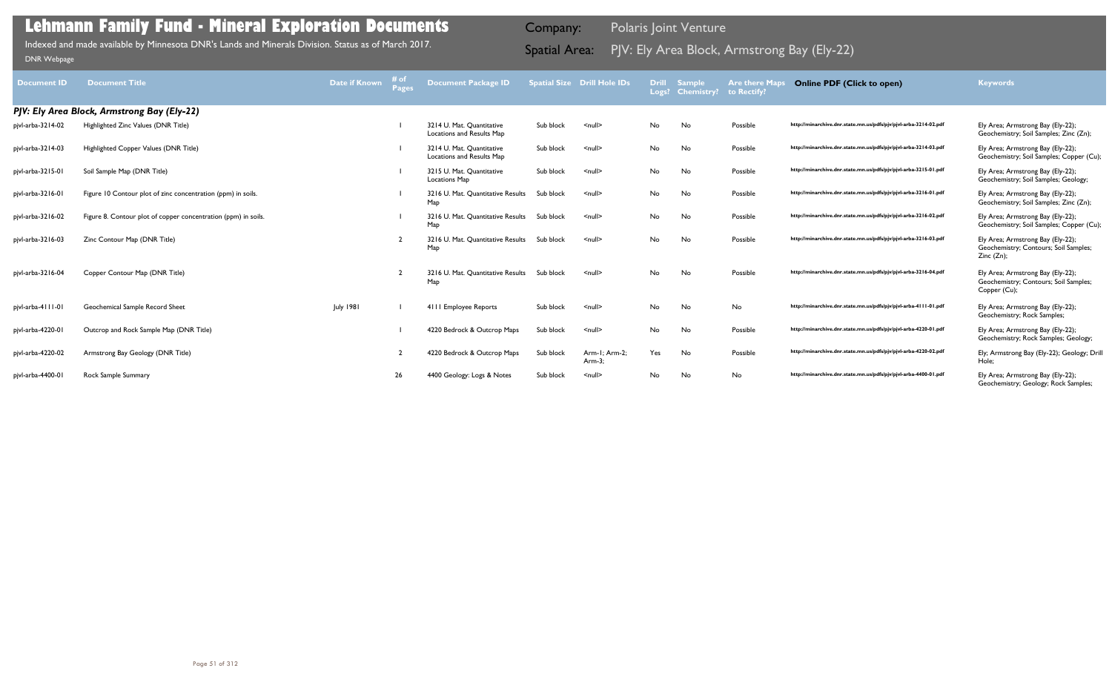|                    |                                                                |               | # of         |                                                        |           |                                    |           |                                         |                                      |                                                                  |                                                                                            |
|--------------------|----------------------------------------------------------------|---------------|--------------|--------------------------------------------------------|-----------|------------------------------------|-----------|-----------------------------------------|--------------------------------------|------------------------------------------------------------------|--------------------------------------------------------------------------------------------|
| <b>Document ID</b> | <b>Document Title</b>                                          | Date if Known | <b>Pages</b> | <b>Document Package ID</b>                             |           | <b>Spatial Size Drill Hole IDs</b> |           | <b>Drill Sample</b><br>Logs? Chemistry? | <b>Are there Maps</b><br>to Rectify? | <b>Online PDF (Click to open)</b>                                | <b>Keywords</b>                                                                            |
|                    |                                                                |               |              |                                                        |           |                                    |           |                                         |                                      |                                                                  |                                                                                            |
|                    | PJV: Ely Area Block, Armstrong Bay (Ely-22)                    |               |              |                                                        |           |                                    |           |                                         |                                      |                                                                  |                                                                                            |
| pjvl-arba-3214-02  | Highlighted Zinc Values (DNR Title)                            |               |              | 3214 U. Mat. Quantitative<br>Locations and Results Map | Sub block | $\leq$ null $\geq$                 | No        | No                                      | Possible                             | http://minarchive.dnr.state.mn.us/pdfs/pjv/pjvl-arba-3214-02.pdf | Ely Area; Armstrong Bay (Ely-22);<br>Geochemistry; Soil Samples; Zinc (Zn);                |
| pjvl-arba-3214-03  | Highlighted Copper Values (DNR Title)                          |               |              | 3214 U. Mat. Ouantitative<br>Locations and Results Map | Sub block | $\leq$ null $\geq$                 | No        | No                                      | Possible                             | http://minarchive.dnr.state.mn.us/pdfs/pjv/pjvl-arba-3214-03.pdf | Ely Area; Armstrong Bay (Ely-22);<br>Geochemistry; Soil Samples; Copper (Cu);              |
| pjvl-arba-3215-01  | Soil Sample Map (DNR Title)                                    |               |              | 3215 U. Mat. Quantitative<br>Locations Map             | Sub block | $\leq$ null $\geq$                 | No        | No                                      | Possible                             | http://minarchive.dnr.state.mn.us/pdfs/pjv/pjvl-arba-3215-01.pdf | Ely Area; Armstrong Bay (Ely-22);<br>Geochemistry; Soil Samples; Geology;                  |
| pjvl-arba-3216-01  | Figure 10 Contour plot of zinc concentration (ppm) in soils.   |               |              | 3216 U. Mat. Quantitative Results<br>Map               | Sub block | $\leq$ null $\geq$                 | No        | No                                      | Possible                             | http://minarchive.dnr.state.mn.us/pdfs/pjv/pjvl-arba-3216-01.pdf | Ely Area; Armstrong Bay (Ely-22);<br>Geochemistry; Soil Samples; Zinc (Zn);                |
| pjvl-arba-3216-02  | Figure 8. Contour plot of copper concentration (ppm) in soils. |               |              | 3216 U. Mat. Quantitative Results<br>Map               | Sub block | $\leq$ null $\geq$                 | No        | No                                      | Possible                             | http://minarchive.dnr.state.mn.us/pdfs/pjv/pjvl-arba-3216-02.pdf | Ely Area; Armstrong Bay (Ely-22);<br>Geochemistry; Soil Samples; Copper (Cu);              |
| pjvl-arba-3216-03  | Zinc Contour Map (DNR Title)                                   |               |              | 3216 U. Mat. Quantitative Results<br>Map               | Sub block | $\leq$ null $\geq$                 | No.       | No                                      | Possible                             | http://minarchive.dnr.state.mn.us/pdfs/pjv/pjvl-arba-3216-03.pdf | Ely Area; Armstrong Bay (Ely-22);<br>Geochemistry; Contours; Soil Samples;<br>Zinc (Zn);   |
| pjvl-arba-3216-04  | Copper Contour Map (DNR Title)                                 |               |              | 3216 U. Mat. Quantitative Results<br>Map               | Sub block | $\leq$ null $\geq$                 | <b>No</b> | No                                      | Possible                             | http://minarchive.dnr.state.mn.us/pdfs/pjv/pjvl-arba-3216-04.pdf | Ely Area; Armstrong Bay (Ely-22);<br>Geochemistry; Contours; Soil Samples;<br>Copper (Cu); |
| pjvl-arba-4111-01  | Geochemical Sample Record Sheet                                | July 1981     |              | 4111 Employee Reports                                  | Sub block | $\leq$ null $\geq$                 | No        | No                                      | No                                   | http://minarchive.dnr.state.mn.us/pdfs/pjv/pjvl-arba-4111-01.pdf | Ely Area; Armstrong Bay (Ely-22);<br>Geochemistry; Rock Samples;                           |
| pjvl-arba-4220-01  | Outcrop and Rock Sample Map (DNR Title)                        |               |              | 4220 Bedrock & Outcrop Maps                            | Sub block | $\leq$ null $\geq$                 | No        | No                                      | Possible                             | http://minarchive.dnr.state.mn.us/pdfs/pjv/pjvl-arba-4220-01.pdf | Ely Area; Armstrong Bay (Ely-22);<br>Geochemistry; Rock Samples; Geology;                  |
| pjvl-arba-4220-02  | Armstrong Bay Geology (DNR Title)                              |               |              | 4220 Bedrock & Outcrop Maps                            | Sub block | Arm-1; Arm-2;<br>$Arm-3$ :         | Yes       | No                                      | Possible                             | http://minarchive.dnr.state.mn.us/pdfs/pjv/pjvl-arba-4220-02.pdf | Ely; Armstrong Bay (Ely-22); Geology; Drill<br>Hole:                                       |
| pjvl-arba-4400-01  | Rock Sample Summary                                            |               | 26           | 4400 Geology: Logs & Notes                             | Sub block | $\leq$ null $\geq$                 | No        | No                                      | No                                   | http://minarchive.dnr.state.mn.us/pdfs/pjv/pjvl-arba-4400-01.pdf | Ely Area; Armstrong Bay (Ely-22);<br>Geochemistry; Geology; Rock Samples;                  |

Indexed and made available by Minnesota DNR's Lands and Minerals Division. Status as of March 2017. Spatial Area: PJV: Ely Area Block, Armstrong Bay (Ely-22) DNR Webpage Indexed and made available by Minnesota DNR's Lands and Minerals Division. Status as of March 2017.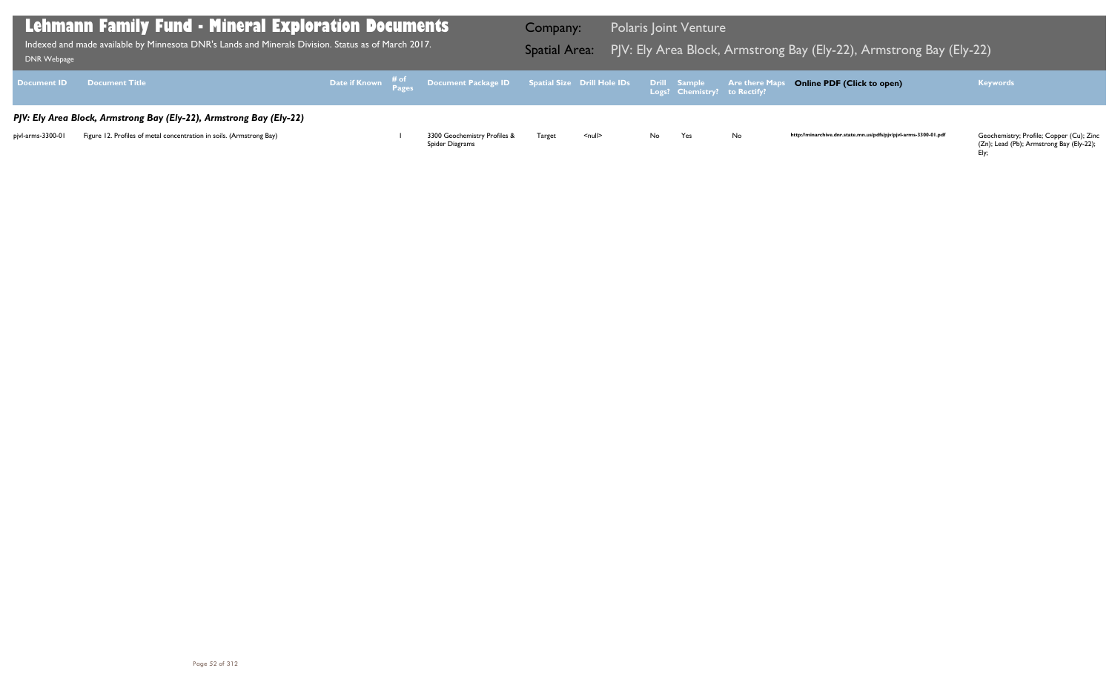(Zn); Lead (Pb); Armstrong Bay (Ely-22); Ely;

| <b>DNR Webpage</b> | Lehmann Family Fund - Mineral Exploration Documents  <br>Indexed and made available by Minnesota DNR's Lands and Minerals Division. Status as of March 2017. |  |                                                                                                | Company: |               |    | <b>Polaris Joint Venture</b> |    | Spatial Area: PJV: Ely Area Block, Armstrong Bay (Ely-22), Armstrong Bay (Ely-22) |                                                                                      |
|--------------------|--------------------------------------------------------------------------------------------------------------------------------------------------------------|--|------------------------------------------------------------------------------------------------|----------|---------------|----|------------------------------|----|-----------------------------------------------------------------------------------|--------------------------------------------------------------------------------------|
|                    | Document ID Document Title                                                                                                                                   |  | Date if Known # of Document Package ID Spatial Size Drill Hole IDs Drill Sample Are there Maps |          |               |    |                              |    | <b>Online PDF (Click to open)</b>                                                 | <b>Keywords</b>                                                                      |
|                    | PJV: Ely Area Block, Armstrong Bay (Ely-22), Armstrong Bay (Ely-22)                                                                                          |  |                                                                                                |          |               |    |                              |    |                                                                                   |                                                                                      |
| pjvl-arms-3300-01  | Figure 12. Profiles of metal concentration in soils. (Armstrong Bay)                                                                                         |  | 3300 Geochemistry Profiles &<br>Spider Diagrams                                                | Target   | <null></null> | No | Yes                          | No | http://minarchive.dnr.state.mn.us/pdfs/pjv/pjvl-arms-3300-01.pdf                  | Geochemistry; Profile; Copper (Cu); Zinc<br>(Zn); Lead (Pb); Armstrong Bay (Ely-22); |

### g Bay (Ely-22), Armstrong Bay (Ely-22)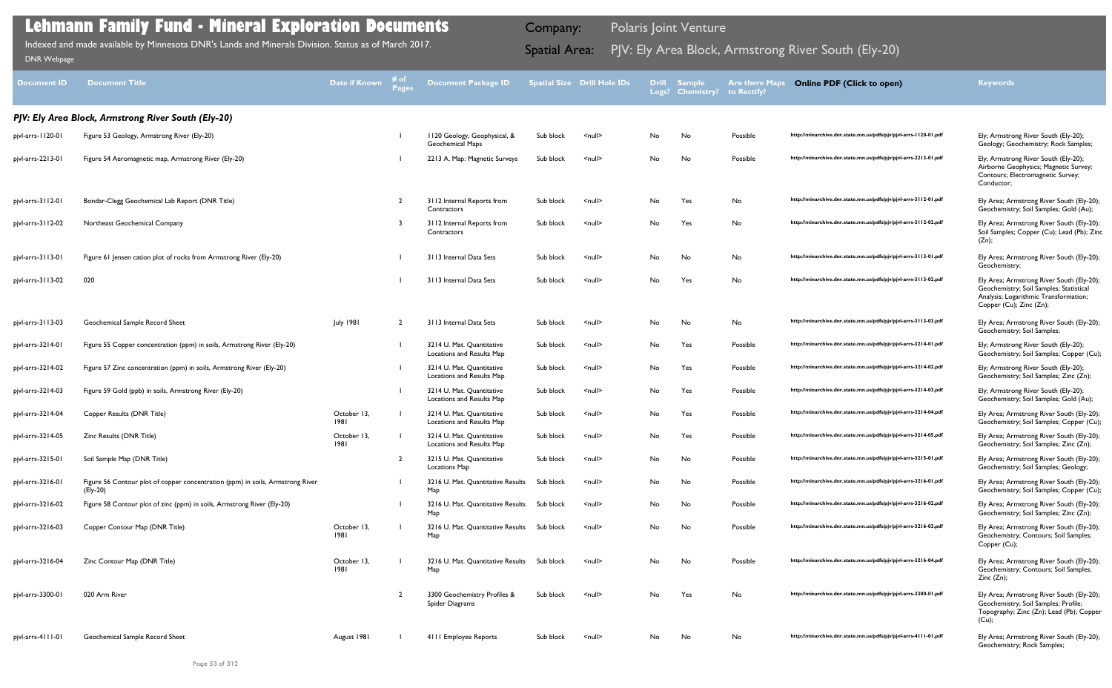| <b>Document ID</b> | <b>Document Title</b>                                                                      | <b>Date if Known</b> | # of<br>Pages  | <b>Document Package ID</b>                              |           | <b>Spatial Size Drill Hole IDs</b> |    | Drill Sample<br>Logs? Chemistry? | <b>Are there Maps</b><br>to Rectify? | <b>Online PDF (Click to open)</b>                                | <b>Keywords</b>                                                                                                                                          |
|--------------------|--------------------------------------------------------------------------------------------|----------------------|----------------|---------------------------------------------------------|-----------|------------------------------------|----|----------------------------------|--------------------------------------|------------------------------------------------------------------|----------------------------------------------------------------------------------------------------------------------------------------------------------|
|                    | PJV: Ely Area Block, Armstrong River South (Ely-20)                                        |                      |                |                                                         |           |                                    |    |                                  |                                      |                                                                  |                                                                                                                                                          |
| pjvl-arrs-1120-01  | Figure 53 Geology, Armstrong River (Ely-20)                                                |                      |                | 1120 Geology, Geophysical, &<br><b>Geochemical Maps</b> | Sub block | $null$                             | No | No                               | Possible                             | http://minarchive.dnr.state.mn.us/pdfs/pjv/pjvl-arrs-1120-01.pdf | Ely; Armstrong River South (Ely-20);<br>Geology; Geochemistry; Rock Samples;                                                                             |
| pjvl-arrs-2213-01  | Figure 54 Aeromagnetic map, Armstrong River (Ely-20)                                       |                      |                | 2213 A. Map: Magnetic Surveys                           | Sub block | $null$                             | No | No                               | Possible                             | http://minarchive.dnr.state.mn.us/pdfs/pjv/pjvl-arrs-2213-01.pdf | Ely; Armstrong River South (Ely-20);<br>Airborne Geophysics; Magnetic Survey;<br>Contours; Electromagnetic Survey;<br>Conductor;                         |
| pjvl-arrs-3112-01  | Bondar-Clegg Geochemical Lab Report (DNR Title)                                            |                      | 2              | 3112 Internal Reports from<br>Contractors               | Sub block | $null$                             | No | Yes                              | No                                   | http://minarchive.dnr.state.mn.us/pdfs/pjv/pjvl-arrs-3112-01.pdf | Ely Area; Armstrong River South (Ely-20);<br>Geochemistry; Soil Samples; Gold (Au);                                                                      |
| pjvl-arrs-3112-02  | Northeast Geochemical Company                                                              |                      |                | 3112 Internal Reports from<br>Contractors               | Sub block | $null$                             | No | Yes                              | No                                   | http://minarchive.dnr.state.mn.us/pdfs/pjv/pjvl-arrs-3112-02.pdf | Ely Area; Armstrong River South (Ely-20);<br>Soil Samples; Copper (Cu); Lead (Pb); Zinc<br>(Zn);                                                         |
| pjvl-arrs-3113-01  | Figure 61 Jensen cation plot of rocks from Armstrong River (Ely-20)                        |                      |                | 3113 Internal Data Sets                                 | Sub block | $null$                             | No | No                               | No                                   | http://minarchive.dnr.state.mn.us/pdfs/pjv/pjvl-arrs-3113-01.pdf | Ely Area; Armstrong River South (Ely-20);<br>Geochemistry;                                                                                               |
| pjvl-arrs-3113-02  | 020                                                                                        |                      |                | 3113 Internal Data Sets                                 | Sub block | <null></null>                      | No | Yes                              | No                                   | http://minarchive.dnr.state.mn.us/pdfs/pjv/pjvl-arrs-3113-02.pdf | Ely Area; Armstrong River South (Ely-20);<br>Geochemistry; Soil Samples; Statistical<br>Analysis; Logarithmic Transformation;<br>Copper (Cu); Zinc (Zn); |
| pjvl-arrs-3113-03  | Geochemical Sample Record Sheet                                                            | <b>July 1981</b>     | $\overline{2}$ | 3113 Internal Data Sets                                 | Sub block | $null$                             | No | No                               | No                                   | http://minarchive.dnr.state.mn.us/pdfs/pjv/pjvl-arrs-3113-03.pdf | Ely Area; Armstrong River South (Ely-20);<br>Geochemistry; Soil Samples;                                                                                 |
| pjvl-arrs-3214-01  | Figure 55 Copper concentration (ppm) in soils, Armstrong River (Ely-20)                    |                      |                | 3214 U. Mat. Quantitative<br>Locations and Results Map  | Sub block | $null$                             | No | Yes                              | Possible                             | http://minarchive.dnr.state.mn.us/pdfs/pjv/pjvl-arrs-3214-01.pdf | Ely; Armstrong River South (Ely-20);<br>Geochemistry; Soil Samples; Copper (Cu);                                                                         |
| pjvl-arrs-3214-02  | Figure 57 Zinc concentration (ppm) in soils, Armstrong River (Ely-20)                      |                      |                | 3214 U. Mat. Quantitative<br>Locations and Results Map  | Sub block | $null$                             | No | Yes                              | Possible                             | http://minarchive.dnr.state.mn.us/pdfs/pjv/pjvl-arrs-3214-02.pdf | Ely; Armstrong River South (Ely-20);<br>Geochemistry; Soil Samples; Zinc (Zn);                                                                           |
| pjvl-arrs-3214-03  | Figure 59 Gold (ppb) in soils, Armstrong River (Ely-20)                                    |                      |                | 3214 U. Mat. Quantitative<br>Locations and Results Map  | Sub block | $null$                             | No | Yes                              | Possible                             | http://minarchive.dnr.state.mn.us/pdfs/pjv/pjvl-arrs-3214-03.pdf | Ely; Armstrong River South (Ely-20);<br>Geochemistry; Soil Samples; Gold (Au);                                                                           |
| pjvl-arrs-3214-04  | Copper Results (DNR Title)                                                                 | October 13,<br>1981  |                | 3214 U. Mat. Quantitative<br>Locations and Results Map  | Sub block | $null$                             | No | Yes                              | Possible                             | http://minarchive.dnr.state.mn.us/pdfs/pjv/pjvl-arrs-3214-04.pdf | Ely Area; Armstrong River South (Ely-20);<br>Geochemistry; Soil Samples; Copper (Cu);                                                                    |
| pjvl-arrs-3214-05  | Zinc Results (DNR Title)                                                                   | October 13,<br>1981  |                | 3214 U. Mat. Quantitative<br>Locations and Results Map  | Sub block | $null$                             | No | Yes                              | Possible                             | http://minarchive.dnr.state.mn.us/pdfs/pjv/pjvl-arrs-3214-05.pdf | Ely Area; Armstrong River South (Ely-20);<br>Geochemistry; Soil Samples; Zinc (Zn);                                                                      |
| pjvl-arrs-3215-01  | Soil Sample Map (DNR Title)                                                                |                      |                | 3215 U. Mat. Quantitative<br><b>Locations Map</b>       | Sub block | <null></null>                      | No | No                               | Possible                             | http://minarchive.dnr.state.mn.us/pdfs/pjv/pjvl-arrs-3215-01.pdf | Ely Area; Armstrong River South (Ely-20);<br>Geochemistry; Soil Samples; Geology;                                                                        |
| pjvl-arrs-3216-01  | Figure 56 Contour plot of copper concentration (ppm) in soils, Armstrong River<br>(Ely-20) |                      |                | 3216 U. Mat. Quantitative Results Sub block<br>Мар      |           | $null$                             | No | No                               | Possible                             | http://minarchive.dnr.state.mn.us/pdfs/pjv/pjvl-arrs-3216-01.pdf | Ely Area; Armstrong River South (Ely-20);<br>Geochemistry; Soil Samples; Copper (Cu);                                                                    |
| pjvl-arrs-3216-02  | Figure 58 Contour plot of zinc (ppm) in soils, Armstrong River (Ely-20)                    |                      |                | 3216 U. Mat. Quantitative Results Sub block<br>Map      |           | <null></null>                      | No | No                               | Possible                             | http://minarchive.dnr.state.mn.us/pdfs/pjv/pjvl-arrs-3216-02.pdf | Ely Area; Armstrong River South (Ely-20);<br>Geochemistry; Soil Samples; Zinc (Zn);                                                                      |
| pjvl-arrs-3216-03  | Copper Contour Map (DNR Title)                                                             | October 13,<br>1981  |                | 3216 U. Mat. Quantitative Results Sub block<br>Map      |           | $\leq$ null $\geq$                 | No | No                               | Possible                             | http://minarchive.dnr.state.mn.us/pdfs/pjv/pjvl-arrs-3216-03.pdf | Ely Area; Armstrong River South (Ely-20);<br>Geochemistry; Contours; Soil Samples;<br>Copper (Cu);                                                       |
| pjvl-arrs-3216-04  | Zinc Contour Map (DNR Title)                                                               | October 13,<br>1981  |                | 3216 U. Mat. Quantitative Results Sub block<br>Map      |           | $\leq$ null $\geq$                 | No | No                               | Possible                             | http://minarchive.dnr.state.mn.us/pdfs/pjv/pjvl-arrs-3216-04.pdf | Ely Area; Armstrong River South (Ely-20);<br>Geochemistry; Contours; Soil Samples;<br>Zinc(Zn);                                                          |
| pjvl-arrs-3300-01  | 020 Arm River                                                                              |                      | $\overline{2}$ | 3300 Geochemistry Profiles &<br>Spider Diagrams         | Sub block | $null$                             | No | Yes                              | No                                   | http://minarchive.dnr.state.mn.us/pdfs/pjv/pjvl-arrs-3300-01.pdf | Ely Area; Armstrong River South (Ely-20);<br>Geochemistry; Soil Samples; Profile;<br>Topography; Zinc (Zn); Lead (Pb); Copper<br>$(Cu)$ ;                |
| pjvl-arrs-4111-01  | Geochemical Sample Record Sheet                                                            | August 1981          |                | 4111 Employee Reports                                   | Sub block | $\leq$ null $\geq$                 | No | No                               | No                                   | http://minarchive.dnr.state.mn.us/pdfs/pjv/pjvl-arrs-4111-01.pdf | Ely Area; Armstrong River South (Ely-20);                                                                                                                |

Geochemistry; Rock Samples;

## **Lehmann Family Fund - Mineral Exploration Documents**

Indexed and made available by Minnesota DNR's Lands and Minerals Division. Status as of March 2017. **In the Spatial Area:** PJV: Ely Area Block, Armstrong River South (Ely-20) DNR Webpage Indexed and made available by Minnesota DNR's Lands and Minerals Division. Status as of March 2017.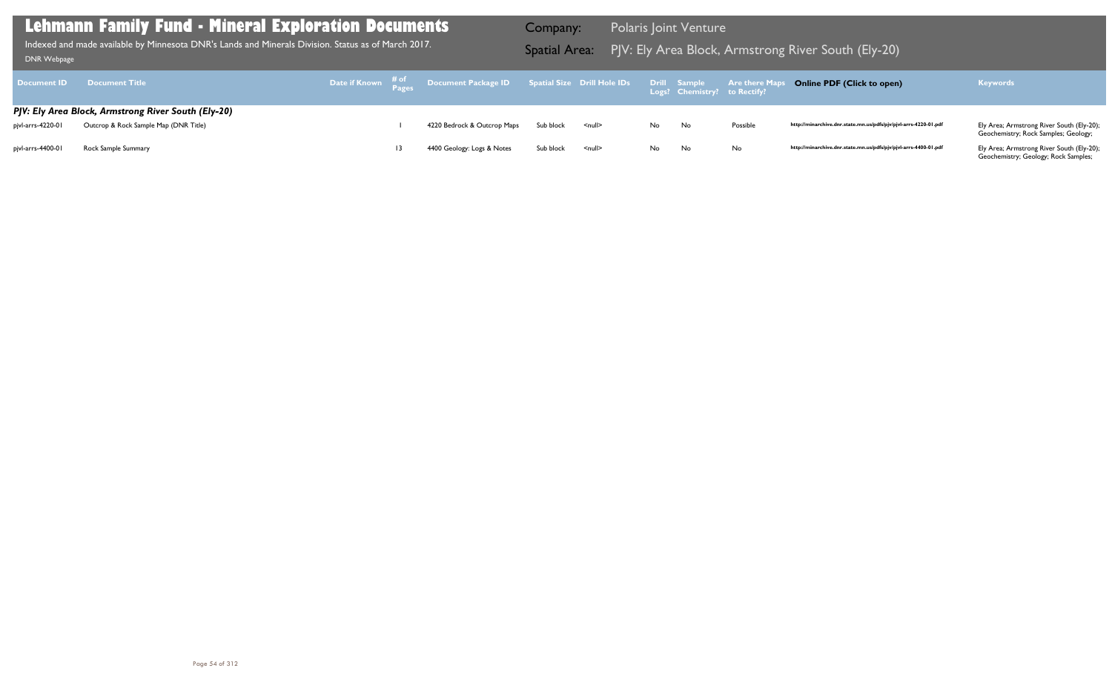|                   | <b>Document ID Document Title</b>                   |    |                             |           |               |      |    |          | Online PDF (Click to open)                                       | <b>Keywords</b>                                                                        |
|-------------------|-----------------------------------------------------|----|-----------------------------|-----------|---------------|------|----|----------|------------------------------------------------------------------|----------------------------------------------------------------------------------------|
|                   | PJV: Ely Area Block, Armstrong River South (Ely-20) |    |                             |           |               |      |    |          |                                                                  |                                                                                        |
| pjvl-arrs-4220-01 | Outcrop & Rock Sample Map (DNR Title)               |    | 4220 Bedrock & Outcrop Maps | Sub block | <null></null> | No   | No | Possible | http://minarchive.dnr.state.mn.us/pdfs/pjv/pjvl-arrs-4220-01.pdf | Ely Area; Armstrong River South (Ely-20);<br>Geochemistry; Rock Samples; Geology;      |
| pjvl-arrs-4400-01 | Rock Sample Summary                                 | 13 | 4400 Geology: Logs & Notes  | Sub block | <null></null> | No l | No | No       | http://minarchive.dnr.state.mn.us/pdfs/pjv/pjvl-arrs-4400-01.pdf | Ely Area; Armstrong River South (Ely-20);<br>Canalisation of Canalisan Bank Controller |

Geochemistry; Geology; Rock Samples;

### **Lehmann Family Fund - Mineral Exploration Documents**

Indexed and made available by Minnesota DNR's Lands and Minerals Division. Status as of March 2017. Spatial Area: PJV: Ely Area Block, Armstrong River South (Ely-20) DNR Webpage Indexed and made available by Minnesota DNR's Lands and Minerals Division. Status as of March 2017.

Company: Polaris Joint Venture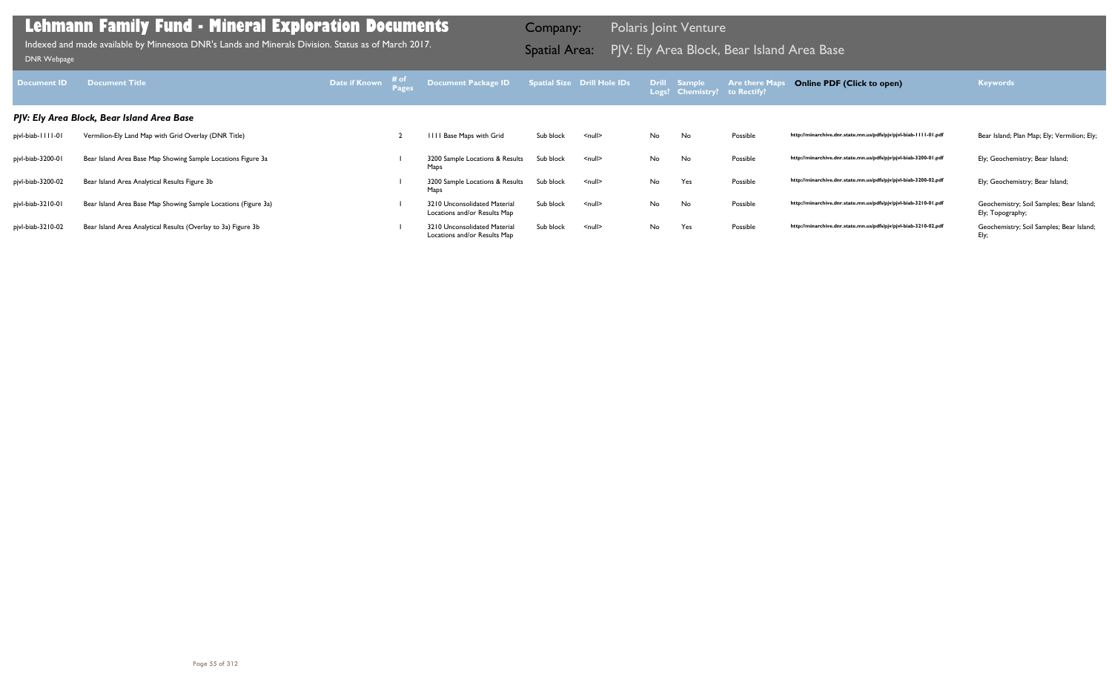| Document ID           | <b>Document Title</b>                                          | <b>Date if Known</b> # of | Document Package ID Spatial Size Drill Hole IDs Drill Sample |           |                    |    | Logs? Chemistry? to Rectify? | <b>Are there Maps</b> | <b>Online PDF (Click to open)</b>                                | <b>Keywords</b>                                              |
|-----------------------|----------------------------------------------------------------|---------------------------|--------------------------------------------------------------|-----------|--------------------|----|------------------------------|-----------------------|------------------------------------------------------------------|--------------------------------------------------------------|
|                       | PJV: Ely Area Block, Bear Island Area Base                     |                           |                                                              |           |                    |    |                              |                       |                                                                  |                                                              |
| pjvl-biab-         -0 | Vermilion-Ely Land Map with Grid Overlay (DNR Title)           |                           | IIII Base Maps with Grid                                     | Sub block | $null$             | No | No                           | Possible              | http://minarchive.dnr.state.mn.us/pdfs/pjv/pjvl-biab-1111-01.pdf | Bear Island; Plan Map; Ely; Vermilion; Ely;                  |
| pjvl-biab-3200-01     | Bear Island Area Base Map Showing Sample Locations Figure 3a   |                           | 3200 Sample Locations & Results<br>Maps                      | Sub block | $\leq$ null $\geq$ | No | No                           | Possible              | http://minarchive.dnr.state.mn.us/pdfs/pjv/pjvl-biab-3200-01.pdf | Ely; Geochemistry; Bear Island;                              |
| pjvl-biab-3200-02     | Bear Island Area Analytical Results Figure 3b                  |                           | 3200 Sample Locations & Results<br>Maps                      | Sub block | <null></null>      | No | Yes                          | Possible              | http://minarchive.dnr.state.mn.us/pdfs/pjv/pjvl-biab-3200-02.pdf | Ely; Geochemistry; Bear Island;                              |
| pjvl-biab-3210-01     | Bear Island Area Base Map Showing Sample Locations (Figure 3a) |                           | 3210 Unconsolidated Material<br>Locations and/or Results Map | Sub block | $\leq$ null $\geq$ | No | No                           | Possible              | http://minarchive.dnr.state.mn.us/pdfs/pjv/pjvl-biab-3210-01.pdf | Geochemistry; Soil Samples; Bear Island;<br>Ely; Topography; |
| pjvl-biab-3210-02     | Bear Island Area Analytical Results (Overlay to 3a) Figure 3b  |                           | 3210 Unconsolidated Material<br>Locations and/or Results Map | Sub block | $null$             | No | Yes                          | Possible              | http://minarchive.dnr.state.mn.us/pdfs/pjv/pjvl-biab-3210-02.pdf | Geochemistry; Soil Samples; Bear Island;<br>Ely;             |

Indexed and made available by Minnesota DNR's Lands and Minerals Division. Status as of March 2017. **Spatial Area:** PJV: Ely Area Block, Bear Island Area Base ו[DNR Webpage](http://www.dnr.state.mn.us/lands_minerals/polaris/index.html)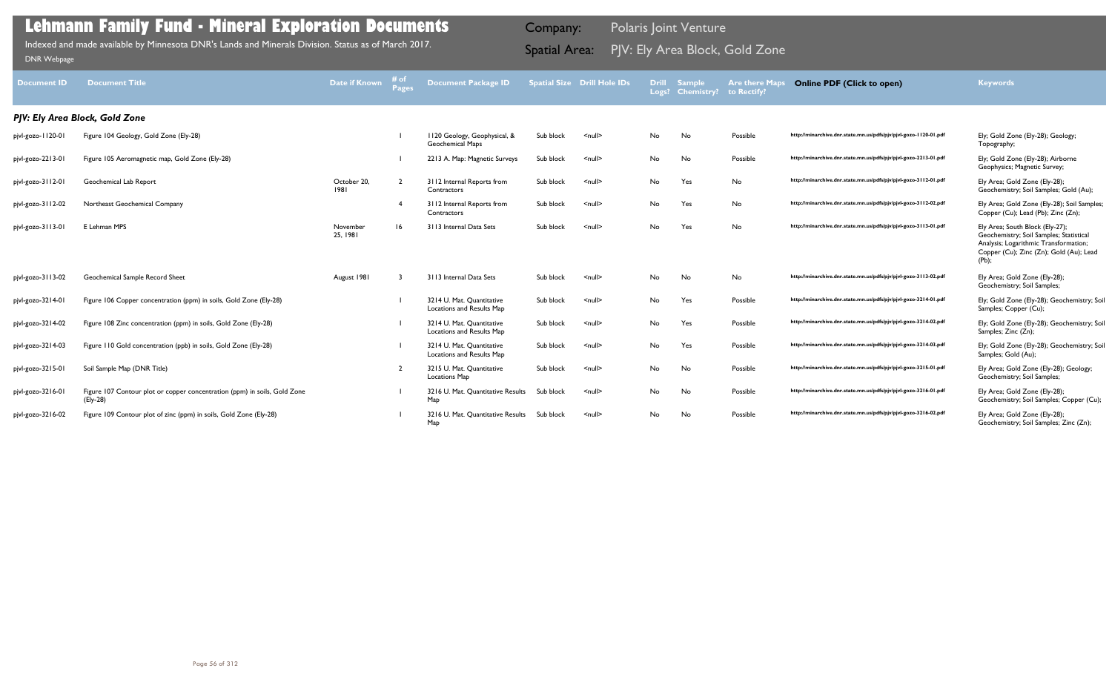| Sub block | $\leq$ null $\geq$ | No        | No  | Possible | http://minarchive.dnr.state.mn.us/pdfs/pjv/pjvl-gozo-1120-01.pdf | Ely; Gold Zone (Ely-28); Geology;<br>Topography;                                                                                                                           |
|-----------|--------------------|-----------|-----|----------|------------------------------------------------------------------|----------------------------------------------------------------------------------------------------------------------------------------------------------------------------|
| Sub block | $\leq$ null $\geq$ | No        | No  | Possible | http://minarchive.dnr.state.mn.us/pdfs/pjv/pjvl-gozo-2213-01.pdf | Ely; Gold Zone (Ely-28); Airborne<br>Geophysics; Magnetic Survey;                                                                                                          |
| Sub block | $\leq$ null $\geq$ | <b>No</b> | Yes | No       | http://minarchive.dnr.state.mn.us/pdfs/pjv/pjvl-gozo-3112-01.pdf | Ely Area; Gold Zone (Ely-28);<br>Geochemistry; Soil Samples; Gold (Au);                                                                                                    |
| Sub block | $\leq$ null $\geq$ | No        | Yes | No       | http://minarchive.dnr.state.mn.us/pdfs/pjv/pjvl-gozo-3112-02.pdf | Ely Area; Gold Zone (Ely-28); Soil Samples;<br>Copper (Cu); Lead (Pb); Zinc (Zn);                                                                                          |
| Sub block | $\leq$ null $\geq$ | No.       | Yes | No       | http://minarchive.dnr.state.mn.us/pdfs/pjv/pjvl-gozo-3113-01.pdf | Ely Area; South Block (Ely-27);<br>Geochemistry; Soil Samples; Statistical<br>Analysis; Logarithmic Transformation;<br>Copper (Cu); Zinc (Zn); Gold (Au); Lead<br>$(Pb)$ ; |
| Sub block | $\leq$ null $\geq$ | <b>No</b> | No  | No       | http://minarchive.dnr.state.mn.us/pdfs/pjv/pjvl-gozo-3113-02.pdf | Ely Area; Gold Zone (Ely-28);<br>Geochemistry; Soil Samples;                                                                                                               |
| Sub block | $\leq$ null $\geq$ | <b>No</b> | Yes | Possible | http://minarchive.dnr.state.mn.us/pdfs/pjv/pjvl-gozo-3214-01.pdf | Ely; Gold Zone (Ely-28); Geochemistry; Soil<br>Samples; Copper (Cu);                                                                                                       |
| Sub block | $\leq$ null $\geq$ | <b>No</b> | Yes | Possible | http://minarchive.dnr.state.mn.us/pdfs/pjv/pjvl-gozo-3214-02.pdf | Ely; Gold Zone (Ely-28); Geochemistry; Soil<br>Samples; Zinc (Zn);                                                                                                         |
| Sub block | $\leq$ null $\geq$ | No        | Yes | Possible | http://minarchive.dnr.state.mn.us/pdfs/pjv/pjvl-gozo-3214-03.pdf | Ely; Gold Zone (Ely-28); Geochemistry; Soil<br>Samples; Gold (Au);                                                                                                         |
| Sub block | $\leq$ null $\geq$ | <b>No</b> | No  | Possible | http://minarchive.dnr.state.mn.us/pdfs/pjv/pjvl-gozo-3215-01.pdf | Ely Area; Gold Zone (Ely-28); Geology;<br>Geochemistry; Soil Samples;                                                                                                      |
| Sub block | $\leq$ null $\geq$ | No        | No  | Possible | http://minarchive.dnr.state.mn.us/pdfs/pjv/pjvl-gozo-3216-01.pdf | Ely Area; Gold Zone (Ely-28);<br>Geochemistry; Soil Samples; Copper (Cu);                                                                                                  |
| Sub block | $null$             | No        | No  | Possible | http://minarchive.dnr.state.mn.us/pdfs/pjv/pjvl-gozo-3216-02.pdf | Ely Area; Gold Zone (Ely-28);<br>Geochemistry; Soil Samples; Zinc (Zn);                                                                                                    |

| <b>Document ID</b> | <b>Document Title</b>                                                                 | Date if Known       | # of<br><b>Pages</b> | <b>Document Package ID</b>                              |           | <b>Spatial Size Drill Hole IDs</b> | <b>Drill</b> | <b>Sample</b><br>Logs? Chemistry? | <b>Are there Maps</b><br>to Rectify? | <b>Online PDF (Click to open)</b>                                | <b>Keywords</b>                                                                                                                                          |
|--------------------|---------------------------------------------------------------------------------------|---------------------|----------------------|---------------------------------------------------------|-----------|------------------------------------|--------------|-----------------------------------|--------------------------------------|------------------------------------------------------------------|----------------------------------------------------------------------------------------------------------------------------------------------------------|
|                    | PJV: Ely Area Block, Gold Zone                                                        |                     |                      |                                                         |           |                                    |              |                                   |                                      |                                                                  |                                                                                                                                                          |
| pjvl-gozo-1120-01  | Figure 104 Geology, Gold Zone (Ely-28)                                                |                     |                      | 1120 Geology, Geophysical, &<br><b>Geochemical Maps</b> | Sub block | $\leq$ null $\geq$                 | No           | No                                | Possible                             | http://minarchive.dnr.state.mn.us/pdfs/pjv/pjvl-gozo-1120-01.pdf | Ely; Gold Zone (Ely-28); Geology;<br>Topography;                                                                                                         |
| pjvl-gozo-2213-01  | Figure 105 Aeromagnetic map, Gold Zone (Ely-28)                                       |                     |                      | 2213 A. Map: Magnetic Surveys                           | Sub block | $null$                             | No           | No                                | Possible                             | http://minarchive.dnr.state.mn.us/pdfs/pjv/pjvl-gozo-2213-01.pdf | Ely; Gold Zone (Ely-28); Airborne<br>Geophysics; Magnetic Survey;                                                                                        |
| pjvl-gozo-3112-01  | Geochemical Lab Report                                                                | October 20,<br>1981 |                      | 3112 Internal Reports from<br>Contractors               | Sub block | $null$                             | No           | Yes                               | No                                   | http://minarchive.dnr.state.mn.us/pdfs/pjv/pjvl-gozo-3112-01.pdf | Ely Area; Gold Zone (Ely-28);<br>Geochemistry; Soil Samples; Gold                                                                                        |
| pjvl-gozo-3112-02  | Northeast Geochemical Company                                                         |                     |                      | 3112 Internal Reports from<br>Contractors               | Sub block | $\leq$ null $\geq$                 | No           | Yes                               | No                                   | http://minarchive.dnr.state.mn.us/pdfs/pjv/pjvl-gozo-3112-02.pdf | Ely Area; Gold Zone (Ely-28); Soil<br>Copper (Cu); Lead (Pb); Zinc (Zn)                                                                                  |
| pjvl-gozo-3113-01  | E Lehman MPS                                                                          | November<br>25.1981 |                      | 3113 Internal Data Sets                                 | Sub block | $\leq$ null $\geq$                 | No           | Yes                               | No                                   | http://minarchive.dnr.state.mn.us/pdfs/pjv/pjvl-gozo-3113-01.pdf | Ely Area; South Block (Ely-27);<br>Geochemistry; Soil Samples; Statis<br>Analysis; Logarithmic Transformati<br>Copper (Cu); Zinc (Zn); Gold (Au<br>(Pb); |
| pjvl-gozo-3113-02  | Geochemical Sample Record Sheet                                                       | August 1981         |                      | 3113 Internal Data Sets                                 | Sub block | $\leq$ null $\geq$                 | No           | No                                | No                                   | http://minarchive.dnr.state.mn.us/pdfs/pjv/pjvl-gozo-3113-02.pdf | Ely Area; Gold Zone (Ely-28);<br>Geochemistry; Soil Samples;                                                                                             |
| pjvl-gozo-3214-01  | Figure 106 Copper concentration (ppm) in soils, Gold Zone (Ely-28)                    |                     |                      | 3214 U. Mat. Quantitative<br>Locations and Results Map  | Sub block | $\leq$ null $\geq$                 | No           | Yes                               | Possible                             | http://minarchive.dnr.state.mn.us/pdfs/pjv/pjvl-gozo-3214-01.pdf | Ely; Gold Zone (Ely-28); Geochem<br>Samples; Copper (Cu);                                                                                                |
| pjvl-gozo-3214-02  | Figure 108 Zinc concentration (ppm) in soils, Gold Zone (Ely-28)                      |                     |                      | 3214 U. Mat. Quantitative<br>Locations and Results Map  | Sub block | $\leq$ null $\geq$                 | No           | Yes                               | Possible                             | http://minarchive.dnr.state.mn.us/pdfs/pjv/pjvl-gozo-3214-02.pdf | Ely; Gold Zone (Ely-28); Geochem<br>Samples; Zinc (Zn);                                                                                                  |
| pjvl-gozo-3214-03  | Figure 110 Gold concentration (ppb) in soils, Gold Zone (Ely-28)                      |                     |                      | 3214 U. Mat. Quantitative<br>Locations and Results Map  | Sub block | $\leq$ null $\geq$                 | No           | Yes                               | Possible                             | http://minarchive.dnr.state.mn.us/pdfs/pjv/pjvl-gozo-3214-03.pdf | Ely; Gold Zone (Ely-28); Geochem<br>Samples; Gold (Au);                                                                                                  |
| pjvl-gozo-3215-01  | Soil Sample Map (DNR Title)                                                           |                     | $\overline{2}$       | 3215 U. Mat. Quantitative<br><b>Locations Map</b>       | Sub block | $\leq$ null $\geq$                 | No           | No                                | Possible                             | http://minarchive.dnr.state.mn.us/pdfs/pjv/pjvl-gozo-3215-01.pdf | Ely Area; Gold Zone (Ely-28); Gec<br>Geochemistry; Soil Samples;                                                                                         |
| pjvl-gozo-3216-01  | Figure 107 Contour plot or copper concentration (ppm) in soils, Gold Zone<br>(Ely-28) |                     |                      | 3216 U. Mat. Quantitative Results<br>Map                | Sub block | $null$                             | No           | No                                | Possible                             | http://minarchive.dnr.state.mn.us/pdfs/pjv/pjvl-gozo-3216-01.pdf | Ely Area; Gold Zone (Ely-28);<br>Geochemistry; Soil Samples; Copp                                                                                        |
| pjvl-gozo-3216-02  | Figure 109 Contour plot of zinc (ppm) in soils, Gold Zone (Ely-28)                    |                     |                      | 3216 U. Mat. Quantitative Results<br>Map                | Sub block | $\leq$ null $\geq$                 | No.          | No                                | Possible                             | http://minarchive.dnr.state.mn.us/pdfs/pjv/pjvl-gozo-3216-02.pdf | Ely Area; Gold Zone (Ely-28);<br>Geochemistry; Soil Samples; Zinc                                                                                        |

PJV: Ely Area Block, Gold Zone Indexed and made available by Minnesota DNR's Lands and Minerals Division. Status as of March 2017. Spatial Area: [DNR Webpage](http://www.dnr.state.mn.us/lands_minerals/polaris/index.html)

Company: Polaris Joint Venture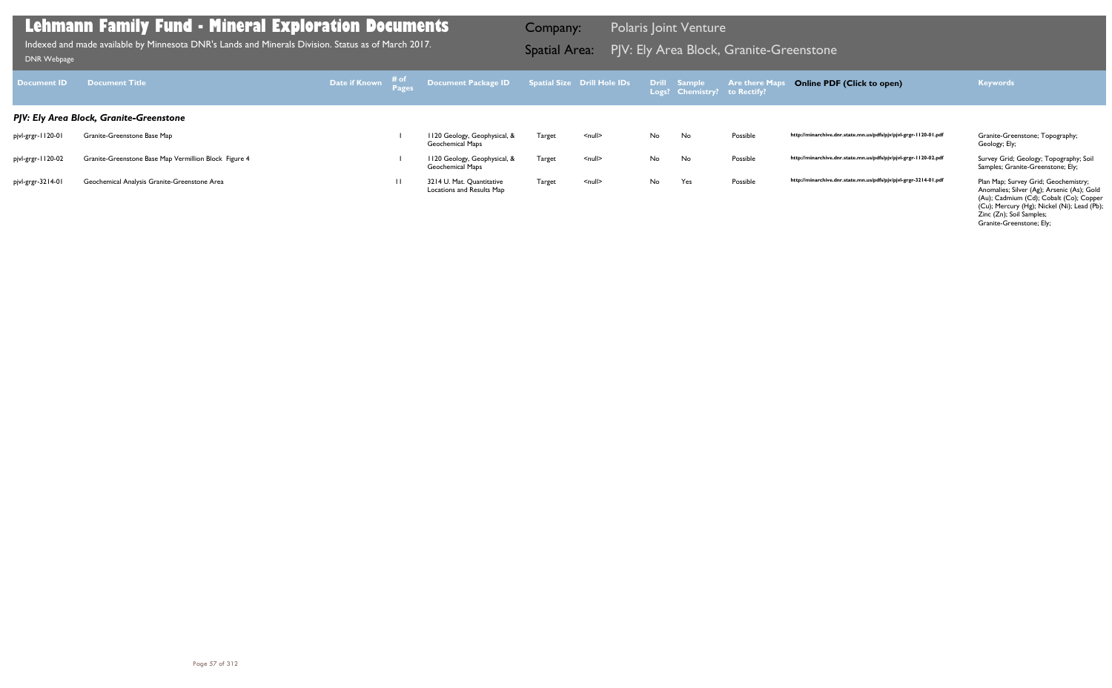| Document ID       | <b>Document Title</b>                                 | Date if Known # of |              | Document Package ID Spatial Size Drill Hole IDs Drill Sample |        |               |    | Logs? Chemistry? to Rectify? | <b>Are there Map</b> | <b>Online PDF (Click to open)</b>                                | <b>Keywords</b>                                                                                                                                                                                                                      |
|-------------------|-------------------------------------------------------|--------------------|--------------|--------------------------------------------------------------|--------|---------------|----|------------------------------|----------------------|------------------------------------------------------------------|--------------------------------------------------------------------------------------------------------------------------------------------------------------------------------------------------------------------------------------|
|                   | PJV: Ely Area Block, Granite-Greenstone               |                    |              |                                                              |        |               |    |                              |                      |                                                                  |                                                                                                                                                                                                                                      |
| pjvl-grgr-1120-01 | Granite-Greenstone Base Map                           |                    |              | 1120 Geology, Geophysical, &<br><b>Geochemical Maps</b>      | Target | <null></null> | No | No                           | Possible             | http://minarchive.dnr.state.mn.us/pdfs/pjv/pjvl-grgr-1120-01.pdf | Granite-Greenstone; Topography;<br>Geology; Ely;                                                                                                                                                                                     |
| pjvl-grgr-1120-02 | Granite-Greenstone Base Map Vermillion Block Figure 4 |                    |              | 1120 Geology, Geophysical, &<br><b>Geochemical Maps</b>      | Target | <null></null> | No | No.                          | Possible             | http://minarchive.dnr.state.mn.us/pdfs/pjv/pjvl-grgr-1120-02.pdf | Survey Grid; Geology; Topography; Soil<br>Samples; Granite-Greenstone; Ely;                                                                                                                                                          |
| pjvl-grgr-3214-01 | Geochemical Analysis Granite-Greenstone Area          |                    | $\mathbf{H}$ | 3214 U. Mat. Quantitative<br>Locations and Results Map       | Target | <null></null> | No | Yes                          | Possible             | http://minarchive.dnr.state.mn.us/pdfs/pjv/pjvl-grgr-3214-01.pdf | Plan Map; Survey Grid; Geochemistry;<br>Anomalies; Silver (Ag); Arsenic (As); Gold<br>(Au); Cadmium (Cd); Cobalt (Co); Copper<br>(Cu); Mercury (Hg); Nickel (Ni); Lead (Pb);<br>Zinc (Zn); Soil Samples;<br>Granite-Greenstone; Ely; |

Indexed and made available by Minnesota DNR's Lands and Minerals Division. Status as of March 2017. **Spatial Area:** PJV: Ely Area Block, Granite-Greenstone וDNR Webpage Indexed and made available by Minnesota DNR's Lands and Minerals Division. Status as of March 2017.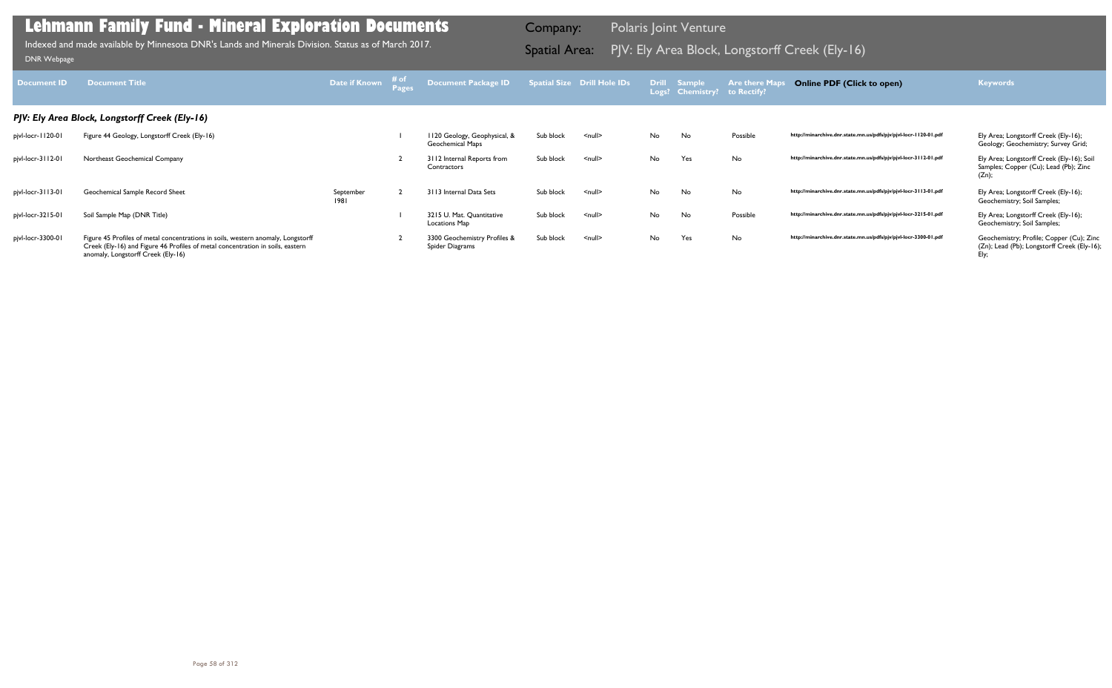| Document ID       | <b>Document Title</b>                                                                                                                                                                                    | Date if Known     | # of | Document Package ID                              |           | Spatial Size Drill Hole IDs |    | Drill Sample<br>Logs? Chemistry? to Rectify? | <b>Are there Maps</b> | <b>Online PDF (Click to open)</b>                                | <b>Keywords</b>                                                                                 |
|-------------------|----------------------------------------------------------------------------------------------------------------------------------------------------------------------------------------------------------|-------------------|------|--------------------------------------------------|-----------|-----------------------------|----|----------------------------------------------|-----------------------|------------------------------------------------------------------|-------------------------------------------------------------------------------------------------|
|                   | PJV: Ely Area Block, Longstorff Creek (Ely-16)                                                                                                                                                           |                   |      |                                                  |           |                             |    |                                              |                       |                                                                  |                                                                                                 |
| pjvl-locr-1120-01 | Figure 44 Geology, Longstorff Creek (Ely-16)                                                                                                                                                             |                   |      | II20 Geology, Geophysical, &<br>Geochemical Maps | Sub block | $\leq$ null $\geq$          | No | No.                                          | Possible              | http://minarchive.dnr.state.mn.us/pdfs/pjv/pjvl-locr-1120-01.pdf | Ely Area; Longstorff Creek (Ely-16);<br>Geology; Geochemistry; Survey Grid;                     |
| pjvl-locr-3112-01 | Northeast Geochemical Company                                                                                                                                                                            |                   |      | 3112 Internal Reports from<br>Contractors        | Sub block | $\leq$ null $\geq$          | No | Yes                                          | No                    | http://minarchive.dnr.state.mn.us/pdfs/pjv/pjvl-locr-3112-01.pdf | Ely Area; Longstorff Creek (Ely-16); Soil<br>Samples; Copper (Cu); Lead (Pb); Zinc<br>(Zn);     |
| pjvl-locr-3113-01 | Geochemical Sample Record Sheet                                                                                                                                                                          | September<br>1981 |      | 3113 Internal Data Sets                          | Sub block | $null$                      | No | No                                           | No                    | http://minarchive.dnr.state.mn.us/pdfs/pjv/pjvl-locr-3113-01.pdf | Ely Area; Longstorff Creek (Ely-16);<br>Geochemistry; Soil Samples;                             |
| pjvl-locr-3215-01 | Soil Sample Map (DNR Title)                                                                                                                                                                              |                   |      | 3215 U. Mat. Quantitative<br>Locations Map       | Sub block | $null$                      | No | No                                           | Possible              | http://minarchive.dnr.state.mn.us/pdfs/pjv/pjvl-locr-3215-01.pdf | Ely Area; Longstorff Creek (Ely-16);<br>Geochemistry; Soil Samples;                             |
| pjvl-locr-3300-01 | Figure 45 Profiles of metal concentrations in soils, western anomaly, Longstorff<br>Creek (Ely-16) and Figure 46 Profiles of metal concentration in soils, eastern<br>anomaly, Longstorff Creek (Ely-16) |                   |      | 3300 Geochemistry Profiles &<br>Spider Diagrams  | Sub block | $null$                      | No | Yes                                          | No                    | http://minarchive.dnr.state.mn.us/pdfs/pjv/pjvl-locr-3300-01.pdf | Geochemistry; Profile; Copper (Cu); Zinc<br>(Zn); Lead (Pb); Longstorff Creek (Ely-16);<br>Ely; |

Indexed and made available by Minnesota DNR's Lands and Minerals Division. Status as of March 2017. Spatial Area: PJV: Ely Area Block, Longstorff Creek (Ely-16) ו-DNR Webpage Indexed and made available by Minnesota DNR's Lands and Minerals Division. Status as of March 2017.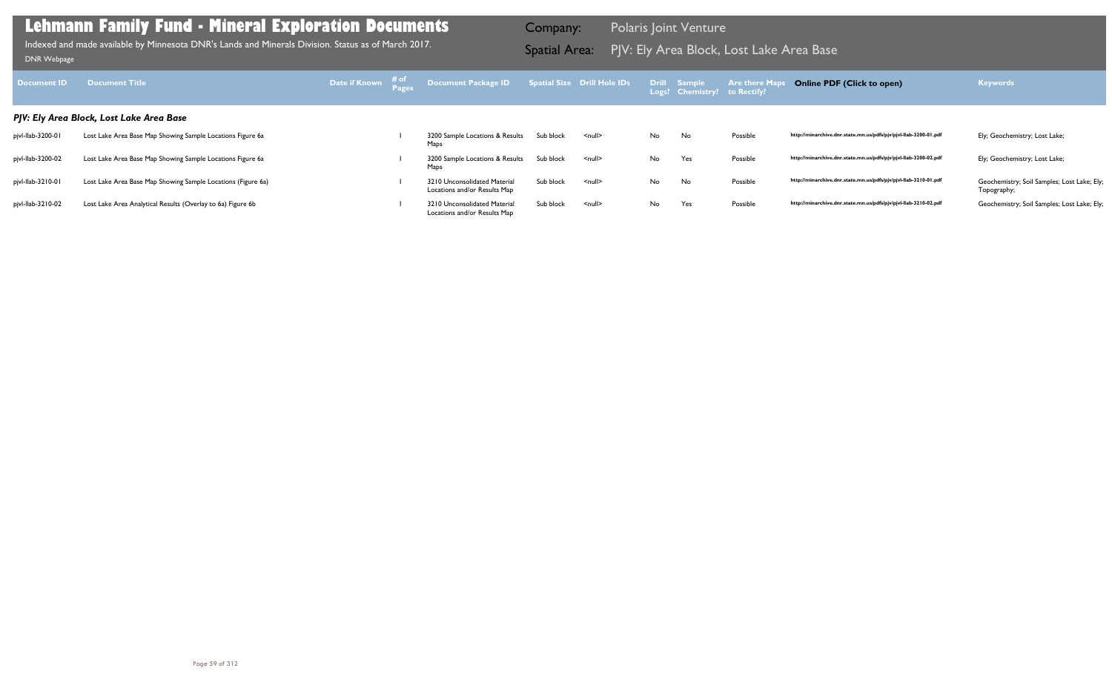| Document ID       | <b>Document Title</b>                                        |  | Date if Known $\frac{\text{\# of}}{\text{Page}}$ Document Package ID Spatial Size Drill Hole IDs Drill Sample Are there Maps |           |                    |    | Logs? Chemistry? to Rectify? |          | <b>Online PDF (Click to open)</b>                                | <b>Keywords</b>                                            |
|-------------------|--------------------------------------------------------------|--|------------------------------------------------------------------------------------------------------------------------------|-----------|--------------------|----|------------------------------|----------|------------------------------------------------------------------|------------------------------------------------------------|
|                   | PJV: Ely Area Block, Lost Lake Area Base                     |  |                                                                                                                              |           |                    |    |                              |          |                                                                  |                                                            |
| pjvl-llab-3200-01 | Lost Lake Area Base Map Showing Sample Locations Figure 6a   |  | 3200 Sample Locations & Results<br>Maps                                                                                      | Sub block | $\leq$ null $\geq$ | No | No                           | Possible | http://minarchive.dnr.state.mn.us/pdfs/pjv/pjvl-llab-3200-01.pdf | Ely; Geochemistry; Lost Lake;                              |
| pjvl-Ilab-3200-02 | Lost Lake Area Base Map Showing Sample Locations Figure 6a   |  | 3200 Sample Locations & Results<br>Maps                                                                                      | Sub block | $null$             | No | Yes                          | Possible | http://minarchive.dnr.state.mn.us/pdfs/pjv/pjvl-llab-3200-02.pdf | Ely; Geochemistry; Lost Lake;                              |
| pjvl-llab-3210-01 | Lost Lake Area Base Map Showing Sample Locations (Figure 6a) |  | 3210 Unconsolidated Material<br>Locations and/or Results Map                                                                 | Sub block | $\leq$ null $\geq$ | No | No                           | Possible | http://minarchive.dnr.state.mn.us/pdfs/pjv/pjvl-llab-3210-01.pdf | Geochemistry; Soil Samples; Lost Lake; Ely;<br>Topography; |
| pjvl-llab-3210-02 | Lost Lake Area Analytical Results (Overlay to 6a) Figure 6b  |  | 3210 Unconsolidated Material<br>Locations and/or Results Map                                                                 | Sub block | <null></null>      | No | Yes                          | Possible | http://minarchive.dnr.state.mn.us/pdfs/pjv/pjvl-llab-3210-02.pdf | Geochemistry; Soil Samples; Lost Lake; Ely;                |

Indexed and made available by Minnesota DNR's Lands and Minerals Division. Status as of March 2017. **Spatial Area:** PJV: Ely Area Block, Lost Lake Area Base ו-PJV: Ely Area Block, Lost Lake Area Base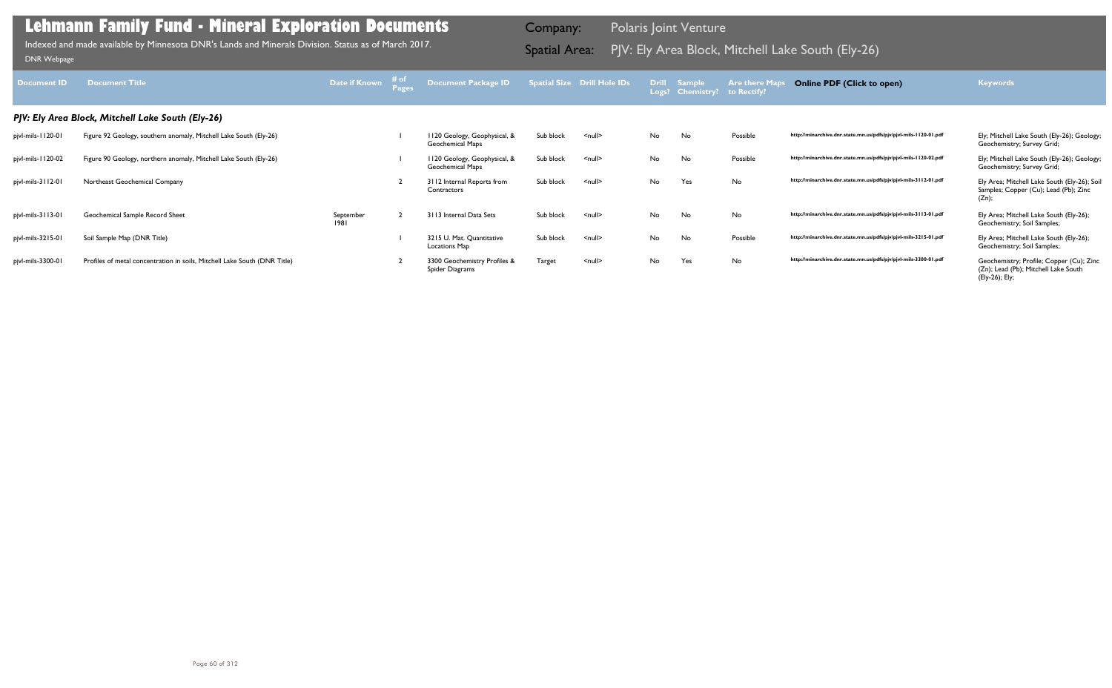| <b>Document ID</b> | <b>Document Title</b>                                                     | Date if Known     | # of | Document Package ID                               |           | <b>Spatial Size Drill Hole IDs</b> |    | Drill Sample<br>Logs? Chemistry? to Rectify? | <b>Are there Maps</b> | <b>Online PDF (Click to open)</b>                                | <b>Keywords</b>                                                                                    |
|--------------------|---------------------------------------------------------------------------|-------------------|------|---------------------------------------------------|-----------|------------------------------------|----|----------------------------------------------|-----------------------|------------------------------------------------------------------|----------------------------------------------------------------------------------------------------|
|                    | PJV: Ely Area Block, Mitchell Lake South (Ely-26)                         |                   |      |                                                   |           |                                    |    |                                              |                       |                                                                  |                                                                                                    |
| pjvl-mils-1120-01  | Figure 92 Geology, southern anomaly, Mitchell Lake South (Ely-26)         |                   |      | 120 Geology, Geophysical, &<br>Geochemical Maps   | Sub block | $\leq$ null $\geq$                 | No | No.                                          | Possible              | http://minarchive.dnr.state.mn.us/pdfs/pjv/pjvl-mils-1120-01.pdf | Ely; Mitchell Lake South (Ely-26); Geology;<br>Geochemistry; Survey Grid;                          |
| pjvl-mils-1120-02  | Figure 90 Geology, northern anomaly, Mitchell Lake South (Ely-26)         |                   |      | I 120 Geology, Geophysical, &<br>Geochemical Maps | Sub block | $null$                             | No | No                                           | Possible              | http://minarchive.dnr.state.mn.us/pdfs/pjv/pjvl-mils-1120-02.pdf | Ely; Mitchell Lake South (Ely-26); Geology;<br>Geochemistry; Survey Grid;                          |
| pjvl-mils-3112-01  | Northeast Geochemical Company                                             |                   |      | 3112 Internal Reports from<br>Contractors         | Sub block | $\leq$ null $\geq$                 | No | Yes                                          | No                    | http://minarchive.dnr.state.mn.us/pdfs/pjv/pjvl-mils-3112-01.pdf | Ely Area; Mitchell Lake South (Ely-26); Soil<br>Samples; Copper (Cu); Lead (Pb); Zinc<br>(Zn);     |
| pjvl-mils-3113-01  | Geochemical Sample Record Sheet                                           | September<br>1981 |      | 3113 Internal Data Sets                           | Sub block | $\leq$ null $\geq$                 | No | No                                           | No                    | http://minarchive.dnr.state.mn.us/pdfs/pjv/pjvl-mils-3113-01.pdf | Ely Area; Mitchell Lake South (Ely-26);<br>Geochemistry; Soil Samples;                             |
| pjvl-mils-3215-01  | Soil Sample Map (DNR Title)                                               |                   |      | 3215 U. Mat. Quantitative<br><b>Locations Map</b> | Sub block | $null$                             | No | No                                           | Possible              | http://minarchive.dnr.state.mn.us/pdfs/pjv/pjvl-mils-3215-01.pdf | Ely Area; Mitchell Lake South (Ely-26);<br>Geochemistry; Soil Samples;                             |
| pjvl-mils-3300-01  | Profiles of metal concentration in soils, Mitchell Lake South (DNR Title) |                   |      | 3300 Geochemistry Profiles &<br>Spider Diagrams   | Target    | $null$                             | No | Yes                                          | No                    | http://minarchive.dnr.state.mn.us/pdfs/pjv/pjvl-mils-3300-01.pdf | Geochemistry; Profile; Copper (Cu); Zinc<br>(Zn); Lead (Pb); Mitchell Lake South<br>(Ely-26); Ely; |

Indexed and made available by Minnesota DNR's Lands and Minerals Division. Status as of March 2017. **In the South Area:** PJV: Ely Area Block, Mitchell Lake South (Ely-26)<br>DNR Webpage Indexed and made available by Minnesota DNR's Lands and Minerals Division. Status as of March 2017.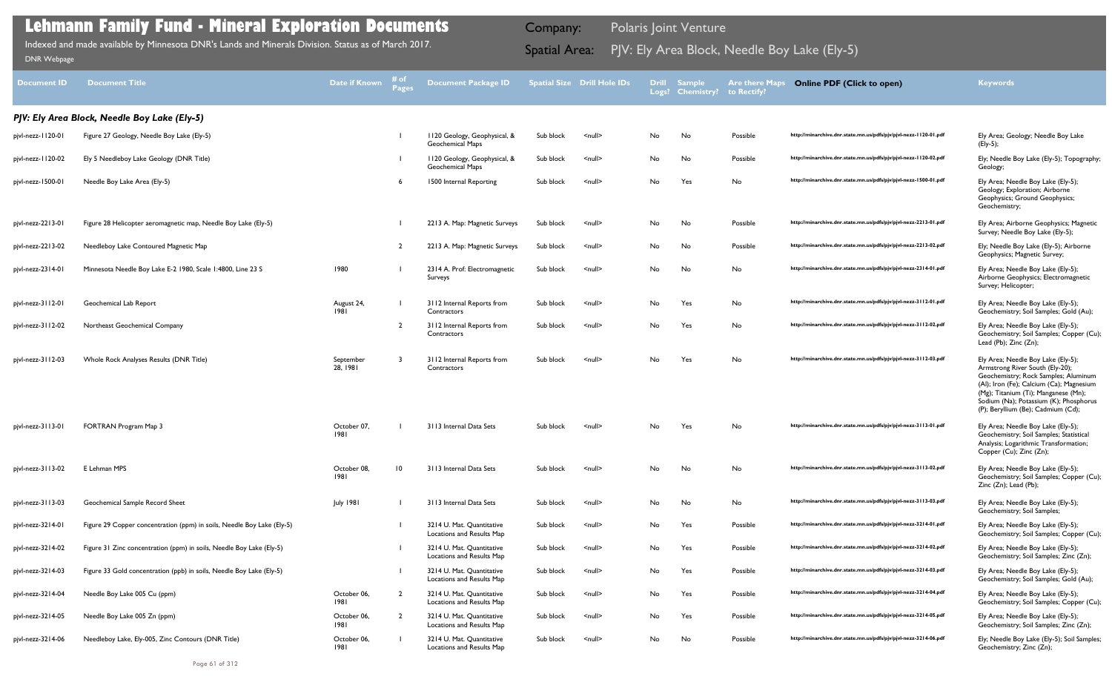| <b>Document ID</b> | <b>Document Title</b>                                                  | <b>Date if Known</b>  | # of<br>Pages  | <b>Document Package ID</b>                              |           | <b>Spatial Size Drill Hole IDs</b> |     | <b>Drill Sample</b><br>Logs? Chemistry? | <b>Are there Maps</b><br>to Rectify? | <b>Online PDF (Click to open)</b>                                | <b>Keywords</b>                                                                                                                                                                                                                                                                   |
|--------------------|------------------------------------------------------------------------|-----------------------|----------------|---------------------------------------------------------|-----------|------------------------------------|-----|-----------------------------------------|--------------------------------------|------------------------------------------------------------------|-----------------------------------------------------------------------------------------------------------------------------------------------------------------------------------------------------------------------------------------------------------------------------------|
|                    | PJV: Ely Area Block, Needle Boy Lake (Ely-5)                           |                       |                |                                                         |           |                                    |     |                                         |                                      |                                                                  |                                                                                                                                                                                                                                                                                   |
| pjvl-nezz-1120-01  | Figure 27 Geology, Needle Boy Lake (Ely-5)                             |                       |                | 1120 Geology, Geophysical, &<br><b>Geochemical Maps</b> | Sub block | $null$                             | No  | No                                      | Possible                             | http://minarchive.dnr.state.mn.us/pdfs/pjv/pjvl-nezz-1120-01.pdf | Ely Area; Geology; Needle Boy Lake<br>(Ely-5);                                                                                                                                                                                                                                    |
| pjvl-nezz-1120-02  | Ely 5 Needleboy Lake Geology (DNR Title)                               |                       |                | 1120 Geology, Geophysical, &<br><b>Geochemical Maps</b> | Sub block | $\leq$ null $\geq$                 | No  | No                                      | Possible                             | http://minarchive.dnr.state.mn.us/pdfs/pjv/pjvl-nezz-1120-02.pdf | Ely; Needle Boy Lake (Ely-5); Topography;<br>Geology;                                                                                                                                                                                                                             |
| pjvl-nezz-1500-01  | Needle Boy Lake Area (Ely-5)                                           |                       |                | 1500 Internal Reporting                                 | Sub block | $null$                             | No  | Yes                                     | No                                   | http://minarchive.dnr.state.mn.us/pdfs/pjv/pjvl-nezz-1500-01.pdf | Ely Area; Needle Boy Lake (Ely-5);<br>Geology; Exploration; Airborne<br>Geophysics; Ground Geophysics;<br>Geochemistry;                                                                                                                                                           |
| pjvl-nezz-2213-01  | Figure 28 Helicopter aeromagnetic map, Needle Boy Lake (Ely-5)         |                       |                | 2213 A. Map: Magnetic Surveys                           | Sub block | $null$                             | No  | No                                      | Possible                             | http://minarchive.dnr.state.mn.us/pdfs/pjv/pjvl-nezz-2213-01.pdf | Ely Area; Airborne Geophysics; Magnetic<br>Survey; Needle Boy Lake (Ely-5);                                                                                                                                                                                                       |
| pjvl-nezz-2213-02  | Needleboy Lake Contoured Magnetic Map                                  |                       | $\overline{2}$ | 2213 A. Map: Magnetic Surveys                           | Sub block | $null$                             | No  | No                                      | Possible                             | http://minarchive.dnr.state.mn.us/pdfs/pjv/pjvl-nezz-2213-02.pdf | Ely; Needle Boy Lake (Ely-5); Airborne<br>Geophysics; Magnetic Survey;                                                                                                                                                                                                            |
| pjvl-nezz-2314-01  | Minnesota Needle Boy Lake E-2 1980, Scale 1:4800, Line 23 S            | 1980                  |                | 2314 A. Prof: Electromagnetic<br>Surveys                | Sub block | $null$                             | No  | No                                      | No                                   | http://minarchive.dnr.state.mn.us/pdfs/pjv/pjvl-nezz-2314-01.pdf | Ely Area; Needle Boy Lake (Ely-5);<br>Airborne Geophysics; Electromagnetic<br>Survey; Helicopter;                                                                                                                                                                                 |
| pjvl-nezz-3112-01  | Geochemical Lab Report                                                 | August 24,<br>1981    |                | 3112 Internal Reports from<br>Contractors               | Sub block | $null$                             | No  | Yes                                     | No                                   | http://minarchive.dnr.state.mn.us/pdfs/pjv/pjvl-nezz-3112-01.pdf | Ely Area; Needle Boy Lake (Ely-5);<br>Geochemistry; Soil Samples; Gold (Au);                                                                                                                                                                                                      |
| pjvl-nezz-3112-02  | Northeast Geochemical Company                                          |                       | $\overline{2}$ | 3112 Internal Reports from<br>Contractors               | Sub block | $\leq$ null $\geq$                 | No  | Yes                                     | No                                   | http://minarchive.dnr.state.mn.us/pdfs/pjv/pjvl-nezz-3112-02.pdf | Ely Area; Needle Boy Lake (Ely-5);<br>Geochemistry; Soil Samples; Copper (Cu);<br>Lead (Pb); Zinc (Zn);                                                                                                                                                                           |
| pjvl-nezz-3112-03  | Whole Rock Analyses Results (DNR Title)                                | September<br>28, 1981 |                | 3112 Internal Reports from<br>Contractors               | Sub block | $\leq$ null $\geq$                 | No  | Yes                                     | No                                   | http://minarchive.dnr.state.mn.us/pdfs/pjv/pjvl-nezz-3112-03.pdf | Ely Area; Needle Boy Lake (Ely-5);<br>Armstrong River South (Ely-20);<br>Geochemistry; Rock Samples; Aluminum<br>(Al); Iron (Fe); Calcium (Ca); Magnesium<br>(Mg); Titanium (Ti); Manganese (Mn);<br>Sodium (Na); Potassium (K); Phosphorus<br>(P); Beryllium (Be); Cadmium (Cd); |
| pjvl-nezz-3113-01  | FORTRAN Program Map 3                                                  | October 07,<br>1981   |                | 3113 Internal Data Sets                                 | Sub block | $\leq$ null $\geq$                 | No. | Yes                                     | No                                   | http://minarchive.dnr.state.mn.us/pdfs/pjv/pjvl-nezz-3113-01.pdf | Ely Area; Needle Boy Lake (Ely-5);<br>Geochemistry; Soil Samples; Statistical<br>Analysis; Logarithmic Transformation;<br>Copper (Cu); Zinc (Zn);                                                                                                                                 |
| pjvl-nezz-3113-02  | E Lehman MPS                                                           | October 08,<br>1981   | 10             | 3113 Internal Data Sets                                 | Sub block | $\leq$ null $\geq$                 | No  | No                                      | No                                   | http://minarchive.dnr.state.mn.us/pdfs/pjv/pjvl-nezz-3113-02.pdf | Ely Area; Needle Boy Lake (Ely-5);<br>Geochemistry; Soil Samples; Copper (Cu);<br>Zinc (Zn); Lead (Pb);                                                                                                                                                                           |
| pjvl-nezz-3113-03  | Geochemical Sample Record Sheet                                        | <b>July 1981</b>      |                | 3113 Internal Data Sets                                 | Sub block | $\leq$ null $\geq$                 | No  | No                                      | No                                   | http://minarchive.dnr.state.mn.us/pdfs/pjv/pjvl-nezz-3113-03.pdf | Ely Area; Needle Boy Lake (Ely-5);<br>Geochemistry; Soil Samples;                                                                                                                                                                                                                 |
| pjvl-nezz-3214-01  | Figure 29 Copper concentration (ppm) in soils, Needle Boy Lake (Ely-5) |                       |                | 3214 U. Mat. Quantitative<br>Locations and Results Map  | Sub block | <null></null>                      | No  | Yes                                     | Possible                             | http://minarchive.dnr.state.mn.us/pdfs/pjv/pjvl-nezz-3214-01.pdf | Ely Area; Needle Boy Lake (Ely-5);<br>Geochemistry; Soil Samples; Copper (Cu);                                                                                                                                                                                                    |
| pjvl-nezz-3214-02  | Figure 31 Zinc concentration (ppm) in soils, Needle Boy Lake (Ely-5)   |                       |                | 3214 U. Mat. Quantitative<br>Locations and Results Map  | Sub block | $\leq$ null $\geq$                 | No  | Yes                                     | Possible                             | http://minarchive.dnr.state.mn.us/pdfs/pjv/pjvl-nezz-3214-02.pdf | Ely Area; Needle Boy Lake (Ely-5);<br>Geochemistry; Soil Samples; Zinc (Zn);                                                                                                                                                                                                      |
| pjvl-nezz-3214-03  | Figure 33 Gold concentration (ppb) in soils, Needle Boy Lake (Ely-5)   |                       |                | 3214 U. Mat. Quantitative<br>Locations and Results Map  | Sub block | $\leq$ null $\geq$                 | No  | Yes                                     | Possible                             | http://minarchive.dnr.state.mn.us/pdfs/pjv/pjvl-nezz-3214-03.pdf | Ely Area; Needle Boy Lake (Ely-5);<br>Geochemistry; Soil Samples; Gold (Au);                                                                                                                                                                                                      |
| pjvl-nezz-3214-04  | Needle Boy Lake 005 Cu (ppm)                                           | October 06,<br>1981   | $\overline{2}$ | 3214 U. Mat. Quantitative<br>Locations and Results Map  | Sub block | $\leq$ null $\geq$                 | No  | Yes                                     | Possible                             | http://minarchive.dnr.state.mn.us/pdfs/pjv/pjvl-nezz-3214-04.pdf | Ely Area; Needle Boy Lake (Ely-5);<br>Geochemistry; Soil Samples; Copper (Cu);                                                                                                                                                                                                    |
| pjvl-nezz-3214-05  | Needle Boy Lake 005 Zn (ppm)                                           | October 06,<br>1981   | $\overline{2}$ | 3214 U. Mat. Quantitative<br>Locations and Results Map  | Sub block | $null$                             | No  | Yes                                     | Possible                             | http://minarchive.dnr.state.mn.us/pdfs/pjv/pjvl-nezz-3214-05.pdf | Ely Area; Needle Boy Lake (Ely-5);<br>Geochemistry; Soil Samples; Zinc (Zn);                                                                                                                                                                                                      |
| pjvl-nezz-3214-06  | Needleboy Lake, Ely-005, Zinc Contours (DNR Title)                     | October 06,<br>1981   |                | 3214 U. Mat. Quantitative<br>Locations and Results Map  | Sub block | $null$                             | No  | No                                      | Possible                             | http://minarchive.dnr.state.mn.us/pdfs/pjv/pjvl-nezz-3214-06.pdf | Ely; Needle Boy Lake (Ely-5); Soil Samples;<br>Geochemistry; Zinc (Zn);                                                                                                                                                                                                           |

PJV: Ely Area Block, Needle Boy Lake (Ely-5) Indexed and made available by Minnesota DNR's Lands and Minerals Division. Status as of March 2017. Spatial Area: [DNR Webpage](http://www.dnr.state.mn.us/lands_minerals/polaris/index.html)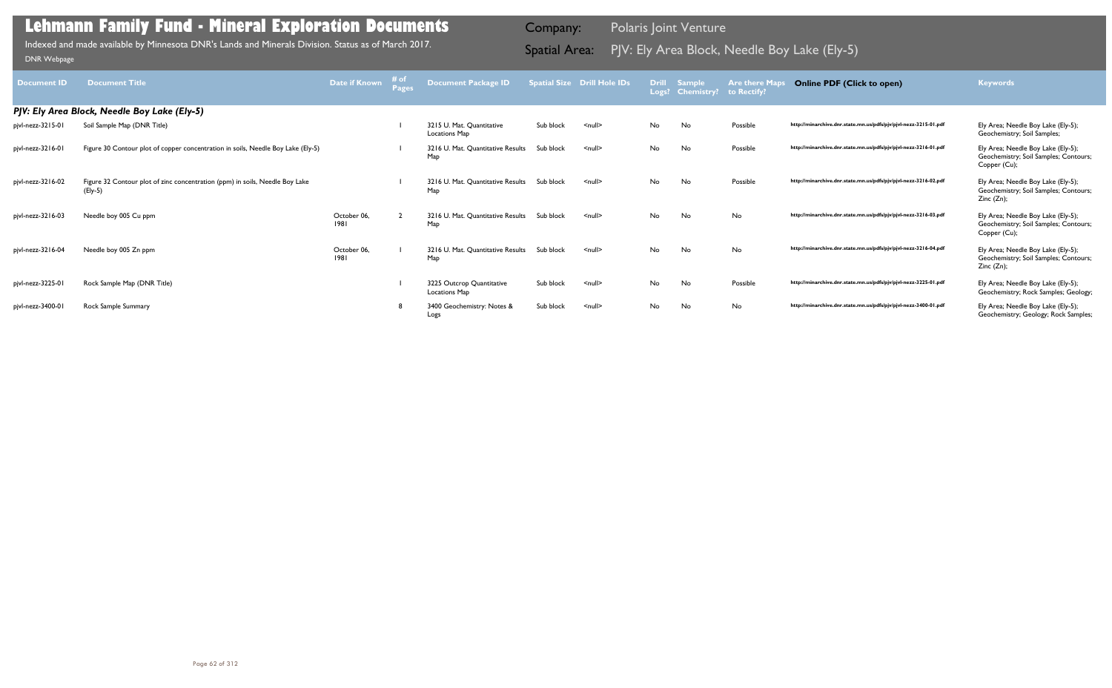| <b>Document ID</b> | <b>Document Title</b>                                                                   | Date if Known       | # of | Document Package ID                        |           | <b>Spatial Size Drill Hole IDs</b> | <b>Drill</b> | <b>Sample</b><br>Logs? Chemistry? to Rectify? | <b>Are there Maps</b> | <b>Online PDF (Click to open)</b>                                | <b>Keywords</b>                                                                             |
|--------------------|-----------------------------------------------------------------------------------------|---------------------|------|--------------------------------------------|-----------|------------------------------------|--------------|-----------------------------------------------|-----------------------|------------------------------------------------------------------|---------------------------------------------------------------------------------------------|
|                    | PJV: Ely Area Block, Needle Boy Lake (Ely-5)                                            |                     |      |                                            |           |                                    |              |                                               |                       |                                                                  |                                                                                             |
| pjvl-nezz-3215-01  | Soil Sample Map (DNR Title)                                                             |                     |      | 3215 U. Mat. Ouantitative<br>Locations Map | Sub block | $\leq$ null $\geq$                 | No           | No                                            | Possible              | http://minarchive.dnr.state.mn.us/pdfs/pjv/pjvl-nezz-3215-01.pdf | Ely Area; Needle Boy Lake (Ely-5);<br>Geochemistry; Soil Samples;                           |
| pjvl-nezz-3216-01  | Figure 30 Contour plot of copper concentration in soils, Needle Boy Lake (Ely-5)        |                     |      | 3216 U. Mat. Quantitative Results<br>Map   | Sub block | $\leq$ null $\geq$                 | No           | No                                            | Possible              | http://minarchive.dnr.state.mn.us/pdfs/pjv/pjvl-nezz-3216-01.pdf | Ely Area; Needle Boy Lake (Ely-5);<br>Geochemistry; Soil Samples; Contours;<br>Copper (Cu); |
| pjvl-nezz-3216-02  | Figure 32 Contour plot of zinc concentration (ppm) in soils, Needle Boy Lake<br>(Ely-5) |                     |      | 3216 U. Mat. Quantitative Results<br>Map   | Sub block | $\le$ null $\ge$                   | No           | No                                            | Possible              | http://minarchive.dnr.state.mn.us/pdfs/pjv/pjvl-nezz-3216-02.pdf | Ely Area; Needle Boy Lake (Ely-5);<br>Geochemistry; Soil Samples; Contours;<br>Zinc (Zn);   |
| pjvl-nezz-3216-03  | Needle boy 005 Cu ppm                                                                   | October 06,<br>1981 |      | 3216 U. Mat. Quantitative Results<br>Map   | Sub block | $\leq$ null $\geq$                 | No           | No                                            | No                    | http://minarchive.dnr.state.mn.us/pdfs/pjv/pjvl-nezz-3216-03.pdf | Ely Area; Needle Boy Lake (Ely-5);<br>Geochemistry; Soil Samples; Contours;<br>Copper (Cu); |
| pjvl-nezz-3216-04  | Needle boy 005 Zn ppm                                                                   | October 06,<br>1981 |      | 3216 U. Mat. Quantitative Results<br>Map   | Sub block | $\leq$ null $\geq$                 | No           | No                                            | No                    | http://minarchive.dnr.state.mn.us/pdfs/pjv/pjvl-nezz-3216-04.pdf | Ely Area; Needle Boy Lake (Ely-5);<br>Geochemistry; Soil Samples; Contours;<br>Zinc(Zn);    |
| pjvl-nezz-3225-01  | Rock Sample Map (DNR Title)                                                             |                     |      | 3225 Outcrop Quantitative<br>Locations Map | Sub block | $\leq$ null $\geq$                 | No           | No                                            | Possible              | http://minarchive.dnr.state.mn.us/pdfs/pjv/pjvl-nezz-3225-01.pdf | Ely Area; Needle Boy Lake (Ely-5);<br>Geochemistry; Rock Samples; Geology;                  |
| pjvl-nezz-3400-01  | Rock Sample Summary                                                                     |                     |      | 3400 Geochemistry: Notes &<br>Logs         | Sub block | $\leq$ null $\geq$                 | No           | No                                            | No                    | http://minarchive.dnr.state.mn.us/pdfs/pjv/pjvl-nezz-3400-01.pdf | Ely Area; Needle Boy Lake (Ely-5);<br>Geochemistry; Geology; Rock Samples;                  |

PJV: Ely Area Block, Needle Boy Lake (Ely-5) Indexed and made available by Minnesota DNR's Lands and Minerals Division. Status as of March 2017. Spatial Area: [DNR Webpage](http://www.dnr.state.mn.us/lands_minerals/polaris/index.html)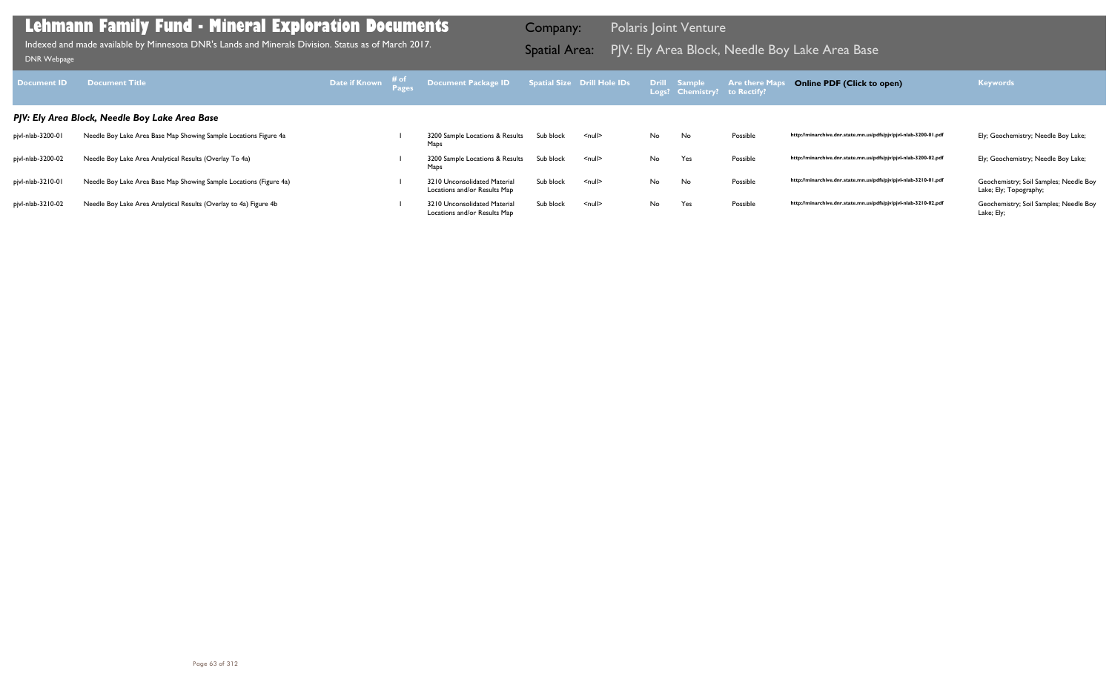| <b>Document ID</b> | <b>Document Title</b>                                              | Date if Known # of | Document Package ID Spatial Size Drill Hole IDs              |           |                    |    | Drill Sample<br>Logs? Chemistry? to Rectify? | <b>Are there Maps</b> | <b>Online PDF (Click to open)</b>                                | <b>Keywords</b>                                                  |
|--------------------|--------------------------------------------------------------------|--------------------|--------------------------------------------------------------|-----------|--------------------|----|----------------------------------------------|-----------------------|------------------------------------------------------------------|------------------------------------------------------------------|
|                    | PJV: Ely Area Block, Needle Boy Lake Area Base                     |                    |                                                              |           |                    |    |                                              |                       |                                                                  |                                                                  |
| pjvl-nlab-3200-01  | Needle Boy Lake Area Base Map Showing Sample Locations Figure 4a   |                    | 3200 Sample Locations & Results<br>Maps                      | Sub block | $\leq$ null $\geq$ | No | No                                           | Possible              | http://minarchive.dnr.state.mn.us/pdfs/pjv/pjvl-nlab-3200-01.pdf | Ely; Geochemistry; Needle Boy Lake;                              |
| pjvl-nlab-3200-02  | Needle Boy Lake Area Analytical Results (Overlay To 4a)            |                    | 3200 Sample Locations & Results<br>Maps                      | Sub block | $\leq$ null $\geq$ | No | Yes                                          | Possible              | http://minarchive.dnr.state.mn.us/pdfs/pjv/pjvl-nlab-3200-02.pdf | Ely; Geochemistry; Needle Boy Lake;                              |
| pjvl-nlab-3210-01  | Needle Boy Lake Area Base Map Showing Sample Locations (Figure 4a) |                    | 3210 Unconsolidated Material<br>Locations and/or Results Map | Sub block | $\leq$ null $\geq$ | No | No                                           | Possible              | http://minarchive.dnr.state.mn.us/pdfs/pjv/pjvl-nlab-3210-01.pdf | Geochemistry; Soil Samples; Needle Boy<br>Lake; Ely; Topography; |
| pjvl-nlab-3210-02  | Needle Boy Lake Area Analytical Results (Overlay to 4a) Figure 4b  |                    | 3210 Unconsolidated Material<br>Locations and/or Results Map | Sub block | $\leq$ null $\geq$ | No | Yes                                          | Possible              | http://minarchive.dnr.state.mn.us/pdfs/pjv/pjvl-nlab-3210-02.pdf | Geochemistry; Soil Samples; Needle Boy<br>Lake; Ely;             |

Indexed and made available by Minnesota DNR's Lands and Minerals Division. Status as of March 2017. **Spatial Area:** PJV: Ely Area Block, Needle Boy Lake Area Base DNR Webpage Indexed and made available by Minnesota DNR's Lands and Minerals Division. Status as of March 2017.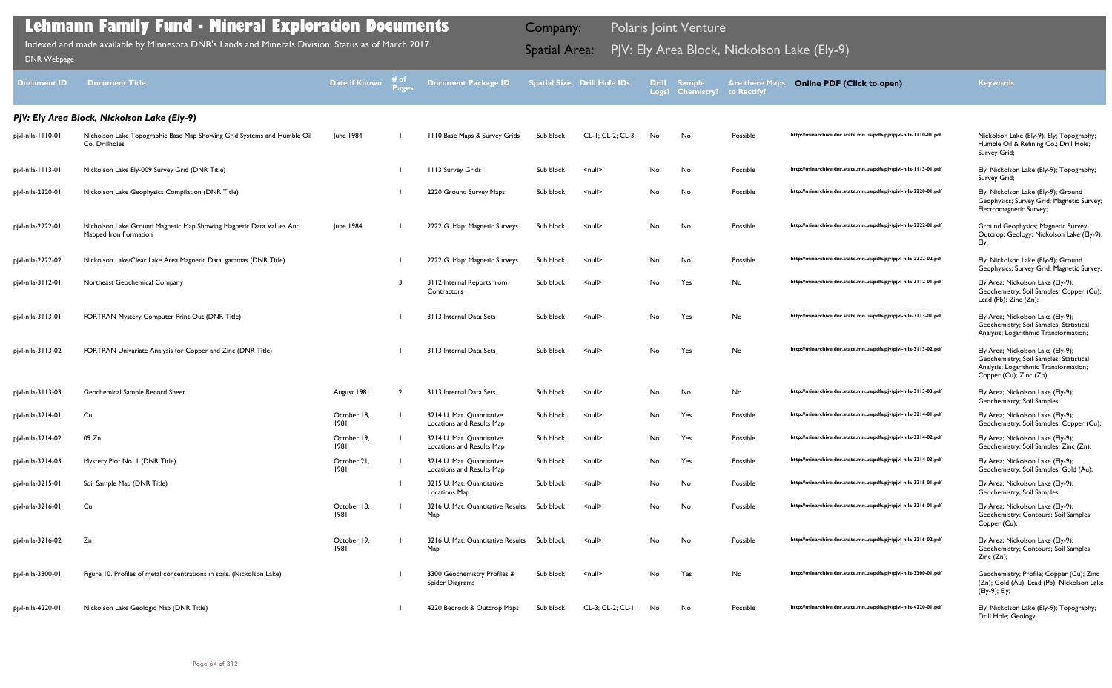| Document ID       | <b>Document Title</b>                                                                        | <b>Date if Known</b> | # of<br><b>Pages</b> | <b>Document Package ID</b>                             |           | <b>Spatial Size Drill Hole IDs</b> | <b>Drill</b><br>Logs? | <b>Sample</b><br><b>Chemistry?</b> | <b>Are there Maps</b><br>to Rectify? | <b>Online PDF (Click to open)</b>                                | <b>Keywords</b>                                                                                                                                  |
|-------------------|----------------------------------------------------------------------------------------------|----------------------|----------------------|--------------------------------------------------------|-----------|------------------------------------|-----------------------|------------------------------------|--------------------------------------|------------------------------------------------------------------|--------------------------------------------------------------------------------------------------------------------------------------------------|
|                   | PJV: Ely Area Block, Nickolson Lake (Ely-9)                                                  |                      |                      |                                                        |           |                                    |                       |                                    |                                      |                                                                  |                                                                                                                                                  |
| pjvl-nila-1110-01 | Nicholson Lake Topographic Base Map Showing Grid Systems and Humble Oil<br>Co. Drillholes    | June 1984            |                      | 1110 Base Maps & Survey Grids                          | Sub block | CL-1; CL-2; CL-3;                  | No                    | No                                 | Possible                             | http://minarchive.dnr.state.mn.us/pdfs/pjv/pjvl-nila-1110-01.pdf | Nickolson Lake (Ely-9); Ely; Topography;<br>Humble Oil & Refining Co.; Drill Hole;<br>Survey Grid;                                               |
| pjvl-nila-1113-01 | Nickolson Lake Ely-009 Survey Grid (DNR Title)                                               |                      |                      | 1113 Survey Grids                                      | Sub block | $null$                             | No                    | No                                 | Possible                             | http://minarchive.dnr.state.mn.us/pdfs/pjv/pjvl-nila-1113-01.pdf | Ely; Nickolson Lake (Ely-9); Topography;<br>Survey Grid;                                                                                         |
| pjvl-nila-2220-01 | Nickolson Lake Geophysics Compilation (DNR Title)                                            |                      |                      | 2220 Ground Survey Maps                                | Sub block | $\leq$ null $\geq$                 | No                    | No                                 | Possible                             | http://minarchive.dnr.state.mn.us/pdfs/pjv/pjvl-nila-2220-01.pdf | Ely; Nickolson Lake (Ely-9); Ground<br>Geophysics; Survey Grid; Magnetic Survey;<br>Electromagnetic Survey;                                      |
| pjvl-nila-2222-01 | Nicholson Lake Ground Magnetic Map Showing Magnetic Data Values And<br>Mapped Iron Formation | June 1984            |                      | 2222 G. Map: Magnetic Surveys                          | Sub block | $\leq$ null $\geq$                 | No                    | No                                 | Possible                             | http://minarchive.dnr.state.mn.us/pdfs/pjv/pjvl-nila-2222-01.pdf | Ground Geophysics; Magnetic Survey;<br>Outcrop; Geology; Nickolson Lake (Ely-9);<br>Ely;                                                         |
| pjvl-nila-2222-02 | Nickolson Lake/Clear Lake Area Magnetic Data, gammas (DNR Title)                             |                      |                      | 2222 G. Map: Magnetic Surveys                          | Sub block | $\leq$ null $\geq$                 | No                    | No                                 | Possible                             | http://minarchive.dnr.state.mn.us/pdfs/pjv/pjvl-nila-2222-02.pdf | Ely; Nickolson Lake (Ely-9); Ground<br>Geophysics; Survey Grid; Magnetic Survey;                                                                 |
| pjvl-nila-3112-01 | Northeast Geochemical Company                                                                |                      |                      | 3112 Internal Reports from<br>Contractors              | Sub block | $null$                             | No                    | Yes                                | No                                   | http://minarchive.dnr.state.mn.us/pdfs/pjv/pjvl-nila-3112-01.pdf | Ely Area; Nickolson Lake (Ely-9);<br>Geochemistry; Soil Samples; Copper (Cu);<br>Lead (Pb); Zinc (Zn);                                           |
| pjvl-nila-3113-01 | FORTRAN Mystery Computer Print-Out (DNR Title)                                               |                      |                      | 3113 Internal Data Sets                                | Sub block | $\leq$ null $\geq$                 | No                    | Yes                                | No                                   | http://minarchive.dnr.state.mn.us/pdfs/pjv/pjvl-nila-3113-01.pdf | Ely Area; Nickolson Lake (Ely-9);<br>Geochemistry; Soil Samples; Statistical<br>Analysis; Logarithmic Transformation;                            |
| pjvl-nila-3113-02 | FORTRAN Univariate Analysis for Copper and Zinc (DNR Title)                                  |                      |                      | 3113 Internal Data Sets                                | Sub block | $\leq$ null $\geq$                 | No                    | Yes                                | No                                   | http://minarchive.dnr.state.mn.us/pdfs/pjv/pjvl-nila-3113-02.pdf | Ely Area; Nickolson Lake (Ely-9);<br>Geochemistry; Soil Samples; Statistical<br>Analysis; Logarithmic Transformation;<br>Copper (Cu); Zinc (Zn); |
| pjvl-nila-3113-03 | Geochemical Sample Record Sheet                                                              | August 1981          |                      | 3113 Internal Data Sets                                | Sub block | <null></null>                      | No                    | No                                 | No.                                  | http://minarchive.dnr.state.mn.us/pdfs/pjv/pjvl-nila-3113-03.pdf | Ely Area; Nickolson Lake (Ely-9);<br>Geochemistry; Soil Samples;                                                                                 |
| pjvl-nila-3214-01 | Cu                                                                                           | October 18,<br>1981  |                      | 3214 U. Mat. Quantitative<br>Locations and Results Map | Sub block | $\leq$ null $\geq$                 | No                    | Yes                                | Possible                             | http://minarchive.dnr.state.mn.us/pdfs/pjv/pjvl-nila-3214-01.pdf | Ely Area; Nickolson Lake (Ely-9);<br>Geochemistry; Soil Samples; Copper (Cu);                                                                    |
| pjvl-nila-3214-02 | 09 Zn                                                                                        | October 19,<br>1981  |                      | 3214 U. Mat. Quantitative<br>Locations and Results Map | Sub block | $\leq$ null $\geq$                 | No                    | Yes                                | Possible                             | http://minarchive.dnr.state.mn.us/pdfs/pjv/pjvl-nila-3214-02.pdf | Ely Area; Nickolson Lake (Ely-9);<br>Geochemistry; Soil Samples; Zinc (Zn);                                                                      |
| pjvl-nila-3214-03 | Mystery Plot No. I (DNR Title)                                                               | October 21,<br>1981  |                      | 3214 U. Mat. Quantitative<br>Locations and Results Map | Sub block | $\leq$ null $\geq$                 | No                    | Yes                                | Possible                             | http://minarchive.dnr.state.mn.us/pdfs/pjv/pjvl-nila-3214-03.pdf | Ely Area; Nickolson Lake (Ely-9);<br>Geochemistry; Soil Samples; Gold (Au);                                                                      |
| pjvl-nila-3215-01 | Soil Sample Map (DNR Title)                                                                  |                      |                      | 3215 U. Mat. Quantitative<br>Locations Map             | Sub block | $\leq$ null $\geq$                 | No                    | No                                 | Possible                             | http://minarchive.dnr.state.mn.us/pdfs/pjv/pjvl-nila-3215-01.pdf | Ely Area; Nickolson Lake (Ely-9);<br>Geochemistry; Soil Samples;                                                                                 |
| pjvl-nila-3216-01 | Cu                                                                                           | October 18,<br>1981  |                      | 3216 U. Mat. Quantitative Results<br>Map               | Sub block | $\leq$ null $\geq$                 | No                    | No                                 | Possible                             | http://minarchive.dnr.state.mn.us/pdfs/pjv/pjvl-nila-3216-01.pdf | Ely Area; Nickolson Lake (Ely-9);<br>Geochemistry; Contours; Soil Samples;<br>Copper (Cu);                                                       |
| pjvl-nila-3216-02 | Zn                                                                                           | October 19,<br>1981  |                      | 3216 U. Mat. Quantitative Results Sub block<br>Map     |           | $\leq$ null $\geq$                 | No                    | No                                 | Possible                             | http://minarchive.dnr.state.mn.us/pdfs/pjv/pjvl-nila-3216-02.pdf | Ely Area; Nickolson Lake (Ely-9);<br>Geochemistry; Contours; Soil Samples;<br>Zinc(Zn);                                                          |
| pjvl-nila-3300-01 | Figure 10. Profiles of metal concentrations in soils. (Nickolson Lake)                       |                      |                      | 3300 Geochemistry Profiles &<br>Spider Diagrams        | Sub block | $\leq$ null $\geq$                 | No                    | Yes                                | No                                   | http://minarchive.dnr.state.mn.us/pdfs/pjv/pjvl-nila-3300-01.pdf | Geochemistry; Profile; Copper (Cu); Zinc<br>(Zn); Gold (Au); Lead (Pb); Nickolson Lake<br>(Ely-9); Ely;                                          |
| pjvl-nila-4220-01 | Nickolson Lake Geologic Map (DNR Title)                                                      |                      |                      | 4220 Bedrock & Outcrop Maps                            | Sub block | CL-3; CL-2; CL-1;                  | No                    | No                                 | Possible                             | http://minarchive.dnr.state.mn.us/pdfs/pjv/pjvl-nila-4220-01.pdf | Ely; Nickolson Lake (Ely-9); Topography;<br>Drill Hole; Geology;                                                                                 |

Indexed and made available by Minnesota DNR's Lands and Minerals Division. Status as of March 2017. **Indexed and Area:** PJV: Ely Area Block, Nickolson Lake (Ely-9)<br><sub>[DNR Webpage](http://www.dnr.state.mn.us/lands_minerals/polaris/index.html)</sub>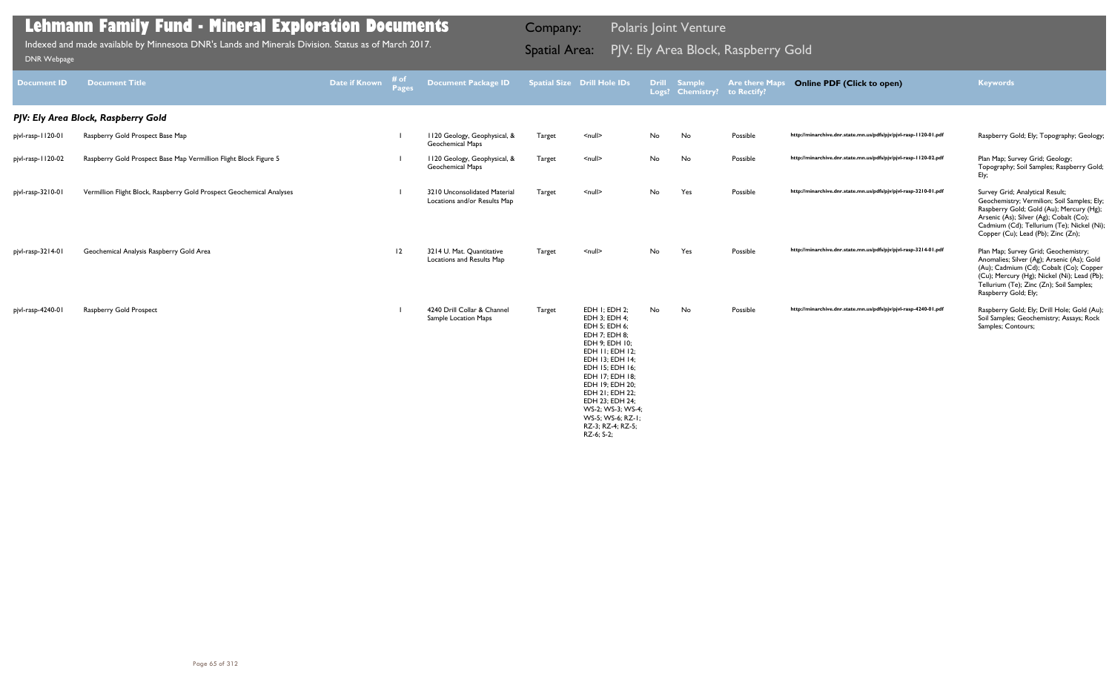| <b>Document ID</b> | <b>Document Title</b>                                                 | Date if Known | i# of<br>Pages | <b>Document Package ID</b>                                   |               | <b>Spatial Size Drill Hole IDs</b>                                                                                                                                                                                                                                                                   |    | Drill Sample<br>Logs? Chemistry? | <b>Are there Maps</b><br>to Rectify? | <b>Online PDF (Click to open)</b>                                | <b>Keywords</b>                                                                                                                                                                                                                                           |
|--------------------|-----------------------------------------------------------------------|---------------|----------------|--------------------------------------------------------------|---------------|------------------------------------------------------------------------------------------------------------------------------------------------------------------------------------------------------------------------------------------------------------------------------------------------------|----|----------------------------------|--------------------------------------|------------------------------------------------------------------|-----------------------------------------------------------------------------------------------------------------------------------------------------------------------------------------------------------------------------------------------------------|
|                    | PJV: Ely Area Block, Raspberry Gold                                   |               |                |                                                              |               |                                                                                                                                                                                                                                                                                                      |    |                                  |                                      |                                                                  |                                                                                                                                                                                                                                                           |
| pjvl-rasp-1120-01  | Raspberry Gold Prospect Base Map                                      |               |                | 1120 Geology, Geophysical, &<br><b>Geochemical Maps</b>      | <b>Target</b> | $null$                                                                                                                                                                                                                                                                                               | No | No                               | Possible                             | http://minarchive.dnr.state.mn.us/pdfs/pjv/pjvl-rasp-1120-01.pdf | Raspberry Gold; Ely; Topography; Geology;                                                                                                                                                                                                                 |
| pjvl-rasp-1120-02  | Raspberry Gold Prospect Base Map Vermillion Flight Block Figure 5     |               |                | 1120 Geology, Geophysical, &<br><b>Geochemical Maps</b>      | Target        | $null$                                                                                                                                                                                                                                                                                               | No | No                               | Possible                             | http://minarchive.dnr.state.mn.us/pdfs/pjv/pjvl-rasp-1120-02.pdf | Plan Map; Survey Grid; Geology;<br>Topography; Soil Samples; Raspberry Gold;<br>Ely;                                                                                                                                                                      |
| pjvl-rasp-3210-01  | Vermillion Flight Block, Raspberry Gold Prospect Geochemical Analyses |               |                | 3210 Unconsolidated Material<br>Locations and/or Results Map | Target        | $\leq$ null $\geq$                                                                                                                                                                                                                                                                                   | No | Yes                              | Possible                             | http://minarchive.dnr.state.mn.us/pdfs/pjv/pjvl-rasp-3210-01.pdf | Survey Grid; Analytical Result;<br>Geochemistry; Vermilion; Soil Samples; Ely;<br>Raspberry Gold; Gold (Au); Mercury (Hg);<br>Arsenic (As); Silver (Ag); Cobalt (Co);<br>Cadmium (Cd); Tellurium (Te); Nickel (Ni);<br>Copper (Cu); Lead (Pb); Zinc (Zn); |
| pjvl-rasp-3214-01  | Geochemical Analysis Raspberry Gold Area                              |               | 12             | 3214 U. Mat. Quantitative<br>Locations and Results Map       | Target        | $\leq$ null $\geq$                                                                                                                                                                                                                                                                                   | No | Yes                              | Possible                             | http://minarchive.dnr.state.mn.us/pdfs/pjv/pjvl-rasp-3214-01.pdf | Plan Map; Survey Grid; Geochemistry;<br>Anomalies; Silver (Ag); Arsenic (As); Gold<br>(Au); Cadmium (Cd); Cobalt (Co); Copper<br>(Cu); Mercury (Hg); Nickel (Ni); Lead (Pb);<br>Tellurium (Te); Zinc (Zn); Soil Samples;<br>Raspberry Gold; Ely;          |
| pjvl-rasp-4240-01  | <b>Raspberry Gold Prospect</b>                                        |               |                | 4240 Drill Collar & Channel<br>Sample Location Maps          | Target        | EDH I; EDH 2;<br>EDH 3; EDH 4;<br>EDH 5; EDH 6;<br>EDH 7: EDH 8:<br>EDH 9; EDH 10;<br>EDH II; EDH I2;<br>EDH 13; EDH 14;<br>EDH 15; EDH 16;<br>EDH 17; EDH 18;<br>EDH 19; EDH 20;<br>EDH 21; EDH 22;<br>EDH 23; EDH 24;<br>WS-2: WS-3: WS-4:<br>WS-5; WS-6; RZ-1;<br>RZ-3; RZ-4; RZ-5;<br>RZ-6; S-2; | No | No                               | Possible                             | http://minarchive.dnr.state.mn.us/pdfs/pjv/pjvl-rasp-4240-01.pdf | Raspberry Gold; Ely; Drill Hole; Gold (Au);<br>Soil Samples; Geochemistry; Assays; Rock<br>Samples; Contours;                                                                                                                                             |

Indexed and made available by Minnesota DNR's Lands and Minerals Division. Status as of March 2017. **Spatial Area:** PJV: Ely Area Block, Raspberry Gold וDNR Webpage Indexed and made available by Minnesota DNR's Lands and Minerals Division. Status as of March 2017.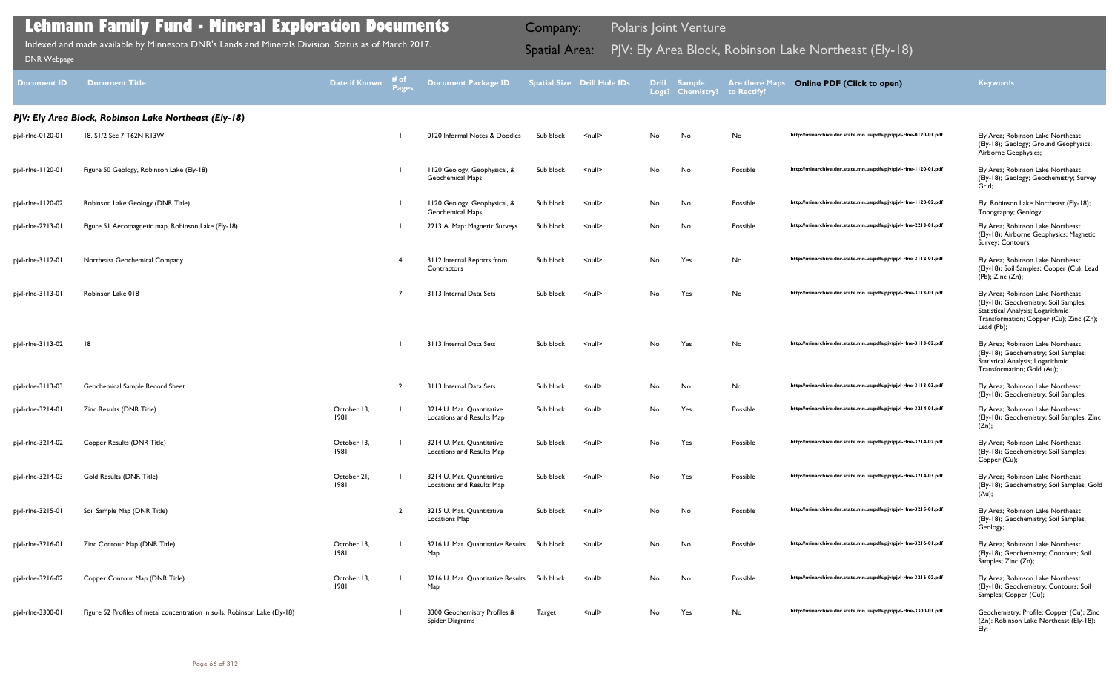| <b>Document ID</b> | <b>Document Title</b>                                                      | <b>Date if Known</b> | # of<br><b>Pages</b> | <b>Document Package ID</b>                              |               | <b>Spatial Size Drill Hole IDs</b> |    | <b>Drill Sample</b><br>Logs? Chemistry? to Rectify? | <b>Are there Maps</b> | <b>Online PDF (Click to open)</b>                                | <b>Keywords</b>                                                                                                                                                          |
|--------------------|----------------------------------------------------------------------------|----------------------|----------------------|---------------------------------------------------------|---------------|------------------------------------|----|-----------------------------------------------------|-----------------------|------------------------------------------------------------------|--------------------------------------------------------------------------------------------------------------------------------------------------------------------------|
|                    | PJV: Ely Area Block, Robinson Lake Northeast (Ely-18)                      |                      |                      |                                                         |               |                                    |    |                                                     |                       |                                                                  |                                                                                                                                                                          |
| pjvl-rlne-0120-01  | 18. S1/2 Sec 7 T62N R13W                                                   |                      |                      | 0120 Informal Notes & Doodles                           | Sub block     | $null$                             | No | No                                                  | No                    | http://minarchive.dnr.state.mn.us/pdfs/pjv/pjvl-rlne-0120-01.pdf | Ely Area; Robinson Lake Northeast<br>(Ely-18); Geology; Ground Geophysics;<br>Airborne Geophysics;                                                                       |
| pjvl-rlne-1120-01  | Figure 50 Geology, Robinson Lake (Ely-18)                                  |                      |                      | 1120 Geology, Geophysical, &<br><b>Geochemical Maps</b> | Sub block     | $null$                             | No | No                                                  | Possible              | http://minarchive.dnr.state.mn.us/pdfs/pjv/pjvl-rlne-1120-01.pdf | Ely Area; Robinson Lake Northeast<br>(Ely-18); Geology; Geochemistry; Survey<br>Grid;                                                                                    |
| pjvl-rlne-1120-02  | Robinson Lake Geology (DNR Title)                                          |                      |                      | 1120 Geology, Geophysical, &<br><b>Geochemical Maps</b> | Sub block     | $null$                             | No | No                                                  | Possible              | http://minarchive.dnr.state.mn.us/pdfs/pjv/pjvl-rlne-1120-02.pdf | Ely; Robinson Lake Northeast (Ely-18);<br>Topography; Geology;                                                                                                           |
| pjvl-rlne-2213-01  | Figure 51 Aeromagnetic map, Robinson Lake (Ely-18)                         |                      |                      | 2213 A. Map: Magnetic Surveys                           | Sub block     | $null$                             | No | No                                                  | Possible              | http://minarchive.dnr.state.mn.us/pdfs/pjv/pjvl-rlne-2213-01.pdf | Ely Area; Robinson Lake Northeast<br>(Ely-18); Airborne Geophysics; Magnetic<br>Survey; Contours;                                                                        |
| pjvl-rlne-3112-01  | Northeast Geochemical Company                                              |                      |                      | 3112 Internal Reports from<br>Contractors               | Sub block     | $null$                             | No | Yes                                                 | No                    | http://minarchive.dnr.state.mn.us/pdfs/pjv/pjvl-rlne-3112-01.pdf | Ely Area; Robinson Lake Northeast<br>(Ely-18); Soil Samples; Copper (Cu); Lead<br>$(Pb)$ ; Zinc $(Zn)$ ;                                                                 |
| pjvl-rlne-3113-01  | Robinson Lake 018                                                          |                      |                      | 3113 Internal Data Sets                                 | Sub block     | $\leq$ null $\geq$                 | No | Yes                                                 | No                    | http://minarchive.dnr.state.mn.us/pdfs/pjv/pjvl-rlne-3113-01.pdf | Ely Area; Robinson Lake Northeast<br>(Ely-18); Geochemistry; Soil Samples;<br>Statistical Analysis; Logarithmic<br>Transformation; Copper (Cu); Zinc (Zn);<br>Lead (Pb); |
| pjvl-rlne-3113-02  | 8                                                                          |                      |                      | 3113 Internal Data Sets                                 | Sub block     | $\leq$ null $\geq$                 | No | Yes                                                 | No                    | http://minarchive.dnr.state.mn.us/pdfs/pjv/pjvl-rlne-3113-02.pdf | Ely Area; Robinson Lake Northeast<br>(Ely-18); Geochemistry; Soil Samples;<br>Statistical Analysis; Logarithmic<br>Transformation; Gold (Au);                            |
| pjvl-rlne-3113-03  | Geochemical Sample Record Sheet                                            |                      | $\overline{2}$       | 3113 Internal Data Sets                                 | Sub block     | $\leq$ null $\geq$                 | No | No                                                  | No                    | http://minarchive.dnr.state.mn.us/pdfs/pjv/pjvl-rlne-3113-03.pdf | Ely Area; Robinson Lake Northeast<br>(Ely-18); Geochemistry; Soil Samples;                                                                                               |
| pjvl-rlne-3214-01  | Zinc Results (DNR Title)                                                   | October 13,<br>1981  |                      | 3214 U. Mat. Quantitative<br>Locations and Results Map  | Sub block     | $null$                             | No | Yes                                                 | Possible              | http://minarchive.dnr.state.mn.us/pdfs/pjv/pjvl-rlne-3214-01.pdf | Ely Area; Robinson Lake Northeast<br>(Ely-18); Geochemistry; Soil Samples; Zinc<br>$(Zn)$ ;                                                                              |
| pjvl-rlne-3214-02  | Copper Results (DNR Title)                                                 | October 13,<br>1981  |                      | 3214 U. Mat. Quantitative<br>Locations and Results Map  | Sub block     | $\leq$ null $\geq$                 | No | Yes                                                 | Possible              | http://minarchive.dnr.state.mn.us/pdfs/pjv/pjvl-rlne-3214-02.pdf | Ely Area; Robinson Lake Northeast<br>(Ely-18); Geochemistry; Soil Samples;<br>Copper (Cu);                                                                               |
| pjvl-rlne-3214-03  | Gold Results (DNR Title)                                                   | October 21,<br>1981  |                      | 3214 U. Mat. Quantitative<br>Locations and Results Map  | Sub block     | $null$                             | No | Yes                                                 | Possible              | http://minarchive.dnr.state.mn.us/pdfs/pjv/pjvl-rlne-3214-03.pdf | Ely Area; Robinson Lake Northeast<br>(Ely-18); Geochemistry; Soil Samples; Gold<br>(Au);                                                                                 |
| pjvl-rlne-3215-01  | Soil Sample Map (DNR Title)                                                |                      | $\overline{2}$       | 3215 U. Mat. Quantitative<br><b>Locations Map</b>       | Sub block     | $null$                             | No | No                                                  | Possible              | http://minarchive.dnr.state.mn.us/pdfs/pjv/pjvl-rlne-3215-01.pdf | Ely Area; Robinson Lake Northeast<br>(Ely-18); Geochemistry; Soil Samples;<br>Geology;                                                                                   |
| pjvl-rlne-3216-01  | Zinc Contour Map (DNR Title)                                               | October 13,<br>1981  |                      | 3216 U. Mat. Quantitative Results Sub block<br>Map      |               | $null$                             | No | No                                                  | Possible              | http://minarchive.dnr.state.mn.us/pdfs/pjv/pjvl-rlne-3216-01.pdf | Ely Area; Robinson Lake Northeast<br>(Ely-18); Geochemistry; Contours; Soil<br>Samples; Zinc (Zn);                                                                       |
| pjvl-rlne-3216-02  | Copper Contour Map (DNR Title)                                             | October 13,<br>1981  |                      | 3216 U. Mat. Quantitative Results<br>Map                | Sub block     | <null></null>                      | No | No                                                  | Possible              | http://minarchive.dnr.state.mn.us/pdfs/pjv/pjvl-rlne-3216-02.pdf | Ely Area; Robinson Lake Northeast<br>(Ely-18); Geochemistry; Contours; Soil<br>Samples; Copper (Cu);                                                                     |
| pjvl-rlne-3300-01  | Figure 52 Profiles of metal concentration in soils, Robinson Lake (Ely-18) |                      |                      | 3300 Geochemistry Profiles &<br>Spider Diagrams         | <b>Target</b> | <null></null>                      | No | Yes                                                 | No                    | http://minarchive.dnr.state.mn.us/pdfs/pjv/pjvl-rlne-3300-01.pdf | Geochemistry; Profile; Copper (Cu); Zinc<br>(Zn); Robinson Lake Northeast (Ely-18);<br>Ely;                                                                              |

Indexed and made available by Minnesota DNR's Lands and Minerals Division. Status as of March 2017. Spatial Area: PJV: Ely Area Block, Robinson Lake Northeast (Ely-18) ו-DNR Webpage Indexed and made available by Minnesota DNR's Lands and Minerals Division. Status as of March 2017.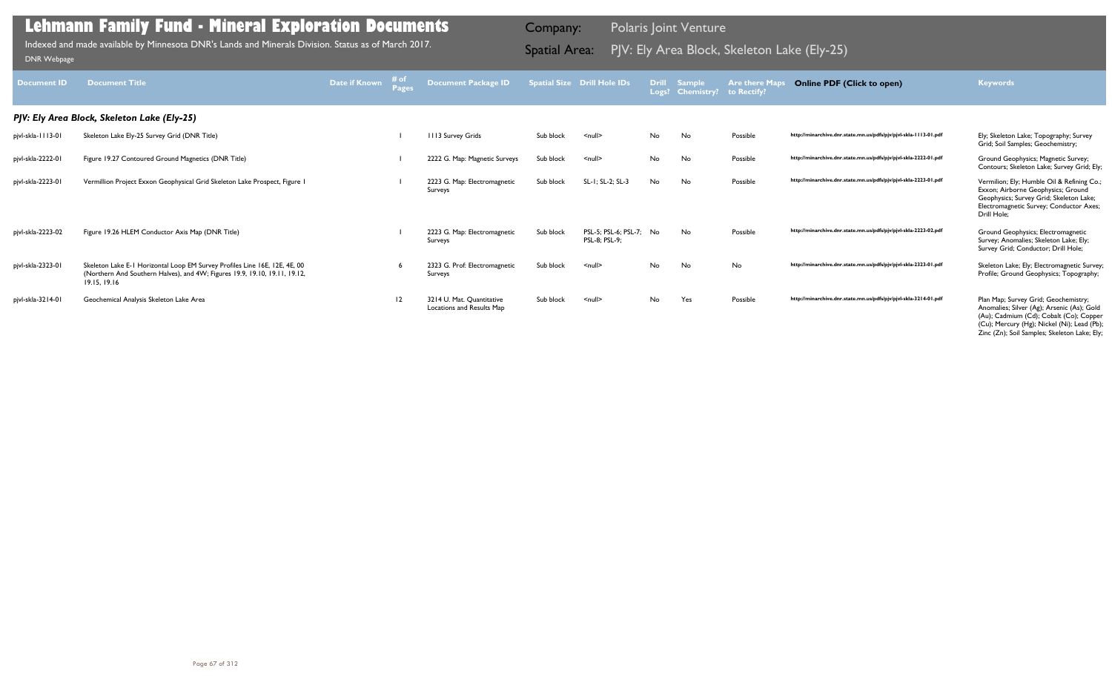| <b>Document ID</b> | <b>Document Title</b>                                                                                                                                                    | Date if Known | # of<br><b>Pages</b> | <b>Document Package ID</b>                             |           | <b>Spatial Size Drill Hole IDs</b>       |           | Drill Sample<br>Logs? Chemistry? to Rectify? | <b>Are there Maps</b> | <b>Online PDF (Click to open)</b>                                | <b>Keywords</b>                                                                                                                                                                                                              |
|--------------------|--------------------------------------------------------------------------------------------------------------------------------------------------------------------------|---------------|----------------------|--------------------------------------------------------|-----------|------------------------------------------|-----------|----------------------------------------------|-----------------------|------------------------------------------------------------------|------------------------------------------------------------------------------------------------------------------------------------------------------------------------------------------------------------------------------|
|                    | PJV: Ely Area Block, Skeleton Lake (Ely-25)                                                                                                                              |               |                      |                                                        |           |                                          |           |                                              |                       |                                                                  |                                                                                                                                                                                                                              |
| pjvl-skla-1113-01  | Skeleton Lake Ely-25 Survey Grid (DNR Title)                                                                                                                             |               |                      | 1113 Survey Grids                                      | Sub block | $null$                                   | No        | No                                           | Possible              | http://minarchive.dnr.state.mn.us/pdfs/pjv/pjvl-skla-1113-01.pdf | Ely; Skeleton Lake; Topography; Survey<br>Grid; Soil Samples; Geochemistry;                                                                                                                                                  |
| pjvl-skla-2222-01  | Figure 19.27 Contoured Ground Magnetics (DNR Title)                                                                                                                      |               |                      | 2222 G. Map: Magnetic Surveys                          | Sub block | $null$                                   | No        | No                                           | Possible              | http://minarchive.dnr.state.mn.us/pdfs/pjv/pjvl-skla-2222-01.pdf | Ground Geophysics; Magnetic Survey;<br>Contours; Skeleton Lake; Survey Grid; Ely;                                                                                                                                            |
| pjvl-skla-2223-01  | Vermillion Project Exxon Geophysical Grid Skeleton Lake Prospect, Figure 1                                                                                               |               |                      | 2223 G. Map: Electromagnetic<br>Surveys                | Sub block | SL-1; SL-2; SL-3                         | No        | No                                           | Possible              | http://minarchive.dnr.state.mn.us/pdfs/pjv/pjvl-skla-2223-01.pdf | Vermilion; Ely; Humble Oil & Refining Co.;<br>Exxon; Airborne Geophysics; Ground<br>Geophysics; Survey Grid; Skeleton Lake;<br>Electromagnetic Survey; Conductor Axes;<br>Drill Hole:                                        |
| pjvl-skla-2223-02  | Figure 19.26 HLEM Conductor Axis Map (DNR Title)                                                                                                                         |               |                      | 2223 G. Map: Electromagnetic<br>Surveys                | Sub block | PSL-5; PSL-6; PSL-7; No<br>PSL-8; PSL-9; |           | No.                                          | Possible              | http://minarchive.dnr.state.mn.us/pdfs/pjv/pjvl-skla-2223-02.pdf | Ground Geophysics; Electromagnetic<br>Survey; Anomalies; Skeleton Lake; Ely;<br>Survey Grid; Conductor; Drill Hole;                                                                                                          |
| pjvl-skla-2323-01  | Skeleton Lake E-1 Horizontal Loop EM Survey Profiles Line 16E, 12E, 4E, 00<br>(Northern And Southern Halves), and 4W; Figures 19.9, 19.10, 19.11, 19.12,<br>19.15, 19.16 |               |                      | 2323 G. Prof: Electromagnetic<br>Surveys               | Sub block | $\leq$ null $\geq$                       | No        | No                                           | No                    | http://minarchive.dnr.state.mn.us/pdfs/pjv/pjvl-skla-2323-01.pdf | Skeleton Lake; Ely; Electromagnetic Survey;<br>Profile; Ground Geophysics; Topography;                                                                                                                                       |
| pjvl-skla-3214-01  | Geochemical Analysis Skeleton Lake Area                                                                                                                                  |               | 12                   | 3214 U. Mat. Quantitative<br>Locations and Results Map | Sub block | $\leq$ null $\geq$                       | <b>No</b> | Yes                                          | Possible              | http://minarchive.dnr.state.mn.us/pdfs/pjv/pjvl-skla-3214-01.pdf | Plan Map; Survey Grid; Geochemistry;<br>Anomalies; Silver (Ag); Arsenic (As); Gold<br>(Au); Cadmium (Cd); Cobalt (Co); Copper<br>(Cu); Mercury (Hg); Nickel (Ni); Lead (Pb);<br>Zinc (Zn); Soil Samples; Skeleton Lake; Ely; |

Indexed and made available by Minnesota DNR's Lands and Minerals Division. Status as of March 2017. **Indexed and Area:** PJV: Ely Area Block, Skeleton Lake (Ely-25)<br><sub>[DNR Webpage](http://www.dnr.state.mn.us/lands_minerals/polaris/index.html)</sub>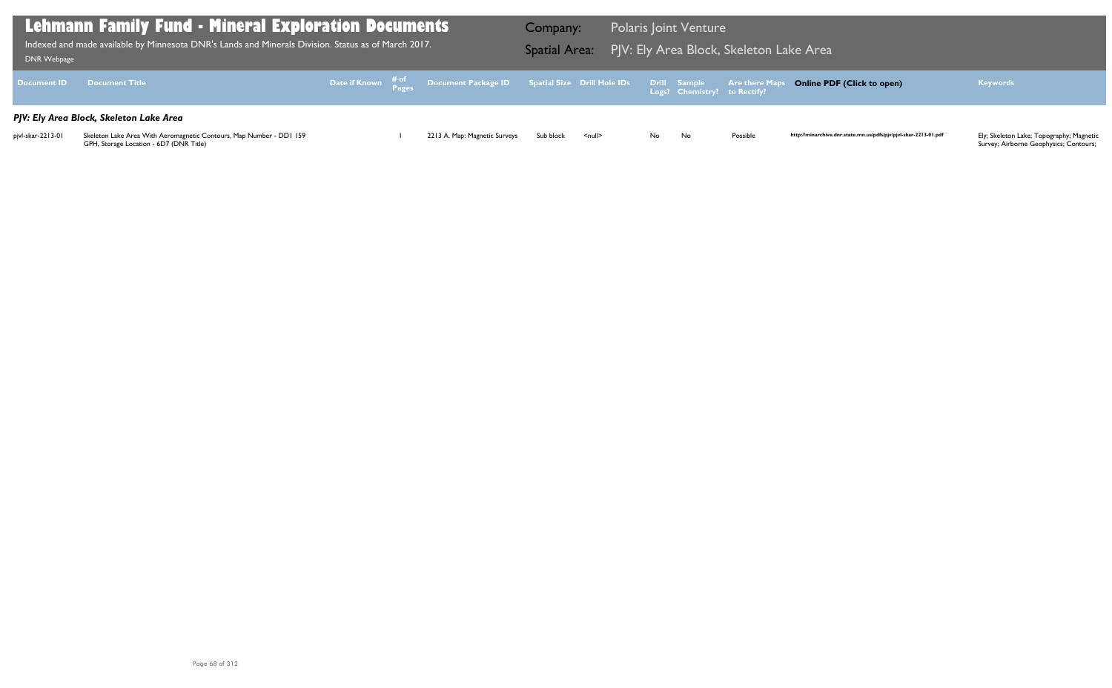| DNR Webpage        | <b>Lehmann Family Fund - Mineral Exploration Documents</b><br>Indexed and made available by Minnesota DNR's Lands and Minerals Division. Status as of March 2017. |  |                                                                                                                | Company:  |                    |     | <b>Polaris Joint Venture</b> | Spatial Area: PJV: Ely Area Block, Skeleton Lake Area |                   |
|--------------------|-------------------------------------------------------------------------------------------------------------------------------------------------------------------|--|----------------------------------------------------------------------------------------------------------------|-----------|--------------------|-----|------------------------------|-------------------------------------------------------|-------------------|
| <b>Document ID</b> | <b>Document Title</b>                                                                                                                                             |  | Date if Known $\frac{\text{\# of}}{\text{\# a}}}$ Document Package ID Spatial Size Drill Hole IDs Drill Sample |           |                    |     | Logs? Chemistry? to Rectify? | <b>Are there Maps</b>                                 | <b>Online PI</b>  |
|                    | PJV: Ely Area Block, Skeleton Lake Area                                                                                                                           |  |                                                                                                                |           |                    |     |                              |                                                       |                   |
| pjvl-skar-2213-01  | Skeleton Lake Area With Aeromagnetic Contours, Map Number - DD1 159<br>GPH, Storage Location - 6D7 (DNR Title)                                                    |  | 2213 A. Map: Magnetic Surveys                                                                                  | Sub block | $\leq$ null $\geq$ | No. | No                           | Possible                                              | http://minarchive |

### **Online PDF (Click to open) Keywords**

http://minarchive.dnr.state.mn.us/pdfs/pjv/pjvl-skar-2213-01.pdf

Ely; Skeleton Lake; Topography; Magnetic<br>Survey; Airborne Geophysics; Contours;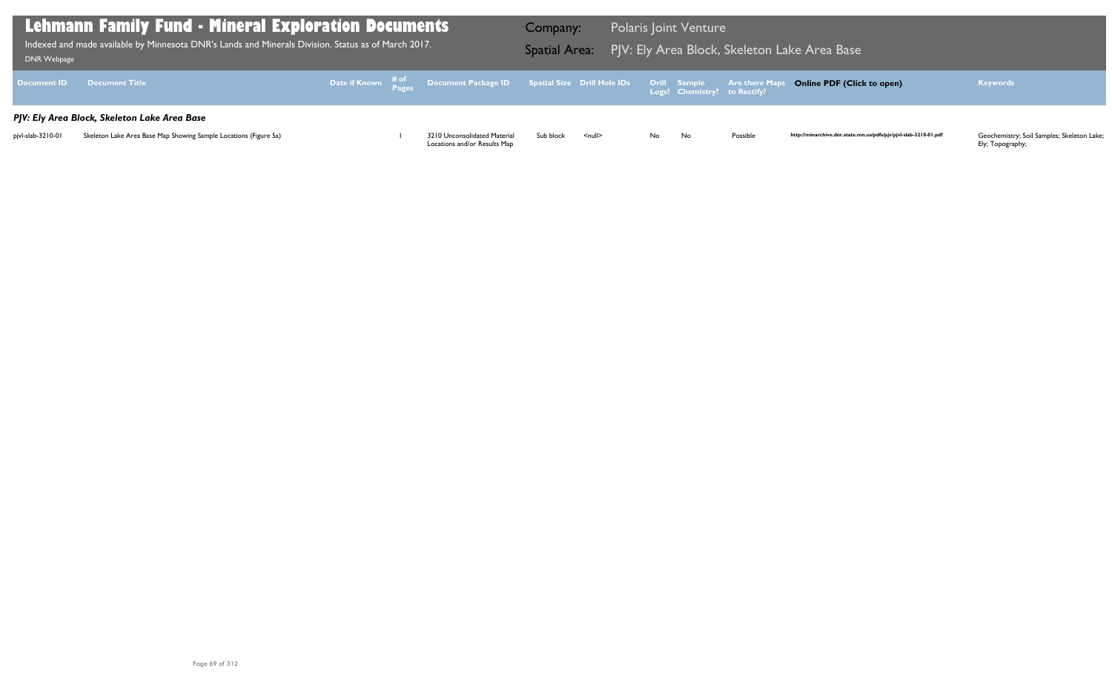| DNR Webpage       | <b>Lehmann Family Fund - Mineral Exploration Documents</b><br>. Indexed and made available by Minnesota DNR's Lands and Minerals Division. Status as of March 2017. <sup>1</sup> |  |                                                                                                | Company:  |               |    | <b>Polaris Joint Venture</b> |          | Spatial Area: PJV: Ely Area Block, Skeleton Lake Area Base       |                                                                |
|-------------------|----------------------------------------------------------------------------------------------------------------------------------------------------------------------------------|--|------------------------------------------------------------------------------------------------|-----------|---------------|----|------------------------------|----------|------------------------------------------------------------------|----------------------------------------------------------------|
|                   | Document ID Document Title                                                                                                                                                       |  | Date if Known # of Document Package ID Spatial Size Drill Hole IDs Drill Sample Are there Maps |           |               |    |                              |          | <b>Online PDF (Click to open)</b>                                | <b>Keywords</b>                                                |
|                   | PJV: Ely Area Block, Skeleton Lake Area Base                                                                                                                                     |  |                                                                                                |           |               |    |                              |          |                                                                  |                                                                |
| pjvl-slab-3210-01 | Skeleton Lake Area Base Map Showing Sample Locations (Figure 5a)                                                                                                                 |  | 3210 Unconsolidated Material<br>Locations and/or Results Map                                   | Sub block | <null></null> | No | No                           | Possible | http://minarchive.dnr.state.mn.us/pdfs/pjv/pjvl-slab-3210-01.pdf | Geochemistry; Soil Samples; Skeleton Lake;<br>Ely; Topography; |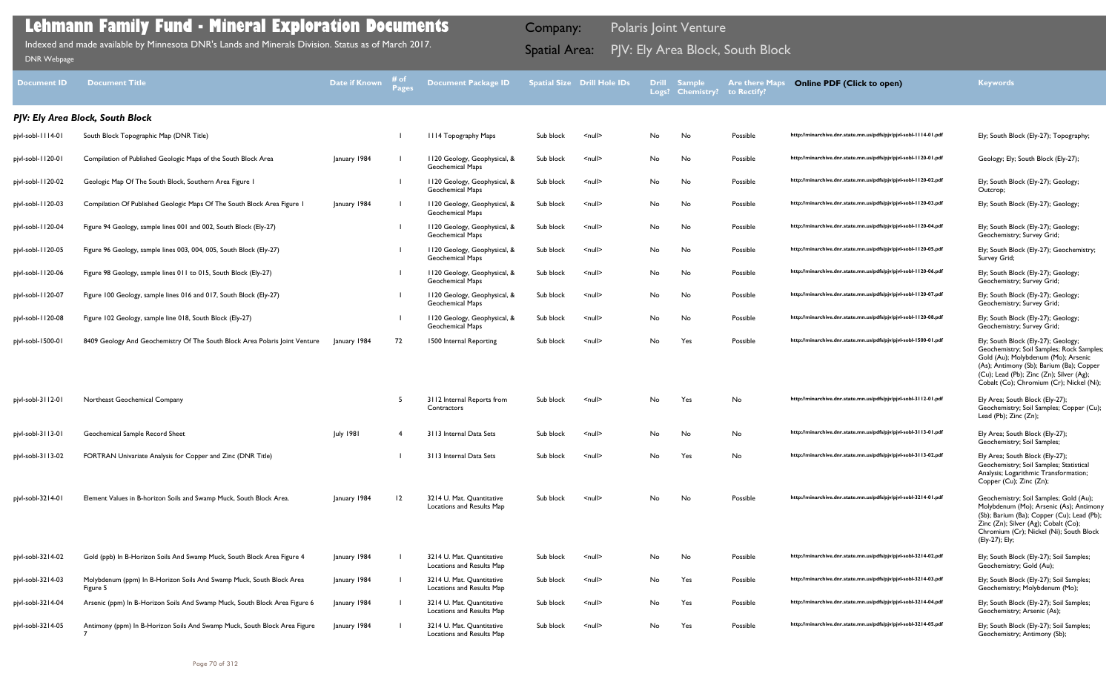Ely; South Block (Ely-27); Geochemistry; Survey Grid;

Geochemistry; Soil Samples; Gold (Au); Molybdenum (Mo); Arsenic (As); Antimony (Sb); Barium (Ba); Copper (Cu); Lead (Pb); Zinc (Zn); Silver (Ag); Cobalt (Co); Chromium (Cr); Nickel (Ni); South Block (Ely-27); Ely;

Ely; South Block (Ely-27); Soil Samples; Geochemistry; Gold (Au);

Ely; South Block (Ely-27); Soil Samples; Geochemistry; Molybdenum (Mo);

Ely; South Block (Ely-27); Soil Samples; Geochemistry; Arsenic (As);

Geochemistry; Soil Samples; Rock Samples; Gold (Au); Molybdenum (Mo); Arsenic (As); Antimony (Sb); Barium (Ba); Copper (Cu); Lead (Pb); Zinc (Zn); Silver (Ag); Cobalt (Co); Chromium (Cr); Nickel (Ni);

Ely Area; South Block (Ely-27); Geochemistry; Soil Samples; Copper (Cu); Lead (Pb); Zinc (Zn);

| <b>Document ID</b> | <b>Document Title</b>                                                            | Date if Known | 井 of | <b>Document Package ID</b>                              |           | <b>Spatial Size Drill Hole IDs</b> | <b>Drill</b> | <b>Sample</b><br>Logs? Chemistry? to Rectify? | <b>Are there Map</b> | <b>Online PDF (Click to open)</b>                                | <b>Keywords</b>                                                                                                                                                                                                                   |
|--------------------|----------------------------------------------------------------------------------|---------------|------|---------------------------------------------------------|-----------|------------------------------------|--------------|-----------------------------------------------|----------------------|------------------------------------------------------------------|-----------------------------------------------------------------------------------------------------------------------------------------------------------------------------------------------------------------------------------|
|                    | PJV: Ely Area Block, South Block                                                 |               |      |                                                         |           |                                    |              |                                               |                      |                                                                  |                                                                                                                                                                                                                                   |
| pjvl-sobl-1114-01  | South Block Topographic Map (DNR Title)                                          |               |      | <b>III4 Topography Maps</b>                             | Sub block | <null></null>                      | No.          | No                                            | Possible             | http://minarchive.dnr.state.mn.us/pdfs/pjv/pjvl-sobl-1114-01.pdf | Ely; South Block (Ely-27); Topograp                                                                                                                                                                                               |
| pjvl-sobl-1120-01  | Compilation of Published Geologic Maps of the South Block Area                   | January 1984  |      | 1120 Geology, Geophysical, &<br><b>Geochemical Maps</b> | Sub block | <null></null>                      | No           | No                                            | Possible             | http://minarchive.dnr.state.mn.us/pdfs/pjv/pjvl-sobl-1120-01.pdf | Geology; Ely; South Block (Ely-27);                                                                                                                                                                                               |
| pjvl-sobl-1120-02  | Geologic Map Of The South Block, Southern Area Figure I                          |               |      | 1120 Geology, Geophysical, &<br><b>Geochemical Maps</b> | Sub block | <null></null>                      | No           | No                                            | Possible             | http://minarchive.dnr.state.mn.us/pdfs/pjv/pjvl-sobl-1120-02.pdf | Ely; South Block (Ely-27); Geology;<br>Outcrop;                                                                                                                                                                                   |
| pjvl-sobl-1120-03  | Compilation Of Published Geologic Maps Of The South Block Area Figure I          | January 1984  |      | 1120 Geology, Geophysical, &<br><b>Geochemical Maps</b> | Sub block | <null></null>                      | No           | No                                            | Possible             | http://minarchive.dnr.state.mn.us/pdfs/pjv/pjvl-sobl-1120-03.pdf | Ely; South Block (Ely-27); Geology;                                                                                                                                                                                               |
| pjvl-sobl-1120-04  | Figure 94 Geology, sample lines 001 and 002, South Block (Ely-27)                |               |      | 1120 Geology, Geophysical, &<br><b>Geochemical Maps</b> | Sub block | <null></null>                      | No.          | No                                            | Possible             | http://minarchive.dnr.state.mn.us/pdfs/pjv/pjvl-sobl-1120-04.pdf | Ely; South Block (Ely-27); Geology;<br>Geochemistry; Survey Grid;                                                                                                                                                                 |
| pjvl-sobl-1120-05  | Figure 96 Geology, sample lines 003, 004, 005, South Block (Ely-27)              |               |      | 1120 Geology, Geophysical, &<br>Geochemical Maps        | Sub block | <null></null>                      | No           | No                                            | Possible             | http://minarchive.dnr.state.mn.us/pdfs/pjv/pjvl-sobl-1120-05.pdf | Ely; South Block (Ely-27); Geochem<br>Survey Grid;                                                                                                                                                                                |
| pjvl-sobl-1120-06  | Figure 98 Geology, sample lines 011 to 015, South Block (Ely-27)                 |               |      | 1120 Geology, Geophysical, &<br><b>Geochemical Maps</b> | Sub block | <null></null>                      | No           | No                                            | Possible             | http://minarchive.dnr.state.mn.us/pdfs/pjv/pjvl-sobl-1120-06.pdf | Ely; South Block (Ely-27); Geology;<br>Geochemistry; Survey Grid;                                                                                                                                                                 |
| pjvl-sobl-1120-07  | Figure 100 Geology, sample lines 016 and 017, South Block (Ely-27)               |               |      | 1120 Geology, Geophysical, &<br><b>Geochemical Maps</b> | Sub block | <null></null>                      | No           | No                                            | Possible             | http://minarchive.dnr.state.mn.us/pdfs/pjv/pjvl-sobl-1120-07.pdf | Ely; South Block (Ely-27); Geology;<br>Geochemistry; Survey Grid;                                                                                                                                                                 |
| pjvl-sobl-1120-08  | Figure 102 Geology, sample line 018, South Block (Ely-27)                        |               |      | 1120 Geology, Geophysical, &<br><b>Geochemical Maps</b> | Sub block | <null></null>                      | No.          | No                                            | Possible             | http://minarchive.dnr.state.mn.us/pdfs/pjv/pjvl-sobl-1120-08.pdf | Ely; South Block (Ely-27); Geology;<br>Geochemistry; Survey Grid;                                                                                                                                                                 |
| pjvl-sobl-1500-01  | 8409 Geology And Geochemistry Of The South Block Area Polaris Joint Venture      | January 1984  | 72   | 1500 Internal Reporting                                 | Sub block | $null$                             | No.          | Yes                                           | Possible             | http://minarchive.dnr.state.mn.us/pdfs/pjv/pjvl-sobl-1500-01.pdf | Ely; South Block (Ely-27); Geology;<br>Geochemistry; Soil Samples; Rock !<br>Gold (Au); Molybdenum (Mo); Arse<br>(As); Antimony (Sb); Barium (Ba); C<br>(Cu); Lead (Pb); Zinc (Zn); Silver (A<br>Cobalt (Co); Chromium (Cr); Nick |
| pjvl-sobl-3112-01  | Northeast Geochemical Company                                                    |               |      | 3112 Internal Reports from<br>Contractors               | Sub block | <null></null>                      | No           | Yes                                           | No                   | http://minarchive.dnr.state.mn.us/pdfs/pjv/pjvl-sobl-3112-01.pdf | Ely Area; South Block (Ely-27);<br>Geochemistry; Soil Samples; Coppe<br>Lead (Pb); Zinc (Zn);                                                                                                                                     |
| pjvl-sobl-3113-01  | Geochemical Sample Record Sheet                                                  | July 1981     |      | 3113 Internal Data Sets                                 | Sub block | <null></null>                      | No.          | No                                            | No                   | http://minarchive.dnr.state.mn.us/pdfs/pjv/pjvl-sobl-3113-01.pdf | Ely Area; South Block (Ely-27);<br>Geochemistry; Soil Samples;                                                                                                                                                                    |
| pjvl-sobl-3113-02  | FORTRAN Univariate Analysis for Copper and Zinc (DNR Title)                      |               |      | 3113 Internal Data Sets                                 | Sub block | <null></null>                      | No.          | Yes                                           | No.                  | http://minarchive.dnr.state.mn.us/pdfs/pjv/pjvl-sobl-3113-02.pdf | Ely Area; South Block (Ely-27);<br>Geochemistry; Soil Samples; Statist<br>Analysis; Logarithmic Transformatio<br>Copper (Cu); Zinc (Zn);                                                                                          |
| pjvl-sobl-3214-01  | Element Values in B-horizon Soils and Swamp Muck, South Block Area.              | January 1984  | 12   | 3214 U. Mat. Quantitative<br>Locations and Results Map  | Sub block | $\leq$ null $\geq$                 | No           | No.                                           | Possible             | http://minarchive.dnr.state.mn.us/pdfs/pjv/pjvl-sobl-3214-01.pdf | Geochemistry; Soil Samples; Gold (<br>Molybdenum (Mo); Arsenic (As); A<br>(Sb); Barium (Ba); Copper (Cu); Lea<br>Zinc (Zn); Silver (Ag); Cobalt (Co);<br>Chromium (Cr); Nickel (Ni); South<br>(Ely-27); Ely;                      |
| pjvl-sobl-3214-02  | Gold (ppb) In B-Horizon Soils And Swamp Muck, South Block Area Figure 4          | January 1984  |      | 3214 U. Mat. Quantitative<br>Locations and Results Map  | Sub block | $\leq$ null $\geq$                 | No           | No.                                           | Possible             | http://minarchive.dnr.state.mn.us/pdfs/pjv/pjvl-sobl-3214-02.pdf | Ely; South Block (Ely-27); Soil Samp<br>Geochemistry; Gold (Au);                                                                                                                                                                  |
| pjvl-sobl-3214-03  | Molybdenum (ppm) In B-Horizon Soils And Swamp Muck, South Block Area<br>Figure 5 | January 1984  |      | 3214 U. Mat. Quantitative<br>Locations and Results Map  | Sub block | <null></null>                      | No           | Yes                                           | Possible             | http://minarchive.dnr.state.mn.us/pdfs/pjv/pjvl-sobl-3214-03.pdf | Ely; South Block (Ely-27); Soil Samp<br>Geochemistry; Molybdenum (Mo);                                                                                                                                                            |
| pjvl-sobl-3214-04  | Arsenic (ppm) In B-Horizon Soils And Swamp Muck, South Block Area Figure 6       | January 1984  |      | 3214 U. Mat. Quantitative<br>Locations and Results Map  | Sub block | <null></null>                      | No           | Yes                                           | Possible             | http://minarchive.dnr.state.mn.us/pdfs/pjv/pjvl-sobl-3214-04.pdf | Ely; South Block (Ely-27); Soil Samp<br>Geochemistry; Arsenic (As);                                                                                                                                                               |
| pjvl-sobl-3214-05  | Antimony (ppm) In B-Horizon Soils And Swamp Muck, South Block Area Figure        | January 1984  |      | 3214 U. Mat. Quantitative<br>Locations and Results Map  | Sub block | <null></null>                      | No           | Yes                                           | Possible             | http://minarchive.dnr.state.mn.us/pdfs/pjv/pjvl-sobl-3214-05.pdf | Ely; South Block (Ely-27); Soil Samp<br>Geochemistry; Antimony (Sb);                                                                                                                                                              |

Geochemistry; Soil Samples; Statistical Analysis; Logarithmic Transformation; Copper (Cu); Zinc (Zn);

Geochemistry; Antimony (Sb);

### **Lehmann Family Fund - Mineral Exploration Documents**

Indexed and made available by Minnesota DNR's Lands and Minerals Division. Status as of March 2017. **Spatial Area:** PJV: Ely Area Block, South Block וndexed and made available by Minnesota DNR's Lands and Minerals Division

Company: Polaris Joint Venture

### **Online PDF (Click to open) Keywords**

| http://minarchive.dnr.state.mn.us/pdfs/pjv/pjvl-sobl-1114-01.pdf |  |
|------------------------------------------------------------------|--|
| http://minarchive.dnr.state.mn.us/pdfs/pjv/pjvl-sobl-1120-01.pdf |  |
| http://minarchive.dnr.state.mn.us/pdfs/pjv/pjvl-sobl-1120-02.pdf |  |
| http://minarchive.dnr.state.mn.us/pdfs/pjv/pjvl-sobl-1120-03.pdf |  |
| http://minarchive.dnr.state.mn.us/pdfs/pjv/pjvl-sobl-1120-04.pdf |  |
| http://minarchive.dnr.state.mn.us/pdfs/pjv/pjvl-sobl-1120-05.pdf |  |
| http://minarchive.dnr.state.mn.us/pdfs/pjv/pjvl-sobl-1120-06.pdf |  |
| http://minarchive.dnr.state.mn.us/pdfs/pjv/pjvl-sobl-1120-07.pdf |  |
| http://minarchive.dnr.state.mn.us/pdfs/pjv/pjvl-sobl-1120-08.pdf |  |
| http://minarchive.dnr.state.mn.us/pdfs/pjv/pjvl-sobl-1500-01.pdf |  |
|                                                                  |  |
|                                                                  |  |
| http://minarchive.dnr.state.mn.us/pdfs/pjv/pjvl-sobl-3112-01.pdf |  |
| http://minarchive.dnr.state.mn.us/pdfs/pjv/pjvl-sobl-3113-01.pdf |  |
| http://minarchive.dnr.state.mn.us/pdfs/pjv/pjvl-sobl-3113-02.pdf |  |
|                                                                  |  |
|                                                                  |  |
| http://minarchive.dnr.state.mn.us/pdfs/pjv/pjvl-sobl-3214-01.pdf |  |
| http://minarchive.dnr.state.mn.us/pdfs/pjv/pjvl-sobl-3214-02.pdf |  |
| http://minarchive.dnr.state.mn.us/pdfs/pjv/pjvl-sobl-3214-03.pdf |  |

Ely; South Block (Ely-27); Topography;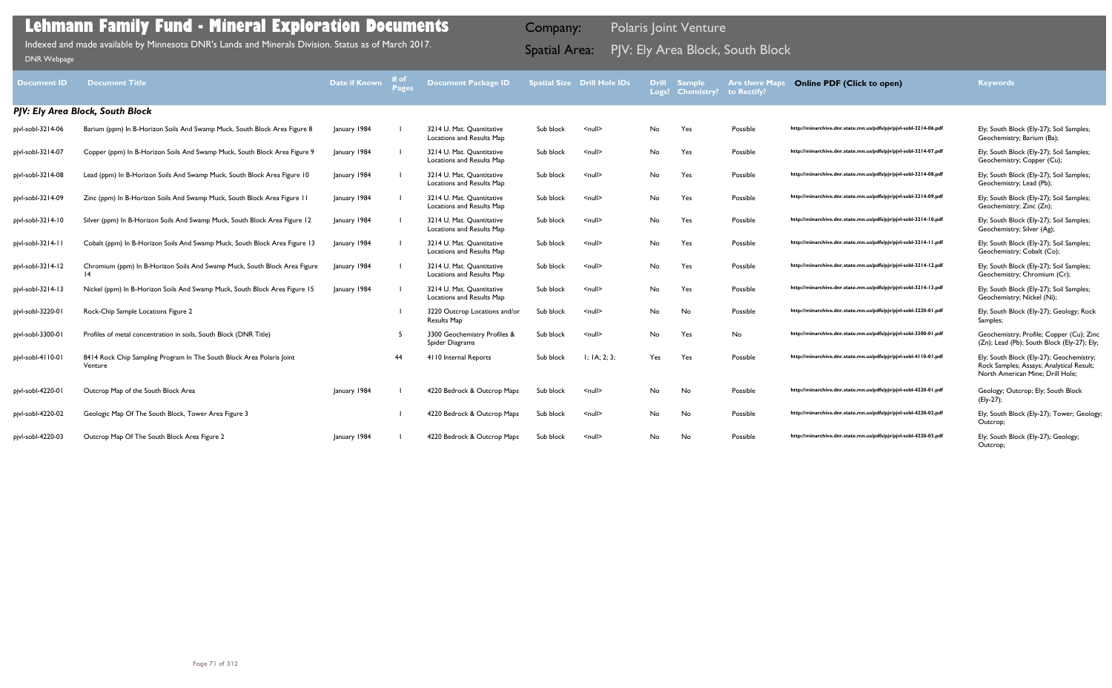| <b>Document ID</b>               | <b>Document Title</b>                                                                        | Date if Known | i# of<br>Pages | <b>Document Package ID</b>                             |           | <b>Spatial Size Drill Hole IDs</b> |     | <b>Drill Sample</b><br>Logs? Chemistry? | <b>Are there Maps</b><br>to Rectify? | <b>Online PDF (Click to open)</b>                                | <b>Keywords</b>                                                                                                          |
|----------------------------------|----------------------------------------------------------------------------------------------|---------------|----------------|--------------------------------------------------------|-----------|------------------------------------|-----|-----------------------------------------|--------------------------------------|------------------------------------------------------------------|--------------------------------------------------------------------------------------------------------------------------|
| PJV: Ely Area Block, South Block |                                                                                              |               |                |                                                        |           |                                    |     |                                         |                                      |                                                                  |                                                                                                                          |
| pjvl-sobl-3214-06                | Barium (ppm) In B-Horizon Soils And Swamp Muck, South Block Area Figure 8                    | January 1984  |                | 3214 U. Mat. Quantitative<br>Locations and Results Map | Sub block | $null$                             | No  | Yes                                     | Possible                             | http://minarchive.dnr.state.mn.us/pdfs/pjv/pjvl-sobl-3214-06.pdf | Ely; South Block (Ely-27); Soil Samples;<br>Geochemistry; Barium (Ba);                                                   |
| pjvl-sobl-3214-07                | Copper (ppm) In B-Horizon Soils And Swamp Muck, South Block Area Figure 9                    | January 1984  |                | 3214 U. Mat. Quantitative<br>Locations and Results Map | Sub block | $\leq$ null $\geq$                 | No  | Yes                                     | Possible                             | http://minarchive.dnr.state.mn.us/pdfs/pjv/pjvl-sobl-3214-07.pdf | Ely; South Block (Ely-27); Soil Samples;<br>Geochemistry; Copper (Cu);                                                   |
| pjvl-sobl-3214-08                | Lead (ppm) In B-Horizon Soils And Swamp Muck, South Block Area Figure 10                     | January 1984  |                | 3214 U. Mat. Quantitative<br>Locations and Results Map | Sub block | $\leq$ null $\geq$                 | No  | Yes                                     | Possible                             | http://minarchive.dnr.state.mn.us/pdfs/pjv/pjvl-sobl-3214-08.pdf | Ely; South Block (Ely-27); Soil Samples;<br>Geochemistry; Lead (Pb);                                                     |
| pjvl-sobl-3214-09                | Zinc (ppm) In B-Horizon Soils And Swamp Muck, South Block Area Figure 11                     | January 1984  |                | 3214 U. Mat. Quantitative<br>Locations and Results Map | Sub block | $null$                             | No  | Yes                                     | Possible                             | http://minarchive.dnr.state.mn.us/pdfs/pjv/pjvl-sobl-3214-09.pdf | Ely; South Block (Ely-27); Soil Samples;<br>Geochemistry; Zinc (Zn);                                                     |
| pjvl-sobl-3214-10                | Silver (ppm) In B-Horizon Soils And Swamp Muck, South Block Area Figure 12                   | January 1984  |                | 3214 U. Mat. Quantitative<br>Locations and Results Map | Sub block | $null$                             | No  | Yes                                     | Possible                             | http://minarchive.dnr.state.mn.us/pdfs/pjv/pjvl-sobl-3214-10.pdf | Ely; South Block (Ely-27); Soil Samples;<br>Geochemistry; Silver (Ag);                                                   |
| pjvl-sobl-3214-11                | Cobalt (ppm) In B-Horizon Soils And Swamp Muck, South Block Area Figure 13                   | January 1984  |                | 3214 U. Mat. Quantitative<br>Locations and Results Map | Sub block | $null$                             | No  | Yes                                     | Possible                             | http://minarchive.dnr.state.mn.us/pdfs/pjv/pjvl-sobl-3214-11.pdf | Ely; South Block (Ely-27); Soil Samples;<br>Geochemistry; Cobalt (Co);                                                   |
| pjvl-sobl-3214-12                | Chromium (ppm) In B-Horizon Soils And Swamp Muck, South Block Area Figure<br>$\overline{14}$ | January 1984  |                | 3214 U. Mat. Quantitative<br>Locations and Results Map | Sub block | $null$                             | No  | Yes                                     | Possible                             | http://minarchive.dnr.state.mn.us/pdfs/pjv/pjvl-sobl-3214-12.pdf | Ely; South Block (Ely-27); Soil Samples;<br>Geochemistry; Chromium (Cr);                                                 |
| pjvl-sobl-3214-13                | Nickel (ppm) In B-Horizon Soils And Swamp Muck, South Block Area Figure 15                   | January 1984  |                | 3214 U. Mat. Quantitative<br>Locations and Results Map | Sub block | <null></null>                      | No  | Yes                                     | Possible                             | http://minarchive.dnr.state.mn.us/pdfs/pjv/pjvl-sobl-3214-13.pdf | Ely; South Block (Ely-27); Soil Samples;<br>Geochemistry; Nickel (Ni);                                                   |
| pjvl-sobl-3220-01                | Rock-Chip Sample Locations Figure 2                                                          |               |                | 3220 Outcrop Locations and/or<br>Results Map           | Sub block | $null$                             | No  | No                                      | Possible                             | http://minarchive.dnr.state.mn.us/pdfs/pjv/pjvl-sobl-3220-01.pdf | Ely; South Block (Ely-27); Geology; Rock<br>Samples:                                                                     |
| pjvl-sobl-3300-01                | Profiles of metal concentration in soils, South Block (DNR Title)                            |               |                | 3300 Geochemistry Profiles &<br>Spider Diagrams        | Sub block | $null$                             | No  | Yes                                     | No                                   | http://minarchive.dnr.state.mn.us/pdfs/pjv/pjvl-sobl-3300-01.pdf | Geochemistry; Profile; Copper (Cu); Zinc<br>(Zn); Lead (Pb); South Block (Ely-27); Ely;                                  |
| pjvl-sobl-4110-01                | 8414 Rock Chip Sampling Program In The South Block Area Polaris Joint<br>Venture             |               | 44             | 4110 Internal Reports                                  | Sub block | 1; IA; 2; 3;                       | Yes | Yes                                     | Possible                             | http://minarchive.dnr.state.mn.us/pdfs/pjv/pjvl-sobl-4110-01.pdf | Ely; South Block (Ely-27); Geochemistry;<br>Rock Samples; Assays; Analytical Result;<br>North American Mine: Drill Hole: |
| pjvl-sobl-4220-01                | Outcrop Map of the South Block Area                                                          | January 1984  |                | 4220 Bedrock & Outcrop Maps                            | Sub block | $\leq$ null $\geq$                 | No  | No                                      | Possible                             | http://minarchive.dnr.state.mn.us/pdfs/pjv/pjvl-sobl-4220-01.pdf | Geology; Outcrop; Ely; South Block<br>(Ely-27);                                                                          |
| pjvl-sobl-4220-02                | Geologic Map Of The South Block, Tower Area Figure 3                                         |               |                | 4220 Bedrock & Outcrop Maps                            | Sub block | $\leq$ null $\geq$                 | No  | No                                      | Possible                             | http://minarchive.dnr.state.mn.us/pdfs/pjv/pjvl-sobl-4220-02.pdf | Ely; South Block (Ely-27); Tower; Geology;<br>Outcrop;                                                                   |
| pjvl-sobl-4220-03                | Outcrop Map Of The South Block Area Figure 2                                                 | January 1984  |                | 4220 Bedrock & Outcrop Maps                            | Sub block | <null></null>                      | No  | No                                      | Possible                             | http://minarchive.dnr.state.mn.us/pdfs/pjv/pjvl-sobl-4220-03.pdf | Ely; South Block (Ely-27); Geology;                                                                                      |

| <b>SUD DIOCK</b> | <nu⊪∕< th=""><th><b>INO</b></th><th><b>res</b></th><th><b>POSSIDIE</b></th><th></th><th><math>E(y)</math>; South BIOCK (<math>E(y-Z)</math>); Soil Samples;<br/>Geochemistry; Barium (Ba);</th></nu⊪∕<> | <b>INO</b> | <b>res</b> | <b>POSSIDIE</b> |                                                                  | $E(y)$ ; South BIOCK ( $E(y-Z)$ ); Soil Samples;<br>Geochemistry; Barium (Ba);                                           |
|------------------|---------------------------------------------------------------------------------------------------------------------------------------------------------------------------------------------------------|------------|------------|-----------------|------------------------------------------------------------------|--------------------------------------------------------------------------------------------------------------------------|
| Sub block        | $null$                                                                                                                                                                                                  | No         | Yes        | Possible        | http://minarchive.dnr.state.mn.us/pdfs/pjv/pjvl-sobl-3214-07.pdf | Ely; South Block (Ely-27); Soil Samples;<br>Geochemistry; Copper (Cu);                                                   |
| Sub block        | $\leq$ null $\geq$                                                                                                                                                                                      | No         | Yes        | Possible        | http://minarchive.dnr.state.mn.us/pdfs/pjv/pjvl-sobl-3214-08.pdf | Ely; South Block (Ely-27); Soil Samples;<br>Geochemistry; Lead (Pb);                                                     |
| Sub block        | $\leq$ null $\geq$                                                                                                                                                                                      | No         | Yes        | Possible        | http://minarchive.dnr.state.mn.us/pdfs/pjv/pjvl-sobl-3214-09.pdf | Ely; South Block (Ely-27); Soil Samples;<br>Geochemistry; Zinc (Zn);                                                     |
| Sub block        | $null$                                                                                                                                                                                                  | No         | Yes        | Possible        | http://minarchive.dnr.state.mn.us/pdfs/pjv/pjvl-sobl-3214-10.pdf | Ely; South Block (Ely-27); Soil Samples;<br>Geochemistry; Silver (Ag);                                                   |
| Sub block        | $\leq$ null $\geq$                                                                                                                                                                                      | No         | Yes        | Possible        | http://minarchive.dnr.state.mn.us/pdfs/pjv/pjvl-sobl-3214-11.pdf | Ely; South Block (Ely-27); Soil Samples;<br>Geochemistry; Cobalt (Co);                                                   |
| Sub block        | $null$                                                                                                                                                                                                  | No         | Yes        | Possible        | http://minarchive.dnr.state.mn.us/pdfs/pjv/pjvl-sobl-3214-12.pdf | Ely; South Block (Ely-27); Soil Samples;<br>Geochemistry; Chromium (Cr);                                                 |
| Sub block        | $\leq$ null $\geq$                                                                                                                                                                                      | No         | Yes        | Possible        | http://minarchive.dnr.state.mn.us/pdfs/pjv/pjvl-sobl-3214-13.pdf | Ely; South Block (Ely-27); Soil Samples;<br>Geochemistry; Nickel (Ni);                                                   |
| Sub block        | $\leq$ null $\geq$                                                                                                                                                                                      | No         | No         | Possible        | http://minarchive.dnr.state.mn.us/pdfs/pjv/pjvl-sobl-3220-01.pdf | Ely; South Block (Ely-27); Geology; Rock<br>Samples;                                                                     |
| Sub block        | $null$                                                                                                                                                                                                  | No         | Yes        | No              | http://minarchive.dnr.state.mn.us/pdfs/pjv/pjvl-sobl-3300-01.pdf | Geochemistry; Profile; Copper (Cu); Zinc<br>(Zn); Lead (Pb); South Block (Ely-27); Ely;                                  |
| Sub block        | I: IA: 2: 3:                                                                                                                                                                                            | Yes        | Yes        | Possible        | http://minarchive.dnr.state.mn.us/pdfs/pjv/pjvl-sobl-4110-01.pdf | Ely; South Block (Ely-27); Geochemistry;<br>Rock Samples; Assays; Analytical Result;<br>North American Mine; Drill Hole; |
| Sub block        | $null$                                                                                                                                                                                                  | No         | No         | Possible        | http://minarchive.dnr.state.mn.us/pdfs/pjv/pjvl-sobl-4220-01.pdf | Geology; Outcrop; Ely; South Block<br>(Ely-27);                                                                          |
| Sub block        | $null$                                                                                                                                                                                                  | No         | No         | Possible        | http://minarchive.dnr.state.mn.us/pdfs/pjv/pjvl-sobl-4220-02.pdf | Ely; South Block (Ely-27); Tower; Geology<br>Outcrop;                                                                    |
| Sub block        | <null></null>                                                                                                                                                                                           | No         | No         | Possible        | http://minarchive.dnr.state.mn.us/pdfs/pjv/pjvl-sobl-4220-03.pdf | Ely; South Block (Ely-27); Geology;<br>Outcrop;                                                                          |

Indexed and made available by Minnesota DNR's Lands and Minerals Division. Status as of March 2017. **Spatial Area:** PJV: Ely Area Block, South Block וndexed and made available by Minnesota DNR's Lands and Minerals Division Indexed and made available by Minnesota DNR's Lands and Minerals Division. Status as of March 2017.

Company: Polaris Joint Venture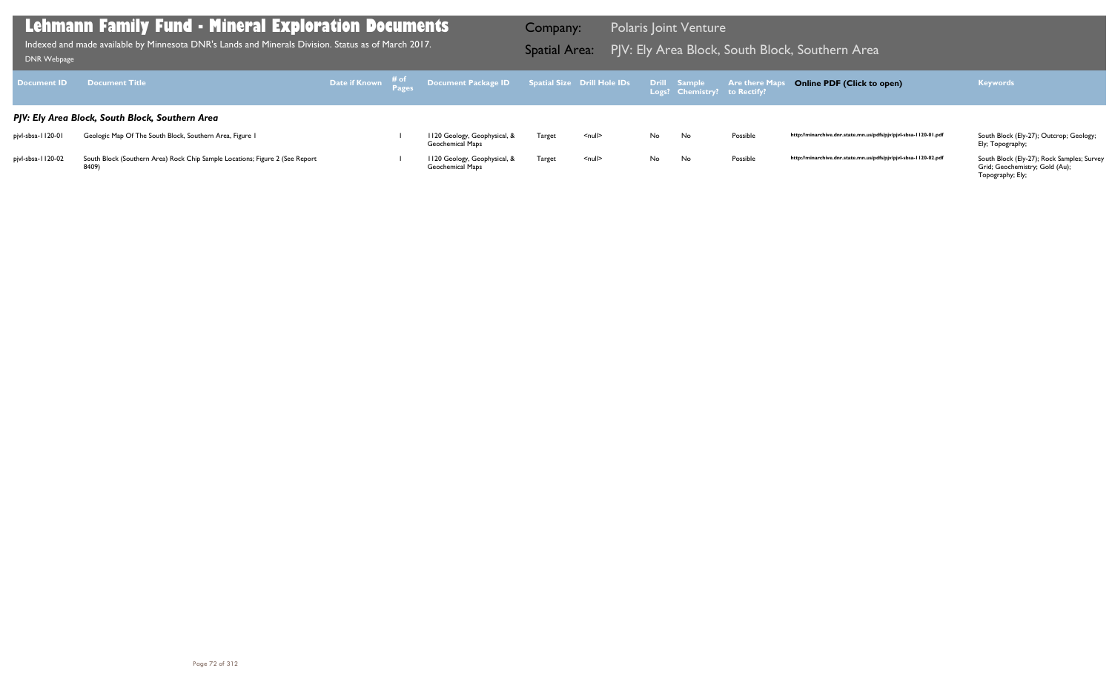| Document ID                                     | <b>Example 19 Document Title</b>                                                      |  |  | Date if Known # of Document Package ID Spatial Size Drill Hole IDs Drill Sample Are there Maps |        |               |     |    |          | <b>Online PDF (Click to open)</b>                                | <b>Keywords</b>                                                              |
|-------------------------------------------------|---------------------------------------------------------------------------------------|--|--|------------------------------------------------------------------------------------------------|--------|---------------|-----|----|----------|------------------------------------------------------------------|------------------------------------------------------------------------------|
| PJV: Ely Area Block, South Block, Southern Area |                                                                                       |  |  |                                                                                                |        |               |     |    |          |                                                                  |                                                                              |
| pjvl-sbsa-1120-01                               | Geologic Map Of The South Block, Southern Area, Figure 1                              |  |  | 1120 Geology, Geophysical, &<br>Geochemical Maps                                               | Target | <null></null> | No  | No | Possible | http://minarchive.dnr.state.mn.us/pdfs/pjv/pjvl-sbsa-1120-01.pdf | South Block (Ely-27); Outcrop; Geology;<br>Ely; Topography;                  |
| pjvl-sbsa-1120-02                               | South Block (Southern Area) Rock Chip Sample Locations; Figure 2 (See Report<br>8409) |  |  | 1120 Geology, Geophysical, &<br>Geochemical Maps                                               | Target | <null></null> | No. | No | Possible | http://minarchive.dnr.state.mn.us/pdfs/pjv/pjvl-sbsa-1120-02.pdf | South Block (Ely-27); Rock Samples; Survey<br>Grid; Geochemistry; Gold (Au); |

Grid; Geochemistry; Gold (Au); Topography; Ely;

### **Lehmann Family Fund - Mineral Exploration Documents**

Indexed and made available by Minnesota DNR's Lands and Minerals Division. Status as of March 2017. **Spatial Area:** PJV: Ely Area Block, South Block, Southern Area ו[DNR Webpage](http://www.dnr.state.mn.us/lands_minerals/polaris/index.html)

Company: Polaris Joint Venture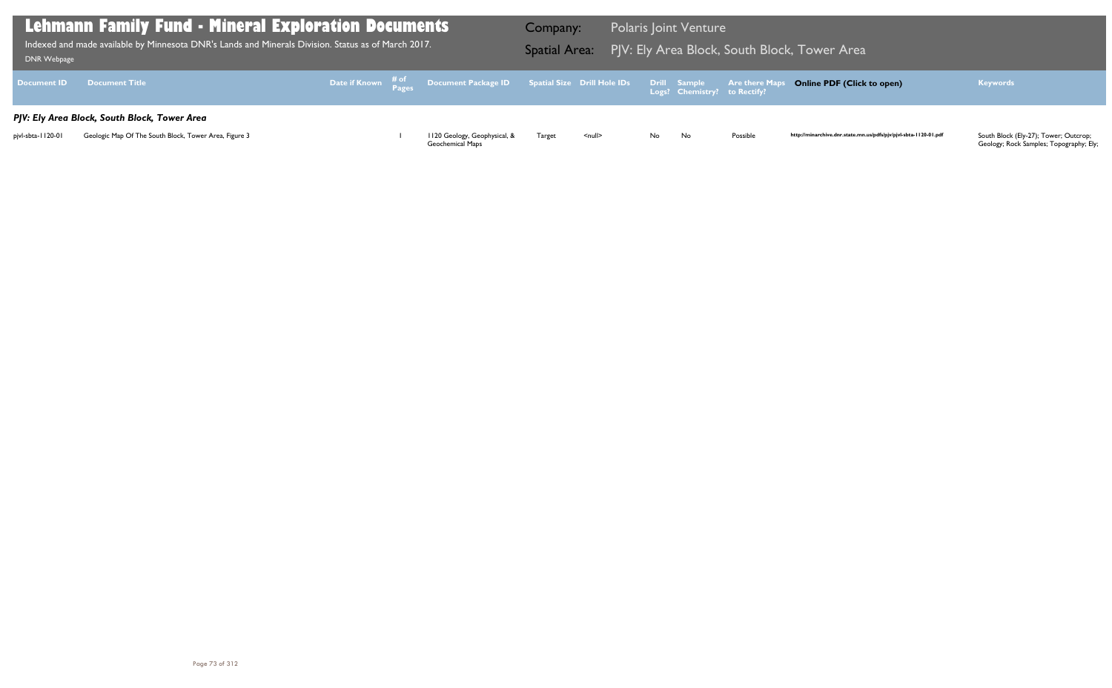| DNR Webpage        | <b>Lehmann Family Fund - Mineral Exploration Documents</b><br>Indexed and made available by Minnesota DNR's Lands and Minerals Division. Status as of March 2017. |  |                                                                                                                 | Company: |                    | <b>Polaris Joint Venture</b> |                              |                                 | Spatial Area: PJV: Ely Area Block, South Block, Tower Area |
|--------------------|-------------------------------------------------------------------------------------------------------------------------------------------------------------------|--|-----------------------------------------------------------------------------------------------------------------|----------|--------------------|------------------------------|------------------------------|---------------------------------|------------------------------------------------------------|
| <b>Document ID</b> | <b>Document Title</b>                                                                                                                                             |  | Date if Known $\frac{\text{\# of}}{\text{\# a g}}$ Document Package ID Spatial Size Drill Hole IDs Drill Sample |          |                    |                              | Logs? Chemistry? to Rectify? | <b>Example 2 Are there Maps</b> | <b>Online PDF (Click</b>                                   |
|                    | PJV: Ely Area Block, South Block, Tower Area                                                                                                                      |  |                                                                                                                 |          |                    |                              |                              |                                 |                                                            |
| pjvl-sbta-1120-01  | Geologic Map Of The South Block, Tower Area, Figure 3                                                                                                             |  | 1120 Geology, Geophysical, &<br>Geochemical Maps                                                                | Target   | $\leq$ null $\geq$ | No                           | No.                          | Possible                        | http://minarchive.dnr.state.mn                             |

## **Online PDF (Click to open) Keywords**

http://minarchive.dnr.state.mn.us/pdfs/pjv/pjvl-sbta-1120-01.pdf

South Block (Ely-27); Tower; Outcrop;<br>Geology; Rock Samples; Topography; Ely;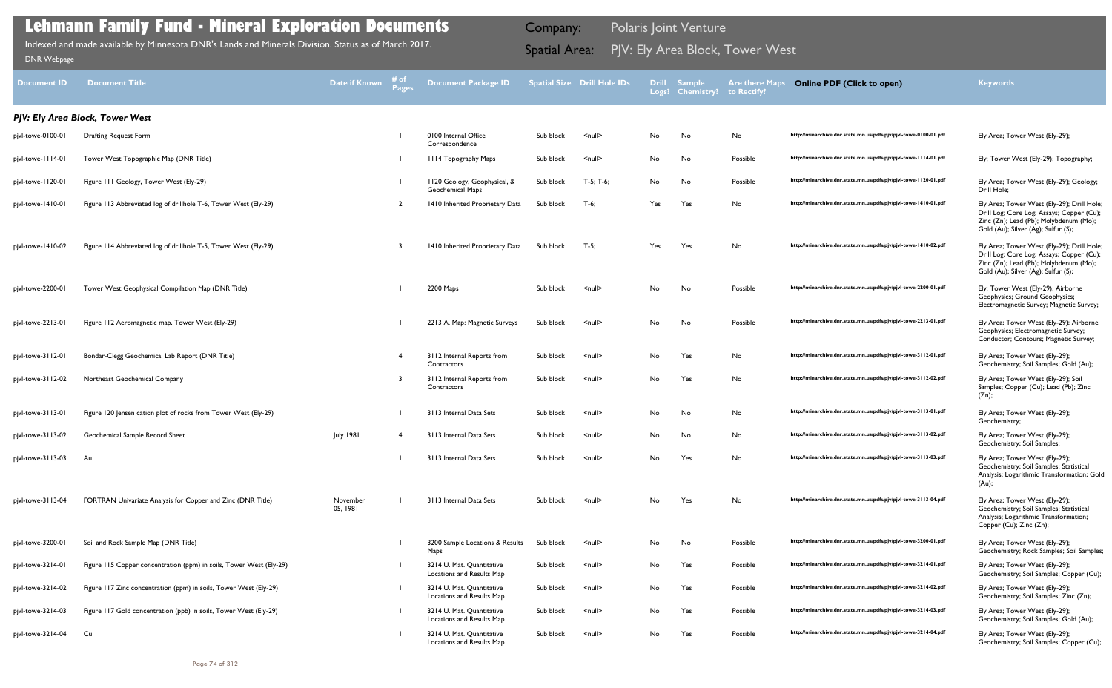| <b>Document ID</b> | <b>Document Title</b>                                               | Date if Known        | # of<br><b>Pages</b> | <b>Document Package ID</b>                             |           | <b>Spatial Size Drill Hole IDs</b> | Logs? | <b>Drill Sample</b><br><b>Chemistry?</b> | <b>Are there Maps</b><br>to Rectify? | <b>Online PDF (Click to open)</b>                                  | <b>Keywords</b>                                                                                                                                                          |
|--------------------|---------------------------------------------------------------------|----------------------|----------------------|--------------------------------------------------------|-----------|------------------------------------|-------|------------------------------------------|--------------------------------------|--------------------------------------------------------------------|--------------------------------------------------------------------------------------------------------------------------------------------------------------------------|
|                    | PJV: Ely Area Block, Tower West                                     |                      |                      |                                                        |           |                                    |       |                                          |                                      |                                                                    |                                                                                                                                                                          |
| pjvl-towe-0100-01  | <b>Drafting Request Form</b>                                        |                      |                      | 0100 Internal Office<br>Correspondence                 | Sub block | $\leq$ null $\geq$                 | No    | No                                       | No                                   | http://minarchive.dnr.state.mn.us/pdfs/pjv/pjvl-towe-0100-01.pdf   | Ely Area; Tower West (Ely-29);                                                                                                                                           |
| pjvl-towe-1114-01  | Tower West Topographic Map (DNR Title)                              |                      |                      | <b>III4 Topography Maps</b>                            | Sub block | $\leq$ null $\geq$                 | No    | No                                       | Possible                             | http://minarchive.dnr.state.mn.us/pdfs/pjv/pjvl-towe-1114-01.pdf   | Ely; Tower West (Ely-29); Topography;                                                                                                                                    |
| pjvl-towe-1120-01  | Figure 111 Geology, Tower West (Ely-29)                             |                      |                      | 1120 Geology, Geophysical, &<br>Geochemical Maps       | Sub block | T-5; T-6;                          | No    | No                                       | Possible                             | http://minarchive.dnr.state.mn.us/pdfs/pjv/pjvl-towe-1120-01.pdf   | Ely Area; Tower West (Ely-29); Geology;<br>Drill Hole;                                                                                                                   |
| pjvl-towe-1410-01  | Figure 113 Abbreviated log of drillhole T-6, Tower West (Ely-29)    |                      |                      | 1410 Inherited Proprietary Data                        | Sub block | $T-6;$                             | Yes   | Yes                                      | No                                   | http://minarchive.dnr.state.mn.us/pdfs/pjv/pjvl-towe-1410-01.pdf   | Ely Area; Tower West (Ely-29); Drill Hole;<br>Drill Log; Core Log; Assays; Copper (Cu);<br>Zinc (Zn); Lead (Pb); Molybdenum (Mo);<br>Gold (Au); Silver (Ag); Sulfur (S); |
| pjvl-towe-1410-02  | Figure 114 Abbreviated log of drillhole T-5, Tower West (Ely-29)    |                      |                      | 1410 Inherited Proprietary Data                        | Sub block | $T-5;$                             | Yes   | Yes                                      | No                                   | http://minarchive.dnr.state.mn.us/pdfs/pjv/pjvl-towe-1410-02.pdf   | Ely Area; Tower West (Ely-29); Drill Hole;<br>Drill Log; Core Log; Assays; Copper (Cu);<br>Zinc (Zn); Lead (Pb); Molybdenum (Mo);<br>Gold (Au); Silver (Ag); Sulfur (S); |
| pjvl-towe-2200-01  | Tower West Geophysical Compilation Map (DNR Title)                  |                      |                      | 2200 Maps                                              | Sub block | $\leq$ null $\geq$                 | No    | No                                       | Possible                             | http://minarchive.dnr.state.mn.us/pdfs/pjv/pjvl-towe-2200-01.pdf   | Ely; Tower West (Ely-29); Airborne<br>Geophysics; Ground Geophysics;<br>Electromagnetic Survey; Magnetic Survey;                                                         |
| pjvl-towe-2213-01  | Figure 112 Aeromagnetic map, Tower West (Ely-29)                    |                      |                      | 2213 A. Map: Magnetic Surveys                          | Sub block | $\leq$ null $\geq$                 | No    | No                                       | Possible                             | http://minarchive.dnr.state.mn.us/pdfs/pjv/pjvl-towe-2213-01.pdf   | Ely Area; Tower West (Ely-29); Airborne<br>Geophysics; Electromagnetic Survey;<br>Conductor; Contours; Magnetic Survey;                                                  |
| pjvl-towe-3112-01  | Bondar-Clegg Geochemical Lab Report (DNR Title)                     |                      | -4                   | 3112 Internal Reports from<br>Contractors              | Sub block | $\leq$ null $\geq$                 | No    | Yes                                      | No                                   | http://minarchive.dnr.state.mn.us/pdfs/pjv/pjvl-towe-3112-01.pdf   | Ely Area; Tower West (Ely-29);<br>Geochemistry; Soil Samples; Gold (Au);                                                                                                 |
| pjvl-towe-3112-02  | Northeast Geochemical Company                                       |                      |                      | 3112 Internal Reports from<br>Contractors              | Sub block | $\leq$ null $\geq$                 | No    | Yes                                      | No                                   | http://minarchive.dnr.state.mn.us/pdfs/pjv/pjvl-towe-3112-02.pdf   | Ely Area; Tower West (Ely-29); Soil<br>Samples; Copper (Cu); Lead (Pb); Zinc<br>(Zn);                                                                                    |
| pjvl-towe-3113-01  | Figure 120 Jensen cation plot of rocks from Tower West (Ely-29)     |                      |                      | 3113 Internal Data Sets                                | Sub block | $\leq$ null $\geq$                 | No    | No                                       | No                                   | http://minarchive.dnr.state.mn.us/pdfs/pjv/pjvl-towe-3113-01.pdf   | Ely Area; Tower West (Ely-29);<br>Geochemistry;                                                                                                                          |
| pjvl-towe-3113-02  | Geochemical Sample Record Sheet                                     | <b>July 1981</b>     |                      | 3113 Internal Data Sets                                | Sub block | $\leq$ null $\geq$                 | No    | No                                       | No                                   | http://minarchive.dnr.state.mn.us/pdfs/pjv/pjvl-towe-3 l 13-02.pdf | Ely Area; Tower West (Ely-29);<br>Geochemistry; Soil Samples;                                                                                                            |
| pjvl-towe-3113-03  | - Au                                                                |                      |                      | 3113 Internal Data Sets                                | Sub block | $\leq$ null $\geq$                 | No    | Yes                                      | No                                   | http://minarchive.dnr.state.mn.us/pdfs/pjv/pjvl-towe-3113-03.pdf   | Ely Area; Tower West (Ely-29);<br>Geochemistry; Soil Samples; Statistical<br>Analysis; Logarithmic Transformation; Gold<br>(Au);                                         |
| pjvl-towe-3113-04  | FORTRAN Univariate Analysis for Copper and Zinc (DNR Title)         | November<br>05, 1981 |                      | 3113 Internal Data Sets                                | Sub block | $\leq$ null $\geq$                 | No    | Yes                                      | No                                   | http://minarchive.dnr.state.mn.us/pdfs/pjv/pjvl-towe-3113-04.pdf   | Ely Area; Tower West (Ely-29);<br>Geochemistry; Soil Samples; Statistical<br>Analysis; Logarithmic Transformation;<br>Copper (Cu); Zinc (Zn);                            |
| pjvl-towe-3200-01  | Soil and Rock Sample Map (DNR Title)                                |                      |                      | 3200 Sample Locations & Results<br>Maps                | Sub block | $\leq$ null $\geq$                 | No    | No                                       | Possible                             | http://minarchive.dnr.state.mn.us/pdfs/pjv/pjvl-towe-3200-01.pdf   | Ely Area; Tower West (Ely-29);<br>Geochemistry; Rock Samples; Soil Samples;                                                                                              |
| pjvl-towe-3214-01  | Figure 115 Copper concentration (ppm) in soils, Tower West (Ely-29) |                      |                      | 3214 U. Mat. Quantitative<br>Locations and Results Map | Sub block | $\leq$ null $\geq$                 | No    | Yes                                      | Possible                             | http://minarchive.dnr.state.mn.us/pdfs/pjv/pjvl-towe-3214-01.pdf   | Ely Area; Tower West (Ely-29);<br>Geochemistry; Soil Samples; Copper (Cu);                                                                                               |
| pjvl-towe-3214-02  | Figure 117 Zinc concentration (ppm) in soils, Tower West (Ely-29)   |                      |                      | 3214 U. Mat. Quantitative<br>Locations and Results Map | Sub block | $\leq$ null $\geq$                 | No    | Yes                                      | Possible                             | http://minarchive.dnr.state.mn.us/pdfs/pjv/pjvl-towe-3214-02.pdf   | Ely Area; Tower West (Ely-29);<br>Geochemistry; Soil Samples; Zinc (Zn);                                                                                                 |
| pjvl-towe-3214-03  | Figure 117 Gold concentration (ppb) in soils, Tower West (Ely-29)   |                      |                      | 3214 U. Mat. Quantitative<br>Locations and Results Map | Sub block | $\leq$ null $\geq$                 | No    | Yes                                      | Possible                             | http://minarchive.dnr.state.mn.us/pdfs/pjv/pjvl-towe-3214-03.pdf   | Ely Area; Tower West (Ely-29);<br>Geochemistry; Soil Samples; Gold (Au);                                                                                                 |
| pjvl-towe-3214-04  | Cu                                                                  |                      |                      | 3214 U. Mat. Quantitative<br>Locations and Results Map | Sub block | $\leq$ null $\geq$                 | No    | Yes                                      | Possible                             | http://minarchive.dnr.state.mn.us/pdfs/pjv/pjvl-towe-3214-04.pdf   | Ely Area; Tower West (Ely-29);<br>Geochemistry; Soil Samples; Copper (Cu);                                                                                               |
|                    |                                                                     |                      |                      |                                                        |           |                                    |       |                                          |                                      |                                                                    |                                                                                                                                                                          |

Indexed and made available by Minnesota DNR's Lands and Minerals Division. Status as of March 2017. **Spatial Area:** PJV: Ely Area Block, Tower West וndexed and made available by Minnesota DNR's Lands and Minerals Division. Indexed and made available by Minnesota DNR's Lands and Minerals Division. Status as of March 2017.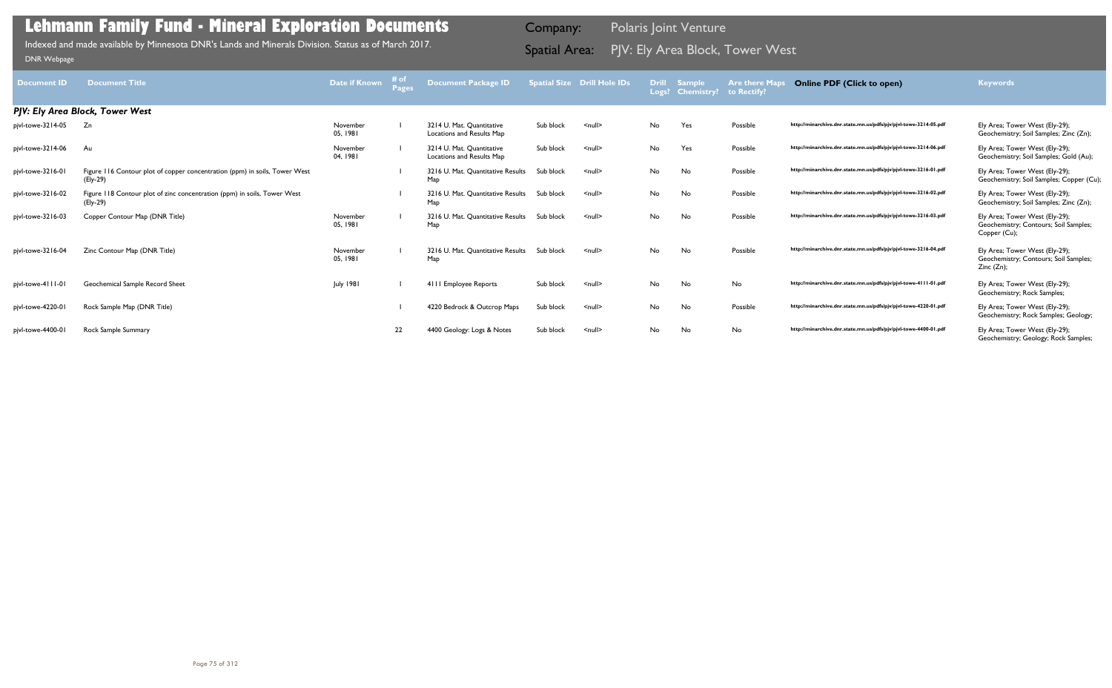| <b>Document ID</b> | <b>Document Title</b>                                                                  | Date if Known        | # of<br><b>Pages</b> | Document Package ID                                    |           | <b>Spatial Size Drill Hole IDs</b> |           | <b>Drill Sample</b><br>Logs? Chemistry? to Rectify? | <b>Are there Maps</b> | <b>Online PDF (Click to open)</b>                                | <b>Keywords</b>                                                                          |
|--------------------|----------------------------------------------------------------------------------------|----------------------|----------------------|--------------------------------------------------------|-----------|------------------------------------|-----------|-----------------------------------------------------|-----------------------|------------------------------------------------------------------|------------------------------------------------------------------------------------------|
|                    | PJV: Ely Area Block, Tower West                                                        |                      |                      |                                                        |           |                                    |           |                                                     |                       |                                                                  |                                                                                          |
| pjvl-towe-3214-05  | Zn                                                                                     | November<br>05, 1981 |                      | 3214 U. Mat. Quantitative<br>Locations and Results Map | Sub block | $\leq$ null $\geq$                 | No        | Yes                                                 | Possible              | http://minarchive.dnr.state.mn.us/pdfs/pjv/pjvl-towe-3214-05.pdf | Ely Area; Tower West (Ely-29);<br>Geochemistry; Soil Samples; Zinc (Zn);                 |
| pjvl-towe-3214-06  | Au                                                                                     | November<br>04, 1981 |                      | 3214 U. Mat. Quantitative<br>Locations and Results Map | Sub block | $\leq$ null $\geq$                 | No        | Yes                                                 | Possible              | http://minarchive.dnr.state.mn.us/pdfs/pjv/pjvl-towe-3214-06.pdf | Ely Area; Tower West (Ely-29);<br>Geochemistry; Soil Samples; Gold (Au);                 |
| pjvl-towe-3216-01  | Figure 116 Contour plot of copper concentration (ppm) in soils, Tower West<br>(Ely-29) |                      |                      | 3216 U. Mat. Quantitative Results<br>Map               | Sub block | $\leq$ null $\geq$                 | No        | No                                                  | Possible              | http://minarchive.dnr.state.mn.us/pdfs/pjv/pjvl-towe-3216-01.pdf | Ely Area; Tower West (Ely-29);<br>Geochemistry; Soil Samples; Copper (Cu);               |
| pjvl-towe-3216-02  | Figure 118 Contour plot of zinc concentration (ppm) in soils, Tower West<br>(Ely-29)   |                      |                      | 3216 U. Mat. Quantitative Results Sub block<br>Map     |           | $\leq$ null $\geq$                 | No        | No                                                  | Possible              | http://minarchive.dnr.state.mn.us/pdfs/pjv/pjvl-towe-3216-02.pdf | Ely Area; Tower West (Ely-29);<br>Geochemistry; Soil Samples; Zinc (Zn);                 |
| pjvl-towe-3216-03  | Copper Contour Map (DNR Title)                                                         | November<br>05, 1981 |                      | 3216 U. Mat. Quantitative Results Sub block<br>Map     |           | $\leq$ null $\geq$                 | No        | No                                                  | Possible              | http://minarchive.dnr.state.mn.us/pdfs/pjv/pjvl-towe-3216-03.pdf | Ely Area; Tower West (Ely-29);<br>Geochemistry; Contours; Soil Samples;<br>Copper (Cu);  |
| pjvl-towe-3216-04  | Zinc Contour Map (DNR Title)                                                           | November<br>05, 1981 |                      | 3216 U. Mat. Quantitative Results<br>Map               | Sub block | $\leq$ null $\geq$                 | No        | No                                                  | Possible              | http://minarchive.dnr.state.mn.us/pdfs/pjv/pjvl-towe-3216-04.pdf | Ely Area; Tower West (Ely-29);<br>Geochemistry; Contours; Soil Samples;<br>Zinc $(Zn)$ ; |
| pjvl-towe-4111-01  | Geochemical Sample Record Sheet                                                        | <b>July 1981</b>     |                      | 4111 Employee Reports                                  | Sub block | $\leq$ null $\geq$                 | <b>No</b> | No                                                  | No                    | http://minarchive.dnr.state.mn.us/pdfs/pjv/pjvl-towe-4111-01.pdf | Ely Area; Tower West (Ely-29);<br>Geochemistry; Rock Samples;                            |
| pjvl-towe-4220-01  | Rock Sample Map (DNR Title)                                                            |                      |                      | 4220 Bedrock & Outcrop Maps                            | Sub block | $null$                             | No        | No                                                  | Possible              | http://minarchive.dnr.state.mn.us/pdfs/pjv/pjvl-towe-4220-01.pdf | Ely Area; Tower West (Ely-29);<br>Geochemistry; Rock Samples; Geology;                   |
| pjvl-towe-4400-01  | Rock Sample Summary                                                                    |                      | 22                   | 4400 Geology: Logs & Notes                             | Sub block | $\leq$ null $\geq$                 | No        | No                                                  | No                    | http://minarchive.dnr.state.mn.us/pdfs/pjv/pjvl-towe-4400-01.pdf | Ely Area; Tower West (Ely-29);<br>Geochemistry; Geology; Rock Samples;                   |

Indexed and made available by Minnesota DNR's Lands and Minerals Division. Status as of March 2017. **Spatial Area:** PJV: Ely Area Block, Tower West וndexed and made available by Minnesota DNR's Lands and Minerals Division. Indexed and made available by Minnesota DNR's Lands and Minerals Division. Status as of March 2017.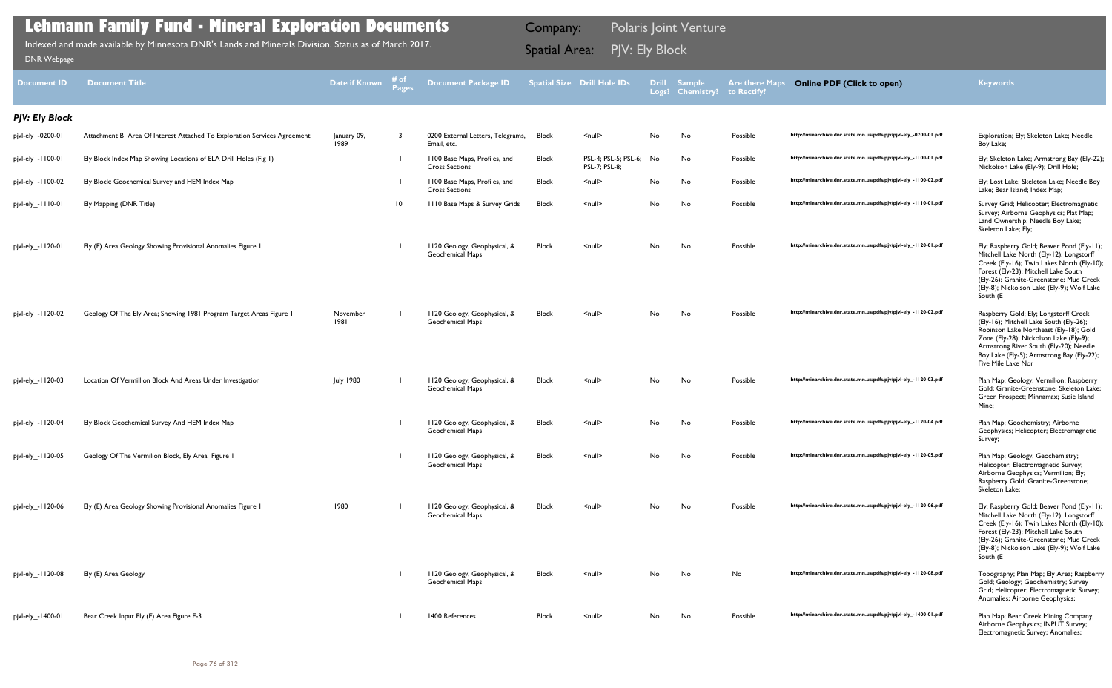| <b>Document ID</b>    | <b>Document Title</b>                                                    | <b>Date if Known</b> | # of<br><b>Pages</b> | <b>Document Package ID</b>                              |              | <b>Spatial Size Drill Hole IDs</b>    |    | Drill Sample<br>Logs? Chemistry? | <b>Are there Maps</b><br>to Rectify? | <b>Online PDF (Click to open)</b>                                | <b>Keywords</b>                                                                                                                                                                                                                                                                   |
|-----------------------|--------------------------------------------------------------------------|----------------------|----------------------|---------------------------------------------------------|--------------|---------------------------------------|----|----------------------------------|--------------------------------------|------------------------------------------------------------------|-----------------------------------------------------------------------------------------------------------------------------------------------------------------------------------------------------------------------------------------------------------------------------------|
| <b>PJV: Ely Block</b> |                                                                          |                      |                      |                                                         |              |                                       |    |                                  |                                      |                                                                  |                                                                                                                                                                                                                                                                                   |
| pjvl-ely_-0200-01     | Attachment B Area Of Interest Attached To Exploration Services Agreement | January 09,<br>1989  | 3                    | 0200 External Letters, Telegrams,<br>Email, etc.        | <b>Block</b> | $null$                                | No | No                               | Possible                             | http://minarchive.dnr.state.mn.us/pdfs/pjv/pjvl-ely_-0200-01.pdf | Exploration; Ely; Skeleton Lake; Needle<br>Boy Lake;                                                                                                                                                                                                                              |
| pjvl-ely_-1100-01     | Ely Block Index Map Showing Locations of ELA Drill Holes (Fig 1)         |                      |                      | 1100 Base Maps, Profiles, and<br><b>Cross Sections</b>  | <b>Block</b> | PSL-4; PSL-5; PSL-6;<br>PSL-7; PSL-8; | No | No                               | Possible                             | http://minarchive.dnr.state.mn.us/pdfs/pjv/pjvl-ely_-1100-01.pdf | Ely; Skeleton Lake; Armstrong Bay (Ely-22);<br>Nickolson Lake (Ely-9); Drill Hole;                                                                                                                                                                                                |
| pjvl-ely_-1100-02     | Ely Block: Geochemical Survey and HEM Index Map                          |                      |                      | 1100 Base Maps, Profiles, and<br><b>Cross Sections</b>  | <b>Block</b> | $null$                                | No | No                               | Possible                             | http://minarchive.dnr.state.mn.us/pdfs/pjv/pjvl-ely_-1100-02.pdf | Ely; Lost Lake; Skeleton Lake; Needle Boy<br>Lake; Bear Island; Index Map;                                                                                                                                                                                                        |
| pjvl-ely_-1110-01     | Ely Mapping (DNR Title)                                                  |                      | $\overline{10}$      | III0 Base Maps & Survey Grids                           | <b>Block</b> | $null$                                | No | No                               | Possible                             | http://minarchive.dnr.state.mn.us/pdfs/pjv/pjvl-ely_-1110-01.pdf | Survey Grid; Helicopter; Electromagnetic<br>Survey; Airborne Geophysics; Plat Map;<br>Land Ownership; Needle Boy Lake;<br>Skeleton Lake; Ely;                                                                                                                                     |
| pjvl-ely_-1120-01     | Ely (E) Area Geology Showing Provisional Anomalies Figure                |                      |                      | 1120 Geology, Geophysical, &<br><b>Geochemical Maps</b> | <b>Block</b> | $\leq$ null $\geq$                    | No | No                               | Possible                             | http://minarchive.dnr.state.mn.us/pdfs/pjv/pjvl-ely_-1120-01.pdf | Ely; Raspberry Gold; Beaver Pond (Ely-11);<br>Mitchell Lake North (Ely-12); Longstorff<br>Creek (Ely-16); Twin Lakes North (Ely-10);<br>Forest (Ely-23); Mitchell Lake South<br>(Ely-26); Granite-Greenstone; Mud Creek<br>(Ely-8); Nickolson Lake (Ely-9); Wolf Lake<br>South (E |
| pjvl-ely_-1120-02     | Geology Of The Ely Area; Showing 1981 Program Target Areas Figure 1      | November<br>1981     |                      | 1120 Geology, Geophysical, &<br>Geochemical Maps        | Block        | $\leq$ null $\geq$                    | No | No                               | Possible                             | http://minarchive.dnr.state.mn.us/pdfs/pjv/pjvl-ely_-1120-02.pdf | Raspberry Gold; Ely; Longstorff Creek<br>(Ely-16); Mitchell Lake South (Ely-26);<br>Robinson Lake Northeast (Ely-18); Gold<br>Zone (Ely-28); Nickolson Lake (Ely-9);<br>Armstrong River South (Ely-20); Needle<br>Boy Lake (Ely-5); Armstrong Bay (Ely-22);<br>Five Mile Lake Nor |
| pjvl-ely_-1120-03     | Location Of Vermillion Block And Areas Under Investigation               | <b>July 1980</b>     |                      | 1120 Geology, Geophysical, &<br><b>Geochemical Maps</b> | <b>Block</b> | $null$                                | No | No                               | Possible                             | http://minarchive.dnr.state.mn.us/pdfs/pjv/pjvl-ely_-1120-03.pdf | Plan Map; Geology; Vermilion; Raspberry<br>Gold; Granite-Greenstone; Skeleton Lake;<br>Green Prospect; Minnamax; Susie Island<br>Mine;                                                                                                                                            |
| pjvl-ely_-1120-04     | Ely Block Geochemical Survey And HEM Index Map                           |                      |                      | 1120 Geology, Geophysical, &<br><b>Geochemical Maps</b> | <b>Block</b> | $\leq$ null $\geq$                    | No | No                               | Possible                             | http://minarchive.dnr.state.mn.us/pdfs/pjv/pjvl-ely_-1120-04.pdf | Plan Map; Geochemistry; Airborne<br>Geophysics; Helicopter; Electromagnetic<br>Survey;                                                                                                                                                                                            |
| pjvl-ely_-1120-05     | Geology Of The Vermilion Block, Ely Area Figure                          |                      |                      | 1120 Geology, Geophysical, &<br><b>Geochemical Maps</b> | <b>Block</b> | $\leq$ null $\geq$                    | No | No                               | Possible                             | http://minarchive.dnr.state.mn.us/pdfs/pjv/pjvl-ely_-1120-05.pdf | Plan Map; Geology; Geochemistry;<br>Helicopter; Electromagnetic Survey;<br>Airborne Geophysics; Vermilion; Ely;<br>Raspberry Gold; Granite-Greenstone;<br>Skeleton Lake;                                                                                                          |
| pjvl-ely_-1120-06     | Ely (E) Area Geology Showing Provisional Anomalies Figure                | 1980                 |                      | 1120 Geology, Geophysical, &<br>Geochemical Maps        | <b>Block</b> | $null$                                | No | No                               | Possible                             | http://minarchive.dnr.state.mn.us/pdfs/pjv/pjvl-ely_-1120-06.pdf | Ely; Raspberry Gold; Beaver Pond (Ely-11);<br>Mitchell Lake North (Ely-12); Longstorff<br>Creek (Ely-16); Twin Lakes North (Ely-10);<br>Forest (Ely-23); Mitchell Lake South<br>(Ely-26); Granite-Greenstone; Mud Creek<br>(Ely-8); Nickolson Lake (Ely-9); Wolf Lake<br>South (E |
| pjvl-ely_-1120-08     | Ely (E) Area Geology                                                     |                      |                      | 1120 Geology, Geophysical, &<br>Geochemical Maps        | <b>Block</b> | $\leq$ null $\geq$                    | No | No                               | No                                   | http://minarchive.dnr.state.mn.us/pdfs/pjv/pjvl-ely_-1120-08.pdf | Topography; Plan Map; Ely Area; Raspberry<br>Gold; Geology; Geochemistry; Survey<br>Grid; Helicopter; Electromagnetic Survey;<br>Anomalies; Airborne Geophysics;                                                                                                                  |
| pjvl-ely_-1400-01     | Bear Creek Input Ely (E) Area Figure E-3                                 |                      |                      | 1400 References                                         | <b>Block</b> | $\leq$ null $\geq$                    | No | No                               | Possible                             | http://minarchive.dnr.state.mn.us/pdfs/pjv/pjvl-ely_-1400-01.pdf | Plan Map; Bear Creek Mining Company;<br>Airborne Geophysics; INPUT Survey;<br>Electromagnetic Survey; Anomalies;                                                                                                                                                                  |

Indexed and made available by Minnesota DNR's Lands and Minerals Division. Status as of March 2017. **Spatial Area:** PJV: Ely Block ו Spatial Area: PJV: Ely Block<br>איז האָ Spatial Area: PJV: Ely Block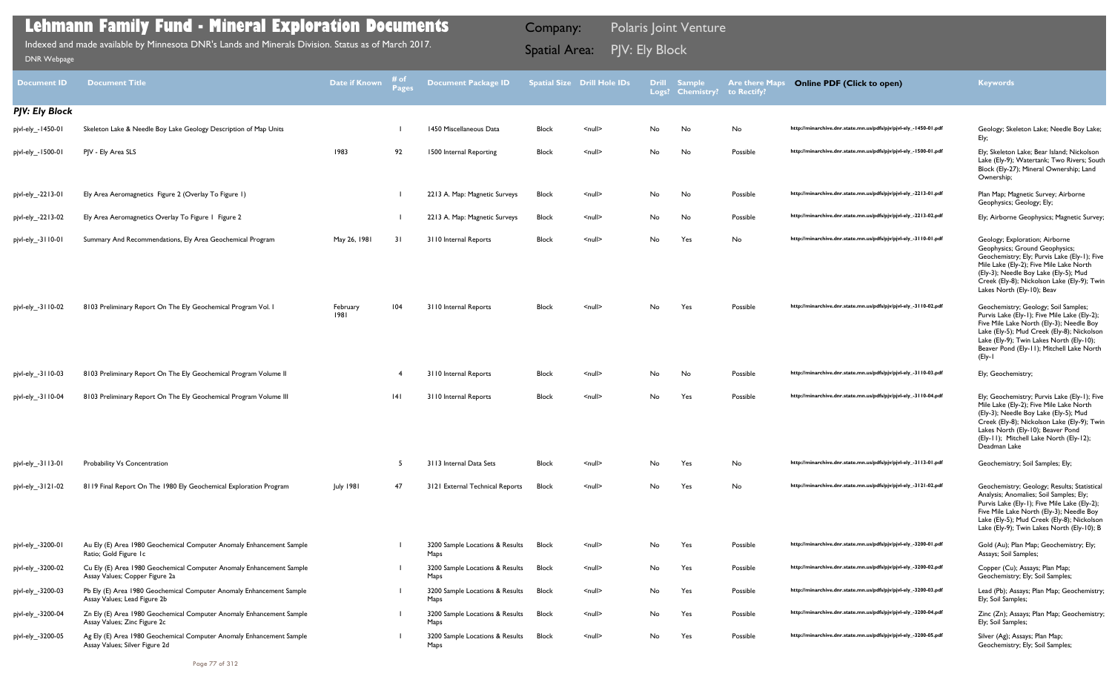| <b>Document ID</b>    | <b>Document Title</b>                                                                                  | <b>Date if Known</b> | # of<br>Pages | <b>Document Package ID</b>              |              | <b>Spatial Size Drill Hole IDs</b> |     | Drill Sample<br>Logs? Chemistry? | <b>Are there Maps</b><br>to Rectify? | <b>Online PDF (Click to open)</b>                                | <b>Keywords</b>                                                                                                                                                                                                                                                                   |
|-----------------------|--------------------------------------------------------------------------------------------------------|----------------------|---------------|-----------------------------------------|--------------|------------------------------------|-----|----------------------------------|--------------------------------------|------------------------------------------------------------------|-----------------------------------------------------------------------------------------------------------------------------------------------------------------------------------------------------------------------------------------------------------------------------------|
| <b>PJV: Ely Block</b> |                                                                                                        |                      |               |                                         |              |                                    |     |                                  |                                      |                                                                  |                                                                                                                                                                                                                                                                                   |
| pjvl-ely_-1450-01     | Skeleton Lake & Needle Boy Lake Geology Description of Map Units                                       |                      |               | 1450 Miscellaneous Data                 | <b>Block</b> | $\leq$ null $\geq$                 | No  | No                               | No                                   | http://minarchive.dnr.state.mn.us/pdfs/pjv/pjvl-ely_-1450-01.pdf | Geology; Skeleton Lake; Needle Boy Lake;<br>Ely;                                                                                                                                                                                                                                  |
| pjvl-ely_-1500-01     | PJV - Ely Area SLS                                                                                     | 1983                 | 92            | 1500 Internal Reporting                 | Block        | $\leq$ null $\geq$                 | No  | No                               | Possible                             | http://minarchive.dnr.state.mn.us/pdfs/pjv/pjvl-ely_-1500-01.pdf | Ely; Skeleton Lake; Bear Island; Nickolson<br>Lake (Ely-9); Watertank; Two Rivers; South<br>Block (Ely-27); Mineral Ownership; Land<br>Ownership;                                                                                                                                 |
| pjvl-ely_-2213-01     | Ely Area Aeromagnetics Figure 2 (Overlay To Figure 1)                                                  |                      |               | 2213 A. Map: Magnetic Surveys           | <b>Block</b> | $\leq$ null $\geq$                 | No  | No                               | Possible                             | http://minarchive.dnr.state.mn.us/pdfs/pjv/pjvl-ely_-2213-01.pdf | Plan Map; Magnetic Survey; Airborne<br>Geophysics; Geology; Ely;                                                                                                                                                                                                                  |
| pjvl-ely_-2213-02     | Ely Area Aeromagnetics Overlay To Figure 1 Figure 2                                                    |                      |               | 2213 A. Map: Magnetic Surveys           | Block        | $null$                             | No  | No                               | Possible                             | http://minarchive.dnr.state.mn.us/pdfs/pjv/pjvl-ely_-2213-02.pdf | Ely; Airborne Geophysics; Magnetic Survey;                                                                                                                                                                                                                                        |
| pjvl-ely_-3110-01     | Summary And Recommendations, Ely Area Geochemical Program                                              | May 26, 1981         | 31            | 3110 Internal Reports                   | <b>Block</b> | $\leq$ null $\geq$                 | No  | Yes                              | No                                   | http://minarchive.dnr.state.mn.us/pdfs/pjv/pjvl-ely_-3110-01.pdf | Geology; Exploration; Airborne<br>Geophysics; Ground Geophysics;<br>Geochemistry; Ely; Purvis Lake (Ely-1); Five<br>Mile Lake (Ely-2); Five Mile Lake North<br>(Ely-3); Needle Boy Lake (Ely-5); Mud<br>Creek (Ely-8); Nickolson Lake (Ely-9); Twin<br>Lakes North (Ely-10); Beav |
| pjvl-ely_-3110-02     | 8103 Preliminary Report On The Ely Geochemical Program Vol. I                                          | February<br>1981     | 104           | 3110 Internal Reports                   | <b>Block</b> | $\leq$ null $\geq$                 | No  | Yes                              | Possible                             | http://minarchive.dnr.state.mn.us/pdfs/pjv/pjvl-ely_-3110-02.pdf | Geochemistry; Geology; Soil Samples;<br>Purvis Lake (Ely-1); Five Mile Lake (Ely-2);<br>Five Mile Lake North (Ely-3); Needle Boy<br>Lake (Ely-5); Mud Creek (Ely-8); Nickolson<br>Lake (Ely-9); Twin Lakes North (Ely-10);<br>Beaver Pond (Ely-11); Mitchell Lake North<br>(Ely-1 |
| pjvl-ely_-3110-03     | 8103 Preliminary Report On The Ely Geochemical Program Volume II                                       |                      |               | 3110 Internal Reports                   | <b>Block</b> | $\leq$ null $\geq$                 | No  | No                               | Possible                             | http://minarchive.dnr.state.mn.us/pdfs/pjv/pjvl-ely_-3110-03.pdf | Ely; Geochemistry;                                                                                                                                                                                                                                                                |
| pjvl-ely_-3110-04     | 8103 Preliminary Report On The Ely Geochemical Program Volume III                                      |                      | 14 I          | 3110 Internal Reports                   | <b>Block</b> | $\leq$ null $\geq$                 | No  | Yes                              | Possible                             | http://minarchive.dnr.state.mn.us/pdfs/pjv/pjvl-ely_-3110-04.pdf | Ely; Geochemistry; Purvis Lake (Ely-1); Five<br>Mile Lake (Ely-2); Five Mile Lake North<br>(Ely-3); Needle Boy Lake (Ely-5); Mud<br>Creek (Ely-8); Nickolson Lake (Ely-9); Twin<br>Lakes North (Ely-10); Beaver Pond<br>(Ely-11); Mitchell Lake North (Ely-12);<br>Deadman Lake   |
| pjvl-ely_-3113-01     | Probability Vs Concentration                                                                           |                      |               | 3113 Internal Data Sets                 | <b>Block</b> | $\leq$ null $\geq$                 | No. | Yes                              | No                                   | http://minarchive.dnr.state.mn.us/pdfs/pjv/pjvl-ely_-3113-01.pdf | Geochemistry; Soil Samples; Ely;                                                                                                                                                                                                                                                  |
| pjvl-ely_-3121-02     | 8119 Final Report On The 1980 Ely Geochemical Exploration Program                                      | July 1981            | 47            | 3121 External Technical Reports         | <b>Block</b> | $null$                             | No  | Yes                              | No                                   | http://minarchive.dnr.state.mn.us/pdfs/pjv/pjvl-ely_-3121-02.pdf | Geochemistry; Geology; Results; Statistical<br>Analysis; Anomalies; Soil Samples; Ely;<br>Purvis Lake (Ely-1); Five Mile Lake (Ely-2);<br>Five Mile Lake North (Ely-3); Needle Boy<br>Lake (Ely-5); Mud Creek (Ely-8); Nickolson<br>Lake (Ely-9); Twin Lakes North (Ely-10); B    |
| pjvl-ely_-3200-01     | Au Ely (E) Area 1980 Geochemical Computer Anomaly Enhancement Sample<br>Ratio; Gold Figure Ic          |                      |               | 3200 Sample Locations & Results<br>Maps | Block        | $null$                             | No  | Yes                              | Possible                             | http://minarchive.dnr.state.mn.us/pdfs/pjv/pjvl-ely_-3200-01.pdf | Gold (Au); Plan Map; Geochemistry; Ely;<br>Assays; Soil Samples;                                                                                                                                                                                                                  |
| pjvl-ely_-3200-02     | Cu Ely (E) Area 1980 Geochemical Computer Anomaly Enhancement Sample<br>Assay Values; Copper Figure 2a |                      |               | 3200 Sample Locations & Results<br>Maps | <b>Block</b> | $null$                             | No  | Yes                              | Possible                             | http://minarchive.dnr.state.mn.us/pdfs/pjv/pjvl-ely_-3200-02.pdf | Copper (Cu); Assays; Plan Map;<br>Geochemistry; Ely; Soil Samples;                                                                                                                                                                                                                |
| pjvl-ely_-3200-03     | Pb Ely (E) Area 1980 Geochemical Computer Anomaly Enhancement Sample<br>Assay Values; Lead Figure 2b   |                      |               | 3200 Sample Locations & Results<br>Maps | Block        | $null$                             | No  | Yes                              | Possible                             | http://minarchive.dnr.state.mn.us/pdfs/pjv/pjvl-ely_-3200-03.pdf | Lead (Pb); Assays; Plan Map; Geochemistry;<br>Ely; Soil Samples;                                                                                                                                                                                                                  |
| pjvl-ely_-3200-04     | Zn Ely (E) Area 1980 Geochemical Computer Anomaly Enhancement Sample<br>Assay Values; Zinc Figure 2c   |                      |               | 3200 Sample Locations & Results<br>Maps | Block        | $null$                             | No  | Yes                              | Possible                             | http://minarchive.dnr.state.mn.us/pdfs/pjv/pjvl-ely_-3200-04.pdf | Zinc (Zn); Assays; Plan Map; Geochemistry;<br>Ely; Soil Samples;                                                                                                                                                                                                                  |
| pjvl-ely_-3200-05     | Ag Ely (E) Area 1980 Geochemical Computer Anomaly Enhancement Sample<br>Assay Values; Silver Figure 2d |                      |               | 3200 Sample Locations & Results<br>Maps | Block        | $null$                             | No  | Yes                              | Possible                             | http://minarchive.dnr.state.mn.us/pdfs/pjv/pjvl-ely_-3200-05.pdf | Silver (Ag); Assays; Plan Map;<br>Geochemistry; Ely; Soil Samples;                                                                                                                                                                                                                |
|                       | Page 77 of 312                                                                                         |                      |               |                                         |              |                                    |     |                                  |                                      |                                                                  |                                                                                                                                                                                                                                                                                   |

Indexed and made available by Minnesota DNR's Lands and Minerals Division. Status as of March 2017. **Spatial Area:** PJV: Ely Block ו Spatial Area: PJV: Ely Block<br>איז האָ Spatial Area: PJV: Ely Block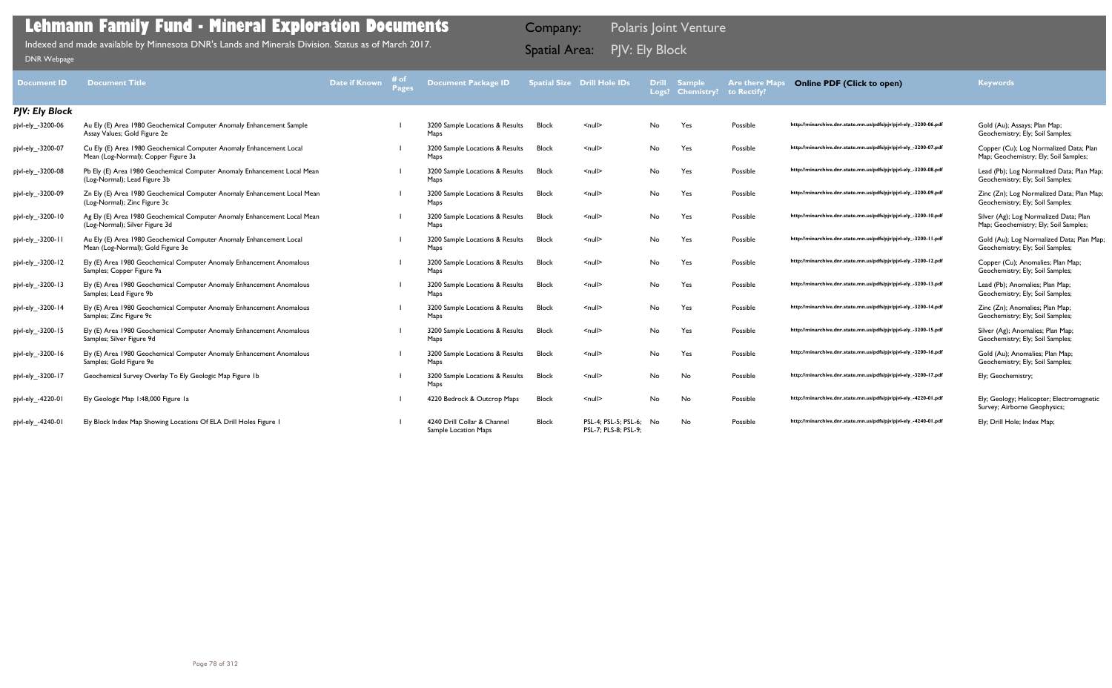| <b>Document ID</b> | <b>Document Title</b>                                                                                      | Date if Known | Pages | <b>Document Package ID</b>                          |              | <b>Spatial Size Drill Hole IDs</b>           |     | <b>Drill Sample</b><br>Logs? Chemistry? | <b>Are there Maps</b><br>to Rectify? | <b>Online PDF (Click to open)</b>                                | <b>Keywords</b>                                                                 |
|--------------------|------------------------------------------------------------------------------------------------------------|---------------|-------|-----------------------------------------------------|--------------|----------------------------------------------|-----|-----------------------------------------|--------------------------------------|------------------------------------------------------------------|---------------------------------------------------------------------------------|
| PJV: Ely Block     |                                                                                                            |               |       |                                                     |              |                                              |     |                                         |                                      |                                                                  |                                                                                 |
| pjvl-ely -3200-06  | Au Ely (E) Area 1980 Geochemical Computer Anomaly Enhancement Sample<br>Assay Values; Gold Figure 2e       |               |       | 3200 Sample Locations & Results<br>Maps             | <b>Block</b> | $\leq$ null $\geq$                           | No  | Yes                                     | Possible                             | http://minarchive.dnr.state.mn.us/pdfs/pjv/pjvl-ely_-3200-06.pdf | Gold (Au); Assays; Plan Map;<br>Geochemistry; Ely; Soil Samples;                |
| pjvl-ely_-3200-07  | Cu Ely (E) Area 1980 Geochemical Computer Anomaly Enhancement Local<br>Mean (Log-Normal); Copper Figure 3a |               |       | 3200 Sample Locations & Results<br>Maps             | <b>Block</b> | $\leq$ null $\geq$                           | No  | Yes                                     | Possible                             | http://minarchive.dnr.state.mn.us/pdfs/pjv/pjvl-ely_-3200-07.pdf | Copper (Cu); Log Normalized Data; Plan<br>Map; Geochemistry; Ely; Soil Samples; |
| pjvl-ely_-3200-08  | Pb Ely (E) Area 1980 Geochemical Computer Anomaly Enhancement Local Mean<br>(Log-Normal); Lead Figure 3b   |               |       | 3200 Sample Locations & Results<br>Maps             | Block        | $\leq$ null $\geq$                           | No. | Yes                                     | Possible                             | http://minarchive.dnr.state.mn.us/pdfs/pjv/pjvl-ely_-3200-08.pdf | Lead (Pb); Log Normalized Data; Plan Map;<br>Geochemistry; Ely; Soil Samples;   |
| pjvl-ely_-3200-09  | Zn Ely (E) Area 1980 Geochemical Computer Anomaly Enhancement Local Mean<br>(Log-Normal); Zinc Figure 3c   |               |       | 3200 Sample Locations & Results<br>Maps             | <b>Block</b> | $\leq$ null $\geq$                           | No  | Yes                                     | Possible                             | http://minarchive.dnr.state.mn.us/pdfs/pjv/pjvl-ely_-3200-09.pdf | Zinc (Zn); Log Normalized Data; Plan Map;<br>Geochemistry; Ely; Soil Samples;   |
| pjvl-ely_-3200-10  | Ag Ely (E) Area 1980 Geochemical Computer Anomaly Enhancement Local Mean<br>(Log-Normal); Silver Figure 3d |               |       | 3200 Sample Locations & Results<br>Maps             | Block        | $\leq$ null $\geq$                           | No  | Yes                                     | Possible                             | http://minarchive.dnr.state.mn.us/pdfs/pjv/pjvl-ely_-3200-10.pdf | Silver (Ag); Log Normalized Data; Plan<br>Map; Geochemistry; Ely; Soil Samples; |
| pjvl-ely_-3200-11  | Au Ely (E) Area 1980 Geochemical Computer Anomaly Enhancement Local<br>Mean (Log-Normal); Gold Figure 3e   |               |       | 3200 Sample Locations & Results<br>Maps             | Block        | $\leq$ null $\geq$                           | No. | Yes                                     | Possible                             | http://minarchive.dnr.state.mn.us/pdfs/pjv/pjvl-ely_-3200-11.pdf | Gold (Au); Log Normalized Data; Plan Map;<br>Geochemistry; Ely; Soil Samples;   |
| pjvl-ely_-3200-12  | Ely (E) Area 1980 Geochemical Computer Anomaly Enhancement Anomalous<br>Samples; Copper Figure 9a          |               |       | 3200 Sample Locations & Results<br>Maps             | <b>Block</b> | $\leq$ null $\geq$                           | No  | Yes                                     | Possible                             | http://minarchive.dnr.state.mn.us/pdfs/pjv/pjvl-ely_-3200-12.pdf | Copper (Cu); Anomalies; Plan Map;<br>Geochemistry; Ely; Soil Samples;           |
| pjvl-ely -3200-13  | Ely (E) Area 1980 Geochemical Computer Anomaly Enhancement Anomalous<br>Samples; Lead Figure 9b            |               |       | 3200 Sample Locations & Results<br>Maps             | <b>Block</b> | $\leq$ null $\geq$                           | No. | Yes                                     | Possible                             | http://minarchive.dnr.state.mn.us/pdfs/pjv/pjvl-ely_-3200-13.pdf | Lead (Pb); Anomalies; Plan Map;<br>Geochemistry; Ely; Soil Samples;             |
| pjvl-ely_-3200-14  | Ely (E) Area 1980 Geochemical Computer Anomaly Enhancement Anomalous<br>Samples; Zinc Figure 9c            |               |       | 3200 Sample Locations & Results<br>Maps             | Block        | $\leq$ null $\geq$                           | No  | Yes                                     | Possible                             | http://minarchive.dnr.state.mn.us/pdfs/pjv/pjvl-ely_-3200-14.pdf | Zinc (Zn); Anomalies; Plan Map;<br>Geochemistry; Ely; Soil Samples;             |
| pjvl-ely_-3200-15  | Ely (E) Area 1980 Geochemical Computer Anomaly Enhancement Anomalous<br>Samples; Silver Figure 9d          |               |       | 3200 Sample Locations & Results<br>Maps             | <b>Block</b> | $\leq$ null $\geq$                           | No  | Yes                                     | Possible                             | http://minarchive.dnr.state.mn.us/pdfs/pjv/pjvl-ely_-3200-15.pdf | Silver (Ag); Anomalies; Plan Map;<br>Geochemistry; Ely; Soil Samples;           |
| pjvl-ely_-3200-16  | Ely (E) Area 1980 Geochemical Computer Anomaly Enhancement Anomalous<br>Samples; Gold Figure 9e            |               |       | 3200 Sample Locations & Results<br>Maps             | <b>Block</b> | $\leq$ null $\geq$                           | No. | Yes                                     | Possible                             | http://minarchive.dnr.state.mn.us/pdfs/pjv/pjvl-ely_-3200-16.pdf | Gold (Au); Anomalies; Plan Map;<br>Geochemistry; Ely; Soil Samples;             |
| pjvl-ely_-3200-17  | Geochemical Survey Overlay To Ely Geologic Map Figure 1b                                                   |               |       | 3200 Sample Locations & Results<br>Maps             | Block        | $\leq$ null $\geq$                           | No  | No                                      | Possible                             | http://minarchive.dnr.state.mn.us/pdfs/pjv/pjvl-ely_-3200-17.pdf | Ely; Geochemistry;                                                              |
| pjvl-ely_-4220-01  | Ely Geologic Map 1:48,000 Figure la                                                                        |               |       | 4220 Bedrock & Outcrop Maps                         | <b>Block</b> | $\leq$ null $\geq$                           | No  | No                                      | Possible                             | http://minarchive.dnr.state.mn.us/pdfs/pjv/pjvl-ely_-4220-01.pdf | Ely; Geology; Helicopter; Electromagnetic<br>Survey; Airborne Geophysics;       |
| pjvl-ely_-4240-01  | Ely Block Index Map Showing Locations Of ELA Drill Holes Figure I                                          |               |       | 4240 Drill Collar & Channel<br>Sample Location Maps | <b>Block</b> | PSL-4; PSL-5; PSL-6;<br>PSL-7; PLS-8; PSL-9; | No  | No                                      | Possible                             | http://minarchive.dnr.state.mn.us/pdfs/pjv/pjvl-ely_-4240-01.pdf | Ely; Drill Hole; Index Map;                                                     |

## **Lehmann Family Fund - Mineral Exploration Documents**

Indexed and made available by Minnesota DNR's Lands and Minerals Division. Status as of March 2017. **Spatial Area:** PJV: Ely Block ו Spatial Area: PJV: Ely Block<br>איז האָ Spatial Area: PJV: Ely Block

Company: Polaris Joint Venture

## **Online PDF (Click to open) Keywords**

| http://minarchive.dnr.state.mn.us/pdfs/pjv/pjvl-ely_-3200-06.pdf |
|------------------------------------------------------------------|
| http://minarchive.dnr.state.mn.us/pdfs/pjv/pjvl-ely_-3200-07.pdf |
| http://minarchive.dnr.state.mn.us/pdfs/pjv/pjvl-ely_-3200-08.pdf |
| http://minarchive.dnr.state.mn.us/pdfs/pjv/pjvl-ely_-3200-09.pdf |
| http://minarchive.dnr.state.mn.us/pdfs/pjv/pjvl-ely_-3200-10.pdf |
| http://minarchive.dnr.state.mn.us/pdfs/pjv/pjvl-ely_-3200-11.pdf |
| http://minarchive.dnr.state.mn.us/pdfs/pjv/pjvl-ely_-3200-12.pdf |
| http://minarchive.dnr.state.mn.us/pdfs/pjv/pjvl-ely_-3200-13.pdf |
| http://minarchive.dnr.state.mn.us/pdfs/pjv/pjvl-ely_-3200-14.pdf |
| http://minarchive.dnr.state.mn.us/pdfs/pjv/pjvl-ely_-3200-15.pdf |
| http://minarchive.dnr.state.mn.us/pdfs/pjv/pjvl-ely_-3200-16.pdf |
| http://minarchive.dnr.state.mn.us/pdfs/pjv/pjvl-ely_-3200-17.pdf |
| http://minarchive.dnr.state.mn.us/pdfs/pjv/pjvl-ely_-4220-01.pdf |
| http://minarchive.dnr.state.mn.us/pdfs/pjv/pjvl-ely_-4240-01.pdf |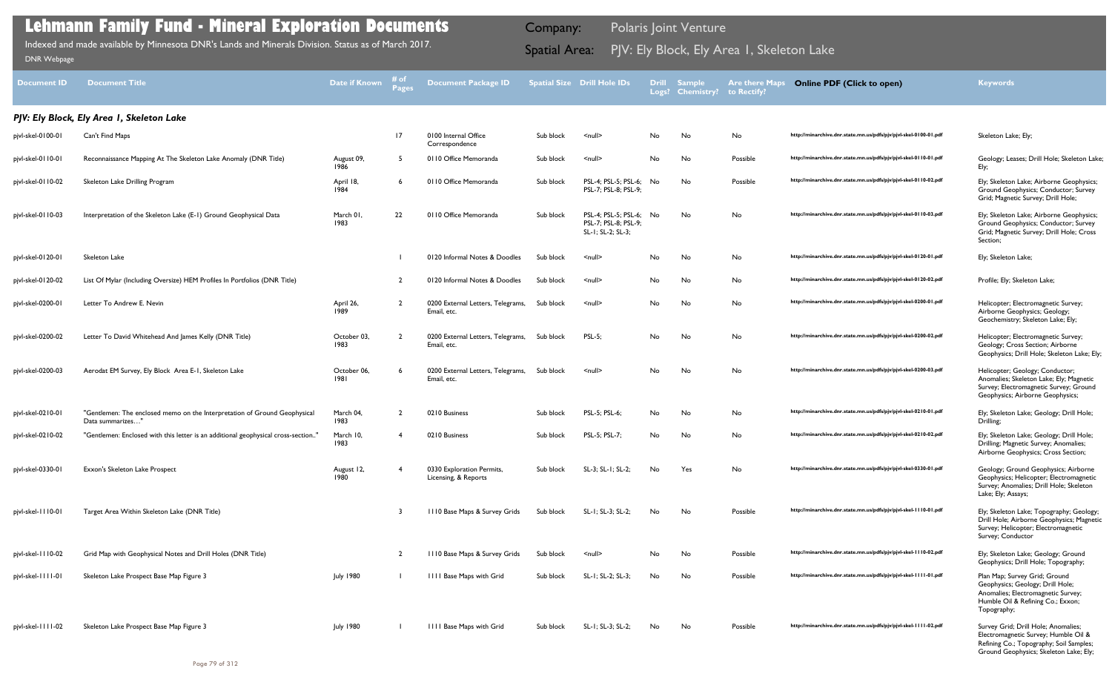| <b>Document ID</b> | <b>Document Title</b>                                                                         | Date if Known       | i# of<br>Pages | <b>Document Package ID</b>                        |           | <b>Spatial Size Drill Hole IDs</b>                                   |     | Drill Sample<br>Logs? Chemistry? | <b>Are there Maps</b><br>to Rectify? | <b>Online PDF (Click to open)</b>                                | <b>Keywords</b>                                                                                                                                             |
|--------------------|-----------------------------------------------------------------------------------------------|---------------------|----------------|---------------------------------------------------|-----------|----------------------------------------------------------------------|-----|----------------------------------|--------------------------------------|------------------------------------------------------------------|-------------------------------------------------------------------------------------------------------------------------------------------------------------|
|                    | PJV: Ely Block, Ely Area I, Skeleton Lake                                                     |                     |                |                                                   |           |                                                                      |     |                                  |                                      |                                                                  |                                                                                                                                                             |
| pjvl-skel-0100-01  | Can't Find Maps                                                                               |                     | 17             | 0100 Internal Office<br>Correspondence            | Sub block | $\leq$ null $\geq$                                                   | No. | No                               | No                                   | http://minarchive.dnr.state.mn.us/pdfs/pjv/pjvl-skel-0100-01.pdf | Skeleton Lake; Ely;                                                                                                                                         |
| pjvl-skel-0110-01  | Reconnaissance Mapping At The Skeleton Lake Anomaly (DNR Title)                               | August 09,<br>1986  | -5             | 0110 Office Memoranda                             | Sub block | $null$                                                               | No  | No                               | Possible                             | http://minarchive.dnr.state.mn.us/pdfs/pjv/pjvl-skel-0110-01.pdf | Geology; Leases; Drill Hole; Skeleton Lake;<br>Ely;                                                                                                         |
| pjvl-skel-0110-02  | Skeleton Lake Drilling Program                                                                | April 18,<br>1984   |                | 0110 Office Memoranda                             | Sub block | PSL-4; PSL-5; PSL-6;<br>PSL-7; PSL-8; PSL-9;                         | No. | No                               | Possible                             | http://minarchive.dnr.state.mn.us/pdfs/pjv/pjvl-skel-0110-02.pdf | Ely; Skeleton Lake; Airborne Geophysics;<br>Ground Geophysics; Conductor; Survey<br>Grid; Magnetic Survey; Drill Hole;                                      |
| pjvl-skel-0110-03  | Interpretation of the Skeleton Lake (E-1) Ground Geophysical Data                             | March 01.<br>1983   | 22             | 0110 Office Memoranda                             | Sub block | PSL-4; PSL-5; PSL-6; No<br>PSL-7; PSL-8; PSL-9;<br>SL-1; SL-2; SL-3; |     | No                               | No                                   | http://minarchive.dnr.state.mn.us/pdfs/pjv/pjvl-skel-0110-03.pdf | Ely; Skeleton Lake; Airborne Geophysics;<br>Ground Geophysics; Conductor; Survey<br>Grid; Magnetic Survey; Drill Hole; Cross<br>Section;                    |
| pjvl-skel-0120-01  | Skeleton Lake                                                                                 |                     |                | 0120 Informal Notes & Doodles                     | Sub block | $null$                                                               | No. | No                               | No                                   | http://minarchive.dnr.state.mn.us/pdfs/pjv/pjvl-skel-0120-01.pdf | Ely; Skeleton Lake;                                                                                                                                         |
| pjvl-skel-0120-02  | List Of Mylar (Including Oversize) HEM Profiles In Portfolios (DNR Title)                     |                     | -2             | 0120 Informal Notes & Doodles                     | Sub block | $null$                                                               | No. | No                               | No                                   | http://minarchive.dnr.state.mn.us/pdfs/pjv/pjvl-skel-0120-02.pdf | Profile; Ely; Skeleton Lake;                                                                                                                                |
| pjvl-skel-0200-01  | Letter To Andrew E. Nevin                                                                     | April 26,<br>1989   | $\overline{2}$ | 0200 External Letters, Telegrams,<br>Email, etc.  | Sub block | <null></null>                                                        | No. | No                               | No                                   | http://minarchive.dnr.state.mn.us/pdfs/pjv/pjvl-skel-0200-01.pdf | Helicopter; Electromagnetic Survey;<br>Airborne Geophysics; Geology;<br>Geochemistry; Skeleton Lake; Ely;                                                   |
| pjvl-skel-0200-02  | Letter To David Whitehead And James Kelly (DNR Title)                                         | October 03,<br>1983 | -2             | 0200 External Letters, Telegrams,<br>Email, etc.  | Sub block | <b>PSL-5;</b>                                                        | No. | No                               | No                                   | http://minarchive.dnr.state.mn.us/pdfs/pjv/pjvl-skel-0200-02.pdf | Helicopter; Electromagnetic Survey;<br>Geology; Cross Section; Airborne<br>Geophysics; Drill Hole; Skeleton Lake; Ely;                                      |
| pjvl-skel-0200-03  | Aerodat EM Survey, Ely Block Area E-1, Skeleton Lake                                          | October 06,<br>1981 |                | 0200 External Letters, Telegrams,<br>Email, etc.  | Sub block | $null$                                                               | No. | No                               | No                                   | http://minarchive.dnr.state.mn.us/pdfs/pjv/pjvl-skel-0200-03.pdf | Helicopter; Geology; Conductor;<br>Anomalies; Skeleton Lake; Ely; Magnetic<br>Survey; Electromagnetic Survey; Ground<br>Geophysics; Airborne Geophysics;    |
| pjvl-skel-0210-01  | "Gentlemen: The enclosed memo on the Interpretation of Ground Geophysical<br>Data summarizes' | March 04,<br>1983   | - 2            | 0210 Business                                     | Sub block | PSL-5; PSL-6;                                                        | No  | No                               | No                                   | http://minarchive.dnr.state.mn.us/pdfs/pjv/pjvl-skel-0210-01.pdf | Ely; Skeleton Lake; Geology; Drill Hole;<br>Drilling;                                                                                                       |
| pjvl-skel-0210-02  | "Gentlemen: Enclosed with this letter is an additional geophysical cross-section'             | March 10,<br>1983   |                | 0210 Business                                     | Sub block | PSL-5; PSL-7;                                                        | No. | No                               | No                                   | http://minarchive.dnr.state.mn.us/pdfs/pjv/pjvl-skel-0210-02.pdf | Ely; Skeleton Lake; Geology; Drill Hole;<br>Drilling; Magnetic Survey; Anomalies;<br>Airborne Geophysics; Cross Section;                                    |
| pjvl-skel-0330-01  | Exxon's Skeleton Lake Prospect                                                                | August 12,<br>1980  |                | 0330 Exploration Permits,<br>Licensing, & Reports | Sub block | SL-3; SL-1; SL-2;                                                    | No. | Yes                              | No                                   | http://minarchive.dnr.state.mn.us/pdfs/pjv/pjvl-skel-0330-01.pdf | Geology; Ground Geophysics; Airborne<br>Geophysics; Helicopter; Electromagnetic<br>Survey; Anomalies; Drill Hole; Skeleton<br>Lake; Ely; Assays;            |
| pjvl-skel-1110-01  | Target Area Within Skeleton Lake (DNR Title)                                                  |                     | -3             | III0 Base Maps & Survey Grids                     | Sub block | SL-1; SL-3; SL-2;                                                    | No. | No                               | Possible                             | http://minarchive.dnr.state.mn.us/pdfs/pjv/pjvl-skel-1110-01.pdf | Ely; Skeleton Lake; Topography; Geology;<br>Drill Hole; Airborne Geophysics; Magnetic<br>Survey; Helicopter; Electromagnetic<br>Survey; Conductor           |
| pjvl-skel-1110-02  | Grid Map with Geophysical Notes and Drill Holes (DNR Title)                                   |                     | -2             | III0 Base Maps & Survey Grids                     | Sub block | $null$                                                               | No  | No                               | Possible                             | http://minarchive.dnr.state.mn.us/pdfs/pjv/pjvl-skel-1110-02.pdf | Ely; Skeleton Lake; Geology; Ground<br>Geophysics; Drill Hole; Topography;                                                                                  |
| pjvl-skel-1111-01  | Skeleton Lake Prospect Base Map Figure 3                                                      | <b>July 1980</b>    |                | <b>IIII Base Maps with Grid</b>                   | Sub block | SL-1; SL-2; SL-3;                                                    | No. | No                               | Possible                             | http://minarchive.dnr.state.mn.us/pdfs/pjv/pjvl-skel-1111-01.pdf | Plan Map; Survey Grid; Ground<br>Geophysics; Geology; Drill Hole;<br>Anomalies; Electromagnetic Survey;<br>Humble Oil & Refining Co.; Exxon;<br>Topography; |
| pjvl-skel-1111-02  | Skeleton Lake Prospect Base Map Figure 3                                                      | July 1980           |                | <b>IIII Base Maps with Grid</b>                   | Sub block | SL-1; SL-3; SL-2;                                                    | No. | No                               | Possible                             | http://minarchive.dnr.state.mn.us/pdfs/pjv/pjvl-skel-1111-02.pdf | Survey Grid; Drill Hole; Anomalies;<br>Electromagnetic Survey; Humble Oil &<br>Refining Co.; Topography; Soil Samples;                                      |

Ground Geophysics; Skeleton Lake; Ely;

## **Lehmann Family Fund - Mineral Exploration Documents**

Indexed and made available by Minnesota DNR's Lands and Minerals Division. Status as of March 2017. **Spatial Area:** PJV: Ely Block, Ely Area 1, Skeleton Lake ו[DNR Webpage](http://www.dnr.state.mn.us/lands_minerals/polaris/index.html)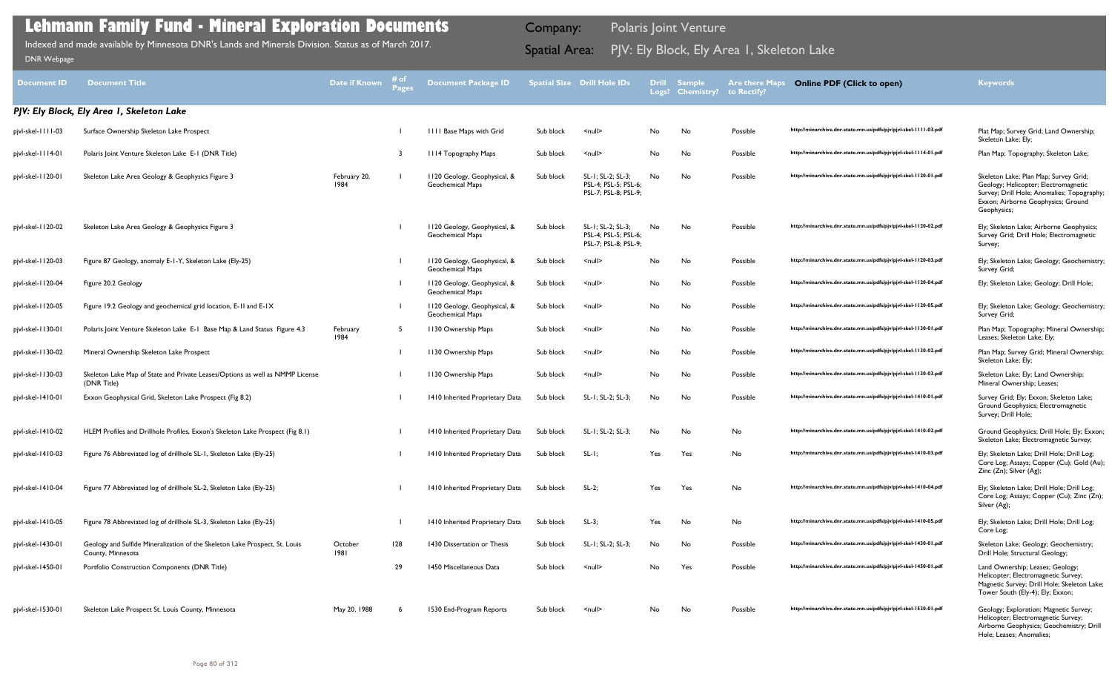| Document ID       | <b>Document Title</b>                                                                            | <b>Date if Known</b> | # of<br><b>Pages</b> | <b>Document Package ID</b>                              |           | <b>Spatial Size Drill Hole IDs</b>                                | <b>Drill</b><br>Logs? | <b>Sample</b><br><b>Chemistry?</b> | <b>Are there Maps</b><br>to Rectify? | <b>Online PDF (Click to open)</b>                                | <b>Keywords</b>                                                                                                                                                                  |
|-------------------|--------------------------------------------------------------------------------------------------|----------------------|----------------------|---------------------------------------------------------|-----------|-------------------------------------------------------------------|-----------------------|------------------------------------|--------------------------------------|------------------------------------------------------------------|----------------------------------------------------------------------------------------------------------------------------------------------------------------------------------|
|                   | PJV: Ely Block, Ely Area I, Skeleton Lake                                                        |                      |                      |                                                         |           |                                                                   |                       |                                    |                                      |                                                                  |                                                                                                                                                                                  |
| pjvl-skel-1111-03 | Surface Ownership Skeleton Lake Prospect                                                         |                      |                      | <b>IIII Base Maps with Grid</b>                         | Sub block | $\leq$ null $\geq$                                                | No                    | No                                 | Possible                             | http://minarchive.dnr.state.mn.us/pdfs/pjv/pjvl-skel-1111-03.pdf | Plat Map; Survey Grid; Land Ownership;<br>Skeleton Lake; Ely;                                                                                                                    |
| pjvl-skel-1114-01 | Polaris Joint Venture Skeleton Lake E-1 (DNR Title)                                              |                      | -3                   | III4 Topography Maps                                    | Sub block | $null$                                                            | No                    | No                                 | Possible                             | http://minarchive.dnr.state.mn.us/pdfs/pjv/pjvl-skel-1114-01.pdf | Plan Map; Topography; Skeleton Lake;                                                                                                                                             |
| pjvl-skel-1120-01 | Skeleton Lake Area Geology & Geophysics Figure 3                                                 | February 20,<br>1984 |                      | 1120 Geology, Geophysical, &<br><b>Geochemical Maps</b> | Sub block | SL-1; SL-2; SL-3;<br>PSL-4; PSL-5; PSL-6;<br>PSL-7; PSL-8; PSL-9; | No                    | No                                 | Possible                             | http://minarchive.dnr.state.mn.us/pdfs/pjv/pjvl-skel-1120-01.pdf | Skeleton Lake; Plan Map; Survey Grid;<br>Geology; Helicopter; Electromagnetic<br>Survey; Drill Hole; Anomalies; Topography;<br>Exxon; Airborne Geophysics; Ground<br>Geophysics; |
| pjvl-skel-1120-02 | Skeleton Lake Area Geology & Geophysics Figure 3                                                 |                      |                      | 1120 Geology, Geophysical, &<br><b>Geochemical Maps</b> | Sub block | SL-1; SL-2; SL-3;<br>PSL-4; PSL-5; PSL-6;<br>PSL-7; PSL-8; PSL-9; | No                    | No.                                | Possible                             | http://minarchive.dnr.state.mn.us/pdfs/pjv/pjvl-skel-1120-02.pdf | Ely; Skeleton Lake; Airborne Geophysics;<br>Survey Grid; Drill Hole; Electromagnetic<br>Survey;                                                                                  |
| pjvl-skel-1120-03 | Figure 87 Geology, anomaly E-1-Y, Skeleton Lake (Ely-25)                                         |                      |                      | 1120 Geology, Geophysical, &<br><b>Geochemical Maps</b> | Sub block | $\leq$ null $\geq$                                                | No                    | No                                 | Possible                             | http://minarchive.dnr.state.mn.us/pdfs/pjv/pjvl-skel-1120-03.pdf | Ely; Skeleton Lake; Geology; Geochemistry;<br>Survey Grid;                                                                                                                       |
| pjvl-skel-1120-04 | Figure 20.2 Geology                                                                              |                      |                      | 1120 Geology, Geophysical, &<br><b>Geochemical Maps</b> | Sub block | $\leq$ null $\geq$                                                | No                    | No                                 | Possible                             | http://minarchive.dnr.state.mn.us/pdfs/pjv/pjvl-skel-1120-04.pdf | Ely; Skeleton Lake; Geology; Drill Hole;                                                                                                                                         |
| pjvl-skel-1120-05 | Figure 19.2 Geology and geochemical grid location, E-11 and E-1X                                 |                      |                      | 1120 Geology, Geophysical, &<br><b>Geochemical Maps</b> | Sub block | $null$                                                            | No                    | No                                 | Possible                             | http://minarchive.dnr.state.mn.us/pdfs/pjv/pjvl-skel-1120-05.pdf | Ely; Skeleton Lake; Geology; Geochemistry;<br>Survey Grid;                                                                                                                       |
| pjvl-skel-1130-01 | Polaris Joint Venture Skeleton Lake E-1 Base Map & Land Status Figure 4.3                        | February<br>1984     | -5                   | 1130 Ownership Maps                                     | Sub block | $null$                                                            | No                    | No                                 | Possible                             | http://minarchive.dnr.state.mn.us/pdfs/pjv/pjvl-skel-1130-01.pdf | Plan Map; Topography; Mineral Ownership;<br>Leases; Skeleton Lake; Ely;                                                                                                          |
| pjvl-skel-1130-02 | Mineral Ownership Skeleton Lake Prospect                                                         |                      |                      | 1130 Ownership Maps                                     | Sub block | $\leq$ null $\geq$                                                | No                    | No                                 | Possible                             | http://minarchive.dnr.state.mn.us/pdfs/pjv/pjvl-skel-1130-02.pdf | Plan Map; Survey Grid; Mineral Ownership;<br>Skeleton Lake; Ely;                                                                                                                 |
| pjvl-skel-1130-03 | Skeleton Lake Map of State and Private Leases/Options as well as NMMP License<br>(DNR Title)     |                      |                      | 1130 Ownership Maps                                     | Sub block | $\leq$ null $\geq$                                                | No                    | No                                 | Possible                             | http://minarchive.dnr.state.mn.us/pdfs/pjv/pjvl-skel-1130-03.pdf | Skeleton Lake; Ely; Land Ownership;<br>Mineral Ownership; Leases;                                                                                                                |
| pjvl-skel-1410-01 | Exxon Geophysical Grid, Skeleton Lake Prospect (Fig 8.2)                                         |                      |                      | 1410 Inherited Proprietary Data                         | Sub block | SL-1; SL-2; SL-3;                                                 | No                    | No                                 | Possible                             | http://minarchive.dnr.state.mn.us/pdfs/pjv/pjvl-skel-1410-01.pdf | Survey Grid; Ely; Exxon; Skeleton Lake;<br>Ground Geophysics; Electromagnetic<br>Survey; Drill Hole;                                                                             |
| pjvl-skel-1410-02 | HLEM Profiles and Drillhole Profiles, Exxon's Skeleton Lake Prospect (Fig 8.1)                   |                      |                      | 1410 Inherited Proprietary Data                         | Sub block | SL-1; SL-2; SL-3;                                                 | No                    | No                                 | No                                   | http://minarchive.dnr.state.mn.us/pdfs/pjv/pjvl-skel-1410-02.pdf | Ground Geophysics; Drill Hole; Ely; Exxon;<br>Skeleton Lake; Electromagnetic Survey;                                                                                             |
| pjvl-skel-1410-03 | Figure 76 Abbreviated log of drillhole SL-1, Skeleton Lake (Ely-25)                              |                      |                      | 1410 Inherited Proprietary Data                         | Sub block | $SL-I$ ;                                                          | Yes                   | Yes                                | No                                   | http://minarchive.dnr.state.mn.us/pdfs/pjv/pjvl-skel-1410-03.pdf | Ely; Skeleton Lake; Drill Hole; Drill Log;<br>Core Log; Assays; Copper (Cu); Gold (Au);<br>Zinc (Zn); Silver (Ag);                                                               |
| pjvl-skel-1410-04 | Figure 77 Abbreviated log of drillhole SL-2, Skeleton Lake (Ely-25)                              |                      |                      | 1410 Inherited Proprietary Data                         | Sub block | $SL-2;$                                                           | Yes                   | Yes                                | No                                   | http://minarchive.dnr.state.mn.us/pdfs/pjv/pjvl-skel-1410-04.pdf | Ely; Skeleton Lake; Drill Hole; Drill Log;<br>Core Log; Assays; Copper (Cu); Zinc (Zn);<br>Silver (Ag);                                                                          |
| pjvl-skel-1410-05 | Figure 78 Abbreviated log of drillhole SL-3, Skeleton Lake (Ely-25)                              |                      |                      | 1410 Inherited Proprietary Data                         | Sub block | $SL-3$ ;                                                          | Yes                   | No                                 | No                                   | http://minarchive.dnr.state.mn.us/pdfs/pjv/pjvl-skel-1410-05.pdf | Ely; Skeleton Lake; Drill Hole; Drill Log;<br>Core Log;                                                                                                                          |
| pjvl-skel-1430-01 | Geology and Sulfide Mineralization of the Skeleton Lake Prospect, St. Louis<br>County, Minnesota | October<br>1981      | 128                  | 1430 Dissertation or Thesis                             | Sub block | SL-1; SL-2; SL-3;                                                 | No                    | No                                 | Possible                             | http://minarchive.dnr.state.mn.us/pdfs/pjv/pjvl-skel-1430-01.pdf | Skeleton Lake; Geology; Geochemistry;<br>Drill Hole; Structural Geology;                                                                                                         |
| pjvl-skel-1450-01 | Portfolio Construction Components (DNR Title)                                                    |                      | 29                   | 1450 Miscellaneous Data                                 | Sub block | $\leq$ null $\geq$                                                | No                    | Yes                                | Possible                             | http://minarchive.dnr.state.mn.us/pdfs/pjv/pjvl-skel-1450-01.pdf | Land Ownership; Leases; Geology;<br>Helicopter; Electromagnetic Survey;<br>Magnetic Survey; Drill Hole; Skeleton Lake;<br>Tower South (Ely-4); Ely; Exxon;                       |
| pjvl-skel-1530-01 | Skeleton Lake Prospect St. Louis County, Minnesota                                               | May 20, 1988         | -6                   | 1530 End-Program Reports                                | Sub block | $\leq$ null $\geq$                                                | No                    | No                                 | Possible                             | http://minarchive.dnr.state.mn.us/pdfs/pjv/pjvl-skel-1530-01.pdf | Geology; Exploration; Magnetic Survey;<br>Helicopter; Electromagnetic Survey;<br>Airborne Geophysics; Geochemistry; Drill<br>Hole; Leases; Anomalies;                            |

Indexed and made available by Minnesota DNR's Lands and Minerals Division. Status as of March 2017. **Spatial Area:** PJV: Ely Block, Ely Area 1, Skeleton Lake ו[DNR Webpage](http://www.dnr.state.mn.us/lands_minerals/polaris/index.html)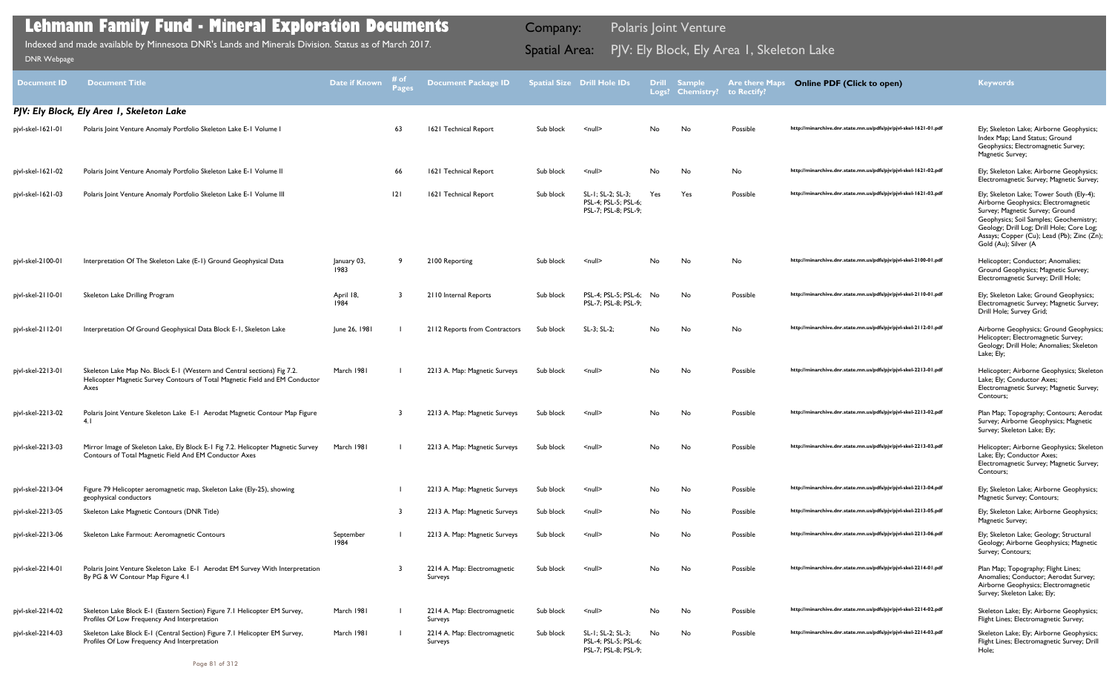| <b>Document ID</b> | <b>Document Title</b>                                                                                                                                           | <b>Date if Known</b> | # of<br><b>Pages</b> | <b>Document Package ID</b>              |           | <b>Spatial Size Drill Hole IDs</b>                                |           | <b>Drill Sample</b><br>Logs? Chemistry? | <b>Are there Maps</b><br>to Rectify? | <b>Online PDF (Click to open)</b>                                | <b>Keywords</b>                                                                                                                                                                                                                                                                   |
|--------------------|-----------------------------------------------------------------------------------------------------------------------------------------------------------------|----------------------|----------------------|-----------------------------------------|-----------|-------------------------------------------------------------------|-----------|-----------------------------------------|--------------------------------------|------------------------------------------------------------------|-----------------------------------------------------------------------------------------------------------------------------------------------------------------------------------------------------------------------------------------------------------------------------------|
|                    | PJV: Ely Block, Ely Area I, Skeleton Lake                                                                                                                       |                      |                      |                                         |           |                                                                   |           |                                         |                                      |                                                                  |                                                                                                                                                                                                                                                                                   |
| pjvl-skel-1621-01  | Polaris Joint Venture Anomaly Portfolio Skeleton Lake E-1 Volume I                                                                                              |                      | 63                   | 1621 Technical Report                   | Sub block | $\leq$ null $\geq$                                                | No        | No                                      | Possible                             | http://minarchive.dnr.state.mn.us/pdfs/pjv/pjvl-skel-1621-01.pdf | Ely; Skeleton Lake; Airborne Geophysics;<br>Index Map; Land Status; Ground<br>Geophysics; Electromagnetic Survey;<br>Magnetic Survey;                                                                                                                                             |
| pjvl-skel-1621-02  | Polaris Joint Venture Anomaly Portfolio Skeleton Lake E-1 Volume II                                                                                             |                      | 66                   | 1621 Technical Report                   | Sub block | $\leq$ null $\geq$                                                | No        | No                                      | No                                   | http://minarchive.dnr.state.mn.us/pdfs/pjv/pjvl-skel-1621-02.pdf | Ely; Skeleton Lake; Airborne Geophysics;<br>Electromagnetic Survey; Magnetic Survey;                                                                                                                                                                                              |
| pjvl-skel-1621-03  | Polaris Joint Venture Anomaly Portfolio Skeleton Lake E-1 Volume III                                                                                            |                      | 2                    | 1621 Technical Report                   | Sub block | SL-1; SL-2; SL-3;<br>PSL-4; PSL-5; PSL-6;<br>PSL-7; PSL-8; PSL-9; | Yes       | Yes                                     | Possible                             | http://minarchive.dnr.state.mn.us/pdfs/pjv/pjvl-skel-1621-03.pdf | Ely; Skeleton Lake; Tower South (Ely-4);<br>Airborne Geophysics; Electromagnetic<br>Survey; Magnetic Survey; Ground<br>Geophysics; Soil Samples; Geochemistry;<br>Geology; Drill Log; Drill Hole; Core Log;<br>Assays; Copper (Cu); Lead (Pb); Zinc (Zn);<br>Gold (Au); Silver (A |
| pjvl-skel-2100-01  | Interpretation Of The Skeleton Lake (E-1) Ground Geophysical Data                                                                                               | January 03,<br>1983  |                      | 2100 Reporting                          | Sub block | $\leq$ null $\geq$                                                | <b>No</b> | No                                      | No                                   | http://minarchive.dnr.state.mn.us/pdfs/pjv/pjvl-skel-2100-01.pdf | Helicopter; Conductor; Anomalies;<br>Ground Geophysics; Magnetic Survey;<br>Electromagnetic Survey; Drill Hole;                                                                                                                                                                   |
| pjvl-skel-2110-01  | Skeleton Lake Drilling Program                                                                                                                                  | April 18,<br>1984    |                      | 2110 Internal Reports                   | Sub block | PSL-4; PSL-5; PSL-6;<br>PSL-7; PSL-8; PSL-9;                      | No        | No                                      | Possible                             | http://minarchive.dnr.state.mn.us/pdfs/pjv/pjvl-skel-2110-01.pdf | Ely; Skeleton Lake; Ground Geophysics;<br>Electromagnetic Survey; Magnetic Survey;<br>Drill Hole; Survey Grid;                                                                                                                                                                    |
| pjvl-skel-2112-01  | Interpretation Of Ground Geophysical Data Block E-1, Skeleton Lake                                                                                              | June 26, 1981        |                      | 2112 Reports from Contractors           | Sub block | SL-3; SL-2;                                                       | <b>No</b> | No                                      | No                                   | http://minarchive.dnr.state.mn.us/pdfs/pjv/pjvl-skel-2112-01.pdf | Airborne Geophysics; Ground Geophysics;<br>Helicopter; Electromagnetic Survey;<br>Geology; Drill Hole; Anomalies; Skeleton<br>Lake; Ely;                                                                                                                                          |
| pjvl-skel-2213-01  | Skeleton Lake Map No. Block E-1 (Western and Central sections) Fig 7.2.<br>Helicopter Magnetic Survey Contours of Total Magnetic Field and EM Conductor<br>Axes | March 1981           |                      | 2213 A. Map: Magnetic Surveys           | Sub block | $\leq$ null $\geq$                                                | <b>No</b> | No                                      | Possible                             | http://minarchive.dnr.state.mn.us/pdfs/pjv/pjvl-skel-2213-01.pdf | Helicopter; Airborne Geophysics; Skeleton<br>Lake; Ely; Conductor Axes;<br>Electromagnetic Survey; Magnetic Survey;<br>Contours;                                                                                                                                                  |
| pjvl-skel-2213-02  | Polaris Joint Venture Skeleton Lake E-1 Aerodat Magnetic Contour Map Figure<br>4.1                                                                              |                      |                      | 2213 A. Map: Magnetic Surveys           | Sub block | $\leq$ null $\geq$                                                | No        | No                                      | Possible                             | http://minarchive.dnr.state.mn.us/pdfs/pjv/pjvl-skel-2213-02.pdf | Plan Map; Topography; Contours; Aerodat<br>Survey; Airborne Geophysics; Magnetic<br>Survey; Skeleton Lake; Ely;                                                                                                                                                                   |
| pjvl-skel-2213-03  | Mirror Image of Skeleton Lake, Ely Block E-1 Fig 7.2. Helicopter Magnetic Survey<br>Contours of Total Magnetic Field And EM Conductor Axes                      | March 1981           |                      | 2213 A. Map: Magnetic Surveys           | Sub block | $\leq$ null $\geq$                                                | No        | No.                                     | Possible                             | http://minarchive.dnr.state.mn.us/pdfs/pjv/pjvl-skel-2213-03.pdf | Helicopter; Airborne Geophysics; Skeleton<br>Lake; Ely; Conductor Axes;<br>Electromagnetic Survey; Magnetic Survey;<br>Contours;                                                                                                                                                  |
| pjvl-skel-2213-04  | Figure 79 Helicopter aeromagnetic map, Skeleton Lake (Ely-25), showing<br>geophysical conductors                                                                |                      |                      | 2213 A. Map: Magnetic Surveys           | Sub block | $\leq$ null $\geq$                                                | No        | No                                      | Possible                             | http://minarchive.dnr.state.mn.us/pdfs/pjv/pjvl-skel-2213-04.pdf | Ely; Skeleton Lake; Airborne Geophysics;<br>Magnetic Survey; Contours;                                                                                                                                                                                                            |
| pjvl-skel-2213-05  | Skeleton Lake Magnetic Contours (DNR Title)                                                                                                                     |                      | - 3                  | 2213 A. Map: Magnetic Surveys           | Sub block | $null$                                                            | No.       | No                                      | Possible                             | http://minarchive.dnr.state.mn.us/pdfs/pjv/pjvl-skel-2213-05.pdf | Ely; Skeleton Lake; Airborne Geophysics;<br>Magnetic Survey;                                                                                                                                                                                                                      |
| pjvl-skel-2213-06  | Skeleton Lake Farmout: Aeromagnetic Contours                                                                                                                    | September<br>1984    |                      | 2213 A. Map: Magnetic Surveys           | Sub block | $null$                                                            | No        | No                                      | Possible                             | http://minarchive.dnr.state.mn.us/pdfs/pjv/pjvl-skel-2213-06.pdf | Ely; Skeleton Lake; Geology; Structural<br>Geology; Airborne Geophysics; Magnetic<br>Survey; Contours;                                                                                                                                                                            |
| pjvl-skel-2214-01  | Polaris Joint Venture Skeleton Lake E-I Aerodat EM Survey With Interpretation<br>By PG & W Contour Map Figure 4.1                                               |                      |                      | 2214 A. Map: Electromagnetic<br>Surveys | Sub block | $\leq$ null $\geq$                                                | No        | No                                      | Possible                             | http://minarchive.dnr.state.mn.us/pdfs/pjv/pjvl-skel-2214-01.pdf | Plan Map; Topography; Flight Lines;<br>Anomalies; Conductor; Aerodat Survey;<br>Airborne Geophysics; Electromagnetic<br>Survey; Skeleton Lake; Ely;                                                                                                                               |
| pjvl-skel-2214-02  | Skeleton Lake Block E-1 (Eastern Section) Figure 7.1 Helicopter EM Survey,<br>Profiles Of Low Frequency And Interpretation                                      | March 1981           |                      | 2214 A. Map: Electromagnetic<br>Surveys | Sub block | $\leq$ null $\geq$                                                | No        | No                                      | Possible                             | http://minarchive.dnr.state.mn.us/pdfs/pjv/pjvl-skel-2214-02.pdf | Skeleton Lake; Ely; Airborne Geophysics;<br>Flight Lines; Electromagnetic Survey;                                                                                                                                                                                                 |
| pjvl-skel-2214-03  | Skeleton Lake Block E-1 (Central Section) Figure 7.1 Helicopter EM Survey,<br>Profiles Of Low Frequency And Interpretation                                      | March 1981           |                      | 2214 A. Map: Electromagnetic<br>Surveys | Sub block | SL-1; SL-2; SL-3;<br>PSL-4; PSL-5; PSL-6;<br>PSL-7; PSL-8; PSL-9; | No        | No                                      | Possible                             | http://minarchive.dnr.state.mn.us/pdfs/pjv/pjvl-skel-2214-03.pdf | Skeleton Lake; Ely; Airborne Geophysics;<br>Flight Lines; Electromagnetic Survey; Drill<br>Hole;                                                                                                                                                                                  |
|                    |                                                                                                                                                                 |                      |                      |                                         |           |                                                                   |           |                                         |                                      |                                                                  |                                                                                                                                                                                                                                                                                   |

Indexed and made available by Minnesota DNR's Lands and Minerals Division. Status as of March 2017. **Spatial Area:** PJV: Ely Block, Ely Area 1, Skeleton Lake ו[DNR Webpage](http://www.dnr.state.mn.us/lands_minerals/polaris/index.html)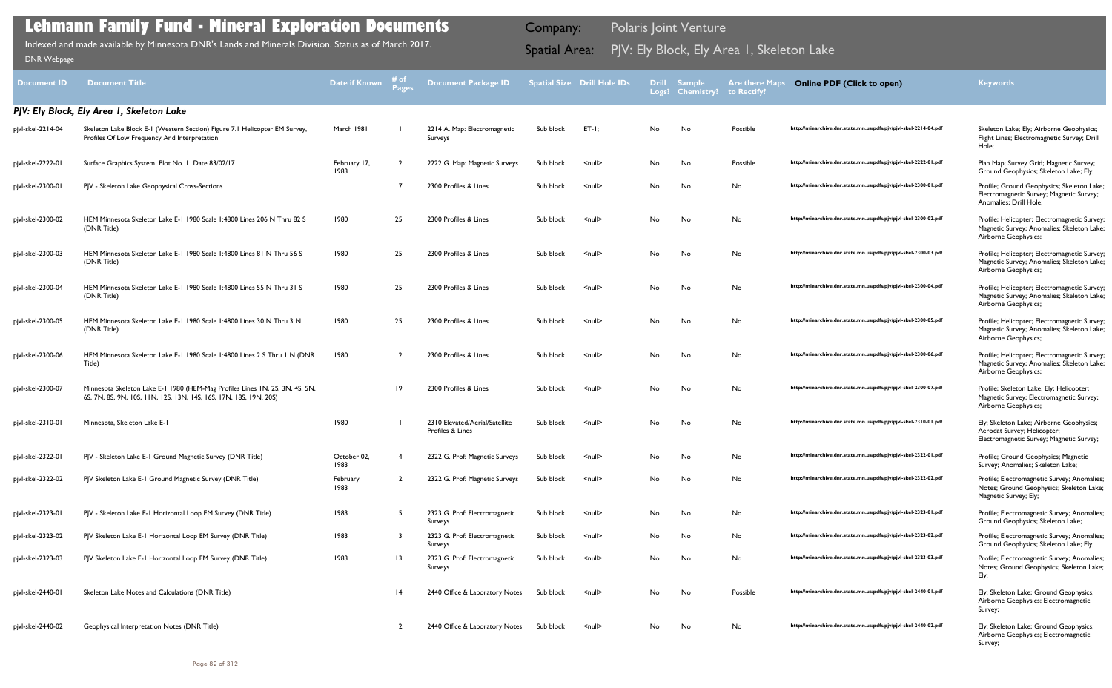| <b>Document ID</b> | <b>Document Title</b>                                                                                                                             | <b>Date if Known</b> | # of<br>Pages  | <b>Document Package ID</b>                         |           | <b>Spatial Size Drill Hole IDs</b> |     | Drill Sample<br>Logs? Chemistry? | <b>Are there Maps</b><br>to Rectify? | <b>Online PDF (Click to open)</b>                                | <b>Keywords</b>                                                                                                     |
|--------------------|---------------------------------------------------------------------------------------------------------------------------------------------------|----------------------|----------------|----------------------------------------------------|-----------|------------------------------------|-----|----------------------------------|--------------------------------------|------------------------------------------------------------------|---------------------------------------------------------------------------------------------------------------------|
|                    | PJV: Ely Block, Ely Area I, Skeleton Lake                                                                                                         |                      |                |                                                    |           |                                    |     |                                  |                                      |                                                                  |                                                                                                                     |
| pjvl-skel-2214-04  | Skeleton Lake Block E-1 (Western Section) Figure 7.1 Helicopter EM Survey,<br>Profiles Of Low Frequency And Interpretation                        | March 1981           |                | 2214 A. Map: Electromagnetic<br>Surveys            | Sub block | $ET-I$ ;                           | No  | No                               | Possible                             | http://minarchive.dnr.state.mn.us/pdfs/pjv/pjvl-skel-2214-04.pdf | Skeleton Lake; Ely; Airborne Geophysics;<br>Flight Lines; Electromagnetic Survey; Drill<br>Hole;                    |
| pjvl-skel-2222-01  | Surface Graphics System Plot No. 1 Date 83/02/17                                                                                                  | February 17,<br>1983 | $\overline{2}$ | 2222 G. Map: Magnetic Surveys                      | Sub block | $\leq$ null $\geq$                 | No  | No                               | Possible                             | http://minarchive.dnr.state.mn.us/pdfs/pjv/pjvl-skel-2222-01.pdf | Plan Map; Survey Grid; Magnetic Survey;<br>Ground Geophysics; Skeleton Lake; Ely;                                   |
| pjvl-skel-2300-01  | PJV - Skeleton Lake Geophysical Cross-Sections                                                                                                    |                      |                | 2300 Profiles & Lines                              | Sub block | $\leq$ null $\geq$                 | No  | No                               | No                                   | http://minarchive.dnr.state.mn.us/pdfs/pjv/pjvl-skel-2300-01.pdf | Profile; Ground Geophysics; Skeleton Lake;<br>Electromagnetic Survey; Magnetic Survey;<br>Anomalies; Drill Hole;    |
| pjvl-skel-2300-02  | HEM Minnesota Skeleton Lake E-1 1980 Scale 1:4800 Lines 206 N Thru 82 S<br>(DNR Title)                                                            | 1980                 | 25             | 2300 Profiles & Lines                              | Sub block | $\leq$ null $\geq$                 | No  | No                               | No                                   | http://minarchive.dnr.state.mn.us/pdfs/pjv/pjvl-skel-2300-02.pdf | Profile; Helicopter; Electromagnetic Survey;<br>Magnetic Survey; Anomalies; Skeleton Lake;<br>Airborne Geophysics;  |
| pjvl-skel-2300-03  | HEM Minnesota Skeleton Lake E-1 1980 Scale 1:4800 Lines 81 N Thru 56 S<br>(DNR Title)                                                             | 1980                 | 25             | 2300 Profiles & Lines                              | Sub block | $\leq$ null $\geq$                 | No  | No                               | No                                   | http://minarchive.dnr.state.mn.us/pdfs/pjv/pjvl-skel-2300-03.pdf | Profile; Helicopter; Electromagnetic Survey;<br>Magnetic Survey; Anomalies; Skeleton Lake;<br>Airborne Geophysics;  |
| pjvl-skel-2300-04  | HEM Minnesota Skeleton Lake E-1 1980 Scale 1:4800 Lines 55 N Thru 31 S<br>(DNR Title)                                                             | 1980                 | 25             | 2300 Profiles & Lines                              | Sub block | $\leq$ null $\geq$                 | No  | No                               | No                                   | http://minarchive.dnr.state.mn.us/pdfs/pjv/pjvl-skel-2300-04.pdf | Profile; Helicopter; Electromagnetic Survey;<br>Magnetic Survey; Anomalies; Skeleton Lake;<br>Airborne Geophysics;  |
| pjvl-skel-2300-05  | HEM Minnesota Skeleton Lake E-1 1980 Scale 1:4800 Lines 30 N Thru 3 N<br>(DNR Title)                                                              | 1980                 | 25             | 2300 Profiles & Lines                              | Sub block | $\leq$ null $\geq$                 | No. | No                               | No                                   | http://minarchive.dnr.state.mn.us/pdfs/pjv/pjvl-skel-2300-05.pdf | Profile; Helicopter; Electromagnetic Survey;<br>Magnetic Survey; Anomalies; Skeleton Lake;<br>Airborne Geophysics;  |
| pjvl-skel-2300-06  | HEM Minnesota Skeleton Lake E-1 1980 Scale 1:4800 Lines 2 S Thru 1 N (DNR<br>Title)                                                               | 1980                 | $\overline{2}$ | 2300 Profiles & Lines                              | Sub block | $\leq$ null $\geq$                 | No. | No                               | No                                   | http://minarchive.dnr.state.mn.us/pdfs/pjv/pjvl-skel-2300-06.pdf | Profile; Helicopter; Electromagnetic Survey;<br>Magnetic Survey; Anomalies; Skeleton Lake;<br>Airborne Geophysics;  |
| pjvl-skel-2300-07  | Minnesota Skeleton Lake E-1 1980 (HEM-Mag Profiles Lines 1N, 2S, 3N, 4S, 5N,<br>6S, 7N, 8S, 9N, 10S, 11N, 12S, 13N, 14S, 16S, 17N, 18S, 19N, 20S) |                      | 9              | 2300 Profiles & Lines                              | Sub block | $\leq$ null $\geq$                 | No. | No                               | No                                   | http://minarchive.dnr.state.mn.us/pdfs/pjv/pjvl-skel-2300-07.pdf | Profile; Skeleton Lake; Ely; Helicopter;<br>Magnetic Survey; Electromagnetic Survey;<br>Airborne Geophysics;        |
| pjvl-skel-2310-01  | Minnesota, Skeleton Lake E-1                                                                                                                      | 1980                 |                | 2310 Elevated/Aerial/Satellite<br>Profiles & Lines | Sub block | $\leq$ null $\geq$                 | No. | No                               | No                                   | http://minarchive.dnr.state.mn.us/pdfs/pjv/pjvl-skel-2310-01.pdf | Ely; Skeleton Lake; Airborne Geophysics;<br>Aerodat Survey; Helicopter;<br>Electromagnetic Survey; Magnetic Survey; |
| pjvl-skel-2322-01  | PJV - Skeleton Lake E-1 Ground Magnetic Survey (DNR Title)                                                                                        | October 02,<br>1983  |                | 2322 G. Prof: Magnetic Surveys                     | Sub block | $\leq$ null $\geq$                 | No  | No                               | No                                   | http://minarchive.dnr.state.mn.us/pdfs/pjv/pjvl-skel-2322-01.pdf | Profile; Ground Geophysics; Magnetic<br>Survey; Anomalies; Skeleton Lake;                                           |
| pjvl-skel-2322-02  | PJV Skeleton Lake E-1 Ground Magnetic Survey (DNR Title)                                                                                          | February<br>1983     | $\overline{2}$ | 2322 G. Prof: Magnetic Surveys                     | Sub block | $\leq$ null $\geq$                 | No  | No                               | No                                   | http://minarchive.dnr.state.mn.us/pdfs/pjv/pjvl-skel-2322-02.pdf | Profile; Electromagnetic Survey; Anomalies;<br>Notes; Ground Geophysics; Skeleton Lake;<br>Magnetic Survey; Ely;    |
| pjvl-skel-2323-01  | PJV - Skeleton Lake E-1 Horizontal Loop EM Survey (DNR Title)                                                                                     | 1983                 | 5              | 2323 G. Prof: Electromagnetic<br>Surveys           | Sub block | $\leq$ null $\geq$                 | No  | No                               | No                                   | http://minarchive.dnr.state.mn.us/pdfs/pjv/pjvl-skel-2323-01.pdf | Profile; Electromagnetic Survey; Anomalies;<br>Ground Geophysics; Skeleton Lake;                                    |
| pjvl-skel-2323-02  | PJV Skeleton Lake E-1 Horizontal Loop EM Survey (DNR Title)                                                                                       | 1983                 | 3              | 2323 G. Prof: Electromagnetic<br>Surveys           | Sub block | $\leq$ null $\geq$                 | No  | No                               | No                                   | http://minarchive.dnr.state.mn.us/pdfs/pjv/pjvl-skel-2323-02.pdf | Profile; Electromagnetic Survey; Anomalies;<br>Ground Geophysics; Skeleton Lake; Ely;                               |
| pjvl-skel-2323-03  | PJV Skeleton Lake E-1 Horizontal Loop EM Survey (DNR Title)                                                                                       | 1983                 | 13             | 2323 G. Prof: Electromagnetic<br>Surveys           | Sub block | $\le$ null $\ge$                   | No  | No                               | No                                   | http://minarchive.dnr.state.mn.us/pdfs/pjv/pjvl-skel-2323-03.pdf | Profile; Electromagnetic Survey; Anomalies;<br>Notes; Ground Geophysics; Skeleton Lake;<br>Ely;                     |
| pjvl-skel-2440-01  | Skeleton Lake Notes and Calculations (DNR Title)                                                                                                  |                      | 4              | 2440 Office & Laboratory Notes                     | Sub block | $\leq$ null $\geq$                 | No  | No                               | Possible                             | http://minarchive.dnr.state.mn.us/pdfs/pjv/pjvl-skel-2440-01.pdf | Ely; Skeleton Lake; Ground Geophysics;<br>Airborne Geophysics; Electromagnetic<br>Survey;                           |
| pjvl-skel-2440-02  | Geophysical Interpretation Notes (DNR Title)                                                                                                      |                      | $\overline{2}$ | 2440 Office & Laboratory Notes                     | Sub block | $\leq$ null $\geq$                 | No  | No                               | No                                   | http://minarchive.dnr.state.mn.us/pdfs/pjv/pjvl-skel-2440-02.pdf | Ely; Skeleton Lake; Ground Geophysics;<br>Airborne Geophysics; Electromagnetic<br>Survey;                           |

Indexed and made available by Minnesota DNR's Lands and Minerals Division. Status as of March 2017. **Spatial Area:** PJV: Ely Block, Ely Area 1, Skeleton Lake ו[DNR Webpage](http://www.dnr.state.mn.us/lands_minerals/polaris/index.html)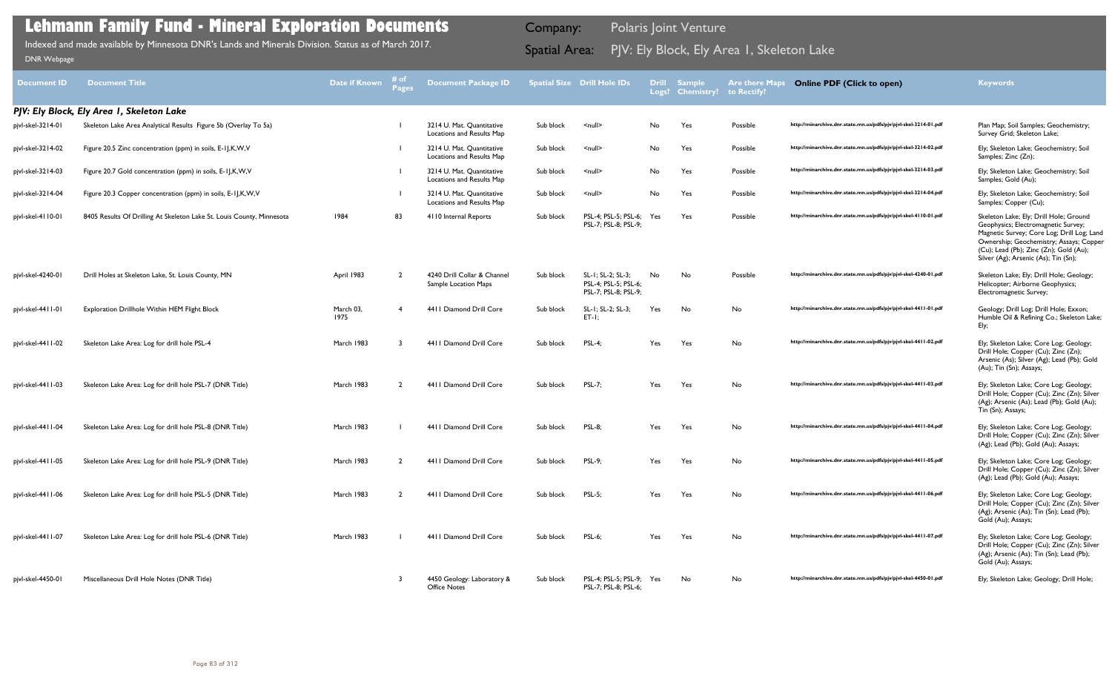| <b>Document ID</b> | <b>Document Title</b>                                                 | Date if Known     | # of<br>Pages | <b>Document Package ID</b>                             |           | Spatial Size Drill Hole IDs                                       | <b>Drill</b> | <b>Sample</b><br>Logs? Chemistry? | <b>Are there Maps</b><br>to Rectify? | <b>Online PDF (Click to open)</b>                                | <b>Keywords</b>                                                                                                                                                                                                                                          |
|--------------------|-----------------------------------------------------------------------|-------------------|---------------|--------------------------------------------------------|-----------|-------------------------------------------------------------------|--------------|-----------------------------------|--------------------------------------|------------------------------------------------------------------|----------------------------------------------------------------------------------------------------------------------------------------------------------------------------------------------------------------------------------------------------------|
|                    | PJV: Ely Block, Ely Area I, Skeleton Lake                             |                   |               |                                                        |           |                                                                   |              |                                   |                                      |                                                                  |                                                                                                                                                                                                                                                          |
| pjvl-skel-3214-01  | Skeleton Lake Area Analytical Results Figure 5b (Overlay To 5a)       |                   |               | 3214 U. Mat. Quantitative<br>Locations and Results Map | Sub block | $\leq$ null $\geq$                                                | No           | Yes                               | Possible                             | http://minarchive.dnr.state.mn.us/pdfs/pjv/pjvl-skel-3214-01.pdf | Plan Map; Soil Samples; Geochemistry;<br>Survey Grid; Skeleton Lake;                                                                                                                                                                                     |
| pjvl-skel-3214-02  | Figure 20.5 Zinc concentration (ppm) in soils, E-11, K, W, V          |                   |               | 3214 U. Mat. Quantitative<br>Locations and Results Map | Sub block | $null$                                                            | No           | Yes                               | Possible                             | http://minarchive.dnr.state.mn.us/pdfs/pjv/pjvl-skel-3214-02.pdf | Ely; Skeleton Lake; Geochemistry; Soil<br>Samples; Zinc (Zn);                                                                                                                                                                                            |
| pjvl-skel-3214-03  | Figure 20.7 Gold concentration (ppm) in soils, E-1J,K,W,V             |                   |               | 3214 U. Mat. Quantitative<br>Locations and Results Map | Sub block | $null$                                                            | No           | Yes                               | Possible                             | http://minarchive.dnr.state.mn.us/pdfs/pjv/pjvl-skel-3214-03.pdf | Ely; Skeleton Lake; Geochemistry; Soil<br>Samples; Gold (Au);                                                                                                                                                                                            |
| pjvl-skel-3214-04  | Figure 20.3 Copper concentration (ppm) in soils, E-IJ,K,W,V           |                   |               | 3214 U. Mat. Quantitative<br>Locations and Results Map | Sub block | $\leq$ null $\geq$                                                | No           | Yes                               | Possible                             | http://minarchive.dnr.state.mn.us/pdfs/pjv/pjvl-skel-3214-04.pdf | Ely; Skeleton Lake; Geochemistry; Soil<br>Samples; Copper (Cu);                                                                                                                                                                                          |
| pjvl-skel-4110-01  | 8405 Results Of Drilling At Skeleton Lake St. Louis County, Minnesota | 1984              | 83            | 4110 Internal Reports                                  | Sub block | PSL-4; PSL-5; PSL-6;<br>PSL-7; PSL-8; PSL-9;                      | Yes          | Yes                               | Possible                             | http://minarchive.dnr.state.mn.us/pdfs/pjv/pjvl-skel-4110-01.pdf | Skeleton Lake; Ely; Drill Hole; Ground<br>Geophysics; Electromagnetic Survey;<br>Magnetic Survey; Core Log; Drill Log; Land<br>Ownership; Geochemistry; Assays; Copper<br>(Cu); Lead (Pb); Zinc (Zn); Gold (Au);<br>Silver (Ag); Arsenic (As); Tin (Sn); |
| pjvl-skel-4240-01  | Drill Holes at Skeleton Lake, St. Louis County, MN                    | April 1983        | - 2           | 4240 Drill Collar & Channel<br>Sample Location Maps    | Sub block | SL-1; SL-2; SL-3;<br>PSL-4; PSL-5; PSL-6;<br>PSL-7; PSL-8; PSL-9; | No           | No                                | Possible                             | http://minarchive.dnr.state.mn.us/pdfs/pjv/pjvl-skel-4240-01.pdf | Skeleton Lake; Ely; Drill Hole; Geology;<br>Helicopter; Airborne Geophysics;<br>Electromagnetic Survey;                                                                                                                                                  |
| pjvl-skel-4411-01  | Exploration Drillhole Within HEM Flight Block                         | March 03.<br>1975 | -4            | 4411 Diamond Drill Core                                | Sub block | SL-1; SL-2; SL-3;<br>$ET-I$ ;                                     | Yes          | No                                | No                                   | http://minarchive.dnr.state.mn.us/pdfs/pjv/pjvl-skel-4411-01.pdf | Geology; Drill Log; Drill Hole; Exxon;<br>Humble Oil & Refining Co.; Skeleton Lake;<br>Ely;                                                                                                                                                              |
| pjvl-skel-4411-02  | Skeleton Lake Area: Log for drill hole PSL-4                          | March 1983        |               | 4411 Diamond Drill Core                                | Sub block | <b>PSL-4:</b>                                                     | Yes          | Yes                               | No                                   | http://minarchive.dnr.state.mn.us/pdfs/pjv/pjvl-skel-4411-02.pdf | Ely; Skeleton Lake; Core Log; Geology;<br>Drill Hole; Copper (Cu); Zinc (Zn);<br>Arsenic (As); Silver (Ag); Lead (Pb); Gold<br>(Au); Tin (Sn); Assays;                                                                                                   |
| pjvl-skel-4411-03  | Skeleton Lake Area: Log for drill hole PSL-7 (DNR Title)              | March 1983        |               | 4411 Diamond Drill Core                                | Sub block | <b>PSL-7;</b>                                                     | Yes          | Yes                               | No                                   | http://minarchive.dnr.state.mn.us/pdfs/pjv/pjvl-skel-4411-03.pdf | Ely; Skeleton Lake; Core Log; Geology;<br>Drill Hole; Copper (Cu); Zinc (Zn); Silver<br>(Ag); Arsenic (As); Lead (Pb); Gold (Au);<br>Tin (Sn); Assays;                                                                                                   |
| pjvl-skel-4411-04  | Skeleton Lake Area: Log for drill hole PSL-8 (DNR Title)              | March 1983        |               | 4411 Diamond Drill Core                                | Sub block | <b>PSL-8:</b>                                                     | Yes          | Yes                               | No                                   | http://minarchive.dnr.state.mn.us/pdfs/pjv/pjvl-skel-4411-04.pdf | Ely; Skeleton Lake; Core Log; Geology;<br>Drill Hole; Copper (Cu); Zinc (Zn); Silver<br>(Ag); Lead (Pb); Gold (Au); Assays;                                                                                                                              |
| pjvl-skel-4411-05  | Skeleton Lake Area: Log for drill hole PSL-9 (DNR Title)              | March 1983        |               | 4411 Diamond Drill Core                                | Sub block | <b>PSL-9;</b>                                                     | Yes          | Yes                               | No                                   | http://minarchive.dnr.state.mn.us/pdfs/pjv/pjvl-skel-4411-05.pdf | Ely; Skeleton Lake; Core Log; Geology;<br>Drill Hole; Copper (Cu); Zinc (Zn); Silver<br>(Ag); Lead (Pb); Gold (Au); Assays;                                                                                                                              |
| pjvl-skel-4411-06  | Skeleton Lake Area: Log for drill hole PSL-5 (DNR Title)              | March 1983        | $\mathcal{L}$ | 4411 Diamond Drill Core                                | Sub block | <b>PSL-5;</b>                                                     | Yes          | Yes                               | No                                   | http://minarchive.dnr.state.mn.us/pdfs/pjv/pjvl-skel-4411-06.pdf | Ely; Skeleton Lake; Core Log; Geology;<br>Drill Hole; Copper (Cu); Zinc (Zn); Silver<br>(Ag); Arsenic (As); Tin (Sn); Lead (Pb);<br>Gold (Au); Assays;                                                                                                   |
| pjvl-skel-4411-07  | Skeleton Lake Area: Log for drill hole PSL-6 (DNR Title)              | March 1983        |               | 4411 Diamond Drill Core                                | Sub block | <b>PSL-6;</b>                                                     | Yes          | Yes                               | No                                   | http://minarchive.dnr.state.mn.us/pdfs/pjv/pjvl-skel-4411-07.pdf | Ely; Skeleton Lake; Core Log; Geology;<br>Drill Hole; Copper (Cu); Zinc (Zn); Silver<br>(Ag); Arsenic (As); Tin (Sn); Lead (Pb);<br>Gold (Au); Assays;                                                                                                   |
| pjvl-skel-4450-01  | Miscellaneous Drill Hole Notes (DNR Title)                            |                   | 3             | 4450 Geology: Laboratory &<br><b>Office Notes</b>      | Sub block | PSL-4; PSL-5; PSL-9; Yes<br>PSL-7; PSL-8; PSL-6;                  |              | No                                | No                                   | http://minarchive.dnr.state.mn.us/pdfs/pjv/pjvl-skel-4450-01.pdf | Ely; Skeleton Lake; Geology; Drill Hole;                                                                                                                                                                                                                 |

Indexed and made available by Minnesota DNR's Lands and Minerals Division. Status as of March 2017. **Spatial Area:** PJV: Ely Block, Ely Area 1, Skeleton Lake ו[DNR Webpage](http://www.dnr.state.mn.us/lands_minerals/polaris/index.html)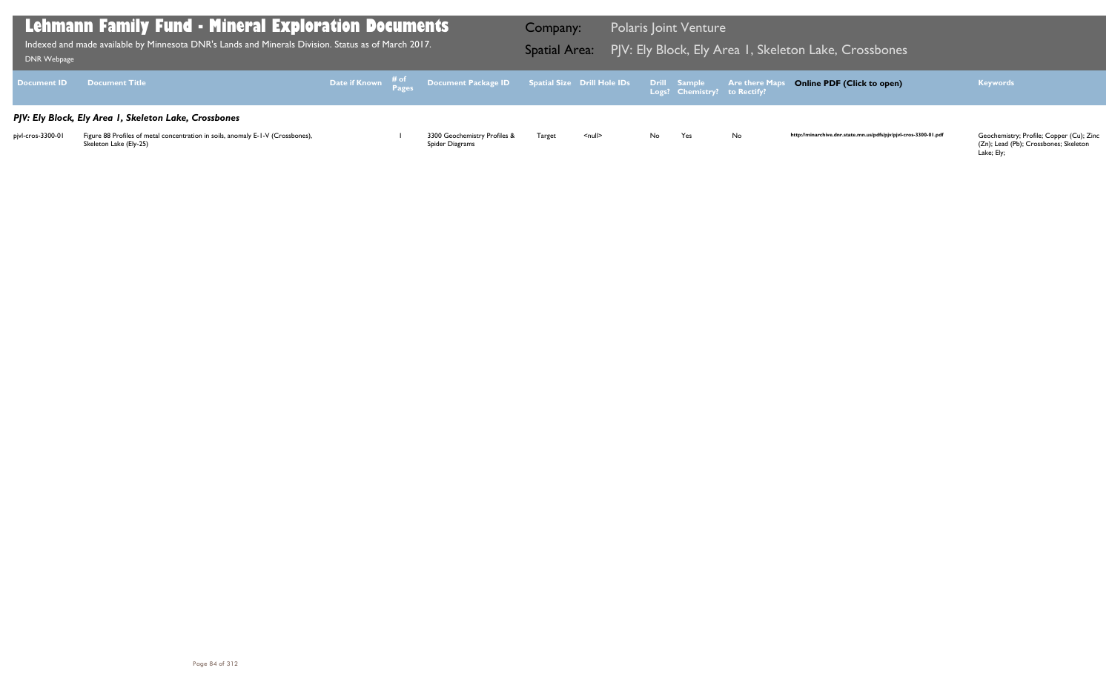(Zn); Lead (Pb); Crossbones; Skeleton Lake; Ely;

| Lehmann Family Fund - Mineral Exploration Documents<br>$\overline{1}$ Indexed and made available by Minnesota DNR's Lands and Minerals Division. Status as of March 2017.<br>DNR Webpage |                                                                                                           |  |  |                                                                                                |               | <b>Polaris Joint Venture</b><br>Company:<br>Spatial Area: PJV: Ely Block, Ely Area I, Skeleton Lake, Crossbones |    |     |           |                                                                  |                                                                                                 |  |
|------------------------------------------------------------------------------------------------------------------------------------------------------------------------------------------|-----------------------------------------------------------------------------------------------------------|--|--|------------------------------------------------------------------------------------------------|---------------|-----------------------------------------------------------------------------------------------------------------|----|-----|-----------|------------------------------------------------------------------|-------------------------------------------------------------------------------------------------|--|
| Document <b>ID</b>                                                                                                                                                                       | <b>Document Title</b>                                                                                     |  |  | Date if Known # of Document Package ID Spatial Size Drill Hole IDs Drill Sample Are there Maps |               |                                                                                                                 |    |     |           | <b>Online PDF (Click to open)</b>                                | <b>Keywords</b>                                                                                 |  |
|                                                                                                                                                                                          | PJV: Ely Block, Ely Area I, Skeleton Lake, Crossbones                                                     |  |  |                                                                                                |               |                                                                                                                 |    |     |           |                                                                  |                                                                                                 |  |
| pjvl-cros-3300-01                                                                                                                                                                        | Figure 88 Profiles of metal concentration in soils, anomaly E-1-V (Crossbones),<br>Skeleton Lake (Ely-25) |  |  | 3300 Geochemistry Profiles &<br>Spider Diagrams                                                | <b>Target</b> | <null></null>                                                                                                   | No | Yes | <b>No</b> | http://minarchive.dnr.state.mn.us/pdfs/pjv/pjvl-cros-3300-01.pdf | Geochemistry; Profile; Copper (Cu); Zinc<br>(Zn); Lead (Pb); Crossbones; Skeleton<br>Loko: Elvi |  |

## leton Lake, Crossbones

## **Online PDF (Click to open) Keywords**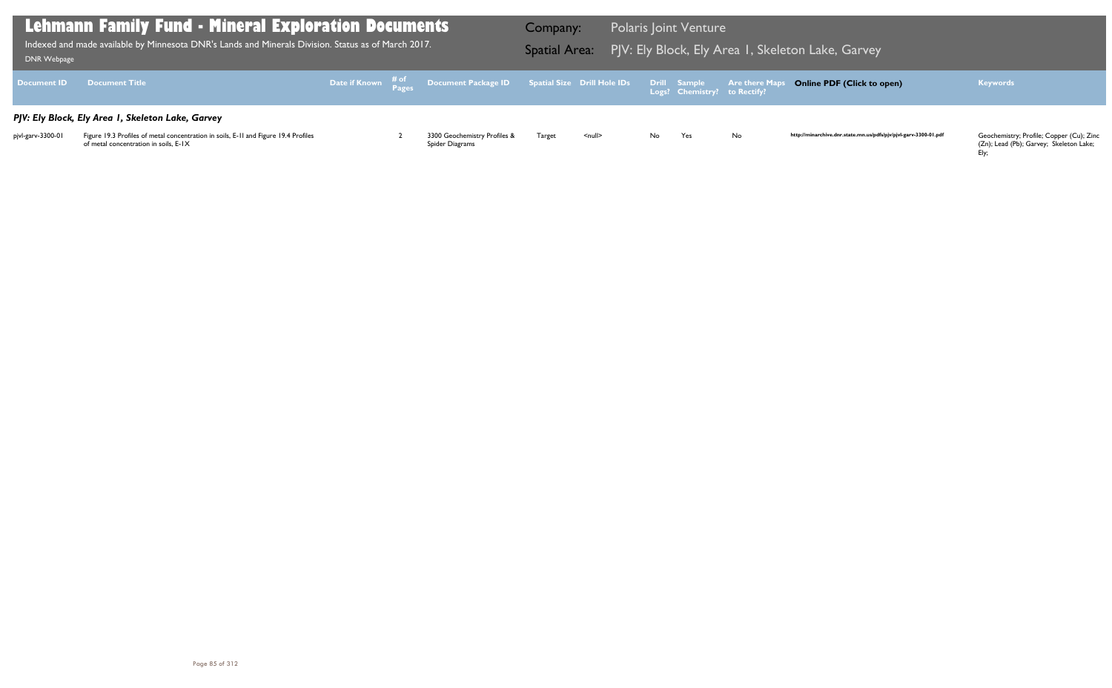(Zn); Lead (Pb); Garvey; Skeleton Lake; Ely;

| Lehmann Family Fund - Mineral Exploration Documents<br>$\overline{1}$ Indexed and made available by Minnesota DNR's Lands and Minerals Division. Status as of March 2017.<br>DNR Webpage |                                                                                                                              |  |  |                                                                                                |        | <b>Polaris Joint Venture</b><br>Company:<br>Spatial Area: PJV: Ely Block, Ely Area I, Skeleton Lake, Garvey |    |     |     |                                                                  |                                                                                     |  |
|------------------------------------------------------------------------------------------------------------------------------------------------------------------------------------------|------------------------------------------------------------------------------------------------------------------------------|--|--|------------------------------------------------------------------------------------------------|--------|-------------------------------------------------------------------------------------------------------------|----|-----|-----|------------------------------------------------------------------|-------------------------------------------------------------------------------------|--|
| Document <b>ID</b>                                                                                                                                                                       | <b>Example 19 Document Title</b>                                                                                             |  |  | Date if Known # of Document Package ID Spatial Size Drill Hole IDs Drill Sample Are there Maps |        |                                                                                                             |    |     |     | <b>Online PDF (Click to open)</b>                                | <b>Keywords</b>                                                                     |  |
|                                                                                                                                                                                          | PJV: Ely Block, Ely Area I, Skeleton Lake, Garvey                                                                            |  |  |                                                                                                |        |                                                                                                             |    |     |     |                                                                  |                                                                                     |  |
| pjvl-garv-3300-01                                                                                                                                                                        | Figure 19.3 Profiles of metal concentration in soils, E-11 and Figure 19.4 Profiles<br>of metal concentration in soils, E-IX |  |  | 3300 Geochemistry Profiles &<br>Spider Diagrams                                                | Target | <null></null>                                                                                               | No | Yes | No. | http://minarchive.dnr.state.mn.us/pdfs/pjv/pjvl-garv-3300-01.pdf | Geochemistry; Profile; Copper (Cu); Zinc<br>(Zn); Lead (Pb); Garvey; Skeleton Lake; |  |

## leton Lake, Garve<mark>y</mark>

## **Online PDF (Click to open) Keywords**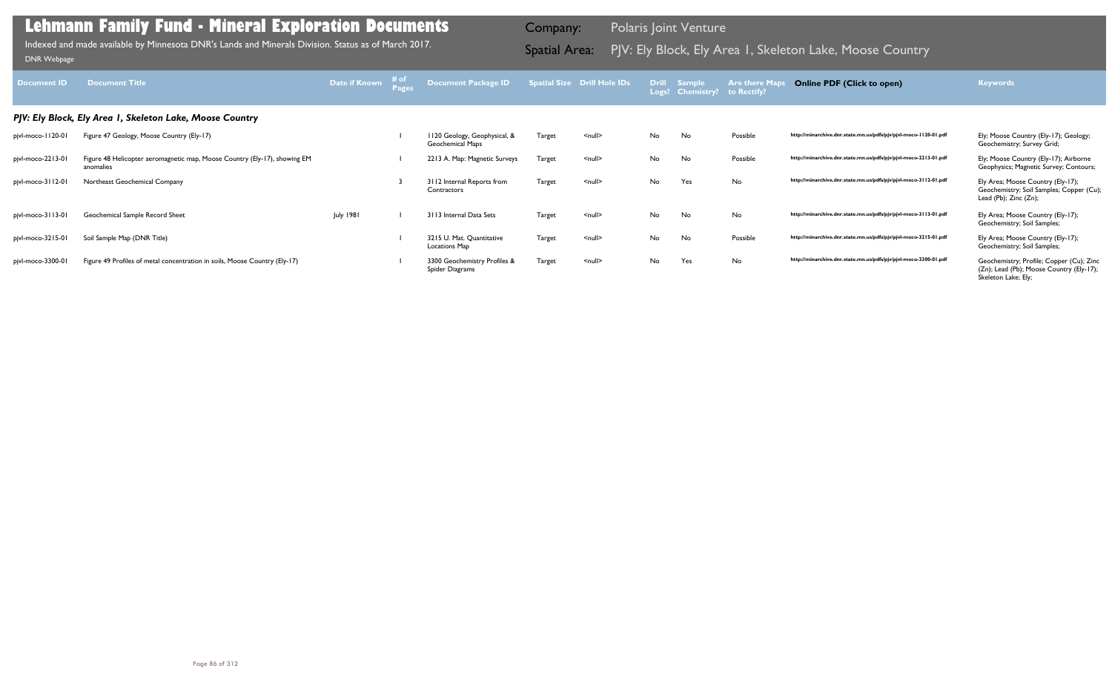| <b>Document ID</b> | <b>Document Title</b>                                                                  | Date if Known    | # of<br>Page: | Document Package ID                              |               | <b>Spatial Size Drill Hole IDs</b> | <b>Drill</b> | <b>Sample</b><br>Logs? Chemistry? to Rectify? | <b>Are there Map</b> | <b>Online PDF (Click to open)</b>                                | <b>Keywords</b>                                                                                             |
|--------------------|----------------------------------------------------------------------------------------|------------------|---------------|--------------------------------------------------|---------------|------------------------------------|--------------|-----------------------------------------------|----------------------|------------------------------------------------------------------|-------------------------------------------------------------------------------------------------------------|
|                    | PJV: Ely Block, Ely Area I, Skeleton Lake, Moose Country                               |                  |               |                                                  |               |                                    |              |                                               |                      |                                                                  |                                                                                                             |
| pjvl-moco-1120-01  | Figure 47 Geology, Moose Country (Ely-17)                                              |                  |               | II20 Geology, Geophysical, &<br>Geochemical Maps | Target        | $\leq$ null $\geq$                 | No           | No                                            | Possible             | http://minarchive.dnr.state.mn.us/pdfs/pjv/pjvl-moco-1120-01.pdf | Ely; Moose Country (Ely-17); Geology;<br>Geochemistry; Survey Grid;                                         |
| pjvl-moco-2213-01  | Figure 48 Helicopter aeromagnetic map, Moose Country (Ely-17), showing EM<br>anomalies |                  |               | 2213 A. Map: Magnetic Surveys                    | <b>Target</b> | <null></null>                      | No           | No                                            | Possible             | http://minarchive.dnr.state.mn.us/pdfs/pjv/pjvl-moco-2213-01.pdf | Ely; Moose Country (Ely-17); Airborne<br>Geophysics; Magnetic Survey; Contours;                             |
| pjvl-moco-3112-01  | Northeast Geochemical Company                                                          |                  |               | 3112 Internal Reports from<br>Contractors        | Target        | $\leq$ null $\geq$                 | No           | Yes                                           | No                   | http://minarchive.dnr.state.mn.us/pdfs/pjv/pjvl-moco-3112-01.pdf | Ely Area; Moose Country (Ely-17);<br>Geochemistry; Soil Samples; Copper (Cu);<br>Lead (Pb); Zinc (Zn);      |
| pjvl-moco-3113-01  | Geochemical Sample Record Sheet                                                        | <b>July 1981</b> |               | 3113 Internal Data Sets                          | Target        | $\leq$ null $\geq$                 | No           | No                                            | No                   | http://minarchive.dnr.state.mn.us/pdfs/pjv/pjvl-moco-3113-01.pdf | Ely Area; Moose Country (Ely-17);<br>Geochemistry; Soil Samples;                                            |
| pjvl-moco-3215-01  | Soil Sample Map (DNR Title)                                                            |                  |               | 3215 U. Mat. Quantitative<br>Locations Map       | Target        | <null></null>                      | No           | No                                            | Possible             | http://minarchive.dnr.state.mn.us/pdfs/pjv/pjvl-moco-3215-01.pdf | Ely Area; Moose Country (Ely-17);<br>Geochemistry; Soil Samples;                                            |
| pjvl-moco-3300-01  | Figure 49 Profiles of metal concentration in soils, Moose Country (Ely-17)             |                  |               | 3300 Geochemistry Profiles &<br>Spider Diagrams  | Target        | $\leq$ null $\geq$                 | No           | Yes                                           | No                   | http://minarchive.dnr.state.mn.us/pdfs/pjv/pjvl-moco-3300-01.pdf | Geochemistry; Profile; Copper (Cu); Zinc<br>(Zn); Lead (Pb); Moose Country (Ely-17);<br>Skeleton Lake; Ely; |

Indexed and made available by Minnesota DNR's Lands and Minerals Division. Status as of March 2017. **In the Spatial Area:** PJV: Ely Block, Ely Area 1, Skeleton Lake, Moose Country DNR Webpage Indexed and made available by Minnesota DNR's Lands and Minerals Division. Status as of March 2017.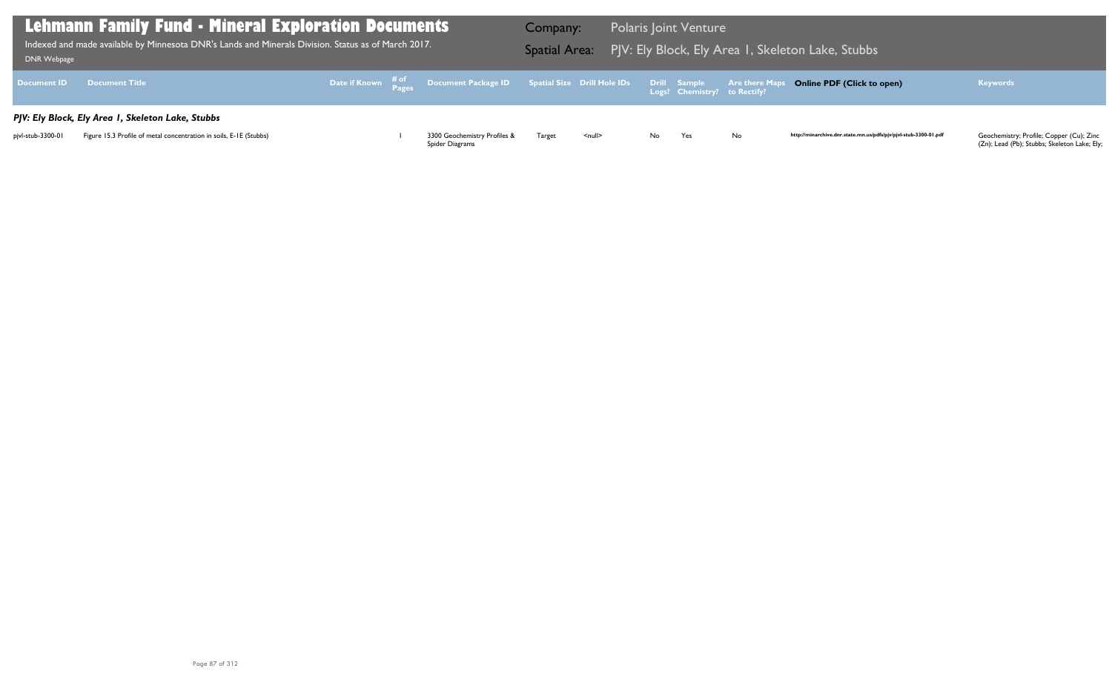| <b>DNR Webpage</b> | <b>Lehmann Family Fund - Mineral Exploration Documents</b><br>Indexed and made available by Minnesota DNR's Lands and Minerals Division. Status as of March 2017. |  |                                                                                                     | Company: |        | <b>Polaris Joint Venture</b><br>Spatial Area: PJV: Ely Block, Ely Area 1, Skele |                                              |                       |  |
|--------------------|-------------------------------------------------------------------------------------------------------------------------------------------------------------------|--|-----------------------------------------------------------------------------------------------------|----------|--------|---------------------------------------------------------------------------------|----------------------------------------------|-----------------------|--|
| <b>Document ID</b> | <b>Document Title</b>                                                                                                                                             |  | Date if Known $\frac{\text{\# of}}{\text{\# ages}}$ Document Package ID Spatial Size Drill Hole IDs |          |        |                                                                                 | Drill Sample<br>Logs? Chemistry? to Rectify? | <b>Are there Maps</b> |  |
|                    | PJV: Ely Block, Ely Area I, Skeleton Lake, Stubbs                                                                                                                 |  |                                                                                                     |          |        |                                                                                 |                                              |                       |  |
| pjvl-stub-3300-01  | Figure 15.3 Profile of metal concentration in soils, E-1E (Stubbs)                                                                                                |  | 3300 Geochemistry Profiles &<br>Spider Diagrams                                                     | Target   | $null$ | No.                                                                             | Yes                                          | No                    |  |

## leton Lake, Stubbs

## **Online PDF (Click to open) Keywords**

http://minarchive.dnr.state.mn.us/pdfs/pjv/pjvl-stub-3300-01.pdf

Geochemistry; Profile; Copper (Cu); Zinc<br>(Zn); Lead (Pb); Stubbs; Skeleton Lake; Ely;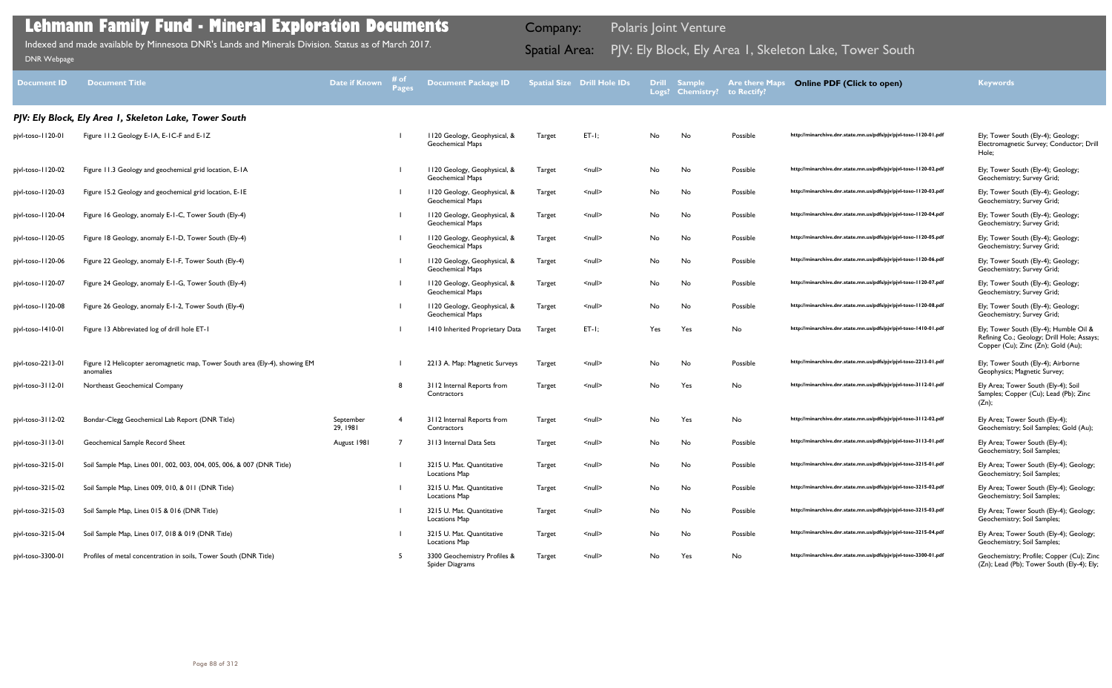| <b>Document ID</b> | <b>Document Title</b>                                                                    | <b>Date if Known</b>  | # of<br><b>Pages</b> | <b>Document Package ID</b>                              |               | <b>Spatial Size Drill Hole IDs</b> |            | <b>Drill Sample</b><br>Logs? Chemistry? | <b>Are there Maps</b><br>to Rectify? | <b>Online PDF (Click to open)</b>                                | <b>Keywords</b>                                                                                                            |
|--------------------|------------------------------------------------------------------------------------------|-----------------------|----------------------|---------------------------------------------------------|---------------|------------------------------------|------------|-----------------------------------------|--------------------------------------|------------------------------------------------------------------|----------------------------------------------------------------------------------------------------------------------------|
|                    | PJV: Ely Block, Ely Area I, Skeleton Lake, Tower South                                   |                       |                      |                                                         |               |                                    |            |                                         |                                      |                                                                  |                                                                                                                            |
| pjvl-toso-1120-01  | Figure 11.2 Geology E-1A, E-1C-F and E-1Z                                                |                       |                      | 1120 Geology, Geophysical, &<br><b>Geochemical Maps</b> | Target        | $ET-I;$                            | No         | No                                      | Possible                             | http://minarchive.dnr.state.mn.us/pdfs/pjv/pjvl-toso-1120-01.pdf | Ely; Tower South (Ely-4); Geology;<br>Electromagnetic Survey; Conductor; Drill<br>Hole;                                    |
| pjvl-toso-1120-02  | Figure 11.3 Geology and geochemical grid location, E-1A                                  |                       |                      | 1120 Geology, Geophysical, &<br><b>Geochemical Maps</b> | Target        | <null></null>                      | No         | No                                      | Possible                             | http://minarchive.dnr.state.mn.us/pdfs/pjv/pjvl-toso-1120-02.pdf | Ely; Tower South (Ely-4); Geology;<br>Geochemistry; Survey Grid;                                                           |
| pjvl-toso-1120-03  | Figure 15.2 Geology and geochemical grid location, E-1E                                  |                       |                      | 1120 Geology, Geophysical, &<br><b>Geochemical Maps</b> | Target        | <null></null>                      | No         | No                                      | Possible                             | http://minarchive.dnr.state.mn.us/pdfs/pjv/pjvl-toso-1120-03.pdf | Ely; Tower South (Ely-4); Geology;<br>Geochemistry; Survey Grid;                                                           |
| pjvl-toso-1120-04  | Figure 16 Geology, anomaly E-1-C, Tower South (Ely-4)                                    |                       |                      | 1120 Geology, Geophysical, &<br><b>Geochemical Maps</b> | Target        | $null$                             | No         | No                                      | Possible                             | http://minarchive.dnr.state.mn.us/pdfs/pjv/pjvl-toso-1120-04.pdf | Ely; Tower South (Ely-4); Geology;<br>Geochemistry; Survey Grid;                                                           |
| pjvl-toso-1120-05  | Figure 18 Geology, anomaly E-1-D, Tower South (Ely-4)                                    |                       |                      | 1120 Geology, Geophysical, &<br><b>Geochemical Maps</b> | Target        | <null></null>                      | No         | No                                      | Possible                             | http://minarchive.dnr.state.mn.us/pdfs/pjv/pjvl-toso-1120-05.pdf | Ely; Tower South (Ely-4); Geology;<br>Geochemistry; Survey Grid;                                                           |
| pjvl-toso-1120-06  | Figure 22 Geology, anomaly E-1-F, Tower South (Ely-4)                                    |                       |                      | 1120 Geology, Geophysical, &<br><b>Geochemical Maps</b> | Target        | $null$                             | No         | No                                      | Possible                             | http://minarchive.dnr.state.mn.us/pdfs/pjv/pjvl-toso-1120-06.pdf | Ely; Tower South (Ely-4); Geology;<br>Geochemistry; Survey Grid;                                                           |
| pjvl-toso-1120-07  | Figure 24 Geology, anomaly E-1-G, Tower South (Ely-4)                                    |                       |                      | 1120 Geology, Geophysical, &<br><b>Geochemical Maps</b> | Target        | $\leq$ null $\geq$                 | No         | No                                      | Possible                             | http://minarchive.dnr.state.mn.us/pdfs/pjv/pjvl-toso-1120-07.pdf | Ely; Tower South (Ely-4); Geology;<br>Geochemistry; Survey Grid;                                                           |
| pjvl-toso-1120-08  | Figure 26 Geology, anomaly E-1-2, Tower South (Ely-4)                                    |                       |                      | 1120 Geology, Geophysical, &<br>Geochemical Maps        | Target        | $null$                             | No         | No                                      | Possible                             | http://minarchive.dnr.state.mn.us/pdfs/pjv/pjvl-toso-1120-08.pdf | Ely; Tower South (Ely-4); Geology;<br>Geochemistry; Survey Grid;                                                           |
| pjvl-toso-1410-01  | Figure 13 Abbreviated log of drill hole ET-1                                             |                       |                      | 1410 Inherited Proprietary Data                         | Target        | $ET-I$ ;                           | Yes        | Yes                                     | No                                   | http://minarchive.dnr.state.mn.us/pdfs/pjv/pjvl-toso-1410-01.pdf | Ely; Tower South (Ely-4); Humble Oil &<br>Refining Co.; Geology; Drill Hole; Assays;<br>Copper (Cu); Zinc (Zn); Gold (Au); |
| pjvl-toso-2213-01  | Figure 12 Helicopter aeromagnetic map, Tower South area (Ely-4), showing EM<br>anomalies |                       |                      | 2213 A. Map: Magnetic Surveys                           | Target        | <null></null>                      | No         | No                                      | Possible                             | http://minarchive.dnr.state.mn.us/pdfs/pjv/pjvl-toso-2213-01.pdf | Ely; Tower South (Ely-4); Airborne<br>Geophysics; Magnetic Survey;                                                         |
| pjvl-toso-3112-01  | Northeast Geochemical Company                                                            |                       | 8                    | 3112 Internal Reports from<br>Contractors               | Target        | $\leq$ null $\geq$                 | No         | Yes                                     | No                                   | http://minarchive.dnr.state.mn.us/pdfs/pjv/pjvl-toso-3112-01.pdf | Ely Area; Tower South (Ely-4); Soil<br>Samples; Copper (Cu); Lead (Pb); Zinc<br>(Zn);                                      |
| pjvl-toso-3112-02  | Bondar-Clegg Geochemical Lab Report (DNR Title)                                          | September<br>29, 1981 |                      | 3112 Internal Reports from<br>Contractors               | Target        | <null></null>                      | No         | Yes                                     | No                                   | http://minarchive.dnr.state.mn.us/pdfs/pjv/pjvl-toso-3112-02.pdf | Ely Area; Tower South (Ely-4);<br>Geochemistry; Soil Samples; Gold (Au);                                                   |
| pjvl-toso-3113-01  | Geochemical Sample Record Sheet                                                          | August 1981           |                      | 3113 Internal Data Sets                                 | Target        | <null></null>                      | No         | No                                      | Possible                             | http://minarchive.dnr.state.mn.us/pdfs/pjv/pjvl-toso-3113-01.pdf | Ely Area; Tower South (Ely-4);<br>Geochemistry; Soil Samples;                                                              |
| pjvl-toso-3215-01  | Soil Sample Map, Lines 001, 002, 003, 004, 005, 006, & 007 (DNR Title)                   |                       |                      | 3215 U. Mat. Quantitative<br><b>Locations Map</b>       | <b>Target</b> | $\leq$ null $\geq$                 | ${\sf No}$ | No                                      | Possible                             | http://minarchive.dnr.state.mn.us/pdfs/pjv/pjvl-toso-3215-01.pdf | Ely Area; Tower South (Ely-4); Geology;<br>Geochemistry; Soil Samples;                                                     |
| pjvl-toso-3215-02  | Soil Sample Map, Lines 009, 010, & 011 (DNR Title)                                       |                       |                      | 3215 U. Mat. Quantitative<br><b>Locations Map</b>       | Target        | <null></null>                      | No         | No                                      | Possible                             | http://minarchive.dnr.state.mn.us/pdfs/pjv/pjvl-toso-3215-02.pdf | Ely Area; Tower South (Ely-4); Geology;<br>Geochemistry; Soil Samples;                                                     |
| pjvl-toso-3215-03  | Soil Sample Map, Lines 015 & 016 (DNR Title)                                             |                       |                      | 3215 U. Mat. Quantitative<br><b>Locations Map</b>       | Target        | <null></null>                      | No         | No                                      | Possible                             | http://minarchive.dnr.state.mn.us/pdfs/pjv/pjvl-toso-3215-03.pdf | Ely Area; Tower South (Ely-4); Geology;<br>Geochemistry; Soil Samples;                                                     |
| pjvl-toso-3215-04  | Soil Sample Map, Lines 017, 018 & 019 (DNR Title)                                        |                       |                      | 3215 U. Mat. Quantitative<br>Locations Map              | Target        | $null$                             | No         | No                                      | Possible                             | http://minarchive.dnr.state.mn.us/pdfs/pjv/pjvl-toso-3215-04.pdf | Ely Area; Tower South (Ely-4); Geology;<br>Geochemistry; Soil Samples;                                                     |
| pjvl-toso-3300-01  | Profiles of metal concentration in soils, Tower South (DNR Title)                        |                       | -5                   | 3300 Geochemistry Profiles &<br>Spider Diagrams         | Target        | $null$                             | No         | Yes                                     | No                                   | http://minarchive.dnr.state.mn.us/pdfs/pjv/pjvl-toso-3300-01.pdf | Geochemistry; Profile; Copper (Cu); Zinc<br>(Zn); Lead (Pb); Tower South (Ely-4); Ely;                                     |

Indexed and made available by Minnesota DNR's Lands and Minerals Division. Status as of March 2017. Spatial Area: PJV: Ely Block, Ely Area 1, Skeleton Lake, Tower South DNR Webpage Indexed and made available by Minnesota DNR's Lands and Minerals Division. Status as of March 2017.

|  | <b>Online PDF (Click to open)</b> |
|--|-----------------------------------|
|--|-----------------------------------|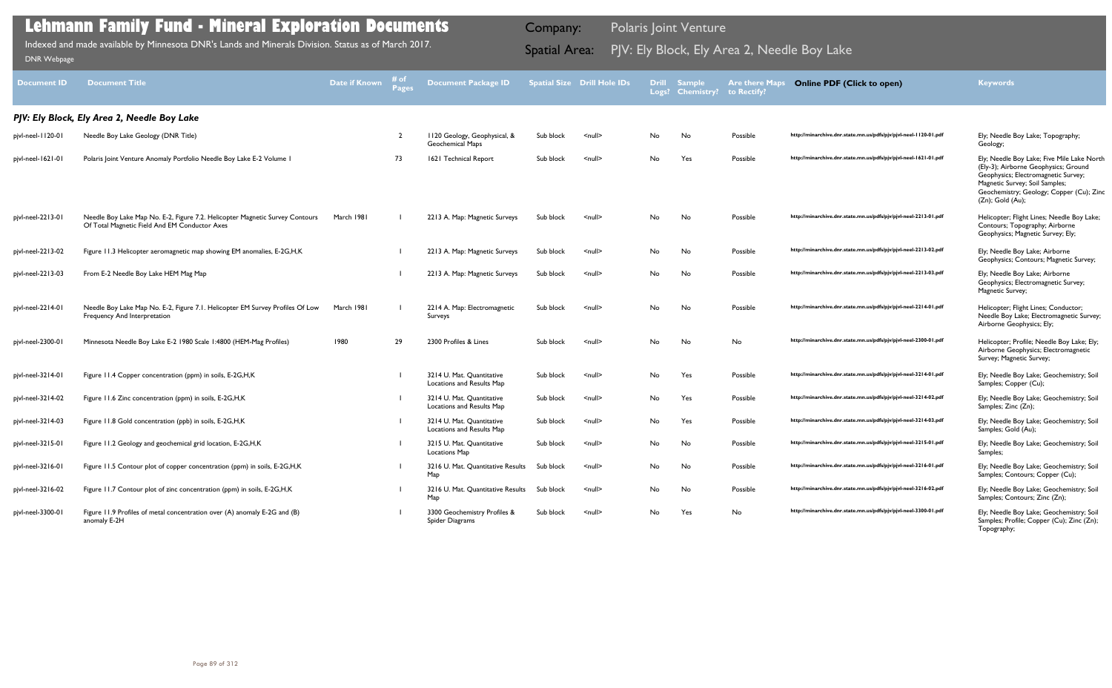| <b>Document ID</b> | <b>Document Title</b>                                                                                                         | <b>Date if Known</b> | # of<br><b>Pages</b> | <b>Document Package ID</b>                             |           | <b>Spatial Size Drill Hole IDs</b> | <b>Drill</b> | <b>Sample</b><br>Logs? Chemistry? | <b>Are there Maps</b><br>to Rectify? | <b>Online PDF (Click to open)</b>                                | <b>Keywords</b>                                                                                                                                                                                                                   |
|--------------------|-------------------------------------------------------------------------------------------------------------------------------|----------------------|----------------------|--------------------------------------------------------|-----------|------------------------------------|--------------|-----------------------------------|--------------------------------------|------------------------------------------------------------------|-----------------------------------------------------------------------------------------------------------------------------------------------------------------------------------------------------------------------------------|
|                    | PJV: Ely Block, Ely Area 2, Needle Boy Lake                                                                                   |                      |                      |                                                        |           |                                    |              |                                   |                                      |                                                                  |                                                                                                                                                                                                                                   |
| pjvl-neel-1120-01  | Needle Boy Lake Geology (DNR Title)                                                                                           |                      | $\overline{2}$       | 1120 Geology, Geophysical, &<br>Geochemical Maps       | Sub block | $null$                             | No           | No                                | Possible                             | http://minarchive.dnr.state.mn.us/pdfs/pjv/pjvl-neel-1120-01.pdf | Ely; Needle Boy Lake; Topography;<br>Geology;                                                                                                                                                                                     |
| pjvl-neel-1621-01  | Polaris Joint Venture Anomaly Portfolio Needle Boy Lake E-2 Volume I                                                          |                      | 73                   | 1621 Technical Report                                  | Sub block | <null></null>                      | No           | Yes                               | Possible                             | http://minarchive.dnr.state.mn.us/pdfs/pjv/pjvl-neel-1621-01.pdf | Ely; Needle Boy Lake; Five Mile Lake North<br>(Ely-3); Airborne Geophysics; Ground<br>Geophysics; Electromagnetic Survey;<br>Magnetic Survey; Soil Samples;<br>Geochemistry; Geology; Copper (Cu); Zinc<br>$(Zn)$ ; Gold $(Au)$ ; |
| pjvl-neel-2213-01  | Needle Boy Lake Map No. E-2, Figure 7.2. Helicopter Magnetic Survey Contours<br>Of Total Magnetic Field And EM Conductor Axes | March 1981           |                      | 2213 A. Map: Magnetic Surveys                          | Sub block | $<$ null $>$                       | No           | No                                | Possible                             | http://minarchive.dnr.state.mn.us/pdfs/pjv/pjvl-neel-2213-01.pdf | Helicopter; Flight Lines; Needle Boy Lake;<br>Contours; Topography; Airborne<br>Geophysics; Magnetic Survey; Ely;                                                                                                                 |
| pjvl-neel-2213-02  | Figure 11.3 Helicopter aeromagnetic map showing EM anomalies, E-2G, H, K                                                      |                      |                      | 2213 A. Map: Magnetic Surveys                          | Sub block | $null$                             | No           | No                                | Possible                             | http://minarchive.dnr.state.mn.us/pdfs/pjv/pjvl-neel-2213-02.pdf | Ely; Needle Boy Lake; Airborne<br>Geophysics; Contours; Magnetic Survey;                                                                                                                                                          |
| pjvl-neel-2213-03  | From E-2 Needle Boy Lake HEM Mag Map                                                                                          |                      |                      | 2213 A. Map: Magnetic Surveys                          | Sub block | $<$ null $>$                       | No           | No                                | Possible                             | http://minarchive.dnr.state.mn.us/pdfs/pjv/pjvl-neel-2213-03.pdf | Ely; Needle Boy Lake; Airborne<br>Geophysics; Electromagnetic Survey;<br>Magnetic Survey;                                                                                                                                         |
| pjvl-neel-2214-01  | Needle Boy Lake Map No. E-2, Figure 7.1. Helicopter EM Survey Profiles Of Low<br>Frequency And Interpretation                 | March 1981           |                      | 2214 A. Map: Electromagnetic<br>Surveys                | Sub block | $\leq$ null $\geq$                 | No           | No                                | Possible                             | http://minarchive.dnr.state.mn.us/pdfs/pjv/pjvl-neel-2214-01.pdf | Helicopter; Flight Lines; Conductor;<br>Needle Boy Lake; Electromagnetic Survey;<br>Airborne Geophysics; Ely;                                                                                                                     |
| pjvl-neel-2300-01  | Minnesota Needle Boy Lake E-2 1980 Scale 1:4800 (HEM-Mag Profiles)                                                            | 1980                 | 29                   | 2300 Profiles & Lines                                  | Sub block | $<$ null $>$                       | No           | No                                | No                                   | http://minarchive.dnr.state.mn.us/pdfs/pjv/pjvl-neel-2300-01.pdf | Helicopter; Profile; Needle Boy Lake; Ely;<br>Airborne Geophysics; Electromagnetic<br>Survey; Magnetic Survey;                                                                                                                    |
| pjvl-neel-3214-01  | Figure 11.4 Copper concentration (ppm) in soils, E-2G, H, K                                                                   |                      |                      | 3214 U. Mat. Quantitative<br>Locations and Results Map | Sub block | $null$                             | No           | Yes                               | Possible                             | http://minarchive.dnr.state.mn.us/pdfs/pjv/pjvl-neel-3214-01.pdf | Ely; Needle Boy Lake; Geochemistry; Soil<br>Samples; Copper (Cu);                                                                                                                                                                 |
| pjvl-neel-3214-02  | Figure 11.6 Zinc concentration (ppm) in soils, E-2G, H, K                                                                     |                      |                      | 3214 U. Mat. Quantitative<br>Locations and Results Map | Sub block | $\leq$ null $\geq$                 | No           | Yes                               | Possible                             | http://minarchive.dnr.state.mn.us/pdfs/pjv/pjvl-neel-3214-02.pdf | Ely; Needle Boy Lake; Geochemistry; Soil<br>Samples; Zinc (Zn);                                                                                                                                                                   |
| pjvl-neel-3214-03  | Figure 11.8 Gold concentration (ppb) in soils, E-2G, H, K                                                                     |                      |                      | 3214 U. Mat. Quantitative<br>Locations and Results Map | Sub block | $\leq$ null $\geq$                 | No           | Yes                               | Possible                             | http://minarchive.dnr.state.mn.us/pdfs/pjv/pjvl-neel-3214-03.pdf | Ely; Needle Boy Lake; Geochemistry; Soil<br>Samples; Gold (Au);                                                                                                                                                                   |
| pjvl-neel-3215-01  | Figure 11.2 Geology and geochemical grid location, E-2G, H, K                                                                 |                      |                      | 3215 U. Mat. Quantitative<br><b>Locations Map</b>      | Sub block | $\leq$ null $\geq$                 | No.          | No                                | Possible                             | http://minarchive.dnr.state.mn.us/pdfs/pjv/pjvl-neel-3215-01.pdf | Ely; Needle Boy Lake; Geochemistry; Soil<br>Samples;                                                                                                                                                                              |
| pjvl-neel-3216-01  | Figure 11.5 Contour plot of copper concentration (ppm) in soils, E-2G, H, K                                                   |                      |                      | 3216 U. Mat. Quantitative Results<br>Map               | Sub block | <null></null>                      | No           | No                                | Possible                             | http://minarchive.dnr.state.mn.us/pdfs/pjv/pjvl-neel-3216-01.pdf | Ely; Needle Boy Lake; Geochemistry; Soil<br>Samples; Contours; Copper (Cu);                                                                                                                                                       |
| pjvl-neel-3216-02  | Figure 11.7 Contour plot of zinc concentration (ppm) in soils, E-2G, H, K                                                     |                      |                      | 3216 U. Mat. Quantitative Results<br>Map               | Sub block | $\leq$ null $\geq$                 | No           | No                                | Possible                             | http://minarchive.dnr.state.mn.us/pdfs/pjv/pjvl-neel-3216-02.pdf | Ely; Needle Boy Lake; Geochemistry; Soil<br>Samples; Contours; Zinc (Zn);                                                                                                                                                         |
| pjvl-neel-3300-01  | Figure 11.9 Profiles of metal concentration over (A) anomaly E-2G and (B)<br>anomaly E-2H                                     |                      |                      | 3300 Geochemistry Profiles &<br>Spider Diagrams        | Sub block | <null></null>                      | No           | Yes                               | No                                   | http://minarchive.dnr.state.mn.us/pdfs/pjv/pjvl-neel-3300-01.pdf | Ely; Needle Boy Lake; Geochemistry; Soil<br>Samples; Profile; Copper (Cu); Zinc (Zn);<br>Topography;                                                                                                                              |

Indexed and made available by Minnesota DNR's Lands and Minerals Division. Status as of March 2017. **Indexed and Area:** PJV: Ely Block, Ely Area 2, Needle Boy Lake [DNR Webpage](http://www.dnr.state.mn.us/lands_minerals/polaris/index.html)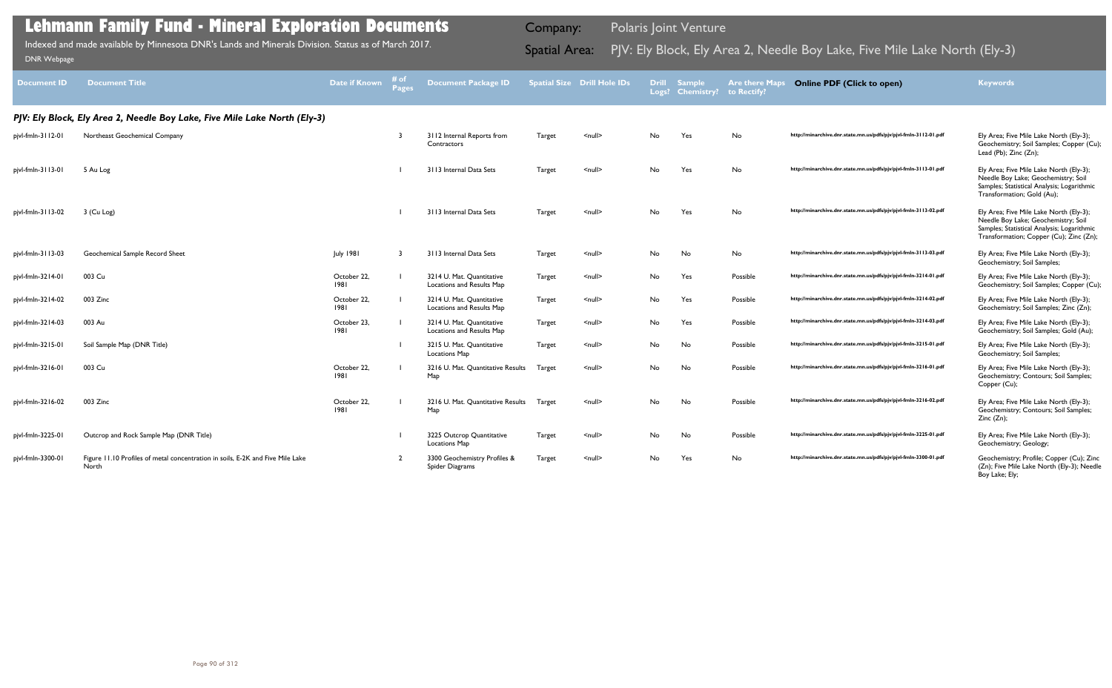| <b>Document ID</b> | <b>Document Title</b>                                                                   | <b>Date if Known</b> | # of<br>Pages | <b>Document Package ID</b>                             |               | <b>Spatial Size Drill Hole IDs</b> |     | <b>Drill Sample</b><br>Logs? Chemistry? to Rectify? | <b>Are there Maps</b> | <b>Online PDF (Click to open)</b>                                   | <b>Keywords</b>                                                                                                                                                         |
|--------------------|-----------------------------------------------------------------------------------------|----------------------|---------------|--------------------------------------------------------|---------------|------------------------------------|-----|-----------------------------------------------------|-----------------------|---------------------------------------------------------------------|-------------------------------------------------------------------------------------------------------------------------------------------------------------------------|
|                    | PJV: Ely Block, Ely Area 2, Needle Boy Lake, Five Mile Lake North (Ely-3)               |                      |               |                                                        |               |                                    |     |                                                     |                       |                                                                     |                                                                                                                                                                         |
| pjvl-fmln-3112-01  | Northeast Geochemical Company                                                           |                      |               | 3112 Internal Reports from<br>Contractors              | Target        | $\leq$ null $\geq$                 | No  | Yes                                                 | No                    | http://minarchive.dnr.state.mn.us/pdfs/pjv/pjvl-fmln-3     2-01.pdf | Ely Area; Five Mile Lake North (Ely-3);<br>Geochemistry; Soil Samples; Copper (Cu);<br>Lead (Pb); Zinc (Zn);                                                            |
| pjvl-fmln-3113-01  | 5 Au Log                                                                                |                      |               | 3113 Internal Data Sets                                | <b>Target</b> | $null$                             | No  | Yes                                                 | No                    | http://minarchive.dnr.state.mn.us/pdfs/pjv/pjvl-fmln-3113-01.pdf    | Ely Area; Five Mile Lake North (Ely-3);<br>Needle Boy Lake; Geochemistry; Soil<br>Samples; Statistical Analysis; Logarithmic<br>Transformation; Gold (Au);              |
| pjvl-fmln-3113-02  | 3 (Cu Log)                                                                              |                      |               | 3113 Internal Data Sets                                | <b>Target</b> | $null$                             | No  | Yes                                                 | No                    | http://minarchive.dnr.state.mn.us/pdfs/pjv/pjvl-fmln-3113-02.pdf    | Ely Area; Five Mile Lake North (Ely-3);<br>Needle Boy Lake; Geochemistry; Soil<br>Samples; Statistical Analysis; Logarithmic<br>Transformation; Copper (Cu); Zinc (Zn); |
| pjvl-fmln-3113-03  | Geochemical Sample Record Sheet                                                         | <b>July 1981</b>     |               | 3113 Internal Data Sets                                | Target        | $null$                             | No  | No                                                  | No                    | http://minarchive.dnr.state.mn.us/pdfs/pjv/pjvl-fmln-3113-03.pdf    | Ely Area; Five Mile Lake North (Ely-3);<br>Geochemistry; Soil Samples;                                                                                                  |
| pjvl-fmln-3214-01  | 003 Cu                                                                                  | October 22,<br>1981  |               | 3214 U. Mat. Quantitative<br>Locations and Results Map | Target        | $\leq$ null $\geq$                 | No  | Yes                                                 | Possible              | http://minarchive.dnr.state.mn.us/pdfs/pjv/pjvl-fmln-3214-01.pdf    | Ely Area; Five Mile Lake North (Ely-3);<br>Geochemistry; Soil Samples; Copper (Cu);                                                                                     |
| pjvl-fmln-3214-02  | 003 Zinc                                                                                | October 22,<br>1981  |               | 3214 U. Mat. Quantitative<br>Locations and Results Map | Target        | $null$                             | No  | Yes                                                 | Possible              | http://minarchive.dnr.state.mn.us/pdfs/pjv/pjvl-fmln-3214-02.pdf    | Ely Area; Five Mile Lake North (Ely-3);<br>Geochemistry; Soil Samples; Zinc (Zn);                                                                                       |
| pjvl-fmln-3214-03  | 003 Au                                                                                  | October 23,<br>1981  |               | 3214 U. Mat. Quantitative<br>Locations and Results Map | Target        | $null$                             | No  | Yes                                                 | Possible              | http://minarchive.dnr.state.mn.us/pdfs/pjv/pjvl-fmln-3214-03.pdf    | Ely Area; Five Mile Lake North (Ely-3);<br>Geochemistry; Soil Samples; Gold (Au);                                                                                       |
| pjvl-fmln-3215-01  | Soil Sample Map (DNR Title)                                                             |                      |               | 3215 U. Mat. Quantitative<br><b>Locations Map</b>      | Target        | $null$                             | No. | No                                                  | Possible              | http://minarchive.dnr.state.mn.us/pdfs/pjv/pjvl-fmln-3215-01.pdf    | Ely Area; Five Mile Lake North (Ely-3);<br>Geochemistry; Soil Samples;                                                                                                  |
| pjvl-fmln-3216-01  | 003 Cu                                                                                  | October 22,<br>1981  |               | 3216 U. Mat. Quantitative Results<br>Map               | Target        | $null$                             | No  | No                                                  | Possible              | http://minarchive.dnr.state.mn.us/pdfs/pjv/pjvl-fmln-3216-01.pdf    | Ely Area; Five Mile Lake North (Ely-3);<br>Geochemistry; Contours; Soil Samples;<br>Copper (Cu);                                                                        |
| pjvl-fmln-3216-02  | 003 Zinc                                                                                | October 22,<br>1981  |               | 3216 U. Mat. Quantitative Results<br>Map               | Target        | $null$                             | No  | No                                                  | Possible              | http://minarchive.dnr.state.mn.us/pdfs/pjv/pjvl-fmln-3216-02.pdf    | Ely Area; Five Mile Lake North (Ely-3);<br>Geochemistry; Contours; Soil Samples;<br>Zinc (Zn);                                                                          |
| pjvl-fmln-3225-01  | Outcrop and Rock Sample Map (DNR Title)                                                 |                      |               | 3225 Outcrop Quantitative<br>Locations Map             | Target        | $null$                             | No  | No                                                  | Possible              | http://minarchive.dnr.state.mn.us/pdfs/pjv/pjvl-fmln-3225-01.pdf    | Ely Area; Five Mile Lake North (Ely-3);<br>Geochemistry; Geology;                                                                                                       |
| pjvl-fmln-3300-01  | Figure 11.10 Profiles of metal concentration in soils, E-2K and Five Mile Lake<br>North |                      |               | 3300 Geochemistry Profiles &<br>Spider Diagrams        | Target        | $null$                             | No  | Yes                                                 | No                    | http://minarchive.dnr.state.mn.us/pdfs/pjv/pjvl-fmln-3300-01.pdf    | Geochemistry; Profile; Copper (Cu); Zinc<br>(Zn); Five Mile Lake North (Ely-3); Needle<br>Boy Lake; Ely;                                                                |

Indexed and made available by Minnesota DNR's Lands and Minerals Division. Status as of March 2017.

Company: Polaris Joint Venture

# Indexed and made available by Minnesota DNR's Lands and Minerals Division. Status as of March 2017. **Spatial Area:** PJV: Ely Block, Ely Area 2, Needle Boy Lake, Five Mile Lake North (Ely-3) DNR Webpage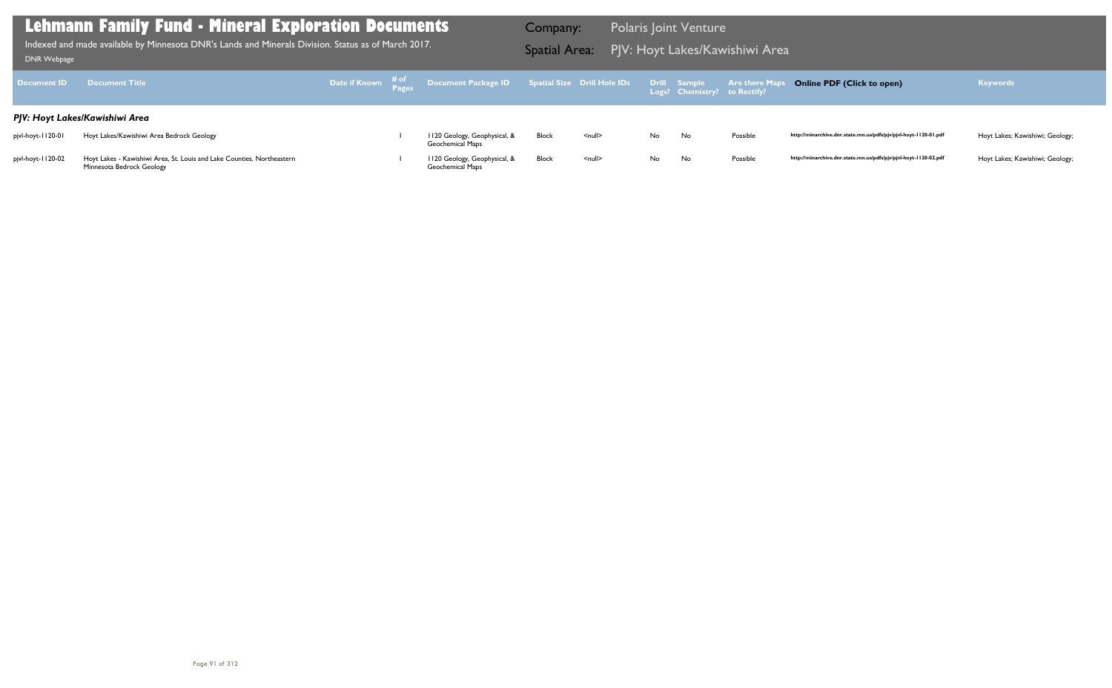| <b>Document ID</b> | <b>Document Title</b>                                                                               |  | Date if Known $\frac{\text{\# of}}{\text{\# pages}}$ Document Package ID Spatial Size Drill Hole IDs |              |               |     | Drill Sample<br>Logs? Chemistry? to Rectify? | <b>Are there Maps</b> |
|--------------------|-----------------------------------------------------------------------------------------------------|--|------------------------------------------------------------------------------------------------------|--------------|---------------|-----|----------------------------------------------|-----------------------|
|                    | PJV: Hoyt Lakes/Kawishiwi Area                                                                      |  |                                                                                                      |              |               |     |                                              |                       |
| pjvl-hoyt-1120-01  | Hoyt Lakes/Kawishiwi Area Bedrock Geology                                                           |  | 1120 Geology, Geophysical, &<br><b>Geochemical Maps</b>                                              | Block        | <null></null> | No. | No.                                          | Possible              |
| pjvl-hoyt-1120-02  | Hoyt Lakes - Kawishiwi Area, St. Louis and Lake Counties, Northeastern<br>Minnesota Bedrock Geology |  | 1120 Geology, Geophysical, &<br>Geochemical Maps                                                     | <b>Block</b> | $<$ null $>$  | No. | No                                           | Possible              |

PJV: Hoyt Lakes/Kawishiwi Area Indexed and made available by Minnesota DNR's Lands and Minerals Division. Status as of March 2017. Spatial Area: [DNR Webpage](http://www.dnr.state.mn.us/lands_minerals/polaris/index.html)

Company: Polaris Joint Venture

## **Online PDF (Click to open) Keywords**

http://minarchive.dnr.state.mn.us/pdfs/pjv/pjvl-hoyt-1120-01.pdf Hoyt Lakes; Kawishiwi; Geology;

http://minarchive.dnr.state.mn.us/pdfs/pjv/pjvl-hoyt-1120-02.pdf Hoyt Lakes; Kawishiwi; Geology;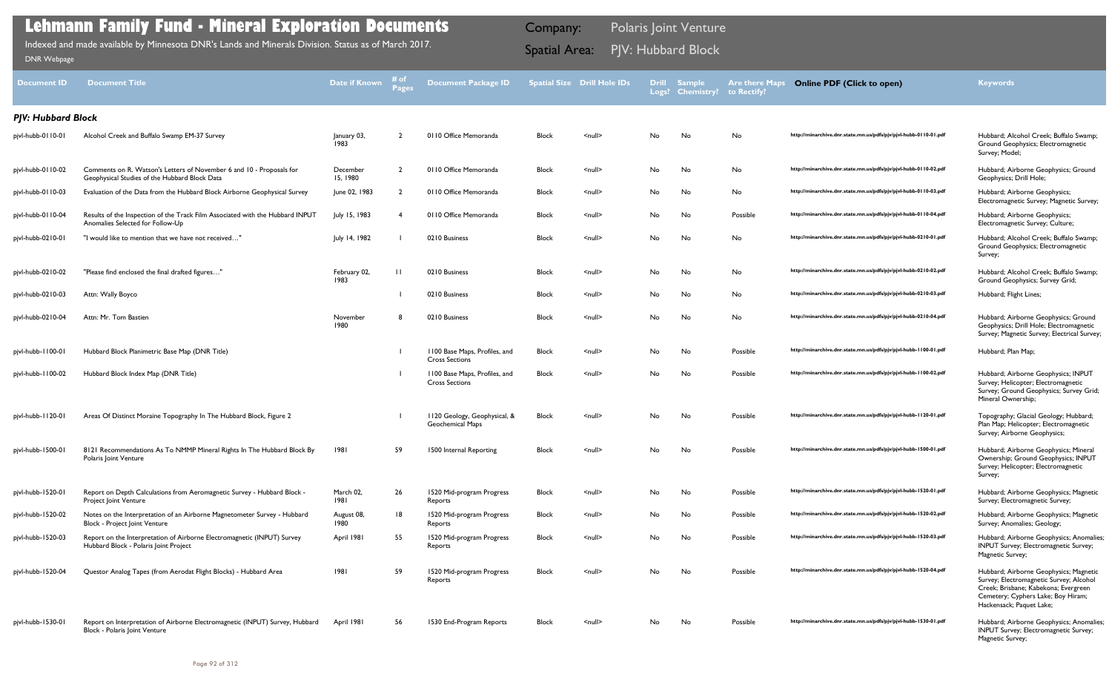| Block | <null></null> | No        | No | No       | http://minarchive.dnr.state.mn.us/pdfs/pjv/pjvl-hubb-0110-01.pdf | Hubbard; Alcohol Creek; Buffalo Swamp;<br>Ground Geophysics; Electromagnetic<br>Survey; Model;                                                                                              |
|-------|---------------|-----------|----|----------|------------------------------------------------------------------|---------------------------------------------------------------------------------------------------------------------------------------------------------------------------------------------|
| Block | <null></null> | No        | No | No       | http://minarchive.dnr.state.mn.us/pdfs/pjv/pjvl-hubb-0110-02.pdf | Hubbard; Airborne Geophysics; Ground<br>Geophysics; Drill Hole;                                                                                                                             |
| Block | <null></null> | No.       | No | No       | http://minarchive.dnr.state.mn.us/pdfs/pjv/pjvl-hubb-0110-03.pdf | Hubbard; Airborne Geophysics;<br>Electromagnetic Survey; Magnetic Survey;                                                                                                                   |
| Block | <null></null> | No        | No | Possible | http://minarchive.dnr.state.mn.us/pdfs/pjv/pjvl-hubb-0110-04.pdf | Hubbard; Airborne Geophysics;<br>Electromagnetic Survey; Culture;                                                                                                                           |
| Block | <null></null> | No        | No | No       | http://minarchive.dnr.state.mn.us/pdfs/pjv/pjvl-hubb-0210-01.pdf | Hubbard; Alcohol Creek; Buffalo Swamp;<br>Ground Geophysics; Electromagnetic<br>Survey;                                                                                                     |
| Block | <null></null> | No.       | No | No       | http://minarchive.dnr.state.mn.us/pdfs/pjv/pjvl-hubb-0210-02.pdf | Hubbard; Alcohol Creek; Buffalo Swamp;<br>Ground Geophysics; Survey Grid;                                                                                                                   |
| Block | <null></null> | No        | No | No       | http://minarchive.dnr.state.mn.us/pdfs/pjv/pjvl-hubb-0210-03.pdf | Hubbard; Flight Lines;                                                                                                                                                                      |
| Block | <null></null> | No        | No | No       | http://minarchive.dnr.state.mn.us/pdfs/pjv/pjvl-hubb-0210-04.pdf | Hubbard; Airborne Geophysics; Ground<br>Geophysics; Drill Hole; Electromagnetic<br>Survey; Magnetic Survey; Electrical Survey;                                                              |
| Block | <null></null> | No.       | No | Possible | http://minarchive.dnr.state.mn.us/pdfs/pjv/pjvl-hubb-1100-01.pdf | Hubbard; Plan Map;                                                                                                                                                                          |
| Block | <null></null> | No.       | No | Possible | http://minarchive.dnr.state.mn.us/pdfs/pjv/pjvl-hubb-1100-02.pdf | Hubbard; Airborne Geophysics; INPUT<br>Survey; Helicopter; Electromagnetic<br>Survey; Ground Geophysics; Survey Grid;<br>Mineral Ownership;                                                 |
| Block | <null></null> | No.       | No | Possible | http://minarchive.dnr.state.mn.us/pdfs/pjv/pjvl-hubb-1120-01.pdf | Topography; Glacial Geology; Hubbard;<br>Plan Map; Helicopter; Electromagnetic<br>Survey; Airborne Geophysics;                                                                              |
| Block | <null></null> | No        | No | Possible | http://minarchive.dnr.state.mn.us/pdfs/pjv/pjvl-hubb-1500-01.pdf | Hubbard; Airborne Geophysics; Mineral<br>Ownership; Ground Geophysics; INPUT<br>Survey; Helicopter; Electromagnetic<br>Survey;                                                              |
| Block | <null></null> | No.       | No | Possible | http://minarchive.dnr.state.mn.us/pdfs/pjv/pjvl-hubb-1520-01.pdf | Hubbard; Airborne Geophysics; Magnetic<br>Survey; Electromagnetic Survey;                                                                                                                   |
| Block | <null></null> | No        | No | Possible | http://minarchive.dnr.state.mn.us/pdfs/pjv/pjvl-hubb-1520-02.pdf | Hubbard; Airborne Geophysics; Magnetic<br>Survey; Anomalies; Geology;                                                                                                                       |
| Block | <null></null> | <b>No</b> | No | Possible | http://minarchive.dnr.state.mn.us/pdfs/pjv/pjvl-hubb-1520-03.pdf | Hubbard; Airborne Geophysics; Anomalies;<br>INPUT Survey; Electromagnetic Survey;<br>Magnetic Survey;                                                                                       |
| Block | <null></null> | No        | No | Possible | http://minarchive.dnr.state.mn.us/pdfs/pjv/pjvl-hubb-1520-04.pdf | Hubbard; Airborne Geophysics; Magnetic<br>Survey; Electromagnetic Survey; Alcohol<br>Creek; Brisbane; Kabekona; Evergreen<br>Cemetery; Cyphers Lake; Boy Hiram;<br>Hackensack; Paquet Lake; |
| Block | <null></null> | No.       | No | Possible | http://minarchive.dnr.state.mn.us/pdfs/pjv/pjvl-hubb-1530-01.pdf | Hubbard; Airborne Geophysics; Anomalies;<br>INPUT Survey; Electromagnetic Survey;<br>Magnetic Survey;                                                                                       |

| <b>Document ID</b>        | <b>Document Title</b>                                                                                                 | <b>Date if Known</b> | # of<br><b>Pages</b> | <b>Document Package ID</b>                             |              | <b>Spatial Size Drill Hole IDs</b> | <b>Drill</b><br>Logs? | Sample,<br><b>Chemistry?</b> | <b>Are there Maps</b><br>to Rectify? | <b>Online PDF (Click to open)</b>                                | <b>Keywords</b>                                                                                                                                                                             |
|---------------------------|-----------------------------------------------------------------------------------------------------------------------|----------------------|----------------------|--------------------------------------------------------|--------------|------------------------------------|-----------------------|------------------------------|--------------------------------------|------------------------------------------------------------------|---------------------------------------------------------------------------------------------------------------------------------------------------------------------------------------------|
| <b>PJV: Hubbard Block</b> |                                                                                                                       |                      |                      |                                                        |              |                                    |                       |                              |                                      |                                                                  |                                                                                                                                                                                             |
| pjvl-hubb-0110-01         | Alcohol Creek and Buffalo Swamp EM-37 Survey                                                                          | January 03,<br>1983  | $\overline{2}$       | 0110 Office Memoranda                                  | <b>Block</b> | <null></null>                      | No                    | No                           | No                                   | http://minarchive.dnr.state.mn.us/pdfs/pjv/pjvl-hubb-0110-01.pdf | Hubbard; Alcohol Creek; Buffalo Swamp;<br>Ground Geophysics; Electromagnetic<br>Survey; Model;                                                                                              |
| pjvl-hubb-0110-02         | Comments on R. Watson's Letters of November 6 and 10 - Proposals for<br>Geophysical Studies of the Hubbard Block Data | December<br>15, 1980 | $\overline{2}$       | 0110 Office Memoranda                                  | <b>Block</b> | <null></null>                      | No                    | No                           | No                                   | http://minarchive.dnr.state.mn.us/pdfs/pjv/pjvl-hubb-0110-02.pdf | Hubbard; Airborne Geophysics; Ground<br>Geophysics; Drill Hole;                                                                                                                             |
| pjvl-hubb-0110-03         | Evaluation of the Data from the Hubbard Block Airborne Geophysical Survey                                             | June 02, 1983        |                      | 0110 Office Memoranda                                  | <b>Block</b> | $\leq$ null $\geq$                 | No                    | No                           | No                                   | http://minarchive.dnr.state.mn.us/pdfs/pjv/pjvl-hubb-0110-03.pdf | Hubbard; Airborne Geophysics;<br>Electromagnetic Survey; Magnetic Survey;                                                                                                                   |
| pjvl-hubb-0110-04         | Results of the Inspection of the Track Film Associated with the Hubbard INPUT<br>Anomalies Selected for Follow-Up     | July 15, 1983        |                      | 0110 Office Memoranda                                  | <b>Block</b> | <null></null>                      | No.                   | No                           | Possible                             | http://minarchive.dnr.state.mn.us/pdfs/pjv/pjvl-hubb-0110-04.pdf | Hubbard; Airborne Geophysics;<br>Electromagnetic Survey; Culture;                                                                                                                           |
| pjvl-hubb-0210-01         | "I would like to mention that we have not received"                                                                   | July 14, 1982        |                      | 0210 Business                                          | <b>Block</b> | $\leq$ null $\geq$                 | No                    | No                           | No                                   | http://minarchive.dnr.state.mn.us/pdfs/pjv/pjvl-hubb-0210-01.pdf | Hubbard; Alcohol Creek; Buffalo Swamp;<br>Ground Geophysics; Electromagnetic<br>Survey;                                                                                                     |
| pjvl-hubb-0210-02         | "Please find enclosed the final drafted figures"                                                                      | February 02,<br>1983 | $\mathbf{H}$         | 0210 Business                                          | <b>Block</b> | <null></null>                      | No                    | No                           | No                                   | http://minarchive.dnr.state.mn.us/pdfs/pjv/pjvl-hubb-0210-02.pdf | Hubbard; Alcohol Creek; Buffalo Swamp;<br>Ground Geophysics; Survey Grid;                                                                                                                   |
| pjvl-hubb-0210-03         | Attn: Wally Boyco                                                                                                     |                      |                      | 0210 Business                                          | <b>Block</b> | <null></null>                      | No                    | No                           | No                                   | http://minarchive.dnr.state.mn.us/pdfs/pjv/pjvl-hubb-0210-03.pdf | Hubbard; Flight Lines;                                                                                                                                                                      |
| pjvl-hubb-0210-04         | Attn: Mr. Tom Bastien                                                                                                 | November<br>1980     |                      | 0210 Business                                          | <b>Block</b> | <null></null>                      | No                    | No                           | No                                   | http://minarchive.dnr.state.mn.us/pdfs/pjv/pjvl-hubb-0210-04.pdf | Hubbard; Airborne Geophysics; Ground<br>Geophysics; Drill Hole; Electromagnetic<br>Survey; Magnetic Survey; Electrical Survey;                                                              |
| pjvl-hubb-1100-01         | Hubbard Block Planimetric Base Map (DNR Title)                                                                        |                      |                      | 1100 Base Maps, Profiles, and<br><b>Cross Sections</b> | <b>Block</b> | <null></null>                      | No                    | No                           | Possible                             | http://minarchive.dnr.state.mn.us/pdfs/pjv/pjvl-hubb-1100-01.pdf | Hubbard; Plan Map;                                                                                                                                                                          |
| pjvl-hubb-1100-02         | Hubbard Block Index Map (DNR Title)                                                                                   |                      |                      | 1100 Base Maps, Profiles, and<br><b>Cross Sections</b> | <b>Block</b> | $\leq$ null $\geq$                 | No                    | No                           | Possible                             | http://minarchive.dnr.state.mn.us/pdfs/pjv/pjvl-hubb-1100-02.pdf | Hubbard; Airborne Geophysics; INPUT<br>Survey; Helicopter; Electromagnetic<br>Survey; Ground Geophysics; Survey Grid;<br>Mineral Ownership;                                                 |
| pjvl-hubb-1120-01         | Areas Of Distinct Moraine Topography In The Hubbard Block, Figure 2                                                   |                      |                      | 1120 Geology, Geophysical, &<br>Geochemical Maps       | <b>Block</b> | <null></null>                      | No.                   | No                           | Possible                             | http://minarchive.dnr.state.mn.us/pdfs/pjv/pjvl-hubb-1120-01.pdf | Topography; Glacial Geology; Hubbard;<br>Plan Map; Helicopter; Electromagnetic<br>Survey; Airborne Geophysics;                                                                              |
| pjvl-hubb-1500-01         | 8121 Recommendations As To NMMP Mineral Rights In The Hubbard Block By<br>Polaris Joint Venture                       | 1981                 | 59                   | 1500 Internal Reporting                                | <b>Block</b> | <null></null>                      | No.                   | No                           | Possible                             | http://minarchive.dnr.state.mn.us/pdfs/pjv/pjvl-hubb-1500-01.pdf | Hubbard; Airborne Geophysics; Mineral<br>Ownership; Ground Geophysics; INPUT<br>Survey; Helicopter; Electromagnetic<br>Survey;                                                              |
| pjvl-hubb-1520-01         | Report on Depth Calculations from Aeromagnetic Survey - Hubbard Block -<br>Project Joint Venture                      | March 02,<br>1981    | 26                   | 1520 Mid-program Progress<br>Reports                   | <b>Block</b> | <null></null>                      | No                    | No                           | Possible                             | http://minarchive.dnr.state.mn.us/pdfs/pjv/pjvl-hubb-1520-01.pdf | Hubbard; Airborne Geophysics; Magnetic<br>Survey; Electromagnetic Survey;                                                                                                                   |
| pjvl-hubb-1520-02         | Notes on the Interpretation of an Airborne Magnetometer Survey - Hubbard<br>Block - Project Joint Venture             | August 08,<br>1980   | 8                    | 1520 Mid-program Progress<br>Reports                   | Block        | $\leq$ null $\geq$                 | No                    | No                           | Possible                             | http://minarchive.dnr.state.mn.us/pdfs/pjv/pjvl-hubb-1520-02.pdf | Hubbard; Airborne Geophysics; Magnetic<br>Survey; Anomalies; Geology;                                                                                                                       |
| pjvl-hubb-1520-03         | Report on the Interpretation of Airborne Electromagnetic (INPUT) Survey<br>Hubbard Block - Polaris Joint Project      | April 1981           | 55                   | 1520 Mid-program Progress<br>Reports                   | Block        | $\leq$ null $\geq$                 | No                    | No                           | Possible                             | http://minarchive.dnr.state.mn.us/pdfs/pjv/pjvl-hubb-1520-03.pdf | Hubbard; Airborne Geophysics; Anomalies;<br>INPUT Survey; Electromagnetic Survey;<br>Magnetic Survey;                                                                                       |
| pjvl-hubb-1520-04         | Questor Analog Tapes (from Aerodat Flight Blocks) - Hubbard Area                                                      | 1981                 | 59                   | 1520 Mid-program Progress<br>Reports                   | <b>Block</b> | <null></null>                      | No                    | No                           | Possible                             | http://minarchive.dnr.state.mn.us/pdfs/pjv/pjvl-hubb-1520-04.pdf | Hubbard; Airborne Geophysics; Magnetic<br>Survey; Electromagnetic Survey; Alcohol<br>Creek; Brisbane; Kabekona; Evergreen<br>Cemetery; Cyphers Lake; Boy Hiram;<br>Hackensack; Paquet Lake; |
| pjvl-hubb-1530-01         | Report on Interpretation of Airborne Electromagnetic (INPUT) Survey, Hubbard<br>Block - Polaris Joint Venture         | April 1981           | 56                   | 1530 End-Program Reports                               | <b>Block</b> | <null></null>                      | No                    | No                           | Possible                             | http://minarchive.dnr.state.mn.us/pdfs/pjv/pjvl-hubb-1530-01.pdf | Hubbard; Airborne Geophysics; Anomalies;<br>INPUT Survey; Electromagnetic Survey;<br>Magnetic Survey:                                                                                       |

Indexed and made available by Minnesota DNR's Lands and Minerals Division. Status as of March 2017. **Spatial Area:** PJV: Hubbard Block ו[DNR Webpage](http://www.dnr.state.mn.us/lands_minerals/polaris/index.html)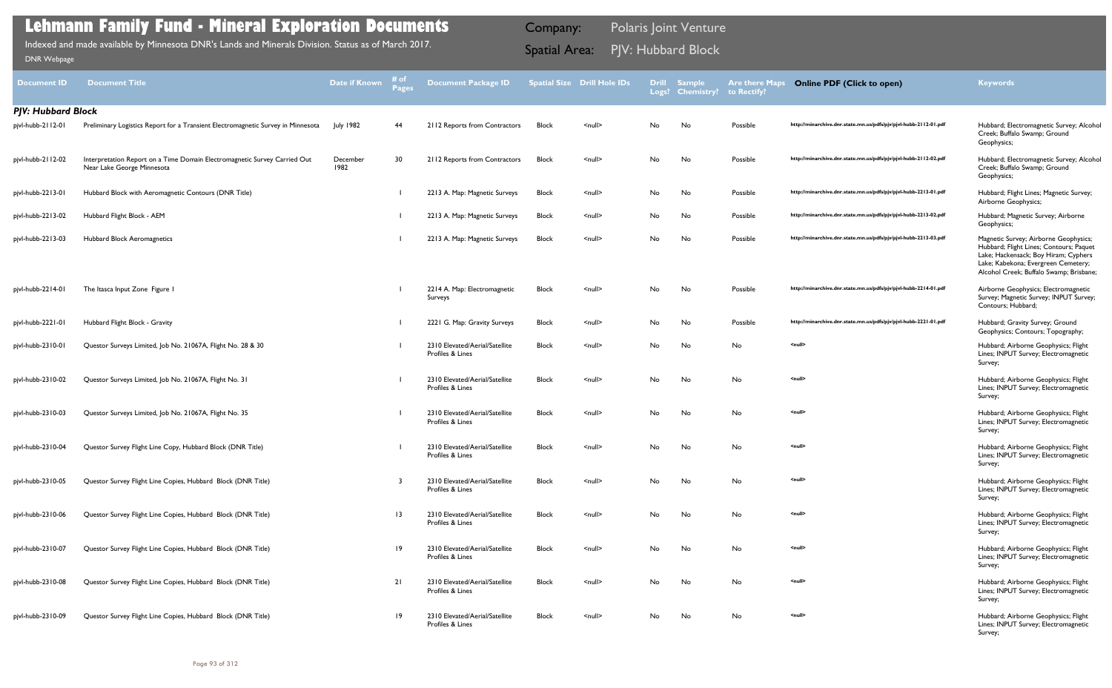| Document ID               | <b>Document Title</b>                                                                                   | Date if Known    | # of<br>Pages   | <b>Document Package ID</b>                         |              | <b>Spatial Size Drill Hole IDs</b> | <b>Drill</b> | Sample<br>Logs? Chemistry? to Rectify? | <b>Are there Maps</b>        | <b>Online PDF (Click to open)</b>                                | <b>Keywords</b>                                                                                                                                                                                            |
|---------------------------|---------------------------------------------------------------------------------------------------------|------------------|-----------------|----------------------------------------------------|--------------|------------------------------------|--------------|----------------------------------------|------------------------------|------------------------------------------------------------------|------------------------------------------------------------------------------------------------------------------------------------------------------------------------------------------------------------|
| <b>PJV: Hubbard Block</b> |                                                                                                         |                  |                 |                                                    |              |                                    |              |                                        |                              |                                                                  |                                                                                                                                                                                                            |
| pjvl-hubb-2112-01         | Preliminary Logistics Report for a Transient Electromagnetic Survey in Minnesota                        | July 1982        | 44              | 2112 Reports from Contractors                      | <b>Block</b> | $null$                             | No           | No                                     | Possible                     | http://minarchive.dnr.state.mn.us/pdfs/pjv/pjvl-hubb-2112-01.pdf | Hubbard; Electromagnetic Survey; Alcohol<br>Creek; Buffalo Swamp; Ground<br>Geophysics;                                                                                                                    |
| pjvl-hubb-2112-02         | Interpretation Report on a Time Domain Electromagnetic Survey Carried Out<br>Near Lake George Minnesota | December<br>1982 | 30              | 2112 Reports from Contractors                      | <b>Block</b> | $\leq$ null $\geq$                 | No           | No                                     | Possible                     | http://minarchive.dnr.state.mn.us/pdfs/pjv/pjvl-hubb-2112-02.pdf | Hubbard; Electromagnetic Survey; Alcohol<br>Creek; Buffalo Swamp; Ground<br>Geophysics;                                                                                                                    |
| pjvl-hubb-2213-01         | Hubbard Block with Aeromagnetic Contours (DNR Title)                                                    |                  |                 | 2213 A. Map: Magnetic Surveys                      | <b>Block</b> | $\leq$ null $\geq$                 | No           | No                                     | Possible                     | http://minarchive.dnr.state.mn.us/pdfs/pjv/pjvl-hubb-2213-01.pdf | Hubbard; Flight Lines; Magnetic Survey;<br>Airborne Geophysics;                                                                                                                                            |
| pjvl-hubb-2213-02         | Hubbard Flight Block - AEM                                                                              |                  |                 | 2213 A. Map: Magnetic Surveys                      | <b>Block</b> | $null$                             | No           | No                                     | Possible                     | http://minarchive.dnr.state.mn.us/pdfs/pjv/pjvl-hubb-2213-02.pdf | Hubbard; Magnetic Survey; Airborne<br>Geophysics;                                                                                                                                                          |
| pjvl-hubb-2213-03         | Hubbard Block Aeromagnetics                                                                             |                  |                 | 2213 A. Map: Magnetic Surveys                      | <b>Block</b> | $\leq$ null $\geq$                 | No           | No                                     | Possible                     | http://minarchive.dnr.state.mn.us/pdfs/pjv/pjvl-hubb-2213-03.pdf | Magnetic Survey; Airborne Geophysics;<br>Hubbard; Flight Lines; Contours; Paquet<br>Lake; Hackensack; Boy Hiram; Cyphers<br>Lake; Kabekona; Evergreen Cemetery;<br>Alcohol Creek; Buffalo Swamp; Brisbane; |
| pjvl-hubb-2214-01         | The Itasca Input Zone Figure I                                                                          |                  |                 | 2214 A. Map: Electromagnetic<br>Surveys            | <b>Block</b> | $\leq$ null $\geq$                 | No           | No                                     | Possible                     | http://minarchive.dnr.state.mn.us/pdfs/pjv/pjvl-hubb-2214-01.pdf | Airborne Geophysics; Electromagnetic<br>Survey; Magnetic Survey; INPUT Survey;<br>Contours; Hubbard;                                                                                                       |
| pjvl-hubb-2221-01         | Hubbard Flight Block - Gravity                                                                          |                  |                 | 2221 G. Map: Gravity Surveys                       | Block        | $null$                             | No           | No                                     | Possible                     | http://minarchive.dnr.state.mn.us/pdfs/pjv/pjvl-hubb-2221-01.pdf | Hubbard; Gravity Survey; Ground<br>Geophysics; Contours; Topography;                                                                                                                                       |
| pjvl-hubb-2310-01         | Questor Surveys Limited, Job No. 21067A, Flight No. 28 & 30                                             |                  |                 | 2310 Elevated/Aerial/Satellite<br>Profiles & Lines | <b>Block</b> | $null$                             | No           | No                                     | No                           | <null></null>                                                    | Hubbard; Airborne Geophysics; Flight<br>Lines; INPUT Survey; Electromagnetic<br>Survey;                                                                                                                    |
| pjvl-hubb-2310-02         | Questor Surveys Limited, Job No. 21067A, Flight No. 31                                                  |                  |                 | 2310 Elevated/Aerial/Satellite<br>Profiles & Lines | <b>Block</b> | $\leq$ null $\geq$                 | No           | No                                     | No                           | <null></null>                                                    | Hubbard; Airborne Geophysics; Flight<br>Lines; INPUT Survey; Electromagnetic<br>Survey;                                                                                                                    |
| pjvl-hubb-2310-03         | Questor Surveys Limited, Job No. 21067A, Flight No. 35                                                  |                  |                 | 2310 Elevated/Aerial/Satellite<br>Profiles & Lines | <b>Block</b> | $null$                             | No           | No                                     | No                           | <null></null>                                                    | Hubbard; Airborne Geophysics; Flight<br>Lines; INPUT Survey; Electromagnetic<br>Survey;                                                                                                                    |
| pjvl-hubb-2310-04         | Questor Survey Flight Line Copy, Hubbard Block (DNR Title)                                              |                  |                 | 2310 Elevated/Aerial/Satellite<br>Profiles & Lines | <b>Block</b> | $\leq$ null $\geq$                 | No.          | No                                     | No                           | <null></null>                                                    | Hubbard; Airborne Geophysics; Flight<br>Lines; INPUT Survey; Electromagnetic<br>Survey;                                                                                                                    |
| pjvl-hubb-2310-05         | Questor Survey Flight Line Copies, Hubbard Block (DNR Title)                                            |                  | -3              | 2310 Elevated/Aerial/Satellite<br>Profiles & Lines | Block        | $null$                             | No           | No                                     | No                           | <null></null>                                                    | Hubbard; Airborne Geophysics; Flight<br>Lines; INPUT Survey; Electromagnetic<br>Survey;                                                                                                                    |
| pjvl-hubb-2310-06         | Questor Survey Flight Line Copies, Hubbard Block (DNR Title)                                            |                  | $\overline{13}$ | 2310 Elevated/Aerial/Satellite<br>Profiles & Lines | <b>Block</b> | $\leq$ null $\geq$                 | No           | No                                     | $\operatorname{\mathsf{No}}$ | <null></null>                                                    | Hubbard; Airborne Geophysics; Flight<br>Lines; INPUT Survey; Electromagnetic<br>Survey;                                                                                                                    |
| pjvl-hubb-2310-07         | Questor Survey Flight Line Copies, Hubbard Block (DNR Title)                                            |                  | 19              | 2310 Elevated/Aerial/Satellite<br>Profiles & Lines | Block        | $\leq$ null $\geq$                 | No           | No                                     | $\operatorname{\mathsf{No}}$ | <null></null>                                                    | Hubbard; Airborne Geophysics; Flight<br>Lines; INPUT Survey; Electromagnetic<br>Survey;                                                                                                                    |
| pjvl-hubb-2310-08         | Questor Survey Flight Line Copies, Hubbard Block (DNR Title)                                            |                  | 21              | 2310 Elevated/Aerial/Satellite<br>Profiles & Lines | Block        | $null$                             | No           | No                                     | No                           | <null></null>                                                    | Hubbard; Airborne Geophysics; Flight<br>Lines; INPUT Survey; Electromagnetic<br>Survey;                                                                                                                    |
| pjvl-hubb-2310-09         | Questor Survey Flight Line Copies, Hubbard Block (DNR Title)                                            |                  | $ 9\rangle$     | 2310 Elevated/Aerial/Satellite<br>Profiles & Lines | Block        | $\leq$ null $\geq$                 | No           | No                                     | No                           | <null></null>                                                    | Hubbard; Airborne Geophysics; Flight<br>Lines; INPUT Survey; Electromagnetic<br>Survey;                                                                                                                    |

Indexed and made available by Minnesota DNR's Lands and Minerals Division. Status as of March 2017. **Spatial Area:** PJV: Hubbard Block ו[DNR Webpage](http://www.dnr.state.mn.us/lands_minerals/polaris/index.html)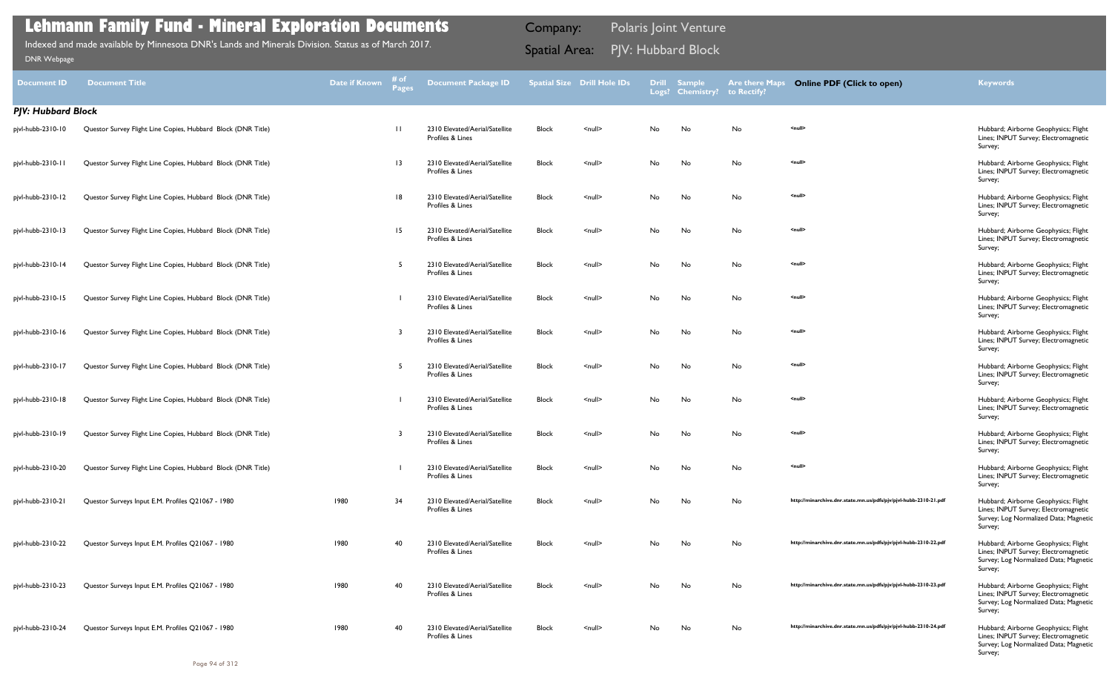| <b>Document ID</b>        | <b>Document Title</b>                                        | Date if Known | # of<br>Pages   | <b>Document Package ID</b>                         |              | <b>Spatial Size Drill Hole IDs</b> | <b>Drill</b><br>Logs? | <b>Sample</b><br><b>Chemistry?</b> | <b>Are there Maps</b><br>to Rectify? | <b>Online PDF (Click to open)</b>                                | <b>Keywords</b>                                                                                                                  |
|---------------------------|--------------------------------------------------------------|---------------|-----------------|----------------------------------------------------|--------------|------------------------------------|-----------------------|------------------------------------|--------------------------------------|------------------------------------------------------------------|----------------------------------------------------------------------------------------------------------------------------------|
| <b>PJV: Hubbard Block</b> |                                                              |               |                 |                                                    |              |                                    |                       |                                    |                                      |                                                                  |                                                                                                                                  |
| pjvl-hubb-2310-10         | Questor Survey Flight Line Copies, Hubbard Block (DNR Title) |               | $\Box$          | 2310 Elevated/Aerial/Satellite<br>Profiles & Lines | <b>Block</b> | $null$                             | No                    | No                                 | No                                   | <null></null>                                                    | Hubbard; Airborne Geophysics; Flight<br>Lines; INPUT Survey; Electromagnetic<br>Survey;                                          |
| pjvl-hubb-2310-11         | Questor Survey Flight Line Copies, Hubbard Block (DNR Title) |               | $\overline{13}$ | 2310 Elevated/Aerial/Satellite<br>Profiles & Lines | <b>Block</b> | $\leq$ null $\geq$                 | No                    | No                                 | No                                   | <null></null>                                                    | Hubbard; Airborne Geophysics; Flight<br>Lines; INPUT Survey; Electromagnetic<br>Survey;                                          |
| pjvl-hubb-2310-12         | Questor Survey Flight Line Copies, Hubbard Block (DNR Title) |               | 18              | 2310 Elevated/Aerial/Satellite<br>Profiles & Lines | <b>Block</b> | <null></null>                      | No                    | No                                 | No                                   | <null></null>                                                    | Hubbard; Airborne Geophysics; Flight<br>Lines; INPUT Survey; Electromagnetic<br>Survey;                                          |
| pjvl-hubb-2310-13         | Questor Survey Flight Line Copies, Hubbard Block (DNR Title) |               | 15              | 2310 Elevated/Aerial/Satellite<br>Profiles & Lines | <b>Block</b> | $\leq$ null $\geq$                 | No                    | No                                 | No                                   | <null></null>                                                    | Hubbard; Airborne Geophysics; Flight<br>Lines; INPUT Survey; Electromagnetic<br>Survey;                                          |
| pjvl-hubb-2310-14         | Questor Survey Flight Line Copies, Hubbard Block (DNR Title) |               |                 | 2310 Elevated/Aerial/Satellite<br>Profiles & Lines | <b>Block</b> | $\leq$ null $\geq$                 | No                    | No                                 | No                                   | <null></null>                                                    | Hubbard; Airborne Geophysics; Flight<br>Lines; INPUT Survey; Electromagnetic<br>Survey;                                          |
| pjvl-hubb-2310-15         | Questor Survey Flight Line Copies, Hubbard Block (DNR Title) |               |                 | 2310 Elevated/Aerial/Satellite<br>Profiles & Lines | <b>Block</b> | $\leq$ null $\geq$                 | No                    | No                                 | No                                   | <null></null>                                                    | Hubbard; Airborne Geophysics; Flight<br>Lines; INPUT Survey; Electromagnetic<br>Survey;                                          |
| pjvl-hubb-2310-16         | Questor Survey Flight Line Copies, Hubbard Block (DNR Title) |               |                 | 2310 Elevated/Aerial/Satellite<br>Profiles & Lines | <b>Block</b> | $null$                             | No                    | No                                 | No                                   | <null></null>                                                    | Hubbard; Airborne Geophysics; Flight<br>Lines; INPUT Survey; Electromagnetic<br>Survey;                                          |
| pjvl-hubb-2310-17         | Questor Survey Flight Line Copies, Hubbard Block (DNR Title) |               | -5              | 2310 Elevated/Aerial/Satellite<br>Profiles & Lines | <b>Block</b> | $\leq$ null $\geq$                 | No                    | No                                 | No                                   | <null></null>                                                    | Hubbard; Airborne Geophysics; Flight<br>Lines; INPUT Survey; Electromagnetic<br>Survey;                                          |
| pjvl-hubb-2310-18         | Questor Survey Flight Line Copies, Hubbard Block (DNR Title) |               |                 | 2310 Elevated/Aerial/Satellite<br>Profiles & Lines | <b>Block</b> | $null$                             | No                    | No                                 | No                                   | <null></null>                                                    | Hubbard; Airborne Geophysics; Flight<br>Lines; INPUT Survey; Electromagnetic<br>Survey;                                          |
| pjvl-hubb-2310-19         | Questor Survey Flight Line Copies, Hubbard Block (DNR Title) |               |                 | 2310 Elevated/Aerial/Satellite<br>Profiles & Lines | <b>Block</b> | $\leq$ null $\geq$                 | No                    | No                                 | No                                   | <null></null>                                                    | Hubbard; Airborne Geophysics; Flight<br>Lines; INPUT Survey; Electromagnetic<br>Survey;                                          |
| pjvl-hubb-2310-20         | Questor Survey Flight Line Copies, Hubbard Block (DNR Title) |               |                 | 2310 Elevated/Aerial/Satellite<br>Profiles & Lines | <b>Block</b> | $null$                             | No                    | No                                 | No                                   | <null></null>                                                    | Hubbard; Airborne Geophysics; Flight<br>Lines; INPUT Survey; Electromagnetic<br>Survey;                                          |
| pjvl-hubb-2310-21         | Questor Surveys Input E.M. Profiles Q21067 - 1980            | 1980          | 34              | 2310 Elevated/Aerial/Satellite<br>Profiles & Lines | Block        | $\leq$ null $\geq$                 | No                    | No                                 | No                                   | http://minarchive.dnr.state.mn.us/pdfs/pjv/pjvl-hubb-2310-21.pdf | Hubbard; Airborne Geophysics; Flight<br>Lines; INPUT Survey; Electromagnetic<br>Survey; Log Normalized Data; Magnetic<br>Survey; |
| pjvl-hubb-2310-22         | Questor Surveys Input E.M. Profiles Q21067 - 1980            | 1980          | -40             | 2310 Elevated/Aerial/Satellite<br>Profiles & Lines | <b>Block</b> | $\leq$ null $\geq$                 | No                    | No                                 | No                                   | http://minarchive.dnr.state.mn.us/pdfs/pjv/pjvl-hubb-2310-22.pdf | Hubbard; Airborne Geophysics; Flight<br>Lines; INPUT Survey; Electromagnetic<br>Survey; Log Normalized Data; Magnetic<br>Survey; |
| pjvl-hubb-2310-23         | Questor Surveys Input E.M. Profiles Q21067 - 1980            | 1980          | -40             | 2310 Elevated/Aerial/Satellite<br>Profiles & Lines | <b>Block</b> | $\leq$ null $\geq$                 | No                    | No                                 | No                                   | http://minarchive.dnr.state.mn.us/pdfs/pjv/pjvl-hubb-2310-23.pdf | Hubbard; Airborne Geophysics; Flight<br>Lines; INPUT Survey; Electromagnetic<br>Survey; Log Normalized Data; Magnetic<br>Survey; |
| pjvl-hubb-2310-24         | Questor Surveys Input E.M. Profiles Q21067 - 1980            | 1980          | 40              | 2310 Elevated/Aerial/Satellite<br>Profiles & Lines | Block        | $null$                             | No                    | No                                 | No                                   | http://minarchive.dnr.state.mn.us/pdfs/pjv/pjvl-hubb-2310-24.pdf | Hubbard; Airborne Geophysics; Flight<br>Lines; INPUT Survey; Electromagnetic<br>Survey; Log Normalized Data; Magnetic<br>Survey; |

Indexed and made available by Minnesota DNR's Lands and Minerals Division. Status as of March 2017. **Spatial Area:** PJV: Hubbard Block ו[DNR Webpage](http://www.dnr.state.mn.us/lands_minerals/polaris/index.html)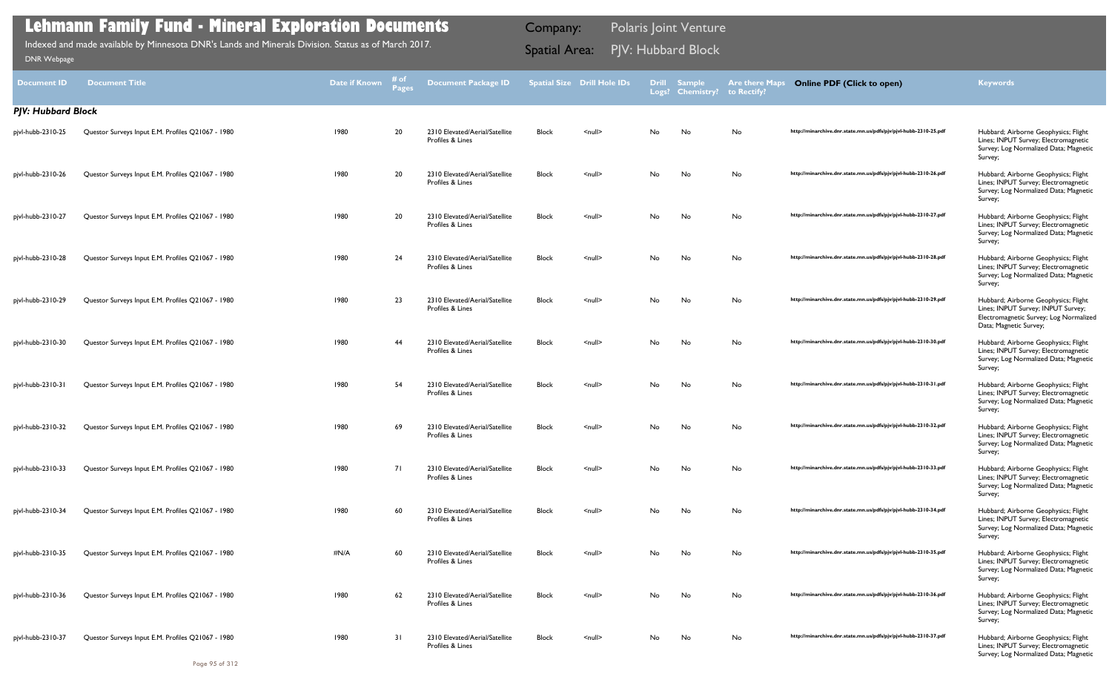| <b>Document ID</b>        | <b>Document Title</b>                             | <b>Date if Known</b> | # of<br><b>Pages</b> | <b>Document Package ID</b>                         |              | <b>Spatial Size Drill Hole IDs</b> |     | Drill Sample<br>Logs? Chemistry? to Rectify? | <b>Are there Maps</b> | <b>Online PDF (Click to open)</b>                                | <b>Keywords</b>                                                                                                                                |
|---------------------------|---------------------------------------------------|----------------------|----------------------|----------------------------------------------------|--------------|------------------------------------|-----|----------------------------------------------|-----------------------|------------------------------------------------------------------|------------------------------------------------------------------------------------------------------------------------------------------------|
| <b>PJV: Hubbard Block</b> |                                                   |                      |                      |                                                    |              |                                    |     |                                              |                       |                                                                  |                                                                                                                                                |
| pjvl-hubb-2310-25         | Questor Surveys Input E.M. Profiles Q21067 - 1980 | 1980                 | 20                   | 2310 Elevated/Aerial/Satellite<br>Profiles & Lines | <b>Block</b> | $\leq$ null $\geq$                 | No. | No                                           | No                    | http://minarchive.dnr.state.mn.us/pdfs/pjv/pjvl-hubb-2310-25.pdf | Hubbard; Airborne Geophysics; Flight<br>Lines; INPUT Survey; Electromagnetic<br>Survey; Log Normalized Data; Magnetic<br>Survey;               |
| pjvl-hubb-2310-26         | Questor Surveys Input E.M. Profiles Q21067 - 1980 | 1980                 | 20                   | 2310 Elevated/Aerial/Satellite<br>Profiles & Lines | <b>Block</b> | $\leq$ null $\geq$                 | No  | No                                           | No                    | http://minarchive.dnr.state.mn.us/pdfs/pjv/pjvl-hubb-2310-26.pdf | Hubbard; Airborne Geophysics; Flight<br>Lines; INPUT Survey; Electromagnetic<br>Survey; Log Normalized Data; Magnetic<br>Survey;               |
| pjvl-hubb-2310-27         | Questor Surveys Input E.M. Profiles Q21067 - 1980 | 1980                 | 20                   | 2310 Elevated/Aerial/Satellite<br>Profiles & Lines | Block        | $\leq$ null $\geq$                 | No. | No                                           | No                    | http://minarchive.dnr.state.mn.us/pdfs/pjv/pjvl-hubb-2310-27.pdf | Hubbard; Airborne Geophysics; Flight<br>Lines; INPUT Survey; Electromagnetic<br>Survey; Log Normalized Data; Magnetic<br>Survey;               |
| pjvl-hubb-2310-28         | Questor Surveys Input E.M. Profiles Q21067 - 1980 | 1980                 | 24                   | 2310 Elevated/Aerial/Satellite<br>Profiles & Lines | Block        | $\leq$ null $\geq$                 | No. | No                                           | No                    | http://minarchive.dnr.state.mn.us/pdfs/pjv/pjvl-hubb-2310-28.pdf | Hubbard; Airborne Geophysics; Flight<br>Lines; INPUT Survey; Electromagnetic<br>Survey; Log Normalized Data; Magnetic<br>Survey;               |
| pjvl-hubb-2310-29         | Questor Surveys Input E.M. Profiles Q21067 - 1980 | 1980                 | 23                   | 2310 Elevated/Aerial/Satellite<br>Profiles & Lines | Block        | $\leq$ null $\geq$                 | No. | No                                           | No                    | http://minarchive.dnr.state.mn.us/pdfs/pjv/pjvl-hubb-2310-29.pdf | Hubbard; Airborne Geophysics; Flight<br>Lines; INPUT Survey; INPUT Survey;<br>Electromagnetic Survey; Log Normalized<br>Data; Magnetic Survey; |
| pjvl-hubb-2310-30         | Questor Surveys Input E.M. Profiles Q21067 - 1980 | 1980                 | 44                   | 2310 Elevated/Aerial/Satellite<br>Profiles & Lines | Block        | $\leq$ null $\geq$                 | No. | No                                           | No                    | http://minarchive.dnr.state.mn.us/pdfs/pjv/pjvl-hubb-2310-30.pdf | Hubbard; Airborne Geophysics; Flight<br>Lines; INPUT Survey; Electromagnetic<br>Survey; Log Normalized Data; Magnetic<br>Survey;               |
| pjvl-hubb-2310-31         | Questor Surveys Input E.M. Profiles Q21067 - 1980 | 1980                 | 54                   | 2310 Elevated/Aerial/Satellite<br>Profiles & Lines | <b>Block</b> | $\leq$ null $\geq$                 | No. | No                                           | No                    | http://minarchive.dnr.state.mn.us/pdfs/pjv/pjvl-hubb-2310-31.pdf | Hubbard; Airborne Geophysics; Flight<br>Lines; INPUT Survey; Electromagnetic<br>Survey; Log Normalized Data; Magnetic<br>Survey;               |
| pjvl-hubb-2310-32         | Questor Surveys Input E.M. Profiles Q21067 - 1980 | 1980                 | 69                   | 2310 Elevated/Aerial/Satellite<br>Profiles & Lines | <b>Block</b> | $\leq$ null $\geq$                 | No. | No                                           | No                    | http://minarchive.dnr.state.mn.us/pdfs/pjv/pjvl-hubb-2310-32.pdf | Hubbard; Airborne Geophysics; Flight<br>Lines; INPUT Survey; Electromagnetic<br>Survey; Log Normalized Data; Magnetic<br>Survey;               |
| pjvl-hubb-2310-33         | Questor Surveys Input E.M. Profiles Q21067 - 1980 | 1980                 | 71                   | 2310 Elevated/Aerial/Satellite<br>Profiles & Lines | <b>Block</b> | $\leq$ null $\geq$                 | No  | No                                           | No                    | http://minarchive.dnr.state.mn.us/pdfs/pjv/pjvl-hubb-2310-33.pdf | Hubbard; Airborne Geophysics; Flight<br>Lines; INPUT Survey; Electromagnetic<br>Survey; Log Normalized Data; Magnetic<br>Survey;               |
| pjvl-hubb-2310-34         | Questor Surveys Input E.M. Profiles Q21067 - 1980 | 1980                 | 60                   | 2310 Elevated/Aerial/Satellite<br>Profiles & Lines | <b>Block</b> | $\leq$ null $\geq$                 | No. | No                                           | No                    | http://minarchive.dnr.state.mn.us/pdfs/pjv/pjvl-hubb-2310-34.pdf | Hubbard; Airborne Geophysics; Flight<br>Lines; INPUT Survey; Electromagnetic<br>Survey; Log Normalized Data; Magnetic<br>Survey;               |
| pjvl-hubb-2310-35         | Questor Surveys Input E.M. Profiles Q21067 - 1980 | #N/A                 | 60                   | 2310 Elevated/Aerial/Satellite<br>Profiles & Lines | Block        | $\leq$ null $\geq$                 | No  | No                                           | No                    | http://minarchive.dnr.state.mn.us/pdfs/pjv/pjvl-hubb-2310-35.pdf | Hubbard; Airborne Geophysics; Flight<br>Lines; INPUT Survey; Electromagnetic<br>Survey; Log Normalized Data; Magnetic<br>Survey;               |
| pjvl-hubb-2310-36         | Questor Surveys Input E.M. Profiles Q21067 - 1980 | 1980                 | 62                   | 2310 Elevated/Aerial/Satellite<br>Profiles & Lines | Block        | $null$                             | No  | No                                           | No                    | http://minarchive.dnr.state.mn.us/pdfs/pjv/pjvl-hubb-2310-36.pdf | Hubbard; Airborne Geophysics; Flight<br>Lines; INPUT Survey; Electromagnetic<br>Survey; Log Normalized Data; Magnetic<br>Survey;               |
| pjvl-hubb-2310-37         | Questor Surveys Input E.M. Profiles Q21067 - 1980 | 1980                 | 31                   | 2310 Elevated/Aerial/Satellite<br>Profiles & Lines | <b>Block</b> | $\leq$ null $\geq$                 | No. | No                                           | No                    | http://minarchive.dnr.state.mn.us/pdfs/pjv/pjvl-hubb-2310-37.pdf | Hubbard; Airborne Geophysics; Flight<br>Lines; INPUT Survey; Electromagnetic<br>Survey; Log Normalized Data; Magnetic                          |

Indexed and made available by Minnesota DNR's Lands and Minerals Division. Status as of March 2017. **Spatial Area:** PJV: Hubbard Block ו[DNR Webpage](http://www.dnr.state.mn.us/lands_minerals/polaris/index.html)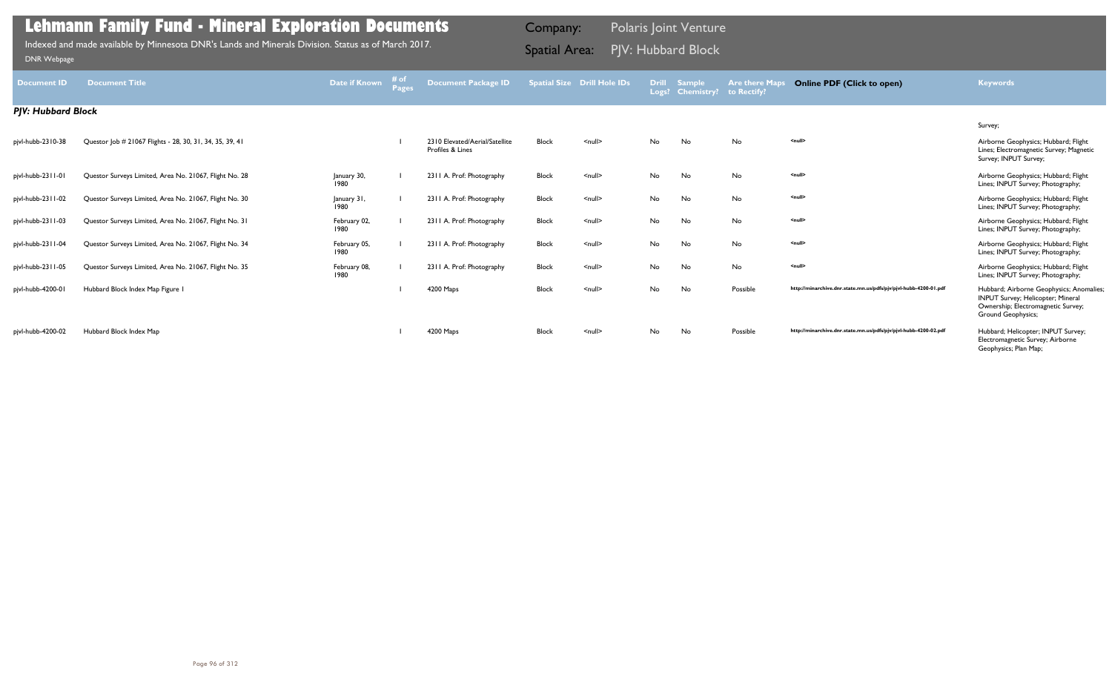| <b>Document ID</b>        | <b>Document Title</b>                                    | Date if Known        | # of<br>Pages | Document Package ID                                |              | <b>Spatial Size Drill Hole IDs</b> |           | <b>Drill Sample</b><br>Logs? Chemistry? | <b>Are there Maps</b><br>to Rectify? | <b>Online PDF (Click to open)</b>                                | <b>Keywords</b>                                                                                                                                   |
|---------------------------|----------------------------------------------------------|----------------------|---------------|----------------------------------------------------|--------------|------------------------------------|-----------|-----------------------------------------|--------------------------------------|------------------------------------------------------------------|---------------------------------------------------------------------------------------------------------------------------------------------------|
| <b>PJV: Hubbard Block</b> |                                                          |                      |               |                                                    |              |                                    |           |                                         |                                      |                                                                  |                                                                                                                                                   |
|                           |                                                          |                      |               |                                                    |              |                                    |           |                                         |                                      |                                                                  | Survey;                                                                                                                                           |
| pjvl-hubb-2310-38         | Questor Job # 21067 Flights - 28, 30, 31, 34, 35, 39, 41 |                      |               | 2310 Elevated/Aerial/Satellite<br>Profiles & Lines | <b>Block</b> | $\leq$ null $\geq$                 | <b>No</b> | No                                      | No                                   | <null></null>                                                    | Airborne Geophysics; Hubbard; Flight<br>Lines; Electromagnetic Survey; Magnetic<br>Survey; INPUT Survey;                                          |
| pjvl-hubb-2311-01         | Questor Surveys Limited, Area No. 21067, Flight No. 28   | January 30,<br>1980  |               | 2311 A. Prof: Photography                          | Block        | $\leq$ null $\geq$                 | No        | No                                      | No                                   | $\leq$ null $\geq$                                               | Airborne Geophysics; Hubbard; Flight<br>Lines; INPUT Survey; Photography;                                                                         |
| pjvl-hubb-2311-02         | Questor Surveys Limited, Area No. 21067, Flight No. 30   | January 31,<br>1980  |               | 2311 A. Prof: Photography                          | Block        | $\leq$ null $\geq$                 | No        | No                                      | No                                   | <null></null>                                                    | Airborne Geophysics; Hubbard; Flight<br>Lines; INPUT Survey; Photography;                                                                         |
| pjvl-hubb-2311-03         | Questor Surveys Limited, Area No. 21067, Flight No. 31   | February 02,<br>1980 |               | 2311 A. Prof: Photography                          | Block        | $\leq$ null $\geq$                 | No        | No                                      | No                                   | $null$                                                           | Airborne Geophysics; Hubbard; Flight<br>Lines; INPUT Survey; Photography;                                                                         |
| pjvl-hubb-2311-04         | Questor Surveys Limited, Area No. 21067, Flight No. 34   | February 05,<br>1980 |               | 2311 A. Prof: Photography                          | <b>Block</b> | $\leq$ null $\geq$                 | No        | No                                      | No                                   | <null></null>                                                    | Airborne Geophysics; Hubbard; Flight<br>Lines; INPUT Survey; Photography;                                                                         |
| pjvl-hubb-2311-05         | Questor Surveys Limited, Area No. 21067, Flight No. 35   | February 08,<br>1980 |               | 2311 A. Prof: Photography                          | <b>Block</b> | $\leq$ null $\geq$                 | No        | No                                      | No                                   | <null></null>                                                    | Airborne Geophysics; Hubbard; Flight<br>Lines; INPUT Survey; Photography;                                                                         |
| pjvl-hubb-4200-01         | Hubbard Block Index Map Figure I                         |                      |               | 4200 Maps                                          | <b>Block</b> | $\leq$ null $\geq$                 | No        | No                                      | Possible                             | http://minarchive.dnr.state.mn.us/pdfs/pjv/pjvl-hubb-4200-01.pdf | Hubbard; Airborne Geophysics; Anomalies;<br><b>INPUT Survey</b> ; Helicopter; Mineral<br>Ownership; Electromagnetic Survey;<br>Ground Geophysics; |
| pjvl-hubb-4200-02         | Hubbard Block Index Map                                  |                      |               | 4200 Maps                                          | <b>Block</b> | $\leq$ null $\geq$                 | No        | No                                      | Possible                             | http://minarchive.dnr.state.mn.us/pdfs/pjv/pjvl-hubb-4200-02.pdf | Hubbard; Helicopter; INPUT Survey;<br>Electromagnetic Survey; Airborne<br>Geophysics; Plan Map;                                                   |

Indexed and made available by Minnesota DNR's Lands and Minerals Division. Status as of March 2017. **Spatial Area:** PJV: Hubbard Block ו[DNR Webpage](http://www.dnr.state.mn.us/lands_minerals/polaris/index.html)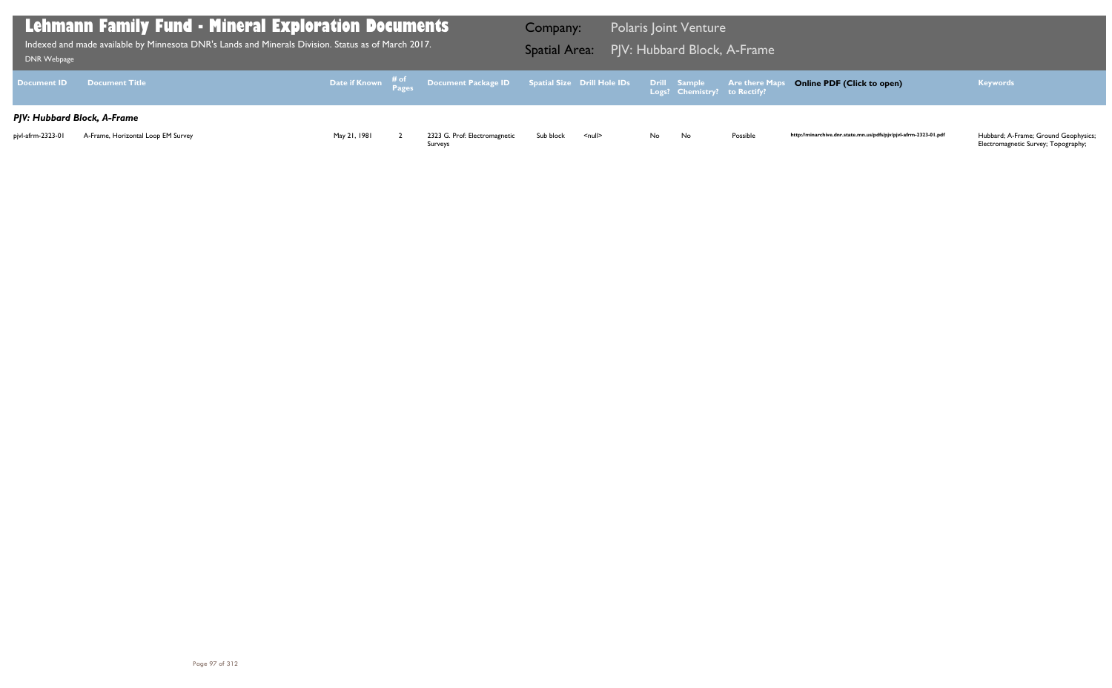| DNR Webpage                 | Lehmann Family Fund - Mineral Exploration Documents<br>Indexed and made available by Minnesota DNR's Lands and Minerals Division. Status as of March 2017. |              |                                                                               | Company:<br><b>Spatial Area:</b> |                    |     | <b>Polaris Joint Venture</b>                 | PJV: Hubbard Block, A-Frame |
|-----------------------------|------------------------------------------------------------------------------------------------------------------------------------------------------------|--------------|-------------------------------------------------------------------------------|----------------------------------|--------------------|-----|----------------------------------------------|-----------------------------|
| <b>Document ID</b>          | <b>Document Title</b>                                                                                                                                      |              | Date if Known # <sup>of</sup> Document Package ID Spatial Size Drill Hole IDs |                                  |                    |     | Drill Sample<br>Logs? Chemistry? to Rectify? | <b>Are there Maps</b>       |
| PJV: Hubbard Block, A-Frame |                                                                                                                                                            |              |                                                                               |                                  |                    |     |                                              |                             |
| pivl-afrm-2323-01           | A-Frame, Horizontal Loop EM Survey                                                                                                                         | May 21, 1981 | 2323 G. Prof: Electromagnetic<br>Surveys                                      | Sub block                        | $\leq$ null $\geq$ | No. | No                                           | Possible                    |

## **Online PDF (Click to open) Keywords**

http://minarchive.dnr.state.mn.us/pdfs/pjv/pjvl-afrm-2323-01.pdf

Hubbard; A-Frame; Ground Geophysics;<br>Electromagnetic Survey; Topography;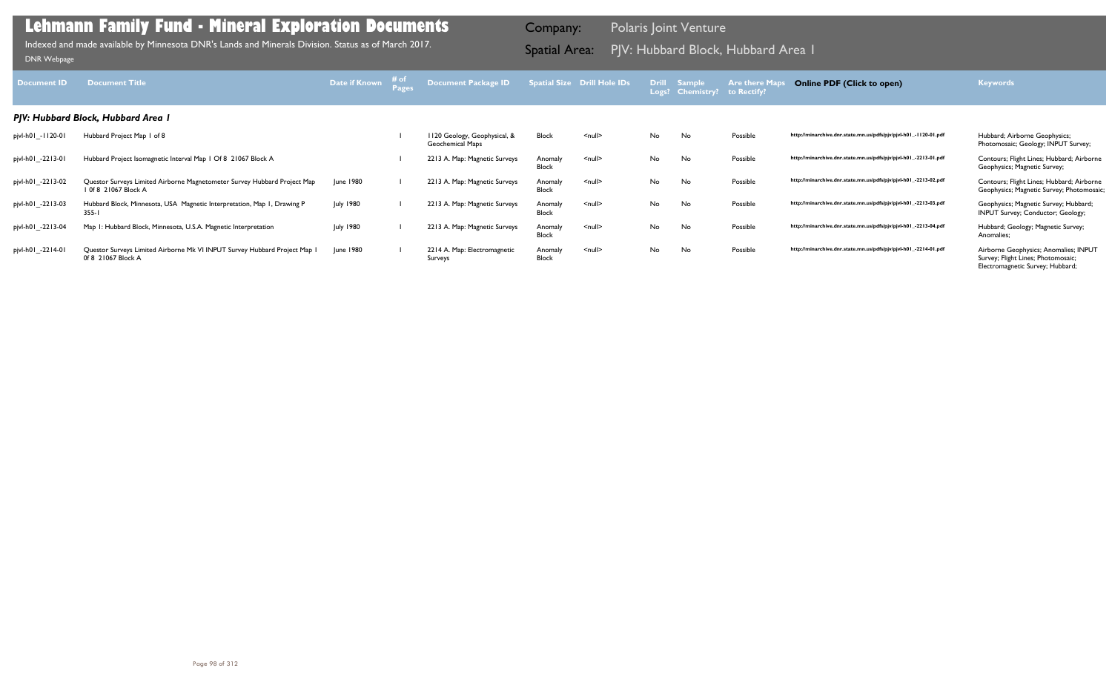|                  | atial Size Drill Hole IDs | <b>Drill</b><br>Logs? | <b>Sample</b><br><b>Chemistry?</b> | <b>Are there Maps</b><br>to Rectify? | <b>Online PDF (Click to open)</b>                                | <b>Keywords</b>                                                                                                 |
|------------------|---------------------------|-----------------------|------------------------------------|--------------------------------------|------------------------------------------------------------------|-----------------------------------------------------------------------------------------------------------------|
|                  |                           |                       |                                    |                                      |                                                                  |                                                                                                                 |
| <b>Block</b>     | $\leq$ null $\geq$        | No                    | No                                 | Possible                             | http://minarchive.dnr.state.mn.us/pdfs/pjv/pjvl-h01_-1120-01.pdf | Hubbard; Airborne Geophysics;<br>Photomosaic; Geology; INPUT Survey;                                            |
| Anomaly<br>Block | $\leq$ null $\geq$        | <b>No</b>             | No                                 | Possible                             | http://minarchive.dnr.state.mn.us/pdfs/pjv/pjvl-h01_-2213-01.pdf | Contours; Flight Lines; Hubbard; Airborne<br>Geophysics; Magnetic Survey;                                       |
| Anomaly<br>Block | $null$                    | No                    | No                                 | Possible                             | http://minarchive.dnr.state.mn.us/pdfs/pjv/pjvl-h01_-2213-02.pdf | Contours; Flight Lines; Hubbard; Airborne<br>Geophysics; Magnetic Survey; Photomosaic;                          |
| Anomaly<br>Block | $\leq$ null $\geq$        | No                    | No                                 | Possible                             | http://minarchive.dnr.state.mn.us/pdfs/pjv/pjvl-h01_-2213-03.pdf | Geophysics; Magnetic Survey; Hubbard;<br><b>INPUT Survey; Conductor; Geology;</b>                               |
| Anomaly<br>Block | $\leq$ null $\geq$        | No                    | No                                 | Possible                             | http://minarchive.dnr.state.mn.us/pdfs/pjv/pjvl-h01_-2213-04.pdf | Hubbard; Geology; Magnetic Survey;<br>Anomalies;                                                                |
| Anomaly<br>Block | $\leq$ null $\geq$        | No                    | No                                 | Possible                             | http://minarchive.dnr.state.mn.us/pdfs/pjv/pjvl-h01_-2214-01.pdf | Airborne Geophysics; Anomalies; INPUT<br>Survey; Flight Lines; Photomosaic;<br>Electromagnetic Survey; Hubbard; |

| <b>Document ID</b> | <b>Document Title</b>                                                                            | <b>Date if Known</b> | # of<br><b>Pages</b> | <b>Document Package ID</b>                              |                         | <b>Spatial Size Drill Hole IDs</b> | <b>Drill</b> | <b>Sample</b><br>Logs? Chemistry? | <b>Are there Maps</b><br>to Rectify? |
|--------------------|--------------------------------------------------------------------------------------------------|----------------------|----------------------|---------------------------------------------------------|-------------------------|------------------------------------|--------------|-----------------------------------|--------------------------------------|
|                    | PJV: Hubbard Block, Hubbard Area I                                                               |                      |                      |                                                         |                         |                                    |              |                                   |                                      |
| pjvl-h01_-1120-01  | Hubbard Project Map 1 of 8                                                                       |                      |                      | 1120 Geology, Geophysical, &<br><b>Geochemical Maps</b> | <b>Block</b>            | $\leq$ null $\geq$                 | No           | No                                | Possible                             |
| pjvl-h01_-2213-01  | Hubbard Project Isomagnetic Interval Map 1 Of 8 21067 Block A                                    |                      |                      | 2213 A. Map: Magnetic Surveys                           | Anomaly<br><b>Block</b> | $null$                             | No           | No                                | Possible                             |
| pjvl-h01_-2213-02  | Questor Surveys Limited Airborne Magnetometer Survey Hubbard Project Map<br>1 0f 8 21067 Block A | June 1980            |                      | 2213 A. Map: Magnetic Surveys                           | Anomaly<br><b>Block</b> | $null$                             | No           | No                                | Possible                             |
| pjvl-h01_-2213-03  | Hubbard Block, Minnesota, USA Magnetic Interpretation, Map I, Drawing P<br>$355 - 1$             | July 1980            |                      | 2213 A. Map: Magnetic Surveys                           | Anomaly<br><b>Block</b> | $null$                             | No           | <b>No</b>                         | Possible                             |
| pjvl-h01_-2213-04  | Map 1: Hubbard Block, Minnesota, U.S.A. Magnetic Interpretation                                  | <b>July 1980</b>     |                      | 2213 A. Map: Magnetic Surveys                           | Anomaly<br><b>Block</b> | $\leq$ null $\geq$                 | No           | No                                | Possible                             |
| pjvl-h01 -2214-01  | Questor Surveys Limited Airborne Mk VI INPUT Survey Hubbard Project Map I<br>0f 8 21067 Block A  | June 1980            |                      | 2214 A. Map: Electromagnetic<br>Surveys                 | Anomaly<br><b>Block</b> | $null$                             | No           | No                                | Possible                             |

Indexed and made available by Minnesota DNR's Lands and Minerals Division. Status as of March 2017. **Spatial Area:** PJV: Hubbard Block, Hubbard Area 1 Indexed and made available by Minnesota DNR's Lands and Minerals Divisi Indexed and made available by Minnesota DNR's Lands and Minerals Division. Status as of March 2017.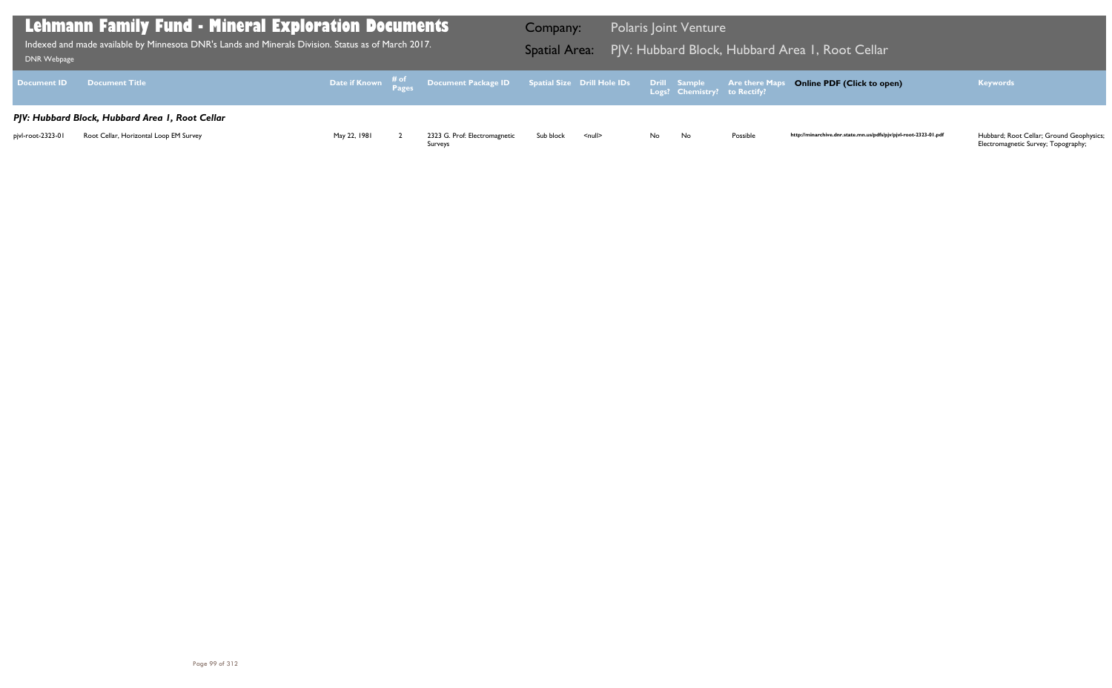| Lehmann Family Fund - Mineral Exploration Documents<br>$\mid$ Indexed and made available by Minnesota DNR's Lands and Minerals Division. Status as of March 2017. $\mid$<br>DNR Webpage |                                                                                           |              |  |                                                                                                | Company:  |               |      | <b>Polaris Joint Venture</b> |          | Spatial Area: PJV: Hubbard Block, Hubbard Area I, Root Cellar    |                                                                                 |
|-----------------------------------------------------------------------------------------------------------------------------------------------------------------------------------------|-------------------------------------------------------------------------------------------|--------------|--|------------------------------------------------------------------------------------------------|-----------|---------------|------|------------------------------|----------|------------------------------------------------------------------|---------------------------------------------------------------------------------|
| <b>Document ID</b>                                                                                                                                                                      | <b>Document Title</b>                                                                     |              |  | Date if Known # of Document Package ID Spatial Size Drill Hole IDs Drill Sample Are there Maps |           |               |      |                              |          | <b>Online PDF (Click to open)</b>                                | <b>Keywords</b>                                                                 |
| pjvl-root-2323-01                                                                                                                                                                       | PJV: Hubbard Block, Hubbard Area I, Root Cellar<br>Root Cellar, Horizontal Loop EM Survey | May 22, 1981 |  | 2323 G. Prof: Electromagnetic<br>Surveys                                                       | Sub block | <null></null> | No l | No                           | Possible | http://minarchive.dnr.state.mn.us/pdfs/pjv/pjvl-root-2323-01.pdf | Hubbard; Root Cellar; Ground Geophysics;<br>Electromagnetic Survey; Topography; |

## Area 1, Root Cellar

## **Online PDF (Click to open) Keywords**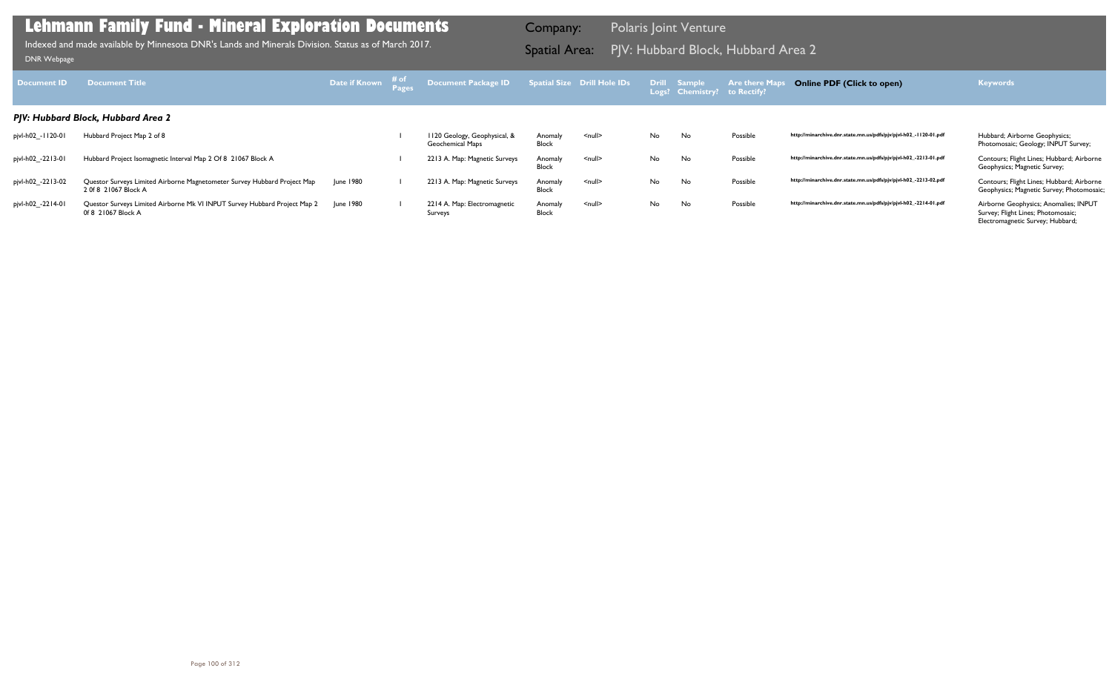| Document <b>ID</b> | <b>Document Title</b>                                                                            | Date if Known # of | Document Package ID                                     |                         | <b>Spatial Size Drill Hole IDs</b> |    | Drill Sample<br>Logs? Chemistry? to Rectify? | <b>Are there Map</b> | <b>Online PDF (Click to open)</b>                                | <b>Keywords</b>                                                                                                 |
|--------------------|--------------------------------------------------------------------------------------------------|--------------------|---------------------------------------------------------|-------------------------|------------------------------------|----|----------------------------------------------|----------------------|------------------------------------------------------------------|-----------------------------------------------------------------------------------------------------------------|
|                    | PJV: Hubbard Block, Hubbard Area 2                                                               |                    |                                                         |                         |                                    |    |                                              |                      |                                                                  |                                                                                                                 |
| pjvl-h02_-1120-01  | Hubbard Project Map 2 of 8                                                                       |                    | 1120 Geology, Geophysical, &<br><b>Geochemical Maps</b> | Anomaly<br><b>Block</b> | <null></null>                      | No | No                                           | Possible             | http://minarchive.dnr.state.mn.us/pdfs/pjv/pjvl-h02_-1120-01.pdf | Hubbard; Airborne Geophysics;<br>Photomosaic; Geology; INPUT Survey;                                            |
| pjvl-h02_-2213-01  | Hubbard Project Isomagnetic Interval Map 2 Of 8 21067 Block A                                    |                    | 2213 A. Map: Magnetic Surveys                           | Anomaly<br>Block        | <null></null>                      | No | No                                           | Possible             | http://minarchive.dnr.state.mn.us/pdfs/pjv/pjvl-h02_-2213-01.pdf | Contours; Flight Lines; Hubbard; Airborne<br>Geophysics; Magnetic Survey;                                       |
| pjvl-h02_-2213-02  | Questor Surveys Limited Airborne Magnetometer Survey Hubbard Project Map<br>2 0f 8 21067 Block A | June 1980          | 2213 A. Map: Magnetic Surveys                           | Anomaly<br><b>Block</b> | <null></null>                      | No | No                                           | Possible             | http://minarchive.dnr.state.mn.us/pdfs/pjv/pjvl-h02_-2213-02.pdf | Contours; Flight Lines; Hubbard; Airborne<br>Geophysics; Magnetic Survey; Photomosaic;                          |
| pjvl-h02_-2214-01  | Questor Surveys Limited Airborne Mk VI INPUT Survey Hubbard Project Map 2<br>0f 8 21067 Block A  | June 1980          | 2214 A. Map: Electromagnetic<br>Surveys                 | Anomaly<br><b>Block</b> | <null></null>                      | No | No                                           | Possible             | http://minarchive.dnr.state.mn.us/pdfs/pjv/pjvl-h02_-2214-01.pdf | Airborne Geophysics; Anomalies; INPUT<br>Survey; Flight Lines; Photomosaic;<br>Electromagnetic Survey; Hubbard; |

PJV: Hubbard Block, Hubbard Area 2 Indexed and made available by Minnesota DNR's Lands and Minerals Division. Status as of March 2017. Spatial Area: [DNR Webpage](http://www.dnr.state.mn.us/lands_minerals/polaris/index.html)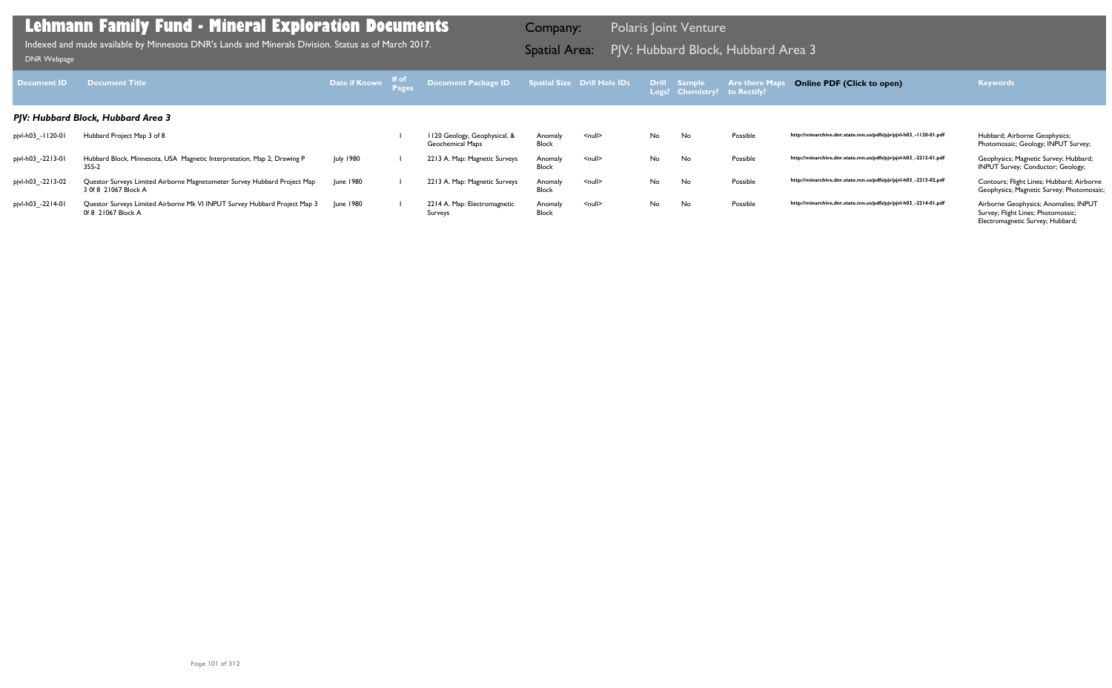| <b>Document ID</b> | <b>Document Title</b>                                                                            | Date if Known # of | Document Package ID Spatial Size Drill Hole IDs  |                         |                    |    | Drill Sample<br>Logs? Chemistry? to Rectify? | <b>Are there Map</b> | <b>Online PDF (Click to open)</b>                                | <b>Keywords</b>                                                                                                 |
|--------------------|--------------------------------------------------------------------------------------------------|--------------------|--------------------------------------------------|-------------------------|--------------------|----|----------------------------------------------|----------------------|------------------------------------------------------------------|-----------------------------------------------------------------------------------------------------------------|
|                    | PJV: Hubbard Block, Hubbard Area 3                                                               |                    |                                                  |                         |                    |    |                                              |                      |                                                                  |                                                                                                                 |
| pjvl-h03_-1120-01  | Hubbard Project Map 3 of 8                                                                       |                    | 1120 Geology, Geophysical, &<br>Geochemical Maps | Anomaly<br>Block        | <null></null>      | No | No.                                          | Possible             | http://minarchive.dnr.state.mn.us/pdfs/pjv/pjvl-h03_-1120-01.pdf | Hubbard; Airborne Geophysics;<br>Photomosaic; Geology; INPUT Survey;                                            |
| pjvl-h03_-2213-01  | Hubbard Block, Minnesota, USA Magnetic Interpretation, Map 2, Drawing P<br>355-2                 | <b>July 1980</b>   | 2213 A. Map: Magnetic Surveys                    | Anomaly<br><b>Block</b> | $\leq$ null $\geq$ | No | No.                                          | Possible             | http://minarchive.dnr.state.mn.us/pdfs/pjv/pjvl-h03_-2213-01.pdf | Geophysics; Magnetic Survey; Hubbard;<br>INPUT Survey; Conductor; Geology;                                      |
| pjvl-h03_-2213-02  | Questor Surveys Limited Airborne Magnetometer Survey Hubbard Project Map<br>3 0f 8 21067 Block A | June 1980          | 2213 A. Map: Magnetic Surveys                    | Anomaly<br><b>Block</b> | <null></null>      | No | <b>No</b>                                    | Possible             | http://minarchive.dnr.state.mn.us/pdfs/pjv/pjvl-h03_-2213-02.pdf | Contours; Flight Lines; Hubbard; Airborne<br>Geophysics; Magnetic Survey; Photomosaic;                          |
| pjvl-h03_-2214-01  | Questor Surveys Limited Airborne Mk VI INPUT Survey Hubbard Project Map 3<br>0f 8 21067 Block A  | <b>June 1980</b>   | 2214 A. Map: Electromagnetic<br>Surveys          | Anomaly<br>Block        | $\leq$ null $\geq$ | No | <b>No</b>                                    | Possible             | http://minarchive.dnr.state.mn.us/pdfs/pjv/pjvl-h03_-2214-01.pdf | Airborne Geophysics; Anomalies; INPUT<br>Survey; Flight Lines; Photomosaic;<br>Electromagnetic Survey; Hubbard; |

PJV: Hubbard Block, Hubbard Area 3 Indexed and made available by Minnesota DNR's Lands and Minerals Division. Status as of March 2017. Spatial Area: [DNR Webpage](http://www.dnr.state.mn.us/lands_minerals/polaris/index.html)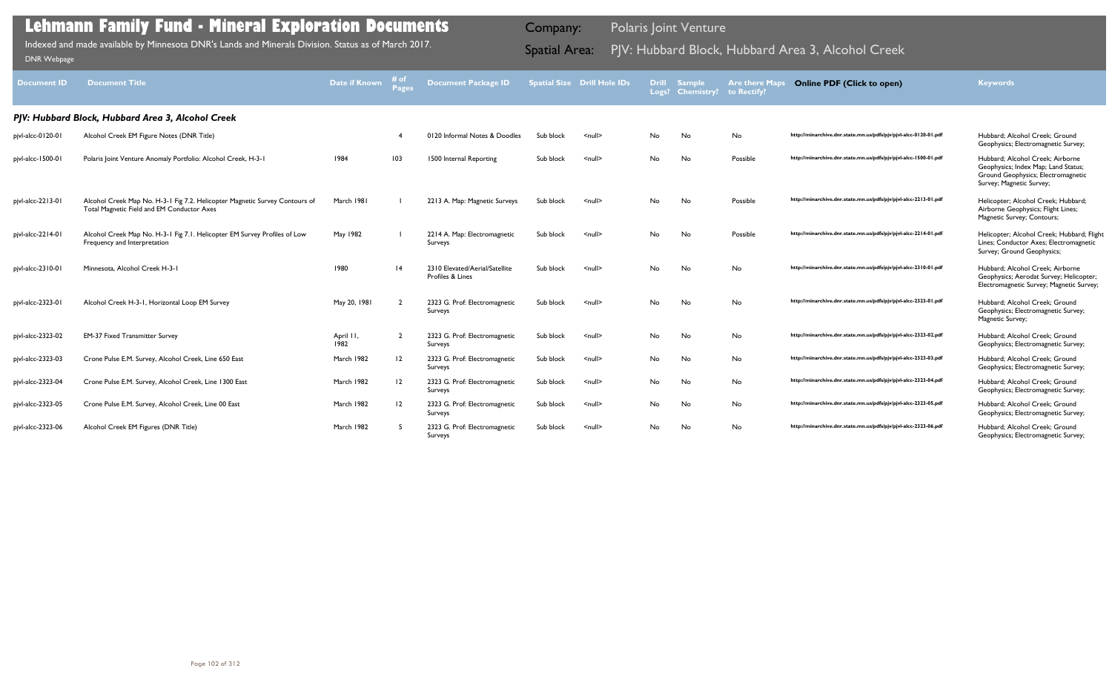| <b>Document ID</b> | <b>Document Title</b>                                                                                                     | Date if Known     | # of<br><b>Pages</b> | <b>Document Package ID</b>                         |           | <b>Spatial Size Drill Hole IDs</b> | <b>Drill</b> | <b>Sample</b><br>Logs? Chemistry? | <b>Are there Maps</b><br>to Rectify? | <b>Online PDF (Click to open)</b>                                | <b>Keywords</b>                                                                                                                           |
|--------------------|---------------------------------------------------------------------------------------------------------------------------|-------------------|----------------------|----------------------------------------------------|-----------|------------------------------------|--------------|-----------------------------------|--------------------------------------|------------------------------------------------------------------|-------------------------------------------------------------------------------------------------------------------------------------------|
|                    | PJV: Hubbard Block, Hubbard Area 3, Alcohol Creek                                                                         |                   |                      |                                                    |           |                                    |              |                                   |                                      |                                                                  |                                                                                                                                           |
| pjvl-alcc-0120-01  | Alcohol Creek EM Figure Notes (DNR Title)                                                                                 |                   |                      | 0120 Informal Notes & Doodles                      | Sub block | $\leq$ null $\geq$                 | No           | No                                | No                                   | http://minarchive.dnr.state.mn.us/pdfs/pjv/pjvl-alcc-0120-01.pdf | Hubbard: Alcohol Creek: Ground<br>Geophysics; Electromagnetic Survey;                                                                     |
| pjvl-alcc-1500-01  | Polaris Joint Venture Anomaly Portfolio: Alcohol Creek, H-3-1                                                             | 1984              | 103                  | 1500 Internal Reporting                            | Sub block | <null></null>                      | No           | No                                | Possible                             | http://minarchive.dnr.state.mn.us/pdfs/pjv/pjvl-alcc-1500-01.pdf | Hubbard; Alcohol Creek; Airborne<br>Geophysics; Index Map; Land Status;<br>Ground Geophysics; Electromagnetic<br>Survey; Magnetic Survey; |
| pjvl-alcc-2213-01  | Alcohol Creek Map No. H-3-1 Fig 7.2. Helicopter Magnetic Survey Contours of<br>Total Magnetic Field and EM Conductor Axes | March 1981        |                      | 2213 A. Map: Magnetic Surveys                      | Sub block | $\leq$ null $\geq$                 | No           | No                                | Possible                             | http://minarchive.dnr.state.mn.us/pdfs/pjv/pjvl-alcc-2213-01.pdf | Helicopter; Alcohol Creek; Hubbard;<br>Airborne Geophysics; Flight Lines;<br>Magnetic Survey; Contours;                                   |
| pjvl-alcc-2214-01  | Alcohol Creek Map No. H-3-1 Fig 7.1. Helicopter EM Survey Profiles of Low<br>Frequency and Interpretation                 | May 1982          |                      | 2214 A. Map: Electromagnetic<br>Surveys            | Sub block | $\leq$ null $\geq$                 | No.          | No                                | Possible                             | http://minarchive.dnr.state.mn.us/pdfs/pjv/pjvl-alcc-2214-01.pdf | Helicopter; Alcohol Creek; Hubbard; Flight<br>Lines; Conductor Axes; Electromagnetic<br>Survey; Ground Geophysics;                        |
| pjvl-alcc-2310-01  | Minnesota, Alcohol Creek H-3-1                                                                                            | 1980              | $\overline{14}$      | 2310 Elevated/Aerial/Satellite<br>Profiles & Lines | Sub block | $\leq$ null $\geq$                 | No.          | No                                | No                                   | http://minarchive.dnr.state.mn.us/pdfs/pjv/pjvl-alcc-2310-01.pdf | Hubbard; Alcohol Creek; Airborne<br>Geophysics; Aerodat Survey; Helicopter;<br>Electromagnetic Survey; Magnetic Survey;                   |
| pjvl-alcc-2323-01  | Alcohol Creek H-3-1, Horizontal Loop EM Survey                                                                            | May 20, 1981      |                      | 2323 G. Prof: Electromagnetic<br>Surveys           | Sub block | $\leq$ null $\geq$                 | No           | No                                | No                                   | http://minarchive.dnr.state.mn.us/pdfs/pjv/pjvl-alcc-2323-01.pdf | Hubbard; Alcohol Creek; Ground<br>Geophysics; Electromagnetic Survey;<br>Magnetic Survey;                                                 |
| pjvl-alcc-2323-02  | <b>EM-37 Fixed Transmitter Survey</b>                                                                                     | April II,<br>1982 |                      | 2323 G. Prof: Electromagnetic<br>Surveys           | Sub block | $\leq$ null $\geq$                 | No.          | No                                | No                                   | http://minarchive.dnr.state.mn.us/pdfs/pjv/pjvl-alcc-2323-02.pdf | Hubbard: Alcohol Creek: Ground<br>Geophysics; Electromagnetic Survey;                                                                     |
| pivl-alcc-2323-03  | Crone Pulse E.M. Survey, Alcohol Creek, Line 650 East                                                                     | March 1982        | 12                   | 2323 G. Prof: Electromagnetic<br>Surveys           | Sub block | $null$                             | No           | No                                | No                                   | http://minarchive.dnr.state.mn.us/pdfs/pjv/pjvl-alcc-2323-03.pdf | Hubbard: Alcohol Creek: Ground<br>Geophysics; Electromagnetic Survey;                                                                     |
| pjvl-alcc-2323-04  | Crone Pulse E.M. Survey, Alcohol Creek, Line 1300 East                                                                    | March 1982        | 12                   | 2323 G. Prof: Electromagnetic<br>Surveys           | Sub block | $null$                             | No           | No                                | No                                   | http://minarchive.dnr.state.mn.us/pdfs/pjv/pjvl-alcc-2323-04.pdf | Hubbard; Alcohol Creek; Ground<br>Geophysics; Electromagnetic Survey;                                                                     |
| pjvl-alcc-2323-05  | Crone Pulse E.M. Survey, Alcohol Creek, Line 00 East                                                                      | March 1982        | 12                   | 2323 G. Prof: Electromagnetic<br>Surveys           | Sub block | $\leq$ null $\geq$                 | No           | No                                | No                                   | http://minarchive.dnr.state.mn.us/pdfs/pjv/pjvl-alcc-2323-05.pdf | Hubbard: Alcohol Creek: Ground<br>Geophysics; Electromagnetic Survey;                                                                     |
| pjvl-alcc-2323-06  | Alcohol Creek EM Figures (DNR Title)                                                                                      | March 1982        |                      | 2323 G. Prof: Electromagnetic<br>Surveys           | Sub block | <null></null>                      | No.          | No                                | No                                   | http://minarchive.dnr.state.mn.us/pdfs/pjv/pjvl-alcc-2323-06.pdf | Hubbard; Alcohol Creek; Ground<br>Geophysics; Electromagnetic Survey;                                                                     |

Indexed and made available by Minnesota DNR's Lands and Minerals Division. Status as of March 2017.

Company: Polaris Joint Venture

# Indexed and made available by Minnesota DNR's Lands and Minerals Division. Status as of March 2017. **Spatial Area:** PJV: Hubbard Block, Hubbard Area 3, Alcohol Creek <sub>DNR Webpage</sub>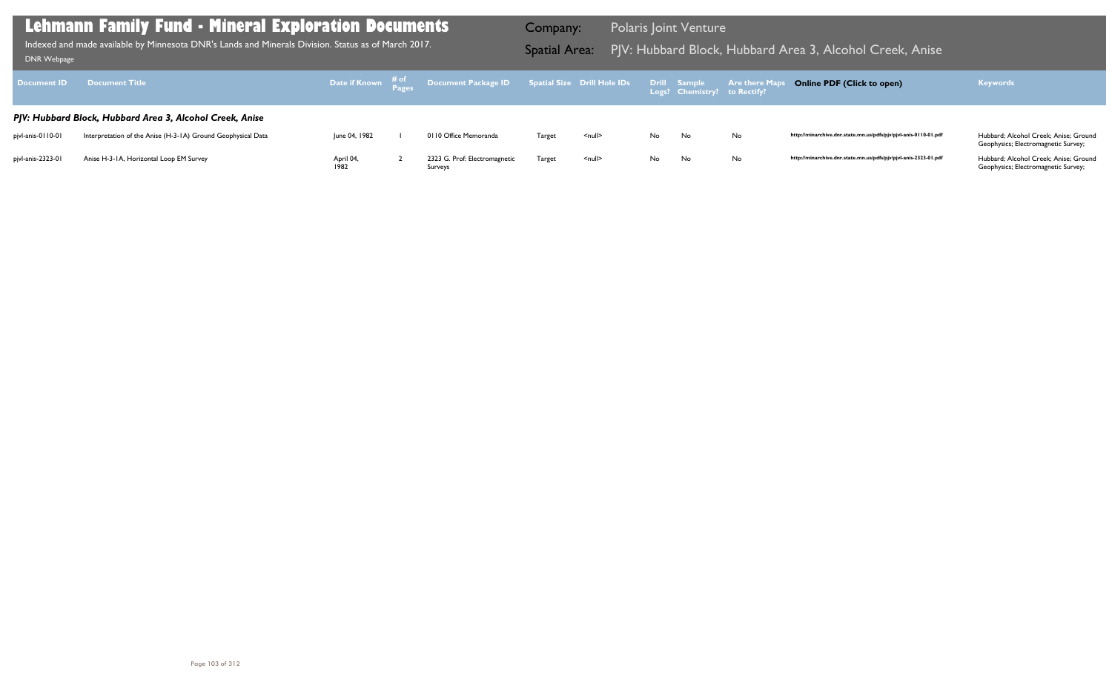Geophysics; Electromagnetic Survey;

| <b>Document ID</b> | <b>Document Title</b>                                        | Date if Known $\begin{array}{cc} \text{# of} \\ \text{Pages} \end{array}$ | Document Package ID Spatial Size Drill Hole IDs |        |                    |     | Drill Sample<br>Logs? Chemistry? to Rectify? | <b>Are there Maps</b> |
|--------------------|--------------------------------------------------------------|---------------------------------------------------------------------------|-------------------------------------------------|--------|--------------------|-----|----------------------------------------------|-----------------------|
|                    | PJV: Hubbard Block, Hubbard Area 3, Alcohol Creek, Anise     |                                                                           |                                                 |        |                    |     |                                              |                       |
| pjvl-anis-0110-01  | Interpretation of the Anise (H-3-1A) Ground Geophysical Data | June 04, 1982                                                             | 0110 Office Memoranda                           | Target | $null$             | No. | No                                           | No                    |
| pjvl-anis-2323-01  | Anise H-3-1A, Horizontal Loop EM Survey                      | April 04,<br>1982                                                         | 2323 G. Prof: Electromagnetic<br>Surveys        | Target | $\leq$ null $\geq$ | No. | No                                           | No                    |

Geophysics; Electromagnetic Survey;

## **Lehmann Family Fund - Mineral Exploration Documents**

Indexed and made available by Minnesota DNR's Lands and Minerals Division. Status as of March 2017. **Spatial Area:** PJV: Hubbard Block, Hubbard Area 3, Alcohol Creek, Anise ו-DNR Webpage Indexed and made available by Minnesota DNR's Lands and Minerals Division. Status as of March 2017.

Company: Polaris Joint Venture

## **Online PDF (Click to open) Keywords**

http://minarchive.dnr.state.mn.us/pdfs/pjv/pjvl-anis-0110-01.pdf Hubbard; Alcohol Creek; Anise; Ground

http://minarchive.dnr.state.mn.us/pdfs/pjv/pjvl-anis-2323-01.pdf Hubbard; Alcohol Creek; Anise; Ground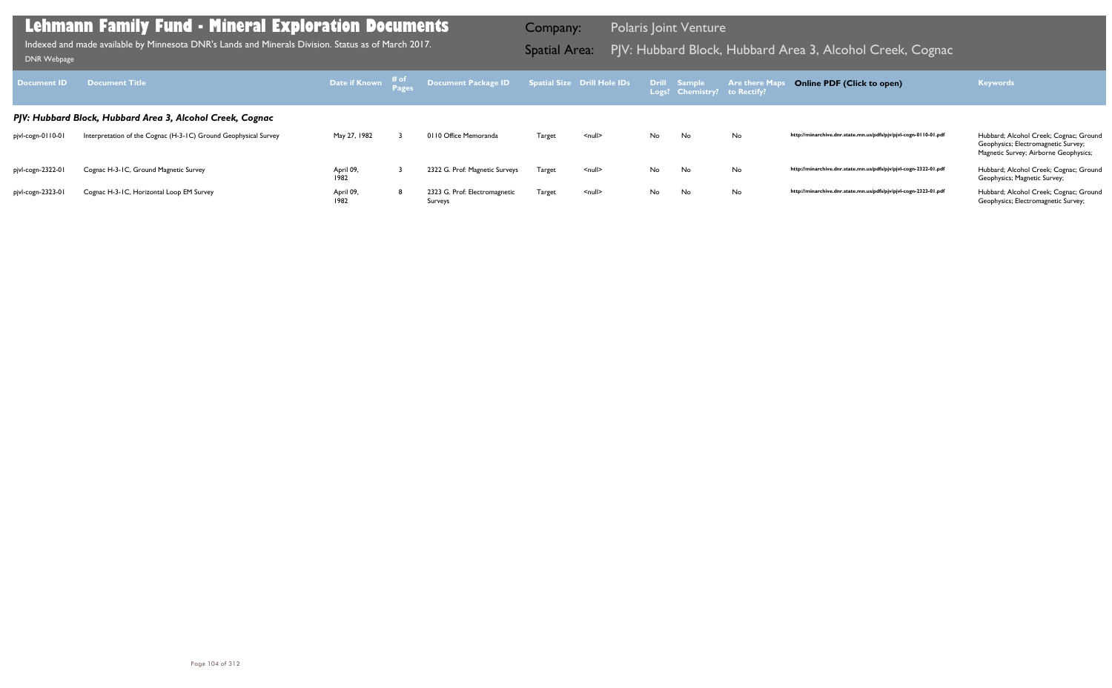| Document ID       | <b>Document Title</b>                                           | Date if Known # of | Document Package ID Spatial Size Drill Hole IDs Drill Sample |               |                    |    | Logs? Chemistry? to Rectify? | <b>Are there M</b> | <b>Online PDF (Click to open)</b>                                | <b>Keywords</b>                                                                                                        |
|-------------------|-----------------------------------------------------------------|--------------------|--------------------------------------------------------------|---------------|--------------------|----|------------------------------|--------------------|------------------------------------------------------------------|------------------------------------------------------------------------------------------------------------------------|
|                   | PJV: Hubbard Block, Hubbard Area 3, Alcohol Creek, Cognac       |                    |                                                              |               |                    |    |                              |                    |                                                                  |                                                                                                                        |
| pjvl-cogn-0110-01 | Interpretation of the Cognac (H-3-1C) Ground Geophysical Survey | May 27, 1982       | 0110 Office Memoranda                                        | <b>Target</b> | <null></null>      | No | No                           | No                 | http://minarchive.dnr.state.mn.us/pdfs/pjv/pjvl-cogn-0110-01.pdf | Hubbard; Alcohol Creek; Cognac; Ground<br>Geophysics; Electromagnetic Survey;<br>Magnetic Survey; Airborne Geophysics; |
| pjvl-cogn-2322-01 | Cognac H-3-1C, Ground Magnetic Survey                           | April 09,<br>1982  | 2322 G. Prof: Magnetic Surveys                               | <b>Target</b> | $\leq$ null $\geq$ | No | No                           | No                 | http://minarchive.dnr.state.mn.us/pdfs/pjv/pjvl-cogn-2322-01.pdf | Hubbard; Alcohol Creek; Cognac; Ground<br>Geophysics; Magnetic Survey;                                                 |
| pjvl-cogn-2323-01 | Cognac H-3-IC, Horizontal Loop EM Survey                        | April 09,<br>1982  | 2323 G. Prof: Electromagnetic<br>Surveys                     | <b>Target</b> | $\leq$ null $\geq$ | No | No                           | No                 | http://minarchive.dnr.state.mn.us/pdfs/pjv/pjvl-cogn-2323-01.pdf | Hubbard; Alcohol Creek; Cognac; Ground<br>Geophysics; Electromagnetic Survey;                                          |

Indexed and made available by Minnesota DNR's Lands and Minerals Division. Status as of March 2017. **Spatial Area:** PJV: Hubbard Block, Hubbard Area 3, Alcohol Creek, Cognac DNR Webpage Indexed and made available by Minnesota DNR's Lands and Minerals Division. Status as of March 2017.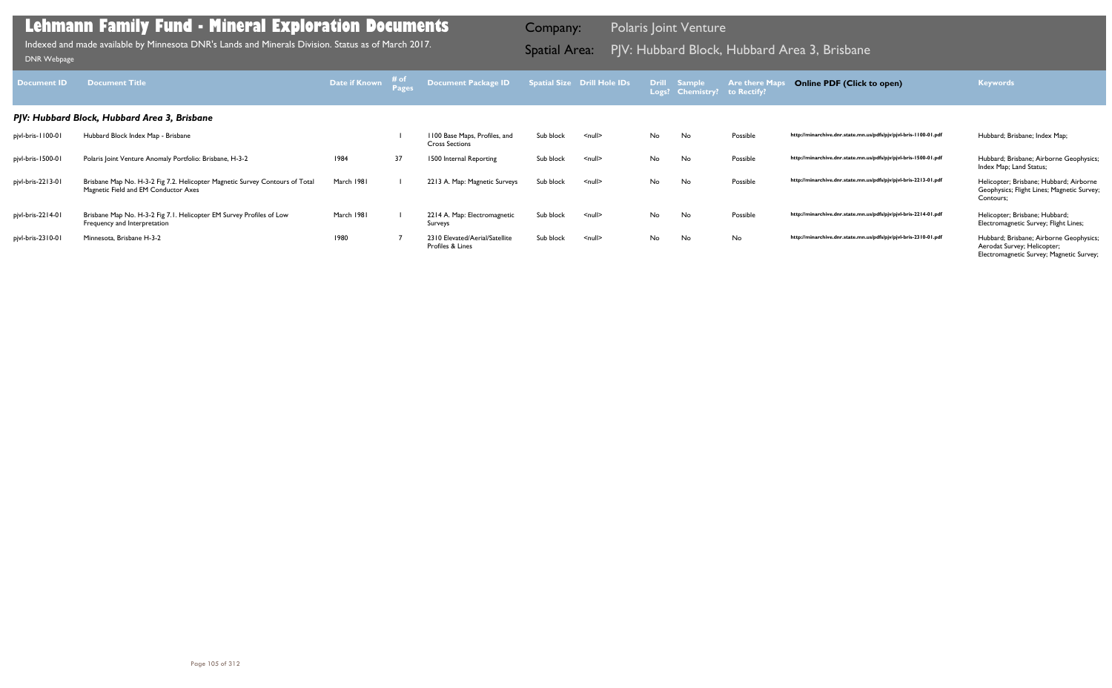| <b>Document ID</b> | <b>Document Title</b>                                                                                                | Date if Known # of |    | <b>Document Package ID</b>                             |           | <b>Spatial Size Drill Hole IDs</b> |    | Drill Sample<br>Logs? Chemistry? to Rectify? | <b>Are there Map</b> | <b>Online PDF (Click to open)</b>                                | <b>Keywords</b>                                                                                                    |
|--------------------|----------------------------------------------------------------------------------------------------------------------|--------------------|----|--------------------------------------------------------|-----------|------------------------------------|----|----------------------------------------------|----------------------|------------------------------------------------------------------|--------------------------------------------------------------------------------------------------------------------|
|                    | PJV: Hubbard Block, Hubbard Area 3, Brisbane                                                                         |                    |    |                                                        |           |                                    |    |                                              |                      |                                                                  |                                                                                                                    |
| pjvl-bris-1100-01  | Hubbard Block Index Map - Brisbane                                                                                   |                    |    | 1100 Base Maps, Profiles, and<br><b>Cross Sections</b> | Sub block | $\leq$ null $\geq$                 | No | No                                           | Possible             | http://minarchive.dnr.state.mn.us/pdfs/pjv/pjvl-bris-1100-01.pdf | Hubbard; Brisbane; Index Map;                                                                                      |
| pjvl-bris-1500-01  | Polaris Joint Venture Anomaly Portfolio: Brisbane, H-3-2                                                             | 1984               | 37 | 1500 Internal Reporting                                | Sub block | $\leq$ null $\geq$                 | No | No                                           | Possible             | http://minarchive.dnr.state.mn.us/pdfs/pjv/pjvl-bris-1500-01.pdf | Hubbard; Brisbane; Airborne Geophysics;<br>Index Map; Land Status;                                                 |
| pjvl-bris-2213-01  | Brisbane Map No. H-3-2 Fig 7.2. Helicopter Magnetic Survey Contours of Total<br>Magnetic Field and EM Conductor Axes | March 1981         |    | 2213 A. Map: Magnetic Surveys                          | Sub block | $\leq$ null $\geq$                 | No | No                                           | Possible             | http://minarchive.dnr.state.mn.us/pdfs/pjv/pjvl-bris-2213-01.pdf | Helicopter; Brisbane; Hubbard; Airborne<br>Geophysics; Flight Lines; Magnetic Survey;<br>Contours;                 |
| pjvl-bris-2214-01  | Brisbane Map No. H-3-2 Fig 7.1. Helicopter EM Survey Profiles of Low<br>Frequency and Interpretation                 | March 1981         |    | 2214 A. Map: Electromagnetic<br>Surveys                | Sub block | $\leq$ null $\geq$                 | No | No                                           | Possible             | http://minarchive.dnr.state.mn.us/pdfs/pjv/pjvl-bris-2214-01.pdf | Helicopter; Brisbane; Hubbard;<br>Electromagnetic Survey; Flight Lines;                                            |
| pjvl-bris-2310-01  | Minnesota, Brisbane H-3-2                                                                                            | 1980               |    | 2310 Elevated/Aerial/Satellite<br>Profiles & Lines     | Sub block | $null$                             | No | No                                           | No                   | http://minarchive.dnr.state.mn.us/pdfs/pjv/pjvl-bris-2310-01.pdf | Hubbard; Brisbane; Airborne Geophysics;<br>Aerodat Survey; Helicopter;<br>Electromagnetic Survey; Magnetic Survey; |

Indexed and made available by Minnesota DNR's Lands and Minerals Division. Status as of March 2017. **Spatial Area:** PJV: Hubbard Block, Hubbard Area 3, Brisbane וDNR Webpage Indexed and made available by Minnesota DNR's Lands and Minerals Division. Status as of March 2017.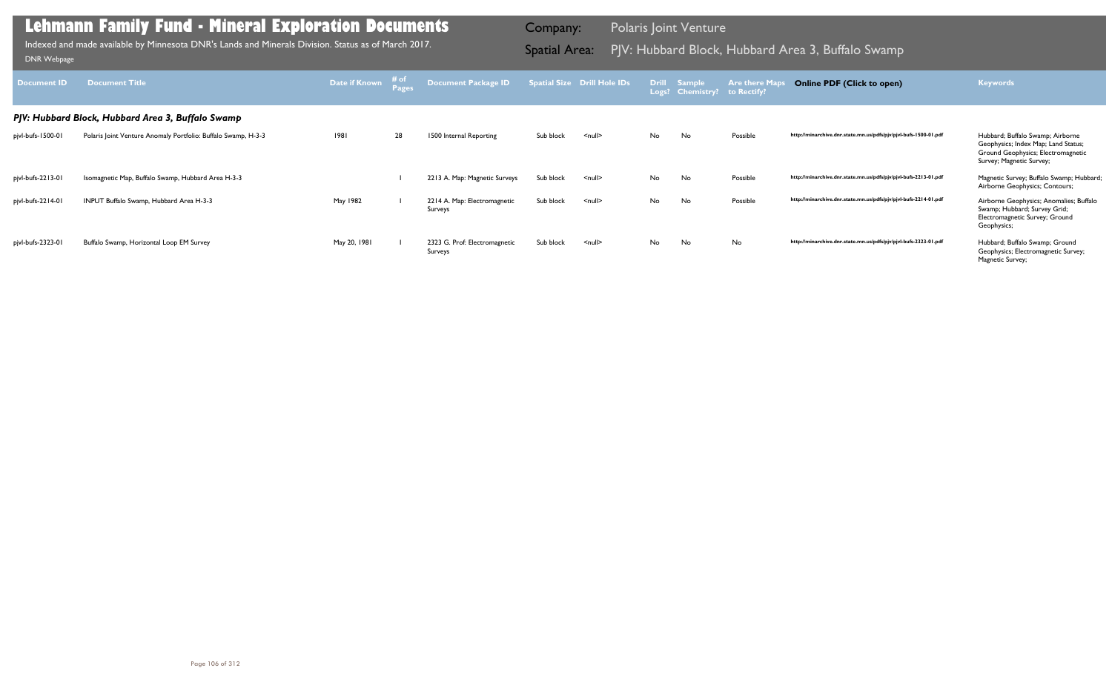| <b>Document ID</b>                                | <b>Document Title</b>                                         | Date if Known | # of | <b>Document Package ID</b>               |           | <b>Spatial Size Drill Hole IDs</b> | <b>Drill</b> | <b>Sample</b><br>Logs? Chemistry? | <b>Are there Maps</b><br>to Rectify? | <b>Online PDF (Click to open)</b>                                | <b>Keywords</b>                                                                                                                           |
|---------------------------------------------------|---------------------------------------------------------------|---------------|------|------------------------------------------|-----------|------------------------------------|--------------|-----------------------------------|--------------------------------------|------------------------------------------------------------------|-------------------------------------------------------------------------------------------------------------------------------------------|
| PJV: Hubbard Block, Hubbard Area 3, Buffalo Swamp |                                                               |               |      |                                          |           |                                    |              |                                   |                                      |                                                                  |                                                                                                                                           |
| pjvl-bufs-1500-01                                 | Polaris Joint Venture Anomaly Portfolio: Buffalo Swamp, H-3-3 | 1981          | 28   | 1500 Internal Reporting                  | Sub block | $\leq$ null $\geq$                 | No.          | No                                | Possible                             | http://minarchive.dnr.state.mn.us/pdfs/pjv/pjvl-bufs-1500-01.pdf | Hubbard; Buffalo Swamp; Airborne<br>Geophysics; Index Map; Land Status;<br>Ground Geophysics; Electromagnetic<br>Survey; Magnetic Survey; |
| pjvl-bufs-2213-01                                 | Isomagnetic Map, Buffalo Swamp, Hubbard Area H-3-3            |               |      | 2213 A. Map: Magnetic Surveys            | Sub block | $null$                             | No           | No                                | Possible                             | http://minarchive.dnr.state.mn.us/pdfs/pjv/pjvl-bufs-2213-01.pdf | Magnetic Survey; Buffalo Swamp; Hubbard;<br>Airborne Geophysics; Contours;                                                                |
| pjvl-bufs-2214-01                                 | INPUT Buffalo Swamp, Hubbard Area H-3-3                       | May 1982      |      | 2214 A. Map: Electromagnetic<br>Surveys  | Sub block | $null$                             | No           | No                                | Possible                             | http://minarchive.dnr.state.mn.us/pdfs/pjv/pjvl-bufs-2214-01.pdf | Airborne Geophysics; Anomalies; Buffalo<br>Swamp; Hubbard; Survey Grid;<br>Electromagnetic Survey; Ground<br>Geophysics;                  |
| pjvl-bufs-2323-01                                 | Buffalo Swamp, Horizontal Loop EM Survey                      | May 20, 1981  |      | 2323 G. Prof: Electromagnetic<br>Surveys | Sub block | $null$                             | No           | No                                | No                                   | http://minarchive.dnr.state.mn.us/pdfs/pjv/pjvl-bufs-2323-01.pdf | Hubbard; Buffalo Swamp; Ground<br>Geophysics; Electromagnetic Survey;<br>Magnetic Survey;                                                 |

Indexed and made available by Minnesota DNR's Lands and Minerals Division. Status as of March 2017. **Indexed and Area 2, Hubbard Area 3, Buffalo Swa**mp DNR Webpage DNR Webpage DNR Webpage DNR Webpage DNR Webpage DNR Webpag Indexed and made available by Minnesota DNR's Lands and Minerals Division. Status as of March 2017.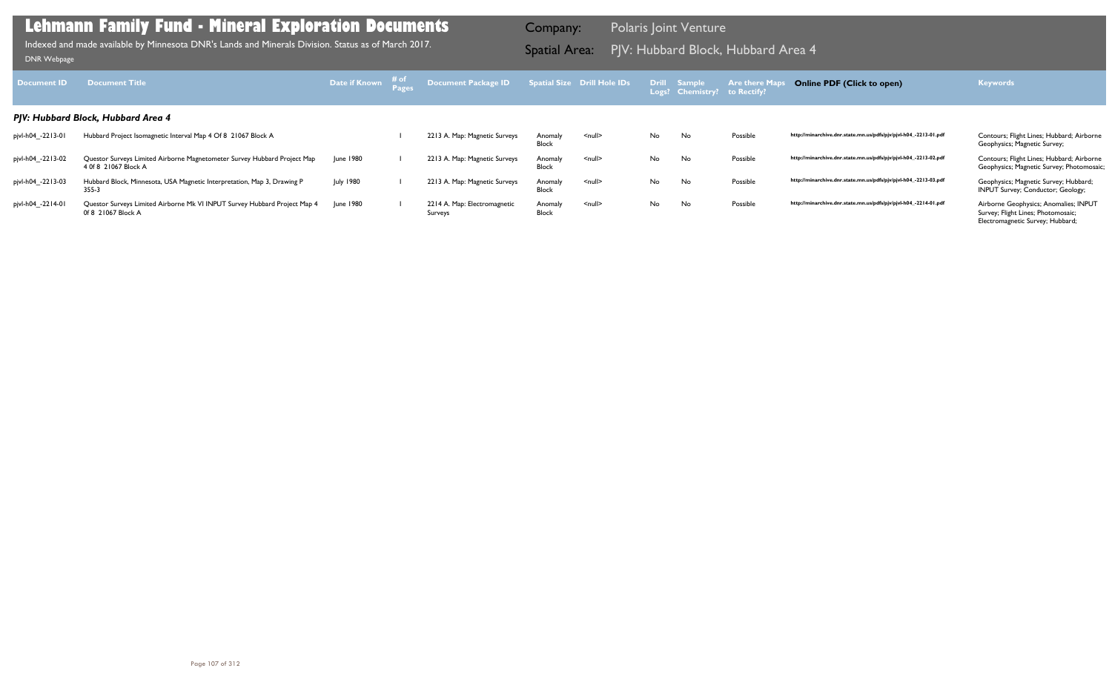| <b>Document ID</b>                 | <b>Document Title</b>                                                                            | Date if Known # of |  | Document Package ID Spatial Size Drill Hole IDs |                         |                    |     | Drill Sample<br>Logs? Chemistry? to Rectify? | <b>Are there Ma</b> | <b>Online PDF (Click to open)</b>                                | <b>Keywords</b>                                                                                                 |
|------------------------------------|--------------------------------------------------------------------------------------------------|--------------------|--|-------------------------------------------------|-------------------------|--------------------|-----|----------------------------------------------|---------------------|------------------------------------------------------------------|-----------------------------------------------------------------------------------------------------------------|
| PJV: Hubbard Block, Hubbard Area 4 |                                                                                                  |                    |  |                                                 |                         |                    |     |                                              |                     |                                                                  |                                                                                                                 |
| pjvl-h04_-2213-01                  | Hubbard Project Isomagnetic Interval Map 4 Of 8 21067 Block A                                    |                    |  | 2213 A. Map: Magnetic Surveys                   | Anomaly<br><b>Block</b> | $\leq$ null $\geq$ | No. | No                                           | Possible            | http://minarchive.dnr.state.mn.us/pdfs/pjv/pjvl-h04_-2213-01.pdf | Contours; Flight Lines; Hubbard; Airborne<br>Geophysics; Magnetic Survey;                                       |
| pjvl-h04_-2213-02                  | Questor Surveys Limited Airborne Magnetometer Survey Hubbard Project Map<br>4 0f 8 21067 Block A | June 1980          |  | 2213 A. Map: Magnetic Surveys                   | Anomaly<br><b>Block</b> | $\leq$ null $\geq$ | No. | No                                           | Possible            | http://minarchive.dnr.state.mn.us/pdfs/pjv/pjvl-h04_-2213-02.pdf | Contours; Flight Lines; Hubbard; Airborne<br>Geophysics; Magnetic Survey; Photomosaic;                          |
| pjvl-h04_-2213-03                  | Hubbard Block, Minnesota, USA Magnetic Interpretation, Map 3, Drawing P<br>355-3                 | <b>July 1980</b>   |  | 2213 A. Map: Magnetic Surveys                   | Anomaly<br><b>Block</b> | $\leq$ null $\geq$ | No. | No                                           | Possible            | http://minarchive.dnr.state.mn.us/pdfs/pjv/pjvl-h04_-2213-03.pdf | Geophysics; Magnetic Survey; Hubbard;<br>INPUT Survey; Conductor; Geology;                                      |
| pjvl-h04_-2214-01                  | Questor Surveys Limited Airborne Mk VI INPUT Survey Hubbard Project Map 4<br>0f 8 21067 Block A  | June 1980          |  | 2214 A. Map: Electromagnetic<br>Surveys         | Anomaly<br>Block        | $\leq$ null $\geq$ | No. | No                                           | Possible            | http://minarchive.dnr.state.mn.us/pdfs/pjv/pjvl-h04_-2214-01.pdf | Airborne Geophysics; Anomalies; INPUT<br>Survey; Flight Lines; Photomosaic;<br>Electromagnetic Survey; Hubbard; |

Indexed and made available by Minnesota DNR's Lands and Minerals Division. Status as of March 2017. **Spatial Area:** PJV: Hubbard Block, Hubbard Area 4 Individually DNR Webpage Indexed and made available by Minnesota DNR's Lands and Minerals Division. Status as of March 2017.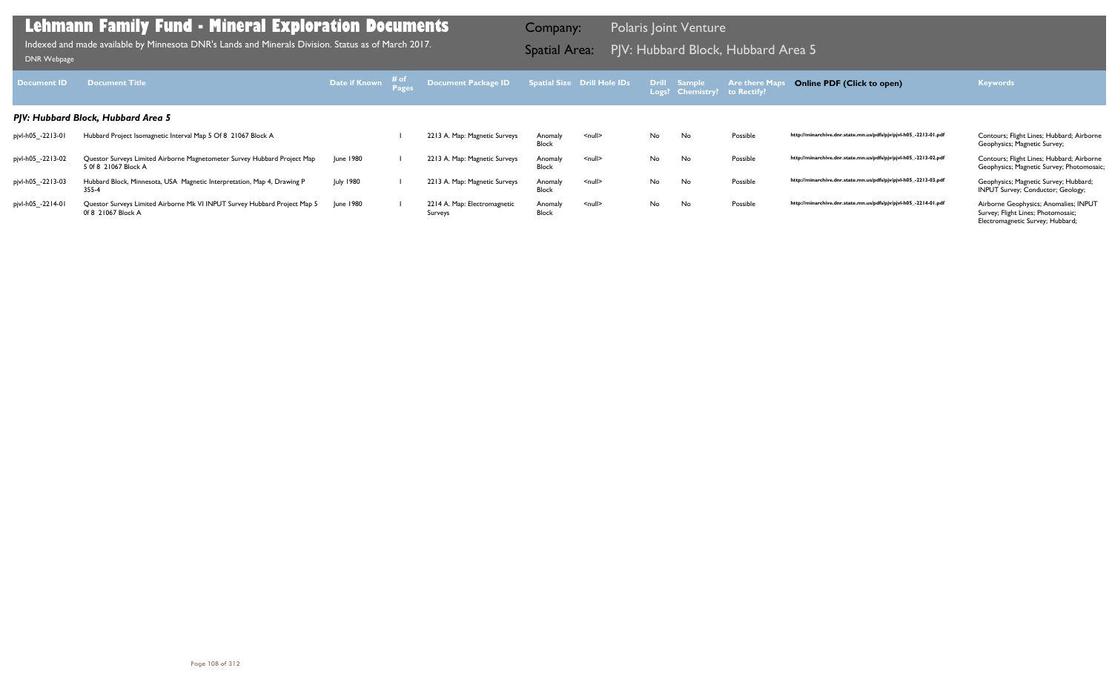| <b>Document ID</b>                 | <b>Document Title</b>                                                                            | Date if Known # of |  | Document Package ID                     |                         | <b>Spatial Size Drill Hole IDs</b> |     | Drill Sample<br>Logs? Chemistry? to Rectify? | <b>Are there Map</b> | <b>Online PDF (Click to open)</b>                                | <b>Keywords</b>                                                                                                 |
|------------------------------------|--------------------------------------------------------------------------------------------------|--------------------|--|-----------------------------------------|-------------------------|------------------------------------|-----|----------------------------------------------|----------------------|------------------------------------------------------------------|-----------------------------------------------------------------------------------------------------------------|
| PJV: Hubbard Block, Hubbard Area 5 |                                                                                                  |                    |  |                                         |                         |                                    |     |                                              |                      |                                                                  |                                                                                                                 |
| pjvl-h05_-2213-01                  | Hubbard Project Isomagnetic Interval Map 5 Of 8 21067 Block A                                    |                    |  | 2213 A. Map: Magnetic Surveys           | Anomaly<br>Block        | $null$                             | No. | No                                           | Possible             | http://minarchive.dnr.state.mn.us/pdfs/pjv/pjvl-h05_-2213-01.pdf | Contours; Flight Lines; Hubbard; Airborne<br>Geophysics; Magnetic Survey;                                       |
| pjvl-h05_-2213-02                  | Questor Surveys Limited Airborne Magnetometer Survey Hubbard Project Map<br>5 0f 8 21067 Block A | June 1980          |  | 2213 A. Map: Magnetic Surveys           | Anomaly<br><b>Block</b> | $null$                             | No. | No                                           | Possible             | http://minarchive.dnr.state.mn.us/pdfs/pjv/pjvl-h05_-2213-02.pdf | Contours; Flight Lines; Hubbard; Airborne<br>Geophysics; Magnetic Survey; Photomosaic;                          |
| pjvl-h05_-2213-03                  | Hubbard Block, Minnesota, USA Magnetic Interpretation, Map 4, Drawing P<br>355-4                 | <b>July 1980</b>   |  | 2213 A. Map: Magnetic Surveys           | Anomaly<br><b>Block</b> | $null$                             | No  | No                                           | Possible             | http://minarchive.dnr.state.mn.us/pdfs/pjv/pjvl-h05_-2213-03.pdf | Geophysics; Magnetic Survey; Hubbard;<br><b>INPUT Survey; Conductor; Geology;</b>                               |
| pjvl-h05_-2214-01                  | Questor Surveys Limited Airborne Mk VI INPUT Survey Hubbard Project Map 5<br>0f 8 21067 Block A  | June 1980          |  | 2214 A. Map: Electromagnetic<br>Surveys | Anomaly<br><b>Block</b> | $null$                             | No  | No                                           | Possible             | http://minarchive.dnr.state.mn.us/pdfs/pjv/pjvl-h05_-2214-01.pdf | Airborne Geophysics; Anomalies; INPUT<br>Survey; Flight Lines; Photomosaic;<br>Electromagnetic Survey; Hubbard; |

Indexed and made available by Minnesota DNR's Lands and Minerals Division. Status as of March 2017. **Spatial Area:** PJV: Hubbard Block, Hubbard Area 5 مورات [DNR Webpage](http://www.dnr.state.mn.us/lands_minerals/polaris/index.html)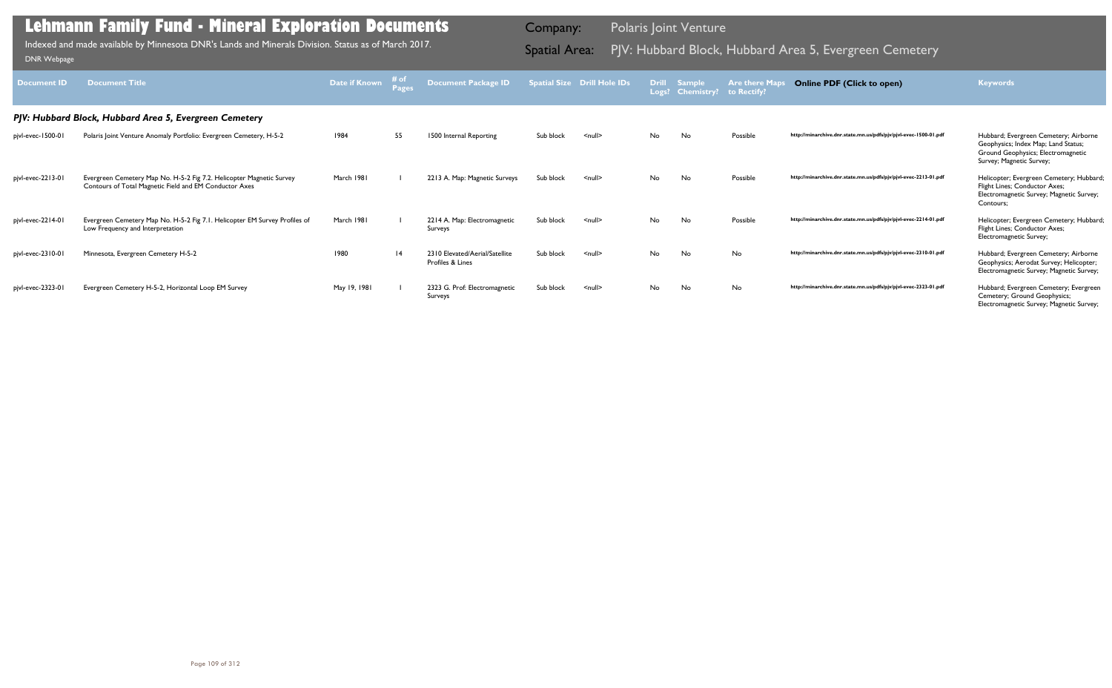| <b>Document ID</b> | <b>Document Title</b>                                                                                                          | Date if Known | # of<br><b>Pages</b> | <b>Document Package ID</b>                         |           | <b>Spatial Size Drill Hole IDs</b> |     | Drill Sample<br>Logs? Chemistry? | <b>Are there Maps</b><br>to Rectify? | <b>Online PDF (Click to open)</b>                                | <b>Keywords</b>                                                                                                                                |
|--------------------|--------------------------------------------------------------------------------------------------------------------------------|---------------|----------------------|----------------------------------------------------|-----------|------------------------------------|-----|----------------------------------|--------------------------------------|------------------------------------------------------------------|------------------------------------------------------------------------------------------------------------------------------------------------|
|                    | PJV: Hubbard Block, Hubbard Area 5, Evergreen Cemetery                                                                         |               |                      |                                                    |           |                                    |     |                                  |                                      |                                                                  |                                                                                                                                                |
| pjvl-evec-1500-01  | Polaris Joint Venture Anomaly Portfolio: Evergreen Cemetery, H-5-2                                                             | 1984          | 55                   | 1500 Internal Reporting                            | Sub block | $\leq$ null $\geq$                 | No. | No                               | Possible                             | http://minarchive.dnr.state.mn.us/pdfs/pjv/pjvl-evec-1500-01.pdf | Hubbard; Evergreen Cemetery; Airborne<br>Geophysics; Index Map; Land Status;<br>Ground Geophysics; Electromagnetic<br>Survey; Magnetic Survey; |
| pjvl-evec-2213-01  | Evergreen Cemetery Map No. H-5-2 Fig 7.2. Helicopter Magnetic Survey<br>Contours of Total Magnetic Field and EM Conductor Axes | March 1981    |                      | 2213 A. Map: Magnetic Surveys                      | Sub block | $\leq$ null $\geq$                 | No. | No                               | Possible                             | http://minarchive.dnr.state.mn.us/pdfs/pjv/pjvl-evec-2213-01.pdf | Helicopter; Evergreen Cemetery; Hubbard;<br>Flight Lines; Conductor Axes;<br>Electromagnetic Survey; Magnetic Survey;<br>Contours;             |
| pjvl-evec-2214-01  | Evergreen Cemetery Map No. H-5-2 Fig 7.1. Helicopter EM Survey Profiles of<br>Low Frequency and Interpretation                 | March 1981    |                      | 2214 A. Map: Electromagnetic<br>Surveys            | Sub block | $\leq$ null $\geq$                 | No  | No                               | Possible                             | http://minarchive.dnr.state.mn.us/pdfs/pjv/pjvl-evec-2214-01.pdf | Helicopter; Evergreen Cemetery; Hubbard;<br>Flight Lines; Conductor Axes;<br>Electromagnetic Survey;                                           |
| pjvl-evec-2310-01  | Minnesota, Evergreen Cemetery H-5-2                                                                                            | 1980          | 4                    | 2310 Elevated/Aerial/Satellite<br>Profiles & Lines | Sub block | $\leq$ null $\geq$                 | No. | No                               | No                                   | http://minarchive.dnr.state.mn.us/pdfs/pjv/pjvl-evec-2310-01.pdf | Hubbard; Evergreen Cemetery; Airborne<br>Geophysics; Aerodat Survey; Helicopter;<br>Electromagnetic Survey; Magnetic Survey;                   |
| pjvl-evec-2323-01  | Evergreen Cemetery H-5-2, Horizontal Loop EM Survey                                                                            | May 19, 1981  |                      | 2323 G. Prof: Electromagnetic<br>Surveys           | Sub block | $\leq$ null $\geq$                 | No. | No                               | No                                   | http://minarchive.dnr.state.mn.us/pdfs/pjv/pjvl-evec-2323-01.pdf | Hubbard; Evergreen Cemetery; Evergreen<br>Cemetery; Ground Geophysics;<br>Electromagnetic Survey; Magnetic Survey;                             |

Indexed and made available by Minnesota DNR's Lands and Minerals Division. Status as of March 2017.

Company: Polaris Joint Venture

# Indexed and made available by Minnesota DNR's Lands and Minerals Division. Status as of March 2017. **Indexed and Area Block, Hubbard Area 5, Evergreen Cemetery** DNR Webpage DNR Webpage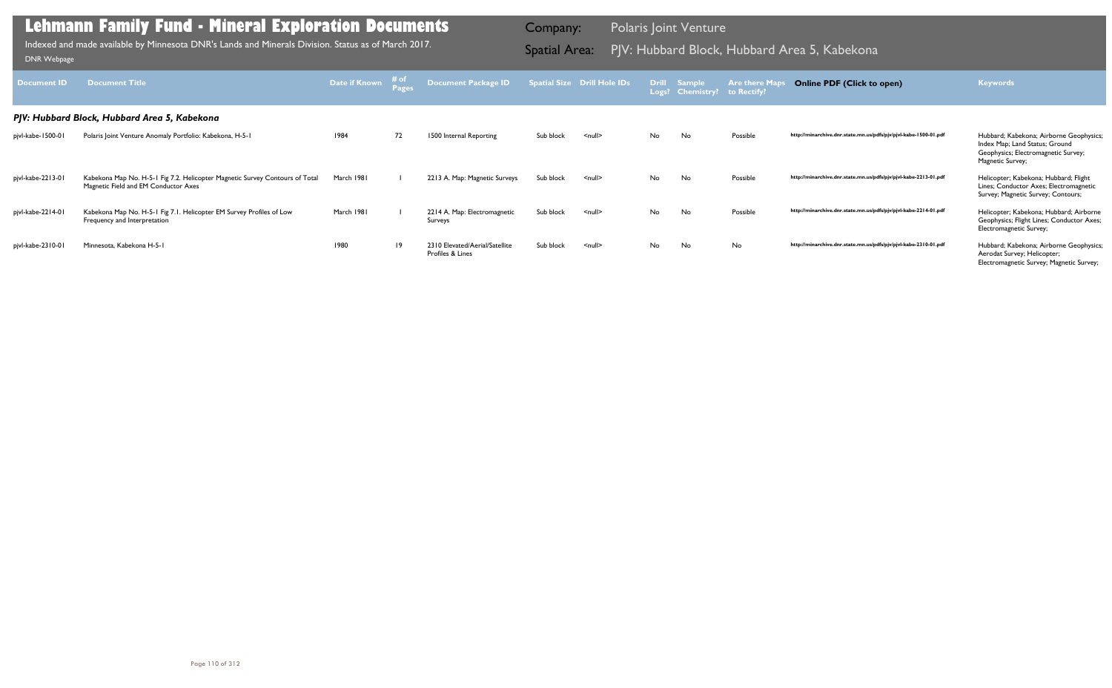| <b>Document ID</b> | <b>Document Title</b>                                                                                                | Date if Known | $#$ of | <b>Document Package ID</b>                         |           | <b>Spatial Size Drill Hole IDs</b> |     | <b>Drill Sample</b><br>Logs? Chemistry? to Rectify? | <b>Are there Maps</b> | <b>Online PDF (Click to open)</b>                                | <b>Keywords</b>                                                                                                                      |
|--------------------|----------------------------------------------------------------------------------------------------------------------|---------------|--------|----------------------------------------------------|-----------|------------------------------------|-----|-----------------------------------------------------|-----------------------|------------------------------------------------------------------|--------------------------------------------------------------------------------------------------------------------------------------|
|                    | PJV: Hubbard Block, Hubbard Area 5, Kabekona                                                                         |               |        |                                                    |           |                                    |     |                                                     |                       |                                                                  |                                                                                                                                      |
| pjvl-kabe-1500-01  | Polaris Joint Venture Anomaly Portfolio: Kabekona, H-5-1                                                             | 1984          | 72     | 1500 Internal Reporting                            | Sub block | $\leq$ null $\geq$                 | No. | No                                                  | Possible              | http://minarchive.dnr.state.mn.us/pdfs/pjv/pjvl-kabe-1500-01.pdf | Hubbard; Kabekona; Airborne Geophysics;<br>Index Map; Land Status; Ground<br>Geophysics; Electromagnetic Survey;<br>Magnetic Survey; |
| pjvl-kabe-2213-01  | Kabekona Map No. H-5-1 Fig 7.2. Helicopter Magnetic Survey Contours of Total<br>Magnetic Field and EM Conductor Axes | March 1981    |        | 2213 A. Map: Magnetic Surveys                      | Sub block | $\leq$ null $\geq$                 | No. | No                                                  | Possible              | http://minarchive.dnr.state.mn.us/pdfs/pjv/pjvl-kabe-2213-01.pdf | Helicopter; Kabekona; Hubbard; Flight<br>Lines; Conductor Axes; Electromagnetic<br>Survey; Magnetic Survey; Contours;                |
| pjvl-kabe-2214-01  | Kabekona Map No. H-5-1 Fig 7.1. Helicopter EM Survey Profiles of Low<br>Frequency and Interpretation                 | March 1981    |        | 2214 A. Map: Electromagnetic<br>Surveys            | Sub block | $\leq$ null $\geq$                 | No. | No                                                  | Possible              | http://minarchive.dnr.state.mn.us/pdfs/pjv/pjvl-kabe-2214-01.pdf | Helicopter; Kabekona; Hubbard; Airborne<br>Geophysics; Flight Lines; Conductor Axes;<br>Electromagnetic Survey;                      |
| pjvl-kabe-2310-01  | Minnesota, Kabekona H-5-1                                                                                            | 1980          | 19     | 2310 Elevated/Aerial/Satellite<br>Profiles & Lines | Sub block | $\leq$ null $\geq$                 | No  | No                                                  | No                    | http://minarchive.dnr.state.mn.us/pdfs/pjv/pjvl-kabe-2310-01.pdf | Hubbard; Kabekona; Airborne Geophysics;<br>Aerodat Survey; Helicopter;<br>Electromagnetic Survey; Magnetic Survey;                   |

Indexed and made available by Minnesota DNR's Lands and Minerals Division. Status as of March 2017. **Spatial Area:** PJV: Hubbard Block, Hubbard Area 5, Kabekona וDNR Webpage Indexed and made available by Minnesota DNR's Lands and Minerals Division. Status as of March 2017.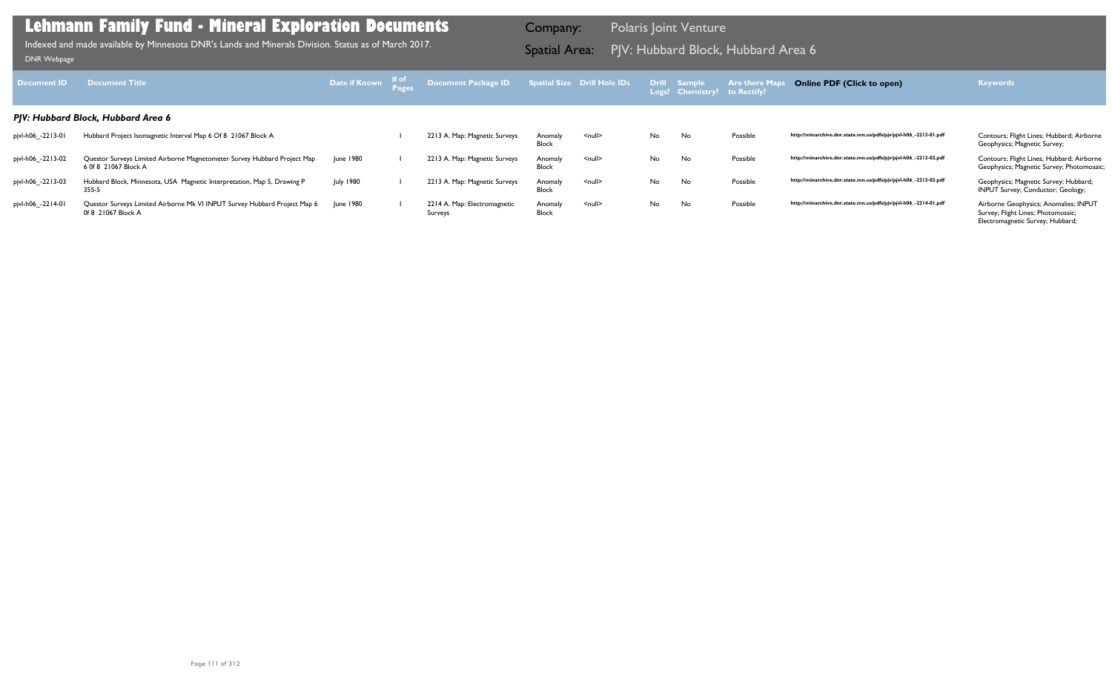| <b>Document ID</b> | <b>Document Title</b>                                                                            | Date if Known # of | Document Package ID Spatial Size Drill Hole IDs |                         |               |    | Drill Sample<br>Logs? Chemistry? to Rectify? | Are there Ma | <b>Online PDF (Click to open)</b>                                | <b>Keywords</b>                                                                                                 |
|--------------------|--------------------------------------------------------------------------------------------------|--------------------|-------------------------------------------------|-------------------------|---------------|----|----------------------------------------------|--------------|------------------------------------------------------------------|-----------------------------------------------------------------------------------------------------------------|
|                    | PJV: Hubbard Block, Hubbard Area 6                                                               |                    |                                                 |                         |               |    |                                              |              |                                                                  |                                                                                                                 |
| pjvl-h06_-2213-01  | Hubbard Project Isomagnetic Interval Map 6 Of 8 21067 Block A                                    |                    | 2213 A. Map: Magnetic Surveys                   | Anomaly<br><b>Block</b> | <null></null> | No | No                                           | Possible     | http://minarchive.dnr.state.mn.us/pdfs/pjv/pjvl-h06_-2213-01.pdf | Contours; Flight Lines; Hubbard; Airborne<br>Geophysics; Magnetic Survey;                                       |
| pjvl-h06_-2213-02  | Questor Surveys Limited Airborne Magnetometer Survey Hubbard Project Map<br>6 0f 8 21067 Block A | June 1980          | 2213 A. Map: Magnetic Surveys                   | Anomaly<br><b>Block</b> | $null$        | No | No                                           | Possible     | http://minarchive.dnr.state.mn.us/pdfs/pjv/pjvl-h06_-2213-02.pdf | Contours; Flight Lines; Hubbard; Airborne<br>Geophysics; Magnetic Survey; Photomosaic;                          |
| pjvl-h06_-2213-03  | Hubbard Block, Minnesota, USA Magnetic Interpretation, Map 5, Drawing P<br>355-5                 | <b>July 1980</b>   | 2213 A. Map: Magnetic Surveys                   | Anomaly<br><b>Block</b> | $null$        | No | No                                           | Possible     | http://minarchive.dnr.state.mn.us/pdfs/pjv/pjvl-h06_-2213-03.pdf | Geophysics; Magnetic Survey; Hubbard;<br>INPUT Survey; Conductor; Geology;                                      |
| pjvl-h06_-2214-01  | Questor Surveys Limited Airborne Mk VI INPUT Survey Hubbard Project Map 6<br>0f 8 21067 Block A  | June 1980          | 2214 A. Map: Electromagnetic<br>Surveys         | Anomaly<br><b>Block</b> | $null$        | No | No                                           | Possible     | http://minarchive.dnr.state.mn.us/pdfs/pjv/pjvl-h06_-2214-01.pdf | Airborne Geophysics; Anomalies; INPUT<br>Survey; Flight Lines; Photomosaic;<br>Electromagnetic Survey; Hubbard; |

Indexed and made available by Minnesota DNR's Lands and Minerals Division. Status as of March 2017. **Spatial Area:** PJV: Hubbard Block, Hubbard Area 6 موراة Spatial Area: PJV: Hubbard Block, Hubbard Area 6 موراة DNR Webpag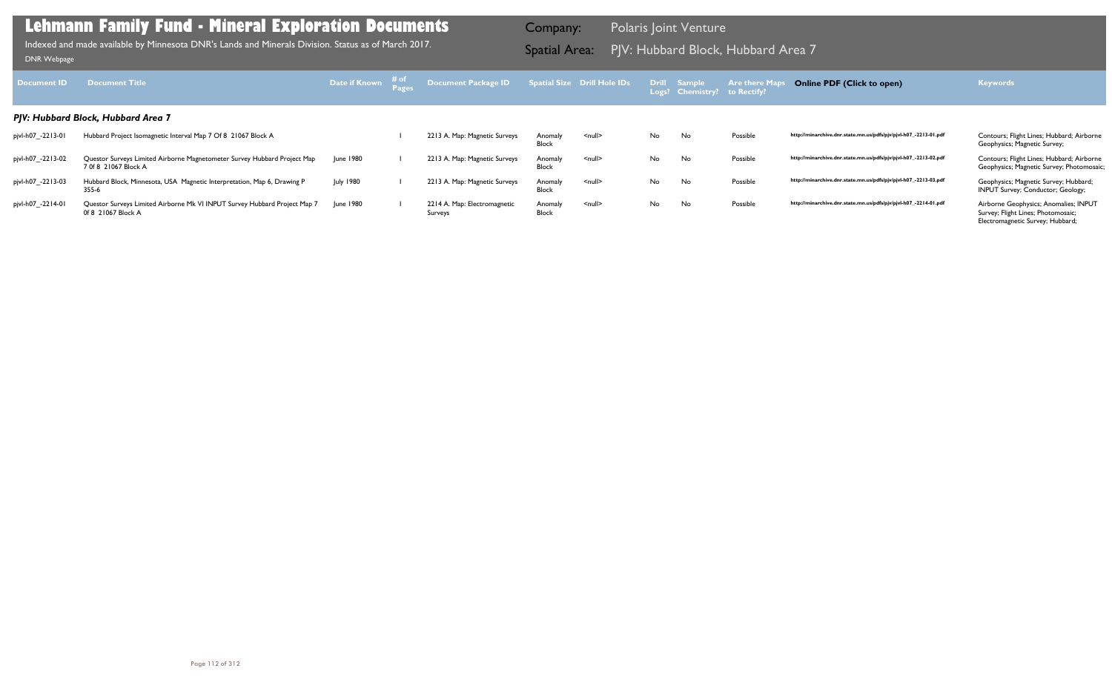| <b>Document ID</b> | <b>Document Title</b>                                                                            | <b>Date if Known</b> # of | <b>Document Package ID</b>              |                         | Spatial Size Drill Hole IDs |     | Drill Sample<br>Logs? Chemistry? to Rectify? | <b>Are there Ma</b> | <b>Online PDF (Click to open)</b>                                | <b>Keywords</b>                                                                                                 |
|--------------------|--------------------------------------------------------------------------------------------------|---------------------------|-----------------------------------------|-------------------------|-----------------------------|-----|----------------------------------------------|---------------------|------------------------------------------------------------------|-----------------------------------------------------------------------------------------------------------------|
|                    | PJV: Hubbard Block, Hubbard Area 7                                                               |                           |                                         |                         |                             |     |                                              |                     |                                                                  |                                                                                                                 |
| pjvl-h07_-2213-01  | Hubbard Project Isomagnetic Interval Map 7 Of 8 21067 Block A                                    |                           | 2213 A. Map: Magnetic Surveys           | Anomaly<br><b>Block</b> | $<$ null $>$                | No. | No                                           | Possible            | http://minarchive.dnr.state.mn.us/pdfs/pjv/pjvl-h07_-2213-01.pdf | Contours; Flight Lines; Hubbard; Airborne<br>Geophysics; Magnetic Survey;                                       |
| pjvl-h07_-2213-02  | Questor Surveys Limited Airborne Magnetometer Survey Hubbard Project Map<br>7 0f 8 21067 Block A | June 1980                 | 2213 A. Map: Magnetic Surveys           | Anomaly<br><b>Block</b> | $\leq$ null $\geq$          | No  | No                                           | Possible            | http://minarchive.dnr.state.mn.us/pdfs/pjv/pjvl-h07_-2213-02.pdf | Contours; Flight Lines; Hubbard; Airborne<br>Geophysics; Magnetic Survey; Photomosaic;                          |
| pjvl-h07_-2213-03  | Hubbard Block, Minnesota, USA Magnetic Interpretation, Map 6, Drawing P<br>355-6                 | <b>July 1980</b>          | 2213 A. Map: Magnetic Surveys           | Anomaly<br><b>Block</b> | $\leq$ null $\geq$          | No. | No                                           | Possible            | http://minarchive.dnr.state.mn.us/pdfs/pjv/pjvl-h07_-2213-03.pdf | Geophysics; Magnetic Survey; Hubbard;<br>INPUT Survey; Conductor; Geology;                                      |
| pjvl-h07_-2214-01  | Questor Surveys Limited Airborne Mk VI INPUT Survey Hubbard Project Map 7<br>0f 8 21067 Block A  | June 1980                 | 2214 A. Map: Electromagnetic<br>Surveys | Anomaly<br>Block        | $\leq$ null $\geq$          | No. | No                                           | Possible            | http://minarchive.dnr.state.mn.us/pdfs/pjv/pjvl-h07_-2214-01.pdf | Airborne Geophysics; Anomalies; INPUT<br>Survey; Flight Lines; Photomosaic;<br>Electromagnetic Survey; Hubbard; |

PJV: Hubbard Block, Hubbard Area 7 Indexed and made available by Minnesota DNR's Lands and Minerals Division. Status as of March 2017. Spatial Area: [DNR Webpage](http://www.dnr.state.mn.us/lands_minerals/polaris/index.html)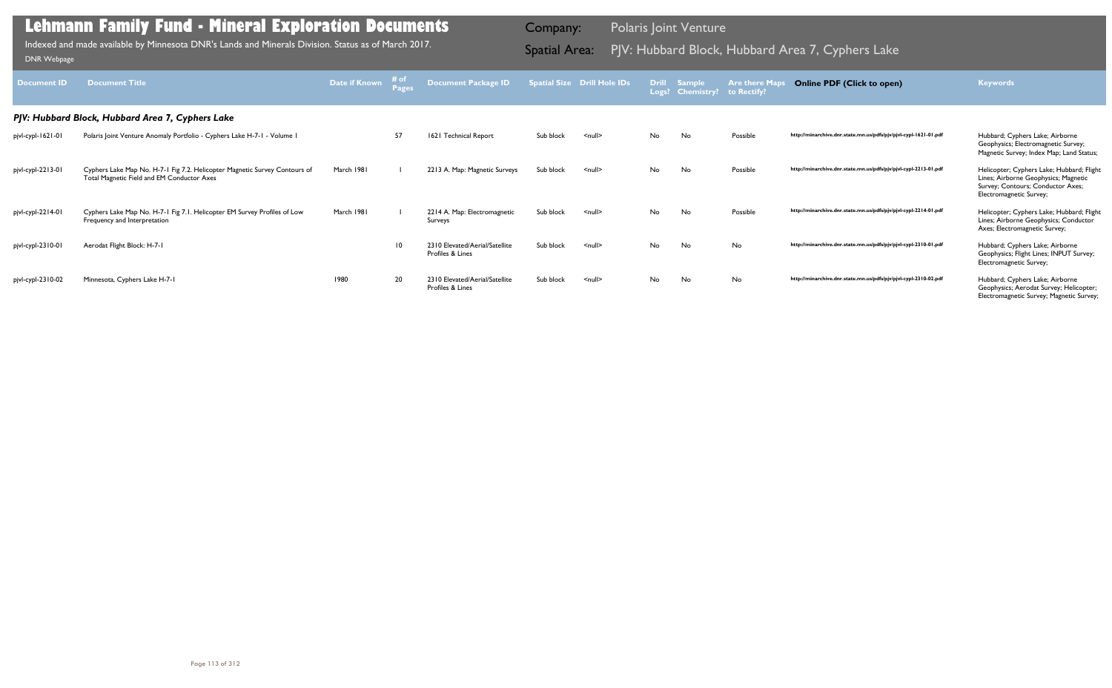| <b>Document ID</b> | <b>Document Title</b>                                                                                                    | <b>Date if Known</b> | # of<br><b>Pages</b> | Document Package ID                                |           | <b>Spatial Size Drill Hole IDs</b> |           | Drill Sample<br>Logs? Chemistry? | <b>Are there Maps</b><br>to Rectify? | <b>Online PDF (Click to open)</b>                                | <b>Keywords</b>                                                                                                                                   |
|--------------------|--------------------------------------------------------------------------------------------------------------------------|----------------------|----------------------|----------------------------------------------------|-----------|------------------------------------|-----------|----------------------------------|--------------------------------------|------------------------------------------------------------------|---------------------------------------------------------------------------------------------------------------------------------------------------|
|                    | PJV: Hubbard Block, Hubbard Area 7, Cyphers Lake                                                                         |                      |                      |                                                    |           |                                    |           |                                  |                                      |                                                                  |                                                                                                                                                   |
| pjvl-cypl-1621-01  | Polaris Joint Venture Anomaly Portfolio - Cyphers Lake H-7-1 - Volume 1                                                  |                      | 57                   | 1621 Technical Report                              | Sub block | $null$                             | <b>No</b> | No                               | Possible                             | http://minarchive.dnr.state.mn.us/pdfs/pjv/pjvl-cypl-1621-01.pdf | Hubbard; Cyphers Lake; Airborne<br>Geophysics; Electromagnetic Survey;<br>Magnetic Survey; Index Map; Land Status;                                |
| pjvl-cypl-2213-01  | Cyphers Lake Map No. H-7-1 Fig 7.2. Helicopter Magnetic Survey Contours of<br>Total Magnetic Field and EM Conductor Axes | March 1981           |                      | 2213 A. Map: Magnetic Surveys                      | Sub block | $null$                             | No        | No                               | Possible                             | http://minarchive.dnr.state.mn.us/pdfs/pjv/pjvl-cypl-2213-01.pdf | Helicopter; Cyphers Lake; Hubbard; Flight<br>Lines; Airborne Geophysics; Magnetic<br>Survey; Contours; Conductor Axes;<br>Electromagnetic Survey; |
| pjvl-cypl-2214-01  | Cyphers Lake Map No. H-7-1 Fig 7.1. Helicopter EM Survey Profiles of Low<br>Frequency and Interpretation                 | March 1981           |                      | 2214 A. Map: Electromagnetic<br>Surveys            | Sub block | $null$                             | No        | No.                              | Possible                             | http://minarchive.dnr.state.mn.us/pdfs/pjv/pjvl-cypl-2214-01.pdf | Helicopter; Cyphers Lake; Hubbard; Flight<br>Lines; Airborne Geophysics; Conductor<br>Axes; Electromagnetic Survey;                               |
| pjvl-cypl-2310-01  | Aerodat Flight Block: H-7-1                                                                                              |                      | 10                   | 2310 Elevated/Aerial/Satellite<br>Profiles & Lines | Sub block | $\leq$ null $\geq$                 | No        | No                               | No                                   | http://minarchive.dnr.state.mn.us/pdfs/pjv/pjvl-cypl-2310-01.pdf | Hubbard; Cyphers Lake; Airborne<br>Geophysics; Flight Lines; INPUT Survey;<br>Electromagnetic Survey;                                             |
| pjvl-cypl-2310-02  | Minnesota, Cyphers Lake H-7-1                                                                                            | 1980                 | 20                   | 2310 Elevated/Aerial/Satellite<br>Profiles & Lines | Sub block | $null$                             | No        | No                               | No                                   | http://minarchive.dnr.state.mn.us/pdfs/pjv/pjvl-cypl-2310-02.pdf | Hubbard; Cyphers Lake; Airborne<br>Geophysics; Aerodat Survey; Helicopter;<br>Electromagnetic Survey; Magnetic Survey;                            |

Indexed and made available by Minnesota DNR's Lands and Minerals Division. Status as of March 2017. **Spatial Area:** PJV: Hubbard Block, Hubbard Area 7, Cyphers Lake DNR Webpage Indexed and made available by Minnesota DNR's Lands and Minerals Division. Status as of March 2017.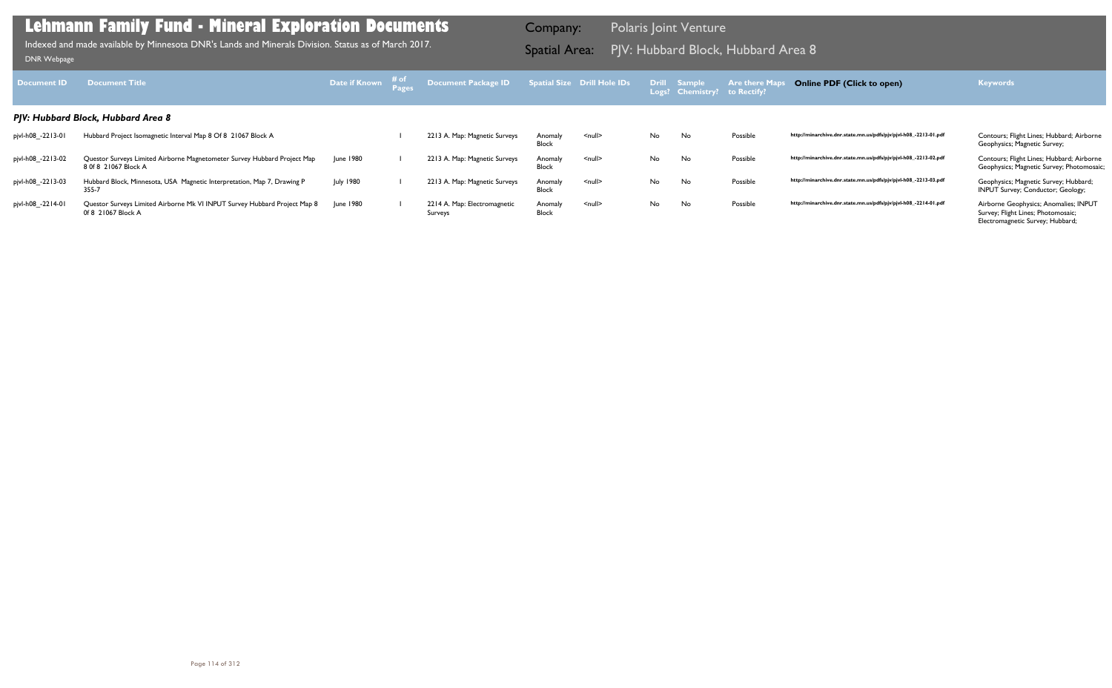| <b>Document ID</b> | <b>Document Title</b>                                                                            | Date if Known # of | Document Package ID                     |                         | Spatial Size Drill Hole IDs |     | Drill Sample<br>Logs? Chemistry? to Rectify? | <b>Are there Map</b> | <b>Online PDF (Click to open)</b>                                | <b>Keywords</b>                                                                                                 |
|--------------------|--------------------------------------------------------------------------------------------------|--------------------|-----------------------------------------|-------------------------|-----------------------------|-----|----------------------------------------------|----------------------|------------------------------------------------------------------|-----------------------------------------------------------------------------------------------------------------|
|                    | PJV: Hubbard Block, Hubbard Area 8                                                               |                    |                                         |                         |                             |     |                                              |                      |                                                                  |                                                                                                                 |
| pjvl-h08_-2213-01  | Hubbard Project Isomagnetic Interval Map 8 Of 8 21067 Block A                                    |                    | 2213 A. Map: Magnetic Surveys           | Anomaly<br><b>Block</b> | $\leq$ null $\geq$          | No. | No                                           | Possible             | http://minarchive.dnr.state.mn.us/pdfs/pjv/pjvl-h08_-2213-01.pdf | Contours; Flight Lines; Hubbard; Airborne<br>Geophysics; Magnetic Survey;                                       |
| pjvl-h08_-2213-02  | Questor Surveys Limited Airborne Magnetometer Survey Hubbard Project Map<br>8 0f 8 21067 Block A | June 1980          | 2213 A. Map: Magnetic Surveys           | Anomaly<br><b>Block</b> | $\leq$ null $\geq$          | No. | No                                           | Possible             | http://minarchive.dnr.state.mn.us/pdfs/pjv/pjvl-h08_-2213-02.pdf | Contours; Flight Lines; Hubbard; Airborne<br>Geophysics; Magnetic Survey; Photomosaic;                          |
| pjvl-h08_-2213-03  | Hubbard Block, Minnesota, USA Magnetic Interpretation, Map 7, Drawing P<br>355-7                 | <b>July 1980</b>   | 2213 A. Map: Magnetic Surveys           | Anomaly<br><b>Block</b> | $\leq$ null $\geq$          | No. | No                                           | Possible             | http://minarchive.dnr.state.mn.us/pdfs/pjv/pjvl-h08_-2213-03.pdf | Geophysics; Magnetic Survey; Hubbard;<br>INPUT Survey; Conductor; Geology;                                      |
| pjvl-h08_-2214-01  | Questor Surveys Limited Airborne Mk VI INPUT Survey Hubbard Project Map 8<br>0f 8 21067 Block A  | <b>June 1980</b>   | 2214 A. Map: Electromagnetic<br>Surveys | Anomaly<br><b>Block</b> | $null$                      | No. | No                                           | Possible             | http://minarchive.dnr.state.mn.us/pdfs/pjv/pjvl-h08_-2214-01.pdf | Airborne Geophysics; Anomalies; INPUT<br>Survey; Flight Lines; Photomosaic;<br>Electromagnetic Survey; Hubbard; |

PJV: Hubbard Block, Hubbard Area 8 Indexed and made available by Minnesota DNR's Lands and Minerals Division. Status as of March 2017. Spatial Area: [DNR Webpage](http://www.dnr.state.mn.us/lands_minerals/polaris/index.html)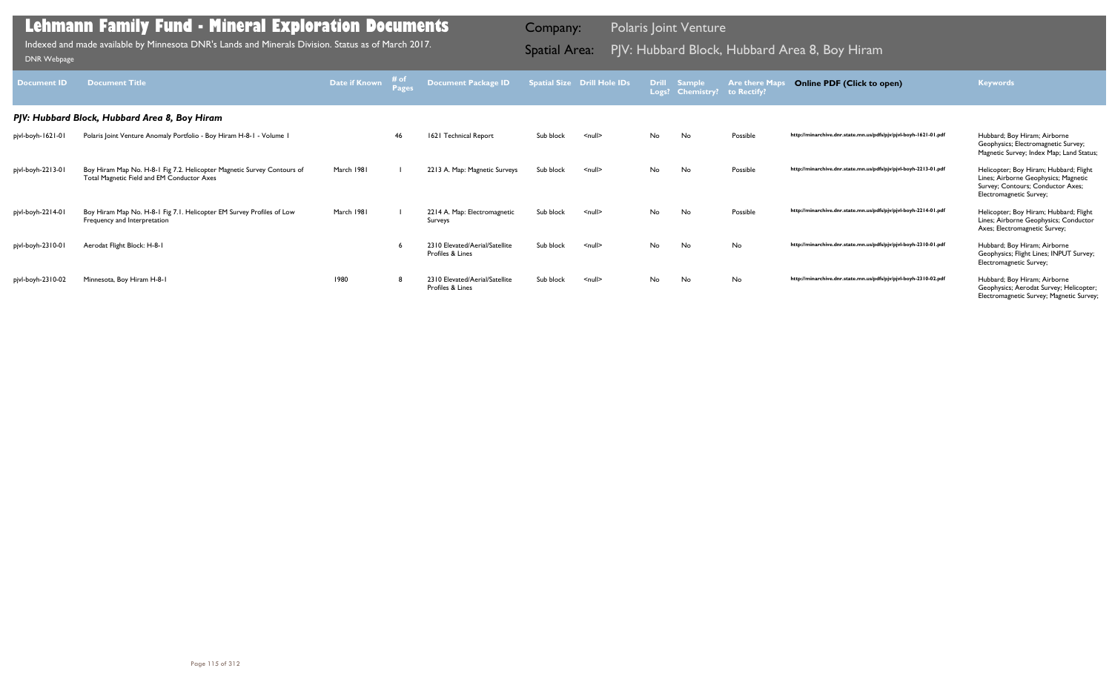| <b>Document ID</b> | <b>Document Title</b>                                                                                                 | Date if Known | # of<br>Pages | Document Package ID                                |           | <b>Spatial Size Drill Hole IDs</b> |    | Drill Sample<br>Logs? Chemistry? to Rectify? | <b>Are there Maps</b> | <b>Online PDF (Click to open)</b>                                | <b>Keywords</b>                                                                                                                                |
|--------------------|-----------------------------------------------------------------------------------------------------------------------|---------------|---------------|----------------------------------------------------|-----------|------------------------------------|----|----------------------------------------------|-----------------------|------------------------------------------------------------------|------------------------------------------------------------------------------------------------------------------------------------------------|
|                    | PJV: Hubbard Block, Hubbard Area 8, Boy Hiram                                                                         |               |               |                                                    |           |                                    |    |                                              |                       |                                                                  |                                                                                                                                                |
| pjvl-boyh-1621-01  | Polaris Joint Venture Anomaly Portfolio - Boy Hiram H-8-1 - Volume 1                                                  |               | 46            | 1621 Technical Report                              | Sub block | $<$ null $>$                       | No | No                                           | Possible              | http://minarchive.dnr.state.mn.us/pdfs/pjv/pjvl-boyh-1621-01.pdf | Hubbard; Boy Hiram; Airborne<br>Geophysics; Electromagnetic Survey;<br>Magnetic Survey; Index Map; Land Status;                                |
| pjvl-boyh-2213-01  | Boy Hiram Map No. H-8-1 Fig 7.2. Helicopter Magnetic Survey Contours of<br>Total Magnetic Field and EM Conductor Axes | March 1981    |               | 2213 A. Map: Magnetic Surveys                      | Sub block | $<$ null $>$                       | No | No                                           | Possible              | http://minarchive.dnr.state.mn.us/pdfs/pjv/pjvl-boyh-2213-01.pdf | Helicopter; Boy Hiram; Hubbard; Flight<br>Lines; Airborne Geophysics; Magnetic<br>Survey; Contours; Conductor Axes;<br>Electromagnetic Survey; |
| pjvl-boyh-2214-01  | Boy Hiram Map No. H-8-1 Fig 7.1. Helicopter EM Survey Profiles of Low<br>Frequency and Interpretation                 | March 1981    |               | 2214 A. Map: Electromagnetic<br>Surveys            | Sub block | $<$ null $>$                       | No | No                                           | Possible              | http://minarchive.dnr.state.mn.us/pdfs/pjv/pjvl-boyh-2214-01.pdf | Helicopter; Boy Hiram; Hubbard; Flight<br>Lines; Airborne Geophysics; Conductor<br>Axes; Electromagnetic Survey;                               |
| pjvl-boyh-2310-01  | Aerodat Flight Block: H-8-1                                                                                           |               |               | 2310 Elevated/Aerial/Satellite<br>Profiles & Lines | Sub block | $<$ null $>$                       | No | No                                           | No                    | http://minarchive.dnr.state.mn.us/pdfs/pjv/pjvl-boyh-2310-01.pdf | Hubbard; Boy Hiram; Airborne<br>Geophysics; Flight Lines; INPUT Survey;<br>Electromagnetic Survey;                                             |
| pjvl-boyh-2310-02  | Minnesota, Boy Hiram H-8-1                                                                                            | 1980          |               | 2310 Elevated/Aerial/Satellite<br>Profiles & Lines | Sub block | $\le$ null $\ge$                   | No | No                                           | No                    | http://minarchive.dnr.state.mn.us/pdfs/pjv/pjvl-boyh-2310-02.pdf | Hubbard; Boy Hiram; Airborne<br>Geophysics; Aerodat Survey; Helicopter;<br>Electromagnetic Survey; Magnetic Survey;                            |

Indexed and made available by Minnesota DNR's Lands and Minerals Division. Status as of March 2017. **Spatial Area:** PJV: Hubbard Block, Hubbard Area 8, Boy Hiram DNR Webpage Indexed and made available by Minnesota DNR's Lands and Minerals Division. Status as of March 2017.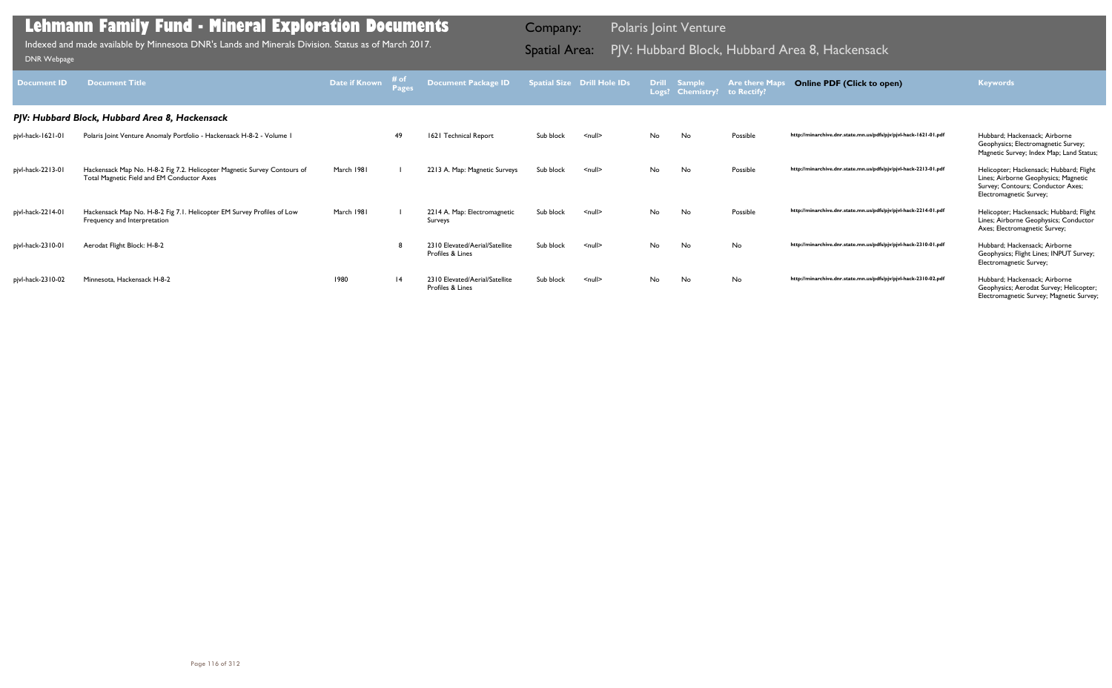| <b>Document ID</b> | <b>Document Title</b>                                                                                                  | Date if Known | $#$ of $#$<br>Pages | Document Package ID Spatial Size Drill Hole IDs    |           |                    |    | Drill Sample<br>Logs? Chemistry? to Rectify? | <b>Are there Maps</b> | <b>Online PDF (Click to open)</b>                                | <b>Keywords</b>                                                                                                                                 |
|--------------------|------------------------------------------------------------------------------------------------------------------------|---------------|---------------------|----------------------------------------------------|-----------|--------------------|----|----------------------------------------------|-----------------------|------------------------------------------------------------------|-------------------------------------------------------------------------------------------------------------------------------------------------|
|                    | PJV: Hubbard Block, Hubbard Area 8, Hackensack                                                                         |               |                     |                                                    |           |                    |    |                                              |                       |                                                                  |                                                                                                                                                 |
| pjvl-hack-1621-01  | Polaris Joint Venture Anomaly Portfolio - Hackensack H-8-2 - Volume I                                                  |               | -49                 | 1621 Technical Report                              | Sub block | $\leq$ null $\geq$ | No | No                                           | Possible              | http://minarchive.dnr.state.mn.us/pdfs/pjv/pjvl-hack-1621-01.pdf | Hubbard; Hackensack; Airborne<br>Geophysics; Electromagnetic Survey;<br>Magnetic Survey; Index Map; Land Status;                                |
| pjvl-hack-2213-01  | Hackensack Map No. H-8-2 Fig 7.2. Helicopter Magnetic Survey Contours of<br>Total Magnetic Field and EM Conductor Axes | March 1981    |                     | 2213 A. Map: Magnetic Surveys                      | Sub block | $null$             | No | No                                           | Possible              | http://minarchive.dnr.state.mn.us/pdfs/pjv/pjvl-hack-2213-01.pdf | Helicopter; Hackensack; Hubbard; Flight<br>Lines; Airborne Geophysics; Magnetic<br>Survey; Contours; Conductor Axes;<br>Electromagnetic Survey; |
| pjvl-hack-2214-01  | Hackensack Map No. H-8-2 Fig 7.1. Helicopter EM Survey Profiles of Low<br>Frequency and Interpretation                 | March 1981    |                     | 2214 A. Map: Electromagnetic<br>Surveys            | Sub block | $\leq$ null $\geq$ | No | No                                           | Possible              | http://minarchive.dnr.state.mn.us/pdfs/pjv/pjvl-hack-2214-01.pdf | Helicopter; Hackensack; Hubbard; Flight<br>Lines; Airborne Geophysics; Conductor<br>Axes; Electromagnetic Survey;                               |
| pjvl-hack-2310-01  | Aerodat Flight Block: H-8-2                                                                                            |               |                     | 2310 Elevated/Aerial/Satellite<br>Profiles & Lines | Sub block | $\leq$ null $\geq$ | No | No                                           | No                    | http://minarchive.dnr.state.mn.us/pdfs/pjv/pjvl-hack-2310-01.pdf | Hubbard; Hackensack; Airborne<br>Geophysics; Flight Lines; INPUT Survey;<br>Electromagnetic Survey;                                             |
| pjvl-hack-2310-02  | Minnesota, Hackensack H-8-2                                                                                            | 1980          | 4                   | 2310 Elevated/Aerial/Satellite<br>Profiles & Lines | Sub block | $\leq$ null $\geq$ | No | No                                           | No                    | http://minarchive.dnr.state.mn.us/pdfs/pjv/pjvl-hack-2310-02.pdf | Hubbard: Hackensack: Airborne<br>Geophysics; Aerodat Survey; Helicopter;<br>Electromagnetic Survey; Magnetic Survey;                            |

Indexed and made available by Minnesota DNR's Lands and Minerals Division. Status as of March 2017. **Spatial Area:** PJV: Hubbard Block, Hubbard Area 8, Hackensack וDNR Webpage Indexed and made available by Minnesota DNR's Lands and Minerals Division. Status as of March 2017.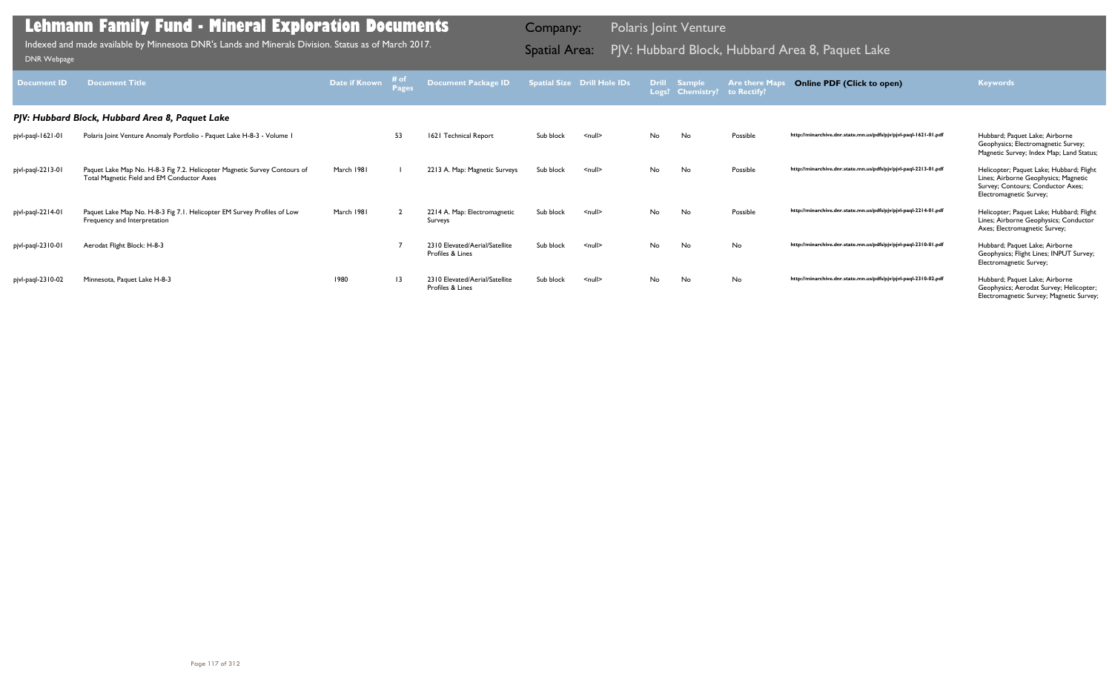| <b>Document ID</b> | <b>Document Title</b>                                                                                                   | Date if Known | # of<br>Pages   | Document Package ID                                |           | <b>Spatial Size Drill Hole IDs</b> |    | Drill Sample<br>Logs? Chemistry? to Rectify? | <b>Are there Maps</b> | <b>Online PDF (Click to open)</b>                                | <b>Keywords</b>                                                                                                                                  |
|--------------------|-------------------------------------------------------------------------------------------------------------------------|---------------|-----------------|----------------------------------------------------|-----------|------------------------------------|----|----------------------------------------------|-----------------------|------------------------------------------------------------------|--------------------------------------------------------------------------------------------------------------------------------------------------|
|                    | PJV: Hubbard Block, Hubbard Area 8, Paquet Lake                                                                         |               |                 |                                                    |           |                                    |    |                                              |                       |                                                                  |                                                                                                                                                  |
| pjvl-paql-1621-01  | Polaris Joint Venture Anomaly Portfolio - Paquet Lake H-8-3 - Volume I                                                  |               | 53              | 1621 Technical Report                              | Sub block | $\leq$ null $\geq$                 | No | No                                           | Possible              | http://minarchive.dnr.state.mn.us/pdfs/pjv/pjvl-paql-1621-01.pdf | Hubbard; Paquet Lake; Airborne<br>Geophysics; Electromagnetic Survey;<br>Magnetic Survey; Index Map; Land Status;                                |
| pjvl-paql-2213-01  | Paquet Lake Map No. H-8-3 Fig 7.2. Helicopter Magnetic Survey Contours of<br>Total Magnetic Field and EM Conductor Axes | March 1981    |                 | 2213 A. Map: Magnetic Surveys                      | Sub block | $\leq$ null $\geq$                 | No | <b>No</b>                                    | Possible              | http://minarchive.dnr.state.mn.us/pdfs/pjv/pjvl-paql-2213-01.pdf | Helicopter; Paquet Lake; Hubbard; Flight<br>Lines; Airborne Geophysics; Magnetic<br>Survey; Contours; Conductor Axes;<br>Electromagnetic Survey; |
| pjvl-paql-2214-01  | Paquet Lake Map No. H-8-3 Fig 7.1. Helicopter EM Survey Profiles of Low<br>Frequency and Interpretation                 | March 1981    |                 | 2214 A. Map: Electromagnetic<br>Surveys            | Sub block | $null$                             | No | No                                           | Possible              | http://minarchive.dnr.state.mn.us/pdfs/pjv/pjvl-paql-2214-01.pdf | Helicopter; Paquet Lake; Hubbard; Flight<br>Lines; Airborne Geophysics; Conductor<br>Axes; Electromagnetic Survey;                               |
| pjvl-paql-2310-01  | Aerodat Flight Block: H-8-3                                                                                             |               |                 | 2310 Elevated/Aerial/Satellite<br>Profiles & Lines | Sub block | $\leq$ null $\geq$                 | No | No                                           | No                    | http://minarchive.dnr.state.mn.us/pdfs/pjv/pjvl-paql-2310-01.pdf | Hubbard; Paquet Lake; Airborne<br>Geophysics; Flight Lines; INPUT Survey;<br>Electromagnetic Survey;                                             |
| pjvl-paql-2310-02  | Minnesota, Paquet Lake H-8-3                                                                                            | 1980          | $\overline{13}$ | 2310 Elevated/Aerial/Satellite<br>Profiles & Lines | Sub block | $null$                             | No | No                                           | No                    | http://minarchive.dnr.state.mn.us/pdfs/pjv/pjvl-paql-2310-02.pdf | Hubbard; Paquet Lake; Airborne<br>Geophysics; Aerodat Survey; Helicopter;<br>Electromagnetic Survey; Magnetic Survey;                            |

Indexed and made available by Minnesota DNR's Lands and Minerals Division. Status as of March 2017. **Spatial Area:** PJV: Hubbard Block, Hubbard Area 8, Paquet Lake DNR Webpage Indexed and made available by Minnesota DNR's Lands and Minerals Division. Status as of March 2017.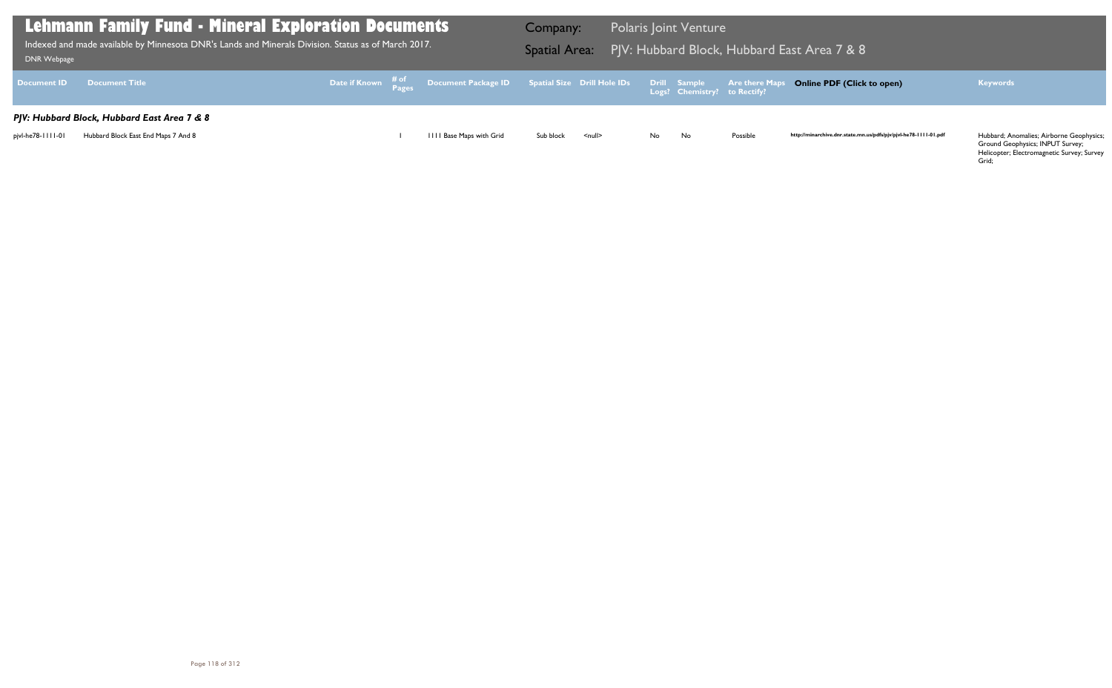Ground Geophysics; INPUT Survey; Helicopter; Electromagnetic Survey; Survey Grid;

| Lehmann Family Fund - Mineral Exploration Documents<br>$\,$ Indexed and made available by Minnesota DNR's Lands and Minerals Division. Status as of March 2017. $\,$<br>DNR Webpage |                                             |  |  |                          | Company:  |               |     | <b>Polaris Joint Venture</b> |          | Spatial Area: PJV: Hubbard Block, Hubbard East Area 7 & 8                                                                 |                                          |
|-------------------------------------------------------------------------------------------------------------------------------------------------------------------------------------|---------------------------------------------|--|--|--------------------------|-----------|---------------|-----|------------------------------|----------|---------------------------------------------------------------------------------------------------------------------------|------------------------------------------|
|                                                                                                                                                                                     | Document ID Document Title                  |  |  |                          |           |               |     |                              |          | Date if Known # of Document Package ID Spatial Size Drill Hole IDs Drill Sample Are there Maps Online PDF (Click to open) | <b>Keywords</b>                          |
|                                                                                                                                                                                     | PJV: Hubbard Block, Hubbard East Area 7 & 8 |  |  |                          |           |               |     |                              |          |                                                                                                                           |                                          |
| pjvl-he78-1111-01                                                                                                                                                                   | Hubbard Block East End Maps 7 And 8         |  |  | IIII Base Maps with Grid | Sub block | <null></null> | No. | No                           | Possible | http://minarchive.dnr.state.mn.us/pdfs/pjv/pjvl-he78-1111-01.pdf                                                          | Hubbard; Anomalies; Airborne Geophysics; |

## **Online PDF (Click to open) Keywords**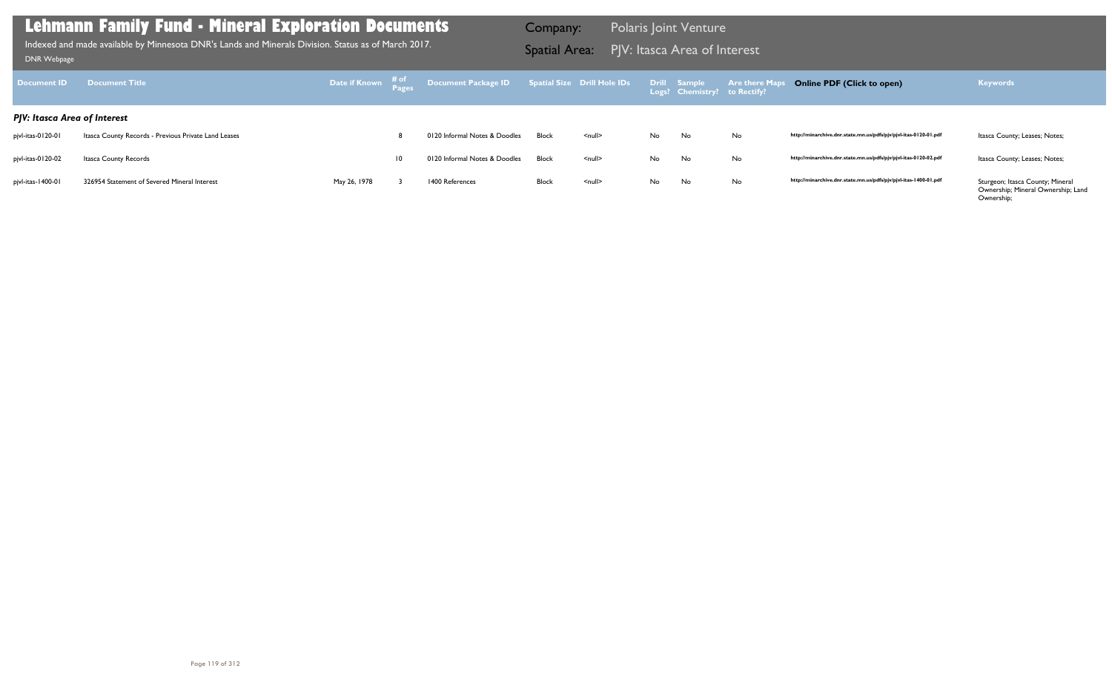Sturgeon; Itasca County; Mineral<br>Ownership; Mineral Ownership; Land Ownership;

| <b>Document ID</b>           | <b>Document Title</b>                                | Date if Known # of<br>Pages |    | Document Package ID    Spatial Size    Drill Hole IDs |       |                    |     | Drill Sample<br>Logs? Chemistry? to Rectify? | <b>Are there Maps</b> |
|------------------------------|------------------------------------------------------|-----------------------------|----|-------------------------------------------------------|-------|--------------------|-----|----------------------------------------------|-----------------------|
| PJV: Itasca Area of Interest |                                                      |                             |    |                                                       |       |                    |     |                                              |                       |
| pjvl-itas-0120-01            | Itasca County Records - Previous Private Land Leases |                             | 8  | 0120 Informal Notes & Doodles                         | Block | $\leq$ null $\geq$ | No. | No.                                          | No                    |
| pjvl-itas-0120-02            | Itasca County Records                                |                             | 10 | 0120 Informal Notes & Doodles                         | Block | $\leq$ null $\geq$ | No. | No                                           | No                    |
| pjvl-itas-1400-01            | 326954 Statement of Severed Mineral Interest         | May 26, 1978                |    | 1400 References                                       | Block | $\leq$ null $\geq$ | No. | No.                                          | No                    |

## **Lehmann Family Fund - Mineral Exploration Documents**

PJV: Itasca Area of Interest Indexed and made available by Minnesota DNR's Lands and Minerals Division. Status as of March 2017. Spatial Area: [DNR Webpage](http://www.dnr.state.mn.us/lands_minerals/polaris/index.html)

Company: Polaris Joint Venture

## **Online PDF (Click to open) Keywords**

http://minarchive.dnr.state.mn.us/pdfs/pjv/pjvl-itas-0120-01.pdf ltasca County; Leases; Notes;

http://minarchive.dnr.state.mn.us/pdfs/pjv/pjvl-itas-0120-02.pdf ltasca County; Leases; Notes;

http://minarchive.dnr.state.mn.us/pdfs/pjv/pjvl-itas-1400-01.pdf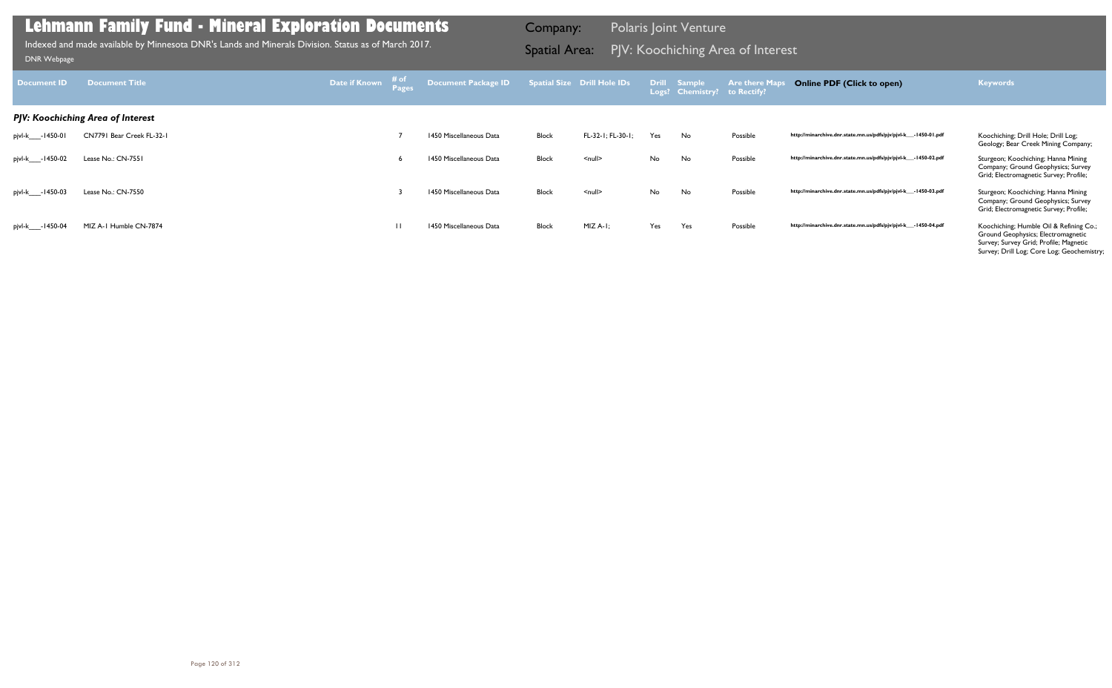| <b>Document ID</b> | Document Title                    | Date if Known | # of<br>Pages | Document Package ID     |       | <b>Spatial Size Drill Hole IDs</b> |     | Drill Sample<br>Logs? Chemistry? to Rectify? | <b>Are there Map</b> | <b>Online PDF (Click to open)</b>                                | <b>Keywords</b>                                                                                                                                                       |
|--------------------|-----------------------------------|---------------|---------------|-------------------------|-------|------------------------------------|-----|----------------------------------------------|----------------------|------------------------------------------------------------------|-----------------------------------------------------------------------------------------------------------------------------------------------------------------------|
|                    | PJV: Koochiching Area of Interest |               |               |                         |       |                                    |     |                                              |                      |                                                                  |                                                                                                                                                                       |
| pjvl-k____-1450-01 | CN7791 Bear Creek FL-32-1         |               |               | 1450 Miscellaneous Data | Block | FL-32-1; FL-30-1;                  | Yes | No                                           | Possible             | http://minarchive.dnr.state.mn.us/pdfs/pjv/pjvl-k__-1450-01.pdf  | Koochiching; Drill Hole; Drill Log;<br>Geology; Bear Creek Mining Company;                                                                                            |
| pjvl-k____-1450-02 | Lease No.: CN-7551                |               |               | 1450 Miscellaneous Data | Block | $\leq$ null $\geq$                 | No  | No                                           | Possible             | http://minarchive.dnr.state.mn.us/pdfs/pjv/pjvl-k__-1450-02.pdf  | Sturgeon; Koochiching; Hanna Mining<br>Company; Ground Geophysics; Survey<br>Grid; Electromagnetic Survey; Profile;                                                   |
| pjvl-k____-1450-03 | Lease No.: CN-7550                |               |               | 1450 Miscellaneous Data | Block | $null$                             | No  | No                                           | Possible             | http://minarchive.dnr.state.mn.us/pdfs/pjv/pjvl-k__-1450-03.pdf  | Sturgeon; Koochiching; Hanna Mining<br>Company; Ground Geophysics; Survey<br>Grid; Electromagnetic Survey; Profile;                                                   |
| pjvl-k____-1450-04 | MIZ A-1 Humble CN-7874            |               | $\mathbf{H}$  | 1450 Miscellaneous Data | Block | $MIZ A-I$ :                        | Yes | Yes                                          | Possible             | http://minarchive.dnr.state.mn.us/pdfs/pjv/pjvl-k___-1450-04.pdf | Koochiching; Humble Oil & Refining Co.;<br>Ground Geophysics; Electromagnetic<br>Survey; Survey Grid; Profile; Magnetic<br>Survey; Drill Log; Core Log; Geochemistry; |

PJV: Koochiching Area of Interest Indexed and made available by Minnesota DNR's Lands and Minerals Division. Status as of March 2017. Spatial Area: [DNR Webpage](http://www.dnr.state.mn.us/lands_minerals/polaris/index.html)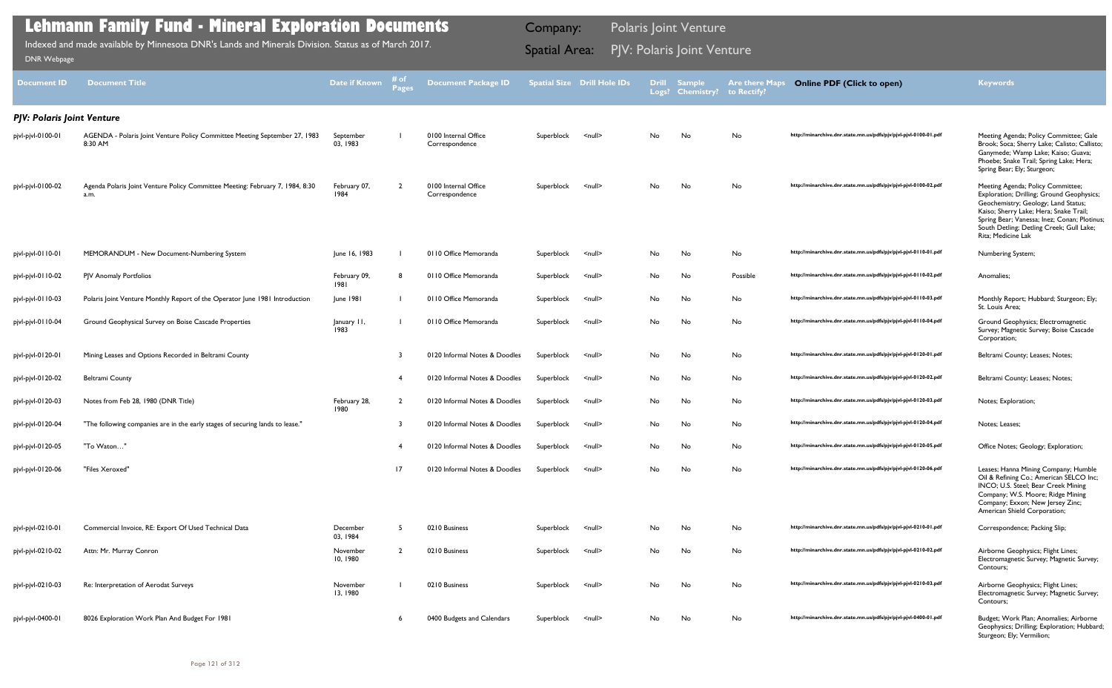| <b>Document ID</b>                | <b>Document Title</b>                                                                 | Date if Known         | <b>Pages</b>   | <b>Document Package ID</b>             |            | Spatial Size Drill Hole IDs |     | Drill Sample<br>Logs? Chemistry? | <b>Are there Maps</b><br>to Rectify? | <b>Online PDF (Click to open)</b>                                | <b>Keywords</b>                                                                                                                                                                                                                                                                |
|-----------------------------------|---------------------------------------------------------------------------------------|-----------------------|----------------|----------------------------------------|------------|-----------------------------|-----|----------------------------------|--------------------------------------|------------------------------------------------------------------|--------------------------------------------------------------------------------------------------------------------------------------------------------------------------------------------------------------------------------------------------------------------------------|
| <b>PJV: Polaris Joint Venture</b> |                                                                                       |                       |                |                                        |            |                             |     |                                  |                                      |                                                                  |                                                                                                                                                                                                                                                                                |
| pjvl-pjvl-0100-01                 | AGENDA - Polaris Joint Venture Policy Committee Meeting September 27, 1983<br>8:30 AM | September<br>03, 1983 |                | 0100 Internal Office<br>Correspondence | Superblock | <null></null>               | No  | No                               | No                                   | http://minarchive.dnr.state.mn.us/pdfs/pjv/pjvl-pjvl-0100-01.pdf | Meeting Agenda; Policy Committee; Gale<br>Brook; Soca; Sherry Lake; Calisto; Callist<br>Ganymede; Wamp Lake; Kaiso; Guava;<br>Phoebe; Snake Trail; Spring Lake; Hera;<br>Spring Bear; Ely; Sturgeon;                                                                           |
| pjvl-pjvl-0100-02                 | Agenda Polaris Joint Venture Policy Committee Meeting: February 7, 1984, 8:30<br>a.m. | February 07,<br>1984  |                | 0100 Internal Office<br>Correspondence | Superblock | $null$                      | No. | No                               | No                                   | http://minarchive.dnr.state.mn.us/pdfs/pjv/pjvl-pjvl-0100-02.pdf | Meeting Agenda; Policy Committee;<br>Exploration; Drilling; Ground Geophysics<br>Geochemistry; Geology; Land Status;<br>Kaiso; Sherry Lake; Hera; Snake Trail;<br>Spring Bear; Vanessa; Inez; Conan; Plotini<br>South Detling; Detling Creek; Gull Lake;<br>Rita; Medicine Lak |
| pjvl-pjvl-0110-01                 | MEMORANDUM - New Document-Numbering System                                            | June 16, 1983         |                | 0110 Office Memoranda                  | Superblock | <null></null>               | No. | No                               | No                                   | http://minarchive.dnr.state.mn.us/pdfs/pjv/pjvl-pjvl-0110-01.pdf | Numbering System;                                                                                                                                                                                                                                                              |
| pjvl-pjvl-0110-02                 | PJV Anomaly Portfolios                                                                | February 09,<br>1981  |                | 0110 Office Memoranda                  | Superblock | $null$                      | No  | No                               | Possible                             | http://minarchive.dnr.state.mn.us/pdfs/pjv/pjvl-pjvl-0110-02.pdf | Anomalies;                                                                                                                                                                                                                                                                     |
| pjvl-pjvl-0110-03                 | Polaris Joint Venture Monthly Report of the Operator June 1981 Introduction           | June 1981             |                | 0110 Office Memoranda                  | Superblock | $null$                      | No  | No                               | No                                   | http://minarchive.dnr.state.mn.us/pdfs/pjv/pjvl-pjvl-0110-03.pdf | Monthly Report; Hubbard; Sturgeon; Ely;<br>St. Louis Area;                                                                                                                                                                                                                     |
| pjvl-pjvl-0110-04                 | Ground Geophysical Survey on Boise Cascade Properties                                 | January II,<br>1983   |                | 0110 Office Memoranda                  | Superblock | <null></null>               | No. | No                               | No                                   | http://minarchive.dnr.state.mn.us/pdfs/pjv/pjvl-pjvl-0110-04.pdf | Ground Geophysics; Electromagnetic<br>Survey; Magnetic Survey; Boise Cascade<br>Corporation;                                                                                                                                                                                   |
| pjvl-pjvl-0120-01                 | Mining Leases and Options Recorded in Beltrami County                                 |                       |                | 0120 Informal Notes & Doodles          | Superblock | $null$                      | No  | No                               | No                                   | http://minarchive.dnr.state.mn.us/pdfs/pjv/pjvl-pjvl-0120-01.pdf | Beltrami County; Leases; Notes;                                                                                                                                                                                                                                                |
| pjvl-pjvl-0120-02                 | <b>Beltrami County</b>                                                                |                       | -4             | 0120 Informal Notes & Doodles          | Superblock | <null></null>               | No  | No                               | No                                   | http://minarchive.dnr.state.mn.us/pdfs/pjv/pjvl-pjvl-0120-02.pdf | Beltrami County; Leases; Notes;                                                                                                                                                                                                                                                |
| pjvl-pjvl-0120-03                 | Notes from Feb 28, 1980 (DNR Title)                                                   | February 28,<br>1980  | $\overline{2}$ | 0120 Informal Notes & Doodles          | Superblock | $null$                      | No  | No                               | No                                   | http://minarchive.dnr.state.mn.us/pdfs/pjv/pjvl-pjvl-0120-03.pdf | Notes; Exploration;                                                                                                                                                                                                                                                            |
| pjvl-pjvl-0120-04                 | "The following companies are in the early stages of securing lands to lease."         |                       |                | 0120 Informal Notes & Doodles          | Superblock | $null$                      | No  | No                               | No                                   | http://minarchive.dnr.state.mn.us/pdfs/pjv/pjvl-pjvl-0120-04.pdf | Notes; Leases;                                                                                                                                                                                                                                                                 |
| pjvl-pjvl-0120-05                 | "To Waton"                                                                            |                       |                | 0120 Informal Notes & Doodles          | Superblock | <null></null>               | No. | No                               | No                                   | http://minarchive.dnr.state.mn.us/pdfs/pjv/pjvl-pjvl-0120-05.pdf | Office Notes; Geology; Exploration;                                                                                                                                                                                                                                            |
| pjvl-pjvl-0120-06                 | "Files Xeroxed"                                                                       |                       | 17             | 0120 Informal Notes & Doodles          | Superblock | <null></null>               | No. | No                               | No                                   | http://minarchive.dnr.state.mn.us/pdfs/pjv/pjvl-pjvl-0120-06.pdf | Leases; Hanna Mining Company; Humble<br>Oil & Refining Co.; American SELCO Inc;<br>INCO; U.S. Steel; Bear Creek Mining<br>Company; W.S. Moore; Ridge Mining<br>Company; Exxon; New Jersey Zinc;<br>American Shield Corporation;                                                |
| pjvl-pjvl-0210-01                 | Commercial Invoice, RE: Export Of Used Technical Data                                 | December<br>03, 1984  | - 5            | 0210 Business                          | Superblock | <null></null>               | No  | No                               | No                                   | http://minarchive.dnr.state.mn.us/pdfs/pjv/pjvl-pjvl-0210-01.pdf | Correspondence; Packing Slip;                                                                                                                                                                                                                                                  |
| pjvl-pjvl-0210-02                 | Attn: Mr. Murray Conron                                                               | November<br>10, 1980  | $\overline{2}$ | 0210 Business                          | Superblock | $null$                      | No  | No                               | No                                   | http://minarchive.dnr.state.mn.us/pdfs/pjv/pjvl-pjvl-0210-02.pdf | Airborne Geophysics; Flight Lines;<br>Electromagnetic Survey; Magnetic Survey;<br>Contours;                                                                                                                                                                                    |
| pjvl-pjvl-0210-03                 | Re: Interpretation of Aerodat Surveys                                                 | November<br>13, 1980  |                | 0210 Business                          | Superblock | <null></null>               | No  | No                               | No                                   | http://minarchive.dnr.state.mn.us/pdfs/pjv/pjvl-pjvl-0210-03.pdf | Airborne Geophysics; Flight Lines;<br>Electromagnetic Survey; Magnetic Survey;<br>Contours;                                                                                                                                                                                    |
| pjvl-pjvl-0400-01                 | 8026 Exploration Work Plan And Budget For 1981                                        |                       | -6             | 0400 Budgets and Calendars             | Superblock | <null></null>               | No. | No                               | No                                   | http://minarchive.dnr.state.mn.us/pdfs/pjv/pjvl-pjvl-0400-01.pdf | Budget; Work Plan; Anomalies; Airborne<br>Geophysics; Drilling; Exploration; Hubbar                                                                                                                                                                                            |

Geophysics; Drilling; Exploration; Hubbard;

Sturgeon; Ely; Vermilion;

## **Lehmann Family Fund - Mineral Exploration Documents**

Indexed and made available by Minnesota DNR's Lands and Minerals Division. Status as of March 2017. **Spatial Area: PJV: Polaris Joint Venture**<br>[DNR Webpage](http://www.dnr.state.mn.us/lands_minerals/polaris/index.html)

Company: Polaris Joint Venture

## http://minarchive.dnr.state.mn.us/pdfs/pjv/pjvl-pjvl-0100-01.pdf Meeting Agenda; Policy Committee; Gale Brook; Soca; Sherry Lake; Calisto; Callisto; Ganymede; Wamp Lake; Kaiso; Guava; Phoebe; Snake Trail; Spring Lake; Hera; Spring Bear; Ely; Sturgeon; http://minarchive.dnr.state.mn.us/pdfs/pjv/pjvl-pjvl-0100-02.pdf Meeting Agenda; Policy Committee; Exploration; Drilling; Ground Geophysics; Geochemistry; Geology; Land Status; Kaiso; Sherry Lake; Hera; Snake Trail; Spring Bear; Vanessa; Inez; Conan; Plotinus; South Detling; Detling Creek; Gull Lake; Rita; Medicine Lak http://minarchive.dnr.state.mn.us/pdfs/pjv/pjvl-pjvl-0110-01.pdf Numbering System; http://minarchive.dnr.state.mn.us/pdfs/pjv/pjvl-pjvl-0110-02.pdf<br>
Anomalies: http://minarchive.dnr.state.mn.us/pdfs/pjv/pjvl-pjvl-0110-03.pdf Monthly Report; Hubbard; Sturgeon; Ely; St. Louis Area; 1 0110 Office Memoranda Superblock <null> No No No **http://minarchive.dnr.state.mn.us/pdfs/pjv/pjvl-pjvl-0110-04.pdf** Ground Geophysics; Electromagnetic Survey; Magnetic Survey; Boise Cascade Corporation; http://minarchive.dnr.state.mn.us/pdfs/pjv/pjvl-pjvl-0120-03.pdf Notes; Exploration; http://minarchive.dnr.state.mn.us/pdfs/pjv/pjvl-pjvl-0120-04.pdf Notes; Leases; Oil & Refining Co.; American SELCO Inc; INCO; U.S. Steel; Bear Creek Mining Company; W.S. Moore; Ridge Mining Company; Exxon; New Jersey Zinc; American Shield Corporation; http://minarchive.dnr.state.mn.us/pdfs/pjv/pjvl-pjvl-0210-01.pdf Correspondence; Packing Slip; http://minarchive.dnr.state.mn.us/pdfs/pjv/pjvl-pjvl-0210-02.pdf Airborne Geophysics; Flight Lines; Electromagnetic Survey; Magnetic Survey; Contours; 1 0210 Business Superblock <null> No No No **http://minarchive.dnr.state.mn.us/pdfs/pjv/pjvl-pjvl-0210-03.pdf** Airborne Geophysics; Flight Lines; Electromagnetic Survey; Magnetic Survey; Contours; http://minarchive.dnr.state.mn.us/pdfs/pjv/pjvl-pjvl-0400-01.pdf Budget; Work Plan; Anomalies; Airborne **Online PDF (Click to open) Keywords**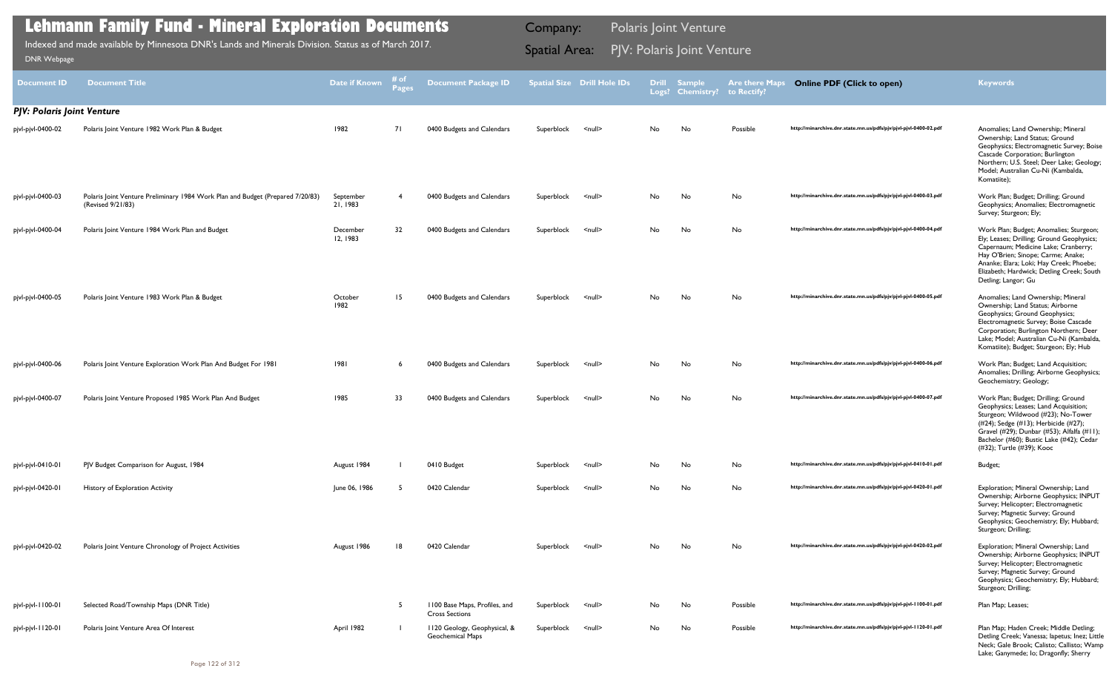| Document <b>ID</b>                | <b>Document Title</b>                                                                               | <b>Date if Known</b>  | ≉ of<br>Pages | <b>Document Package ID</b>                             |            | <b>Spatial Size Drill Hole IDs</b> |           | <b>Drill Sample</b><br>Logs? Chemistry? to Rectify? | <b>Are there Maps</b> | <b>Online PDF (Click to open)</b>                                | <b>Keywords</b>                                                                                                                                                                                                                                                                   |
|-----------------------------------|-----------------------------------------------------------------------------------------------------|-----------------------|---------------|--------------------------------------------------------|------------|------------------------------------|-----------|-----------------------------------------------------|-----------------------|------------------------------------------------------------------|-----------------------------------------------------------------------------------------------------------------------------------------------------------------------------------------------------------------------------------------------------------------------------------|
| <b>PJV: Polaris Joint Venture</b> |                                                                                                     |                       |               |                                                        |            |                                    |           |                                                     |                       |                                                                  |                                                                                                                                                                                                                                                                                   |
| pjvl-pjvl-0400-02                 | Polaris Joint Venture 1982 Work Plan & Budget                                                       | 1982                  | 71            | 0400 Budgets and Calendars                             | Superblock | $\leq$ null $\geq$                 | No        | No                                                  | Possible              | http://minarchive.dnr.state.mn.us/pdfs/pjv/pjvl-pjvl-0400-02.pdf | Anomalies; Land Ownership; Mineral<br>Ownership; Land Status; Ground<br>Geophysics; Electromagnetic Survey; Boise<br>Cascade Corporation; Burlington<br>Northern; U.S. Steel; Deer Lake; Geology;<br>Model; Australian Cu-Ni (Kambalda,<br>Komatiite);                            |
| pjvl-pjvl-0400-03                 | Polaris Joint Venture Preliminary 1984 Work Plan and Budget (Prepared 7/20/83)<br>(Revised 9/21/83) | September<br>21, 1983 | -4            | 0400 Budgets and Calendars                             | Superblock | $\leq$ null $\geq$                 | <b>No</b> | No                                                  | No                    | http://minarchive.dnr.state.mn.us/pdfs/pjv/pjvl-pjvl-0400-03.pdf | Work Plan; Budget; Drilling; Ground<br>Geophysics; Anomalies; Electromagnetic<br>Survey; Sturgeon; Ely;                                                                                                                                                                           |
| pjvl-pjvl-0400-04                 | Polaris Joint Venture 1984 Work Plan and Budget                                                     | December<br>12, 1983  | 32            | 0400 Budgets and Calendars                             | Superblock | $\leq$ null $\geq$                 | No.       | No                                                  | <b>No</b>             | http://minarchive.dnr.state.mn.us/pdfs/pjv/pjvl-pjvl-0400-04.pdf | Work Plan; Budget; Anomalies; Sturgeon;<br>Ely; Leases; Drilling; Ground Geophysics;<br>Capernaum; Medicine Lake; Cranberry;<br>Hay O'Brien; Sinope; Carme; Anake;<br>Ananke; Elara; Loki; Hay Creek; Phoebe;<br>Elizabeth; Hardwick; Detling Creek; South<br>Detling; Langor; Gu |
| pjvl-pjvl-0400-05                 | Polaris Joint Venture 1983 Work Plan & Budget                                                       | October<br>1982       | 15            | 0400 Budgets and Calendars                             | Superblock | $\leq$ null $\geq$                 | <b>No</b> | No                                                  | No                    | http://minarchive.dnr.state.mn.us/pdfs/pjv/pjvl-pjvl-0400-05.pdf | Anomalies; Land Ownership; Mineral<br>Ownership; Land Status; Airborne<br>Geophysics; Ground Geophysics;<br>Electromagnetic Survey; Boise Cascade<br>Corporation; Burlington Northern; Deer<br>Lake; Model; Australian Cu-Ni (Kambalda,<br>Komatiite); Budget; Sturgeon; Ely; Hub |
| pjvl-pjvl-0400-06                 | Polaris Joint Venture Exploration Work Plan And Budget For 1981                                     | 1981                  | -6            | 0400 Budgets and Calendars                             | Superblock | $\leq$ null $\geq$                 | No        | No                                                  | No                    | http://minarchive.dnr.state.mn.us/pdfs/pjv/pjvl-pjvl-0400-06.pdf | Work Plan; Budget; Land Acquisition;<br>Anomalies; Drilling; Airborne Geophysics;<br>Geochemistry; Geology;                                                                                                                                                                       |
| pjvl-pjvl-0400-07                 | Polaris Joint Venture Proposed 1985 Work Plan And Budget                                            | 1985                  | 33            | 0400 Budgets and Calendars                             | Superblock | $\leq$ null $\geq$                 | No        | No                                                  | No                    | http://minarchive.dnr.state.mn.us/pdfs/pjv/pjvl-pjvl-0400-07.pdf | Work Plan; Budget; Drilling; Ground<br>Geophysics; Leases; Land Acquisition;<br>Sturgeon; Wildwood (#23); No-Tower<br>(#24); Sedge (#13); Herbicide (#27);<br>Gravel (#29); Dunbar (#53); Alfalfa (#11);<br>Bachelor (#60); Bustic Lake (#42); Cedar<br>(#32); Turtle (#39); Kooc |
| pjvl-pjvl-0410-01                 | PJV Budget Comparison for August, 1984                                                              | August 1984           |               | 0410 Budget                                            | Superblock | <null></null>                      | No        | No                                                  | No                    | http://minarchive.dnr.state.mn.us/pdfs/pjv/pjvl-pjvl-0410-01.pdf | Budget;                                                                                                                                                                                                                                                                           |
| pjvl-pjvl-0420-01                 | History of Exploration Activity                                                                     | June 06, 1986         |               | 0420 Calendar                                          | Superblock | <null></null>                      | No        | No                                                  | No                    | http://minarchive.dnr.state.mn.us/pdfs/pjv/pjvl-pjvl-0420-01.pdf | Exploration; Mineral Ownership; Land<br>Ownership; Airborne Geophysics; INPUT<br>Survey; Helicopter; Electromagnetic<br>Survey; Magnetic Survey; Ground<br>Geophysics; Geochemistry; Ely; Hubbard;<br>Sturgeon; Drilling;                                                         |
| pjvl-pjvl-0420-02                 | Polaris Joint Venture Chronology of Project Activities                                              | August 1986           | 18            | 0420 Calendar                                          | Superblock | $\leq$ null $\geq$                 | No.       | No                                                  | No                    | http://minarchive.dnr.state.mn.us/pdfs/pjv/pjvl-pjvl-0420-02.pdf | Exploration; Mineral Ownership; Land<br>Ownership; Airborne Geophysics; INPUT<br>Survey; Helicopter; Electromagnetic<br>Survey; Magnetic Survey; Ground<br>Geophysics; Geochemistry; Ely; Hubbard;<br>Sturgeon; Drilling;                                                         |
| pjvl-pjvl-1100-01                 | Selected Road/Township Maps (DNR Title)                                                             |                       | -5            | 1100 Base Maps, Profiles, and<br><b>Cross Sections</b> | Superblock | <null></null>                      | No        | No                                                  | Possible              | http://minarchive.dnr.state.mn.us/pdfs/pjv/pjvl-pjvl-1100-01.pdf | Plan Map; Leases;                                                                                                                                                                                                                                                                 |
| pjvl-pjvl-1120-01                 | Polaris Joint Venture Area Of Interest                                                              | April 1982            |               | 1120 Geology, Geophysical, &<br>Geochemical Maps       | Superblock | <null></null>                      | No        | No                                                  | Possible              | http://minarchive.dnr.state.mn.us/pdfs/pjv/pjvl-pjvl-1120-01.pdf | Plan Map; Haden Creek; Middle Detling;<br>Detling Creek; Vanessa; lapetus; Inez; Little<br>Neck; Gale Brook; Calisto; Callisto; Wamp                                                                                                                                              |

Lake; Ganymede; Io; Dragonfly; Sherry

## **Lehmann Family Fund - Mineral Exploration Documents**

Indexed and made available by Minnesota DNR's Lands and Minerals Division. Status as of March 2017. **Spatial Area: PJV: Polaris Joint Venture**<br>[DNR Webpage](http://www.dnr.state.mn.us/lands_minerals/polaris/index.html)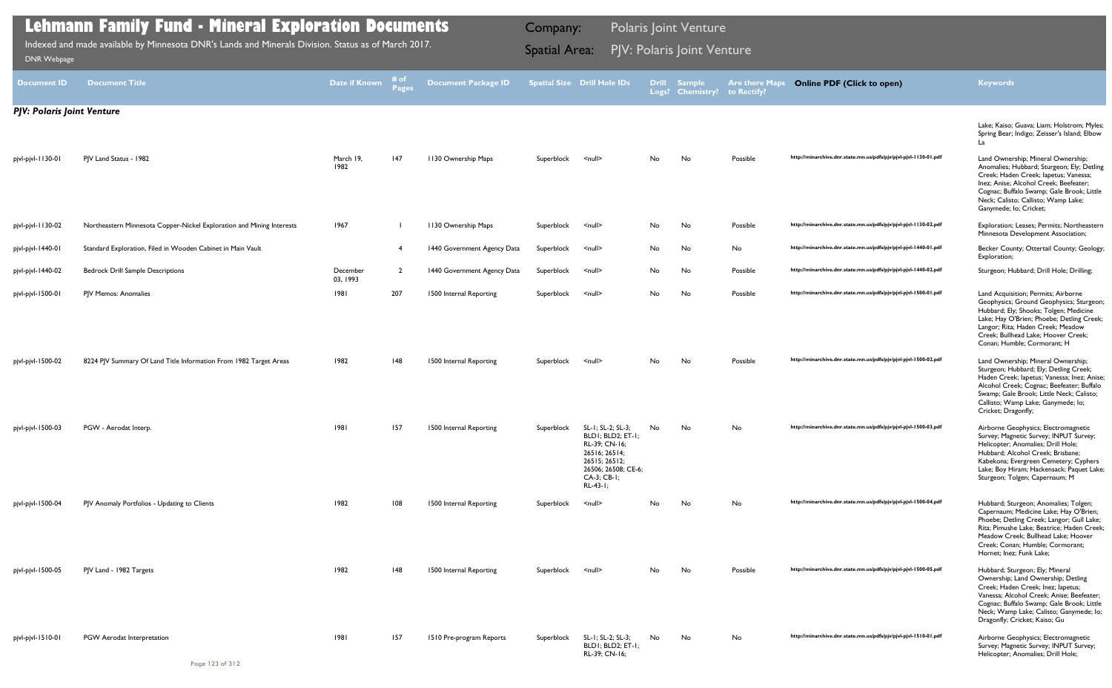| Document ID                       | <b>Document Title</b>                                                 | Date if Known        | i# of<br>Pages | <b>Document Package ID</b>  |            | <b>Spatial Size Drill Hole IDs</b>                                                                                                          | <b>Drill</b> | <b>Sample</b><br>Logs? Chemistry? | <b>Are there Maps</b><br>to Rectify? | <b>Online PDF (Click to open)</b>                                | <b>Keywords</b>                                                                                                                                                                                                                                                                   |
|-----------------------------------|-----------------------------------------------------------------------|----------------------|----------------|-----------------------------|------------|---------------------------------------------------------------------------------------------------------------------------------------------|--------------|-----------------------------------|--------------------------------------|------------------------------------------------------------------|-----------------------------------------------------------------------------------------------------------------------------------------------------------------------------------------------------------------------------------------------------------------------------------|
| <b>PJV: Polaris Joint Venture</b> |                                                                       |                      |                |                             |            |                                                                                                                                             |              |                                   |                                      |                                                                  |                                                                                                                                                                                                                                                                                   |
|                                   |                                                                       |                      |                |                             |            |                                                                                                                                             |              |                                   |                                      |                                                                  | Lake; Kaiso; Guava; Liam; Holstrom; Myles;<br>Spring Bear; Indigo; Zeisser's Island; Elbow<br>La                                                                                                                                                                                  |
| pjvl-pjvl-1130-01                 | PJV Land Status - 1982                                                | March 19,<br>1982    | 147            | 1130 Ownership Maps         | Superblock | $null$                                                                                                                                      | No           | No                                | Possible                             | http://minarchive.dnr.state.mn.us/pdfs/pjv/pjvl-pjvl-1130-01.pdf | Land Ownership; Mineral Ownership;<br>Anomalies; Hubbard; Sturgeon; Ely; Detling<br>Creek; Haden Creek; lapetus; Vanessa;<br>Inez; Anise; Alcohol Creek; Beefeater;<br>Cognac; Buffalo Swamp; Gale Brook; Little<br>Neck; Calisto; Callisto; Wamp Lake;<br>Ganymede; lo; Cricket; |
| pjvl-pjvl-1130-02                 | Northeastern Minnesota Copper-Nickel Exploration and Mining Interests | 1967                 |                | 1130 Ownership Maps         | Superblock | <null></null>                                                                                                                               | No           | No                                | Possible                             | http://minarchive.dnr.state.mn.us/pdfs/pjv/pjvl-pjvl-1130-02.pdf | Exploration; Leases; Permits; Northeastern<br>Minnesota Development Association;                                                                                                                                                                                                  |
| pjvl-pjvl-1440-01                 | Standard Exploration, Filed in Wooden Cabinet in Main Vault           |                      | -4             | 1440 Government Agency Data | Superblock | $null$                                                                                                                                      | No           | No                                | No                                   | http://minarchive.dnr.state.mn.us/pdfs/pjv/pjvl-pjvl-1440-01.pdf | Becker County; Ottertail County; Geology;<br>Exploration;                                                                                                                                                                                                                         |
| pjvl-pjvl-1440-02                 | <b>Bedrock Drill Sample Descriptions</b>                              | December<br>03, 1993 | $\overline{2}$ | 1440 Government Agency Data | Superblock | <null></null>                                                                                                                               | No           | No                                | Possible                             | http://minarchive.dnr.state.mn.us/pdfs/pjv/pjvl-pjvl-1440-02.pdf | Sturgeon; Hubbard; Drill Hole; Drilling;                                                                                                                                                                                                                                          |
| pjvl-pjvl-1500-01                 | PJV Memos: Anomalies                                                  | 1981                 | 207            | 1500 Internal Reporting     | Superblock | <null></null>                                                                                                                               | No           | No                                | Possible                             | http://minarchive.dnr.state.mn.us/pdfs/pjv/pjvl-pjvl-1500-01.pdf | Land Acquisition; Permits; Airborne<br>Geophysics; Ground Geophysics; Sturgeon;<br>Hubbard; Ely; Shooks; Tolgen; Medicine<br>Lake; Hay O'Brien; Phoebe; Detling Creek;<br>Langor; Rita; Haden Creek; Meadow<br>Creek; Bullhead Lake; Hoover Creek;<br>Conan; Humble; Cormorant; H |
| pjvl-pjvl-1500-02                 | 8224 PJV Summary Of Land Title Information From 1982 Target Areas     | 1982                 | 148            | 1500 Internal Reporting     | Superblock | <null></null>                                                                                                                               | No           | No                                | Possible                             | http://minarchive.dnr.state.mn.us/pdfs/pjv/pjvl-pjvl-1500-02.pdf | Land Ownership; Mineral Ownership;<br>Sturgeon; Hubbard; Ely; Detling Creek;<br>Haden Creek; lapetus; Vanessa; Inez; Anise;<br>Alcohol Creek; Cognac; Beefeater; Buffalo<br>Swamp; Gale Brook; Little Neck; Calisto;<br>Callisto; Wamp Lake; Ganymede; lo;<br>Cricket; Dragonfly; |
| pjvl-pjvl-1500-03                 | PGW - Aerodat Interp.                                                 | 1981                 | 157            | 1500 Internal Reporting     | Superblock | SL-1; SL-2; SL-3;<br>BLD1; BLD2; ET-1;<br>RL-39; CN-16;<br>26516; 26514;<br>26515; 26512;<br>26506; 26508; CE-6;<br>CA-3; CB-1;<br>RL-43-1; | No           | No                                | No                                   | http://minarchive.dnr.state.mn.us/pdfs/pjv/pjvl-pjvl-1500-03.pdf | Airborne Geophysics; Electromagnetic<br>Survey; Magnetic Survey; INPUT Survey;<br>Helicopter; Anomalies; Drill Hole;<br>Hubbard; Alcohol Creek; Brisbane;<br>Kabekona; Evergreen Cemetery; Cyphers<br>Lake; Boy Hiram; Hackensack; Paquet Lake;<br>Sturgeon; Tolgen; Capernaum; M |
| pjvl-pjvl-1500-04                 | PJV Anomaly Portfolios - Updating to Clients                          | 1982                 | 108            | 1500 Internal Reporting     | Superblock | $null$                                                                                                                                      | No           | No                                | No                                   | http://minarchive.dnr.state.mn.us/pdfs/pjv/pjvl-pjvl-1500-04.pdf | Hubbard; Sturgeon; Anomalies; Tolgen;<br>Capernaum; Medicine Lake; Hay O'Brien;<br>Phoebe; Detling Creek; Langor; Gull Lake;<br>Rita; Pimushe Lake; Beatrice; Haden Creek;<br>Meadow Creek; Bullhead Lake; Hoover<br>Creek; Conan; Humble; Cormorant;<br>Hornet; Inez; Funk Lake; |
| pjvl-pjvl-1500-05                 | PJV Land - 1982 Targets                                               | 1982                 | 148            | 1500 Internal Reporting     | Superblock | <null></null>                                                                                                                               | No           | No                                | Possible                             | http://minarchive.dnr.state.mn.us/pdfs/pjv/pjvl-pjvl-1500-05.pdf | Hubbard; Sturgeon; Ely; Mineral<br>Ownership; Land Ownership; Detling<br>Creek; Haden Creek; Inez; lapetus;<br>Vanessa; Alcohol Creek; Anise; Beefeater;<br>Cognac; Buffalo Swamp; Gale Brook; Little<br>Neck; Wamp Lake; Calisto; Ganymede; lo;<br>Dragonfly; Cricket; Kaiso; Gu |
| pjvl-pjvl-1510-01                 | PGW Aerodat Interpretation                                            | 1981                 | 157            | 1510 Pre-program Reports    | Superblock | SL-1; SL-2; SL-3;<br>BLD1; BLD2; ET-1;<br>RL-39; CN-16;                                                                                     | No           | No                                | No                                   | http://minarchive.dnr.state.mn.us/pdfs/pjv/pjvl-pjvl-1510-01.pdf | Airborne Geophysics; Electromagnetic<br>Survey; Magnetic Survey; INPUT Survey;<br>Helicopter; Anomalies; Drill Hole;                                                                                                                                                              |

Indexed and made available by Minnesota DNR's Lands and Minerals Division. Status as of March 2017. **Spatial Area: PJV: Polaris Joint Venture**<br>[DNR Webpage](http://www.dnr.state.mn.us/lands_minerals/polaris/index.html)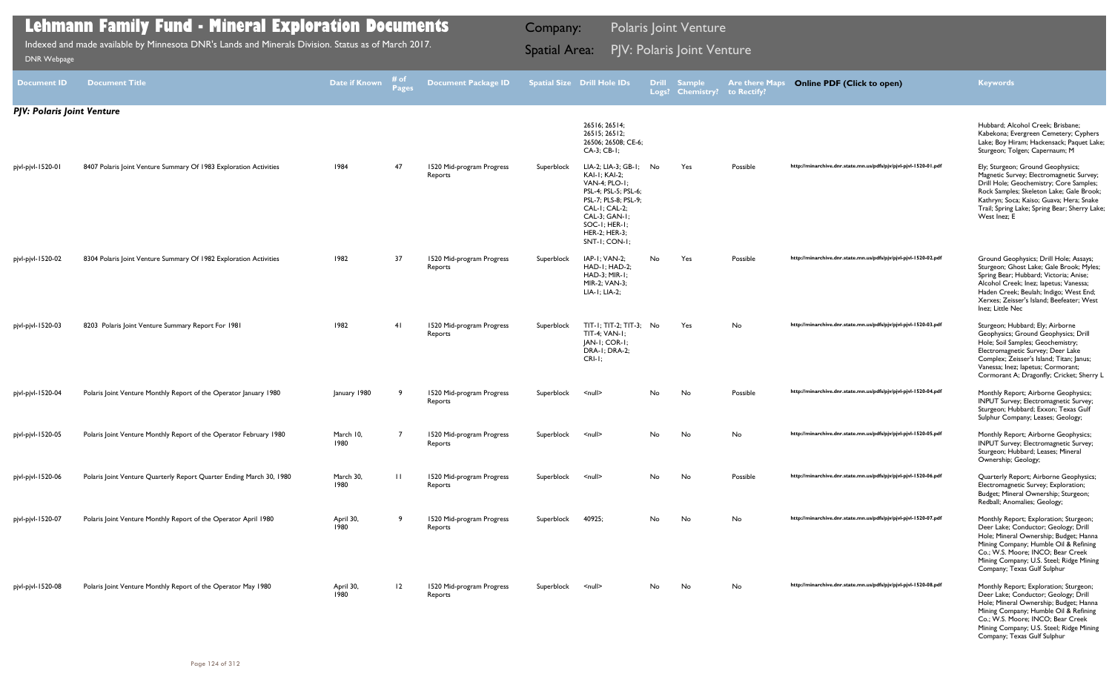| <b>Document ID</b>         | <b>Document Title</b>                                                | Date if Known     | # of<br><b>Pages</b> | <b>Document Package ID</b>           |            | <b>Spatial Size Drill Hole IDs</b>                                                                                                                                                         | <b>Drill</b><br>Logs? | <b>Sample</b><br><b>Chemistry?</b> | <b>Are there Maps</b><br>to Rectify? | <b>Online PDF (Click to open)</b>                                | <b>Keywords</b>                                                                                                                                                                                                                                                                   |
|----------------------------|----------------------------------------------------------------------|-------------------|----------------------|--------------------------------------|------------|--------------------------------------------------------------------------------------------------------------------------------------------------------------------------------------------|-----------------------|------------------------------------|--------------------------------------|------------------------------------------------------------------|-----------------------------------------------------------------------------------------------------------------------------------------------------------------------------------------------------------------------------------------------------------------------------------|
| PJV: Polaris Joint Venture |                                                                      |                   |                      |                                      |            |                                                                                                                                                                                            |                       |                                    |                                      |                                                                  |                                                                                                                                                                                                                                                                                   |
|                            |                                                                      |                   |                      |                                      |            | 26516; 26514;<br>26515; 26512;<br>26506; 26508; CE-6;<br>CA-3; CB-1;                                                                                                                       |                       |                                    |                                      |                                                                  | Hubbard; Alcohol Creek; Brisbane;<br>Kabekona; Evergreen Cemetery; Cyphers<br>Lake; Boy Hiram; Hackensack; Paquet Lake;<br>Sturgeon; Tolgen; Capernaum; M                                                                                                                         |
| pjvl-pjvl-1520-01          | 8407 Polaris Joint Venture Summary Of 1983 Exploration Activities    | 1984              | 47                   | 1520 Mid-program Progress<br>Reports | Superblock | LIA-2; LIA-3; GB-1;<br>KAI-I; KAI-2;<br>VAN-4; PLO-1;<br>PSL-4; PSL-5; PSL-6;<br>PSL-7; PLS-8; PSL-9;<br>CAL-I; CAL-2;<br>CAL-3; GAN-1;<br>SOC-1; HER-1;<br>HER-2; HER-3;<br>SNT-1; CON-1; | No                    | Yes                                | Possible                             | http://minarchive.dnr.state.mn.us/pdfs/pjv/pjvl-pjvl-1520-01.pdf | Ely; Sturgeon; Ground Geophysics;<br>Magnetic Survey; Electromagnetic Survey;<br>Drill Hole; Geochemistry; Core Samples;<br>Rock Samples; Skeleton Lake; Gale Brook;<br>Kathryn; Soca; Kaiso; Guava; Hera; Snake<br>Trail; Spring Lake; Spring Bear; Sherry Lake;<br>West Inez; E |
| pjvl-pjvl-1520-02          | 8304 Polaris Joint Venture Summary Of 1982 Exploration Activities    | 1982              | 37                   | 1520 Mid-program Progress<br>Reports | Superblock | IAP-I: VAN-2;<br>HAD-I; HAD-2;<br>HAD-3; MIR-1;<br>MIR-2; VAN-3;<br>LIA-1; LIA-2;                                                                                                          | No.                   | Yes                                | Possible                             | http://minarchive.dnr.state.mn.us/pdfs/pjv/pjvl-pjvl-1520-02.pdf | Ground Geophysics; Drill Hole; Assays;<br>Sturgeon; Ghost Lake; Gale Brook; Myles;<br>Spring Bear; Hubbard; Victoria; Anise;<br>Alcohol Creek; Inez; Iapetus; Vanessa;<br>Haden Creek; Beulah; Indigo; West End;<br>Xerxes; Zeisser's Island; Beefeater; West<br>Inez; Little Nec |
| pjvl-pjvl-1520-03          | 8203 Polaris Joint Venture Summary Report For 1981                   | 1982              | 41                   | 1520 Mid-program Progress<br>Reports | Superblock | TIT-1; TIT-2; TIT-3; No<br>TIT-4; VAN-1;<br>JAN-I; COR-I;<br>DRA-I; DRA-2;<br>$CRI-I$ ;                                                                                                    |                       | Yes                                | No                                   | http://minarchive.dnr.state.mn.us/pdfs/pjv/pjvl-pjvl-1520-03.pdf | Sturgeon; Hubbard; Ely; Airborne<br>Geophysics; Ground Geophysics; Drill<br>Hole; Soil Samples; Geochemistry;<br>Electromagnetic Survey; Deer Lake<br>Complex; Zeisser's Island; Titan; Janus;<br>Vanessa; Inez; Iapetus; Cormorant;<br>Cormorant A; Dragonfly; Cricket; Sherry L |
| pjvl-pjvl-1520-04          | Polaris Joint Venture Monthly Report of the Operator January 1980    | January 1980      |                      | 1520 Mid-program Progress<br>Reports | Superblock | $\leq$ null $\geq$                                                                                                                                                                         | No                    | No                                 | Possible                             | http://minarchive.dnr.state.mn.us/pdfs/pjv/pjvl-pjvl-1520-04.pdf | Monthly Report; Airborne Geophysics;<br>INPUT Survey; Electromagnetic Survey;<br>Sturgeon; Hubbard; Exxon; Texas Gulf<br>Sulphur Company; Leases; Geology;                                                                                                                        |
| pjvl-pjvl-1520-05          | Polaris Joint Venture Monthly Report of the Operator February 1980   | March 10,<br>1980 |                      | 1520 Mid-program Progress<br>Reports | Superblock | <null></null>                                                                                                                                                                              | No.                   | No                                 | No.                                  | http://minarchive.dnr.state.mn.us/pdfs/pjv/pjvl-pjvl-1520-05.pdf | Monthly Report; Airborne Geophysics;<br>INPUT Survey; Electromagnetic Survey;<br>Sturgeon; Hubbard; Leases; Mineral<br>Ownership; Geology;                                                                                                                                        |
| pjvl-pjvl-1520-06          | Polaris Joint Venture Quarterly Report Quarter Ending March 30, 1980 | March 30,<br>1980 | $\mathbf{H}$         | 1520 Mid-program Progress<br>Reports | Superblock | $\leq$ null $\geq$                                                                                                                                                                         | No.                   | No                                 | Possible                             | http://minarchive.dnr.state.mn.us/pdfs/pjv/pjvl-pjvl-1520-06.pdf | Quarterly Report; Airborne Geophysics;<br>Electromagnetic Survey; Exploration;<br>Budget; Mineral Ownership; Sturgeon;<br>Redball; Anomalies; Geology;                                                                                                                            |
| pjvl-pjvl-1520-07          | Polaris Joint Venture Monthly Report of the Operator April 1980      | April 30,<br>1980 | -9                   | 1520 Mid-program Progress<br>Reports | Superblock | 40925;                                                                                                                                                                                     | No                    | No                                 | No                                   | http://minarchive.dnr.state.mn.us/pdfs/pjv/pjvl-pjvl-1520-07.pdf | Monthly Report; Exploration; Sturgeon;<br>Deer Lake; Conductor; Geology; Drill<br>Hole; Mineral Ownership; Budget; Hanna<br>Mining Company; Humble Oil & Refining<br>Co.; W.S. Moore; INCO; Bear Creek<br>Mining Company; U.S. Steel; Ridge Mining<br>Company; Texas Gulf Sulphur |
| pjvl-pjvl-1520-08          | Polaris Joint Venture Monthly Report of the Operator May 1980        | April 30,<br>1980 | 12                   | 1520 Mid-program Progress<br>Reports | Superblock | <null></null>                                                                                                                                                                              | No.                   | No                                 | No.                                  | http://minarchive.dnr.state.mn.us/pdfs/pjv/pjvl-pjvl-1520-08.pdf | Monthly Report; Exploration; Sturgeon;<br>Deer Lake; Conductor; Geology; Drill<br>Hole; Mineral Ownership; Budget; Hanna<br>Mining Company; Humble Oil & Refining<br>Co.; W.S. Moore; INCO; Bear Creek<br>Mining Company; U.S. Steel; Ridge Mining<br>Company; Texas Gulf Sulphur |

Indexed and made available by Minnesota DNR's Lands and Minerals Division. Status as of March 2017. **Spatial Area: PJV: Polaris Joint Venture**<br>[DNR Webpage](http://www.dnr.state.mn.us/lands_minerals/polaris/index.html)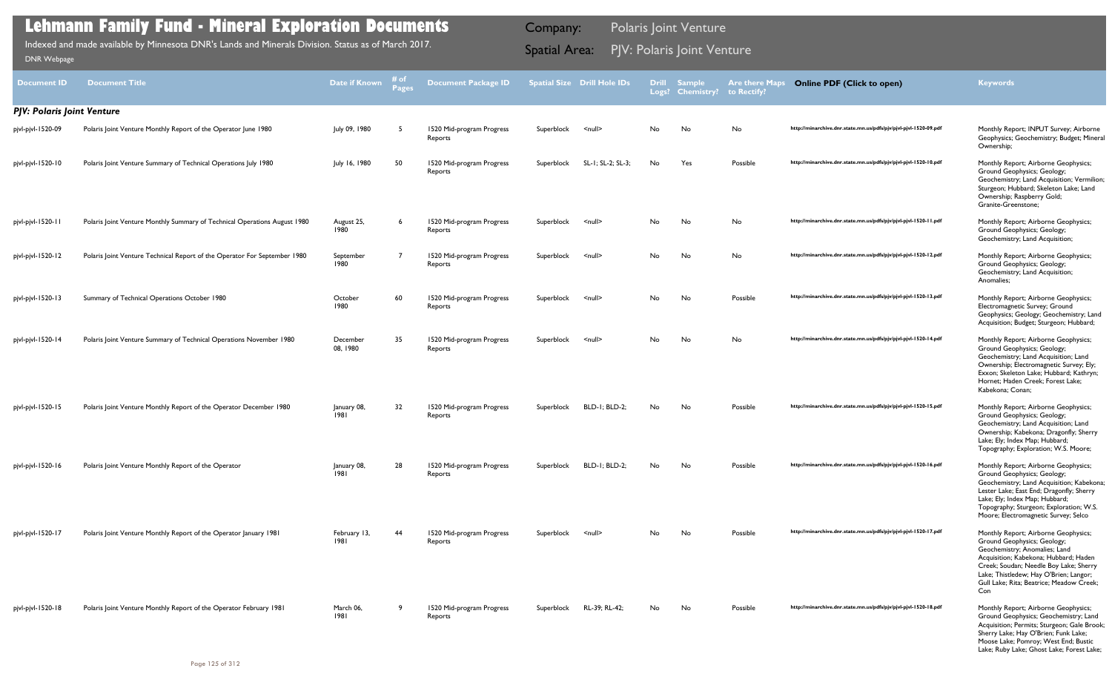| <b>Document ID</b>                | <b>Document Title</b>                                                     | Date if Known        | # of<br><b>Pages</b> | <b>Document Package ID</b>           |            | <b>Spatial Size Drill Hole IDs</b> | <b>Drill</b><br>Logs? | <b>Sample</b><br><b>Chemistry?</b> | <b>Are there Maps</b><br>to Rectify? | <b>Online PDF (Click to open)</b>                                | <b>Keywords</b>                                                                                                                                                                                                                                                                      |
|-----------------------------------|---------------------------------------------------------------------------|----------------------|----------------------|--------------------------------------|------------|------------------------------------|-----------------------|------------------------------------|--------------------------------------|------------------------------------------------------------------|--------------------------------------------------------------------------------------------------------------------------------------------------------------------------------------------------------------------------------------------------------------------------------------|
| <b>PJV: Polaris Joint Venture</b> |                                                                           |                      |                      |                                      |            |                                    |                       |                                    |                                      |                                                                  |                                                                                                                                                                                                                                                                                      |
| pjvl-pjvl-1520-09                 | Polaris Joint Venture Monthly Report of the Operator June 1980            | July 09, 1980        |                      | 1520 Mid-program Progress<br>Reports | Superblock | $\leq$ null $\geq$                 | No.                   | No                                 | No                                   | http://minarchive.dnr.state.mn.us/pdfs/pjv/pjvl-pjvl-1520-09.pdf | Monthly Report; INPUT Survey; Airborne<br>Geophysics; Geochemistry; Budget; Mineral<br>Ownership;                                                                                                                                                                                    |
| pjvl-pjvl-1520-10                 | Polaris Joint Venture Summary of Technical Operations July 1980           | July 16, 1980        | 50                   | 1520 Mid-program Progress<br>Reports | Superblock | SL-1; SL-2; SL-3;                  | No                    | Yes                                | Possible                             | http://minarchive.dnr.state.mn.us/pdfs/pjv/pjvl-pjvl-1520-10.pdf | Monthly Report; Airborne Geophysics;<br>Ground Geophysics; Geology;<br>Geochemistry; Land Acquisition; Vermilion;<br>Sturgeon; Hubbard; Skeleton Lake; Land<br>Ownership; Raspberry Gold;<br>Granite-Greenstone;                                                                     |
| pjvl-pjvl-1520-11                 | Polaris Joint Venture Monthly Summary of Technical Operations August 1980 | August 25,<br>1980   | 6                    | 1520 Mid-program Progress<br>Reports | Superblock | $\leq$ null $\geq$                 | No                    | No                                 | No                                   | http://minarchive.dnr.state.mn.us/pdfs/pjv/pjvl-pjvl-1520-11.pdf | Monthly Report; Airborne Geophysics;<br>Ground Geophysics; Geology;<br>Geochemistry; Land Acquisition;                                                                                                                                                                               |
| pjvl-pjvl-1520-12                 | Polaris Joint Venture Technical Report of the Operator For September 1980 | September<br>1980    |                      | 1520 Mid-program Progress<br>Reports | Superblock | $\leq$ null $\geq$                 | No                    | No                                 | No                                   | http://minarchive.dnr.state.mn.us/pdfs/pjv/pjvl-pjvl-1520-12.pdf | Monthly Report; Airborne Geophysics;<br>Ground Geophysics; Geology;<br>Geochemistry; Land Acquisition;<br>Anomalies;                                                                                                                                                                 |
| pjvl-pjvl-1520-13                 | Summary of Technical Operations October 1980                              | October<br>1980      | 60                   | 1520 Mid-program Progress<br>Reports | Superblock | <null></null>                      | No                    | No                                 | Possible                             | http://minarchive.dnr.state.mn.us/pdfs/pjv/pjvl-pjvl-1520-13.pdf | Monthly Report; Airborne Geophysics;<br>Electromagnetic Survey; Ground<br>Geophysics; Geology; Geochemistry; Land<br>Acquisition; Budget; Sturgeon; Hubbard;                                                                                                                         |
| pjvl-pjvl-1520-14                 | Polaris Joint Venture Summary of Technical Operations November 1980       | December<br>08, 1980 | 35                   | 1520 Mid-program Progress<br>Reports | Superblock | $\leq$ null $\geq$                 | No.                   | No                                 | No                                   | http://minarchive.dnr.state.mn.us/pdfs/pjv/pjvl-pjvl-1520-14.pdf | Monthly Report; Airborne Geophysics;<br>Ground Geophysics; Geology;<br>Geochemistry; Land Acquisition; Land<br>Ownership; Electromagnetic Survey; Ely;<br>Exxon; Skeleton Lake; Hubbard; Kathryn;<br>Hornet; Haden Creek; Forest Lake;<br>Kabekona; Conan;                           |
| pjvl-pjvl-1520-15                 | Polaris Joint Venture Monthly Report of the Operator December 1980        | January 08,<br>1981  | 32                   | 1520 Mid-program Progress<br>Reports | Superblock | <b>BLD-1; BLD-2;</b>               | No.                   | No                                 | Possible                             | http://minarchive.dnr.state.mn.us/pdfs/pjv/pjvl-pjvl-1520-15.pdf | Monthly Report; Airborne Geophysics;<br>Ground Geophysics; Geology;<br>Geochemistry; Land Acquisition; Land<br>Ownership; Kabekona; Dragonfly; Sherry<br>Lake; Ely; Index Map; Hubbard;<br>Topography; Exploration; W.S. Moore;                                                      |
| pjvl-pjvl-1520-16                 | Polaris Joint Venture Monthly Report of the Operator                      | January 08,<br>1981  | 28                   | 1520 Mid-program Progress<br>Reports | Superblock | BLD-1; BLD-2;                      |                       | No                                 | Possible                             | http://minarchive.dnr.state.mn.us/pdfs/pjv/pjvl-pjvl-1520-16.pdf | Monthly Report; Airborne Geophysics;<br>Ground Geophysics; Geology;<br>Geochemistry; Land Acquisition; Kabekona;<br>Lester Lake; East End; Dragonfly; Sherry<br>Lake; Ely; Index Map; Hubbard;<br>Topography; Sturgeon; Exploration; W.S.<br>Moore; Electromagnetic Survey; Selco    |
| pjvl-pjvl-1520-17                 | Polaris Joint Venture Monthly Report of the Operator January 1981         | February 13,<br>1981 | 44                   | 1520 Mid-program Progress<br>Reports | Superblock | <null></null>                      | No                    | No                                 | Possible                             | http://minarchive.dnr.state.mn.us/pdfs/pjv/pjvl-pjvl-1520-17.pdf | Monthly Report; Airborne Geophysics;<br>Ground Geophysics; Geology;<br>Geochemistry; Anomalies; Land<br>Acquisition; Kabekona; Hubbard; Haden<br>Creek; Soudan; Needle Boy Lake; Sherry<br>Lake; Thistledew; Hay O'Brien; Langor;<br>Gull Lake; Rita; Beatrice; Meadow Creek;<br>Con |
| pjvl-pjvl-1520-18                 | Polaris Joint Venture Monthly Report of the Operator February 1981        | March 06,<br>1981    |                      | 1520 Mid-program Progress<br>Reports | Superblock | RL-39; RL-42;                      | No                    | No                                 | Possible                             | http://minarchive.dnr.state.mn.us/pdfs/pjv/pjvl-pjvl-1520-18.pdf | Monthly Report; Airborne Geophysics;<br>Ground Geophysics; Geochemistry; Land<br>Acquisition; Permits; Sturgeon; Gale Brook;<br>Sherry Lake; Hay O'Brien; Funk Lake;<br>Moose Lake; Pomroy; West End; Bustic<br>Lake; Ruby Lake; Ghost Lake; Forest Lake;                            |

Indexed and made available by Minnesota DNR's Lands and Minerals Division. Status as of March 2017. **Spatial Area: PJV: Polaris Joint Venture**<br>[DNR Webpage](http://www.dnr.state.mn.us/lands_minerals/polaris/index.html)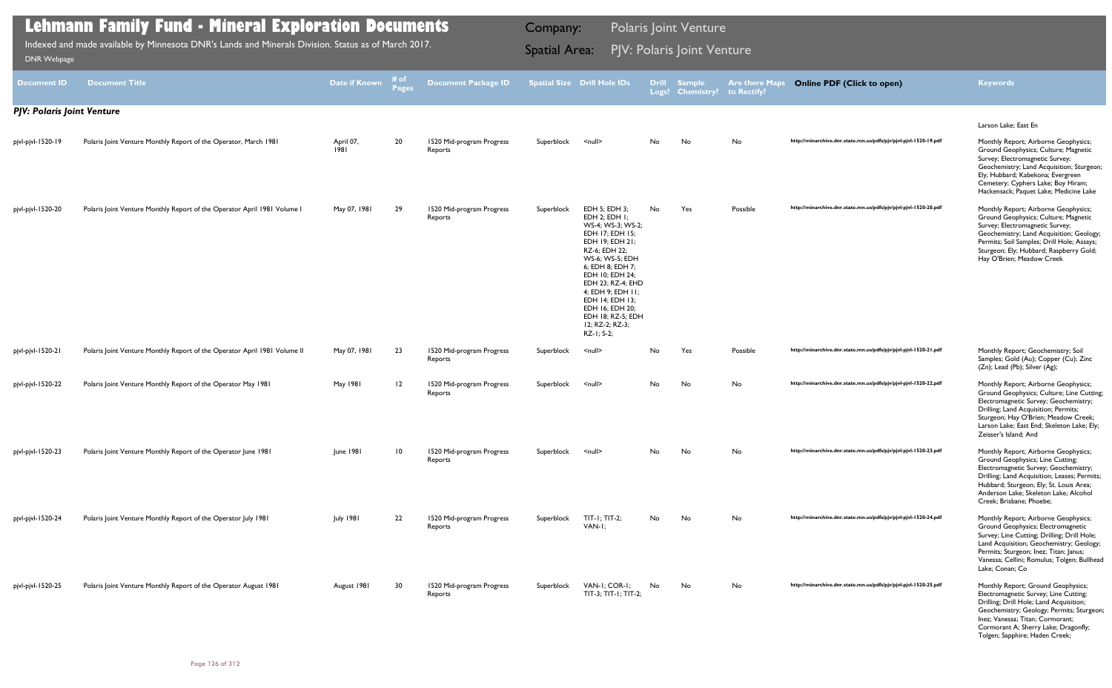| <b>PISIX Propage</b>       |                                                                                  |                   |               |                                      |                          |                                                                                                                                                                                                                                                                                                                   |              |                            |                                      |                                                                  |                                                                                                                                                                                                                                                                                                           |
|----------------------------|----------------------------------------------------------------------------------|-------------------|---------------|--------------------------------------|--------------------------|-------------------------------------------------------------------------------------------------------------------------------------------------------------------------------------------------------------------------------------------------------------------------------------------------------------------|--------------|----------------------------|--------------------------------------|------------------------------------------------------------------|-----------------------------------------------------------------------------------------------------------------------------------------------------------------------------------------------------------------------------------------------------------------------------------------------------------|
| <b>Document ID</b>         | <b>Document Title</b>                                                            | Date if Known     | # of<br>Pages | <b>Document Package ID</b>           |                          | <b>Spatial Size Drill Hole IDs</b>                                                                                                                                                                                                                                                                                | <b>Drill</b> | Sample<br>Logs? Chemistry? | <b>Are there Maps</b><br>to Rectify? | <b>Online PDF (Click to open)</b>                                | <b>Keywords</b>                                                                                                                                                                                                                                                                                           |
| PJV: Polaris Joint Venture |                                                                                  |                   |               |                                      |                          |                                                                                                                                                                                                                                                                                                                   |              |                            |                                      |                                                                  |                                                                                                                                                                                                                                                                                                           |
| pjvl-pjvl-1520-19          | Polaris Joint Venture Monthly Report of the Operator, March 1981                 | April 07,<br>1981 | 20            | 1520 Mid-program Progress<br>Reports | Superblock               | $\leq$ null $\geq$                                                                                                                                                                                                                                                                                                | No           | No                         | No                                   | http://minarchive.dnr.state.mn.us/pdfs/pjv/pjvl-pjvl-1520-19.pdf | Larson Lake; East En<br>Monthly Report; Airborne Geophysics;<br>Ground Geophysics; Culture; Magnetic<br>Survey; Electromagnetic Survey;<br>Geochemistry; Land Acquisition; Sturgeon;<br>Ely; Hubbard; Kabekona; Evergreen<br>Cemetery; Cyphers Lake; Boy Hiram;<br>Hackensack; Paquet Lake; Medicine Lake |
| pjvl-pjvl-1520-20          | Polaris Joint Venture Monthly Report of the Operator April 1981 Volume I         | May 07, 1981      | 29            | 1520 Mid-program Progress<br>Reports | Superblock               | EDH 5; EDH 3;<br>EDH 2; EDH 1;<br>WS-4; WS-3; WS-2;<br>EDH 17; EDH 15;<br>EDH 19; EDH 21;<br>RZ-6; EDH 22;<br><b>WS-6: WS-5: EDH</b><br>6; EDH 8; EDH 7;<br>EDH 10; EDH 24;<br>EDH 23: RZ-4: EHD<br>4; EDH 9; EDH 11;<br>EDH 14: EDH 13:<br>EDH 16; EDH 20;<br>EDH 18; RZ-5; EDH<br>12; RZ-2; RZ-3;<br>RZ-1; S-2; | No           | Yes                        | Possible                             | http://minarchive.dnr.state.mn.us/pdfs/pjv/pjvl-pjvl-1520-20.pdf | Monthly Report; Airborne Geophysics;<br>Ground Geophysics; Culture; Magnetic<br>Survey; Electromagnetic Survey;<br>Geochemistry; Land Acquisition; Geology;<br>Permits; Soil Samples; Drill Hole; Assays;<br>Sturgeon; Ely; Hubbard; Raspberry Gold;<br>Hay O'Brien; Meadow Creek                         |
| pjvl-pjvl-1520-21          | Polaris Joint Venture Monthly Report of the Operator April 1981 Volume II        | May 07, 1981      | 23            | 1520 Mid-program Progress<br>Reports | Superblock               | $\leq$ null $\geq$                                                                                                                                                                                                                                                                                                | No           | Yes                        | Possible                             | http://minarchive.dnr.state.mn.us/pdfs/pjv/pjvl-pjvl-1520-21.pdf | Monthly Report; Geochemistry; Soil<br>Samples; Gold (Au); Copper (Cu); Zinc<br>(Zn); Lead (Pb); Silver (Ag);                                                                                                                                                                                              |
| pjvl-pjvl-1520-22          | Polaris Joint Venture Monthly Report of the Operator May 1981                    | May 1981          | 12            | 1520 Mid-program Progress<br>Reports | Superblock               | $\leq$ null $\geq$                                                                                                                                                                                                                                                                                                | No           | No                         | No                                   | http://minarchive.dnr.state.mn.us/pdfs/pjv/pjvl-pjvl-1520-22.pdf | Monthly Report; Airborne Geophysics;<br>Ground Geophysics; Culture; Line Cutting;<br>Electromagnetic Survey; Geochemistry;<br>Drilling; Land Acquisition; Permits;<br>Sturgeon; Hay O'Brien; Meadow Creek;<br>Larson Lake; East End; Skeleton Lake; Ely;<br>Zeisser's Island; And                         |
|                            | pjvl-pjvl-1520-23 Polaris Joint Venture Monthly Report of the Operator June 1981 | June 1981         |               | 1520 Mid-program Progress<br>Reports | Superblock <null></null> |                                                                                                                                                                                                                                                                                                                   |              |                            |                                      | http://minarchive.dnr.state.mn.us/pdfs/pjv/pjvl-pjvl-1520-23.pdf | Monthly Report; Airborne Geophysics;<br>Ground Geophysics; Line Cutting;<br>Electromagnetic Survey; Geochemistry;<br>Drilling; Land Acquisition; Leases; Permits;<br>Hubbard; Sturgeon; Ely; St. Louis Area;<br>Anderson Lake; Skeleton Lake; Alcohol<br>Creek; Brisbane; Phoebe;                         |
| pjvl-pjvl-1520-24          | Polaris Joint Venture Monthly Report of the Operator July 1981                   | <b>July 1981</b>  | 22            | 1520 Mid-program Progress<br>Reports | Superblock               | $TIT-I; TIT-2;$<br>VAN-I;                                                                                                                                                                                                                                                                                         | No           | No                         | No                                   | http://minarchive.dnr.state.mn.us/pdfs/pjv/pjvl-pjvl-1520-24.pdf | Monthly Report; Airborne Geophysics;<br>Ground Geophysics; Electromagnetic<br>Survey; Line Cutting; Drilling; Drill Hole;<br>Land Acquisition; Geochemistry; Geology;<br>Permits; Sturgeon; Inez; Titan; Janus;<br>Vanessa; Cellini; Romulus; Tolgen; Bullhead<br>Lake; Conan; Co                         |
| pjvl-pjvl-1520-25          | Polaris Joint Venture Monthly Report of the Operator August 1981                 | August 1981       | 30            | 1520 Mid-program Progress<br>Reports | Superblock               | VAN-I; COR-I;<br>TIT-3; TIT-1; TIT-2;                                                                                                                                                                                                                                                                             | No           | No                         | No                                   | http://minarchive.dnr.state.mn.us/pdfs/pjv/pjvl-pjvl-1520-25.pdf | Monthly Report; Ground Geophysics;<br>Electromagnetic Survey; Line Cutting;<br>Drilling; Drill Hole; Land Acquisition;<br>Geochemistry; Geology; Permits; Sturgeon;<br>Inez; Vanessa; Titan; Cormorant;<br>Cormorant A; Sherry Lake; Dragonfly;<br>Tolgen; Sapphire; Haden Creek;                         |

Indexed and made available by Minnesota DNR's Lands and Minerals Division. Status as of March 2017. **Spatial Area: PJV: Polaris Joint Venture**<br>[DNR Webpage](http://www.dnr.state.mn.us/lands_minerals/polaris/index.html)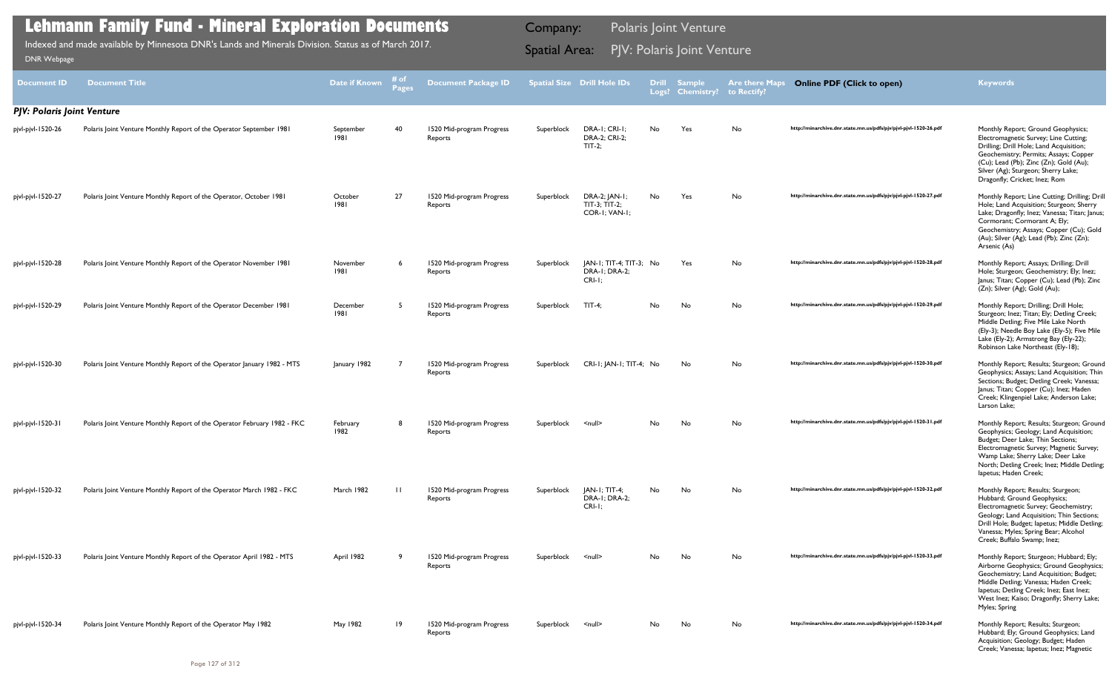| <b>Document ID</b>                | <b>Document Title</b>                                                    | <b>Date if Known</b> | # of<br><b>Pages</b> | <b>Document Package ID</b>           |            | <b>Spatial Size Drill Hole IDs</b>                    | <b>Drill</b><br>Logs? | <b>Sample</b><br><b>Chemistry?</b> | <b>Are there Maps</b><br>to Rectify? | <b>Online PDF (Click to open)</b>                                | <b>Keywords</b>                                                                                                                                                                                                                                                                   |
|-----------------------------------|--------------------------------------------------------------------------|----------------------|----------------------|--------------------------------------|------------|-------------------------------------------------------|-----------------------|------------------------------------|--------------------------------------|------------------------------------------------------------------|-----------------------------------------------------------------------------------------------------------------------------------------------------------------------------------------------------------------------------------------------------------------------------------|
| <b>PJV: Polaris Joint Venture</b> |                                                                          |                      |                      |                                      |            |                                                       |                       |                                    |                                      |                                                                  |                                                                                                                                                                                                                                                                                   |
| pjvl-pjvl-1520-26                 | Polaris Joint Venture Monthly Report of the Operator September 1981      | September<br>1981    | 40                   | 1520 Mid-program Progress<br>Reports | Superblock | DRA-I; CRI-I;<br>DRA-2; CRI-2;<br>$TIT-2;$            | No                    | Yes                                | No                                   | http://minarchive.dnr.state.mn.us/pdfs/pjv/pjvl-pjvl-1520-26.pdf | Monthly Report; Ground Geophysics;<br>Electromagnetic Survey; Line Cutting;<br>Drilling; Drill Hole; Land Acquisition;<br>Geochemistry; Permits; Assays; Copper<br>(Cu); Lead (Pb); Zinc (Zn); Gold (Au);<br>Silver (Ag); Sturgeon; Sherry Lake;<br>Dragonfly; Cricket; Inez; Rom |
| pjvl-pjvl-1520-27                 | Polaris Joint Venture Monthly Report of the Operator, October 1981       | October<br>1981      | 27                   | 1520 Mid-program Progress<br>Reports | Superblock | DRA-2; JAN-1;<br>$TIT-3$ ; $TIT-2$ ;<br>COR-I; VAN-I; | No                    | Yes                                | No.                                  | http://minarchive.dnr.state.mn.us/pdfs/pjv/pjvl-pjvl-1520-27.pdf | Monthly Report; Line Cutting; Drilling; Drill<br>Hole; Land Acquisition; Sturgeon; Sherry<br>Lake; Dragonfly; Inez; Vanessa; Titan; Janus;<br>Cormorant; Cormorant A; Ely;<br>Geochemistry; Assays; Copper (Cu); Gold<br>(Au); Silver (Ag); Lead (Pb); Zinc (Zn);<br>Arsenic (As) |
| pjvl-pjvl-1520-28                 | Polaris Joint Venture Monthly Report of the Operator November 1981       | November<br>1981     |                      | 1520 Mid-program Progress<br>Reports | Superblock | JAN-1; TIT-4; TIT-3; No<br>DRA-1; DRA-2;<br>CRI-I     |                       | Yes                                | No                                   | http://minarchive.dnr.state.mn.us/pdfs/pjv/pjvl-pjvl-1520-28.pdf | Monthly Report; Assays; Drilling; Drill<br>Hole; Sturgeon; Geochemistry; Ely; Inez;<br>Janus; Titan; Copper (Cu); Lead (Pb); Zinc<br>(Zn); Silver (Ag); Gold (Au);                                                                                                                |
| pjvl-pjvl-1520-29                 | Polaris Joint Venture Monthly Report of the Operator December 1981       | December<br>1981     |                      | 1520 Mid-program Progress<br>Reports | Superblock | $TIT-4$ ;                                             | No                    | No                                 | No                                   | http://minarchive.dnr.state.mn.us/pdfs/pjv/pjvl-pjvl-1520-29.pdf | Monthly Report; Drilling; Drill Hole;<br>Sturgeon; Inez; Titan; Ely; Detling Creek;<br>Middle Detling; Five Mile Lake North<br>(Ely-3); Needle Boy Lake (Ely-5); Five Mile<br>Lake (Ely-2); Armstrong Bay (Ely-22);<br>Robinson Lake Northeast (Ely-18);                          |
| pjvl-pjvl-1520-30                 | Polaris Joint Venture Monthly Report of the Operator January 1982 - MTS  | January 1982         |                      | 1520 Mid-program Progress<br>Reports | Superblock | CRI-I; JAN-I; TIT-4; No                               |                       | No                                 | No                                   | http://minarchive.dnr.state.mn.us/pdfs/pjv/pjvl-pjvl-1520-30.pdf | Monthly Report; Results; Sturgeon; Ground<br>Geophysics; Assays; Land Acquisition; Thin<br>Sections; Budget; Detling Creek; Vanessa;<br>Janus; Titan; Copper (Cu); Inez; Haden<br>Creek; Klingenpiel Lake; Anderson Lake;<br>Larson Lake;                                         |
| pjvl-pjvl-1520-31                 | Polaris Joint Venture Monthly Report of the Operator February 1982 - FKC | February<br>1982     |                      | 1520 Mid-program Progress<br>Reports | Superblock | <null></null>                                         | No                    | No                                 | No.                                  | http://minarchive.dnr.state.mn.us/pdfs/pjv/pjvl-pjvl-1520-31.pdf | Monthly Report; Results; Sturgeon; Ground<br>Geophysics; Geology; Land Acquisition;<br>Budget; Deer Lake; Thin Sections;<br>Electromagnetic Survey; Magnetic Survey;<br>Wamp Lake; Sherry Lake; Deer Lake<br>North; Detling Creek; Inez; Middle Detling;<br>lapetus; Haden Creek; |
| pjvl-pjvl-1520-32                 | Polaris Joint Venture Monthly Report of the Operator March 1982 - FKC    | March 1982           | $\perp$              | 1520 Mid-program Progress<br>Reports | Superblock | $ AN-I; TIT-4;$<br>DRA-1; DRA-2;<br>$CRI-I$           | No                    | No                                 | No                                   | http://minarchive.dnr.state.mn.us/pdfs/pjv/pjvl-pjvl-1520-32.pdf | Monthly Report; Results; Sturgeon;<br>Hubbard; Ground Geophysics;<br>Electromagnetic Survey; Geochemistry;<br>Geology; Land Acquisition; Thin Sections;<br>Drill Hole; Budget; lapetus; Middle Detling;<br>Vanessa; Myles; Spring Bear; Alcohol<br>Creek; Buffalo Swamp; Inez;    |
| pjvl-pjvl-1520-33                 | Polaris Joint Venture Monthly Report of the Operator April 1982 - MTS    | April 1982           | ٩                    | 1520 Mid-program Progress<br>Reports | Superblock | $\leq$ null $\geq$                                    | No                    | No                                 | No                                   | http://minarchive.dnr.state.mn.us/pdfs/pjv/pjvl-pjvl-1520-33.pdf | Monthly Report; Sturgeon; Hubbard; Ely;<br>Airborne Geophysics; Ground Geophysics<br>Geochemistry; Land Acquisition; Budget;<br>Middle Detling; Vanessa; Haden Creek;<br>lapetus; Detling Creek; Inez; East Inez;<br>West Inez; Kaiso; Dragonfly; Sherry Lake;<br>Myles; Spring   |
| pjvl-pjvl-1520-34                 | Polaris Joint Venture Monthly Report of the Operator May 1982            | May 1982             | $\overline{19}$      | 1520 Mid-program Progress<br>Reports | Superblock | $\leq$ null $\geq$                                    | No.                   | No                                 | No                                   | http://minarchive.dnr.state.mn.us/pdfs/pjv/pjvl-pjvl-1520-34.pdf | Monthly Report; Results; Sturgeon;<br>Hubbard; Ely; Ground Geophysics; Land<br>Acquisition; Geology; Budget; Haden<br>Creek; Vanessa; lapetus; Inez; Magnetic                                                                                                                     |

Indexed and made available by Minnesota DNR's Lands and Minerals Division. Status as of March 2017. **Spatial Area: PJV: Polaris Joint Venture**<br>[DNR Webpage](http://www.dnr.state.mn.us/lands_minerals/polaris/index.html)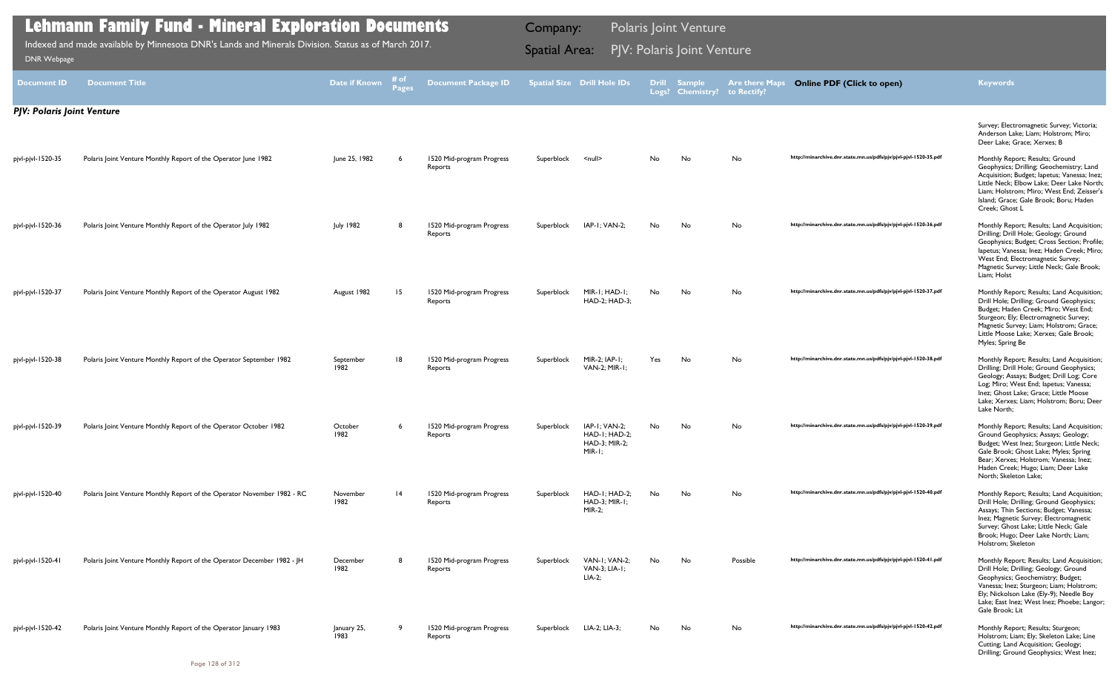|            | atial Size Drill Hole IDs                                               | Drill<br>Logs? | <b>Sample</b><br><b>Chemistry?</b> | <b>Are there Maps</b><br>to Rectify? | <b>Online PDF (Click to open)</b>                                | <b>Keywords</b>                                                                                                                                                                                                                                                                   |
|------------|-------------------------------------------------------------------------|----------------|------------------------------------|--------------------------------------|------------------------------------------------------------------|-----------------------------------------------------------------------------------------------------------------------------------------------------------------------------------------------------------------------------------------------------------------------------------|
|            |                                                                         |                |                                    |                                      |                                                                  | Survey; Electromagnetic Survey; Victoria;<br>Anderson Lake; Liam; Holstrom; Miro;<br>Deer Lake; Grace; Xerxes; B                                                                                                                                                                  |
| Superblock | $null$                                                                  | No             | No                                 | No                                   | http://minarchive.dnr.state.mn.us/pdfs/pjv/pjvl-pjvl-1520-35.pdf | Monthly Report; Results; Ground<br>Geophysics; Drilling; Geochemistry; Land<br>Acquisition; Budget; lapetus; Vanessa; Inez;<br>Little Neck; Elbow Lake; Deer Lake North;<br>Liam; Holstrom; Miro; West End; Zeisser's<br>Island; Grace; Gale Brook; Boru; Haden<br>Creek; Ghost L |
| Superblock | $IAP-I$ ; $VAN-2$ ;                                                     | No             | No                                 | No                                   | http://minarchive.dnr.state.mn.us/pdfs/pjv/pjvl-pjvl-1520-36.pdf | Monthly Report; Results; Land Acquisition;<br>Drilling; Drill Hole; Geology; Ground<br>Geophysics; Budget; Cross Section; Profile;<br>lapetus; Vanessa; Inez; Haden Creek; Miro;<br>West End; Electromagnetic Survey;<br>Magnetic Survey; Little Neck; Gale Brook;<br>Liam; Holst |
| Superblock | $MIR-I$ ; $HAD-I$ ;<br>HAD-2; HAD-3;                                    | No             | No                                 | No                                   | http://minarchive.dnr.state.mn.us/pdfs/pjv/pjvl-pjvl-1520-37.pdf | Monthly Report; Results; Land Acquisition;<br>Drill Hole; Drilling; Ground Geophysics;<br>Budget; Haden Creek; Miro; West End;<br>Sturgeon; Ely; Electromagnetic Survey;<br>Magnetic Survey; Liam; Holstrom; Grace;<br>Little Moose Lake; Xerxes; Gale Brook;<br>Myles; Spring Be |
| Superblock | $MIR-2$ ; $IAP-1$ ;<br>VAN-2; MIR-1;                                    | Yes            | No                                 | No                                   | http://minarchive.dnr.state.mn.us/pdfs/pjv/pjvl-pjvl-1520-38.pdf | Monthly Report; Results; Land Acquisition;<br>Drilling; Drill Hole; Ground Geophysics;<br>Geology; Assays; Budget; Drill Log; Core<br>Log; Miro; West End; lapetus; Vanessa;<br>Inez; Ghost Lake; Grace; Little Moose<br>Lake; Xerxes; Liam; Holstrom; Boru; Deer<br>Lake North:  |
| Superblock | $IAP-I$ ; $VAN-2$ ;<br>$HAD-I$ ; $HAD-2$ ;<br>HAD-3; MIR-2;<br>$MIR-I;$ | No.            | No                                 | No                                   | http://minarchive.dnr.state.mn.us/pdfs/pjv/pjvl-pjvl-1520-39.pdf | Monthly Report; Results; Land Acquisition;<br>Ground Geophysics; Assays; Geology;<br>Budget; West Inez; Sturgeon; Little Neck;<br>Gale Brook; Ghost Lake; Myles; Spring<br>Bear; Xerxes; Holstrom; Vanessa; Inez;<br>Haden Creek; Hugo; Liam; Deer Lake<br>North; Skeleton Lake;  |
| Superblock | $HAD-I$ ; $HAD-2$ ;<br>$HAD-3$ ; MIR-1;<br>$MIR-2;$                     | No             | No                                 | No                                   | http://minarchive.dnr.state.mn.us/pdfs/pjv/pjvl-pjvl-1520-40.pdf | Monthly Report; Results; Land Acquisition;<br>Drill Hole; Drilling; Ground Geophysics;<br>Assays; Thin Sections; Budget; Vanessa;<br>Inez; Magnetic Survey; Electromagnetic<br>Survey; Ghost Lake; Little Neck; Gale<br>Brook; Hugo; Deer Lake North; Liam;<br>Holstrom; Skeleton |
| Superblock | VAN-1; VAN-2;<br>VAN-3; LIA-1;<br>$LIA-2;$                              | No.            | No                                 | Possible                             | http://minarchive.dnr.state.mn.us/pdfs/pjv/pjvl-pjvl-1520-41.pdf | Monthly Report; Results; Land Acquisition;<br>Drill Hole; Drilling; Geology; Ground<br>Geophysics; Geochemistry; Budget;<br>Vanessa; Inez; Sturgeon; Liam; Holstrom;<br>Ely; Nickolson Lake (Ely-9); Needle Boy<br>Lake; East Inez; West Inez; Phoebe; Langor;<br>Gale Brook; Lit |
| Superblock | LIA-2; LIA-3;                                                           | No             | No                                 | No                                   | http://minarchive.dnr.state.mn.us/pdfs/pjv/pjvl-pjvl-1520-42.pdf | Monthly Report; Results; Sturgeon;<br>Holstrom; Liam; Ely; Skeleton Lake; Line<br>Cutting; Land Acquisition; Geology;<br>Drilling; Ground Geophysics; West Inez;                                                                                                                  |

## *PJV: Polaris Joint Venture* pjvl-pjvl-1520-35 Polaris Joint Venture Monthly Report of the Operator June 1982 June 25, 1982 6 1520 Mid-program Progress Reports pjvl-pjvl-1520-36 Polaris Joint Venture Monthly Report of the Operator July 1982 July 1982 8 1520 Mid-program Progress Reports pjvl-pjvl-1520-37 Polaris Joint Venture Monthly Report of the Operator August 1982 August 1982 15 1520 Mid-program Progress Reports Superblock MIR-1; HAD-1; HAD-2; HAD-3; pjvl-pjvl-1520-38 Polaris Joint Venture Monthly Report of the Operator September 1982 September 1982 18 1520 Mid-program Progress Reports Superblock MIR-2; IAP-1; VAN-2; MIR-1; pjvl-pjvl-1520-39 Polaris Joint Venture Monthly Report of the Operator October 1982 October 1982 6 1520 Mid-program Progress Reports Superblock IAP-1; VAN-2; HAD-1; HAD-2; HAD-3; MIR-2; MIR-1; pjvl-pjvl-1520-40 Polaris Joint Venture Monthly Report of the Operator November 1982 - RC November 1982 14 1520 Mid-program Progress Reports Superblock HAD-1; HAD-2; HAD-3; MIR-1; MIR-2; pjvl-pjvl-1520-41 Polaris Joint Venture Monthly Report of the Operator December 1982 - JH December 1982 1520 Mid-program Progress Reports Superblock VAN-1; VAN-2; VAN-3; LIA-1; LIA-2; pjvl-pjvl-1520-42 Polaris Joint Venture Monthly Report of the Operator January 1983 January 25, 1983 9 1520 Mid-program Progress Reports **Document ID Document Title Date if Known # of Pages Document Package ID Spatial Size Drill Hole IDs Logs? Sample Chemistry? to Rectify? Are there Map Lehmann Family Fund - Mineral Exploration Documents** Indexed and made available by Minnesota DNR's Lands and Minerals Division. Status as of March 2017. **Spatial Area: PJV: Polaris Joint Venture**<br>[DNR Webpage](http://www.dnr.state.mn.us/lands_minerals/polaris/index.html) Company: Polaris Joint Venture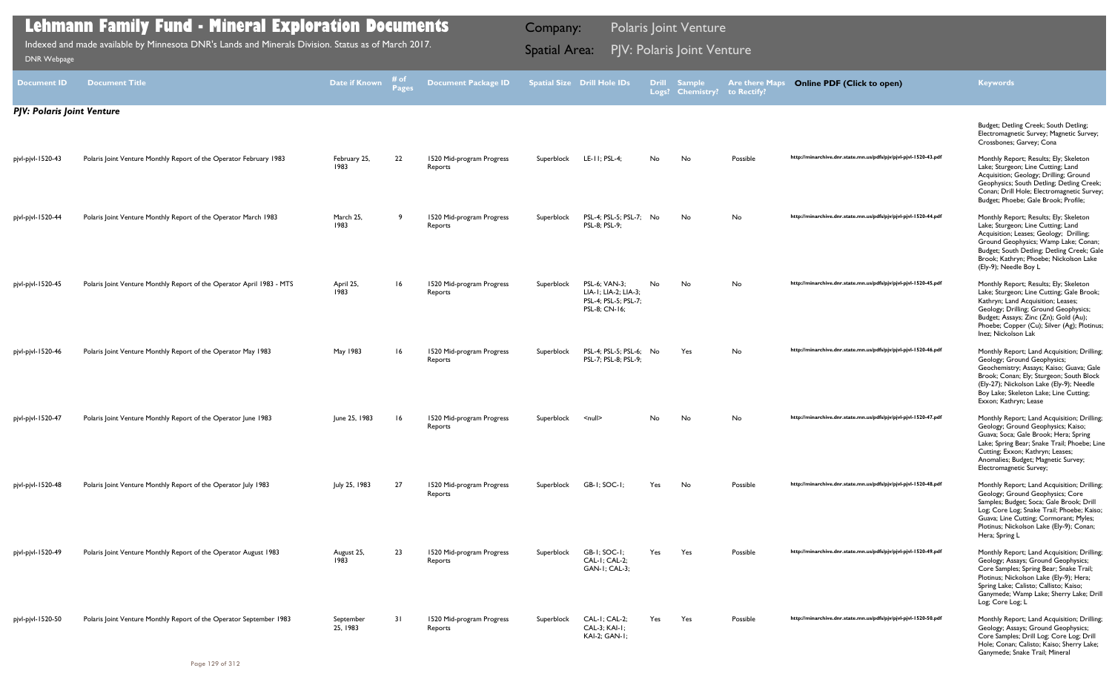|                                   | <b>Lehmann Family Fund - Mineral Exploration Documents</b>                                          |                       | <b>Polaris Joint Venture</b><br>Company: |                                      |            |                                                                                |     |                                  |                                      |                                                                  |                                                                                                                                                                                                                                                                                   |
|-----------------------------------|-----------------------------------------------------------------------------------------------------|-----------------------|------------------------------------------|--------------------------------------|------------|--------------------------------------------------------------------------------|-----|----------------------------------|--------------------------------------|------------------------------------------------------------------|-----------------------------------------------------------------------------------------------------------------------------------------------------------------------------------------------------------------------------------------------------------------------------------|
| <b>DNR Webpage</b>                | Indexed and made available by Minnesota DNR's Lands and Minerals Division. Status as of March 2017. |                       | <b>Spatial Area:</b>                     |                                      |            | PJV: Polaris Joint Venture                                                     |     |                                  |                                      |                                                                  |                                                                                                                                                                                                                                                                                   |
| Document ID                       | <b>Document Title</b>                                                                               | Date if Known         | # of<br>Pages                            | <b>Document Package ID</b>           |            | <b>Spatial Size Drill Hole IDs</b>                                             |     | Drill Sample<br>Logs? Chemistry? | <b>Are there Maps</b><br>to Rectify? | <b>Online PDF (Click to open)</b>                                | <b>Keywords</b>                                                                                                                                                                                                                                                                   |
| <b>PJV: Polaris Joint Venture</b> |                                                                                                     |                       |                                          |                                      |            |                                                                                |     |                                  |                                      |                                                                  |                                                                                                                                                                                                                                                                                   |
|                                   |                                                                                                     |                       |                                          |                                      |            |                                                                                |     |                                  |                                      |                                                                  | Budget; Detling Creek; South Detling;<br>Electromagnetic Survey; Magnetic Survey;<br>Crossbones; Garvey; Cona                                                                                                                                                                     |
| pjvl-pjvl-1520-43                 | Polaris Joint Venture Monthly Report of the Operator February 1983                                  | February 25,<br>1983  | 22                                       | 1520 Mid-program Progress<br>Reports | Superblock | LE-11; PSL-4;                                                                  | No  | No                               | Possible                             | http://minarchive.dnr.state.mn.us/pdfs/pjv/pjvl-pjvl-1520-43.pdf | Monthly Report; Results; Ely; Skeleton<br>Lake; Sturgeon; Line Cutting; Land<br>Acquisition; Geology; Drilling; Ground<br>Geophysics; South Detling; Detling Creek;<br>Conan; Drill Hole; Electromagnetic Survey;<br>Budget; Phoebe; Gale Brook; Profile;                         |
| pjvl-pjvl-1520-44                 | Polaris Joint Venture Monthly Report of the Operator March 1983                                     | March 25,<br>1983     | - 9                                      | 1520 Mid-program Progress<br>Reports | Superblock | PSL-4; PSL-5; PSL-7; No<br>PSL-8; PSL-9;                                       |     | No                               | No                                   | http://minarchive.dnr.state.mn.us/pdfs/pjv/pjvl-pjvl-1520-44.pdf | Monthly Report; Results; Ely; Skeleton<br>Lake; Sturgeon; Line Cutting; Land<br>Acquisition; Leases; Geology; Drilling;<br>Ground Geophysics; Wamp Lake; Conan;<br>Budget; South Detling; Detling Creek; Gale<br>Brook; Kathryn; Phoebe; Nickolson Lake<br>(Ely-9); Needle Boy L  |
| pjvl-pjvl-1520-45                 | Polaris Joint Venture Monthly Report of the Operator April 1983 - MTS                               | April 25,<br>1983     | 16                                       | 1520 Mid-program Progress<br>Reports | Superblock | PSL-6; VAN-3:<br>LIA-1; LIA-2; LIA-3;<br>PSL-4; PSL-5; PSL-7;<br>PSL-8; CN-16; | No. | No                               | No                                   | http://minarchive.dnr.state.mn.us/pdfs/pjv/pjvl-pjvl-1520-45.pdf | Monthly Report; Results; Ely; Skeleton<br>Lake; Sturgeon; Line Cutting; Gale Brook;<br>Kathryn; Land Acquisition; Leases;<br>Geology; Drilling; Ground Geophysics;<br>Budget; Assays; Zinc (Zn); Gold (Au);<br>Phoebe; Copper (Cu); Silver (Ag); Plotinus;<br>Inez; Nickolson Lak |
| pjvl-pjvl-1520-46                 | Polaris Joint Venture Monthly Report of the Operator May 1983                                       | May 1983              | 16                                       | 1520 Mid-program Progress<br>Reports | Superblock | PSL-4; PSL-5; PSL-6; No<br>PSL-7; PSL-8; PSL-9;                                |     | Yes                              | No                                   | http://minarchive.dnr.state.mn.us/pdfs/pjv/pjvl-pjvl-1520-46.pdf | Monthly Report; Land Acquisition; Drilling;<br>Geology; Ground Geophysics;<br>Geochemistry; Assays; Kaiso; Guava; Gale<br>Brook; Conan; Ely; Sturgeon; South Block<br>(Ely-27); Nickolson Lake (Ely-9); Needle<br>Boy Lake; Skeleton Lake; Line Cutting;<br>Exxon; Kathryn; Lease |
| pjvl-pjvl-1520-47                 | Polaris Joint Venture Monthly Report of the Operator June 1983                                      | June 25, 1983         | <b>16</b>                                | 1520 Mid-program Progress<br>Reports | Superblock | $\leq$ null $\geq$                                                             | No. | No                               | No                                   | http://minarchive.dnr.state.mn.us/pdfs/pjv/pjvl-pjvl-1520-47.pdf | Monthly Report; Land Acquisition; Drilling;<br>Geology; Ground Geophysics; Kaiso;<br>Guava; Soca; Gale Brook; Hera; Spring<br>Lake; Spring Bear; Snake Trail; Phoebe; Line<br>Cutting; Exxon; Kathryn; Leases;<br>Anomalies; Budget; Magnetic Survey;<br>Electromagnetic Survey;  |
| pjvl-pjvl-1520-48                 | Polaris Joint Venture Monthly Report of the Operator July 1983                                      | July 25, 1983         | -27                                      | 1520 Mid-program Progress<br>Reports | Superblock | GB-1; SOC-1;                                                                   | Yes | No                               | Possible                             | http://minarchive.dnr.state.mn.us/pdfs/pjv/pjvl-pjvl-1520-48.pdf | Monthly Report; Land Acquisition; Drilling;<br>Geology; Ground Geophysics; Core<br>Samples; Budget; Soca; Gale Brook; Drill<br>Log; Core Log; Snake Trail; Phoebe; Kaiso;<br>Guava; Line Cutting; Cormorant; Myles;<br>Plotinus; Nickolson Lake (Ely-9); Conan;<br>Hera; Spring L |
| pjvl-pjvl-1520-49                 | Polaris Joint Venture Monthly Report of the Operator August 1983                                    | August 25,<br>1983    | 23                                       | 1520 Mid-program Progress<br>Reports | Superblock | GB-1; SOC-1;<br>CAL-I; CAL-2;<br><b>GAN-I: CAL-3:</b>                          | Yes | Yes                              | Possible                             | http://minarchive.dnr.state.mn.us/pdfs/pjv/pjvl-pjvl-1520-49.pdf | Monthly Report; Land Acquisition; Drilling;<br>Geology; Assays; Ground Geophysics;<br>Core Samples; Spring Bear; Snake Trail;<br>Plotinus; Nickolson Lake (Ely-9); Hera;<br>Spring Lake; Calisto; Callisto; Kaiso;<br>Ganymede; Wamp Lake; Sherry Lake; Drill<br>Log; Core Log; L |
| pjvl-pjvl-1520-50                 | Polaris Joint Venture Monthly Report of the Operator September 1983                                 | September<br>25, 1983 | 31                                       | 1520 Mid-program Progress<br>Reports | Superblock | CAL-I: CAL-2:<br>CAL-3; KAI-1;<br>KAI-2; GAN-1;                                | Yes | Yes                              | Possible                             | http://minarchive.dnr.state.mn.us/pdfs/pjv/pjvl-pjvl-1520-50.pdf | Monthly Report; Land Acquisition; Drilling;<br>Geology; Assays; Ground Geophysics;<br>Core Samples; Drill Log; Core Log; Drill<br>Hole; Conan; Calisto; Kaiso; Sherry Lake;<br>Ganymede; Snake Trail; Mineral                                                                     |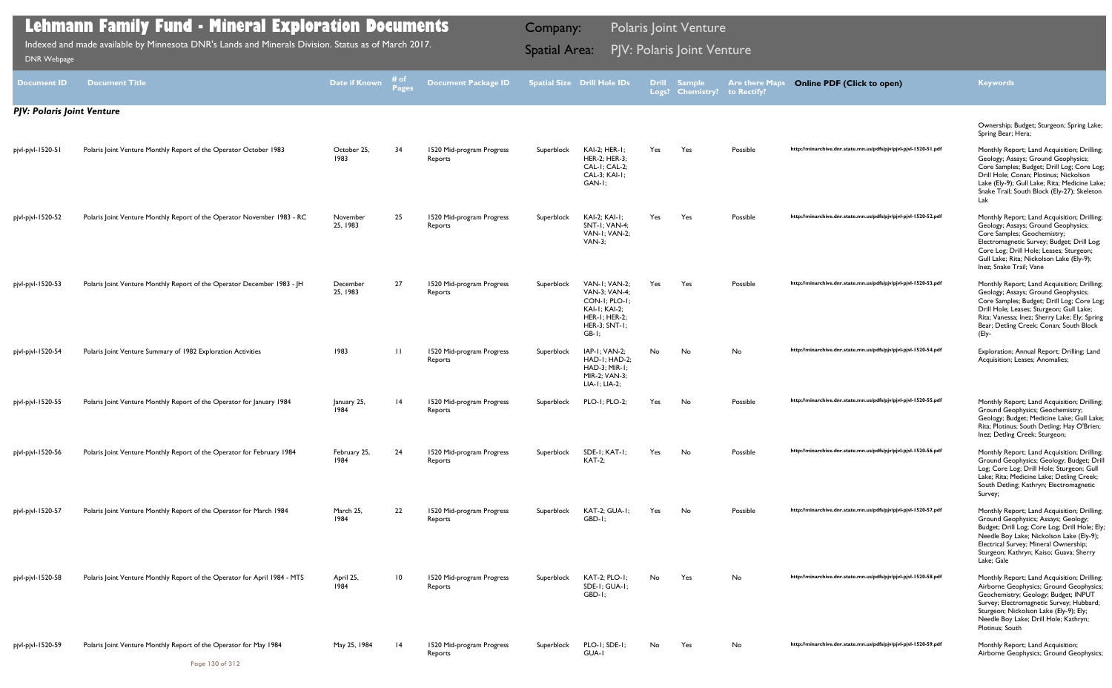| <b>Document ID</b>                | <b>Document Title</b>                                                     | Date if Known        | # of<br>Pages   | <b>Document Package ID</b>           |            | Spatial Size Drill Hole IDs                                                                                                 | <b>Drill</b> | <b>Sample</b><br>Logs? Chemistry? | <b>Are there Maps</b><br>to Rectify? | <b>Online PDF (Click to open)</b>                                | <b>Keywords</b>                                                                                                                                                                                                                                                                   |
|-----------------------------------|---------------------------------------------------------------------------|----------------------|-----------------|--------------------------------------|------------|-----------------------------------------------------------------------------------------------------------------------------|--------------|-----------------------------------|--------------------------------------|------------------------------------------------------------------|-----------------------------------------------------------------------------------------------------------------------------------------------------------------------------------------------------------------------------------------------------------------------------------|
| <b>PJV: Polaris Joint Venture</b> |                                                                           |                      |                 |                                      |            |                                                                                                                             |              |                                   |                                      |                                                                  |                                                                                                                                                                                                                                                                                   |
|                                   |                                                                           |                      |                 |                                      |            |                                                                                                                             |              |                                   |                                      |                                                                  | Ownership; Budget; Sturgeon; Spring Lake;<br>Spring Bear; Hera;                                                                                                                                                                                                                   |
| pjvl-pjvl-1520-51                 | Polaris Joint Venture Monthly Report of the Operator October 1983         | October 25,<br>1983  | 34              | 1520 Mid-program Progress<br>Reports | Superblock | KAI-2; HER-1;<br>HER-2; HER-3;<br>CAL-1; CAL-2;<br>CAL-3; KAI-1;<br>GAN-I:                                                  | Yes          | Yes                               | Possible                             | http://minarchive.dnr.state.mn.us/pdfs/pjv/pjvl-pjvl-1520-51.pdf | Monthly Report; Land Acquisition; Drilling;<br>Geology; Assays; Ground Geophysics;<br>Core Samples; Budget; Drill Log; Core Log;<br>Drill Hole; Conan; Plotinus; Nickolson<br>Lake (Ely-9); Gull Lake; Rita; Medicine Lake;<br>Snake Trail; South Block (Ely-27); Skeleton<br>Lak |
| pjvl-pjvl-1520-52                 | Polaris Joint Venture Monthly Report of the Operator November 1983 - RC   | November<br>25, 1983 | 25              | 1520 Mid-program Progress<br>Reports | Superblock | <b>KAI-2; KAI-1;</b><br>SNT-I: VAN-4:<br>VAN-I: VAN-2:<br>$VAN-3$ :                                                         | Yes          | Yes                               | Possible                             | http://minarchive.dnr.state.mn.us/pdfs/pjv/pjvl-pjvl-1520-52.pdf | Monthly Report; Land Acquisition; Drilling;<br>Geology; Assays; Ground Geophysics;<br>Core Samples; Geochemistry;<br>Electromagnetic Survey; Budget; Drill Log;<br>Core Log; Drill Hole; Leases; Sturgeon;<br>Gull Lake; Rita; Nickolson Lake (Ely-9);<br>Inez; Snake Trail; Vane |
| pjvl-pjvl-1520-53                 | Polaris Joint Venture Monthly Report of the Operator December 1983 - JH   | December<br>25, 1983 | 27              | 1520 Mid-program Progress<br>Reports | Superblock | VAN-I: VAN-2:<br>VAN-3; VAN-4;<br>CON-I; PLO-I:<br><b>KAI-I: KAI-2:</b><br><b>HER-1; HER-2;</b><br>HER-3; SNT-1;<br>$GB-I;$ | Yes          | Yes                               | Possible                             | http://minarchive.dnr.state.mn.us/pdfs/pjv/pjvl-pjvl-1520-53.pdf | Monthly Report; Land Acquisition; Drilling;<br>Geology; Assays; Ground Geophysics;<br>Core Samples; Budget; Drill Log; Core Log;<br>Drill Hole; Leases; Sturgeon; Gull Lake;<br>Rita; Vanessa; Inez; Sherry Lake; Ely; Spring<br>Bear; Detling Creek; Conan; South Block<br>(Ely- |
| pjvl-pjvl-1520-54                 | Polaris Joint Venture Summary of 1982 Exploration Activities              | 1983                 | $\mathbf{H}$    | 1520 Mid-program Progress<br>Reports | Superblock | IAP-I; VAN-2;<br>HAD-I; HAD-2;<br>HAD-3; MIR-1;<br>MIR-2; VAN-3;<br>LIA-1; LIA-2;                                           | No.          | No                                | No                                   | http://minarchive.dnr.state.mn.us/pdfs/pjv/pjvl-pjvl-1520-54.pdf | Exploration; Annual Report; Drilling; Land<br>Acquisition; Leases; Anomalies;                                                                                                                                                                                                     |
| pjvl-pjvl-1520-55                 | Polaris Joint Venture Monthly Report of the Operator for January 1984     | January 25,<br>1984  | $\overline{14}$ | 1520 Mid-program Progress<br>Reports | Superblock | PLO-1; PLO-2;                                                                                                               | Yes          | No                                | Possible                             | http://minarchive.dnr.state.mn.us/pdfs/pjv/pjvl-pjvl-1520-55.pdf | Monthly Report; Land Acquisition; Drilling;<br>Ground Geophysics; Geochemistry;<br>Geology; Budget; Medicine Lake; Gull Lake;<br>Rita; Plotinus; South Detling; Hay O'Brien;<br>Inez; Detling Creek; Sturgeon;                                                                    |
| pjvl-pjvl-1520-56                 | Polaris Joint Venture Monthly Report of the Operator for February 1984    | February 25,<br>1984 | 24              | 1520 Mid-program Progress<br>Reports | Superblock | SDE-I; KAT-I;<br><b>KAT-2;</b>                                                                                              | Yes          | No                                | Possible                             | http://minarchive.dnr.state.mn.us/pdfs/pjv/pjvl-pjvl-1520-56.pdf | Monthly Report; Land Acquisition; Drilling;<br>Ground Geophysics; Geology; Budget; Dril<br>Log; Core Log; Drill Hole; Sturgeon; Gull<br>Lake; Rita; Medicine Lake; Detling Creek;<br>South Detling; Kathryn; Electromagnetic<br>Survey;                                           |
| pjvl-pjvl-1520-57                 | Polaris Joint Venture Monthly Report of the Operator for March 1984       | March 25,<br>1984    | 22              | 1520 Mid-program Progress<br>Reports | Superblock | KAT-2; GUA-1;<br>GBD-1;                                                                                                     | Yes          | No                                | Possible                             | http://minarchive.dnr.state.mn.us/pdfs/pjv/pjvl-pjvl-1520-57.pdf | Monthly Report; Land Acquisition; Drilling;<br>Ground Geophysics; Assays; Geology;<br>Budget; Drill Log; Core Log; Drill Hole; Ely;<br>Needle Boy Lake; Nickolson Lake (Ely-9);<br>Electrical Survey; Mineral Ownership;<br>Sturgeon; Kathryn; Kaiso; Guava; Sherry<br>Lake; Gale |
| pjvl-pjvl-1520-58                 | Polaris Joint Venture Monthly Report of the Operator for April 1984 - MTS | April 25,<br>1984    | 10              | 1520 Mid-program Progress<br>Reports | Superblock | KAT-2; PLO-1;<br>SDE-1; GUA-1;<br>GBD-I;                                                                                    | No           | Yes                               | No                                   | http://minarchive.dnr.state.mn.us/pdfs/pjv/pjvl-pjvl-1520-58.pdf | Monthly Report; Land Acquisition; Drilling;<br>Airborne Geophysics; Ground Geophysics<br>Geochemistry; Geology; Budget; INPUT<br>Survey; Electromagnetic Survey; Hubbard;<br>Sturgeon; Nickolson Lake (Ely-9); Ely;<br>Needle Boy Lake; Drill Hole; Kathryn;<br>Plotinus; South   |
| pjvl-pjvl-1520-59                 | Polaris Joint Venture Monthly Report of the Operator for May 1984         | May 25, 1984         | - 14            | 1520 Mid-program Progress<br>Reports | Superblock | PLO-1; SDE-1;<br>GUA-I                                                                                                      | No           | Yes                               | No                                   | http://minarchive.dnr.state.mn.us/pdfs/pjv/pjvl-pjvl-1520-59.pdf | Monthly Report; Land Acquisition;<br>Airborne Geophysics; Ground Geophysics;                                                                                                                                                                                                      |

Indexed and made available by Minnesota DNR's Lands and Minerals Division. Status as of March 2017. **Spatial Area: PJV: Polaris Joint Venture**<br>[DNR Webpage](http://www.dnr.state.mn.us/lands_minerals/polaris/index.html)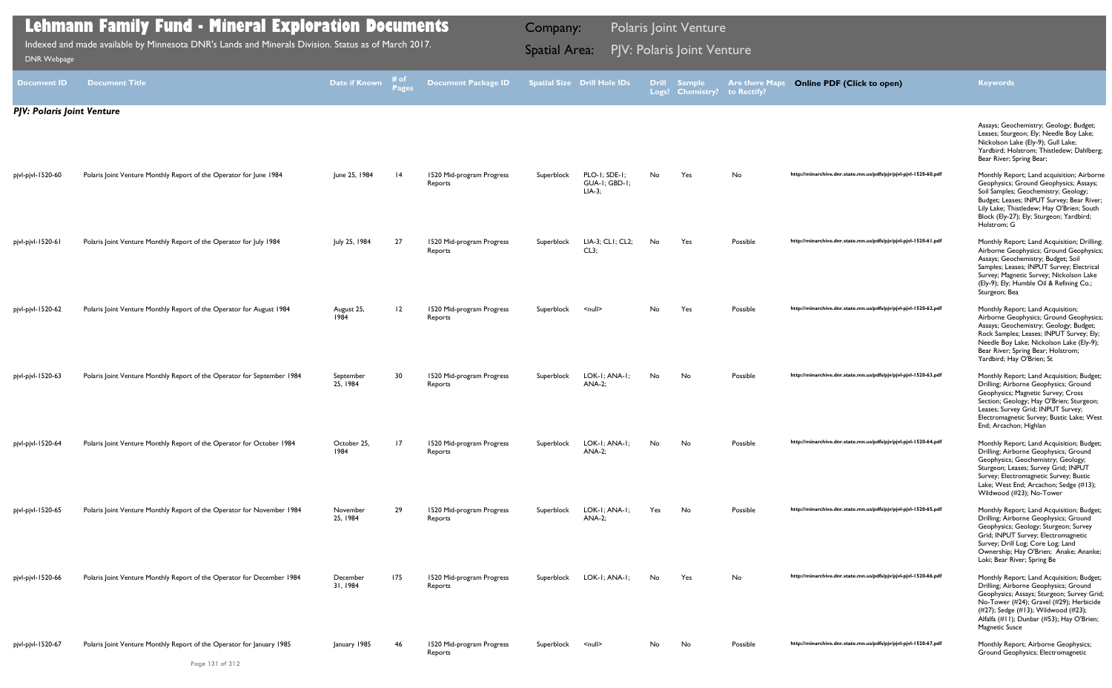|                                   | <b>Lehmann Family Fund - Mineral Exploration Documents</b>                                          |                       | <b>Polaris Joint Venture</b><br>Company: |                                      |                      |                                           |     |                                         |                                      |                                                                  |                                                                                                                                                                                                                                                                                          |
|-----------------------------------|-----------------------------------------------------------------------------------------------------|-----------------------|------------------------------------------|--------------------------------------|----------------------|-------------------------------------------|-----|-----------------------------------------|--------------------------------------|------------------------------------------------------------------|------------------------------------------------------------------------------------------------------------------------------------------------------------------------------------------------------------------------------------------------------------------------------------------|
| <b>DNR Webpage</b>                | Indexed and made available by Minnesota DNR's Lands and Minerals Division. Status as of March 2017. |                       |                                          |                                      | <b>Spatial Area:</b> |                                           |     | PJV: Polaris Joint Venture              |                                      |                                                                  |                                                                                                                                                                                                                                                                                          |
| <b>Document ID</b>                | <b>Document Title</b>                                                                               | Date if Known         | ≉ of<br>Pages                            | <b>Document Package ID</b>           |                      | <b>Spatial Size Drill Hole IDs</b>        |     | <b>Drill Sample</b><br>Logs? Chemistry? | <b>Are there Maps</b><br>to Rectify? | <b>Online PDF (Click to open)</b>                                | <b>Keywords</b>                                                                                                                                                                                                                                                                          |
| <b>PJV: Polaris Joint Venture</b> |                                                                                                     |                       |                                          |                                      |                      |                                           |     |                                         |                                      |                                                                  |                                                                                                                                                                                                                                                                                          |
|                                   |                                                                                                     |                       |                                          |                                      |                      |                                           |     |                                         |                                      |                                                                  | Assays; Geochemistry; Geology; Budget;<br>Leases; Sturgeon; Ely; Needle Boy Lake;<br>Nickolson Lake (Ely-9); Gull Lake;<br>Yardbird; Holstrom; Thistledew; Dahlberg;<br>Bear River; Spring Bear;                                                                                         |
| pjvl-pjvl-1520-60                 | Polaris Joint Venture Monthly Report of the Operator for June 1984                                  | June 25, 1984         | $\overline{14}$                          | 1520 Mid-program Progress<br>Reports | Superblock           | PLO-1; SDE-1;<br>GUA-I; GBD-I;<br>$LIA-3$ | No. | Yes                                     | No                                   | http://minarchive.dnr.state.mn.us/pdfs/pjv/pjvl-pjvl-1520-60.pdf | Monthly Report; Land acquisition; Airborne<br>Geophysics; Ground Geophysics; Assays;<br>Soil Samples; Geochemistry; Geology;<br>Budget; Leases; INPUT Survey; Bear River;<br>Lily Lake; Thistledew; Hay O'Brien; South<br>Block (Ely-27); Ely; Sturgeon; Yardbird;<br>Holstrom; G        |
| pjvl-pjvl-1520-61                 | Polaris Joint Venture Monthly Report of the Operator for July 1984                                  | July 25, 1984         | 27                                       | 1520 Mid-program Progress<br>Reports | Superblock           | LIA-3; CLI; CL2;<br>CL3;                  | No. | Yes                                     | Possible                             | http://minarchive.dnr.state.mn.us/pdfs/pjv/pjvl-pjvl-1520-61.pdf | Monthly Report; Land Acquisition; Drilling;<br>Airborne Geophysics; Ground Geophysics;<br>Assays; Geochemistry; Budget; Soil<br>Samples; Leases; INPUT Survey; Electrical<br>Survey; Magnetic Survey; Nickolson Lake<br>(Ely-9); Ely; Humble Oil & Refining Co.;<br>Sturgeon; Bea        |
| pjvl-pjvl-1520-62                 | Polaris Joint Venture Monthly Report of the Operator for August 1984                                | August 25,<br>1984    | 12                                       | 1520 Mid-program Progress<br>Reports | Superblock           | $\leq$ null $\geq$                        | No. | Yes                                     | Possible                             | http://minarchive.dnr.state.mn.us/pdfs/pjv/pjvl-pjvl-1520-62.pdf | Monthly Report; Land Acquisition;<br>Airborne Geophysics; Ground Geophysics;<br>Assays; Geochemistry; Geology; Budget;<br>Rock Samples; Leases; INPUT Survey; Ely;<br>Needle Boy Lake; Nickolson Lake (Ely-9);<br>Bear River; Spring Bear; Holstrom;<br>Yardbird; Hay O'Brien; St        |
| pjvl-pjvl-1520-63                 | Polaris Joint Venture Monthly Report of the Operator for September 1984                             | September<br>25, 1984 | 30                                       | 1520 Mid-program Progress<br>Reports | Superblock           | LOK-I; ANA-I;<br><b>ANA-2;</b>            | No  | No                                      | Possible                             | http://minarchive.dnr.state.mn.us/pdfs/pjv/pjvl-pjvl-1520-63.pdf | Monthly Report; Land Acquisition; Budget;<br>Drilling; Airborne Geophysics; Ground<br>Geophysics; Magnetic Survey; Cross<br>Section; Geology; Hay O'Brien; Sturgeon;<br>Leases; Survey Grid; INPUT Survey;<br>Electromagnetic Survey; Bustic Lake; West<br>End; Arcachon; Highlan        |
| pjvl-pjvl-1520-64                 | Polaris Joint Venture Monthly Report of the Operator for October 1984                               | October 25,<br>1984   | 17                                       | 1520 Mid-program Progress<br>Reports | Superblock           | LOK-I; ANA-I;<br><b>ANA-2;</b>            | No  | No                                      | Possible                             | http://minarchive.dnr.state.mn.us/pdfs/pjv/pjvl-pjvl-1520-64.pdf | Monthly Report; Land Acquisition; Budget;<br>Drilling; Airborne Geophysics; Ground<br>Geophysics; Geochemistry; Geology;<br>Sturgeon; Leases; Survey Grid; INPUT<br>Survey; Electromagnetic Survey; Bustic<br>Lake; West End; Arcachon; Sedge (#13);<br>Wildwood (#23); No-Tower         |
| pjvl-pjvl-1520-65                 | Polaris Joint Venture Monthly Report of the Operator for November 1984                              | November<br>25, 1984  | 29                                       | 1520 Mid-program Progress<br>Reports | Superblock           | LOK-I; ANA-I;<br><b>ANA-2;</b>            | Yes | No                                      | Possible                             | http://minarchive.dnr.state.mn.us/pdfs/pjv/pjvl-pjvl-1520-65.pdf | Monthly Report; Land Acquisition; Budget;<br>Drilling; Airborne Geophysics; Ground<br>Geophysics; Geology; Sturgeon; Survey<br>Grid; INPUT Survey; Electromagnetic<br>Survey; Drill Log; Core Log; Land<br>Ownership; Hay O'Brien; Anake; Ananke;<br>Loki; Bear River; Spring Be         |
| pjvl-pjvl-1520-66                 | Polaris Joint Venture Monthly Report of the Operator for December 1984                              | December<br>31, 1984  | 175                                      | 1520 Mid-program Progress<br>Reports | Superblock           | LOK-I; ANA-I;                             | No. | Yes                                     | No                                   | http://minarchive.dnr.state.mn.us/pdfs/pjv/pjvl-pjvl-1520-66.pdf | Monthly Report; Land Acquisition; Budget;<br>Drilling; Airborne Geophysics; Ground<br>Geophysics; Assays; Sturgeon; Survey Grid;<br>No-Tower (#24); Gravel (#29); Herbicide<br>(#27); Sedge (#13); Wildwood (#23);<br>Alfalfa (#11); Dunbar (#53); Hay O'Brien;<br><b>Magnetic Susce</b> |
| pjvl-pjvl-1520-67                 | Polaris Joint Venture Monthly Report of the Operator for January 1985                               | January 1985          | 46                                       | 1520 Mid-program Progress<br>Reports | Superblock           | $\leq$ null $\geq$                        | No. | No                                      | Possible                             | http://minarchive.dnr.state.mn.us/pdfs/pjv/pjvl-pjvl-1520-67.pdf | Monthly Report; Airborne Geophysics;<br>Ground Geophysics; Electromagnetic                                                                                                                                                                                                               |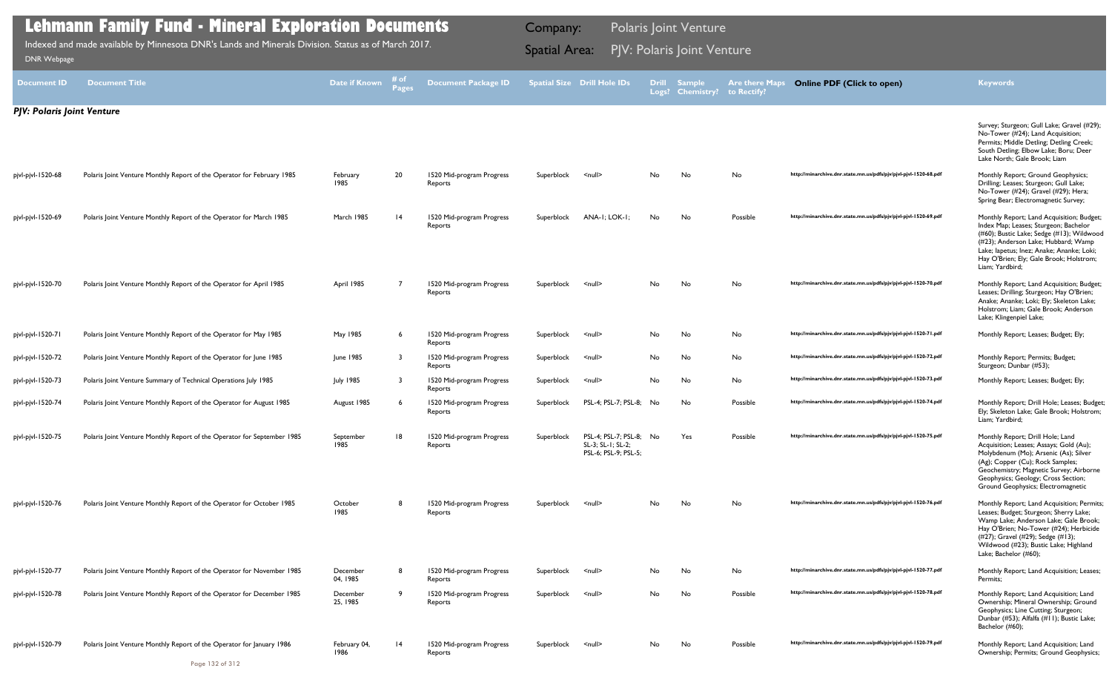|                                   | <b>Lehmann Family Fund - Mineral Exploration Documents</b>                                          |                      | Company:             |                                      |            | <b>Polaris Joint Venture</b>                                         |              |                                   |                                      |                                                                  |                                                                                                                                                                                                                                                                                   |
|-----------------------------------|-----------------------------------------------------------------------------------------------------|----------------------|----------------------|--------------------------------------|------------|----------------------------------------------------------------------|--------------|-----------------------------------|--------------------------------------|------------------------------------------------------------------|-----------------------------------------------------------------------------------------------------------------------------------------------------------------------------------------------------------------------------------------------------------------------------------|
| DNR Webpage                       | Indexed and made available by Minnesota DNR's Lands and Minerals Division. Status as of March 2017. |                      | <b>Spatial Area:</b> |                                      |            | PJV: Polaris Joint Venture                                           |              |                                   |                                      |                                                                  |                                                                                                                                                                                                                                                                                   |
| <b>Document ID</b>                | <b>Document Title</b>                                                                               | <b>Date if Known</b> | # of<br>Pages        | <b>Document Package ID</b>           |            | <b>Spatial Size Drill Hole IDs</b>                                   | <b>Drill</b> | <b>Sample</b><br>Logs? Chemistry? | <b>Are there Maps</b><br>to Rectify? | <b>Online PDF (Click to open)</b>                                | <b>Keywords</b>                                                                                                                                                                                                                                                                   |
| <b>PJV: Polaris Joint Venture</b> |                                                                                                     |                      |                      |                                      |            |                                                                      |              |                                   |                                      |                                                                  |                                                                                                                                                                                                                                                                                   |
|                                   |                                                                                                     |                      |                      |                                      |            |                                                                      |              |                                   |                                      |                                                                  | Survey; Sturgeon; Gull Lake; Gravel (#29);<br>No-Tower (#24); Land Acquisition;<br>Permits; Middle Detling; Detling Creek;<br>South Detling; Elbow Lake; Boru; Deer<br>Lake North; Gale Brook; Liam                                                                               |
| pjvl-pjvl-1520-68                 | Polaris Joint Venture Monthly Report of the Operator for February 1985                              | February<br>1985     | 20                   | 1520 Mid-program Progress<br>Reports | Superblock | $\leq$ null $\geq$                                                   | No           | No                                | No                                   | http://minarchive.dnr.state.mn.us/pdfs/pjv/pjvl-pjvl-1520-68.pdf | Monthly Report; Ground Geophysics;<br>Drilling; Leases; Sturgeon; Gull Lake;<br>No-Tower (#24); Gravel (#29); Hera;<br>Spring Bear; Electromagnetic Survey;                                                                                                                       |
| pjvl-pjvl-1520-69                 | Polaris Joint Venture Monthly Report of the Operator for March 1985                                 | March 1985           | 4                    | 1520 Mid-program Progress<br>Reports | Superblock | ANA-I: LOK-I:                                                        | No.          | No                                | Possible                             | http://minarchive.dnr.state.mn.us/pdfs/pjv/pjvl-pjvl-1520-69.pdf | Monthly Report; Land Acquisition; Budget;<br>Index Map; Leases; Sturgeon; Bachelor<br>(#60); Bustic Lake; Sedge (#13); Wildwood<br>(#23); Anderson Lake; Hubbard; Wamp<br>Lake; lapetus; Inez; Anake; Ananke; Loki;<br>Hay O'Brien; Ely; Gale Brook; Holstrom;<br>Liam; Yardbird; |
| pjvl-pjvl-1520-70                 | Polaris Joint Venture Monthly Report of the Operator for April 1985                                 | April 1985           |                      | 1520 Mid-program Progress<br>Reports | Superblock | $\leq$ null $\geq$                                                   | No           | No                                | No                                   | http://minarchive.dnr.state.mn.us/pdfs/pjv/pjvl-pjvl-1520-70.pdf | Monthly Report; Land Acquisition; Budget;<br>Leases; Drilling; Sturgeon; Hay O'Brien;<br>Anake; Ananke; Loki; Ely; Skeleton Lake;<br>Holstrom; Liam; Gale Brook; Anderson<br>Lake; Klingenpiel Lake;                                                                              |
| pjvl-pjvl-1520-71                 | Polaris Joint Venture Monthly Report of the Operator for May 1985                                   | May 1985             |                      | 1520 Mid-program Progress<br>Reports | Superblock | <null></null>                                                        | No           | No                                | No                                   | http://minarchive.dnr.state.mn.us/pdfs/pjv/pjvl-pjvl-1520-71.pdf | Monthly Report; Leases; Budget; Ely;                                                                                                                                                                                                                                              |
| pjvl-pjvl-1520-72                 | Polaris Joint Venture Monthly Report of the Operator for June 1985                                  | June 1985            |                      | 1520 Mid-program Progress<br>Reports | Superblock | $null$                                                               | No           | No                                | No                                   | http://minarchive.dnr.state.mn.us/pdfs/pjv/pjvl-pjvl-1520-72.pdf | Monthly Report; Permits; Budget;<br>Sturgeon; Dunbar (#53);                                                                                                                                                                                                                       |
| pjvl-pjvl-1520-73                 | Polaris Joint Venture Summary of Technical Operations July 1985                                     | <b>July 1985</b>     |                      | 1520 Mid-program Progress<br>Reports | Superblock | $null$                                                               | No           | No                                | No                                   | http://minarchive.dnr.state.mn.us/pdfs/pjv/pjvl-pjvl-1520-73.pdf | Monthly Report; Leases; Budget; Ely;                                                                                                                                                                                                                                              |
| pjvl-pjvl-1520-74                 | Polaris Joint Venture Monthly Report of the Operator for August 1985                                | August 1985          |                      | 1520 Mid-program Progress<br>Reports | Superblock | PSL-4; PSL-7; PSL-8;                                                 | No           | No                                | Possible                             | http://minarchive.dnr.state.mn.us/pdfs/pjv/pjvl-pjvl-1520-74.pdf | Monthly Report; Drill Hole; Leases; Budget;<br>Ely; Skeleton Lake; Gale Brook; Holstrom;<br>Liam; Yardbird;                                                                                                                                                                       |
| pjvl-pjvl-1520-75                 | Polaris Joint Venture Monthly Report of the Operator for September 1985                             | September<br>1985    | 18                   | 1520 Mid-program Progress<br>Reports | Superblock | PSL-4; PSL-7; PSL-8; No<br>SL-3; SL-1; SL-2;<br>PSL-6; PSL-9; PSL-5; |              | Yes                               | Possible                             | http://minarchive.dnr.state.mn.us/pdfs/pjv/pjvl-pjvl-1520-75.pdf | Monthly Report; Drill Hole; Land<br>Acquisition; Leases; Assays; Gold (Au);<br>Molybdenum (Mo); Arsenic (As); Silver<br>(Ag); Copper (Cu); Rock Samples;<br>Geochemistry; Magnetic Survey; Airborne<br>Geophysics; Geology; Cross Section;<br>Ground Geophysics; Electromagnetic  |
| pjvl-pjvl-1520-76                 | Polaris Joint Venture Monthly Report of the Operator for October 1985                               | October<br>1985      | -8                   | 1520 Mid-program Progress<br>Reports | Superblock | $\leq$ null $\geq$                                                   | No           | No                                | No                                   | http://minarchive.dnr.state.mn.us/pdfs/pjv/pjvl-pjvl-1520-76.pdf | Monthly Report; Land Acquisition; Permits;<br>Leases; Budget; Sturgeon; Sherry Lake;<br>Wamp Lake; Anderson Lake; Gale Brook;<br>Hay O'Brien; No-Tower (#24); Herbicide<br>(#27); Gravel (#29); Sedge (#13);<br>Wildwood (#23); Bustic Lake; Highland<br>Lake; Bachelor (#60);    |
| pjvl-pjvl-1520-77                 | Polaris Joint Venture Monthly Report of the Operator for November 1985                              | December<br>04, 1985 |                      | 1520 Mid-program Progress<br>Reports | Superblock | <null></null>                                                        | No           | No                                | No                                   | http://minarchive.dnr.state.mn.us/pdfs/pjv/pjvl-pjvl-1520-77.pdf | Monthly Report; Land Acquisition; Leases;<br>Permits:                                                                                                                                                                                                                             |
| pjvl-pjvl-1520-78                 | Polaris Joint Venture Monthly Report of the Operator for December 1985                              | December<br>25, 1985 | -9                   | 1520 Mid-program Progress<br>Reports | Superblock | $null$                                                               | No           | No                                | Possible                             | http://minarchive.dnr.state.mn.us/pdfs/pjv/pjvl-pjvl-1520-78.pdf | Monthly Report; Land Acquisition; Land<br>Ownership; Mineral Ownership; Ground<br>Geophysics; Line Cutting; Sturgeon;<br>Dunbar (#53); Alfalfa (#11); Bustic Lake;<br>Bachelor (#60);                                                                                             |
| pjvl-pjvl-1520-79                 | Polaris Joint Venture Monthly Report of the Operator for January 1986                               | February 04,<br>1986 | $\overline{14}$      | 1520 Mid-program Progress<br>Reports | Superblock | $\leq$ null $\geq$                                                   | No           | No                                | Possible                             | http://minarchive.dnr.state.mn.us/pdfs/pjv/pjvl-pjvl-1520-79.pdf | Monthly Report; Land Acquisition; Land<br>Ownership; Permits; Ground Geophysics;                                                                                                                                                                                                  |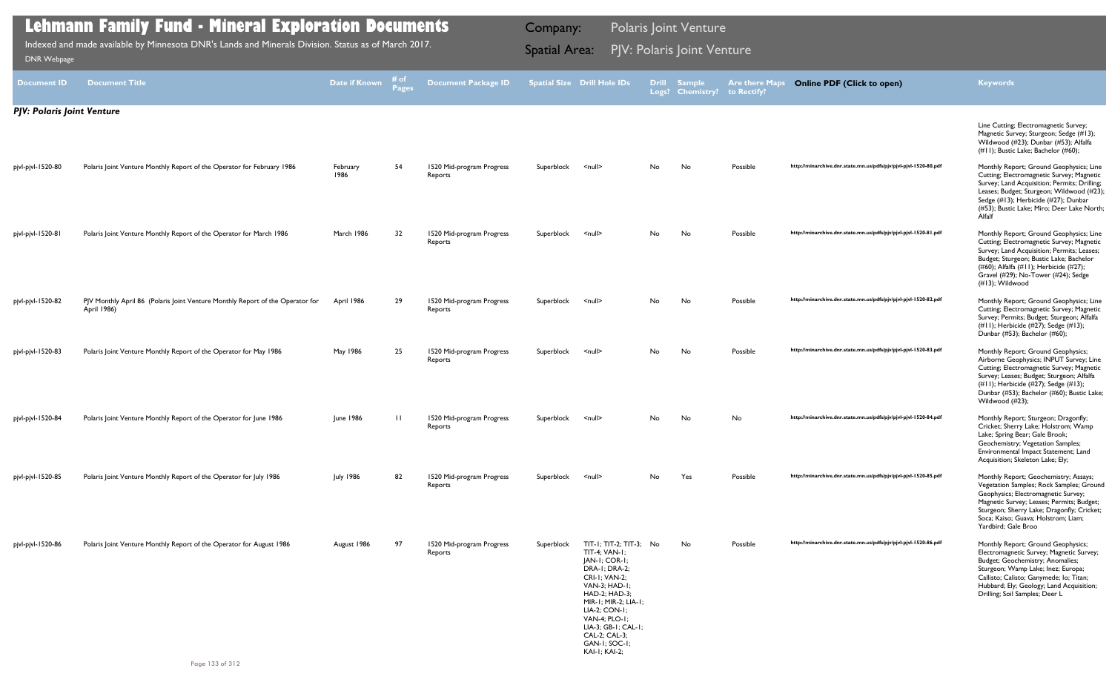|                                   | <b>Lehmann Family Fund - Mineral Exploration Documents</b>                                          |                  | <b>Polaris Joint Venture</b><br>Company: |                                      |                      |                                                                                                                                                                                                                                                                            |     |                                  |                                      |                                                                  |                                                                                                                                                                                                                                                                                   |
|-----------------------------------|-----------------------------------------------------------------------------------------------------|------------------|------------------------------------------|--------------------------------------|----------------------|----------------------------------------------------------------------------------------------------------------------------------------------------------------------------------------------------------------------------------------------------------------------------|-----|----------------------------------|--------------------------------------|------------------------------------------------------------------|-----------------------------------------------------------------------------------------------------------------------------------------------------------------------------------------------------------------------------------------------------------------------------------|
| DNR Webpage                       | Indexed and made available by Minnesota DNR's Lands and Minerals Division. Status as of March 2017. |                  |                                          |                                      | <b>Spatial Area:</b> |                                                                                                                                                                                                                                                                            |     | PJV: Polaris Joint Venture       |                                      |                                                                  |                                                                                                                                                                                                                                                                                   |
| <b>Document ID</b>                | <b>Document Title</b>                                                                               | Date if Known    | # of<br>Pages                            | <b>Document Package ID</b>           |                      | <b>Spatial Size Drill Hole IDs</b>                                                                                                                                                                                                                                         |     | Drill Sample<br>Logs? Chemistry? | <b>Are there Maps</b><br>to Rectify? | <b>Online PDF (Click to open)</b>                                | <b>Keywords</b>                                                                                                                                                                                                                                                                   |
| <b>PJV: Polaris Joint Venture</b> |                                                                                                     |                  |                                          |                                      |                      |                                                                                                                                                                                                                                                                            |     |                                  |                                      |                                                                  |                                                                                                                                                                                                                                                                                   |
|                                   |                                                                                                     |                  |                                          |                                      |                      |                                                                                                                                                                                                                                                                            |     |                                  |                                      |                                                                  | Line Cutting; Electromagnetic Survey;<br>Magnetic Survey; Sturgeon; Sedge (#13);<br>Wildwood (#23); Dunbar (#53); Alfalfa<br>(#11); Bustic Lake; Bachelor (#60);                                                                                                                  |
| pjvl-pjvl-1520-80                 | Polaris Joint Venture Monthly Report of the Operator for February 1986                              | February<br>1986 | 54                                       | 1520 Mid-program Progress<br>Reports | Superblock           | $\leq$ null $\geq$                                                                                                                                                                                                                                                         | No  | No                               | Possible                             | http://minarchive.dnr.state.mn.us/pdfs/pjv/pjvl-pjvl-1520-80.pdf | Monthly Report; Ground Geophysics; Line<br>Cutting; Electromagnetic Survey; Magnetic<br>Survey; Land Acquisition; Permits; Drilling;<br>Leases; Budget; Sturgeon; Wildwood (#23);<br>Sedge (#13); Herbicide (#27); Dunbar<br>(#53); Bustic Lake; Miro; Deer Lake North;<br>Alfalf |
| pjvl-pjvl-1520-81                 | Polaris Joint Venture Monthly Report of the Operator for March 1986                                 | March 1986       | 32                                       | 1520 Mid-program Progress<br>Reports | Superblock           | $\leq$ null $\geq$                                                                                                                                                                                                                                                         | No  | No                               | Possible                             | http://minarchive.dnr.state.mn.us/pdfs/pjv/pjvl-pjvl-1520-81.pdf | Monthly Report; Ground Geophysics; Line<br>Cutting; Electromagnetic Survey; Magnetic<br>Survey; Land Acquisition; Permits; Leases;<br>Budget; Sturgeon; Bustic Lake; Bachelor<br>(#60); Alfalfa (#11); Herbicide (#27);<br>Gravel (#29); No-Tower (#24); Sedge<br>(#13); Wildwood |
| pjvl-pjvl-1520-82                 | PJV Monthly April 86 (Polaris Joint Venture Monthly Report of the Operator for<br>April 1986)       | April 1986       | 29                                       | 1520 Mid-program Progress<br>Reports | Superblock           | <null></null>                                                                                                                                                                                                                                                              | No  | No                               | Possible                             | http://minarchive.dnr.state.mn.us/pdfs/pjv/pjvl-pjvl-1520-82.pdf | Monthly Report; Ground Geophysics; Line<br>Cutting; Electromagnetic Survey; Magnetic<br>Survey; Permits; Budget; Sturgeon; Alfalfa<br>(#11); Herbicide (#27); Sedge (#13);<br>Dunbar (#53); Bachelor (#60);                                                                       |
| pjvl-pjvl-1520-83                 | Polaris Joint Venture Monthly Report of the Operator for May 1986                                   | May 1986         | 25                                       | 1520 Mid-program Progress<br>Reports | Superblock           | <null></null>                                                                                                                                                                                                                                                              | No  | No                               | Possible                             | http://minarchive.dnr.state.mn.us/pdfs/pjv/pjvl-pjvl-1520-83.pdf | Monthly Report; Ground Geophysics;<br>Airborne Geophysics; INPUT Survey; Line<br>Cutting; Electromagnetic Survey; Magnetic<br>Survey; Leases; Budget; Sturgeon; Alfalfa<br>(#11); Herbicide (#27); Sedge (#13);<br>Dunbar (#53); Bachelor (#60); Bustic Lake;<br>Wildwood (#23);  |
| pjvl-pjvl-1520-84                 | Polaris Joint Venture Monthly Report of the Operator for June 1986                                  | June 1986        | $\Box$                                   | 1520 Mid-program Progress<br>Reports | Superblock           | $\leq$ null $\geq$                                                                                                                                                                                                                                                         | No. | No                               | No                                   | http://minarchive.dnr.state.mn.us/pdfs/pjv/pjvl-pjvl-1520-84.pdf | Monthly Report; Sturgeon; Dragonfly;<br>Cricket; Sherry Lake; Holstrom; Wamp<br>Lake; Spring Bear; Gale Brook;<br>Geochemistry; Vegetation Samples;<br>Environmental Impact Statement; Land<br>Acquisition; Skeleton Lake; Ely;                                                   |
| pjvl-pjvl-1520-85                 | Polaris Joint Venture Monthly Report of the Operator for July 1986                                  | July 1986        | 82                                       | 1520 Mid-program Progress<br>Reports | Superblock           | <null></null>                                                                                                                                                                                                                                                              | No  | Yes                              | Possible                             | http://minarchive.dnr.state.mn.us/pdfs/pjv/pjvl-pjvl-1520-85.pdf | Monthly Report; Geochemistry; Assays;<br>Vegetation Samples; Rock Samples; Ground<br>Geophysics; Electromagnetic Survey;<br>Magnetic Survey; Leases; Permits; Budget;<br>Sturgeon; Sherry Lake; Dragonfly; Cricket;<br>Soca: Kaiso: Guava: Holstrom: Liam:<br>Yardbird; Gale Broo |
| pjvl-pjvl-1520-86                 | Polaris Joint Venture Monthly Report of the Operator for August 1986                                | August 1986      | 97                                       | 1520 Mid-program Progress<br>Reports | Superblock           | $TIT-I; TIT-2; TIT-3; No$<br>TIT-4; VAN-1;<br>JAN-I; COR-I;<br>DRA-I; DRA-2;<br><b>CRI-1: VAN-2:</b><br>VAN-3; HAD-1;<br>HAD-2; HAD-3;<br>MIR-1; MIR-2; LIA-1;<br>LIA-2; CON-1;<br>VAN-4; PLO-1;<br>LIA-3; GB-1; CAL-1;<br>CAL-2; CAL-3;<br>GAN-I; SOC-I;<br>KAI-I; KAI-2; |     | No                               | Possible                             | http://minarchive.dnr.state.mn.us/pdfs/pjv/pjvl-pjvl-1520-86.pdf | Monthly Report; Ground Geophysics;<br>Electromagnetic Survey; Magnetic Survey;<br>Budget; Geochemistry; Anomalies;<br>Sturgeon; Wamp Lake; Inez; Europa;<br>Callisto; Calisto; Ganymede; lo; Titan;<br>Hubbard; Ely; Geology; Land Acquisition;<br>Drilling; Soil Samples; Deer L |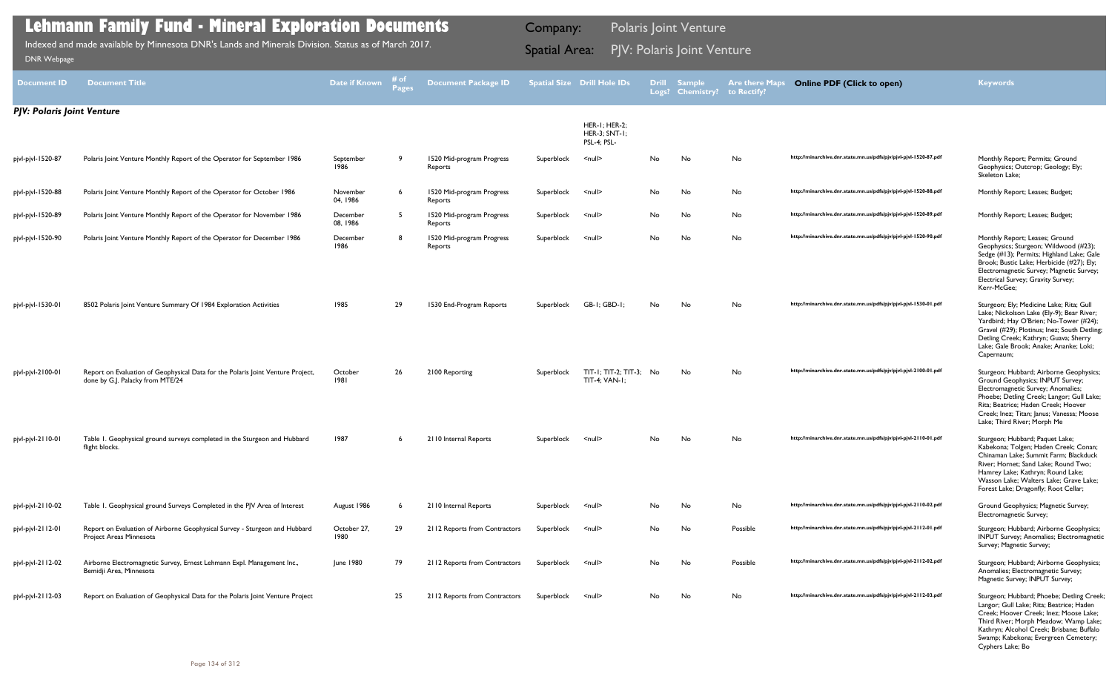| <b>Document ID</b>                | <b>Document Title</b>                                                                                               | Date if Known        | ≉ of | <b>Document Package ID</b>           |            | <b>Spatial Size Drill Hole IDs</b>         |     | Drill Sample<br>Logs? Chemistry? | <b>Are there Maps</b><br>to Rectify? | <b>Online PDF (Click to open)</b>                                | <b>Keywords</b>                                                                                                                                                                                                                                                                   |
|-----------------------------------|---------------------------------------------------------------------------------------------------------------------|----------------------|------|--------------------------------------|------------|--------------------------------------------|-----|----------------------------------|--------------------------------------|------------------------------------------------------------------|-----------------------------------------------------------------------------------------------------------------------------------------------------------------------------------------------------------------------------------------------------------------------------------|
| <b>PJV: Polaris Joint Venture</b> |                                                                                                                     |                      |      |                                      |            | HER-I; HER-2;<br>HER-3; SNT-1;             |     |                                  |                                      |                                                                  |                                                                                                                                                                                                                                                                                   |
| pjvl-pjvl-1520-87                 | Polaris Joint Venture Monthly Report of the Operator for September 1986                                             | September<br>1986    |      | 1520 Mid-program Progress<br>Reports | Superblock | PSL-4; PSL-<br>$\leq$ null $\geq$          | No  | No                               | No                                   | http://minarchive.dnr.state.mn.us/pdfs/pjv/pjvl-pjvl-1520-87.pdf | Monthly Report; Permits; Ground<br>Geophysics; Outcrop; Geology; Ely;<br>Skeleton Lake;                                                                                                                                                                                           |
| pjvl-pjvl-1520-88                 | Polaris Joint Venture Monthly Report of the Operator for October 1986                                               | November<br>04, 1986 |      | 1520 Mid-program Progress<br>Reports | Superblock | $null$                                     | No  | No                               | No                                   | http://minarchive.dnr.state.mn.us/pdfs/pjv/pjvl-pjvl-1520-88.pdf | Monthly Report; Leases; Budget;                                                                                                                                                                                                                                                   |
| pjvl-pjvl-1520-89                 | Polaris Joint Venture Monthly Report of the Operator for November 1986                                              | December<br>08, 1986 | -5   | 1520 Mid-program Progress<br>Reports | Superblock | <null></null>                              | No  | No                               | No                                   | http://minarchive.dnr.state.mn.us/pdfs/pjv/pjvl-pjvl-1520-89.pdf | Monthly Report; Leases; Budget;                                                                                                                                                                                                                                                   |
| pjvl-pjvl-1520-90                 | Polaris Joint Venture Monthly Report of the Operator for December 1986                                              | December<br>1986     | Я.   | 1520 Mid-program Progress<br>Reports | Superblock | <null></null>                              | No  | No                               | No                                   | http://minarchive.dnr.state.mn.us/pdfs/pjv/pjvl-pjvl-1520-90.pdf | Monthly Report; Leases; Ground<br>Geophysics; Sturgeon; Wildwood (#23);<br>Sedge (#13); Permits; Highland Lake; Gale<br>Brook; Bustic Lake; Herbicide (#27); Ely;<br>Electromagnetic Survey; Magnetic Survey;<br>Electrical Survey; Gravity Survey;<br>Kerr-McGee;                |
| pjvl-pjvl-1530-01                 | 8502 Polaris Joint Venture Summary Of 1984 Exploration Activities                                                   | 1985                 | 29   | 1530 End-Program Reports             | Superblock | GB-I; GBD-I;                               | No  | No                               | No                                   | http://minarchive.dnr.state.mn.us/pdfs/pjv/pjvl-pjvl-1530-01.pdf | Sturgeon; Ely; Medicine Lake; Rita; Gull<br>Lake; Nickolson Lake (Ely-9); Bear River;<br>Yardbird; Hay O'Brien; No-Tower (#24);<br>Gravel (#29); Plotinus; Inez; South Detling;<br>Detling Creek; Kathryn; Guava; Sherry<br>Lake; Gale Brook; Anake; Ananke; Loki;<br>Capernaum;  |
| pjvl-pjvl-2100-01                 | Report on Evaluation of Geophysical Data for the Polaris Joint Venture Project,<br>done by G.J. Palacky from MTE/24 | October<br>1981      | 26   | 2100 Reporting                       | Superblock | $TIT-I; TIT-2; TIT-3; No$<br>TIT-4; VAN-1; |     | No                               | No                                   | http://minarchive.dnr.state.mn.us/pdfs/pjv/pjvl-pjvl-2100-01.pdf | Sturgeon; Hubbard; Airborne Geophysics;<br>Ground Geophysics; INPUT Survey;<br>Electromagnetic Survey; Anomalies;<br>Phoebe; Detling Creek; Langor; Gull Lake;<br>Rita; Beatrice; Haden Creek; Hoover<br>Creek; Inez; Titan; Janus; Vanessa; Moose<br>Lake; Third River; Morph Me |
| pjvl-pjvl-2110-01                 | Table 1. Geophysical ground surveys completed in the Sturgeon and Hubbard<br>flight blocks.                         | 1987                 |      | 2110 Internal Reports                | Superblock | $null$                                     | No. | No                               | No                                   | http://minarchive.dnr.state.mn.us/pdfs/pjv/pjvl-pjvl-2110-01.pdf | Sturgeon; Hubbard; Paquet Lake;<br>Kabekona; Tolgen; Haden Creek; Conan;<br>Chinaman Lake; Summit Farm; Blackduck<br>River; Hornet; Sand Lake; Round Two;<br>Hamrey Lake; Kathryn; Round Lake;<br>Wasson Lake; Walters Lake; Grave Lake;<br>Forest Lake; Dragonfly; Root Cellar;  |
| pjvl-pjvl-2110-02                 | Table 1. Geophysical ground Surveys Completed in the PJV Area of Interest                                           | August 1986          |      | 2110 Internal Reports                | Superblock | <null></null>                              | No  | No                               | No                                   | http://minarchive.dnr.state.mn.us/pdfs/pjv/pjvl-pjvl-2110-02.pdf | Ground Geophysics; Magnetic Survey;<br>Electromagnetic Survey;                                                                                                                                                                                                                    |
| pjvl-pjvl-2112-01                 | Report on Evaluation of Airborne Geophysical Survey - Sturgeon and Hubbard<br>Project Areas Minnesota               | October 27,<br>1980  | 29   | 2112 Reports from Contractors        | Superblock | <null></null>                              | No. | No                               | Possible                             | http://minarchive.dnr.state.mn.us/pdfs/pjv/pjvl-pjvl-2112-01.pdf | Sturgeon; Hubbard; Airborne Geophysics;<br>INPUT Survey; Anomalies; Electromagnetic<br>Survey; Magnetic Survey;                                                                                                                                                                   |
| pjvl-pjvl-2112-02                 | Airborne Electromagnetic Survey, Ernest Lehmann Expl. Management Inc.,<br>Bemidji Area, Minnesota                   | June 1980            | 79   | 2112 Reports from Contractors        | Superblock | <null></null>                              | No  | No                               | Possible                             | http://minarchive.dnr.state.mn.us/pdfs/pjv/pjvl-pjvl-2112-02.pdf | Sturgeon; Hubbard; Airborne Geophysics;<br>Anomalies; Electromagnetic Survey;<br>Magnetic Survey; INPUT Survey;                                                                                                                                                                   |
| pjvl-pjvl-2112-03                 | Report on Evaluation of Geophysical Data for the Polaris Joint Venture Project                                      |                      | 25   | 2112 Reports from Contractors        | Superblock | <null></null>                              | No  | No                               | No                                   | http://minarchive.dnr.state.mn.us/pdfs/pjv/pjvl-pjvl-2112-03.pdf | Sturgeon; Hubbard; Phoebe; Detling Creek;                                                                                                                                                                                                                                         |

| Superblock | $\leq$ null $\geq$                      | No | No  | No       | http://minarchive.dnr.state.mn.us/pdfs/pjv/pjvl-pjvl-1520-87.pdf | Monthly Report; Permits; Ground<br>Geophysics; Outcrop; Geology; Ely;<br>Skeleton Lake;                                                                                                                                                                                           |
|------------|-----------------------------------------|----|-----|----------|------------------------------------------------------------------|-----------------------------------------------------------------------------------------------------------------------------------------------------------------------------------------------------------------------------------------------------------------------------------|
| Superblock | $null$                                  | No | No  | No       | http://minarchive.dnr.state.mn.us/pdfs/pjv/pjvl-pjvl-1520-88.pdf | Monthly Report; Leases; Budget;                                                                                                                                                                                                                                                   |
| Superblock | <null></null>                           | No | No  | No       | http://minarchive.dnr.state.mn.us/pdfs/pjv/pjvl-pjvl-1520-89.pdf | Monthly Report; Leases; Budget;                                                                                                                                                                                                                                                   |
| Superblock | <null></null>                           | No | No  | No       | http://minarchive.dnr.state.mn.us/pdfs/pjv/pjvl-pjvl-1520-90.pdf | Monthly Report; Leases; Ground<br>Geophysics; Sturgeon; Wildwood (#23);<br>Sedge (#13); Permits; Highland Lake; Gale<br>Brook; Bustic Lake; Herbicide (#27); Ely;<br>Electromagnetic Survey; Magnetic Survey;<br>Electrical Survey; Gravity Survey;<br>Kerr-McGee;                |
| Superblock | $GB-I$ ; $GBD-I$ ;                      | No | No  | No       | http://minarchive.dnr.state.mn.us/pdfs/pjv/pjvl-pjvl-1530-01.pdf | Sturgeon; Ely; Medicine Lake; Rita; Gull<br>Lake; Nickolson Lake (Ely-9); Bear River;<br>Yardbird; Hay O'Brien; No-Tower (#24);<br>Gravel (#29); Plotinus; Inez; South Detling;<br>Detling Creek; Kathryn; Guava; Sherry<br>Lake; Gale Brook; Anake; Ananke; Loki;<br>Capernaum;  |
| Superblock | $TIT-I; TIT-2; TIT-3;$<br>TIT-4; VAN-1; | No | No  | No       | http://minarchive.dnr.state.mn.us/pdfs/pjv/pjvl-pjvl-2100-01.pdf | Sturgeon; Hubbard; Airborne Geophysics;<br>Ground Geophysics; INPUT Survey;<br>Electromagnetic Survey; Anomalies;<br>Phoebe; Detling Creek; Langor; Gull Lake;<br>Rita; Beatrice; Haden Creek; Hoover<br>Creek; Inez; Titan; Janus; Vanessa; Moose<br>Lake; Third River; Morph Me |
| Superblock | $\leq$ null $\geq$                      | No | No  | No       | http://minarchive.dnr.state.mn.us/pdfs/pjv/pjvl-pjvl-2110-01.pdf | Sturgeon; Hubbard; Paquet Lake;<br>Kabekona; Tolgen; Haden Creek; Conan;<br>Chinaman Lake; Summit Farm; Blackduck<br>River; Hornet; Sand Lake; Round Two;<br>Hamrey Lake; Kathryn; Round Lake;<br>Wasson Lake; Walters Lake; Grave Lake;<br>Forest Lake; Dragonfly; Root Cellar;  |
| Superblock | <null></null>                           | No | No  | No       | http://minarchive.dnr.state.mn.us/pdfs/pjv/pjvl-pjvl-2110-02.pdf | Ground Geophysics; Magnetic Survey;<br>Electromagnetic Survey;                                                                                                                                                                                                                    |
| Superblock | $\leq$ null $\geq$                      | No | No  | Possible | http://minarchive.dnr.state.mn.us/pdfs/pjv/pjvl-pjvl-2112-01.pdf | Sturgeon; Hubbard; Airborne Geophysics;<br><b>INPUT Survey; Anomalies; Electromagnetic</b><br>Survey; Magnetic Survey;                                                                                                                                                            |
| Superblock | <null></null>                           | No | No  | Possible | http://minarchive.dnr.state.mn.us/pdfs/pjv/pjvl-pjvl-2112-02.pdf | Sturgeon; Hubbard; Airborne Geophysics;<br>Anomalies; Electromagnetic Survey;<br>Magnetic Survey; INPUT Survey;                                                                                                                                                                   |
| Superblock | <null></null>                           | No | No. | No       | http://minarchive.dnr.state.mn.us/pdfs/pjv/pjvl-pjvl-2112-03.pdf | Sturgeon; Hubbard; Phoebe; Detling Creek;<br>Langor; Gull Lake; Rita; Beatrice; Haden<br>Creek; Hoover Creek; Inez; Moose Lake;<br>Third River; Morph Meadow; Wamp Lake;<br>Kathryn; Alcohol Creek; Brisbane; Buffalo<br>Swamp; Kabekona; Evergreen Cemetery;<br>Cyphers Lake; Bo |

Indexed and made available by Minnesota DNR's Lands and Minerals Division. Status as of March 2017. **Spatial Area: PJV: Polaris Joint Venture**<br>[DNR Webpage](http://www.dnr.state.mn.us/lands_minerals/polaris/index.html)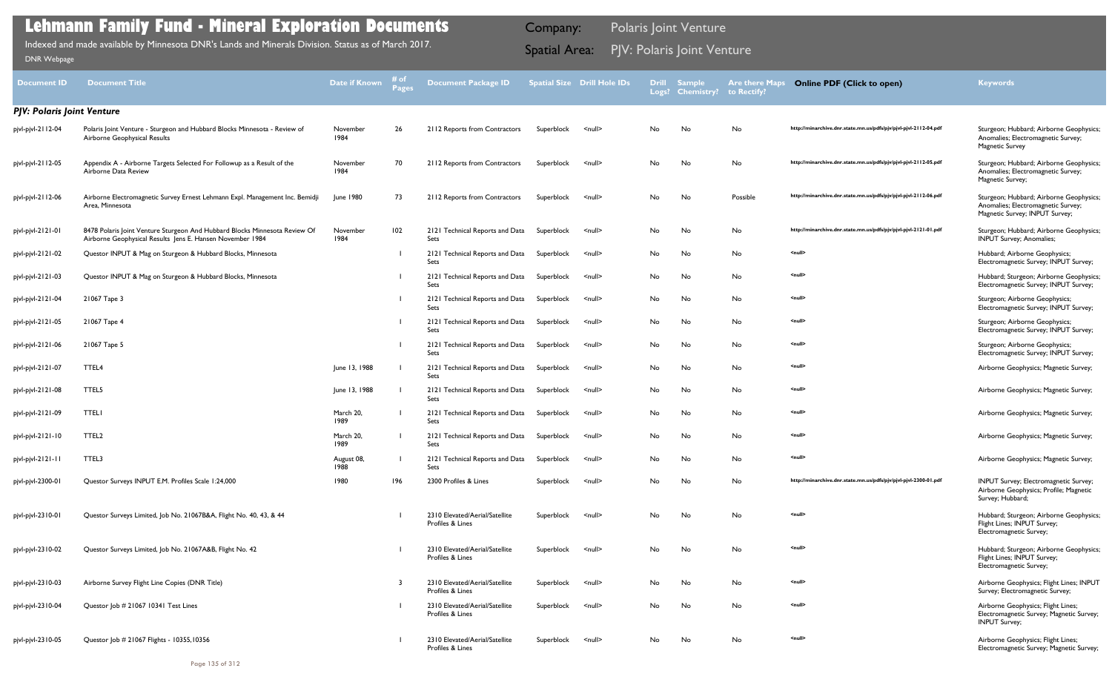| <b>Document ID</b>         | <b>Document Title</b>                                                                                                                   | <b>Date if Known</b> | # of<br>Pages | <b>Document Package ID</b>                         |            | Spatial Size Drill Hole IDs | <b>Drill</b> | <b>Sample</b><br>Logs? Chemistry? to Rectify? | <b>Are there Maps</b> | <b>Online PDF (Click to open)</b>                                | <b>Keywords</b>                                                                                                 |
|----------------------------|-----------------------------------------------------------------------------------------------------------------------------------------|----------------------|---------------|----------------------------------------------------|------------|-----------------------------|--------------|-----------------------------------------------|-----------------------|------------------------------------------------------------------|-----------------------------------------------------------------------------------------------------------------|
| PJV: Polaris Joint Venture |                                                                                                                                         |                      |               |                                                    |            |                             |              |                                               |                       |                                                                  |                                                                                                                 |
| pjvl-pjvl-2112-04          | Polaris Joint Venture - Sturgeon and Hubbard Blocks Minnesota - Review of<br>Airborne Geophysical Results                               | November<br>1984     | 26            | 2112 Reports from Contractors                      | Superblock | $\leq$ null $\geq$          | No           | No                                            | No                    | http://minarchive.dnr.state.mn.us/pdfs/pjv/pjvl-pjvl-2112-04.pdf | Sturgeon; Hubbard; Airborne Geophysics;<br>Anomalies; Electromagnetic Survey;<br><b>Magnetic Survey</b>         |
| pjvl-pjvl-2112-05          | Appendix A - Airborne Targets Selected For Followup as a Result of the<br>Airborne Data Review                                          | November<br>1984     | 70            | 2112 Reports from Contractors                      | Superblock | $\leq$ null $\geq$          | No           | No                                            | No                    | http://minarchive.dnr.state.mn.us/pdfs/pjv/pjvl-pjvl-2112-05.pdf | Sturgeon; Hubbard; Airborne Geophysics;<br>Anomalies; Electromagnetic Survey;<br>Magnetic Survey;               |
| pjvl-pjvl-2112-06          | Airborne Electromagnetic Survey Ernest Lehmann Expl. Management Inc. Bemidji<br>Area, Minnesota                                         | June 1980            | 73            | 2112 Reports from Contractors                      | Superblock | $\leq$ null $\geq$          | No           | No                                            | Possible              | http://minarchive.dnr.state.mn.us/pdfs/pjv/pjvl-pjvl-2112-06.pdf | Sturgeon; Hubbard; Airborne Geophysics;<br>Anomalies; Electromagnetic Survey;<br>Magnetic Survey; INPUT Survey; |
| pjvl-pjvl-2121-01          | 8478 Polaris Joint Venture Sturgeon And Hubbard Blocks Minnesota Review Of<br>Airborne Geophysical Results Jens E. Hansen November 1984 | November<br>1984     | 102           | 2121 Technical Reports and Data<br>Sets            | Superblock | $\leq$ null $\geq$          | No           | No                                            | No                    | http://minarchive.dnr.state.mn.us/pdfs/pjv/pjvl-pjvl-2121-01.pdf | Sturgeon; Hubbard; Airborne Geophysics;<br><b>INPUT Survey</b> ; Anomalies;                                     |
| pjvl-pjvl-2121-02          | Questor INPUT & Mag on Sturgeon & Hubbard Blocks, Minnesota                                                                             |                      |               | 2121 Technical Reports and Data<br>Sets            | Superblock | $\leq$ null $\geq$          | No           | No                                            | No                    | <null></null>                                                    | Hubbard; Airborne Geophysics;<br>Electromagnetic Survey; INPUT Survey;                                          |
| pjvl-pjvl-2121-03          | Questor INPUT & Mag on Sturgeon & Hubbard Blocks, Minnesota                                                                             |                      |               | 2121 Technical Reports and Data<br>Sets            | Superblock | $\leq$ null $\geq$          | No           | No                                            | No                    | <null></null>                                                    | Hubbard; Sturgeon; Airborne Geophysics;<br>Electromagnetic Survey; INPUT Survey;                                |
| pjvl-pjvl-2121-04          | 21067 Tape 3                                                                                                                            |                      |               | 2121 Technical Reports and Data<br>Sets            | Superblock | $\leq$ null $\geq$          | No           | No                                            | No                    | <null></null>                                                    | Sturgeon; Airborne Geophysics;<br>Electromagnetic Survey; INPUT Survey;                                         |
| pjvl-pjvl-2121-05          | 21067 Tape 4                                                                                                                            |                      |               | 2121 Technical Reports and Data<br>Sets            | Superblock | $\leq$ null $\geq$          | No           | No                                            | No                    | <null></null>                                                    | Sturgeon; Airborne Geophysics;<br>Electromagnetic Survey; INPUT Survey;                                         |
| pjvl-pjvl-2121-06          | 21067 Tape 5                                                                                                                            |                      |               | 2121 Technical Reports and Data<br>Sets            | Superblock | $\leq$ null $\geq$          | No           | No                                            | No                    | <null></null>                                                    | Sturgeon; Airborne Geophysics;<br>Electromagnetic Survey; INPUT Survey;                                         |
| pjvl-pjvl-2121-07          | TTEL4                                                                                                                                   | June 13, 1988        |               | 2121 Technical Reports and Data<br>Sets            | Superblock | $null$                      | No.          | No                                            | No                    | <null></null>                                                    | Airborne Geophysics; Magnetic Survey;                                                                           |
| pjvl-pjvl-2121-08          | TTEL5                                                                                                                                   | June 13, 1988        |               | 2121 Technical Reports and Data<br>Sets            | Superblock | $\leq$ null $\geq$          | No           | No                                            | No                    | <null></null>                                                    | Airborne Geophysics; Magnetic Survey;                                                                           |
| pjvl-pjvl-2121-09          | <b>TTELI</b>                                                                                                                            | March 20,<br>1989    |               | 2121 Technical Reports and Data<br>Sets            | Superblock | $\leq$ null $\geq$          | No           | No                                            | No                    | <null></null>                                                    | Airborne Geophysics; Magnetic Survey;                                                                           |
| pjvl-pjvl-2121-10          | TTEL <sub>2</sub>                                                                                                                       | March 20,<br>1989    |               | 2121 Technical Reports and Data<br>Sets            | Superblock | $\leq$ null $\geq$          | No.          | No                                            | No                    | <null></null>                                                    | Airborne Geophysics; Magnetic Survey;                                                                           |
| pjvl-pjvl-2121-11          | TTEL3                                                                                                                                   | August 08,<br>1988   |               | 2121 Technical Reports and Data<br>Sets            | Superblock | $null$                      | No           | No                                            | No                    | <null></null>                                                    | Airborne Geophysics; Magnetic Survey;                                                                           |
| pjvl-pjvl-2300-01          | Questor Surveys INPUT E.M. Profiles Scale 1:24,000                                                                                      | 1980                 | 196           | 2300 Profiles & Lines                              | Superblock | $\leq$ null $\geq$          | No           | No                                            | No                    | http://minarchive.dnr.state.mn.us/pdfs/pjv/pjvl-pjvl-2300-01.pdf | INPUT Survey; Electromagnetic Survey;<br>Airborne Geophysics; Profile; Magnetic<br>Survey; Hubbard;             |
| pjvl-pjvl-2310-01          | Questor Surveys Limited, Job No. 21067B&A, Flight No. 40, 43, & 44                                                                      |                      |               | 2310 Elevated/Aerial/Satellite<br>Profiles & Lines | Superblock | $\leq$ null $\geq$          | No           | No                                            | No                    | <null></null>                                                    | Hubbard; Sturgeon; Airborne Geophysics;<br>Flight Lines; INPUT Survey;<br>Electromagnetic Survey;               |
| pjvl-pjvl-2310-02          | Questor Surveys Limited, Job No. 21067A&B, Flight No. 42                                                                                |                      |               | 2310 Elevated/Aerial/Satellite<br>Profiles & Lines | Superblock | $\leq$ null $\geq$          | No           | No                                            | No                    | <null></null>                                                    | Hubbard; Sturgeon; Airborne Geophysics;<br>Flight Lines; INPUT Survey;<br>Electromagnetic Survey;               |
| pjvl-pjvl-2310-03          | Airborne Survey Flight Line Copies (DNR Title)                                                                                          |                      | -3            | 2310 Elevated/Aerial/Satellite<br>Profiles & Lines | Superblock | $\leq$ null $\geq$          | No           | No                                            | No                    | <null></null>                                                    | Airborne Geophysics; Flight Lines; INPUT<br>Survey; Electromagnetic Survey;                                     |
| pjvl-pjvl-2310-04          | Questor Job # 21067 10341 Test Lines                                                                                                    |                      |               | 2310 Elevated/Aerial/Satellite<br>Profiles & Lines | Superblock | $null$                      | No           | No                                            | No                    | <null></null>                                                    | Airborne Geophysics; Flight Lines;<br>Electromagnetic Survey; Magnetic Survey;<br><b>INPUT Survey;</b>          |
| pjvl-pjvl-2310-05          | Questor Job # 21067 Flights - 10355,10356                                                                                               |                      |               | 2310 Elevated/Aerial/Satellite<br>Profiles & Lines | Superblock | $\leq$ null $\geq$          | No           | No                                            | No                    | <null></null>                                                    | Airborne Geophysics; Flight Lines;<br>Electromagnetic Survey; Magnetic Survey;                                  |

Indexed and made available by Minnesota DNR's Lands and Minerals Division. Status as of March 2017. **Spatial Area: PJV: Polaris Joint Venture**<br>[DNR Webpage](http://www.dnr.state.mn.us/lands_minerals/polaris/index.html)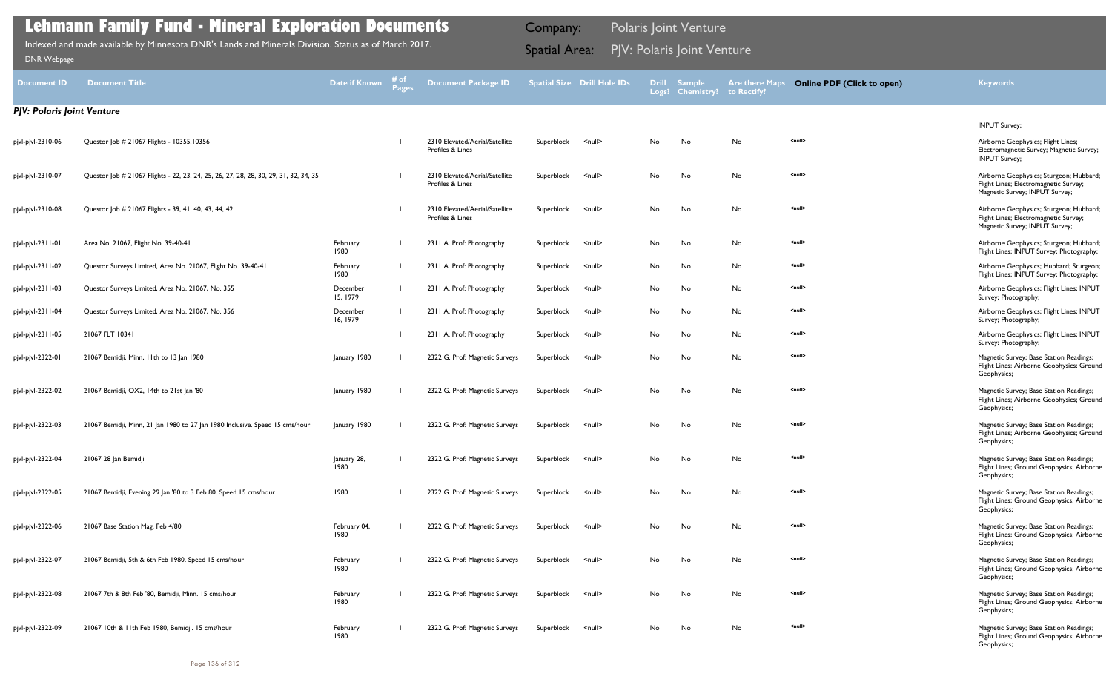| <b>Document ID</b>                | <b>Document Title</b>                                                                | <b>Date if Known</b> | # of<br>Page: | <b>Document Package ID</b>                         |            | <b>Spatial Size Drill Hole IDs</b> | <b>Drill</b> | <b>Sample</b><br>Logs? Chemistry? to Rectify? | <b>Are there Maps</b> | <b>Online PDF (Click to open)</b> | <b>Keywords</b>                                                                                                    |
|-----------------------------------|--------------------------------------------------------------------------------------|----------------------|---------------|----------------------------------------------------|------------|------------------------------------|--------------|-----------------------------------------------|-----------------------|-----------------------------------|--------------------------------------------------------------------------------------------------------------------|
| <b>PJV: Polaris Joint Venture</b> |                                                                                      |                      |               |                                                    |            |                                    |              |                                               |                       |                                   |                                                                                                                    |
|                                   |                                                                                      |                      |               |                                                    |            |                                    |              |                                               |                       |                                   | <b>INPUT Survey;</b>                                                                                               |
| pjvl-pjvl-2310-06                 | Questor Job # 21067 Flights - 10355,10356                                            |                      |               | 2310 Elevated/Aerial/Satellite<br>Profiles & Lines | Superblock | <null></null>                      | No           | No                                            | No                    | <null></null>                     | Airborne Geophysics; Flight Lines;<br>Electromagnetic Survey; Magnetic Survey;<br><b>INPUT Survey;</b>             |
| pjvl-pjvl-2310-07                 | Questor Job # 21067 Flights - 22, 23, 24, 25, 26, 27, 28, 28, 30, 29, 31, 32, 34, 35 |                      |               | 2310 Elevated/Aerial/Satellite<br>Profiles & Lines | Superblock | <null></null>                      | No           | No                                            | No                    | <null></null>                     | Airborne Geophysics; Sturgeon; Hubbard;<br>Flight Lines; Electromagnetic Survey;<br>Magnetic Survey; INPUT Survey; |
| pjvl-pjvl-2310-08                 | Questor Job # 21067 Flights - 39, 41, 40, 43, 44, 42                                 |                      |               | 2310 Elevated/Aerial/Satellite<br>Profiles & Lines | Superblock | <null></null>                      | No           | No                                            | No                    | <null></null>                     | Airborne Geophysics; Sturgeon; Hubbard;<br>Flight Lines; Electromagnetic Survey;<br>Magnetic Survey; INPUT Survey; |
| pjvl-pjvl-2311-01                 | Area No. 21067, Flight No. 39-40-41                                                  | February<br>1980     |               | 2311 A. Prof: Photography                          | Superblock | <null></null>                      | No           | No                                            | No                    | <null></null>                     | Airborne Geophysics; Sturgeon; Hubbard;<br>Flight Lines; INPUT Survey; Photography;                                |
| pjvl-pjvl-2311-02                 | Questor Surveys Limited, Area No. 21067, Flight No. 39-40-41                         | February<br>1980     |               | 2311 A. Prof: Photography                          | Superblock | <null></null>                      | No           | No                                            | No                    | <null></null>                     | Airborne Geophysics; Hubbard; Sturgeon;<br>Flight Lines; INPUT Survey; Photography;                                |
| pjvl-pjvl-23   1-03               | Questor Surveys Limited, Area No. 21067, No. 355                                     | December<br>15, 1979 |               | 2311 A. Prof: Photography                          | Superblock | <null></null>                      | No           | No                                            | No                    | <null></null>                     | Airborne Geophysics; Flight Lines; INPUT<br>Survey; Photography;                                                   |
| pjvl-pjvl-2311-04                 | Questor Surveys Limited, Area No. 21067, No. 356                                     | December<br>16, 1979 |               | 2311 A. Prof: Photography                          | Superblock | <null></null>                      | No           | No                                            | No                    | <null></null>                     | Airborne Geophysics; Flight Lines; INPUT<br>Survey; Photography;                                                   |
| pjvl-pjvl-2311-05                 | 21067 FLT 10341                                                                      |                      |               | 2311 A. Prof: Photography                          | Superblock | <null></null>                      | No           | No                                            | No                    | <null></null>                     | Airborne Geophysics; Flight Lines; INPUT<br>Survey; Photography;                                                   |
| pjvl-pjvl-2322-01                 | 21067 Bemidji, Minn, 11th to 13 Jan 1980                                             | January 1980         |               | 2322 G. Prof: Magnetic Surveys                     | Superblock | <null></null>                      | No           | No                                            | No                    | <null></null>                     | Magnetic Survey; Base Station Readings;<br>Flight Lines; Airborne Geophysics; Ground<br>Geophysics;                |
| pjvl-pjvl-2322-02                 | 21067 Bemidji, OX2, 14th to 21st Jan '80                                             | January 1980         |               | 2322 G. Prof: Magnetic Surveys                     | Superblock | <null></null>                      | No           | No                                            | No                    | <null></null>                     | Magnetic Survey; Base Station Readings;<br>Flight Lines; Airborne Geophysics; Ground<br>Geophysics;                |
| pjvl-pjvl-2322-03                 | 21067 Bemidji, Minn, 21 Jan 1980 to 27 Jan 1980 Inclusive. Speed 15 cms/hour         | January 1980         |               | 2322 G. Prof: Magnetic Surveys                     | Superblock | <null></null>                      | No           | No                                            | No                    | <null></null>                     | Magnetic Survey; Base Station Readings;<br>Flight Lines; Airborne Geophysics; Ground<br>Geophysics;                |
| pjvl-pjvl-2322-04                 | 21067 28 Jan Bemidji                                                                 | January 28,<br>1980  |               | 2322 G. Prof: Magnetic Surveys                     | Superblock | <null></null>                      | No           | No                                            | No                    | <null></null>                     | Magnetic Survey; Base Station Readings;<br>Flight Lines; Ground Geophysics; Airborne<br>Geophysics;                |
| pjvl-pjvl-2322-05                 | 21067 Bemidji, Evening 29 Jan '80 to 3 Feb 80. Speed 15 cms/hour                     | 1980                 |               | 2322 G. Prof: Magnetic Surveys                     | Superblock | <null></null>                      | No           | No                                            | No                    | <null></null>                     | Magnetic Survey; Base Station Readings;<br>Flight Lines; Ground Geophysics; Airborne<br>Geophysics;                |
| pjvl-pjvl-2322-06                 | 21067 Base Station Mag, Feb 4/80                                                     | February 04,<br>1980 |               | 2322 G. Prof: Magnetic Surveys                     | Superblock | <null></null>                      | No           | No                                            | No                    | <null></null>                     | Magnetic Survey; Base Station Readings;<br>Flight Lines; Ground Geophysics; Airborne<br>Geophysics;                |
| pjvl-pjvl-2322-07                 | 21067 Bemidji, 5th & 6th Feb 1980. Speed 15 cms/hour                                 | February<br>1980     |               | 2322 G. Prof: Magnetic Surveys                     | Superblock | <null></null>                      | No           | No                                            | No                    | <null></null>                     | Magnetic Survey; Base Station Readings;<br>Flight Lines; Ground Geophysics; Airborne<br>Geophysics;                |
| pjvl-pjvl-2322-08                 | 21067 7th & 8th Feb '80, Bemidji, Minn. 15 cms/hour                                  | February<br>1980     |               | 2322 G. Prof: Magnetic Surveys                     | Superblock | <null></null>                      | No           | No                                            | No                    | <null></null>                     | Magnetic Survey; Base Station Readings;<br>Flight Lines; Ground Geophysics; Airborne<br>Geophysics;                |
| pjvl-pjvl-2322-09                 | 21067 10th & 11th Feb 1980, Bemidji. 15 cms/hour                                     | February<br>1980     |               | 2322 G. Prof: Magnetic Surveys                     | Superblock | <null></null>                      | No           | No                                            | No                    | <null></null>                     | Magnetic Survey; Base Station Readings;<br>Flight Lines; Ground Geophysics; Airborne<br>Geophysics;                |

Indexed and made available by Minnesota DNR's Lands and Minerals Division. Status as of March 2017. **Spatial Area: PJV: Polaris Joint Venture**<br>[DNR Webpage](http://www.dnr.state.mn.us/lands_minerals/polaris/index.html)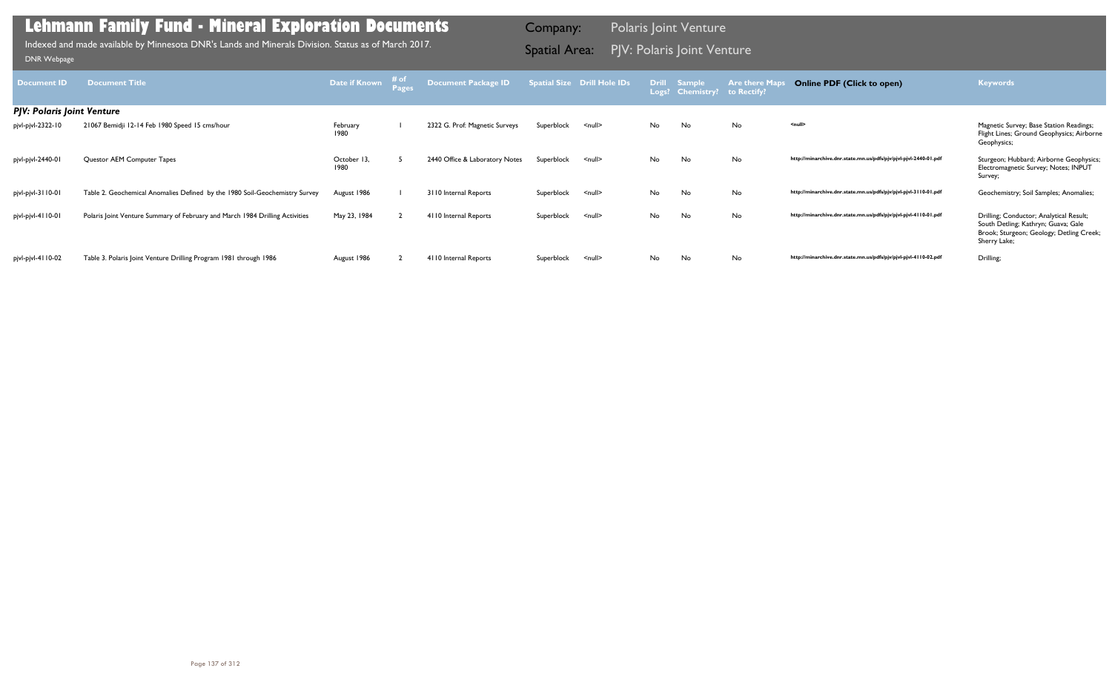| <b>Document ID</b>                | <b>Document Title</b>                                                        | Date if Known       | # of | Document Package ID            |            | <b>Spatial Size Drill Hole IDs</b> | Logs? | Drill Sample<br><b>Chemistry?</b> | <b>Are there May</b><br>to Rectify? | <b>Online PDF (Click to open)</b>                                | <b>Keywords</b>                                                                                                                            |
|-----------------------------------|------------------------------------------------------------------------------|---------------------|------|--------------------------------|------------|------------------------------------|-------|-----------------------------------|-------------------------------------|------------------------------------------------------------------|--------------------------------------------------------------------------------------------------------------------------------------------|
| <b>PJV: Polaris Joint Venture</b> |                                                                              |                     |      |                                |            |                                    |       |                                   |                                     |                                                                  |                                                                                                                                            |
| pjvl-pjvl-2322-10                 | 21067 Bemidji 12-14 Feb 1980 Speed 15 cms/hour                               | February<br>1980    |      | 2322 G. Prof: Magnetic Surveys | Superblock | $\le$ null $\ge$                   | No    | No                                | No                                  | <null></null>                                                    | Magnetic Survey; Base Station Readings;<br>Flight Lines; Ground Geophysics; Airborne<br>Geophysics;                                        |
| pjvl-pjvl-2440-01                 | Questor AEM Computer Tapes                                                   | October 13,<br>1980 |      | 2440 Office & Laboratory Notes | Superblock | $\leq$ null $\geq$                 | No    | No                                | No                                  | http://minarchive.dnr.state.mn.us/pdfs/pjv/pjvl-pjvl-2440-01.pdf | Sturgeon; Hubbard; Airborne Geophysics;<br>Electromagnetic Survey; Notes; INPUT<br>Survey;                                                 |
| pjvl-pjvl-3110-01                 | Table 2. Geochemical Anomalies Defined by the 1980 Soil-Geochemistry Survey  | August 1986         |      | 3110 Internal Reports          | Superblock | <null></null>                      | No    | No                                | No                                  | http://minarchive.dnr.state.mn.us/pdfs/pjv/pjvl-pjvl-3110-01.pdf | Geochemistry; Soil Samples; Anomalies;                                                                                                     |
| pjvl-pjvl-4110-01                 | Polaris Joint Venture Summary of February and March 1984 Drilling Activities | May 23, 1984        |      | 4110 Internal Reports          | Superblock | $\le$ null $\ge$                   | No    | No                                | No                                  | http://minarchive.dnr.state.mn.us/pdfs/pjv/pjvl-pjvl-4110-01.pdf | Drilling; Conductor; Analytical Result;<br>South Detling; Kathryn; Guava; Gale<br>Brook; Sturgeon; Geology; Detling Creek;<br>Sherry Lake; |
| pjvl-pjvl-4110-02                 | Table 3. Polaris Joint Venture Drilling Program 1981 through 1986            | August 1986         |      | 4110 Internal Reports          | Superblock | $\leq$ null $\geq$                 | No    | No                                | No                                  | http://minarchive.dnr.state.mn.us/pdfs/pjv/pjvl-pjvl-4110-02.pdf | Drilling;                                                                                                                                  |

Indexed and made available by Minnesota DNR's Lands and Minerals Division. Status as of March 2017. **Spatial Area: PJV: Polaris Joint Venture**<br>[DNR Webpage](http://www.dnr.state.mn.us/lands_minerals/polaris/index.html)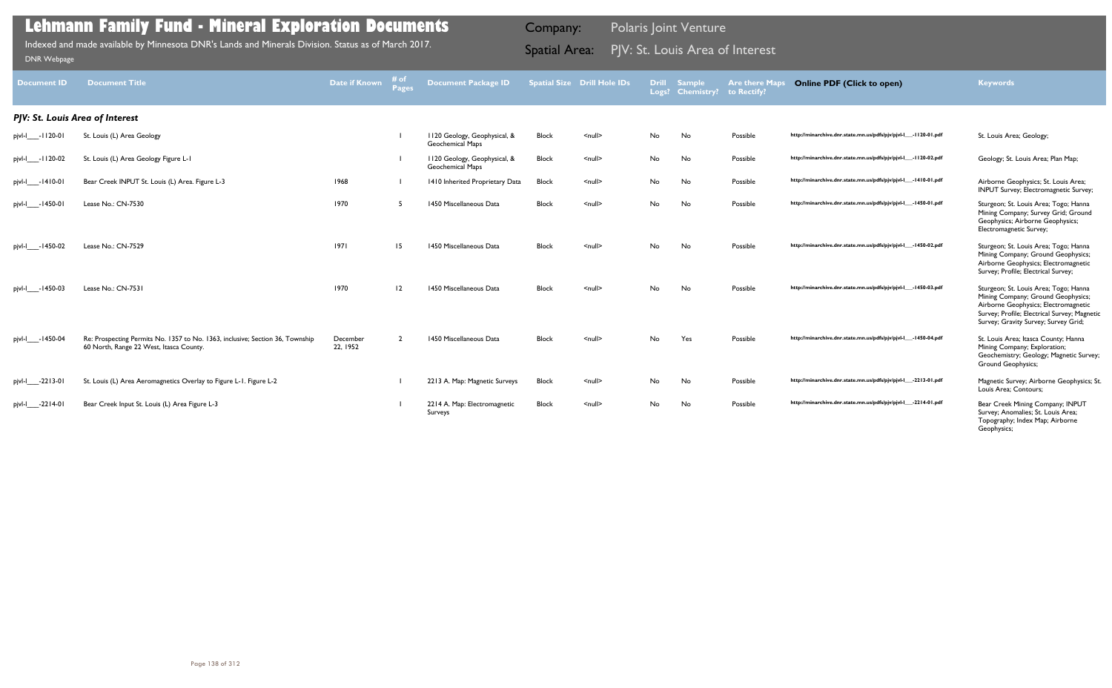| <b>Block</b> | <null></null> | No | No  | Possible | http://minarchive.dnr.state.mn.us/pdfs/pjv/pjvl-l___-1120-01.pdf | St. Louis Area; Geology;                                                                                                                                                                                    |
|--------------|---------------|----|-----|----------|------------------------------------------------------------------|-------------------------------------------------------------------------------------------------------------------------------------------------------------------------------------------------------------|
| Block        | $null$        | No | No  | Possible | http://minarchive.dnr.state.mn.us/pdfs/pjv/pjvl-l___-1120-02.pdf | Geology; St. Louis Area; Plan Map;                                                                                                                                                                          |
| <b>Block</b> | <null></null> | No | No  | Possible | http://minarchive.dnr.state.mn.us/pdfs/pjv/pjvl-l___-1410-01.pdf | Airborne Geophysics; St. Louis Area;<br>INPUT Survey; Electromagnetic Survey;                                                                                                                               |
| Block        | <null></null> | No | No  | Possible | http://minarchive.dnr.state.mn.us/pdfs/pjv/pjvl-l___-1450-01.pdf | Sturgeon; St. Louis Area; Togo; Hanna<br>Mining Company; Survey Grid; Ground<br>Geophysics; Airborne Geophysics;<br>Electromagnetic Survey;                                                                 |
| <b>Block</b> | <null></null> | No | No  | Possible | http://minarchive.dnr.state.mn.us/pdfs/pjv/pjvl-l___-1450-02.pdf | Sturgeon; St. Louis Area; Togo; Hanna<br>Mining Company; Ground Geophysics;<br>Airborne Geophysics; Electromagnetic<br>Survey; Profile; Electrical Survey;                                                  |
| <b>Block</b> | <null></null> | No | No  | Possible | http://minarchive.dnr.state.mn.us/pdfs/pjv/pjvl-l___-1450-03.pdf | Sturgeon; St. Louis Area; Togo; Hanna<br>Mining Company; Ground Geophysics;<br>Airborne Geophysics; Electromagnetic<br>Survey; Profile; Electrical Survey; Magnetic<br>Survey; Gravity Survey; Survey Grid; |
| <b>Block</b> | <null></null> | No | Yes | Possible | http://minarchive.dnr.state.mn.us/pdfs/pjv/pjvl-l___-1450-04.pdf | St. Louis Area; Itasca County; Hanna<br>Mining Company; Exploration;<br>Geochemistry; Geology; Magnetic Survey;<br>Ground Geophysics;                                                                       |
| <b>Block</b> | <null></null> | No | No  | Possible | http://minarchive.dnr.state.mn.us/pdfs/pjv/pjvl-l___-2213-01.pdf | Magnetic Survey; Airborne Geophysics; St.<br>Louis Area; Contours;                                                                                                                                          |
| Block        | $null$        | No | No  | Possible | http://minarchive.dnr.state.mn.us/pdfs/pjv/pjvl-l___-2214-01.pdf | Bear Creek Mining Company; INPUT<br>Survey; Anomalies; St. Louis Area;<br>Topography; Index Map; Airborne<br>Geophysics;                                                                                    |

| <b>Document ID</b>   | <b>Document Title</b>                                                                                                    | <b>Date if Known</b> | # of<br>Pages  | <b>Document Package ID</b>                              |              | <b>Spatial Size Drill Hole IDs</b> |           | <b>Drill Sample</b><br>Logs? Chemistry? | <b>Are there Maps</b><br>to Rectify? | <b>Online PDF (Click to open)</b>                                | <b>Keywords</b>                                                                                                                                                                                             |
|----------------------|--------------------------------------------------------------------------------------------------------------------------|----------------------|----------------|---------------------------------------------------------|--------------|------------------------------------|-----------|-----------------------------------------|--------------------------------------|------------------------------------------------------------------|-------------------------------------------------------------------------------------------------------------------------------------------------------------------------------------------------------------|
|                      | PJV: St. Louis Area of Interest                                                                                          |                      |                |                                                         |              |                                    |           |                                         |                                      |                                                                  |                                                                                                                                                                                                             |
| pjvl-l____-1120-01   | St. Louis (L) Area Geology                                                                                               |                      |                | 1120 Geology, Geophysical, &<br>Geochemical Maps        | <b>Block</b> | $\leq$ null $\geq$                 | No        | No                                      | Possible                             | http://minarchive.dnr.state.mn.us/pdfs/pjv/pjvl-l___-1120-01.pdf | St. Louis Area; Geology;                                                                                                                                                                                    |
| pjvl-l____-1120-02   | St. Louis (L) Area Geology Figure L-1                                                                                    |                      |                | 1120 Geology, Geophysical, &<br><b>Geochemical Maps</b> | Block        | $\leq$ null $\geq$                 | No        | No                                      | Possible                             | http://minarchive.dnr.state.mn.us/pdfs/pjv/pjvl-l___-1120-02.pdf | Geology; St. Louis Area; Plan Map;                                                                                                                                                                          |
| pjvl-l____-1410-01   | Bear Creek INPUT St. Louis (L) Area. Figure L-3                                                                          | 1968                 |                | 1410 Inherited Proprietary Data                         | <b>Block</b> | $\leq$ null $\geq$                 | No        | No                                      | Possible                             | http://minarchive.dnr.state.mn.us/pdfs/pjv/pjvl-l___-1410-01.pdf | Airborne Geophysics; St. Louis Area;<br><b>INPUT Survey</b> ; Electromagnetic Survey;                                                                                                                       |
| pjvl-l____-1450-01   | Lease No.: CN-7530                                                                                                       | 1970                 | 5              | 1450 Miscellaneous Data                                 | Block        | $\leq$ null $\geq$                 | No        | No                                      | Possible                             | http://minarchive.dnr.state.mn.us/pdfs/pjv/pjvl-l___-1450-01.pdf | Sturgeon; St. Louis Area; Togo; Hanna<br>Mining Company; Survey Grid; Ground<br>Geophysics; Airborne Geophysics;<br>Electromagnetic Survey;                                                                 |
| pjvl-l____-1450-02   | Lease No.: CN-7529                                                                                                       | 1971                 | 15             | 1450 Miscellaneous Data                                 | <b>Block</b> | $null$                             | <b>No</b> | No                                      | Possible                             | http://minarchive.dnr.state.mn.us/pdfs/pjv/pjvl-l___-1450-02.pdf | Sturgeon; St. Louis Area; Togo; Hanna<br>Mining Company; Ground Geophysics;<br>Airborne Geophysics; Electromagnetic<br>Survey; Profile; Electrical Survey;                                                  |
| pjvl-l____-1450-03   | Lease No.: CN-7531                                                                                                       | 1970                 | $ 2\rangle$    | 1450 Miscellaneous Data                                 | <b>Block</b> | $\leq$ null $\geq$                 | <b>No</b> | No                                      | Possible                             | http://minarchive.dnr.state.mn.us/pdfs/pjv/pjvl-l___-1450-03.pdf | Sturgeon; St. Louis Area; Togo; Hanna<br>Mining Company; Ground Geophysics;<br>Airborne Geophysics; Electromagnetic<br>Survey; Profile; Electrical Survey; Magnetic<br>Survey; Gravity Survey; Survey Grid; |
| pjvl-l_____- 1450-04 | Re: Prospecting Permits No. 1357 to No. 1363, inclusive; Section 36, Township<br>60 North, Range 22 West, Itasca County. | December<br>22, 1952 | $\overline{2}$ | 1450 Miscellaneous Data                                 | <b>Block</b> | $null$                             | <b>No</b> | Yes                                     | Possible                             | http://minarchive.dnr.state.mn.us/pdfs/pjv/pjvl-l___-1450-04.pdf | St. Louis Area; Itasca County; Hanna<br>Mining Company; Exploration;<br>Geochemistry; Geology; Magnetic Survey;<br><b>Ground Geophysics;</b>                                                                |
| pjvl-l____-2213-01   | St. Louis (L) Area Aeromagnetics Overlay to Figure L-1. Figure L-2                                                       |                      |                | 2213 A. Map: Magnetic Surveys                           | Block        | $\leq$ null $\geq$                 | No        | No                                      | Possible                             | http://minarchive.dnr.state.mn.us/pdfs/pjv/pjvl-l___-2213-01.pdf | Magnetic Survey; Airborne Geophysics; St.<br>Louis Area; Contours;                                                                                                                                          |
| pjvl-l____-2214-01   | Bear Creek Input St. Louis (L) Area Figure L-3                                                                           |                      |                | 2214 A. Map: Electromagnetic<br>Surveys                 | <b>Block</b> | $\leq$ null $\geq$                 | No        | No                                      | Possible                             | http://minarchive.dnr.state.mn.us/pdfs/pjv/pjvl-l___-2214-01.pdf | Bear Creek Mining Company; INPUT<br>Survey; Anomalies; St. Louis Area;                                                                                                                                      |

Indexed and made available by Minnesota DNR's Lands and Minerals Division. Status as of March 2017. **Spatial Area:** PJV: St. Louis Area of Interest וndexed and made available by Minnesota DNR's Lands and Minerals Division.

Company: Polaris Joint Venture

## **Online PDF (Click to open) Keywords**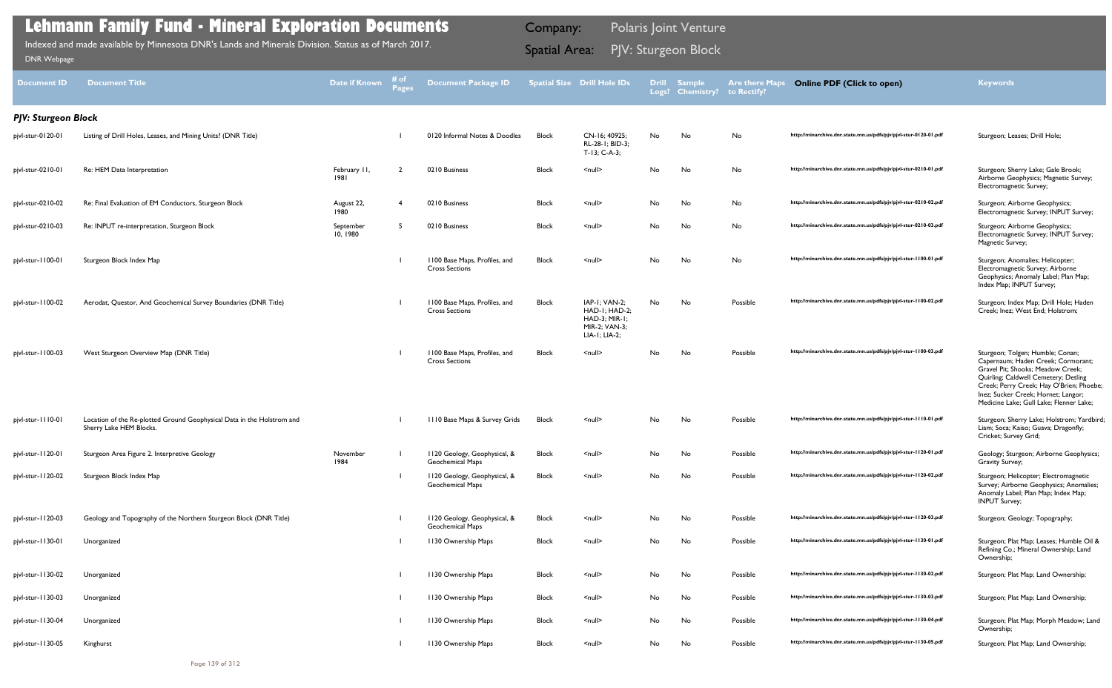| DNR Webpage                | Indexed and made available by Minnesota DNR's Lands and Minerals Division. Status as of March 2017. |                       |                      |                                                        | <b>Spatial Area:</b> |                                                                                          |    | PJV: Sturgeon Block              |                                      |                                                                  |                                                                                                                                                                                                                                                                                   |
|----------------------------|-----------------------------------------------------------------------------------------------------|-----------------------|----------------------|--------------------------------------------------------|----------------------|------------------------------------------------------------------------------------------|----|----------------------------------|--------------------------------------|------------------------------------------------------------------|-----------------------------------------------------------------------------------------------------------------------------------------------------------------------------------------------------------------------------------------------------------------------------------|
| <b>Document ID</b>         | Document Title                                                                                      | Date if Known         | # of<br><b>Pages</b> | <b>Document Package ID</b>                             |                      | <b>Spatial Size Drill Hole IDs</b>                                                       |    | Drill Sample<br>Logs? Chemistry? | <b>Are there Maps</b><br>to Rectify? | <b>Online PDF (Click to open)</b>                                | <b>Keywords</b>                                                                                                                                                                                                                                                                   |
| <b>PJV: Sturgeon Block</b> |                                                                                                     |                       |                      |                                                        |                      |                                                                                          |    |                                  |                                      |                                                                  |                                                                                                                                                                                                                                                                                   |
| pjvl-stur-0120-01          | Listing of Drill Holes, Leases, and Mining Units? (DNR Title)                                       |                       |                      | 0120 Informal Notes & Doodles                          | <b>Block</b>         | CN-16; 40925;<br>RL-28-1: BID-3:<br>T-13; C-A-3;                                         | No | No                               | No                                   | http://minarchive.dnr.state.mn.us/pdfs/pjv/pjvl-stur-0120-01.pdf | Sturgeon; Leases; Drill Hole;                                                                                                                                                                                                                                                     |
| pjvl-stur-0210-01          | Re: HEM Data Interpretation                                                                         | February II,<br>1981  | $\overline{2}$       | 0210 Business                                          | Block                | $\leq$ null $\geq$                                                                       | No | No                               | No                                   | http://minarchive.dnr.state.mn.us/pdfs/pjv/pjvl-stur-0210-01.pdf | Sturgeon; Sherry Lake; Gale Brook;<br>Airborne Geophysics; Magnetic Survey;<br>Electromagnetic Survey;                                                                                                                                                                            |
| pjvl-stur-0210-02          | Re: Final Evaluation of EM Conductors, Sturgeon Block                                               | August 22,<br>1980    |                      | 0210 Business                                          | Block                | <null></null>                                                                            | No | No                               | No                                   | http://minarchive.dnr.state.mn.us/pdfs/pjv/pjvl-stur-0210-02.pdf | Sturgeon; Airborne Geophysics;<br>Electromagnetic Survey; INPUT Survey;                                                                                                                                                                                                           |
| pjvl-stur-0210-03          | Re: INPUT re-interpretation, Sturgeon Block                                                         | September<br>10, 1980 |                      | 0210 Business                                          | Block                | <null></null>                                                                            | No | No                               | No                                   | http://minarchive.dnr.state.mn.us/pdfs/pjv/pjvl-stur-0210-03.pdf | Sturgeon; Airborne Geophysics;<br>Electromagnetic Survey; INPUT Survey;<br>Magnetic Survey;                                                                                                                                                                                       |
| pjvl-stur-1100-01          | Sturgeon Block Index Map                                                                            |                       |                      | 1100 Base Maps, Profiles, and<br><b>Cross Sections</b> | Block                | $\le$ null $\ge$                                                                         | No | No                               | No                                   | http://minarchive.dnr.state.mn.us/pdfs/pjv/pjvl-stur-1100-01.pdf | Sturgeon; Anomalies; Helicopter;<br>Electromagnetic Survey; Airborne<br>Geophysics; Anomaly Label; Plan Map;<br>Index Map; INPUT Survey;                                                                                                                                          |
| pjvl-stur-1100-02          | Aerodat, Questor, And Geochemical Survey Boundaries (DNR Title)                                     |                       |                      | 1100 Base Maps, Profiles, and<br><b>Cross Sections</b> | Block                | IAP-1; VAN-2;<br>HAD-I; HAD-2;<br><b>HAD-3: MIR-1:</b><br>MIR-2; VAN-3;<br>LIA-1; LIA-2; | No | No                               | Possible                             | http://minarchive.dnr.state.mn.us/pdfs/pjv/pjvl-stur-1100-02.pdf | Sturgeon; Index Map; Drill Hole; Haden<br>Creek; Inez; West End; Holstrom;                                                                                                                                                                                                        |
| pjvl-stur-1100-03          | West Sturgeon Overview Map (DNR Title)                                                              |                       |                      | 1100 Base Maps, Profiles, and<br><b>Cross Sections</b> | Block                | $\leq$ null $\geq$                                                                       | No | No                               | Possible                             | http://minarchive.dnr.state.mn.us/pdfs/pjv/pjvl-stur-1100-03.pdf | Sturgeon; Tolgen; Humble; Conan;<br>Capernaum; Haden Creek; Cormorant;<br>Gravel Pit; Shooks; Meadow Creek;<br>Quirling; Caldwell Cemetery; Detling<br>Creek; Perry Creek; Hay O'Brien; Phoebe;<br>Inez; Sucker Creek; Hornet; Langor;<br>Medicine Lake; Gull Lake; Flenner Lake; |
| pjvl-stur-1110-01          | Location of the Re-plotted Ground Geophysical Data in the Holstrom and<br>Sherry Lake HEM Blocks.   |                       |                      | 1110 Base Maps & Survey Grids                          | <b>Block</b>         | $\leq$ null $\geq$                                                                       | No | No                               | Possible                             | http://minarchive.dnr.state.mn.us/pdfs/pjv/pjvl-stur-1110-01.pdf | Sturgeon; Sherry Lake; Holstrom; Yardbird;<br>Liam; Soca; Kaiso; Guava; Dragonfly;<br>Cricket; Survey Grid;                                                                                                                                                                       |
| pjvl-stur-1120-01          | Sturgeon Area Figure 2. Interpretive Geology                                                        | November<br>1984      |                      | 1120 Geology, Geophysical, &<br>Geochemical Maps       | Block                | <null></null>                                                                            | No | No                               | Possible                             | http://minarchive.dnr.state.mn.us/pdfs/pjv/pjvl-stur-1120-01.pdf | Geology; Sturgeon; Airborne Geophysics;<br>Gravity Survey;                                                                                                                                                                                                                        |
| pjvl-stur-1120-02          | Sturgeon Block Index Map                                                                            |                       |                      | 1120 Geology, Geophysical, &<br>Geochemical Maps       | Block                | $\leq$ null $\geq$                                                                       | No | No                               | Possible                             | http://minarchive.dnr.state.mn.us/pdfs/pjv/pjvl-stur-1120-02.pdf | Sturgeon; Helicopter; Electromagnetic<br>Survey; Airborne Geophysics; Anomalies;<br>Anomaly Label; Plan Map; Index Map;<br><b>INPUT Survey;</b>                                                                                                                                   |
| pjvl-stur-1120-03          | Geology and Topography of the Northern Sturgeon Block (DNR Title)                                   |                       |                      | 1120 Geology, Geophysical, &<br>Geochemical Maps       | Block                | <null></null>                                                                            | No | No                               | Possible                             | http://minarchive.dnr.state.mn.us/pdfs/pjv/pjvl-stur-1120-03.pdf | Sturgeon; Geology; Topography;                                                                                                                                                                                                                                                    |
| pjvl-stur-1130-01          | Unorganized                                                                                         |                       |                      | 1130 Ownership Maps                                    | Block                | $\le$ null $\ge$                                                                         | No | No                               | Possible                             | http://minarchive.dnr.state.mn.us/pdfs/pjv/pjvl-stur-1130-01.pdf | Sturgeon; Plat Map; Leases; Humble Oil &<br>Refining Co.; Mineral Ownership; Land<br>Ownership;                                                                                                                                                                                   |
| pjvl-stur-1130-02          | Unorganized                                                                                         |                       |                      | 1130 Ownership Maps                                    | Block                | <null></null>                                                                            | No | No                               | Possible                             | http://minarchive.dnr.state.mn.us/pdfs/pjv/pjvl-stur-1130-02.pdf | Sturgeon; Plat Map; Land Ownership;                                                                                                                                                                                                                                               |
| pjvl-stur-1130-03          | Unorganized                                                                                         |                       |                      | 1130 Ownership Maps                                    | Block                | $\le$ null $\ge$                                                                         | No | No                               | Possible                             | http://minarchive.dnr.state.mn.us/pdfs/pjv/pjvl-stur-1130-03.pdf | Sturgeon; Plat Map; Land Ownership;                                                                                                                                                                                                                                               |
| pjvl-stur-1130-04          | Unorganized                                                                                         |                       |                      | 1130 Ownership Maps                                    | Block                | $\le$ null $\ge$                                                                         | No | No                               | Possible                             | http://minarchive.dnr.state.mn.us/pdfs/pjv/pjvl-stur-1130-04.pdf | Sturgeon; Plat Map; Morph Meadow; Land<br>Ownership;                                                                                                                                                                                                                              |
| pjvl-stur-1130-05          | Kinghurst                                                                                           |                       |                      | 1130 Ownership Maps                                    | Block                | $\leq$ null $\geq$                                                                       | No | No                               | Possible                             | http://minarchive.dnr.state.mn.us/pdfs/pjv/pjvl-stur-1130-05.pdf | Sturgeon; Plat Map; Land Ownership;                                                                                                                                                                                                                                               |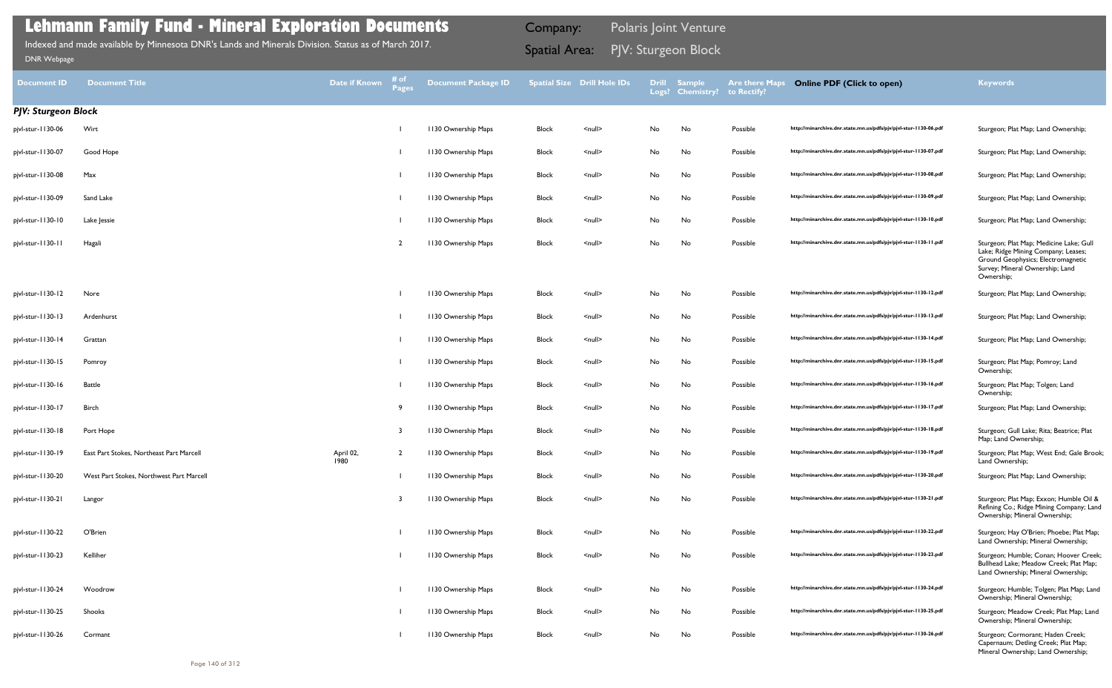Sturgeon; Plat Map; Medicine Lake; Gull Lake; Ridge Mining Company; Leases; Ground Geophysics; Electromagnetic Survey; Mineral Ownership; Land Ownership;

Sturgeon; Gull Lake; Rita; Beatrice; Plat Map; Land Ownership;

Sturgeon; Plat Map; West End; Gale Brook; Land Ownership;

Sturgeon; Plat Map; Exxon; Humble Oil & Refining Co.; Ridge Mining Company; Land Ownership; Mineral Ownership;

Sturgeon; Hay O'Brien; Phoebe; Plat Map; Land Ownership; Mineral Ownership;

Sturgeon; Humble; Conan; Hoover Creek; Bullhead Lake; Meadow Creek; Plat Map; Land Ownership; Mineral Ownership;

Sturgeon; Humble; Tolgen; Plat Map; Land Ownership; Mineral Ownership;

Sturgeon; Meadow Creek; Plat Map; Land Ownership; Mineral Ownership;

| Document ID                | <b>Document Title</b>                    | Date if Known     | # of<br>Pages | <b>Document Package ID</b> |              | <b>Spatial Size Drill Hole IDs</b> | <b>Drill</b><br>Logs? | <b>Sample</b><br><b>Chemistry?</b> | <b>Are there Maps</b><br>to Rectify? | <b>Online PDF (Click to open)</b>                                | <b>Keywords</b>                                                                                                                                                    |
|----------------------------|------------------------------------------|-------------------|---------------|----------------------------|--------------|------------------------------------|-----------------------|------------------------------------|--------------------------------------|------------------------------------------------------------------|--------------------------------------------------------------------------------------------------------------------------------------------------------------------|
| <b>PJV: Sturgeon Block</b> |                                          |                   |               |                            |              |                                    |                       |                                    |                                      |                                                                  |                                                                                                                                                                    |
| pjvl-stur-1130-06          | Wirt                                     |                   |               | 1130 Ownership Maps        | <b>Block</b> | $\leq$ null $\geq$                 | No                    | No                                 | Possible                             | http://minarchive.dnr.state.mn.us/pdfs/pjv/pjvl-stur-1130-06.pdf | Sturgeon; Plat Map; Land Ownership;                                                                                                                                |
| pjvl-stur-1130-07          | Good Hope                                |                   |               | 1130 Ownership Maps        | <b>Block</b> | <null></null>                      | No                    | No                                 | Possible                             | http://minarchive.dnr.state.mn.us/pdfs/pjv/pjvl-stur-1130-07.pdf | Sturgeon; Plat Map; Land Ownership;                                                                                                                                |
| pjvl-stur-1130-08          | Max                                      |                   |               | 1130 Ownership Maps        | <b>Block</b> | $\leq$ null $\geq$                 | No                    | No                                 | Possible                             | http://minarchive.dnr.state.mn.us/pdfs/pjv/pjvl-stur-1130-08.pdf | Sturgeon; Plat Map; Land Ownership;                                                                                                                                |
| pjvl-stur-1130-09          | Sand Lake                                |                   |               | 1130 Ownership Maps        | <b>Block</b> | $\leq$ null $\geq$                 | No                    | No                                 | Possible                             | http://minarchive.dnr.state.mn.us/pdfs/pjv/pjvl-stur-1130-09.pdf | Sturgeon; Plat Map; Land Ownership;                                                                                                                                |
| pjvl-stur-1130-10          | Lake Jessie                              |                   |               | 1130 Ownership Maps        | <b>Block</b> | <null></null>                      | No                    | No                                 | Possible                             | http://minarchive.dnr.state.mn.us/pdfs/pjv/pjvl-stur-1130-10.pdf | Sturgeon; Plat Map; Land Ownership;                                                                                                                                |
| pjvl-stur-1130-11          | Hagali                                   |                   |               | 1130 Ownership Maps        | <b>Block</b> | <null></null>                      | No                    | No                                 | Possible                             | http://minarchive.dnr.state.mn.us/pdfs/pjv/pjvl-stur-1130-11.pdf | Sturgeon; Plat Map; Medicine Lake; G<br>Lake; Ridge Mining Company; Leases;<br>Ground Geophysics; Electromagnetic<br>Survey; Mineral Ownership; Land<br>Ownership; |
| pjvl-stur-1130-12          | Nore                                     |                   |               | 1130 Ownership Maps        | <b>Block</b> | $\leq$ null $\geq$                 | No                    | No                                 | Possible                             | http://minarchive.dnr.state.mn.us/pdfs/pjv/pjvl-stur-1130-12.pdf | Sturgeon; Plat Map; Land Ownership;                                                                                                                                |
| pjvl-stur-1130-13          | Ardenhurst                               |                   |               | 1130 Ownership Maps        | <b>Block</b> | $\leq$ null $\geq$                 | No                    | No                                 | Possible                             | http://minarchive.dnr.state.mn.us/pdfs/pjv/pjvl-stur-1130-13.pdf | Sturgeon; Plat Map; Land Ownership;                                                                                                                                |
| pjvl-stur-1130-14          | Grattan                                  |                   |               | 1130 Ownership Maps        | Block        | <null></null>                      | No                    | No                                 | Possible                             | http://minarchive.dnr.state.mn.us/pdfs/pjv/pjvl-stur-1130-14.pdf | Sturgeon; Plat Map; Land Ownership;                                                                                                                                |
| pjvl-stur-1130-15          | Pomroy                                   |                   |               | 1130 Ownership Maps        | <b>Block</b> | $\leq$ null $\geq$                 | No                    | No                                 | Possible                             | http://minarchive.dnr.state.mn.us/pdfs/pjv/pjvl-stur-1130-15.pdf | Sturgeon; Plat Map; Pomroy; Land<br>Ownership;                                                                                                                     |
| pjvl-stur-1130-16          | Battle                                   |                   |               | 1130 Ownership Maps        | <b>Block</b> | $\leq$ null $\geq$                 | No                    | No                                 | Possible                             | http://minarchive.dnr.state.mn.us/pdfs/pjv/pjvl-stur-1130-16.pdf | Sturgeon; Plat Map; Tolgen; Land<br>Ownership;                                                                                                                     |
| pjvl-stur-1130-17          | <b>Birch</b>                             |                   | 9             | 1130 Ownership Maps        | Block        | <null></null>                      | No                    | No                                 | Possible                             | http://minarchive.dnr.state.mn.us/pdfs/pjv/pjvl-stur-1130-17.pdf | Sturgeon; Plat Map; Land Ownership;                                                                                                                                |
| pjvl-stur-1130-18          | Port Hope                                |                   | 3             | 1130 Ownership Maps        | <b>Block</b> | <null></null>                      | No                    | No                                 | Possible                             | http://minarchive.dnr.state.mn.us/pdfs/pjv/pjvl-stur-1130-18.pdf | Sturgeon; Gull Lake; Rita; Beatrice; Pl<br>Map; Land Ownership;                                                                                                    |
| pjvl-stur-1130-19          | East Part Stokes, Northeast Part Marcell | April 02,<br>1980 |               | 1130 Ownership Maps        | <b>Block</b> | <null></null>                      | No                    | No                                 | Possible                             | http://minarchive.dnr.state.mn.us/pdfs/pjv/pjvl-stur-1130-19.pdf | Sturgeon; Plat Map; West End; Gale E<br>Land Ownership;                                                                                                            |
| pjvl-stur-1130-20          | West Part Stokes, Northwest Part Marcell |                   |               | 1130 Ownership Maps        | <b>Block</b> | $\leq$ null $\geq$                 | No                    | No                                 | Possible                             | http://minarchive.dnr.state.mn.us/pdfs/pjv/pjvl-stur-1130-20.pdf | Sturgeon; Plat Map; Land Ownership;                                                                                                                                |
| pjvl-stur-1130-21          | Langor                                   |                   | 3             | 1130 Ownership Maps        | <b>Block</b> | <null></null>                      | No                    | No                                 | Possible                             | http://minarchive.dnr.state.mn.us/pdfs/pjv/pjvl-stur-1130-21.pdf | Sturgeon; Plat Map; Exxon; Humble C<br>Refining Co.; Ridge Mining Company;<br>Ownership; Mineral Ownership;                                                        |
| pjvl-stur-1130-22          | O'Brien                                  |                   |               | 1130 Ownership Maps        | Block        | <null></null>                      | No                    | No                                 | Possible                             | http://minarchive.dnr.state.mn.us/pdfs/pjv/pjvl-stur-1130-22.pdf | Sturgeon; Hay O'Brien; Phoebe; Plat I<br>Land Ownership; Mineral Ownership;                                                                                        |
| pjvl-stur-1130-23          | Kelliher                                 |                   |               | 1130 Ownership Maps        | <b>Block</b> | <null></null>                      | No                    | No                                 | Possible                             | http://minarchive.dnr.state.mn.us/pdfs/pjv/pjvl-stur-1130-23.pdf | Sturgeon; Humble; Conan; Hoover C<br>Bullhead Lake; Meadow Creek; Plat M<br>Land Ownership; Mineral Ownership;                                                     |
| pjvl-stur-1130-24          | Woodrow                                  |                   |               | 1130 Ownership Maps        | <b>Block</b> | $\leq$ null $\geq$                 | No                    | No                                 | Possible                             | http://minarchive.dnr.state.mn.us/pdfs/pjv/pjvl-stur-1130-24.pdf | Sturgeon; Humble; Tolgen; Plat Map;<br>Ownership; Mineral Ownership;                                                                                               |
| pjvl-stur-1130-25          | Shooks                                   |                   |               | 1130 Ownership Maps        | <b>Block</b> | <null></null>                      | No                    | No                                 | Possible                             | http://minarchive.dnr.state.mn.us/pdfs/pjv/pjvl-stur-1130-25.pdf | Sturgeon; Meadow Creek; Plat Map; I<br>Ownership; Mineral Ownership;                                                                                               |
| pjvl-stur-1130-26          | Cormant                                  |                   |               | 1130 Ownership Maps        | Block        | <null></null>                      | No                    | No                                 | Possible                             | http://minarchive.dnr.state.mn.us/pdfs/pjv/pjvl-stur-1130-26.pdf | Sturgeon; Cormorant; Haden Creek;                                                                                                                                  |

Capernaum; Detling Creek; Plat Map; Mineral Ownership; Land Ownership;

## **Lehmann Family Fund - Mineral Exploration Documents**

PJV: Sturgeon Block Indexed and made available by Minnesota DNR's Lands and Minerals Division. Status as of March 2017. Spatial Area: [DNR Webpage](http://www.dnr.state.mn.us/lands_minerals/polaris/index.html)

Company: Polaris Joint Venture

## **Keywords**

| http://minarchive.dnr.state.mn.us/pdfs/pjv/pjvl-stur-1130-06.pd |
|-----------------------------------------------------------------|
| http://minarchive.dnr.state.mn.us/pdfs/pjv/pjvl-stur-1130-07.pd |
| http://minarchive.dnr.state.mn.us/pdfs/pjv/pjvl-stur-1130-08.pd |
| http://minarchive.dnr.state.mn.us/pdfs/pjv/pjvl-stur-1130-09.pd |
| http://minarchive.dnr.state.mn.us/pdfs/pjv/pjvl-stur-1130-10.pd |
| http://minarchive.dnr.state.mn.us/pdfs/pjv/pjvl-stur-1130-11.pd |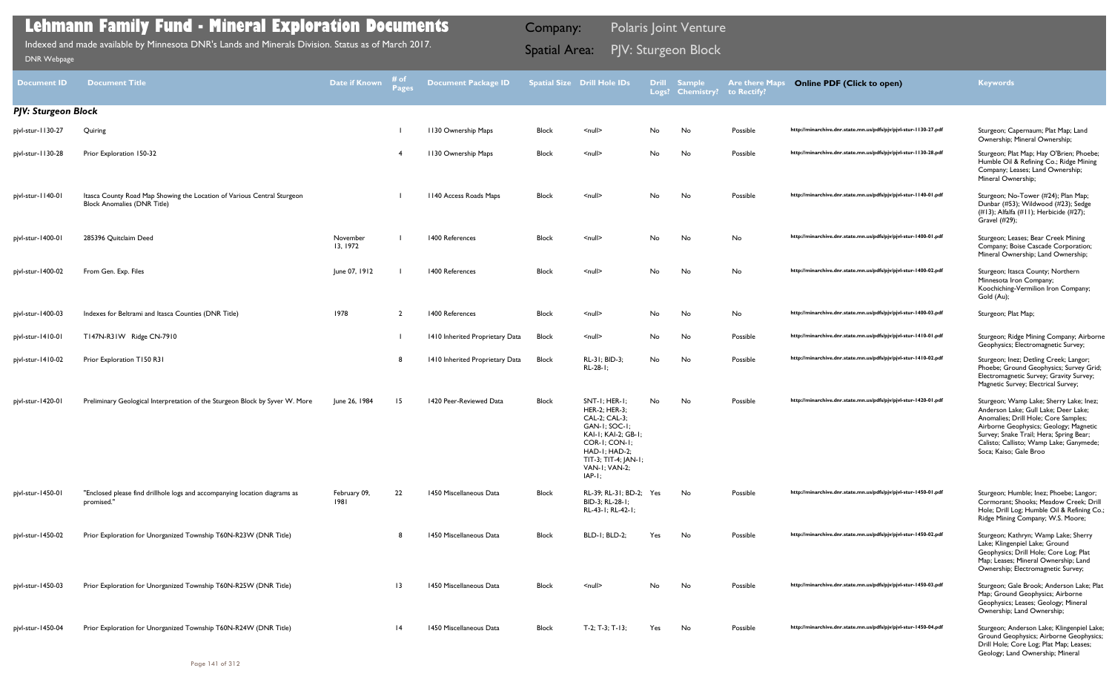| <b>Document ID</b>         | <b>Document Title</b>                                                                                         | Date if Known        | # of<br>Pages   | <b>Document Package ID</b>      |              | <b>Spatial Size Drill Hole IDs</b>                                                                                                                                             | <b>Drill</b> | <b>Sample</b><br>Logs? Chemistry? | <b>Are there Maps</b><br>to Rectify? | <b>Online PDF (Click to open)</b>                                | <b>Keywords</b>                                                                                                                                                                                                                                                                   |
|----------------------------|---------------------------------------------------------------------------------------------------------------|----------------------|-----------------|---------------------------------|--------------|--------------------------------------------------------------------------------------------------------------------------------------------------------------------------------|--------------|-----------------------------------|--------------------------------------|------------------------------------------------------------------|-----------------------------------------------------------------------------------------------------------------------------------------------------------------------------------------------------------------------------------------------------------------------------------|
| <b>PJV: Sturgeon Block</b> |                                                                                                               |                      |                 |                                 |              |                                                                                                                                                                                |              |                                   |                                      |                                                                  |                                                                                                                                                                                                                                                                                   |
| pjvl-stur-1130-27          | Quiring                                                                                                       |                      |                 | 1130 Ownership Maps             | Block        | $null$                                                                                                                                                                         | No.          | No                                | Possible                             | http://minarchive.dnr.state.mn.us/pdfs/pjv/pjvl-stur-1130-27.pdf | Sturgeon; Capernaum; Plat Map; Land<br>Ownership; Mineral Ownership;                                                                                                                                                                                                              |
| pjvl-stur-1130-28          | Prior Exploration 150-32                                                                                      |                      | -4              | 1130 Ownership Maps             | Block        | $null$                                                                                                                                                                         | No           | No                                | Possible                             | http://minarchive.dnr.state.mn.us/pdfs/pjv/pjvl-stur-1130-28.pdf | Sturgeon; Plat Map; Hay O'Brien; Phoebe;<br>Humble Oil & Refining Co.; Ridge Mining<br>Company; Leases; Land Ownership;<br>Mineral Ownership;                                                                                                                                     |
| pjvl-stur-1140-01          | Itasca County Road Map Showing the Location of Various Central Sturgeon<br><b>Block Anomalies (DNR Title)</b> |                      |                 | 1140 Access Roads Maps          | <b>Block</b> | $null$                                                                                                                                                                         | No           | No                                | Possible                             | http://minarchive.dnr.state.mn.us/pdfs/pjv/pjvl-stur-1140-01.pdf | Sturgeon; No-Tower (#24); Plan Map;<br>Dunbar (#53); Wildwood (#23); Sedge<br>(#13); Alfalfa (#11); Herbicide (#27);<br>Gravel (#29);                                                                                                                                             |
| pjvl-stur-1400-01          | 285396 Quitclaim Deed                                                                                         | November<br>13, 1972 |                 | 1400 References                 | <b>Block</b> | $\leq$ null $\geq$                                                                                                                                                             | No           | No                                | No                                   | http://minarchive.dnr.state.mn.us/pdfs/pjv/pjvl-stur-1400-01.pdf | Sturgeon; Leases; Bear Creek Mining<br>Company; Boise Cascade Corporation;<br>Mineral Ownership; Land Ownership;                                                                                                                                                                  |
| pjvl-stur-1400-02          | From Gen. Exp. Files                                                                                          | June 07, 1912        |                 | 1400 References                 | <b>Block</b> | $\leq$ null $\geq$                                                                                                                                                             | No           | No                                | No                                   | http://minarchive.dnr.state.mn.us/pdfs/pjv/pjvl-stur-1400-02.pdf | Sturgeon; Itasca County; Northern<br>Minnesota Iron Company;<br>Koochiching-Vermilion Iron Company;<br>Gold (Au);                                                                                                                                                                 |
| pjvl-stur-1400-03          | Indexes for Beltrami and Itasca Counties (DNR Title)                                                          | 1978                 | $\overline{2}$  | 1400 References                 | <b>Block</b> | $\leq$ null $\geq$                                                                                                                                                             | No           | No                                | No                                   | http://minarchive.dnr.state.mn.us/pdfs/pjv/pjvl-stur-1400-03.pdf | Sturgeon; Plat Map;                                                                                                                                                                                                                                                               |
| pjvl-stur-1410-01          | T147N-R31W Ridge CN-7910                                                                                      |                      |                 | 1410 Inherited Proprietary Data | Block        | $null$                                                                                                                                                                         | No           | No                                | Possible                             | http://minarchive.dnr.state.mn.us/pdfs/pjv/pjvl-stur-1410-01.pdf | Sturgeon; Ridge Mining Company; Airborne<br>Geophysics; Electromagnetic Survey;                                                                                                                                                                                                   |
| pjvl-stur-1410-02          | Prior Exploration T150 R31                                                                                    |                      | 8               | 1410 Inherited Proprietary Data | <b>Block</b> | RL-31; BID-3;<br>RL-28-1;                                                                                                                                                      | No           | No                                | Possible                             | http://minarchive.dnr.state.mn.us/pdfs/pjv/pjvl-stur-1410-02.pdf | Sturgeon; Inez; Detling Creek; Langor;<br>Phoebe; Ground Geophysics; Survey Grid;<br>Electromagnetic Survey; Gravity Survey;<br>Magnetic Survey; Electrical Survey;                                                                                                               |
| pjvl-stur-1420-01          | Preliminary Geological Interpretation of the Sturgeon Block by Syver W. More                                  | June 26, 1984        | 15              | 1420 Peer-Reviewed Data         | <b>Block</b> | SNT-1; HER-1<br>HER-2; HER-3;<br>CAL-2; CAL-3;<br>GAN-I; SOC-I;<br>KAI-1; KAI-2; GB-1;<br>COR-I; CON-I;<br>HAD-I; HAD-2;<br>TIT-3; TIT-4; JAN-1;<br>VAN-I; VAN-2;<br>$IAP-I$ ; | No           | No                                | Possible                             | http://minarchive.dnr.state.mn.us/pdfs/pjv/pjvl-stur-1420-01.pdf | Sturgeon; Wamp Lake; Sherry Lake; Inez;<br>Anderson Lake; Gull Lake; Deer Lake;<br>Anomalies; Drill Hole; Core Samples;<br>Airborne Geophysics; Geology; Magnetic<br>Survey; Snake Trail; Hera; Spring Bear;<br>Calisto; Callisto; Wamp Lake; Ganymede;<br>Soca: Kaiso: Gale Broo |
| pjvl-stur-1450-01          | "Enclosed please find drillhole logs and accompanying location diagrams as<br>promised."                      | February 09,<br>1981 | 22              | 1450 Miscellaneous Data         | Block        | RL-39; RL-31; BD-2; Yes<br>BID-3; RL-28-1;<br>RL-43-1; RL-42-1;                                                                                                                |              | No                                | Possible                             | http://minarchive.dnr.state.mn.us/pdfs/pjv/pjvl-stur-1450-01.pdf | Sturgeon; Humble; Inez; Phoebe; Langor;<br>Cormorant; Shooks; Meadow Creek; Drill<br>Hole; Drill Log; Humble Oil & Refining Co.;<br>Ridge Mining Company; W.S. Moore;                                                                                                             |
| pjvl-stur-1450-02          | Prior Exploration for Unorganized Township T60N-R23W (DNR Title)                                              |                      | -8              | 1450 Miscellaneous Data         | Block        | <b>BLD-1; BLD-2;</b>                                                                                                                                                           | Yes          | No                                | Possible                             | http://minarchive.dnr.state.mn.us/pdfs/pjv/pjvl-stur-1450-02.pdf | Sturgeon; Kathryn; Wamp Lake; Sherry<br>Lake; Klingenpiel Lake; Ground<br>Geophysics; Drill Hole; Core Log; Plat<br>Map; Leases; Mineral Ownership; Land<br>Ownership; Electromagnetic Survey;                                                                                    |
| pjvl-stur-1450-03          | Prior Exploration for Unorganized Township T60N-R25W (DNR Title)                                              |                      | $\overline{13}$ | 1450 Miscellaneous Data         | <b>Block</b> | $\leq$ null $\geq$                                                                                                                                                             | No           | No                                | Possible                             | http://minarchive.dnr.state.mn.us/pdfs/pjv/pjvl-stur-1450-03.pdf | Sturgeon; Gale Brook; Anderson Lake; Plat<br>Map; Ground Geophysics; Airborne<br>Geophysics; Leases; Geology; Mineral<br>Ownership; Land Ownership;                                                                                                                               |
| pjvl-stur-1450-04          | Prior Exploration for Unorganized Township T60N-R24W (DNR Title)                                              |                      | 4               | 1450 Miscellaneous Data         | <b>Block</b> | $T-2$ ; $T-3$ ; $T-13$ ;                                                                                                                                                       | Yes          | No                                | Possible                             | http://minarchive.dnr.state.mn.us/pdfs/pjv/pjvl-stur-1450-04.pdf | Sturgeon; Anderson Lake; Klingenpiel Lake;<br>Ground Geophysics; Airborne Geophysics;<br>Drill Hole; Core Log; Plat Map; Leases;                                                                                                                                                  |

Geology; Land Ownership; Mineral

## **Lehmann Family Fund - Mineral Exploration Documents**

PJV: Sturgeon Block Indexed and made available by Minnesota DNR's Lands and Minerals Division. Status as of March 2017. Spatial Area: [DNR Webpage](http://www.dnr.state.mn.us/lands_minerals/polaris/index.html)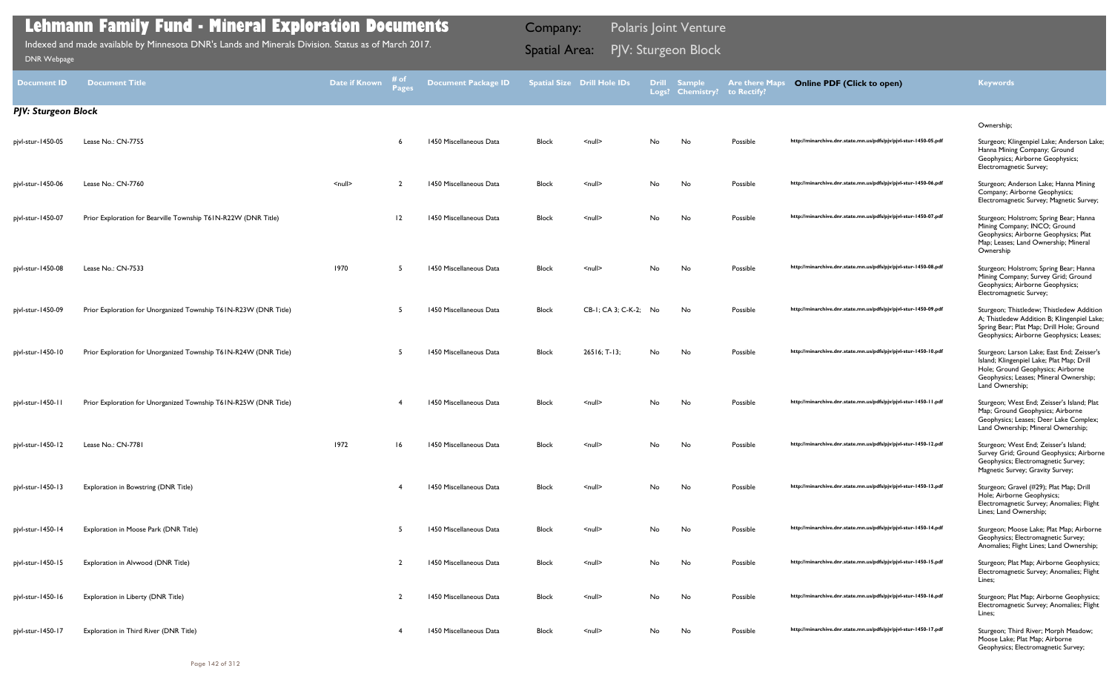| Document <b>ID</b>         | <b>Document Title</b>                                            | Date if Known      | # of<br><b>Pages</b> | <b>Document Package ID</b> |              | <b>Spatial Size Drill Hole IDs</b> | <b>Drill</b> | <b>Sample</b><br>Logs? Chemistry? | <b>Are there Maps</b><br>to Rectify? | <b>Online PDF (Click to open)</b>                                | <b>Keywords</b>                                                                                                                                                                           |
|----------------------------|------------------------------------------------------------------|--------------------|----------------------|----------------------------|--------------|------------------------------------|--------------|-----------------------------------|--------------------------------------|------------------------------------------------------------------|-------------------------------------------------------------------------------------------------------------------------------------------------------------------------------------------|
| <b>PJV: Sturgeon Block</b> |                                                                  |                    |                      |                            |              |                                    |              |                                   |                                      |                                                                  |                                                                                                                                                                                           |
| pjvl-stur-1450-05          | Lease No.: CN-7755                                               |                    |                      | 1450 Miscellaneous Data    | <b>Block</b> | $\leq$ null $\geq$                 | No           | No                                | Possible                             | http://minarchive.dnr.state.mn.us/pdfs/pjv/pjvl-stur-1450-05.pdf | Ownership;<br>Sturgeon; Klingenpiel Lake; Anderson Lake;<br>Hanna Mining Company; Ground<br>Geophysics; Airborne Geophysics;<br>Electromagnetic Survey;                                   |
| pjvl-stur-1450-06          | Lease No.: CN-7760                                               | $\leq$ null $\geq$ | $\overline{2}$       | 1450 Miscellaneous Data    | <b>Block</b> | $\leq$ null $\geq$                 | No           | No                                | Possible                             | http://minarchive.dnr.state.mn.us/pdfs/pjv/pjvl-stur-1450-06.pdf | Sturgeon; Anderson Lake; Hanna Mining<br>Company; Airborne Geophysics;<br>Electromagnetic Survey; Magnetic Survey;                                                                        |
| pjvl-stur-1450-07          | Prior Exploration for Bearville Township T61N-R22W (DNR Title)   |                    | 12                   | 1450 Miscellaneous Data    | <b>Block</b> | $\leq$ null $\geq$                 | No           | No                                | Possible                             | http://minarchive.dnr.state.mn.us/pdfs/pjv/pjvl-stur-1450-07.pdf | Sturgeon; Holstrom; Spring Bear; Hanna<br>Mining Company; INCO; Ground<br>Geophysics; Airborne Geophysics; Plat<br>Map; Leases; Land Ownership; Mineral<br>Ownership                      |
| pjvl-stur-1450-08          | Lease No.: CN-7533                                               | 1970               |                      | 1450 Miscellaneous Data    | <b>Block</b> | $\leq$ null $\geq$                 | No           | No                                | Possible                             | http://minarchive.dnr.state.mn.us/pdfs/pjv/pjvl-stur-1450-08.pdf | Sturgeon; Holstrom; Spring Bear; Hanna<br>Mining Company; Survey Grid; Ground<br>Geophysics; Airborne Geophysics;<br>Electromagnetic Survey;                                              |
| pjvl-stur-1450-09          | Prior Exploration for Unorganized Township T61N-R23W (DNR Title) |                    |                      | 1450 Miscellaneous Data    | <b>Block</b> | CB-1; CA 3; C-K-2; No              |              | No                                | Possible                             | http://minarchive.dnr.state.mn.us/pdfs/pjv/pjvl-stur-1450-09.pdf | Sturgeon; Thistledew; Thistledew Addition<br>A; Thistledew Addition B; Klingenpiel Lake;<br>Spring Bear; Plat Map; Drill Hole; Ground<br>Geophysics; Airborne Geophysics; Leases;         |
| pjvl-stur-1450-10          | Prior Exploration for Unorganized Township T61N-R24W (DNR Title) |                    | -5                   | 1450 Miscellaneous Data    | <b>Block</b> | $26516; T-13;$                     | No           | No                                | Possible                             | http://minarchive.dnr.state.mn.us/pdfs/pjv/pjvl-stur-1450-10.pdf | Sturgeon; Larson Lake; East End; Zeisser's<br>Island; Klingenpiel Lake; Plat Map; Drill<br>Hole; Ground Geophysics; Airborne<br>Geophysics; Leases; Mineral Ownership;<br>Land Ownership; |
| pjvl-stur-1450-11          | Prior Exploration for Unorganized Township T61N-R25W (DNR Title) |                    |                      | 1450 Miscellaneous Data    | <b>Block</b> | $\leq$ null $\geq$                 | No           | No                                | Possible                             | http://minarchive.dnr.state.mn.us/pdfs/pjv/pjvl-stur-1450-11.pdf | Sturgeon; West End; Zeisser's Island; Plat<br>Map; Ground Geophysics; Airborne<br>Geophysics; Leases; Deer Lake Complex;<br>Land Ownership; Mineral Ownership;                            |
| pjvl-stur-1450-12          | Lease No.: CN-7781                                               | 1972               | 16                   | 1450 Miscellaneous Data    | <b>Block</b> | <null></null>                      | No.          | No                                | Possible                             | http://minarchive.dnr.state.mn.us/pdfs/pjv/pjvl-stur-1450-12.pdf | Sturgeon; West End; Zeisser's Island;<br>Survey Grid; Ground Geophysics; Airborne<br>Geophysics; Electromagnetic Survey;<br>Magnetic Survey; Gravity Survey;                              |
| pjvl-stur-1450-13          | Exploration in Bowstring (DNR Title)                             |                    |                      | 1450 Miscellaneous Data    | <b>Block</b> | $\leq$ null $\geq$                 | No           | No                                | Possible                             | http://minarchive.dnr.state.mn.us/pdfs/pjv/pjvl-stur-1450-13.pdf | Sturgeon; Gravel (#29); Plat Map; Drill<br>Hole; Airborne Geophysics;<br>Electromagnetic Survey; Anomalies; Flight<br>Lines; Land Ownership;                                              |
| pjvl-stur-1450-14          | Exploration in Moose Park (DNR Title)                            |                    |                      | 1450 Miscellaneous Data    | <b>Block</b> | $\leq$ null $\geq$                 | No           | No                                | Possible                             | http://minarchive.dnr.state.mn.us/pdfs/pjv/pjvl-stur-1450-14.pdf | Sturgeon; Moose Lake; Plat Map; Airborne<br>Geophysics; Electromagnetic Survey;<br>Anomalies; Flight Lines; Land Ownership;                                                               |
| pjvl-stur-1450-15          | Exploration in Alvwood (DNR Title)                               |                    |                      | 1450 Miscellaneous Data    | <b>Block</b> | $\leq$ null $\geq$                 | No           | No                                | Possible                             | http://minarchive.dnr.state.mn.us/pdfs/pjv/pjvl-stur-1450-15.pdf | Sturgeon; Plat Map; Airborne Geophysics;<br>Electromagnetic Survey; Anomalies; Flight<br>Lines;                                                                                           |
| pjvl-stur-1450-16          | Exploration in Liberty (DNR Title)                               |                    |                      | 1450 Miscellaneous Data    | <b>Block</b> | $\leq$ null $\geq$                 | No           | No                                | Possible                             | http://minarchive.dnr.state.mn.us/pdfs/pjv/pjvl-stur-1450-16.pdf | Sturgeon; Plat Map; Airborne Geophysics;<br>Electromagnetic Survey; Anomalies; Flight<br>Lines;                                                                                           |
| pjvl-stur-1450-17          | Exploration in Third River (DNR Title)                           |                    |                      | 1450 Miscellaneous Data    | <b>Block</b> | $null$                             | No           | No                                | Possible                             | http://minarchive.dnr.state.mn.us/pdfs/pjv/pjvl-stur-1450-17.pdf | Sturgeon; Third River; Morph Meadow;<br>Moose Lake; Plat Map; Airborne                                                                                                                    |

Geophysics; Electromagnetic Survey;

## **Lehmann Family Fund - Mineral Exploration Documents**

PJV: Sturgeon Block Indexed and made available by Minnesota DNR's Lands and Minerals Division. Status as of March 2017. Spatial Area: [DNR Webpage](http://www.dnr.state.mn.us/lands_minerals/polaris/index.html)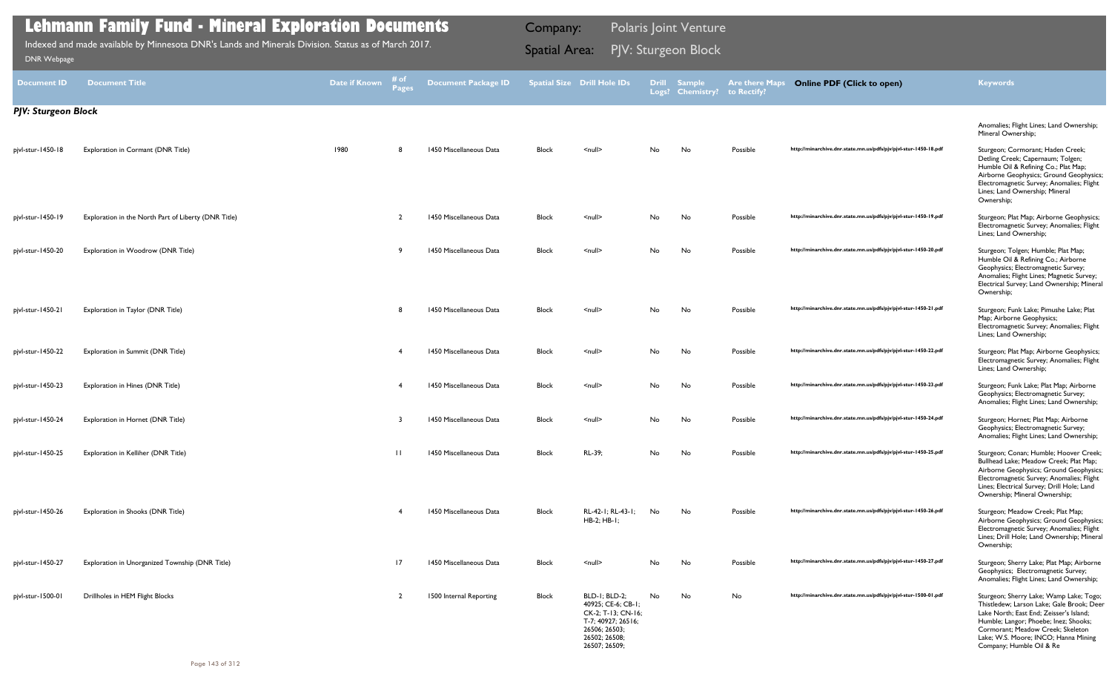| <b>Document ID</b> | <b>Document Title</b>                                | <b>Date if Known</b> | # of<br>Pages | <b>Document Package ID</b> |              | <b>Spatial Size Drill Hole IDs</b>                                                                                                 |    | <b>Drill Sample</b><br>Logs? Chemistry? | <b>Are there Maps</b><br>to Rectify? | <b>Online PDF (Click to open)</b>                                | <b>Keywords</b>                                                                                                                                                                                                                                                                   |
|--------------------|------------------------------------------------------|----------------------|---------------|----------------------------|--------------|------------------------------------------------------------------------------------------------------------------------------------|----|-----------------------------------------|--------------------------------------|------------------------------------------------------------------|-----------------------------------------------------------------------------------------------------------------------------------------------------------------------------------------------------------------------------------------------------------------------------------|
|                    | <b>PJV: Sturgeon Block</b>                           |                      |               |                            |              |                                                                                                                                    |    |                                         |                                      |                                                                  |                                                                                                                                                                                                                                                                                   |
|                    |                                                      |                      |               |                            |              |                                                                                                                                    |    |                                         |                                      |                                                                  | Anomalies; Flight Lines; Land Ownership;<br>Mineral Ownership;                                                                                                                                                                                                                    |
| pjvl-stur-1450-18  | Exploration in Cormant (DNR Title)                   | 1980                 | 8             | 1450 Miscellaneous Data    | <b>Block</b> | $\leq$ null $\geq$                                                                                                                 | No | No                                      | Possible                             | http://minarchive.dnr.state.mn.us/pdfs/pjv/pjvl-stur-1450-18.pdf | Sturgeon; Cormorant; Haden Creek;<br>Detling Creek; Capernaum; Tolgen;<br>Humble Oil & Refining Co.; Plat Map;<br>Airborne Geophysics; Ground Geophysics;<br>Electromagnetic Survey; Anomalies; Flight<br>Lines; Land Ownership; Mineral<br>Ownership;                            |
| pjvl-stur-1450-19  | Exploration in the North Part of Liberty (DNR Title) |                      | 2             | 1450 Miscellaneous Data    | Block        | $null$                                                                                                                             | No | No                                      | Possible                             | http://minarchive.dnr.state.mn.us/pdfs/pjv/pjvl-stur-1450-19.pdf | Sturgeon; Plat Map; Airborne Geophysics;<br>Electromagnetic Survey; Anomalies; Flight<br>Lines; Land Ownership;                                                                                                                                                                   |
| pjvl-stur-1450-20  | Exploration in Woodrow (DNR Title)                   |                      | -9            | 1450 Miscellaneous Data    | <b>Block</b> | $\leq$ null $\geq$                                                                                                                 | No | No                                      | Possible                             | http://minarchive.dnr.state.mn.us/pdfs/pjv/pjvl-stur-1450-20.pdf | Sturgeon; Tolgen; Humble; Plat Map;<br>Humble Oil & Refining Co.; Airborne<br>Geophysics; Electromagnetic Survey;<br>Anomalies; Flight Lines; Magnetic Survey;<br>Electrical Survey; Land Ownership; Mineral<br>Ownership;                                                        |
| pjvl-stur-1450-21  | Exploration in Taylor (DNR Title)                    |                      | -8            | 1450 Miscellaneous Data    | <b>Block</b> | $\leq$ null $\geq$                                                                                                                 | No | No                                      | Possible                             | http://minarchive.dnr.state.mn.us/pdfs/pjv/pjvl-stur-1450-21.pdf | Sturgeon; Funk Lake; Pimushe Lake; Plat<br>Map; Airborne Geophysics;<br>Electromagnetic Survey; Anomalies; Flight<br>Lines; Land Ownership;                                                                                                                                       |
| pjvl-stur-1450-22  | Exploration in Summit (DNR Title)                    |                      |               | 1450 Miscellaneous Data    | <b>Block</b> | $\leq$ null $\geq$                                                                                                                 | No | No                                      | Possible                             | http://minarchive.dnr.state.mn.us/pdfs/pjv/pjvl-stur-1450-22.pdf | Sturgeon; Plat Map; Airborne Geophysics;<br>Electromagnetic Survey; Anomalies; Flight<br>Lines; Land Ownership;                                                                                                                                                                   |
| pjvl-stur-1450-23  | Exploration in Hines (DNR Title)                     |                      |               | 1450 Miscellaneous Data    | <b>Block</b> | $\leq$ null $\geq$                                                                                                                 | No | No                                      | Possible                             | http://minarchive.dnr.state.mn.us/pdfs/pjv/pjvl-stur-1450-23.pdf | Sturgeon; Funk Lake; Plat Map; Airborne<br>Geophysics; Electromagnetic Survey;<br>Anomalies; Flight Lines; Land Ownership;                                                                                                                                                        |
| pjvl-stur-1450-24  | Exploration in Hornet (DNR Title)                    |                      |               | 1450 Miscellaneous Data    | <b>Block</b> | $\leq$ null $\geq$                                                                                                                 | No | No                                      | Possible                             | http://minarchive.dnr.state.mn.us/pdfs/pjv/pjvl-stur-1450-24.pdf | Sturgeon; Hornet; Plat Map; Airborne<br>Geophysics; Electromagnetic Survey;<br>Anomalies; Flight Lines; Land Ownership;                                                                                                                                                           |
| pjvl-stur-1450-25  | Exploration in Kelliher (DNR Title)                  |                      | $\mathbf{H}$  | 1450 Miscellaneous Data    | <b>Block</b> | RL-39;                                                                                                                             | No | No                                      | Possible                             | http://minarchive.dnr.state.mn.us/pdfs/pjv/pjvl-stur-1450-25.pdf | Sturgeon; Conan; Humble; Hoover Creek;<br>Bullhead Lake; Meadow Creek; Plat Map;<br>Airborne Geophysics; Ground Geophysics<br>Electromagnetic Survey; Anomalies; Flight<br>Lines; Electrical Survey; Drill Hole; Land<br>Ownership; Mineral Ownership;                            |
| pjvl-stur-1450-26  | Exploration in Shooks (DNR Title)                    |                      |               | 1450 Miscellaneous Data    | <b>Block</b> | RL-42-1; RL-43-1;<br>HB-2; HB-1;                                                                                                   | No | No                                      | Possible                             | http://minarchive.dnr.state.mn.us/pdfs/pjv/pjvl-stur-1450-26.pdf | Sturgeon; Meadow Creek; Plat Map;<br>Airborne Geophysics; Ground Geophysics;<br>Electromagnetic Survey; Anomalies; Flight<br>Lines; Drill Hole; Land Ownership; Mineral<br>Ownership;                                                                                             |
| pjvl-stur-1450-27  | Exploration in Unorganized Township (DNR Title)      |                      | 17            | 1450 Miscellaneous Data    | <b>Block</b> | $\leq$ null $\geq$                                                                                                                 | No | No                                      | Possible                             | http://minarchive.dnr.state.mn.us/pdfs/pjv/pjvl-stur-1450-27.pdf | Sturgeon; Sherry Lake; Plat Map; Airborne<br>Geophysics; Electromagnetic Survey;<br>Anomalies; Flight Lines; Land Ownership;                                                                                                                                                      |
| pjvl-stur-1500-01  | Drillholes in HEM Flight Blocks                      |                      |               | 1500 Internal Reporting    | Block        | BLD-1; BLD-2;<br>40925; CE-6; CB-1;<br>CK-2; T-13; CN-16;<br>T-7; 40927; 26516;<br>26506; 26503;<br>26502; 26508;<br>26507; 26509; | No | No                                      | No                                   | http://minarchive.dnr.state.mn.us/pdfs/pjv/pjvl-stur-1500-01.pdf | Sturgeon; Sherry Lake; Wamp Lake; Togo;<br>Thistledew; Larson Lake; Gale Brook; Deer<br>Lake North; East End; Zeisser's Island;<br>Humble; Langor; Phoebe; Inez; Shooks;<br>Cormorant; Meadow Creek; Skeleton<br>Lake; W.S. Moore; INCO; Hanna Mining<br>Company; Humble Oil & Re |

PJV: Sturgeon Block Indexed and made available by Minnesota DNR's Lands and Minerals Division. Status as of March 2017. Spatial Area: [DNR Webpage](http://www.dnr.state.mn.us/lands_minerals/polaris/index.html)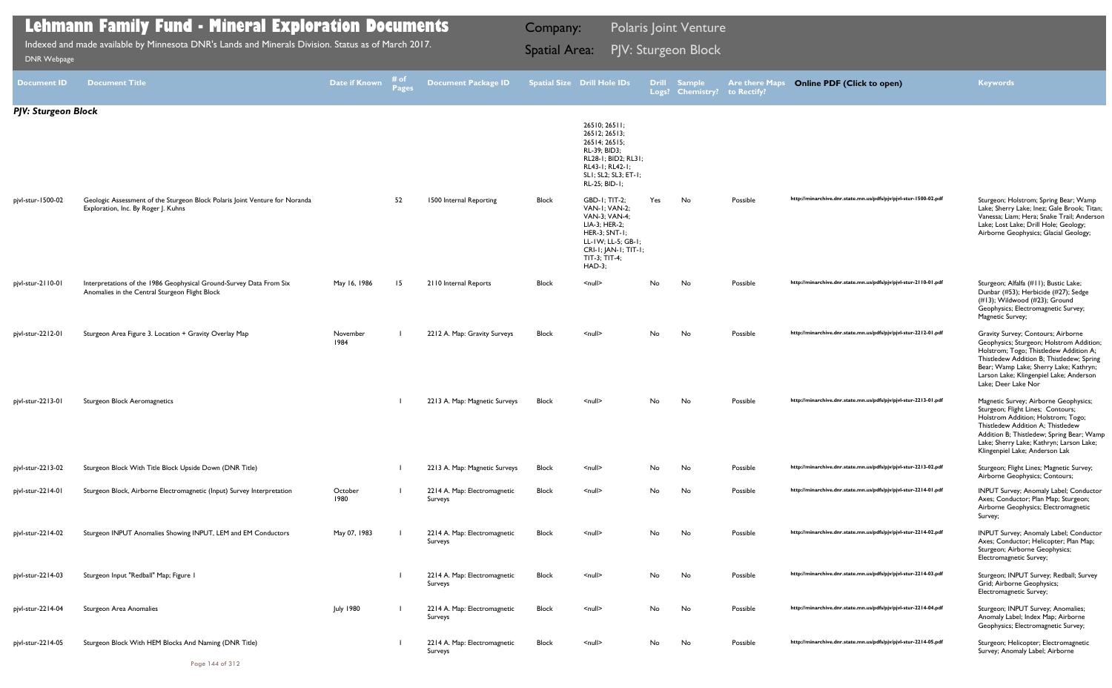| <b>Document ID</b>         | <b>Document Title</b>                                                                                                 | Date if Known    | # of<br><b>Pages</b> | Document Package ID Spatial Size Drill Hole IDs |              |                                                                                                                                                                    |     | Drill Sample<br>Logs? Chemistry? to Rectify? | <b>Are there Maps</b> | <b>Online PDF (Click to open)</b>                                | <b>Keywords</b>                                                                                                                                                                                                                                                                   |
|----------------------------|-----------------------------------------------------------------------------------------------------------------------|------------------|----------------------|-------------------------------------------------|--------------|--------------------------------------------------------------------------------------------------------------------------------------------------------------------|-----|----------------------------------------------|-----------------------|------------------------------------------------------------------|-----------------------------------------------------------------------------------------------------------------------------------------------------------------------------------------------------------------------------------------------------------------------------------|
| <b>PJV: Sturgeon Block</b> |                                                                                                                       |                  |                      |                                                 |              |                                                                                                                                                                    |     |                                              |                       |                                                                  |                                                                                                                                                                                                                                                                                   |
|                            |                                                                                                                       |                  |                      |                                                 |              | 26510; 26511;<br>26512; 26513;<br>26514; 26515;<br>RL-39; BID3;<br>RL28-1; BID2; RL31;<br>RL43-1; RL42-1;<br>SLI; SL2; SL3; ET-1;<br>RL-25; BID-1;                 |     |                                              |                       |                                                                  |                                                                                                                                                                                                                                                                                   |
| pjvl-stur-1500-02          | Geologic Assessment of the Sturgeon Block Polaris Joint Venture for Noranda<br>Exploration, Inc. By Roger J. Kuhns    |                  | 52                   | 1500 Internal Reporting                         | <b>Block</b> | <b>GBD-1: TIT-2:</b><br>VAN-I: VAN-2:<br>VAN-3; VAN-4;<br>LIA-3; HER-2;<br>HER-3; SNT-1;<br>LL-IW; LL-5; GB-I;<br>CRI-I; JAN-I; TIT-I;<br>TIT-3; TIT-4;<br>$HAD-3$ | Yes | No                                           | Possible              | http://minarchive.dnr.state.mn.us/pdfs/pjv/pjvl-stur-1500-02.pdf | Sturgeon; Holstrom; Spring Bear; Wamp<br>Lake; Sherry Lake; Inez; Gale Brook; Titan;<br>Vanessa; Liam; Hera; Snake Trail; Anderson<br>Lake; Lost Lake; Drill Hole; Geology;<br>Airborne Geophysics; Glacial Geology;                                                              |
| pjvl-stur-2110-01          | Interpretations of the 1986 Geophysical Ground-Survey Data From Six<br>Anomalies in the Central Sturgeon Flight Block | May 16, 1986     | 15                   | 2110 Internal Reports                           | Block        | $\leq$ null $\geq$                                                                                                                                                 | No. | No                                           | Possible              | http://minarchive.dnr.state.mn.us/pdfs/pjv/pjvl-stur-2110-01.pdf | Sturgeon; Alfalfa (#11); Bustic Lake;<br>Dunbar (#53); Herbicide (#27); Sedge<br>(#13); Wildwood (#23); Ground<br>Geophysics; Electromagnetic Survey;<br>Magnetic Survey;                                                                                                         |
| pjvl-stur-2212-01          | Sturgeon Area Figure 3. Location + Gravity Overlay Map                                                                | November<br>1984 |                      | 2212 A. Map: Gravity Surveys                    | Block        | $\leq$ null $\geq$                                                                                                                                                 | No. | No                                           | Possible              | http://minarchive.dnr.state.mn.us/pdfs/pjv/pjvl-stur-2212-01.pdf | Gravity Survey; Contours; Airborne<br>Geophysics; Sturgeon; Holstrom Addition;<br>Holstrom; Togo; Thistledew Addition A;<br>Thistledew Addition B; Thistledew; Spring<br>Bear; Wamp Lake; Sherry Lake; Kathryn;<br>Larson Lake; Klingenpiel Lake; Anderson<br>Lake; Deer Lake Nor |
| pjvl-stur-2213-01          | Sturgeon Block Aeromagnetics                                                                                          |                  |                      | 2213 A. Map: Magnetic Surveys                   | <b>Block</b> | $\leq$ null $\geq$                                                                                                                                                 | No  | No                                           | Possible              | http://minarchive.dnr.state.mn.us/pdfs/pjv/pjvl-stur-2213-01.pdf | Magnetic Survey; Airborne Geophysics;<br>Sturgeon; Flight Lines; Contours;<br>Holstrom Addition; Holstrom; Togo;<br>Thistledew Addition A: Thistledew<br>Addition B; Thistledew; Spring Bear; Wamp<br>Lake; Sherry Lake; Kathryn; Larson Lake;<br>Klingenpiel Lake; Anderson Lak  |
| pjvl-stur-2213-02          | Sturgeon Block With Title Block Upside Down (DNR Title)                                                               |                  |                      | 2213 A. Map: Magnetic Surveys                   | Block        | $\le$ null $\ge$                                                                                                                                                   | No  | No                                           | Possible              | http://minarchive.dnr.state.mn.us/pdfs/pjv/pjvl-stur-2213-02.pdf | Sturgeon; Flight Lines; Magnetic Survey;<br>Airborne Geophysics; Contours;                                                                                                                                                                                                        |
| pjvl-stur-2214-01          | Sturgeon Block, Airborne Electromagnetic (Input) Survey Interpretation                                                | October<br>1980  |                      | 2214 A. Map: Electromagnetic<br>Surveys         | Block        | $\le$ null $\ge$                                                                                                                                                   | No  | No                                           | Possible              | http://minarchive.dnr.state.mn.us/pdfs/pjv/pjvl-stur-2214-01.pdf | INPUT Survey; Anomaly Label; Conductor<br>Axes; Conductor; Plan Map; Sturgeon;<br>Airborne Geophysics; Electromagnetic<br>Survey;                                                                                                                                                 |
| pjvl-stur-2214-02          | Sturgeon INPUT Anomalies Showing INPUT, LEM and EM Conductors                                                         | May 07, 1983     |                      | 2214 A. Map: Electromagnetic<br>Surveys         | <b>Block</b> | $\leq$ null $\geq$                                                                                                                                                 | No  | No                                           | Possible              | http://minarchive.dnr.state.mn.us/pdfs/pjv/pjvl-stur-2214-02.pdf | INPUT Survey; Anomaly Label; Conductor<br>Axes; Conductor; Helicopter; Plan Map;<br>Sturgeon; Airborne Geophysics;<br>Electromagnetic Survey;                                                                                                                                     |
| pjvl-stur-2214-03          | Sturgeon Input "Redball" Map; Figure I                                                                                |                  |                      | 2214 A. Map: Electromagnetic<br>Surveys         | <b>Block</b> | $null$                                                                                                                                                             | No  | No                                           | Possible              | http://minarchive.dnr.state.mn.us/pdfs/pjv/pjvl-stur-2214-03.pdf | Sturgeon; INPUT Survey; Redball; Survey<br>Grid; Airborne Geophysics;<br>Electromagnetic Survey;                                                                                                                                                                                  |
| pjvl-stur-2214-04          | Sturgeon Area Anomalies                                                                                               | <b>July 1980</b> |                      | 2214 A. Map: Electromagnetic<br>Surveys         | <b>Block</b> | $\leq$ null $\geq$                                                                                                                                                 | No  | No                                           | Possible              | http://minarchive.dnr.state.mn.us/pdfs/pjv/pjvl-stur-2214-04.pdf | Sturgeon; INPUT Survey; Anomalies;<br>Anomaly Label; Index Map; Airborne<br>Geophysics; Electromagnetic Survey;                                                                                                                                                                   |
| pjvl-stur-2214-05          | Sturgeon Block With HEM Blocks And Naming (DNR Title)                                                                 |                  |                      | 2214 A. Map: Electromagnetic<br>Surveys         | <b>Block</b> | $null$                                                                                                                                                             | No  | No                                           | Possible              | http://minarchive.dnr.state.mn.us/pdfs/pjv/pjvl-stur-2214-05.pdf | Sturgeon; Helicopter; Electromagnetic<br>Survey; Anomaly Label; Airborne                                                                                                                                                                                                          |

PJV: Sturgeon Block Indexed and made available by Minnesota DNR's Lands and Minerals Division. Status as of March 2017. Spatial Area: [DNR Webpage](http://www.dnr.state.mn.us/lands_minerals/polaris/index.html)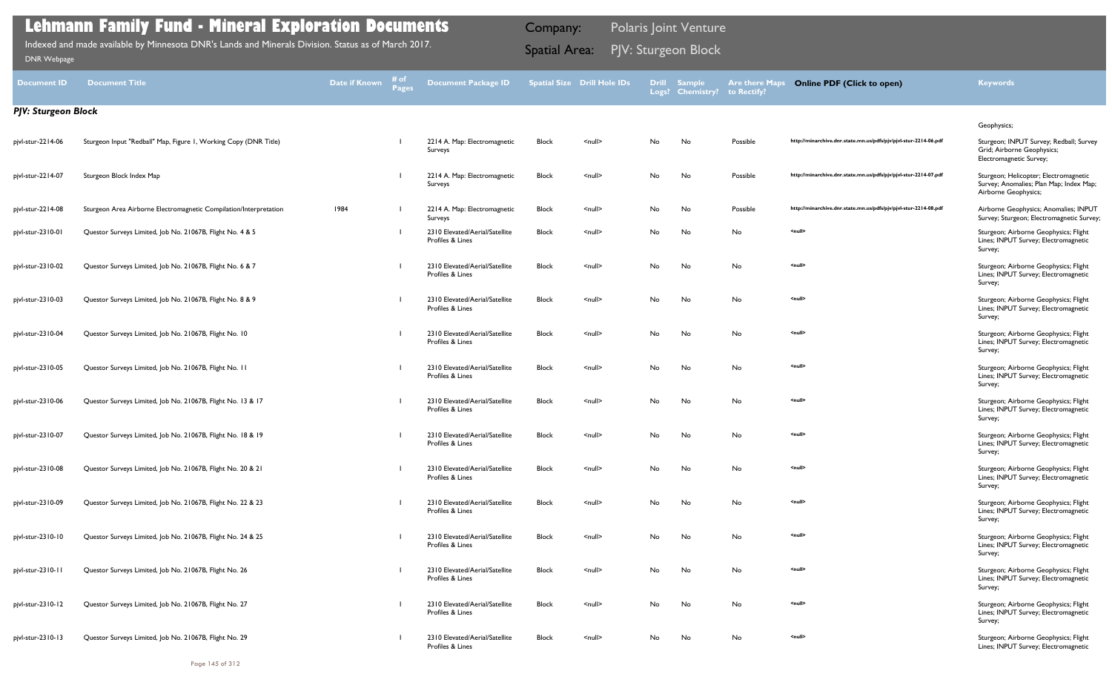| <b>Document ID</b>         | <b>Document Title</b>                                             | <b>Date if Known</b> | 井 of<br><b>Pages</b> | <b>Document Package ID</b>                         |              | <b>Spatial Size Drill Hole IDs</b> | <b>Drill</b> | <b>Sample</b><br>Logs? Chemistry? to Rectify? | <b>Are there Maps</b> | <b>Online PDF (Click to open)</b>                                | <b>Keywords</b>                                                                                          |
|----------------------------|-------------------------------------------------------------------|----------------------|----------------------|----------------------------------------------------|--------------|------------------------------------|--------------|-----------------------------------------------|-----------------------|------------------------------------------------------------------|----------------------------------------------------------------------------------------------------------|
| <b>PJV: Sturgeon Block</b> |                                                                   |                      |                      |                                                    |              |                                    |              |                                               |                       |                                                                  |                                                                                                          |
|                            |                                                                   |                      |                      |                                                    |              |                                    |              |                                               |                       |                                                                  | Geophysics;                                                                                              |
| pjvl-stur-2214-06          | Sturgeon Input "Redball" Map, Figure 1, Working Copy (DNR Title)  |                      |                      | 2214 A. Map: Electromagnetic<br>Surveys            | <b>Block</b> | $\leq$ null $\geq$                 | No           | No                                            | Possible              | http://minarchive.dnr.state.mn.us/pdfs/pjv/pjvl-stur-2214-06.pdf | Sturgeon; INPUT Survey; Redball; Survey<br>Grid; Airborne Geophysics;<br>Electromagnetic Survey;         |
| pjvl-stur-2214-07          | Sturgeon Block Index Map                                          |                      |                      | 2214 A. Map: Electromagnetic<br>Surveys            | <b>Block</b> | $\leq$ null $\geq$                 | No           | No                                            | Possible              | http://minarchive.dnr.state.mn.us/pdfs/pjv/pjvl-stur-2214-07.pdf | Sturgeon; Helicopter; Electromagnetic<br>Survey; Anomalies; Plan Map; Index Map;<br>Airborne Geophysics; |
| pjvl-stur-2214-08          | Sturgeon Area Airborne Electromagnetic Compilation/Interpretation | 1984                 |                      | 2214 A. Map: Electromagnetic<br>Surveys            | <b>Block</b> | $null$                             | No           | No                                            | Possible              | http://minarchive.dnr.state.mn.us/pdfs/pjv/pjvl-stur-2214-08.pdf | Airborne Geophysics; Anomalies; INPUT<br>Survey; Sturgeon; Electromagnetic Survey;                       |
| pjvl-stur-2310-01          | Questor Surveys Limited, Job No. 21067B, Flight No. 4 & 5         |                      |                      | 2310 Elevated/Aerial/Satellite<br>Profiles & Lines | Block        | $null$                             | No           | No                                            | No                    | <null></null>                                                    | Sturgeon; Airborne Geophysics; Flight<br>Lines; INPUT Survey; Electromagnetic<br>Survey;                 |
| pjvl-stur-2310-02          | Questor Surveys Limited, Job No. 21067B, Flight No. 6 & 7         |                      |                      | 2310 Elevated/Aerial/Satellite<br>Profiles & Lines | <b>Block</b> | $null$                             | No           | No                                            | No                    | <null></null>                                                    | Sturgeon; Airborne Geophysics; Flight<br>Lines; INPUT Survey; Electromagnetic<br>Survey;                 |
| pjvl-stur-2310-03          | Questor Surveys Limited, Job No. 21067B, Flight No. 8 & 9         |                      |                      | 2310 Elevated/Aerial/Satellite<br>Profiles & Lines | <b>Block</b> | $null$                             | No           | No                                            | No                    | <null></null>                                                    | Sturgeon; Airborne Geophysics; Flight<br>Lines; INPUT Survey; Electromagnetic<br>Survey;                 |
| pjvl-stur-2310-04          | Questor Surveys Limited, Job No. 21067B, Flight No. 10            |                      |                      | 2310 Elevated/Aerial/Satellite<br>Profiles & Lines | Block        | $null$                             | No           | No                                            | No                    | <null></null>                                                    | Sturgeon; Airborne Geophysics; Flight<br>Lines; INPUT Survey; Electromagnetic<br>Survey;                 |
| pjvl-stur-2310-05          | Questor Surveys Limited, Job No. 21067B, Flight No. 11            |                      |                      | 2310 Elevated/Aerial/Satellite<br>Profiles & Lines | <b>Block</b> | $\leq$ null $\geq$                 | No           | No                                            | No                    | <null></null>                                                    | Sturgeon; Airborne Geophysics; Flight<br>Lines; INPUT Survey; Electromagnetic<br>Survey;                 |
| pjvl-stur-2310-06          | Questor Surveys Limited, Job No. 21067B, Flight No. 13 & 17       |                      |                      | 2310 Elevated/Aerial/Satellite<br>Profiles & Lines | <b>Block</b> | $null$                             | No           | No                                            | No                    | <null></null>                                                    | Sturgeon; Airborne Geophysics; Flight<br>Lines; INPUT Survey; Electromagnetic<br>Survey;                 |
| pjvl-stur-2310-07          | Questor Surveys Limited, Job No. 21067B, Flight No. 18 & 19       |                      |                      | 2310 Elevated/Aerial/Satellite<br>Profiles & Lines | Block        | $\leq$ null $\geq$                 | No.          | No                                            | No                    | <null></null>                                                    | Sturgeon; Airborne Geophysics; Flight<br>Lines; INPUT Survey; Electromagnetic<br>Survey;                 |
| pjvl-stur-2310-08          | Questor Surveys Limited, Job No. 21067B, Flight No. 20 & 21       |                      |                      | 2310 Elevated/Aerial/Satellite<br>Profiles & Lines | Block        | $\leq$ null $\geq$                 | No           | No                                            | No                    | <null></null>                                                    | Sturgeon; Airborne Geophysics; Flight<br>Lines; INPUT Survey; Electromagnetic<br>Survey;                 |
| pjvl-stur-2310-09          | Questor Surveys Limited, Job No. 21067B, Flight No. 22 & 23       |                      |                      | 2310 Elevated/Aerial/Satellite<br>Profiles & Lines | Block        | $\leq$ null $\geq$                 | No           | No                                            | No                    | <null></null>                                                    | Sturgeon; Airborne Geophysics; Flight<br>Lines; INPUT Survey; Electromagnetic<br>Survey;                 |
| pjvl-stur-2310-10          | Questor Surveys Limited, Job No. 21067B, Flight No. 24 & 25       |                      |                      | 2310 Elevated/Aerial/Satellite<br>Profiles & Lines | Block        | $\leq$ null $\geq$                 | No           | No                                            | No                    | <null></null>                                                    | Sturgeon; Airborne Geophysics; Flight<br>Lines; INPUT Survey; Electromagnetic<br>Survey;                 |
| pjvl-stur-2310-11          | Questor Surveys Limited, Job No. 21067B, Flight No. 26            |                      |                      | 2310 Elevated/Aerial/Satellite<br>Profiles & Lines | Block        | $null$                             | No           | No                                            | No                    | <null></null>                                                    | Sturgeon; Airborne Geophysics; Flight<br>Lines; INPUT Survey; Electromagnetic<br>Survey;                 |
| pjvl-stur-2310-12          | Questor Surveys Limited, Job No. 21067B, Flight No. 27            |                      |                      | 2310 Elevated/Aerial/Satellite<br>Profiles & Lines | <b>Block</b> | $null$                             | No           | No                                            | No                    | <null></null>                                                    | Sturgeon; Airborne Geophysics; Flight<br>Lines; INPUT Survey; Electromagnetic<br>Survey;                 |
| pjvl-stur-2310-13          | Questor Surveys Limited, Job No. 21067B, Flight No. 29            |                      |                      | 2310 Elevated/Aerial/Satellite<br>Profiles & Lines | <b>Block</b> | $null$                             | No           | No                                            | No                    | <null></null>                                                    | Sturgeon; Airborne Geophysics; Flight<br>Lines; INPUT Survey; Electromagnetic                            |

PJV: Sturgeon Block Indexed and made available by Minnesota DNR's Lands and Minerals Division. Status as of March 2017. Spatial Area: [DNR Webpage](http://www.dnr.state.mn.us/lands_minerals/polaris/index.html)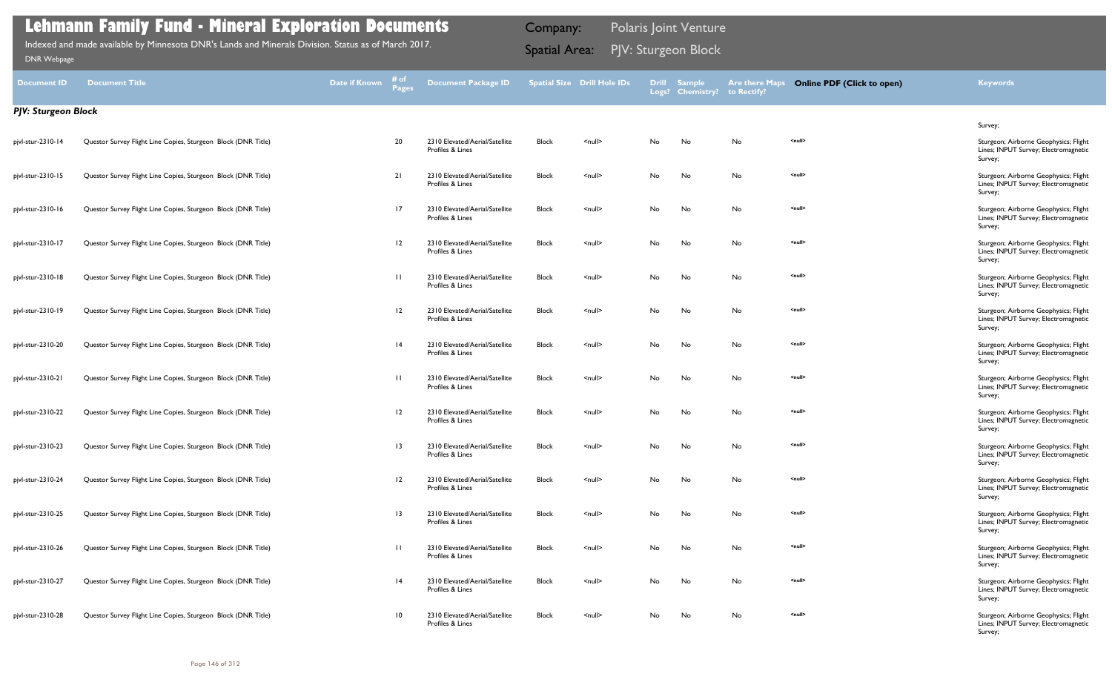| <b>Document ID</b>  | <b>Document Title</b>                                         | Date if Known | # of<br><b>Pages</b> | <b>Document Package ID</b>                         |              | <b>Spatial Size Drill Hole IDs</b> |    | Drill Sample<br>Logs? Chemistry? | <b>Are there Maps</b><br>to Rectify? | <b>Online PDF (Click to open)</b> | <b>Keywords</b>                                                                          |
|---------------------|---------------------------------------------------------------|---------------|----------------------|----------------------------------------------------|--------------|------------------------------------|----|----------------------------------|--------------------------------------|-----------------------------------|------------------------------------------------------------------------------------------|
| PJV: Sturgeon Block |                                                               |               |                      |                                                    |              |                                    |    |                                  |                                      |                                   |                                                                                          |
|                     |                                                               |               |                      |                                                    |              |                                    |    |                                  |                                      |                                   | Survey;                                                                                  |
| pjvl-stur-2310-14   | Questor Survey Flight Line Copies, Sturgeon Block (DNR Title) |               | 20                   | 2310 Elevated/Aerial/Satellite<br>Profiles & Lines | <b>Block</b> | $null$                             | No | No                               | No                                   | <null></null>                     | Sturgeon; Airborne Geophysics; Flight<br>Lines; INPUT Survey; Electromagnetic<br>Survey; |
| pjvl-stur-2310-15   | Questor Survey Flight Line Copies, Sturgeon Block (DNR Title) |               | 21                   | 2310 Elevated/Aerial/Satellite<br>Profiles & Lines | <b>Block</b> | $\leq$ null $\geq$                 | No | No                               | No                                   | <null></null>                     | Sturgeon; Airborne Geophysics; Flight<br>Lines; INPUT Survey; Electromagnetic<br>Survey; |
| pjvl-stur-2310-16   | Questor Survey Flight Line Copies, Sturgeon Block (DNR Title) |               | 17                   | 2310 Elevated/Aerial/Satellite<br>Profiles & Lines | <b>Block</b> | $\leq$ null $\geq$                 | No | No                               | No                                   | <null></null>                     | Sturgeon; Airborne Geophysics; Flight<br>Lines; INPUT Survey; Electromagnetic<br>Survey; |
| pjvl-stur-2310-17   | Questor Survey Flight Line Copies, Sturgeon Block (DNR Title) |               | 12                   | 2310 Elevated/Aerial/Satellite<br>Profiles & Lines | <b>Block</b> | $\leq$ null $\geq$                 | No | No                               | No                                   | <null></null>                     | Sturgeon; Airborne Geophysics; Flight<br>Lines; INPUT Survey; Electromagnetic<br>Survey; |
| pjvl-stur-2310-18   | Questor Survey Flight Line Copies, Sturgeon Block (DNR Title) |               | $\Box$               | 2310 Elevated/Aerial/Satellite<br>Profiles & Lines | <b>Block</b> | $\leq$ null $\geq$                 | No | No                               | No                                   | <null></null>                     | Sturgeon; Airborne Geophysics; Flight<br>Lines; INPUT Survey; Electromagnetic<br>Survey; |
| pjvl-stur-2310-19   | Questor Survey Flight Line Copies, Sturgeon Block (DNR Title) |               | 12                   | 2310 Elevated/Aerial/Satellite<br>Profiles & Lines | <b>Block</b> | $\leq$ null $\geq$                 | No | No                               | No                                   | <null></null>                     | Sturgeon; Airborne Geophysics; Flight<br>Lines; INPUT Survey; Electromagnetic<br>Survey; |
| pjvl-stur-2310-20   | Questor Survey Flight Line Copies, Sturgeon Block (DNR Title) |               | 4                    | 2310 Elevated/Aerial/Satellite<br>Profiles & Lines | Block        | $\leq$ null $\geq$                 | No | No                               | No                                   | <null></null>                     | Sturgeon; Airborne Geophysics; Flight<br>Lines; INPUT Survey; Electromagnetic<br>Survey; |
| pjvl-stur-2310-21   | Questor Survey Flight Line Copies, Sturgeon Block (DNR Title) |               | $\perp$              | 2310 Elevated/Aerial/Satellite<br>Profiles & Lines | <b>Block</b> | $\leq$ null $\geq$                 | No | No                               | No                                   | <null></null>                     | Sturgeon; Airborne Geophysics; Flight<br>Lines; INPUT Survey; Electromagnetic<br>Survey; |
| pjvl-stur-2310-22   | Questor Survey Flight Line Copies, Sturgeon Block (DNR Title) |               | $\overline{12}$      | 2310 Elevated/Aerial/Satellite<br>Profiles & Lines | <b>Block</b> | $\leq$ null $\geq$                 | No | No                               | No                                   | <null></null>                     | Sturgeon; Airborne Geophysics; Flight<br>Lines; INPUT Survey; Electromagnetic<br>Survey; |
| pjvl-stur-2310-23   | Questor Survey Flight Line Copies, Sturgeon Block (DNR Title) |               | -13                  | 2310 Elevated/Aerial/Satellite<br>Profiles & Lines | <b>Block</b> | <null></null>                      | No | No                               | No                                   | <null></null>                     | Sturgeon; Airborne Geophysics; Flight<br>Lines; INPUT Survey; Electromagnetic<br>Survey; |
| pjvl-stur-2310-24   | Questor Survey Flight Line Copies, Sturgeon Block (DNR Title) |               | $\overline{12}$      | 2310 Elevated/Aerial/Satellite<br>Profiles & Lines | <b>Block</b> | $\leq$ null $\geq$                 | No | No                               | No                                   | <null></null>                     | Sturgeon; Airborne Geophysics; Flight<br>Lines; INPUT Survey; Electromagnetic<br>Survey: |
| pjvl-stur-2310-25   | Questor Survey Flight Line Copies, Sturgeon Block (DNR Title) |               | $\overline{13}$      | 2310 Elevated/Aerial/Satellite<br>Profiles & Lines | <b>Block</b> | $\leq$ null $\geq$                 | No | No                               | No                                   | <null></null>                     | Sturgeon; Airborne Geophysics; Flight<br>Lines; INPUT Survey; Electromagnetic<br>Survey; |
| pjvl-stur-2310-26   | Questor Survey Flight Line Copies, Sturgeon Block (DNR Title) |               | $\Box$               | 2310 Elevated/Aerial/Satellite<br>Profiles & Lines | <b>Block</b> | $\leq$ null $\geq$                 | No | No                               | No                                   | <null></null>                     | Sturgeon; Airborne Geophysics; Flight<br>Lines; INPUT Survey; Electromagnetic<br>Survey; |
| pjvl-stur-2310-27   | Questor Survey Flight Line Copies, Sturgeon Block (DNR Title) |               | 4                    | 2310 Elevated/Aerial/Satellite<br>Profiles & Lines | Block        | $\leq$ null $\geq$                 | No | No                               | No                                   | <null></null>                     | Sturgeon; Airborne Geophysics; Flight<br>Lines; INPUT Survey; Electromagnetic<br>Survey; |
| pjvl-stur-2310-28   | Questor Survey Flight Line Copies, Sturgeon Block (DNR Title) |               | $\overline{10}$      | 2310 Elevated/Aerial/Satellite<br>Profiles & Lines | <b>Block</b> | $\leq$ null $\geq$                 | No | No                               | No                                   | <null></null>                     | Sturgeon; Airborne Geophysics; Flight<br>Lines; INPUT Survey; Electromagnetic<br>Survey; |

PJV: Sturgeon Block Indexed and made available by Minnesota DNR's Lands and Minerals Division. Status as of March 2017. Spatial Area: [DNR Webpage](http://www.dnr.state.mn.us/lands_minerals/polaris/index.html)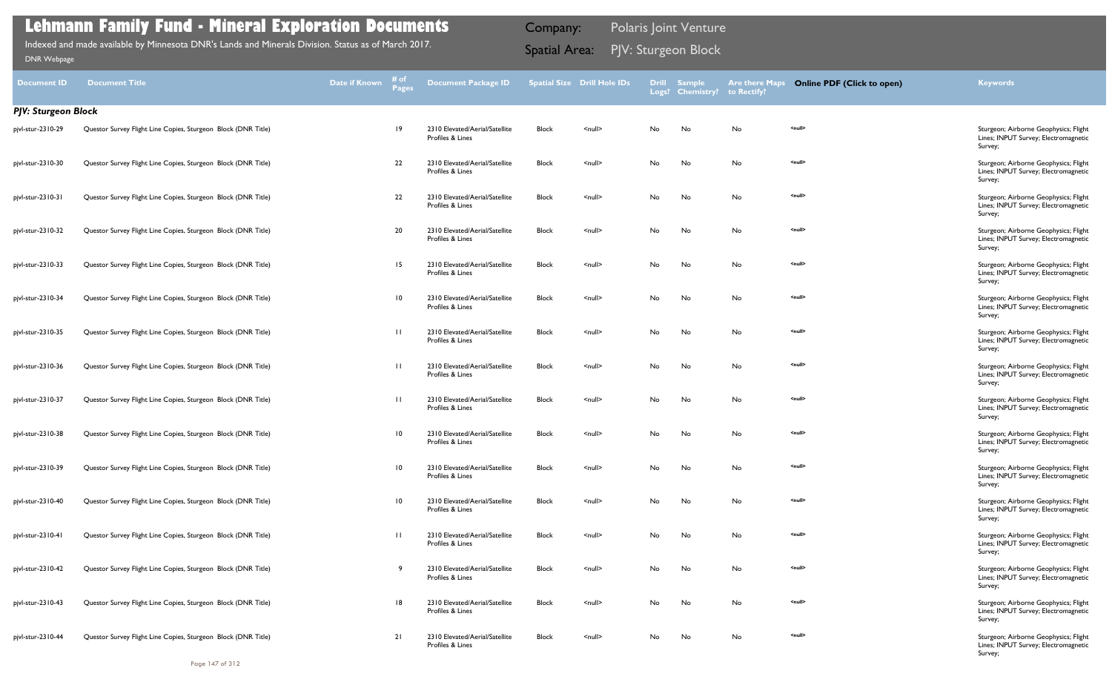| <b>Document ID</b>         | <b>Document Title</b>                                         | <b>Date if Known</b> | # of<br><b>Pages</b> | <b>Document Package ID</b>                         |              | <b>Spatial Size Drill Hole IDs</b> |    | Drill Sample<br>Logs? Chemistry? | <b>Are there Maps</b><br>to Rectify? | <b>Online PDF (Click to open)</b> | <b>Keywords</b>                                                                          |
|----------------------------|---------------------------------------------------------------|----------------------|----------------------|----------------------------------------------------|--------------|------------------------------------|----|----------------------------------|--------------------------------------|-----------------------------------|------------------------------------------------------------------------------------------|
| <b>PJV: Sturgeon Block</b> |                                                               |                      |                      |                                                    |              |                                    |    |                                  |                                      |                                   |                                                                                          |
| pjvl-stur-2310-29          | Questor Survey Flight Line Copies, Sturgeon Block (DNR Title) |                      | -19                  | 2310 Elevated/Aerial/Satellite<br>Profiles & Lines | Block        | $\leq$ null $\geq$                 | No | No                               | No                                   | <null></null>                     | Sturgeon; Airborne Geophysics; Flight<br>Lines; INPUT Survey; Electromagnetic<br>Survey; |
| pjvl-stur-2310-30          | Questor Survey Flight Line Copies, Sturgeon Block (DNR Title) |                      | 22                   | 2310 Elevated/Aerial/Satellite<br>Profiles & Lines | Block        | <null></null>                      | No | No                               | No                                   | <null></null>                     | Sturgeon; Airborne Geophysics; Flight<br>Lines; INPUT Survey; Electromagnetic<br>Survey; |
| pjvl-stur-2310-31          | Questor Survey Flight Line Copies, Sturgeon Block (DNR Title) |                      | 22                   | 2310 Elevated/Aerial/Satellite<br>Profiles & Lines | Block        | $\leq$ null $\geq$                 | No | No                               | No                                   | <null></null>                     | Sturgeon; Airborne Geophysics; Flight<br>Lines; INPUT Survey; Electromagnetic<br>Survey; |
| pjvl-stur-2310-32          | Questor Survey Flight Line Copies, Sturgeon Block (DNR Title) |                      | 20                   | 2310 Elevated/Aerial/Satellite<br>Profiles & Lines | Block        | $null$                             | No | No                               | No                                   | <null></null>                     | Sturgeon; Airborne Geophysics; Flight<br>Lines; INPUT Survey; Electromagnetic<br>Survey; |
| pjvl-stur-2310-33          | Questor Survey Flight Line Copies, Sturgeon Block (DNR Title) |                      | 15                   | 2310 Elevated/Aerial/Satellite<br>Profiles & Lines | Block        | $\leq$ null $\geq$                 | No | No                               | No                                   | <null></null>                     | Sturgeon; Airborne Geophysics; Flight<br>Lines; INPUT Survey; Electromagnetic<br>Survey; |
| pjvl-stur-2310-34          | Questor Survey Flight Line Copies, Sturgeon Block (DNR Title) |                      | $\overline{10}$      | 2310 Elevated/Aerial/Satellite<br>Profiles & Lines | Block        | <null></null>                      | No | No                               | No                                   | <null></null>                     | Sturgeon; Airborne Geophysics; Flight<br>Lines; INPUT Survey; Electromagnetic<br>Survey; |
| pjvl-stur-2310-35          | Questor Survey Flight Line Copies, Sturgeon Block (DNR Title) |                      | $\Box$               | 2310 Elevated/Aerial/Satellite<br>Profiles & Lines | Block        | <null></null>                      | No | No                               | No                                   | <null></null>                     | Sturgeon; Airborne Geophysics; Flight<br>Lines; INPUT Survey; Electromagnetic<br>Survey; |
| pjvl-stur-2310-36          | Questor Survey Flight Line Copies, Sturgeon Block (DNR Title) |                      | $\Box$               | 2310 Elevated/Aerial/Satellite<br>Profiles & Lines | Block        | $null$                             | No | No                               | No                                   | <null></null>                     | Sturgeon; Airborne Geophysics; Flight<br>Lines; INPUT Survey; Electromagnetic<br>Survey; |
| pjvl-stur-2310-37          | Questor Survey Flight Line Copies, Sturgeon Block (DNR Title) |                      | $\Box$               | 2310 Elevated/Aerial/Satellite<br>Profiles & Lines | Block        | $null$                             | No | No                               | No                                   | <null></null>                     | Sturgeon; Airborne Geophysics; Flight<br>Lines; INPUT Survey; Electromagnetic<br>Survey; |
| pjvl-stur-2310-38          | Questor Survey Flight Line Copies, Sturgeon Block (DNR Title) |                      | $\overline{10}$      | 2310 Elevated/Aerial/Satellite<br>Profiles & Lines | Block        | $null$                             | No | No                               | No                                   | <null></null>                     | Sturgeon; Airborne Geophysics; Flight<br>Lines; INPUT Survey; Electromagnetic<br>Survey; |
| pjvl-stur-2310-39          | Questor Survey Flight Line Copies, Sturgeon Block (DNR Title) |                      | $\overline{10}$      | 2310 Elevated/Aerial/Satellite<br>Profiles & Lines | Block        | $\leq$ null $\geq$                 | No | No                               | No                                   | <null></null>                     | Sturgeon; Airborne Geophysics; Flight<br>Lines; INPUT Survey; Electromagnetic<br>Survey; |
| pjvl-stur-2310-40          | Questor Survey Flight Line Copies, Sturgeon Block (DNR Title) |                      | $\overline{10}$      | 2310 Elevated/Aerial/Satellite<br>Profiles & Lines | Block        | $\leq$ null $\geq$                 | No | No                               | No                                   | <null></null>                     | Sturgeon; Airborne Geophysics; Flight<br>Lines; INPUT Survey; Electromagnetic<br>Survey; |
| pjvl-stur-2310-41          | Questor Survey Flight Line Copies, Sturgeon Block (DNR Title) |                      | $\Box$               | 2310 Elevated/Aerial/Satellite<br>Profiles & Lines | <b>Block</b> | $\leq$ null $\geq$                 | No | No                               | No                                   | <null></null>                     | Sturgeon; Airborne Geophysics; Flight<br>Lines; INPUT Survey; Electromagnetic<br>Survey; |
| pjvl-stur-2310-42          | Questor Survey Flight Line Copies, Sturgeon Block (DNR Title) |                      |                      | 2310 Elevated/Aerial/Satellite<br>Profiles & Lines | Block        | $\leq$ null $\geq$                 | No | No                               | No                                   | <null></null>                     | Sturgeon; Airborne Geophysics; Flight<br>Lines; INPUT Survey; Electromagnetic<br>Survey; |
| pjvl-stur-2310-43          | Questor Survey Flight Line Copies, Sturgeon Block (DNR Title) |                      | -18                  | 2310 Elevated/Aerial/Satellite<br>Profiles & Lines | Block        | $\leq$ null $\geq$                 | No | No                               | No                                   | <null></null>                     | Sturgeon; Airborne Geophysics; Flight<br>Lines; INPUT Survey; Electromagnetic<br>Survey; |
| pjvl-stur-2310-44          | Questor Survey Flight Line Copies, Sturgeon Block (DNR Title) |                      | 21                   | 2310 Elevated/Aerial/Satellite<br>Profiles & Lines | Block        | $\leq$ null $\geq$                 | No | No                               | No                                   | <null></null>                     | Sturgeon; Airborne Geophysics; Flight<br>Lines; INPUT Survey; Electromagnetic<br>Survey; |

PJV: Sturgeon Block Indexed and made available by Minnesota DNR's Lands and Minerals Division. Status as of March 2017. Spatial Area: [DNR Webpage](http://www.dnr.state.mn.us/lands_minerals/polaris/index.html)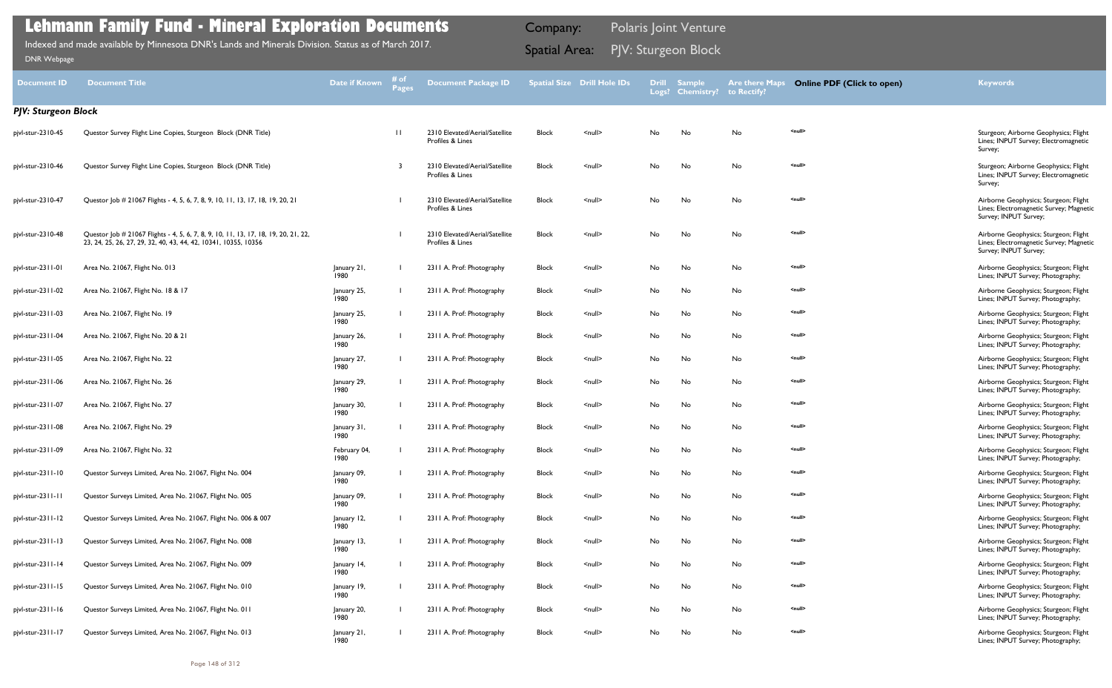| <b>Document ID</b>         | <b>Document Title</b>                                                                                                                                  | <b>Date if Known</b> | # of<br><b>Pages</b> | Document Package ID                                |              | <b>Spatial Size Drill Hole IDs</b> |    | Drill Sample<br>Logs? Chemistry? | <b>Are there Maps</b><br>to Rectify? | <b>Online PDF (Click to open)</b> | <b>Keywords</b>                                                                                           |
|----------------------------|--------------------------------------------------------------------------------------------------------------------------------------------------------|----------------------|----------------------|----------------------------------------------------|--------------|------------------------------------|----|----------------------------------|--------------------------------------|-----------------------------------|-----------------------------------------------------------------------------------------------------------|
| <b>PJV: Sturgeon Block</b> |                                                                                                                                                        |                      |                      |                                                    |              |                                    |    |                                  |                                      |                                   |                                                                                                           |
| pjvl-stur-2310-45          | Questor Survey Flight Line Copies, Sturgeon Block (DNR Title)                                                                                          |                      | $\mathbf{H}$         | 2310 Elevated/Aerial/Satellite<br>Profiles & Lines | <b>Block</b> | $null$                             | No | No                               | No                                   | <null></null>                     | Sturgeon; Airborne Geophysics; Flight<br>Lines; INPUT Survey; Electromagnetic<br>Survey;                  |
| pjvl-stur-2310-46          | Questor Survey Flight Line Copies, Sturgeon Block (DNR Title)                                                                                          |                      | - 3                  | 2310 Elevated/Aerial/Satellite<br>Profiles & Lines | <b>Block</b> | $\leq$ null $\geq$                 | No | No                               | No                                   | <null></null>                     | Sturgeon; Airborne Geophysics; Flight<br>Lines; INPUT Survey; Electromagnetic<br>Survey;                  |
| pjvl-stur-2310-47          | Questor Job # 21067 Flights - 4, 5, 6, 7, 8, 9, 10, 11, 13, 17, 18, 19, 20, 21                                                                         |                      |                      | 2310 Elevated/Aerial/Satellite<br>Profiles & Lines | <b>Block</b> | $\leq$ null $\geq$                 | No | No                               | No                                   | <null></null>                     | Airborne Geophysics; Sturgeon; Flight<br>Lines; Electromagnetic Survey; Magnetic<br>Survey; INPUT Survey; |
| pjvl-stur-2310-48          | Questor Job # 21067 Flights - 4, 5, 6, 7, 8, 9, 10, 11, 13, 17, 18, 19, 20, 21, 22,<br>23, 24, 25, 26, 27, 29, 32, 40, 43, 44, 42, 10341, 10355, 10356 |                      |                      | 2310 Elevated/Aerial/Satellite<br>Profiles & Lines | <b>Block</b> | $\leq$ null $\geq$                 | No | No                               | No                                   | <null></null>                     | Airborne Geophysics; Sturgeon; Flight<br>Lines; Electromagnetic Survey; Magnetic<br>Survey; INPUT Survey; |
| pjvl-stur-2311-01          | Area No. 21067, Flight No. 013                                                                                                                         | January 21,<br>1980  |                      | 2311 A. Prof: Photography                          | <b>Block</b> | $\leq$ null $\geq$                 | No | No                               | No                                   | <null></null>                     | Airborne Geophysics; Sturgeon; Flight<br>Lines; INPUT Survey; Photography;                                |
| pjvl-stur-2311-02          | Area No. 21067, Flight No. 18 & 17                                                                                                                     | January 25,<br>1980  |                      | 2311 A. Prof: Photography                          | Block        | $\leq$ null $\geq$                 | No | No                               | No                                   | <null></null>                     | Airborne Geophysics; Sturgeon; Flight<br>Lines; INPUT Survey; Photography;                                |
| pjvl-stur-2311-03          | Area No. 21067, Flight No. 19                                                                                                                          | January 25,<br>1980  |                      | 2311 A. Prof: Photography                          | <b>Block</b> | $\leq$ null $\geq$                 | No | No                               | No                                   | <null></null>                     | Airborne Geophysics; Sturgeon; Flight<br>Lines; INPUT Survey; Photography;                                |
| pjvl-stur-2311-04          | Area No. 21067, Flight No. 20 & 21                                                                                                                     | January 26,<br>1980  |                      | 2311 A. Prof: Photography                          | Block        | $\leq$ null $\geq$                 | No | No                               | No                                   | <null></null>                     | Airborne Geophysics; Sturgeon; Flight<br>Lines; INPUT Survey; Photography;                                |
| pjvl-stur-2311-05          | Area No. 21067, Flight No. 22                                                                                                                          | January 27,<br>1980  |                      | 2311 A. Prof: Photography                          | <b>Block</b> | $\leq$ null $\geq$                 | No | No                               | No                                   | <null></null>                     | Airborne Geophysics; Sturgeon; Flight<br>Lines; INPUT Survey; Photography;                                |
| pjvl-stur-2311-06          | Area No. 21067, Flight No. 26                                                                                                                          | January 29,<br>1980  |                      | 2311 A. Prof: Photography                          | Block        | $\leq$ null $\geq$                 | No | No                               | No                                   | <null></null>                     | Airborne Geophysics; Sturgeon; Flight<br>Lines; INPUT Survey; Photography;                                |
| pjvl-stur-2311-07          | Area No. 21067, Flight No. 27                                                                                                                          | January 30,<br>1980  |                      | 2311 A. Prof: Photography                          | Block        | $\leq$ null $\geq$                 | No | No                               | No                                   | <null></null>                     | Airborne Geophysics; Sturgeon; Flight<br>Lines; INPUT Survey; Photography;                                |
| pjvl-stur-2311-08          | Area No. 21067, Flight No. 29                                                                                                                          | January 31,<br>1980  |                      | 2311 A. Prof: Photography                          | <b>Block</b> | $\leq$ null $\geq$                 | No | No                               | No                                   | <null></null>                     | Airborne Geophysics; Sturgeon; Flight<br>Lines; INPUT Survey; Photography;                                |
| pjvl-stur-2311-09          | Area No. 21067, Flight No. 32                                                                                                                          | February 04,<br>1980 |                      | 2311 A. Prof: Photography                          | <b>Block</b> | $\leq$ null $\geq$                 | No | No                               | No                                   | <null></null>                     | Airborne Geophysics; Sturgeon; Flight<br>Lines; INPUT Survey; Photography;                                |
| pjvl-stur-2311-10          | Questor Surveys Limited, Area No. 21067, Flight No. 004                                                                                                | January 09,<br>1980  |                      | 2311 A. Prof: Photography                          | Block        | <null></null>                      | No | No                               | No                                   | <null></null>                     | Airborne Geophysics; Sturgeon; Flight<br>Lines; INPUT Survey; Photography;                                |
| pjvl-stur-2311-11          | Questor Surveys Limited, Area No. 21067, Flight No. 005                                                                                                | January 09,<br>1980  |                      | 2311 A. Prof: Photography                          | Block        | $\leq$ null $\geq$                 | No | No                               | No                                   | <null></null>                     | Airborne Geophysics; Sturgeon; Flight<br>Lines; INPUT Survey; Photography;                                |
| pjvl-stur-23   1-12        | Questor Surveys Limited, Area No. 21067, Flight No. 006 & 007                                                                                          | January 12,<br>1980  |                      | 2311 A. Prof: Photography                          | Block        | $\leq$ null $\geq$                 | No | No                               | No                                   | <null></null>                     | Airborne Geophysics; Sturgeon; Flight<br>Lines; INPUT Survey; Photography;                                |
| pjvl-stur-2311-13          | Questor Surveys Limited, Area No. 21067, Flight No. 008                                                                                                | January 13,<br>1980  |                      | 2311 A. Prof: Photography                          | Block        | $\leq$ null $\geq$                 | No | No                               | No                                   | <null></null>                     | Airborne Geophysics; Sturgeon; Flight<br>Lines; INPUT Survey; Photography;                                |
| pjvl-stur-2311-14          | Questor Surveys Limited, Area No. 21067, Flight No. 009                                                                                                | January 14,<br>1980  |                      | 2311 A. Prof: Photography                          | Block        | $null$                             | No | No                               | No                                   | <null></null>                     | Airborne Geophysics; Sturgeon; Flight<br>Lines; INPUT Survey; Photography;                                |
| pjvl-stur-2311-15          | Questor Surveys Limited, Area No. 21067, Flight No. 010                                                                                                | January 19,<br>1980  |                      | 2311 A. Prof: Photography                          | Block        | $\leq$ null $\geq$                 | No | No                               | No                                   | <null></null>                     | Airborne Geophysics; Sturgeon; Flight<br>Lines; INPUT Survey; Photography;                                |
| pjvl-stur-2311-16          | Questor Surveys Limited, Area No. 21067, Flight No. 011                                                                                                | January 20,<br>1980  |                      | 2311 A. Prof: Photography                          | <b>Block</b> | $\leq$ null $\geq$                 | No | No                               | No                                   | <null></null>                     | Airborne Geophysics; Sturgeon; Flight<br>Lines; INPUT Survey; Photography;                                |
| pjvl-stur-2311-17          | Questor Surveys Limited, Area No. 21067, Flight No. 013                                                                                                | January 21,<br>1980  |                      | 2311 A. Prof: Photography                          | Block        | $\leq$ null $\geq$                 | No | No                               | No                                   | <null></null>                     | Airborne Geophysics; Sturgeon; Flight<br>Lines; INPUT Survey; Photography;                                |

PJV: Sturgeon Block Indexed and made available by Minnesota DNR's Lands and Minerals Division. Status as of March 2017. Spatial Area: [DNR Webpage](http://www.dnr.state.mn.us/lands_minerals/polaris/index.html)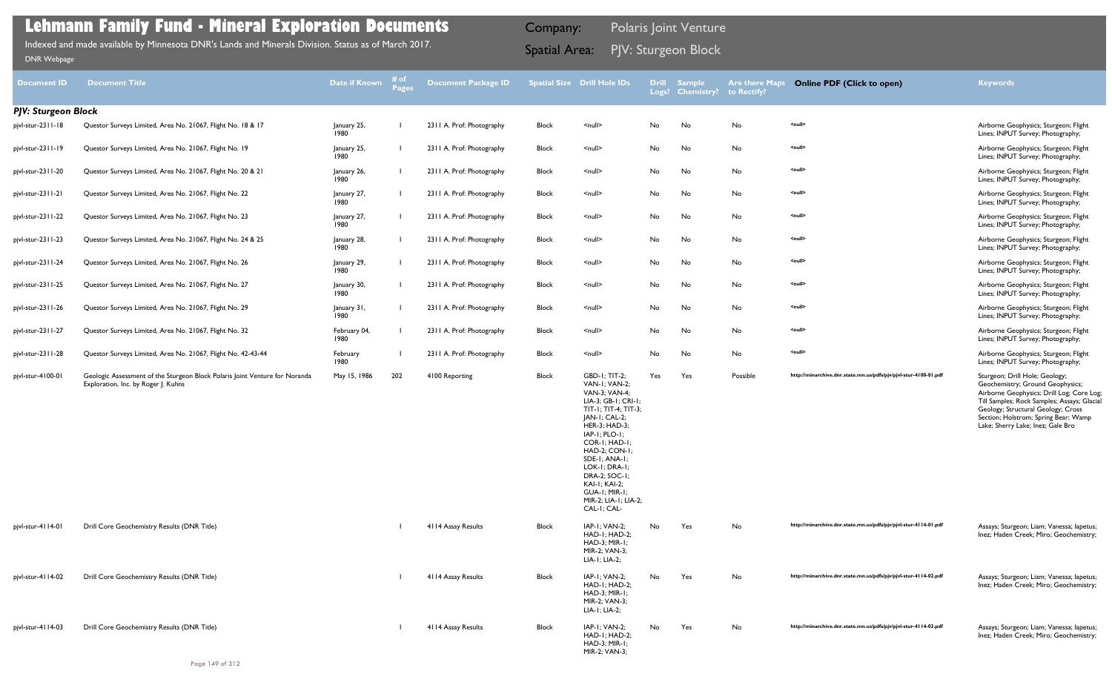| <b>Document ID</b>         | <b>Document Title</b>                                                                                              | Date if Known        | # of<br><b>Pages</b> | Document Package ID       |              | <b>Spatial Size Drill Hole IDs</b>                                                                                                                                                                                                                                                                                            | <b>Drill</b> | <b>Sample</b><br>Logs? Chemistry? to Rectify? | <b>Are there Maps</b> | <b>Online PDF (Click to open)</b>                                | <b>Keywords</b>                                                                                                                                                                                                                                                                   |
|----------------------------|--------------------------------------------------------------------------------------------------------------------|----------------------|----------------------|---------------------------|--------------|-------------------------------------------------------------------------------------------------------------------------------------------------------------------------------------------------------------------------------------------------------------------------------------------------------------------------------|--------------|-----------------------------------------------|-----------------------|------------------------------------------------------------------|-----------------------------------------------------------------------------------------------------------------------------------------------------------------------------------------------------------------------------------------------------------------------------------|
| <b>PJV: Sturgeon Block</b> |                                                                                                                    |                      |                      |                           |              |                                                                                                                                                                                                                                                                                                                               |              |                                               |                       |                                                                  |                                                                                                                                                                                                                                                                                   |
| pjvl-stur-2311-18          | Questor Surveys Limited, Area No. 21067, Flight No. 18 & 17                                                        | January 25,<br>1980  |                      | 2311 A. Prof: Photography | Block        | <null></null>                                                                                                                                                                                                                                                                                                                 | No           | No                                            | No                    | <null></null>                                                    | Airborne Geophysics; Sturgeon; Flight<br>Lines; INPUT Survey; Photography;                                                                                                                                                                                                        |
| pjvl-stur-2311-19          | Questor Surveys Limited, Area No. 21067, Flight No. 19                                                             | January 25,<br>1980  |                      | 2311 A. Prof: Photography | <b>Block</b> | $null$                                                                                                                                                                                                                                                                                                                        | No           | No                                            | No                    | <null></null>                                                    | Airborne Geophysics; Sturgeon; Flight<br>Lines; INPUT Survey; Photography;                                                                                                                                                                                                        |
| pjvl-stur-2311-20          | Questor Surveys Limited, Area No. 21067, Flight No. 20 & 21                                                        | January 26,<br>1980  |                      | 2311 A. Prof: Photography | Block        | $\le$ null $\ge$                                                                                                                                                                                                                                                                                                              | No           | No                                            | No                    | <null></null>                                                    | Airborne Geophysics; Sturgeon; Flight<br>Lines; INPUT Survey; Photography;                                                                                                                                                                                                        |
| pjvl-stur-2311-21          | Questor Surveys Limited, Area No. 21067, Flight No. 22                                                             | January 27,<br>1980  |                      | 2311 A. Prof: Photography | Block        | <null></null>                                                                                                                                                                                                                                                                                                                 | No           | No                                            | No                    | <null></null>                                                    | Airborne Geophysics; Sturgeon; Flight<br>Lines; INPUT Survey; Photography;                                                                                                                                                                                                        |
| pjvl-stur-2311-22          | Questor Surveys Limited, Area No. 21067, Flight No. 23                                                             | January 27,<br>1980  |                      | 2311 A. Prof: Photography | Block        | $\leq$ null $\geq$                                                                                                                                                                                                                                                                                                            | No           | No                                            | No                    | <null></null>                                                    | Airborne Geophysics; Sturgeon; Flight<br>Lines; INPUT Survey; Photography;                                                                                                                                                                                                        |
| pjvl-stur-2311-23          | Questor Surveys Limited, Area No. 21067, Flight No. 24 & 25                                                        | January 28,<br>1980  |                      | 2311 A. Prof: Photography | Block        | $\leq$ null $\geq$                                                                                                                                                                                                                                                                                                            | No           | No                                            | No                    | <null></null>                                                    | Airborne Geophysics; Sturgeon; Flight<br>Lines; INPUT Survey; Photography;                                                                                                                                                                                                        |
| pjvl-stur-2311-24          | Questor Surveys Limited, Area No. 21067, Flight No. 26                                                             | January 29,<br>1980  |                      | 2311 A. Prof: Photography | Block        | $\le$ null $\ge$                                                                                                                                                                                                                                                                                                              | No           | No                                            | No                    | <null></null>                                                    | Airborne Geophysics; Sturgeon; Flight<br>Lines; INPUT Survey; Photography;                                                                                                                                                                                                        |
| pjvl-stur-2311-25          | Questor Surveys Limited, Area No. 21067, Flight No. 27                                                             | January 30,<br>1980  |                      | 2311 A. Prof: Photography | Block        | $null$                                                                                                                                                                                                                                                                                                                        | No           | No                                            | No                    | <null></null>                                                    | Airborne Geophysics; Sturgeon; Flight<br>Lines; INPUT Survey; Photography;                                                                                                                                                                                                        |
| pjvl-stur-2311-26          | Questor Surveys Limited, Area No. 21067, Flight No. 29                                                             | January 31,<br>1980  |                      | 2311 A. Prof: Photography | Block        | <null></null>                                                                                                                                                                                                                                                                                                                 | No           | No                                            | No                    | <null></null>                                                    | Airborne Geophysics; Sturgeon; Flight<br>Lines; INPUT Survey; Photography;                                                                                                                                                                                                        |
| pjvl-stur-2311-27          | Questor Surveys Limited, Area No. 21067, Flight No. 32                                                             | February 04,<br>1980 |                      | 2311 A. Prof: Photography | Block        | $\leq$ null $\geq$                                                                                                                                                                                                                                                                                                            | No           | No                                            | No                    | <null></null>                                                    | Airborne Geophysics; Sturgeon; Flight<br>Lines; INPUT Survey; Photography;                                                                                                                                                                                                        |
| pjvl-stur-2311-28          | Questor Surveys Limited, Area No. 21067, Flight No. 42-43-44                                                       | February<br>1980     |                      | 2311 A. Prof: Photography | Block        | $\leq$ null $\geq$                                                                                                                                                                                                                                                                                                            | No           | No                                            | No                    | <null></null>                                                    | Airborne Geophysics; Sturgeon; Flight<br>Lines; INPUT Survey; Photography;                                                                                                                                                                                                        |
| pjvl-stur-4100-01          | Geologic Assessment of the Sturgeon Block Polaris Joint Venture for Noranda<br>Exploration, Inc. by Roger J. Kuhns | May 15, 1986         | 202                  | 4100 Reporting            | Block        | <b>GBD-1: TIT-2:</b><br>VAN-I; VAN-2;<br>VAN-3; VAN-4;<br>LIA-3; GB-1; CRI-1;<br>TIT-1; TIT-4; TIT-3;<br>JAN-I; CAL-2;<br><b>HER-3; HAD-3;</b><br>IAP-I; PLO-I;<br>COR-I; HAD-I;<br>HAD-2; CON-1;<br>SDE-I; ANA-I;<br>LOK-I; DRA-I;<br>DRA-2; SOC-1;<br>KAI-I; KAI-2;<br>GUA-I; MIR-I;<br>MIR-2; LIA-1; LIA-2;<br>CAL-I; CAL- | Yes          | Yes                                           | Possible              | http://minarchive.dnr.state.mn.us/pdfs/pjv/pjvl-stur-4100-01.pdf | Sturgeon; Drill Hole; Geology;<br>Geochemistry; Ground Geophysics;<br>Airborne Geophysics; Drill Log; Core Log;<br>Till Samples; Rock Samples; Assays; Glacial<br>Geology; Structural Geology; Cross<br>Section; Holstrom; Spring Bear; Wamp<br>Lake; Sherry Lake; Inez; Gale Bro |
| pjvl-stur-4114-01          | Drill Core Geochemistry Results (DNR Title)                                                                        |                      |                      | 4114 Assay Results        | Block        | IAP-1; VAN-2;<br>HAD-I; HAD-2;<br>HAD-3; MIR-1;<br>MIR-2; VAN-3;<br>LIA-1; LIA-2;                                                                                                                                                                                                                                             | No           | Yes                                           | No                    | http://minarchive.dnr.state.mn.us/pdfs/pjv/pjvl-stur-4114-01.pdf | Assays; Sturgeon; Liam; Vanessa; lapetus;<br>Inez; Haden Creek; Miro; Geochemistry;                                                                                                                                                                                               |
| pjvl-stur-4114-02          | Drill Core Geochemistry Results (DNR Title)                                                                        |                      |                      | 4114 Assay Results        | Block        | IAP-I: VAN-2:<br>HAD-I; HAD-2;<br>HAD-3; MIR-1;<br>MIR-2; VAN-3;<br>LIA-1; LIA-2;                                                                                                                                                                                                                                             | No           | Yes                                           | No                    | http://minarchive.dnr.state.mn.us/pdfs/pjv/pjvl-stur-4114-02.pdf | Assays; Sturgeon; Liam; Vanessa; lapetus;<br>Inez; Haden Creek; Miro; Geochemistry;                                                                                                                                                                                               |
| pjvl-stur-4114-03          | Drill Core Geochemistry Results (DNR Title)                                                                        |                      |                      | 4114 Assay Results        | <b>Block</b> | IAP-1; VAN-2;<br>HAD-I; HAD-2;<br><b>HAD-3: MIR-1:</b><br>MIR-2; VAN-3;                                                                                                                                                                                                                                                       | No           | Yes                                           | No                    | http://minarchive.dnr.state.mn.us/pdfs/pjv/pjvl-stur-4114-03.pdf | Assays; Sturgeon; Liam; Vanessa; lapetus;<br>Inez; Haden Creek; Miro; Geochemistry;                                                                                                                                                                                               |

PJV: Sturgeon Block Indexed and made available by Minnesota DNR's Lands and Minerals Division. Status as of March 2017. Spatial Area: [DNR Webpage](http://www.dnr.state.mn.us/lands_minerals/polaris/index.html)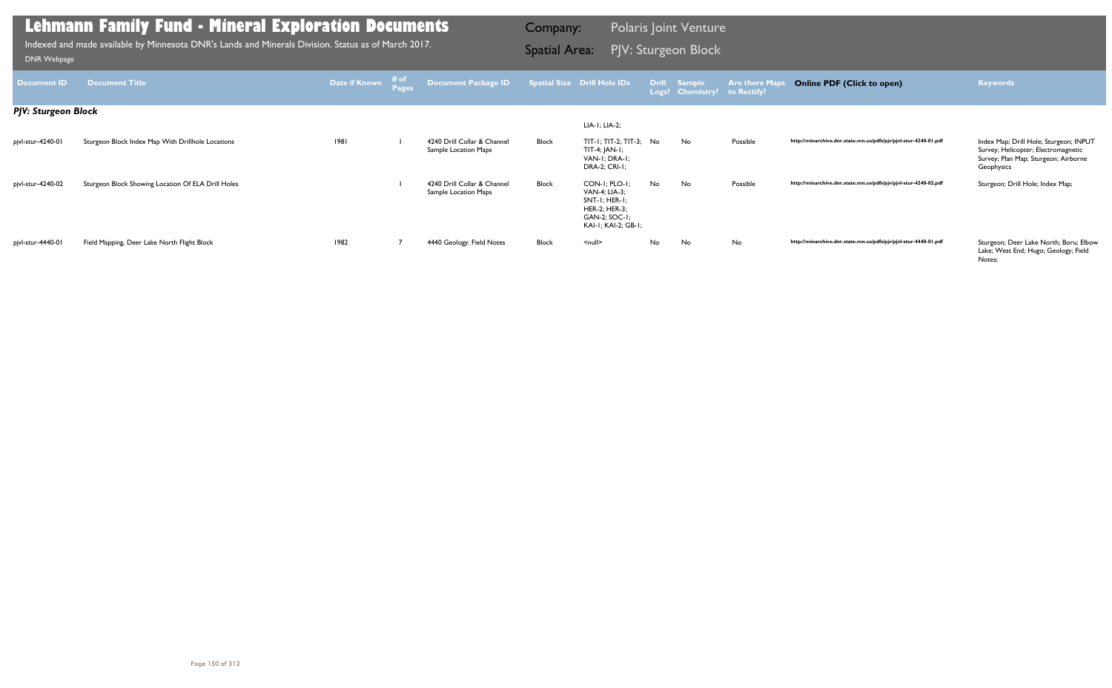Index Map; Drill Hole; Sturgeon; INPUT<br>Survey; Helicopter; Electromagnetic Survey; Plan Map; Sturgeon; Airborne Geophysics

http://minarchive.dnr.state.mn.us/pdfs/pjv/pjvl-stur-4440-01.pdf

Sturgeon; Deer Lake North; Boru; Elbow<br>Lake; West End; Hugo; Geology; Field Notes;

| <b>Document ID</b>         | <b>Document Title</b>                              | Date if Known | # of<br><b>Pages</b> | <b>Document Package ID</b>                          |              | <b>Spatial Size Drill Hole IDs</b>                                                                                              | <b>Drill</b> | <b>Sample</b><br>Logs? Chemistry? | <b>Are there Maps</b><br>to Rectify? |
|----------------------------|----------------------------------------------------|---------------|----------------------|-----------------------------------------------------|--------------|---------------------------------------------------------------------------------------------------------------------------------|--------------|-----------------------------------|--------------------------------------|
| <b>PJV: Sturgeon Block</b> |                                                    |               |                      |                                                     |              |                                                                                                                                 |              |                                   |                                      |
|                            |                                                    |               |                      |                                                     |              | LIA-1; LIA-2;                                                                                                                   |              |                                   |                                      |
| pjvl-stur-4240-01          | Sturgeon Block Index Map With Drillhole Locations  | 1981          |                      | 4240 Drill Collar & Channel<br>Sample Location Maps | Block        | $TIT-I; TIT-2; TIT-3; No$<br>TIT-4; JAN-1;<br>VAN-I: DRA-I:<br><b>DRA-2; CRI-1;</b>                                             |              | No                                | Possible                             |
| pjvl-stur-4240-02          | Sturgeon Block Showing Location Of ELA Drill Holes |               |                      | 4240 Drill Collar & Channel<br>Sample Location Maps | Block        | $CON-I$ ; $PLO-I$ ;<br><b>VAN-4; LIA-3;</b><br>$SNT-I$ ; HER-I;<br><b>HER-2; HER-3;</b><br>GAN-2; SOC-1;<br>KAI-I; KAI-2; GB-I; | No           | No                                | Possible                             |
| pjvl-stur-4440-01          | Field Mapping, Deer Lake North Flight Block        | 1982          |                      | 4440 Geology: Field Notes                           | <b>Block</b> | $\leq$ null $\geq$                                                                                                              | No           | No                                | No                                   |

### **Lehmann Family Fund - Mineral Exploration Documents**

PJV: Sturgeon Block Indexed and made available by Minnesota DNR's Lands and Minerals Division. Status as of March 2017. Spatial Area: [DNR Webpage](http://www.dnr.state.mn.us/lands_minerals/polaris/index.html)

Company: Polaris Joint Venture

### **Online PDF (Click to open) Keywords**

http://minarchive.dnr.state.mn.us/pdfs/pjv/pjvl-stur-4240-01.pdf

http://minarchive.dnr.state.mn.us/pdfs/pjv/pjvl-stur-4240-02.pdf Sturgeon; Drill Hole; Index Map;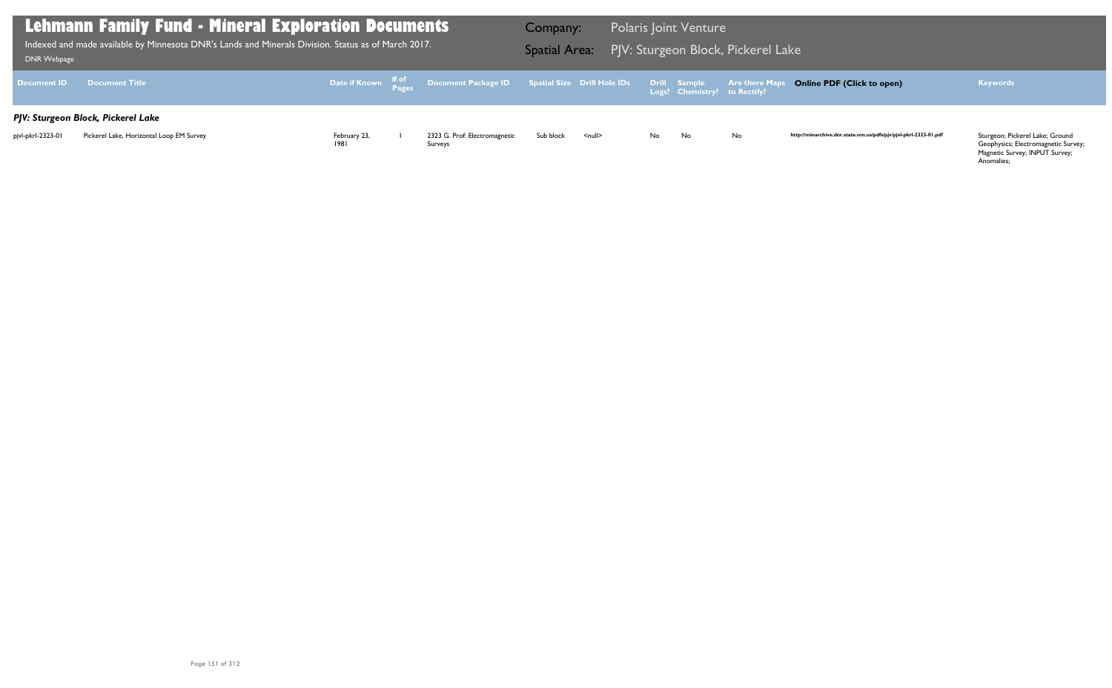Geophysics; Electromagnetic Survey; Magnetic Survey; INPUT Survey; Anomalies;

| DNR Webpage        | Lehmann Family Fund - Mineral Exploration Documents<br>Indexed and made available by Minnesota DNR's Lands and Minerals Division. Status as of March 2017. |                      |                                                                               | Company:<br><b>Spatial Area:</b> |                    |    | <b>Polaris Joint Venture</b>                 | PJV: Sturgeon Block, Pickerel Lake |      |
|--------------------|------------------------------------------------------------------------------------------------------------------------------------------------------------|----------------------|-------------------------------------------------------------------------------|----------------------------------|--------------------|----|----------------------------------------------|------------------------------------|------|
| <b>Document ID</b> | <b>Document Title</b>                                                                                                                                      |                      | Date if Known # <sup>of</sup> Document Package ID Spatial Size Drill Hole IDs |                                  |                    |    | Drill Sample<br>Logs? Chemistry? to Rectify? | <b>Are there Maps C</b>            |      |
|                    | PJV: Sturgeon Block, Pickerel Lake                                                                                                                         |                      |                                                                               |                                  |                    |    |                                              |                                    |      |
| pjvl-pkrl-2323-01  | Pickerel Lake, Horizontal Loop EM Survey                                                                                                                   | February 23,<br>1981 | 2323 G. Prof: Electromagnetic<br>Surveys                                      | Sub block                        | $\leq$ null $\geq$ | No | No                                           | <b>No</b>                          | http |

### **Online PDF (Click to open) Keywords**

http://minarchive.dnr.state.mn.us/pdfs/pjv/pjvl-pkrl-2323-01.pdf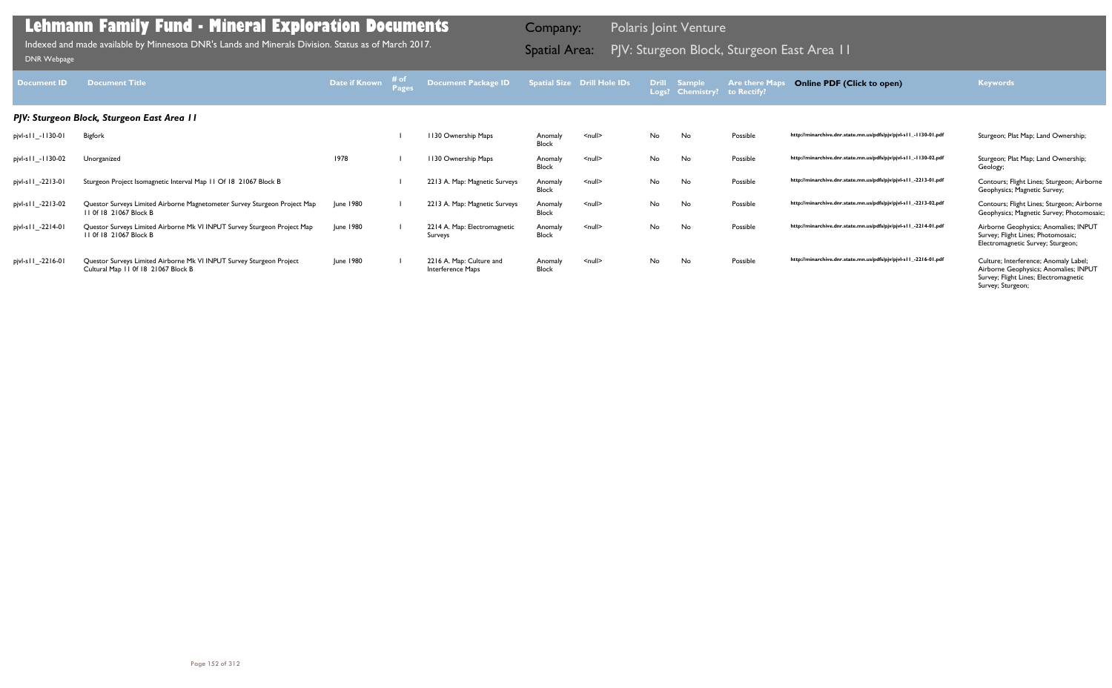| <b>Document ID</b>  | <b>Document Title</b>                                                                                       | Date if Known | # of<br>Pages | <b>Document Package ID</b>                    |                         | <b>Spatial Size Drill Hole IDs</b> | <b>Drill</b> | Sample<br>Logs? Chemistry? | <b>Are there Maps</b><br>to Rectify? | <b>Online PDF (Click to open)</b>                                | <b>Keywords</b>                                                                                                                              |
|---------------------|-------------------------------------------------------------------------------------------------------------|---------------|---------------|-----------------------------------------------|-------------------------|------------------------------------|--------------|----------------------------|--------------------------------------|------------------------------------------------------------------|----------------------------------------------------------------------------------------------------------------------------------------------|
|                     | PJV: Sturgeon Block, Sturgeon East Area 11                                                                  |               |               |                                               |                         |                                    |              |                            |                                      |                                                                  |                                                                                                                                              |
| pjvl-s   1_-1130-01 | <b>Bigfork</b>                                                                                              |               |               | 1130 Ownership Maps                           | Anomaly<br><b>Block</b> | $\leq$ null $\geq$                 | No           | No                         | Possible                             | http://minarchive.dnr.state.mn.us/pdfs/pjv/pjvl-s11_-1130-01.pdf | Sturgeon; Plat Map; Land Ownership;                                                                                                          |
| pjvl-s   1_-1130-02 | Unorganized                                                                                                 | 1978          |               | 1130 Ownership Maps                           | Anomaly<br><b>Block</b> | $\leq$ null $\geq$                 | No           | No                         | Possible                             | http://minarchive.dnr.state.mn.us/pdfs/pjv/pjvl-s11_-1130-02.pdf | Sturgeon; Plat Map; Land Ownership;<br>Geology;                                                                                              |
| pjvl-s   1_-2213-01 | Sturgeon Project Isomagnetic Interval Map 11 Of 18 21067 Block B                                            |               |               | 2213 A. Map: Magnetic Surveys                 | Anomaly<br><b>Block</b> | $\leq$ null $\geq$                 | No.          | No                         | Possible                             | http://minarchive.dnr.state.mn.us/pdfs/pjv/pjvl-s11_-2213-01.pdf | Contours; Flight Lines; Sturgeon; Airborne<br>Geophysics; Magnetic Survey;                                                                   |
| pjvl-s   1_-2213-02 | Questor Surveys Limited Airborne Magnetometer Survey Sturgeon Project Map<br>11 0f 18 21067 Block B         | June 1980     |               | 2213 A. Map: Magnetic Surveys                 | Anomaly<br><b>Block</b> | $\leq$ null $\geq$                 | No.          | No                         | Possible                             | http://minarchive.dnr.state.mn.us/pdfs/pjv/pjvl-s11_-2213-02.pdf | Contours; Flight Lines; Sturgeon; Airborne<br>Geophysics; Magnetic Survey; Photomosaic;                                                      |
| pjvl-s   1_-2214-01 | Questor Surveys Limited Airborne Mk VI INPUT Survey Sturgeon Project Map<br>11 0f 18 21067 Block B          | June 1980     |               | 2214 A. Map: Electromagnetic<br>Surveys       | Anomaly<br><b>Block</b> | $\leq$ null $\geq$                 | No.          | No                         | Possible                             | http://minarchive.dnr.state.mn.us/pdfs/pjv/pjvl-s11_-2214-01.pdf | Airborne Geophysics; Anomalies; INPUT<br>Survey; Flight Lines; Photomosaic;<br>Electromagnetic Survey; Sturgeon;                             |
| pjvl-s   1_-2216-01 | Questor Surveys Limited Airborne Mk VI INPUT Survey Sturgeon Project<br>Cultural Map 11 0f 18 21067 Block B | June 1980     |               | 2216 A. Map: Culture and<br>Interference Maps | Anomaly<br><b>Block</b> | $\leq$ null $\geq$                 | No           | No                         | Possible                             | http://minarchive.dnr.state.mn.us/pdfs/pjv/pjvl-s11_-2216-01.pdf | Culture; Interference; Anomaly Label;<br>Airborne Geophysics; Anomalies; INPUT<br>Survey; Flight Lines; Electromagnetic<br>Survey; Sturgeon; |

PJV: Sturgeon Block, Sturgeon East Area 11 Indexed and made available by Minnesota DNR's Lands and Minerals Division. Status as of March 2017. Spatial Area: [DNR Webpage](http://www.dnr.state.mn.us/lands_minerals/polaris/index.html)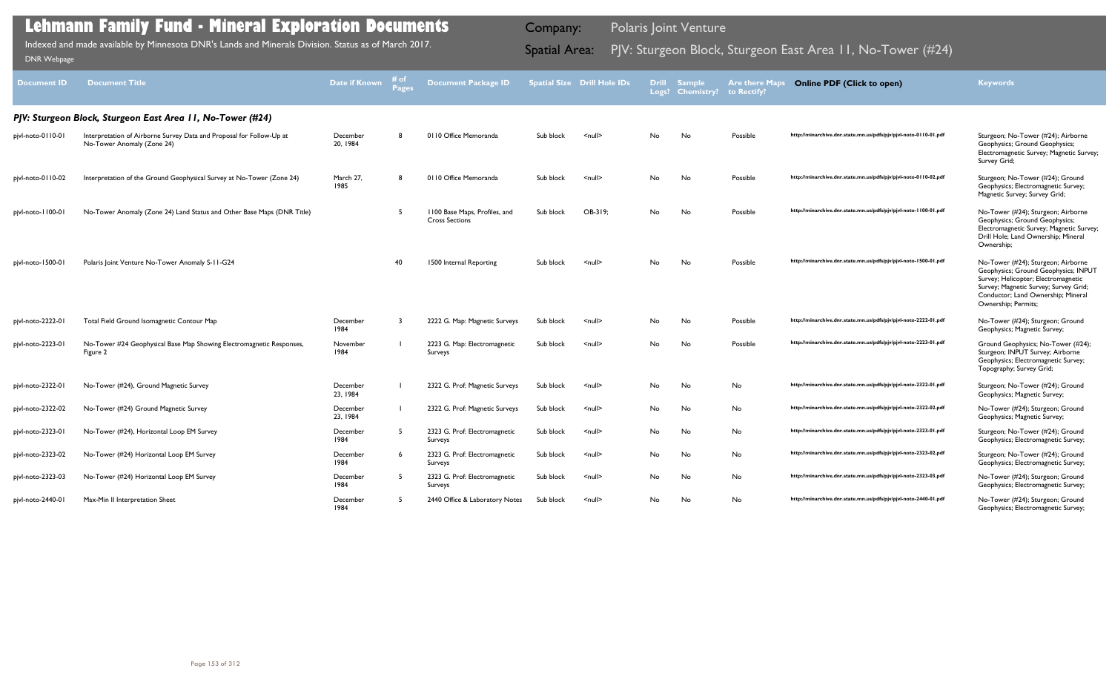| <b>Document ID</b> | <b>Document Title</b>                                                                              | <b>Date if Known</b> | # of<br><b>Pages</b> | <b>Document Package ID</b>                             |           | <b>Spatial Size Drill Hole IDs</b> | <b>Drill</b> | <b>Sample</b><br>Logs? Chemistry? | <b>Are there Maps</b><br>to Rectify? | <b>Online PDF (Click to open)</b>                                | <b>Keywords</b>                                                                                                                                                                                                         |
|--------------------|----------------------------------------------------------------------------------------------------|----------------------|----------------------|--------------------------------------------------------|-----------|------------------------------------|--------------|-----------------------------------|--------------------------------------|------------------------------------------------------------------|-------------------------------------------------------------------------------------------------------------------------------------------------------------------------------------------------------------------------|
|                    | PJV: Sturgeon Block, Sturgeon East Area II, No-Tower (#24)                                         |                      |                      |                                                        |           |                                    |              |                                   |                                      |                                                                  |                                                                                                                                                                                                                         |
| pjvl-noto-0110-01  | Interpretation of Airborne Survey Data and Proposal for Follow-Up at<br>No-Tower Anomaly (Zone 24) | December<br>20, 1984 | -8                   | 0110 Office Memoranda                                  | Sub block | $\leq$ null $\geq$                 | No           | No                                | Possible                             | http://minarchive.dnr.state.mn.us/pdfs/pjv/pjvl-noto-0110-01.pdf | Sturgeon; No-Tower (#24); Airborne<br>Geophysics; Ground Geophysics;<br>Electromagnetic Survey; Magnetic Survey;<br>Survey Grid;                                                                                        |
| pjvl-noto-0110-02  | Interpretation of the Ground Geophysical Survey at No-Tower (Zone 24)                              | March 27,<br>1985    | -8                   | 0110 Office Memoranda                                  | Sub block | $null$                             | No           | No                                | Possible                             | http://minarchive.dnr.state.mn.us/pdfs/pjv/pjvl-noto-0110-02.pdf | Sturgeon; No-Tower (#24); Ground<br>Geophysics; Electromagnetic Survey;<br>Magnetic Survey; Survey Grid;                                                                                                                |
| pjvl-noto-1100-01  | No-Tower Anomaly (Zone 24) Land Status and Other Base Maps (DNR Title)                             |                      |                      | 1100 Base Maps, Profiles, and<br><b>Cross Sections</b> | Sub block | OB-319;                            | No.          | No                                | Possible                             | http://minarchive.dnr.state.mn.us/pdfs/pjv/pjvl-noto-1100-01.pdf | No-Tower (#24); Sturgeon; Airborne<br>Geophysics; Ground Geophysics;<br>Electromagnetic Survey; Magnetic Survey;<br>Drill Hole; Land Ownership; Mineral<br>Ownership;                                                   |
| pjvl-noto-1500-01  | Polaris Joint Venture No-Tower Anomaly S-11-G24                                                    |                      | 40                   | 1500 Internal Reporting                                | Sub block | <null></null>                      | No           | No                                | Possible                             | http://minarchive.dnr.state.mn.us/pdfs/pjv/pjvl-noto-1500-01.pdf | No-Tower (#24); Sturgeon; Airborne<br>Geophysics; Ground Geophysics; INPUT<br>Survey; Helicopter; Electromagnetic<br>Survey; Magnetic Survey; Survey Grid;<br>Conductor; Land Ownership; Mineral<br>Ownership; Permits; |
| pjvl-noto-2222-01  | Total Field Ground Isomagnetic Contour Map                                                         | December<br>1984     | - 3                  | 2222 G. Map: Magnetic Surveys                          | Sub block | $null$                             | No           | No                                | Possible                             | http://minarchive.dnr.state.mn.us/pdfs/pjv/pjvl-noto-2222-01.pdf | No-Tower (#24); Sturgeon; Ground<br>Geophysics; Magnetic Survey;                                                                                                                                                        |
| pjvl-noto-2223-01  | No-Tower #24 Geophysical Base Map Showing Electromagnetic Responses,<br>Figure 2                   | November<br>1984     |                      | 2223 G. Map: Electromagnetic<br>Surveys                | Sub block | <null></null>                      | No           | No                                | Possible                             | http://minarchive.dnr.state.mn.us/pdfs/pjv/pjvl-noto-2223-01.pdf | Ground Geophysics; No-Tower (#24);<br>Sturgeon; INPUT Survey; Airborne<br>Geophysics; Electromagnetic Survey;<br>Topography; Survey Grid;                                                                               |
| pjvl-noto-2322-01  | No-Tower (#24), Ground Magnetic Survey                                                             | December<br>23, 1984 |                      | 2322 G. Prof: Magnetic Surveys                         | Sub block | <null></null>                      | No           | No                                | No                                   | http://minarchive.dnr.state.mn.us/pdfs/pjv/pjvl-noto-2322-01.pdf | Sturgeon; No-Tower (#24); Ground<br>Geophysics; Magnetic Survey;                                                                                                                                                        |
| pjvl-noto-2322-02  | No-Tower (#24) Ground Magnetic Survey                                                              | December<br>23, 1984 |                      | 2322 G. Prof: Magnetic Surveys                         | Sub block | $null$                             | No           | No                                | No                                   | http://minarchive.dnr.state.mn.us/pdfs/pjv/pjvl-noto-2322-02.pdf | No-Tower (#24); Sturgeon; Ground<br>Geophysics; Magnetic Survey;                                                                                                                                                        |
| pjvl-noto-2323-01  | No-Tower (#24), Horizontal Loop EM Survey                                                          | December<br>1984     | - 5                  | 2323 G. Prof: Electromagnetic<br>Surveys               | Sub block | <null></null>                      | No           | No                                | No                                   | http://minarchive.dnr.state.mn.us/pdfs/pjv/pjvl-noto-2323-01.pdf | Sturgeon; No-Tower (#24); Ground<br>Geophysics; Electromagnetic Survey;                                                                                                                                                 |
| pjvl-noto-2323-02  | No-Tower (#24) Horizontal Loop EM Survey                                                           | December<br>1984     | -6                   | 2323 G. Prof: Electromagnetic<br>Surveys               | Sub block | $null$                             | No           | No                                | No                                   | http://minarchive.dnr.state.mn.us/pdfs/pjv/pjvl-noto-2323-02.pdf | Sturgeon; No-Tower (#24); Ground<br>Geophysics; Electromagnetic Survey;                                                                                                                                                 |
| pjvl-noto-2323-03  | No-Tower (#24) Horizontal Loop EM Survey                                                           | December<br>1984     | - 5                  | 2323 G. Prof: Electromagnetic<br>Surveys               | Sub block | $\leq$ null $\geq$                 | No           | No                                | No                                   | http://minarchive.dnr.state.mn.us/pdfs/pjv/pjvl-noto-2323-03.pdf | No-Tower (#24); Sturgeon; Ground<br>Geophysics; Electromagnetic Survey;                                                                                                                                                 |
| pjvl-noto-2440-01  | Max-Min II Interpretation Sheet                                                                    | December<br>1984     | -5                   | 2440 Office & Laboratory Notes                         | Sub block | $null$                             | No.          | No                                | No                                   | http://minarchive.dnr.state.mn.us/pdfs/pjv/pjvl-noto-2440-01.pdf | No-Tower (#24); Sturgeon; Ground<br>Geophysics; Electromagnetic Survey;                                                                                                                                                 |

Indexed and made available by Minnesota DNR's Lands and Minerals Division. Status as of March 2017.

Company: Polaris Joint Venture

# Indexed and made available by Minnesota DNR's Lands and Minerals Division. Status as of March 2017. **Spatial Area:** PJV: Sturgeon Block, Sturgeon East Area 11, No-Tower (#24) DNR Webpage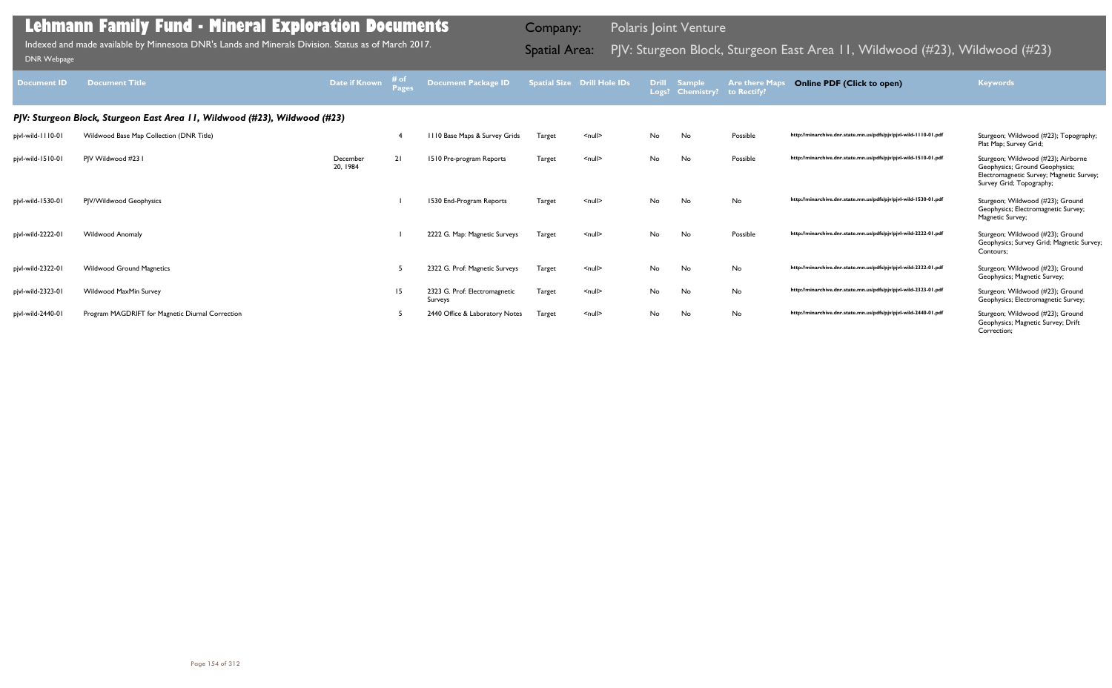| <b>Document ID</b> | <b>Document Title</b>                                                      | Date if Known        | # of<br><b>Pages</b> | <b>Document Package ID</b>               |        | <b>Spatial Size Drill Hole IDs</b> |     | Drill Sample<br>Logs? Chemistry? | <b>Are there Maps</b><br>to Rectify? | <b>Online PDF (Click to open)</b>                                | <b>Keywords</b>                                                                                                                              |
|--------------------|----------------------------------------------------------------------------|----------------------|----------------------|------------------------------------------|--------|------------------------------------|-----|----------------------------------|--------------------------------------|------------------------------------------------------------------|----------------------------------------------------------------------------------------------------------------------------------------------|
|                    | PJV: Sturgeon Block, Sturgeon East Area 11, Wildwood (#23), Wildwood (#23) |                      |                      |                                          |        |                                    |     |                                  |                                      |                                                                  |                                                                                                                                              |
| pjvl-wild-1110-01  | Wildwood Base Map Collection (DNR Title)                                   |                      |                      | III0 Base Maps & Survey Grids            | Target | $\leq$ null $\geq$                 | No  | No                               | Possible                             | http://minarchive.dnr.state.mn.us/pdfs/pjv/pjvl-wild-1110-01.pdf | Sturgeon; Wildwood (#23); Topography;<br>Plat Map; Survey Grid;                                                                              |
| pjvl-wild-1510-01  | PIV Wildwood #23 I                                                         | December<br>20, 1984 | 21                   | 1510 Pre-program Reports                 | Target | $\leq$ null $\geq$                 | No. | No                               | Possible                             | http://minarchive.dnr.state.mn.us/pdfs/pjv/pjvl-wild-1510-01.pdf | Sturgeon; Wildwood (#23); Airborne<br>Geophysics; Ground Geophysics;<br>Electromagnetic Survey; Magnetic Survey;<br>Survey Grid; Topography; |
| pjvl-wild-1530-01  | PIV/Wildwood Geophysics                                                    |                      |                      | 1530 End-Program Reports                 | Target | $null$                             | No  | No                               | No                                   | http://minarchive.dnr.state.mn.us/pdfs/pjv/pjvl-wild-1530-01.pdf | Sturgeon; Wildwood (#23); Ground<br>Geophysics; Electromagnetic Survey;<br>Magnetic Survey;                                                  |
| pjvl-wild-2222-01  | <b>Wildwood Anomaly</b>                                                    |                      |                      | 2222 G. Map: Magnetic Surveys            | Target | $\leq$ null $\geq$                 | No  | No                               | Possible                             | http://minarchive.dnr.state.mn.us/pdfs/pjv/pjvl-wild-2222-01.pdf | Sturgeon; Wildwood (#23); Ground<br>Geophysics; Survey Grid; Magnetic Survey;<br>Contours;                                                   |
| pjvl-wild-2322-01  | <b>Wildwood Ground Magnetics</b>                                           |                      |                      | 2322 G. Prof: Magnetic Surveys           | Target | $null$                             | No  | No                               | No                                   | http://minarchive.dnr.state.mn.us/pdfs/pjv/pjvl-wild-2322-01.pdf | Sturgeon; Wildwood (#23); Ground<br>Geophysics; Magnetic Survey;                                                                             |
| pjvl-wild-2323-01  | Wildwood MaxMin Survey                                                     |                      | 15                   | 2323 G. Prof: Electromagnetic<br>Surveys | Target | $null$                             | No  | No                               | No                                   | http://minarchive.dnr.state.mn.us/pdfs/pjv/pjvl-wild-2323-01.pdf | Sturgeon; Wildwood (#23); Ground<br>Geophysics; Electromagnetic Survey;                                                                      |
| pjvl-wild-2440-01  | Program MAGDRIFT for Magnetic Diurnal Correction                           |                      |                      | 2440 Office & Laboratory Notes           | Target | $null$                             | No  | No                               | No                                   | http://minarchive.dnr.state.mn.us/pdfs/pjv/pjvl-wild-2440-01.pdf | Sturgeon; Wildwood (#23); Ground<br>Geophysics; Magnetic Survey; Drift<br>Correction;                                                        |

Indexed and made available by Minnesota DNR's Lands and Minerals Division. Status as of March 2017.

Company: Polaris Joint Venture

# Indexed and made available by Minnesota DNR's Lands and Minerals Division. Status as of March 2017. **Spatial Area:** PJV: Sturgeon Block, Sturgeon East Area 11, Wildwood (#23), Wildwood (#23)<br>DNR Webpage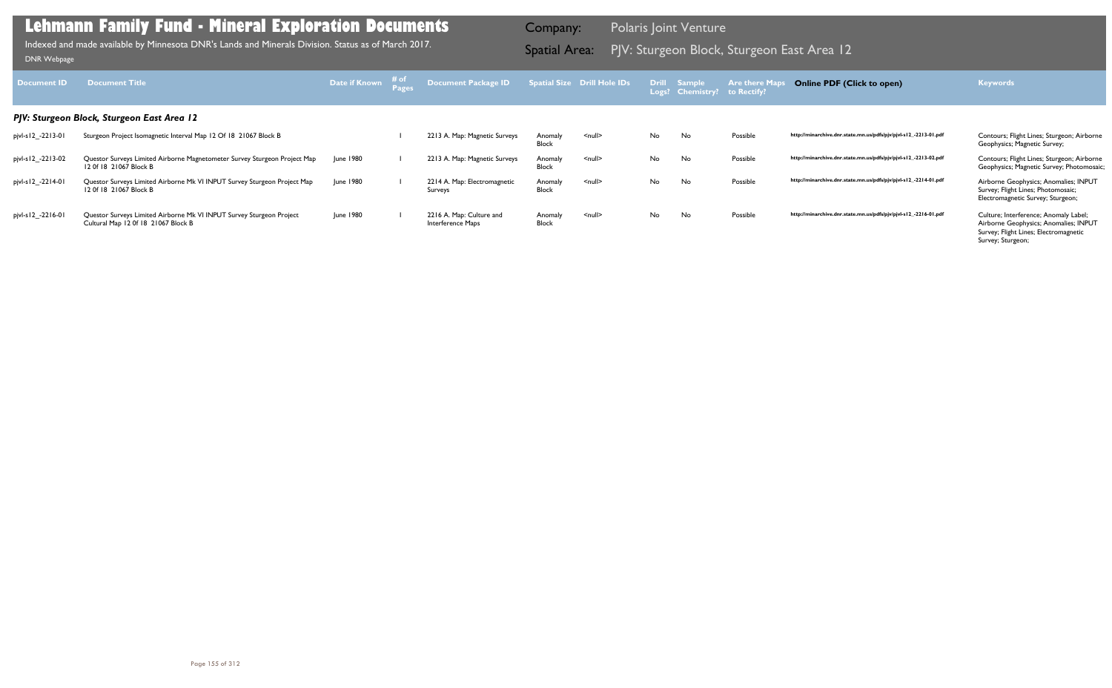| Document <b>ID</b> | <b>Document Title</b>                                                                                       | Date if Known | # of | Document Package ID                           |                         | Spatial Size Drill Hole IDs |     | <b>Drill Sample</b><br>Logs? Chemistry? | <b>Are there Maps</b><br>to Rectify? | <b>Online PDF (Click to open)</b>                                | <b>Keywords</b>                                                                                                                              |
|--------------------|-------------------------------------------------------------------------------------------------------------|---------------|------|-----------------------------------------------|-------------------------|-----------------------------|-----|-----------------------------------------|--------------------------------------|------------------------------------------------------------------|----------------------------------------------------------------------------------------------------------------------------------------------|
|                    | PJV: Sturgeon Block, Sturgeon East Area 12                                                                  |               |      |                                               |                         |                             |     |                                         |                                      |                                                                  |                                                                                                                                              |
| pjvl-s12_-2213-01  | Sturgeon Project Isomagnetic Interval Map 12 Of 18 21067 Block B                                            |               |      | 2213 A. Map: Magnetic Surveys                 | Anomaly<br>Block        | $\leq$ null $\geq$          | No  | No                                      | Possible                             | http://minarchive.dnr.state.mn.us/pdfs/pjv/pjvl-s12_-2213-01.pdf | Contours; Flight Lines; Sturgeon; Airborne<br>Geophysics; Magnetic Survey;                                                                   |
| pjvl-s12_-2213-02  | Questor Surveys Limited Airborne Magnetometer Survey Sturgeon Project Map<br>12 Of 18 21067 Block B         | June 1980     |      | 2213 A. Map: Magnetic Surveys                 | Anomaly<br><b>Block</b> | $\leq$ null $\geq$          | No. | No                                      | Possible                             | http://minarchive.dnr.state.mn.us/pdfs/pjv/pjvl-s12_-2213-02.pdf | Contours; Flight Lines; Sturgeon; Airborne<br>Geophysics; Magnetic Survey; Photomosaic;                                                      |
| pjvl-s12_-2214-01  | Questor Surveys Limited Airborne Mk VI INPUT Survey Sturgeon Project Map<br>12 Of 18 21067 Block B          | June 1980     |      | 2214 A. Map: Electromagnetic<br>Surveys       | Anomaly<br><b>Block</b> | $\leq$ null $\geq$          | No. | No                                      | Possible                             | http://minarchive.dnr.state.mn.us/pdfs/pjv/pjvl-s12_-2214-01.pdf | Airborne Geophysics; Anomalies; INPUT<br>Survey; Flight Lines; Photomosaic;<br>Electromagnetic Survey; Sturgeon;                             |
| pjvl-s12_-2216-01  | Questor Surveys Limited Airborne Mk VI INPUT Survey Sturgeon Project<br>Cultural Map 12 0f 18 21067 Block B | June 1980     |      | 2216 A. Map: Culture and<br>Interference Maps | Anomaly<br><b>Block</b> | $\leq$ null $\geq$          | No. | No                                      | Possible                             | http://minarchive.dnr.state.mn.us/pdfs/pjv/pjvl-s12_-2216-01.pdf | Culture; Interference; Anomaly Label;<br>Airborne Geophysics; Anomalies; INPUT<br>Survey; Flight Lines; Electromagnetic<br>Survey; Sturgeon; |

PJV: Sturgeon Block, Sturgeon East Area 12 Indexed and made available by Minnesota DNR's Lands and Minerals Division. Status as of March 2017. Spatial Area: [DNR Webpage](http://www.dnr.state.mn.us/lands_minerals/polaris/index.html)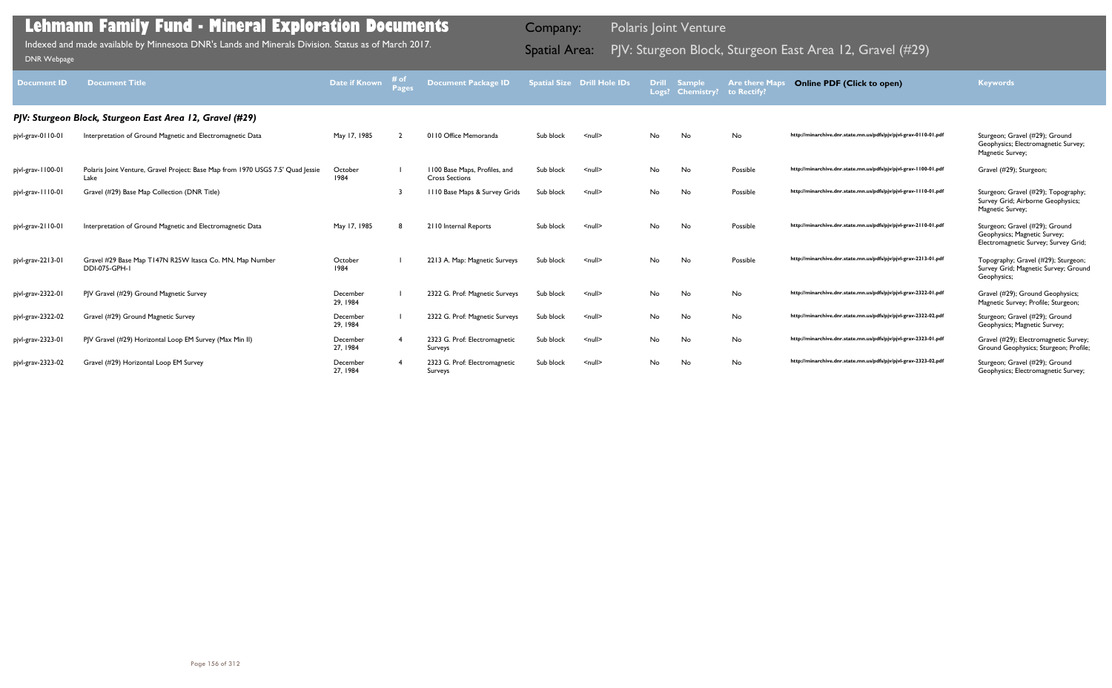| <b>Document ID</b> | <b>Document Title</b>                                                                   | Date if Known        | 井 O1<br>Pages | <b>Document Package ID</b>                             |           | <b>Spatial Size Drill Hole IDs</b> | Logs? | Drill Sample<br><b>Chemistry?</b> | <b>Are there Map</b><br>to Rectify? | <b>Online PDF (Click to open)</b>                                | <b>Keywords</b>                                                                                        |
|--------------------|-----------------------------------------------------------------------------------------|----------------------|---------------|--------------------------------------------------------|-----------|------------------------------------|-------|-----------------------------------|-------------------------------------|------------------------------------------------------------------|--------------------------------------------------------------------------------------------------------|
|                    | PJV: Sturgeon Block, Sturgeon East Area 12, Gravel (#29)                                |                      |               |                                                        |           |                                    |       |                                   |                                     |                                                                  |                                                                                                        |
| pjvl-grav-0110-01  | Interpretation of Ground Magnetic and Electromagnetic Data                              | May 17, 1985         |               | 0110 Office Memoranda                                  | Sub block | $\leq$ null $\geq$                 | No    | No                                | No                                  | http://minarchive.dnr.state.mn.us/pdfs/pjv/pjvl-grav-0110-01.pdf | Sturgeon; Gravel (#29); Ground<br>Geophysics; Electromagnetic Survey;<br>Magnetic Survey;              |
| pjvl-grav-1100-01  | Polaris Joint Venture, Gravel Project: Base Map from 1970 USGS 7.5' Quad Jessie<br>Lake | October<br>1984      |               | 1100 Base Maps, Profiles, and<br><b>Cross Sections</b> | Sub block | $null$                             | No    | No                                | Possible                            | http://minarchive.dnr.state.mn.us/pdfs/pjv/pjvl-grav-1100-01.pdf | Gravel (#29); Sturgeon;                                                                                |
| pjvl-grav-1110-01  | Gravel (#29) Base Map Collection (DNR Title)                                            |                      |               | 1110 Base Maps & Survey Grids                          | Sub block | $null$                             | No    | No                                | Possible                            | http://minarchive.dnr.state.mn.us/pdfs/pjv/pjvl-grav-1110-01.pdf | Sturgeon; Gravel (#29); Topography;<br>Survey Grid; Airborne Geophysics;<br>Magnetic Survey;           |
| pjvl-grav-2110-01  | Interpretation of Ground Magnetic and Electromagnetic Data                              | May 17, 1985         |               | 2110 Internal Reports                                  | Sub block | $\leq$ null $\geq$                 | No    | No                                | Possible                            | http://minarchive.dnr.state.mn.us/pdfs/pjv/pjvl-grav-2110-01.pdf | Sturgeon; Gravel (#29); Ground<br>Geophysics; Magnetic Survey;<br>Electromagnetic Survey; Survey Grid; |
| pjvl-grav-2213-01  | Gravel #29 Base Map T147N R25W Itasca Co. MN, Map Number<br>DDI-075-GPH-1               | October<br>1984      |               | 2213 A. Map: Magnetic Surveys                          | Sub block | $\leq$ null $\geq$                 | No    | No                                | Possible                            | http://minarchive.dnr.state.mn.us/pdfs/pjv/pjvl-grav-2213-01.pdf | Topography; Gravel (#29); Sturgeon;<br>Survey Grid; Magnetic Survey; Ground<br>Geophysics;             |
| pjvl-grav-2322-01  | PJV Gravel (#29) Ground Magnetic Survey                                                 | December<br>29, 1984 |               | 2322 G. Prof: Magnetic Surveys                         | Sub block | $null$                             | No    | No                                | No                                  | http://minarchive.dnr.state.mn.us/pdfs/pjv/pjvl-grav-2322-01.pdf | Gravel (#29); Ground Geophysics;<br>Magnetic Survey; Profile; Sturgeon;                                |
| pjvl-grav-2322-02  | Gravel (#29) Ground Magnetic Survey                                                     | December<br>29, 1984 |               | 2322 G. Prof: Magnetic Surveys                         | Sub block | $\leq$ null $\geq$                 | No    | No                                | No                                  | http://minarchive.dnr.state.mn.us/pdfs/pjv/pjvl-grav-2322-02.pdf | Sturgeon; Gravel (#29); Ground<br>Geophysics; Magnetic Survey;                                         |
| pjvl-grav-2323-01  | PJV Gravel (#29) Horizontal Loop EM Survey (Max Min II)                                 | December<br>27, 1984 |               | 2323 G. Prof: Electromagnetic<br>Surveys               | Sub block | $null$                             | No    | No                                | No                                  | http://minarchive.dnr.state.mn.us/pdfs/pjv/pjvl-grav-2323-01.pdf | Gravel (#29); Electromagnetic Survey;<br>Ground Geophysics; Sturgeon; Profile;                         |
| pjvl-grav-2323-02  | Gravel (#29) Horizontal Loop EM Survey                                                  | December<br>27, 1984 |               | 2323 G. Prof: Electromagnetic<br>Surveys               | Sub block | $\leq$ null $\geq$                 | No    | No                                | No                                  | http://minarchive.dnr.state.mn.us/pdfs/pjv/pjvl-grav-2323-02.pdf | Sturgeon; Gravel (#29); Ground<br>Geophysics; Electromagnetic Survey;                                  |

Indexed and made available by Minnesota DNR's Lands and Minerals Division. Status as of March 2017. Spatial Area: PJV: Sturgeon Block, Sturgeon East Area 12, Gravel (#29) DNR Webpage Indexed and made available by Minnesota DNR's Lands and Minerals Division. Status as of March 2017.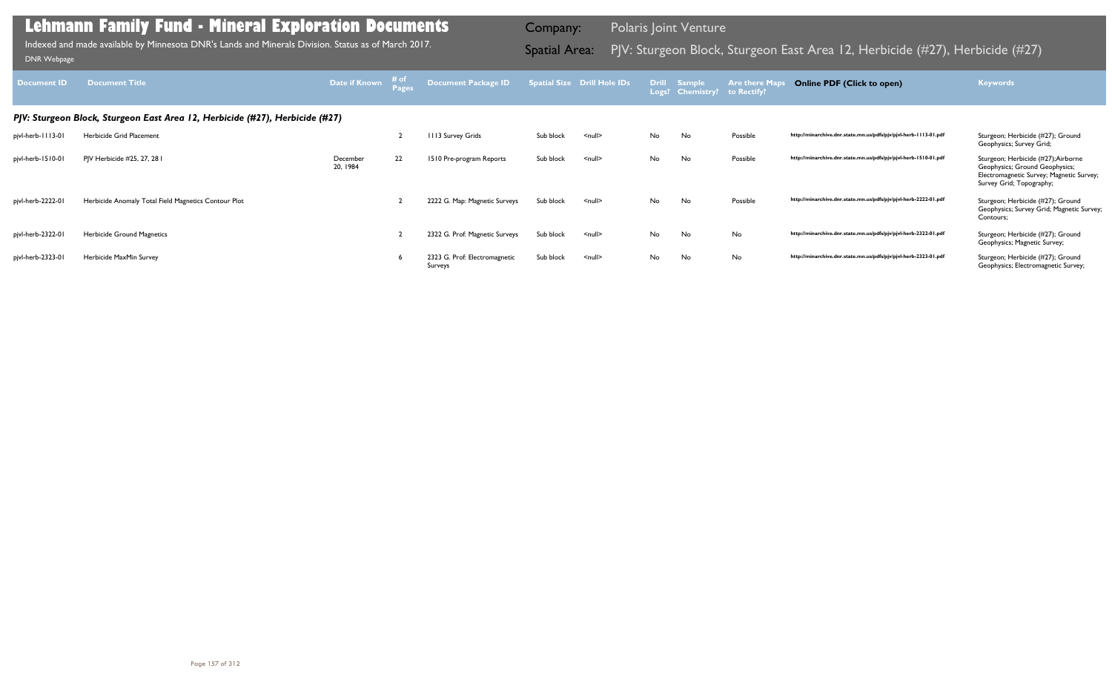| <b>Document ID</b> | <b>Document Title</b>                                                        | Date if Known        | $\left(\begin{array}{c}\n\text{# of} \\ \text{Page}\n\end{array}\right)$ | Document Package ID                      |           | Spatial Size Drill Hole IDs |    | Drill Sample<br>Logs? Chemistry? to Rectify? | <b>Are there Map</b> | <b>Online PDF (Click to open)</b>                                | <b>Keywords</b>                                                                                                                               |
|--------------------|------------------------------------------------------------------------------|----------------------|--------------------------------------------------------------------------|------------------------------------------|-----------|-----------------------------|----|----------------------------------------------|----------------------|------------------------------------------------------------------|-----------------------------------------------------------------------------------------------------------------------------------------------|
|                    | PJV: Sturgeon Block, Sturgeon East Area 12, Herbicide (#27), Herbicide (#27) |                      |                                                                          |                                          |           |                             |    |                                              |                      |                                                                  |                                                                                                                                               |
| pjvl-herb-1113-01  | Herbicide Grid Placement                                                     |                      |                                                                          | 113 Survey Grids                         | Sub block | $\leq$ null $\geq$          | No | No                                           | Possible             | http://minarchive.dnr.state.mn.us/pdfs/pjv/pjvl-herb-1113-01.pdf | Sturgeon; Herbicide (#27); Ground<br>Geophysics; Survey Grid;                                                                                 |
| pjvl-herb-1510-01  | PJV Herbicide #25, 27, 28 I                                                  | December<br>20, 1984 | 22                                                                       | 1510 Pre-program Reports                 | Sub block | $\leq$ null $\geq$          | No | No                                           | Possible             | http://minarchive.dnr.state.mn.us/pdfs/pjv/pjvl-herb-1510-01.pdf | Sturgeon; Herbicide (#27); Airborne<br>Geophysics; Ground Geophysics;<br>Electromagnetic Survey; Magnetic Survey;<br>Survey Grid; Topography; |
| pjvl-herb-2222-01  | Herbicide Anomaly Total Field Magnetics Contour Plot                         |                      |                                                                          | 2222 G. Map: Magnetic Surveys            | Sub block | <null></null>               | No | No                                           | Possible             | http://minarchive.dnr.state.mn.us/pdfs/pjv/pjvl-herb-2222-01.pdf | Sturgeon; Herbicide (#27); Ground<br>Geophysics; Survey Grid; Magnetic Survey;<br>Contours;                                                   |
| pjvl-herb-2322-01  | Herbicide Ground Magnetics                                                   |                      |                                                                          | 2322 G. Prof: Magnetic Surveys           | Sub block | $\leq$ null $\geq$          | No | No                                           | No                   | http://minarchive.dnr.state.mn.us/pdfs/pjv/pjvl-herb-2322-01.pdf | Sturgeon; Herbicide (#27); Ground<br>Geophysics; Magnetic Survey;                                                                             |
| pjvl-herb-2323-01  | Herbicide MaxMin Survey                                                      |                      |                                                                          | 2323 G. Prof: Electromagnetic<br>Surveys | Sub block | $\leq$ null $\geq$          | No | No                                           | No                   | http://minarchive.dnr.state.mn.us/pdfs/pjv/pjvl-herb-2323-01.pdf | Sturgeon; Herbicide (#27); Ground<br>Geophysics; Electromagnetic Survey;                                                                      |

Indexed and made available by Minnesota DNR's Lands and Minerals Division. Status as of March 2017.

Company: Polaris Joint Venture

# Indexed and made available by Minnesota DNR's Lands and Minerals Division. Status as of March 2017. Spatial Area: PJV: Sturgeon Block, Sturgeon East Area 12, Herbicide (#27), Herbicide (#27) DNR Webpage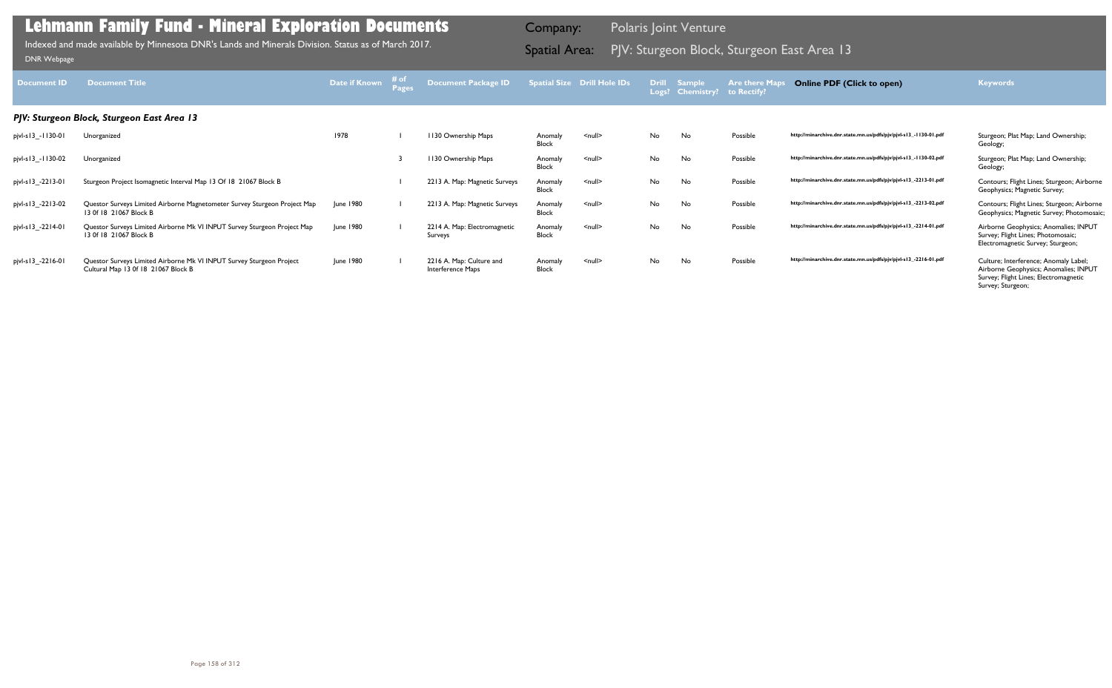| <b>Document ID</b> | <b>Document Title</b>                                                                                       | Date if Known | <b>Pages</b> | <b>Document Package ID</b>                    |                         | <b>Spatial Size Drill Hole IDs</b> | <b>Drill</b> | <b>Sample</b><br>Logs? Chemistry? | <b>Are there Maps</b><br>to Rectify? | <b>Online PDF (Click to open)</b>                                | <b>Keywords</b>                                                                                                                              |
|--------------------|-------------------------------------------------------------------------------------------------------------|---------------|--------------|-----------------------------------------------|-------------------------|------------------------------------|--------------|-----------------------------------|--------------------------------------|------------------------------------------------------------------|----------------------------------------------------------------------------------------------------------------------------------------------|
|                    | PJV: Sturgeon Block, Sturgeon East Area 13                                                                  |               |              |                                               |                         |                                    |              |                                   |                                      |                                                                  |                                                                                                                                              |
| pjvl-s13_-1130-01  | Unorganized                                                                                                 | 1978          |              | 1130 Ownership Maps                           | Anomaly<br><b>Block</b> | $\leq$ null $\geq$                 | No.          | No                                | Possible                             | http://minarchive.dnr.state.mn.us/pdfs/pjv/pjvl-s13_-1130-01.pdf | Sturgeon; Plat Map; Land Ownership;<br>Geology;                                                                                              |
| pjvl-s13_-1130-02  | Unorganized                                                                                                 |               |              | 1130 Ownership Maps                           | Anomaly<br><b>Block</b> | $\leq$ null $\geq$                 | No.          | No                                | Possible                             | http://minarchive.dnr.state.mn.us/pdfs/pjv/pjvl-s13_-1130-02.pdf | Sturgeon; Plat Map; Land Ownership;<br>Geology;                                                                                              |
| pjvl-s13_-2213-01  | Sturgeon Project Isomagnetic Interval Map 13 Of 18 21067 Block B                                            |               |              | 2213 A. Map: Magnetic Surveys                 | Anomaly<br><b>Block</b> | $\leq$ null $\geq$                 | No.          | No                                | Possible                             | http://minarchive.dnr.state.mn.us/pdfs/pjv/pjvl-s13_-2213-01.pdf | Contours; Flight Lines; Sturgeon; Airborne<br>Geophysics; Magnetic Survey;                                                                   |
| pjvl-s13_-2213-02  | Questor Surveys Limited Airborne Magnetometer Survey Sturgeon Project Map<br>13 Of 18 21067 Block B         | June 1980     |              | 2213 A. Map: Magnetic Surveys                 | Anomaly<br><b>Block</b> | $\leq$ null $\geq$                 | No.          | No                                | Possible                             | http://minarchive.dnr.state.mn.us/pdfs/pjv/pjvl-s13_-2213-02.pdf | Contours; Flight Lines; Sturgeon; Airborne<br>Geophysics; Magnetic Survey; Photomosaic;                                                      |
| pjvl-s13_-2214-01  | Questor Surveys Limited Airborne Mk VI INPUT Survey Sturgeon Project Map<br>13 Of 18 21067 Block B          | June 1980     |              | 2214 A. Map: Electromagnetic<br>Surveys       | Anomaly<br><b>Block</b> | $\leq$ null $\geq$                 | <b>No</b>    | No                                | Possible                             | http://minarchive.dnr.state.mn.us/pdfs/pjv/pjvl-s13_-2214-01.pdf | Airborne Geophysics; Anomalies; INPUT<br>Survey; Flight Lines; Photomosaic;<br>Electromagnetic Survey; Sturgeon;                             |
| pjvl-s13_-2216-01  | Questor Surveys Limited Airborne Mk VI INPUT Survey Sturgeon Project<br>Cultural Map 13 0f 18 21067 Block B | June 1980     |              | 2216 A. Map: Culture and<br>Interference Maps | Anomaly<br><b>Block</b> | $\leq$ null $\geq$                 | No           | No                                | Possible                             | http://minarchive.dnr.state.mn.us/pdfs/pjv/pjvl-s13_-2216-01.pdf | Culture; Interference; Anomaly Label;<br>Airborne Geophysics; Anomalies; INPUT<br>Survey; Flight Lines; Electromagnetic<br>Survey; Sturgeon; |

PJV: Sturgeon Block, Sturgeon East Area 13 Indexed and made available by Minnesota DNR's Lands and Minerals Division. Status as of March 2017. Spatial Area: [DNR Webpage](http://www.dnr.state.mn.us/lands_minerals/polaris/index.html)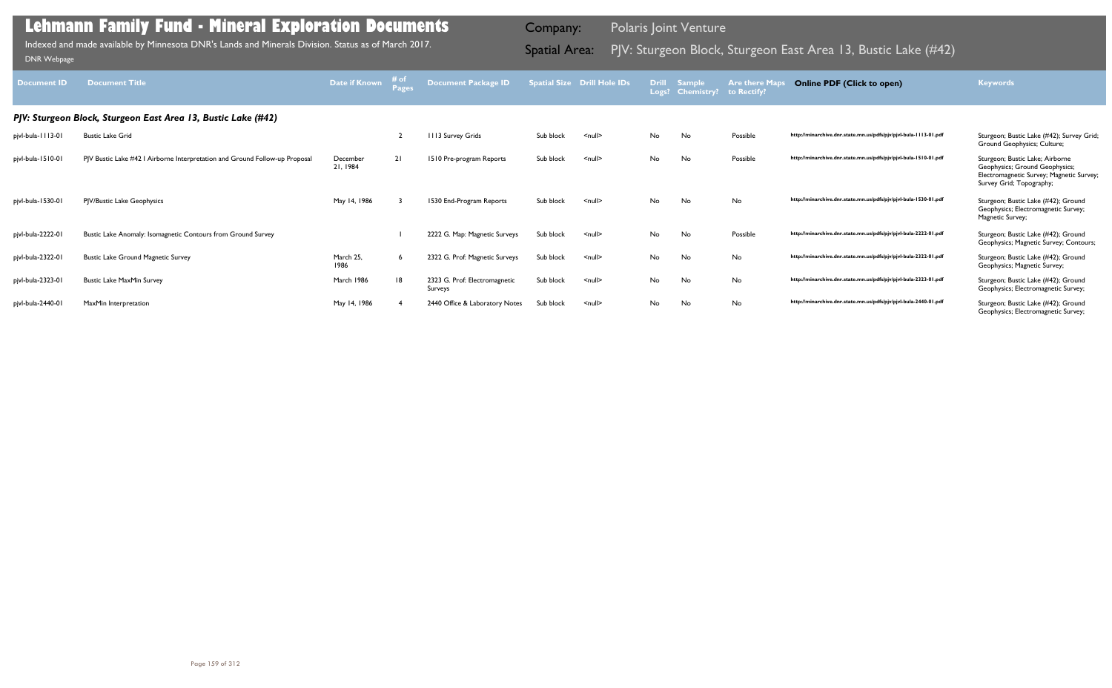| <b>Document ID</b> | <b>Document Title</b>                                                       | Date if Known        | $-$ # of $-$ | Document Package ID                      |           | <b>Spatial Size Drill Hole IDs</b> | <b>Drill</b> | <b>Sample</b><br>Logs? Chemistry? to Rectify? | <b>Are there Maps</b> | <b>Online PDF (Click to open)</b>                                | <b>Keywords</b>                                                                                                                           |
|--------------------|-----------------------------------------------------------------------------|----------------------|--------------|------------------------------------------|-----------|------------------------------------|--------------|-----------------------------------------------|-----------------------|------------------------------------------------------------------|-------------------------------------------------------------------------------------------------------------------------------------------|
|                    | PJV: Sturgeon Block, Sturgeon East Area 13, Bustic Lake (#42)               |                      |              |                                          |           |                                    |              |                                               |                       |                                                                  |                                                                                                                                           |
| pjvl-bula-1113-01  | <b>Bustic Lake Grid</b>                                                     |                      |              | 1113 Survey Grids                        | Sub block | $null$                             | No           | No                                            | Possible              | http://minarchive.dnr.state.mn.us/pdfs/pjv/pjvl-bula-1113-01.pdf | Sturgeon; Bustic Lake (#42); Survey Grid;<br>Ground Geophysics; Culture;                                                                  |
| pjvl-bula-1510-01  | PJV Bustic Lake #42 I Airborne Interpretation and Ground Follow-up Proposal | December<br>21, 1984 | 21           | 1510 Pre-program Reports                 | Sub block | $\leq$ null $\geq$                 | No           | <b>No</b>                                     | Possible              | http://minarchive.dnr.state.mn.us/pdfs/pjv/pjvl-bula-1510-01.pdf | Sturgeon; Bustic Lake; Airborne<br>Geophysics; Ground Geophysics;<br>Electromagnetic Survey; Magnetic Survey;<br>Survey Grid; Topography; |
| pjvl-bula-1530-01  | PJV/Bustic Lake Geophysics                                                  | May 14, 1986         |              | 1530 End-Program Reports                 | Sub block | $\leq$ null $\geq$                 | No           | No                                            | No                    | http://minarchive.dnr.state.mn.us/pdfs/pjv/pjvl-bula-1530-01.pdf | Sturgeon; Bustic Lake (#42); Ground<br>Geophysics; Electromagnetic Survey;<br>Magnetic Survey;                                            |
| pjvl-bula-2222-01  | Bustic Lake Anomaly: Isomagnetic Contours from Ground Survey                |                      |              | 2222 G. Map: Magnetic Surveys            | Sub block | $\leq$ null $\geq$                 | No           | No                                            | Possible              | http://minarchive.dnr.state.mn.us/pdfs/pjv/pjvl-bula-2222-01.pdf | Sturgeon; Bustic Lake (#42); Ground<br>Geophysics; Magnetic Survey; Contours;                                                             |
| pjvl-bula-2322-01  | Bustic Lake Ground Magnetic Survey                                          | March 25,<br>1986    |              | 2322 G. Prof: Magnetic Surveys           | Sub block | $\leq$ null $\geq$                 | No           | No                                            | No                    | http://minarchive.dnr.state.mn.us/pdfs/pjv/pjvl-bula-2322-01.pdf | Sturgeon; Bustic Lake (#42); Ground<br>Geophysics; Magnetic Survey;                                                                       |
| pjvl-bula-2323-01  | Bustic Lake MaxMin Survey                                                   | March 1986           | 18           | 2323 G. Prof: Electromagnetic<br>Surveys | Sub block | $\leq$ null $\geq$                 | No           | No                                            | No                    | http://minarchive.dnr.state.mn.us/pdfs/pjv/pjvl-bula-2323-01.pdf | Sturgeon; Bustic Lake (#42); Ground<br>Geophysics; Electromagnetic Survey;                                                                |
| pjvl-bula-2440-01  | MaxMin Interpretation                                                       | May 14, 1986         |              | 2440 Office & Laboratory Notes           | Sub block | $\leq$ null $\geq$                 | No           | No                                            | No                    | http://minarchive.dnr.state.mn.us/pdfs/pjv/pjvl-bula-2440-01.pdf | Sturgeon; Bustic Lake (#42); Ground<br>Geophysics; Electromagnetic Survey;                                                                |

Indexed and made available by Minnesota DNR's Lands and Minerals Division. Status as of March 2017. **Spatial Area:** PJV: Sturgeon Block, Sturgeon East Area 13, Bustic Lake (#42) DNR Webpage Indexed and made available by Minnesota DNR's Lands and Minerals Division. Status as of March 2017.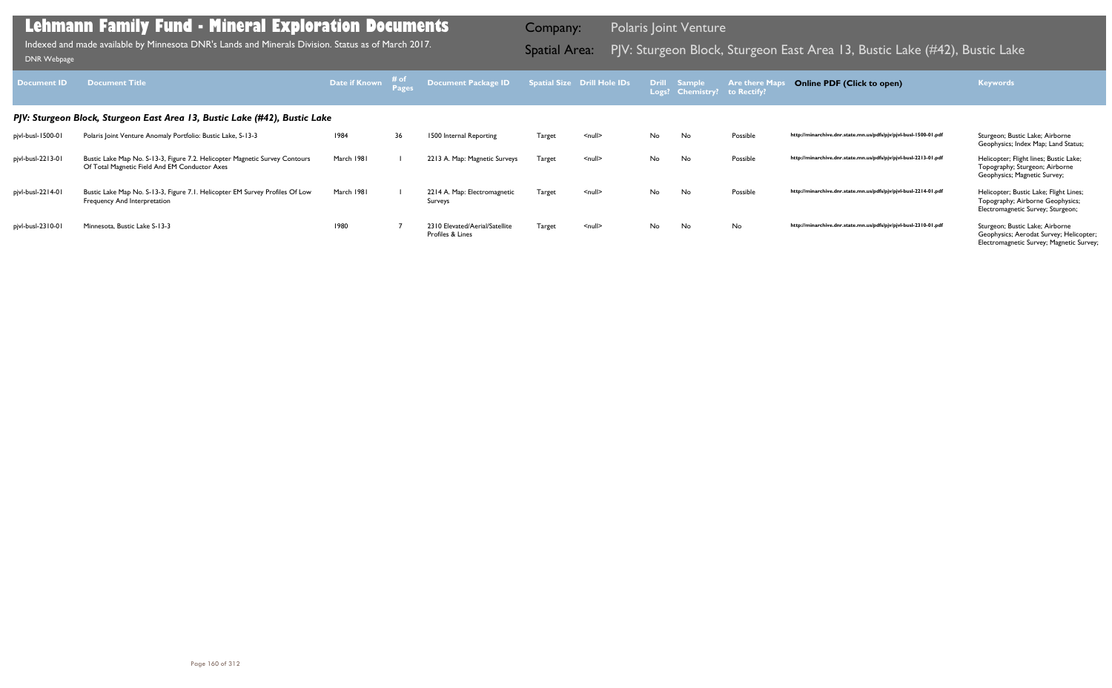| <b>Document ID</b> | <b>Document Title</b>                                                                                                        | <b>Date if Known</b> # of<br>Pages |    | Document Package ID                                |               | Spatial Size Drill Hole IDs |    | Drill Sample<br>Logs? Chemistry? to Rectify? | <b>Are there Map</b> | <b>Online PDF (Click to open)</b>                                | <b>Keywords</b>                                                                                                        |
|--------------------|------------------------------------------------------------------------------------------------------------------------------|------------------------------------|----|----------------------------------------------------|---------------|-----------------------------|----|----------------------------------------------|----------------------|------------------------------------------------------------------|------------------------------------------------------------------------------------------------------------------------|
|                    | PJV: Sturgeon Block, Sturgeon East Area 13, Bustic Lake (#42), Bustic Lake                                                   |                                    |    |                                                    |               |                             |    |                                              |                      |                                                                  |                                                                                                                        |
| pjvl-busl-1500-01  | Polaris Joint Venture Anomaly Portfolio: Bustic Lake, S-13-3                                                                 | 1984                               | 36 | 1500 Internal Reporting                            | Target        | <null></null>               | No | No                                           | Possible             | http://minarchive.dnr.state.mn.us/pdfs/pjv/pjvl-busl-1500-01.pdf | Sturgeon; Bustic Lake; Airborne<br>Geophysics; Index Map; Land Status;                                                 |
| pjvl-busl-2213-01  | Bustic Lake Map No. S-13-3, Figure 7.2. Helicopter Magnetic Survey Contours<br>Of Total Magnetic Field And EM Conductor Axes | March 1981                         |    | 2213 A. Map: Magnetic Surveys                      | <b>Target</b> | $null$                      | No | No                                           | Possible             | http://minarchive.dnr.state.mn.us/pdfs/pjv/pjvl-busl-2213-01.pdf | Helicopter; Flight lines; Bustic Lake;<br>Topography; Sturgeon; Airborne<br>Geophysics; Magnetic Survey;               |
| pjvl-busl-2214-01  | Bustic Lake Map No. S-13-3, Figure 7.1. Helicopter EM Survey Profiles Of Low<br>Frequency And Interpretation                 | March 1981                         |    | 2214 A. Map: Electromagnetic<br>Surveys            | <b>Target</b> | $null$                      | No | No                                           | Possible             | http://minarchive.dnr.state.mn.us/pdfs/pjv/pjvl-busl-2214-01.pdf | Helicopter; Bustic Lake; Flight Lines;<br>Topography; Airborne Geophysics;<br>Electromagnetic Survey; Sturgeon;        |
| pjvl-busl-2310-01  | Minnesota, Bustic Lake S-13-3                                                                                                | 1980                               |    | 2310 Elevated/Aerial/Satellite<br>Profiles & Lines | Target        | $null$                      | No | No                                           | No                   | http://minarchive.dnr.state.mn.us/pdfs/pjv/pjvl-busl-2310-01.pdf | Sturgeon; Bustic Lake; Airborne<br>Geophysics; Aerodat Survey; Helicopter;<br>Electromagnetic Survey; Magnetic Survey; |

Indexed and made available by Minnesota DNR's Lands and Minerals Division. Status as of March 2017. **Spatial Area:** PJV: Sturgeon Block, Sturgeon East Area 13, Bustic Lake (#42), Bustic Lake Lake Lake Lake Lake Lake Lake L Indexed and made available by Minnesota DNR's Lands and Minerals Division. Status as of March 2017.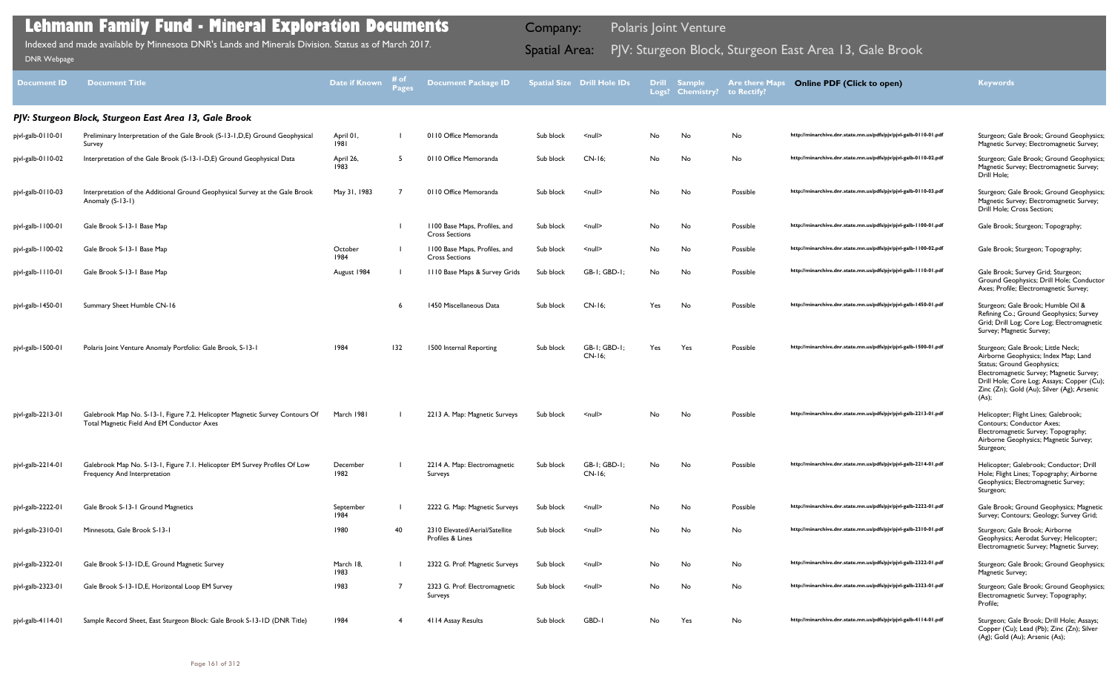| <b>Document ID</b> | <b>Document Title</b>                                                                                                      | Date if Known     | # of<br>Pages | <b>Document Package ID</b>                             |           | <b>Spatial Size Drill Hole IDs</b> | <b>Drill</b><br>Logs? | <b>Sample</b><br><b>Chemistry?</b> | <b>Are there Maps</b><br>to Rectify? | <b>Online PDF (Click to open)</b>                                | <b>Keywords</b>                                                                                                                                                                                                                                           |
|--------------------|----------------------------------------------------------------------------------------------------------------------------|-------------------|---------------|--------------------------------------------------------|-----------|------------------------------------|-----------------------|------------------------------------|--------------------------------------|------------------------------------------------------------------|-----------------------------------------------------------------------------------------------------------------------------------------------------------------------------------------------------------------------------------------------------------|
|                    | PJV: Sturgeon Block, Sturgeon East Area 13, Gale Brook                                                                     |                   |               |                                                        |           |                                    |                       |                                    |                                      |                                                                  |                                                                                                                                                                                                                                                           |
| pjvl-galb-0110-01  | Preliminary Interpretation of the Gale Brook (S-13-1, D, E) Ground Geophysical<br>Survey                                   | April 01,<br>1981 |               | 0110 Office Memoranda                                  | Sub block | $\leq$ null $\geq$                 | No                    | No                                 | No                                   | http://minarchive.dnr.state.mn.us/pdfs/pjv/pjvl-galb-0110-01.pdf | Sturgeon; Gale Brook; Ground Geophysics;<br>Magnetic Survey; Electromagnetic Survey;                                                                                                                                                                      |
| pjvl-galb-0110-02  | Interpretation of the Gale Brook (S-13-1-D,E) Ground Geophysical Data                                                      | April 26,<br>1983 | 5             | 0110 Office Memoranda                                  | Sub block | $CN-16$                            | No                    | No                                 | No                                   | http://minarchive.dnr.state.mn.us/pdfs/pjv/pjvl-galb-0110-02.pdf | Sturgeon; Gale Brook; Ground Geophysics;<br>Magnetic Survey; Electromagnetic Survey;<br>Drill Hole;                                                                                                                                                       |
| pjvl-galb-0110-03  | Interpretation of the Additional Ground Geophysical Survey at the Gale Brook<br>Anomaly (S-13-1)                           | May 31, 1983      |               | 0110 Office Memoranda                                  | Sub block | $\leq$ null $\geq$                 | No                    | No                                 | Possible                             | http://minarchive.dnr.state.mn.us/pdfs/pjv/pjvl-galb-0110-03.pdf | Sturgeon; Gale Brook; Ground Geophysics;<br>Magnetic Survey; Electromagnetic Survey;<br>Drill Hole; Cross Section;                                                                                                                                        |
| pjvl-galb-1100-01  | Gale Brook S-13-1 Base Map                                                                                                 |                   |               | 1100 Base Maps, Profiles, and<br><b>Cross Sections</b> | Sub block | $\leq$ null $\geq$                 | No                    | No                                 | Possible                             | http://minarchive.dnr.state.mn.us/pdfs/pjv/pjvl-galb-1100-01.pdf | Gale Brook; Sturgeon; Topography;                                                                                                                                                                                                                         |
| pjvl-galb-1100-02  | Gale Brook S-13-1 Base Map                                                                                                 | October<br>1984   |               | 1100 Base Maps, Profiles, and<br><b>Cross Sections</b> | Sub block | $\leq$ null $\geq$                 | No                    | No                                 | Possible                             | http://minarchive.dnr.state.mn.us/pdfs/pjv/pjvl-galb-1100-02.pdf | Gale Brook; Sturgeon; Topography;                                                                                                                                                                                                                         |
| pjvl-galb-1110-01  | Gale Brook S-13-1 Base Map                                                                                                 | August 1984       |               | 1110 Base Maps & Survey Grids                          | Sub block | GB-1; GBD-1;                       | No                    | No                                 | Possible                             | http://minarchive.dnr.state.mn.us/pdfs/pjv/pjvl-galb-1110-01.pdf | Gale Brook; Survey Grid; Sturgeon;<br>Ground Geophysics; Drill Hole; Conductor<br>Axes; Profile; Electromagnetic Survey;                                                                                                                                  |
| pjvl-galb-1450-01  | Summary Sheet Humble CN-16                                                                                                 |                   | -6            | 1450 Miscellaneous Data                                | Sub block | $CN-16$                            | Yes                   | No                                 | Possible                             | http://minarchive.dnr.state.mn.us/pdfs/pjv/pjvl-galb-1450-01.pdf | Sturgeon; Gale Brook; Humble Oil &<br>Refining Co.; Ground Geophysics; Survey<br>Grid; Drill Log; Core Log; Electromagnetic<br>Survey; Magnetic Survey;                                                                                                   |
| pjvl-galb-1500-01  | Polaris Joint Venture Anomaly Portfolio: Gale Brook, S-13-1                                                                | 1984              | 132           | 1500 Internal Reporting                                | Sub block | GB-I; GBD-I;<br>$CN-16$            | Yes                   | Yes                                | Possible                             | http://minarchive.dnr.state.mn.us/pdfs/pjv/pjvl-galb-1500-01.pdf | Sturgeon; Gale Brook; Little Neck;<br>Airborne Geophysics; Index Map; Land<br>Status; Ground Geophysics;<br>Electromagnetic Survey; Magnetic Survey;<br>Drill Hole; Core Log; Assays; Copper (Cu);<br>Zinc (Zn); Gold (Au); Silver (Ag); Arsenic<br>(As); |
| pjvl-galb-2213-01  | Galebrook Map No. S-13-1, Figure 7.2. Helicopter Magnetic Survey Contours Of<br>Total Magnetic Field And EM Conductor Axes | March 1981        |               | 2213 A. Map: Magnetic Surveys                          | Sub block | $\leq$ null $\geq$                 | No.                   | No                                 | Possible                             | http://minarchive.dnr.state.mn.us/pdfs/pjv/pjvl-galb-2213-01.pdf | Helicopter; Flight Lines; Galebrook;<br><b>Contours: Conductor Axes:</b><br>Electromagnetic Survey; Topography;<br>Airborne Geophysics; Magnetic Survey;<br>Sturgeon;                                                                                     |
| pjvl-galb-2214-01  | Galebrook Map No. S-13-1, Figure 7.1. Helicopter EM Survey Profiles Of Low<br>Frequency And Interpretation                 | December<br>1982  |               | 2214 A. Map: Electromagnetic<br>Surveys                | Sub block | GB-I; GBD-I;<br>CN-16:             | No                    | No                                 | Possible                             | http://minarchive.dnr.state.mn.us/pdfs/pjv/pjvl-galb-2214-01.pdf | Helicopter; Galebrook; Conductor; Drill<br>Hole; Flight Lines; Topography; Airborne<br>Geophysics; Electromagnetic Survey;<br>Sturgeon;                                                                                                                   |
| pjvl-galb-2222-01  | Gale Brook S-13-1 Ground Magnetics                                                                                         | September<br>1984 |               | 2222 G. Map: Magnetic Surveys                          | Sub block | $\leq$ null $\geq$                 | No                    | No                                 | Possible                             | http://minarchive.dnr.state.mn.us/pdfs/pjv/pjvl-galb-2222-01.pdf | Gale Brook; Ground Geophysics; Magnetic<br>Survey; Contours; Geology; Survey Grid;                                                                                                                                                                        |
| pjvl-galb-2310-01  | Minnesota, Gale Brook S-13-1                                                                                               | 1980              | 40            | 2310 Elevated/Aerial/Satellite<br>Profiles & Lines     | Sub block | $\leq$ null $\geq$                 | No                    | No                                 | No                                   | http://minarchive.dnr.state.mn.us/pdfs/pjv/pjvl-galb-2310-01.pdf | Sturgeon; Gale Brook; Airborne<br>Geophysics; Aerodat Survey; Helicopter;<br>Electromagnetic Survey; Magnetic Survey;                                                                                                                                     |
| pjvl-galb-2322-01  | Gale Brook S-13-1D, E, Ground Magnetic Survey                                                                              | March 18,<br>1983 |               | 2322 G. Prof: Magnetic Surveys                         | Sub block | $\leq$ null $\geq$                 | No                    | No                                 | No                                   | http://minarchive.dnr.state.mn.us/pdfs/pjv/pjvl-galb-2322-01.pdf | Sturgeon; Gale Brook; Ground Geophysics;<br>Magnetic Survey;                                                                                                                                                                                              |
| pjvl-galb-2323-01  | Gale Brook S-13-1D, E, Horizontal Loop EM Survey                                                                           | 1983              | 7             | 2323 G. Prof: Electromagnetic<br>Surveys               | Sub block | $\leq$ null $\geq$                 | No                    | No                                 | No                                   | http://minarchive.dnr.state.mn.us/pdfs/pjv/pjvl-galb-2323-01.pdf | Sturgeon; Gale Brook; Ground Geophysics;<br>Electromagnetic Survey; Topography;<br>Profile;                                                                                                                                                               |
| pjvl-galb-4114-01  | Sample Record Sheet, East Sturgeon Block: Gale Brook S-13-1D (DNR Title)                                                   | 1984              | -4            | 4114 Assay Results                                     | Sub block | GBD-I                              | No.                   | Yes                                | No                                   | http://minarchive.dnr.state.mn.us/pdfs/pjv/pjvl-galb-4114-01.pdf | Sturgeon; Gale Brook; Drill Hole; Assays;<br>Copper (Cu); Lead (Pb); Zinc (Zn); Silver<br>(Ag); Gold (Au); Arsenic (As);                                                                                                                                  |

Indexed and made available by Minnesota DNR's Lands and Minerals Division. Status as of March 2017. **Spatial Area:** PJV: Sturgeon Block, Sturgeon East Area 13, Gale Brook <sub>DNR Webpage</sub> Indexed and made available by Minnesota DNR's Lands and Minerals Division. Status as of March 2017.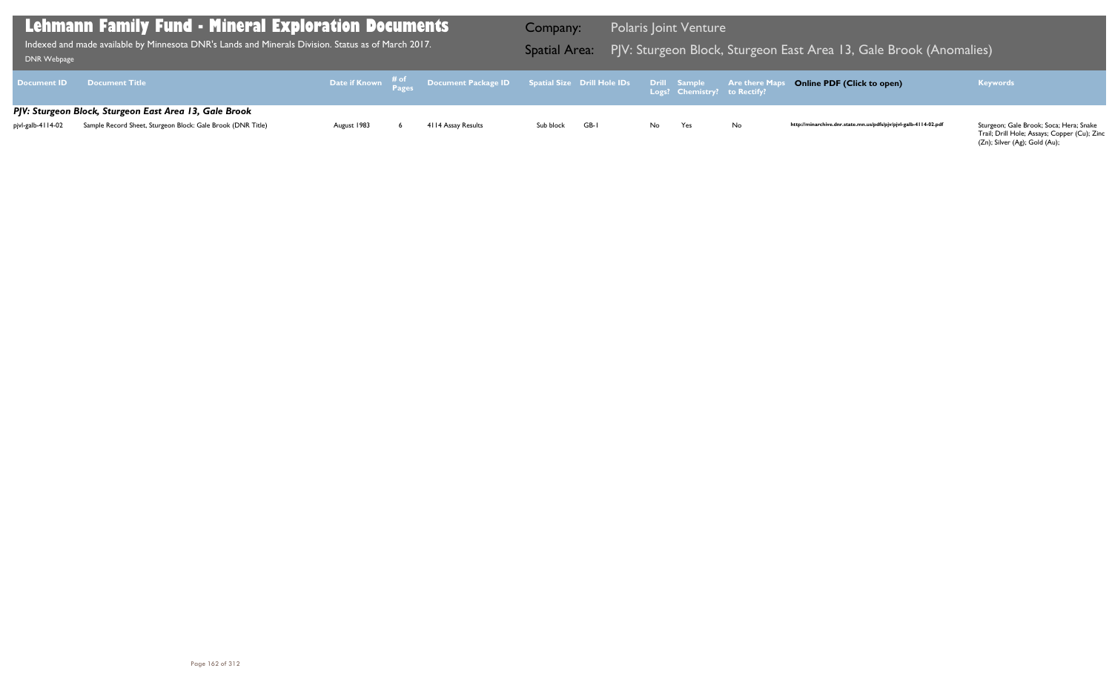| DNR Webpage        | Lehmann Family Fund - Mineral Exploration Documents  <br>Indexed and made available by Minnesota DNR's Lands and Minerals Division. Status as of March 2017. |             |                                                                                                     | Company:<br><b>Spatial Area:</b> |      |     | <b>Polaris Joint Venture</b>                        | PJV: Sturgeon Block, Sturgeon E |
|--------------------|--------------------------------------------------------------------------------------------------------------------------------------------------------------|-------------|-----------------------------------------------------------------------------------------------------|----------------------------------|------|-----|-----------------------------------------------------|---------------------------------|
| <b>Document ID</b> | <b>Document Title</b>                                                                                                                                        |             | Date if Known $\mathop{\hbox{\rm Re}}\limits^{406}$ Document Package ID Spatial Size Drill Hole IDs |                                  |      |     | <b>Drill Sample</b><br>Logs? Chemistry? to Rectify? | <b>Are there Maps</b>           |
| pjvl-galb-4114-02  | PJV: Sturgeon Block, Sturgeon East Area 13, Gale Brook<br>Sample Record Sheet, Sturgeon Block: Gale Brook (DNR Title)                                        | August 1983 | 4114 Assay Results                                                                                  | Sub block                        | GB-I | No. | Yes                                                 | No                              |

Trail; Drill Hole; Assays; Copper (Cu); Zinc (Zn); Silver (Ag); Gold (Au);

### East Area 13, Gale Brook (Anomalies)

### **Online PDF (Click to open) Keywords**

http://minarchive.dnr.state.mn.us/pdfs/pjv/pjvl-galb-4114-02.pdf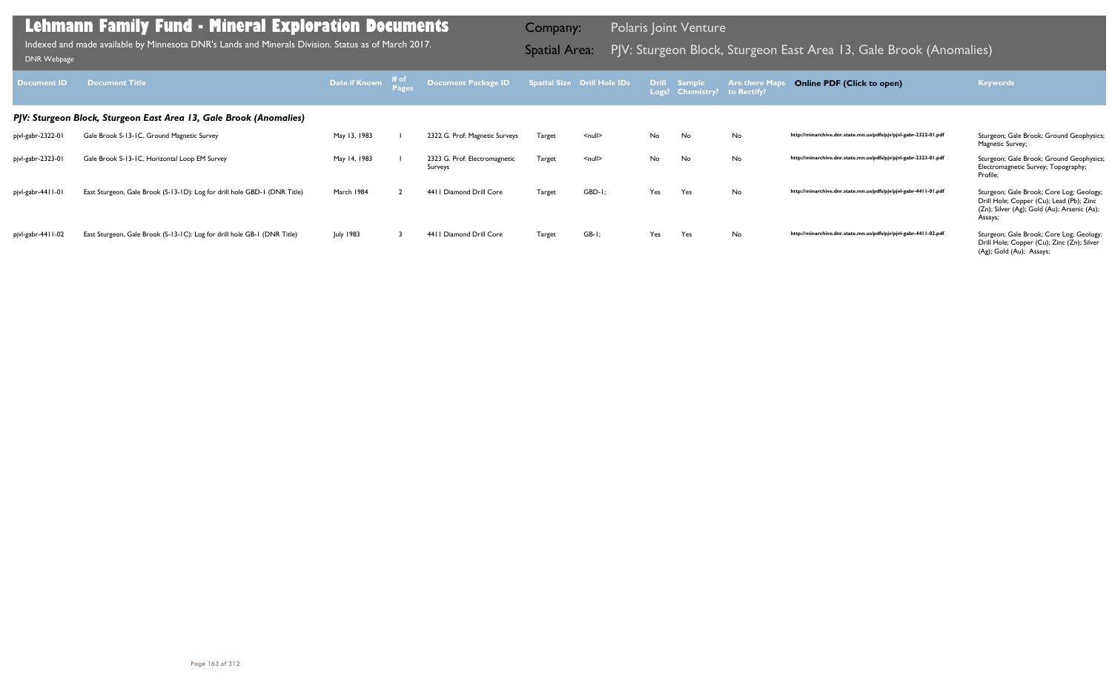| Document <b>ID</b> | <b>Document Title</b>                                                     | Date if Known    | ਾ ਜ ੦ਾ<br>Pages | <b>Document Package ID</b>               |               | Spatial Size Drill Hole IDs |     | Drill Sample<br>Logs? Chemistry? | <b>Are there Maps</b><br>to Rectify? | <b>Online PDF (Click to open)</b>                                | <b>Keywords</b>                                                                                                                                |
|--------------------|---------------------------------------------------------------------------|------------------|-----------------|------------------------------------------|---------------|-----------------------------|-----|----------------------------------|--------------------------------------|------------------------------------------------------------------|------------------------------------------------------------------------------------------------------------------------------------------------|
|                    | PJV: Sturgeon Block, Sturgeon East Area 13, Gale Brook (Anomalies)        |                  |                 |                                          |               |                             |     |                                  |                                      |                                                                  |                                                                                                                                                |
| pjvl-gabr-2322-01  | Gale Brook S-13-1C, Ground Magnetic Survey                                | May 13, 1983     |                 | 2322 G. Prof: Magnetic Surveys           | Target        | $\leq$ null $\geq$          | No  | No                               | No                                   | http://minarchive.dnr.state.mn.us/pdfs/pjv/pjvl-gabr-2322-01.pdf | Sturgeon; Gale Brook; Ground Geophysics;<br>Magnetic Survey;                                                                                   |
| pjvl-gabr-2323-01  | Gale Brook S-13-1C, Horizontal Loop EM Survey                             | May 14, 1983     |                 | 2323 G. Prof: Electromagnetic<br>Surveys | <b>Target</b> | $null$                      | No  | No                               | No                                   | http://minarchive.dnr.state.mn.us/pdfs/pjv/pjvl-gabr-2323-01.pdf | Sturgeon; Gale Brook; Ground Geophysics;<br>Electromagnetic Survey; Topography;<br>Profile:                                                    |
| pjvl-gabr-4411-01  | East Sturgeon, Gale Brook (S-13-1D): Log for drill hole GBD-1 (DNR Title) | March 1984       |                 | 4411 Diamond Drill Core                  | <b>Target</b> | GBD-I;                      | Yes | Yes                              | No                                   | http://minarchive.dnr.state.mn.us/pdfs/pjv/pjvl-gabr-4411-01.pdf | Sturgeon; Gale Brook; Core Log; Geology;<br>Drill Hole; Copper (Cu); Lead (Pb); Zinc<br>(Zn); Silver (Ag); Gold (Au); Arsenic (As);<br>Assays; |
| pjvl-gabr-4411-02  | East Sturgeon, Gale Brook (S-13-1C): Log for drill hole GB-1 (DNR Title)  | <b>July 1983</b> |                 | 4411 Diamond Drill Core                  | Target        | $GB-I;$                     | Yes | Yes                              | No                                   | http://minarchive.dnr.state.mn.us/pdfs/pjv/pjvl-gabr-4411-02.pdf | Sturgeon; Gale Brook; Core Log; Geology;<br>Drill Hole; Copper (Cu); Zinc (Zn); Silver<br>(Ag); Gold (Au); Assays;                             |

Indexed and made available by Minnesota DNR's Lands and Minerals Division. Status as of March 2017. **Spatial Area:** PJV: Sturgeon Block, Sturgeon East Area 13, Gale Brook (Anomalies) <sub>DNR Webpage</sub> Indexed and made available by Minnesota DNR's Lands and Minerals Division. Status as of March 2017.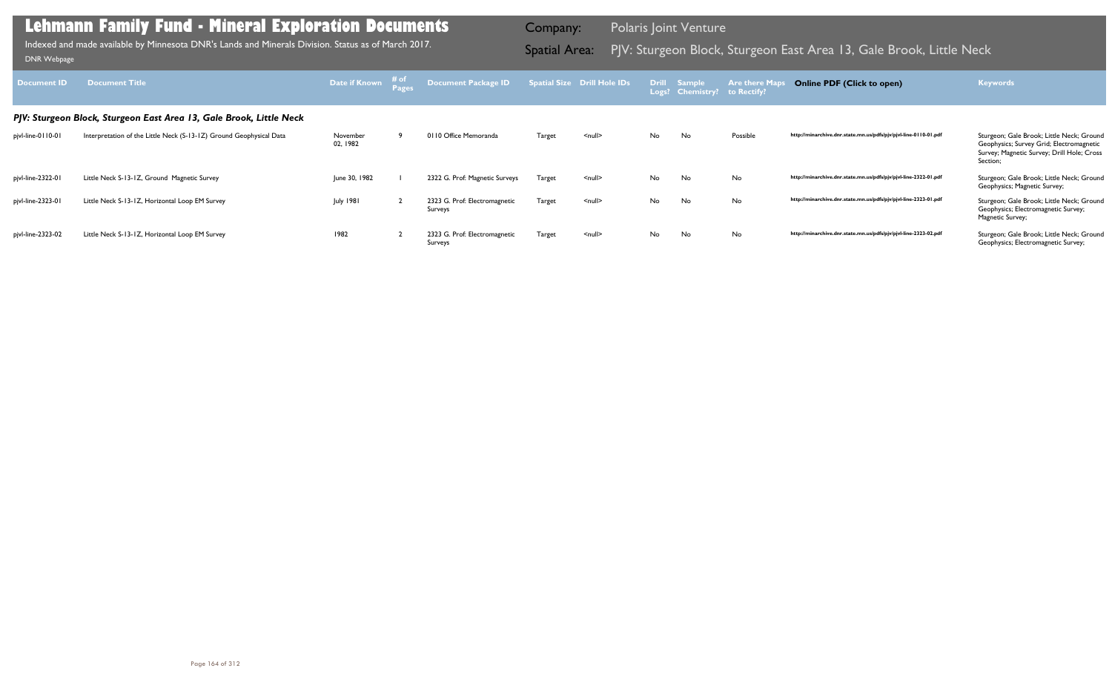| <b>Document ID</b> | <b>Document Title</b>                                               | Date if Known        | # of<br>Pages | Document Package ID                      |               | <b>Spatial Size Drill Hole IDs</b> |     | Drill Sample<br>Logs? Chemistry? | <b>Are there Maps</b><br>to Rectify? | <b>Online PDF (Click to open)</b>                                | <b>Keywords</b>                                                                                                                                 |
|--------------------|---------------------------------------------------------------------|----------------------|---------------|------------------------------------------|---------------|------------------------------------|-----|----------------------------------|--------------------------------------|------------------------------------------------------------------|-------------------------------------------------------------------------------------------------------------------------------------------------|
|                    | PJV: Sturgeon Block, Sturgeon East Area 13, Gale Brook, Little Neck |                      |               |                                          |               |                                    |     |                                  |                                      |                                                                  |                                                                                                                                                 |
| pjvl-line-0110-01  | Interpretation of the Little Neck (S-13-1Z) Ground Geophysical Data | November<br>02, 1982 |               | 0110 Office Memoranda                    | Target        | $null$                             | No. | No                               | Possible                             | http://minarchive.dnr.state.mn.us/pdfs/pjv/pjvl-line-0110-01.pdf | Sturgeon; Gale Brook; Little Neck; Ground<br>Geophysics; Survey Grid; Electromagnetic<br>Survey; Magnetic Survey; Drill Hole; Cross<br>Section; |
| pjvl-line-2322-01  | Little Neck S-13-1Z, Ground Magnetic Survey                         | June 30, 1982        |               | 2322 G. Prof: Magnetic Surveys           | Target        | $null$                             | No. | No                               | No                                   | http://minarchive.dnr.state.mn.us/pdfs/pjv/pjvl-line-2322-01.pdf | Sturgeon; Gale Brook; Little Neck; Ground<br>Geophysics; Magnetic Survey;                                                                       |
| pjvl-line-2323-01  | Little Neck S-13-1Z, Horizontal Loop EM Survey                      | <b>July 1981</b>     |               | 2323 G. Prof: Electromagnetic<br>Surveys | <b>Target</b> | $null$                             | No. | No                               | No                                   | http://minarchive.dnr.state.mn.us/pdfs/pjv/pjvl-line-2323-01.pdf | Sturgeon; Gale Brook; Little Neck; Ground<br>Geophysics; Electromagnetic Survey;<br>Magnetic Survey;                                            |
| pjvl-line-2323-02  | Little Neck S-13-1Z, Horizontal Loop EM Survey                      | 1982                 |               | 2323 G. Prof: Electromagnetic<br>Surveys | <b>Target</b> | $null$                             | No. | No                               | No                                   | http://minarchive.dnr.state.mn.us/pdfs/pjv/pjvl-line-2323-02.pdf | Sturgeon; Gale Brook; Little Neck; Ground<br>Geophysics; Electromagnetic Survey;                                                                |

Indexed and made available by Minnesota DNR's Lands and Minerals Division. Status as of March 2017. **Spatial Area:** PJV: Sturgeon Block, Sturgeon East Area 13, Gale Brook, Little Neck וDNR Webpage Indexed and made available by Minnesota DNR's Lands and Minerals Division. Status as of March 2017.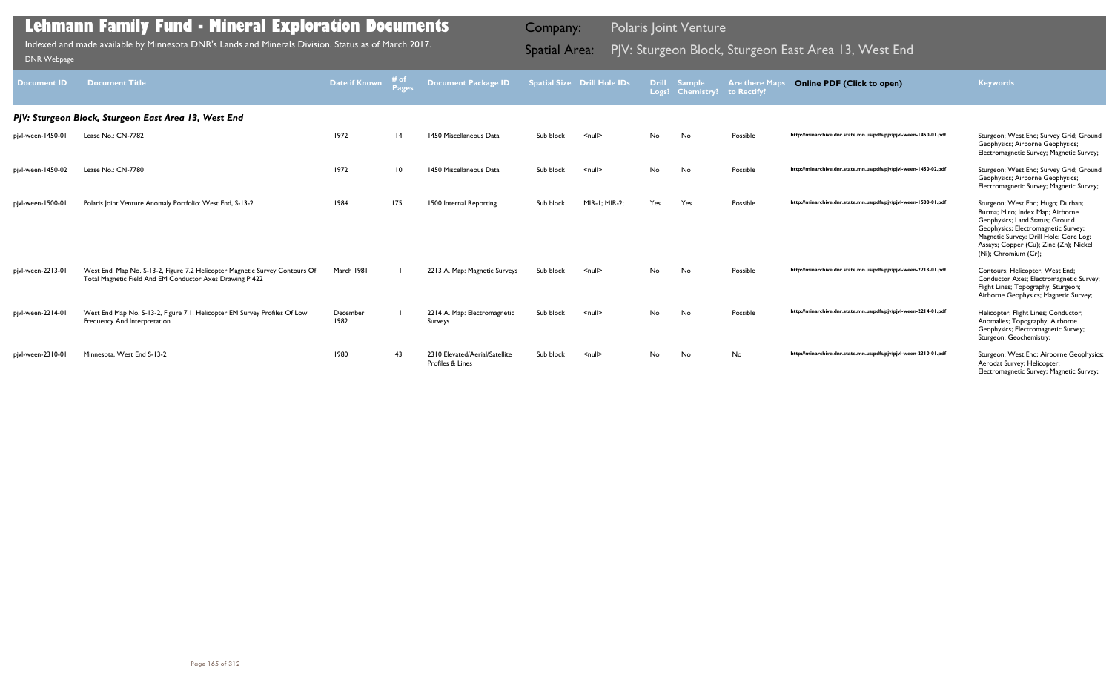| Document ID       | <b>Document Title</b>                                                                                                                   | Date if Known    | # of<br><b>Pages</b> | <b>Document Package ID</b>                         |           | <b>Spatial Size Drill Hole IDs</b> |           | Drill Sample<br>Logs? Chemistry? to Rectify? | <b>Are there Maps</b> | <b>Online PDF (Click to open)</b>                                | <b>Keywords</b>                                                                                                                                                                                                                                             |
|-------------------|-----------------------------------------------------------------------------------------------------------------------------------------|------------------|----------------------|----------------------------------------------------|-----------|------------------------------------|-----------|----------------------------------------------|-----------------------|------------------------------------------------------------------|-------------------------------------------------------------------------------------------------------------------------------------------------------------------------------------------------------------------------------------------------------------|
|                   | PJV: Sturgeon Block, Sturgeon East Area 13, West End                                                                                    |                  |                      |                                                    |           |                                    |           |                                              |                       |                                                                  |                                                                                                                                                                                                                                                             |
| pjvl-ween-1450-01 | Lease No.: CN-7782                                                                                                                      | 1972             | 4                    | 1450 Miscellaneous Data                            | Sub block | $\leq$ null $\geq$                 | <b>No</b> | No                                           | Possible              | http://minarchive.dnr.state.mn.us/pdfs/pjv/pjvl-ween-1450-01.pdf | Sturgeon; West End; Survey Grid; Ground<br>Geophysics; Airborne Geophysics;<br>Electromagnetic Survey; Magnetic Survey;                                                                                                                                     |
| pjvl-ween-1450-02 | Lease No.: CN-7780                                                                                                                      | 1972             | 10                   | 1450 Miscellaneous Data                            | Sub block | $\leq$ null $\geq$                 | <b>No</b> | <b>No</b>                                    | Possible              | http://minarchive.dnr.state.mn.us/pdfs/pjv/pjvl-ween-1450-02.pdf | Sturgeon; West End; Survey Grid; Ground<br>Geophysics; Airborne Geophysics;<br>Electromagnetic Survey; Magnetic Survey;                                                                                                                                     |
| pjvl-ween-1500-01 | Polaris Joint Venture Anomaly Portfolio: West End, S-13-2                                                                               | 1984             | 175                  | 1500 Internal Reporting                            | Sub block | MIR-1: MIR-2:                      | Yes       | Yes                                          | Possible              | http://minarchive.dnr.state.mn.us/pdfs/pjv/pjvl-ween-1500-01.pdf | Sturgeon; West End; Hugo; Durban;<br>Burma; Miro; Index Map; Airborne<br>Geophysics; Land Status; Ground<br>Geophysics; Electromagnetic Survey;<br>Magnetic Survey; Drill Hole; Core Log;<br>Assays; Copper (Cu); Zinc (Zn); Nickel<br>(Ni); Chromium (Cr); |
| pjvl-ween-2213-01 | West End, Map No. S-13-2, Figure 7.2 Helicopter Magnetic Survey Contours Of<br>Total Magnetic Field And EM Conductor Axes Drawing P 422 | March 1981       |                      | 2213 A. Map: Magnetic Surveys                      | Sub block | $\leq$ null $\geq$                 | No.       | No                                           | Possible              | http://minarchive.dnr.state.mn.us/pdfs/pjv/pjvl-ween-2213-01.pdf | Contours; Helicopter; West End;<br>Conductor Axes; Electromagnetic Survey;<br>Flight Lines; Topography; Sturgeon;<br>Airborne Geophysics; Magnetic Survey;                                                                                                  |
| pjvl-ween-2214-01 | West End Map No. S-13-2, Figure 7.1. Helicopter EM Survey Profiles Of Low<br><b>Frequency And Interpretation</b>                        | December<br>1982 |                      | 2214 A. Map: Electromagnetic<br>Surveys            | Sub block | $\leq$ null $\geq$                 | <b>No</b> | No                                           | Possible              | http://minarchive.dnr.state.mn.us/pdfs/pjv/pjvl-ween-2214-01.pdf | Helicopter; Flight Lines; Conductor;<br>Anomalies; Topography; Airborne<br>Geophysics; Electromagnetic Survey;<br>Sturgeon; Geochemistry;                                                                                                                   |
| pjvl-ween-2310-01 | Minnesota, West End S-13-2                                                                                                              | 1980             | 43                   | 2310 Elevated/Aerial/Satellite<br>Profiles & Lines | Sub block | $null$                             | No.       | No.                                          | No                    | http://minarchive.dnr.state.mn.us/pdfs/pjv/pjvl-ween-2310-01.pdf | Sturgeon; West End; Airborne Geophysics;<br>Aerodat Survey; Helicopter;<br>Electromagnetic Survey; Magnetic Survey;                                                                                                                                         |

Indexed and made available by Minnesota DNR's Lands and Minerals Division. Status as of March 2017. **Spatial Area:** PJV: Sturgeon Block, Sturgeon East Area 13, West End DNR Webpage Indexed and made available by Minnesota DNR's Lands and Minerals Division. Status as of March 2017.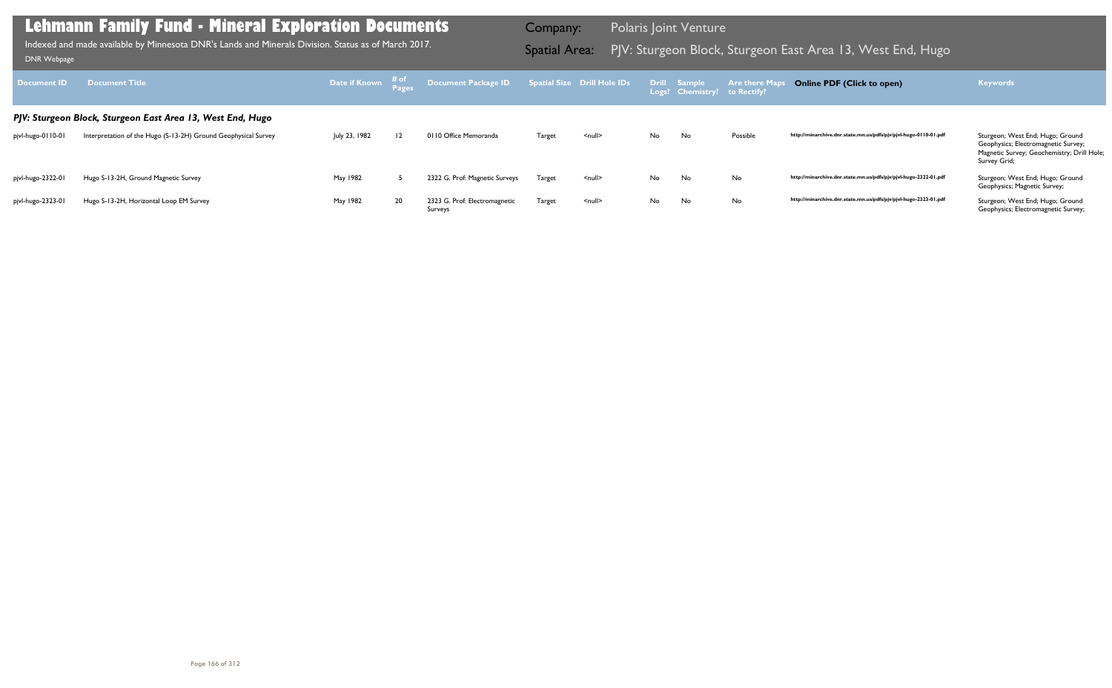| Document ID       | <b>Document Title</b>                                          |               |    | Date if Known # of Document Package ID Spatial Size Drill Hole IDs Drill Sample Are there Map |               |                    |     | Logs? Chemistry? to Rectify? |          | <b>Online PDF (Click to open)</b>                                | <b>Keywords</b>                                                                                                                       |
|-------------------|----------------------------------------------------------------|---------------|----|-----------------------------------------------------------------------------------------------|---------------|--------------------|-----|------------------------------|----------|------------------------------------------------------------------|---------------------------------------------------------------------------------------------------------------------------------------|
|                   | PJV: Sturgeon Block, Sturgeon East Area 13, West End, Hugo     |               |    |                                                                                               |               |                    |     |                              |          |                                                                  |                                                                                                                                       |
| pjvl-hugo-0110-01 | Interpretation of the Hugo (S-13-2H) Ground Geophysical Survey | July 23, 1982 | 2  | 0110 Office Memoranda                                                                         | Target        | <null></null>      | No. | No                           | Possible | http://minarchive.dnr.state.mn.us/pdfs/pjv/pjvl-hugo-0110-01.pdf | Sturgeon; West End; Hugo; Ground<br>Geophysics; Electromagnetic Survey;<br>Magnetic Survey; Geochemistry; Drill Hole;<br>Survey Grid; |
| pjvl-hugo-2322-01 | Hugo S-13-2H, Ground Magnetic Survey                           | May 1982      |    | 2322 G. Prof: Magnetic Surveys                                                                | <b>Target</b> | $null$             | No  | No.                          | No       | http://minarchive.dnr.state.mn.us/pdfs/pjv/pjvl-hugo-2322-01.pdf | Sturgeon; West End; Hugo; Ground<br>Geophysics; Magnetic Survey;                                                                      |
| pjvl-hugo-2323-01 | Hugo S-13-2H, Horizontal Loop EM Survey                        | May 1982      | 20 | 2323 G. Prof: Electromagnetic<br>Surveys                                                      | <b>Target</b> | $\leq$ null $\geq$ | No  | No                           | No       | http://minarchive.dnr.state.mn.us/pdfs/pjv/pjvl-hugo-2323-01.pdf | Sturgeon; West End; Hugo; Ground<br>Geophysics; Electromagnetic Survey;                                                               |

Indexed and made available by Minnesota DNR's Lands and Minerals Division. Status as of March 2017. **Spatial Area:** PJV: Sturgeon Block, Sturgeon East Area 13, West End, Hugo DNR Webpage Indexed and made available by Minnesota DNR's Lands and Minerals Division. Status as of March 2017.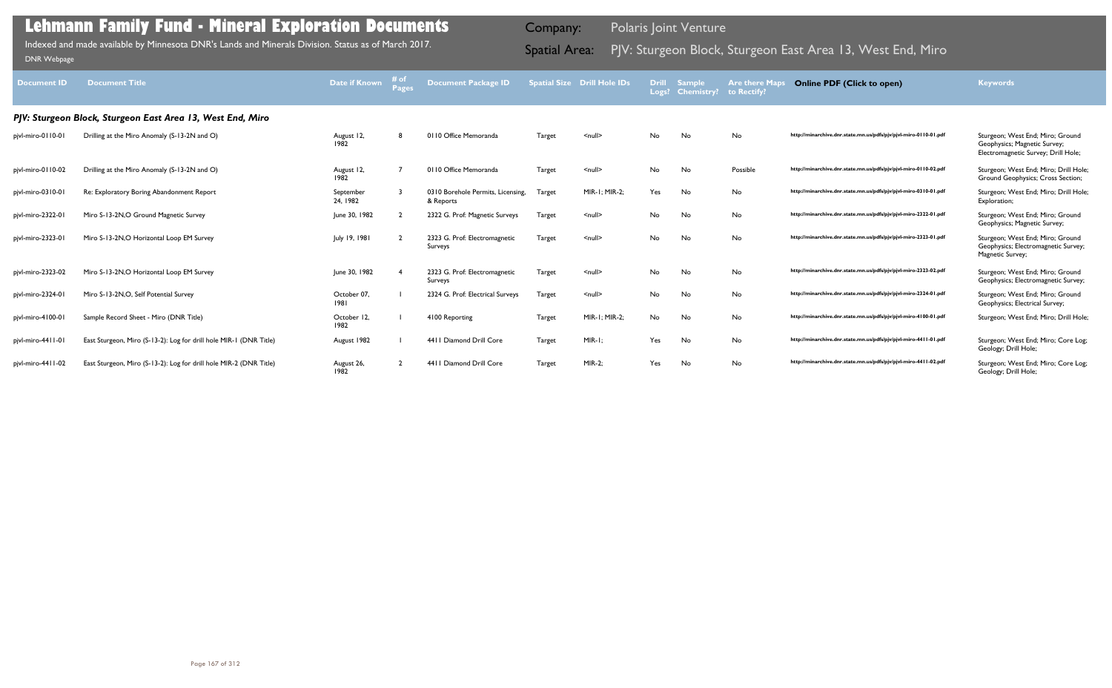### http://minarchive.dnr.state.mn.us/pdfs/pjv/pjvl-miro-0110-01.pdf Sturgeon; West End; Miro; Ground Geophysics; Magnetic Survey; Electromagnetic Survey; Drill Hole; 7 0110 Office Memoranda Target <null> No No Possible **http://minarchive.dnr.state.mn.us/pdfs/pjv/pjvl-miro-0110-02.pdf** Sturgeon; West End; Miro; Drill Hole; Ground Geophysics; Cross Section; http://minarchive.dnr.state.mn.us/pdfs/pjv/pjvl-miro-0310-01.pdf Sturgeon; West End; Miro; Drill Hole; Exploration; http://minarchive.dnr.state.mn.us/pdfs/pjv/pjvl-miro-2322-01.pdf Sturgeon; West End; Miro; Ground Geophysics; Magnetic Survey; http://minarchive.dnr.state.mn.us/pdfs/pjv/pjvl-miro-2323-01.pdf Sturgeon; West End; Miro; Ground Geophysics; Electromagnetic Survey; Magnetic Survey; http://minarchive.dnr.state.mn.us/pdfs/pjv/pjvl-miro-2323-02.pdf Sturgeon; West End; Miro; Ground Geophysics; Electromagnetic Survey; http://minarchive.dnr.state.mn.us/pdfs/pjv/pjvl-miro-2324-01.pdf Sturgeon; West End; Miro; Ground Geophysics; Electrical Survey; http://minarchive.dnr.state.mn.us/pdfs/pjv/pjvl-miro-4100-01.pdf Sturgeon; West End; Miro; Drill Hole; http://minarchive.dnr.state.mn.us/pdfs/pjv/pjvl-miro-4411-01.pdf Sturgeon; West End; Miro; Core Log; Geology; Drill Hole; http://minarchive.dnr.state.mn.us/pdfs/pjv/pjvl-miro-4411-02.pdf Sturgeon; West End; Miro; Core Log; Geology; Drill Hole;

| <b>Document ID</b> | <b>Document Title</b>                                              | <b>Date if Known</b>  | # of<br><b>Pages</b> | <b>Document Package ID</b>                     |               | <b>Spatial Size Drill Hole IDs</b> | <b>Drill</b><br>Logs? | <b>Sample</b><br><b>Chemistry?</b> | <b>Are there Maps</b><br>to Rectify? |
|--------------------|--------------------------------------------------------------------|-----------------------|----------------------|------------------------------------------------|---------------|------------------------------------|-----------------------|------------------------------------|--------------------------------------|
|                    | PJV: Sturgeon Block, Sturgeon East Area 13, West End, Miro         |                       |                      |                                                |               |                                    |                       |                                    |                                      |
| pjvl-miro-0110-01  | Drilling at the Miro Anomaly (S-13-2N and O)                       | August 12,<br>1982    | 8                    | 0110 Office Memoranda                          | Target        | $null$                             | No                    | No                                 | No                                   |
| pjvl-miro-0110-02  | Drilling at the Miro Anomaly (S-13-2N and O)                       | August 12,<br>1982    | $\overline{7}$       | 0110 Office Memoranda                          | Target        | $null$                             | No                    | No                                 | Possible                             |
| pjvl-miro-0310-01  | Re: Exploratory Boring Abandonment Report                          | September<br>24, 1982 | 3                    | 0310 Borehole Permits, Licensing,<br>& Reports | Target        | MIR-1; MIR-2;                      | Yes                   | No                                 | No                                   |
| pjvl-miro-2322-01  | Miro S-13-2N, O Ground Magnetic Survey                             | June 30, 1982         | $\overline{2}$       | 2322 G. Prof: Magnetic Surveys                 | Target        | $null$                             | No                    | No                                 | No                                   |
| pjvl-miro-2323-01  | Miro S-13-2N, O Horizontal Loop EM Survey                          | July 19, 1981         | $\overline{2}$       | 2323 G. Prof: Electromagnetic<br>Surveys       | <b>Target</b> | $null$                             | No                    | No                                 | No                                   |
| pjvl-miro-2323-02  | Miro S-13-2N, O Horizontal Loop EM Survey                          | June 30, 1982         | 4                    | 2323 G. Prof: Electromagnetic<br>Surveys       | Target        | $null$                             | No                    | No                                 | No                                   |
| pjvl-miro-2324-01  | Miro S-13-2N, O, Self Potential Survey                             | October 07,<br>1981   |                      | 2324 G. Prof: Electrical Surveys               | <b>Target</b> | $null$                             | No                    | No                                 | No                                   |
| pjvl-miro-4100-01  | Sample Record Sheet - Miro (DNR Title)                             | October 12,<br>1982   |                      | 4100 Reporting                                 | Target        | MIR-1; MIR-2;                      | No                    | No                                 | No                                   |
| pjvl-miro-4411-01  | East Sturgeon, Miro (S-13-2): Log for drill hole MIR-1 (DNR Title) | August 1982           |                      | 4411 Diamond Drill Core                        | Target        | $MIR-I;$                           | Yes                   | No                                 | No                                   |
| pjvl-miro-4411-02  | East Sturgeon, Miro (S-13-2): Log for drill hole MIR-2 (DNR Title) | August 26,<br>1982    | $\overline{2}$       | 4411 Diamond Drill Core                        | Target        | <b>MIR-2;</b>                      | Yes                   | No                                 | No                                   |

### **Lehmann Family Fund - Mineral Exploration Documents**

Indexed and made available by Minnesota DNR's Lands and Minerals Division. Status as of March 2017. **Spatial Area:** PJV: Sturgeon Block, Sturgeon East Area 13, West End, Miro וDNR Webpage Indexed and made available by Minnesota DNR's Lands and Minerals Division. Status as of March 2017.

Company: Polaris Joint Venture

**Online PDF (Click to open) Keywords**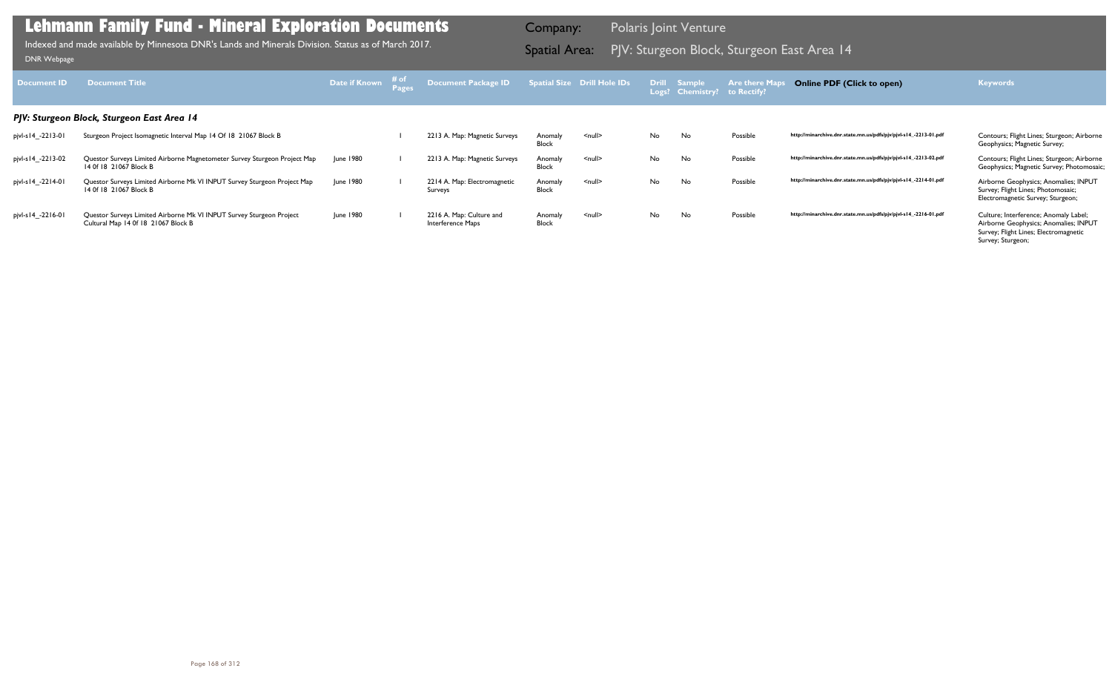| Document <b>ID</b>    | <b>Document Title</b>                                                                                       | Date if Known | # of | Document Package ID                           |                         | Spatial Size Drill Hole IDs |     | <b>Drill Sample</b><br>Logs? Chemistry? | <b>Are there Maps</b><br>to Rectify? | <b>Online PDF (Click to open)</b>                                | <b>Keywords</b>                                                                                                                              |
|-----------------------|-------------------------------------------------------------------------------------------------------------|---------------|------|-----------------------------------------------|-------------------------|-----------------------------|-----|-----------------------------------------|--------------------------------------|------------------------------------------------------------------|----------------------------------------------------------------------------------------------------------------------------------------------|
|                       | PJV: Sturgeon Block, Sturgeon East Area 14                                                                  |               |      |                                               |                         |                             |     |                                         |                                      |                                                                  |                                                                                                                                              |
| pjvl-s14_-2213-01     | Sturgeon Project Isomagnetic Interval Map 14 Of 18 21067 Block B                                            |               |      | 2213 A. Map: Magnetic Surveys                 | Anomaly<br>Block        | $\leq$ null $\geq$          | No  | No                                      | Possible                             | http://minarchive.dnr.state.mn.us/pdfs/pjv/pjvl-s14_-2213-01.pdf | Contours; Flight Lines; Sturgeon; Airborne<br>Geophysics; Magnetic Survey;                                                                   |
| pjvl-s l 4_-22 l 3-02 | Questor Surveys Limited Airborne Magnetometer Survey Sturgeon Project Map<br>14 Of 18 21067 Block B         | June 1980     |      | 2213 A. Map: Magnetic Surveys                 | Anomaly<br><b>Block</b> | $\leq$ null $\geq$          | No. | No                                      | Possible                             | http://minarchive.dnr.state.mn.us/pdfs/pjv/pjvl-s14_-2213-02.pdf | Contours; Flight Lines; Sturgeon; Airborne<br>Geophysics; Magnetic Survey; Photomosaic;                                                      |
| pjvl-s14_-2214-01     | Questor Surveys Limited Airborne Mk VI INPUT Survey Sturgeon Project Map<br>14 Of 18 21067 Block B          | June 1980     |      | 2214 A. Map: Electromagnetic<br>Surveys       | Anomaly<br><b>Block</b> | $\leq$ null $\geq$          | No. | No                                      | Possible                             | http://minarchive.dnr.state.mn.us/pdfs/pjv/pjvl-s14_-2214-01.pdf | Airborne Geophysics; Anomalies; INPUT<br>Survey; Flight Lines; Photomosaic;<br>Electromagnetic Survey; Sturgeon;                             |
| pjvl-s14_-2216-01     | Questor Surveys Limited Airborne Mk VI INPUT Survey Sturgeon Project<br>Cultural Map 14 0f 18 21067 Block B | June 1980     |      | 2216 A. Map: Culture and<br>Interference Maps | Anomaly<br><b>Block</b> | $\leq$ null $\geq$          | No. | No                                      | Possible                             | http://minarchive.dnr.state.mn.us/pdfs/pjv/pjvl-s14_-2216-01.pdf | Culture; Interference; Anomaly Label;<br>Airborne Geophysics; Anomalies; INPUT<br>Survey; Flight Lines; Electromagnetic<br>Survey; Sturgeon; |

PJV: Sturgeon Block, Sturgeon East Area 14 Indexed and made available by Minnesota DNR's Lands and Minerals Division. Status as of March 2017. Spatial Area: [DNR Webpage](http://www.dnr.state.mn.us/lands_minerals/polaris/index.html)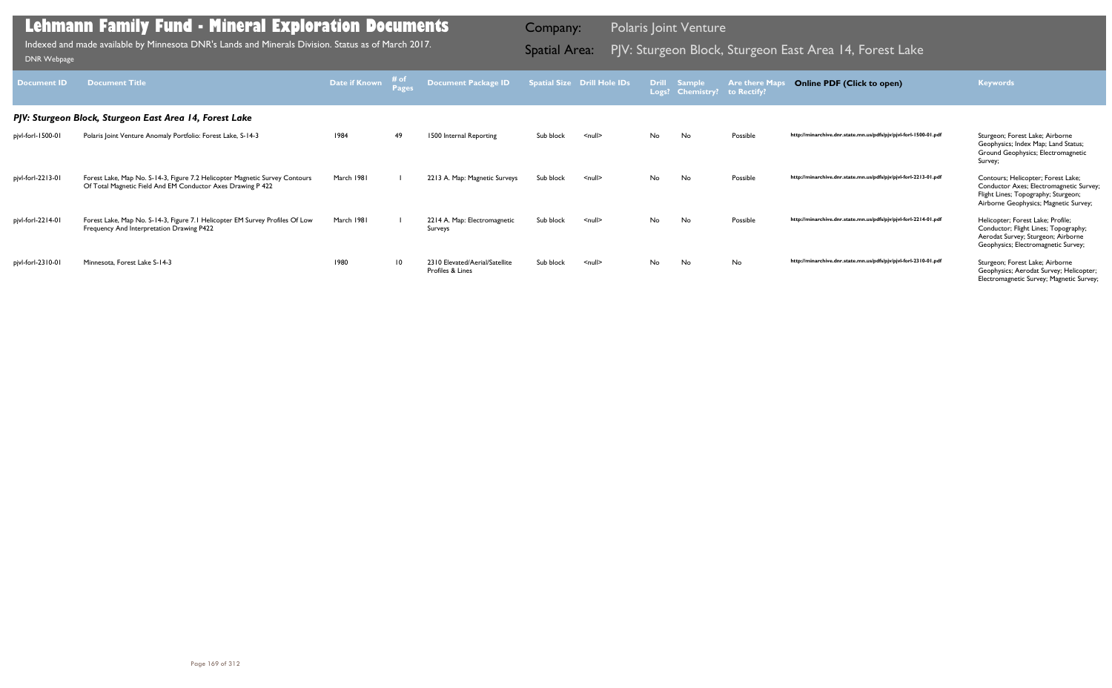| <b>Document ID</b> | <b>Document Title</b>                                                                                                                      | Date if Known | ⊤# of<br>Pages | <b>Document Package ID</b>                         |           | <b>Spatial Size Drill Hole IDs</b> |    | <b>Drill Sample</b><br>Logs? Chemistry? | <b>Are there Maps</b><br>to Rectify? | <b>Online PDF (Click to open)</b>                                | <b>Keywords</b>                                                                                                                                               |
|--------------------|--------------------------------------------------------------------------------------------------------------------------------------------|---------------|----------------|----------------------------------------------------|-----------|------------------------------------|----|-----------------------------------------|--------------------------------------|------------------------------------------------------------------|---------------------------------------------------------------------------------------------------------------------------------------------------------------|
|                    | PJV: Sturgeon Block, Sturgeon East Area 14, Forest Lake                                                                                    |               |                |                                                    |           |                                    |    |                                         |                                      |                                                                  |                                                                                                                                                               |
| pjvl-forl-1500-01  | Polaris Joint Venture Anomaly Portfolio: Forest Lake, S-14-3                                                                               | 1984          | 49             | 1500 Internal Reporting                            | Sub block | $null$                             | No | No                                      | Possible                             | http://minarchive.dnr.state.mn.us/pdfs/pjv/pjvl-forl-1500-01.pdf | Sturgeon; Forest Lake; Airborne<br>Geophysics; Index Map; Land Status;<br>Ground Geophysics; Electromagnetic<br>Survey;                                       |
| pjvl-forl-2213-01  | Forest Lake, Map No. S-14-3, Figure 7.2 Helicopter Magnetic Survey Contours<br>Of Total Magnetic Field And EM Conductor Axes Drawing P 422 | March 1981    |                | 2213 A. Map: Magnetic Surveys                      | Sub block | $null$                             | No | No                                      | Possible                             | http://minarchive.dnr.state.mn.us/pdfs/pjv/pjvl-forl-2213-01.pdf | Contours; Helicopter; Forest Lake;<br>Conductor Axes; Electromagnetic Survey;<br>Flight Lines; Topography; Sturgeon;<br>Airborne Geophysics; Magnetic Survey; |
| pjvl-forl-2214-01  | Forest Lake, Map No. S-14-3, Figure 7.1 Helicopter EM Survey Profiles Of Low<br>Frequency And Interpretation Drawing P422                  | March 1981    |                | 2214 A. Map: Electromagnetic<br>Surveys            | Sub block | $null$                             | No | No                                      | Possible                             | http://minarchive.dnr.state.mn.us/pdfs/pjv/pjvl-forl-2214-01.pdf | Helicopter; Forest Lake; Profile;<br>Conductor; Flight Lines; Topography;<br>Aerodat Survey; Sturgeon; Airborne<br>Geophysics; Electromagnetic Survey;        |
| pjvl-forl-2310-01  | Minnesota, Forest Lake S-14-3                                                                                                              | 1980          | 10             | 2310 Elevated/Aerial/Satellite<br>Profiles & Lines | Sub block | $null$                             | No | No                                      | No                                   | http://minarchive.dnr.state.mn.us/pdfs/pjv/pjvl-forl-2310-01.pdf | Sturgeon; Forest Lake; Airborne<br>Geophysics; Aerodat Survey; Helicopter;<br>Electromagnetic Survey; Magnetic Survey;                                        |

Indexed and made available by Minnesota DNR's Lands and Minerals Division. Status as of March 2017. **Spatial Area:** PJV: Sturgeon Block, Sturgeon East Area 14, Forest Lake DNR Webpage Indexed and made available by Minnesota DNR's Lands and Minerals Division. Status as of March 2017.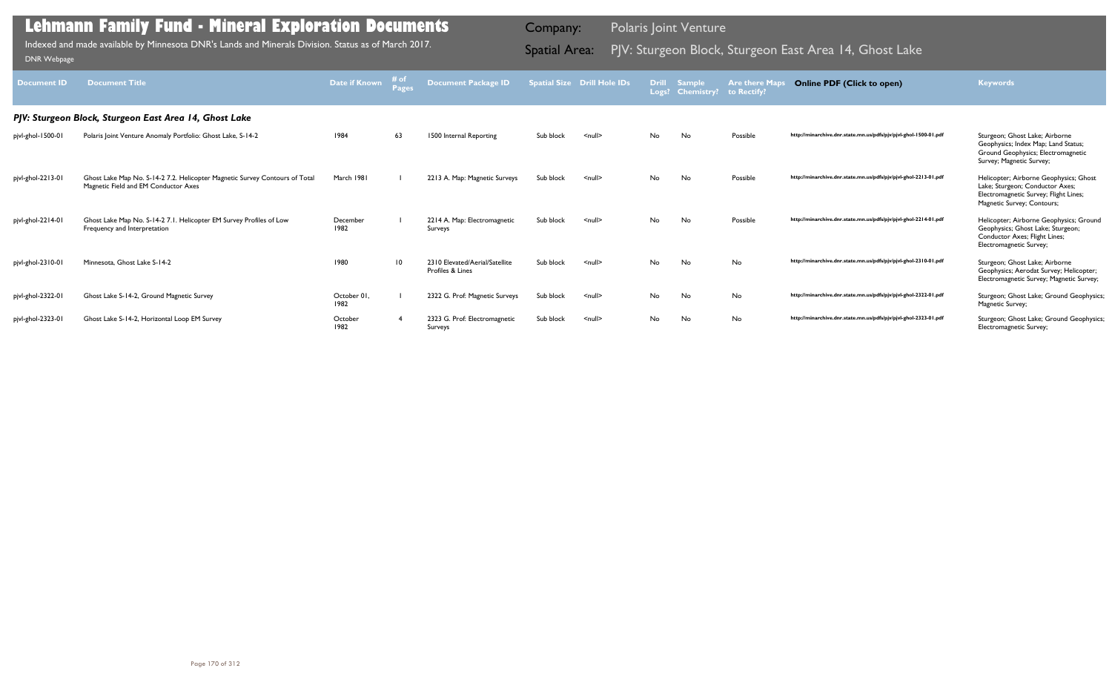| <b>Document ID</b> | <b>Document Title</b>                                                                                               | Date if Known       | # of | <b>Document Package ID</b>                         |           | <b>Spatial Size Drill Hole IDs</b> | <b>Drill</b> | <b>Sample</b><br>Logs? Chemistry? | <b>Are there Maps</b><br>to Rectify? | <b>Online PDF (Click to open)</b>                                | <b>Keywords</b>                                                                                                                                  |
|--------------------|---------------------------------------------------------------------------------------------------------------------|---------------------|------|----------------------------------------------------|-----------|------------------------------------|--------------|-----------------------------------|--------------------------------------|------------------------------------------------------------------|--------------------------------------------------------------------------------------------------------------------------------------------------|
|                    | PJV: Sturgeon Block, Sturgeon East Area 14, Ghost Lake                                                              |                     |      |                                                    |           |                                    |              |                                   |                                      |                                                                  |                                                                                                                                                  |
| pjvl-ghol-1500-01  | Polaris Joint Venture Anomaly Portfolio: Ghost Lake, S-14-2                                                         | 1984                | 63   | 1500 Internal Reporting                            | Sub block | $\leq$ null $\geq$                 | No           | No                                | Possible                             | http://minarchive.dnr.state.mn.us/pdfs/pjv/pjvl-ghol-1500-01.pdf | Sturgeon; Ghost Lake; Airborne<br>Geophysics; Index Map; Land Status;<br>Ground Geophysics; Electromagnetic<br>Survey; Magnetic Survey;          |
| pjvl-ghol-2213-01  | Ghost Lake Map No. S-14-2 7.2. Helicopter Magnetic Survey Contours of Total<br>Magnetic Field and EM Conductor Axes | March 1981          |      | 2213 A. Map: Magnetic Surveys                      | Sub block | $\leq$ null $\geq$                 | No.          | No                                | Possible                             | http://minarchive.dnr.state.mn.us/pdfs/pjv/pjvl-ghol-2213-01.pdf | Helicopter; Airborne Geophysics; Ghost<br>Lake; Sturgeon; Conductor Axes;<br>Electromagnetic Survey; Flight Lines;<br>Magnetic Survey; Contours; |
| pjvl-ghol-2214-01  | Ghost Lake Map No. S-14-2 7.1. Helicopter EM Survey Profiles of Low<br>Frequency and Interpretation                 | December<br>1982    |      | 2214 A. Map: Electromagnetic<br>Surveys            | Sub block | $\leq$ null $\geq$                 | No           | No                                | Possible                             | http://minarchive.dnr.state.mn.us/pdfs/pjv/pjvl-ghol-2214-01.pdf | Helicopter; Airborne Geophysics; Ground<br>Geophysics; Ghost Lake; Sturgeon;<br>Conductor Axes; Flight Lines;<br>Electromagnetic Survey;         |
| pjvl-ghol-2310-01  | Minnesota, Ghost Lake S-14-2                                                                                        | 1980                | 10   | 2310 Elevated/Aerial/Satellite<br>Profiles & Lines | Sub block | $\leq$ null $\geq$                 | No           | No                                | No                                   | http://minarchive.dnr.state.mn.us/pdfs/pjv/pjvl-ghol-2310-01.pdf | Sturgeon; Ghost Lake; Airborne<br>Geophysics; Aerodat Survey; Helicopter;<br>Electromagnetic Survey; Magnetic Survey;                            |
| pjvl-ghol-2322-01  | Ghost Lake S-14-2, Ground Magnetic Survey                                                                           | October 01,<br>1982 |      | 2322 G. Prof: Magnetic Surveys                     | Sub block | $\leq$ null $\geq$                 | No           | No                                | No                                   | http://minarchive.dnr.state.mn.us/pdfs/pjv/pjvl-ghol-2322-01.pdf | Sturgeon; Ghost Lake; Ground Geophysics;<br>Magnetic Survey;                                                                                     |
| pjvl-ghol-2323-01  | Ghost Lake S-14-2, Horizontal Loop EM Survey                                                                        | October<br>1982     |      | 2323 G. Prof: Electromagnetic<br>Surveys           | Sub block | $\leq$ null $\geq$                 | No.          | No                                | <b>No</b>                            | http://minarchive.dnr.state.mn.us/pdfs/pjv/pjvl-ghol-2323-01.pdf | Sturgeon; Ghost Lake; Ground Geophysics;<br>Electromagnetic Survey;                                                                              |

Indexed and made available by Minnesota DNR's Lands and Minerals Division. Status as of March 2017. **Spatial Area:** PJV: Sturgeon Block, Sturgeon East Area 14, Ghost Lake DNR Webpage Indexed and made available by Minnesota DNR's Lands and Minerals Division. Status as of March 2017.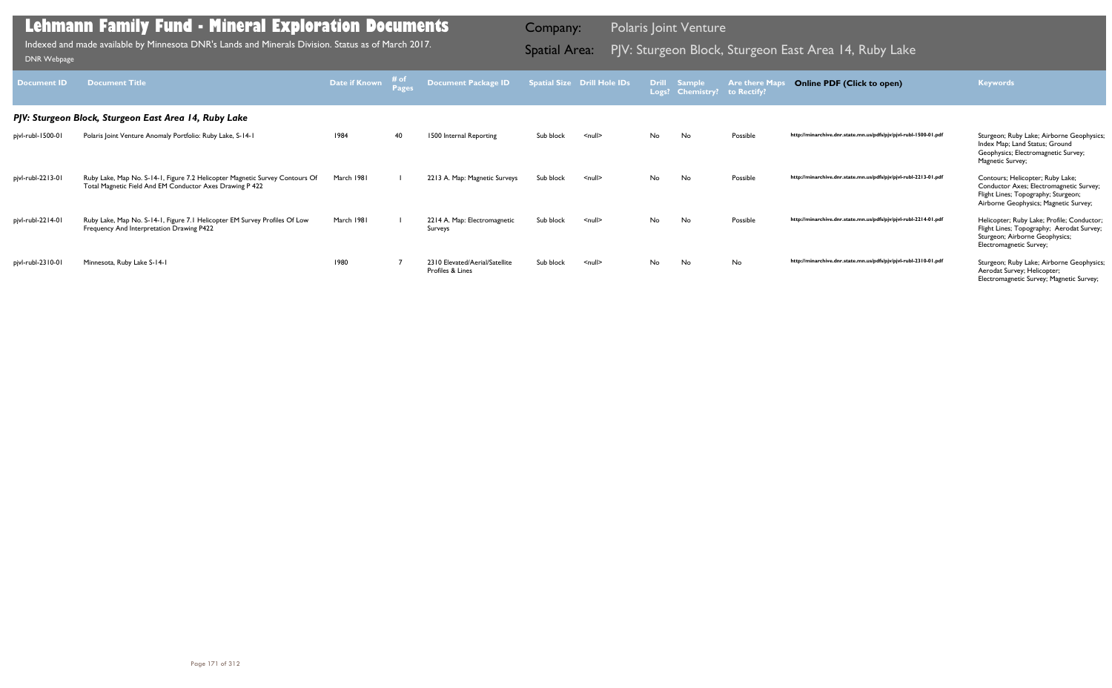| <b>Document ID</b> | <b>Document Title</b>                                                                                                                    | <b>Date if Known</b> | $\begin{array}{c}\n\# \text{ of } \\ \text{Pages}\n\end{array}$ | <b>Document Package ID</b>                         |           | <b>Spatial Size Drill Hole IDs</b> |     | Drill Sample<br>Logs? Chemistry? | <b>Are there Maps</b><br>to Rectify? | <b>Online PDF (Click to open)</b>                                | <b>Keywords</b>                                                                                                                                             |
|--------------------|------------------------------------------------------------------------------------------------------------------------------------------|----------------------|-----------------------------------------------------------------|----------------------------------------------------|-----------|------------------------------------|-----|----------------------------------|--------------------------------------|------------------------------------------------------------------|-------------------------------------------------------------------------------------------------------------------------------------------------------------|
|                    | PJV: Sturgeon Block, Sturgeon East Area 14, Ruby Lake                                                                                    |                      |                                                                 |                                                    |           |                                    |     |                                  |                                      |                                                                  |                                                                                                                                                             |
| pjvl-rubl-1500-01  | Polaris Joint Venture Anomaly Portfolio: Ruby Lake, S-14-1                                                                               | 1984                 | 40                                                              | 1500 Internal Reporting                            | Sub block | $<$ null $>$                       | No. | No                               | Possible                             | http://minarchive.dnr.state.mn.us/pdfs/pjv/pjvl-rubl-1500-01.pdf | Sturgeon; Ruby Lake; Airborne Geophysics;<br>Index Map; Land Status; Ground<br>Geophysics; Electromagnetic Survey;<br>Magnetic Survey;                      |
| pjvl-rubl-2213-01  | Ruby Lake, Map No. S-14-1, Figure 7.2 Helicopter Magnetic Survey Contours Of<br>Total Magnetic Field And EM Conductor Axes Drawing P 422 | March 1981           |                                                                 | 2213 A. Map: Magnetic Surveys                      | Sub block | $\leq$ null $\geq$                 | No. | No                               | Possible                             | http://minarchive.dnr.state.mn.us/pdfs/pjv/pjvl-rubl-2213-01.pdf | Contours; Helicopter; Ruby Lake;<br>Conductor Axes; Electromagnetic Survey;<br>Flight Lines; Topography; Sturgeon;<br>Airborne Geophysics; Magnetic Survey; |
| pjvl-rubl-2214-01  | Ruby Lake, Map No. S-14-1, Figure 7.1 Helicopter EM Survey Profiles Of Low<br>Frequency And Interpretation Drawing P422                  | March 1981           |                                                                 | 2214 A. Map: Electromagnetic<br>Surveys            | Sub block | $\leq$ null $\geq$                 | No. | No                               | Possible                             | http://minarchive.dnr.state.mn.us/pdfs/pjv/pjvl-rubl-2214-01.pdf | Helicopter; Ruby Lake; Profile; Conductor;<br>Flight Lines; Topography; Aerodat Survey;<br>Sturgeon; Airborne Geophysics;<br>Electromagnetic Survey;        |
| pjvl-rubl-2310-01  | Minnesota, Ruby Lake S-14-1                                                                                                              | 1980                 |                                                                 | 2310 Elevated/Aerial/Satellite<br>Profiles & Lines | Sub block | $<$ null $>$                       | No. | No                               | No                                   | http://minarchive.dnr.state.mn.us/pdfs/pjv/pjvl-rubl-2310-01.pdf | Sturgeon; Ruby Lake; Airborne Geophysics;<br>Aerodat Survey; Helicopter;<br>Electromagnetic Survey; Magnetic Survey;                                        |

Indexed and made available by Minnesota DNR's Lands and Minerals Division. Status as of March 2017. **Spatial Area:** PJV: Sturgeon Block, Sturgeon East Area 14, Ruby Lake DNR Webpage Indexed and made available by Minnesota DNR's Lands and Minerals Division. Status as of March 2017.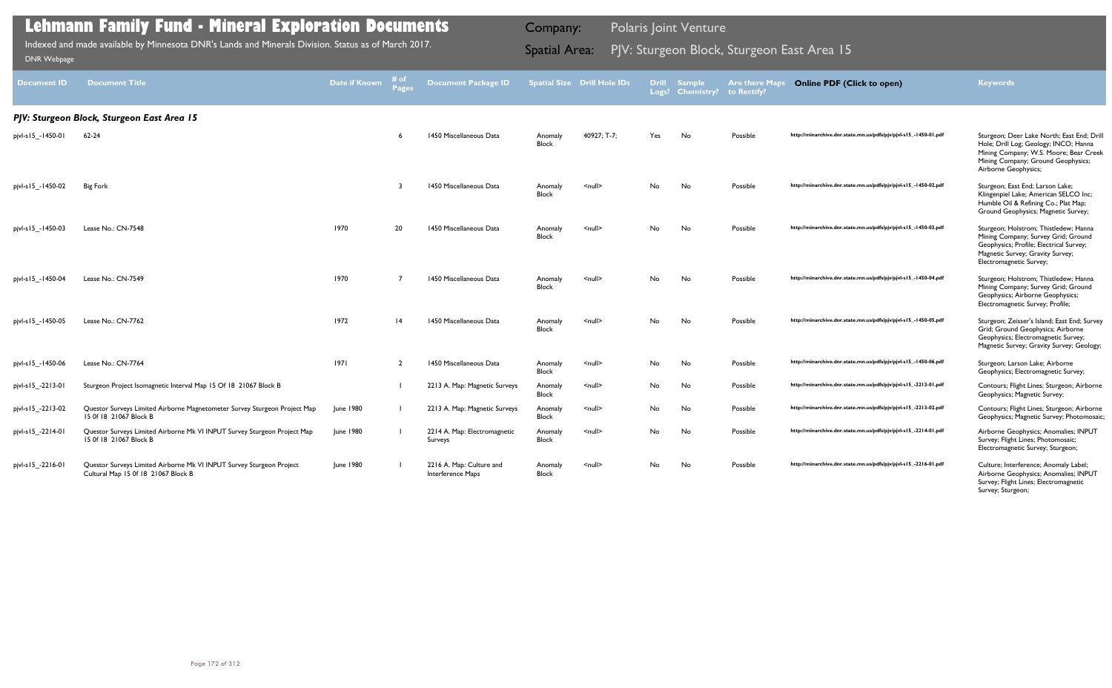| <b>Document ID</b>    | <b>Document Title</b>                                                                                       | Date if Known    | # of<br><b>Pages</b> | <b>Document Package ID</b>                     |                         | <b>Spatial Size Drill Hole IDs</b> | Logs? | <b>Drill Sample</b><br><b>Chemistry?</b> | <b>Are there Maps</b><br>to Rectify? | <b>Online PDF (Click to open)</b>                                | <b>Keywords</b>                                                                                                                                                                             |
|-----------------------|-------------------------------------------------------------------------------------------------------------|------------------|----------------------|------------------------------------------------|-------------------------|------------------------------------|-------|------------------------------------------|--------------------------------------|------------------------------------------------------------------|---------------------------------------------------------------------------------------------------------------------------------------------------------------------------------------------|
|                       | PJV: Sturgeon Block, Sturgeon East Area 15                                                                  |                  |                      |                                                |                         |                                    |       |                                          |                                      |                                                                  |                                                                                                                                                                                             |
| pjvl-s   5_-1450-01   | $62 - 24$                                                                                                   |                  |                      | 1450 Miscellaneous Data                        | Anomaly<br><b>Block</b> | 40927; T-7;                        | Yes   | No                                       | Possible                             | http://minarchive.dnr.state.mn.us/pdfs/pjv/pjvl-s15_-1450-01.pdf | Sturgeon; Deer Lake North; East End; Drill<br>Hole; Drill Log; Geology; INCO; Hanna<br>Mining Company; W.S. Moore; Bear Creek<br>Mining Company; Ground Geophysics;<br>Airborne Geophysics; |
| pjvl-s   5_-1450-02   | <b>Big Fork</b>                                                                                             |                  | 3                    | 1450 Miscellaneous Data                        | Anomaly<br><b>Block</b> | $\leq$ null $\geq$                 | No.   | No                                       | Possible                             | http://minarchive.dnr.state.mn.us/pdfs/pjv/pjvl-s15_-1450-02.pdf | Sturgeon; East End; Larson Lake;<br>Klingenpiel Lake; American SELCO Inc;<br>Humble Oil & Refining Co.; Plat Map;<br>Ground Geophysics; Magnetic Survey;                                    |
| pjvl-s   5_-1450-03   | Lease No.: CN-7548                                                                                          | 1970             | 20                   | 1450 Miscellaneous Data                        | Anomaly<br><b>Block</b> | $\leq$ null $\geq$                 | No.   | No                                       | Possible                             | http://minarchive.dnr.state.mn.us/pdfs/pjv/pjvl-s15_-1450-03.pdf | Sturgeon; Holstrom; Thistledew; Hanna<br>Mining Company; Survey Grid; Ground<br>Geophysics; Profile; Electrical Survey;<br>Magnetic Survey; Gravity Survey;<br>Electromagnetic Survey;      |
| pjvl-s   5_-1450-04   | Lease No.: CN-7549                                                                                          | 1970             |                      | 1450 Miscellaneous Data                        | Anomaly<br><b>Block</b> | $null$                             | No    | No                                       | Possible                             | http://minarchive.dnr.state.mn.us/pdfs/pjv/pjvl-s15_-1450-04.pdf | Sturgeon; Holstrom; Thistledew; Hanna<br>Mining Company; Survey Grid; Ground<br>Geophysics; Airborne Geophysics;<br>Electromagnetic Survey; Profile;                                        |
| pjvl-s   5_-1450-05   | Lease No.: CN-7762                                                                                          | 1972             | 4                    | 1450 Miscellaneous Data                        | Anomaly<br><b>Block</b> | $\leq$ null $\geq$                 | No.   | No                                       | Possible                             | http://minarchive.dnr.state.mn.us/pdfs/pjv/pjvl-s15_-1450-05.pdf | Sturgeon; Zeisser's Island; East End; Survey<br>Grid; Ground Geophysics; Airborne<br>Geophysics; Electromagnetic Survey;<br>Magnetic Survey; Gravity Survey; Geology;                       |
| pjvl-s   5_-1450-06   | Lease No.: CN-7764                                                                                          | 1971             | $\overline{2}$       | 1450 Miscellaneous Data                        | Anomaly<br><b>Block</b> | <null></null>                      | No    | No                                       | Possible                             | http://minarchive.dnr.state.mn.us/pdfs/pjv/pjvl-s15_-1450-06.pdf | Sturgeon; Larson Lake; Airborne<br>Geophysics; Electromagnetic Survey;                                                                                                                      |
| pjvl-s   5_-22   3-0  | Sturgeon Project Isomagnetic Interval Map 15 Of 18 21067 Block B                                            |                  |                      | 2213 A. Map: Magnetic Surveys                  | Anomaly<br><b>Block</b> | $null$                             | No    | No                                       | Possible                             | http://minarchive.dnr.state.mn.us/pdfs/pjv/pjvl-s15_-2213-01.pdf | Contours; Flight Lines; Sturgeon; Airborne<br>Geophysics; Magnetic Survey;                                                                                                                  |
| pjvl-s   5_-22   3-02 | Questor Surveys Limited Airborne Magnetometer Survey Sturgeon Project Map<br>15 Of 18 21067 Block B         | June 1980        |                      | 2213 A. Map: Magnetic Surveys                  | Anomaly<br><b>Block</b> | $\leq$ null $\geq$                 | No    | No                                       | Possible                             | http://minarchive.dnr.state.mn.us/pdfs/pjv/pjvl-s15_-2213-02.pdf | Contours; Flight Lines; Sturgeon; Airborne<br>Geophysics; Magnetic Survey; Photomosaic;                                                                                                     |
| pjvl-s15_-2214-01     | Questor Surveys Limited Airborne Mk VI INPUT Survey Sturgeon Project Map<br>15 Of 18 21067 Block B          | <b>June 1980</b> |                      | 2214 A. Map: Electromagnetic<br><b>Surveys</b> | Anomaly<br><b>Block</b> | <null></null>                      | No    | No                                       | Possible                             | http://minarchive.dnr.state.mn.us/pdfs/pjv/pjvl-s15_-2214-01.pdf | Airborne Geophysics; Anomalies; INPUT<br>Survey; Flight Lines; Photomosaic;<br>Electromagnetic Survey; Sturgeon;                                                                            |
| pjvl-s15 -2216-01     | Questor Surveys Limited Airborne Mk VI INPUT Survey Sturgeon Project<br>Cultural Map 15 0f 18 21067 Block B | June 1980        |                      | 2216 A. Map: Culture and<br>Interference Maps  | Anomaly<br><b>Block</b> | $null$                             | No    | No                                       | Possible                             | http://minarchive.dnr.state.mn.us/pdfs/pjv/pjvl-s15_-2216-01.pdf | Culture; Interference; Anomaly Label;<br>Airborne Geophysics; Anomalies; INPUT<br>Survey; Flight Lines; Electromagnetic<br>Survey; Sturgeon;                                                |

PJV: Sturgeon Block, Sturgeon East Area 15 Indexed and made available by Minnesota DNR's Lands and Minerals Division. Status as of March 2017. Spatial Area: [DNR Webpage](http://www.dnr.state.mn.us/lands_minerals/polaris/index.html)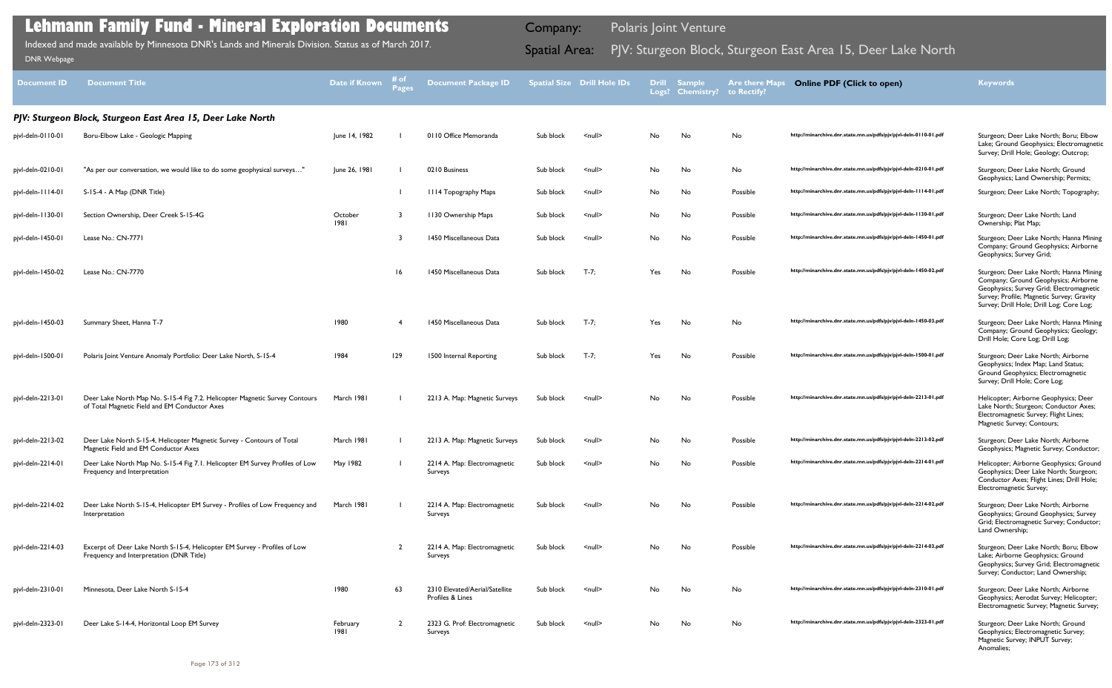### http://minarchive.dnr.state.mn.us/pdfs/pjv/pjvl-deln-0110-01.pdf Sturgeon; Deer Lake North; Boru; Elbow Lake; Ground Geophysics; Electromagnetic Survey; Drill Hole; Geology; Outcrop; http://minarchive.dnr.state.mn.us/pdfs/pjv/pjvl-deln-0210-01.pdf Sturgeon; Deer Lake North; Ground Geophysics; Land Ownership; Permits; http://minarchive.dnr.state.mn.us/pdfs/pjv/pjvl-deln-1114-01.pdf Sturgeon; Deer Lake North; Topography; 3 1130 Ownership Maps Sub block <null> No No Possible **http://minarchive.dnr.state.mn.us/pdfs/pjv/pjvl-deln-1130-01.pdf** Sturgeon; Deer Lake North; Land Ownership; Plat Map; http://minarchive.dnr.state.mn.us/pdfs/pjv/pjvl-deln-1450-01.pdf Sturgeon; Deer Lake North; Hanna Mining Company; Ground Geophysics; Airborne Geophysics; Survey Grid; http://minarchive.dnr.state.mn.us/pdfs/pjv/pjvl-deln-1450-02.pdf Sturgeon; Deer Lake North; Hanna Mining Company; Ground Geophysics; Airborne Geophysics; Survey Grid; Electromagnetic Survey; Profile; Magnetic Survey; Gravity Survey; Drill Hole; Drill Log; Core Log; http://minarchive.dnr.state.mn.us/pdfs/pjv/pjvl-deln-1450-03.pdf Sturgeon; Deer Lake North; Hanna Mining Company; Ground Geophysics; Geology; Drill Hole; Core Log; Drill Log; http://minarchive.dnr.state.mn.us/pdfs/pjv/pjvl-deln-1500-01.pdf Sturgeon; Deer Lake North; Airborne Geophysics; Index Map; Land Status; Ground Geophysics; Electromagnetic Survey; Drill Hole; Core Log; http://minarchive.dnr.state.mn.us/pdfs/pjv/pjvl-deln-2213-01.pdf Helicopter; Airborne Geophysics; Deer Lake North; Sturgeon; Conductor Axes; Electromagnetic Survey; Flight Lines; Magnetic Survey; Contours; http://minarchive.dnr.state.mn.us/pdfs/pjv/pjvl-deln-2213-02.pdf Sturgeon; Deer Lake North; Airborne Geophysics; Magnetic Survey; Conductor; http://minarchive.dnr.state.mn.us/pdfs/pjv/pjvl-deln-2214-01.pdf Helicopter; Airborne Geophysics; Ground Geophysics; Deer Lake North; Sturgeon; Conductor Axes; Flight Lines; Drill Hole; Electromagnetic Survey; http://minarchive.dnr.state.mn.us/pdfs/pjv/pjvl-deln-2214-02.pdf Sturgeon; Deer Lake North; Airborne Geophysics; Ground Geophysics; Survey Grid; Electromagnetic Survey; Conductor; Land Ownership; http://minarchive.dnr.state.mn.us/pdfs/pjv/pjvl-deln-2214-03.pdf Sturgeon; Deer Lake North; Boru; Elbow Lake; Airborne Geophysics; Ground Geophysics; Survey Grid; Electromagnetic Survey; Conductor; Land Ownership; http://minarchive.dnr.state.mn.us/pdfs/pjv/pjvl-deln-2310-01.pdf Sturgeon; Deer Lake North; Airborne Geophysics; Aerodat Survey; Helicopter; Electromagnetic Survey; Magnetic Survey; http://minarchive.dnr.state.mn.us/pdfs/pjv/pjvl-deln-2323-01.pdf Sturgeon; Deer Lake North; Ground Geophysics; Electromagnetic Survey; Magnetic Survey; INPUT Survey;

| <b>Document ID</b> | <b>Document Title</b>                                                                                                        | Date if Known    | # of<br><b>Pages</b> | <b>Document Package ID</b>                         |           | <b>Spatial Size Drill Hole IDs</b> | <b>Drill</b><br>Logs? | <b>Sample</b><br><b>Chemistry?</b> | <b>Are there Maps</b><br>to Rectify? |
|--------------------|------------------------------------------------------------------------------------------------------------------------------|------------------|----------------------|----------------------------------------------------|-----------|------------------------------------|-----------------------|------------------------------------|--------------------------------------|
|                    | PJV: Sturgeon Block, Sturgeon East Area 15, Deer Lake North                                                                  |                  |                      |                                                    |           |                                    |                       |                                    |                                      |
| pjvl-deln-0110-01  | Boru-Elbow Lake - Geologic Mapping                                                                                           | June 14, 1982    |                      | 0110 Office Memoranda                              | Sub block | $\leq$ null $\geq$                 | No                    | No                                 | No                                   |
|                    |                                                                                                                              |                  |                      |                                                    |           |                                    |                       |                                    |                                      |
| pjvl-deln-0210-01  | "As per our conversation, we would like to do some geophysical surveys"                                                      | June 26, 1981    |                      | 0210 Business                                      | Sub block | <null></null>                      | No                    | No                                 | No                                   |
| pjvl-deln-1114-01  | S-15-4 - A Map (DNR Title)                                                                                                   |                  |                      | <b>1114 Topography Maps</b>                        | Sub block | <null></null>                      | No                    | No                                 | Possible                             |
| pjvl-deln-1130-01  | Section Ownership, Deer Creek S-15-4G                                                                                        | October<br>1981  | 3                    | 1130 Ownership Maps                                | Sub block | $null$                             | No                    | No                                 | Possible                             |
| pjvl-deln-1450-01  | Lease No.: CN-7771                                                                                                           |                  | 3                    | 1450 Miscellaneous Data                            | Sub block | <null></null>                      | No                    | No                                 | Possible                             |
| pjvl-deln-1450-02  | Lease No.: CN-7770                                                                                                           |                  | 16                   | 1450 Miscellaneous Data                            | Sub block | $T - 7:$                           | Yes                   | No                                 | Possible                             |
|                    |                                                                                                                              |                  |                      |                                                    |           |                                    |                       |                                    |                                      |
| pjvl-deln-1450-03  | Summary Sheet, Hanna T-7                                                                                                     | 1980             | $\overline{4}$       | 1450 Miscellaneous Data                            | Sub block | $T - 7:$                           | Yes                   | No                                 | No                                   |
| pjvl-deln-1500-01  | Polaris Joint Venture Anomaly Portfolio: Deer Lake North, S-15-4                                                             | 1984             | 129                  | 1500 Internal Reporting                            | Sub block | $T - 7;$                           | Yes                   | No                                 | Possible                             |
| pjvl-deln-2213-01  | Deer Lake North Map No. S-15-4 Fig 7.2. Helicopter Magnetic Survey Contours<br>of Total Magnetic Field and EM Conductor Axes | March 1981       |                      | 2213 A. Map: Magnetic Surveys                      | Sub block | <null></null>                      | No                    | No                                 | Possible                             |
| pjvl-deln-2213-02  | Deer Lake North S-15-4, Helicopter Magnetic Survey - Contours of Total<br>Magnetic Field and EM Conductor Axes               | March 1981       |                      | 2213 A. Map: Magnetic Surveys                      | Sub block | <null></null>                      | No                    | No                                 | Possible                             |
| pjvl-deln-2214-01  | Deer Lake North Map No. S-15-4 Fig 7.1. Helicopter EM Survey Profiles of Low<br>Frequency and Interpretation                 | May 1982         |                      | 2214 A. Map: Electromagnetic<br>Surveys            | Sub block | $\leq$ null $\geq$                 | No                    | No                                 | Possible                             |
| pjvl-deln-2214-02  | Deer Lake North S-15-4, Helicopter EM Survey - Profiles of Low Frequency and<br>Interpretation                               | March 1981       |                      | 2214 A. Map: Electromagnetic<br>Surveys            | Sub block | $null$                             | No                    | No                                 | Possible                             |
| pjvl-deln-2214-03  | Excerpt of: Deer Lake North S-15-4, Helicopter EM Survey - Profiles of Low<br>Frequency and Interpretation (DNR Title)       |                  | $\overline{2}$       | 2214 A. Map: Electromagnetic<br>Surveys            | Sub block | $\leq$ null $\geq$                 | No                    | No                                 | Possible                             |
| pjvl-deln-2310-01  | Minnesota, Deer Lake North S-15-4                                                                                            | 1980             | 63                   | 2310 Elevated/Aerial/Satellite<br>Profiles & Lines | Sub block | $\leq$ null $\geq$                 | No                    | No                                 | No                                   |
| pjvl-deln-2323-01  | Deer Lake S-14-4, Horizontal Loop EM Survey                                                                                  | February<br>1981 | $\overline{2}$       | 2323 G. Prof: Electromagnetic<br>Surveys           | Sub block | $\leq$ null $\geq$                 | No                    | No                                 | No                                   |

Anomalies;

### **Lehmann Family Fund - Mineral Exploration Documents**

Indexed and made available by Minnesota DNR's Lands and Minerals Division. Status as of March 2017. Spatial Area: PJV: Sturgeon Block, Sturgeon East Area 15, Deer Lake North וDNR Webpage Indexed and made available by Minnesota DNR's Lands and Minerals Division. Status as of March 2017.

Company: Polaris Joint Venture

**Online PDF (Click to open) Keywords**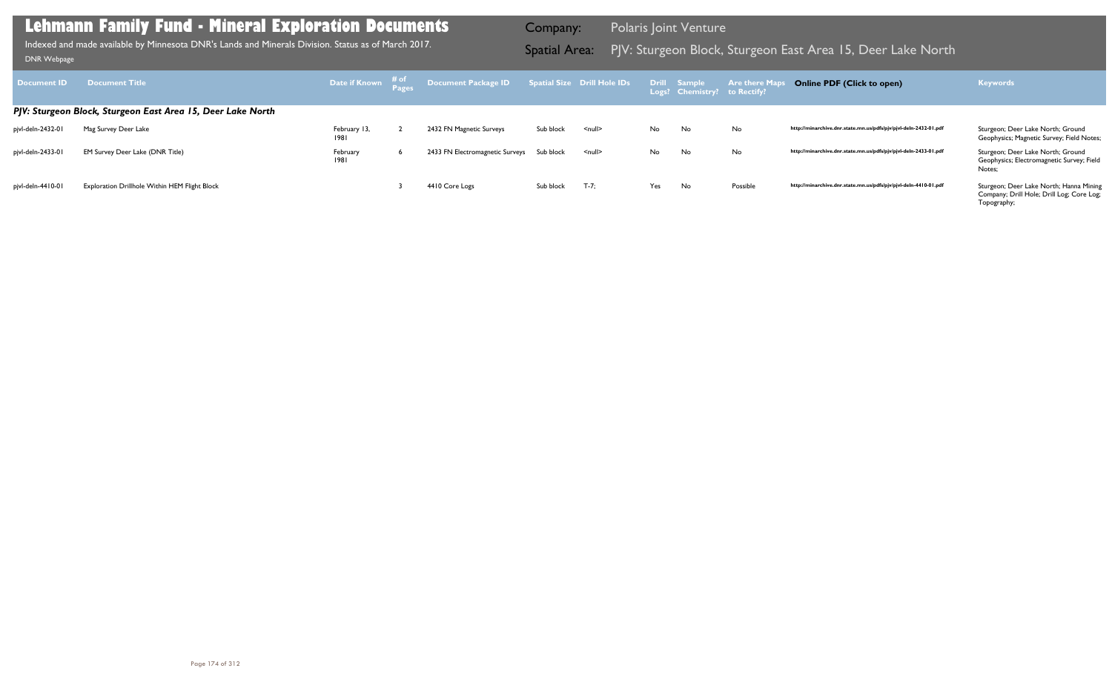| <b>Document ID</b> | <b>Document Title</b>                                       |                      | Date if Known $\frac{\text{\# of}}{\text{Pages}}$ Document Package ID Spatial Size Drill Hole IDs Drill Sample Are there Maps |           |                  |     | Logs? Chemistry? to Rectify? |          | <b>Online PDF (Click to open)</b>                                | <b>Keywords</b>                                                                                     |
|--------------------|-------------------------------------------------------------|----------------------|-------------------------------------------------------------------------------------------------------------------------------|-----------|------------------|-----|------------------------------|----------|------------------------------------------------------------------|-----------------------------------------------------------------------------------------------------|
|                    | PJV: Sturgeon Block, Sturgeon East Area 15, Deer Lake North |                      |                                                                                                                               |           |                  |     |                              |          |                                                                  |                                                                                                     |
| pjvl-deln-2432-01  | Mag Survey Deer Lake                                        | February 13,<br>1981 | 2432 FN Magnetic Surveys                                                                                                      | Sub block | <null></null>    | No  | No                           | No       | http://minarchive.dnr.state.mn.us/pdfs/pjv/pjvl-deln-2432-01.pdf | Sturgeon; Deer Lake North; Ground<br>Geophysics; Magnetic Survey; Field Notes;                      |
| pjvl-deln-2433-01  | EM Survey Deer Lake (DNR Title)                             | February<br>1981     | 2433 FN Electromagnetic Surveys Sub block                                                                                     |           | $\le$ null $\ge$ | No  | No                           | No       | http://minarchive.dnr.state.mn.us/pdfs/pjv/pjvl-deln-2433-01.pdf | Sturgeon; Deer Lake North; Ground<br>Geophysics; Electromagnetic Survey; Field<br>Notes:            |
| pjvl-deln-4410-01  | Exploration Drillhole Within HEM Flight Block               |                      | 4410 Core Logs                                                                                                                | Sub block | $T - 7:$         | Yes | No                           | Possible | http://minarchive.dnr.state.mn.us/pdfs/pjv/pjvl-deln-4410-01.pdf | Sturgeon; Deer Lake North; Hanna Mining<br>Company; Drill Hole; Drill Log; Core Log;<br>Topography; |

Indexed and made available by Minnesota DNR's Lands and Minerals Division. Status as of March 2017.<br>DNR Webpage DNR Webpage Indexed and made available by Minnesota DNR's Lands and Minerals Division. Status as of March 2017.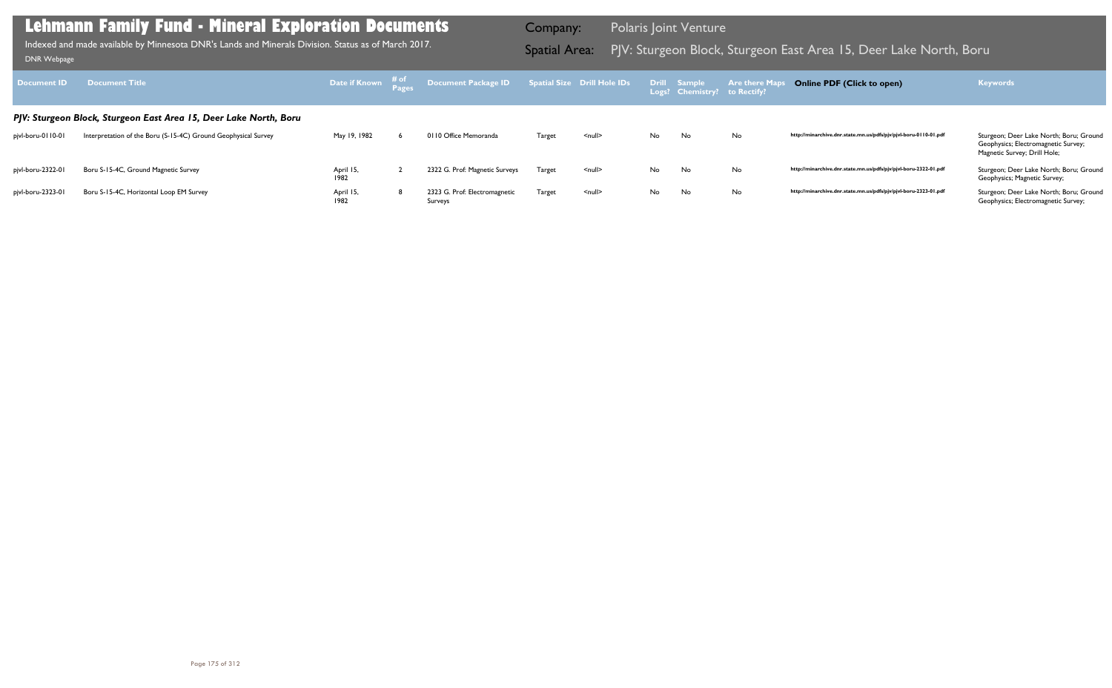| <b>Document ID</b> | <b>Document Title</b>                                             | Date if Known # of |   | Bocument Package ID    Spatial Size Drill Hole IDs    E Drill    Sample |               |               |     | Logs? Chemistry? to Rectify? | <b>Are there Map</b> | <b>Online PDF (Click to open)</b>                                | <b>Keywords</b>                                                                                                |
|--------------------|-------------------------------------------------------------------|--------------------|---|-------------------------------------------------------------------------|---------------|---------------|-----|------------------------------|----------------------|------------------------------------------------------------------|----------------------------------------------------------------------------------------------------------------|
|                    | PJV: Sturgeon Block, Sturgeon East Area 15, Deer Lake North, Boru |                    |   |                                                                         |               |               |     |                              |                      |                                                                  |                                                                                                                |
| pjvl-boru-0110-01  | Interpretation of the Boru (S-15-4C) Ground Geophysical Survey    | May 19, 1982       |   | 0110 Office Memoranda                                                   | Target        | <null></null> | No. | No                           | No                   | http://minarchive.dnr.state.mn.us/pdfs/pjv/pjvl-boru-0110-01.pdf | Sturgeon; Deer Lake North; Boru; Ground<br>Geophysics; Electromagnetic Survey;<br>Magnetic Survey; Drill Hole; |
| pjvl-boru-2322-01  | Boru S-15-4C, Ground Magnetic Survey                              | April 15,<br>1982  |   | 2322 G. Prof: Magnetic Surveys                                          | <b>Target</b> | $null$        | No. | No                           | No                   | http://minarchive.dnr.state.mn.us/pdfs/pjv/pjvl-boru-2322-01.pdf | Sturgeon; Deer Lake North; Boru; Ground<br>Geophysics; Magnetic Survey;                                        |
| pjvl-boru-2323-01  | Boru S-15-4C, Horizontal Loop EM Survey                           | April 15,<br>1982  | 8 | 2323 G. Prof: Electromagnetic<br>Surveys                                | <b>Target</b> | <null></null> | No. | No                           | No                   | http://minarchive.dnr.state.mn.us/pdfs/pjv/pjvl-boru-2323-01.pdf | Sturgeon; Deer Lake North; Boru; Ground<br>Geophysics; Electromagnetic Survey;                                 |

Indexed and made available by Minnesota DNR's Lands and Minerals Division. Status as of March 2017. **Spatial Area:** PJV: Sturgeon Block, Sturgeon East Area 15, Deer Lake North, Boru <sub>DNR Webpage</sub> Indexed and made available by Minnesota DNR's Lands and Minerals Division. Status as of March 2017.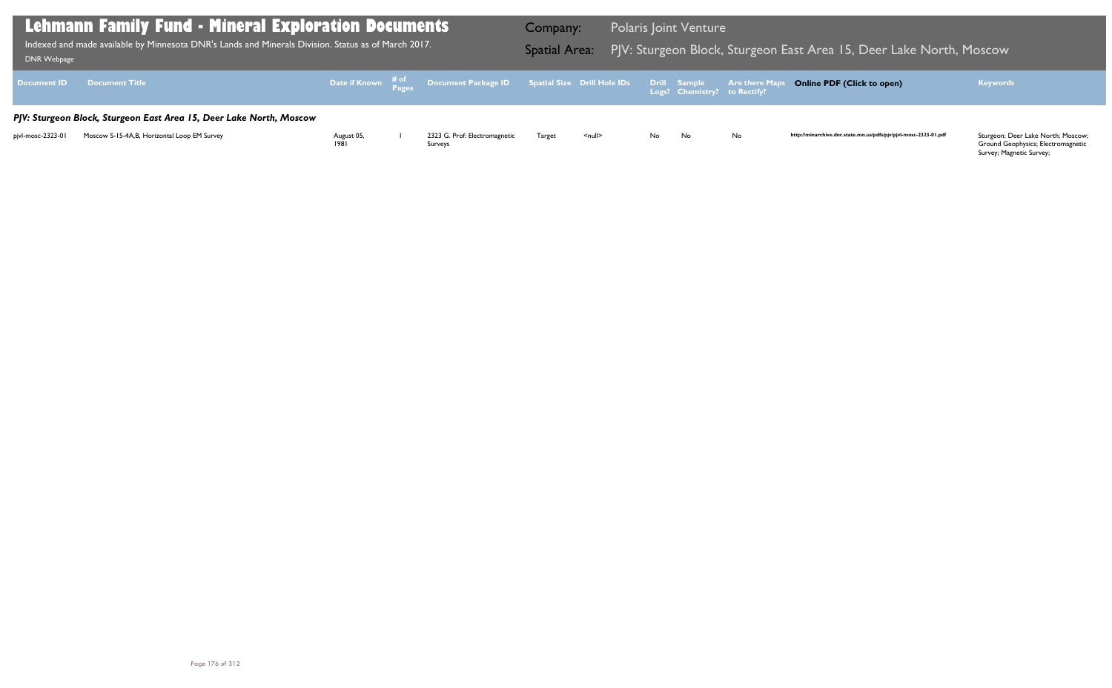Ground Geophysics; Electromagnetic Survey; Magnetic Survey;

| DNR Webpage        | <b>Lehmann Family Fund - Mineral Exploration Documents</b><br>Indexed and made available by Minnesota DNR's Lands and Minerals Division. Status as of March 2017. |                    |                                                                                                   | Company:<br><b>Spatial Area:</b> |               |     | <b>Polaris Joint Venture</b>                 | PJV: Sturgeon Block, Sturgeon E |
|--------------------|-------------------------------------------------------------------------------------------------------------------------------------------------------------------|--------------------|---------------------------------------------------------------------------------------------------|----------------------------------|---------------|-----|----------------------------------------------|---------------------------------|
| <b>Document ID</b> | <b>Document Title</b>                                                                                                                                             |                    | Date if Known $\frac{\text{\# of}}{\text{\# a}}}$ Document Package ID Spatial Size Drill Hole IDs |                                  |               |     | Drill Sample<br>Logs? Chemistry? to Rectify? | <b>Are there Maps</b>           |
|                    | PJV: Sturgeon Block, Sturgeon East Area 15, Deer Lake North, Moscow                                                                                               |                    |                                                                                                   |                                  |               |     |                                              |                                 |
| pjvl-mosc-2323-01  | Moscow S-15-4A, B, Horizontal Loop EM Survey                                                                                                                      | August 05,<br>1981 | 2323 G. Prof: Electromagnetic<br>Surveys                                                          | Target                           | <null></null> | No. | No.                                          | No                              |

### Bast Area 15, Deer Lake North, Moscow Indexed and Minnesota <mark>E</mark>ast Area

### **Online PDF (Click to open) Keywords**

http://minarchive.dnr.state.mn.us/pdfs/pjv/pjvl-mosc-2323-01.pdf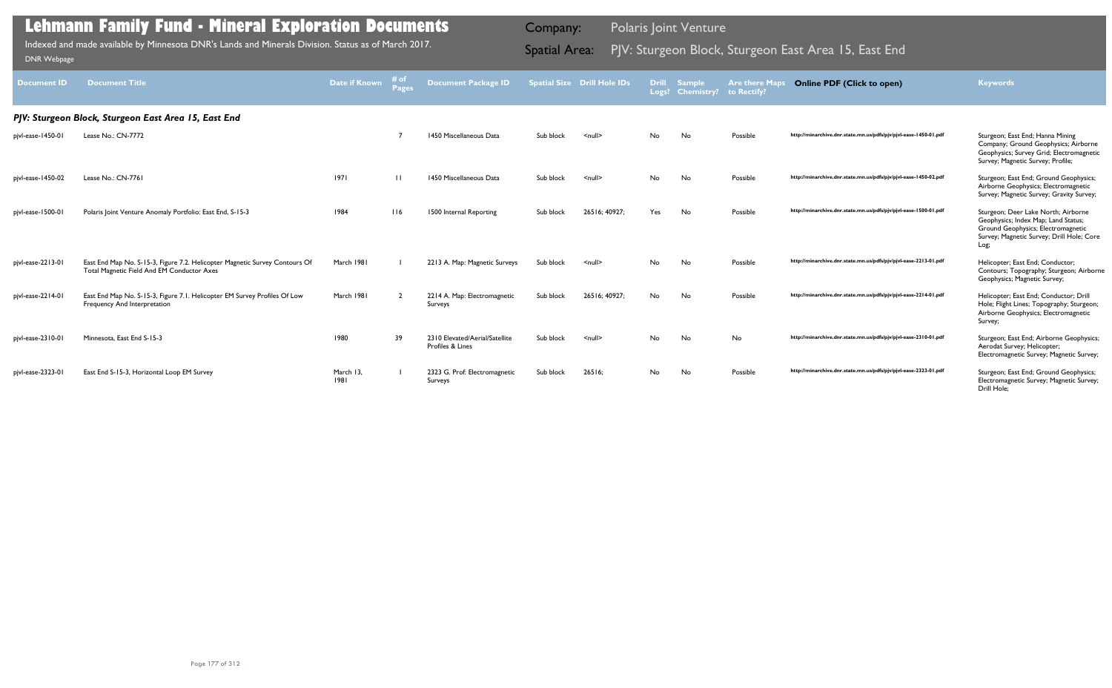| <b>Document ID</b> | <b>Document Title</b>                                                                                                     | <b>Date if Known</b> | # of<br><b>Pages</b> | <b>Document Package ID</b>                         |           | <b>Spatial Size Drill Hole IDs</b> | <b>Drill</b><br>Logs? | <b>Sample</b><br><b>Chemistry?</b> | <b>Are there Maps</b><br>to Rectify? | <b>Online PDF (Click to open)</b>                                | <b>Keywords</b>                                                                                                                                                       |
|--------------------|---------------------------------------------------------------------------------------------------------------------------|----------------------|----------------------|----------------------------------------------------|-----------|------------------------------------|-----------------------|------------------------------------|--------------------------------------|------------------------------------------------------------------|-----------------------------------------------------------------------------------------------------------------------------------------------------------------------|
|                    | PJV: Sturgeon Block, Sturgeon East Area 15, East End                                                                      |                      |                      |                                                    |           |                                    |                       |                                    |                                      |                                                                  |                                                                                                                                                                       |
| pjvl-ease-1450-01  | Lease No.: CN-7772                                                                                                        |                      |                      | 1450 Miscellaneous Data                            | Sub block | $\leq$ null $\geq$                 | No                    | No                                 | Possible                             | http://minarchive.dnr.state.mn.us/pdfs/pjv/pjvl-ease-1450-01.pdf | Sturgeon; East End; Hanna Mining<br>Company; Ground Geophysics; Airborne<br>Geophysics; Survey Grid; Electromagnetic<br>Survey; Magnetic Survey; Profile;             |
| pjvl-ease-1450-02  | Lease No.: CN-7761                                                                                                        | 97                   | $\perp$              | 1450 Miscellaneous Data                            | Sub block | $\leq$ null $\geq$                 | No.                   | No                                 | Possible                             | http://minarchive.dnr.state.mn.us/pdfs/pjv/pjvl-ease-1450-02.pdf | Sturgeon; East End; Ground Geophysics;<br>Airborne Geophysics; Electromagnetic<br>Survey; Magnetic Survey; Gravity Survey;                                            |
| pjvl-ease-1500-01  | Polaris Joint Venture Anomaly Portfolio: East End, S-15-3                                                                 | 1984                 | 116                  | 1500 Internal Reporting                            | Sub block | 26516: 40927:                      | Yes                   | No                                 | Possible                             | http://minarchive.dnr.state.mn.us/pdfs/pjv/pjvl-ease-1500-01.pdf | Sturgeon; Deer Lake North; Airborne<br>Geophysics; Index Map; Land Status;<br>Ground Geophysics; Electromagnetic<br>Survey; Magnetic Survey; Drill Hole; Core<br>Log; |
| pjvl-ease-2213-01  | East End Map No. S-15-3, Figure 7.2. Helicopter Magnetic Survey Contours Of<br>Total Magnetic Field And EM Conductor Axes | March 1981           |                      | 2213 A. Map: Magnetic Surveys                      | Sub block | $\leq$ null $\geq$                 | No                    | No                                 | Possible                             | http://minarchive.dnr.state.mn.us/pdfs/pjv/pjvl-ease-2213-01.pdf | Helicopter; East End; Conductor;<br>Contours; Topography; Sturgeon; Airborne<br>Geophysics; Magnetic Survey;                                                          |
| pjvl-ease-2214-01  | East End Map No. S-15-3, Figure 7.1. Helicopter EM Survey Profiles Of Low<br>Frequency And Interpretation                 | March 1981           |                      | 2214 A. Map: Electromagnetic<br>Surveys            | Sub block | 26516; 40927;                      | No                    | No                                 | Possible                             | http://minarchive.dnr.state.mn.us/pdfs/pjv/pjvl-ease-2214-01.pdf | Helicopter; East End; Conductor; Drill<br>Hole; Flight Lines; Topography; Sturgeon;<br>Airborne Geophysics; Electromagnetic<br>Survey;                                |
| pjvl-ease-2310-01  | Minnesota, East End S-15-3                                                                                                | 1980                 | 39                   | 2310 Elevated/Aerial/Satellite<br>Profiles & Lines | Sub block | $\leq$ null $\geq$                 | No.                   | No                                 | No                                   | http://minarchive.dnr.state.mn.us/pdfs/pjv/pjvl-ease-2310-01.pdf | Sturgeon; East End; Airborne Geophysics;<br>Aerodat Survey; Helicopter;<br>Electromagnetic Survey; Magnetic Survey;                                                   |
| pjvl-ease-2323-01  | East End S-15-3, Horizontal Loop EM Survey                                                                                | March 13,<br>1981    |                      | 2323 G. Prof: Electromagnetic<br>Surveys           | Sub block | 26516;                             | No.                   | No                                 | Possible                             | http://minarchive.dnr.state.mn.us/pdfs/pjv/pjvl-ease-2323-01.pdf | Sturgeon; East End; Ground Geophysics;<br>Electromagnetic Survey; Magnetic Survey;<br>Drill Hole;                                                                     |

Indexed and made available by Minnesota DNR's Lands and Minerals Division. Status as of March 2017. **Spatial Area:** PJV: Sturgeon Block, Sturgeon East Area 15, East End DNR Webpage Indexed and made available by Minnesota DNR's Lands and Minerals Division. Status as of March 2017.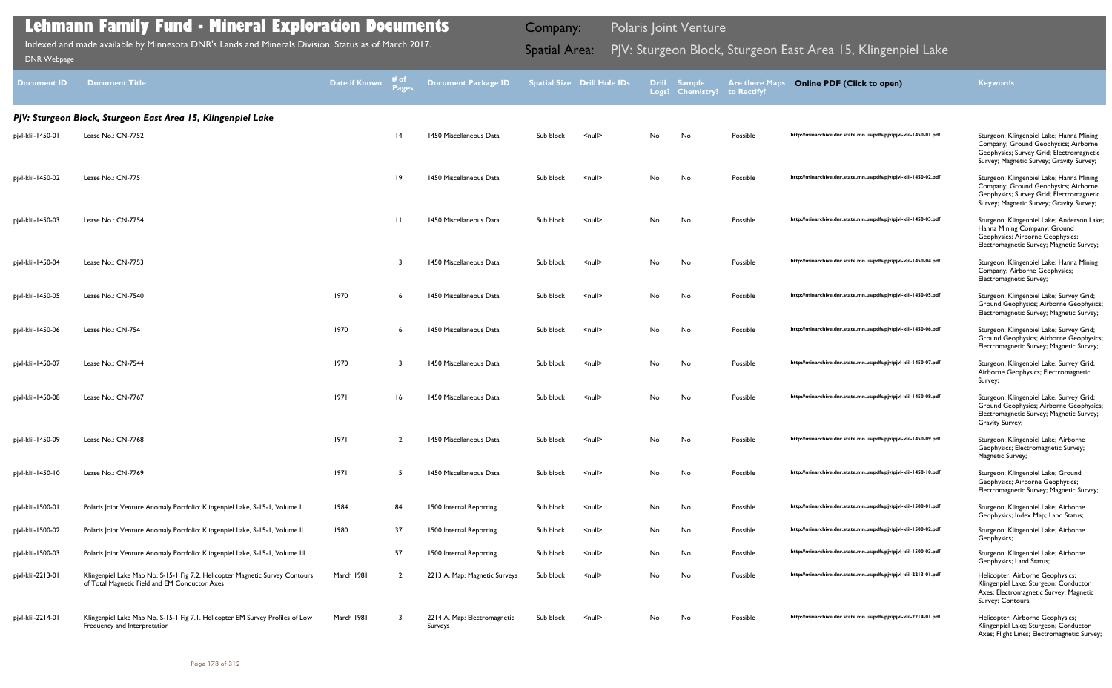| <b>Document ID</b> | <b>Document Title</b>                                                                                                         | Date if Known | # of<br><b>Pages</b> | <b>Document Package ID</b>              |           | <b>Spatial Size Drill Hole IDs</b> | <b>Drill</b> | <b>Sample</b><br>Logs? Chemistry? | <b>Are there Maps</b><br>to Rectify? | <b>Online PDF (Click to open)</b>                                | <b>Keywords</b>                                                                                                                                                          |
|--------------------|-------------------------------------------------------------------------------------------------------------------------------|---------------|----------------------|-----------------------------------------|-----------|------------------------------------|--------------|-----------------------------------|--------------------------------------|------------------------------------------------------------------|--------------------------------------------------------------------------------------------------------------------------------------------------------------------------|
|                    | PJV: Sturgeon Block, Sturgeon East Area 15, Klingenpiel Lake                                                                  |               |                      |                                         |           |                                    |              |                                   |                                      |                                                                  |                                                                                                                                                                          |
| pjvl-klil-1450-01  | Lease No.: CN-7752                                                                                                            |               | $\overline{14}$      | 1450 Miscellaneous Data                 | Sub block | $\leq$ null $\geq$                 | No           | No                                | Possible                             | http://minarchive.dnr.state.mn.us/pdfs/pjv/pjvl-klil-1450-01.pdf | Sturgeon; Klingenpiel Lake; Hanna Mining<br>Company; Ground Geophysics; Airborne<br>Geophysics; Survey Grid; Electromagnetic<br>Survey; Magnetic Survey; Gravity Survey; |
| pjvl-klil-1450-02  | Lease No.: CN-7751                                                                                                            |               | 19                   | 1450 Miscellaneous Data                 | Sub block | $\leq$ null $\geq$                 | No.          | No                                | Possible                             | http://minarchive.dnr.state.mn.us/pdfs/pjv/pjvl-klil-1450-02.pdf | Sturgeon; Klingenpiel Lake; Hanna Mining<br>Company; Ground Geophysics; Airborne<br>Geophysics; Survey Grid; Electromagnetic<br>Survey; Magnetic Survey; Gravity Survey; |
| pjvl-klil-1450-03  | Lease No.: CN-7754                                                                                                            |               | $\mathbf{H}$         | 1450 Miscellaneous Data                 | Sub block | $\leq$ null $\geq$                 | No           | No                                | Possible                             | http://minarchive.dnr.state.mn.us/pdfs/pjv/pjvl-klil-1450-03.pdf | Sturgeon; Klingenpiel Lake; Anderson Lake;<br>Hanna Mining Company; Ground<br>Geophysics; Airborne Geophysics;<br>Electromagnetic Survey; Magnetic Survey;               |
| pjvl-klil-1450-04  | Lease No.: CN-7753                                                                                                            |               |                      | 1450 Miscellaneous Data                 | Sub block | $\leq$ null $\geq$                 | No.          | No                                | Possible                             | http://minarchive.dnr.state.mn.us/pdfs/pjv/pjvl-klil-1450-04.pdf | Sturgeon; Klingenpiel Lake; Hanna Mining<br>Company; Airborne Geophysics;<br>Electromagnetic Survey;                                                                     |
| pjvl-klil-1450-05  | Lease No.: CN-7540                                                                                                            | 1970          | 6                    | 1450 Miscellaneous Data                 | Sub block | $\leq$ null $\geq$                 | No           | No                                | Possible                             | http://minarchive.dnr.state.mn.us/pdfs/pjv/pjvl-klil-1450-05.pdf | Sturgeon; Klingenpiel Lake; Survey Grid;<br>Ground Geophysics; Airborne Geophysics;<br>Electromagnetic Survey; Magnetic Survey;                                          |
| pjvl-klil-1450-06  | Lease No.: CN-7541                                                                                                            | 1970          |                      | 1450 Miscellaneous Data                 | Sub block | <null></null>                      | No           | No                                | Possible                             | http://minarchive.dnr.state.mn.us/pdfs/pjv/pjvl-klil-1450-06.pdf | Sturgeon; Klingenpiel Lake; Survey Grid;<br>Ground Geophysics; Airborne Geophysics;<br>Electromagnetic Survey; Magnetic Survey;                                          |
| pjvl-klil-1450-07  | Lease No.: CN-7544                                                                                                            | 1970          |                      | 1450 Miscellaneous Data                 | Sub block | $\leq$ null $\geq$                 | No           | No                                | Possible                             | http://minarchive.dnr.state.mn.us/pdfs/pjv/pjvl-klil-1450-07.pdf | Sturgeon; Klingenpiel Lake; Survey Grid;<br>Airborne Geophysics; Electromagnetic<br>Survey;                                                                              |
| pjvl-klil-1450-08  | Lease No.: CN-7767                                                                                                            | 97            | 16                   | 1450 Miscellaneous Data                 | Sub block | $\leq$ null $\geq$                 | No.          | No                                | Possible                             | http://minarchive.dnr.state.mn.us/pdfs/pjv/pjvl-klil-1450-08.pdf | Sturgeon; Klingenpiel Lake; Survey Grid;<br>Ground Geophysics; Airborne Geophysics;<br>Electromagnetic Survey; Magnetic Survey;<br>Gravity Survey;                       |
| pjvl-klil-1450-09  | Lease No.: CN-7768                                                                                                            | 97            | $\overline{2}$       | 1450 Miscellaneous Data                 | Sub block | $\leq$ null $\geq$                 | No           | No                                | Possible                             | http://minarchive.dnr.state.mn.us/pdfs/pjv/pjvl-klil-1450-09.pdf | Sturgeon; Klingenpiel Lake; Airborne<br>Geophysics; Electromagnetic Survey;<br>Magnetic Survey;                                                                          |
| pjvl-klil-1450-10  | Lease No.: CN-7769                                                                                                            | 1971          | 5                    | 1450 Miscellaneous Data                 | Sub block | $\leq$ null $\geq$                 | No           | No                                | Possible                             | http://minarchive.dnr.state.mn.us/pdfs/pjv/pjvl-klil-1450-10.pdf | Sturgeon; Klingenpiel Lake; Ground<br>Geophysics; Airborne Geophysics;<br>Electromagnetic Survey; Magnetic Survey;                                                       |
| pjvl-klil-1500-01  | Polaris Joint Venture Anomaly Portfolio: Klingenpiel Lake, S-15-1, Volume I                                                   | 1984          | 84                   | 1500 Internal Reporting                 | Sub block | $\leq$ null $\geq$                 | No           | No                                | Possible                             | http://minarchive.dnr.state.mn.us/pdfs/pjv/pjvl-klil-1500-01.pdf | Sturgeon; Klingenpiel Lake; Airborne<br>Geophysics; Index Map; Land Status;                                                                                              |
| pjvl-klil-1500-02  | Polaris Joint Venture Anomaly Portfolio: Klingenpiel Lake, S-15-1, Volume II                                                  | 1980          | 37                   | 1500 Internal Reporting                 | Sub block | $\leq$ null $\geq$                 | No           | No                                | Possible                             | http://minarchive.dnr.state.mn.us/pdfs/pjv/pjvl-klil-1500-02.pdf | Sturgeon; Klingenpiel Lake; Airborne<br>Geophysics;                                                                                                                      |
| pjvl-klil-1500-03  | Polaris Joint Venture Anomaly Portfolio: Klingenpiel Lake, S-15-1, Volume III                                                 |               | 57                   | 1500 Internal Reporting                 | Sub block | $null$                             | No           | No                                | Possible                             | http://minarchive.dnr.state.mn.us/pdfs/pjv/pjvl-klil-1500-03.pdf | Sturgeon; Klingenpiel Lake; Airborne<br>Geophysics; Land Status;                                                                                                         |
| pjvl-klil-2213-01  | Klingenpiel Lake Map No. S-15-1 Fig 7.2. Helicopter Magnetic Survey Contours<br>of Total Magnetic Field and EM Conductor Axes | March 1981    | $\overline{2}$       | 2213 A. Map: Magnetic Surveys           | Sub block | $<$ null $>$                       | No           | No                                | Possible                             | http://minarchive.dnr.state.mn.us/pdfs/pjv/pjvl-klil-2213-01.pdf | Helicopter; Airborne Geophysics;<br>Klingenpiel Lake; Sturgeon; Conductor<br>Axes; Electromagnetic Survey; Magnetic<br>Survey; Contours;                                 |
| pjvl-klil-2214-01  | Klingenpiel Lake Map No. S-15-1 Fig 7.1. Helicopter EM Survey Profiles of Low<br>Frequency and Interpretation                 | March 1981    | -3                   | 2214 A. Map: Electromagnetic<br>Surveys | Sub block | $\leq$ null $\geq$                 | No           | No                                | Possible                             | http://minarchive.dnr.state.mn.us/pdfs/pjv/pjvl-klil-2214-01.pdf | Helicopter; Airborne Geophysics;<br>Klingenpiel Lake; Sturgeon; Conductor<br>Axes; Flight Lines; Electromagnetic Survey;                                                 |

Indexed and made available by Minnesota DNR's Lands and Minerals Division. Status as of March 2017. **Spatial Area:** PJV: Sturgeon Block, Sturgeon East Area 15, Klingenpiel Lake DNR Webpage Indexed and made available by Minnesota DNR's Lands and Minerals Division. Status as of March 2017.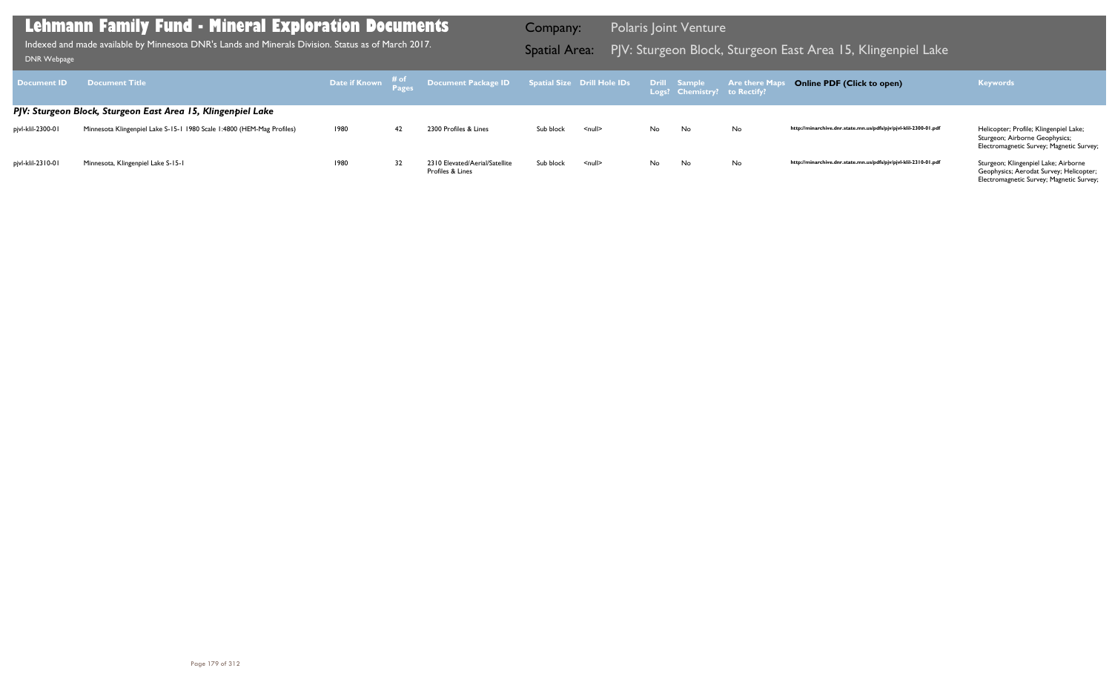Sturgeon; Airborne Geophysics; Electromagnetic Survey; Magnetic Survey;

http://minarchive.dnr.state.mn.us/pdfs/pjv/pjvl-klil-2310-01.pdf Sturgeon; Klingenpiel Lake; Airborne Geophysics; Aerodat Survey; Helicopter; Electromagnetic Survey; Magnetic Survey;

| <b>Document ID</b> | <b>Document Title</b>                                                  |      |    | Date if Known # of Document Package ID Spatial Size Drill Hole IDs Drill Sample Are there Maps |           |                    |     |     |    | <b>Online PDF (Click to open)</b>                                | <b>Keywords</b>                                                                                                  |
|--------------------|------------------------------------------------------------------------|------|----|------------------------------------------------------------------------------------------------|-----------|--------------------|-----|-----|----|------------------------------------------------------------------|------------------------------------------------------------------------------------------------------------------|
|                    | PJV: Sturgeon Block, Sturgeon East Area 15, Klingenpiel Lake           |      |    |                                                                                                |           |                    |     |     |    |                                                                  |                                                                                                                  |
| pivl-klil-2300-01  | Minnesota Klingenpiel Lake S-15-1 1980 Scale 1:4800 (HEM-Mag Profiles) | 1980 | 42 | 2300 Profiles & Lines                                                                          | Sub block | $\leq$ null $\geq$ | No. | No. | No | http://minarchive.dnr.state.mn.us/pdfs/pjv/pjvl-klil-2300-01.pdf | Helicopter; Profile; Klingenpiel Lake;<br>Sturgeon; Airborne Geophysics;<br>Electromagnetic Survey; Magnetic Sur |
| pivl-klil-2310-01  | Minnesota, Klingenpiel Lake S-15-1                                     | 1980 | 32 | 2310 Elevated/Aerial/Satellite<br>Profiles & Lines                                             | Sub block | $\leq$ null $\geq$ | No  | No  | No | http://minarchive.dnr.state.mn.us/pdfs/pjv/pjvl-klil-2310-01.pdf | Sturgeon; Klingenpiel Lake; Airborne<br>Geophysics; Aerodat Survey; Helicop                                      |

### **Lehmann Family Fund - Mineral Exploration Documents**

Indexed and made available by Minnesota DNR's Lands and Minerals Division. Status as of March 2017. **Spatial Area:** PJV: Sturgeon Block, Sturgeon East Area 15, Klingenpiel Lake DNR Webpage Indexed and made available by Minnesota DNR's Lands and Minerals Division. Status as of March 2017.

Company: Polaris Joint Venture

### **Online PDF (Click to open) Keywords**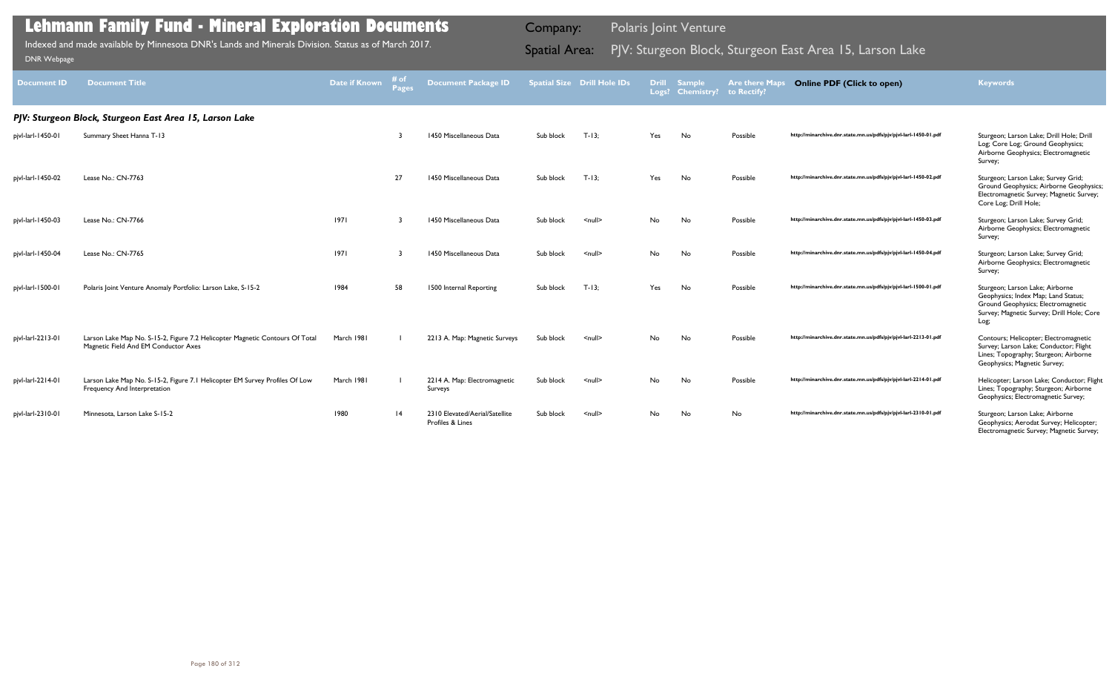| <b>Document ID</b> | <b>Document Title</b>                                                                                                | <b>Date if Known</b> | # of<br>Pages   | <b>Document Package ID</b>                         |           | <b>Spatial Size Drill Hole IDs</b> | <b>Drill</b><br>Logs? | <b>Sample</b><br><b>Chemistry?</b> | <b>Are there Maps</b><br>to Rectify? | <b>Online PDF (Click to open)</b>                                | <b>Keywords</b>                                                                                                                                                   |
|--------------------|----------------------------------------------------------------------------------------------------------------------|----------------------|-----------------|----------------------------------------------------|-----------|------------------------------------|-----------------------|------------------------------------|--------------------------------------|------------------------------------------------------------------|-------------------------------------------------------------------------------------------------------------------------------------------------------------------|
|                    | PJV: Sturgeon Block, Sturgeon East Area 15, Larson Lake                                                              |                      |                 |                                                    |           |                                    |                       |                                    |                                      |                                                                  |                                                                                                                                                                   |
| pjvl-larl-1450-01  | Summary Sheet Hanna T-13                                                                                             |                      |                 | 1450 Miscellaneous Data                            | Sub block | $T-13$                             | Yes                   | No                                 | Possible                             | http://minarchive.dnr.state.mn.us/pdfs/pjv/pjvl-larl-1450-01.pdf | Sturgeon; Larson Lake; Drill Hole; Drill<br>Log; Core Log; Ground Geophysics;<br>Airborne Geophysics; Electromagnetic<br>Survey;                                  |
| pjvl-larl-1450-02  | Lease No.: CN-7763                                                                                                   |                      | 27              | 1450 Miscellaneous Data                            | Sub block | $T-13:$                            | Yes                   | <b>No</b>                          | Possible                             | http://minarchive.dnr.state.mn.us/pdfs/pjv/pjvl-larl-1450-02.pdf | Sturgeon; Larson Lake; Survey Grid;<br>Ground Geophysics; Airborne Geophysics;<br>Electromagnetic Survey; Magnetic Survey;<br>Core Log; Drill Hole;               |
| pjvl-larl-1450-03  | Lease No.: CN-7766                                                                                                   | 97                   |                 | 1450 Miscellaneous Data                            | Sub block | $\leq$ null $\geq$                 | No.                   | No                                 | Possible                             | http://minarchive.dnr.state.mn.us/pdfs/pjv/pjvl-larl-1450-03.pdf | Sturgeon; Larson Lake; Survey Grid;<br>Airborne Geophysics; Electromagnetic<br>Survey;                                                                            |
| pjvl-larl-1450-04  | Lease No.: CN-7765                                                                                                   | 97                   |                 | 1450 Miscellaneous Data                            | Sub block | $\leq$ null $\geq$                 | No.                   | No                                 | Possible                             | http://minarchive.dnr.state.mn.us/pdfs/pjv/pjvl-larl-1450-04.pdf | Sturgeon; Larson Lake; Survey Grid;<br>Airborne Geophysics; Electromagnetic<br>Survey;                                                                            |
| pjvl-larl-1500-01  | Polaris Joint Venture Anomaly Portfolio: Larson Lake, S-15-2                                                         | 1984                 | 58              | 1500 Internal Reporting                            | Sub block | $T-13$                             | Yes                   | No                                 | Possible                             | http://minarchive.dnr.state.mn.us/pdfs/pjv/pjvl-larl-1500-01.pdf | Sturgeon; Larson Lake; Airborne<br>Geophysics; Index Map; Land Status;<br>Ground Geophysics; Electromagnetic<br>Survey; Magnetic Survey; Drill Hole; Core<br>Log; |
| pjvl-larl-2213-01  | Larson Lake Map No. S-15-2, Figure 7.2 Helicopter Magnetic Contours Of Total<br>Magnetic Field And EM Conductor Axes | March 1981           |                 | 2213 A. Map: Magnetic Surveys                      | Sub block | $\leq$ null $\geq$                 | No.                   | <b>No</b>                          | Possible                             | http://minarchive.dnr.state.mn.us/pdfs/pjv/pjvl-larl-2213-01.pdf | Contours; Helicopter; Electromagnetic<br>Survey; Larson Lake; Conductor; Flight<br>Lines; Topography; Sturgeon; Airborne<br>Geophysics; Magnetic Survey;          |
| pjvl-larl-2214-01  | Larson Lake Map No. S-15-2, Figure 7.1 Helicopter EM Survey Profiles Of Low<br>Frequency And Interpretation          | March 1981           |                 | 2214 A. Map: Electromagnetic<br>Surveys            | Sub block | $\leq$ null $\geq$                 | No.                   | No                                 | Possible                             | http://minarchive.dnr.state.mn.us/pdfs/pjv/pjvl-larl-2214-01.pdf | Helicopter; Larson Lake; Conductor; Flight<br>Lines; Topography; Sturgeon; Airborne<br>Geophysics; Electromagnetic Survey;                                        |
| pjvl-larl-2310-01  | Minnesota, Larson Lake S-15-2                                                                                        | 1980                 | $\overline{14}$ | 2310 Elevated/Aerial/Satellite<br>Profiles & Lines | Sub block | $\leq$ null $\geq$                 | No.                   | No                                 | No                                   | http://minarchive.dnr.state.mn.us/pdfs/pjv/pjvl-larl-2310-01.pdf | Sturgeon; Larson Lake; Airborne<br>Geophysics; Aerodat Survey; Helicopter;<br>Electromagnetic Survey; Magnetic Survey;                                            |

Indexed and made available by Minnesota DNR's Lands and Minerals Division. Status as of March 2017. **Spatial Area:** PJV: Sturgeon Block, Sturgeon East Area 15, Larson Lake DNR Webpage Indexed and made available by Minnesota DNR's Lands and Minerals Division. Status as of March 2017.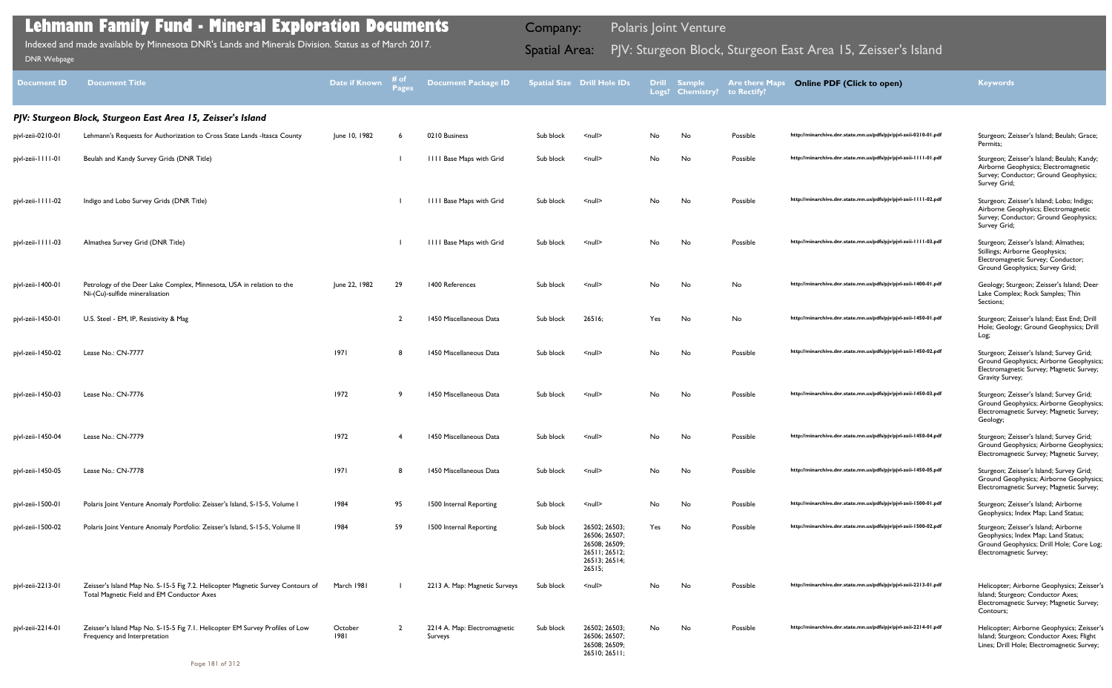| <b>Document ID</b> | <b>Document Title</b>                                                                                                         | <b>Date if Known</b> | # of<br>Pages  | <b>Document Package ID</b>              |           | Spatial Size Drill Hole IDs                                                                 |     | <b>Drill Sample</b><br>Logs? Chemistry? | <b>Are there Maps</b><br>to Rectify? | <b>Online PDF (Click to open)</b>                                | <b>Keywords</b>                                                                                                                                    |
|--------------------|-------------------------------------------------------------------------------------------------------------------------------|----------------------|----------------|-----------------------------------------|-----------|---------------------------------------------------------------------------------------------|-----|-----------------------------------------|--------------------------------------|------------------------------------------------------------------|----------------------------------------------------------------------------------------------------------------------------------------------------|
|                    | PJV: Sturgeon Block, Sturgeon East Area 15, Zeisser's Island                                                                  |                      |                |                                         |           |                                                                                             |     |                                         |                                      |                                                                  |                                                                                                                                                    |
| pjvl-zeii-0210-01  | Lehmann's Requests for Authorization to Cross State Lands - Itasca County                                                     | June 10, 1982        |                | 0210 Business                           | Sub block | $\leq$ null $\geq$                                                                          | No  | No                                      | Possible                             | http://minarchive.dnr.state.mn.us/pdfs/pjv/pjvl-zeii-0210-01.pdf | Sturgeon; Zeisser's Island; Beulah; Grace;<br>Permits;                                                                                             |
| pjvl-zeii-1111-01  | Beulah and Kandy Survey Grids (DNR Title)                                                                                     |                      |                | <b>IIII Base Maps with Grid</b>         | Sub block | $\leq$ null $\geq$                                                                          | No  | No                                      | Possible                             | http://minarchive.dnr.state.mn.us/pdfs/pjv/pjvl-zeii-1111-01.pdf | Sturgeon; Zeisser's Island; Beulah; Kandy;<br>Airborne Geophysics; Electromagnetic<br>Survey; Conductor; Ground Geophysics;<br>Survey Grid;        |
| pjvl-zeii-1111-02  | Indigo and Lobo Survey Grids (DNR Title)                                                                                      |                      |                | <b>IIII Base Maps with Grid</b>         | Sub block | $\leq$ null $\geq$                                                                          | No  | No                                      | Possible                             | http://minarchive.dnr.state.mn.us/pdfs/pjv/pjvl-zeii-1111-02.pdf | Sturgeon; Zeisser's Island; Lobo; Indigo;<br>Airborne Geophysics; Electromagnetic<br>Survey; Conductor; Ground Geophysics;<br>Survey Grid;         |
| pjvl-zeii-1111-03  | Almathea Survey Grid (DNR Title)                                                                                              |                      |                | <b>IIII Base Maps with Grid</b>         | Sub block | $\leq$ null $\geq$                                                                          | No  | No                                      | Possible                             | http://minarchive.dnr.state.mn.us/pdfs/pjv/pjvl-zeii-1111-03.pdf | Sturgeon; Zeisser's Island; Almathea;<br>Stillings; Airborne Geophysics;<br>Electromagnetic Survey; Conductor;<br>Ground Geophysics; Survey Grid;  |
| pjvl-zeii-1400-01  | Petrology of the Deer Lake Complex, Minnesota, USA in relation to the<br>Ni-(Cu)-sulfide mineralisation                       | June 22, 1982        | 29             | 1400 References                         | Sub block | $\leq$ null $\geq$                                                                          | No  | No                                      | No                                   | http://minarchive.dnr.state.mn.us/pdfs/pjv/pjvl-zeii-1400-01.pdf | Geology; Sturgeon; Zeisser's Island; Deer<br>Lake Complex; Rock Samples; Thin<br>Sections;                                                         |
| pjvl-zeii-1450-01  | U.S. Steel - EM, IP, Resistivity & Mag                                                                                        |                      |                | 1450 Miscellaneous Data                 | Sub block | 26516;                                                                                      | Yes | No                                      | No                                   | http://minarchive.dnr.state.mn.us/pdfs/pjv/pjvl-zeii-1450-01.pdf | Sturgeon; Zeisser's Island; East End; Drill<br>Hole; Geology; Ground Geophysics; Drill<br>Log;                                                     |
| pjvl-zeii-1450-02  | Lease No.: CN-7777                                                                                                            | 1971                 | - 8            | 1450 Miscellaneous Data                 | Sub block | $\leq$ null $\geq$                                                                          | No  | No                                      | Possible                             | http://minarchive.dnr.state.mn.us/pdfs/pjv/pjvl-zeii-1450-02.pdf | Sturgeon; Zeisser's Island; Survey Grid;<br>Ground Geophysics; Airborne Geophysics;<br>Electromagnetic Survey; Magnetic Survey;<br>Gravity Survey; |
| pjvl-zeii-1450-03  | Lease No.: CN-7776                                                                                                            | 1972                 | ٠q             | 1450 Miscellaneous Data                 | Sub block | <null></null>                                                                               | No. | No                                      | Possible                             | http://minarchive.dnr.state.mn.us/pdfs/pjv/pjvl-zeii-1450-03.pdf | Sturgeon; Zeisser's Island; Survey Grid;<br>Ground Geophysics; Airborne Geophysics;<br>Electromagnetic Survey; Magnetic Survey;<br>Geology;        |
| pjvl-zeii-1450-04  | Lease No.: CN-7779                                                                                                            | 1972                 |                | 1450 Miscellaneous Data                 | Sub block | <null></null>                                                                               | No. | No                                      | Possible                             | http://minarchive.dnr.state.mn.us/pdfs/pjv/pjvl-zeii-1450-04.pdf | Sturgeon; Zeisser's Island; Survey Grid;<br>Ground Geophysics; Airborne Geophysics;<br>Electromagnetic Survey; Magnetic Survey;                    |
| pjvl-zeii-1450-05  | Lease No.: CN-7778                                                                                                            | 97                   |                | 1450 Miscellaneous Data                 | Sub block | $null$                                                                                      | No. | No                                      | Possible                             | http://minarchive.dnr.state.mn.us/pdfs/pjv/pjvl-zeii-1450-05.pdf | Sturgeon; Zeisser's Island; Survey Grid;<br>Ground Geophysics; Airborne Geophysics;<br>Electromagnetic Survey; Magnetic Survey;                    |
| pjvl-zeii-1500-01  | Polaris Joint Venture Anomaly Portfolio: Zeisser's Island, S-15-5, Volume I                                                   | 1984                 | 95             | 1500 Internal Reporting                 | Sub block | $\leq$ null $\geq$                                                                          | No  | No                                      | Possible                             | http://minarchive.dnr.state.mn.us/pdfs/pjv/pjvl-zeii-1500-01.pdf | Sturgeon; Zeisser's Island; Airborne<br>Geophysics; Index Map; Land Status;                                                                        |
| pjvl-zeii-1500-02  | Polaris Joint Venture Anomaly Portfolio: Zeisser's Island, S-15-5, Volume II                                                  | 1984                 | 59             | 1500 Internal Reporting                 | Sub block | 26502; 26503;<br>26506; 26507;<br>26508; 26509;<br>26511; 26512;<br>26513; 26514;<br>26515; | Yes | No                                      | Possible                             | http://minarchive.dnr.state.mn.us/pdfs/pjv/pjvl-zeii-1500-02.pdf | Sturgeon; Zeisser's Island; Airborne<br>Geophysics; Index Map; Land Status;<br>Ground Geophysics; Drill Hole; Core Log;<br>Electromagnetic Survey; |
| pjvl-zeii-2213-01  | Zeisser's Island Map No. S-15-5 Fig 7.2. Helicopter Magnetic Survey Contours of<br>Total Magnetic Field and EM Conductor Axes | March 1981           |                | 2213 A. Map: Magnetic Surveys           | Sub block | $\leq$ null $\geq$                                                                          | No  | No                                      | Possible                             | http://minarchive.dnr.state.mn.us/pdfs/pjv/pjvl-zeii-2213-01.pdf | Helicopter; Airborne Geophysics; Zeisser's<br>Island; Sturgeon; Conductor Axes;<br>Electromagnetic Survey; Magnetic Survey;<br>Contours;           |
| pjvl-zeii-2214-01  | Zeisser's Island Map No. S-15-5 Fig 7.1. Helicopter EM Survey Profiles of Low<br>Frequency and Interpretation                 | October<br>1981      | $\overline{2}$ | 2214 A. Map: Electromagnetic<br>Surveys | Sub block | 26502; 26503;<br>26506; 26507;<br>26508; 26509;<br>26510; 26511;                            | No  | No                                      | Possible                             | http://minarchive.dnr.state.mn.us/pdfs/pjv/pjvl-zeii-2214-01.pdf | Helicopter; Airborne Geophysics; Zeisser's<br>Island; Sturgeon; Conductor Axes; Flight<br>Lines; Drill Hole; Electromagnetic Survey;               |

Indexed and made available by Minnesota DNR's Lands and Minerals Division. Status as of March 2017. **Spatial Area:** PJV: Sturgeon Block, Sturgeon East Area 15, Zeisser's Island DNR Webpage Indexed and made available by Minnesota DNR's Lands and Minerals Division. Status as of March 2017.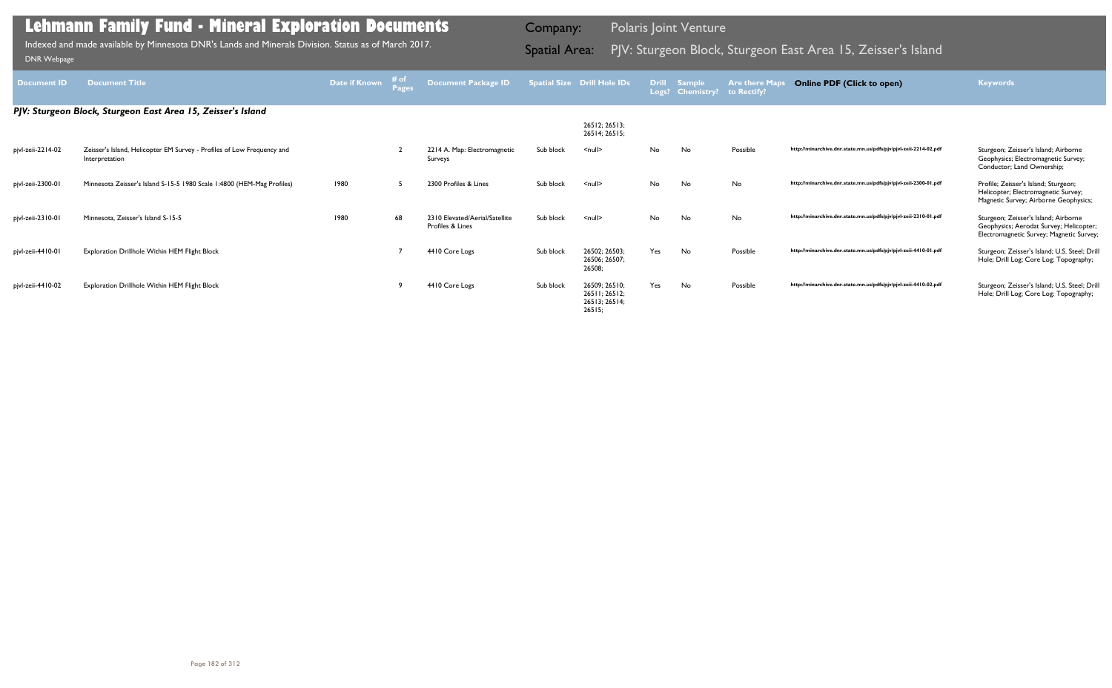| Document ID       | <b>Document Title</b>                                                                    | <b>Date if Known</b> | # of<br>Pages | Document Package ID                                |           | <b>Spatial Size Drill Hole IDs</b>                        | <b>Drill</b> | <b>Sample</b><br>Logs? Chemistry? | <b>Are there Maps</b><br>to Rectify? | <b>Online PDF (Click to open)</b>                                | <b>Keywords</b>                                                                                                             |
|-------------------|------------------------------------------------------------------------------------------|----------------------|---------------|----------------------------------------------------|-----------|-----------------------------------------------------------|--------------|-----------------------------------|--------------------------------------|------------------------------------------------------------------|-----------------------------------------------------------------------------------------------------------------------------|
|                   | PJV: Sturgeon Block, Sturgeon East Area 15, Zeisser's Island                             |                      |               |                                                    |           |                                                           |              |                                   |                                      |                                                                  |                                                                                                                             |
|                   |                                                                                          |                      |               |                                                    |           | 26512; 26513;<br>26514; 26515;                            |              |                                   |                                      |                                                                  |                                                                                                                             |
| pjvl-zeii-2214-02 | Zeisser's Island, Helicopter EM Survey - Profiles of Low Frequency and<br>Interpretation |                      |               | 2214 A. Map: Electromagnetic<br>Surveys            | Sub block | $\leq$ null $\geq$                                        | No           | No                                | Possible                             | http://minarchive.dnr.state.mn.us/pdfs/pjv/pjvl-zeii-2214-02.pdf | Sturgeon; Zeisser's Island; Airborne<br>Geophysics; Electromagnetic Survey;<br>Conductor; Land Ownership;                   |
| pjvl-zeii-2300-01 | Minnesota Zeisser's Island S-15-5 1980 Scale 1:4800 (HEM-Mag Profiles)                   | 1980                 |               | 2300 Profiles & Lines                              | Sub block | $\leq$ null $\geq$                                        | No           | No                                | No                                   | http://minarchive.dnr.state.mn.us/pdfs/pjv/pjvl-zeii-2300-01.pdf | Profile; Zeisser's Island; Sturgeon;<br>Helicopter; Electromagnetic Survey;<br>Magnetic Survey; Airborne Geophysics;        |
| pjvl-zeii-2310-01 | Minnesota, Zeisser's Island S-15-5                                                       | 1980                 | 68            | 2310 Elevated/Aerial/Satellite<br>Profiles & Lines | Sub block | $\leq$ null $\geq$                                        | No           | No                                | No                                   | http://minarchive.dnr.state.mn.us/pdfs/pjv/pjvl-zeii-2310-01.pdf | Sturgeon; Zeisser's Island; Airborne<br>Geophysics; Aerodat Survey; Helicopter;<br>Electromagnetic Survey; Magnetic Survey; |
| pjvl-zeii-4410-01 | Exploration Drillhole Within HEM Flight Block                                            |                      |               | 4410 Core Logs                                     | Sub block | 26502; 26503;<br>26506; 26507;<br>26508;                  | Yes          | No                                | Possible                             | http://minarchive.dnr.state.mn.us/pdfs/pjv/pjvl-zeii-4410-01.pdf | Sturgeon; Zeisser's Island; U.S. Steel; Drill<br>Hole; Drill Log; Core Log; Topography;                                     |
| pjvl-zeii-4410-02 | Exploration Drillhole Within HEM Flight Block                                            |                      |               | 4410 Core Logs                                     | Sub block | 26509; 26510;<br>26511; 26512;<br>26513; 26514;<br>26515: | Yes          | No                                | Possible                             | http://minarchive.dnr.state.mn.us/pdfs/pjv/pjvl-zeii-4410-02.pdf | Sturgeon; Zeisser's Island; U.S. Steel; Drill<br>Hole; Drill Log; Core Log; Topography;                                     |

Indexed and made available by Minnesota DNR's Lands and Minerals Division. Status as of March 2017. **Spatial Area:** PJV: Sturgeon Block, Sturgeon East Area 15, Zeisser's Island DNR Webpage Indexed and made available by Minnesota DNR's Lands and Minerals Division. Status as of March 2017.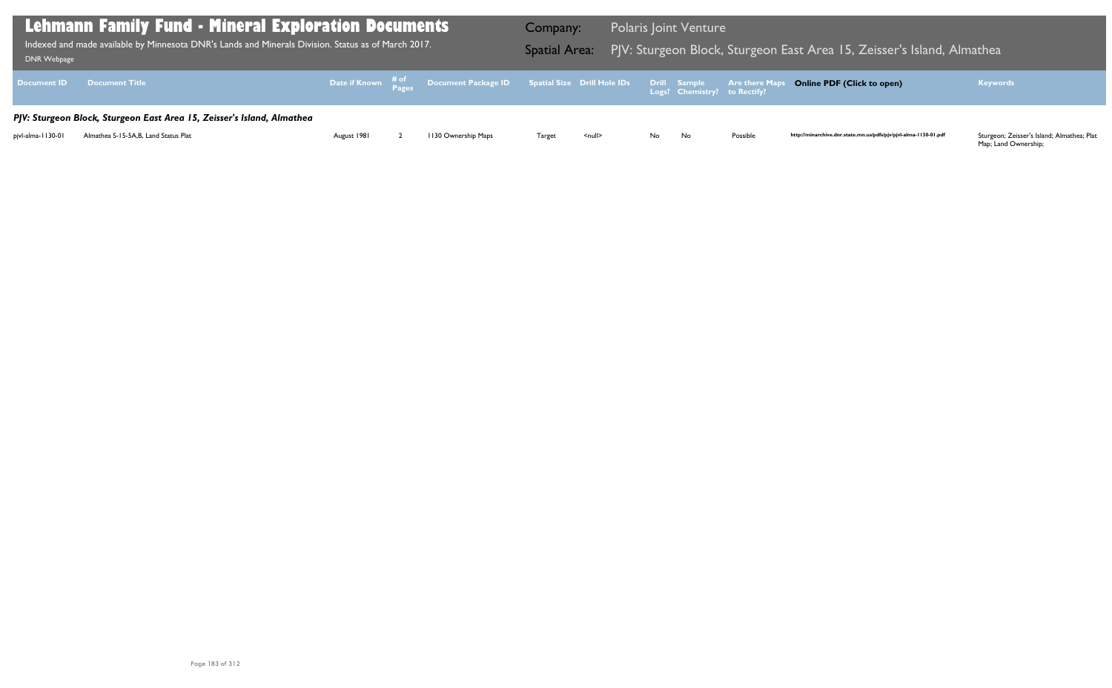| <b>DNR Webpage</b> | Lehmann Family Fund - Mineral Exploration Documents<br>Indexed and made available by Minnesota DNR's Lands and Minerals Division. Status as of March 2017. |             |                                                                                                     | Company:<br><b>Spatial Area:</b> |                    |     | <b>Polaris Joint Venture</b>                        | PJV: Sturgeon Block, Sturgeon E |
|--------------------|------------------------------------------------------------------------------------------------------------------------------------------------------------|-------------|-----------------------------------------------------------------------------------------------------|----------------------------------|--------------------|-----|-----------------------------------------------------|---------------------------------|
| <b>Document ID</b> | <b>Document Title</b>                                                                                                                                      |             | Date if Known $\frac{\text{\# of}}{\text{\# ages}}$ Document Package ID Spatial Size Drill Hole IDs |                                  |                    |     | <b>Drill Sample</b><br>Logs? Chemistry? to Rectify? | <b>Are there Maps</b>           |
|                    | PJV: Sturgeon Block, Sturgeon East Area 15, Zeisser's Island, Almathea                                                                                     |             |                                                                                                     |                                  |                    |     |                                                     |                                 |
| pjvl-alma-1130-01  | Almathea S-15-5A, B, Land Status Plat                                                                                                                      | August 1981 | 1130 Ownership Maps                                                                                 | Target                           | $\leq$ null $\geq$ | No. | No                                                  | Possible                        |

## Bast Area 15, Zeisser's Island, Almathea <mark>East</mark>

#### **Online PDF (Click to open) Keywords**

http://minarchive.dnr.state.mn.us/pdfs/pjv/pjvl-alma-1130-01.pdf

Sturgeon; Zeisser's Island; Almathea; Plat<br>Map; Land Ownership;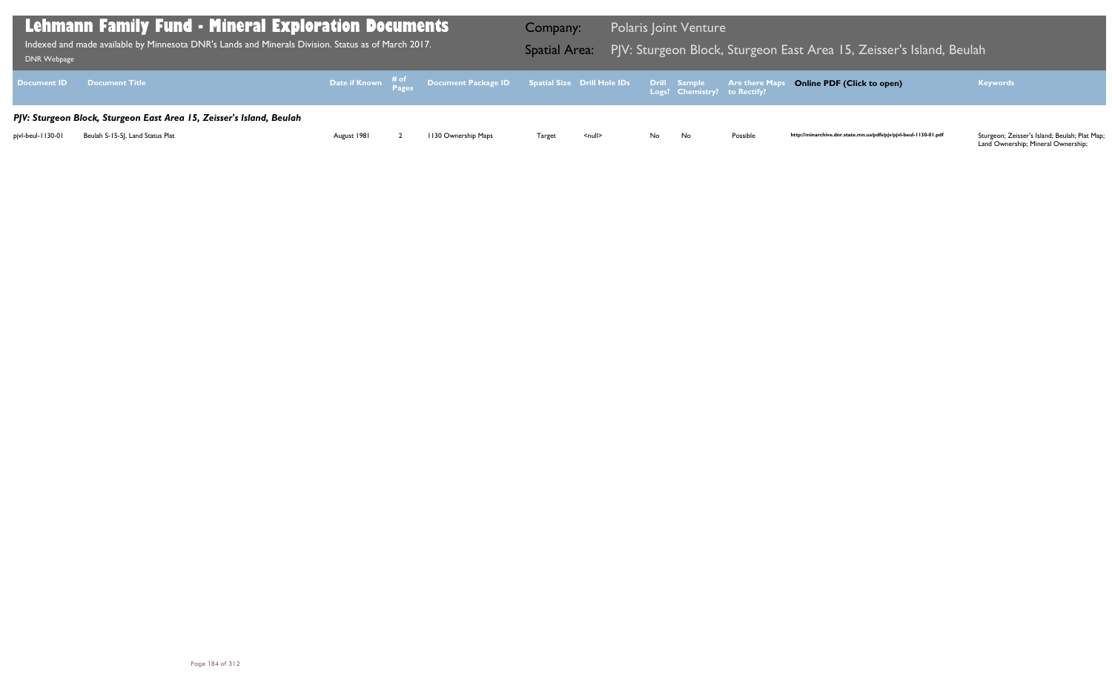Land Ownership; Mineral Ownership;

| DNR Webpage       | <b>Lehmann Family Fund - Mineral Exploration Documents</b><br>$\frac{1}{2}$ Indexed and made available by Minnesota DNR's Lands and Minerals Division. Status as of March 2017. $^{\dagger}$ |             |                                                                                                | Company:<br><b>Spatial Area:</b> |               |      | <b>Polaris Joint Venture</b> |          | PJV: Sturgeon Block, Sturgeon East Area 15, Zeisser's Island, Beulah |                                                                                                                                       |
|-------------------|----------------------------------------------------------------------------------------------------------------------------------------------------------------------------------------------|-------------|------------------------------------------------------------------------------------------------|----------------------------------|---------------|------|------------------------------|----------|----------------------------------------------------------------------|---------------------------------------------------------------------------------------------------------------------------------------|
|                   | Document ID Document Title                                                                                                                                                                   |             | Date if Known # of Document Package ID Spatial Size Drill Hole IDs Drill Sample Are there Maps |                                  |               |      |                              |          | <b>Online PDF (Click to open)</b>                                    | <b>Keywords</b>                                                                                                                       |
|                   | PJV: Sturgeon Block, Sturgeon East Area 15, Zeisser's Island, Beulah                                                                                                                         |             |                                                                                                |                                  |               |      |                              |          |                                                                      |                                                                                                                                       |
| pjvl-beul-1130-01 | Beulah S-15-51, Land Status Plat                                                                                                                                                             | August 1981 | 1130 Ownership Maps                                                                            | Target                           | <null></null> | No l | No                           | Possible | http://minarchive.dnr.state.mn.us/pdfs/pjv/pjvl-beul-1130-01.pdf     | Sturgeon; Zeisser's Island; Beulah; Plat Map;<br>$\bigcap_{n=1}^{\infty}$ Outpatriate Mineral Outpatriate in $\bigcap_{n=1}^{\infty}$ |

## Bast Area 15, Zeisser's Island, Beulah <mark>East</mark>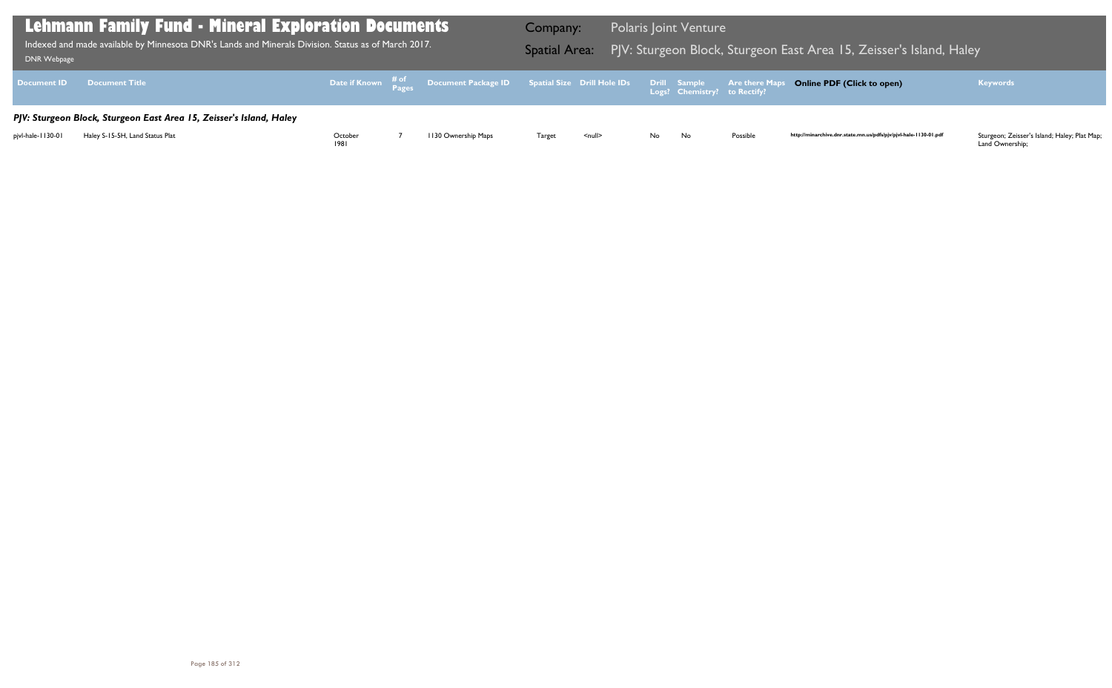| DNR Webpage       | Lehmann Family Fund - Mineral Exploration Documents<br>Indexed and made available by Minnesota DNR's Lands and Minerals Division. Status as of March 2017. |                 |                                                                                                | Company: |               |      | <b>Polaris Joint Venture</b> |          | Spatial Area: PJV: Sturgeon Block, Sturgeon East Area 15, Zeisser's Island, Haley |                                                                 |
|-------------------|------------------------------------------------------------------------------------------------------------------------------------------------------------|-----------------|------------------------------------------------------------------------------------------------|----------|---------------|------|------------------------------|----------|-----------------------------------------------------------------------------------|-----------------------------------------------------------------|
| Document ID       | <b>Document Title</b>                                                                                                                                      |                 | Date if Known # of Document Package ID Spatial Size Drill Hole IDs Drill Sample Are there Maps |          |               |      |                              |          | <b>Online PDF (Click to open)</b>                                                 | <b>Keywords</b>                                                 |
| pjvl-hale-1130-01 | PJV: Sturgeon Block, Sturgeon East Area 15, Zeisser's Island, Haley<br>Haley S-15-5H, Land Status Plat                                                     | October<br>1981 | 1130 Ownership Maps                                                                            | Target   | <null></null> | No l | No                           | Possible | http://minarchive.dnr.state.mn.us/pdfs/pjv/pjvl-hale-1130-01.pdf                  | Sturgeon; Zeisser's Island; Haley; Plat Map;<br>Land Ownership; |

## $\overline{a}$  East Area 15, Zeisser's Island, Haley Bunnes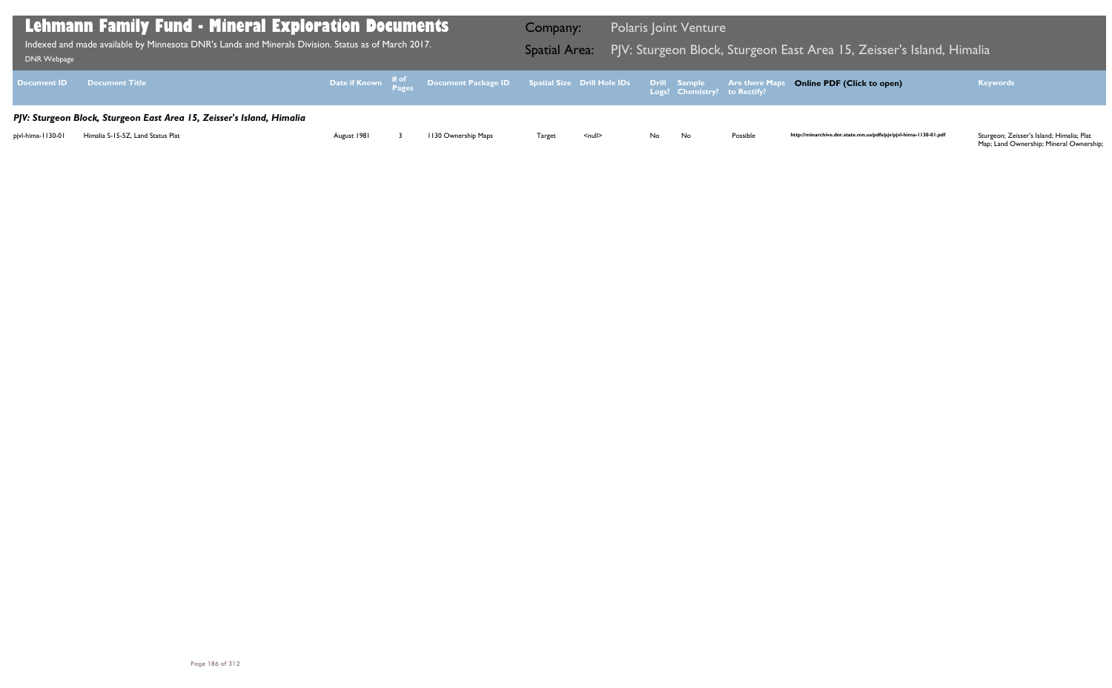| DNR Webpage        | <b>Lehmann Family Fund - Mineral Exploration Documents</b><br>Indexed and made available by Minnesota DNR's Lands and Minerals Division. Status as of March 2017. |             |                                                                                                                | Company: | Spatial Area: PJV: Sturgeon Block, Sturgeon E |     | <b>Polaris Joint Venture</b> |                       |
|--------------------|-------------------------------------------------------------------------------------------------------------------------------------------------------------------|-------------|----------------------------------------------------------------------------------------------------------------|----------|-----------------------------------------------|-----|------------------------------|-----------------------|
| <b>Document ID</b> | <b>Document Title</b>                                                                                                                                             |             | Date if Known $\frac{\text{\# of}}{\text{\# a}}}$ Document Package ID Spatial Size Drill Hole IDs Drill Sample |          |                                               |     | Logs? Chemistry? to Rectify? | <b>Are there Maps</b> |
|                    | PJV: Sturgeon Block, Sturgeon East Area 15, Zeisser's Island, Himalia                                                                                             |             |                                                                                                                |          |                                               |     |                              |                       |
| pjvl-hima-1130-01  | Himalia S-15-5Z, Land Status Plat                                                                                                                                 | August 1981 | 1130 Ownership Maps                                                                                            | Target   | $\leq$ null $\geq$                            | No. | No                           | Possible              |

## Bast Area 15, Zeisser's Island, Himalia

## **Online PDF (Click to open) Keywords**

http://minarchive.dnr.state.mn.us/pdfs/pjv/pjvl-hima-1130-01.pdf

Sturgeon; Zeisser's Island; Himalia; Plat<br>Map; Land Ownership; Mineral Ownership;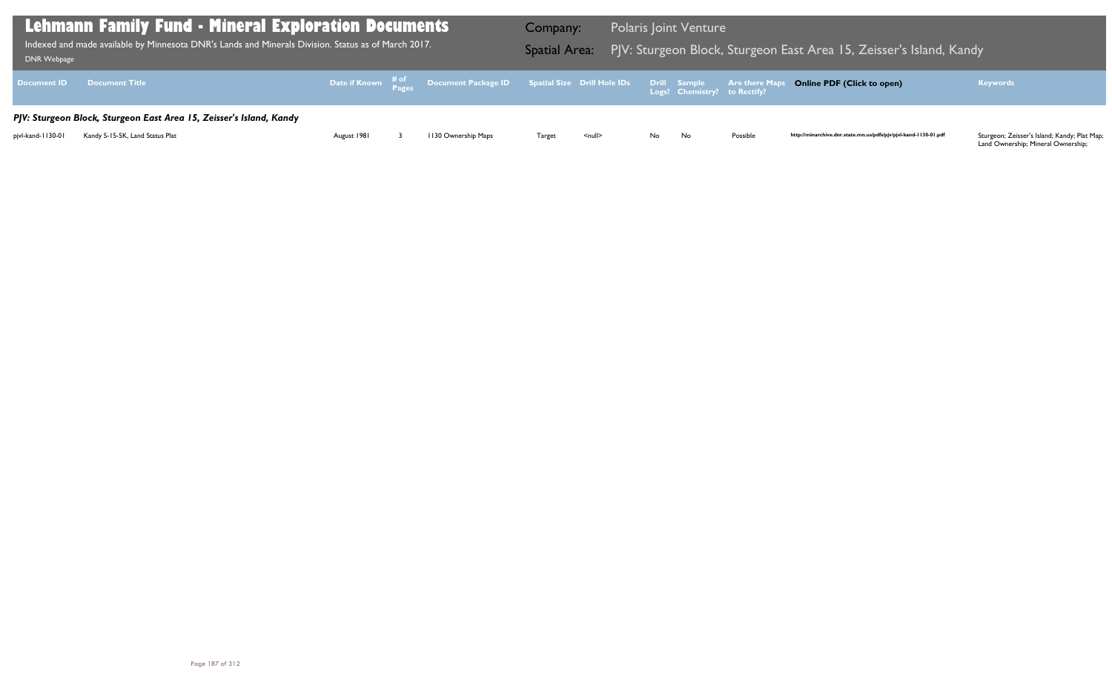Land Ownership; Mineral Ownership;

| DNR Webpage       | <b>Lehmann Family Fund - Mineral Exploration Documents</b><br>$\frac{1}{2}$ Indexed and made available by Minnesota DNR's Lands and Minerals Division. Status as of March 2017. $\frac{1}{2}$ |             |                                                                                                | Company:<br><b>Spatial Area:</b> |              |     | <b>Polaris Joint Venture</b> |          | PJV: Sturgeon Block, Sturgeon East Area 15, Zeisser's Island, Kandy |                                                                                                                                                        |
|-------------------|-----------------------------------------------------------------------------------------------------------------------------------------------------------------------------------------------|-------------|------------------------------------------------------------------------------------------------|----------------------------------|--------------|-----|------------------------------|----------|---------------------------------------------------------------------|--------------------------------------------------------------------------------------------------------------------------------------------------------|
|                   | Document ID Document Title                                                                                                                                                                    |             | Date if Known # of Document Package ID Spatial Size Drill Hole IDs Drill Sample Are there Maps |                                  |              |     |                              |          | <b>Online PDF (Click to open)</b>                                   | <b>Keywords</b>                                                                                                                                        |
|                   | PJV: Sturgeon Block, Sturgeon East Area 15, Zeisser's Island, Kandy                                                                                                                           |             |                                                                                                |                                  |              |     |                              |          |                                                                     |                                                                                                                                                        |
| pjvl-kand-1130-01 | Kandy S-15-5K, Land Status Plat                                                                                                                                                               | August 1981 | 1130 Ownership Maps                                                                            | <b>Target</b>                    | $<$ null $>$ | No. | No                           | Possible | http://minarchive.dnr.state.mn.us/pdfs/pjv/pjvl-kand-1130-01.pdf    | Sturgeon; Zeisser's Island; Kandy; Plat Map;<br>$\mathbf{1}$ and $\mathbf{0}$ are set to $\mathbf{M}$ and $\mathbf{0}$ are set the set of $\mathbf{0}$ |

## $\overline{a}$  East Area 15, Zeisser's Island, Kandy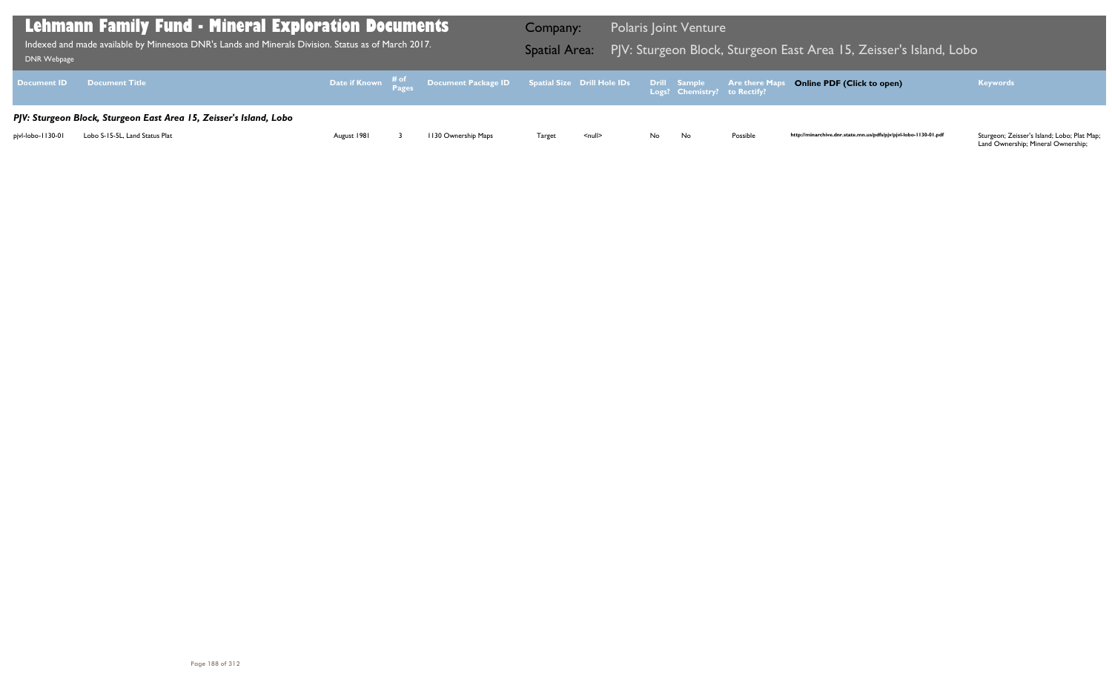Land Ownership; Mineral Ownership;

| DNR Webpage       | Lehmann Family Fund - Mineral Exploration Documents<br>$\,$ Indexed and made available by Minnesota DNR's Lands and Minerals Division. Status as of March 2017. $\,$ |             |                                                                                                | Company:<br><b>Spatial Area:</b> |               |    | <b>Polaris Joint Venture</b> |          | PJV: Sturgeon Block, Sturgeon East Area 15, Zeisser's Island, Lobo |                                                                                                                                                                                                  |
|-------------------|----------------------------------------------------------------------------------------------------------------------------------------------------------------------|-------------|------------------------------------------------------------------------------------------------|----------------------------------|---------------|----|------------------------------|----------|--------------------------------------------------------------------|--------------------------------------------------------------------------------------------------------------------------------------------------------------------------------------------------|
|                   | Document ID Document Title                                                                                                                                           |             | Date if Known # of Document Package ID Spatial Size Drill Hole IDs Drill Sample Are there Maps |                                  |               |    |                              |          | <b>Online PDF (Click to open)</b>                                  | <b>Keywords</b>                                                                                                                                                                                  |
|                   | PJV: Sturgeon Block, Sturgeon East Area 15, Zeisser's Island, Lobo                                                                                                   |             |                                                                                                |                                  |               |    |                              |          |                                                                    |                                                                                                                                                                                                  |
| pivl-lobo-1130-01 | Lobo S-15-5L, Land Status Plat                                                                                                                                       | August 1981 | 1130 Ownership Maps                                                                            | Target                           | <null></null> | No | No                           | Possible | http://minarchive.dnr.state.mn.us/pdfs/pjv/pjvl-lobo-1130-01.pdf   | Sturgeon; Zeisser's Island; Lobo; Plat Map;<br>$\mathbf{1}$ and $\mathbf{2}$ are set of $\mathbf{3}$ and $\mathbf{4}$ and $\mathbf{5}$ are set of $\mathbf{3}$ and $\mathbf{4}$ and $\mathbf{5}$ |

## Bast Area 15, Zeisser's Island, Lobo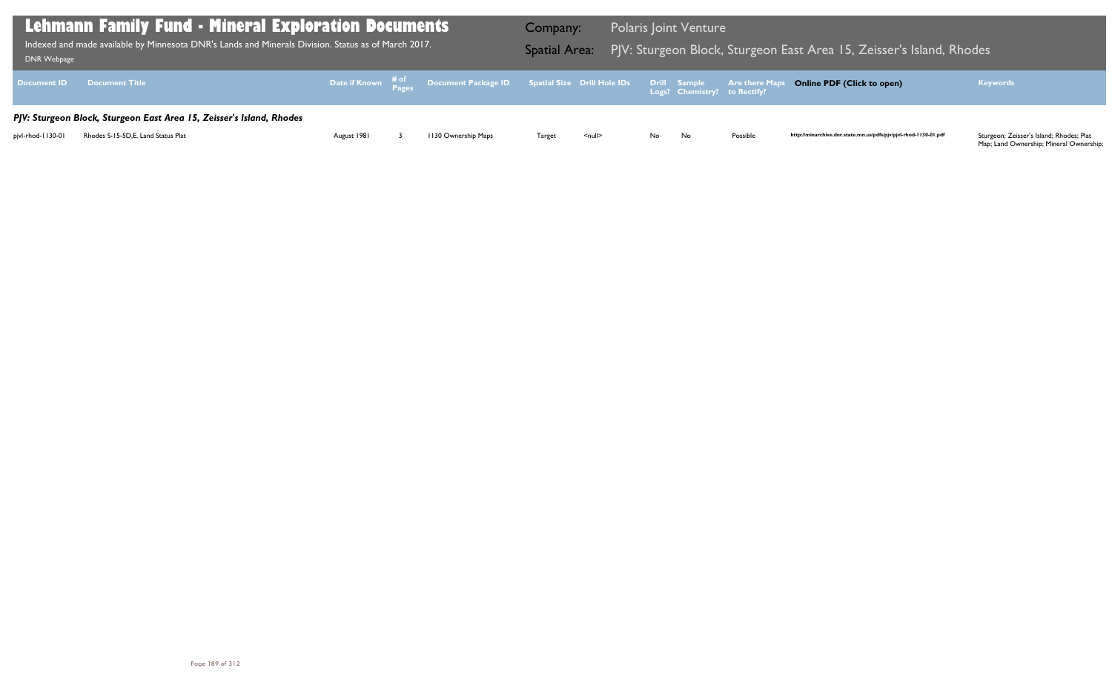| <b>DNR Webpage</b> | Lehmann Family Fund - Mineral Exploration Documents<br>Indexed and made available by Minnesota DNR's Lands and Minerals Division. Status as of March 2017. |             |                                                                                                   | Company:<br><b>Spatial Area:</b> |                    |     | <b>Polaris Joint Venture</b>                 | PJV: Sturgeon Block, Sturgeon E |
|--------------------|------------------------------------------------------------------------------------------------------------------------------------------------------------|-------------|---------------------------------------------------------------------------------------------------|----------------------------------|--------------------|-----|----------------------------------------------|---------------------------------|
| <b>Document ID</b> | <b>Document Title</b>                                                                                                                                      |             | Date if Known $\frac{\text{\# of}}{\text{\# a}}}$ Document Package ID Spatial Size Drill Hole IDs |                                  |                    |     | Drill Sample<br>Logs? Chemistry? to Rectify? | <b>Are there Maps</b>           |
|                    | PJV: Sturgeon Block, Sturgeon East Area 15, Zeisser's Island, Rhodes                                                                                       |             |                                                                                                   |                                  |                    |     |                                              |                                 |
| pjvl-rhod-1130-01  | Rhodes S-15-5D, E, Land Status Plat                                                                                                                        | August 1981 | 1130 Ownership Maps                                                                               | Target                           | $\leq$ null $\geq$ | No. | No                                           | Possible                        |

## $\overline{a}$  East Area 15, Zeisser's Island, Rhodes

## **Online PDF (Click to open) Keywords**

http://minarchive.dnr.state.mn.us/pdfs/pjv/pjvl-rhod-1130-01.pdf

Sturgeon; Zeisser's Island; Rhodes; Plat<br>Map; Land Ownership; Mineral Ownership;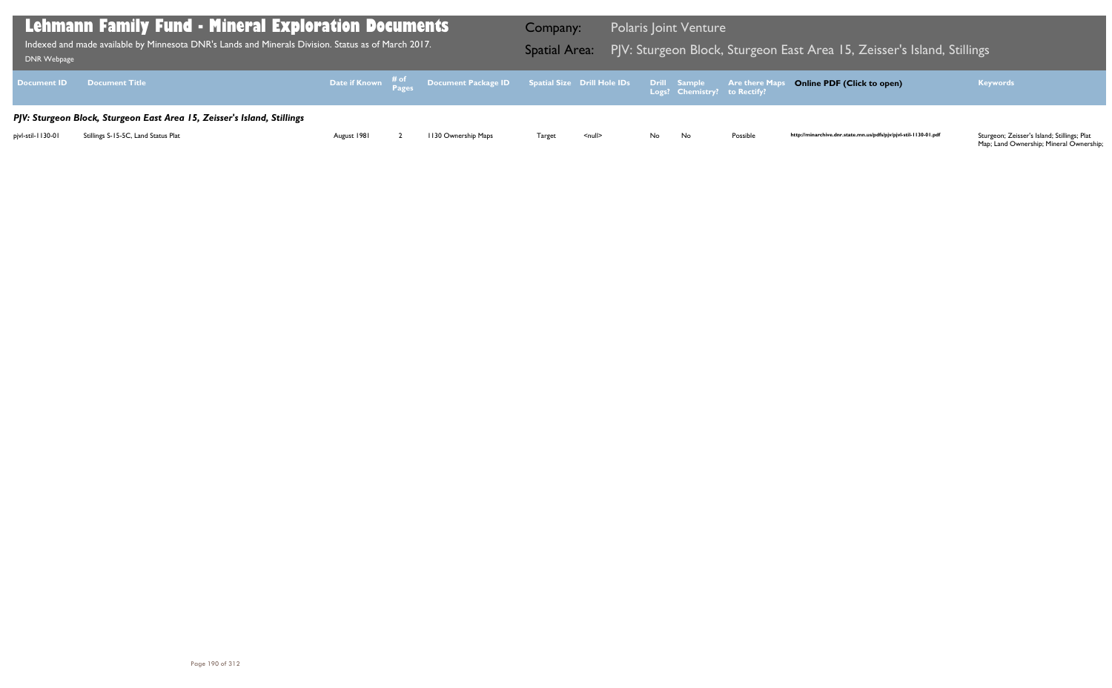| DNR Webpage        | <b>Lehmann Family Fund - Mineral Exploration Documents</b><br>Indexed and made available by Minnesota DNR's Lands and Minerals Division. Status as of March 2017. |             |                                                                                                     | Company:<br><b>Spatial Area:</b> |                    |     | <b>Polaris Joint Venture</b>                        | PJV: Sturgeon Block, Sturgeon E |
|--------------------|-------------------------------------------------------------------------------------------------------------------------------------------------------------------|-------------|-----------------------------------------------------------------------------------------------------|----------------------------------|--------------------|-----|-----------------------------------------------------|---------------------------------|
| <b>Document ID</b> | <b>Document Title</b>                                                                                                                                             |             | Date if Known $\frac{\text{\# of}}{\text{\# ages}}$ Document Package ID Spatial Size Drill Hole IDs |                                  |                    |     | <b>Drill Sample</b><br>Logs? Chemistry? to Rectify? | <b>Are there Maps</b>           |
|                    | PJV: Sturgeon Block, Sturgeon East Area 15, Zeisser's Island, Stillings                                                                                           |             |                                                                                                     |                                  |                    |     |                                                     |                                 |
| pjvl-stil-1130-01  | Stillings S-15-5C, Land Status Plat                                                                                                                               | August 1981 | 1130 Ownership Maps                                                                                 | Target                           | $\leq$ null $\geq$ | No. | No                                                  | Possible                        |

## Bast Area 15, Zeisser's Island, Stillings

## **Online PDF (Click to open) Keywords**

http://minarchive.dnr.state.mn.us/pdfs/pjv/pjvl-stil-1130-01.pdf

Sturgeon; Zeisser's Island; Stillings; Plat<br>Map; Land Ownership; Mineral Ownership;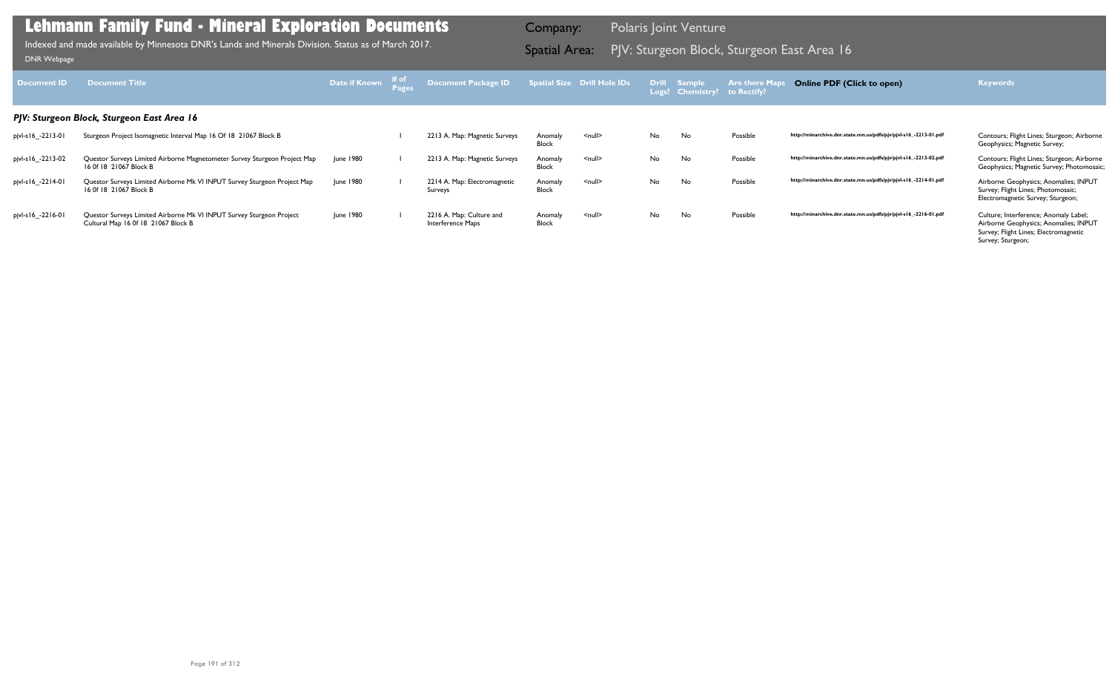| Document <b>ID</b> | <b>Document Title</b>                                                                                       | Date if Known | ≉ of | Document Package ID                           |                         | Spatial Size Drill Hole IDs |           | Drill Sample<br>Logs? Chemistry? | <b>Are there Maps</b><br>to Rectify? | <b>Online PDF (Click to open)</b>                                | <b>Keywords</b>                                                                                                                              |
|--------------------|-------------------------------------------------------------------------------------------------------------|---------------|------|-----------------------------------------------|-------------------------|-----------------------------|-----------|----------------------------------|--------------------------------------|------------------------------------------------------------------|----------------------------------------------------------------------------------------------------------------------------------------------|
|                    | PJV: Sturgeon Block, Sturgeon East Area 16                                                                  |               |      |                                               |                         |                             |           |                                  |                                      |                                                                  |                                                                                                                                              |
| pjvl-s16_-2213-01  | Sturgeon Project Isomagnetic Interval Map 16 Of 18 21067 Block B                                            |               |      | 2213 A. Map: Magnetic Surveys                 | Anomaly<br>Block        | $\leq$ null $\geq$          | No        | No                               | Possible                             | http://minarchive.dnr.state.mn.us/pdfs/pjv/pjvl-s16_-2213-01.pdf | Contours; Flight Lines; Sturgeon; Airborne<br>Geophysics; Magnetic Survey;                                                                   |
| pjvl-s16_-2213-02  | Questor Surveys Limited Airborne Magnetometer Survey Sturgeon Project Map<br>16 Of 18 21067 Block B         | June 1980     |      | 2213 A. Map: Magnetic Surveys                 | Anomaly<br><b>Block</b> | $\leq$ null $\geq$          | <b>No</b> | No                               | Possible                             | http://minarchive.dnr.state.mn.us/pdfs/pjv/pjvl-s16_-2213-02.pdf | Contours; Flight Lines; Sturgeon; Airborne<br>Geophysics; Magnetic Survey; Photomosaic;                                                      |
| pjvl-s16_-2214-01  | Questor Surveys Limited Airborne Mk VI INPUT Survey Sturgeon Project Map<br>16 Of 18 21067 Block B          | June 1980     |      | 2214 A. Map: Electromagnetic<br>Surveys       | Anomaly<br><b>Block</b> | $null$                      | No.       | No                               | Possible                             | http://minarchive.dnr.state.mn.us/pdfs/pjv/pjvl-s16_-2214-01.pdf | Airborne Geophysics; Anomalies; INPUT<br>Survey; Flight Lines; Photomosaic;<br>Electromagnetic Survey; Sturgeon;                             |
| pjvl-s16_-2216-01  | Questor Surveys Limited Airborne Mk VI INPUT Survey Sturgeon Project<br>Cultural Map 16 0f 18 21067 Block B | June 1980     |      | 2216 A. Map: Culture and<br>Interference Maps | Anomaly<br><b>Block</b> | $null$                      | No.       | No                               | Possible                             | http://minarchive.dnr.state.mn.us/pdfs/pjv/pjvl-s16_-2216-01.pdf | Culture; Interference; Anomaly Label;<br>Airborne Geophysics; Anomalies; INPUT<br>Survey; Flight Lines; Electromagnetic<br>Survey; Sturgeon; |

PJV: Sturgeon Block, Sturgeon East Area 16 Indexed and made available by Minnesota DNR's Lands and Minerals Division. Status as of March 2017. Spatial Area: [DNR Webpage](http://www.dnr.state.mn.us/lands_minerals/polaris/index.html)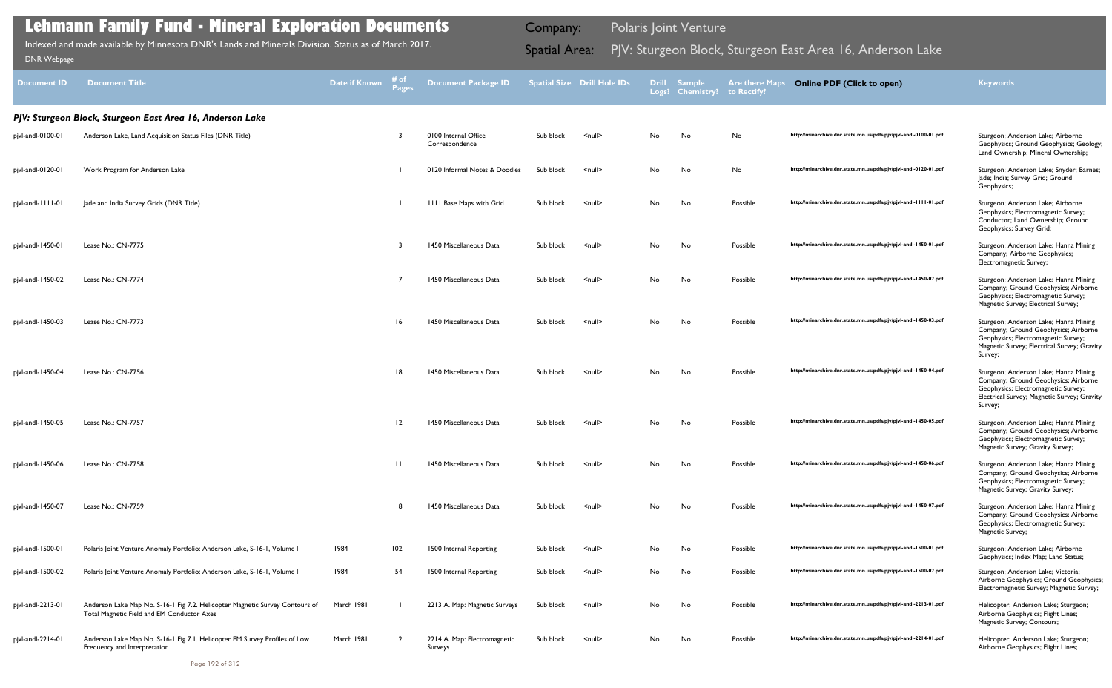| <b>Document ID</b> | <b>Document Title</b>                                                                                                      | Date if Known | # of<br>Pages  | <b>Document Package ID</b>              |           | <b>Spatial Size Drill Hole IDs</b> |     | Drill Sample<br>Logs? Chemistry? | <b>Are there Maps</b><br>to Rectify? | <b>Online PDF (Click to open)</b>                                | <b>Keywords</b>                                                                                                                                                                |
|--------------------|----------------------------------------------------------------------------------------------------------------------------|---------------|----------------|-----------------------------------------|-----------|------------------------------------|-----|----------------------------------|--------------------------------------|------------------------------------------------------------------|--------------------------------------------------------------------------------------------------------------------------------------------------------------------------------|
|                    | PJV: Sturgeon Block, Sturgeon East Area 16, Anderson Lake                                                                  |               |                |                                         |           |                                    |     |                                  |                                      |                                                                  |                                                                                                                                                                                |
| pjvl-andl-0100-01  | Anderson Lake, Land Acquisition Status Files (DNR Title)                                                                   |               | 3              | 0100 Internal Office<br>Correspondence  | Sub block | $\leq$ null $\geq$                 | No  | No                               | No                                   | http://minarchive.dnr.state.mn.us/pdfs/pjv/pjvl-andl-0100-01.pdf | Sturgeon; Anderson Lake; Airborne<br>Geophysics; Ground Geophysics; Geology;<br>Land Ownership; Mineral Ownership;                                                             |
| pjvl-andl-0120-01  | Work Program for Anderson Lake                                                                                             |               |                | 0120 Informal Notes & Doodles           | Sub block | $null$                             | No  | No                               | No                                   | http://minarchive.dnr.state.mn.us/pdfs/pjv/pjvl-andl-0120-01.pdf | Sturgeon; Anderson Lake; Snyder; Barnes;<br>Jade; India; Survey Grid; Ground<br>Geophysics;                                                                                    |
| pjvl-andl-1111-01  | Jade and India Survey Grids (DNR Title)                                                                                    |               |                | <b>IIII Base Maps with Grid</b>         | Sub block | $\leq$ null $\geq$                 | No  | No                               | Possible                             | http://minarchive.dnr.state.mn.us/pdfs/pjv/pjvl-andl-1111-01.pdf | Sturgeon; Anderson Lake; Airborne<br>Geophysics; Electromagnetic Survey;<br>Conductor; Land Ownership; Ground<br>Geophysics; Survey Grid;                                      |
| pjvl-andl-1450-01  | Lease No.: CN-7775                                                                                                         |               | 3              | 1450 Miscellaneous Data                 | Sub block | $\leq$ null $\geq$                 | No  | No                               | Possible                             | http://minarchive.dnr.state.mn.us/pdfs/pjv/pjvl-andl-1450-01.pdf | Sturgeon; Anderson Lake; Hanna Mining<br>Company; Airborne Geophysics;<br>Electromagnetic Survey;                                                                              |
| pjvl-andl-1450-02  | Lease No.: CN-7774                                                                                                         |               |                | 1450 Miscellaneous Data                 | Sub block | $\leq$ null $\geq$                 | No  | No                               | Possible                             | http://minarchive.dnr.state.mn.us/pdfs/pjv/pjvl-andl-1450-02.pdf | Sturgeon; Anderson Lake; Hanna Mining<br>Company; Ground Geophysics; Airborne<br>Geophysics; Electromagnetic Survey;<br>Magnetic Survey; Electrical Survey;                    |
| pjvl-andl-1450-03  | Lease No.: CN-7773                                                                                                         |               | 16             | 1450 Miscellaneous Data                 | Sub block | $\leq$ null $\geq$                 | No. | No                               | Possible                             | http://minarchive.dnr.state.mn.us/pdfs/pjv/pjvl-andl-1450-03.pdf | Sturgeon; Anderson Lake; Hanna Mining<br>Company; Ground Geophysics; Airborne<br>Geophysics; Electromagnetic Survey;<br>Magnetic Survey; Electrical Survey; Gravity<br>Survey; |
| pjvl-andl-1450-04  | Lease No.: CN-7756                                                                                                         |               | 8              | 1450 Miscellaneous Data                 | Sub block | $\leq$ null $\geq$                 | No  | No                               | Possible                             | http://minarchive.dnr.state.mn.us/pdfs/pjv/pjvl-andl-1450-04.pdf | Sturgeon; Anderson Lake; Hanna Mining<br>Company; Ground Geophysics; Airborne<br>Geophysics; Electromagnetic Survey;<br>Electrical Survey; Magnetic Survey; Gravity<br>Survey; |
| pjvl-andl-1450-05  | Lease No.: CN-7757                                                                                                         |               | 12             | 1450 Miscellaneous Data                 | Sub block | $\leq$ null $\geq$                 | No  | No                               | Possible                             | http://minarchive.dnr.state.mn.us/pdfs/pjv/pjvl-andl-1450-05.pdf | Sturgeon; Anderson Lake; Hanna Mining<br>Company; Ground Geophysics; Airborne<br>Geophysics; Electromagnetic Survey;<br>Magnetic Survey; Gravity Survey;                       |
| pjvl-andl-1450-06  | Lease No.: CN-7758                                                                                                         |               | $\perp$        | 1450 Miscellaneous Data                 | Sub block | $null$                             | No  | No                               | Possible                             | http://minarchive.dnr.state.mn.us/pdfs/pjv/pjvl-andl-1450-06.pdf | Sturgeon; Anderson Lake; Hanna Mining<br>Company; Ground Geophysics; Airborne<br>Geophysics; Electromagnetic Survey;<br>Magnetic Survey; Gravity Survey;                       |
| pjvl-andl-1450-07  | Lease No.: CN-7759                                                                                                         |               | 8              | 1450 Miscellaneous Data                 | Sub block | $null$                             | No  | No                               | Possible                             | http://minarchive.dnr.state.mn.us/pdfs/pjv/pjvl-andl-1450-07.pdf | Sturgeon; Anderson Lake; Hanna Mining<br>Company; Ground Geophysics; Airborne<br>Geophysics; Electromagnetic Survey;<br>Magnetic Survey;                                       |
| pjvl-andl-1500-01  | Polaris Joint Venture Anomaly Portfolio: Anderson Lake, S-16-1, Volume I                                                   | 1984          | 102            | 1500 Internal Reporting                 | Sub block | $null$                             | No  | No                               | Possible                             | http://minarchive.dnr.state.mn.us/pdfs/pjv/pjvl-andl-1500-01.pdf | Sturgeon; Anderson Lake; Airborne<br>Geophysics; Index Map; Land Status;                                                                                                       |
| pjvl-andl-1500-02  | Polaris Joint Venture Anomaly Portfolio: Anderson Lake, S-16-1, Volume II                                                  | 1984          | 54             | 1500 Internal Reporting                 | Sub block | <null></null>                      | No  | No                               | Possible                             | http://minarchive.dnr.state.mn.us/pdfs/pjv/pjvl-andl-1500-02.pdf | Sturgeon; Anderson Lake; Victoria;<br>Airborne Geophysics; Ground Geophysics;<br>Electromagnetic Survey; Magnetic Survey;                                                      |
| pjvl-andl-2213-01  | Anderson Lake Map No. S-16-1 Fig 7.2. Helicopter Magnetic Survey Contours of<br>Total Magnetic Field and EM Conductor Axes | March 1981    |                | 2213 A. Map: Magnetic Surveys           | Sub block | $null$                             | No  | No                               | Possible                             | http://minarchive.dnr.state.mn.us/pdfs/pjv/pjvl-andl-2213-01.pdf | Helicopter; Anderson Lake; Sturgeon;<br>Airborne Geophysics; Flight Lines;<br>Magnetic Survey; Contours;                                                                       |
| pjvl-andl-2214-01  | Anderson Lake Map No. S-16-1 Fig 7.1. Helicopter EM Survey Profiles of Low<br>Frequency and Interpretation                 | March 1981    | $\overline{2}$ | 2214 A. Map: Electromagnetic<br>Surveys | Sub block | $\leq$ null $\geq$                 | No. | No                               | Possible                             | http://minarchive.dnr.state.mn.us/pdfs/pjv/pjvl-andl-2214-01.pdf | Helicopter; Anderson Lake; Sturgeon;<br>Airborne Geophysics; Flight Lines;                                                                                                     |

Indexed and made available by Minnesota DNR's Lands and Minerals Division. Status as of March 2017. **Spatial Area:** PJV: Sturgeon Block, Sturgeon East Area 16, Anderson Lake DNR Webpage Indexed and made available by Minnesota DNR's Lands and Minerals Division. Status as of March 2017.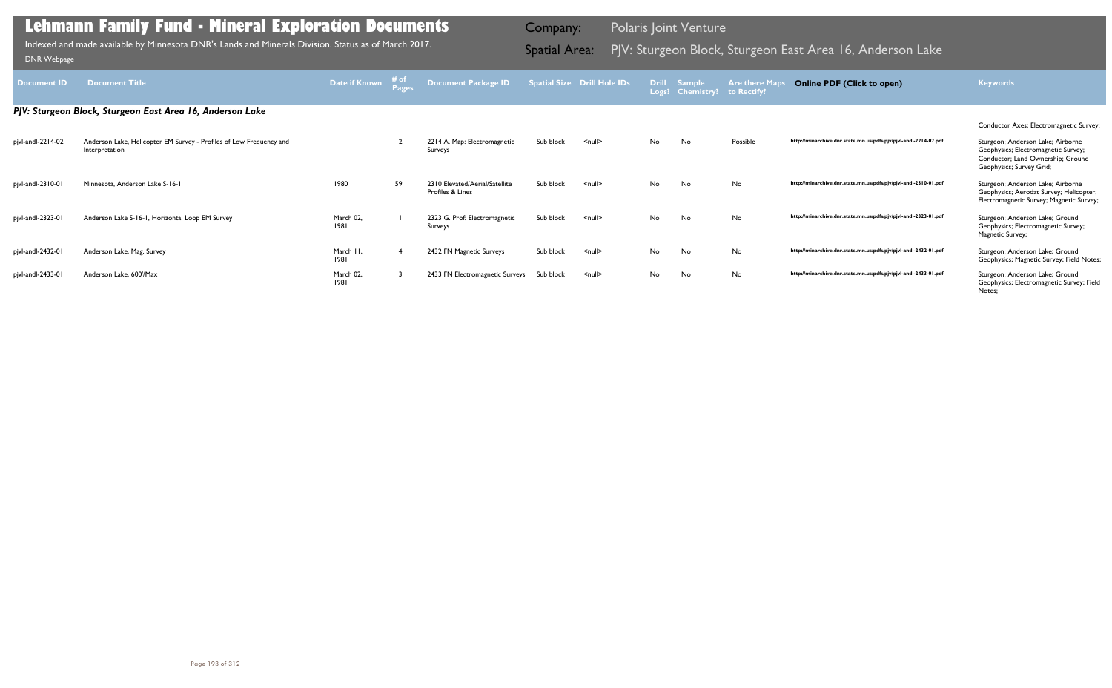| <b>Document ID</b> | <b>Document Title</b>                                                                 | Date if Known     | # of<br><b>Pages</b> | <b>Document Package ID</b>                         |           | <b>Spatial Size Drill Hole IDs</b> | <b>Drill</b><br>Logs? | <b>Sample</b><br><b>Chemistry?</b> | <b>Are there Maps</b><br>to Rectify? | <b>Online PDF (Click to open)</b>                                | <b>Keywords</b>                                                                                                                           |
|--------------------|---------------------------------------------------------------------------------------|-------------------|----------------------|----------------------------------------------------|-----------|------------------------------------|-----------------------|------------------------------------|--------------------------------------|------------------------------------------------------------------|-------------------------------------------------------------------------------------------------------------------------------------------|
|                    | PJV: Sturgeon Block, Sturgeon East Area 16, Anderson Lake                             |                   |                      |                                                    |           |                                    |                       |                                    |                                      |                                                                  |                                                                                                                                           |
|                    |                                                                                       |                   |                      |                                                    |           |                                    |                       |                                    |                                      |                                                                  | Conductor Axes; Electromagnetic Survey;                                                                                                   |
| pjvl-andl-2214-02  | Anderson Lake, Helicopter EM Survey - Profiles of Low Frequency and<br>Interpretation |                   |                      | 2214 A. Map: Electromagnetic<br>Surveys            | Sub block | $\leq$ null $\geq$                 | No.                   | No                                 | Possible                             | http://minarchive.dnr.state.mn.us/pdfs/pjv/pjvl-andl-2214-02.pdf | Sturgeon; Anderson Lake; Airborne<br>Geophysics; Electromagnetic Survey;<br>Conductor; Land Ownership; Ground<br>Geophysics; Survey Grid; |
| pjvl-andl-2310-01  | Minnesota, Anderson Lake S-16-1                                                       | 1980              | 59                   | 2310 Elevated/Aerial/Satellite<br>Profiles & Lines | Sub block | $null$                             | No.                   | No                                 | No                                   | http://minarchive.dnr.state.mn.us/pdfs/pjv/pjvl-andl-2310-01.pdf | Sturgeon; Anderson Lake; Airborne<br>Geophysics; Aerodat Survey; Helicopter;<br>Electromagnetic Survey; Magnetic Survey;                  |
| pjvl-andl-2323-01  | Anderson Lake S-16-1, Horizontal Loop EM Survey                                       | March 02,<br>1981 |                      | 2323 G. Prof: Electromagnetic<br>Surveys           | Sub block | $\leq$ null $\geq$                 | No                    | No                                 | No                                   | http://minarchive.dnr.state.mn.us/pdfs/pjv/pjvl-andl-2323-01.pdf | Sturgeon; Anderson Lake; Ground<br>Geophysics; Electromagnetic Survey;<br>Magnetic Survey;                                                |
| pjvl-andl-2432-01  | Anderson Lake, Mag. Survey                                                            | March II,<br>1981 |                      | 2432 FN Magnetic Surveys                           | Sub block | $\leq$ null $\geq$                 | No                    | No                                 | No                                   | http://minarchive.dnr.state.mn.us/pdfs/pjv/pjvl-andl-2432-01.pdf | Sturgeon; Anderson Lake; Ground<br>Geophysics; Magnetic Survey; Field Notes;                                                              |
| pjvl-andl-2433-01  | Anderson Lake, 600'/Max                                                               | March 02,<br>1981 |                      | 2433 FN Electromagnetic Surveys Sub block          |           | $\leq$ null $\geq$                 | No                    | No                                 | No                                   | http://minarchive.dnr.state.mn.us/pdfs/pjv/pjvl-andl-2433-01.pdf | Sturgeon; Anderson Lake; Ground<br>Geophysics; Electromagnetic Survey; Field<br>Notes;                                                    |

Indexed and made available by Minnesota DNR's Lands and Minerals Division. Status as of March 2017. **Spatial Area:** PJV: Sturgeon Block, Sturgeon East Area 16, Anderson Lake DNR Webpage Indexed and made available by Minnesota DNR's Lands and Minerals Division. Status as of March 2017.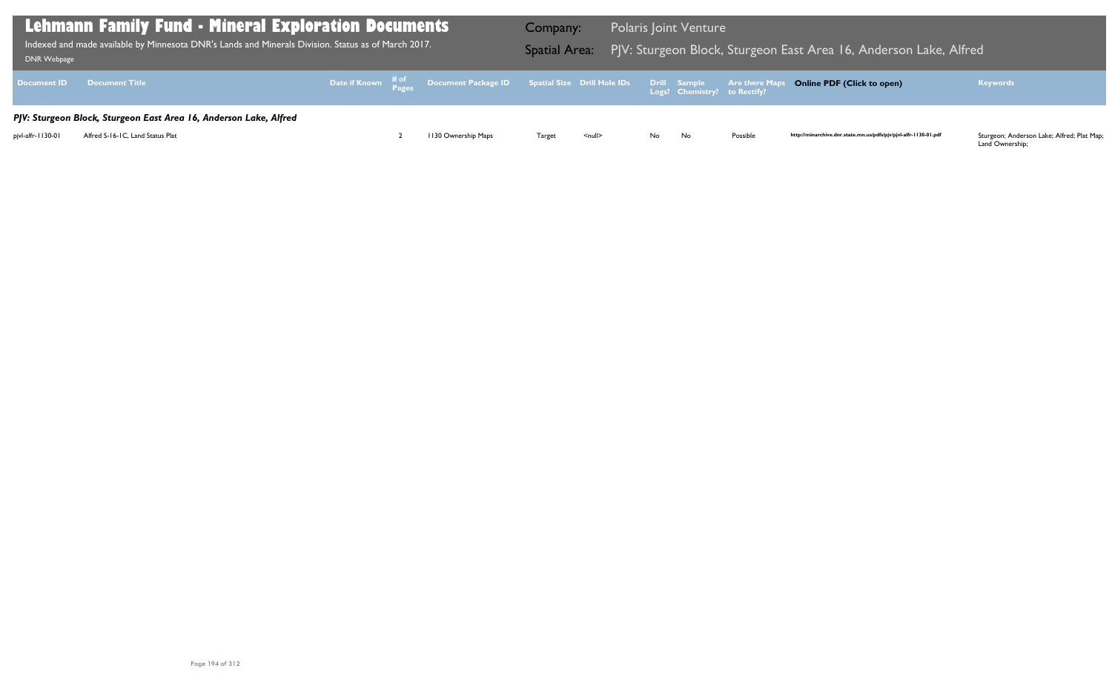Land Ownership;

| <b>Lehmann Family Fund - Mineral Exploration Documents</b><br>Indexed and made available by Minnesota DNR's Lands and Minerals Division. Status as of March 2017.<br>DNR Webpage |                                                                   |  |  |                                                                                                | Company:      |               |    | <b>Polaris Joint Venture</b> |          | Spatial Area: PJV: Sturgeon Block, Sturgeon East Area 16, Anderson Lake, Alfred |                                                                                                       |
|----------------------------------------------------------------------------------------------------------------------------------------------------------------------------------|-------------------------------------------------------------------|--|--|------------------------------------------------------------------------------------------------|---------------|---------------|----|------------------------------|----------|---------------------------------------------------------------------------------|-------------------------------------------------------------------------------------------------------|
|                                                                                                                                                                                  | Document ID Document Title                                        |  |  | Date if Known # of Document Package ID Spatial Size Drill Hole IDs Drill Sample Are there Maps |               |               |    |                              |          | <b>Online PDF (Click to open)</b>                                               | <b>Keywords</b>                                                                                       |
|                                                                                                                                                                                  | PJV: Sturgeon Block, Sturgeon East Area 16, Anderson Lake, Alfred |  |  |                                                                                                |               |               |    |                              |          |                                                                                 |                                                                                                       |
| pjvl-alfr-1130-01                                                                                                                                                                | Alfred S-16-1C, Land Status Plat                                  |  |  | 1130 Ownership Maps                                                                            | <b>Target</b> | <null></null> | No | No                           | Possible | http://minarchive.dnr.state.mn.us/pdfs/pjv/pjvl-alfr-1130-01.pdf                | Sturgeon; Anderson Lake; Alfred; Plat Map;<br>$\mathbf{1}$ and $\mathbf{2}$ constants of $\mathbf{3}$ |

## $\overline{\phantom{a}}$  East Area 16, Anderson Lake, Alfred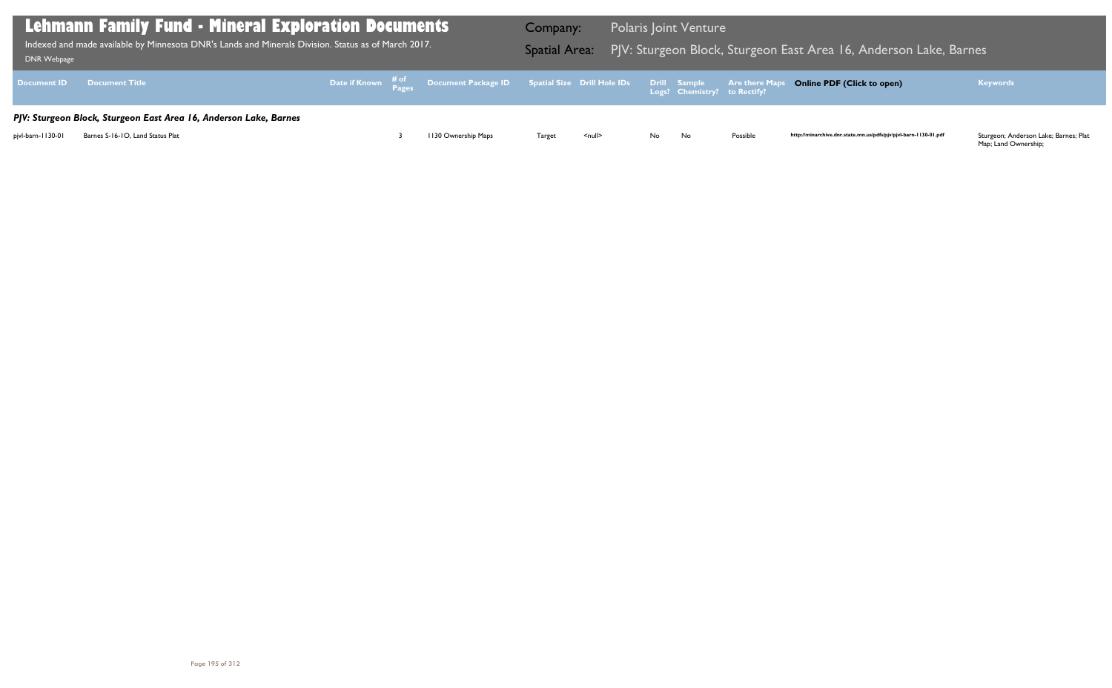| <b>DNR Webpage</b> | <b>Lehmann Family Fund - Mineral Exploration Documents</b><br>Indexed and made available by Minnesota DNR's Lands and Minerals Division. Status as of March 2017. | Company: | Spatial Area: PJV: Sturgeon Block, Sturgeon E                                                                    |        | <b>Polaris Joint Venture</b> |     |                              |                       |
|--------------------|-------------------------------------------------------------------------------------------------------------------------------------------------------------------|----------|------------------------------------------------------------------------------------------------------------------|--------|------------------------------|-----|------------------------------|-----------------------|
| <b>Document ID</b> | <b>Document Title</b>                                                                                                                                             |          | Date if Known $\frac{\text{\# of}}{\text{\# of 2}}$ Document Package ID Spatial Size Drill Hole IDs Drill Sample |        |                              |     | Logs? Chemistry? to Rectify? | <b>Are there Maps</b> |
|                    | PJV: Sturgeon Block, Sturgeon East Area 16, Anderson Lake, Barnes                                                                                                 |          |                                                                                                                  |        |                              |     |                              |                       |
| pjvl-barn-1130-01  | Barnes S-16-10, Land Status Plat                                                                                                                                  |          | 1130 Ownership Maps                                                                                              | Target | $\leq$ null $\geq$           | No. | No                           | Possible              |

## 1 East Area 16, Anderson Lake, Barnes

### **Online PDF (Click to open) Keywords**

http://minarchive.dnr.state.mn.us/pdfs/pjv/pjvl-barn-1130-01.pdf

Sturgeon; Anderson Lake; Barnes; Plat<br>Map; Land Ownership;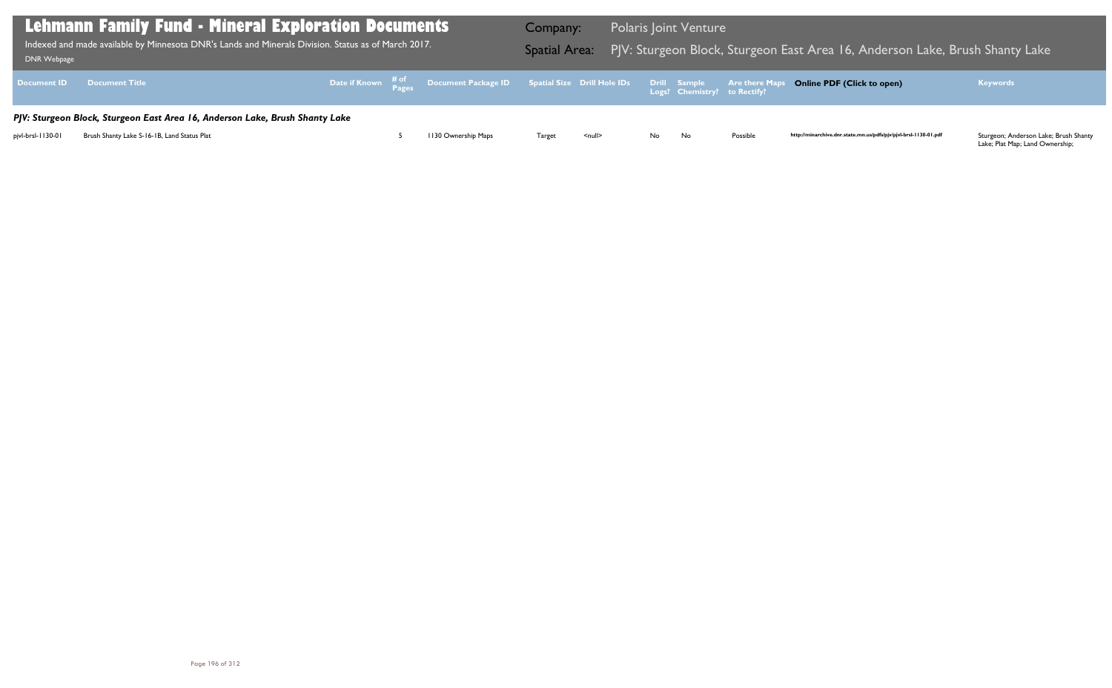| DNR Webpage        | Lehmann Family Fund - Mineral Exploration Documents<br>Indexed and made available by Minnesota DNR's Lands and Minerals Division. Status as of March 2017. | Company:<br><b>Spatial Area:</b> |                                                                                                   |        | <b>Polaris Joint Venture</b> | PJV: Sturgeon Block, Sturgeon E |                                                     |                       |
|--------------------|------------------------------------------------------------------------------------------------------------------------------------------------------------|----------------------------------|---------------------------------------------------------------------------------------------------|--------|------------------------------|---------------------------------|-----------------------------------------------------|-----------------------|
| <b>Document ID</b> | <b>Document Title</b>                                                                                                                                      |                                  | Date if Known $\frac{\text{\# of}}{\text{\# a}}}$ Document Package ID Spatial Size Drill Hole IDs |        |                              |                                 | <b>Drill Sample</b><br>Logs? Chemistry? to Rectify? | <b>Are there Maps</b> |
|                    | PJV: Sturgeon Block, Sturgeon East Area 16, Anderson Lake, Brush Shanty Lake                                                                               |                                  |                                                                                                   |        |                              |                                 |                                                     |                       |
| pjvl-brsl-1130-01  | Brush Shanty Lake S-16-1B, Land Status Plat                                                                                                                |                                  | 1130 Ownership Maps                                                                               | Target | $\leq$ null $\geq$           | No.                             | No                                                  | Possible              |

## Block, Sturgeon Eake, Brush Shanty Lake, Brush Shanty Lake

## **Online PDF (Click to open) Keywords**

http://minarchive.dnr.state.mn.us/pdfs/pjv/pjvl-brsl-1130-01.pdf

Sturgeon; Anderson Lake; Brush Shanty<br>Lake; Plat Map; Land Ownership;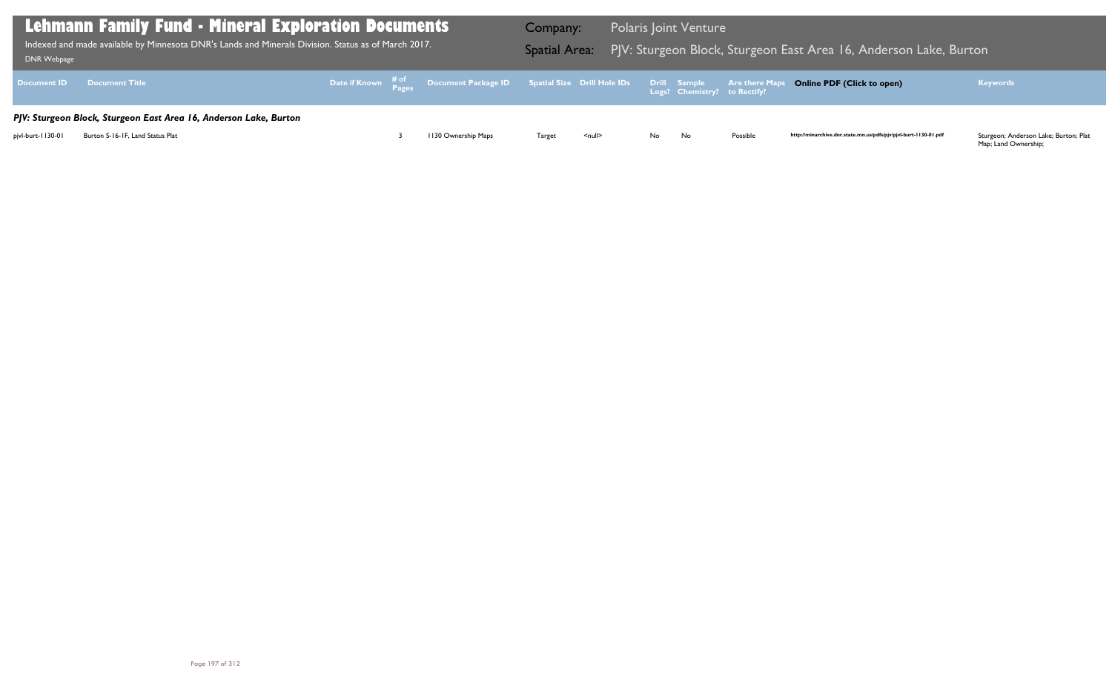| <b>DNR Webpage</b> | <b>Lehmann Family Fund - Mineral Exploration Documents</b><br>Indexed and made available by Minnesota DNR's Lands and Minerals Division. Status as of March 2017. | Company:<br><b>Spatial Area:</b> |                                                                                                                                 | <b>Polaris Joint Venture</b><br>PJV: Sturgeon Block, Sturgeon E |                    |     |                              |                       |
|--------------------|-------------------------------------------------------------------------------------------------------------------------------------------------------------------|----------------------------------|---------------------------------------------------------------------------------------------------------------------------------|-----------------------------------------------------------------|--------------------|-----|------------------------------|-----------------------|
| <b>Document ID</b> | <b>Document Title</b>                                                                                                                                             |                                  | Date if Known $\frac{\text{\# of}}{\text{\# a} \cdot \text{\# b}}$ Document Package ID Spatial Size Drill Hole IDs Drill Sample |                                                                 |                    |     | Logs? Chemistry? to Rectify? | <b>Are there Maps</b> |
|                    | PJV: Sturgeon Block, Sturgeon East Area 16, Anderson Lake, Burton                                                                                                 |                                  |                                                                                                                                 |                                                                 |                    |     |                              |                       |
| pjvl-burt-1130-01  | Burton S-16-1F, Land Status Plat                                                                                                                                  |                                  | 1130 Ownership Maps                                                                                                             | Target                                                          | $\leq$ null $\geq$ | No. | No                           | Possible              |

## $\overline{1}$  East Area 16, Anderson Lake, Burton

### **Online PDF (Click to open) Keywords**

http://minarchive.dnr.state.mn.us/pdfs/pjv/pjvl-burt-1130-01.pdf

Sturgeon; Anderson Lake; Burton; Plat<br>Map; Land Ownership;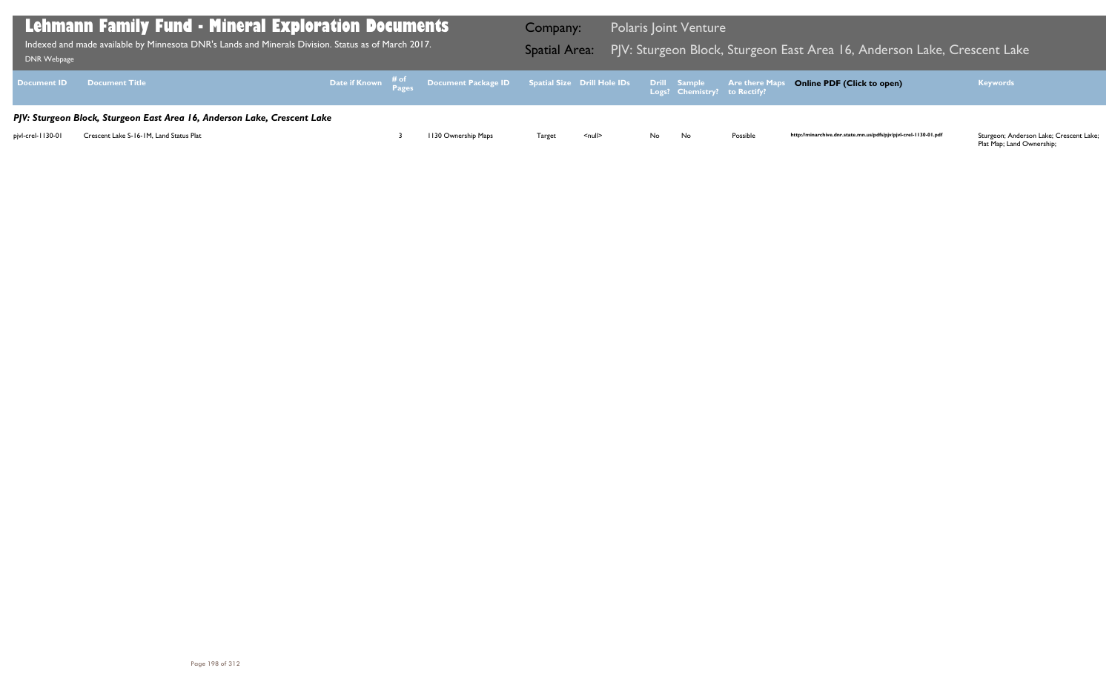Plat Map; Land Ownership;

| <b>Lehmann Family Fund - Mineral Exploration Documents</b><br>$\mid$ Indexed and made available by Minnesota DNR's Lands and Minerals Division. Status as of March 2017. $\mid$<br>DNR Webpage |                                                                          |  |  |                                                                                                | Company:      |               |    | <b>Polaris Joint Venture</b> |          | Spatial Area: PJV: Sturgeon Block, Sturgeon East Area 16, Anderson Lake, Crescent Lake |                                                                            |
|------------------------------------------------------------------------------------------------------------------------------------------------------------------------------------------------|--------------------------------------------------------------------------|--|--|------------------------------------------------------------------------------------------------|---------------|---------------|----|------------------------------|----------|----------------------------------------------------------------------------------------|----------------------------------------------------------------------------|
|                                                                                                                                                                                                | Document ID Document Title                                               |  |  | Date if Known # of Document Package ID Spatial Size Drill Hole IDs Drill Sample Are there Maps |               |               |    |                              |          | <b>Online PDF (Click to open)</b>                                                      | <b>Keywords</b>                                                            |
|                                                                                                                                                                                                | PJV: Sturgeon Block, Sturgeon East Area 16, Anderson Lake, Crescent Lake |  |  |                                                                                                |               |               |    |                              |          |                                                                                        |                                                                            |
| pjvl-crel-1130-01                                                                                                                                                                              | Crescent Lake S-16-1M, Land Status Plat                                  |  |  | 1130 Ownership Maps                                                                            | <b>Target</b> | <null></null> | No | No                           | Possible | http://minarchive.dnr.state.mn.us/pdfs/pjv/pjvl-crel-1130-01.pdf                       | Sturgeon; Anderson Lake; Crescent Lake;<br><b>Dlat Manufand Oumanabini</b> |

## Bast Area 16, Anderson Lake, Crescent Lake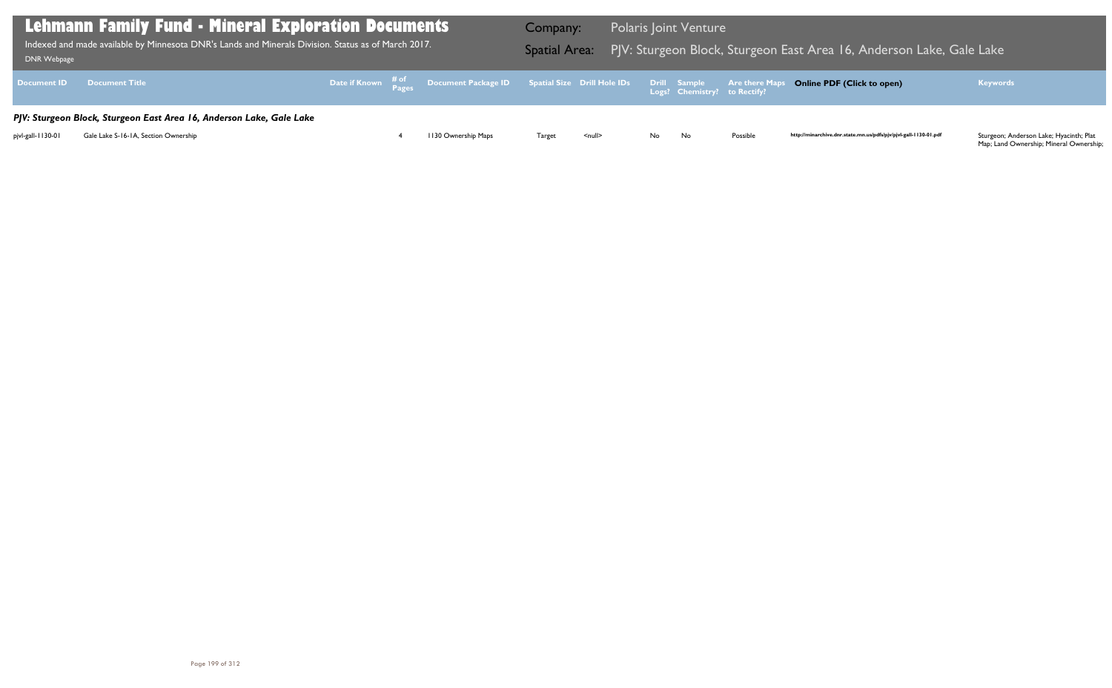| Lehmann Family Fund - Mineral Exploration Documents  <br>Indexed and made available by Minnesota DNR's Lands and Minerals Division. Status as of March 2017.<br><b>DNR Webpage</b> | Company:                                                             | Spatial Area: PJV: Sturgeon Block, Sturgeon E |                     | <b>Polaris Joint Venture</b> |                    |     |                              |                       |
|------------------------------------------------------------------------------------------------------------------------------------------------------------------------------------|----------------------------------------------------------------------|-----------------------------------------------|---------------------|------------------------------|--------------------|-----|------------------------------|-----------------------|
| <b>Document ID</b>                                                                                                                                                                 | <b>Document Title</b>                                                |                                               |                     |                              |                    |     | Logs? Chemistry? to Rectify? | <b>Are there Maps</b> |
|                                                                                                                                                                                    | PJV: Sturgeon Block, Sturgeon East Area 16, Anderson Lake, Gale Lake |                                               |                     |                              |                    |     |                              |                       |
| pjvl-gall-1130-01                                                                                                                                                                  | Gale Lake S-16-1A, Section Ownership                                 |                                               | 1130 Ownership Maps | Target                       | $\leq$ null $\geq$ | No. | No                           | Possible              |

## Bast Area 16, Anderson Lake, Gale Lake

#### **Online PDF (Click to open) Keywords**

http://minarchive.dnr.state.mn.us/pdfs/pjv/pjvl-gall-1130-01.pdf

Sturgeon; Anderson Lake; Hyacinth; Plat<br>Map; Land Ownership; Mineral Ownership;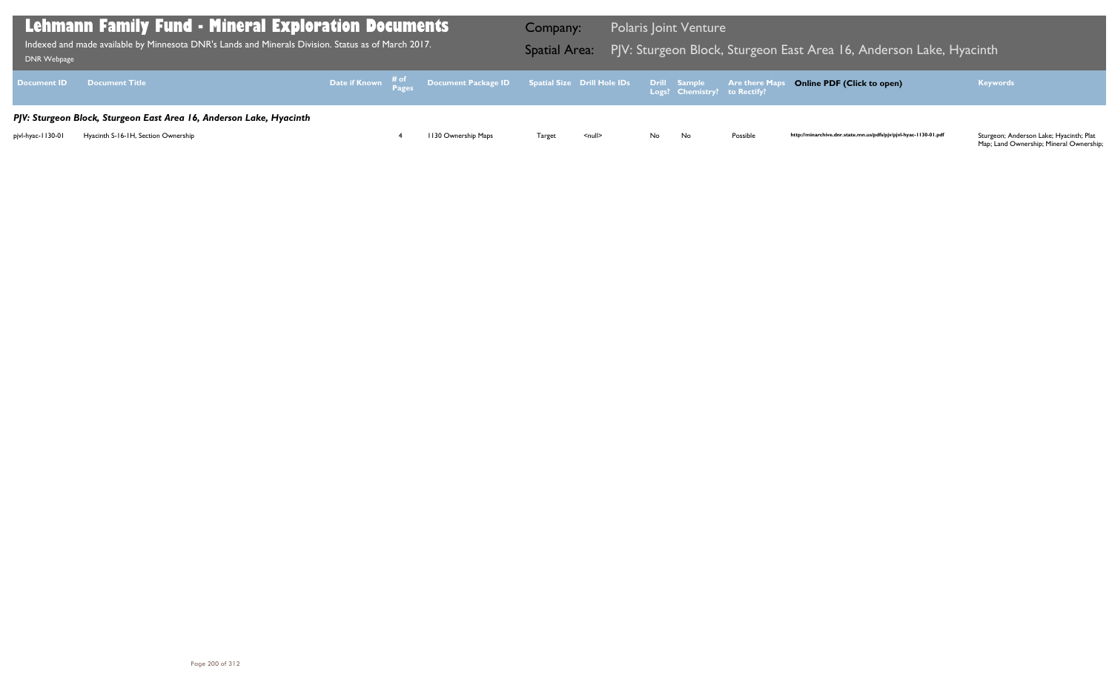| DNR Webpage        | Lehmann Family Fund - Mineral Exploration Documents  <br>Indexed and made available by Minnesota DNR's Lands and Minerals Division. Status as of March 2017. | Company:<br><b>Spatial Area:</b> |                                                                                                     |        | <b>Polaris Joint Venture</b> | PJV: Sturgeon Block, Sturgeon E |                                                     |                       |
|--------------------|--------------------------------------------------------------------------------------------------------------------------------------------------------------|----------------------------------|-----------------------------------------------------------------------------------------------------|--------|------------------------------|---------------------------------|-----------------------------------------------------|-----------------------|
| <b>Document ID</b> | <b>Document Title</b>                                                                                                                                        |                                  | Date if Known $\frac{\text{\# of}}{\text{\# ages}}$ Document Package ID Spatial Size Drill Hole IDs |        |                              |                                 | <b>Drill Sample</b><br>Logs? Chemistry? to Rectify? | <b>Are there Maps</b> |
|                    | PJV: Sturgeon Block, Sturgeon East Area 16, Anderson Lake, Hyacinth                                                                                          |                                  |                                                                                                     |        |                              |                                 |                                                     |                       |
| pjvl-hyac-1130-01  | Hyacinth S-16-1H, Section Ownership                                                                                                                          |                                  | 1130 Ownership Maps                                                                                 | Target | $\leq$ null $\geq$           | No.                             | No                                                  | Possible              |

# Block, Sturgeon Eake, Anderson Lake, Hyacinth Indexed available by Lands and Minerals and Minerals and Minerals Area

#### **Online PDF (Click to open) Keywords**

http://minarchive.dnr.state.mn.us/pdfs/pjv/pjvl-hyac-1130-01.pdf

Sturgeon; Anderson Lake; Hyacinth; Plat<br>Map; Land Ownership; Mineral Ownership;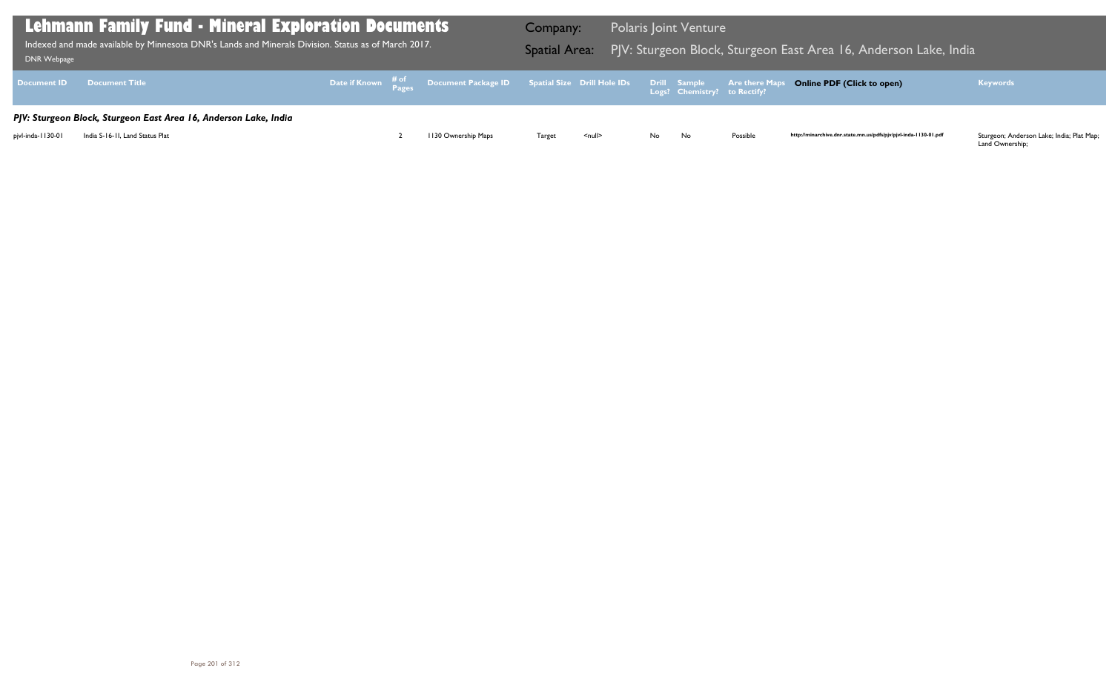| <b>Lehmann Family Fund - Mineral Exploration Documents</b><br>Indexed and made available by Minnesota DNR's Lands and Minerals Division. Status as of March 2017.<br>DNR Webpage | Company:<br><b>Spatial Area:</b>                                 |  |                                                                                                   | <b>Polaris Joint Venture</b> | PJV: Sturgeon Block, Sturgeon E |     |                                                     |                       |
|----------------------------------------------------------------------------------------------------------------------------------------------------------------------------------|------------------------------------------------------------------|--|---------------------------------------------------------------------------------------------------|------------------------------|---------------------------------|-----|-----------------------------------------------------|-----------------------|
| <b>Document ID</b>                                                                                                                                                               | <b>Document Title</b>                                            |  | Date if Known $\frac{\text{\# of}}{\text{\# a}}}$ Document Package ID Spatial Size Drill Hole IDs |                              |                                 |     | <b>Drill Sample</b><br>Logs? Chemistry? to Rectify? | <b>Are there Maps</b> |
|                                                                                                                                                                                  | PJV: Sturgeon Block, Sturgeon East Area 16, Anderson Lake, India |  |                                                                                                   |                              |                                 |     |                                                     |                       |
| pjvl-inda-1130-01                                                                                                                                                                | India S-16-11, Land Status Plat                                  |  | 1130 Ownership Maps                                                                               | Target                       | $null$                          | No. | No.                                                 | Possible              |

## Bast Area 16, Anderson Lake, India

## **Online PDF (Click to open) Keywords**

http://minarchive.dnr.state.mn.us/pdfs/pjv/pjvl-inda-1130-01.pdf

Sturgeon; Anderson Lake; India; Plat Map;<br>Land Ownership;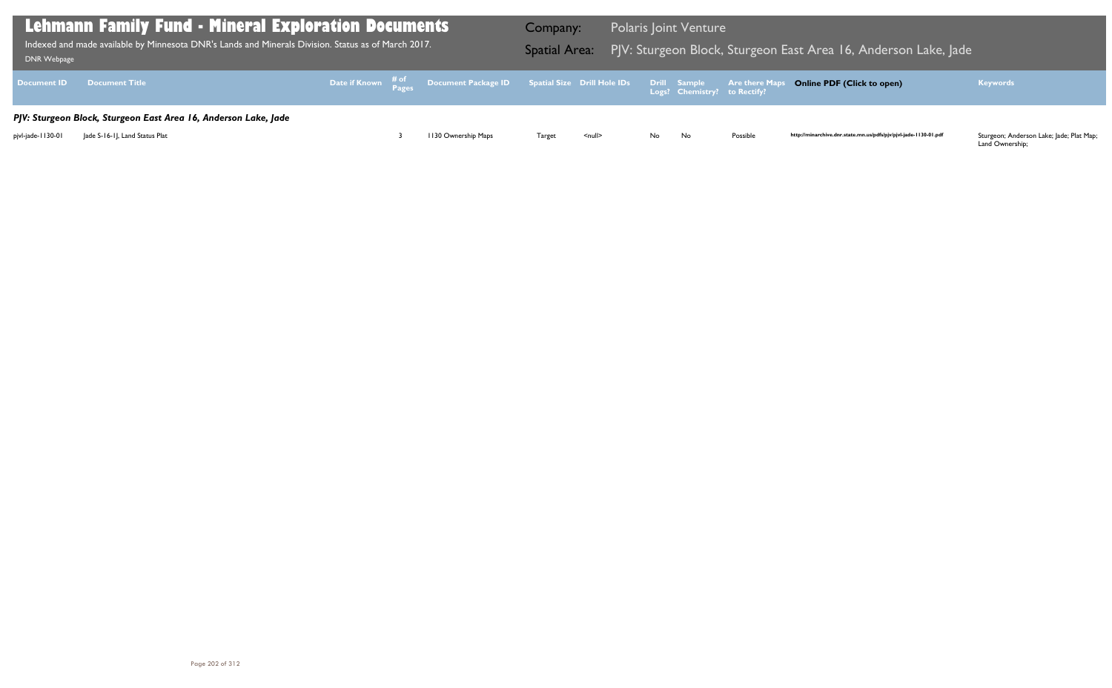| Lehmann Family Fund - Mineral Exploration Documents<br>Indexed and made available by Minnesota DNR's Lands and Minerals Division. Status as of March 2017.<br><b>DNR Webpage</b> | Company:                                                        | Spatial Area: PJV: Sturgeon Block, Sturgeon E |                                                                                                                                            | <b>Polaris Joint Venture</b> |        |     |                              |                       |
|----------------------------------------------------------------------------------------------------------------------------------------------------------------------------------|-----------------------------------------------------------------|-----------------------------------------------|--------------------------------------------------------------------------------------------------------------------------------------------|------------------------------|--------|-----|------------------------------|-----------------------|
| <b>Document ID</b>                                                                                                                                                               | <b>Document Title</b>                                           |                                               | Date if Known $\begin{matrix} & \# \text{ of} \\ & \text{Pases} \end{matrix}$ Document Package ID Spatial Size Drill Hole IDs Drill Sample |                              |        |     | Logs? Chemistry? to Rectify? | <b>Are there Maps</b> |
|                                                                                                                                                                                  | PJV: Sturgeon Block, Sturgeon East Area 16, Anderson Lake, Jade |                                               |                                                                                                                                            |                              |        |     |                              |                       |
| pjvl-jade-1130-01                                                                                                                                                                | Jade S-16-1J, Land Status Plat                                  |                                               | 1130 Ownership Maps                                                                                                                        | Target                       | $null$ | No. | No.                          | Possible              |

## Bast Area 16, Anderson Lake, Jade

### **Online PDF (Click to open) Keywords**

http://minarchive.dnr.state.mn.us/pdfs/pjv/pjvl-jade-1130-01.pdf

Sturgeon; Anderson Lake; Jade; Plat Map;<br>Land Ownership;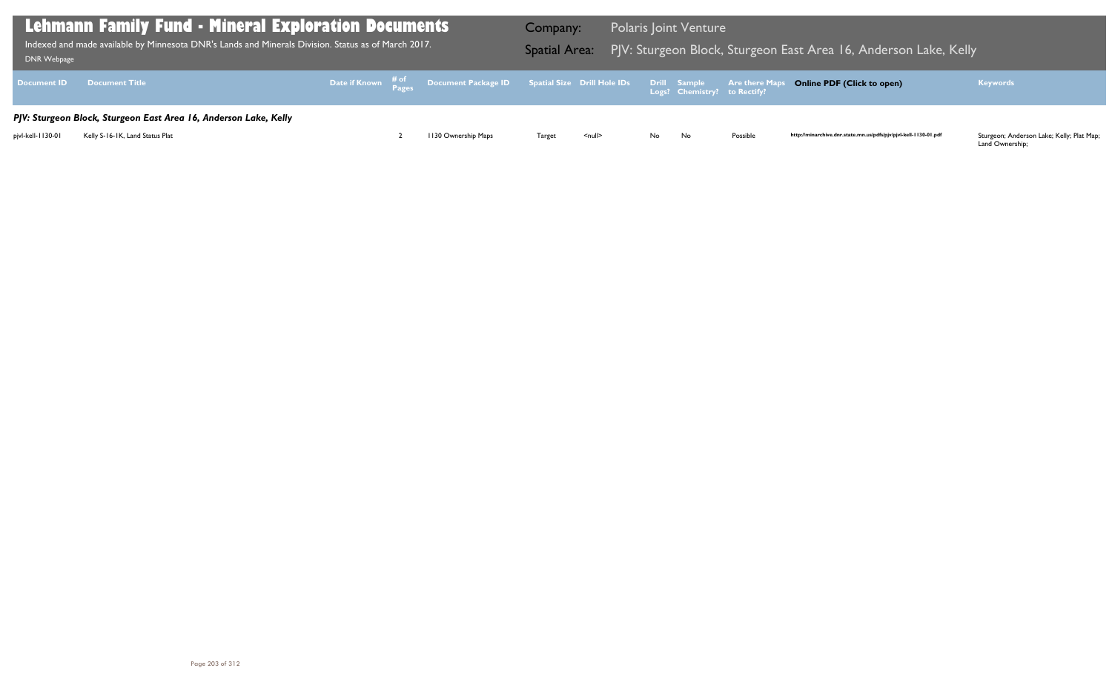Land Ownership;

| Lehmann Family Fund - Mineral Exploration Documents<br>Indexed and made available by Minnesota DNR's Lands and Minerals Division. Status as of March 2017.<br>DNR Webpage |                                                                                                     |  |  |                                                                                                | Company: |               |    | <b>Polaris Joint Venture</b> |          | Spatial Area: PJV: Sturgeon Block, Sturgeon East Area 16, Anderson Lake, Kelly |                                                                    |
|---------------------------------------------------------------------------------------------------------------------------------------------------------------------------|-----------------------------------------------------------------------------------------------------|--|--|------------------------------------------------------------------------------------------------|----------|---------------|----|------------------------------|----------|--------------------------------------------------------------------------------|--------------------------------------------------------------------|
|                                                                                                                                                                           | Document ID Document Title                                                                          |  |  | Date if Known # of Document Package ID Spatial Size Drill Hole IDs Drill Sample Are there Maps |          |               |    |                              |          | <b>Online PDF (Click to open)</b>                                              | <b>Keywords</b>                                                    |
| pjvl-kell-1130-01                                                                                                                                                         | PJV: Sturgeon Block, Sturgeon East Area 16, Anderson Lake, Kelly<br>Kelly S-16-1K, Land Status Plat |  |  | 1130 Ownership Maps                                                                            | Target   | <null></null> | No | No                           | Possible | http://minarchive.dnr.state.mn.us/pdfs/pjv/pjvl-kell-1130-01.pdf               | Sturgeon; Anderson Lake; Kelly; Plat Map;<br>$l$ and $Q$ unorchipe |

## Bast Area 16, Anderson Lake, Kelly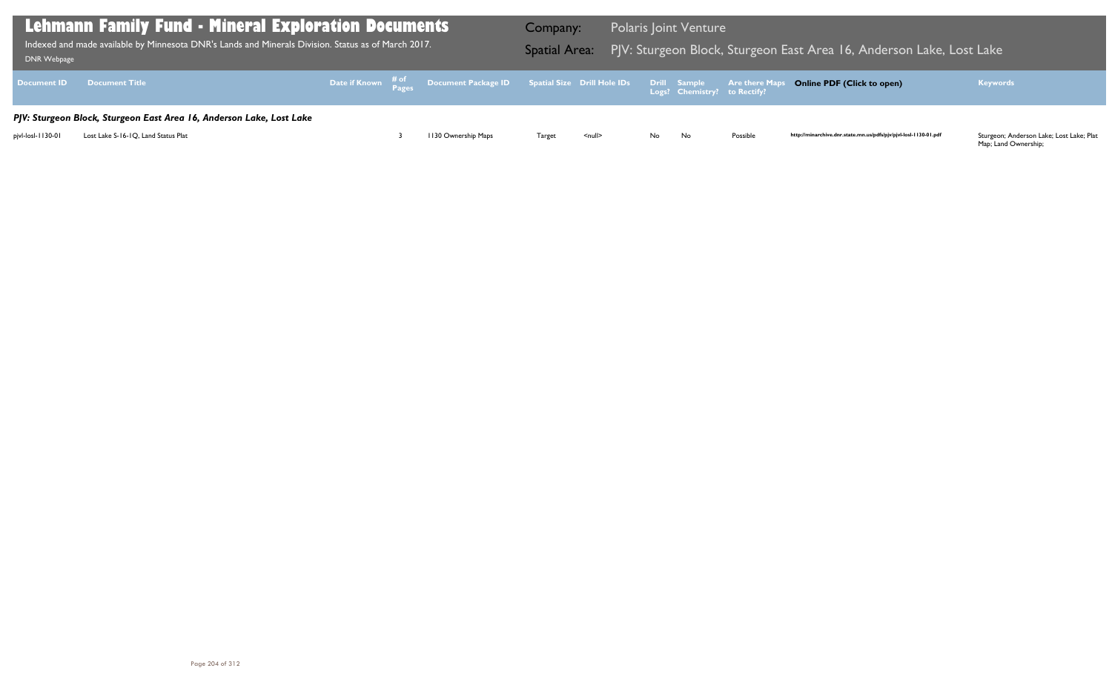Map; Land Ownership;

| Lehmann Family Fund - Mineral Exploration Documents<br>Indexed and made available by Minnesota DNR's Lands and Minerals Division. Status as of March 2017.<br>DNR Webpage |                                                                      |  |  |                                                                                                | Company: |               |      | <b>Polaris Joint Venture</b> |          | Spatial Area: PJV: Sturgeon Block, Sturgeon East Area 16, Anderson Lake, Lost Lake |                                                                                                                                |
|---------------------------------------------------------------------------------------------------------------------------------------------------------------------------|----------------------------------------------------------------------|--|--|------------------------------------------------------------------------------------------------|----------|---------------|------|------------------------------|----------|------------------------------------------------------------------------------------|--------------------------------------------------------------------------------------------------------------------------------|
|                                                                                                                                                                           | <b>Document ID Document Title</b>                                    |  |  | Date if Known # of Document Package ID Spatial Size Drill Hole IDs Drill Sample Are there Maps |          |               |      |                              |          | <b>Online PDF (Click to open)</b>                                                  | <b>Keywords</b>                                                                                                                |
|                                                                                                                                                                           | PJV: Sturgeon Block, Sturgeon East Area 16, Anderson Lake, Lost Lake |  |  |                                                                                                |          |               |      |                              |          |                                                                                    |                                                                                                                                |
| pjvl-losl-1130-01                                                                                                                                                         | Lost Lake S-16-1Q, Land Status Plat                                  |  |  | 1130 Ownership Maps                                                                            | Target   | <null></null> | No l | No                           | Possible | http://minarchive.dnr.state.mn.us/pdfs/pjv/pjvl-losl-1130-01.pdf                   | Sturgeon; Anderson Lake; Lost Lake; Plat<br>$M_{\rm{max}}$ , $I_{\rm{max}}$ , $I_{\rm{max}}$ , $I_{\rm{max}}$ , $I_{\rm{max}}$ |

## Bast Area 16, Anderson Lake, Lost Lake, Lake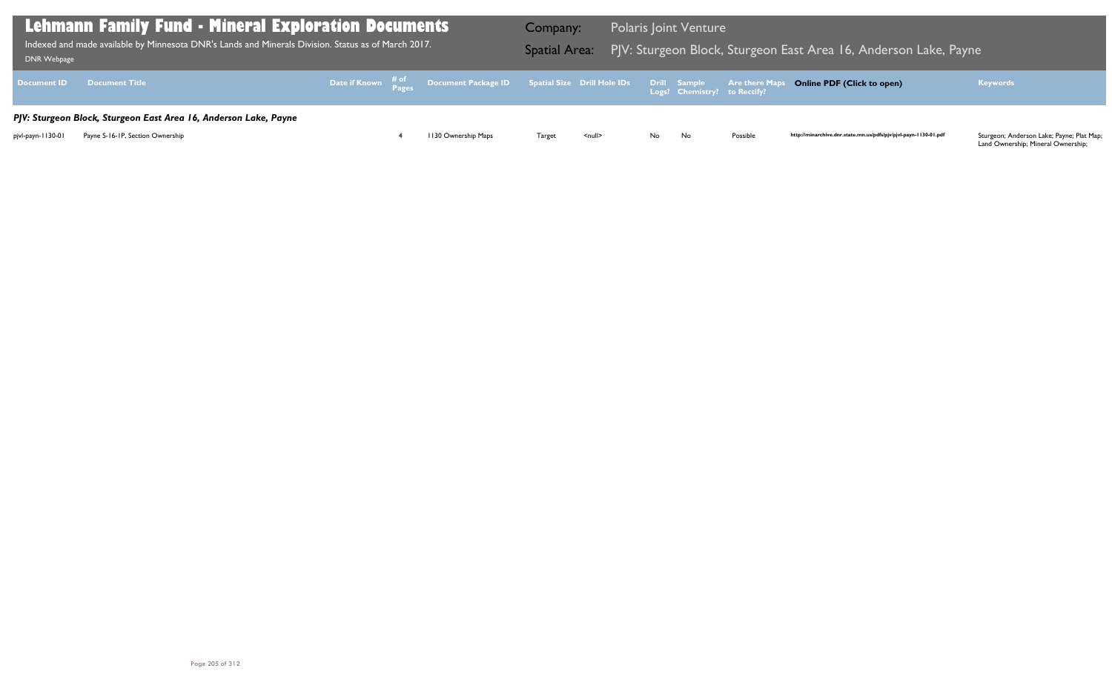Land Ownership; Mineral Ownership;

| <b>Lehmann Family Fund - Mineral Exploration Documents</b><br>Indexed and made available by Minnesota DNR's Lands and Minerals Division. Status as of March 2017.<br>DNR Webpage |                                                                  |  |  |                                                                                                | Company: |               |    | <b>Polaris Joint Venture</b> |          | Spatial Area: PJV: Sturgeon Block, Sturgeon East Area 16, Anderson Lake, Payne |                                                                                                               |
|----------------------------------------------------------------------------------------------------------------------------------------------------------------------------------|------------------------------------------------------------------|--|--|------------------------------------------------------------------------------------------------|----------|---------------|----|------------------------------|----------|--------------------------------------------------------------------------------|---------------------------------------------------------------------------------------------------------------|
|                                                                                                                                                                                  | <b>Document ID Document Title</b>                                |  |  | Date if Known # of Document Package ID Spatial Size Drill Hole IDs Drill Sample Are there Maps |          |               |    |                              |          | <b>Online PDF (Click to open)</b>                                              | <b>Keywords</b>                                                                                               |
|                                                                                                                                                                                  | PJV: Sturgeon Block, Sturgeon East Area 16, Anderson Lake, Payne |  |  |                                                                                                |          |               |    |                              |          |                                                                                |                                                                                                               |
| pjvl-payn-1130-01                                                                                                                                                                | Payne S-16-1P, Section Ownership                                 |  |  | 1130 Ownership Maps                                                                            | Target   | <null></null> | No | No                           | Possible | http://minarchive.dnr.state.mn.us/pdfs/pjv/pjvl-payn-1130-01.pdf               | Sturgeon; Anderson Lake; Payne; Plat Map;<br>$\alpha$ and $\alpha$ conservation Minimal $\alpha$ conservation |

# Block, Sturgeon Eake, Payne Indexed and Minnesota East Area 16, Anderson Lake, Payne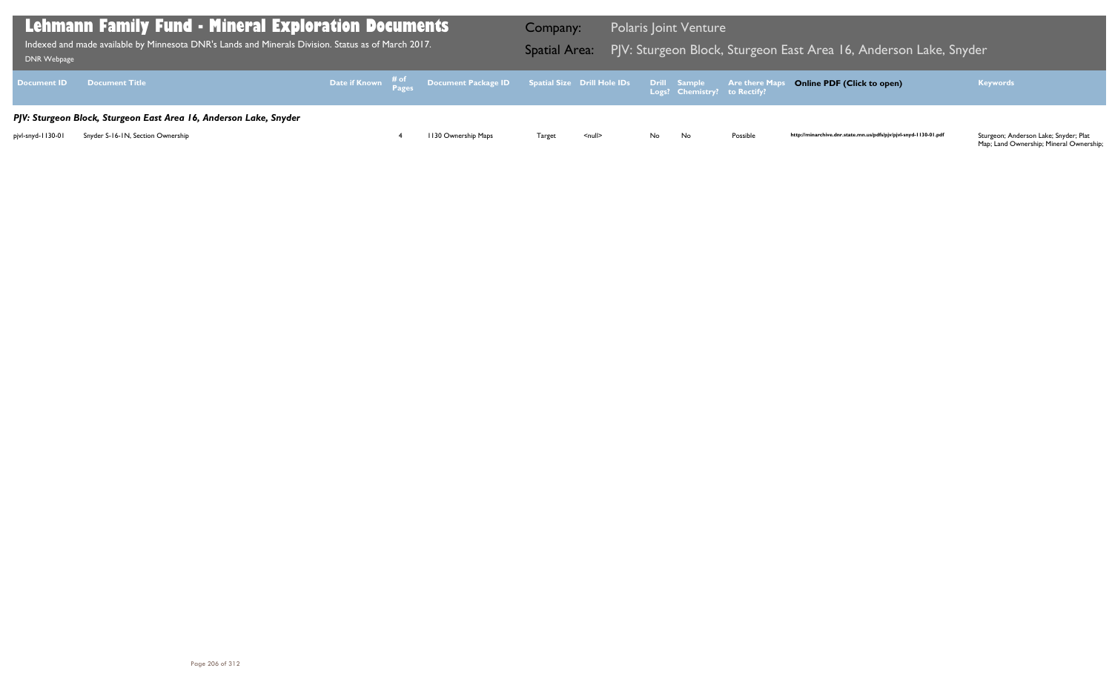| <b>DNR Webpage</b> | <b>Lehmann Family Fund - Mineral Exploration Documents</b><br>Indexed and made available by Minnesota DNR's Lands and Minerals Division. Status as of March 2017. |  | <b>Company:</b>     | Spatial Area: PJV: Sturgeon Block, Sturgeon E |                    | <b>Polaris Joint Venture</b> |                              |                       |
|--------------------|-------------------------------------------------------------------------------------------------------------------------------------------------------------------|--|---------------------|-----------------------------------------------|--------------------|------------------------------|------------------------------|-----------------------|
| <b>Document ID</b> | <b>Document Title</b>                                                                                                                                             |  |                     |                                               |                    |                              | Logs? Chemistry? to Rectify? | <b>Are there Maps</b> |
|                    | PJV: Sturgeon Block, Sturgeon East Area 16, Anderson Lake, Snyder                                                                                                 |  |                     |                                               |                    |                              |                              |                       |
| pjvl-snyd-1130-01  | Snyder S-16-1N, Section Ownership                                                                                                                                 |  | 1130 Ownership Maps | Target                                        | $\leq$ null $\geq$ | No.                          | No                           | Possible              |

## Bast Area 16, Anderson Lake, Snyder

## **Online PDF (Click to open) Keywords**

http://minarchive.dnr.state.mn.us/pdfs/pjv/pjvl-snyd-1130-01.pdf

Sturgeon; Anderson Lake; Snyder; Plat<br>Map; Land Ownership; Mineral Ownership;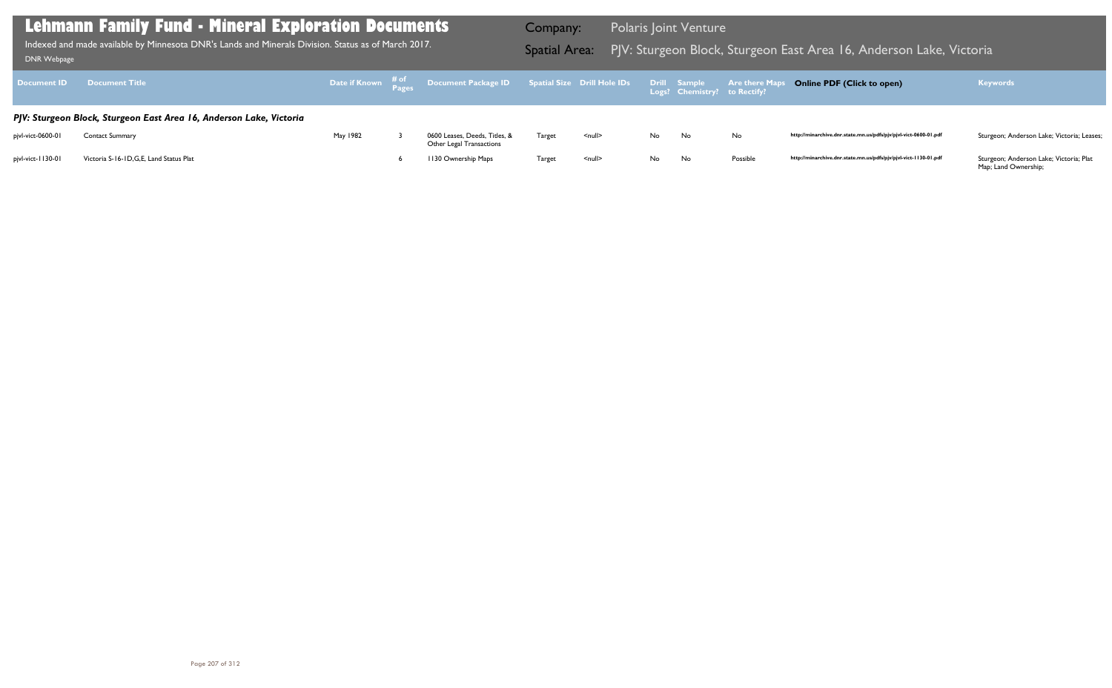| <b>Document ID</b> | <b>Document Title</b>                                               |          | Date if Known # of Document Package ID Spatial Size Drill Hole IDs Drill Sample Are there Maps |        |               |     |    |          | <b>Online PDF (Click to open)</b>                                |
|--------------------|---------------------------------------------------------------------|----------|------------------------------------------------------------------------------------------------|--------|---------------|-----|----|----------|------------------------------------------------------------------|
|                    | PJV: Sturgeon Block, Sturgeon East Area 16, Anderson Lake, Victoria |          |                                                                                                |        |               |     |    |          |                                                                  |
| pjvl-vict-0600-01  | <b>Contact Summary</b>                                              | May 1982 | 0600 Leases, Deeds, Titles, &<br>Other Legal Transactions                                      | Target | <null></null> | No. | No | No       | http://minarchive.dnr.state.mn.us/pdfs/pjv/pjvl-vict-0600-01.pdf |
| pjvl-vict-1130-01  | Victoria S-16-1D, G, E, Land Status Plat                            |          | 1130 Ownership Maps                                                                            | Target | <null></null> | No. | No | Possible | http://minarchive.dnr.state.mn.us/pdfs/pjv/pjvl-vict-1130-01.pdf |

Indexed and made available by Minnesota DNR's Lands and Minerals Division. Status as of March 2017. Spatial Area: PJV: Sturgeon Block, Sturgeon East Area 16, Anderson Lake, Victoria ו-DNR Webpage Indexed and made available by Minnesota DNR's Lands and Minerals Division. Status as of March 2017.

Company: Polaris Joint Venture

### **Online PDF (Click to open) Keywords**

http://minarchive.dnr.state.mn.us/pdfs/pjv/pjvl-vict-0600-01.pdf Sturgeon; Anderson Lake; Victoria; Leases;

Sturgeon; Anderson Lake; Victoria; Plat<br>Map; Land Ownership;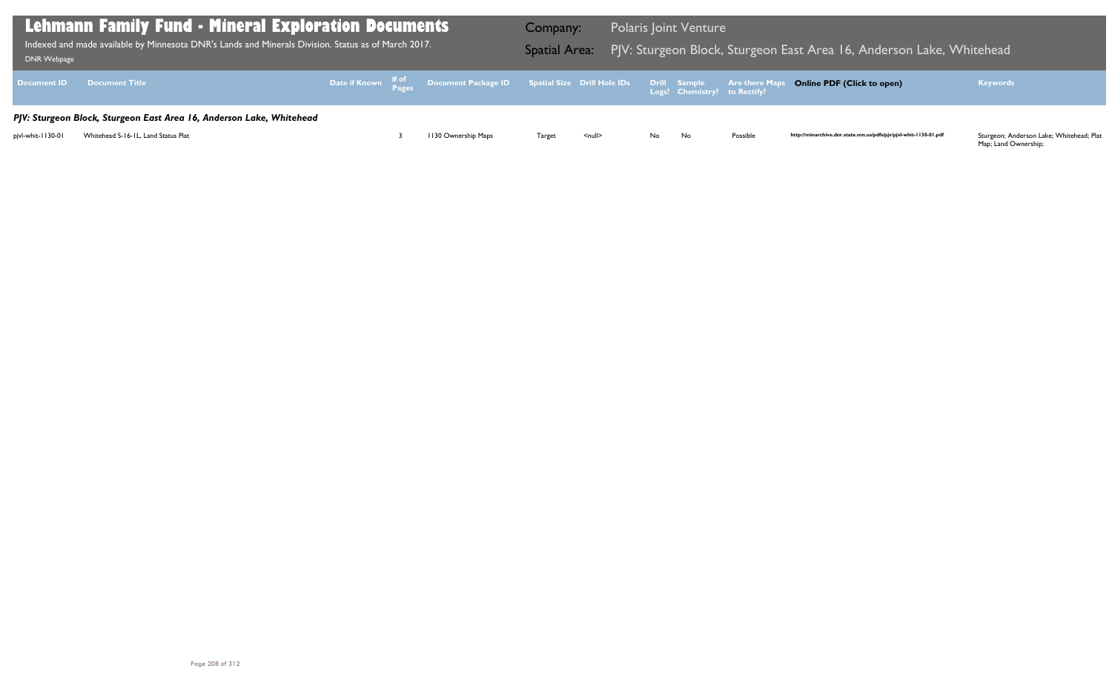Map; Land Ownership;

| DNR Webpage       | <b>Lehmann Family Fund - Mineral Exploration Documents</b><br>Indexed and made available by Minnesota DNR's Lands and Minerals Division. Status as of March 2017. |  |                                                                                                | Company:      |               |    | <b>Polaris Joint Venture</b> |          | Spatial Area: PJV: Sturgeon Block, Sturgeon East Area 16, Anderson Lake, Whitehead |                                                                                   |
|-------------------|-------------------------------------------------------------------------------------------------------------------------------------------------------------------|--|------------------------------------------------------------------------------------------------|---------------|---------------|----|------------------------------|----------|------------------------------------------------------------------------------------|-----------------------------------------------------------------------------------|
|                   | <b>Document ID Document Title</b>                                                                                                                                 |  | Date if Known # of Document Package ID Spatial Size Drill Hole IDs Drill Sample Are there Maps |               |               |    |                              |          | <b>Online PDF (Click to open)</b>                                                  | <b>Keywords</b>                                                                   |
|                   | PJV: Sturgeon Block, Sturgeon East Area 16, Anderson Lake, Whitehead                                                                                              |  |                                                                                                |               |               |    |                              |          |                                                                                    |                                                                                   |
| pjvl-whit-1130-01 | Whitehead S-16-1L, Land Status Plat                                                                                                                               |  | 1130 Ownership Maps                                                                            | <b>Target</b> | <null></null> | No | No                           | Possible | http://minarchive.dnr.state.mn.us/pdfs/pjv/pjvl-whit-1130-01.pdf                   | Sturgeon; Anderson Lake; Whitehead; Plat<br>$\mathbf{A}$ is a set of $\mathbf{A}$ |

## East Area 16, Anderson Lake, Whitehead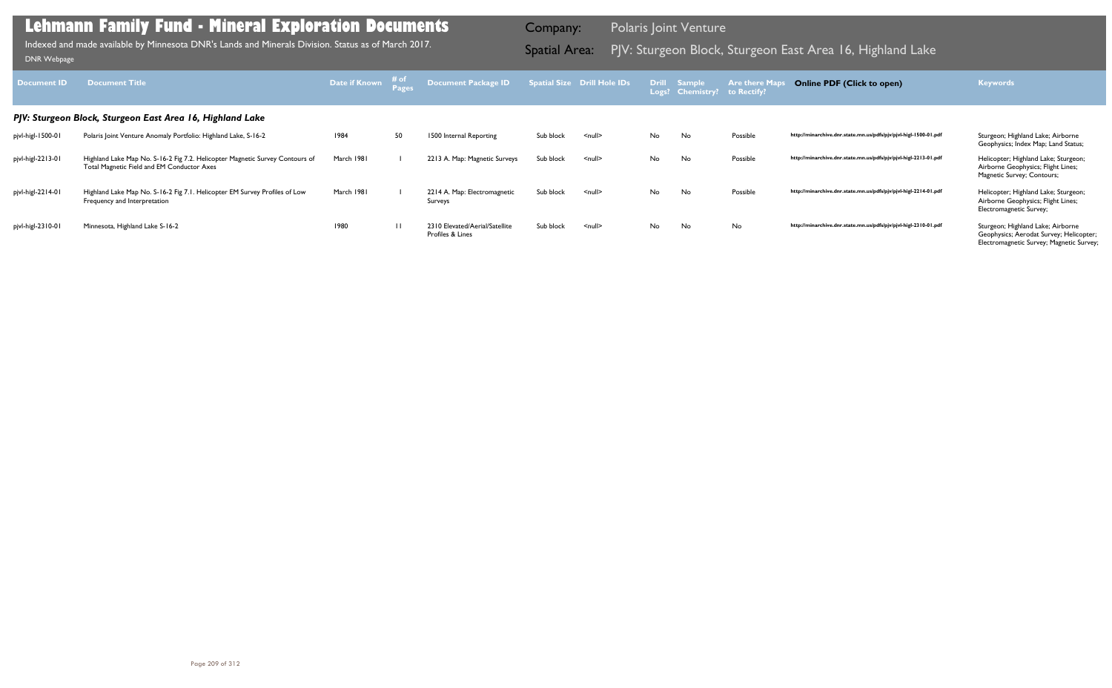| Document <b>ID</b> | <b>Document Title</b>                                                                                                      | <b>Date if Known</b> | ≉ of           | <b>Document Package ID</b>                         |           | <b>Spatial Size Drill Hole IDs</b> |    | Drill Sample<br>Logs? Chemistry? to Rectify? | <b>Are there Map</b> | <b>Online PDF (Click to open)</b>                                | <b>Keywords</b>                                                                                                          |
|--------------------|----------------------------------------------------------------------------------------------------------------------------|----------------------|----------------|----------------------------------------------------|-----------|------------------------------------|----|----------------------------------------------|----------------------|------------------------------------------------------------------|--------------------------------------------------------------------------------------------------------------------------|
|                    | PJV: Sturgeon Block, Sturgeon East Area 16, Highland Lake                                                                  |                      |                |                                                    |           |                                    |    |                                              |                      |                                                                  |                                                                                                                          |
| pjvl-higl-1500-01  | Polaris Joint Venture Anomaly Portfolio: Highland Lake, S-16-2                                                             | 1984                 | 50             | 1500 Internal Reporting                            | Sub block | $null$                             | No | No                                           | Possible             | http://minarchive.dnr.state.mn.us/pdfs/pjv/pjvl-higl-1500-01.pdf | Sturgeon; Highland Lake; Airborne<br>Geophysics; Index Map; Land Status;                                                 |
| pjvl-higl-2213-01  | Highland Lake Map No. S-16-2 Fig 7.2. Helicopter Magnetic Survey Contours of<br>Total Magnetic Field and EM Conductor Axes | March 1981           |                | 2213 A. Map: Magnetic Surveys                      | Sub block | $\leq$ null $\geq$                 | No | No                                           | Possible             | http://minarchive.dnr.state.mn.us/pdfs/pjv/pjvl-higl-2213-01.pdf | Helicopter; Highland Lake; Sturgeon;<br>Airborne Geophysics; Flight Lines;<br>Magnetic Survey; Contours;                 |
| pjvl-higl-2214-01  | Highland Lake Map No. S-16-2 Fig 7.1. Helicopter EM Survey Profiles of Low<br>Frequency and Interpretation                 | March 1981           |                | 2214 A. Map: Electromagnetic<br>Surveys            | Sub block | $<$ null $>$                       | No | No                                           | Possible             | http://minarchive.dnr.state.mn.us/pdfs/pjv/pjvl-higl-2214-01.pdf | Helicopter; Highland Lake; Sturgeon;<br>Airborne Geophysics; Flight Lines;<br>Electromagnetic Survey;                    |
| pjvl-higl-2310-01  | Minnesota, Highland Lake S-16-2                                                                                            | 1980                 | $\overline{1}$ | 2310 Elevated/Aerial/Satellite<br>Profiles & Lines | Sub block | $\leq$ null $\geq$                 | No | No                                           | No                   | http://minarchive.dnr.state.mn.us/pdfs/pjv/pjvl-higl-2310-01.pdf | Sturgeon; Highland Lake; Airborne<br>Geophysics; Aerodat Survey; Helicopter;<br>Electromagnetic Survey; Magnetic Survey; |

Indexed and made available by Minnesota DNR's Lands and Minerals Division. Status as of March 2017. **Spatial Area:** PJV: Sturgeon Block, Sturgeon East Area 16, Highland Lake DNR Webpage Indexed and made available by Minnesota DNR's Lands and Minerals Division. Status as of March 2017.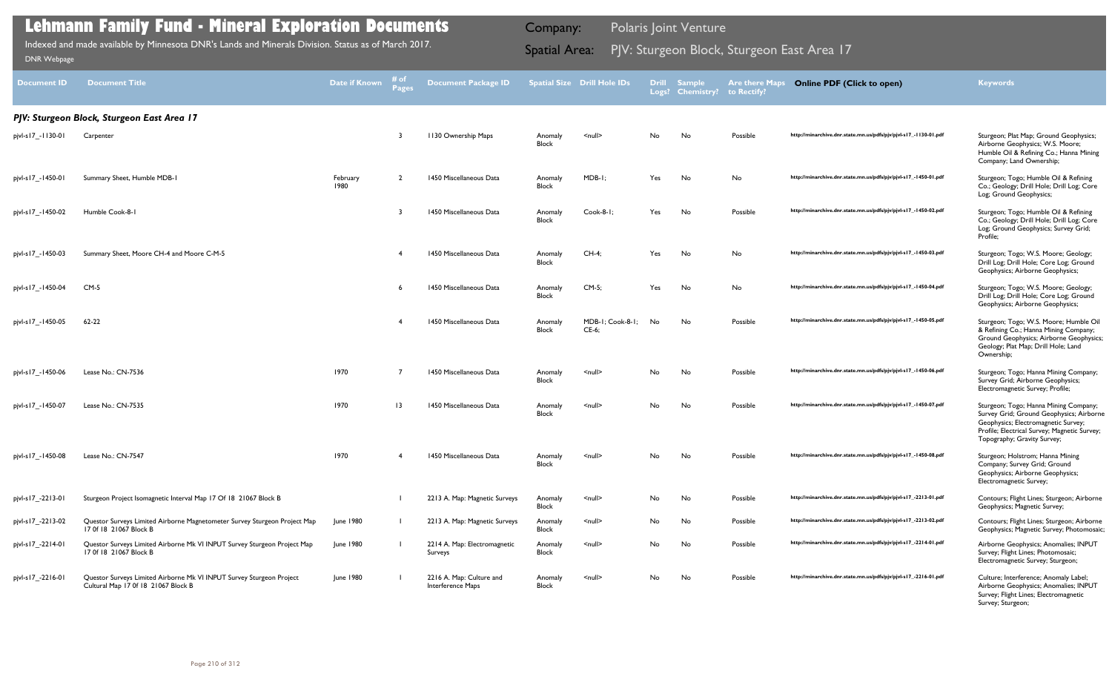| <b>Document ID</b> | <b>Document Title</b>                                                                                       | Date if Known    | $#$ of<br>Pages | <b>Document Package ID</b>                    |                         | <b>Spatial Size Drill Hole IDs</b> | <b>Drill</b> | <b>Sample</b><br>Logs? Chemistry? | <b>Are there Maps</b><br>to Rectify? | <b>Online PDF (Click to open)</b>                                | <b>Keywords</b>                                                                                                                                                                                         |
|--------------------|-------------------------------------------------------------------------------------------------------------|------------------|-----------------|-----------------------------------------------|-------------------------|------------------------------------|--------------|-----------------------------------|--------------------------------------|------------------------------------------------------------------|---------------------------------------------------------------------------------------------------------------------------------------------------------------------------------------------------------|
|                    | PJV: Sturgeon Block, Sturgeon East Area 17                                                                  |                  |                 |                                               |                         |                                    |              |                                   |                                      |                                                                  |                                                                                                                                                                                                         |
| pjvl-s17_-1130-01  | Carpenter                                                                                                   |                  | -3              | <b>1130 Ownership Maps</b>                    | Anomaly<br>Block        | $\leq$ null $\geq$                 | No           | No                                | Possible                             | http://minarchive.dnr.state.mn.us/pdfs/pjv/pjvl-s17_-1130-01.pdf | Sturgeon; Plat Map; Ground Geophysics;<br>Airborne Geophysics; W.S. Moore;<br>Humble Oil & Refining Co.; Hanna Mining<br>Company; Land Ownership;                                                       |
| pjvl-s17_-1450-01  | Summary Sheet, Humble MDB-1                                                                                 | February<br>1980 | $\overline{2}$  | 1450 Miscellaneous Data                       | Anomaly<br><b>Block</b> | MDB-I;                             | Yes          | No                                | No                                   | http://minarchive.dnr.state.mn.us/pdfs/pjv/pjvl-s17_-1450-01.pdf | Sturgeon; Togo; Humble Oil & Refining<br>Co.; Geology; Drill Hole; Drill Log; Core<br>Log; Ground Geophysics;                                                                                           |
| pjvl-s17_-1450-02  | Humble Cook-8-1                                                                                             |                  | 3               | 1450 Miscellaneous Data                       | Anomaly<br><b>Block</b> | Cook-8-1;                          | Yes          | No                                | Possible                             | http://minarchive.dnr.state.mn.us/pdfs/pjv/pjvl-s17_-1450-02.pdf | Sturgeon; Togo; Humble Oil & Refining<br>Co.; Geology; Drill Hole; Drill Log; Core<br>Log; Ground Geophysics; Survey Grid;<br>Profile;                                                                  |
| pjvl-s17_-1450-03  | Summary Sheet, Moore CH-4 and Moore C-M-5                                                                   |                  |                 | 1450 Miscellaneous Data                       | Anomaly<br><b>Block</b> | $CH-4$ ;                           | Yes          | No                                | No                                   | http://minarchive.dnr.state.mn.us/pdfs/pjv/pjvl-s17_-1450-03.pdf | Sturgeon; Togo; W.S. Moore; Geology;<br>Drill Log; Drill Hole; Core Log; Ground<br>Geophysics; Airborne Geophysics;                                                                                     |
| pjvl-s17_-1450-04  | $CM-5$                                                                                                      |                  | 6               | 1450 Miscellaneous Data                       | Anomaly<br><b>Block</b> | $CM-5$ ;                           | Yes          | No                                | No                                   | http://minarchive.dnr.state.mn.us/pdfs/pjv/pjvl-s17_-1450-04.pdf | Sturgeon; Togo; W.S. Moore; Geology;<br>Drill Log; Drill Hole; Core Log; Ground<br>Geophysics; Airborne Geophysics;                                                                                     |
| pjvl-s17_-1450-05  | $62 - 22$                                                                                                   |                  |                 | 1450 Miscellaneous Data                       | Anomaly<br><b>Block</b> | MDB-1; Cook-8-1;<br>$CE-6;$        | No           | No                                | Possible                             | http://minarchive.dnr.state.mn.us/pdfs/pjv/pjvl-s17_-1450-05.pdf | Sturgeon; Togo; W.S. Moore; Humble Oil<br>& Refining Co.; Hanna Mining Company;<br>Ground Geophysics; Airborne Geophysics;<br>Geology; Plat Map; Drill Hole; Land<br>Ownership;                         |
| pjvl-s17_-1450-06  | Lease No.: CN-7536                                                                                          | 1970             | 7               | 1450 Miscellaneous Data                       | Anomaly<br><b>Block</b> | $\leq$ null $\geq$                 | No           | No                                | Possible                             | http://minarchive.dnr.state.mn.us/pdfs/pjv/pjvl-s17_-1450-06.pdf | Sturgeon; Togo; Hanna Mining Company;<br>Survey Grid; Airborne Geophysics;<br>Electromagnetic Survey; Profile;                                                                                          |
| pjvl-s17_-1450-07  | Lease No.: CN-7535                                                                                          | 1970             | $\overline{13}$ | 1450 Miscellaneous Data                       | Anomaly<br><b>Block</b> | <null></null>                      | No           | No                                | Possible                             | http://minarchive.dnr.state.mn.us/pdfs/pjv/pjvl-s17_-1450-07.pdf | Sturgeon; Togo; Hanna Mining Company;<br>Survey Grid; Ground Geophysics; Airborne<br>Geophysics; Electromagnetic Survey;<br>Profile; Electrical Survey; Magnetic Survey;<br>Topography; Gravity Survey; |
| pjvl-s17_-1450-08  | Lease No.: CN-7547                                                                                          | 1970             |                 | 1450 Miscellaneous Data                       | Anomaly<br>Block        | $\leq$ null $\geq$                 | No           | No                                | Possible                             | http://minarchive.dnr.state.mn.us/pdfs/pjv/pjvl-s17_-1450-08.pdf | Sturgeon; Holstrom; Hanna Mining<br>Company; Survey Grid; Ground<br>Geophysics; Airborne Geophysics;<br>Electromagnetic Survey;                                                                         |
| pjvl-s17_-2213-01  | Sturgeon Project Isomagnetic Interval Map 17 Of 18 21067 Block B                                            |                  |                 | 2213 A. Map: Magnetic Surveys                 | Anomaly<br>Block        | $\leq$ null $\geq$                 | No           | No                                | Possible                             | http://minarchive.dnr.state.mn.us/pdfs/pjv/pjvl-s17_-2213-01.pdf | Contours; Flight Lines; Sturgeon; Airborne<br>Geophysics; Magnetic Survey;                                                                                                                              |
| pjvl-s17_-2213-02  | Questor Surveys Limited Airborne Magnetometer Survey Sturgeon Project Map<br>17 0f 18 21067 Block B         | June 1980        |                 | 2213 A. Map: Magnetic Surveys                 | Anomaly<br>Block        | $\leq$ null $\geq$                 | No           | No                                | Possible                             | http://minarchive.dnr.state.mn.us/pdfs/pjv/pjvl-s17_-2213-02.pdf | Contours; Flight Lines; Sturgeon; Airborne<br>Geophysics; Magnetic Survey; Photomosaic;                                                                                                                 |
| pjvl-s17_-2214-01  | Questor Surveys Limited Airborne Mk VI INPUT Survey Sturgeon Project Map<br>17 0f 18 21067 Block B          | June 1980        |                 | 2214 A. Map: Electromagnetic<br>Surveys       | Anomaly<br>Block        | $\leq$ null $\geq$                 | No           | No                                | Possible                             | http://minarchive.dnr.state.mn.us/pdfs/pjv/pjvl-s17_-2214-01.pdf | Airborne Geophysics; Anomalies; INPUT<br>Survey; Flight Lines; Photomosaic;<br>Electromagnetic Survey; Sturgeon;                                                                                        |
| pjvl-s17_-2216-01  | Questor Surveys Limited Airborne Mk VI INPUT Survey Sturgeon Project<br>Cultural Map 17 0f 18 21067 Block B | June 1980        |                 | 2216 A. Map: Culture and<br>Interference Maps | Anomaly<br>Block        | $\leq$ null $\geq$                 | No           | No                                | Possible                             | http://minarchive.dnr.state.mn.us/pdfs/pjv/pjvl-s17_-2216-01.pdf | Culture; Interference; Anomaly Label;<br>Airborne Geophysics; Anomalies; INPUT<br>Survey; Flight Lines; Electromagnetic<br>Survey; Sturgeon;                                                            |

PJV: Sturgeon Block, Sturgeon East Area 17 Indexed and made available by Minnesota DNR's Lands and Minerals Division. Status as of March 2017. Spatial Area: [DNR Webpage](http://www.dnr.state.mn.us/lands_minerals/polaris/index.html)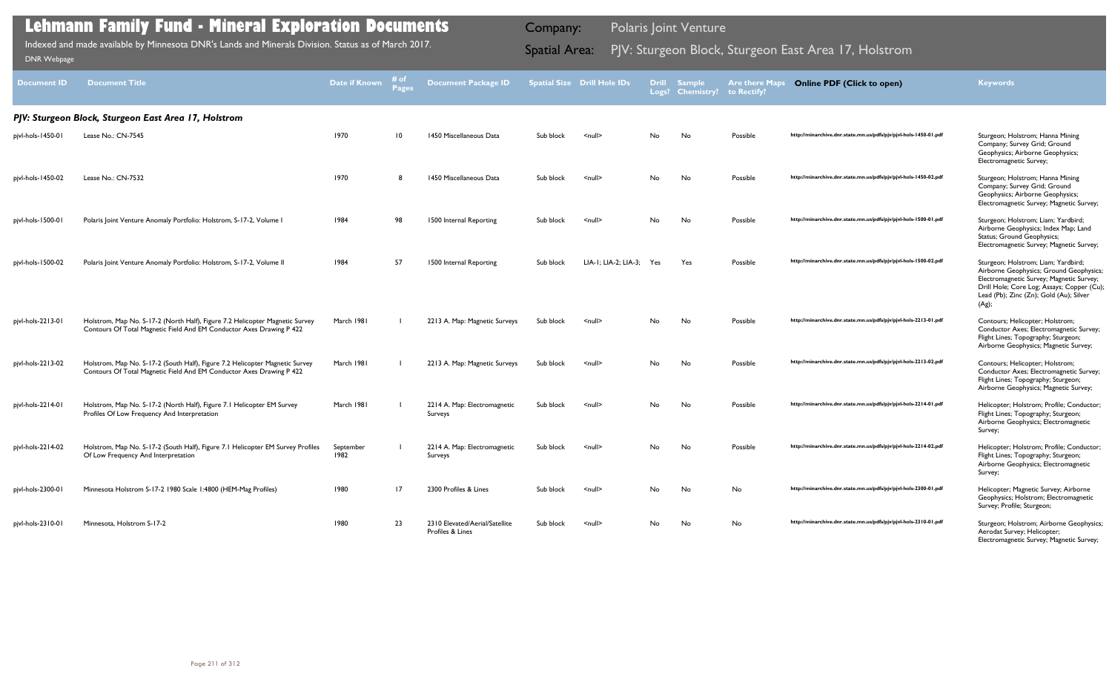| <b>Document ID</b> | <b>Document Title</b>                                                                                                                                | <b>Date if Known</b> | # of<br><b>Pages</b> | <b>Document Package ID</b>                         |           | <b>Spatial Size Drill Hole IDs</b> | <b>Drill</b><br>Logs? | <b>Sample</b><br><b>Chemistry?</b> | <b>Are there Maps</b><br>to Rectify? | <b>Online PDF (Click to open)</b>                                | <b>Keywords</b>                                                                                                                                                                                                              |
|--------------------|------------------------------------------------------------------------------------------------------------------------------------------------------|----------------------|----------------------|----------------------------------------------------|-----------|------------------------------------|-----------------------|------------------------------------|--------------------------------------|------------------------------------------------------------------|------------------------------------------------------------------------------------------------------------------------------------------------------------------------------------------------------------------------------|
|                    | PJV: Sturgeon Block, Sturgeon East Area 17, Holstrom                                                                                                 |                      |                      |                                                    |           |                                    |                       |                                    |                                      |                                                                  |                                                                                                                                                                                                                              |
| pjvl-hols-1450-01  | Lease No.: CN-7545                                                                                                                                   | 1970                 | 10                   | 1450 Miscellaneous Data                            | Sub block | $\leq$ null $\geq$                 | No                    | No                                 | Possible                             | http://minarchive.dnr.state.mn.us/pdfs/pjv/pjvl-hols-1450-01.pdf | Sturgeon; Holstrom; Hanna Mining<br>Company; Survey Grid; Ground<br>Geophysics; Airborne Geophysics;<br>Electromagnetic Survey;                                                                                              |
| pjvl-hols-1450-02  | Lease No.: CN-7532                                                                                                                                   | 1970                 | 8                    | 1450 Miscellaneous Data                            | Sub block | $\leq$ null $\geq$                 | No                    | No                                 | Possible                             | http://minarchive.dnr.state.mn.us/pdfs/pjv/pjvl-hols-1450-02.pdf | Sturgeon; Holstrom; Hanna Mining<br>Company; Survey Grid; Ground<br>Geophysics; Airborne Geophysics;<br>Electromagnetic Survey; Magnetic Survey;                                                                             |
| pjvl-hols-1500-01  | Polaris Joint Venture Anomaly Portfolio: Holstrom, S-17-2, Volume I                                                                                  | 1984                 | 98                   | 1500 Internal Reporting                            | Sub block | $\leq$ null $\geq$                 | No.                   | No                                 | Possible                             | http://minarchive.dnr.state.mn.us/pdfs/pjv/pjvl-hols-1500-01.pdf | Sturgeon; Holstrom; Liam; Yardbird;<br>Airborne Geophysics; Index Map; Land<br>Status; Ground Geophysics;<br>Electromagnetic Survey; Magnetic Survey;                                                                        |
| pjvl-hols-1500-02  | Polaris Joint Venture Anomaly Portfolio: Holstrom, S-17-2, Volume II                                                                                 | 1984                 | 57                   | 1500 Internal Reporting                            | Sub block | LIA-1; LIA-2; LIA-3;               | Yes                   | Yes                                | Possible                             | http://minarchive.dnr.state.mn.us/pdfs/pjv/pjvl-hols-1500-02.pdf | Sturgeon; Holstrom; Liam; Yardbird;<br>Airborne Geophysics; Ground Geophysics;<br>Electromagnetic Survey; Magnetic Survey;<br>Drill Hole; Core Log; Assays; Copper (Cu);<br>Lead (Pb); Zinc (Zn); Gold (Au); Silver<br>(Ag); |
| pjvl-hols-2213-01  | Holstrom, Map No. S-17-2 (North Half), Figure 7.2 Helicopter Magnetic Survey<br>Contours Of Total Magnetic Field And EM Conductor Axes Drawing P 422 | March 1981           |                      | 2213 A. Map: Magnetic Surveys                      | Sub block | $\leq$ null $\geq$                 | No                    | No                                 | Possible                             | http://minarchive.dnr.state.mn.us/pdfs/pjv/pjvl-hols-2213-01.pdf | Contours; Helicopter; Holstrom;<br>Conductor Axes; Electromagnetic Survey;<br>Flight Lines; Topography; Sturgeon;<br>Airborne Geophysics; Magnetic Survey;                                                                   |
| pjvl-hols-2213-02  | Holstrom, Map No. S-17-2 (South Half), Figure 7.2 Helicopter Magnetic Survey<br>Contours Of Total Magnetic Field And EM Conductor Axes Drawing P 422 | March 1981           |                      | 2213 A. Map: Magnetic Surveys                      | Sub block | $\leq$ null $\geq$                 | No                    | No                                 | Possible                             | http://minarchive.dnr.state.mn.us/pdfs/pjv/pjvl-hols-2213-02.pdf | Contours; Helicopter; Holstrom;<br>Conductor Axes; Electromagnetic Survey;<br>Flight Lines; Topography; Sturgeon;<br>Airborne Geophysics; Magnetic Survey;                                                                   |
| pjvl-hols-2214-01  | Holstrom, Map No. S-17-2 (North Half), Figure 7.1 Helicopter EM Survey<br>Profiles Of Low Frequency And Interpretation                               | March 1981           |                      | 2214 A. Map: Electromagnetic<br>Surveys            | Sub block | $\leq$ null $\geq$                 | No.                   | No                                 | Possible                             | http://minarchive.dnr.state.mn.us/pdfs/pjv/pjvl-hols-2214-01.pdf | Helicopter; Holstrom; Profile; Conductor;<br>Flight Lines; Topography; Sturgeon;<br>Airborne Geophysics; Electromagnetic<br>Survey;                                                                                          |
| pjvl-hols-2214-02  | Holstrom, Map No. S-17-2 (South Half), Figure 7.1 Helicopter EM Survey Profiles<br>Of Low Frequency And Interpretation                               | September<br>1982    |                      | 2214 A. Map: Electromagnetic<br>Surveys            | Sub block | <null></null>                      | No.                   | No                                 | Possible                             | http://minarchive.dnr.state.mn.us/pdfs/pjv/pjvl-hols-2214-02.pdf | Helicopter; Holstrom; Profile; Conductor;<br>Flight Lines; Topography; Sturgeon;<br>Airborne Geophysics; Electromagnetic<br>Survey;                                                                                          |
| pjvl-hols-2300-01  | Minnesota Holstrom S-17-2 1980 Scale 1:4800 (HEM-Mag Profiles)                                                                                       | 1980                 | 17                   | 2300 Profiles & Lines                              | Sub block | $\leq$ null $\geq$                 | No                    | No                                 | No                                   | http://minarchive.dnr.state.mn.us/pdfs/pjv/pjvl-hols-2300-01.pdf | Helicopter; Magnetic Survey; Airborne<br>Geophysics; Holstrom; Electromagnetic<br>Survey; Profile; Sturgeon;                                                                                                                 |
| pjvl-hols-2310-01  | Minnesota, Holstrom S-17-2                                                                                                                           | 1980                 | 23                   | 2310 Elevated/Aerial/Satellite<br>Profiles & Lines | Sub block | $\leq$ null $\geq$                 | No                    | No                                 | No                                   | http://minarchive.dnr.state.mn.us/pdfs/pjv/pjvl-hols-2310-01.pdf | Sturgeon; Holstrom; Airborne Geophysics;<br>Aerodat Survey; Helicopter;<br>Electromagnetic Survey; Magnetic Survey;                                                                                                          |

Indexed and made available by Minnesota DNR's Lands and Minerals Division. Status as of March 2017. **Spatial Area:** PJV: Sturgeon Block, Sturgeon East Area 17, Holstrom וndexed and made available by Minnesota DNR's Lands a Indexed and made available by Minnesota DNR's Lands and Minerals Division. Status as of March 2017.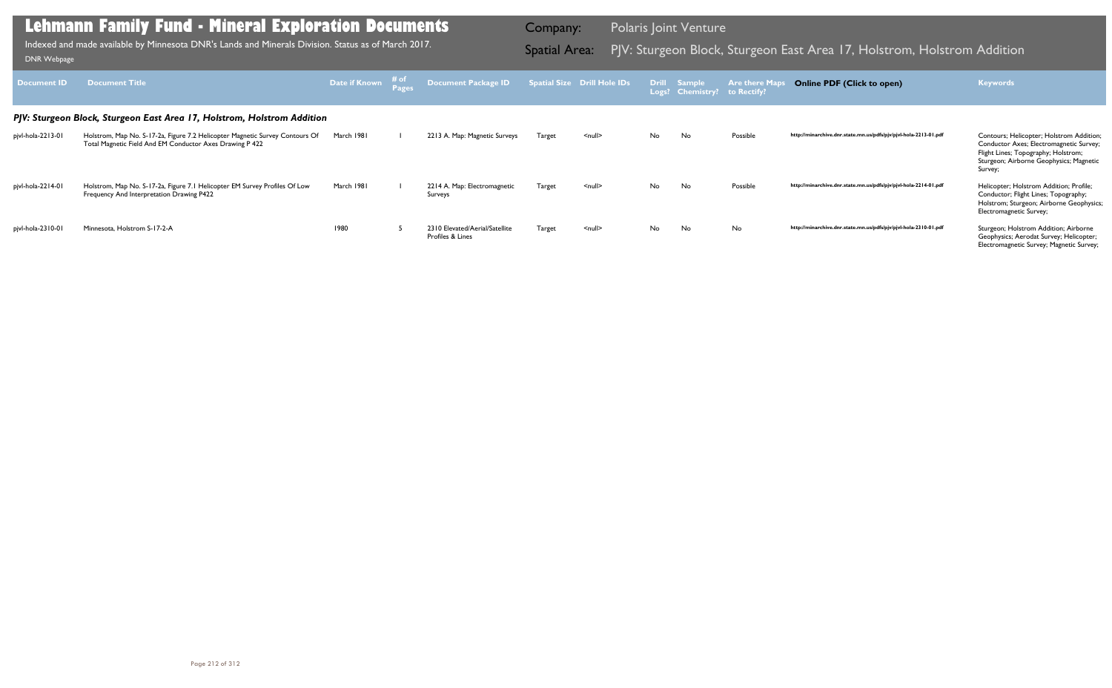| <b>Document ID</b> | <b>Document Title</b>                                                                                                                    | <b>Date if Known</b> # of | Document Package ID Spatial Size Drill Hole IDs Drill Sample |               |                    |     | Logs? Chemistry? to Rectify? | <b>Are there Maps</b> | <b>Online PDF (Click to open)</b>                                | <b>Keywords</b>                                                                                                                                                                  |
|--------------------|------------------------------------------------------------------------------------------------------------------------------------------|---------------------------|--------------------------------------------------------------|---------------|--------------------|-----|------------------------------|-----------------------|------------------------------------------------------------------|----------------------------------------------------------------------------------------------------------------------------------------------------------------------------------|
|                    | PJV: Sturgeon Block, Sturgeon East Area 17, Holstrom, Holstrom Addition                                                                  |                           |                                                              |               |                    |     |                              |                       |                                                                  |                                                                                                                                                                                  |
| pjvl-hola-2213-01  | Holstrom, Map No. S-17-2a, Figure 7.2 Helicopter Magnetic Survey Contours Of<br>Total Magnetic Field And EM Conductor Axes Drawing P 422 | March 1981                | 2213 A. Map: Magnetic Surveys                                | Target        | $\leq$ null $\geq$ | No  | No                           | Possible              | http://minarchive.dnr.state.mn.us/pdfs/pjv/pjvl-hola-2213-01.pdf | Contours; Helicopter; Holstrom Addition;<br>Conductor Axes; Electromagnetic Survey;<br>Flight Lines; Topography; Holstrom;<br>Sturgeon; Airborne Geophysics; Magnetic<br>Survey; |
| pjvl-hola-2214-01  | Holstrom, Map No. S-17-2a, Figure 7.1 Helicopter EM Survey Profiles Of Low<br>Frequency And Interpretation Drawing P422                  | March 1981                | 2214 A. Map: Electromagnetic<br>Surveys                      | <b>Target</b> | $\leq$ null $\geq$ | No. | No                           | Possible              | http://minarchive.dnr.state.mn.us/pdfs/pjv/pjvl-hola-2214-01.pdf | Helicopter; Holstrom Addition; Profile;<br>Conductor; Flight Lines; Topography;<br>Holstrom; Sturgeon; Airborne Geophysics;<br>Electromagnetic Survey;                           |
| pjvl-hola-2310-01  | Minnesota, Holstrom S-17-2-A                                                                                                             | 1980                      | 2310 Elevated/Aerial/Satellite<br>Profiles & Lines           | <b>Target</b> | $\leq$ null $\geq$ | No  | No                           | No                    | http://minarchive.dnr.state.mn.us/pdfs/pjv/pjvl-hola-2310-01.pdf | Sturgeon; Holstrom Addition; Airborne<br>Geophysics; Aerodat Survey; Helicopter;<br>Electromagnetic Survey; Magnetic Survey;                                                     |

Indexed and made available by Minnesota DNR's Lands and Minerals Division. Status as of March 2017. **Spatial Area:** PJV: Sturgeon Block, Sturgeon East Area 17, Holstrom, Holstrom Addition וDNR Webpage Indexed and made available by Minnesota DNR's Lands and Minerals Division. Status as of March 2017.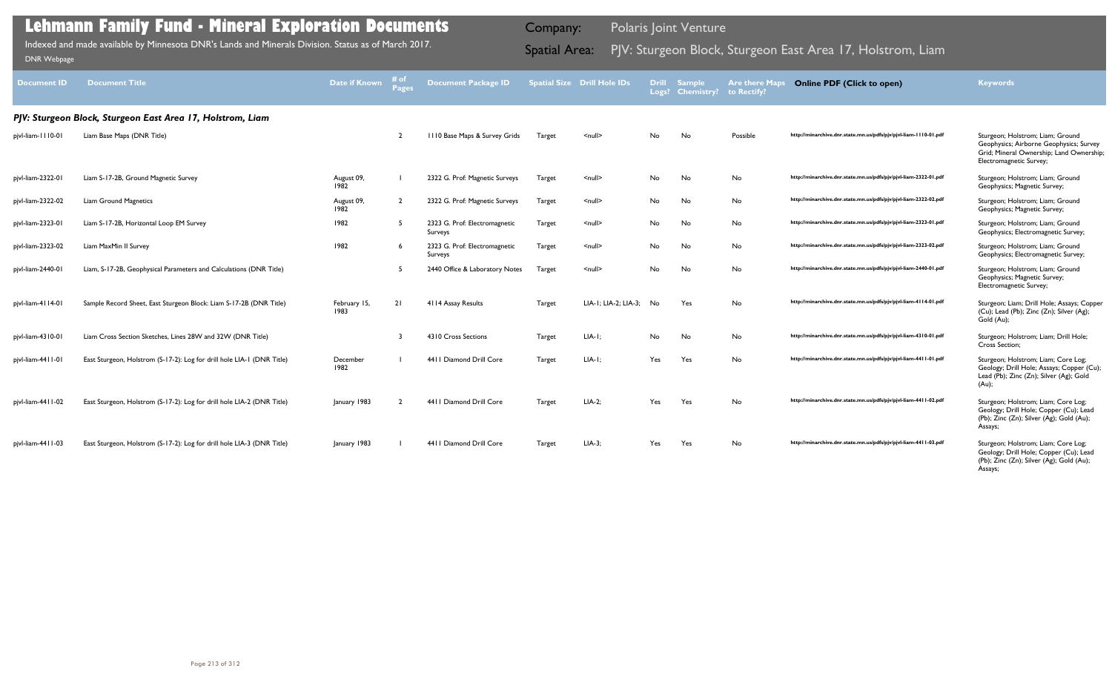| <b>Document ID</b> | <b>Document Title</b>                                                  | Date if Known        | # of<br><b>Pages</b> | <b>Document Package ID</b>               |               | <b>Spatial Size Drill Hole IDs</b> | <b>Drill</b><br>Logs? | <b>Sample</b><br><b>Chemistry?</b> | <b>Are there Maps</b><br>to Rectify? | <b>Online PDF (Click to open)</b>                                | <b>Keywords</b>                                                                                                                                    |
|--------------------|------------------------------------------------------------------------|----------------------|----------------------|------------------------------------------|---------------|------------------------------------|-----------------------|------------------------------------|--------------------------------------|------------------------------------------------------------------|----------------------------------------------------------------------------------------------------------------------------------------------------|
|                    | PJV: Sturgeon Block, Sturgeon East Area 17, Holstrom, Liam             |                      |                      |                                          |               |                                    |                       |                                    |                                      |                                                                  |                                                                                                                                                    |
| pjvl-liam-1110-01  | Liam Base Maps (DNR Title)                                             |                      | $\overline{2}$       | 1110 Base Maps & Survey Grids            | Target        | $\leq$ null $\geq$                 | No                    | No                                 | Possible                             | http://minarchive.dnr.state.mn.us/pdfs/pjv/pjvl-liam-1110-01.pdf | Sturgeon; Holstrom; Liam; Ground<br>Geophysics; Airborne Geophysics; Survey<br>Grid; Mineral Ownership; Land Ownership;<br>Electromagnetic Survey; |
| pjvl-liam-2322-01  | Liam S-17-2B, Ground Magnetic Survey                                   | August 09,<br>1982   |                      | 2322 G. Prof: Magnetic Surveys           | Target        | $\le$ null $\ge$                   | No                    | No                                 | No                                   | http://minarchive.dnr.state.mn.us/pdfs/pjv/pjvl-liam-2322-01.pdf | Sturgeon; Holstrom; Liam; Ground<br>Geophysics; Magnetic Survey;                                                                                   |
| pjvl-liam-2322-02  | <b>Liam Ground Magnetics</b>                                           | August 09,<br>1982   | $\overline{2}$       | 2322 G. Prof: Magnetic Surveys           | Target        | $\leq$ null $\geq$                 | No                    | No                                 | No                                   | http://minarchive.dnr.state.mn.us/pdfs/pjv/pjvl-liam-2322-02.pdf | Sturgeon; Holstrom; Liam; Ground<br>Geophysics; Magnetic Survey;                                                                                   |
| pjvl-liam-2323-01  | Liam S-17-2B, Horizontal Loop EM Survey                                | 1982                 | 5                    | 2323 G. Prof: Electromagnetic<br>Surveys | Target        | $\leq$ null $\geq$                 | No                    | No                                 | No                                   | http://minarchive.dnr.state.mn.us/pdfs/pjv/pjvl-liam-2323-01.pdf | Sturgeon; Holstrom; Liam; Ground<br>Geophysics; Electromagnetic Survey;                                                                            |
| pjvl-liam-2323-02  | Liam MaxMin II Survey                                                  | 1982                 |                      | 2323 G. Prof: Electromagnetic<br>Surveys | Target        | $\leq$ null $\geq$                 | No                    | No                                 | No                                   | http://minarchive.dnr.state.mn.us/pdfs/pjv/pjvl-liam-2323-02.pdf | Sturgeon; Holstrom; Liam; Ground<br>Geophysics; Electromagnetic Survey;                                                                            |
| pjvl-liam-2440-01  | Liam, S-17-2B, Geophysical Parameters and Calculations (DNR Title)     |                      | 5                    | 2440 Office & Laboratory Notes           | Target        | $\leq$ null $\geq$                 | No                    | No                                 | No                                   | http://minarchive.dnr.state.mn.us/pdfs/pjv/pjvl-liam-2440-01.pdf | Sturgeon; Holstrom; Liam; Ground<br>Geophysics; Magnetic Survey;<br>Electromagnetic Survey;                                                        |
| pjvl-liam-4114-01  | Sample Record Sheet, East Sturgeon Block: Liam S-17-2B (DNR Title)     | February 15,<br>1983 | 21                   | 4114 Assay Results                       | <b>Target</b> | LIA-1; LIA-2; LIA-3; No            |                       | Yes                                | No                                   | http://minarchive.dnr.state.mn.us/pdfs/pjv/pjvl-liam-4114-01.pdf | Sturgeon; Liam; Drill Hole; Assays; Copper<br>(Cu); Lead (Pb); Zinc (Zn); Silver (Ag);<br>Gold (Au);                                               |
| pjvl-liam-4310-01  | Liam Cross Section Sketches, Lines 28W and 32W (DNR Title)             |                      |                      | 4310 Cross Sections                      | Target        | $LIA-I$ ;                          | No                    | No                                 | No                                   | http://minarchive.dnr.state.mn.us/pdfs/pjv/pjvl-liam-4310-01.pdf | Sturgeon; Holstrom; Liam; Drill Hole;<br>Cross Section;                                                                                            |
| pjvl-liam-4411-01  | East Sturgeon, Holstrom (S-17-2): Log for drill hole LIA-1 (DNR Title) | December<br>1982     |                      | 4411 Diamond Drill Core                  | <b>Target</b> | $LIA-I:$                           | Yes                   | Yes                                | No                                   | http://minarchive.dnr.state.mn.us/pdfs/pjv/pjvl-liam-4411-01.pdf | Sturgeon; Holstrom; Liam; Core Log;<br>Geology; Drill Hole; Assays; Copper (Cu);<br>Lead (Pb); Zinc (Zn); Silver (Ag); Gold<br>(Au);               |
| pjvl-liam-4411-02  | East Sturgeon, Holstrom (S-17-2): Log for drill hole LIA-2 (DNR Title) | January 1983         |                      | 4411 Diamond Drill Core                  | Target        | $LIA-2;$                           | Yes                   | Yes                                | No                                   | http://minarchive.dnr.state.mn.us/pdfs/pjv/pjvl-liam-4411-02.pdf | Sturgeon; Holstrom; Liam; Core Log;<br>Geology; Drill Hole; Copper (Cu); Lead<br>(Pb); Zinc (Zn); Silver (Ag); Gold (Au);<br>Assays;               |
| pjvl-liam-4411-03  | East Sturgeon, Holstrom (S-17-2): Log for drill hole LIA-3 (DNR Title) | January 1983         |                      | 4411 Diamond Drill Core                  | <b>Target</b> | $LIA-3;$                           | Yes                   | Yes                                | No                                   | http://minarchive.dnr.state.mn.us/pdfs/pjv/pjvl-liam-4411-03.pdf | Sturgeon; Holstrom; Liam; Core Log;<br>Geology; Drill Hole; Copper (Cu); Lead<br>(Pb); Zinc (Zn); Silver (Ag); Gold (Au);<br>Assays;               |

Indexed and made available by Minnesota DNR's Lands and Minerals Division. Status as of March 2017. **Spatial Area:** PJV: Sturgeon Block, Sturgeon East Area 17, Holstrom, Liam DNR Webpage Indexed and made available by Minnesota DNR's Lands and Minerals Division. Status as of March 2017.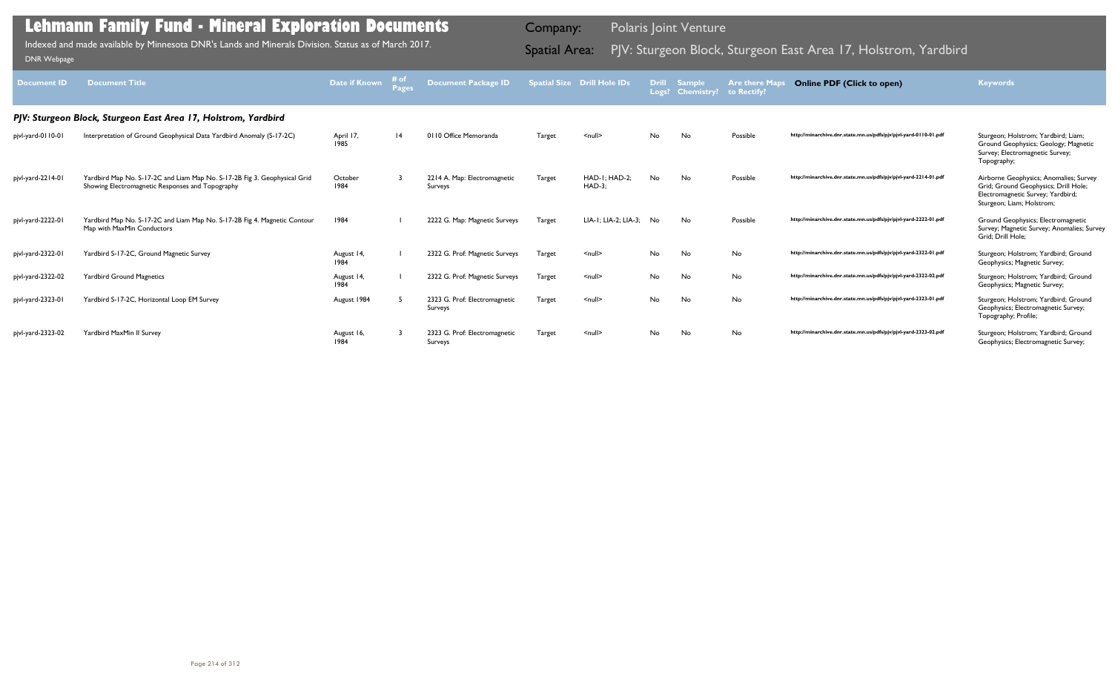| Document <b>ID</b> | <b>Document Title</b>                                                                                                         | <b>Date if Known</b> | # of<br>Pages | <b>Document Package ID</b>               |               | <b>Spatial Size Drill Hole IDs</b> | <b>Drill</b> | <b>Sample</b><br>Logs? Chemistry? | <b>Are there Maps</b><br>to Rectify? | <b>Online PDF (Click to open)</b>                                | <b>Keywords</b>                                                                                                                                  |
|--------------------|-------------------------------------------------------------------------------------------------------------------------------|----------------------|---------------|------------------------------------------|---------------|------------------------------------|--------------|-----------------------------------|--------------------------------------|------------------------------------------------------------------|--------------------------------------------------------------------------------------------------------------------------------------------------|
|                    | PJV: Sturgeon Block, Sturgeon East Area 17, Holstrom, Yardbird                                                                |                      |               |                                          |               |                                    |              |                                   |                                      |                                                                  |                                                                                                                                                  |
| pjvl-yard-0110-01  | Interpretation of Ground Geophysical Data Yardbird Anomaly (S-17-2C)                                                          | April 17,<br>1985    | 4             | 0110 Office Memoranda                    | Target        | $\leq$ null $\geq$                 | No.          | No                                | Possible                             | http://minarchive.dnr.state.mn.us/pdfs/pjv/pjvl-yard-0110-01.pdf | Sturgeon; Holstrom; Yardbird; Liam;<br>Ground Geophysics; Geology; Magnetic<br>Survey; Electromagnetic Survey;<br>Topography;                    |
| pjvl-yard-2214-01  | Yardbird Map No. S-17-2C and Liam Map No. S-17-2B Fig 3. Geophysical Grid<br>Showing Electromagnetic Responses and Topography | October<br>1984      |               | 2214 A. Map: Electromagnetic<br>Surveys  | Target        | HAD-I: HAD-2:<br>$HAD-3;$          | <b>No</b>    | <b>No</b>                         | Possible                             | http://minarchive.dnr.state.mn.us/pdfs/pjv/pjvl-yard-2214-01.pdf | Airborne Geophysics; Anomalies; Survey<br>Grid; Ground Geophysics; Drill Hole;<br>Electromagnetic Survey; Yardbird;<br>Sturgeon; Liam; Holstrom; |
| pjvl-yard-2222-01  | Yardbird Map No. S-17-2C and Liam Map No. S-17-2B Fig 4. Magnetic Contour<br>Map with MaxMin Conductors                       | 1984                 |               | 2222 G. Map: Magnetic Surveys            | <b>Target</b> | LIA-1; LIA-2; LIA-3; No            |              | No                                | Possible                             | http://minarchive.dnr.state.mn.us/pdfs/pjv/pjvl-yard-2222-01.pdf | Ground Geophysics; Electromagnetic<br>Survey; Magnetic Survey; Anomalies; Survey<br>Grid; Drill Hole;                                            |
| pjvl-yard-2322-01  | Yardbird S-17-2C, Ground Magnetic Survey                                                                                      | August 14,<br>1984   |               | 2322 G. Prof: Magnetic Surveys           | Target        | $\leq$ null $\geq$                 | No           | No                                | No                                   | http://minarchive.dnr.state.mn.us/pdfs/pjv/pjvl-yard-2322-01.pdf | Sturgeon; Holstrom; Yardbird; Ground<br>Geophysics; Magnetic Survey;                                                                             |
| pjvl-yard-2322-02  | <b>Yardbird Ground Magnetics</b>                                                                                              | August 14,<br>1984   |               | 2322 G. Prof: Magnetic Surveys           | Target        | $\leq$ null $\geq$                 | No.          | No                                | No                                   | http://minarchive.dnr.state.mn.us/pdfs/pjv/pjvl-yard-2322-02.pdf | Sturgeon; Holstrom; Yardbird; Ground<br>Geophysics; Magnetic Survey;                                                                             |
| pjvl-yard-2323-01  | Yardbird S-17-2C, Horizontal Loop EM Survey                                                                                   | August 1984          |               | 2323 G. Prof: Electromagnetic<br>Surveys | <b>Target</b> | $\leq$ null $\geq$                 | No.          | No                                | No                                   | http://minarchive.dnr.state.mn.us/pdfs/pjv/pjvl-yard-2323-01.pdf | Sturgeon; Holstrom; Yardbird; Ground<br>Geophysics; Electromagnetic Survey;<br>Topography; Profile;                                              |
| pjvl-yard-2323-02  | Yardbird MaxMin II Survey                                                                                                     | August 16,<br>1984   |               | 2323 G. Prof: Electromagnetic<br>Surveys | Target        | $\leq$ null $\geq$                 | No.          | No                                | No                                   | http://minarchive.dnr.state.mn.us/pdfs/pjv/pjvl-yard-2323-02.pdf | Sturgeon; Holstrom; Yardbird; Ground<br>Geophysics; Electromagnetic Survey;                                                                      |

Indexed and made available by Minnesota DNR's Lands and Minerals Division. Status as of March 2017. Spatial Area: PJV: Sturgeon Block, Sturgeon East Area 17, Holstrom, Yardbird DNR Webpage Indexed and made available by Minnesota DNR's Lands and Minerals Division. Status as of March 2017.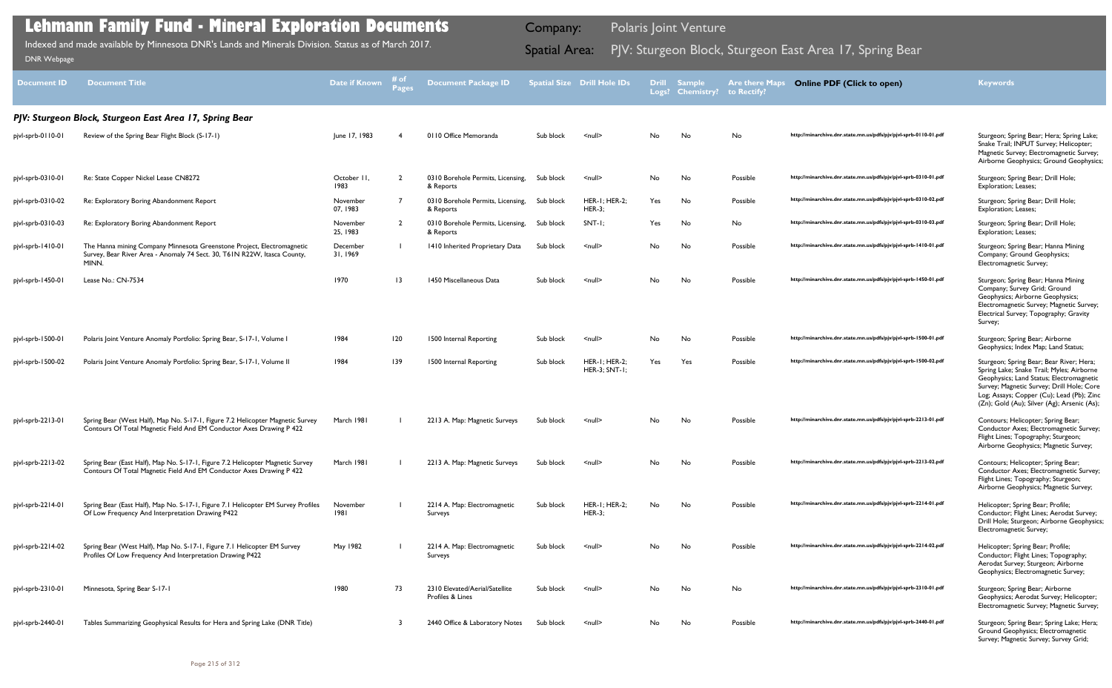| <b>Document ID</b> | <b>Document Title</b>                                                                                                                                       | <b>Date if Known</b> | # of<br><b>Pages</b> | <b>Document Package ID</b>                         |           | <b>Spatial Size Drill Hole IDs</b>    | <b>Drill</b><br>Logs? | <b>Sample</b><br><b>Chemistry?</b> | <b>Are there Maps</b><br>to Rectify? | <b>Online PDF (Click to open)</b>                                | <b>Keywords</b>                                                                                                                                                                                                                                                            |
|--------------------|-------------------------------------------------------------------------------------------------------------------------------------------------------------|----------------------|----------------------|----------------------------------------------------|-----------|---------------------------------------|-----------------------|------------------------------------|--------------------------------------|------------------------------------------------------------------|----------------------------------------------------------------------------------------------------------------------------------------------------------------------------------------------------------------------------------------------------------------------------|
|                    | PIV: Sturgeon Block, Sturgeon East Area 17, Spring Bear                                                                                                     |                      |                      |                                                    |           |                                       |                       |                                    |                                      |                                                                  |                                                                                                                                                                                                                                                                            |
| pjvl-sprb-0110-01  | Review of the Spring Bear Flight Block (S-17-1)                                                                                                             | June 17, 1983        |                      | 0110 Office Memoranda                              | Sub block | $\leq$ null $\geq$                    | No.                   | No                                 | No                                   | http://minarchive.dnr.state.mn.us/pdfs/pjv/pjvl-sprb-0110-01.pdf | Sturgeon; Spring Bear; Hera; Spring Lake;<br>Snake Trail; INPUT Survey; Helicopter;<br>Magnetic Survey; Electromagnetic Survey;<br>Airborne Geophysics; Ground Geophysics;                                                                                                 |
| pjvl-sprb-0310-01  | Re: State Copper Nickel Lease CN8272                                                                                                                        | October II,<br>1983  | $\overline{2}$       | 0310 Borehole Permits, Licensing,<br>& Reports     | Sub block | $\leq$ null $\geq$                    | No                    | No                                 | Possible                             | http://minarchive.dnr.state.mn.us/pdfs/pjv/pjvl-sprb-0310-01.pdf | Sturgeon; Spring Bear; Drill Hole;<br><b>Exploration</b> ; Leases;                                                                                                                                                                                                         |
| pjvl-sprb-0310-02  | Re: Exploratory Boring Abandonment Report                                                                                                                   | November<br>07, 1983 | $\overline{7}$       | 0310 Borehole Permits, Licensing,<br>& Reports     | Sub block | <b>HER-1; HER-2;</b><br><b>HER-3:</b> | Yes                   | No                                 | Possible                             | http://minarchive.dnr.state.mn.us/pdfs/pjv/pjvl-sprb-0310-02.pdf | Sturgeon; Spring Bear; Drill Hole;<br>Exploration; Leases;                                                                                                                                                                                                                 |
| pjvl-sprb-0310-03  | Re: Exploratory Boring Abandonment Report                                                                                                                   | November<br>25, 1983 | $\overline{2}$       | 0310 Borehole Permits, Licensing,<br>& Reports     | Sub block | SNT-I;                                | Yes                   | No                                 | No                                   | http://minarchive.dnr.state.mn.us/pdfs/pjv/pjvl-sprb-0310-03.pdf | Sturgeon; Spring Bear; Drill Hole;<br>Exploration; Leases;                                                                                                                                                                                                                 |
| pjvl-sprb-1410-01  | The Hanna mining Company Minnesota Greenstone Project, Electromagnetic<br>Survey, Bear River Area - Anomaly 74 Sect. 30, T61N R22W, Itasca County,<br>MINN. | December<br>31, 1969 |                      | 1410 Inherited Proprietary Data                    | Sub block | $\leq$ null $\geq$                    | No.                   | No                                 | Possible                             | http://minarchive.dnr.state.mn.us/pdfs/pjv/pjvl-sprb-1410-01.pdf | Sturgeon; Spring Bear; Hanna Mining<br>Company; Ground Geophysics;<br>Electromagnetic Survey;                                                                                                                                                                              |
| pjvl-sprb-1450-01  | Lease No.: CN-7534                                                                                                                                          | 1970                 | $ 3\rangle$          | 1450 Miscellaneous Data                            | Sub block | $\leq$ null $\geq$                    | No.                   | No                                 | Possible                             | http://minarchive.dnr.state.mn.us/pdfs/pjv/pjvl-sprb-1450-01.pdf | Sturgeon; Spring Bear; Hanna Mining<br>Company; Survey Grid; Ground<br>Geophysics; Airborne Geophysics;<br>Electromagnetic Survey; Magnetic Survey;<br>Electrical Survey; Topography; Gravity<br>Survey;                                                                   |
| pjvl-sprb-1500-01  | Polaris Joint Venture Anomaly Portfolio: Spring Bear, S-17-1, Volume I                                                                                      | 1984                 | 120                  | 1500 Internal Reporting                            | Sub block | $\leq$ null $\geq$                    | No                    | No                                 | Possible                             | http://minarchive.dnr.state.mn.us/pdfs/pjv/pjvl-sprb-1500-01.pdf | Sturgeon; Spring Bear; Airborne<br>Geophysics; Index Map; Land Status;                                                                                                                                                                                                     |
| pjvl-sprb-1500-02  | Polaris Joint Venture Anomaly Portfolio: Spring Bear, S-17-1, Volume II                                                                                     | 1984                 | 139                  | 1500 Internal Reporting                            | Sub block | HER-I; HER-2;<br>HER-3; SNT-1;        | Yes                   | Yes                                | Possible                             | http://minarchive.dnr.state.mn.us/pdfs/pjv/pjvl-sprb-1500-02.pdf | Sturgeon; Spring Bear; Bear River; Hera;<br>Spring Lake; Snake Trail; Myles; Airborne<br>Geophysics; Land Status; Electromagnetic<br>Survey; Magnetic Survey; Drill Hole; Core<br>Log; Assays; Copper (Cu); Lead (Pb); Zinc<br>(Zn); Gold (Au); Silver (Ag); Arsenic (As); |
| pjvl-sprb-2213-01  | Spring Bear (West Half), Map No. S-17-1, Figure 7.2 Helicopter Magnetic Survey<br>Contours Of Total Magnetic Field And EM Conductor Axes Drawing P 422      | March 1981           |                      | 2213 A. Map: Magnetic Surveys                      | Sub block | $\leq$ null $\geq$                    | No.                   | No                                 | Possible                             | http://minarchive.dnr.state.mn.us/pdfs/pjv/pjvl-sprb-2213-01.pdf | Contours; Helicopter; Spring Bear;<br>Conductor Axes; Electromagnetic Survey;<br>Flight Lines; Topography; Sturgeon;<br>Airborne Geophysics; Magnetic Survey;                                                                                                              |
| pjvl-sprb-2213-02  | Spring Bear (East Half), Map No. S-17-1, Figure 7.2 Helicopter Magnetic Survey<br>Contours Of Total Magnetic Field And EM Conductor Axes Drawing P 422      | March 1981           |                      | 2213 A. Map: Magnetic Surveys                      | Sub block | <null></null>                         | No                    | No                                 | Possible                             | http://minarchive.dnr.state.mn.us/pdfs/pjv/pjvl-sprb-2213-02.pdf | Contours; Helicopter; Spring Bear;<br>Conductor Axes; Electromagnetic Survey;<br>Flight Lines; Topography; Sturgeon;<br>Airborne Geophysics; Magnetic Survey;                                                                                                              |
| pjvl-sprb-2214-01  | Spring Bear (East Half), Map No. S-17-1, Figure 7.1 Helicopter EM Survey Profiles<br>Of Low Frequency And Interpretation Drawing P422                       | November<br>1981     |                      | 2214 A. Map: Electromagnetic<br>Surveys            | Sub block | <b>HER-I: HER-2:</b><br><b>HER-3;</b> | No.                   | No                                 | Possible                             | http://minarchive.dnr.state.mn.us/pdfs/pjv/pjvl-sprb-2214-01.pdf | Helicopter; Spring Bear; Profile;<br>Conductor; Flight Lines; Aerodat Survey;<br>Drill Hole; Sturgeon; Airborne Geophysics;<br>Electromagnetic Survey;                                                                                                                     |
| pjvl-sprb-2214-02  | Spring Bear (West Half), Map No. S-17-1, Figure 7.1 Helicopter EM Survey<br>Profiles Of Low Frequency And Interpretation Drawing P422                       | May 1982             |                      | 2214 A. Map: Electromagnetic<br>Surveys            | Sub block | $\leq$ null $\geq$                    | No                    | No                                 | Possible                             | http://minarchive.dnr.state.mn.us/pdfs/pjv/pjvl-sprb-2214-02.pdf | Helicopter; Spring Bear; Profile;<br>Conductor; Flight Lines; Topography;<br>Aerodat Survey; Sturgeon; Airborne<br>Geophysics; Electromagnetic Survey;                                                                                                                     |
| pjvl-sprb-2310-01  | Minnesota, Spring Bear S-17-1                                                                                                                               | 1980                 | 73                   | 2310 Elevated/Aerial/Satellite<br>Profiles & Lines | Sub block | $\leq$ null $\geq$                    | No                    | No                                 | No                                   | http://minarchive.dnr.state.mn.us/pdfs/pjv/pjvl-sprb-2310-01.pdf | Sturgeon; Spring Bear; Airborne<br>Geophysics; Aerodat Survey; Helicopter;<br>Electromagnetic Survey; Magnetic Survey;                                                                                                                                                     |
| pjvl-sprb-2440-01  | Tables Summarizing Geophysical Results for Hera and Spring Lake (DNR Title)                                                                                 |                      |                      | 2440 Office & Laboratory Notes                     | Sub block | $\le$ null $\ge$                      | No                    | No                                 | Possible                             | http://minarchive.dnr.state.mn.us/pdfs/pjv/pjvl-sprb-2440-01.pdf | Sturgeon; Spring Bear; Spring Lake; Hera;<br>Ground Geophysics; Electromagnetic<br>Survey; Magnetic Survey; Survey Grid;                                                                                                                                                   |

Indexed and made available by Minnesota DNR's Lands and Minerals Division. Status as of March 2017. Sand Spatial Area: PJV: Sturgeon Block, Sturgeon East Area 17, Spring Bear DNR Webpage Indexed and made available by Minnesota DNR's Lands and Minerals Division. Status as of March 2017.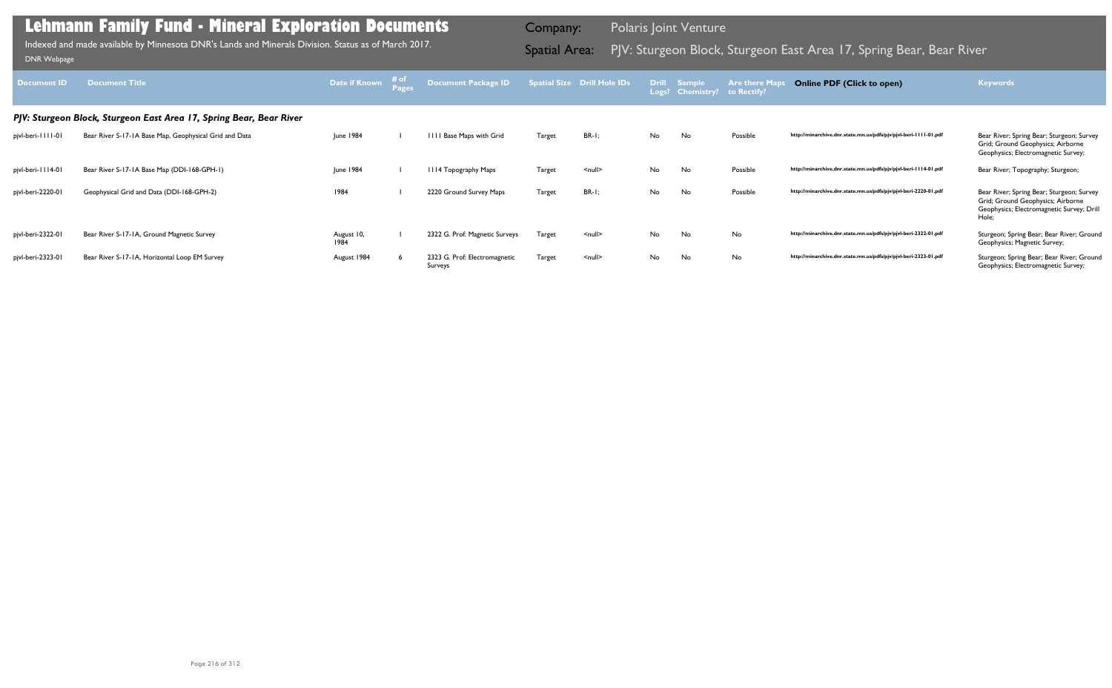| <b>Document ID</b> | <b>Document Title</b>                                               | Date if Known      | # of<br>Pages | Document Package ID                      |               | <b>Spatial Size Drill Hole IDs</b> |    | <b>Drill Sample</b><br>Logs? Chemistry? | <b>Are there Map</b><br>to Rectify? | <b>Online PDF (Click to open)</b>                                | <b>Keywords</b>                                                                                                                      |
|--------------------|---------------------------------------------------------------------|--------------------|---------------|------------------------------------------|---------------|------------------------------------|----|-----------------------------------------|-------------------------------------|------------------------------------------------------------------|--------------------------------------------------------------------------------------------------------------------------------------|
|                    | PJV: Sturgeon Block, Sturgeon East Area 17, Spring Bear, Bear River |                    |               |                                          |               |                                    |    |                                         |                                     |                                                                  |                                                                                                                                      |
| pjvl-beri-1111-01  | Bear River S-17-1A Base Map, Geophysical Grid and Data              | <b>June 1984</b>   |               | IIII Base Maps with Grid                 | <b>Target</b> | $BR-I;$                            | No | No                                      | Possible                            | http://minarchive.dnr.state.mn.us/pdfs/pjv/pjvl-beri-1111-01.pdf | Bear River; Spring Bear; Sturgeon; Survey<br>Grid; Ground Geophysics; Airborne<br>Geophysics; Electromagnetic Survey;                |
| pjvl-beri-1114-01  | Bear River S-17-1A Base Map (DDI-168-GPH-1)                         | June 1984          |               | III4 Topography Maps                     | Target        | $\leq$ null $\geq$                 | No | No.                                     | Possible                            | http://minarchive.dnr.state.mn.us/pdfs/pjv/pjvl-beri-1114-01.pdf | Bear River; Topography; Sturgeon;                                                                                                    |
| pjvl-beri-2220-01  | Geophysical Grid and Data (DDI-168-GPH-2)                           | 1984               |               | 2220 Ground Survey Maps                  | <b>Target</b> | $BR-I;$                            | No | No                                      | Possible                            | http://minarchive.dnr.state.mn.us/pdfs/pjv/pjvl-beri-2220-01.pdf | Bear River; Spring Bear; Sturgeon; Survey<br>Grid; Ground Geophysics; Airborne<br>Geophysics; Electromagnetic Survey; Drill<br>Hole; |
| pjvl-beri-2322-01  | Bear River S-17-1A, Ground Magnetic Survey                          | August 10,<br>1984 |               | 2322 G. Prof: Magnetic Surveys           | <b>Target</b> | $null$                             | No | No                                      | No                                  | http://minarchive.dnr.state.mn.us/pdfs/pjv/pjvl-beri-2322-01.pdf | Sturgeon; Spring Bear; Bear River; Ground<br>Geophysics; Magnetic Survey;                                                            |
| pjvl-beri-2323-01  | Bear River S-17-1A, Horizontal Loop EM Survey                       | August 1984        |               | 2323 G. Prof: Electromagnetic<br>Surveys | Target        | $\leq$ null $\geq$                 | No | No.                                     | No                                  | http://minarchive.dnr.state.mn.us/pdfs/pjv/pjvl-beri-2323-01.pdf | Sturgeon; Spring Bear; Bear River; Ground<br>Geophysics; Electromagnetic Survey;                                                     |

Indexed and made available by Minnesota DNR's Lands and Minerals Division. Status as of March 2017.

Company: Polaris Joint Venture

# Indexed and made available by Minnesota DNR's Lands and Minerals Division. Status as of March 2017. **Samila Area 1999** Spatial Area: PJV: Sturgeon Block, Sturgeon East Area 17, Spring Bear, Bear River DNR Webpage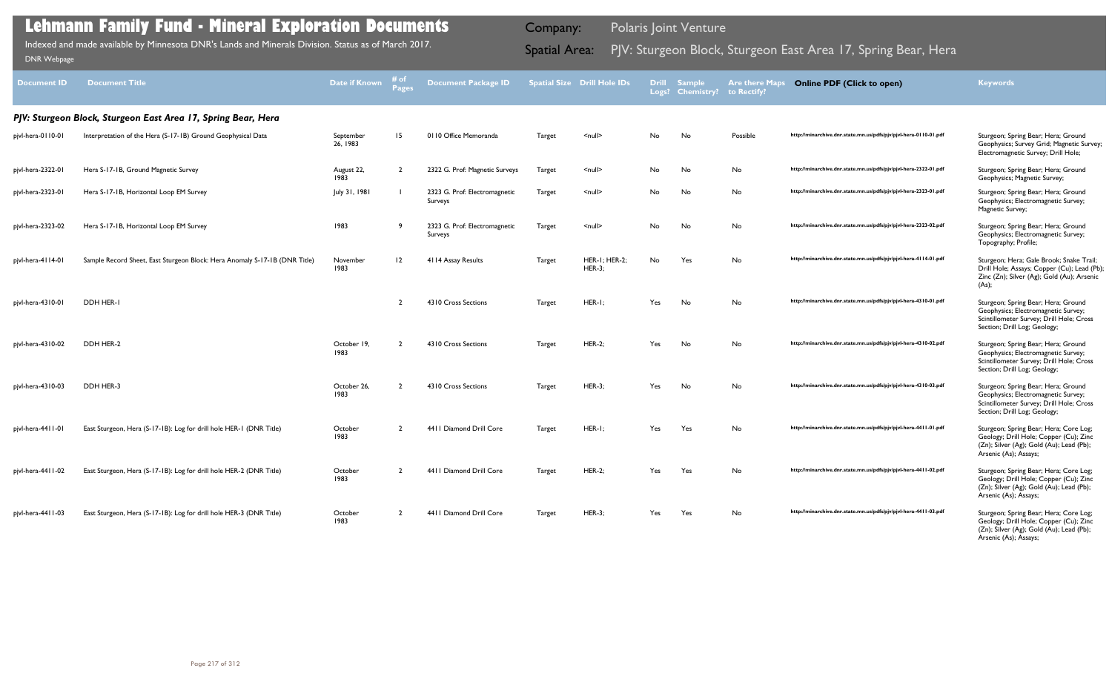| <b>Document ID</b> | <b>Document Title</b>                                                      | Date if Known         | # of           | <b>Document Package ID</b>               |               | <b>Spatial Size Drill Hole IDs</b> |     | Drill Sample<br>Logs? Chemistry? | <b>Are there Maps</b><br>to Rectify? | <b>Online PDF (Click to open)</b>                                | <b>Keywords</b>                                                                                                                                        |
|--------------------|----------------------------------------------------------------------------|-----------------------|----------------|------------------------------------------|---------------|------------------------------------|-----|----------------------------------|--------------------------------------|------------------------------------------------------------------|--------------------------------------------------------------------------------------------------------------------------------------------------------|
|                    | PJV: Sturgeon Block, Sturgeon East Area 17, Spring Bear, Hera              |                       |                |                                          |               |                                    |     |                                  |                                      |                                                                  |                                                                                                                                                        |
| pjvl-hera-0110-01  | Interpretation of the Hera (S-17-1B) Ground Geophysical Data               | September<br>26, 1983 | 15             | 0110 Office Memoranda                    | Target        | $null$                             | No  | No                               | Possible                             | http://minarchive.dnr.state.mn.us/pdfs/pjv/pjvl-hera-0110-01.pdf | Sturgeon; Spring Bear; Hera; Ground<br>Geophysics; Survey Grid; Magnetic Survey;<br>Electromagnetic Survey; Drill Hole;                                |
| pjvl-hera-2322-01  | Hera S-17-1B, Ground Magnetic Survey                                       | August 22,<br>1983    | $\overline{2}$ | 2322 G. Prof: Magnetic Surveys           | Target        | $null$                             | No  | No                               | No                                   | http://minarchive.dnr.state.mn.us/pdfs/pjv/pjvl-hera-2322-01.pdf | Sturgeon; Spring Bear; Hera; Ground<br>Geophysics; Magnetic Survey;                                                                                    |
| pjvl-hera-2323-01  | Hera S-17-1B, Horizontal Loop EM Survey                                    | July 31, 1981         |                | 2323 G. Prof: Electromagnetic<br>Surveys | Target        | $null$                             | No  | No                               | No                                   | http://minarchive.dnr.state.mn.us/pdfs/pjv/pjvl-hera-2323-01.pdf | Sturgeon; Spring Bear; Hera; Ground<br>Geophysics; Electromagnetic Survey;<br>Magnetic Survey;                                                         |
| pjvl-hera-2323-02  | Hera S-17-1B, Horizontal Loop EM Survey                                    | 1983                  | 9              | 2323 G. Prof: Electromagnetic<br>Surveys | Target        | $null$                             | No  | No                               | No                                   | http://minarchive.dnr.state.mn.us/pdfs/pjv/pjvl-hera-2323-02.pdf | Sturgeon; Spring Bear; Hera; Ground<br>Geophysics; Electromagnetic Survey;<br>Topography; Profile;                                                     |
| pjvl-hera-4114-01  | Sample Record Sheet, East Sturgeon Block: Hera Anomaly S-17-1B (DNR Title) | November<br>1983      | 12             | 4114 Assay Results                       | Target        | HER-I; HER-2;<br><b>HER-3;</b>     | No  | Yes                              | No                                   | http://minarchive.dnr.state.mn.us/pdfs/pjv/pjvl-hera-4114-01.pdf | Sturgeon; Hera; Gale Brook; Snake Trail;<br>Drill Hole; Assays; Copper (Cu); Lead (Pb);<br>Zinc (Zn); Silver (Ag); Gold (Au); Arsenic<br>(As);         |
| pjvl-hera-4310-01  | DDH HER-I                                                                  |                       | ້າ             | 4310 Cross Sections                      | Target        | $HER-I;$                           | Yes | No                               | No                                   | http://minarchive.dnr.state.mn.us/pdfs/pjv/pjvl-hera-4310-01.pdf | Sturgeon; Spring Bear; Hera; Ground<br>Geophysics; Electromagnetic Survey;<br>Scintillometer Survey; Drill Hole; Cross<br>Section; Drill Log; Geology; |
| pjvl-hera-4310-02  | DDH HER-2                                                                  | October 19,<br>1983   | ຳ              | 4310 Cross Sections                      | Target        | <b>HER-2;</b>                      | Yes | No                               | No                                   | http://minarchive.dnr.state.mn.us/pdfs/pjv/pjvl-hera-4310-02.pdf | Sturgeon; Spring Bear; Hera; Ground<br>Geophysics; Electromagnetic Survey;<br>Scintillometer Survey; Drill Hole; Cross<br>Section; Drill Log; Geology; |
| pjvl-hera-4310-03  | DDH HER-3                                                                  | October 26,<br>1983   |                | 4310 Cross Sections                      | Target        | <b>HER-3;</b>                      | Yes | No                               | No                                   | http://minarchive.dnr.state.mn.us/pdfs/pjv/pjvl-hera-4310-03.pdf | Sturgeon; Spring Bear; Hera; Ground<br>Geophysics; Electromagnetic Survey;<br>Scintillometer Survey; Drill Hole; Cross<br>Section; Drill Log; Geology; |
| pjvl-hera-4411-01  | East Sturgeon, Hera (S-17-1B): Log for drill hole HER-1 (DNR Title)        | October<br>1983       |                | 4411 Diamond Drill Core                  | Target        | $HER-I;$                           | Yes | Yes                              | No                                   | http://minarchive.dnr.state.mn.us/pdfs/pjv/pjvl-hera-4411-01.pdf | Sturgeon; Spring Bear; Hera; Core Log;<br>Geology; Drill Hole; Copper (Cu); Zinc<br>(Zn); Silver (Ag); Gold (Au); Lead (Pb);<br>Arsenic (As); Assays;  |
| pjvl-hera-4411-02  | East Sturgeon, Hera (S-17-1B): Log for drill hole HER-2 (DNR Title)        | October<br>1983       | 2              | 4411 Diamond Drill Core                  | Target        | <b>HER-2;</b>                      | Yes | Yes                              | No                                   | http://minarchive.dnr.state.mn.us/pdfs/pjv/pjvl-hera-4411-02.pdf | Sturgeon; Spring Bear; Hera; Core Log;<br>Geology; Drill Hole; Copper (Cu); Zinc<br>(Zn); Silver (Ag); Gold (Au); Lead (Pb);<br>Arsenic (As); Assays;  |
| pjvl-hera-4411-03  | East Sturgeon, Hera (S-17-1B): Log for drill hole HER-3 (DNR Title)        | October<br>1983       | $\overline{2}$ | 4411 Diamond Drill Core                  | <b>Target</b> | $HER-3;$                           | Yes | Yes                              | No                                   | http://minarchive.dnr.state.mn.us/pdfs/pjv/pjvl-hera-4411-03.pdf | Sturgeon; Spring Bear; Hera; Core Log;<br>Geology; Drill Hole; Copper (Cu); Zinc<br>(Zn); Silver (Ag); Gold (Au); Lead (Pb);<br>Arsenic (As); Assays;  |

Indexed and made available by Minnesota DNR's Lands and Minerals Division. Status as of March 2017. **Samila Area Spatial Area:** PJV: Sturgeon Block, Sturgeon East Area 17, Spring Bear, Hera DNR Webpage Indexed and made available by Minnesota DNR's Lands and Minerals Division. Status as of March 2017.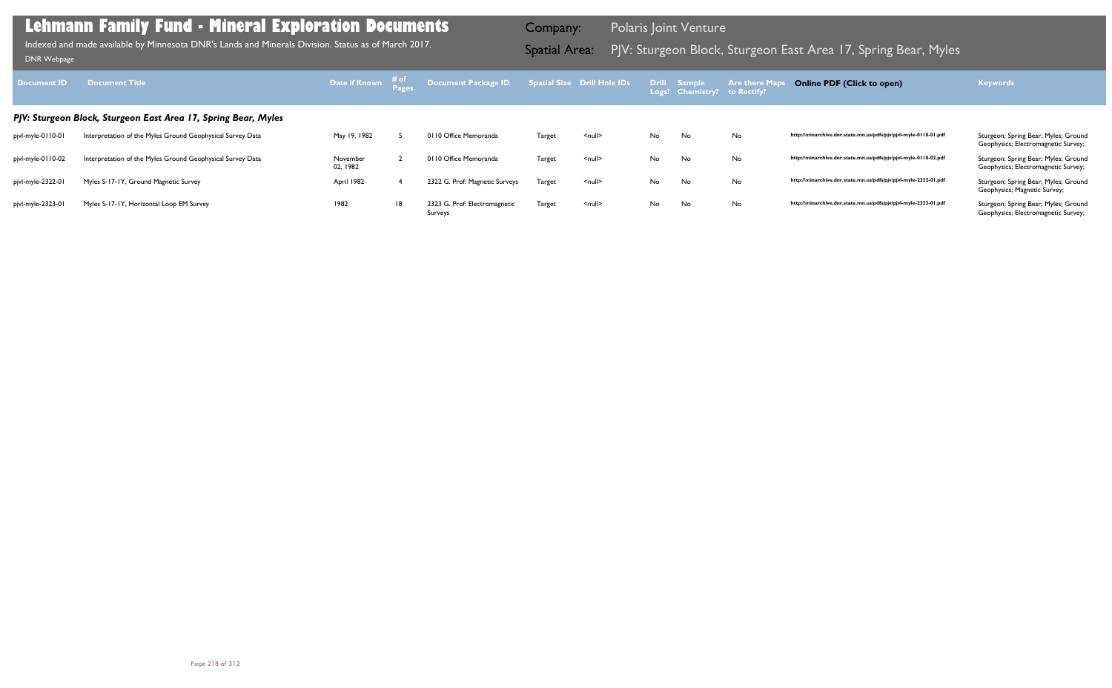|        | atial Size Drill Hole IDs | <b>Drill</b><br>Logs? | <b>Sample</b><br><b>Chemistry?</b> | Are there Maps<br>to Rectify? | <b>Online PDF (Click to open)</b>                                | Keywords                                                                    |
|--------|---------------------------|-----------------------|------------------------------------|-------------------------------|------------------------------------------------------------------|-----------------------------------------------------------------------------|
|        |                           |                       |                                    |                               |                                                                  |                                                                             |
| Target | $null$                    | No                    | No                                 | No                            | http://minarchive.dnr.state.mn.us/pdfs/pjv/pjvl-myle-0110-01.pdf | Sturgeon; Spring Bear; Myles; Ground<br>Geophysics; Electromagnetic Survey; |
| Target | $\leq$ null $\geq$        | No                    | No                                 | No                            | http://minarchive.dnr.state.mn.us/pdfs/pjv/pjvl-myle-0110-02.pdf | Sturgeon; Spring Bear; Myles; Ground<br>Geophysics; Electromagnetic Survey; |
| Target | $\leq$ null $\geq$        | No                    | No                                 | No                            | http://minarchive.dnr.state.mn.us/pdfs/pjv/pjvl-myle-2322-01.pdf | Sturgeon; Spring Bear; Myles; Ground<br>Geophysics; Magnetic Survey;        |
| Target | $\leq$ null $\geq$        | No                    | No                                 | No                            | http://minarchive.dnr.state.mn.us/pdfs/pjv/pjvl-myle-2323-01.pdf | Sturgeon; Spring Bear; Myles; Ground<br>Geophysics; Electromagnetic Survey; |

| <b>Document ID</b> | <b>Document Title</b>                                          |                      |    | Document Package ID Spatial Size Drill Hole IDs Drill Sample |        |               |    | Logs? Chemistry? to Rectify? | <b>Example 2 Are there Map</b> | <b>Online PDF (Click to open)</b>                                | <b>Keywords</b>                                                             |
|--------------------|----------------------------------------------------------------|----------------------|----|--------------------------------------------------------------|--------|---------------|----|------------------------------|--------------------------------|------------------------------------------------------------------|-----------------------------------------------------------------------------|
|                    | PJV: Sturgeon Block, Sturgeon East Area 17, Spring Bear, Myles |                      |    |                                                              |        |               |    |                              |                                |                                                                  |                                                                             |
| pjvl-myle-0110-01  | Interpretation of the Myles Ground Geophysical Survey Data     | May 19, 1982         |    | 0110 Office Memoranda                                        | Target | <null></null> | No | No                           | No                             | http://minarchive.dnr.state.mn.us/pdfs/pjv/pjvl-myle-0110-01.pdf | Sturgeon; Spring Bear; Myles; Ground<br>Geophysics; Electromagnetic Survey; |
| pjvl-myle-0110-02  | Interpretation of the Myles Ground Geophysical Survey Data     | November<br>02, 1982 |    | 0110 Office Memoranda                                        | Target | <null></null> | No | No                           | No                             | http://minarchive.dnr.state.mn.us/pdfs/pjv/pjvl-myle-0110-02.pdf | Sturgeon; Spring Bear; Myles; Ground<br>Geophysics; Electromagnetic Survey; |
| pjvl-myle-2322-01  | Myles S-17-1Y, Ground Magnetic Survey                          | April 1982           |    | 2322 G. Prof: Magnetic Surveys                               | Target | <null></null> | No | No                           | No                             | http://minarchive.dnr.state.mn.us/pdfs/pjv/pjvl-myle-2322-01.pdf | Sturgeon; Spring Bear; Myles; Ground<br>Geophysics; Magnetic Survey;        |
| pjvl-myle-2323-01  | Myles S-17-1Y, Horizontal Loop EM Survey                       | 1982                 | 18 | 2323 G. Prof: Electromagnetic<br>Surveys                     | Target | <null></null> | No | No                           | No                             | http://minarchive.dnr.state.mn.us/pdfs/pjv/pjvl-myle-2323-01.pdf | Sturgeon; Spring Bear; Myles; Ground<br>Geophysics; Electromagnetic Survey; |

Indexed and made available by Minnesota DNR's Lands and Minerals Division. Status as of March 2017. **Samila Area 1999** Spatial Area: PJV: Sturgeon Block, Sturgeon East Area 17, Spring Bear, Myles DNR Webpage Indexed and made available by Minnesota DNR's Lands and Minerals Division. Status as of March 2017.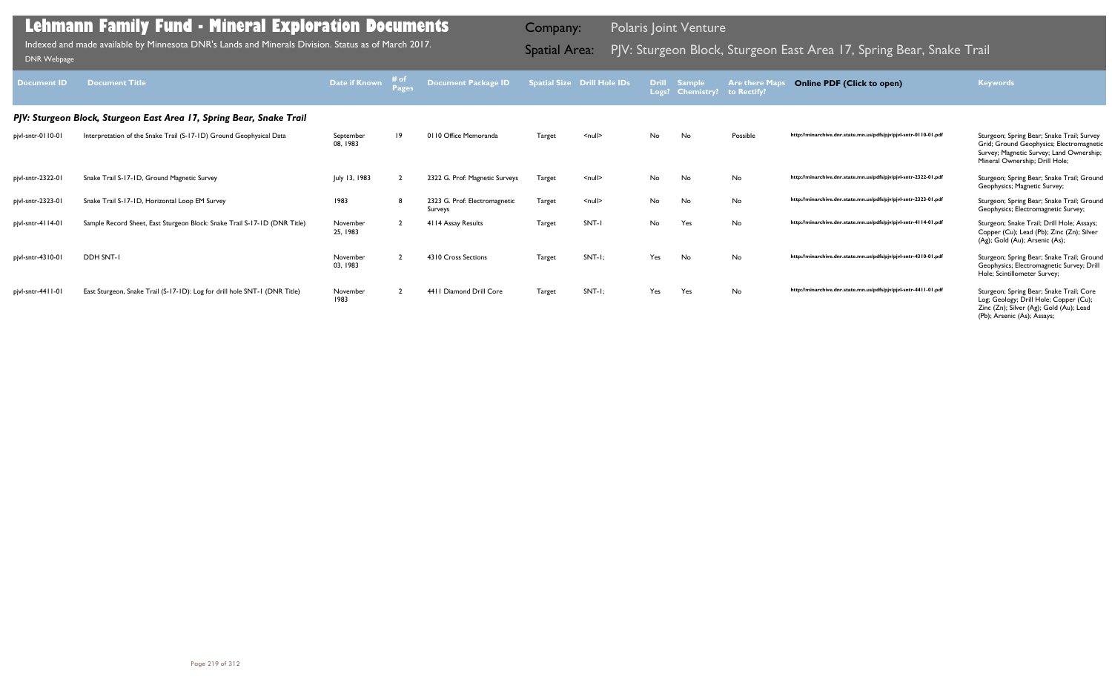|        | atial Size Drill Hole IDs | <b>Drill</b><br>Logs? | <b>Sample</b><br><b>Chemistry?</b> | <b>Are there Maps</b><br>to Rectify? | <b>Online PDF (Click to open)</b>                                | <b>Keywords</b>                                                                                                                                                      |
|--------|---------------------------|-----------------------|------------------------------------|--------------------------------------|------------------------------------------------------------------|----------------------------------------------------------------------------------------------------------------------------------------------------------------------|
| Target | $null$                    | No                    | No                                 | Possible                             | http://minarchive.dnr.state.mn.us/pdfs/pjv/pjvl-sntr-0110-01.pdf | Sturgeon; Spring Bear; Snake Trail; Survey<br>Grid; Ground Geophysics; Electromagnetic<br>Survey; Magnetic Survey; Land Ownership;<br>Mineral Ownership; Drill Hole; |
| Target | $\leq$ null $\geq$        | No                    | No                                 | No                                   | http://minarchive.dnr.state.mn.us/pdfs/pjv/pjvl-sntr-2322-01.pdf | Sturgeon; Spring Bear; Snake Trail; Ground<br>Geophysics; Magnetic Survey;                                                                                           |
| Target | $null$                    | No                    | No                                 | No                                   | http://minarchive.dnr.state.mn.us/pdfs/pjv/pjvl-sntr-2323-01.pdf | Sturgeon; Spring Bear; Snake Trail; Ground<br>Geophysics; Electromagnetic Survey;                                                                                    |
| Target | SNT-I                     | No                    | Yes                                | No                                   | http://minarchive.dnr.state.mn.us/pdfs/pjv/pjvl-sntr-4114-01.pdf | Sturgeon; Snake Trail; Drill Hole; Assays;<br>Copper (Cu); Lead (Pb); Zinc (Zn); Silver<br>(Ag); Gold (Au); Arsenic (As);                                            |
| Target | $SNT-I$ ;                 | Yes                   | No                                 | No                                   | http://minarchive.dnr.state.mn.us/pdfs/pjv/pjvl-sntr-4310-01.pdf | Sturgeon; Spring Bear; Snake Trail; Ground<br>Geophysics; Electromagnetic Survey; Drill<br>Hole; Scintillometer Survey;                                              |
| Target | $SNT-I$ ;                 | Yes                   | Yes                                | No                                   | http://minarchive.dnr.state.mn.us/pdfs/pjv/pjvl-sntr-4411-01.pdf | Sturgeon; Spring Bear; Snake Trail; Core<br>Log; Geology; Drill Hole; Copper (Cu);<br>Zinc (Zn); Silver (Ag); Gold (Au); Lead<br>(Pb); Arsenic (As); Assays;         |

| <b>Document ID</b>  | <b>Document Title</b>                                                      | Date if Known         | # <sub>o</sub><br><b>Pages</b> | <b>Document Package ID</b>               |        | <b>Spatial Size Drill Hole IDs</b> |     | Drill Sample<br>Logs? Chemistry? to Rectify? | <b>Are there Maps</b> | <b>Online PDF (Click to open)</b>                                | <b>Keywords</b>                                                                                                                                                      |  |  |  |  |
|---------------------|----------------------------------------------------------------------------|-----------------------|--------------------------------|------------------------------------------|--------|------------------------------------|-----|----------------------------------------------|-----------------------|------------------------------------------------------------------|----------------------------------------------------------------------------------------------------------------------------------------------------------------------|--|--|--|--|
|                     | PJV: Sturgeon Block, Sturgeon East Area 17, Spring Bear, Snake Trail       |                       |                                |                                          |        |                                    |     |                                              |                       |                                                                  |                                                                                                                                                                      |  |  |  |  |
| pjvl-sntr-0110-01   | Interpretation of the Snake Trail (S-17-1D) Ground Geophysical Data        | September<br>08, 1983 | $ 9\rangle$                    | 0110 Office Memoranda                    | Target | $\leq$ null $\geq$                 | No. | No.                                          | Possible              | http://minarchive.dnr.state.mn.us/pdfs/pjv/pjvl-sntr-0110-01.pdf | Sturgeon; Spring Bear; Snake Trail; Survey<br>Grid; Ground Geophysics; Electromagnetic<br>Survey; Magnetic Survey; Land Ownership;<br>Mineral Ownership; Drill Hole; |  |  |  |  |
| pjvl-sntr-2322-01   | Snake Trail S-17-1D, Ground Magnetic Survey                                | July 13, 1983         |                                | 2322 G. Prof: Magnetic Surveys           | Target | $\leq$ null $\geq$                 | No  | No                                           | No                    | http://minarchive.dnr.state.mn.us/pdfs/pjv/pjvl-sntr-2322-01.pdf | Sturgeon; Spring Bear; Snake Trail; Ground<br>Geophysics; Magnetic Survey;                                                                                           |  |  |  |  |
| pjvl-sntr-2323-01   | Snake Trail S-17-1D, Horizontal Loop EM Survey                             | 1983                  |                                | 2323 G. Prof: Electromagnetic<br>Surveys | Target | $\leq$ null $\geq$                 | No  | No                                           | No                    | http://minarchive.dnr.state.mn.us/pdfs/pjv/pjvl-sntr-2323-01.pdf | Sturgeon; Spring Bear; Snake Trail; Ground<br>Geophysics; Electromagnetic Survey;                                                                                    |  |  |  |  |
| pjvl-sntr-4114-01   | Sample Record Sheet, East Sturgeon Block: Snake Trail S-17-1D (DNR Title)  | November<br>25, 1983  |                                | 4114 Assay Results                       | Target | SNT-1                              | No  | Yes                                          | No                    | http://minarchive.dnr.state.mn.us/pdfs/pjv/pjvl-sntr-4114-01.pdf | Sturgeon; Snake Trail; Drill Hole; Assays;<br>Copper (Cu); Lead (Pb); Zinc (Zn); Silver<br>(Ag); Gold (Au); Arsenic (As);                                            |  |  |  |  |
| pjvl-sntr-4310-01   | DDH SNT-I                                                                  | November<br>03, 1983  |                                | 4310 Cross Sections                      | Target | $SNT-I;$                           | Yes | No                                           | No                    | http://minarchive.dnr.state.mn.us/pdfs/pjv/pjvl-sntr-4310-01.pdf | Sturgeon; Spring Bear; Snake Trail; Ground<br>Geophysics; Electromagnetic Survey; Drill<br>Hole; Scintillometer Survey;                                              |  |  |  |  |
| pjvl-sntr-44     -0 | East Sturgeon, Snake Trail (S-17-1D): Log for drill hole SNT-1 (DNR Title) | November<br>1983      |                                | 4411 Diamond Drill Core                  | Target | $SNT-I$ :                          | Yes | Yes                                          | No                    | http://minarchive.dnr.state.mn.us/pdfs/pjv/pjvl-sntr-4411-01.pdf | Sturgeon; Spring Bear; Snake Trail; Core<br>Log; Geology; Drill Hole; Copper (Cu);                                                                                   |  |  |  |  |

Indexed and made available by Minnesota DNR's Lands and Minerals Division. Status as of March 2017.

Company: Polaris Joint Venture

# Indexed and made available by Minnesota DNR's Lands and Minerals Division. Status as of March 2017. Sand Spatial Area: PJV: Sturgeon Block, Sturgeon East Area 17, Spring Bear, Snake Trail DNR Webpage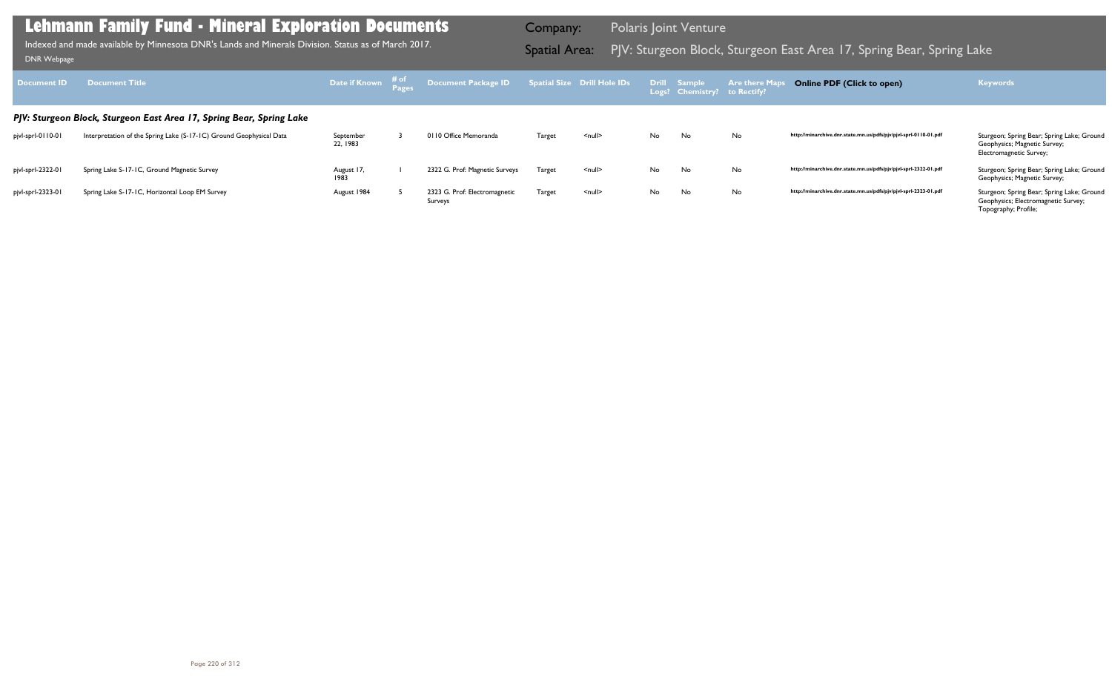| Document ID       | <b>Document Title</b>                                                |                       |                                          |               |                    |    | Logs? Chemistry? to Rectify? | <b>Are there Ma</b> | <b>Online PDF (Click to open)</b>                                | <b>Keywords</b>                                                                                       |
|-------------------|----------------------------------------------------------------------|-----------------------|------------------------------------------|---------------|--------------------|----|------------------------------|---------------------|------------------------------------------------------------------|-------------------------------------------------------------------------------------------------------|
|                   | PJV: Sturgeon Block, Sturgeon East Area 17, Spring Bear, Spring Lake |                       |                                          |               |                    |    |                              |                     |                                                                  |                                                                                                       |
| pjvl-sprl-0110-01 | Interpretation of the Spring Lake (S-17-1C) Ground Geophysical Data  | September<br>22, 1983 | 0110 Office Memoranda                    | Target        | <null></null>      | No | No                           | No                  | http://minarchive.dnr.state.mn.us/pdfs/pjv/pjvl-sprl-0110-01.pdf | Sturgeon; Spring Bear; Spring Lake; Ground<br>Geophysics; Magnetic Survey;<br>Electromagnetic Survey; |
| pjvl-sprl-2322-01 | Spring Lake S-17-1C, Ground Magnetic Survey                          | August 17,<br>1983    | 2322 G. Prof: Magnetic Surveys           | <b>Target</b> | $\leq$ null $\geq$ | No | No                           | No                  | http://minarchive.dnr.state.mn.us/pdfs/pjv/pjvl-sprl-2322-01.pdf | Sturgeon; Spring Bear; Spring Lake; Ground<br>Geophysics; Magnetic Survey;                            |
| pjvl-sprl-2323-01 | Spring Lake S-17-1C, Horizontal Loop EM Survey                       | August 1984           | 2323 G. Prof: Electromagnetic<br>Surveys | Target        | $\leq$ null $\geq$ | No | No                           | No                  | http://minarchive.dnr.state.mn.us/pdfs/pjv/pjvl-sprl-2323-01.pdf | Sturgeon; Spring Bear; Spring Lake; Ground<br>Geophysics; Electromagnetic Survey;                     |

Topography; Profile;

### **Lehmann Family Fund - Mineral Exploration Documents**

Indexed and made available by Minnesota DNR's Lands and Minerals Division. Status as of March 2017. Sammer Spatial Area: PJV: Sturgeon Block, Sturgeon East Area 17, Spring Bear, Spring Lake DNR Webpage Indexed and made available by Minnesota DNR's Lands and Minerals Division. Status as of March 2017.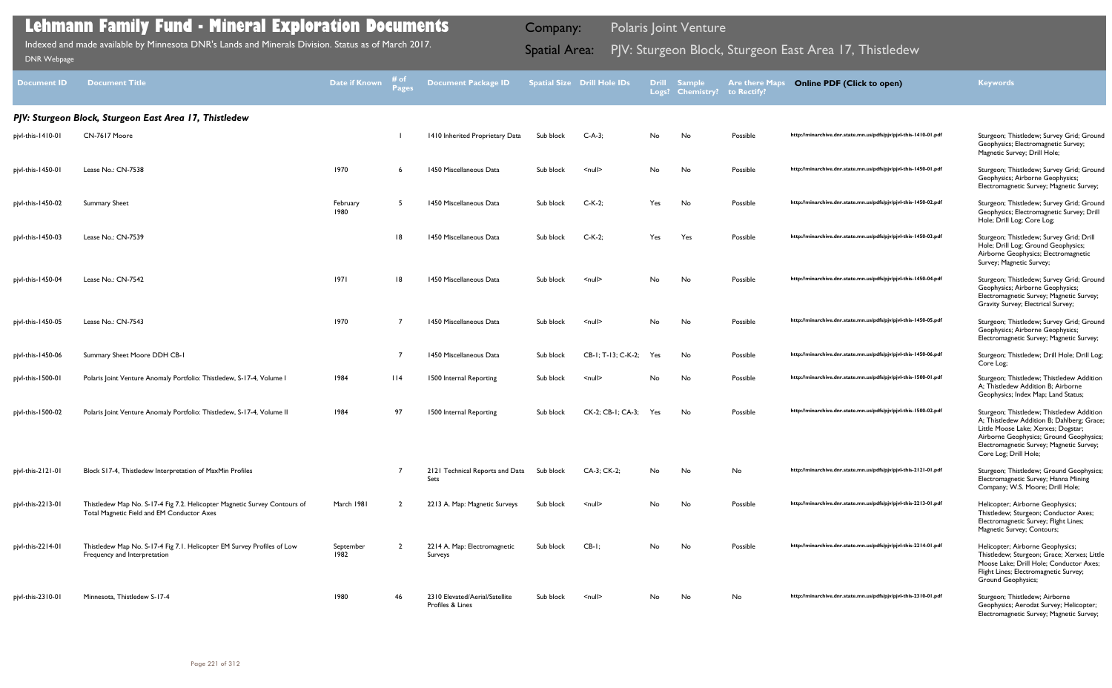| Document ID       | Document Title                                                                                                          | Date if Known     | Pages | <b>Document Package ID</b>                         |           | <b>Spatial Size Drill Hole IDs</b> |     | Drill Sample<br>Logs? Chemistry? | <b>Are there Maps</b><br>to Rectify? | <b>Online PDF (Click to open)</b>                                | <b>Keywords</b>                                                                                                                                                                                                                                |
|-------------------|-------------------------------------------------------------------------------------------------------------------------|-------------------|-------|----------------------------------------------------|-----------|------------------------------------|-----|----------------------------------|--------------------------------------|------------------------------------------------------------------|------------------------------------------------------------------------------------------------------------------------------------------------------------------------------------------------------------------------------------------------|
|                   | PJV: Sturgeon Block, Sturgeon East Area 17, Thistledew                                                                  |                   |       |                                                    |           |                                    |     |                                  |                                      |                                                                  |                                                                                                                                                                                                                                                |
| pjvl-this-1410-01 | CN-7617 Moore                                                                                                           |                   |       | 1410 Inherited Proprietary Data                    | Sub block | $C-A-3;$                           | No  | No                               | Possible                             | http://minarchive.dnr.state.mn.us/pdfs/pjv/pjvl-this-1410-01.pdf | Sturgeon; Thistledew; Survey Grid; Ground<br>Geophysics; Electromagnetic Survey;<br>Magnetic Survey; Drill Hole;                                                                                                                               |
| pjvl-this-1450-01 | Lease No.: CN-7538                                                                                                      | 1970              |       | 1450 Miscellaneous Data                            | Sub block | $null$                             | No  | No                               | Possible                             | http://minarchive.dnr.state.mn.us/pdfs/pjv/pjvl-this-1450-01.pdf | Sturgeon; Thistledew; Survey Grid; Ground<br>Geophysics; Airborne Geophysics;<br>Electromagnetic Survey; Magnetic Survey;                                                                                                                      |
| pjvl-this-1450-02 | <b>Summary Sheet</b>                                                                                                    | February<br>1980  | -5    | 1450 Miscellaneous Data                            | Sub block | $C-K-2;$                           | Yes | No                               | Possible                             | http://minarchive.dnr.state.mn.us/pdfs/pjv/pjvl-this-1450-02.pdf | Sturgeon; Thistledew; Survey Grid; Ground<br>Geophysics; Electromagnetic Survey; Drill<br>Hole; Drill Log; Core Log;                                                                                                                           |
| pjvl-this-1450-03 | Lease No.: CN-7539                                                                                                      |                   | 8     | 1450 Miscellaneous Data                            | Sub block | $C-K-2;$                           | Yes | Yes                              | Possible                             | http://minarchive.dnr.state.mn.us/pdfs/pjv/pjvl-this-1450-03.pdf | Sturgeon; Thistledew; Survey Grid; Drill<br>Hole; Drill Log; Ground Geophysics;<br>Airborne Geophysics; Electromagnetic<br>Survey; Magnetic Survey;                                                                                            |
| pjvl-this-1450-04 | Lease No.: CN-7542                                                                                                      | 1971              | 18    | 1450 Miscellaneous Data                            | Sub block | $\leq$ null $\geq$                 | No  | No                               | Possible                             | http://minarchive.dnr.state.mn.us/pdfs/pjv/pjvl-this-1450-04.pdf | Sturgeon; Thistledew; Survey Grid; Ground<br>Geophysics; Airborne Geophysics;<br>Electromagnetic Survey; Magnetic Survey;<br>Gravity Survey; Electrical Survey;                                                                                |
| pjvl-this-1450-05 | Lease No.: CN-7543                                                                                                      | 1970              | - 7   | 1450 Miscellaneous Data                            | Sub block | $\leq$ null $\geq$                 | No. | No                               | Possible                             | http://minarchive.dnr.state.mn.us/pdfs/pjv/pjvl-this-1450-05.pdf | Sturgeon; Thistledew; Survey Grid; Ground<br>Geophysics; Airborne Geophysics;<br>Electromagnetic Survey; Magnetic Survey;                                                                                                                      |
| pjvl-this-1450-06 | Summary Sheet Moore DDH CB-1                                                                                            |                   | -7    | 1450 Miscellaneous Data                            | Sub block | CB-1; T-13; C-K-2;                 | Yes | No                               | Possible                             | http://minarchive.dnr.state.mn.us/pdfs/pjv/pjvl-this-1450-06.pdf | Sturgeon; Thistledew; Drill Hole; Drill Log;<br>Core Log;                                                                                                                                                                                      |
| pjvl-this-1500-01 | Polaris Joint Venture Anomaly Portfolio: Thistledew, S-17-4, Volume I                                                   | 1984              | 114   | 1500 Internal Reporting                            | Sub block | $null$                             | No  | No                               | Possible                             | http://minarchive.dnr.state.mn.us/pdfs/pjv/pjvl-this-1500-01.pdf | Sturgeon; Thistledew; Thistledew Addition<br>A; Thistledew Addition B; Airborne<br>Geophysics; Index Map; Land Status;                                                                                                                         |
| pjvl-this-1500-02 | Polaris Joint Venture Anomaly Portfolio: Thistledew, S-17-4, Volume II                                                  | 1984              | 97    | 1500 Internal Reporting                            | Sub block | CK-2; CB-1; CA-3;                  | Yes | No                               | Possible                             | http://minarchive.dnr.state.mn.us/pdfs/pjv/pjvl-this-1500-02.pdf | Sturgeon; Thistledew; Thistledew Addition<br>A; Thistledew Addition B; Dahlberg; Grace;<br>Little Moose Lake; Xerxes; Dogstar;<br>Airborne Geophysics; Ground Geophysics;<br>Electromagnetic Survey; Magnetic Survey;<br>Core Log; Drill Hole; |
| pjvl-this-2121-01 | Block S17-4, Thistledew Interpretation of MaxMin Profiles                                                               |                   |       | 2121 Technical Reports and Data Sub block<br>Sets  |           | CA-3; CK-2;                        | No. | No                               | No                                   | http://minarchive.dnr.state.mn.us/pdfs/pjv/pjvl-this-2121-01.pdf | Sturgeon; Thistledew; Ground Geophysics;<br>Electromagnetic Survey; Hanna Mining<br>Company; W.S. Moore; Drill Hole;                                                                                                                           |
| pjvl-this-2213-01 | Thistledew Map No. S-17-4 Fig 7.2. Helicopter Magnetic Survey Contours of<br>Total Magnetic Field and EM Conductor Axes | March 1981        |       | 2213 A. Map: Magnetic Surveys                      | Sub block | $null$                             | No  | No                               | Possible                             | http://minarchive.dnr.state.mn.us/pdfs/pjv/pjvl-this-2213-01.pdf | Helicopter; Airborne Geophysics;<br>Thistledew; Sturgeon; Conductor Axes;<br>Electromagnetic Survey; Flight Lines;<br>Magnetic Survey; Contours;                                                                                               |
| pjvl-this-2214-01 | Thistledew Map No. S-17-4 Fig 7.1. Helicopter EM Survey Profiles of Low<br>Frequency and Interpretation                 | September<br>1982 |       | 2214 A. Map: Electromagnetic<br>Surveys            | Sub block | $CB-I;$                            | No  | No                               | Possible                             | http://minarchive.dnr.state.mn.us/pdfs/pjv/pjvl-this-2214-01.pdf | Helicopter; Airborne Geophysics;<br>Thistledew; Sturgeon; Grace; Xerxes; Little<br>Moose Lake: Drill Hole: Conductor Axes:<br>Flight Lines; Electromagnetic Survey;<br><b>Ground Geophysics;</b>                                               |
| pjvl-this-2310-01 | Minnesota, Thistledew S-17-4                                                                                            | 1980              | 46    | 2310 Elevated/Aerial/Satellite<br>Profiles & Lines | Sub block | $\leq$ null $\geq$                 | No  | No                               | No                                   | http://minarchive.dnr.state.mn.us/pdfs/pjv/pjvl-this-2310-01.pdf | Sturgeon; Thistledew; Airborne<br>Geophysics; Aerodat Survey; Helicopter;<br>Electromagnetic Survey; Magnetic Survey;                                                                                                                          |

Indexed and made available by Minnesota DNR's Lands and Minerals Division. Status as of March 2017. Sammer Spatial Area: PJV: Sturgeon Block, Sturgeon East Area 17, Thistledew DNR Webpage Indexed and made available by Minnesota DNR's Lands and Minerals Division. Status as of March 2017.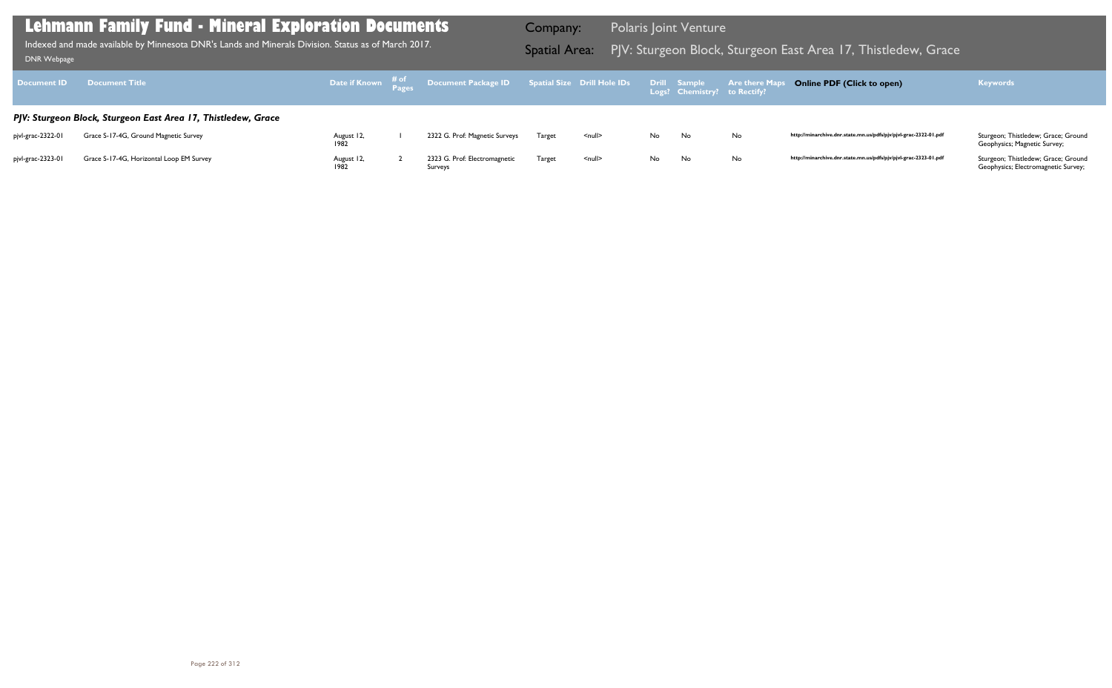Geophysics; Magnetic Survey;

| Document ID       | <b>Document Title</b>                                         |                    | Date if Known # <sup>of</sup> Document Package ID Spatial Size Drill Hole IDs |        |                    |     | Drill Sample<br>Logs? Chemistry? to Rectify? | <b>Are there Maps</b> |
|-------------------|---------------------------------------------------------------|--------------------|-------------------------------------------------------------------------------|--------|--------------------|-----|----------------------------------------------|-----------------------|
|                   | PJV: Sturgeon Block, Sturgeon East Area 17, Thistledew, Grace |                    |                                                                               |        |                    |     |                                              |                       |
| pjvl-grac-2322-01 | Grace S-17-4G, Ground Magnetic Survey                         | August 12,<br>1982 | 2322 G. Prof: Magnetic Surveys                                                | Target | $\leq$ null $\geq$ | No. | No                                           | No                    |
| pivl-grac-2323-01 | Grace S-17-4G, Horizontal Loop EM Survey                      | August 12,<br>1982 | 2323 G. Prof: Electromagnetic<br>Surveys                                      | Target | $\leq$ null $\geq$ | No. | No                                           | No                    |

Geophysics; Electromagnetic Survey;

### **Lehmann Family Fund - Mineral Exploration Documents**

Indexed and made available by Minnesota DNR's Lands and Minerals Division. Status as of March 2017. **Spatial Area:** PJV: Sturgeon Block, Sturgeon East Area 17, Thistledew, Grace <sub>DNR Webpage</sub> Indexed and made available by Minnesota DNR's Lands and Minerals Division. Status as of March 2017.

Company: Polaris Joint Venture

### **Online PDF (Click to open) Keywords**

http://minarchive.dnr.state.mn.us/pdfs/pjv/pjvl-grac-2322-01.pdf Sturgeon; Thistledew; Grace; Ground

http://minarchive.dnr.state.mn.us/pdfs/pjv/pjvl-grac-2323-01.pdf Sturgeon; Thistledew; Grace; Ground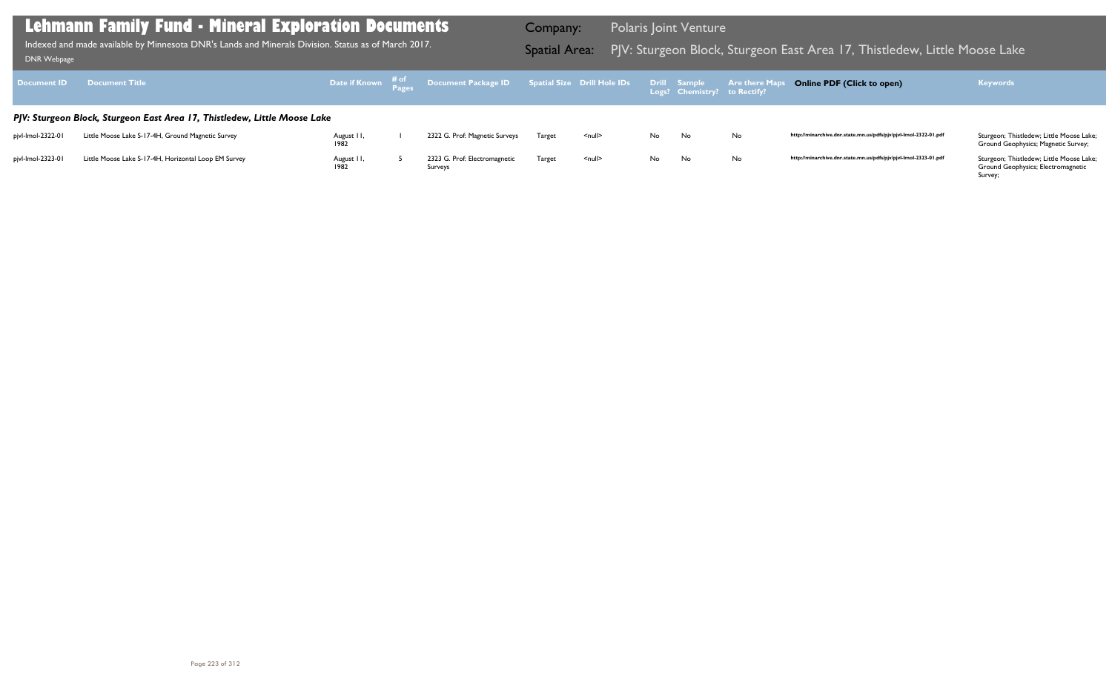Ground Geophysics; Magnetic Survey;

### *PJV: Sturgeon Block, Sturgeon East Area 17, Thistledew, Little Moose Lake* pjvl-lmol-2322-01 Little Moose Lake S-17-4H, Ground Magnetic Survey August 11,<br>1982 1 2322 G. Prof: Magnetic Surveys Target <null> No No No **http://minarchive.dnr.state.mn.us/pdfs/pjv/pjvl-lmol-2322-01.pdf** Sturgeon; Thistledew; Little Moose Lake; pjvl-lmol-2323-01 Little Moose Lake S-17-4H, Horizontal Loop EM Survey August II,<br>1982 5 2323 G. Prof: Electromagnetic Target <null> No No No **http://minarchive.dnr.state.mn.us/pdfs/pjv/pjvl-lmol-2323-01.pdf** Sturgeon; Thistledew; Little Moose Lake; **Document ID Document Title Date if Known # of Pages Document Package ID Spatial Size Drill Hole IDs Drill Logs? Sample Chemistry? Are there Maps to Rectify? Online PDF (Click to open) Keywords Lehmann Family Fund - Mineral Exploration Documents** Indexed and made available by Minnesota DNR's Lands and Minerals Division. Status as of March 2017. Spatial Area: PJV: Sturgeon Block, Sturgeon East Area 17, Thistledew, Little Moose Lake DNR Webpage Company: Polaris Joint Venture Indexed and made available by Minnesota DNR's Lands and Minerals Division. Status as of March 2017.

Surveys

Ground Geophysics; Electromagnetic Survey;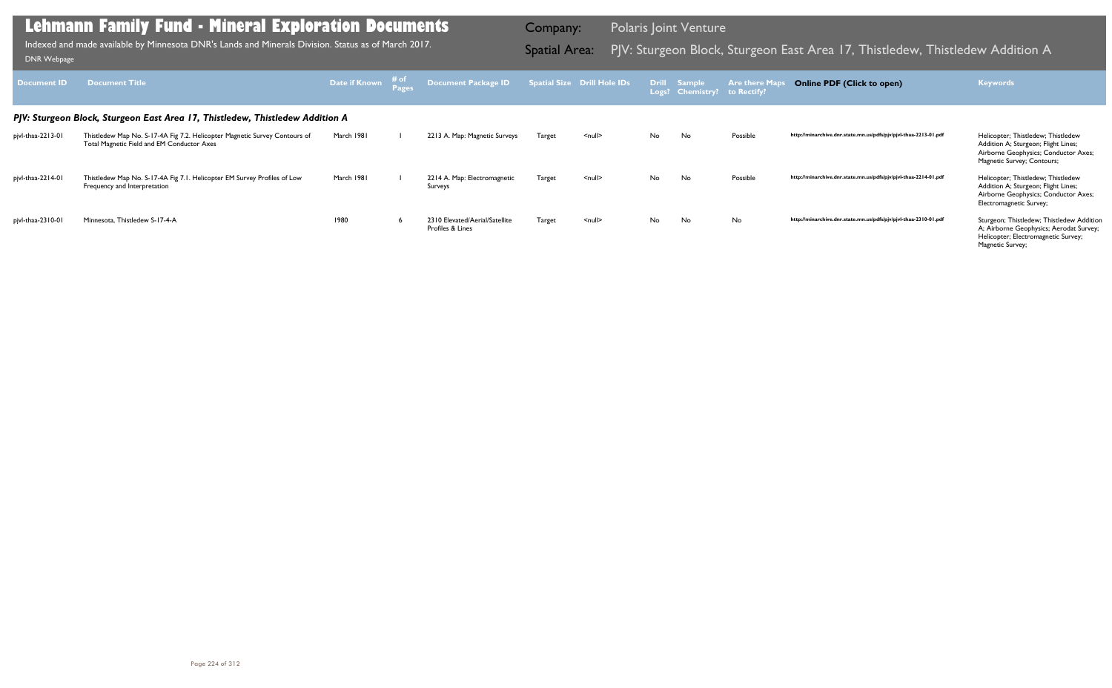| Document ID                                                                   | <b>Document Title</b>                                                                                                    | <b>Date if Known</b> # of |  | Document Package ID    Spatial Size    Drill Hole IDs |        |               |    | Drill Sample<br>Logs? Chemistry? to Rectify? | <b>Are there Maps</b> | <b>Online PDF (Click to open)</b>                                | <b>Keywords</b>                                                                                                                                 |  |  |
|-------------------------------------------------------------------------------|--------------------------------------------------------------------------------------------------------------------------|---------------------------|--|-------------------------------------------------------|--------|---------------|----|----------------------------------------------|-----------------------|------------------------------------------------------------------|-------------------------------------------------------------------------------------------------------------------------------------------------|--|--|
| PJV: Sturgeon Block, Sturgeon East Area 17, Thistledew, Thistledew Addition A |                                                                                                                          |                           |  |                                                       |        |               |    |                                              |                       |                                                                  |                                                                                                                                                 |  |  |
| pjvl-thaa-2213-01                                                             | Thistledew Map No. S-17-4A Fig 7.2. Helicopter Magnetic Survey Contours of<br>Total Magnetic Field and EM Conductor Axes | March 1981                |  | 2213 A. Map: Magnetic Surveys                         | Target | <null></null> | No | No.                                          | Possible              | http://minarchive.dnr.state.mn.us/pdfs/pjv/pjvl-thaa-2213-01.pdf | Helicopter; Thistledew; Thistledew<br>Addition A; Sturgeon; Flight Lines;<br>Airborne Geophysics; Conductor Axes;<br>Magnetic Survey; Contours; |  |  |
| pjvl-thaa-2214-01                                                             | Thistledew Map No. S-17-4A Fig 7.1. Helicopter EM Survey Profiles of Low<br>Frequency and Interpretation                 | March 1981                |  | 2214 A. Map: Electromagnetic<br>Surveys               | Target | $null$        | No | <b>No</b>                                    | Possible              | http://minarchive.dnr.state.mn.us/pdfs/pjv/pjvl-thaa-2214-01.pdf | Helicopter; Thistledew; Thistledew<br>Addition A; Sturgeon; Flight Lines;<br>Airborne Geophysics; Conductor Axes;<br>Electromagnetic Survey;    |  |  |
| pjvl-thaa-2310-01                                                             | Minnesota, Thistledew S-17-4-A                                                                                           | 1980                      |  | 2310 Elevated/Aerial/Satellite<br>Profiles & Lines    | Target | <null></null> | No | No                                           | No                    | http://minarchive.dnr.state.mn.us/pdfs/pjv/pjvl-thaa-2310-01.pdf | Sturgeon; Thistledew; Thistledew Addition<br>A; Airborne Geophysics; Aerodat Survey;<br>Helicopter; Electromagnetic Survey;<br>Magnetic Survey; |  |  |

Indexed and made available by Minnesota DNR's Lands and Minerals Division. Status as of March 2017. Spatial Area: PJV: Sturgeon Block, Sturgeon East Area 17, Thistledew, Thistledew Addition A Indexed and made available by Indexed and made available by Minnesota DNR's Lands and Minerals Division. Status as of March 2017.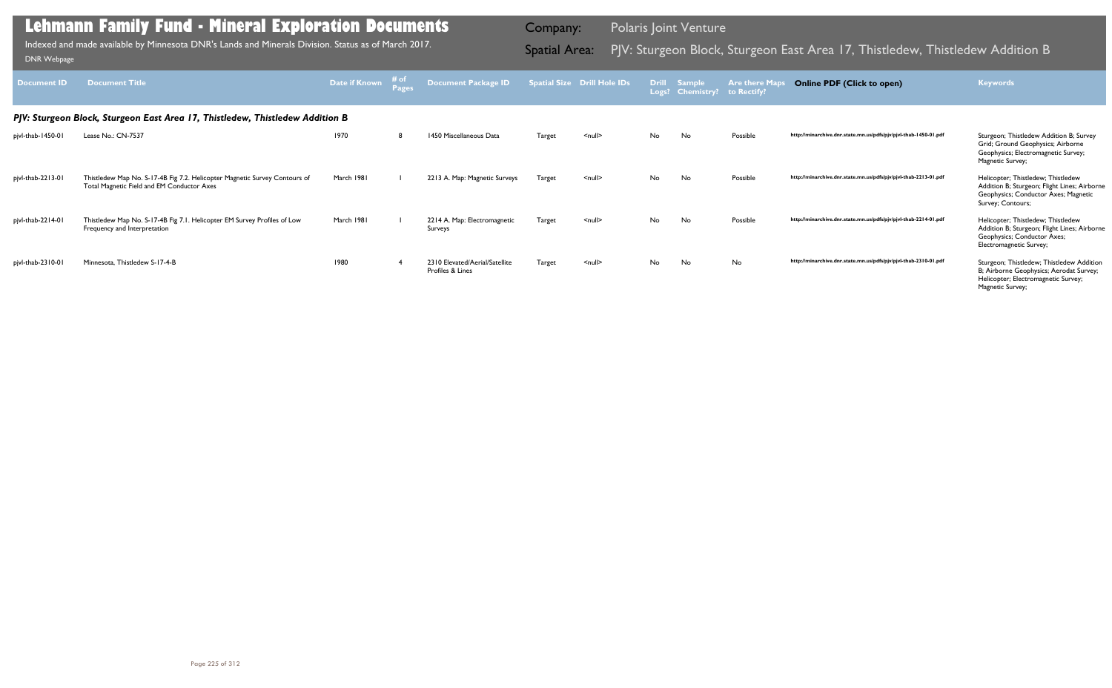| Document ID                                                                   | <b>Document Title</b>                                                                                                    | Date if Known | $# of\nPages$ | <b>Document Package ID</b>                         |        | <b>Spatial Size Drill Hole IDs</b> |           | Drill Sample<br>Logs? Chemistry? | <b>Are there Maps</b><br>to Rectify? | <b>Online PDF (Click to open)</b>                                | <b>Keywords</b>                                                                                                                                 |  |  |  |
|-------------------------------------------------------------------------------|--------------------------------------------------------------------------------------------------------------------------|---------------|---------------|----------------------------------------------------|--------|------------------------------------|-----------|----------------------------------|--------------------------------------|------------------------------------------------------------------|-------------------------------------------------------------------------------------------------------------------------------------------------|--|--|--|
| PJV: Sturgeon Block, Sturgeon East Area 17, Thistledew, Thistledew Addition B |                                                                                                                          |               |               |                                                    |        |                                    |           |                                  |                                      |                                                                  |                                                                                                                                                 |  |  |  |
| pjvl-thab-1450-01                                                             | Lease No.: CN-7537                                                                                                       | 1970          | 8             | 1450 Miscellaneous Data                            | Target | $\leq$ null $\geq$                 | No.       | No                               | Possible                             | http://minarchive.dnr.state.mn.us/pdfs/pjv/pjvl-thab-1450-01.pdf | Sturgeon; Thistledew Addition B; Survey<br>Grid; Ground Geophysics; Airborne<br>Geophysics; Electromagnetic Survey;<br>Magnetic Survey;         |  |  |  |
| pjvl-thab-2213-01                                                             | Thistledew Map No. S-17-4B Fig 7.2. Helicopter Magnetic Survey Contours of<br>Total Magnetic Field and EM Conductor Axes | March 1981    |               | 2213 A. Map: Magnetic Surveys                      | Target | $\leq$ null $\geq$                 | <b>No</b> | No                               | Possible                             | http://minarchive.dnr.state.mn.us/pdfs/pjv/pjvl-thab-2213-01.pdf | Helicopter; Thistledew; Thistledew<br>Addition B; Sturgeon; Flight Lines; Airborne<br>Geophysics; Conductor Axes; Magnetic<br>Survey; Contours; |  |  |  |
| pjvl-thab-2214-01                                                             | Thistledew Map No. S-17-4B Fig 7.1. Helicopter EM Survey Profiles of Low<br>Frequency and Interpretation                 | March 1981    |               | 2214 A. Map: Electromagnetic<br>Surveys            | Target | $\leq$ null $\geq$                 | No.       | <b>No</b>                        | Possible                             | http://minarchive.dnr.state.mn.us/pdfs/pjv/pjvl-thab-2214-01.pdf | Helicopter; Thistledew; Thistledew<br>Addition B; Sturgeon; Flight Lines; Airborne<br>Geophysics; Conductor Axes;<br>Electromagnetic Survey;    |  |  |  |
| pjvl-thab-2310-01                                                             | Minnesota, Thistledew S-17-4-B                                                                                           | 1980          |               | 2310 Elevated/Aerial/Satellite<br>Profiles & Lines | Target | $\leq$ null $\geq$                 | No.       | No                               | No                                   | http://minarchive.dnr.state.mn.us/pdfs/pjv/pjvl-thab-2310-01.pdf | Sturgeon; Thistledew; Thistledew Addition<br>B; Airborne Geophysics; Aerodat Survey;<br>Helicopter; Electromagnetic Survey;<br>Magnetic Survey; |  |  |  |

Indexed and made available by Minnesota DNR's Lands and Minerals Division. Status as of March 2017. Sand Spatial Area: PJV: Sturgeon Block, Sturgeon East Area 17, Thistledew, Thistledew Addition B DNR Webpage Indexed and made available by Minnesota DNR's Lands and Minerals Division. Status as of March 2017.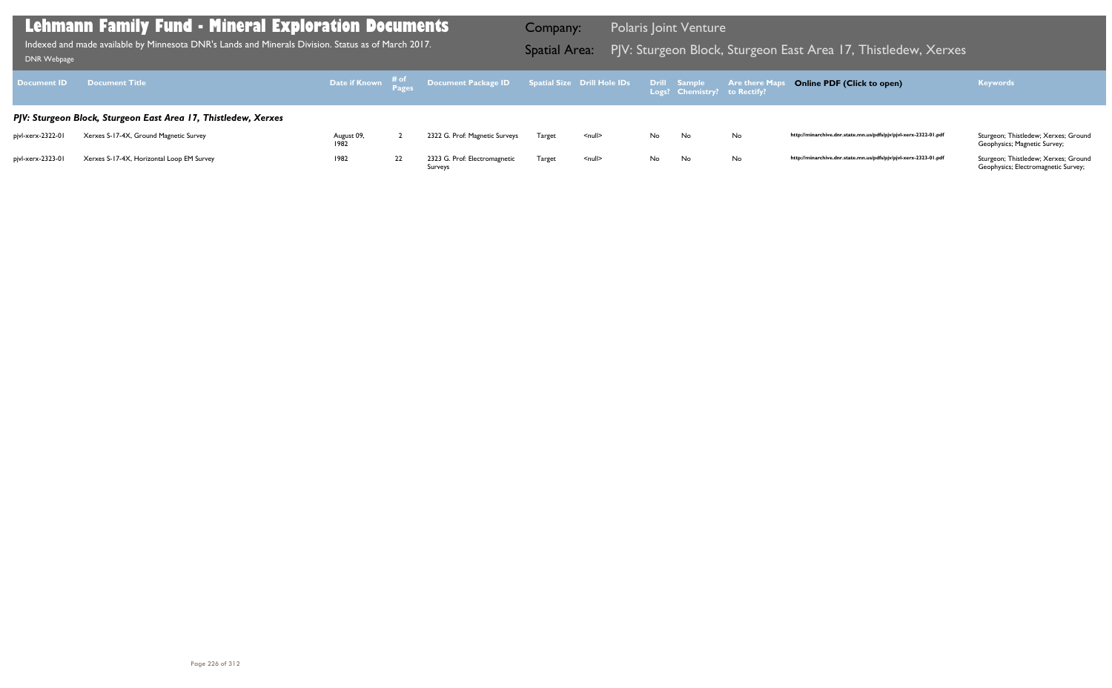Geophysics; Magnetic Survey;

| <b>Document ID</b> | <b>Document Title</b>                                          |                    |    | Date if Known # <sup>of</sup> Document Package ID Spatial Size Drill Hole IDs |        |                    |     | Drill Sample<br>Logs? Chemistry? to Rectify? | <b>Are there Maps</b> |
|--------------------|----------------------------------------------------------------|--------------------|----|-------------------------------------------------------------------------------|--------|--------------------|-----|----------------------------------------------|-----------------------|
|                    | PJV: Sturgeon Block, Sturgeon East Area 17, Thistledew, Xerxes |                    |    |                                                                               |        |                    |     |                                              |                       |
| pivl-xerx-2322-01  | Xerxes S-17-4X, Ground Magnetic Survey                         | August 09,<br>1982 |    | 2322 G. Prof: Magnetic Surveys                                                | Target | $\leq$ null $\geq$ | No. | No.                                          | No                    |
| pjvl-xerx-2323-01  | Xerxes S-17-4X, Horizontal Loop EM Survey                      | 1982               | 22 | 2323 G. Prof: Electromagnetic<br>Surveys                                      | Target | $\leq$ null $\geq$ | No. | No                                           | No                    |

Geophysics; Electromagnetic Survey;

### **Lehmann Family Fund - Mineral Exploration Documents**

Indexed and made available by Minnesota DNR's Lands and Minerals Division. Status as of March 2017. Spatial Area: PJV: Sturgeon Block, Sturgeon East Area 17, Thistledew, Xerxes ו-DNR Webpage Indexed and made available by Minnesota DNR's Lands and Minerals Division. Status as of March 2017.

Company: Polaris Joint Venture

### **Online PDF (Click to open) Keywords**

http://minarchive.dnr.state.mn.us/pdfs/pjv/pjvl-xerx-2322-01.pdf Sturgeon; Thistledew; Xerxes; Ground

http://minarchive.dnr.state.mn.us/pdfs/pjv/pjvl-xerx-2323-01.pdf Sturgeon; Thistledew; Xerxes; Ground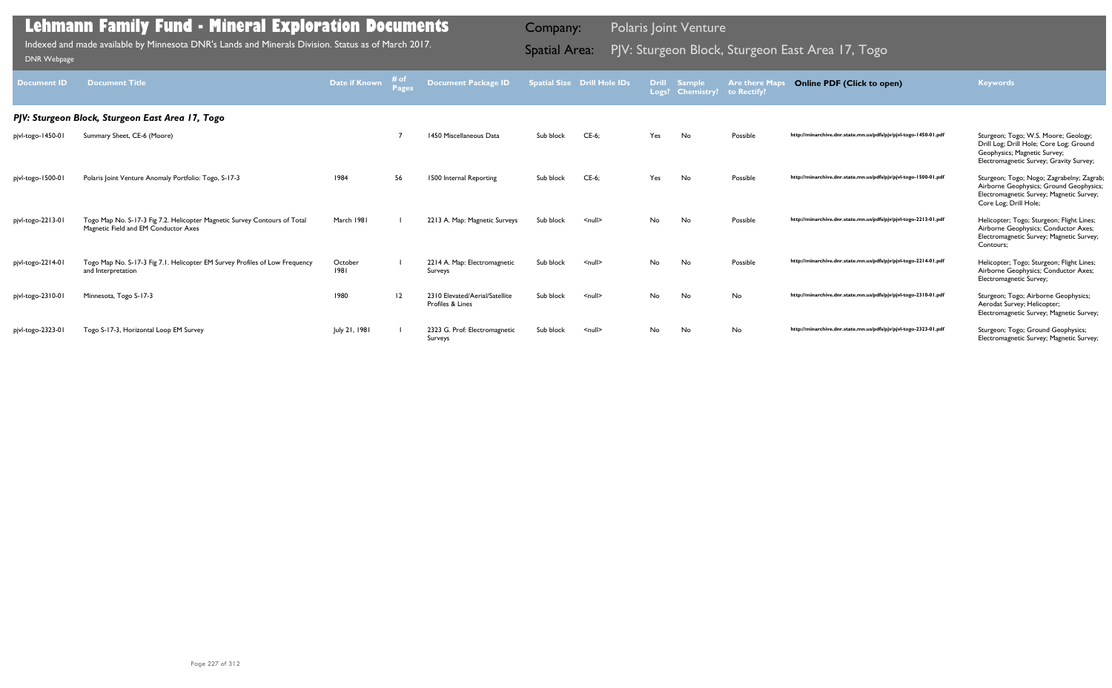| <b>Document ID</b> | <b>Document Title</b>                                                                                             | Date if Known   | # of | <b>Document Package ID</b>                         |           | <b>Spatial Size Drill Hole IDs</b> | <b>Drill</b> | <b>Sample</b><br>Logs? Chemistry? | <b>Are there Maps</b><br>to Rectify? | <b>Online PDF (Click to open)</b>                                | <b>Keywords</b>                                                                                                                                            |  |  |  |  |
|--------------------|-------------------------------------------------------------------------------------------------------------------|-----------------|------|----------------------------------------------------|-----------|------------------------------------|--------------|-----------------------------------|--------------------------------------|------------------------------------------------------------------|------------------------------------------------------------------------------------------------------------------------------------------------------------|--|--|--|--|
|                    | PJV: Sturgeon Block, Sturgeon East Area 17, Togo                                                                  |                 |      |                                                    |           |                                    |              |                                   |                                      |                                                                  |                                                                                                                                                            |  |  |  |  |
| pjvl-togo-1450-01  | Summary Sheet, CE-6 (Moore)                                                                                       |                 |      | 1450 Miscellaneous Data                            | Sub block | $CE-6;$                            | Yes          | No                                | Possible                             | http://minarchive.dnr.state.mn.us/pdfs/pjv/pjvl-togo-1450-01.pdf | Sturgeon; Togo; W.S. Moore; Geology;<br>Drill Log; Drill Hole; Core Log; Ground<br>Geophysics; Magnetic Survey;<br>Electromagnetic Survey; Gravity Survey; |  |  |  |  |
| pjvl-togo-1500-01  | Polaris Joint Venture Anomaly Portfolio: Togo, S-17-3                                                             | 1984            | 56   | 1500 Internal Reporting                            | Sub block | $CE-6;$                            | Yes          | No                                | Possible                             | http://minarchive.dnr.state.mn.us/pdfs/pjv/pjvl-togo-1500-01.pdf | Sturgeon; Togo; Nogo; Zagrabelny; Zagrab;<br>Airborne Geophysics; Ground Geophysics;<br>Electromagnetic Survey; Magnetic Survey;<br>Core Log; Drill Hole;  |  |  |  |  |
| pjvl-togo-2213-01  | Togo Map No. S-17-3 Fig 7.2. Helicopter Magnetic Survey Contours of Total<br>Magnetic Field and EM Conductor Axes | March 1981      |      | 2213 A. Map: Magnetic Surveys                      | Sub block | $\leq$ null $\geq$                 | No.          | No                                | Possible                             | http://minarchive.dnr.state.mn.us/pdfs/pjv/pjvl-togo-2213-01.pdf | Helicopter; Togo; Sturgeon; Flight Lines;<br>Airborne Geophysics; Conductor Axes;<br>Electromagnetic Survey; Magnetic Survey;<br>Contours;                 |  |  |  |  |
| pjvl-togo-2214-01  | Togo Map No. S-17-3 Fig 7.1. Helicopter EM Survey Profiles of Low Frequency<br>and Interpretation                 | October<br>1981 |      | 2214 A. Map: Electromagnetic<br>Surveys            | Sub block | $\leq$ null $\geq$                 | No           | No                                | Possible                             | http://minarchive.dnr.state.mn.us/pdfs/pjv/pjvl-togo-2214-01.pdf | Helicopter; Togo; Sturgeon; Flight Lines;<br>Airborne Geophysics; Conductor Axes;<br>Electromagnetic Survey;                                               |  |  |  |  |
| pjvl-togo-2310-01  | Minnesota, Togo S-17-3                                                                                            | 1980            | 12   | 2310 Elevated/Aerial/Satellite<br>Profiles & Lines | Sub block | $\leq$ null $\geq$                 | No.          | No                                | No                                   | http://minarchive.dnr.state.mn.us/pdfs/pjv/pjvl-togo-2310-01.pdf | Sturgeon; Togo; Airborne Geophysics;<br>Aerodat Survey; Helicopter;<br>Electromagnetic Survey; Magnetic Survey;                                            |  |  |  |  |
| pjvl-togo-2323-01  | Togo S-17-3, Horizontal Loop EM Survey                                                                            | July 21, 1981   |      | 2323 G. Prof: Electromagnetic<br>Surveys           | Sub block | $\leq$ null $\geq$                 | No           | No                                | No                                   | http://minarchive.dnr.state.mn.us/pdfs/pjv/pjvl-togo-2323-01.pdf | Sturgeon; Togo; Ground Geophysics;<br>Electromagnetic Survey; Magnetic Survey;                                                                             |  |  |  |  |

Indexed and made available by Minnesota DNR's Lands and Minerals Division. Status as of March 2017. **Spatial Area:** PJV: Sturgeon Block, Sturgeon East Area 17, Togo <sub>DNR Webpage</sub> Indexed and made available by Minnesota DNR's Lands and Minerals Division. Status as of March 2017.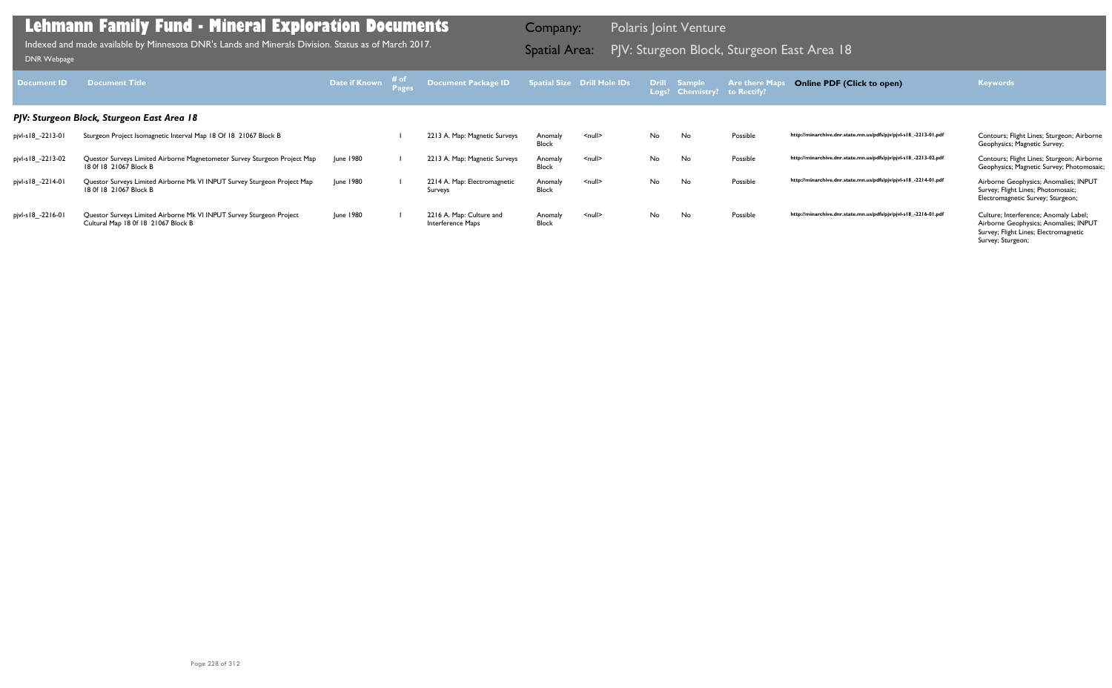| Document <b>ID</b> | <b>Document Title</b>                                                                                       | Date if Known | ≉ of | Document Package ID                           |                         | Spatial Size Drill Hole IDs |           | Drill Sample<br>Logs? Chemistry? | <b>Are there Maps</b><br>to Rectify? | <b>Online PDF (Click to open)</b>                                | <b>Keywords</b>                                                                                                                              |
|--------------------|-------------------------------------------------------------------------------------------------------------|---------------|------|-----------------------------------------------|-------------------------|-----------------------------|-----------|----------------------------------|--------------------------------------|------------------------------------------------------------------|----------------------------------------------------------------------------------------------------------------------------------------------|
|                    | PJV: Sturgeon Block, Sturgeon East Area 18                                                                  |               |      |                                               |                         |                             |           |                                  |                                      |                                                                  |                                                                                                                                              |
| pjvl-s18_-2213-01  | Sturgeon Project Isomagnetic Interval Map 18 Of 18 21067 Block B                                            |               |      | 2213 A. Map: Magnetic Surveys                 | Anomaly<br><b>Block</b> | $\leq$ null $\geq$          | No        | No                               | Possible                             | http://minarchive.dnr.state.mn.us/pdfs/pjv/pjvl-s18_-2213-01.pdf | Contours; Flight Lines; Sturgeon; Airborne<br>Geophysics; Magnetic Survey;                                                                   |
| pjvl-s18_-2213-02  | Questor Surveys Limited Airborne Magnetometer Survey Sturgeon Project Map<br>18 Of 18 21067 Block B         | June 1980     |      | 2213 A. Map: Magnetic Surveys                 | Anomaly<br><b>Block</b> | $\leq$ null $\geq$          | <b>No</b> | No                               | Possible                             | http://minarchive.dnr.state.mn.us/pdfs/pjv/pjvl-s18_-2213-02.pdf | Contours; Flight Lines; Sturgeon; Airborne<br>Geophysics; Magnetic Survey; Photomosaic;                                                      |
| pjvl-s18_-2214-01  | Questor Surveys Limited Airborne Mk VI INPUT Survey Sturgeon Project Map<br>18 Of 18 21067 Block B          | June 1980     |      | 2214 A. Map: Electromagnetic<br>Surveys       | Anomaly<br><b>Block</b> | $null$                      | No        | No                               | Possible                             | http://minarchive.dnr.state.mn.us/pdfs/pjv/pjvl-s18_-2214-01.pdf | Airborne Geophysics; Anomalies; INPUT<br>Survey; Flight Lines; Photomosaic;<br>Electromagnetic Survey; Sturgeon;                             |
| pjvl-s18_-2216-01  | Questor Surveys Limited Airborne Mk VI INPUT Survey Sturgeon Project<br>Cultural Map 18 0f 18 21067 Block B | June 1980     |      | 2216 A. Map: Culture and<br>Interference Maps | Anomaly<br><b>Block</b> | $\leq$ null $\geq$          | No        | No                               | Possible                             | http://minarchive.dnr.state.mn.us/pdfs/pjv/pjvl-s18_-2216-01.pdf | Culture; Interference; Anomaly Label;<br>Airborne Geophysics; Anomalies; INPUT<br>Survey; Flight Lines; Electromagnetic<br>Survey; Sturgeon; |

PJV: Sturgeon Block, Sturgeon East Area 18 Indexed and made available by Minnesota DNR's Lands and Minerals Division. Status as of March 2017. Spatial Area: [DNR Webpage](http://www.dnr.state.mn.us/lands_minerals/polaris/index.html)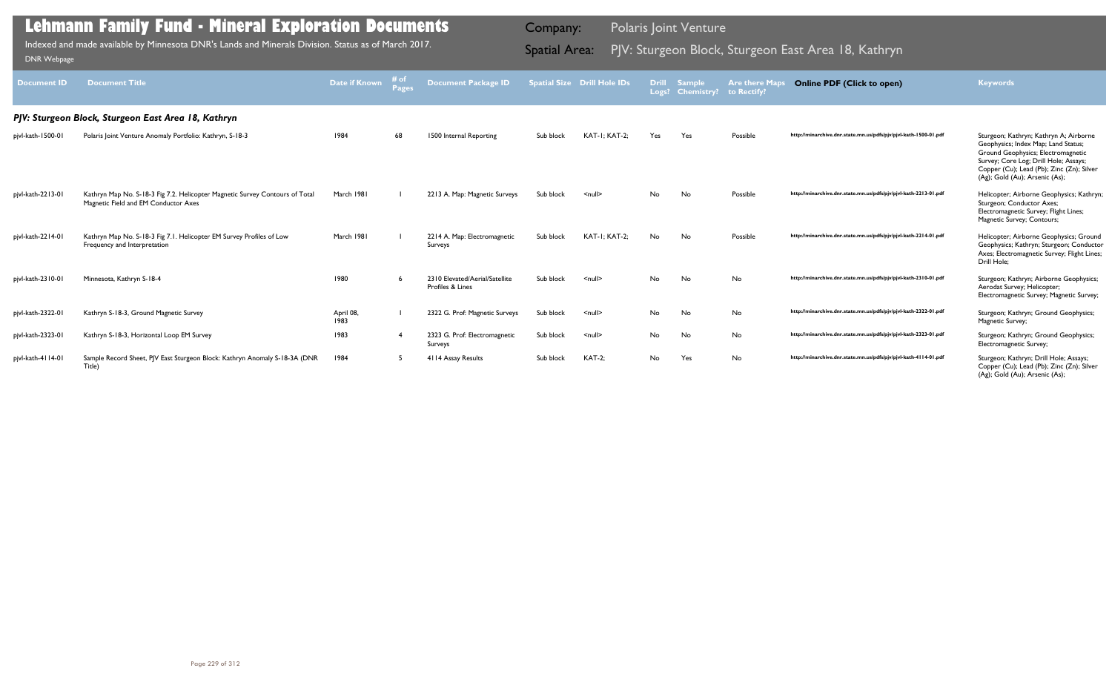| <b>Document ID</b> | <b>Document Title</b>                                                                                                | Date if Known     | # of<br><b>Pages</b> | <b>Document Package ID</b>                         |           | <b>Spatial Size Drill Hole IDs</b> | Logs?     | <b>Drill Sample</b><br><b>Chemistry?</b> | <b>Are there Maps</b><br>to Rectify? | <b>Online PDF (Click to open)</b>                                | <b>Keywords</b>                                                                                                                                                                                                                             |
|--------------------|----------------------------------------------------------------------------------------------------------------------|-------------------|----------------------|----------------------------------------------------|-----------|------------------------------------|-----------|------------------------------------------|--------------------------------------|------------------------------------------------------------------|---------------------------------------------------------------------------------------------------------------------------------------------------------------------------------------------------------------------------------------------|
|                    | PJV: Sturgeon Block, Sturgeon East Area 18, Kathryn                                                                  |                   |                      |                                                    |           |                                    |           |                                          |                                      |                                                                  |                                                                                                                                                                                                                                             |
| pjvl-kath-1500-01  | Polaris Joint Venture Anomaly Portfolio: Kathryn, S-18-3                                                             | 1984              | 68                   | 1500 Internal Reporting                            | Sub block | KAT-I: KAT-2:                      | Yes       | Yes                                      | Possible                             | http://minarchive.dnr.state.mn.us/pdfs/pjv/pjvl-kath-1500-01.pdf | Sturgeon; Kathryn; Kathryn A; Airborne<br>Geophysics; Index Map; Land Status;<br>Ground Geophysics; Electromagnetic<br>Survey; Core Log; Drill Hole; Assays;<br>Copper (Cu); Lead (Pb); Zinc (Zn); Silver<br>(Ag); Gold (Au); Arsenic (As); |
| pjvl-kath-2213-01  | Kathryn Map No. S-18-3 Fig 7.2. Helicopter Magnetic Survey Contours of Total<br>Magnetic Field and EM Conductor Axes | March 1981        |                      | 2213 A. Map: Magnetic Surveys                      | Sub block | $\leq$ null $\geq$                 | No.       | No                                       | Possible                             | http://minarchive.dnr.state.mn.us/pdfs/pjv/pjvl-kath-2213-01.pdf | Helicopter; Airborne Geophysics; Kathryn;<br>Sturgeon; Conductor Axes;<br>Electromagnetic Survey; Flight Lines;<br>Magnetic Survey; Contours;                                                                                               |
| pjvl-kath-2214-01  | Kathryn Map No. S-18-3 Fig 7.1. Helicopter EM Survey Profiles of Low<br>Frequency and Interpretation                 | March 1981        |                      | 2214 A. Map: Electromagnetic<br>Surveys            | Sub block | <b>KAT-I: KAT-2:</b>               | No        | No                                       | Possible                             | http://minarchive.dnr.state.mn.us/pdfs/pjv/pjvl-kath-2214-01.pdf | Helicopter; Airborne Geophysics; Ground<br>Geophysics; Kathryn; Sturgeon; Conductor<br>Axes; Electromagnetic Survey; Flight Lines;<br>Drill Hole;                                                                                           |
| pjvl-kath-2310-01  | Minnesota, Kathryn S-18-4                                                                                            | 1980              |                      | 2310 Elevated/Aerial/Satellite<br>Profiles & Lines | Sub block | $\leq$ null $\geq$                 | <b>No</b> | No                                       | No                                   | http://minarchive.dnr.state.mn.us/pdfs/pjv/pjvl-kath-2310-01.pdf | Sturgeon; Kathryn; Airborne Geophysics;<br>Aerodat Survey; Helicopter;<br>Electromagnetic Survey; Magnetic Survey;                                                                                                                          |
| pjvl-kath-2322-01  | Kathryn S-18-3, Ground Magnetic Survey                                                                               | April 08,<br>1983 |                      | 2322 G. Prof: Magnetic Surveys                     | Sub block | $\leq$ null $\geq$                 | No        | No                                       | No                                   | http://minarchive.dnr.state.mn.us/pdfs/pjv/pjvl-kath-2322-01.pdf | Sturgeon; Kathryn; Ground Geophysics;<br>Magnetic Survey;                                                                                                                                                                                   |
| pjvl-kath-2323-01  | Kathryn S-18-3, Horizontal Loop EM Survey                                                                            | 1983              |                      | 2323 G. Prof: Electromagnetic<br>Surveys           | Sub block | $\leq$ null $\geq$                 | <b>No</b> | No                                       | No                                   | http://minarchive.dnr.state.mn.us/pdfs/pjv/pjvl-kath-2323-01.pdf | Sturgeon; Kathryn; Ground Geophysics;<br>Electromagnetic Survey;                                                                                                                                                                            |
| pjvl-kath-4114-01  | Sample Record Sheet, PJV East Sturgeon Block: Kathryn Anomaly S-18-3A (DNR<br>Title)                                 | 1984              |                      | 4114 Assay Results                                 | Sub block | <b>KAT-2:</b>                      | No        | Yes                                      | No                                   | http://minarchive.dnr.state.mn.us/pdfs/pjv/pjvl-kath-4114-01.pdf | Sturgeon; Kathryn; Drill Hole; Assays;<br>Copper (Cu); Lead (Pb); Zinc (Zn); Silver<br>(Ag); Gold (Au); Arsenic (As);                                                                                                                       |

Indexed and made available by Minnesota DNR's Lands and Minerals Division. Status as of March 2017. Spatial Area: PJV: Sturgeon Block, Sturgeon East Area 18, Kathryn וndexed and made available by Minnesota DNR's Lands and Indexed and made available by Minnesota DNR's Lands and Minerals Division. Status as of March 2017.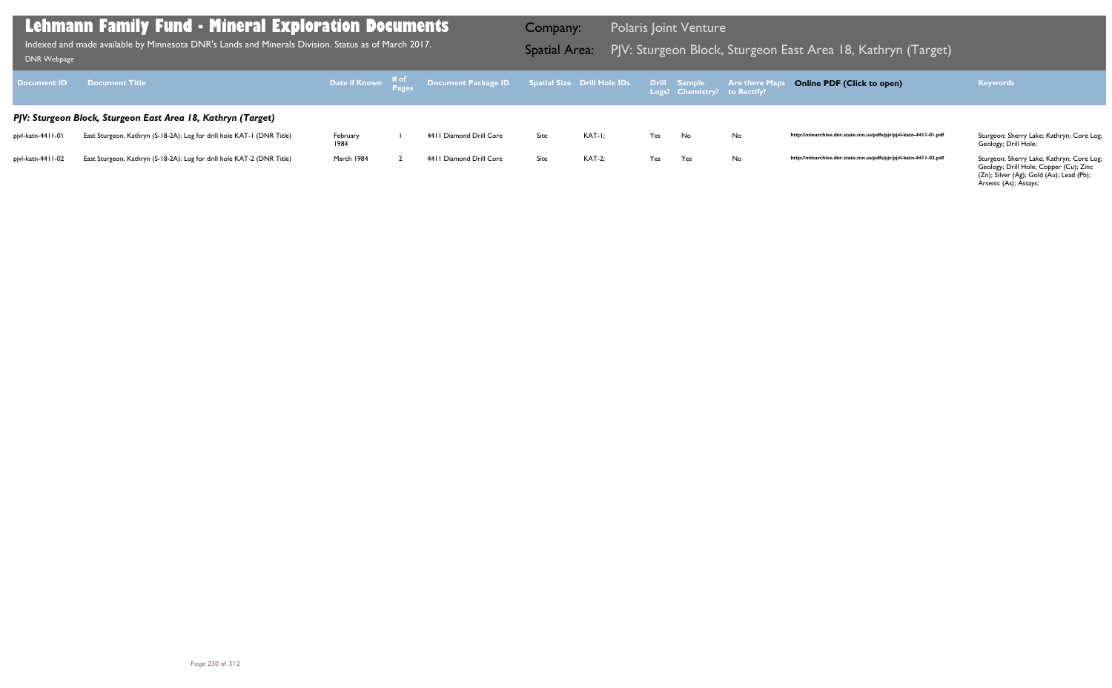| Document <b>ID</b>  | <b>Document Title</b>                                                  |                  | Date if Known # of Document Package ID Spatial Size Drill Hole IDs Drill Sample Are there Maps<br>Logs? Chemistry? to Rectify? |      |               |     |     |    | Online PDF (Click to open)                                       | <b>Keywords</b>                                                   |
|---------------------|------------------------------------------------------------------------|------------------|--------------------------------------------------------------------------------------------------------------------------------|------|---------------|-----|-----|----|------------------------------------------------------------------|-------------------------------------------------------------------|
|                     | PJV: Sturgeon Block, Sturgeon East Area 18, Kathryn (Target)           |                  |                                                                                                                                |      |               |     |     |    |                                                                  |                                                                   |
| pivl-katn-44   I-0  | East Sturgeon, Kathryn (S-18-2A): Log for drill hole KAT-1 (DNR Title) | February<br>1984 | 4411 Diamond Drill Core                                                                                                        | Site | KAT-I:        | Yes | No  | No | http://minarchive.dnr.state.mn.us/pdfs/pjv/pjvl-katn-4411-01.pdf | Sturgeon; Sherry Lake; Kathryn; Core Log;<br>Geology; Drill Hole; |
| pjvl-katn-44   1-02 | East Sturgeon, Kathryn (S-18-2A): Log for drill hole KAT-2 (DNR Title) | March 1984       | 4411 Diamond Drill Core                                                                                                        | Site | <b>KAT-2:</b> | Yes | Yes | No | http://minarchive.dnr.state.mn.us/pdfs/pjv/pjvl-katn-4411-02.pdf | Sturgeon; Sherry Lake; Kathryn; Core Log;                         |

Geology; Drill Hole; Copper (Cu); Zinc (Zn); Silver (Ag); Gold (Au); Lead (Pb); Arsenic (As); Assays;

### **Lehmann Family Fund - Mineral Exploration Documents**

Indexed and made available by Minnesota DNR's Lands and Minerals Division. Status as of March 2017. **Indexed and Area:** PJV: Sturgeon Block, Sturgeon East Area 18, Kathryn (Target)<br>DNR Webpage Indexed and made available by Minnesota DNR's Lands and Minerals Division. Status as of March 2017.

Company: Polaris Joint Venture

### **Online PDF (Click to open) Keywords**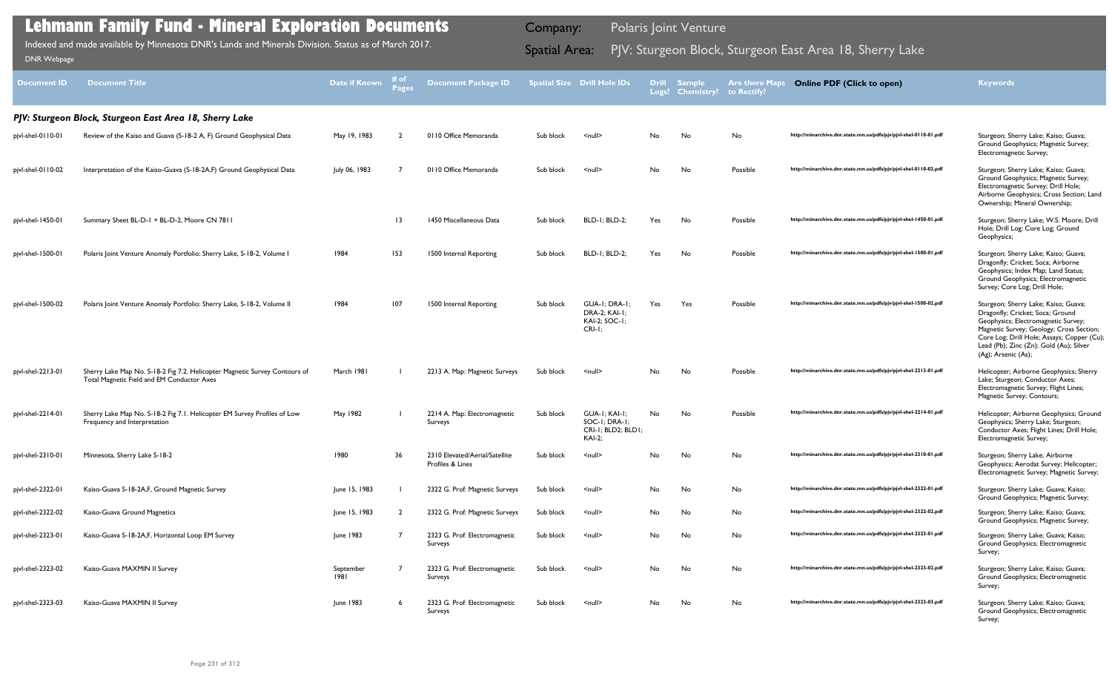| <b>Document ID</b> | <b>Document Title</b>                                                                                                    | <b>Date if Known</b> | # of<br>Pages   | <b>Document Package ID</b>                         |           | <b>Spatial Size Drill Hole IDs</b>                                    |     | <b>Drill Sample</b><br>Logs? Chemistry? | <b>Are there Maps</b><br>to Rectify? | <b>Online PDF (Click to open)</b>                                | <b>Keywords</b>                                                                                                                                                                                                                                                             |
|--------------------|--------------------------------------------------------------------------------------------------------------------------|----------------------|-----------------|----------------------------------------------------|-----------|-----------------------------------------------------------------------|-----|-----------------------------------------|--------------------------------------|------------------------------------------------------------------|-----------------------------------------------------------------------------------------------------------------------------------------------------------------------------------------------------------------------------------------------------------------------------|
|                    | PJV: Sturgeon Block, Sturgeon East Area 18, Sherry Lake                                                                  |                      |                 |                                                    |           |                                                                       |     |                                         |                                      |                                                                  |                                                                                                                                                                                                                                                                             |
| pjvl-shel-0110-01  | Review of the Kaiso and Guava (S-18-2 A, F) Ground Geophysical Data                                                      | May 19, 1983         |                 | 0110 Office Memoranda                              | Sub block | $\leq$ null $\geq$                                                    | No  | No                                      | No                                   | http://minarchive.dnr.state.mn.us/pdfs/pjv/pjvl-shel-0110-01.pdf | Sturgeon; Sherry Lake; Kaiso; Guava;<br>Ground Geophysics; Magnetic Survey;<br>Electromagnetic Survey;                                                                                                                                                                      |
| pjvl-shel-0110-02  | Interpretation of the Kaiso-Guava (S-18-2A,F) Ground Geophysical Data                                                    | July 06, 1983        |                 | 0110 Office Memoranda                              | Sub block | $\leq$ null $\geq$                                                    | No  | No                                      | Possible                             | http://minarchive.dnr.state.mn.us/pdfs/pjv/pjvl-shel-0110-02.pdf | Sturgeon; Sherry Lake; Kaiso; Guava;<br>Ground Geophysics; Magnetic Survey;<br>Electromagnetic Survey; Drill Hole;<br>Airborne Geophysics; Cross Section; Land<br>Ownership; Mineral Ownership;                                                                             |
| pjvl-shel-1450-01  | Summary Sheet BL-D-1 + BL-D-2, Moore CN 7811                                                                             |                      | $\overline{13}$ | 1450 Miscellaneous Data                            | Sub block | <b>BLD-1; BLD-2;</b>                                                  | Yes | No                                      | Possible                             | http://minarchive.dnr.state.mn.us/pdfs/pjv/pjvl-shel-1450-01.pdf | Sturgeon; Sherry Lake; W.S. Moore; Drill<br>Hole; Drill Log; Core Log; Ground<br>Geophysics;                                                                                                                                                                                |
| pjvl-shel-1500-01  | Polaris Joint Venture Anomaly Portfolio: Sherry Lake, S-18-2, Volume I                                                   | 1984                 | 153             | 1500 Internal Reporting                            | Sub block | <b>BLD-1; BLD-2;</b>                                                  | Yes | No                                      | Possible                             | http://minarchive.dnr.state.mn.us/pdfs/pjv/pjvl-shel-1500-01.pdf | Sturgeon; Sherry Lake; Kaiso; Guava;<br>Dragonfly; Cricket; Soca; Airborne<br>Geophysics; Index Map; Land Status;<br>Ground Geophysics; Electromagnetic<br>Survey; Core Log; Drill Hole;                                                                                    |
| pjvl-shel-1500-02  | Polaris Joint Venture Anomaly Portfolio: Sherry Lake, S-18-2, Volume II                                                  | 1984                 | 107             | 1500 Internal Reporting                            | Sub block | GUA-I: DRA-I:<br><b>DRA-2; KAI-1;</b><br>KAI-2; SOC-1;<br>$CRI-I:$    | Yes | Yes                                     | Possible                             | http://minarchive.dnr.state.mn.us/pdfs/pjv/pjvl-shel-1500-02.pdf | Sturgeon; Sherry Lake; Kaiso; Guava;<br>Dragonfly; Cricket; Soca; Ground<br>Geophysics; Electromagnetic Survey;<br>Magnetic Survey; Geology; Cross Section;<br>Core Log; Drill Hole; Assays; Copper (Cu);<br>Lead (Pb); Zinc (Zn); Gold (Au); Silver<br>(Ag); Arsenic (As); |
| pjvl-shel-2213-01  | Sherry Lake Map No. S-18-2 Fig 7.2. Helicopter Magnetic Survey Contours of<br>Total Magnetic Field and EM Conductor Axes | March 1981           |                 | 2213 A. Map: Magnetic Surveys                      | Sub block | $\leq$ null $\geq$                                                    | No. | No                                      | Possible                             | http://minarchive.dnr.state.mn.us/pdfs/pjv/pjvl-shel-2213-01.pdf | Helicopter; Airborne Geophysics; Sherry<br>Lake; Sturgeon; Conductor Axes;<br>Electromagnetic Survey; Flight Lines;<br>Magnetic Survey; Contours;                                                                                                                           |
| pjvl-shel-2214-01  | Sherry Lake Map No. S-18-2 Fig 7.1. Helicopter EM Survey Profiles of Low<br>Frequency and Interpretation                 | May 1982             |                 | 2214 A. Map: Electromagnetic<br>Surveys            | Sub block | GUA-I; KAI-I;<br>SOC-I; DRA-I;<br>CRI-I; BLD2; BLD1;<br><b>KAI-2;</b> | No. | No                                      | Possible                             | http://minarchive.dnr.state.mn.us/pdfs/pjv/pjvl-shel-2214-01.pdf | Helicopter; Airborne Geophysics; Ground<br>Geophysics; Sherry Lake; Sturgeon;<br>Conductor Axes; Flight Lines; Drill Hole;<br>Electromagnetic Survey;                                                                                                                       |
| pjvl-shel-2310-01  | Minnesota, Sherry Lake S-18-2                                                                                            | 1980                 | 36              | 2310 Elevated/Aerial/Satellite<br>Profiles & Lines | Sub block | $\leq$ null $\geq$                                                    | No  | No                                      | No                                   | http://minarchive.dnr.state.mn.us/pdfs/pjv/pjvl-shel-2310-01.pdf | Sturgeon; Sherry Lake; Airborne<br>Geophysics; Aerodat Survey; Helicopter;<br>Electromagnetic Survey; Magnetic Survey;                                                                                                                                                      |
| pjvl-shel-2322-01  | Kaiso-Guava S-18-2A, F, Ground Magnetic Survey                                                                           | June 15, 1983        |                 | 2322 G. Prof: Magnetic Surveys                     | Sub block | $null$                                                                | No  | No                                      | No                                   | http://minarchive.dnr.state.mn.us/pdfs/pjv/pjvl-shel-2322-01.pdf | Sturgeon; Sherry Lake; Guava; Kaiso;<br>Ground Geophysics; Magnetic Survey;                                                                                                                                                                                                 |
| pjvl-shel-2322-02  | Kaiso-Guava Ground Magnetics                                                                                             | June 15, 1983        |                 | 2322 G. Prof: Magnetic Surveys                     | Sub block | $null$                                                                | No  | No                                      | No                                   | http://minarchive.dnr.state.mn.us/pdfs/pjv/pjvl-shel-2322-02.pdf | Sturgeon; Sherry Lake; Kaiso; Guava;<br>Ground Geophysics; Magnetic Survey;                                                                                                                                                                                                 |
| pjvl-shel-2323-01  | Kaiso-Guava S-18-2A, F, Horizontal Loop EM Survey                                                                        | June 1983            |                 | 2323 G. Prof: Electromagnetic<br>Surveys           | Sub block | $null$                                                                | No  | No                                      | No                                   | http://minarchive.dnr.state.mn.us/pdfs/pjv/pjvl-shel-2323-01.pdf | Sturgeon; Sherry Lake; Guava; Kaiso;<br>Ground Geophysics; Electromagnetic<br>Survey;                                                                                                                                                                                       |
| pjvl-shel-2323-02  | Kaiso-Guava MAXMIN II Survey                                                                                             | September<br>1981    |                 | 2323 G. Prof: Electromagnetic<br>Surveys           | Sub block | $\leq$ null $\geq$                                                    | No  | No                                      | No                                   | http://minarchive.dnr.state.mn.us/pdfs/pjv/pjvl-shel-2323-02.pdf | Sturgeon; Sherry Lake; Kaiso; Guava;<br>Ground Geophysics; Electromagnetic<br>Survey;                                                                                                                                                                                       |
| pjvl-shel-2323-03  | Kaiso-Guava MAXMIN II Survey                                                                                             | June 1983            |                 | 2323 G. Prof: Electromagnetic<br>Surveys           | Sub block | $null$                                                                | No  | No                                      | No                                   | http://minarchive.dnr.state.mn.us/pdfs/pjv/pjvl-shel-2323-03.pdf | Sturgeon; Sherry Lake; Kaiso; Guava;<br>Ground Geophysics; Electromagnetic<br>Survey;                                                                                                                                                                                       |

Indexed and made available by Minnesota DNR's Lands and Minerals Division. Status as of March 2017. **Spatial Area:** PJV: Sturgeon Block, Sturgeon East Area 18, Sherry Lake DNR Webpage Indexed and made available by Minnesota DNR's Lands and Minerals Division. Status as of March 2017.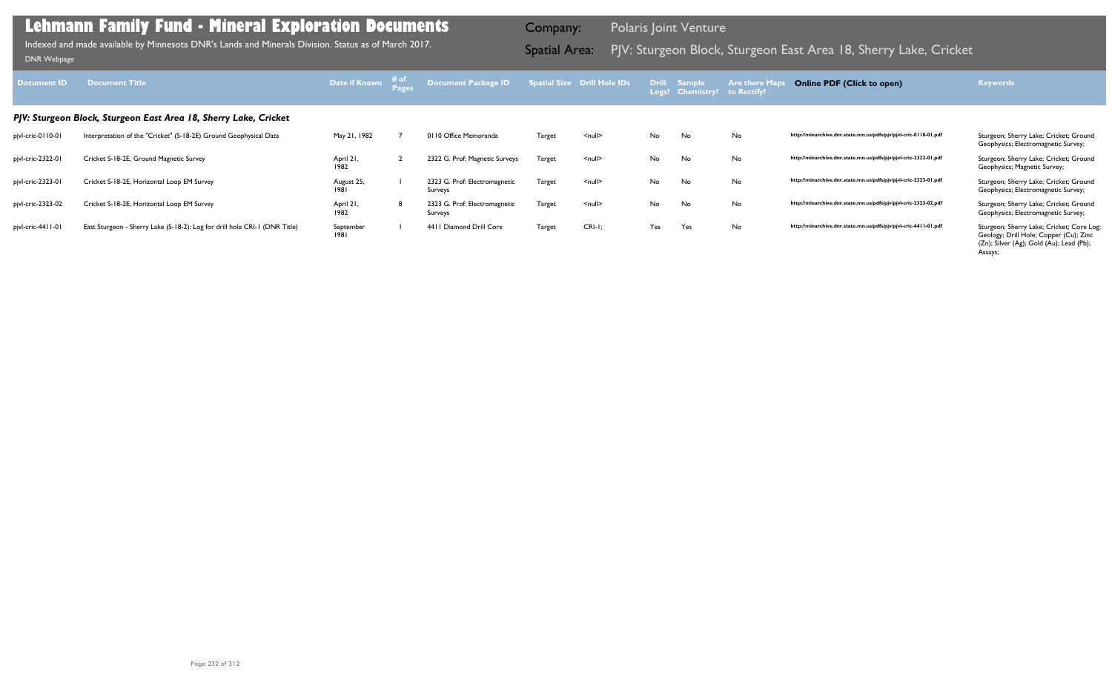|        | atial Size Drill Hole IDs | <b>Drill</b><br>Logs? | <b>Sample</b><br><b>Chemistry?</b> | <b>Are there Maps</b><br>to Rectify? | <b>Online PDF (Click to open)</b>                                | <b>Keywords</b>                                                                                                                            |
|--------|---------------------------|-----------------------|------------------------------------|--------------------------------------|------------------------------------------------------------------|--------------------------------------------------------------------------------------------------------------------------------------------|
|        |                           |                       |                                    |                                      |                                                                  |                                                                                                                                            |
| Target | $\leq$ null $\geq$        | No                    | No                                 | No                                   | http://minarchive.dnr.state.mn.us/pdfs/pjv/pjvl-cric-0110-01.pdf | Sturgeon; Sherry Lake; Cricket; Ground<br>Geophysics; Electromagnetic Survey;                                                              |
| Target | $\leq$ null $\geq$        | No                    | No                                 | No                                   | http://minarchive.dnr.state.mn.us/pdfs/pjv/pjvl-cric-2322-01.pdf | Sturgeon; Sherry Lake; Cricket; Ground<br>Geophysics; Magnetic Survey;                                                                     |
| Target | $\leq$ null $\geq$        | No                    | <b>No</b>                          | No                                   | http://minarchive.dnr.state.mn.us/pdfs/pjv/pjvl-cric-2323-01.pdf | Sturgeon; Sherry Lake; Cricket; Ground<br>Geophysics; Electromagnetic Survey;                                                              |
| Target | $\leq$ null $\geq$        | No                    | No                                 | No                                   | http://minarchive.dnr.state.mn.us/pdfs/pjv/pjvl-cric-2323-02.pdf | Sturgeon; Sherry Lake; Cricket; Ground<br>Geophysics; Electromagnetic Survey;                                                              |
| Target | $CRI-I$ ;                 | Yes                   | Yes                                | No                                   | http://minarchive.dnr.state.mn.us/pdfs/pjv/pjvl-cric-4411-01.pdf | Sturgeon; Sherry Lake; Cricket; Core Log;<br>Geology; Drill Hole; Copper (Cu); Zinc<br>(Zn); Silver (Ag); Gold (Au); Lead (Pb);<br>Assays; |

| Document ID       | <b>Document Title</b>                                                      | Date if Known      | # of | Document Package ID Spatial Size Drill Hole IDs |               |                    |     | <b>Drill Sample</b><br>Logs? Chemistry? to Rectify? | <b>Are there Map</b> | <b>Online PDF (Click to open)</b>                                | <b>Keywords</b>                                                                     |
|-------------------|----------------------------------------------------------------------------|--------------------|------|-------------------------------------------------|---------------|--------------------|-----|-----------------------------------------------------|----------------------|------------------------------------------------------------------|-------------------------------------------------------------------------------------|
|                   | PJV: Sturgeon Block, Sturgeon East Area 18, Sherry Lake, Cricket           |                    |      |                                                 |               |                    |     |                                                     |                      |                                                                  |                                                                                     |
| pjvl-cric-0110-01 | Interpretation of the "Cricket" (S-18-2E) Ground Geophysical Data          | May 21, 1982       |      | 0110 Office Memoranda                           | <b>Target</b> | $null$             | No  | No                                                  | No                   | http://minarchive.dnr.state.mn.us/pdfs/pjv/pjvl-cric-0110-01.pdf | Sturgeon; Sherry Lake; Cricket; Ground<br>Geophysics; Electromagnetic Survey;       |
| pjvl-cric-2322-01 | Cricket S-18-2E, Ground Magnetic Survey                                    | April 21,<br>1982  |      | 2322 G. Prof: Magnetic Surveys                  | Target        | $null$             | No  | No                                                  | No                   | http://minarchive.dnr.state.mn.us/pdfs/pjv/pjvl-cric-2322-01.pdf | Sturgeon; Sherry Lake; Cricket; Ground<br>Geophysics; Magnetic Survey;              |
| pjvl-cric-2323-01 | Cricket S-18-2E, Horizontal Loop EM Survey                                 | August 25,<br>1981 |      | 2323 G. Prof: Electromagnetic<br>Surveys        | <b>Target</b> | $\leq$ null $\geq$ | No  | No                                                  | No                   | http://minarchive.dnr.state.mn.us/pdfs/pjv/pjvl-cric-2323-01.pdf | Sturgeon; Sherry Lake; Cricket; Ground<br>Geophysics; Electromagnetic Survey;       |
| pjvl-cric-2323-02 | Cricket S-18-2E, Horizontal Loop EM Survey                                 | April 21,<br>1982  |      | 2323 G. Prof: Electromagnetic<br>Surveys        | Target        | $\leq$ null $\geq$ | No  | No                                                  | No                   | http://minarchive.dnr.state.mn.us/pdfs/pjv/pjvl-cric-2323-02.pdf | Sturgeon; Sherry Lake; Cricket; Ground<br>Geophysics; Electromagnetic Survey;       |
| pjvl-cric-4411-01 | East Sturgeon - Sherry Lake (S-18-2): Log for drill hole CRI-1 (DNR Title) | September<br>1981  |      | 4411 Diamond Drill Core                         | <b>Target</b> | $CRI-I$ ;          | Yes | Yes                                                 | No                   | http://minarchive.dnr.state.mn.us/pdfs/pjv/pjvl-cric-4411-01.pdf | Sturgeon; Sherry Lake; Cricket; Core Log;<br>Geology; Drill Hole; Copper (Cu); Zinc |

Indexed and made available by Minnesota DNR's Lands and Minerals Division. Status as of March 2017. **Spatial Area:** PJV: Sturgeon Block, Sturgeon East Area 18, Sherry Lake, Cricket <sub>DNR Webpage</sub> Indexed and made available by Minnesota DNR's Lands and Minerals Division. Status as of March 2017.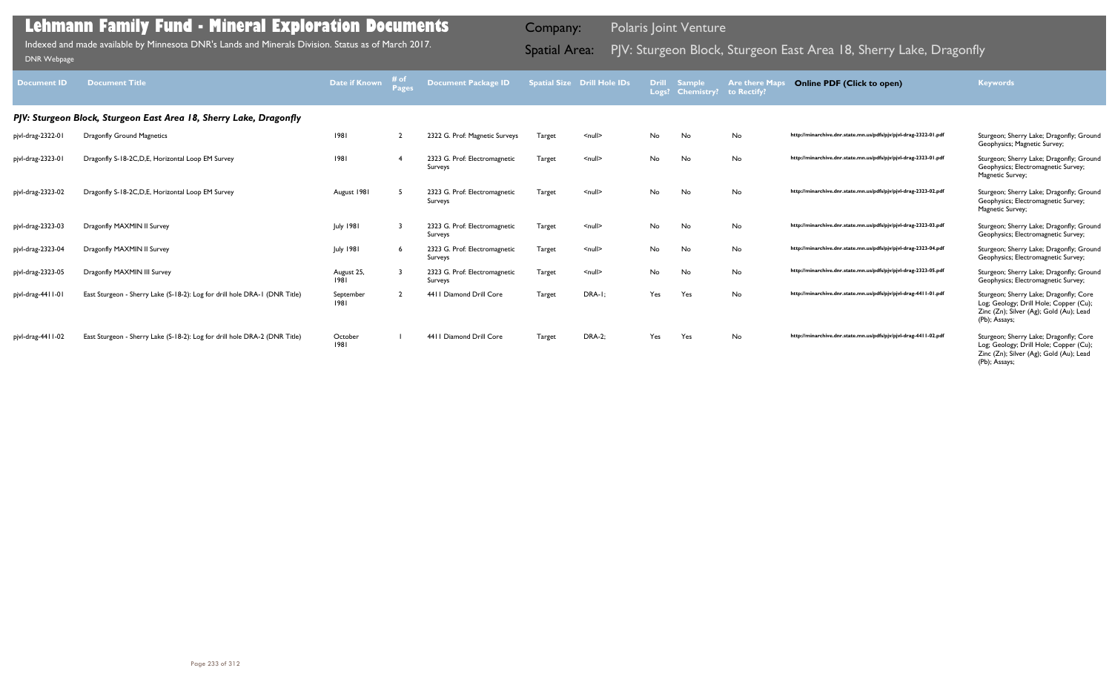| <b>Document ID</b> | <b>Document Title</b>                                                      | Date if Known      | Pages | <b>Document Package ID</b>               |        | <b>Spatial Size Drill Hole IDs</b> | <b>Drill</b> | <b>Sample</b><br>Logs? Chemistry? to Rectify? | <b>Are there Maps</b> | <b>Online PDF (Click to open)</b>                                | <b>Keywords</b>                                                                                                                              |
|--------------------|----------------------------------------------------------------------------|--------------------|-------|------------------------------------------|--------|------------------------------------|--------------|-----------------------------------------------|-----------------------|------------------------------------------------------------------|----------------------------------------------------------------------------------------------------------------------------------------------|
|                    | PJV: Sturgeon Block, Sturgeon East Area 18, Sherry Lake, Dragonfly         |                    |       |                                          |        |                                    |              |                                               |                       |                                                                  |                                                                                                                                              |
| pjvl-drag-2322-01  | Dragonfly Ground Magnetics                                                 | 1981               |       | 2322 G. Prof: Magnetic Surveys           | Target | $\leq$ null $\geq$                 | No           | No                                            | No                    | http://minarchive.dnr.state.mn.us/pdfs/pjv/pjvl-drag-2322-01.pdf | Sturgeon; Sherry Lake; Dragonfly; Ground<br>Geophysics; Magnetic Survey;                                                                     |
| pjvl-drag-2323-01  | Dragonfly S-18-2C, D, E, Horizontal Loop EM Survey                         | 1981               | -4    | 2323 G. Prof: Electromagnetic<br>Surveys | Target | $\leq$ null $\geq$                 | No           | No                                            | No                    | http://minarchive.dnr.state.mn.us/pdfs/pjv/pjvl-drag-2323-01.pdf | Sturgeon; Sherry Lake; Dragonfly; Ground<br>Geophysics; Electromagnetic Survey;<br>Magnetic Survey;                                          |
| pjvl-drag-2323-02  | Dragonfly S-18-2C, D, E, Horizontal Loop EM Survey                         | August 1981        |       | 2323 G. Prof: Electromagnetic<br>Surveys | Target | $\leq$ null $\geq$                 | No           | No                                            | No.                   | http://minarchive.dnr.state.mn.us/pdfs/pjv/pjvl-drag-2323-02.pdf | Sturgeon; Sherry Lake; Dragonfly; Ground<br>Geophysics; Electromagnetic Survey;<br>Magnetic Survey;                                          |
| pjvl-drag-2323-03  | Dragonfly MAXMIN II Survey                                                 | <b>July 1981</b>   |       | 2323 G. Prof: Electromagnetic<br>Surveys | Target | $\leq$ null $\geq$                 | No           | No                                            | No                    | http://minarchive.dnr.state.mn.us/pdfs/pjv/pjvl-drag-2323-03.pdf | Sturgeon; Sherry Lake; Dragonfly; Ground<br>Geophysics; Electromagnetic Survey;                                                              |
| pjvl-drag-2323-04  | Dragonfly MAXMIN II Survey                                                 | <b>July 1981</b>   | 6     | 2323 G. Prof: Electromagnetic<br>Surveys | Target | $\leq$ null $\geq$                 | No           | No                                            | No                    | http://minarchive.dnr.state.mn.us/pdfs/pjv/pjvl-drag-2323-04.pdf | Sturgeon; Sherry Lake; Dragonfly; Ground<br>Geophysics; Electromagnetic Survey;                                                              |
| pjvl-drag-2323-05  | Dragonfly MAXMIN III Survey                                                | August 25,<br>1981 |       | 2323 G. Prof: Electromagnetic<br>Surveys | Target | $\leq$ null $\geq$                 | No           | No                                            | No                    | http://minarchive.dnr.state.mn.us/pdfs/pjv/pjvl-drag-2323-05.pdf | Sturgeon; Sherry Lake; Dragonfly; Ground<br>Geophysics; Electromagnetic Survey;                                                              |
| pjvl-drag-4411-01  | East Sturgeon - Sherry Lake (S-18-2): Log for drill hole DRA-1 (DNR Title) | September<br>1981  |       | 4411 Diamond Drill Core                  | Target | DRA-I;                             | Yes          | Yes                                           | No                    | http://minarchive.dnr.state.mn.us/pdfs/pjv/pjvl-drag-4411-01.pdf | Sturgeon; Sherry Lake; Dragonfly; Core<br>Log; Geology; Drill Hole; Copper (Cu);<br>Zinc (Zn); Silver (Ag); Gold (Au); Lead<br>(Pb); Assays; |
| pjvl-drag-4411-02  | East Sturgeon - Sherry Lake (S-18-2): Log for drill hole DRA-2 (DNR Title) | October<br>1981    |       | 4411 Diamond Drill Core                  | Target | <b>DRA-2;</b>                      | Yes          | Yes                                           | No                    | http://minarchive.dnr.state.mn.us/pdfs/pjv/pjvl-drag-4411-02.pdf | Sturgeon; Sherry Lake; Dragonfly; Core<br>Log; Geology; Drill Hole; Copper (Cu);<br>Zinc (Zn); Silver (Ag); Gold (Au); Lead<br>(Pb); Assays; |

Indexed and made available by Minnesota DNR's Lands and Minerals Division. Status as of March 2017.

Company: Polaris Joint Venture

# Indexed and made available by Minnesota DNR's Lands and Minerals Division. Status as of March 2017. **Spatial Area:** PJV: Sturgeon Block, Sturgeon East Area 18, Sherry Lake, Dragonfly וndexed and made available by Minnesota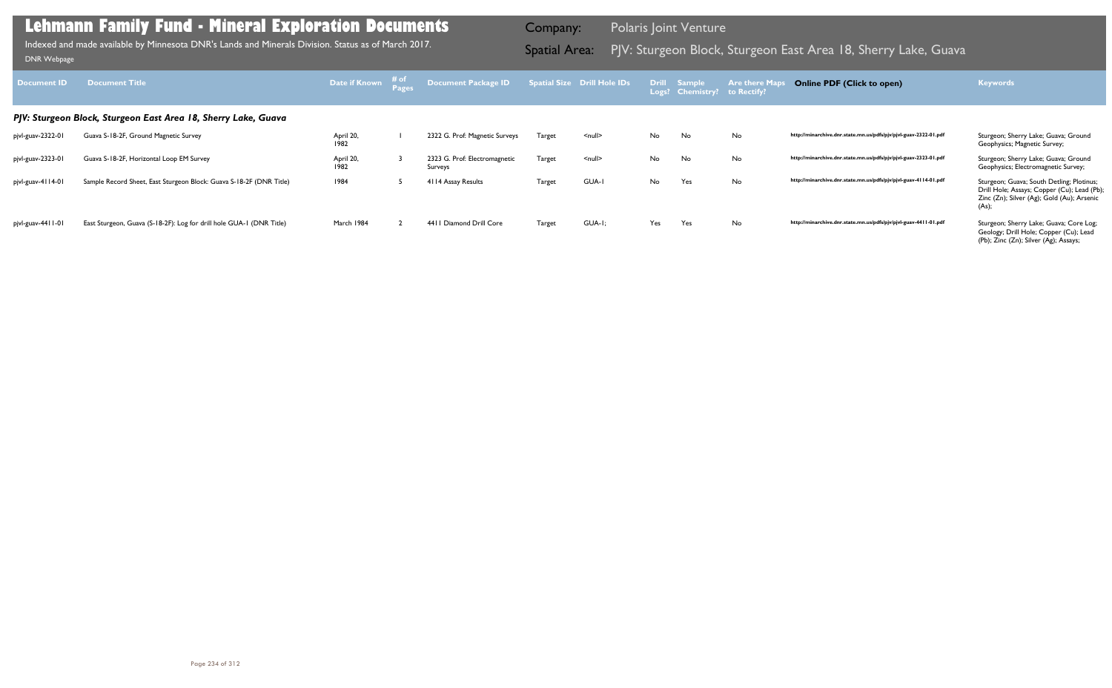| Document ID       | <b>Document Title</b>                                                | Date if Known     | # of | Document Package ID                      |               | <b>Spatial Size Drill Hole IDs</b> | Logs? | Drill Sample<br><b>Chemistry?</b> | <b>Are there Ma</b><br>to Rectify? | <b>Online PDF (Click to open)</b>                                | <b>Keywords</b>                                                                                                                                 |
|-------------------|----------------------------------------------------------------------|-------------------|------|------------------------------------------|---------------|------------------------------------|-------|-----------------------------------|------------------------------------|------------------------------------------------------------------|-------------------------------------------------------------------------------------------------------------------------------------------------|
|                   | PJV: Sturgeon Block, Sturgeon East Area 18, Sherry Lake, Guava       |                   |      |                                          |               |                                    |       |                                   |                                    |                                                                  |                                                                                                                                                 |
| pjvl-guav-2322-01 | Guava S-18-2F, Ground Magnetic Survey                                | April 20,<br>1982 |      | 2322 G. Prof: Magnetic Surveys           | Target        | <null></null>                      | No    | No                                | No                                 | http://minarchive.dnr.state.mn.us/pdfs/pjv/pjvl-guav-2322-01.pdf | Sturgeon; Sherry Lake; Guava; Ground<br>Geophysics; Magnetic Survey;                                                                            |
| pjvl-guav-2323-01 | Guava S-18-2F, Horizontal Loop EM Survey                             | April 20,<br>1982 |      | 2323 G. Prof: Electromagnetic<br>Surveys | Target        | $null$                             | No    | No                                | No                                 | http://minarchive.dnr.state.mn.us/pdfs/pjv/pjvl-guav-2323-01.pdf | Sturgeon; Sherry Lake; Guava; Ground<br>Geophysics; Electromagnetic Survey;                                                                     |
| pjvl-guav-4114-01 | Sample Record Sheet, East Sturgeon Block: Guava S-18-2F (DNR Title)  | 1984              |      | 4114 Assay Results                       | <b>Target</b> | GUA-I                              | No    | Yes                               | No                                 | http://minarchive.dnr.state.mn.us/pdfs/pjv/pjvl-guav-4114-01.pdf | Sturgeon; Guava; South Detling; Plotinus;<br>Drill Hole; Assays; Copper (Cu); Lead (Pb);<br>Zinc (Zn); Silver (Ag); Gold (Au); Arsenic<br>(As); |
| pjvl-guav-4411-01 | East Sturgeon, Guava (S-18-2F): Log for drill hole GUA-1 (DNR Title) | March 1984        |      | 4411 Diamond Drill Core                  | <b>Target</b> | GUA-I;                             | Yes   | Yes                               | No                                 | http://minarchive.dnr.state.mn.us/pdfs/pjv/pjvl-guav-4411-01.pdf | Sturgeon; Sherry Lake; Guava; Core Log;<br>Geology; Drill Hole; Copper (Cu); Lead<br>(Pb); Zinc (Zn); Silver (Ag); Assays;                      |

Indexed and made available by Minnesota DNR's Lands and Minerals Division. Status as of March 2017. Spatial Area: PJV: Sturgeon Block, Sturgeon East Area 18, Sherry Lake, Guava DNR Webpage Indexed and made available by Minnesota DNR's Lands and Minerals Division. Status as of March 2017.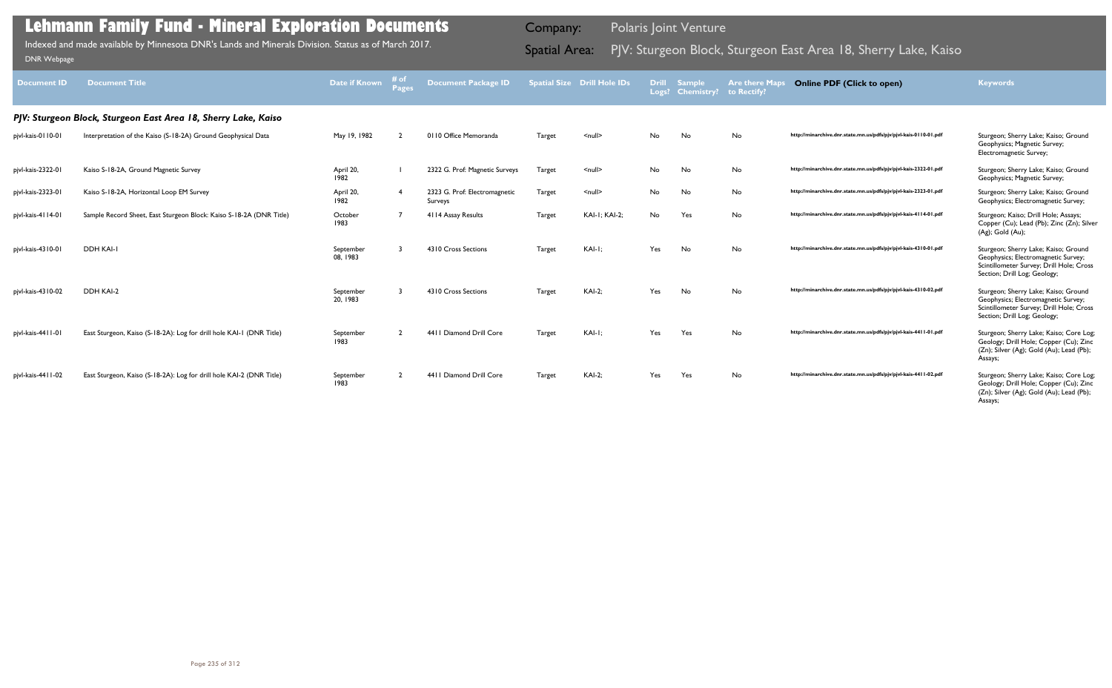| <b>Document ID</b> | <b>Document Title</b>                                                | Date if Known         | # of<br><b>Pages</b> | <b>Document Package ID</b>               |               | <b>Spatial Size Drill Hole IDs</b> | <b>Drill</b> | <b>Sample</b><br>Logs? Chemistry? to Rectify? | <b>Are there Map</b> | <b>Online PDF (Click to open)</b>                                | <b>Keywords</b>                                                                                                                                         |
|--------------------|----------------------------------------------------------------------|-----------------------|----------------------|------------------------------------------|---------------|------------------------------------|--------------|-----------------------------------------------|----------------------|------------------------------------------------------------------|---------------------------------------------------------------------------------------------------------------------------------------------------------|
|                    | PJV: Sturgeon Block, Sturgeon East Area 18, Sherry Lake, Kaiso       |                       |                      |                                          |               |                                    |              |                                               |                      |                                                                  |                                                                                                                                                         |
| pjvl-kais-0110-01  | Interpretation of the Kaiso (S-18-2A) Ground Geophysical Data        | May 19, 1982          |                      | 0110 Office Memoranda                    | Target        | $\leq$ null $\geq$                 | No.          | No                                            | No                   | http://minarchive.dnr.state.mn.us/pdfs/pjv/pjvl-kais-0110-01.pdf | Sturgeon; Sherry Lake; Kaiso; Ground<br>Geophysics; Magnetic Survey;<br>Electromagnetic Survey;                                                         |
| pjvl-kais-2322-01  | Kaiso S-18-2A, Ground Magnetic Survey                                | April 20,<br>1982     |                      | 2322 G. Prof: Magnetic Surveys           | Target        | $\leq$ null $\geq$                 | No           | No                                            | No                   | http://minarchive.dnr.state.mn.us/pdfs/pjv/pjvl-kais-2322-01.pdf | Sturgeon; Sherry Lake; Kaiso; Ground<br>Geophysics; Magnetic Survey;                                                                                    |
| pjvl-kais-2323-01  | Kaiso S-18-2A, Horizontal Loop EM Survey                             | April 20,<br>1982     |                      | 2323 G. Prof: Electromagnetic<br>Surveys | Target        | $\leq$ null $\geq$                 | No           | No                                            | No                   | http://minarchive.dnr.state.mn.us/pdfs/pjv/pjvl-kais-2323-01.pdf | Sturgeon; Sherry Lake; Kaiso; Ground<br>Geophysics; Electromagnetic Survey;                                                                             |
| pjvl-kais-4114-01  | Sample Record Sheet, East Sturgeon Block: Kaiso S-18-2A (DNR Title)  | October<br>1983       |                      | 4114 Assay Results                       | <b>Target</b> | <b>KAI-I; KAI-2;</b>               | No           | Yes                                           | No                   | http://minarchive.dnr.state.mn.us/pdfs/pjv/pjvl-kais-4114-01.pdf | Sturgeon; Kaiso; Drill Hole; Assays;<br>Copper (Cu); Lead (Pb); Zinc (Zn); Silver<br>(Ag); Gold (Au);                                                   |
| pjvl-kais-4310-01  | DDH KAI-I                                                            | September<br>08.1983  |                      | 4310 Cross Sections                      | Target        | KAI-I;                             | Yes          | No                                            | No                   | http://minarchive.dnr.state.mn.us/pdfs/pjv/pjvl-kais-4310-01.pdf | Sturgeon; Sherry Lake; Kaiso; Ground<br>Geophysics; Electromagnetic Survey;<br>Scintillometer Survey; Drill Hole; Cross<br>Section; Drill Log; Geology; |
| pjvl-kais-4310-02  | DDH KAI-2                                                            | September<br>20, 1983 | ્ર                   | 4310 Cross Sections                      | Target        | $KAI-2$ :                          | Yes          | No                                            | No                   | http://minarchive.dnr.state.mn.us/pdfs/pjv/pjvl-kais-4310-02.pdf | Sturgeon; Sherry Lake; Kaiso; Ground<br>Geophysics; Electromagnetic Survey;<br>Scintillometer Survey; Drill Hole; Cross<br>Section; Drill Log; Geology; |
| pjvl-kais-4411-01  | East Sturgeon, Kaiso (S-18-2A): Log for drill hole KAI-1 (DNR Title) | September<br>1983     |                      | 4411 Diamond Drill Core                  | Target        | KAI-I;                             | Yes          | Yes                                           | No.                  | http://minarchive.dnr.state.mn.us/pdfs/pjv/pjvl-kais-4411-01.pdf | Sturgeon; Sherry Lake; Kaiso; Core Log;<br>Geology; Drill Hole; Copper (Cu); Zinc<br>(Zn); Silver (Ag); Gold (Au); Lead (Pb);<br>Assays;                |
| pjvl-kais-4411-02  | East Sturgeon, Kaiso (S-18-2A): Log for drill hole KAI-2 (DNR Title) | September<br>1983     |                      | 4411 Diamond Drill Core                  | Target        | <b>KAI-2;</b>                      | Yes          | Yes                                           | No                   | http://minarchive.dnr.state.mn.us/pdfs/pjv/pjvl-kais-4411-02.pdf | Sturgeon; Sherry Lake; Kaiso; Core Log;<br>Geology; Drill Hole; Copper (Cu); Zinc<br>(Zn); Silver (Ag); Gold (Au); Lead (Pb);<br>Assays;                |

Indexed and made available by Minnesota DNR's Lands and Minerals Division. Status as of March 2017. **Spatial Area:** PJV: Sturgeon Block, Sturgeon East Area 18, Sherry Lake, Kaiso <sub>DNR Webpage</sub> Indexed and made available by Minnesota DNR's Lands and Minerals Division. Status as of March 2017.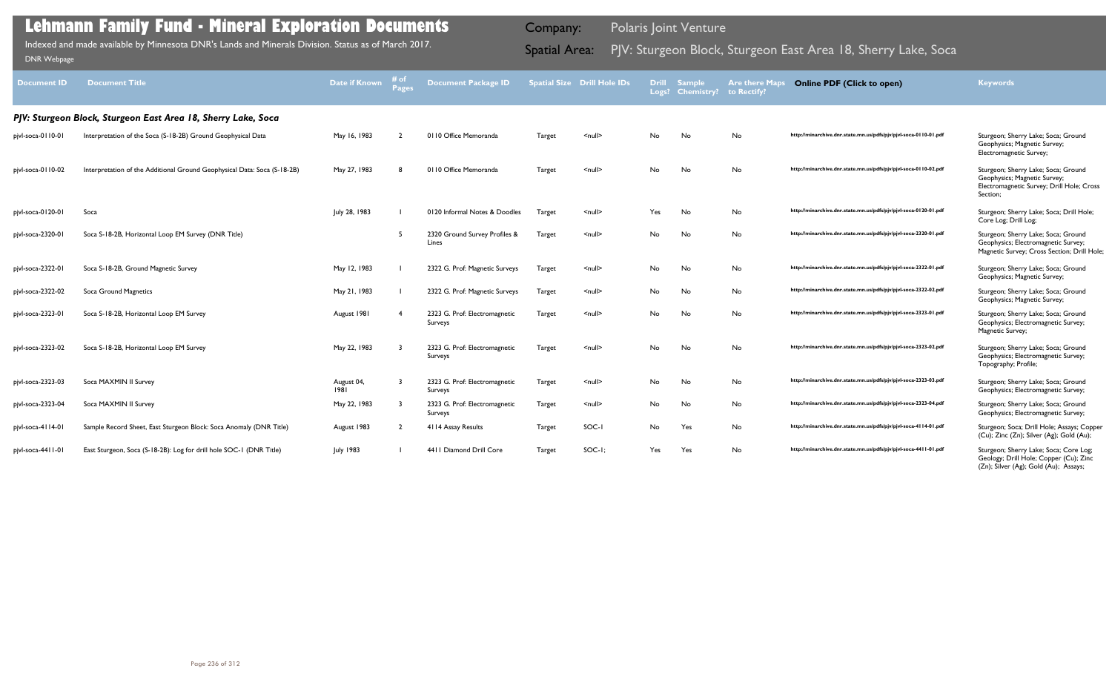| <b>Document ID</b> | <b>Document Title</b>                                                    | Date if Known      | # of<br>Pages | <b>Document Package ID</b>               |               | <b>Spatial Size Drill Hole IDs</b> |     | Drill Sample<br>Logs? Chemistry? | <b>Are there Maps</b><br>to Rectify? | <b>Online PDF (Click to open)</b>                                   | <b>Keywords</b>                                                                                                              |
|--------------------|--------------------------------------------------------------------------|--------------------|---------------|------------------------------------------|---------------|------------------------------------|-----|----------------------------------|--------------------------------------|---------------------------------------------------------------------|------------------------------------------------------------------------------------------------------------------------------|
|                    | PJV: Sturgeon Block, Sturgeon East Area 18, Sherry Lake, Soca            |                    |               |                                          |               |                                    |     |                                  |                                      |                                                                     |                                                                                                                              |
| pjvl-soca-0110-01  | Interpretation of the Soca (S-18-2B) Ground Geophysical Data             | May 16, 1983       |               | 0110 Office Memoranda                    | <b>Target</b> | $\leq$ null $\geq$                 | No. | No                               | No                                   | http://minarchive.dnr.state.mn.us/pdfs/pjv/pjvl-soca-0110-01.pdf    | Sturgeon; Sherry Lake; Soca; Ground<br>Geophysics; Magnetic Survey;<br>Electromagnetic Survey;                               |
| pjvl-soca-0110-02  | Interpretation of the Additional Ground Geophysical Data: Soca (S-18-2B) | May 27, 1983       |               | 0110 Office Memoranda                    | <b>Target</b> | $\leq$ null $\geq$                 | No  | No                               | No                                   | http://minarchive.dnr.state.mn.us/pdfs/pjv/pjvl-soca-0 l l 0-02.pdf | Sturgeon; Sherry Lake; Soca; Ground<br>Geophysics; Magnetic Survey;<br>Electromagnetic Survey; Drill Hole; Cross<br>Section; |
| pjvl-soca-0120-01  | Soca                                                                     | July 28, 1983      |               | 0120 Informal Notes & Doodles            | Target        | $\leq$ null $\geq$                 | Yes | No                               | No                                   | http://minarchive.dnr.state.mn.us/pdfs/pjv/pjvl-soca-0120-01.pdf    | Sturgeon; Sherry Lake; Soca; Drill Hole;<br>Core Log; Drill Log;                                                             |
| pjvl-soca-2320-01  | Soca S-18-2B, Horizontal Loop EM Survey (DNR Title)                      |                    | -5            | 2320 Ground Survey Profiles &<br>Lines   | Target        | $\le$ null $\ge$                   | No  | No                               | No                                   | http://minarchive.dnr.state.mn.us/pdfs/pjv/pjvl-soca-2320-01.pdf    | Sturgeon; Sherry Lake; Soca; Ground<br>Geophysics; Electromagnetic Survey;<br>Magnetic Survey; Cross Section; Drill Hole;    |
| pjvl-soca-2322-01  | Soca S-18-2B, Ground Magnetic Survey                                     | May 12, 1983       |               | 2322 G. Prof: Magnetic Surveys           | Target        | $null$                             | No  | No                               | No                                   | http://minarchive.dnr.state.mn.us/pdfs/pjv/pjvl-soca-2322-01.pdf    | Sturgeon; Sherry Lake; Soca; Ground<br>Geophysics; Magnetic Survey;                                                          |
| pjvl-soca-2322-02  | Soca Ground Magnetics                                                    | May 21, 1983       |               | 2322 G. Prof: Magnetic Surveys           | Target        | $\leq$ null $\geq$                 | No  | No                               | No                                   | http://minarchive.dnr.state.mn.us/pdfs/pjv/pjvl-soca-2322-02.pdf    | Sturgeon; Sherry Lake; Soca; Ground<br>Geophysics; Magnetic Survey;                                                          |
| pjvl-soca-2323-01  | Soca S-18-2B, Horizontal Loop EM Survey                                  | August 1981        |               | 2323 G. Prof: Electromagnetic<br>Surveys | Target        | $\le$ null $\ge$                   | No  | No                               | No                                   | http://minarchive.dnr.state.mn.us/pdfs/pjv/pjvl-soca-2323-01.pdf    | Sturgeon; Sherry Lake; Soca; Ground<br>Geophysics; Electromagnetic Survey;<br>Magnetic Survey;                               |
| pjvl-soca-2323-02  | Soca S-18-2B, Horizontal Loop EM Survey                                  | May 22, 1983       |               | 2323 G. Prof: Electromagnetic<br>Surveys | Target        | $\leq$ null $\geq$                 | No  | No                               | No                                   | http://minarchive.dnr.state.mn.us/pdfs/pjv/pjvl-soca-2323-02.pdf    | Sturgeon; Sherry Lake; Soca; Ground<br>Geophysics; Electromagnetic Survey;<br>Topography; Profile;                           |
| pjvl-soca-2323-03  | Soca MAXMIN II Survey                                                    | August 04,<br>1981 |               | 2323 G. Prof: Electromagnetic<br>Surveys | Target        | $\leq$ null $\geq$                 | No  | No                               | No                                   | http://minarchive.dnr.state.mn.us/pdfs/pjv/pjvl-soca-2323-03.pdf    | Sturgeon; Sherry Lake; Soca; Ground<br>Geophysics; Electromagnetic Survey;                                                   |
| pjvl-soca-2323-04  | Soca MAXMIN II Survey                                                    | May 22, 1983       | - 3           | 2323 G. Prof: Electromagnetic<br>Surveys | Target        | $\leq$ null $\geq$                 | No  | No                               | No                                   | http://minarchive.dnr.state.mn.us/pdfs/pjv/pjvl-soca-2323-04.pdf    | Sturgeon; Sherry Lake; Soca; Ground<br>Geophysics; Electromagnetic Survey;                                                   |
| pjvl-soca-4114-01  | Sample Record Sheet, East Sturgeon Block: Soca Anomaly (DNR Title)       | August 1983        |               | 4114 Assay Results                       | Target        | SOC-I                              | No  | Yes                              | No                                   | http://minarchive.dnr.state.mn.us/pdfs/pjv/pjvl-soca-4114-01.pdf    | Sturgeon; Soca; Drill Hole; Assays; Copper<br>(Cu); Zinc (Zn); Silver (Ag); Gold (Au);                                       |
| pjvl-soca-4411-01  | East Sturgeon, Soca (S-18-2B): Log for drill hole SOC-1 (DNR Title)      | <b>July 1983</b>   |               | 4411 Diamond Drill Core                  | Target        | SOC-I;                             | Yes | Yes                              | No                                   | http://minarchive.dnr.state.mn.us/pdfs/pjv/pjvl-soca-4411-01.pdf    | Sturgeon; Sherry Lake; Soca; Core Log;<br>Geology; Drill Hole; Copper (Cu); Zinc<br>(Zn); Silver (Ag); Gold (Au); Assays;    |

Indexed and made available by Minnesota DNR's Lands and Minerals Division. Status as of March 2017. Spatial Area: PJV: Sturgeon Block, Sturgeon East Area 18, Sherry Lake, Soca DNR Webpage Indexed and made available by Minnesota DNR's Lands and Minerals Division. Status as of March 2017.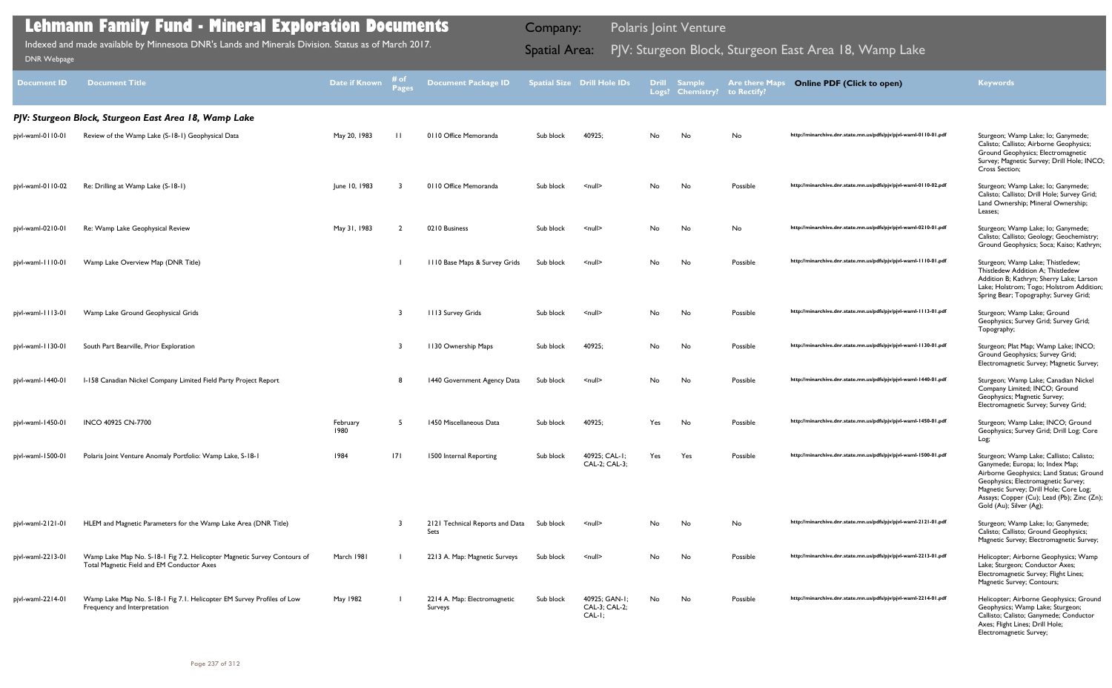| <b>Document ID</b> | <b>Document Title</b>                                                                                                  | Date if Known    | # of<br><b>Pages</b> | <b>Document Package ID</b>              |           | <b>Spatial Size Drill Hole IDs</b>         | <b>Drill</b><br>Logs? | <b>Sample</b><br><b>Chemistry?</b> | <b>Are there Maps</b><br>to Rectify? | <b>Online PDF (Click to open)</b>                                | <b>Keywords</b>                                                                                                                                                                                                                                                                   |
|--------------------|------------------------------------------------------------------------------------------------------------------------|------------------|----------------------|-----------------------------------------|-----------|--------------------------------------------|-----------------------|------------------------------------|--------------------------------------|------------------------------------------------------------------|-----------------------------------------------------------------------------------------------------------------------------------------------------------------------------------------------------------------------------------------------------------------------------------|
|                    | PJV: Sturgeon Block, Sturgeon East Area 18, Wamp Lake                                                                  |                  |                      |                                         |           |                                            |                       |                                    |                                      |                                                                  |                                                                                                                                                                                                                                                                                   |
| pjvl-waml-0110-01  | Review of the Wamp Lake (S-18-1) Geophysical Data                                                                      | May 20, 1983     | $\mathbf{H}$         | 0110 Office Memoranda                   | Sub block | 40925;                                     | No                    | No                                 | No                                   | http://minarchive.dnr.state.mn.us/pdfs/pjv/pjvl-waml-0110-01.pdf | Sturgeon; Wamp Lake; lo; Ganymede;<br>Calisto; Callisto; Airborne Geophysics;<br>Ground Geophysics; Electromagnetic<br>Survey; Magnetic Survey; Drill Hole; INCO;<br>Cross Section;                                                                                               |
| pjvl-waml-0110-02  | Re: Drilling at Wamp Lake (S-18-1)                                                                                     | June 10, 1983    |                      | 0110 Office Memoranda                   | Sub block | $\leq$ null $\geq$                         | No                    | No                                 | Possible                             | http://minarchive.dnr.state.mn.us/pdfs/pjv/pjvl-waml-0110-02.pdf | Sturgeon; Wamp Lake; lo; Ganymede;<br>Calisto; Callisto; Drill Hole; Survey Grid;<br>Land Ownership; Mineral Ownership;<br>Leases;                                                                                                                                                |
| pjvl-waml-0210-01  | Re: Wamp Lake Geophysical Review                                                                                       | May 31, 1983     | $\mathcal{L}$        | 0210 Business                           | Sub block | $\leq$ null $\geq$                         | No                    | No                                 | No                                   | http://minarchive.dnr.state.mn.us/pdfs/pjv/pjvl-waml-0210-01.pdf | Sturgeon; Wamp Lake; lo; Ganymede;<br>Calisto; Callisto; Geology; Geochemistry;<br>Ground Geophysics; Soca; Kaiso; Kathryn;                                                                                                                                                       |
| pjvl-waml-1110-01  | Wamp Lake Overview Map (DNR Title)                                                                                     |                  |                      | 1110 Base Maps & Survey Grids           | Sub block | $null$                                     | No                    | No                                 | Possible                             | http://minarchive.dnr.state.mn.us/pdfs/pjv/pjvl-waml-1110-01.pdf | Sturgeon; Wamp Lake; Thistledew;<br>Thistledew Addition A; Thistledew<br>Addition B; Kathryn; Sherry Lake; Larson<br>Lake; Holstrom; Togo; Holstrom Addition;<br>Spring Bear; Topography; Survey Grid;                                                                            |
| pjvl-waml-1113-01  | Wamp Lake Ground Geophysical Grids                                                                                     |                  |                      | <b>1113 Survey Grids</b>                | Sub block | $\leq$ null $\geq$                         | No                    | No                                 | Possible                             | http://minarchive.dnr.state.mn.us/pdfs/pjv/pjvl-waml-1113-01.pdf | Sturgeon; Wamp Lake; Ground<br>Geophysics; Survey Grid; Survey Grid;<br>Topography;                                                                                                                                                                                               |
| pjvl-waml-1130-01  | South Part Bearville, Prior Exploration                                                                                |                  |                      | 1130 Ownership Maps                     | Sub block | 40925;                                     | No                    | No                                 | Possible                             | http://minarchive.dnr.state.mn.us/pdfs/pjv/pjvl-waml-1130-01.pdf | Sturgeon; Plat Map; Wamp Lake; INCO;<br>Ground Geophysics; Survey Grid;<br>Electromagnetic Survey; Magnetic Survey;                                                                                                                                                               |
| pjvl-waml-1440-01  | I-158 Canadian Nickel Company Limited Field Party Project Report                                                       |                  |                      | 1440 Government Agency Data             | Sub block | $\leq$ null $\geq$                         | No                    | No                                 | Possible                             | http://minarchive.dnr.state.mn.us/pdfs/pjv/pjvl-waml-1440-01.pdf | Sturgeon; Wamp Lake; Canadian Nickel<br>Company Limited; INCO; Ground<br>Geophysics; Magnetic Survey;<br>Electromagnetic Survey; Survey Grid;                                                                                                                                     |
| pjvl-waml-1450-01  | INCO 40925 CN-7700                                                                                                     | February<br>1980 | 5                    | 1450 Miscellaneous Data                 | Sub block | 40925;                                     | Yes                   | No                                 | Possible                             | http://minarchive.dnr.state.mn.us/pdfs/pjv/pjvl-waml-1450-01.pdf | Sturgeon; Wamp Lake; INCO; Ground<br>Geophysics; Survey Grid; Drill Log; Core<br>Log;                                                                                                                                                                                             |
| pjvl-waml-1500-01  | Polaris Joint Venture Anomaly Portfolio: Wamp Lake, S-18-1                                                             | 1984             | 171                  | 1500 Internal Reporting                 | Sub block | 40925; CAL-1;<br>CAL-2; CAL-3;             | Yes                   | Yes                                | Possible                             | http://minarchive.dnr.state.mn.us/pdfs/pjv/pjvl-waml-1500-01.pdf | Sturgeon; Wamp Lake; Callisto; Calisto;<br>Ganymede; Europa; lo; Index Map;<br>Airborne Geophysics; Land Status; Ground<br>Geophysics; Electromagnetic Survey;<br>Magnetic Survey; Drill Hole; Core Log;<br>Assays; Copper (Cu); Lead (Pb); Zinc (Zn);<br>Gold (Au); Silver (Ag); |
| pjvl-waml-2121-01  | HLEM and Magnetic Parameters for the Wamp Lake Area (DNR Title)                                                        |                  |                      | 2121 Technical Reports and Data<br>Sets | Sub block | $\leq$ null $\geq$                         | No                    | No                                 | No                                   | http://minarchive.dnr.state.mn.us/pdfs/pjv/pjvl-waml-2121-01.pdf | Sturgeon; Wamp Lake; lo; Ganymede;<br>Calisto; Callisto; Ground Geophysics;<br>Magnetic Survey; Electromagnetic Survey;                                                                                                                                                           |
| pjvl-waml-2213-01  | Wamp Lake Map No. S-18-1 Fig 7.2. Helicopter Magnetic Survey Contours of<br>Total Magnetic Field and EM Conductor Axes | March 1981       |                      | 2213 A. Map: Magnetic Surveys           | Sub block | <null></null>                              | No                    | No                                 | Possible                             | http://minarchive.dnr.state.mn.us/pdfs/pjv/pjvl-waml-2213-01.pdf | Helicopter; Airborne Geophysics; Wamp<br>Lake; Sturgeon; Conductor Axes;<br>Electromagnetic Survey; Flight Lines;<br>Magnetic Survey; Contours;                                                                                                                                   |
| pjvl-waml-2214-01  | Wamp Lake Map No. S-18-1 Fig 7.1. Helicopter EM Survey Profiles of Low<br>Frequency and Interpretation                 | May 1982         |                      | 2214 A. Map: Electromagnetic<br>Surveys | Sub block | 40925; GAN-1;<br>CAL-3; CAL-2;<br>$CAL-I;$ | No                    | No                                 | Possible                             | http://minarchive.dnr.state.mn.us/pdfs/pjv/pjvl-waml-2214-01.pdf | Helicopter; Airborne Geophysics; Ground<br>Geophysics; Wamp Lake; Sturgeon;<br>Callisto; Calisto; Ganymede; Conductor<br>Axes; Flight Lines; Drill Hole;<br>Electromagnetic Survey;                                                                                               |

Indexed and made available by Minnesota DNR's Lands and Minerals Division. Status as of March 2017. **Spatial Area:** PJV: Sturgeon Block, Sturgeon East Area 18, Wamp Lake DNR Webpage Indexed and made available by Minnesota DNR's Lands and Minerals Division. Status as of March 2017.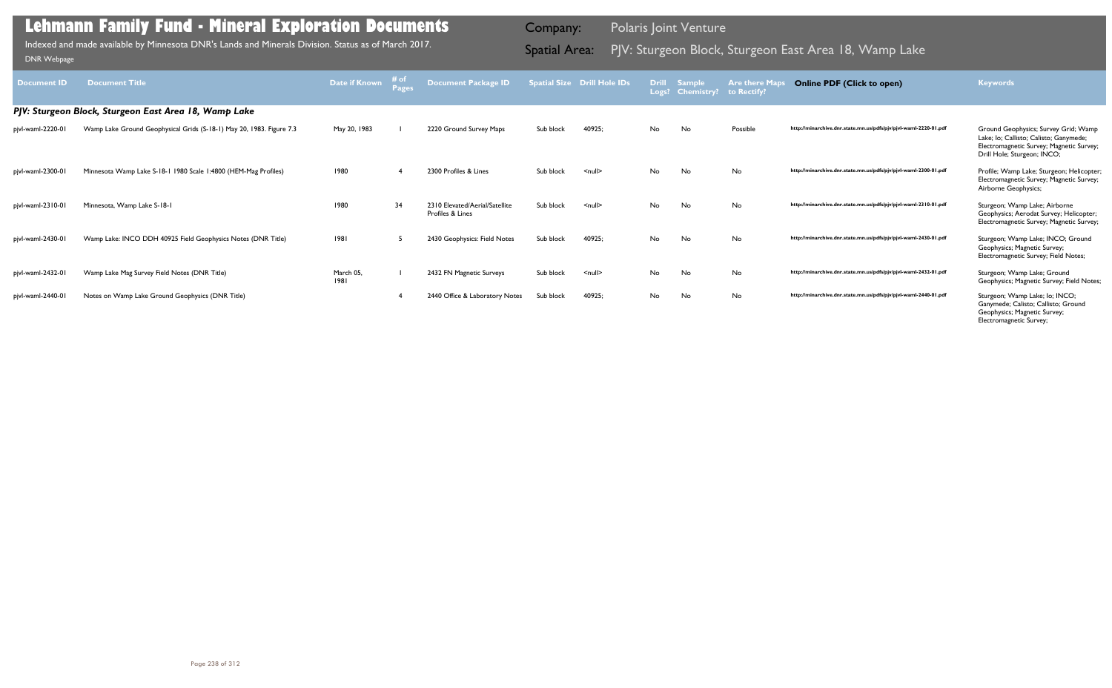| <b>Document ID</b> | <b>Document Title</b>                                                | Date if Known     | # of | <b>Document Package ID</b>                         |           | <b>Spatial Size Drill Hole IDs</b> | <b>Drill</b> | <b>Sample</b><br>Logs? Chemistry? | <b>Are there Maps</b><br>to Rectify? | <b>Online PDF (Click to open)</b>                                | <b>Keywords</b>                                                                                                                                           |
|--------------------|----------------------------------------------------------------------|-------------------|------|----------------------------------------------------|-----------|------------------------------------|--------------|-----------------------------------|--------------------------------------|------------------------------------------------------------------|-----------------------------------------------------------------------------------------------------------------------------------------------------------|
|                    | PJV: Sturgeon Block, Sturgeon East Area 18, Wamp Lake                |                   |      |                                                    |           |                                    |              |                                   |                                      |                                                                  |                                                                                                                                                           |
| pjvl-waml-2220-01  | Wamp Lake Ground Geophysical Grids (S-18-1) May 20, 1983. Figure 7.3 | May 20, 1983      |      | 2220 Ground Survey Maps                            | Sub block | 40925;                             | No           | No                                | Possible                             | http://minarchive.dnr.state.mn.us/pdfs/pjv/pjvl-waml-2220-01.pdf | Ground Geophysics; Survey Grid; Wamp<br>Lake; lo; Callisto; Calisto; Ganymede;<br>Electromagnetic Survey; Magnetic Survey;<br>Drill Hole; Sturgeon; INCO; |
| pjvl-waml-2300-01  | Minnesota Wamp Lake S-18-1 1980 Scale 1:4800 (HEM-Mag Profiles)      | 1980              |      | 2300 Profiles & Lines                              | Sub block | $null$                             | No           | No                                | No                                   | http://minarchive.dnr.state.mn.us/pdfs/pjv/pjvl-waml-2300-01.pdf | Profile; Wamp Lake; Sturgeon; Helicopter;<br>Electromagnetic Survey; Magnetic Survey;<br>Airborne Geophysics;                                             |
| pjvl-waml-2310-01  | Minnesota, Wamp Lake S-18-1                                          | 1980              | 34   | 2310 Elevated/Aerial/Satellite<br>Profiles & Lines | Sub block | $\leq$ null $\geq$                 | No.          | No                                | No                                   | http://minarchive.dnr.state.mn.us/pdfs/pjv/pjvl-waml-2310-01.pdf | Sturgeon; Wamp Lake; Airborne<br>Geophysics; Aerodat Survey; Helicopter;<br>Electromagnetic Survey; Magnetic Survey;                                      |
| pjvl-waml-2430-01  | Wamp Lake: INCO DDH 40925 Field Geophysics Notes (DNR Title)         | 1981              | -5   | 2430 Geophysics: Field Notes                       | Sub block | 40925:                             | No           | No                                | No                                   | http://minarchive.dnr.state.mn.us/pdfs/pjv/pjvl-waml-2430-01.pdf | Sturgeon; Wamp Lake; INCO; Ground<br>Geophysics; Magnetic Survey;<br>Electromagnetic Survey; Field Notes;                                                 |
| pjvl-waml-2432-01  | Wamp Lake Mag Survey Field Notes (DNR Title)                         | March 05.<br>1981 |      | 2432 FN Magnetic Surveys                           | Sub block | $\leq$ null $\geq$                 | No           | No                                | No                                   | http://minarchive.dnr.state.mn.us/pdfs/pjv/pjvl-waml-2432-01.pdf | Sturgeon; Wamp Lake; Ground<br>Geophysics; Magnetic Survey; Field Notes;                                                                                  |
| pjvl-waml-2440-01  | Notes on Wamp Lake Ground Geophysics (DNR Title)                     |                   |      | 2440 Office & Laboratory Notes                     | Sub block | 40925;                             | <b>No</b>    | No                                | No                                   | http://minarchive.dnr.state.mn.us/pdfs/pjv/pjvl-waml-2440-01.pdf | Sturgeon; Wamp Lake; lo; INCO;<br>Ganymede; Calisto; Callisto; Ground<br>Geophysics; Magnetic Survey;<br>Electromagnetic Survey;                          |

Indexed and made available by Minnesota DNR's Lands and Minerals Division. Status as of March 2017. **Spatial Area:** PJV: Sturgeon Block, Sturgeon East Area 18, Wamp Lake DNR Webpage Indexed and made available by Minnesota DNR's Lands and Minerals Division. Status as of March 2017.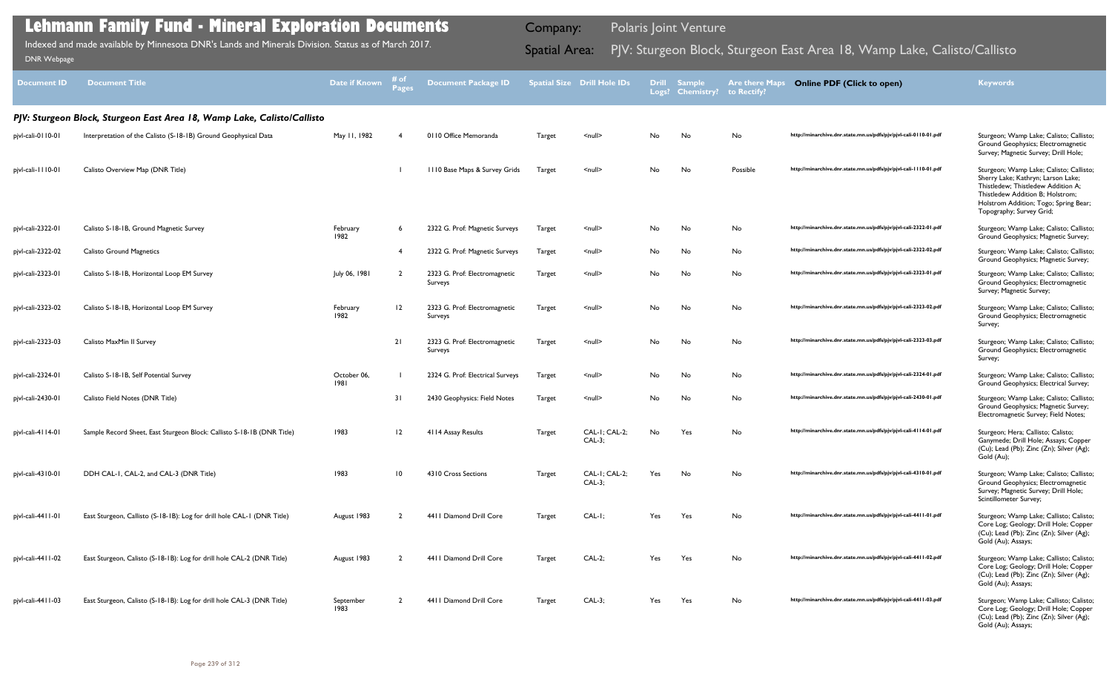| <b>Document ID</b>  | <b>Document Title</b>                                                   | Date if Known       | # of<br>Page:   | Document Package ID                      |               | <b>Spatial Size Drill Hole IDs</b> | <b>Drill</b> | <b>Sample</b><br>Logs? Chemistry? | <b>Are there Maps</b><br>to Rectify? | <b>Online PDF (Click to open)</b>                                | <b>Keywords</b>                                                                                                                                                                                                              |
|---------------------|-------------------------------------------------------------------------|---------------------|-----------------|------------------------------------------|---------------|------------------------------------|--------------|-----------------------------------|--------------------------------------|------------------------------------------------------------------|------------------------------------------------------------------------------------------------------------------------------------------------------------------------------------------------------------------------------|
|                     | PJV: Sturgeon Block, Sturgeon East Area 18, Wamp Lake, Calisto/Callisto |                     |                 |                                          |               |                                    |              |                                   |                                      |                                                                  |                                                                                                                                                                                                                              |
| pjvl-cali-0110-01   | Interpretation of the Calisto (S-18-1B) Ground Geophysical Data         | May 11, 1982        |                 | 0110 Office Memoranda                    | <b>Target</b> | <null></null>                      | No           | No                                | No                                   | http://minarchive.dnr.state.mn.us/pdfs/pjv/pjvl-cali-0110-01.pdf | Sturgeon; Wamp Lake; Calisto; Callisto;<br>Ground Geophysics; Electromagnetic<br>Survey; Magnetic Survey; Drill Hole;                                                                                                        |
| pjvl-cali-1110-01   | Calisto Overview Map (DNR Title)                                        |                     |                 | III0 Base Maps & Survey Grids            | Target        | $\leq$ null $\geq$                 | No           | No                                | Possible                             | http://minarchive.dnr.state.mn.us/pdfs/pjv/pjvl-cali-1110-01.pdf | Sturgeon; Wamp Lake; Calisto; Callisto;<br>Sherry Lake; Kathryn; Larson Lake;<br>Thistledew; Thistledew Addition A;<br>Thistledew Addition B; Holstrom;<br>Holstrom Addition; Togo; Spring Bear;<br>Topography; Survey Grid; |
| pjvl-cali-2322-01   | Calisto S-18-1B, Ground Magnetic Survey                                 | February<br>1982    | - 6             | 2322 G. Prof: Magnetic Surveys           | Target        | <null></null>                      | No           | No                                | No                                   | http://minarchive.dnr.state.mn.us/pdfs/pjv/pjvl-cali-2322-01.pdf | Sturgeon; Wamp Lake; Calisto; Callisto;<br>Ground Geophysics; Magnetic Survey;                                                                                                                                               |
| pjvl-cali-2322-02   | <b>Calisto Ground Magnetics</b>                                         |                     | - 4             | 2322 G. Prof: Magnetic Surveys           | Target        | $\leq$ null $\geq$                 | No           | No                                | No                                   | http://minarchive.dnr.state.mn.us/pdfs/pjv/pjvl-cali-2322-02.pdf | Sturgeon; Wamp Lake; Calisto; Callisto;<br>Ground Geophysics; Magnetic Survey;                                                                                                                                               |
| pjvl-cali-2323-01   | Calisto S-18-1B, Horizontal Loop EM Survey                              | July 06, 1981       | $\overline{2}$  | 2323 G. Prof: Electromagnetic<br>Surveys | <b>Target</b> | $null$                             | No           | No                                | No                                   | http://minarchive.dnr.state.mn.us/pdfs/pjv/pjvl-cali-2323-01.pdf | Sturgeon; Wamp Lake; Calisto; Callisto;<br>Ground Geophysics; Electromagnetic<br>Survey; Magnetic Survey;                                                                                                                    |
| pjvl-cali-2323-02   | Calisto S-18-1B, Horizontal Loop EM Survey                              | February<br>1982    | 12              | 2323 G. Prof: Electromagnetic<br>Surveys | Target        | <null></null>                      | No           | No                                | No                                   | http://minarchive.dnr.state.mn.us/pdfs/pjv/pjvl-cali-2323-02.pdf | Sturgeon; Wamp Lake; Calisto; Callisto;<br>Ground Geophysics; Electromagnetic<br>Survey;                                                                                                                                     |
| pjvl-cali-2323-03   | Calisto MaxMin II Survey                                                |                     | 21              | 2323 G. Prof: Electromagnetic<br>Surveys | Target        | $null$                             | No           | No                                | No                                   | http://minarchive.dnr.state.mn.us/pdfs/pjv/pjvl-cali-2323-03.pdf | Sturgeon; Wamp Lake; Calisto; Callisto;<br>Ground Geophysics; Electromagnetic<br>Survey;                                                                                                                                     |
| pjvl-cali-2324-01   | Calisto S-18-1B, Self Potential Survey                                  | October 06,<br>1981 |                 | 2324 G. Prof: Electrical Surveys         | Target        | <null></null>                      | No           | No                                | No                                   | http://minarchive.dnr.state.mn.us/pdfs/pjv/pjvl-cali-2324-01.pdf | Sturgeon; Wamp Lake; Calisto; Callisto;<br>Ground Geophysics; Electrical Survey;                                                                                                                                             |
| pjvl-cali-2430-01   | Calisto Field Notes (DNR Title)                                         |                     | 31              | 2430 Geophysics: Field Notes             | Target        | <null></null>                      | No           | No                                | No                                   | http://minarchive.dnr.state.mn.us/pdfs/pjv/pjvl-cali-2430-01.pdf | Sturgeon; Wamp Lake; Calisto; Callisto;<br>Ground Geophysics; Magnetic Survey;<br>Electromagnetic Survey; Field Notes;                                                                                                       |
| pjvl-cali-4114-01   | Sample Record Sheet, East Sturgeon Block: Callisto S-18-1B (DNR Title)  | 1983                | $\overline{12}$ | 4114 Assay Results                       | Target        | $CAL-I$ ; $CAL-2$ ;<br>$CAL-3;$    | No           | Yes                               | No                                   | http://minarchive.dnr.state.mn.us/pdfs/pjv/pjvl-cali-4114-01.pdf | Sturgeon; Hera; Callisto; Calisto;<br>Ganymede; Drill Hole; Assays; Copper<br>(Cu); Lead (Pb); Zinc (Zn); Silver (Ag);<br>Gold (Au);                                                                                         |
| pjvl-cali-4310-01   | DDH CAL-1, CAL-2, and CAL-3 (DNR Title)                                 | 1983                | $\overline{10}$ | 4310 Cross Sections                      | <b>Target</b> | CAL-1; CAL-2;<br>$CAL-3;$          | Yes          | No                                | No                                   | http://minarchive.dnr.state.mn.us/pdfs/pjv/pjvl-cali-4310-01.pdf | Sturgeon; Wamp Lake; Calisto; Callisto;<br>Ground Geophysics; Electromagnetic<br>Survey; Magnetic Survey; Drill Hole;<br>Scintillometer Survey;                                                                              |
| pjvl-cali-4411-01   | East Sturgeon, Callisto (S-18-1B): Log for drill hole CAL-1 (DNR Title) | August 1983         |                 | 4411 Diamond Drill Core                  | Target        | $CAL-I;$                           | Yes          | Yes                               | No                                   | http://minarchive.dnr.state.mn.us/pdfs/pjv/pjvl-cali-4411-01.pdf | Sturgeon; Wamp Lake; Callisto; Calisto;<br>Core Log; Geology; Drill Hole; Copper<br>(Cu); Lead (Pb); Zinc (Zn); Silver (Ag);<br>Gold (Au); Assays;                                                                           |
| pjvl-cali-44   1-02 | East Sturgeon, Calisto (S-18-1B): Log for drill hole CAL-2 (DNR Title)  | August 1983         |                 | 4411 Diamond Drill Core                  | Target        | $CAL-2;$                           | Yes          | Yes                               | No                                   | http://minarchive.dnr.state.mn.us/pdfs/pjv/pjvl-cali-4411-02.pdf | Sturgeon; Wamp Lake; Callisto; Calisto;<br>Core Log; Geology; Drill Hole; Copper<br>(Cu); Lead (Pb); Zinc (Zn); Silver (Ag);<br>Gold (Au); Assays;                                                                           |
| pjvl-cali-4411-03   | East Sturgeon, Calisto (S-18-1B): Log for drill hole CAL-3 (DNR Title)  | September<br>1983   |                 | 4411 Diamond Drill Core                  | Target        | $CAL-3;$                           | Yes          | Yes                               | No                                   | http://minarchive.dnr.state.mn.us/pdfs/pjv/pjvl-cali-4411-03.pdf | Sturgeon; Wamp Lake; Callisto; Calisto;<br>Core Log; Geology; Drill Hole; Copper<br>(Cu); Lead (Pb); Zinc (Zn); Silver (Ag);<br>Gold (Au); Assays;                                                                           |

Indexed and made available by Minnesota DNR's Lands and Minerals Division. Status as of March 2017. **Spatial Area:** PJV: Sturgeon Block, Sturgeon East Area 18, Wamp Lake, Calisto/Callisto וDNR Webpage Indexed and made available by Minnesota DNR's Lands and Minerals Division. Status as of March 2017.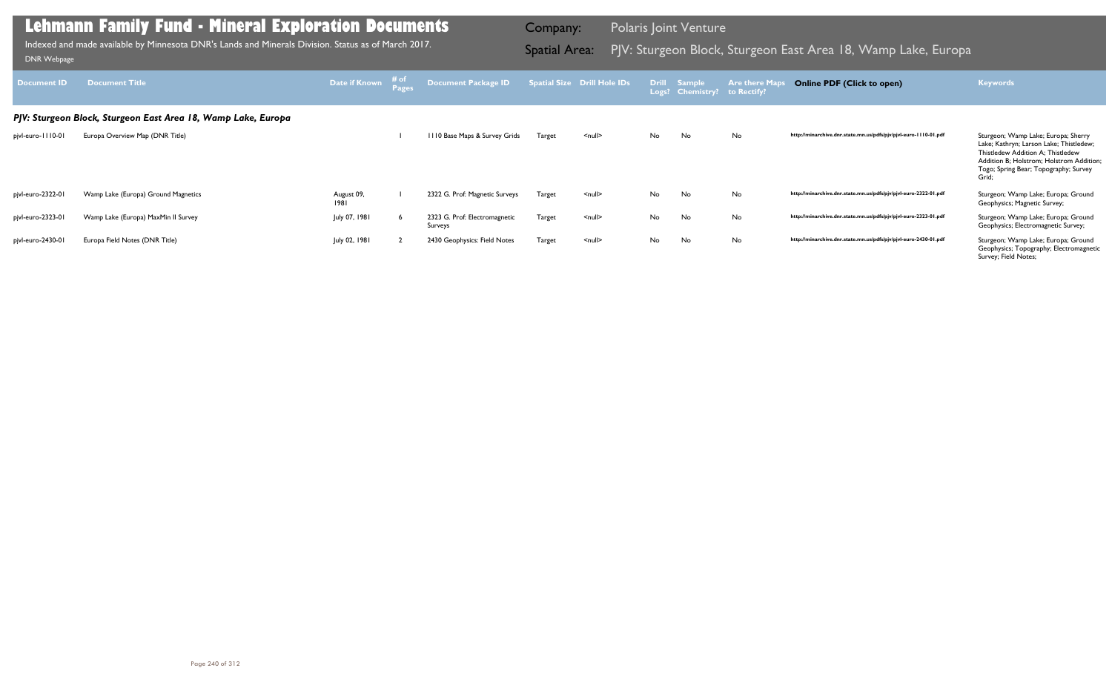| <b>Document ID</b> | <b>Document Title</b>                                         | Date if Known      | # of<br><b>Pages</b> | Document Package ID                      |               | <b>Spatial Size Drill Hole IDs</b> | Logs? | Drill Sample<br><b>Chemistry?</b> | <b>Are there Maps</b><br>to Rectify? | <b>Online PDF (Click to open)</b>                                | <b>Keywords</b>                                                                                                                                                                                                   |
|--------------------|---------------------------------------------------------------|--------------------|----------------------|------------------------------------------|---------------|------------------------------------|-------|-----------------------------------|--------------------------------------|------------------------------------------------------------------|-------------------------------------------------------------------------------------------------------------------------------------------------------------------------------------------------------------------|
|                    | PJV: Sturgeon Block, Sturgeon East Area 18, Wamp Lake, Europa |                    |                      |                                          |               |                                    |       |                                   |                                      |                                                                  |                                                                                                                                                                                                                   |
| pjvl-euro-1110-01  | Europa Overview Map (DNR Title)                               |                    |                      | III0 Base Maps & Survey Grids            | <b>Target</b> | $\leq$ null $\geq$                 | No    | No                                | No                                   | http://minarchive.dnr.state.mn.us/pdfs/pjv/pjvl-euro-1110-01.pdf | Sturgeon; Wamp Lake; Europa; Sherry<br>Lake; Kathryn; Larson Lake; Thistledew;<br>Thistledew Addition A; Thistledew<br>Addition B; Holstrom; Holstrom Addition;<br>Togo; Spring Bear; Topography; Survey<br>Grid; |
| pjvl-euro-2322-01  | Wamp Lake (Europa) Ground Magnetics                           | August 09,<br>1981 |                      | 2322 G. Prof: Magnetic Surveys           | <b>Target</b> | $\leq$ null $\geq$                 | No    | No                                | No                                   | http://minarchive.dnr.state.mn.us/pdfs/pjv/pjvl-euro-2322-01.pdf | Sturgeon; Wamp Lake; Europa; Ground<br>Geophysics; Magnetic Survey;                                                                                                                                               |
| pjvl-euro-2323-01  | Wamp Lake (Europa) MaxMin II Survey                           | July 07, 1981      |                      | 2323 G. Prof: Electromagnetic<br>Surveys | Target        | $\leq$ null $\geq$                 | No    | No                                | No                                   | http://minarchive.dnr.state.mn.us/pdfs/pjv/pjvl-euro-2323-01.pdf | Sturgeon; Wamp Lake; Europa; Ground<br>Geophysics; Electromagnetic Survey;                                                                                                                                        |
| pjvl-euro-2430-01  | Europa Field Notes (DNR Title)                                | July 02, 1981      |                      | 2430 Geophysics: Field Notes             | Target        | $\leq$ null $\geq$                 | No    | No                                | No                                   | http://minarchive.dnr.state.mn.us/pdfs/pjv/pjvl-euro-2430-01.pdf | Sturgeon; Wamp Lake; Europa; Ground<br>Geophysics; Topography; Electromagnetic<br>Survey; Field Notes;                                                                                                            |

Indexed and made available by Minnesota DNR's Lands and Minerals Division. Status as of March 2017.

Company: Polaris Joint Venture

# Indexed and made available by Minnesota DNR's Lands and Minerals Division. Status as of March 2017. **Spatial Area:** PJV: Sturgeon Block, Sturgeon East Area 18, Wamp Lake, Europa DNR Webpage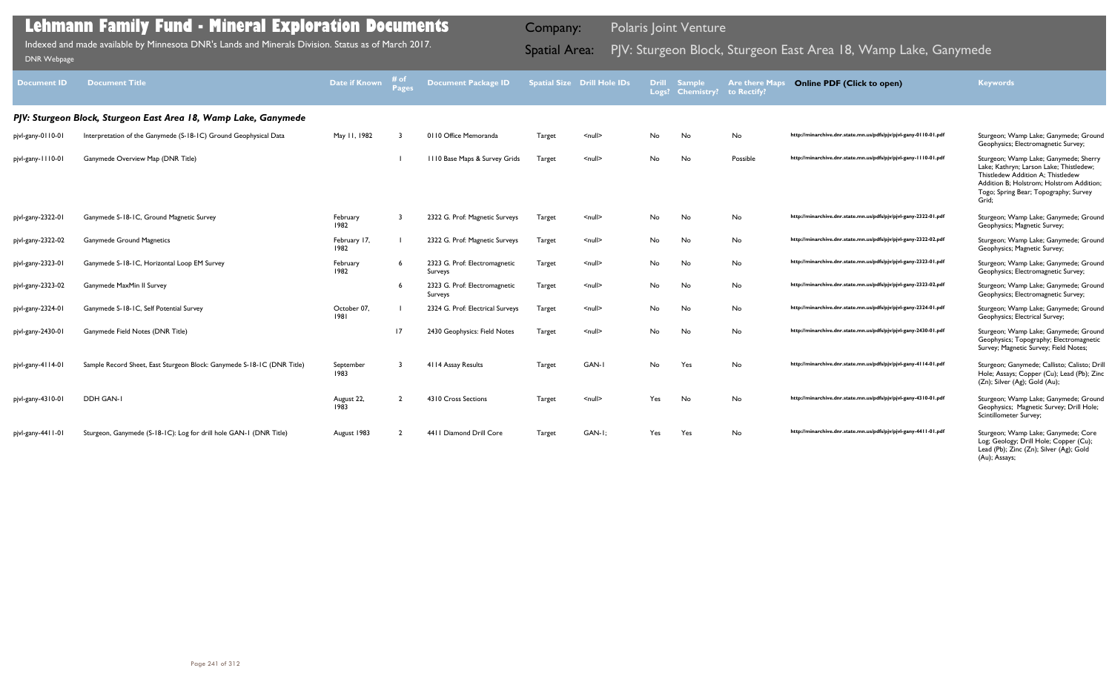| atial Size | <b>Drill Hole IDs</b> | <b>Drill</b><br>Logs? | <b>Sample</b><br><b>Chemistry?</b> | <b>Are there Maps</b><br>to Rectify? | <b>Online PDF (Click to open)</b>                                | <b>Keywords</b>                                                                                                                                                                                                     |
|------------|-----------------------|-----------------------|------------------------------------|--------------------------------------|------------------------------------------------------------------|---------------------------------------------------------------------------------------------------------------------------------------------------------------------------------------------------------------------|
|            |                       |                       |                                    |                                      |                                                                  |                                                                                                                                                                                                                     |
| Target     | <null></null>         | No                    | No                                 | No                                   | http://minarchive.dnr.state.mn.us/pdfs/pjv/pjvl-gany-0110-01.pdf | Sturgeon; Wamp Lake; Ganymede; Ground<br>Geophysics; Electromagnetic Survey;                                                                                                                                        |
| Target     | <null></null>         | No                    | No                                 | Possible                             | http://minarchive.dnr.state.mn.us/pdfs/pjv/pjvl-gany-1110-01.pdf | Sturgeon; Wamp Lake; Ganymede; Sherry<br>Lake; Kathryn; Larson Lake; Thistledew;<br>Thistledew Addition A; Thistledew<br>Addition B; Holstrom; Holstrom Addition;<br>Togo; Spring Bear; Topography; Survey<br>Grid; |
| Target     | <null></null>         | No                    | No                                 | No                                   | http://minarchive.dnr.state.mn.us/pdfs/pjv/pjvl-gany-2322-01.pdf | Sturgeon; Wamp Lake; Ganymede; Ground<br>Geophysics; Magnetic Survey;                                                                                                                                               |
| Target     | <null></null>         | No.                   | No                                 | No                                   | http://minarchive.dnr.state.mn.us/pdfs/pjv/pjvl-gany-2322-02.pdf | Sturgeon; Wamp Lake; Ganymede; Ground<br>Geophysics; Magnetic Survey;                                                                                                                                               |
| Target     | <null></null>         | No                    | No                                 | No                                   | http://minarchive.dnr.state.mn.us/pdfs/pjv/pjvl-gany-2323-01.pdf | Sturgeon; Wamp Lake; Ganymede; Ground<br>Geophysics; Electromagnetic Survey;                                                                                                                                        |
| Target     | <null></null>         | No                    | No                                 | No                                   | http://minarchive.dnr.state.mn.us/pdfs/pjv/pjvl-gany-2323-02.pdf | Sturgeon; Wamp Lake; Ganymede; Ground<br>Geophysics; Electromagnetic Survey;                                                                                                                                        |
| Target     | $null$                | No                    | No                                 | No                                   | http://minarchive.dnr.state.mn.us/pdfs/pjv/pjvl-gany-2324-01.pdf | Sturgeon; Wamp Lake; Ganymede; Ground<br>Geophysics; Electrical Survey;                                                                                                                                             |
| Target     | <null></null>         | No                    | No                                 | No                                   | http://minarchive.dnr.state.mn.us/pdfs/pjv/pjvl-gany-2430-01.pdf | Sturgeon; Wamp Lake; Ganymede; Ground<br>Geophysics; Topography; Electromagnetic<br>Survey; Magnetic Survey; Field Notes;                                                                                           |
| Target     | GAN-I                 | No                    | Yes                                | No                                   | http://minarchive.dnr.state.mn.us/pdfs/pjv/pjvl-gany-4114-01.pdf | Sturgeon; Ganymede; Callisto; Calisto; Drill<br>Hole; Assays; Copper (Cu); Lead (Pb); Zinc<br>(Zn); Silver (Ag); Gold (Au);                                                                                         |
| Target     | <null></null>         | Yes                   | No                                 | No                                   | http://minarchive.dnr.state.mn.us/pdfs/pjv/pjvl-gany-4310-01.pdf | Sturgeon; Wamp Lake; Ganymede; Ground<br>Geophysics; Magnetic Survey; Drill Hole;<br>Scintillometer Survey;                                                                                                         |
| Target     | GAN-I:                | Yes                   | Yes                                | No                                   | http://minarchive.dnr.state.mn.us/pdfs/pjv/pjvl-gany-4411-01.pdf | Sturgeon; Wamp Lake; Ganymede; Core<br>Log; Geology; Drill Hole; Copper (Cu);<br>Lead (Pb); Zinc (Zn); Silver (Ag); Gold<br>(Au); Assays;                                                                           |

| <b>Document ID</b> | <b>Document Title</b>                                                  | <b>Date if Known</b> | # of<br><b>Pages</b> | <b>Document Package ID</b>               |               | <b>Spatial Size Drill Hole IDs</b> | <b>Drill</b> | <b>Sample</b><br>Logs? Chemistry? | <b>Are there Maps</b><br>to Rectify? | <b>Online PDF (Click to open)</b>                                | <b>Keywords</b>                                                                                                                                                                                                     |
|--------------------|------------------------------------------------------------------------|----------------------|----------------------|------------------------------------------|---------------|------------------------------------|--------------|-----------------------------------|--------------------------------------|------------------------------------------------------------------|---------------------------------------------------------------------------------------------------------------------------------------------------------------------------------------------------------------------|
|                    | PJV: Sturgeon Block, Sturgeon East Area 18, Wamp Lake, Ganymede        |                      |                      |                                          |               |                                    |              |                                   |                                      |                                                                  |                                                                                                                                                                                                                     |
| pjvl-gany-0110-01  | Interpretation of the Ganymede (S-18-1C) Ground Geophysical Data       | May 11, 1982         |                      | 0110 Office Memoranda                    | Target        | $\leq$ null $\geq$                 | No           | No                                | No                                   | http://minarchive.dnr.state.mn.us/pdfs/pjv/pjvl-gany-0110-01.pdf | Sturgeon; Wamp Lake; Ganymede; Ground<br>Geophysics; Electromagnetic Survey;                                                                                                                                        |
| pjvl-gany-1110-01  | Ganymede Overview Map (DNR Title)                                      |                      |                      | 1110 Base Maps & Survey Grids            | <b>Target</b> | $\leq$ null $\geq$                 | No           | No                                | Possible                             | http://minarchive.dnr.state.mn.us/pdfs/pjv/pjvl-gany-1110-01.pdf | Sturgeon; Wamp Lake; Ganymede; Sherry<br>Lake; Kathryn; Larson Lake; Thistledew;<br>Thistledew Addition A: Thistledew<br>Addition B; Holstrom; Holstrom Addition;<br>Togo; Spring Bear; Topography; Survey<br>Grid; |
| pjvl-gany-2322-01  | Ganymede S-18-1C, Ground Magnetic Survey                               | February<br>1982     |                      | 2322 G. Prof: Magnetic Surveys           | Target        | <null></null>                      | No           | No                                | No                                   | http://minarchive.dnr.state.mn.us/pdfs/pjv/pjvl-gany-2322-01.pdf | Sturgeon; Wamp Lake; Ganymede; Ground<br>Geophysics; Magnetic Survey;                                                                                                                                               |
| pjvl-gany-2322-02  | <b>Ganymede Ground Magnetics</b>                                       | February 17,<br>1982 |                      | 2322 G. Prof: Magnetic Surveys           | Target        | $\le$ null $\ge$                   | No           | No                                | No                                   | http://minarchive.dnr.state.mn.us/pdfs/pjv/pjvl-gany-2322-02.pdf | Sturgeon; Wamp Lake; Ganymede; Ground<br>Geophysics; Magnetic Survey;                                                                                                                                               |
| pjvl-gany-2323-01  | Ganymede S-18-1C, Horizontal Loop EM Survey                            | February<br>1982     |                      | 2323 G. Prof: Electromagnetic<br>Surveys | Target        | $\leq$ null $\geq$                 | No           | No                                | No                                   | http://minarchive.dnr.state.mn.us/pdfs/pjv/pjvl-gany-2323-01.pdf | Sturgeon; Wamp Lake; Ganymede; Ground<br>Geophysics; Electromagnetic Survey;                                                                                                                                        |
| pjvl-gany-2323-02  | Ganymede MaxMin II Survey                                              |                      |                      | 2323 G. Prof: Electromagnetic<br>Surveys | Target        | $\leq$ null $\geq$                 | No           | No                                | No                                   | http://minarchive.dnr.state.mn.us/pdfs/pjv/pjvl-gany-2323-02.pdf | Sturgeon; Wamp Lake; Ganymede; Ground<br>Geophysics; Electromagnetic Survey;                                                                                                                                        |
| pjvl-gany-2324-01  | Ganymede S-18-1C, Self Potential Survey                                | October 07,<br>1981  |                      | 2324 G. Prof: Electrical Surveys         | <b>Target</b> | $\leq$ null $\geq$                 | No           | No                                | No                                   | http://minarchive.dnr.state.mn.us/pdfs/pjv/pjvl-gany-2324-01.pdf | Sturgeon; Wamp Lake; Ganymede; Ground<br>Geophysics; Electrical Survey;                                                                                                                                             |
| pjvl-gany-2430-01  | Ganymede Field Notes (DNR Title)                                       |                      | 17                   | 2430 Geophysics: Field Notes             | <b>Target</b> | $\leq$ null $\geq$                 | No           | No                                | No                                   | http://minarchive.dnr.state.mn.us/pdfs/pjv/pjvl-gany-2430-01.pdf | Sturgeon; Wamp Lake; Ganymede; Ground<br>Geophysics; Topography; Electromagnetic<br>Survey; Magnetic Survey; Field Notes;                                                                                           |
| pjvl-gany-4114-01  | Sample Record Sheet, East Sturgeon Block: Ganymede S-18-1C (DNR Title) | September<br>1983    |                      | 4114 Assay Results                       | <b>Target</b> | GAN-I                              | No           | Yes                               | No                                   | http://minarchive.dnr.state.mn.us/pdfs/pjv/pjvl-gany-4114-01.pdf | Sturgeon; Ganymede; Callisto; Calisto; Drill<br>Hole; Assays; Copper (Cu); Lead (Pb); Zinc<br>(Zn); Silver (Ag); Gold (Au);                                                                                         |
| pjvl-gany-4310-01  | DDH GAN-I                                                              | August 22,<br>1983   | $\overline{2}$       | 4310 Cross Sections                      | <b>Target</b> | $\leq$ null $\geq$                 | Yes          | No                                | No                                   | http://minarchive.dnr.state.mn.us/pdfs/pjv/pjvl-gany-4310-01.pdf | Sturgeon; Wamp Lake; Ganymede; Ground<br>Geophysics; Magnetic Survey; Drill Hole;<br>Scintillometer Survey;                                                                                                         |
| pjvl-gany-4411-01  | Sturgeon, Ganymede (S-18-1C): Log for drill hole GAN-1 (DNR Title)     | August 1983          |                      | 4411 Diamond Drill Core                  | Target        | GAN-I:                             | Yes          | Yes                               | No                                   | http://minarchive.dnr.state.mn.us/pdfs/pjv/pjvl-gany-4411-01.pdf | Sturgeon; Wamp Lake; Ganymede; Core                                                                                                                                                                                 |

Indexed and made available by Minnesota DNR's Lands and Minerals Division. Status as of March 2017. **Spatial Area:** PJV: Sturgeon Block, Sturgeon East Area 18, Wamp Lake, Ganymede <sub>DNR Webpage</sub> Indexed and made available by Minnesota DNR's Lands and Minerals Division. Status as of March 2017.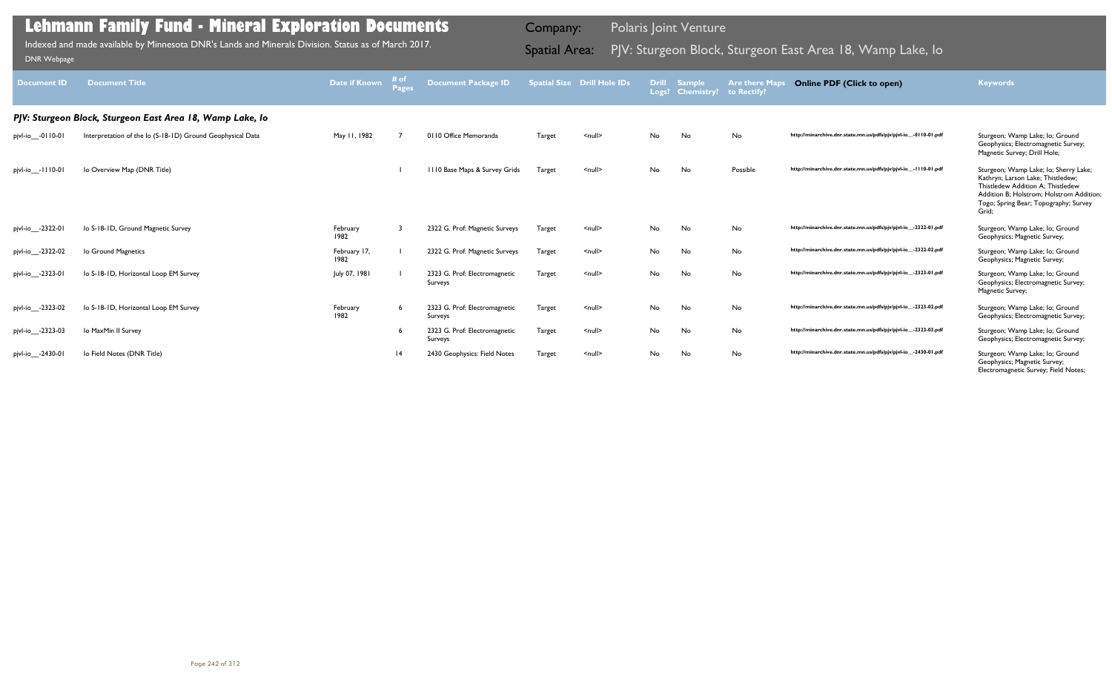| <b>Document ID</b> | <b>Document Title</b>                                      | Date if Known        | # of<br><b>Pages</b> | <b>Document Package ID</b>               |               | Spatial Size Drill Hole IDs |    | Drill Sample<br>Logs? Chemistry? to Rectify? | <b>Are there Maps</b> | <b>Online PDF (Click to open)</b>                                | <b>Keywords</b>                                                                                                                                                                                               |
|--------------------|------------------------------------------------------------|----------------------|----------------------|------------------------------------------|---------------|-----------------------------|----|----------------------------------------------|-----------------------|------------------------------------------------------------------|---------------------------------------------------------------------------------------------------------------------------------------------------------------------------------------------------------------|
|                    | PJV: Sturgeon Block, Sturgeon East Area 18, Wamp Lake, Io  |                      |                      |                                          |               |                             |    |                                              |                       |                                                                  |                                                                                                                                                                                                               |
| pjvl-io__-0110-01  | Interpretation of the lo (S-18-1D) Ground Geophysical Data | May 11, 1982         |                      | 0110 Office Memoranda                    | Target        | $\leq$ null $\geq$          | No | No                                           | No                    | http://minarchive.dnr.state.mn.us/pdfs/pjv/pjvl-io_-0110-01.pdf  | Sturgeon; Wamp Lake; lo; Ground<br>Geophysics; Electromagnetic Survey;<br>Magnetic Survey; Drill Hole;                                                                                                        |
| pjvl-io__-1110-01  | lo Overview Map (DNR Title)                                |                      |                      | III0 Base Maps & Survey Grids            | <b>Target</b> | $\leq$ null $\geq$          | No | No                                           | Possible              | http://minarchive.dnr.state.mn.us/pdfs/pjv/pjvl-io_-1110-01.pdf  | Sturgeon; Wamp Lake; lo; Sherry Lake;<br>Kathryn; Larson Lake; Thistledew;<br>Thistledew Addition A: Thistledew<br>Addition B: Holstrom: Holstrom Addition:<br>Togo; Spring Bear; Topography; Survey<br>Grid: |
| pjvl-io__-2322-01  | lo S-18-1D, Ground Magnetic Survey                         | February<br>1982     |                      | 2322 G. Prof: Magnetic Surveys           | Target        | $null$                      | No | No                                           | No                    | http://minarchive.dnr.state.mn.us/pdfs/pjv/pjvl-io__-2322-01.pdf | Sturgeon; Wamp Lake; lo; Ground<br>Geophysics; Magnetic Survey;                                                                                                                                               |
| pjvl-io__-2322-02  | lo Ground Magnetics                                        | February 17,<br>1982 |                      | 2322 G. Prof: Magnetic Surveys           | Target        | $\leq$ null $\geq$          | No | No                                           | No                    | http://minarchive.dnr.state.mn.us/pdfs/pjv/pjvl-io__-2322-02.pdf | Sturgeon; Wamp Lake; lo; Ground<br>Geophysics; Magnetic Survey;                                                                                                                                               |
| pjvl-io__-2323-01  | lo S-18-1D, Horizontal Loop EM Survey                      | July 07, 1981        |                      | 2323 G. Prof: Electromagnetic<br>Surveys | Target        | $\leq$ null $\geq$          | No | No                                           | No                    | http://minarchive.dnr.state.mn.us/pdfs/pjv/pjvl-io__-2323-01.pdf | Sturgeon; Wamp Lake; lo; Ground<br>Geophysics; Electromagnetic Survey;<br>Magnetic Survey;                                                                                                                    |
| pjvl-io__-2323-02  | lo S-18-1D, Horizontal Loop EM Survey                      | February<br>1982     | 6                    | 2323 G. Prof: Electromagnetic<br>Surveys | Target        | $\leq$ null $\geq$          | No | No                                           | No                    | http://minarchive.dnr.state.mn.us/pdfs/pjv/pjvl-io__-2323-02.pdf | Sturgeon; Wamp Lake; lo; Ground<br>Geophysics; Electromagnetic Survey;                                                                                                                                        |
| pjvl-io__-2323-03  | Io MaxMin II Survey                                        |                      | 6                    | 2323 G. Prof: Electromagnetic<br>Surveys | Target        | $\leq$ null $\geq$          | No | No                                           | No                    | http://minarchive.dnr.state.mn.us/pdfs/pjv/pjvl-io__-2323-03.pdf | Sturgeon; Wamp Lake; lo; Ground<br>Geophysics; Electromagnetic Survey;                                                                                                                                        |
| pjvl-io__-2430-01  | lo Field Notes (DNR Title)                                 |                      | 4                    | 2430 Geophysics: Field Notes             | Target        | $null$                      | No | No                                           | No                    | http://minarchive.dnr.state.mn.us/pdfs/pjv/pjvl-io__-2430-01.pdf | Sturgeon; Wamp Lake; lo; Ground<br>Geophysics; Magnetic Survey;<br>Electromagnetic Survey; Field Notes;                                                                                                       |

Indexed and made available by Minnesota DNR's Lands and Minerals Division. Status as of March 2017. **Spatial Area:** PJV: Sturgeon Block, Sturgeon East Area 18, Wamp Lake, Io Inne webpage Indexed and made available by Minnesota DNR's Lands and Minerals Division. Status as of March 2017.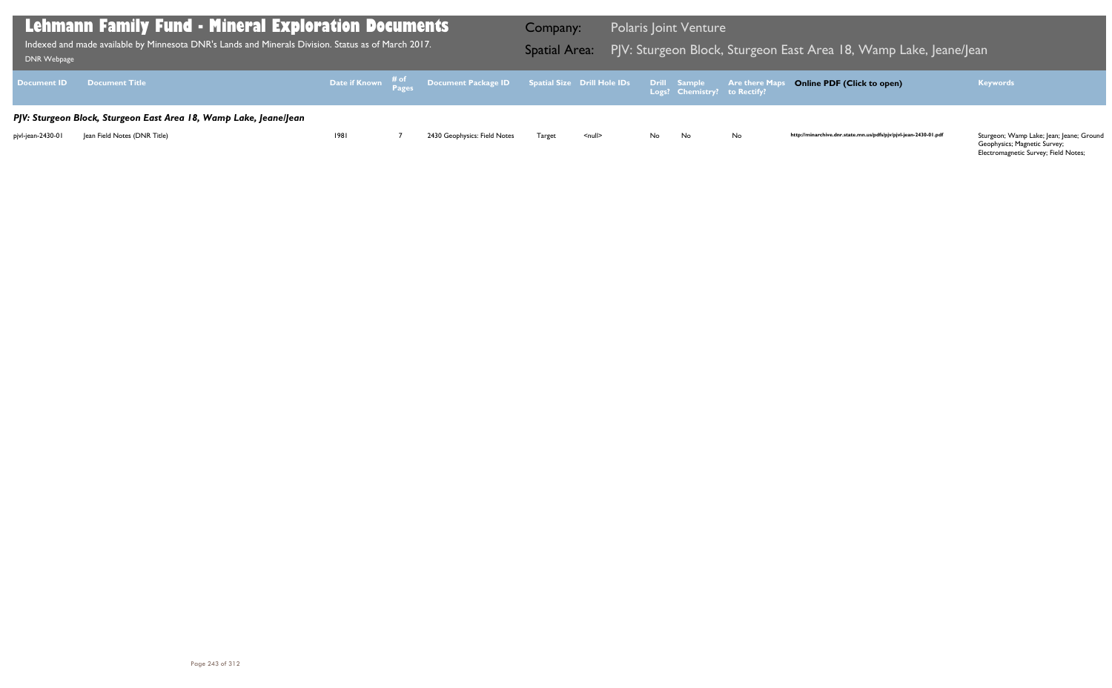Geophysics; Magnetic Survey; Electromagnetic Survey; Field Notes;

| DNR Webpage       | Lehmann Family Fund - Mineral Exploration Documents<br>Indexed and made available by Minnesota DNR's Lands and Minerals Division. Status as of March 2017. |      |                                                                                                | <b>Company:</b> |               |    | <b>Polaris Joint Venture</b> |    | Spatial Area: PJV: Sturgeon Block, Sturgeon East Area 18, Wamp Lake, Jeane/Jean |                                                                          |
|-------------------|------------------------------------------------------------------------------------------------------------------------------------------------------------|------|------------------------------------------------------------------------------------------------|-----------------|---------------|----|------------------------------|----|---------------------------------------------------------------------------------|--------------------------------------------------------------------------|
|                   | Document ID Document Title                                                                                                                                 |      | Date if Known # of Document Package ID Spatial Size Drill Hole IDs Drill Sample Are there Maps |                 |               |    |                              |    | <b>Online PDF (Click to open)</b>                                               | <b>Keywords</b>                                                          |
|                   | PJV: Sturgeon Block, Sturgeon East Area 18, Wamp Lake, JeanelJean                                                                                          |      |                                                                                                |                 |               |    |                              |    |                                                                                 |                                                                          |
| pjvl-jean-2430-01 | Jean Field Notes (DNR Title)                                                                                                                               | 1981 | 2430 Geophysics: Field Notes                                                                   | <b>Target</b>   | <null></null> | No | No                           | No | http://minarchive.dnr.state.mn.us/pdfs/pjv/pjvl-jean-2430-01.pdf                | Sturgeon; Wamp Lake; Jean; Jeane; Ground<br>Geophysics: Magnetic Survey: |

### Bast Area 18, Wamp Lake, Jeane/Jean

### **Online PDF (Click to open) Keywords**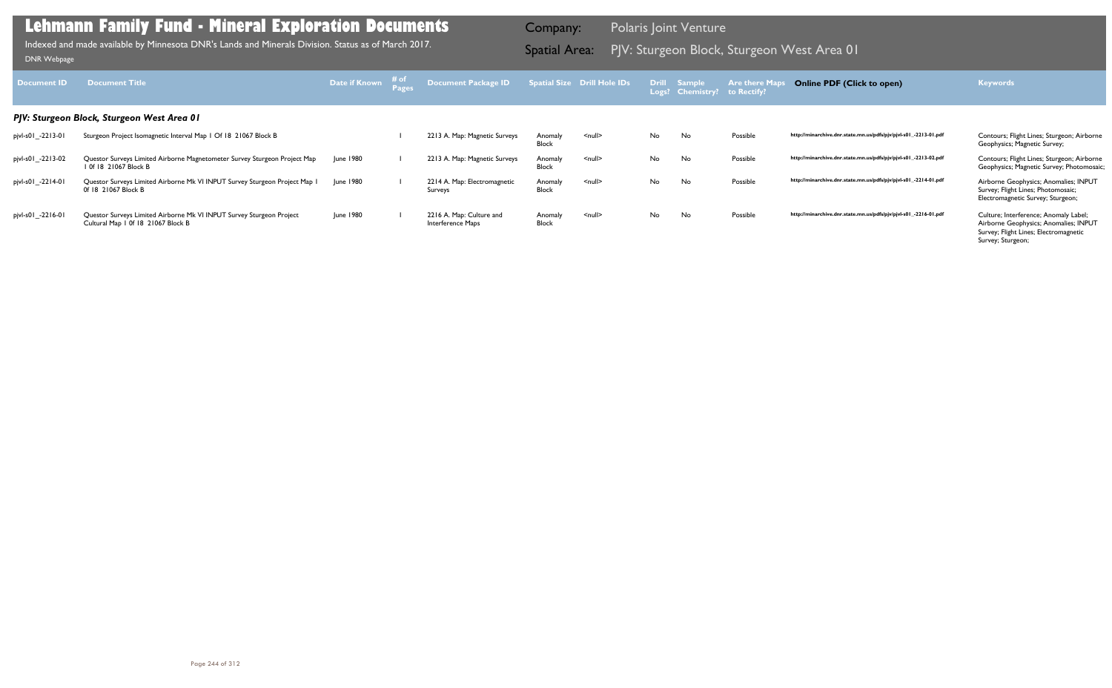| Document <b>ID</b> | <b>Document Title</b>                                                                                      | Date if Known | ⊤# of | Document Package ID                           |                         | Spatial Size Drill Hole IDs |     | Drill Sample<br>Logs? Chemistry? | <b>Are there Maps</b><br>to Rectify? | <b>Online PDF (Click to open)</b>                                | <b>Keywords</b>                                                                                                                              |
|--------------------|------------------------------------------------------------------------------------------------------------|---------------|-------|-----------------------------------------------|-------------------------|-----------------------------|-----|----------------------------------|--------------------------------------|------------------------------------------------------------------|----------------------------------------------------------------------------------------------------------------------------------------------|
|                    | PJV: Sturgeon Block, Sturgeon West Area 01                                                                 |               |       |                                               |                         |                             |     |                                  |                                      |                                                                  |                                                                                                                                              |
| pjvl-s01_-2213-01  | Sturgeon Project Isomagnetic Interval Map 1 Of 18 21067 Block B                                            |               |       | 2213 A. Map: Magnetic Surveys                 | Anomaly<br>Block        | $\leq$ null $\geq$          | No. | No                               | Possible                             | http://minarchive.dnr.state.mn.us/pdfs/pjv/pjvl-s01_-2213-01.pdf | Contours; Flight Lines; Sturgeon; Airborne<br>Geophysics; Magnetic Survey;                                                                   |
| pjvl-s01_-2213-02  | Questor Surveys Limited Airborne Magnetometer Survey Sturgeon Project Map<br>1 0f 18 21067 Block B         | June 1980     |       | 2213 A. Map: Magnetic Surveys                 | Anomaly<br>Block        | $\leq$ null $\geq$          | No. | No                               | Possible                             | http://minarchive.dnr.state.mn.us/pdfs/pjv/pjvl-s01_-2213-02.pdf | Contours; Flight Lines; Sturgeon; Airborne<br>Geophysics; Magnetic Survey; Photomosaic;                                                      |
| pjvl-s01_-2214-01  | Questor Surveys Limited Airborne Mk VI INPUT Survey Sturgeon Project Map I<br>0f 18 21067 Block B          | June 1980     |       | 2214 A. Map: Electromagnetic<br>Surveys       | Anomaly<br><b>Block</b> | $null$                      | No. | No                               | Possible                             | http://minarchive.dnr.state.mn.us/pdfs/pjv/pjvl-s01_-2214-01.pdf | Airborne Geophysics; Anomalies; INPUT<br>Survey; Flight Lines; Photomosaic;<br>Electromagnetic Survey; Sturgeon;                             |
| pjvl-s01_-2216-01  | Questor Surveys Limited Airborne Mk VI INPUT Survey Sturgeon Project<br>Cultural Map 1 0f 18 21067 Block B | June 1980     |       | 2216 A. Map: Culture and<br>Interference Maps | Anomaly<br><b>Block</b> | $null$                      | No. | No                               | Possible                             | http://minarchive.dnr.state.mn.us/pdfs/pjv/pjvl-s01_-2216-01.pdf | Culture; Interference; Anomaly Label;<br>Airborne Geophysics; Anomalies; INPUT<br>Survey; Flight Lines; Electromagnetic<br>Survey; Sturgeon; |

PJV: Sturgeon Block, Sturgeon West Area 01 Indexed and made available by Minnesota DNR's Lands and Minerals Division. Status as of March 2017. Spatial Area: [DNR Webpage](http://www.dnr.state.mn.us/lands_minerals/polaris/index.html)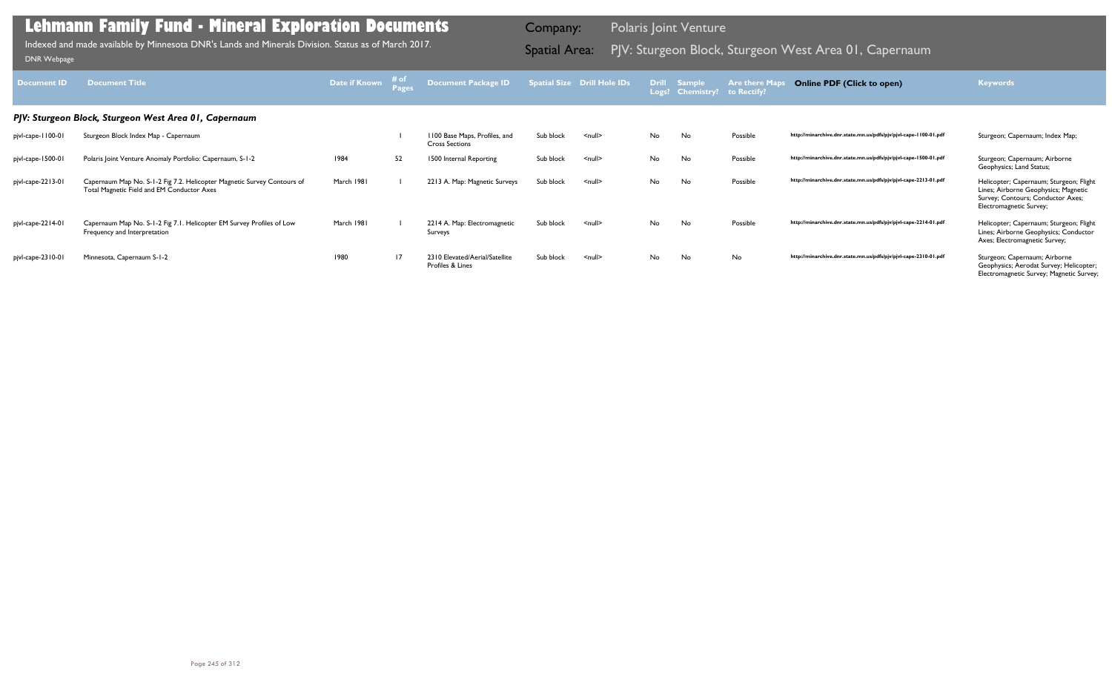| <b>Document ID</b> | <b>Document Title</b>                                                                                                 | Date if Known | $\begin{array}{c}\n\text{# of} \\ \text{Page}\n\end{array}$ | Document Package ID                                    |           | <b>Spatial Size Drill Hole IDs</b> |    | <b>Drill Sample</b><br>Logs? Chemistry? to Rectify? | <b>Are there Maps</b> | <b>Online PDF (Click to open)</b>                                | <b>Keywords</b>                                                                                                                                 |
|--------------------|-----------------------------------------------------------------------------------------------------------------------|---------------|-------------------------------------------------------------|--------------------------------------------------------|-----------|------------------------------------|----|-----------------------------------------------------|-----------------------|------------------------------------------------------------------|-------------------------------------------------------------------------------------------------------------------------------------------------|
|                    | PJV: Sturgeon Block, Sturgeon West Area 01, Capernaum                                                                 |               |                                                             |                                                        |           |                                    |    |                                                     |                       |                                                                  |                                                                                                                                                 |
| pjvl-cape-1100-01  | Sturgeon Block Index Map - Capernaum                                                                                  |               |                                                             | 1100 Base Maps, Profiles, and<br><b>Cross Sections</b> | Sub block | $<$ null $>$                       | No | No                                                  | Possible              | http://minarchive.dnr.state.mn.us/pdfs/pjv/pjvl-cape-1100-01.pdf | Sturgeon; Capernaum; Index Map;                                                                                                                 |
| pjvl-cape-1500-01  | Polaris Joint Venture Anomaly Portfolio: Capernaum, S-1-2                                                             | 1984          | 52                                                          | 1500 Internal Reporting                                | Sub block | $\leq$ null $\geq$                 | No | No                                                  | Possible              | http://minarchive.dnr.state.mn.us/pdfs/pjv/pjvl-cape-1500-01.pdf | Sturgeon; Capernaum; Airborne<br>Geophysics; Land Status;                                                                                       |
| pjvl-cape-2213-01  | Capernaum Map No. S-1-2 Fig 7.2. Helicopter Magnetic Survey Contours of<br>Total Magnetic Field and EM Conductor Axes | March 1981    |                                                             | 2213 A. Map: Magnetic Surveys                          | Sub block | $\le$ null $\ge$                   | No | No                                                  | Possible              | http://minarchive.dnr.state.mn.us/pdfs/pjv/pjvl-cape-2213-01.pdf | Helicopter; Capernaum; Sturgeon; Flight<br>Lines; Airborne Geophysics; Magnetic<br>Survey; Contours; Conductor Axes;<br>Electromagnetic Survey; |
| pjvl-cape-2214-01  | Capernaum Map No. S-1-2 Fig 7.1. Helicopter EM Survey Profiles of Low<br>Frequency and Interpretation                 | March 1981    |                                                             | 2214 A. Map: Electromagnetic<br>Surveys                | Sub block | $\le$ null $\ge$                   | No | No                                                  | Possible              | http://minarchive.dnr.state.mn.us/pdfs/pjv/pjvl-cape-2214-01.pdf | Helicopter; Capernaum; Sturgeon; Flight<br>Lines; Airborne Geophysics; Conductor<br>Axes; Electromagnetic Survey;                               |
| pjvl-cape-2310-01  | Minnesota, Capernaum S-1-2                                                                                            | 1980          | 17                                                          | 2310 Elevated/Aerial/Satellite<br>Profiles & Lines     | Sub block | $\le$ null $\ge$                   | No | No                                                  | No                    | http://minarchive.dnr.state.mn.us/pdfs/pjv/pjvl-cape-2310-01.pdf | Sturgeon; Capernaum; Airborne<br>Geophysics; Aerodat Survey; Helicopter;<br>Electromagnetic Survey; Magnetic Survey;                            |

Indexed and made available by Minnesota DNR's Lands and Minerals Division. Status as of March 2017. **Spatial Area:** PJV: Sturgeon Block, Sturgeon West Area 01, Capernaum <sub>DNR Webpage</sub> Indexed and made available by Minnesota DNR's Lands and Minerals Division. Status as of March 2017.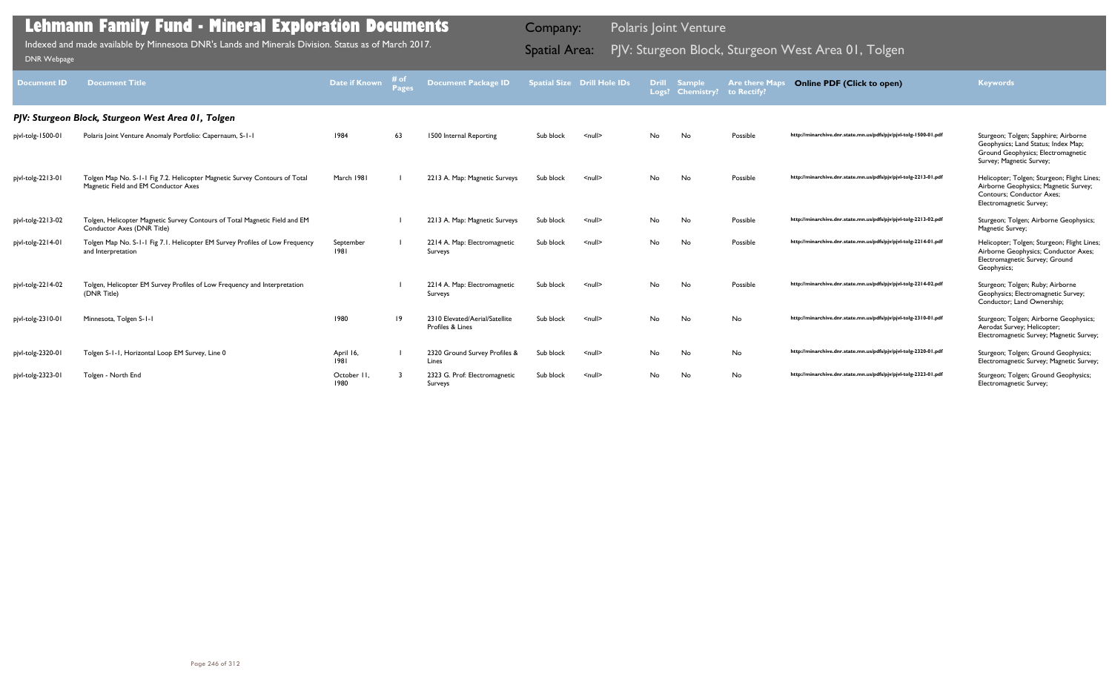| Document ID       | <b>Document Title</b>                                                                                              | Date if Known      | # of<br><b>Pages</b> | <b>Document Package ID</b>                         |           | <b>Spatial Size Drill Hole IDs</b> |    | <b>Drill Sample</b><br>Logs? Chemistry? | <b>Are there Maps</b><br>to Rectify | <b>Online PDF (Click to open)</b>                                | <b>Keywords</b>                                                                                                                                     |
|-------------------|--------------------------------------------------------------------------------------------------------------------|--------------------|----------------------|----------------------------------------------------|-----------|------------------------------------|----|-----------------------------------------|-------------------------------------|------------------------------------------------------------------|-----------------------------------------------------------------------------------------------------------------------------------------------------|
|                   | PJV: Sturgeon Block, Sturgeon West Area 01, Tolgen                                                                 |                    |                      |                                                    |           |                                    |    |                                         |                                     |                                                                  |                                                                                                                                                     |
| pjvl-tolg-1500-01 | Polaris Joint Venture Anomaly Portfolio: Capernaum, S-1-1                                                          | 1984               | 63                   | 1500 Internal Reporting                            | Sub block | $\leq$ null $\geq$                 | No | No                                      | Possible                            | http://minarchive.dnr.state.mn.us/pdfs/pjv/pjvl-tolg-1500-01.pdf | Sturgeon; Tolgen; Sapphire; Airborne<br>Geophysics; Land Status; Index Map;<br>Ground Geophysics; Electromagnetic<br>Survey; Magnetic Survey;       |
| pjvl-tolg-2213-01 | Tolgen Map No. S-1-1 Fig 7.2. Helicopter Magnetic Survey Contours of Total<br>Magnetic Field and EM Conductor Axes | March 1981         |                      | 2213 A. Map: Magnetic Surveys                      | Sub block | $\leq$ null $\geq$                 | No | No                                      | Possible                            | http://minarchive.dnr.state.mn.us/pdfs/pjv/pjvl-tolg-2213-01.pdf | Helicopter; Tolgen; Sturgeon; Flight Lines;<br>Airborne Geophysics; Magnetic Survey;<br><b>Contours: Conductor Axes:</b><br>Electromagnetic Survey; |
| pjvl-tolg-2213-02 | Tolgen, Helicopter Magnetic Survey Contours of Total Magnetic Field and EM<br>Conductor Axes (DNR Title)           |                    |                      | 2213 A. Map: Magnetic Surveys                      | Sub block | $null$                             | No | No                                      | Possible                            | http://minarchive.dnr.state.mn.us/pdfs/pjv/pjvl-tolg-2213-02.pdf | Sturgeon; Tolgen; Airborne Geophysics;<br>Magnetic Survey;                                                                                          |
| pjvl-tolg-2214-01 | Tolgen Map No. S-1-1 Fig 7.1. Helicopter EM Survey Profiles of Low Frequency<br>and Interpretation                 | September<br>1981  |                      | 2214 A. Map: Electromagnetic<br>Surveys            | Sub block | $null$                             | No | <b>No</b>                               | Possible                            | http://minarchive.dnr.state.mn.us/pdfs/pjv/pjvl-tolg-2214-01.pdf | Helicopter; Tolgen; Sturgeon; Flight Lines;<br>Airborne Geophysics; Conductor Axes;<br>Electromagnetic Survey; Ground<br>Geophysics;                |
| pjvl-tolg-2214-02 | Tolgen, Helicopter EM Survey Profiles of Low Frequency and Interpretation<br>(DNR Title)                           |                    |                      | 2214 A. Map: Electromagnetic<br>Surveys            | Sub block | $null$                             | No | No                                      | Possible                            | http://minarchive.dnr.state.mn.us/pdfs/pjv/pjvl-tolg-2214-02.pdf | Sturgeon; Tolgen; Ruby; Airborne<br>Geophysics; Electromagnetic Survey;<br>Conductor; Land Ownership;                                               |
| pjvl-tolg-2310-01 | Minnesota, Tolgen S-1-1                                                                                            | 1980               | $ 9\rangle$          | 2310 Elevated/Aerial/Satellite<br>Profiles & Lines | Sub block | <null></null>                      | No | <b>No</b>                               | <b>No</b>                           | http://minarchive.dnr.state.mn.us/pdfs/pjv/pjvl-tolg-2310-01.pdf | Sturgeon; Tolgen; Airborne Geophysics;<br>Aerodat Survey; Helicopter;<br>Electromagnetic Survey; Magnetic Survey;                                   |
| pjvl-tolg-2320-01 | Tolgen S-1-1, Horizontal Loop EM Survey, Line 0                                                                    | April 16,<br>1981  |                      | 2320 Ground Survey Profiles &<br>Lines             | Sub block | $\leq$ null $\geq$                 | No | No                                      | No                                  | http://minarchive.dnr.state.mn.us/pdfs/pjv/pjvl-tolg-2320-01.pdf | Sturgeon; Tolgen; Ground Geophysics;<br>Electromagnetic Survey; Magnetic Survey;                                                                    |
| pjvl-tolg-2323-01 | Tolgen - North End                                                                                                 | October II<br>1980 |                      | 2323 G. Prof: Electromagnetic<br>Surveys           | Sub block | $null$                             | No | No                                      | No                                  | http://minarchive.dnr.state.mn.us/pdfs/pjv/pjvl-tolg-2323-01.pdf | Sturgeon; Tolgen; Ground Geophysics;<br>Electromagnetic Survey;                                                                                     |

Indexed and made available by Minnesota DNR's Lands and Minerals Division. Status as of March 2017. **Spatial Area:** PJV: Sturgeon Block, Sturgeon West Area 01, Tolgen וDNR Webpage Indexed and made available by Minnesota DNR's Lands and Minerals Division. Status as of March 2017.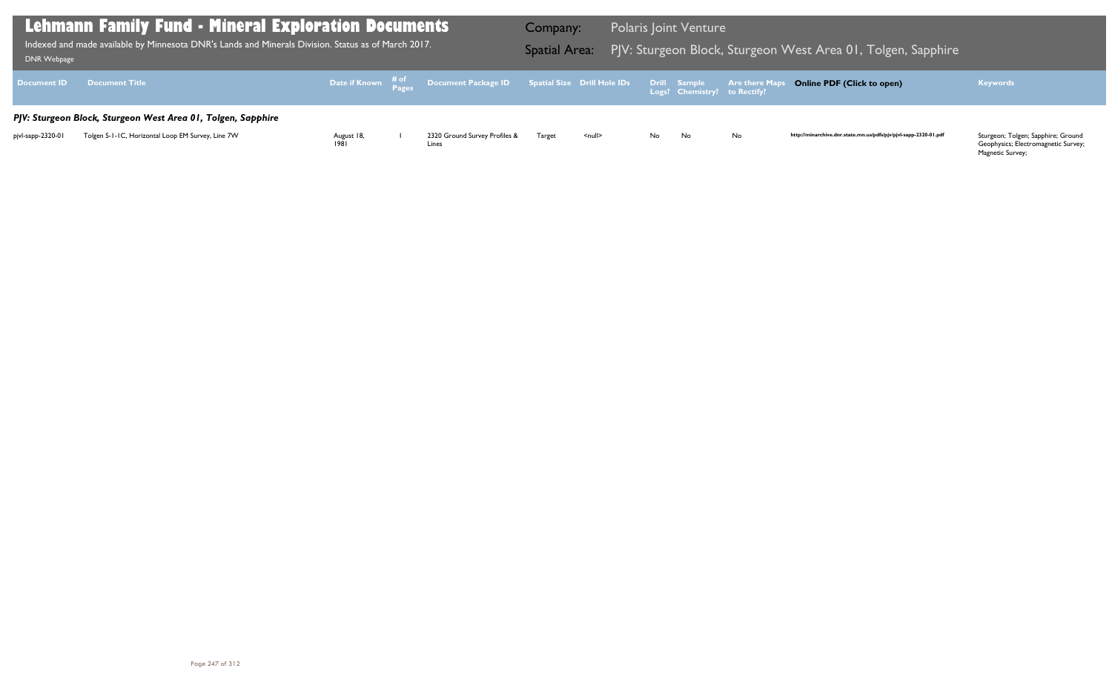Geophysics; Electromagnetic Survey; Magnetic Survey;

| <b>DNR Webpage</b> | Lehmann Family Fund - Mineral Exploration Documents<br>Indexed and made available by Minnesota DNR's Lands and Minerals Division. Status as of March 2017. |                    |                                                                                                     | Company:<br><b>Spatial Area:</b> |               |     | <b>Polaris Joint Venture</b>                 | PJV: Sturgeon Block, Sturgeon V |
|--------------------|------------------------------------------------------------------------------------------------------------------------------------------------------------|--------------------|-----------------------------------------------------------------------------------------------------|----------------------------------|---------------|-----|----------------------------------------------|---------------------------------|
| <b>Document ID</b> | <b>Document Title</b>                                                                                                                                      |                    | Date if Known $\frac{\text{\# of}}{\text{\# ages}}$ Document Package ID Spatial Size Drill Hole IDs |                                  |               |     | Drill Sample<br>Logs? Chemistry? to Rectify? | <b>Are there Maps</b>           |
|                    | PJV: Sturgeon Block, Sturgeon West Area 01, Tolgen, Sapphire                                                                                               |                    |                                                                                                     |                                  |               |     |                                              |                                 |
| pjvl-sapp-2320-01  | Tolgen S-1-1C, Horizontal Loop EM Survey, Line 7W                                                                                                          | August 18,<br>1981 | 2320 Ground Survey Profiles &<br>Lines                                                              | Target                           | <null></null> | No. | No.                                          | No                              |

### 1 West Area 01, Tolgen, Sapphire I

### **Online PDF (Click to open) Keywords**

http://minarchive.dnr.state.mn.us/pdfs/pjv/pjvl-sapp-2320-01.pdf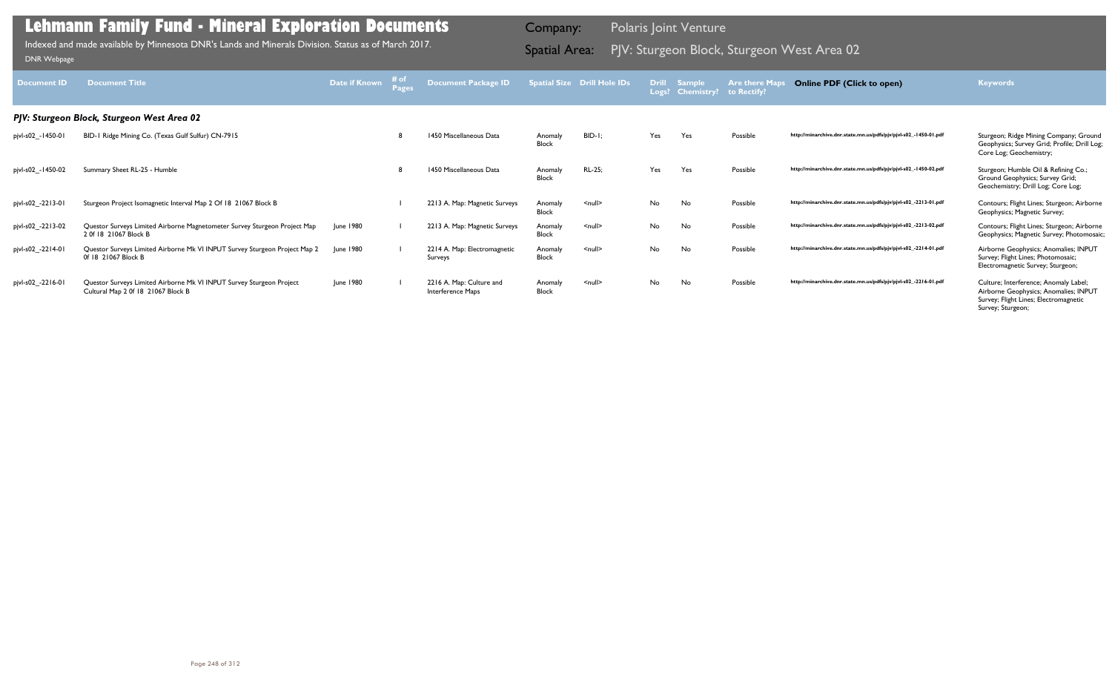| <b>Document ID</b> | <b>Document Title</b>                                                                                      | Date if Known    | # of | <b>Document Package ID</b>                    |                         | <b>Spatial Size Drill Hole IDs</b> |     | Drill Sample<br>Logs? Chemistry? | <b>Are there Maps</b><br>to Rectify? | <b>Online PDF (Click to open)</b>                                | <b>Keywords</b>                                                                                                                              |
|--------------------|------------------------------------------------------------------------------------------------------------|------------------|------|-----------------------------------------------|-------------------------|------------------------------------|-----|----------------------------------|--------------------------------------|------------------------------------------------------------------|----------------------------------------------------------------------------------------------------------------------------------------------|
|                    | PJV: Sturgeon Block, Sturgeon West Area 02                                                                 |                  |      |                                               |                         |                                    |     |                                  |                                      |                                                                  |                                                                                                                                              |
| pjvl-s02_-1450-01  | BID-1 Ridge Mining Co. (Texas Gulf Sulfur) CN-7915                                                         |                  |      | 1450 Miscellaneous Data                       | Anomaly<br><b>Block</b> | $BID-I$ :                          | Yes | Yes                              | Possible                             | http://minarchive.dnr.state.mn.us/pdfs/pjv/pjvl-s02_-1450-01.pdf | Sturgeon; Ridge Mining Company; Ground<br>Geophysics; Survey Grid; Profile; Drill Log;<br>Core Log; Geochemistry;                            |
| pjvl-s02_-1450-02  | Summary Sheet RL-25 - Humble                                                                               |                  |      | 1450 Miscellaneous Data                       | Anomaly<br><b>Block</b> | RL-25;                             | Yes | Yes                              | Possible                             | http://minarchive.dnr.state.mn.us/pdfs/pjv/pjvl-s02_-1450-02.pdf | Sturgeon; Humble Oil & Refining Co.;<br>Ground Geophysics; Survey Grid;<br>Geochemistry; Drill Log; Core Log;                                |
| pjvl-s02_-2213-01  | Sturgeon Project Isomagnetic Interval Map 2 Of 18 21067 Block B                                            |                  |      | 2213 A. Map: Magnetic Surveys                 | Anomaly<br><b>Block</b> | $null$                             | No  | No                               | Possible                             | http://minarchive.dnr.state.mn.us/pdfs/pjv/pjvl-s02_-2213-01.pdf | Contours; Flight Lines; Sturgeon; Airborne<br>Geophysics; Magnetic Survey;                                                                   |
| pjvl-s02_-2213-02  | Questor Surveys Limited Airborne Magnetometer Survey Sturgeon Project Map<br>2 Of 18 21067 Block B         | June 1980        |      | 2213 A. Map: Magnetic Surveys                 | Anomaly<br><b>Block</b> | $\leq$ null $\geq$                 | No  | No                               | Possible                             | http://minarchive.dnr.state.mn.us/pdfs/pjv/pjvl-s02_-2213-02.pdf | Contours; Flight Lines; Sturgeon; Airborne<br>Geophysics; Magnetic Survey; Photomosaic;                                                      |
| pjvl-s02_-2214-01  | Questor Surveys Limited Airborne Mk VI INPUT Survey Sturgeon Project Map 2<br>Of 18 21067 Block B          | <b>June 1980</b> |      | 2214 A. Map: Electromagnetic<br>Surveys       | Anomaly<br><b>Block</b> | $null$                             | No  | No                               | Possible                             | http://minarchive.dnr.state.mn.us/pdfs/pjv/pjvl-s02_-2214-01.pdf | Airborne Geophysics; Anomalies; INPUT<br>Survey; Flight Lines; Photomosaic;<br>Electromagnetic Survey; Sturgeon;                             |
| pjvl-s02_-2216-01  | Questor Surveys Limited Airborne Mk VI INPUT Survey Sturgeon Project<br>Cultural Map 2 0f 18 21067 Block B | June 1980        |      | 2216 A. Map: Culture and<br>Interference Maps | Anomaly<br><b>Block</b> | $\leq$ null $\geq$                 | No  | No                               | Possible                             | http://minarchive.dnr.state.mn.us/pdfs/pjv/pjvl-s02_-2216-01.pdf | Culture; Interference; Anomaly Label;<br>Airborne Geophysics; Anomalies; INPUT<br>Survey; Flight Lines; Electromagnetic<br>Survey; Sturgeon; |

PJV: Sturgeon Block, Sturgeon West Area 02 Indexed and made available by Minnesota DNR's Lands and Minerals Division. Status as of March 2017. Spatial Area: [DNR Webpage](http://www.dnr.state.mn.us/lands_minerals/polaris/index.html)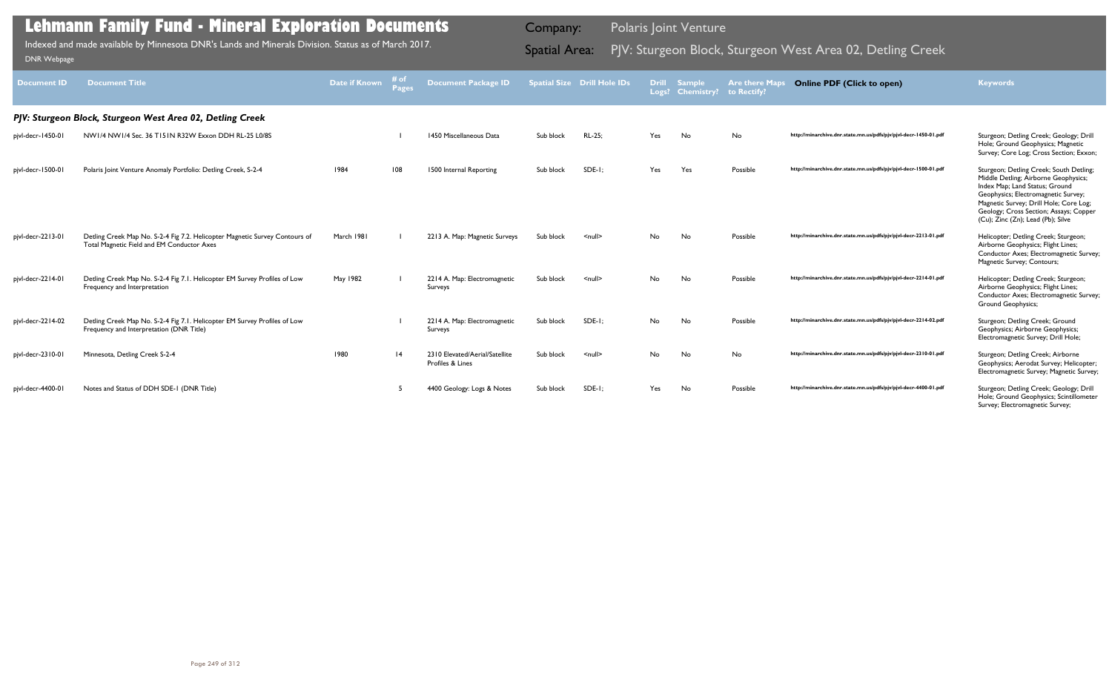| <b>Document ID</b> | <b>Document Title</b>                                                                                                     | Date if Known | <b>Pages</b> | <b>Document Package ID</b>                         |           | Spatial Size Drill Hole IDs | <b>Drill</b> | <b>Sample</b><br>Logs? Chemistry? | <b>Are there Maps</b><br>to Rectify? | <b>Online PDF (Click to open)</b>                                | <b>Keywords</b>                                                                                                                                                                                                                                                                   |
|--------------------|---------------------------------------------------------------------------------------------------------------------------|---------------|--------------|----------------------------------------------------|-----------|-----------------------------|--------------|-----------------------------------|--------------------------------------|------------------------------------------------------------------|-----------------------------------------------------------------------------------------------------------------------------------------------------------------------------------------------------------------------------------------------------------------------------------|
|                    | PJV: Sturgeon Block, Sturgeon West Area 02, Detling Creek                                                                 |               |              |                                                    |           |                             |              |                                   |                                      |                                                                  |                                                                                                                                                                                                                                                                                   |
| pjvl-decr-1450-01  | NW1/4 NW1/4 Sec. 36 T151N R32W Exxon DDH RL-25 L0/8S                                                                      |               |              | 1450 Miscellaneous Data                            | Sub block | RL-25;                      | Yes          | No                                | No                                   | http://minarchive.dnr.state.mn.us/pdfs/pjv/pjvl-decr-1450-01.pdf | Sturgeon; Detling Creek; Geology; Drill<br>Hole; Ground Geophysics; Magnetic<br>Survey; Core Log; Cross Section; Exxon;                                                                                                                                                           |
| pjvl-decr-1500-01  | Polaris Joint Venture Anomaly Portfolio: Detling Creek, S-2-4                                                             | 1984          | 108          | 1500 Internal Reporting                            | Sub block | $SDE-I$ :                   | Yes          | Yes                               | Possible                             | http://minarchive.dnr.state.mn.us/pdfs/pjv/pjvl-decr-1500-01.pdf | Sturgeon; Detling Creek; South Detling;<br>Middle Detling; Airborne Geophysics;<br>Index Map; Land Status; Ground<br>Geophysics; Electromagnetic Survey;<br>Magnetic Survey; Drill Hole; Core Log;<br>Geology; Cross Section; Assays; Copper<br>(Cu); Zinc (Zn); Lead (Pb); Silve |
| pjvl-decr-2213-01  | Detling Creek Map No. S-2-4 Fig 7.2. Helicopter Magnetic Survey Contours of<br>Total Magnetic Field and EM Conductor Axes | March 1981    |              | 2213 A. Map: Magnetic Surveys                      | Sub block | $\leq$ null $\geq$          | No           | No                                | Possible                             | http://minarchive.dnr.state.mn.us/pdfs/pjv/pjvl-decr-2213-01.pdf | Helicopter; Detling Creek; Sturgeon;<br>Airborne Geophysics; Flight Lines;<br>Conductor Axes; Electromagnetic Survey;<br>Magnetic Survey; Contours;                                                                                                                               |
| pjvl-decr-2214-01  | Detling Creek Map No. S-2-4 Fig 7.1. Helicopter EM Survey Profiles of Low<br>Frequency and Interpretation                 | May 1982      |              | 2214 A. Map: Electromagnetic<br>Surveys            | Sub block | $null$                      | No.          | No                                | Possible                             | http://minarchive.dnr.state.mn.us/pdfs/pjv/pjvl-decr-2214-01.pdf | Helicopter; Detling Creek; Sturgeon;<br>Airborne Geophysics; Flight Lines;<br>Conductor Axes; Electromagnetic Survey;<br>Ground Geophysics;                                                                                                                                       |
| pjvl-decr-2214-02  | Detling Creek Map No. S-2-4 Fig 7.1. Helicopter EM Survey Profiles of Low<br>Frequency and Interpretation (DNR Title)     |               |              | 2214 A. Map: Electromagnetic<br>Surveys            | Sub block | $SDE-I$ ;                   | No           | No                                | Possible                             | http://minarchive.dnr.state.mn.us/pdfs/pjv/pjvl-decr-2214-02.pdf | Sturgeon; Detling Creek; Ground<br>Geophysics; Airborne Geophysics;<br>Electromagnetic Survey; Drill Hole;                                                                                                                                                                        |
| pjvl-decr-2310-01  | Minnesota, Detling Creek S-2-4                                                                                            | 1980          | 4            | 2310 Elevated/Aerial/Satellite<br>Profiles & Lines | Sub block | $\leq$ null $\geq$          | No           | No                                | <b>No</b>                            | http://minarchive.dnr.state.mn.us/pdfs/pjv/pjvl-decr-2310-01.pdf | Sturgeon; Detling Creek; Airborne<br>Geophysics; Aerodat Survey; Helicopter;<br>Electromagnetic Survey; Magnetic Survey;                                                                                                                                                          |
| pjvl-decr-4400-01  | Notes and Status of DDH SDE-1 (DNR Title)                                                                                 |               |              | 4400 Geology: Logs & Notes                         | Sub block | SDE-1;                      | Yes          | No                                | Possible                             | http://minarchive.dnr.state.mn.us/pdfs/pjv/pjvl-decr-4400-01.pdf | Sturgeon; Detling Creek; Geology; Drill<br>Hole; Ground Geophysics; Scintillometer<br>Survey; Electromagnetic Survey;                                                                                                                                                             |

Indexed and made available by Minnesota DNR's Lands and Minerals Division. Status as of March 2017. Spatial Area: PJV: Sturgeon Block, Sturgeon West Area 02, Detling Creek DNR Webpage Indexed and made available by Minnesota DNR's Lands and Minerals Division. Status as of March 2017.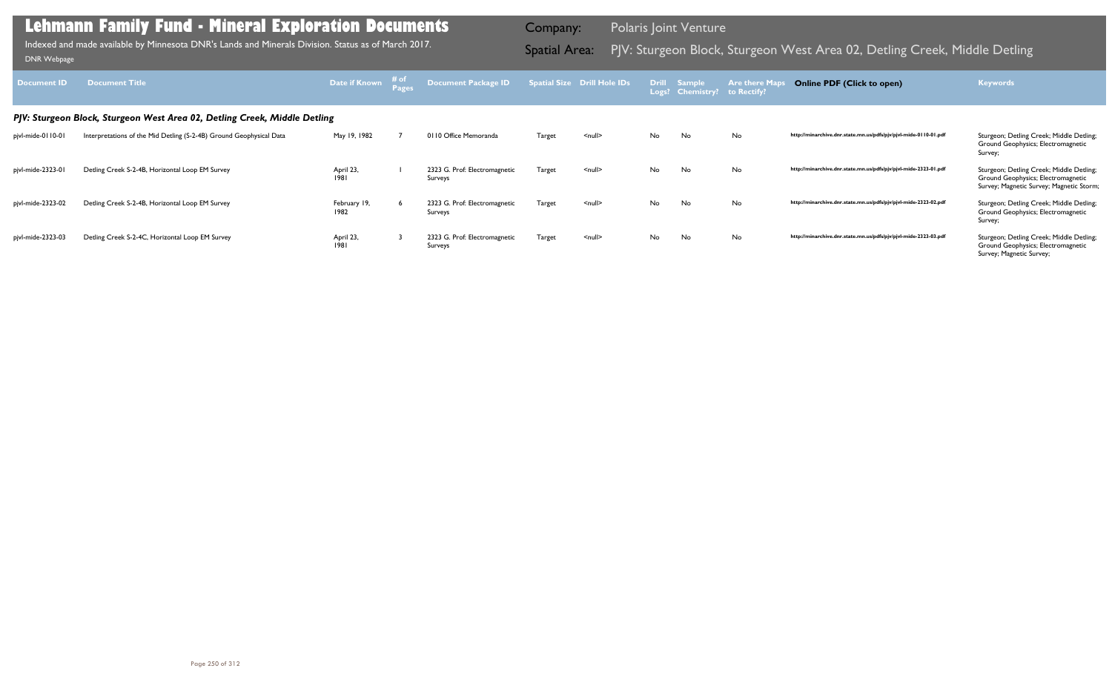| Document ID                                                               | <b>Document Title</b>                                               | Date if Known        | # of<br>Pages | Document Package ID                      |               | <b>Spatial Size Drill Hole IDs</b> |    | Drill Sample<br>Logs? Chemistry? to Rectify? | <b>Are there Maps</b> | <b>Online PDF (Click to open)</b>                                | <b>Keywords</b>                                                                                                            |
|---------------------------------------------------------------------------|---------------------------------------------------------------------|----------------------|---------------|------------------------------------------|---------------|------------------------------------|----|----------------------------------------------|-----------------------|------------------------------------------------------------------|----------------------------------------------------------------------------------------------------------------------------|
| PJV: Sturgeon Block, Sturgeon West Area 02, Detling Creek, Middle Detling |                                                                     |                      |               |                                          |               |                                    |    |                                              |                       |                                                                  |                                                                                                                            |
| pjvl-mide-0110-01                                                         | Interpretations of the Mid Detling (S-2-4B) Ground Geophysical Data | May 19, 1982         |               | 0110 Office Memoranda                    | Target        | $\leq$ null $\geq$                 | No | No                                           | <b>No</b>             | http://minarchive.dnr.state.mn.us/pdfs/pjv/pjvl-mide-0110-01.pdf | Sturgeon; Detling Creek; Middle Detling;<br>Ground Geophysics; Electromagnetic<br>Survey;                                  |
| pjvl-mide-2323-01                                                         | Detling Creek S-2-4B, Horizontal Loop EM Survey                     | April 23,<br>1981    |               | 2323 G. Prof: Electromagnetic<br>Surveys | Target        | $\leq$ null $\geq$                 | No | No                                           | <b>No</b>             | http://minarchive.dnr.state.mn.us/pdfs/pjv/pjvl-mide-2323-01.pdf | Sturgeon; Detling Creek; Middle Detling;<br>Ground Geophysics; Electromagnetic<br>Survey; Magnetic Survey; Magnetic Storm; |
| pjvl-mide-2323-02                                                         | Detling Creek S-2-4B, Horizontal Loop EM Survey                     | February 19,<br>1982 |               | 2323 G. Prof: Electromagnetic<br>Surveys | Target        | $null$                             | No | No                                           | <b>No</b>             | http://minarchive.dnr.state.mn.us/pdfs/pjv/pjvl-mide-2323-02.pdf | Sturgeon; Detling Creek; Middle Detling;<br>Ground Geophysics; Electromagnetic<br>Survey;                                  |
| pjvl-mide-2323-03                                                         | Detling Creek S-2-4C, Horizontal Loop EM Survey                     | April 23,<br>1981    |               | 2323 G. Prof: Electromagnetic<br>Surveys | <b>Target</b> | $null$                             | No | No                                           | No                    | http://minarchive.dnr.state.mn.us/pdfs/pjv/pjvl-mide-2323-03.pdf | Sturgeon; Detling Creek; Middle Detling;<br>Ground Geophysics; Electromagnetic<br>Survey; Magnetic Survey;                 |

Indexed and made available by Minnesota DNR's Lands and Minerals Division. Status as of March 2017.

Company: Polaris Joint Venture

# Indexed and made available by Minnesota DNR's Lands and Minerals Division. Status as of March 2017. **Spatial Area:** PJV: Sturgeon Block, Sturgeon West Area 02, Detling Creek, Middle Detling الكلمة DNR Webpage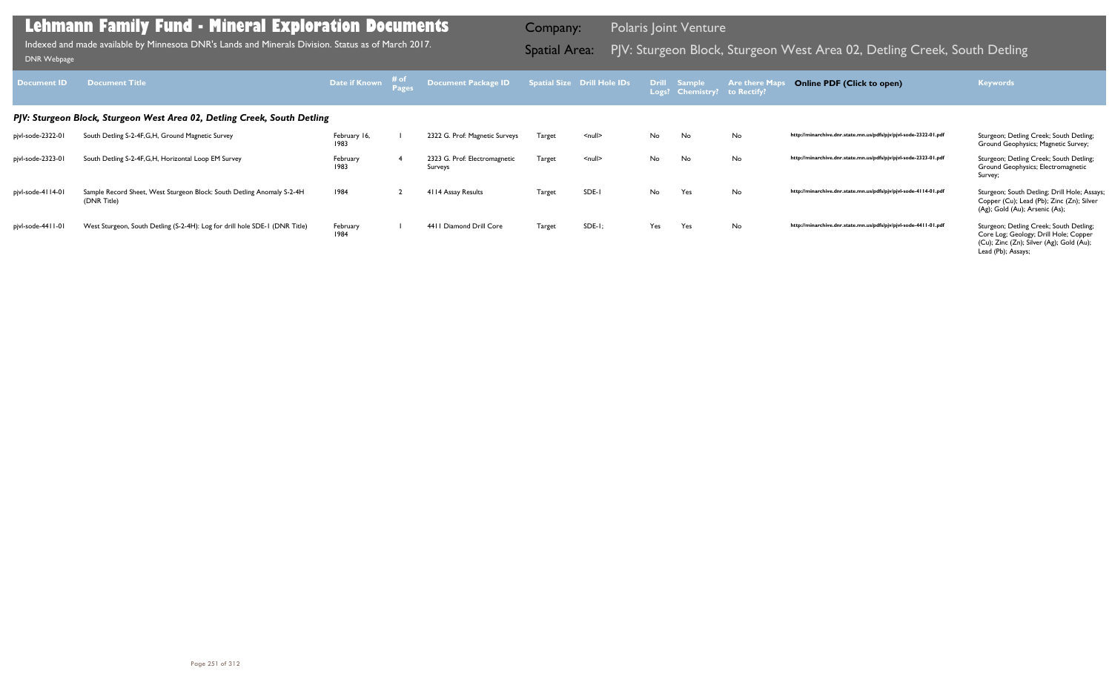| <b>Document ID</b>                                                       | <b>Document Title</b>                                                                 | Date if Known        | # of<br><b>Pages</b> | Document Package ID                      |               | Spatial Size Drill Hole IDs |     | Drill Sample<br>Logs? Chemistry? | <b>Are there M</b><br>to Rectify? | <b>Online PDF (Click to open)</b>                                | <b>Keywords</b>                                                                                                                                    |
|--------------------------------------------------------------------------|---------------------------------------------------------------------------------------|----------------------|----------------------|------------------------------------------|---------------|-----------------------------|-----|----------------------------------|-----------------------------------|------------------------------------------------------------------|----------------------------------------------------------------------------------------------------------------------------------------------------|
| PJV: Sturgeon Block, Sturgeon West Area 02, Detling Creek, South Detling |                                                                                       |                      |                      |                                          |               |                             |     |                                  |                                   |                                                                  |                                                                                                                                                    |
| pjvl-sode-2322-01                                                        | South Detling S-2-4F, G, H, Ground Magnetic Survey                                    | February 16,<br>1983 |                      | 2322 G. Prof: Magnetic Surveys           | <b>Target</b> | $\leq$ null $\geq$          | No  | No                               | No                                | http://minarchive.dnr.state.mn.us/pdfs/pjv/pjvl-sode-2322-01.pdf | Sturgeon; Detling Creek; South Detling;<br>Ground Geophysics; Magnetic Survey;                                                                     |
| pjvl-sode-2323-01                                                        | South Detling S-2-4F, G, H, Horizontal Loop EM Survey                                 | February<br>1983     |                      | 2323 G. Prof: Electromagnetic<br>Surveys | Target        | $\leq$ null $\geq$          | No  | No                               | No                                | http://minarchive.dnr.state.mn.us/pdfs/pjv/pjvl-sode-2323-01.pdf | Sturgeon; Detling Creek; South Detling;<br>Ground Geophysics; Electromagnetic<br>Survey;                                                           |
| pjvl-sode-4114-01                                                        | Sample Record Sheet, West Sturgeon Block: South Detling Anomaly S-2-4H<br>(DNR Title) | 1984                 |                      | 4114 Assay Results                       | Target        | SDE-I                       | No  | Yes                              | No                                | http://minarchive.dnr.state.mn.us/pdfs/pjv/pjvl-sode-4114-01.pdf | Sturgeon; South Detling; Drill Hole; Assays;<br>Copper (Cu); Lead (Pb); Zinc (Zn); Silver<br>(Ag); Gold (Au); Arsenic (As);                        |
| pjvl-sode-4411-01                                                        | West Sturgeon, South Detling (S-2-4H): Log for drill hole SDE-1 (DNR Title)           | February<br>1984     |                      | 4411 Diamond Drill Core                  | <b>Target</b> | $SDE-I;$                    | Yes | Yes                              | No                                | http://minarchive.dnr.state.mn.us/pdfs/pjv/pjvl-sode-4411-01.pdf | Sturgeon; Detling Creek; South Detling;<br>Core Log; Geology; Drill Hole; Copper<br>(Cu); Zinc (Zn); Silver (Ag); Gold (Au);<br>Lead (Pb); Assays; |

Indexed and made available by Minnesota DNR's Lands and Minerals Division. Status as of March 2017.

Company: Polaris Joint Venture

# Indexed and made available by Minnesota DNR's Lands and Minerals Division. Status as of March 2017. Spatial Area: PJV: Sturgeon Block, Sturgeon West Area 02, Detling Creek, South Detling وnnk Webpage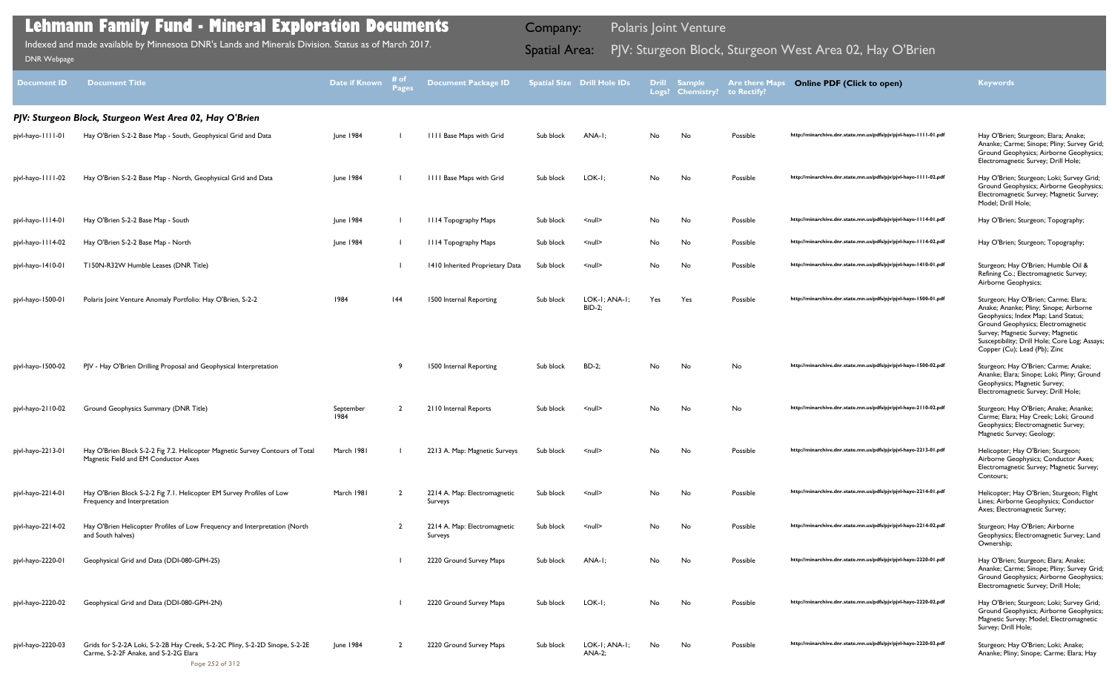| <b>Document ID</b> | <b>Document Title</b>                                                                                                                    | <b>Date if Known</b> | # of<br><b>Pages</b> | <b>Document Package ID</b>              |           | <b>Spatial Size Drill Hole IDs</b> | Logs? | <b>Drill Sample</b><br><b>Chemistry?</b> | <b>Are there Maps</b><br>to Rectify? | <b>Online PDF (Click to open)</b>                                | <b>Keywords</b>                                                                                                                                                                                                                                                                   |
|--------------------|------------------------------------------------------------------------------------------------------------------------------------------|----------------------|----------------------|-----------------------------------------|-----------|------------------------------------|-------|------------------------------------------|--------------------------------------|------------------------------------------------------------------|-----------------------------------------------------------------------------------------------------------------------------------------------------------------------------------------------------------------------------------------------------------------------------------|
|                    | PJV: Sturgeon Block, Sturgeon West Area 02, Hay O'Brien                                                                                  |                      |                      |                                         |           |                                    |       |                                          |                                      |                                                                  |                                                                                                                                                                                                                                                                                   |
| pjvl-hayo-1111-01  | Hay O'Brien S-2-2 Base Map - South, Geophysical Grid and Data                                                                            | June 1984            |                      | <b>IIII Base Maps with Grid</b>         | Sub block | ANA-I;                             | No    | No                                       | Possible                             | http://minarchive.dnr.state.mn.us/pdfs/pjv/pjvl-hayo-1111-01.pdf | Hay O'Brien; Sturgeon; Elara; Anake;<br>Ananke; Carme; Sinope; Pliny; Survey Grid;<br>Ground Geophysics; Airborne Geophysics;<br>Electromagnetic Survey; Drill Hole;                                                                                                              |
| pjvl-hayo-1111-02  | Hay O'Brien S-2-2 Base Map - North, Geophysical Grid and Data                                                                            | June 1984            |                      | 1111 Base Maps with Grid                | Sub block | LOK-I;                             | No    | No                                       | Possible                             | http://minarchive.dnr.state.mn.us/pdfs/pjv/pjvl-hayo-1111-02.pdf | Hay O'Brien; Sturgeon; Loki; Survey Grid;<br>Ground Geophysics; Airborne Geophysics;<br>Electromagnetic Survey; Magnetic Survey;<br>Model; Drill Hole;                                                                                                                            |
| pjvl-hayo-1114-01  | Hay O'Brien S-2-2 Base Map - South                                                                                                       | June 1984            |                      | III4 Topography Maps                    | Sub block | $\leq$ null $\geq$                 | No    | No                                       | Possible                             | http://minarchive.dnr.state.mn.us/pdfs/pjv/pjvl-hayo-1114-01.pdf | Hay O'Brien; Sturgeon; Topography;                                                                                                                                                                                                                                                |
| pjvl-hayo-1114-02  | Hay O'Brien S-2-2 Base Map - North                                                                                                       | June 1984            |                      | III4 Topography Maps                    | Sub block | $\leq$ null $\geq$                 | No    | No                                       | Possible                             | http://minarchive.dnr.state.mn.us/pdfs/pjv/pjvl-hayo-1114-02.pdf | Hay O'Brien; Sturgeon; Topography;                                                                                                                                                                                                                                                |
| pjvl-hayo-1410-01  | T150N-R32W Humble Leases (DNR Title)                                                                                                     |                      |                      | 1410 Inherited Proprietary Data         | Sub block | $\leq$ null $\geq$                 | No    | No                                       | Possible                             | http://minarchive.dnr.state.mn.us/pdfs/pjv/pjvl-hayo-1410-01.pdf | Sturgeon; Hay O'Brien; Humble Oil &<br>Refining Co.; Electromagnetic Survey;<br>Airborne Geophysics;                                                                                                                                                                              |
| pjvl-hayo-1500-01  | Polaris Joint Venture Anomaly Portfolio: Hay O'Brien, S-2-2                                                                              | 1984                 | 44                   | 1500 Internal Reporting                 | Sub block | LOK-I; ANA-I;<br><b>BID-2;</b>     | Yes   | Yes                                      | Possible                             | http://minarchive.dnr.state.mn.us/pdfs/pjv/pjvl-hayo-1500-01.pdf | Sturgeon; Hay O'Brien; Carme; Elara;<br>Anake; Ananke; Pliny; Sinope; Airborne<br>Geophysics; Index Map; Land Status;<br>Ground Geophysics; Electromagnetic<br>Survey; Magnetic Survey; Magnetic<br>Susceptibility; Drill Hole; Core Log; Assays;<br>Copper (Cu); Lead (Pb); Zinc |
| pjvl-hayo-1500-02  | PJV - Hay O'Brien Drilling Proposal and Geophysical Interpretation                                                                       |                      | -9                   | 1500 Internal Reporting                 | Sub block | $BD-2$ ;                           | No    | No                                       | No                                   | http://minarchive.dnr.state.mn.us/pdfs/pjv/pjvl-hayo-1500-02.pdf | Sturgeon; Hay O'Brien; Carme; Anake;<br>Ananke; Elara; Sinope; Loki; Pliny; Ground<br>Geophysics; Magnetic Survey;<br>Electromagnetic Survey; Drill Hole;                                                                                                                         |
| pjvl-hayo-2110-02  | Ground Geophysics Summary (DNR Title)                                                                                                    | September<br>1984    |                      | 2110 Internal Reports                   | Sub block | $\leq$ null $\geq$                 | No    | No                                       | No                                   | http://minarchive.dnr.state.mn.us/pdfs/pjv/pjvl-hayo-2110-02.pdf | Sturgeon; Hay O'Brien; Anake; Ananke;<br>Carme; Elara; Hay Creek; Loki; Ground<br>Geophysics; Electromagnetic Survey;<br>Magnetic Survey; Geology;                                                                                                                                |
| pjvl-hayo-2213-01  | Hay O'Brien Block S-2-2 Fig 7.2. Helicopter Magnetic Survey Contours of Total<br>Magnetic Field and EM Conductor Axes                    | March 1981           |                      | 2213 A. Map: Magnetic Surveys           | Sub block | $\leq$ null $\geq$                 | No.   | No                                       | Possible                             | http://minarchive.dnr.state.mn.us/pdfs/pjv/pjvl-hayo-2213-01.pdf | Helicopter; Hay O'Brien; Sturgeon;<br>Airborne Geophysics; Conductor Axes;<br>Electromagnetic Survey; Magnetic Survey;<br>Contours;                                                                                                                                               |
| pjvl-hayo-2214-01  | Hay O'Brien Block S-2-2 Fig 7.1. Helicopter EM Survey Profiles of Low<br>Frequency and Interpretation                                    | March 1981           | $\overline{2}$       | 2214 A. Map: Electromagnetic<br>Surveys | Sub block | $\leq$ null $\geq$                 | No    | No                                       | Possible                             | http://minarchive.dnr.state.mn.us/pdfs/pjv/pjvl-hayo-2214-01.pdf | Helicopter; Hay O'Brien; Sturgeon; Flight<br>Lines; Airborne Geophysics; Conductor<br>Axes; Electromagnetic Survey;                                                                                                                                                               |
| pjvl-hayo-2214-02  | Hay O'Brien Helicopter Profiles of Low Frequency and Interpretation (North<br>and South halves)                                          |                      | $\overline{2}$       | 2214 A. Map: Electromagnetic<br>Surveys | Sub block | $\leq$ null $\geq$                 | No    | No                                       | Possible                             | http://minarchive.dnr.state.mn.us/pdfs/pjv/pjvl-hayo-2214-02.pdf | Sturgeon; Hay O'Brien; Airborne<br>Geophysics; Electromagnetic Survey; Land<br>Ownership;                                                                                                                                                                                         |
| pjvl-hayo-2220-01  | Geophysical Grid and Data (DDI-080-GPH-2S)                                                                                               |                      |                      | 2220 Ground Survey Maps                 | Sub block | ANA-I;                             | No    | No                                       | Possible                             | http://minarchive.dnr.state.mn.us/pdfs/pjv/pjvl-hayo-2220-01.pdf | Hay O'Brien; Sturgeon; Elara; Anake;<br>Ananke; Carme; Sinope; Pliny; Survey Grid;<br>Ground Geophysics; Airborne Geophysics;<br>Electromagnetic Survey; Drill Hole;                                                                                                              |
| pjvl-hayo-2220-02  | Geophysical Grid and Data (DDI-080-GPH-2N)                                                                                               |                      |                      | 2220 Ground Survey Maps                 | Sub block | LOK-I;                             | No    | No                                       | Possible                             | http://minarchive.dnr.state.mn.us/pdfs/pjv/pjvl-hayo-2220-02.pdf | Hay O'Brien; Sturgeon; Loki; Survey Grid;<br>Ground Geophysics; Airborne Geophysics;<br>Magnetic Survey; Model; Electromagnetic<br>Survey; Drill Hole;                                                                                                                            |
| pjvl-hayo-2220-03  | Grids for S-2-2A Loki, S-2-2B Hay Creek, S-2-2C Pliny, S-2-2D Sinope, S-2-2E<br>Carme, S-2-2F Anake, and S-2-2G Elara<br>Page 252 of 312 | June 1984            | $\overline{2}$       | 2220 Ground Survey Maps                 | Sub block | LOK-I; ANA-I;<br><b>ANA-2;</b>     | No    | No                                       | Possible                             | http://minarchive.dnr.state.mn.us/pdfs/pjv/pjvl-hayo-2220-03.pdf | Sturgeon; Hay O'Brien; Loki; Anake;<br>Ananke; Pliny; Sinope; Carme; Elara; Hay                                                                                                                                                                                                   |

Indexed and made available by Minnesota DNR's Lands and Minerals Division. Status as of March 2017. **Spatial Area:** PJV: Sturgeon Block, Sturgeon West Area 02, Hay O'Brien DNR Webpage Indexed and made available by Minnesota DNR's Lands and Minerals Division. Status as of March 2017.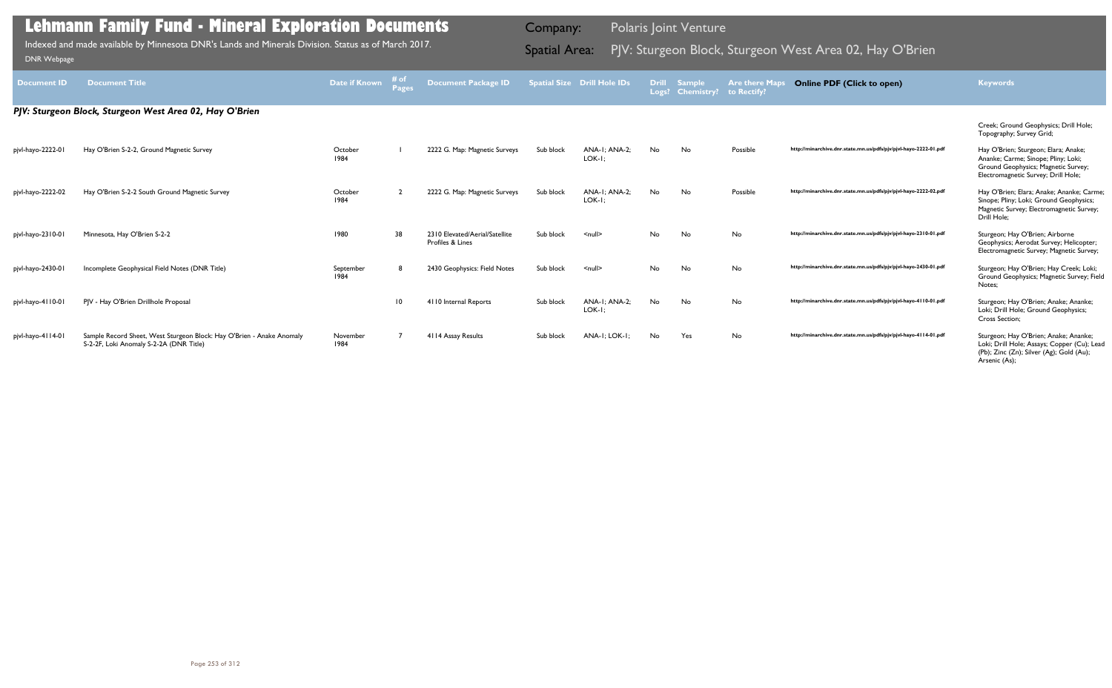|                    | <b>Lehmann Family Fund - Mineral Exploration Documents</b>                                                       |                   |                      |                                                    | Company:             |                                    |                       | <b>Polaris Joint Venture</b>       |                                      |                                                                  |                                                                                                                                                           |
|--------------------|------------------------------------------------------------------------------------------------------------------|-------------------|----------------------|----------------------------------------------------|----------------------|------------------------------------|-----------------------|------------------------------------|--------------------------------------|------------------------------------------------------------------|-----------------------------------------------------------------------------------------------------------------------------------------------------------|
| <b>DNR Webpage</b> | Indexed and made available by Minnesota DNR's Lands and Minerals Division. Status as of March 2017.              |                   |                      |                                                    | <b>Spatial Area:</b> |                                    |                       |                                    |                                      | PJV: Sturgeon Block, Sturgeon West Area 02, Hay O'Brien          |                                                                                                                                                           |
| <b>Document ID</b> | <b>Document Title</b>                                                                                            | Date if Known     | # of<br><b>Pages</b> | <b>Document Package ID</b>                         |                      | <b>Spatial Size Drill Hole IDs</b> | <b>Drill</b><br>Logs? | <b>Sample</b><br><b>Chemistry?</b> | <b>Are there Maps</b><br>to Rectify? | <b>Online PDF (Click to open)</b>                                | <b>Keywords</b>                                                                                                                                           |
|                    | PJV: Sturgeon Block, Sturgeon West Area 02, Hay O'Brien                                                          |                   |                      |                                                    |                      |                                    |                       |                                    |                                      |                                                                  |                                                                                                                                                           |
|                    |                                                                                                                  |                   |                      |                                                    |                      |                                    |                       |                                    |                                      |                                                                  | Creek; Ground Geophysics; Drill Hole;<br>Topography; Survey Grid;                                                                                         |
| pjvl-hayo-2222-01  | Hay O'Brien S-2-2, Ground Magnetic Survey                                                                        | October<br>1984   |                      | 2222 G. Map: Magnetic Surveys                      | Sub block            | <b>ANA-I: ANA-2:</b><br>LOK-I;     | No.                   | No                                 | Possible                             | http://minarchive.dnr.state.mn.us/pdfs/pjv/pjvl-hayo-2222-01.pdf | Hay O'Brien; Sturgeon; Elara; Anake;<br>Ananke; Carme; Sinope; Pliny; Loki;<br>Ground Geophysics; Magnetic Survey;<br>Electromagnetic Survey; Drill Hole; |
| pjvl-hayo-2222-02  | Hay O'Brien S-2-2 South Ground Magnetic Survey                                                                   | October<br>1984   |                      | 2222 G. Map: Magnetic Surveys                      | Sub block            | <b>ANA-I: ANA-2:</b><br>LOK-I;     | No.                   | No                                 | Possible                             | http://minarchive.dnr.state.mn.us/pdfs/pjv/pjvl-hayo-2222-02.pdf | Hay O'Brien; Elara; Anake; Ananke; Carme;<br>Sinope; Pliny; Loki; Ground Geophysics;<br>Magnetic Survey; Electromagnetic Survey;<br>Drill Hole:           |
| pjvl-hayo-2310-01  | Minnesota, Hay O'Brien S-2-2                                                                                     | 1980              | 38                   | 2310 Elevated/Aerial/Satellite<br>Profiles & Lines | Sub block            | $\leq$ null $\geq$                 | No.                   | No                                 | <b>No</b>                            | http://minarchive.dnr.state.mn.us/pdfs/pjv/pjvl-hayo-2310-01.pdf | Sturgeon; Hay O'Brien; Airborne<br>Geophysics; Aerodat Survey; Helicopter;<br>Electromagnetic Survey; Magnetic Survey;                                    |
| pjvl-hayo-2430-01  | Incomplete Geophysical Field Notes (DNR Title)                                                                   | September<br>1984 |                      | 2430 Geophysics: Field Notes                       | Sub block            | $\le$ null $\ge$                   | No.                   | No                                 | No                                   | http://minarchive.dnr.state.mn.us/pdfs/pjv/pjvl-hayo-2430-01.pdf | Sturgeon; Hay O'Brien; Hay Creek; Loki;<br>Ground Geophysics; Magnetic Survey; Field<br>Notes;                                                            |
| pjvl-hayo-4110-01  | PJV - Hay O'Brien Drillhole Proposal                                                                             |                   | $\overline{10}$      | 4110 Internal Reports                              | Sub block            | ANA-I: ANA-2:<br>LOK-I;            | No.                   | <b>No</b>                          | <b>No</b>                            | http://minarchive.dnr.state.mn.us/pdfs/pjv/pjvl-hayo-4110-01.pdf | Sturgeon; Hay O'Brien; Anake; Ananke;<br>Loki; Drill Hole; Ground Geophysics;<br>Cross Section;                                                           |
| pjvl-hayo-4114-01  | Sample Record Sheet, West Sturgeon Block: Hay O'Brien - Anake Anomaly<br>S-2-2F, Loki Anomaly S-2-2A (DNR Title) | November<br>1984  |                      | 4114 Assay Results                                 | Sub block            | ANA-I: LOK-I:                      | No.                   | Yes                                | <b>No</b>                            | http://minarchive.dnr.state.mn.us/pdfs/pjv/pjvl-hayo-4114-01.pdf | Sturgeon; Hay O'Brien; Anake; Ananke;<br>Loki; Drill Hole; Assays; Copper (Cu); Lead<br>(Pb); Zinc (Zn); Silver (Ag); Gold (Au);<br>Arsenic (As);         |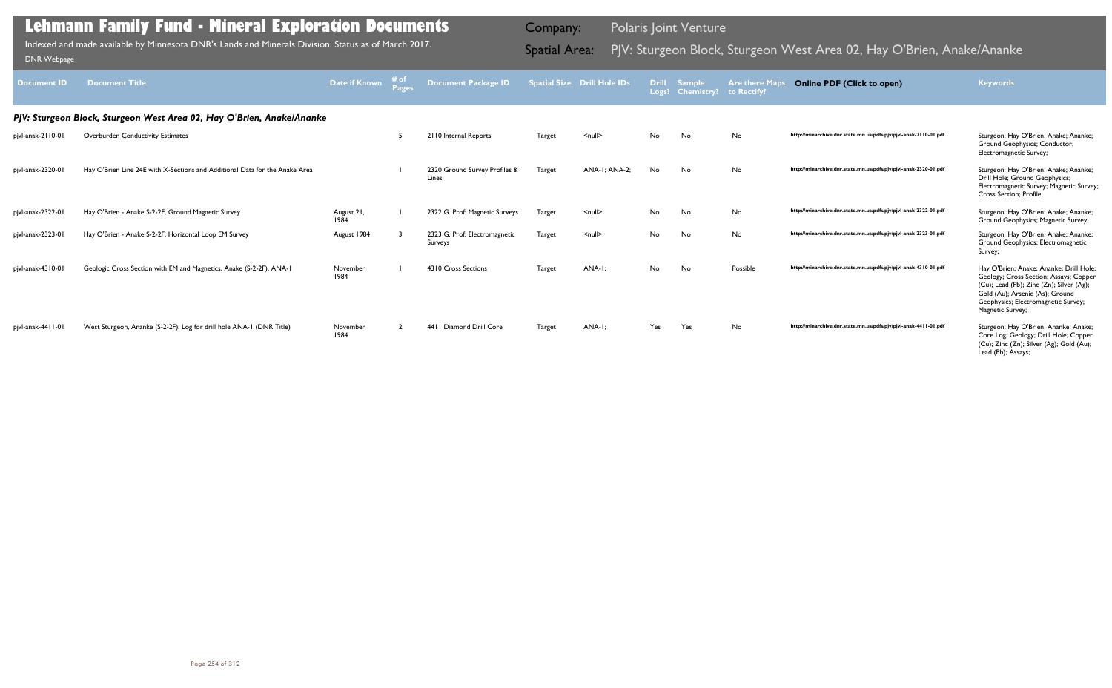| <b>Document ID</b> | <b>Document Title</b>                                                       | Date if Known      | # of<br>Pages | <b>Document Package ID</b>               |        | <b>Spatial Size Drill Hole IDs</b> | Drill | <b>Sample</b><br>Logs? Chemistry? to Rectify? | <b>Are there Maps</b> | <b>Online PDF (Click to open)</b>                                | <b>Keywords</b>                                                                                                                                                                                                             |
|--------------------|-----------------------------------------------------------------------------|--------------------|---------------|------------------------------------------|--------|------------------------------------|-------|-----------------------------------------------|-----------------------|------------------------------------------------------------------|-----------------------------------------------------------------------------------------------------------------------------------------------------------------------------------------------------------------------------|
|                    | PJV: Sturgeon Block, Sturgeon West Area 02, Hay O'Brien, Anake/Ananke       |                    |               |                                          |        |                                    |       |                                               |                       |                                                                  |                                                                                                                                                                                                                             |
| pjvl-anak-2110-01  | <b>Overburden Conductivity Estimates</b>                                    |                    |               | 2110 Internal Reports                    | Target | $\leq$ null $\geq$                 | No    | No                                            | No                    | http://minarchive.dnr.state.mn.us/pdfs/pjv/pjvl-anak-2110-01.pdf | Sturgeon; Hay O'Brien; Anake; Ananke;<br>Ground Geophysics; Conductor;<br>Electromagnetic Survey;                                                                                                                           |
| pjvl-anak-2320-01  | Hay O'Brien Line 24E with X-Sections and Additional Data for the Anake Area |                    |               | 2320 Ground Survey Profiles &<br>Lines   | Target | ANA-I; ANA-2;                      | No    | No                                            | No                    | http://minarchive.dnr.state.mn.us/pdfs/pjv/pjvl-anak-2320-01.pdf | Sturgeon; Hay O'Brien; Anake; Ananke;<br>Drill Hole; Ground Geophysics;<br>Electromagnetic Survey; Magnetic Survey;<br>Cross Section: Profile:                                                                              |
| pjvl-anak-2322-01  | Hay O'Brien - Anake S-2-2F, Ground Magnetic Survey                          | August 21,<br>1984 |               | 2322 G. Prof: Magnetic Surveys           | Target | $\leq$ null $\geq$                 | No    | No                                            | No                    | http://minarchive.dnr.state.mn.us/pdfs/pjv/pjvl-anak-2322-01.pdf | Sturgeon; Hay O'Brien; Anake; Ananke;<br>Ground Geophysics; Magnetic Survey;                                                                                                                                                |
| pjvl-anak-2323-01  | Hay O'Brien - Anake S-2-2F, Horizontal Loop EM Survey                       | August 1984        |               | 2323 G. Prof: Electromagnetic<br>Surveys | Target | $\leq$ null $\geq$                 | No    | No                                            | No                    | http://minarchive.dnr.state.mn.us/pdfs/pjv/pjvl-anak-2323-01.pdf | Sturgeon; Hay O'Brien; Anake; Ananke;<br>Ground Geophysics; Electromagnetic<br>Survey;                                                                                                                                      |
| pjvl-anak-4310-01  | Geologic Cross Section with EM and Magnetics, Anake (S-2-2F), ANA-1         | November<br>1984   |               | 4310 Cross Sections                      | Target | ANA-I:                             | No    | No                                            | Possible              | http://minarchive.dnr.state.mn.us/pdfs/pjv/pjvl-anak-4310-01.pdf | Hay O'Brien; Anake; Ananke; Drill Hole;<br>Geology; Cross Section; Assays; Copper<br>(Cu); Lead (Pb); Zinc (Zn); Silver (Ag);<br>Gold (Au); Arsenic (As); Ground<br>Geophysics; Electromagnetic Survey;<br>Magnetic Survey; |
| pjvl-anak-4411-01  | West Sturgeon, Ananke (S-2-2F): Log for drill hole ANA-1 (DNR Title)        | November<br>1984   |               | 4411 Diamond Drill Core                  | Target | ANA-I:                             | Yes   | Yes                                           | No                    | http://minarchive.dnr.state.mn.us/pdfs/pjv/pjvl-anak-4411-01.pdf | Sturgeon; Hay O'Brien; Ananke; Anake;<br>Core Log; Geology; Drill Hole; Copper<br>(Cu); Zinc (Zn); Silver (Ag); Gold (Au);<br>Lead (Pb); Assays;                                                                            |

Indexed and made available by Minnesota DNR's Lands and Minerals Division. Status as of March 2017. **Spatial Area:** PJV: Sturgeon Block, Sturgeon West Area 02, Hay O'Brien, Anake/Ananke וNR Webpage Indexed and made available by Minnesota DNR's Lands and Minerals Division. Status as of March 2017.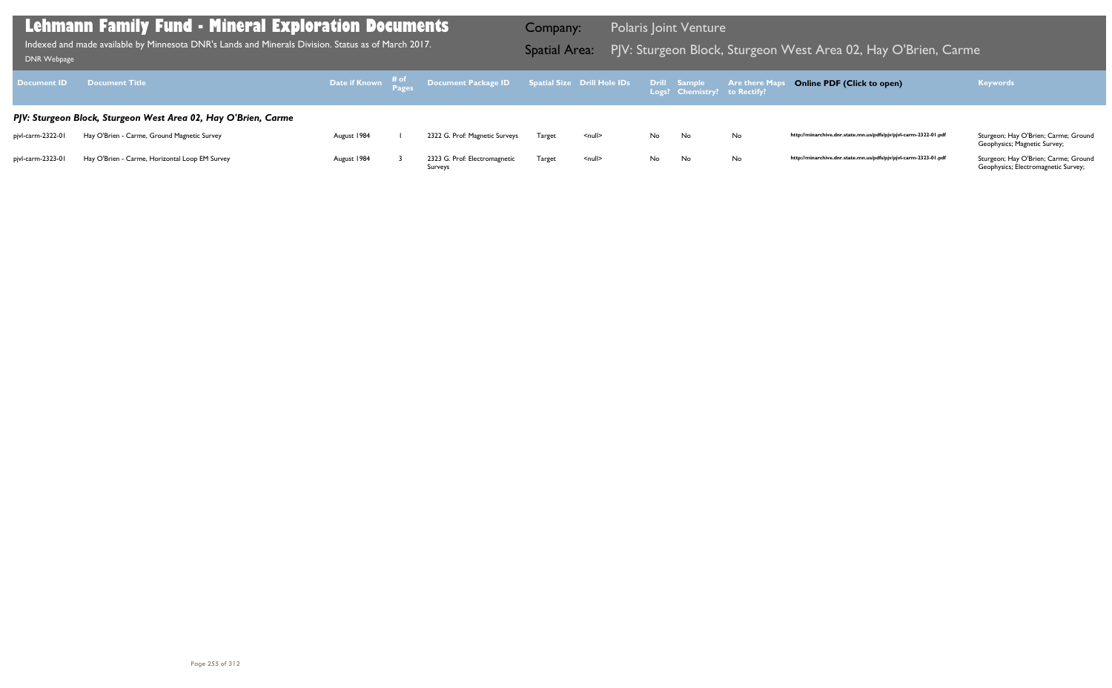http://minarchive.dnr.state.mn.us/pdfs/pjv/pjvl-carm-2322-01.pdf Sturgeon; Hay O'Brien; Carme; Ground Geophysics; Magnetic Survey;

http://minarchive.dnr.state.mn.us/pdfs/pjv/pjvl-carm-2323-01.pdf Sturgeon; Hay O'Brien; Carme; Ground Geophysics; Electromagnetic Survey;

| Document ID       | <b>Document Title</b>                                          |             | Date if Known $\begin{array}{cc} \text{\# of} \ \text{\# age} \end{array}$ Document Package ID Spatial Size Drill Hole IDs |        |                    |     | Drill Sample<br>Logs? Chemistry? to Rectify? | <b>Are there Maps</b> |
|-------------------|----------------------------------------------------------------|-------------|----------------------------------------------------------------------------------------------------------------------------|--------|--------------------|-----|----------------------------------------------|-----------------------|
|                   | PJV: Sturgeon Block, Sturgeon West Area 02, Hay O'Brien, Carme |             |                                                                                                                            |        |                    |     |                                              |                       |
| pjvl-carm-2322-01 | Hay O'Brien - Carme, Ground Magnetic Survey                    | August 1984 | 2322 G. Prof: Magnetic Surveys                                                                                             | Target | $\leq$ null $\geq$ | No. | No.                                          | No                    |
| pjvl-carm-2323-01 | Hay O'Brien - Carme, Horizontal Loop EM Survey                 | August 1984 | 2323 G. Prof: Electromagnetic<br>Surveys                                                                                   | Target | $\leq$ null $\geq$ | No. | No                                           | No                    |

## **Lehmann Family Fund - Mineral Exploration Documents**

Indexed and made available by Minnesota DNR's Lands and Minerals Division. Status as of March 2017. **Spatial Area:** PJV: Sturgeon Block, Sturgeon West Area 02, Hay O'Brien, Carme <sub>DNR Webpage</sub> Indexed and made available by Minnesota DNR's Lands and Minerals Division. Status as of March 2017.

Company: Polaris Joint Venture

## **Online PDF (Click to open) Keywords**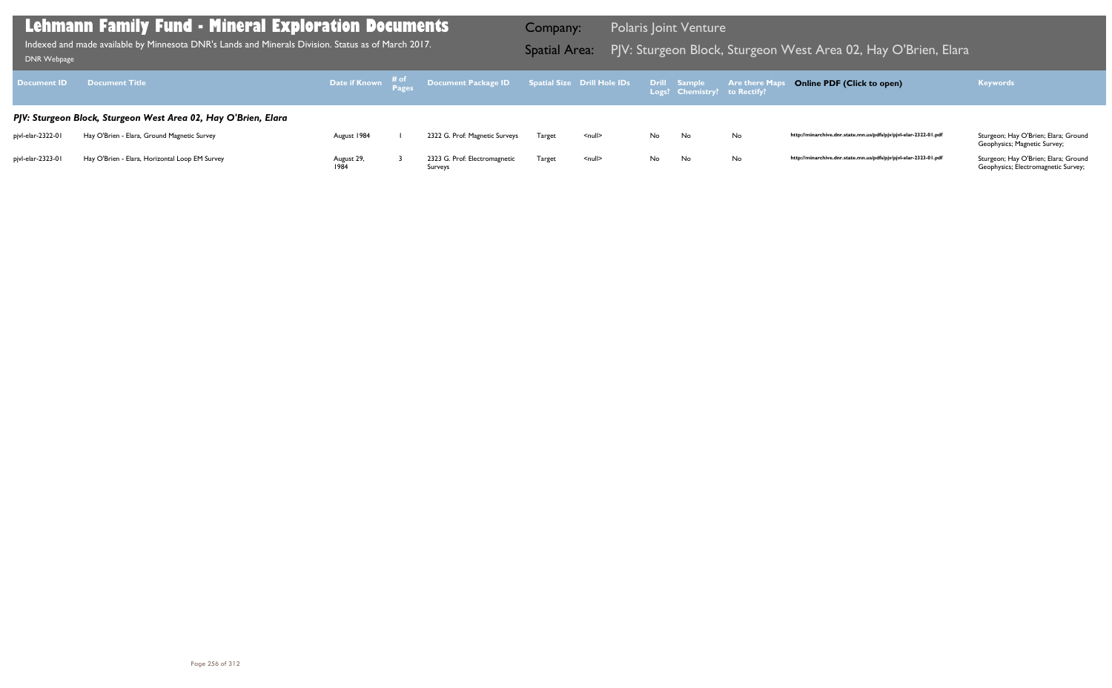Geophysics; Magnetic Survey;

| Document ID       | <b>Document Title</b>                                          |                    | Date if Known $\begin{array}{cc} \text{\# of} \ \text{\# age} \end{array}$ Document Package ID Spatial Size Drill Hole IDs |        |                    |     | Drill Sample<br>Logs? Chemistry? to Rectify? | <b>Are there Maps</b> |
|-------------------|----------------------------------------------------------------|--------------------|----------------------------------------------------------------------------------------------------------------------------|--------|--------------------|-----|----------------------------------------------|-----------------------|
|                   | PJV: Sturgeon Block, Sturgeon West Area 02, Hay O'Brien, Elara |                    |                                                                                                                            |        |                    |     |                                              |                       |
| pjvl-elar-2322-01 | Hay O'Brien - Elara, Ground Magnetic Survey                    | August 1984        | 2322 G. Prof: Magnetic Surveys                                                                                             | Target | $\leq$ null $\geq$ | No. | No.                                          | No                    |
| pjvl-elar-2323-01 | Hay O'Brien - Elara, Horizontal Loop EM Survey                 | August 29,<br>1984 | 2323 G. Prof: Electromagnetic<br>Surveys                                                                                   | Target | $null$             | No. | No                                           | No                    |

Geophysics; Electromagnetic Survey;

## **Lehmann Family Fund - Mineral Exploration Documents**

Indexed and made available by Minnesota DNR's Lands and Minerals Division. Status as of March 2017. **Spatial Area:** PJV: Sturgeon Block, Sturgeon West Area 02, Hay O'Brien, Elara <sub>DNR Webpage</sub> Indexed and made available by Minnesota DNR's Lands and Minerals Division. Status as of March 2017.

Company: Polaris Joint Venture

## **Online PDF (Click to open) Keywords**

http://minarchive.dnr.state.mn.us/pdfs/pjv/pjvl-elar-2322-01.pdf Sturgeon; Hay O'Brien; Elara; Ground

http://minarchive.dnr.state.mn.us/pdfs/pjv/pjvl-elar-2323-01.pdf Sturgeon; Hay O'Brien; Elara; Ground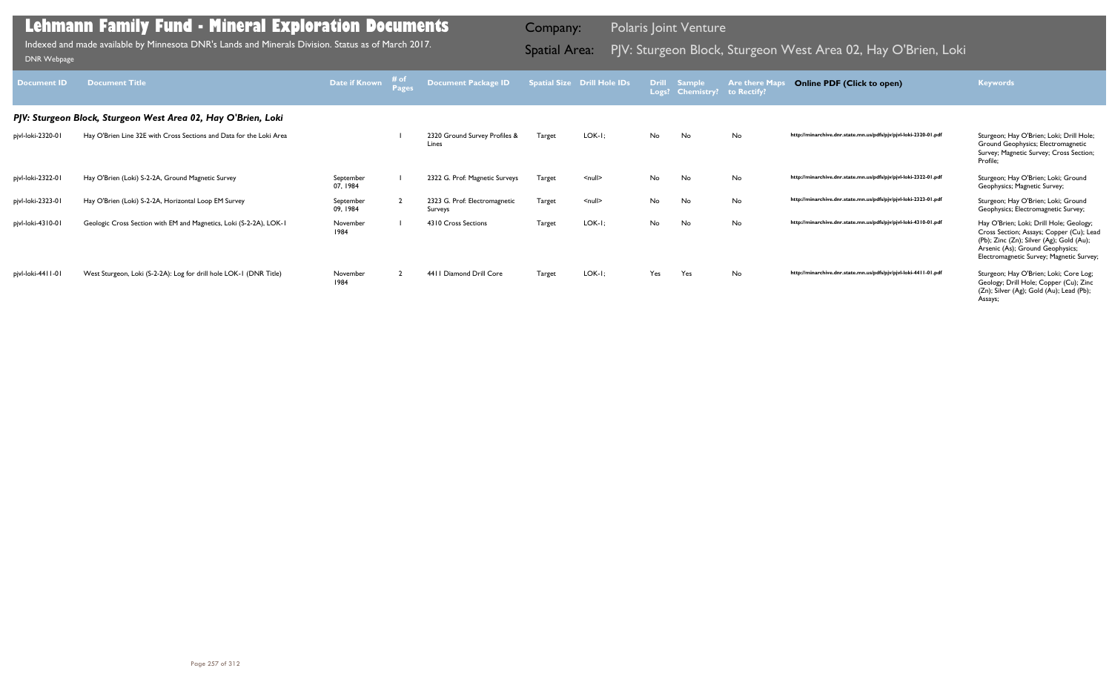| Document <b>ID</b> | <b>Document Title</b>                                               | Date if Known         | # of<br><b>Pages</b> | Document Package ID                      |               | <b>Spatial Size Drill Hole IDs</b> |     | Drill Sample<br>Logs? Chemistry? | <b>Are there Maps</b><br>to Rectify? | <b>Online PDF (Click to open)</b>                                | <b>Keywords</b>                                                                                                                                                                                                 |
|--------------------|---------------------------------------------------------------------|-----------------------|----------------------|------------------------------------------|---------------|------------------------------------|-----|----------------------------------|--------------------------------------|------------------------------------------------------------------|-----------------------------------------------------------------------------------------------------------------------------------------------------------------------------------------------------------------|
|                    | PJV: Sturgeon Block, Sturgeon West Area 02, Hay O'Brien, Loki       |                       |                      |                                          |               |                                    |     |                                  |                                      |                                                                  |                                                                                                                                                                                                                 |
| pjvl-loki-2320-01  | Hay O'Brien Line 32E with Cross Sections and Data for the Loki Area |                       |                      | 2320 Ground Survey Profiles &<br>Lines   | <b>Target</b> | $LOK-I;$                           | No  | No                               | No                                   | http://minarchive.dnr.state.mn.us/pdfs/pjv/pjvl-loki-2320-01.pdf | Sturgeon; Hay O'Brien; Loki; Drill Hole;<br>Ground Geophysics; Electromagnetic<br>Survey; Magnetic Survey; Cross Section;<br>Profile:                                                                           |
| pjvl-loki-2322-01  | Hay O'Brien (Loki) S-2-2A, Ground Magnetic Survey                   | September<br>07, 1984 |                      | 2322 G. Prof: Magnetic Surveys           | Target        | $\leq$ null $\geq$                 | No  | No                               | <b>No</b>                            | http://minarchive.dnr.state.mn.us/pdfs/pjv/pjvl-loki-2322-01.pdf | Sturgeon; Hay O'Brien; Loki; Ground<br>Geophysics; Magnetic Survey;                                                                                                                                             |
| pjvl-loki-2323-01  | Hay O'Brien (Loki) S-2-2A, Horizontal Loop EM Survey                | September<br>09, 1984 |                      | 2323 G. Prof: Electromagnetic<br>Surveys | Target        | $null$                             | No  | No                               | No                                   | http://minarchive.dnr.state.mn.us/pdfs/pjv/pjvl-loki-2323-01.pdf | Sturgeon; Hay O'Brien; Loki; Ground<br>Geophysics; Electromagnetic Survey;                                                                                                                                      |
| pjvl-loki-4310-01  | Geologic Cross Section with EM and Magnetics, Loki (S-2-2A), LOK-1  | November<br>1984      |                      | 4310 Cross Sections                      | Target        | $LOK-I;$                           | No  | No                               | <b>No</b>                            | http://minarchive.dnr.state.mn.us/pdfs/pjv/pjvl-loki-4310-01.pdf | Hay O'Brien; Loki; Drill Hole; Geology;<br>Cross Section; Assays; Copper (Cu); Lead<br>(Pb); Zinc (Zn); Silver (Ag); Gold (Au);<br>Arsenic (As); Ground Geophysics;<br>Electromagnetic Survey; Magnetic Survey; |
| pjvl-loki-4411-01  | West Sturgeon, Loki (S-2-2A): Log for drill hole LOK-1 (DNR Title)  | November<br>1984      |                      | 4411 Diamond Drill Core                  | Target        | $LOK-I;$                           | Yes | Yes                              | <b>No</b>                            | http://minarchive.dnr.state.mn.us/pdfs/pjv/pjvl-loki-4411-01.pdf | Sturgeon; Hay O'Brien; Loki; Core Log;<br>Geology; Drill Hole; Copper (Cu); Zinc<br>(Zn); Silver (Ag); Gold (Au); Lead (Pb);<br>Assays;                                                                         |

Indexed and made available by Minnesota DNR's Lands and Minerals Division. Status as of March 2017. **Spatial Area:** PJV: Sturgeon Block, Sturgeon West Area 02, Hay O'Brien, Loki DNR Webpage Indexed and made available by Minnesota DNR's Lands and Minerals Division. Status as of March 2017.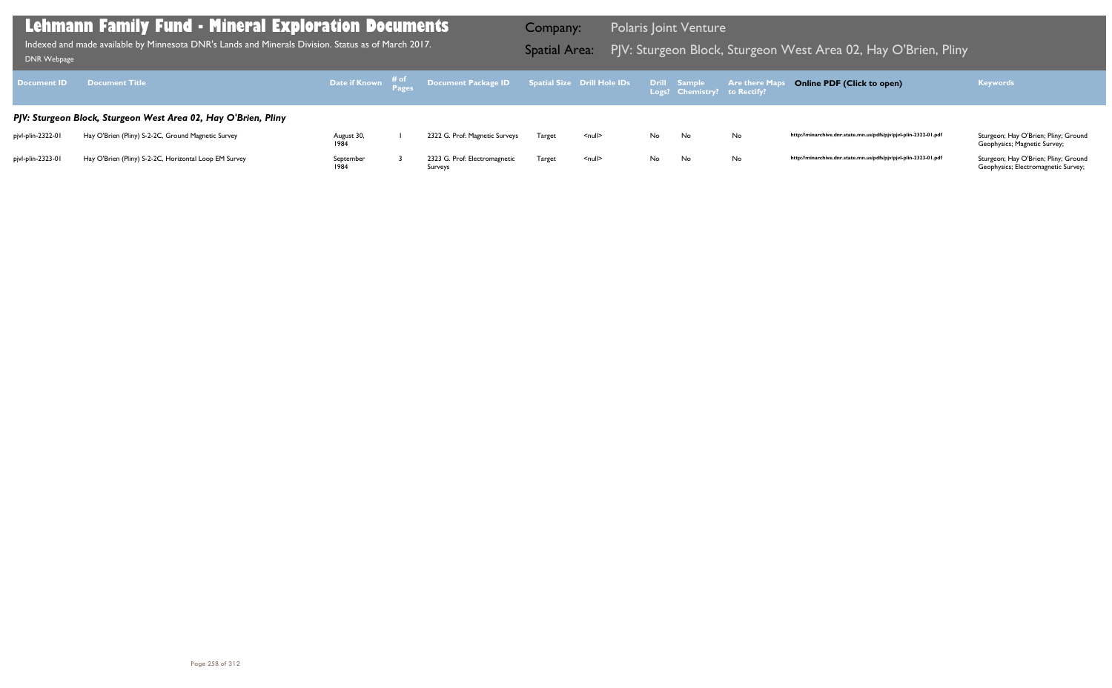Geophysics; Magnetic Survey;

| <b>Document ID</b> | <b>Document Title</b>                                          |                    | Date if Known # <sup>of</sup> Document Package ID Spatial Size Drill Hole IDs |        |                    |     | Drill Sample<br>Logs? Chemistry? to Rectify? | <b>Are there Maps</b> |
|--------------------|----------------------------------------------------------------|--------------------|-------------------------------------------------------------------------------|--------|--------------------|-----|----------------------------------------------|-----------------------|
|                    | PJV: Sturgeon Block, Sturgeon West Area 02, Hay O'Brien, Pliny |                    |                                                                               |        |                    |     |                                              |                       |
| pjvl-plin-2322-01  | Hay O'Brien (Pliny) S-2-2C, Ground Magnetic Survey             | August 30,<br>1984 | 2322 G. Prof: Magnetic Surveys                                                | Target | $null$             | No  | No.                                          | No                    |
| pjvl-plin-2323-01  | Hay O'Brien (Pliny) S-2-2C, Horizontal Loop EM Survey          | September<br>1984  | 2323 G. Prof: Electromagnetic<br>Surveys                                      | Target | $\leq$ null $\geq$ | No. | No.                                          | No                    |

Geophysics; Electromagnetic Survey;

## **Lehmann Family Fund - Mineral Exploration Documents**

Indexed and made available by Minnesota DNR's Lands and Minerals Division. Status as of March 2017. **Spatial Area:** PJV: Sturgeon Block, Sturgeon West Area 02, Hay O'Brien, Pliny וDNR Webpage Indexed and made available by Minnesota DNR's Lands and Minerals Division. Status as of March 2017.

Company: Polaris Joint Venture

## **Online PDF (Click to open) Keywords**

http://minarchive.dnr.state.mn.us/pdfs/pjv/pjvl-plin-2322-01.pdf Sturgeon; Hay O'Brien; Pliny; Ground

http://minarchive.dnr.state.mn.us/pdfs/pjv/pjvl-plin-2323-01.pdf Sturgeon; Hay O'Brien; Pliny; Ground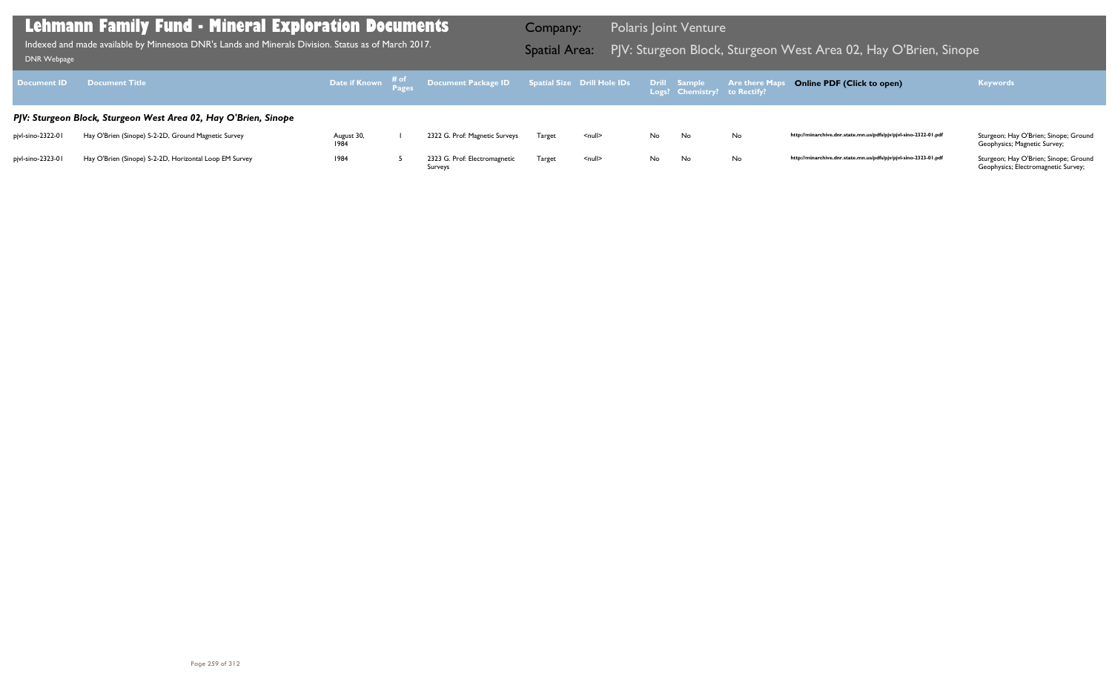http://minarchive.dnr.state.mn.us/pdfs/pjv/pjvl-sino-2322-01.pdf Sturgeon; Hay O'Brien; Sinope; Ground Geophysics; Magnetic Survey;

http://minarchive.dnr.state.mn.us/pdfs/pjv/pjvl-sino-2323-01.pdf Sturgeon; Hay O'Brien; Sinope; Ground

| <b>Document ID</b> | <b>Document Title</b>                                           |                    | Date if Known $\begin{array}{cc} \text{\# of} \ \text{\# ages} \end{array}$ Document Package ID Spatial Size Drill Hole IDs |        |                    |     | Drill Sample<br>Logs? Chemistry? to Rectify? | <b>Are there Maps</b> |
|--------------------|-----------------------------------------------------------------|--------------------|-----------------------------------------------------------------------------------------------------------------------------|--------|--------------------|-----|----------------------------------------------|-----------------------|
|                    | PJV: Sturgeon Block, Sturgeon West Area 02, Hay O'Brien, Sinope |                    |                                                                                                                             |        |                    |     |                                              |                       |
| pjvl-sino-2322-01  | Hay O'Brien (Sinope) S-2-2D, Ground Magnetic Survey             | August 30,<br>1984 | 2322 G. Prof: Magnetic Surveys                                                                                              | Target | $\leq$ null $\geq$ | No. | No.                                          | No                    |
| pjvl-sino-2323-01  | Hay O'Brien (Sinope) S-2-2D, Horizontal Loop EM Survey          | 1984               | 2323 G. Prof: Electromagnetic<br>Surveys                                                                                    | Target | <null></null>      | No  | No                                           | No                    |

Geophysics; Electromagnetic Survey;

## **Lehmann Family Fund - Mineral Exploration Documents**

Indexed and made available by Minnesota DNR's Lands and Minerals Division. Status as of March 2017. **Spatial Area:** PJV: Sturgeon Block, Sturgeon West Area 02, Hay O'Brien, Sinope DNR Webpage Indexed and made available by Minnesota DNR's Lands and Minerals Division. Status as of March 2017.

Company: Polaris Joint Venture

## **Online PDF (Click to open) Keywords**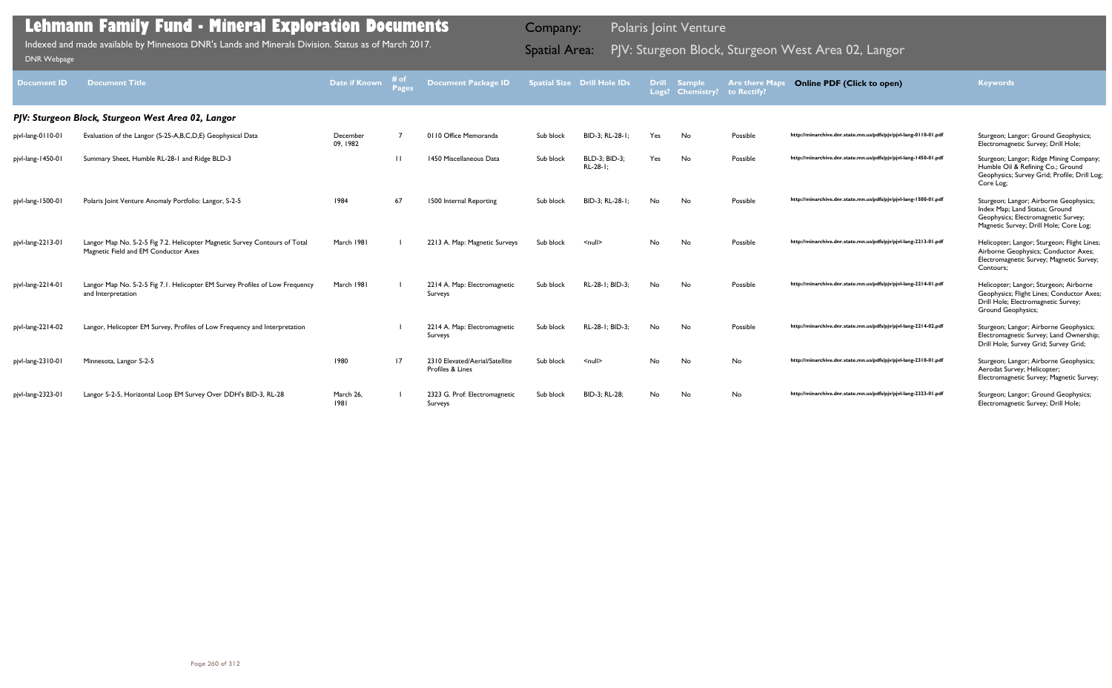| <b>Document ID</b> | <b>Document Title</b>                                                                                              | Date if Known        | #o <sub>i</sub><br>Pages | <b>Document Package ID</b>                         |           | <b>Spatial Size Drill Hole IDs</b> | <b>Drill</b> | <b>Sample</b><br>Logs? Chemistry? to Rectify? | <b>Are there Map</b> | <b>Online PDF (Click to open)</b>                                | <b>Keywords</b>                                                                                                                                           |
|--------------------|--------------------------------------------------------------------------------------------------------------------|----------------------|--------------------------|----------------------------------------------------|-----------|------------------------------------|--------------|-----------------------------------------------|----------------------|------------------------------------------------------------------|-----------------------------------------------------------------------------------------------------------------------------------------------------------|
|                    | PJV: Sturgeon Block, Sturgeon West Area 02, Langor                                                                 |                      |                          |                                                    |           |                                    |              |                                               |                      |                                                                  |                                                                                                                                                           |
| pjvl-lang-0110-01  | Evaluation of the Langor (S-25-A,B,C,D,E) Geophysical Data                                                         | December<br>09, 1982 |                          | 0110 Office Memoranda                              | Sub block | BID-3; RL-28-1                     | Yes          | No                                            | Possible             | http://minarchive.dnr.state.mn.us/pdfs/pjv/pjvl-lang-0110-01.pdf | Sturgeon; Langor; Ground Geophysics;<br>Electromagnetic Survey; Drill Hole;                                                                               |
| pjvl-lang-1450-01  | Summary Sheet, Humble RL-28-1 and Ridge BLD-3                                                                      |                      | $\Box$                   | 1450 Miscellaneous Data                            | Sub block | <b>BLD-3: BID-3:</b><br>RL-28-1;   | Yes          | No                                            | Possible             | http://minarchive.dnr.state.mn.us/pdfs/pjv/pjvl-lang-1450-01.pdf | Sturgeon; Langor; Ridge Mining Company;<br>Humble Oil & Refining Co.; Ground<br>Geophysics; Survey Grid; Profile; Drill Log;<br>Core Log;                 |
| pjvl-lang-1500-01  | Polaris Joint Venture Anomaly Portfolio: Langor, S-2-5                                                             | 1984                 | 67                       | 1500 Internal Reporting                            | Sub block | BID-3: RL-28-1:                    | No           | No                                            | Possible             | http://minarchive.dnr.state.mn.us/pdfs/pjv/pjvl-lang-1500-01.pdf | Sturgeon; Langor; Airborne Geophysics;<br>Index Map; Land Status; Ground<br>Geophysics; Electromagnetic Survey;<br>Magnetic Survey; Drill Hole; Core Log; |
| pjvl-lang-2213-01  | Langor Map No. S-2-5 Fig 7.2. Helicopter Magnetic Survey Contours of Total<br>Magnetic Field and EM Conductor Axes | March 1981           |                          | 2213 A. Map: Magnetic Surveys                      | Sub block | $\leq$ null $\geq$                 | <b>No</b>    | No                                            | Possible             | http://minarchive.dnr.state.mn.us/pdfs/pjv/pjvl-lang-2213-01.pdf | Helicopter; Langor; Sturgeon; Flight Lines;<br>Airborne Geophysics; Conductor Axes;<br>Electromagnetic Survey; Magnetic Survey;<br>Contours:              |
| pjvl-lang-2214-01  | Langor Map No. S-2-5 Fig 7.1. Helicopter EM Survey Profiles of Low Frequency<br>and Interpretation                 | March 1981           |                          | 2214 A. Map: Electromagnetic<br>Surveys            | Sub block | RL-28-1; BID-3;                    | No           | <b>No</b>                                     | Possible             | http://minarchive.dnr.state.mn.us/pdfs/pjv/pjvl-lang-2214-01.pdf | Helicopter; Langor; Sturgeon; Airborne<br>Geophysics; Flight Lines; Conductor Axes;<br>Drill Hole; Electromagnetic Survey;<br><b>Ground Geophysics;</b>   |
| pjvl-lang-2214-02  | Langor, Helicopter EM Survey, Profiles of Low Frequency and Interpretation                                         |                      |                          | 2214 A. Map: Electromagnetic<br>Surveys            | Sub block | RL-28-1; BID-3;                    | No           | No                                            | Possible             | http://minarchive.dnr.state.mn.us/pdfs/pjv/pjvl-lang-2214-02.pdf | Sturgeon; Langor; Airborne Geophysics;<br>Electromagnetic Survey; Land Ownership;<br>Drill Hole; Survey Grid; Survey Grid;                                |
| pjvl-lang-2310-01  | Minnesota, Langor S-2-5                                                                                            | 1980                 | 17                       | 2310 Elevated/Aerial/Satellite<br>Profiles & Lines | Sub block | $\leq$ null $\geq$                 | <b>No</b>    | No                                            | <b>No</b>            | http://minarchive.dnr.state.mn.us/pdfs/pjv/pjvl-lang-2310-01.pdf | Sturgeon; Langor; Airborne Geophysics;<br>Aerodat Survey; Helicopter;<br>Electromagnetic Survey; Magnetic Survey;                                         |
| pjvl-lang-2323-01  | Langor S-2-5, Horizontal Loop EM Survey Over DDH's BID-3, RL-28                                                    | March 26.<br>1981    |                          | 2323 G. Prof: Electromagnetic<br>Surveys           | Sub block | BID-3: RL-28:                      | No           | <b>No</b>                                     | <b>No</b>            | http://minarchive.dnr.state.mn.us/pdfs/pjv/pjvl-lang-2323-01.pdf | Sturgeon; Langor; Ground Geophysics;<br>Electromagnetic Survey; Drill Hole;                                                                               |

Indexed and made available by Minnesota DNR's Lands and Minerals Division. Status as of March 2017. **Spatial Area:** PJV: Sturgeon Block, Sturgeon West Area 02, Langor DNR Webpage Indexed and made available by Minnesota DNR's Lands and Minerals Division. Status as of March 2017.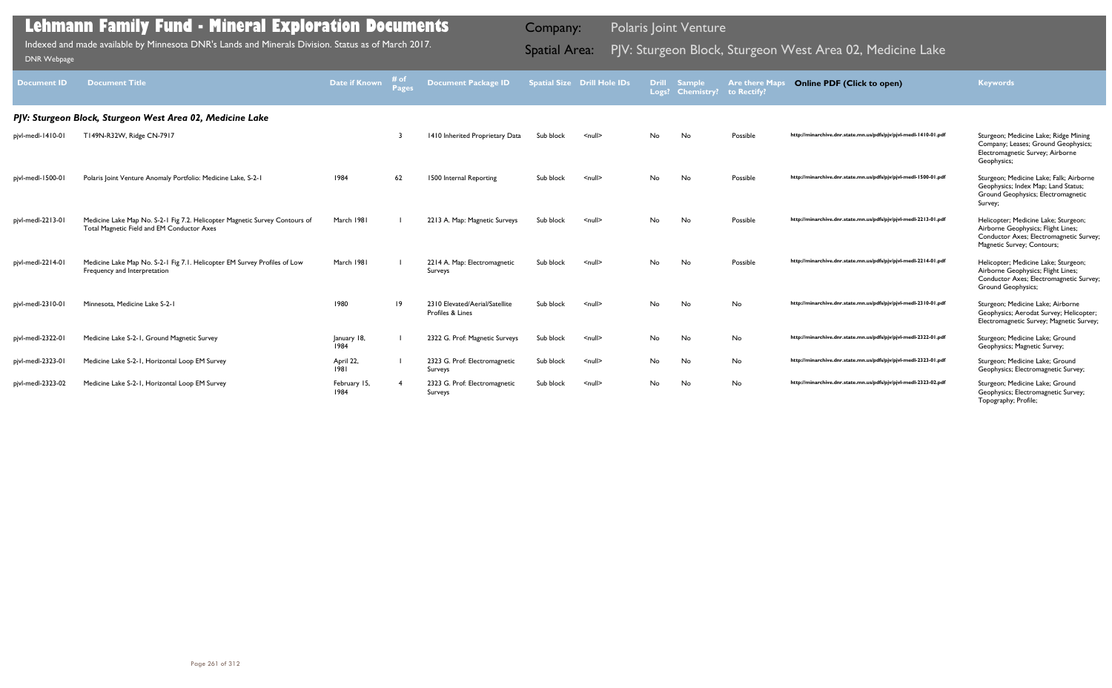| <b>Document ID</b> | <b>Document Title</b>                                                                                                     | Date if Known        | # of<br>Pages | Document Package ID                                |           | <b>Spatial Size Drill Hole IDs</b> |     | <b>Drill Sample</b><br>Logs? Chemistry? to Rectify? | <b>Are there Maps</b> | <b>Online PDF (Click to open)</b>                                | <b>Keywords</b>                                                                                                                                     |
|--------------------|---------------------------------------------------------------------------------------------------------------------------|----------------------|---------------|----------------------------------------------------|-----------|------------------------------------|-----|-----------------------------------------------------|-----------------------|------------------------------------------------------------------|-----------------------------------------------------------------------------------------------------------------------------------------------------|
|                    | PJV: Sturgeon Block, Sturgeon West Area 02, Medicine Lake                                                                 |                      |               |                                                    |           |                                    |     |                                                     |                       |                                                                  |                                                                                                                                                     |
| pjvl-medl-1410-01  | T149N-R32W, Ridge CN-7917                                                                                                 |                      |               | 1410 Inherited Proprietary Data                    | Sub block | $null$                             | No  | No                                                  | Possible              | http://minarchive.dnr.state.mn.us/pdfs/pjv/pjvl-medl-1410-01.pdf | Sturgeon; Medicine Lake; Ridge Mining<br>Company; Leases; Ground Geophysics;<br>Electromagnetic Survey; Airborne<br>Geophysics;                     |
| pjvl-medl-1500-01  | Polaris Joint Venture Anomaly Portfolio: Medicine Lake, S-2-1                                                             | 1984                 | 62            | 1500 Internal Reporting                            | Sub block | $\leq$ null $\geq$                 | No. | No                                                  | Possible              | http://minarchive.dnr.state.mn.us/pdfs/pjv/pjvl-medl-1500-01.pdf | Sturgeon; Medicine Lake; Falk; Airborne<br>Geophysics; Index Map; Land Status;<br>Ground Geophysics; Electromagnetic<br>Survey;                     |
| pjvl-medl-2213-01  | Medicine Lake Map No. S-2-1 Fig 7.2. Helicopter Magnetic Survey Contours of<br>Total Magnetic Field and EM Conductor Axes | March 1981           |               | 2213 A. Map: Magnetic Surveys                      | Sub block | $null$                             | No  | <b>No</b>                                           | Possible              | http://minarchive.dnr.state.mn.us/pdfs/pjv/pjvl-medl-2213-01.pdf | Helicopter; Medicine Lake; Sturgeon;<br>Airborne Geophysics; Flight Lines;<br>Conductor Axes; Electromagnetic Survey;<br>Magnetic Survey; Contours; |
| pjvl-medl-2214-01  | Medicine Lake Map No. S-2-1 Fig 7.1. Helicopter EM Survey Profiles of Low<br>Frequency and Interpretation                 | March 1981           |               | 2214 A. Map: Electromagnetic<br>Surveys            | Sub block | $\leq$ null $\geq$                 | No  | <b>No</b>                                           | Possible              | http://minarchive.dnr.state.mn.us/pdfs/pjv/pjvl-medl-2214-01.pdf | Helicopter; Medicine Lake; Sturgeon;<br>Airborne Geophysics; Flight Lines;<br>Conductor Axes; Electromagnetic Survey;<br><b>Ground Geophysics;</b>  |
| pjvl-medl-2310-01  | Minnesota, Medicine Lake S-2-1                                                                                            | 1980                 | 19            | 2310 Elevated/Aerial/Satellite<br>Profiles & Lines | Sub block | $null$                             | No  | No                                                  | <b>No</b>             | http://minarchive.dnr.state.mn.us/pdfs/pjv/pjvl-medl-2310-01.pdf | Sturgeon; Medicine Lake; Airborne<br>Geophysics; Aerodat Survey; Helicopter;<br>Electromagnetic Survey; Magnetic Survey;                            |
| pjvl-medl-2322-01  | Medicine Lake S-2-1, Ground Magnetic Survey                                                                               | January 18,<br>1984  |               | 2322 G. Prof: Magnetic Surveys                     | Sub block | $\leq$ null $\geq$                 | No  | No                                                  | No                    | http://minarchive.dnr.state.mn.us/pdfs/pjv/pjvl-medl-2322-01.pdf | Sturgeon; Medicine Lake; Ground<br>Geophysics; Magnetic Survey;                                                                                     |
| pjvl-medl-2323-01  | Medicine Lake S-2-1, Horizontal Loop EM Survey                                                                            | April 22,<br>1981    |               | 2323 G. Prof: Electromagnetic<br>Surveys           | Sub block | $null$                             | No  | No                                                  | No                    | http://minarchive.dnr.state.mn.us/pdfs/pjv/pjvl-medl-2323-01.pdf | Sturgeon; Medicine Lake; Ground<br>Geophysics; Electromagnetic Survey;                                                                              |
| pjvl-medl-2323-02  | Medicine Lake S-2-1, Horizontal Loop EM Survey                                                                            | February 15,<br>1984 |               | 2323 G. Prof: Electromagnetic<br>Surveys           | Sub block | $null$                             | No  | No                                                  | No                    | http://minarchive.dnr.state.mn.us/pdfs/pjv/pjvl-medl-2323-02.pdf | Sturgeon; Medicine Lake; Ground<br>Geophysics; Electromagnetic Survey;<br>Topography; Profile;                                                      |

Indexed and made available by Minnesota DNR's Lands and Minerals Division. Status as of March 2017. **Spatial Area:** PJV: Sturgeon Block, Sturgeon West Area 02, Medicine Lake DNR Webpage Indexed and made available by Minnesota DNR's Lands and Minerals Division. Status as of March 2017.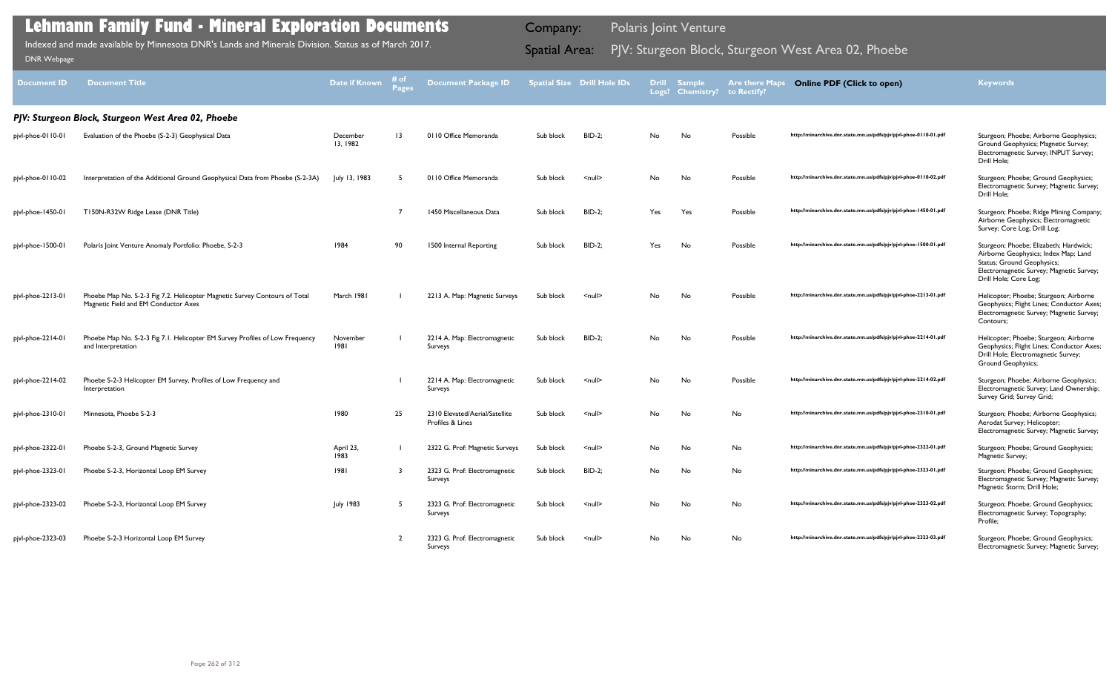| <b>Document ID</b> | <b>Document Title</b>                                                                                              | <b>Date if Known</b> | # of<br><b>Pages</b> | <b>Document Package ID</b>                         |           | <b>Spatial Size Drill Hole IDs</b> |     | <b>Drill Sample</b><br>Logs? Chemistry? | <b>Are there Maps</b><br>to Rectify? | <b>Online PDF (Click to open)</b>                                | <b>Keywords</b>                                                                                                                                                                   |
|--------------------|--------------------------------------------------------------------------------------------------------------------|----------------------|----------------------|----------------------------------------------------|-----------|------------------------------------|-----|-----------------------------------------|--------------------------------------|------------------------------------------------------------------|-----------------------------------------------------------------------------------------------------------------------------------------------------------------------------------|
|                    | PJV: Sturgeon Block, Sturgeon West Area 02, Phoebe                                                                 |                      |                      |                                                    |           |                                    |     |                                         |                                      |                                                                  |                                                                                                                                                                                   |
| pjvl-phoe-0110-01  | Evaluation of the Phoebe (S-2-3) Geophysical Data                                                                  | December<br>13, 1982 | $\overline{13}$      | 0110 Office Memoranda                              | Sub block | <b>BID-2;</b>                      | No  | No                                      | Possible                             | http://minarchive.dnr.state.mn.us/pdfs/pjv/pjvl-phoe-0110-01.pdf | Sturgeon; Phoebe; Airborne Geophysics;<br>Ground Geophysics; Magnetic Survey;<br>Electromagnetic Survey; INPUT Survey;<br>Drill Hole;                                             |
| pjvl-phoe-0110-02  | Interpretation of the Additional Ground Geophysical Data from Phoebe (S-2-3A)                                      | July 13, 1983        | -5                   | 0110 Office Memoranda                              | Sub block | $\leq$ null $\geq$                 | No  | No                                      | Possible                             | http://minarchive.dnr.state.mn.us/pdfs/pjv/pjvl-phoe-0110-02.pdf | Sturgeon; Phoebe; Ground Geophysics;<br>Electromagnetic Survey; Magnetic Survey;<br>Drill Hole:                                                                                   |
| pjvl-phoe-1450-01  | T150N-R32W Ridge Lease (DNR Title)                                                                                 |                      | - 7                  | 1450 Miscellaneous Data                            | Sub block | <b>BID-2;</b>                      | Yes | Yes                                     | Possible                             | http://minarchive.dnr.state.mn.us/pdfs/pjv/pjvl-phoe-1450-01.pdf | Sturgeon; Phoebe; Ridge Mining Company;<br>Airborne Geophysics; Electromagnetic<br>Survey; Core Log; Drill Log;                                                                   |
| pjvl-phoe-1500-01  | Polaris Joint Venture Anomaly Portfolio: Phoebe, S-2-3                                                             | 1984                 | 90                   | 1500 Internal Reporting                            | Sub block | <b>BID-2;</b>                      | Yes | No                                      | Possible                             | http://minarchive.dnr.state.mn.us/pdfs/pjv/pjvl-phoe-1500-01.pdf | Sturgeon; Phoebe; Elizabeth; Hardwick;<br>Airborne Geophysics; Index Map; Land<br>Status; Ground Geophysics;<br>Electromagnetic Survey; Magnetic Survey;<br>Drill Hole; Core Log; |
| pjvl-phoe-2213-01  | Phoebe Map No. S-2-3 Fig 7.2. Helicopter Magnetic Survey Contours of Total<br>Magnetic Field and EM Conductor Axes | March 1981           |                      | 2213 A. Map: Magnetic Surveys                      | Sub block | $\leq$ null $\geq$                 | No. | No                                      | Possible                             | http://minarchive.dnr.state.mn.us/pdfs/pjv/pjvl-phoe-2213-01.pdf | Helicopter; Phoebe; Sturgeon; Airborne<br>Geophysics; Flight Lines; Conductor Axes;<br>Electromagnetic Survey; Magnetic Survey;<br>Contours;                                      |
| pjvl-phoe-2214-01  | Phoebe Map No. S-2-3 Fig 7.1. Helicopter EM Survey Profiles of Low Frequency<br>and Interpretation                 | November<br>1981     |                      | 2214 A. Map: Electromagnetic<br>Surveys            | Sub block | <b>BID-2;</b>                      | No  | No                                      | Possible                             | http://minarchive.dnr.state.mn.us/pdfs/pjv/pjvl-phoe-2214-01.pdf | Helicopter; Phoebe; Sturgeon; Airborne<br>Geophysics; Flight Lines; Conductor Axes;<br>Drill Hole; Electromagnetic Survey;<br><b>Ground Geophysics;</b>                           |
| pjvl-phoe-2214-02  | Phoebe S-2-3 Helicopter EM Survey, Profiles of Low Frequency and<br>Interpretation                                 |                      |                      | 2214 A. Map: Electromagnetic<br>Surveys            | Sub block | $\leq$ null $\geq$                 | No  | No                                      | Possible                             | http://minarchive.dnr.state.mn.us/pdfs/pjv/pjvl-phoe-2214-02.pdf | Sturgeon; Phoebe; Airborne Geophysics;<br>Electromagnetic Survey; Land Ownership;<br>Survey Grid; Survey Grid;                                                                    |
| pjvl-phoe-2310-01  | Minnesota, Phoebe S-2-3                                                                                            | 1980                 | 25                   | 2310 Elevated/Aerial/Satellite<br>Profiles & Lines | Sub block | $\leq$ null $\geq$                 | No  | No                                      | No                                   | http://minarchive.dnr.state.mn.us/pdfs/pjv/pjvl-phoe-2310-01.pdf | Sturgeon; Phoebe; Airborne Geophysics;<br>Aerodat Survey; Helicopter;<br>Electromagnetic Survey; Magnetic Survey;                                                                 |
| pjvl-phoe-2322-01  | Phoebe S-2-3, Ground Magnetic Survey                                                                               | April 23,<br>1983    |                      | 2322 G. Prof: Magnetic Surveys                     | Sub block | <null></null>                      | No  | No                                      | No                                   | http://minarchive.dnr.state.mn.us/pdfs/pjv/pjvl-phoe-2322-01.pdf | Sturgeon; Phoebe; Ground Geophysics;<br>Magnetic Survey;                                                                                                                          |
| pjvl-phoe-2323-01  | Phoebe S-2-3, Horizontal Loop EM Survey                                                                            | 1981                 | -3                   | 2323 G. Prof: Electromagnetic<br>Surveys           | Sub block | <b>BID-2;</b>                      | No  | No                                      | No                                   | http://minarchive.dnr.state.mn.us/pdfs/pjv/pjvl-phoe-2323-01.pdf | Sturgeon; Phoebe; Ground Geophysics;<br>Electromagnetic Survey; Magnetic Survey;<br>Magnetic Storm; Drill Hole;                                                                   |
| pjvl-phoe-2323-02  | Phoebe S-2-3, Horizontal Loop EM Survey                                                                            | <b>July 1983</b>     | -5                   | 2323 G. Prof: Electromagnetic<br>Surveys           | Sub block | $null$                             | No  | No                                      | No                                   | http://minarchive.dnr.state.mn.us/pdfs/pjv/pjvl-phoe-2323-02.pdf | Sturgeon; Phoebe; Ground Geophysics;<br>Electromagnetic Survey; Topography;<br>Profile;                                                                                           |
| pjvl-phoe-2323-03  | Phoebe S-2-3 Horizontal Loop EM Survey                                                                             |                      | $\overline{2}$       | 2323 G. Prof: Electromagnetic<br>Surveys           | Sub block | $null$                             | No  | No                                      | No                                   | http://minarchive.dnr.state.mn.us/pdfs/pjv/pjvl-phoe-2323-03.pdf | Sturgeon; Phoebe; Ground Geophysics;<br>Electromagnetic Survey; Magnetic Survey;                                                                                                  |

Indexed and made available by Minnesota DNR's Lands and Minerals Division. Status as of March 2017. Sammer Spatial Area: PJV: Sturgeon Block, Sturgeon West Area 02, Phoebe DNR Webpage Indexed and made available by Minnesota DNR's Lands and Minerals Division. Status as of March 2017.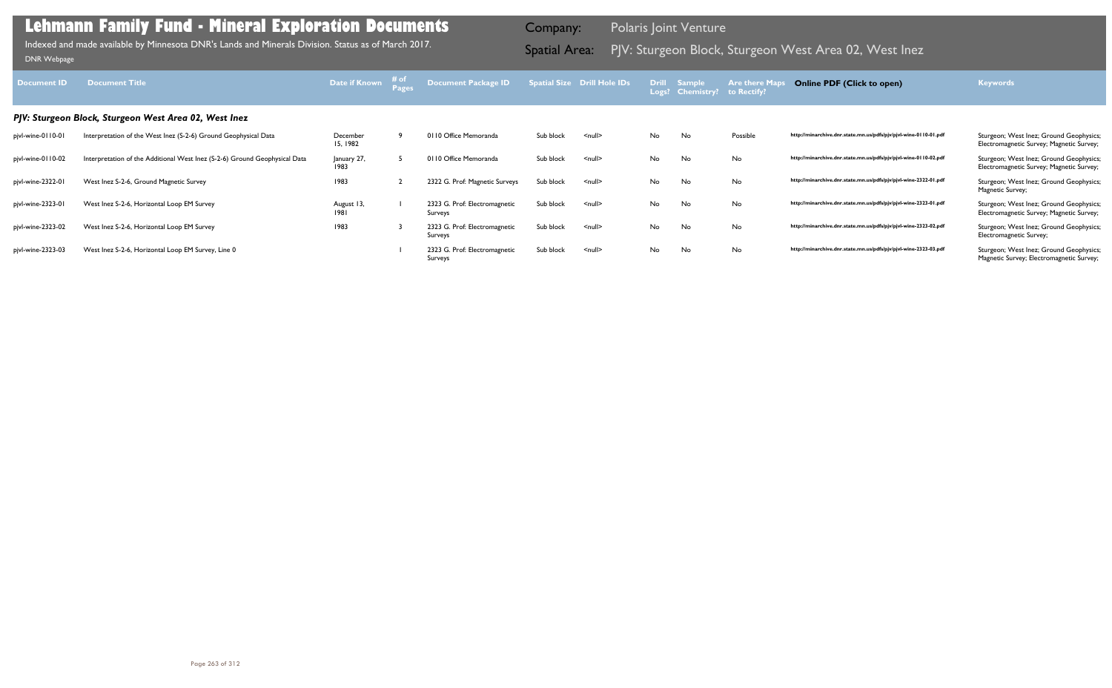|           | atial Size Drill Hole IDs | <b>Drill</b><br>Logs? | <b>Sample</b><br><b>Chemistry?</b> | <b>Are there Maps</b><br>to Rectify? | <b>Online PDF (Click to open)</b>                                | <b>Keywords</b>                                                                     |
|-----------|---------------------------|-----------------------|------------------------------------|--------------------------------------|------------------------------------------------------------------|-------------------------------------------------------------------------------------|
|           |                           |                       |                                    |                                      |                                                                  |                                                                                     |
| Sub block | $\leq$ null $\geq$        | <b>No</b>             | <b>No</b>                          | Possible                             | http://minarchive.dnr.state.mn.us/pdfs/pjv/pjvl-wine-0110-01.pdf | Sturgeon; West Inez; Ground Geophysics;<br>Electromagnetic Survey; Magnetic Survey; |
| Sub block | $\leq$ null $\geq$        | No                    | <b>No</b>                          | No                                   | http://minarchive.dnr.state.mn.us/pdfs/pjv/pjvl-wine-0110-02.pdf | Sturgeon; West Inez; Ground Geophysics;<br>Electromagnetic Survey; Magnetic Survey; |
| Sub block | $\leq$ null $\geq$        | No                    | <b>No</b>                          | No                                   | http://minarchive.dnr.state.mn.us/pdfs/pjv/pjvl-wine-2322-01.pdf | Sturgeon; West Inez; Ground Geophysics;<br>Magnetic Survey;                         |
| Sub block | $\leq$ null $\geq$        | No                    | <b>No</b>                          | No                                   | http://minarchive.dnr.state.mn.us/pdfs/pjv/pjvl-wine-2323-01.pdf | Sturgeon; West Inez; Ground Geophysics;<br>Electromagnetic Survey; Magnetic Survey; |
| Sub block | $\leq$ null $\geq$        | <b>No</b>             | <b>No</b>                          | No                                   | http://minarchive.dnr.state.mn.us/pdfs/pjv/pjvl-wine-2323-02.pdf | Sturgeon; West Inez; Ground Geophysics;<br>Electromagnetic Survey;                  |
| Sub block | $\leq$ null $\geq$        | No                    | <b>No</b>                          | No                                   | http://minarchive.dnr.state.mn.us/pdfs/pjv/pjvl-wine-2323-03.pdf | Sturgeon; West Inez; Ground Geophysics;<br>Magnetic Survey; Electromagnetic Survey; |

| <b>Document ID</b> | <b>Document Title</b>                                                      | Date if Known        | Document Package ID                      |           | Spatial Size Drill Hole IDs | <b>Drill</b> | <b>Sample</b><br>Logs? Chemistry? to Rectify? | <b>Are there Maps</b> | <b>Online PDF (Click to open)</b>                                | <b>Keywords</b>                                                                     |
|--------------------|----------------------------------------------------------------------------|----------------------|------------------------------------------|-----------|-----------------------------|--------------|-----------------------------------------------|-----------------------|------------------------------------------------------------------|-------------------------------------------------------------------------------------|
|                    | PJV: Sturgeon Block, Sturgeon West Area 02, West Inez                      |                      |                                          |           |                             |              |                                               |                       |                                                                  |                                                                                     |
| pjvl-wine-0110-01  | Interpretation of the West Inez (S-2-6) Ground Geophysical Data            | December<br>15, 1982 | 0110 Office Memoranda                    | Sub block | $<$ null $>$                | No           | No                                            | Possible              | http://minarchive.dnr.state.mn.us/pdfs/pjv/pjvl-wine-0110-01.pdf | Sturgeon; West Inez; Ground Geophysics;<br>Electromagnetic Survey; Magnetic Survey; |
| pjvl-wine-0110-02  | Interpretation of the Additional West Inez (S-2-6) Ground Geophysical Data | January 27,<br>1983  | 0110 Office Memoranda                    | Sub block | $<$ null $>$                | No           | No                                            | No                    | http://minarchive.dnr.state.mn.us/pdfs/pjv/pjvl-wine-0110-02.pdf | Sturgeon; West Inez; Ground Geophysics;<br>Electromagnetic Survey; Magnetic Survey; |
| pjvl-wine-2322-01  | West Inez S-2-6, Ground Magnetic Survey                                    | 1983                 | 2322 G. Prof: Magnetic Surveys           | Sub block | $<$ null $>$                | No           | No                                            | <b>No</b>             | http://minarchive.dnr.state.mn.us/pdfs/pjv/pjvl-wine-2322-01.pdf | Sturgeon; West Inez; Ground Geophysics;<br>Magnetic Survey;                         |
| pjvl-wine-2323-01  | West Inez S-2-6, Horizontal Loop EM Survey                                 | August 13,<br>1981   | 2323 G. Prof: Electromagnetic<br>Surveys | Sub block | $\leq$ null $\geq$          | No           | No                                            | No                    | http://minarchive.dnr.state.mn.us/pdfs/pjv/pjvl-wine-2323-01.pdf | Sturgeon; West Inez; Ground Geophysics;<br>Electromagnetic Survey; Magnetic Survey; |
| pjvl-wine-2323-02  | West Inez S-2-6, Horizontal Loop EM Survey                                 | 1983                 | 2323 G. Prof: Electromagnetic<br>Surveys | Sub block | $null$                      | No           | No                                            | No                    | http://minarchive.dnr.state.mn.us/pdfs/pjv/pjvl-wine-2323-02.pdf | Sturgeon; West Inez; Ground Geophysics;<br>Electromagnetic Survey;                  |
| pjvl-wine-2323-03  | West Inez S-2-6, Horizontal Loop EM Survey, Line 0                         |                      | 2323 G. Prof: Electromagnetic<br>Surveys | Sub block | $<$ null $>$                | No           | No                                            | No                    | http://minarchive.dnr.state.mn.us/pdfs/pjv/pjvl-wine-2323-03.pdf | Sturgeon; West Inez; Ground Geophysics;<br>Magnetic Survey; Electromagnetic Survey; |

Indexed and made available by Minnesota DNR's Lands and Minerals Division. Status as of March 2017. **Spatial Area:** PJV: Sturgeon Block, Sturgeon West Area 02, West Inez DNR Webpage Indexed and made available by Minnesota DNR's Lands and Minerals Division. Status as of March 2017.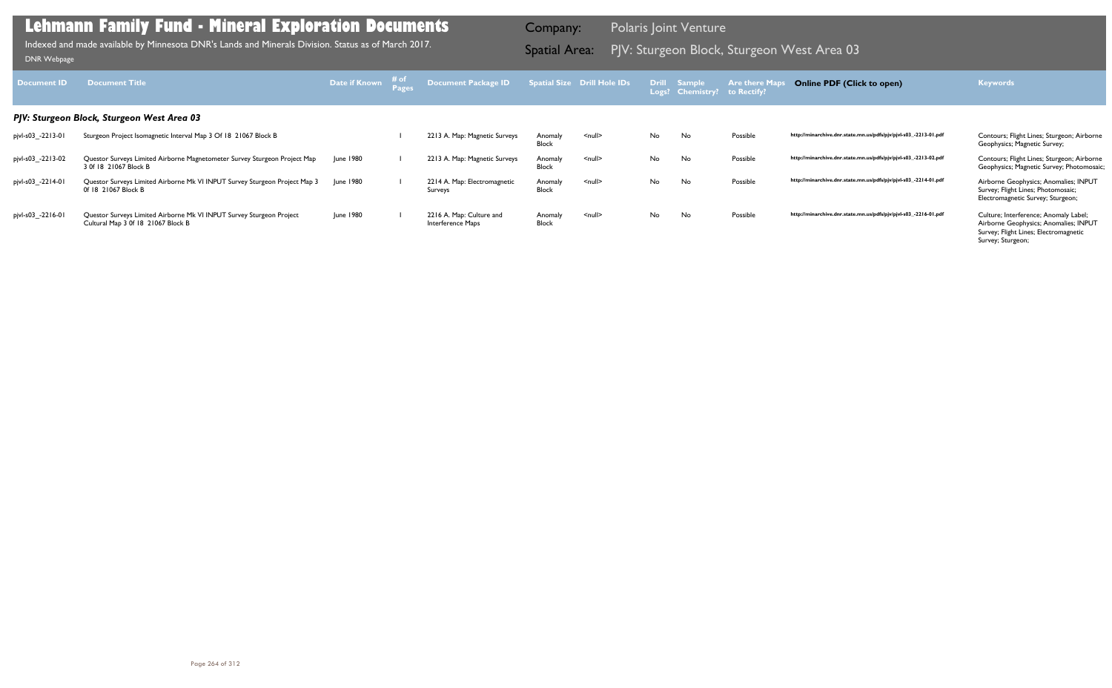| Document <b>ID</b> | <b>Document Title</b>                                                                                      | Date if Known | ≉ of | Document Package ID                           |                         | <b>Spatial Size Drill Hole IDs</b> |     | Drill Sample<br>Logs? Chemistry? | <b>Are there Maps</b><br>to Rectify? | <b>Online PDF (Click to open)</b>                                | <b>Keywords</b>                                                                                                                              |
|--------------------|------------------------------------------------------------------------------------------------------------|---------------|------|-----------------------------------------------|-------------------------|------------------------------------|-----|----------------------------------|--------------------------------------|------------------------------------------------------------------|----------------------------------------------------------------------------------------------------------------------------------------------|
|                    | PJV: Sturgeon Block, Sturgeon West Area 03                                                                 |               |      |                                               |                         |                                    |     |                                  |                                      |                                                                  |                                                                                                                                              |
| pjvl-s03_-2213-01  | Sturgeon Project Isomagnetic Interval Map 3 Of 18 21067 Block B                                            |               |      | 2213 A. Map: Magnetic Surveys                 | Anomaly<br>Block        | <null></null>                      | No. | No                               | Possible                             | http://minarchive.dnr.state.mn.us/pdfs/pjv/pjvl-s03_-2213-01.pdf | Contours; Flight Lines; Sturgeon; Airborne<br>Geophysics; Magnetic Survey;                                                                   |
| pjvl-s03_-2213-02  | Questor Surveys Limited Airborne Magnetometer Survey Sturgeon Project Map<br>3 Of 18 21067 Block B         | June 1980     |      | 2213 A. Map: Magnetic Surveys                 | Anomaly<br>Block        | $null$                             | No. | No                               | Possible                             | http://minarchive.dnr.state.mn.us/pdfs/pjv/pjvl-s03_-2213-02.pdf | Contours; Flight Lines; Sturgeon; Airborne<br>Geophysics; Magnetic Survey; Photomosaic;                                                      |
| pjvl-s03_-2214-01  | Questor Surveys Limited Airborne Mk VI INPUT Survey Sturgeon Project Map 3<br>0f 18 21067 Block B          | June 1980     |      | 2214 A. Map: Electromagnetic<br>Surveys       | Anomaly<br><b>Block</b> | $null$                             | No. | No                               | Possible                             | http://minarchive.dnr.state.mn.us/pdfs/pjv/pjvl-s03_-2214-01.pdf | Airborne Geophysics; Anomalies; INPUT<br>Survey; Flight Lines; Photomosaic;<br>Electromagnetic Survey; Sturgeon;                             |
| pjvl-s03_-2216-01  | Questor Surveys Limited Airborne Mk VI INPUT Survey Sturgeon Project<br>Cultural Map 3 0f 18 21067 Block B | June 1980     |      | 2216 A. Map: Culture and<br>Interference Maps | Anomaly<br><b>Block</b> | $null$                             | No  | No                               | Possible                             | http://minarchive.dnr.state.mn.us/pdfs/pjv/pjvl-s03_-2216-01.pdf | Culture; Interference; Anomaly Label;<br>Airborne Geophysics; Anomalies; INPUT<br>Survey; Flight Lines; Electromagnetic<br>Survey; Sturgeon; |

PJV: Sturgeon Block, Sturgeon West Area 03 Indexed and made available by Minnesota DNR's Lands and Minerals Division. Status as of March 2017. Spatial Area: [DNR Webpage](http://www.dnr.state.mn.us/lands_minerals/polaris/index.html)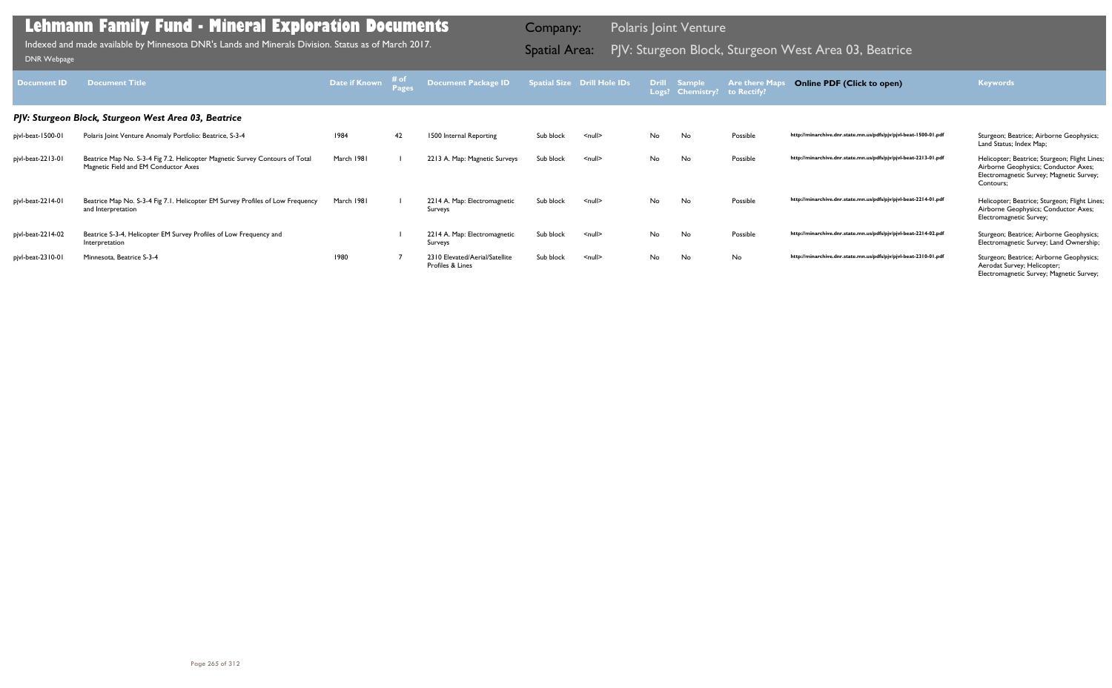| <b>Document ID</b> | <b>Document Title</b>                                                                                                | Date if Known | # of<br><b>Pages</b> | <b>Document Package ID</b>                         |           | <b>Spatial Size Drill Hole IDs</b> | <b>Drill</b><br>Logs? | <b>Sample</b><br><b>Chemistry?</b> | <b>Are there Map</b><br>to Rectify? | <b>Online PDF (Click to open)</b>                                | <b>Keywords</b>                                                                                                                                |
|--------------------|----------------------------------------------------------------------------------------------------------------------|---------------|----------------------|----------------------------------------------------|-----------|------------------------------------|-----------------------|------------------------------------|-------------------------------------|------------------------------------------------------------------|------------------------------------------------------------------------------------------------------------------------------------------------|
|                    | PJV: Sturgeon Block, Sturgeon West Area 03, Beatrice                                                                 |               |                      |                                                    |           |                                    |                       |                                    |                                     |                                                                  |                                                                                                                                                |
| pjvl-beat-1500-01  | Polaris Joint Venture Anomaly Portfolio: Beatrice, S-3-4                                                             | 1984          | 42                   | 1500 Internal Reporting                            | Sub block | $null$                             | No                    | No                                 | Possible                            | http://minarchive.dnr.state.mn.us/pdfs/pjv/pjvl-beat-1500-01.pdf | Sturgeon; Beatrice; Airborne Geophysics;<br>Land Status; Index Map;                                                                            |
| pjvl-beat-2213-01  | Beatrice Map No. S-3-4 Fig 7.2. Helicopter Magnetic Survey Contours of Total<br>Magnetic Field and EM Conductor Axes | March 1981    |                      | 2213 A. Map: Magnetic Surveys                      | Sub block | $\leq$ null $\geq$                 | No                    | No                                 | Possible                            | http://minarchive.dnr.state.mn.us/pdfs/pjv/pjvl-beat-2213-01.pdf | Helicopter; Beatrice; Sturgeon; Flight Lines;<br>Airborne Geophysics; Conductor Axes;<br>Electromagnetic Survey; Magnetic Survey;<br>Contours; |
| pjvl-beat-2214-01  | Beatrice Map No. S-3-4 Fig 7.1. Helicopter EM Survey Profiles of Low Frequency<br>and Interpretation                 | March 1981    |                      | 2214 A. Map: Electromagnetic<br>Surveys            | Sub block | $\leq$ null $\geq$                 | No                    | No                                 | Possible                            | http://minarchive.dnr.state.mn.us/pdfs/pjv/pjvl-beat-2214-01.pdf | Helicopter; Beatrice; Sturgeon; Flight Lines;<br>Airborne Geophysics; Conductor Axes;<br>Electromagnetic Survey;                               |
| pjvl-beat-2214-02  | Beatrice S-3-4, Helicopter EM Survey Profiles of Low Frequency and<br>Interpretation                                 |               |                      | 2214 A. Map: Electromagnetic<br>Surveys            | Sub block | $\leq$ null $\geq$                 | No                    | No                                 | Possible                            | http://minarchive.dnr.state.mn.us/pdfs/pjv/pjvl-beat-2214-02.pdf | Sturgeon; Beatrice; Airborne Geophysics;<br>Electromagnetic Survey; Land Ownership;                                                            |
| pjvl-beat-2310-01  | Minnesota, Beatrice S-3-4                                                                                            | 1980          |                      | 2310 Elevated/Aerial/Satellite<br>Profiles & Lines | Sub block | $\leq$ null $\geq$                 | No                    | No                                 | No                                  | http://minarchive.dnr.state.mn.us/pdfs/pjv/pjvl-beat-2310-01.pdf | Sturgeon; Beatrice; Airborne Geophysics;<br>Aerodat Survey; Helicopter;<br>Electromagnetic Survey; Magnetic Survey;                            |

Indexed and made available by Minnesota DNR's Lands and Minerals Division. Status as of March 2017. Spatial Area: PJV: Sturgeon Block, Sturgeon West Area 03, Beatrice DNR Webpage Indexed and made available by Minnesota DNR's Lands and Minerals Division. Status as of March 2017.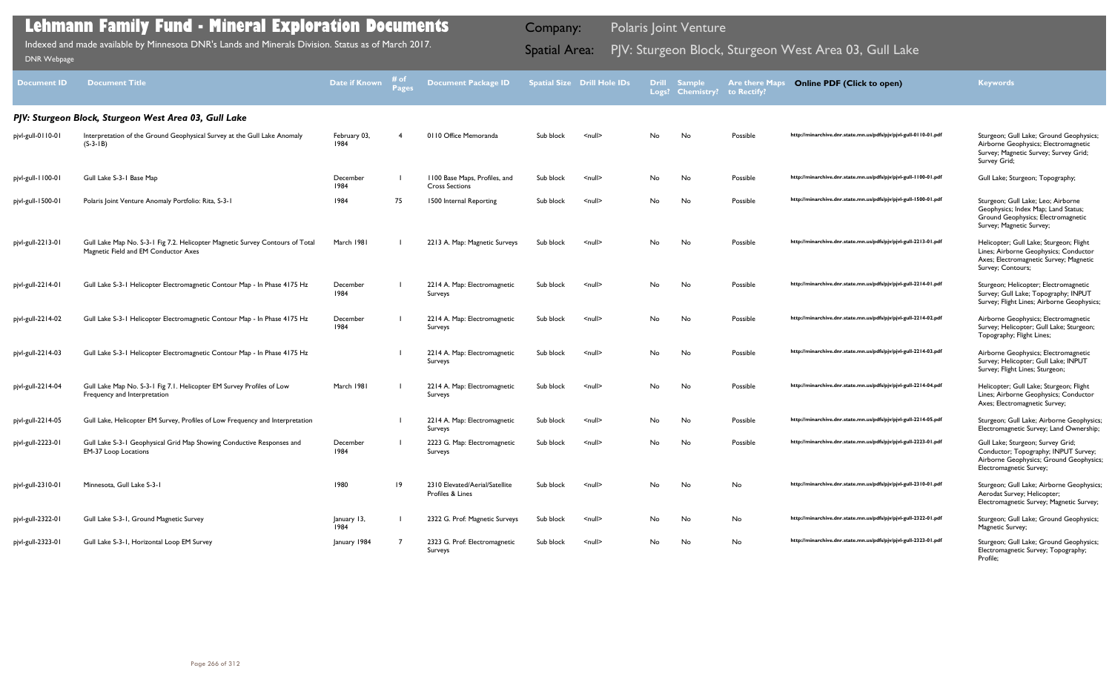| <b>Document ID</b> | <b>Document Title</b>                                                                                                 | <b>Date if Known</b> | # of<br><b>Pages</b> | <b>Document Package ID</b>                             |           | <b>Spatial Size Drill Hole IDs</b> |     | <b>Drill Sample</b><br>Logs? Chemistry? | <b>Are there Maps</b><br>to Rectify? | <b>Online PDF (Click to open)</b>                                | <b>Keywords</b>                                                                                                                                 |
|--------------------|-----------------------------------------------------------------------------------------------------------------------|----------------------|----------------------|--------------------------------------------------------|-----------|------------------------------------|-----|-----------------------------------------|--------------------------------------|------------------------------------------------------------------|-------------------------------------------------------------------------------------------------------------------------------------------------|
|                    | PJV: Sturgeon Block, Sturgeon West Area 03, Gull Lake                                                                 |                      |                      |                                                        |           |                                    |     |                                         |                                      |                                                                  |                                                                                                                                                 |
| pjvl-gull-0110-01  | Interpretation of the Ground Geophysical Survey at the Gull Lake Anomaly<br>$(S-3-1B)$                                | February 03,<br>1984 |                      | 0110 Office Memoranda                                  | Sub block | $\leq$ null $\geq$                 | No  | No                                      | Possible                             | http://minarchive.dnr.state.mn.us/pdfs/pjv/pjvl-gull-0110-01.pdf | Sturgeon; Gull Lake; Ground Geophysics;<br>Airborne Geophysics; Electromagnetic<br>Survey; Magnetic Survey; Survey Grid;<br>Survey Grid;        |
| pjvl-gull-1100-01  | Gull Lake S-3-1 Base Map                                                                                              | December<br>1984     |                      | 1100 Base Maps, Profiles, and<br><b>Cross Sections</b> | Sub block | $\leq$ null $\geq$                 | No  | No                                      | Possible                             | http://minarchive.dnr.state.mn.us/pdfs/pjv/pjvl-gull-1100-01.pdf | Gull Lake; Sturgeon; Topography;                                                                                                                |
| pjvl-gull-1500-01  | Polaris Joint Venture Anomaly Portfolio: Rita, S-3-1                                                                  | 1984                 | 75                   | 1500 Internal Reporting                                | Sub block | $null$                             | No  | No                                      | Possible                             | http://minarchive.dnr.state.mn.us/pdfs/pjv/pjvl-gull-1500-01.pdf | Sturgeon; Gull Lake; Leo; Airborne<br>Geophysics; Index Map; Land Status;<br>Ground Geophysics; Electromagnetic<br>Survey; Magnetic Survey;     |
| pjvl-gull-2213-01  | Gull Lake Map No. S-3-1 Fig 7.2. Helicopter Magnetic Survey Contours of Total<br>Magnetic Field and EM Conductor Axes | March 1981           |                      | 2213 A. Map: Magnetic Surveys                          | Sub block | $\leq$ null $\geq$                 | No  | No                                      | Possible                             | http://minarchive.dnr.state.mn.us/pdfs/pjv/pjvl-gull-2213-01.pdf | Helicopter; Gull Lake; Sturgeon; Flight<br>Lines; Airborne Geophysics; Conductor<br>Axes; Electromagnetic Survey; Magnetic<br>Survey; Contours; |
| pjvl-gull-2214-01  | Gull Lake S-3-1 Helicopter Electromagnetic Contour Map - In Phase 4175 Hz                                             | December<br>1984     |                      | 2214 A. Map: Electromagnetic<br>Surveys                | Sub block | $\leq$ null $\geq$                 | No  | No                                      | Possible                             | http://minarchive.dnr.state.mn.us/pdfs/pjv/pjvl-gull-2214-01.pdf | Sturgeon; Helicopter; Electromagnetic<br>Survey; Gull Lake; Topography; INPUT<br>Survey; Flight Lines; Airborne Geophysics;                     |
| pjvl-gull-2214-02  | Gull Lake S-3-1 Helicopter Electromagnetic Contour Map - In Phase 4175 Hz                                             | December<br>1984     |                      | 2214 A. Map: Electromagnetic<br>Surveys                | Sub block | $\leq$ null $\geq$                 | No  | No                                      | Possible                             | http://minarchive.dnr.state.mn.us/pdfs/pjv/pjvl-gull-2214-02.pdf | Airborne Geophysics; Electromagnetic<br>Survey; Helicopter; Gull Lake; Sturgeon;<br>Topography; Flight Lines;                                   |
| pjvl-gull-2214-03  | Gull Lake S-3-1 Helicopter Electromagnetic Contour Map - In Phase 4175 Hz                                             |                      |                      | 2214 A. Map: Electromagnetic<br>Surveys                | Sub block | $null$                             | No  | No                                      | Possible                             | http://minarchive.dnr.state.mn.us/pdfs/pjv/pjvl-gull-2214-03.pdf | Airborne Geophysics; Electromagnetic<br>Survey; Helicopter; Gull Lake; INPUT<br>Survey; Flight Lines; Sturgeon;                                 |
| pjvl-gull-2214-04  | Gull Lake Map No. S-3-1 Fig 7.1. Helicopter EM Survey Profiles of Low<br>Frequency and Interpretation                 | March 1981           |                      | 2214 A. Map: Electromagnetic<br>Surveys                | Sub block | $\leq$ null $\geq$                 | No  | No                                      | Possible                             | http://minarchive.dnr.state.mn.us/pdfs/pjv/pjvl-gull-2214-04.pdf | Helicopter; Gull Lake; Sturgeon; Flight<br>Lines; Airborne Geophysics; Conductor<br>Axes; Electromagnetic Survey;                               |
| pjvl-gull-2214-05  | Gull Lake, Helicopter EM Survey, Profiles of Low Frequency and Interpretation                                         |                      |                      | 2214 A. Map: Electromagnetic<br>Surveys                | Sub block | $\leq$ null $\geq$                 | No  | No                                      | Possible                             | http://minarchive.dnr.state.mn.us/pdfs/pjv/pjvl-gull-2214-05.pdf | Sturgeon; Gull Lake; Airborne Geophysics;<br>Electromagnetic Survey; Land Ownership;                                                            |
| pjvl-gull-2223-01  | Gull Lake S-3-1 Geophysical Grid Map Showing Conductive Responses and<br><b>EM-37 Loop Locations</b>                  | December<br>1984     |                      | 2223 G. Map: Electromagnetic<br>Surveys                | Sub block | $\leq$ null $\geq$                 | No. | No                                      | Possible                             | http://minarchive.dnr.state.mn.us/pdfs/pjv/pjvl-gull-2223-01.pdf | Gull Lake; Sturgeon; Survey Grid;<br>Conductor; Topography; INPUT Survey;<br>Airborne Geophysics; Ground Geophysics;<br>Electromagnetic Survey; |
| pjvl-gull-2310-01  | Minnesota, Gull Lake S-3-1                                                                                            | 1980                 | $ 9\rangle$          | 2310 Elevated/Aerial/Satellite<br>Profiles & Lines     | Sub block | $\leq$ null $\geq$                 | No  | No                                      | No                                   | http://minarchive.dnr.state.mn.us/pdfs/pjv/pjvl-gull-2310-01.pdf | Sturgeon; Gull Lake; Airborne Geophysics;<br>Aerodat Survey; Helicopter;<br>Electromagnetic Survey; Magnetic Survey;                            |
| pjvl-gull-2322-01  | Gull Lake S-3-1, Ground Magnetic Survey                                                                               | January 13,<br>1984  |                      | 2322 G. Prof: Magnetic Surveys                         | Sub block | $null$                             | No  | No                                      | No                                   | http://minarchive.dnr.state.mn.us/pdfs/pjv/pjvl-gull-2322-01.pdf | Sturgeon; Gull Lake; Ground Geophysics;<br>Magnetic Survey;                                                                                     |
| pjvl-gull-2323-01  | Gull Lake S-3-1, Horizontal Loop EM Survey                                                                            | January 1984         |                      | 2323 G. Prof: Electromagnetic<br>Surveys               | Sub block | $null$                             | No  | No                                      | No                                   | http://minarchive.dnr.state.mn.us/pdfs/pjv/pjvl-gull-2323-01.pdf | Sturgeon; Gull Lake; Ground Geophysics;<br>Electromagnetic Survey; Topography;<br>Profile;                                                      |

Indexed and made available by Minnesota DNR's Lands and Minerals Division. Status as of March 2017. **Spatial Area:** PJV: Sturgeon Block, Sturgeon West Area 03, Gull Lake DNR Webpage Indexed and made available by Minnesota DNR's Lands and Minerals Division. Status as of March 2017.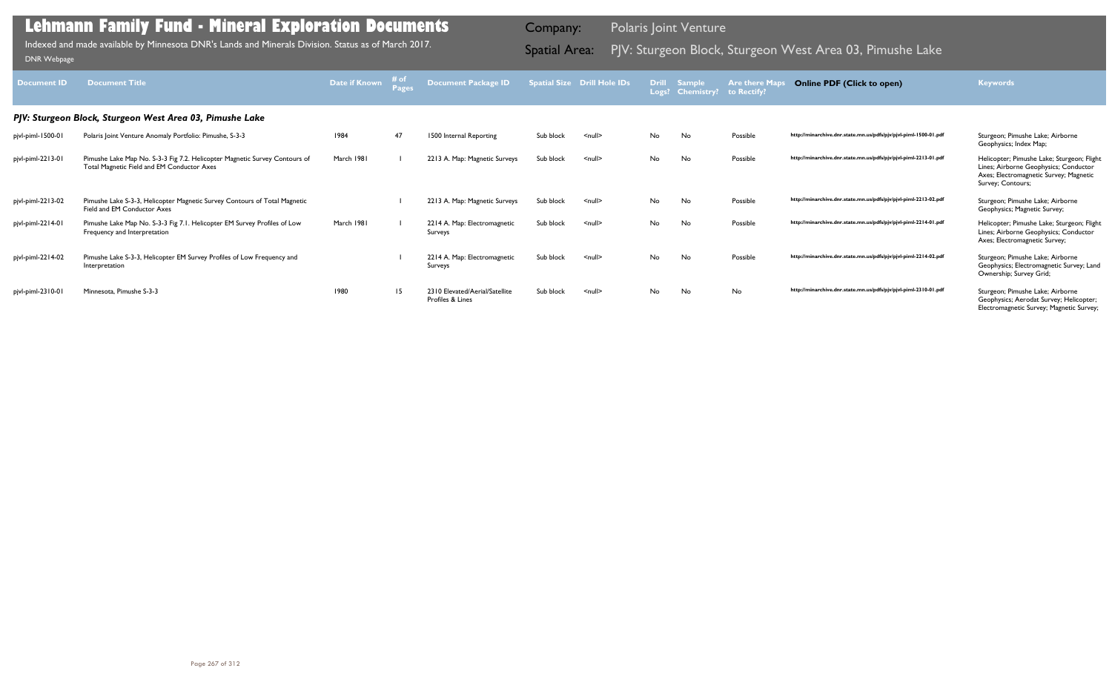| <b>Document ID</b> | <b>Document Title</b>                                                                                                    | Date if Known | # of<br>Pages | Document Package ID                                |           | <b>Spatial Size Drill Hole IDs</b> | <b>Drill</b> | <b>Sample</b><br>Logs? Chemistry? | <b>Are there Maps</b><br>to Rectify? | <b>Online PDF (Click to open)</b>                                | <b>Keywords</b>                                                                                                                                    |
|--------------------|--------------------------------------------------------------------------------------------------------------------------|---------------|---------------|----------------------------------------------------|-----------|------------------------------------|--------------|-----------------------------------|--------------------------------------|------------------------------------------------------------------|----------------------------------------------------------------------------------------------------------------------------------------------------|
|                    | PJV: Sturgeon Block, Sturgeon West Area 03, Pimushe Lake                                                                 |               |               |                                                    |           |                                    |              |                                   |                                      |                                                                  |                                                                                                                                                    |
| pjvl-piml-1500-01  | Polaris Joint Venture Anomaly Portfolio: Pimushe, S-3-3                                                                  | 1984          | 47            | 1500 Internal Reporting                            | Sub block | $\leq$ null $\geq$                 | No           | <b>No</b>                         | Possible                             | http://minarchive.dnr.state.mn.us/pdfs/pjv/pjvl-piml-1500-01.pdf | Sturgeon; Pimushe Lake; Airborne<br>Geophysics; Index Map;                                                                                         |
| pjvl-piml-2213-01  | Pimushe Lake Map No. S-3-3 Fig 7.2. Helicopter Magnetic Survey Contours of<br>Total Magnetic Field and EM Conductor Axes | March 1981    |               | 2213 A. Map: Magnetic Surveys                      | Sub block | $\leq$ null $\geq$                 | No           | <b>No</b>                         | Possible                             | http://minarchive.dnr.state.mn.us/pdfs/pjv/pjvl-piml-2213-01.pdf | Helicopter; Pimushe Lake; Sturgeon; Flight<br>Lines; Airborne Geophysics; Conductor<br>Axes; Electromagnetic Survey; Magnetic<br>Survey; Contours; |
| pjvl-piml-2213-02  | Pimushe Lake S-3-3, Helicopter Magnetic Survey Contours of Total Magnetic<br>Field and EM Conductor Axes                 |               |               | 2213 A. Map: Magnetic Surveys                      | Sub block | $\leq$ null $\geq$                 | No           | <b>No</b>                         | Possible                             | http://minarchive.dnr.state.mn.us/pdfs/pjv/pjvl-piml-2213-02.pdf | Sturgeon; Pimushe Lake; Airborne<br>Geophysics; Magnetic Survey;                                                                                   |
| pjvl-piml-2214-01  | Pimushe Lake Map No. S-3-3 Fig 7.1. Helicopter EM Survey Profiles of Low<br>Frequency and Interpretation                 | March 1981    |               | 2214 A. Map: Electromagnetic<br>Surveys            | Sub block | $\leq$ null $\geq$                 | No           | <b>No</b>                         | Possible                             | http://minarchive.dnr.state.mn.us/pdfs/pjv/pjvl-piml-2214-01.pdf | Helicopter; Pimushe Lake; Sturgeon; Flight<br>Lines; Airborne Geophysics; Conductor<br>Axes; Electromagnetic Survey;                               |
| pjvl-piml-2214-02  | Pimushe Lake S-3-3, Helicopter EM Survey Profiles of Low Frequency and<br>Interpretation                                 |               |               | 2214 A. Map: Electromagnetic<br>Surveys            | Sub block | $\leq$ null $\geq$                 | No           | <b>No</b>                         | Possible                             | http://minarchive.dnr.state.mn.us/pdfs/pjv/pjvl-piml-2214-02.pdf | Sturgeon; Pimushe Lake; Airborne<br>Geophysics; Electromagnetic Survey; Land<br>Ownership; Survey Grid;                                            |
| pjvl-piml-2310-01  | Minnesota, Pimushe S-3-3                                                                                                 | 1980          | 15            | 2310 Elevated/Aerial/Satellite<br>Profiles & Lines | Sub block | $null$                             | No           | No                                | No                                   | http://minarchive.dnr.state.mn.us/pdfs/pjv/pjvl-piml-2310-01.pdf | Sturgeon; Pimushe Lake; Airborne<br>Geophysics; Aerodat Survey; Helicopter;<br>Electromagnetic Survey; Magnetic Survey;                            |

Indexed and made available by Minnesota DNR's Lands and Minerals Division. Status as of March 2017. **Spatial Area:** PJV: Sturgeon Block, Sturgeon West Area 03, Pimushe Lake DNR Webpage Indexed and made available by Minnesota DNR's Lands and Minerals Division. Status as of March 2017.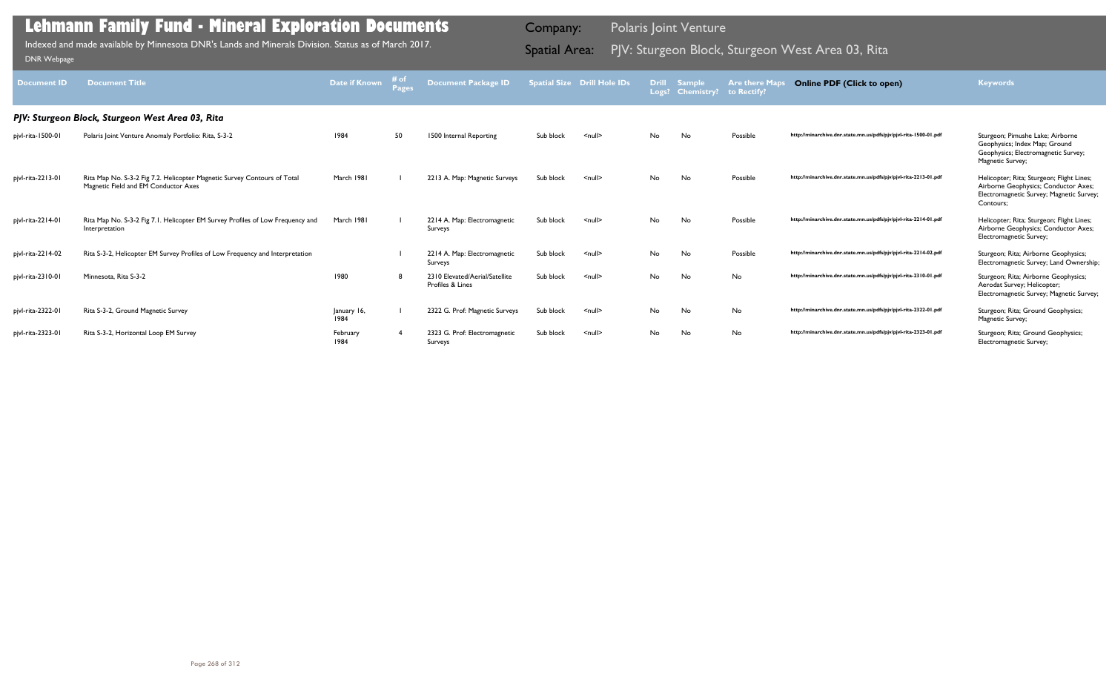| <b>Document ID</b> | <b>Document Title</b>                                                                                            | Date if Known       | # of<br>Page: | Document Package ID                                |           | <b>Spatial Size Drill Hole IDs</b> | <b>Drill</b> | <b>Sample</b><br>Logs? Chemistry? | <b>Are there Map</b><br>to Rectify? | <b>Online PDF (Click to open)</b>                                | <b>Keywords</b>                                                                                                                            |
|--------------------|------------------------------------------------------------------------------------------------------------------|---------------------|---------------|----------------------------------------------------|-----------|------------------------------------|--------------|-----------------------------------|-------------------------------------|------------------------------------------------------------------|--------------------------------------------------------------------------------------------------------------------------------------------|
|                    | PJV: Sturgeon Block, Sturgeon West Area 03, Rita                                                                 |                     |               |                                                    |           |                                    |              |                                   |                                     |                                                                  |                                                                                                                                            |
| pjvl-rita-1500-01  | Polaris Joint Venture Anomaly Portfolio: Rita, S-3-2                                                             | 1984                | 50            | 1500 Internal Reporting                            | Sub block | $\leq$ null $\geq$                 | No           | No                                | Possible                            | http://minarchive.dnr.state.mn.us/pdfs/pjv/pjvl-rita-1500-01.pdf | Sturgeon; Pimushe Lake; Airborne<br>Geophysics; Index Map; Ground<br>Geophysics; Electromagnetic Survey;<br>Magnetic Survey;               |
| pjvl-rita-2213-01  | Rita Map No. S-3-2 Fig 7.2. Helicopter Magnetic Survey Contours of Total<br>Magnetic Field and EM Conductor Axes | March 1981          |               | 2213 A. Map: Magnetic Surveys                      | Sub block | $\leq$ null $\geq$                 | No           | No                                | Possible                            | http://minarchive.dnr.state.mn.us/pdfs/pjv/pjvl-rita-2213-01.pdf | Helicopter; Rita; Sturgeon; Flight Lines;<br>Airborne Geophysics; Conductor Axes;<br>Electromagnetic Survey; Magnetic Survey;<br>Contours; |
| pjvl-rita-2214-01  | Rita Map No. S-3-2 Fig 7.1. Helicopter EM Survey Profiles of Low Frequency and<br>Interpretation                 | March 1981          |               | 2214 A. Map: Electromagnetic<br>Surveys            | Sub block | $\leq$ null $\geq$                 | No           | No                                | Possible                            | http://minarchive.dnr.state.mn.us/pdfs/pjv/pjvl-rita-2214-01.pdf | Helicopter; Rita; Sturgeon; Flight Lines;<br>Airborne Geophysics; Conductor Axes;<br>Electromagnetic Survey;                               |
| pjvl-rita-2214-02  | Rita S-3-2, Helicopter EM Survey Profiles of Low Frequency and Interpretation                                    |                     |               | 2214 A. Map: Electromagnetic<br>Surveys            | Sub block | $\leq$ null $\geq$                 | No           | No                                | Possible                            | http://minarchive.dnr.state.mn.us/pdfs/pjv/pjvl-rita-2214-02.pdf | Sturgeon; Rita; Airborne Geophysics;<br>Electromagnetic Survey; Land Ownership;                                                            |
| pjvl-rita-2310-01  | Minnesota, Rita S-3-2                                                                                            | 1980                | -8            | 2310 Elevated/Aerial/Satellite<br>Profiles & Lines | Sub block | $\leq$ null $\geq$                 | No           | No                                | No                                  | http://minarchive.dnr.state.mn.us/pdfs/pjv/pjvl-rita-2310-01.pdf | Sturgeon; Rita; Airborne Geophysics;<br>Aerodat Survey; Helicopter;<br>Electromagnetic Survey; Magnetic Survey;                            |
| pjvl-rita-2322-01  | Rita S-3-2, Ground Magnetic Survey                                                                               | January 16,<br>1984 |               | 2322 G. Prof: Magnetic Surveys                     | Sub block | $null$                             | No           | No                                | No                                  | http://minarchive.dnr.state.mn.us/pdfs/pjv/pjvl-rita-2322-01.pdf | Sturgeon; Rita; Ground Geophysics;<br>Magnetic Survey;                                                                                     |
| pjvl-rita-2323-01  | Rita S-3-2, Horizontal Loop EM Survey                                                                            | February<br>1984    |               | 2323 G. Prof: Electromagnetic<br>Surveys           | Sub block | $\leq$ null $\geq$                 | No           | No                                | No                                  | http://minarchive.dnr.state.mn.us/pdfs/pjv/pjvl-rita-2323-01.pdf | Sturgeon; Rita; Ground Geophysics;<br>Electromagnetic Survey;                                                                              |

Indexed and made available by Minnesota DNR's Lands and Minerals Division. Status as of March 2017. **Spatial Area:** PJV: Sturgeon Block, Sturgeon West Area 03, Rita DNR Webpage Indexed and made available by Minnesota DNR's Lands and Minerals Division. Status as of March 2017.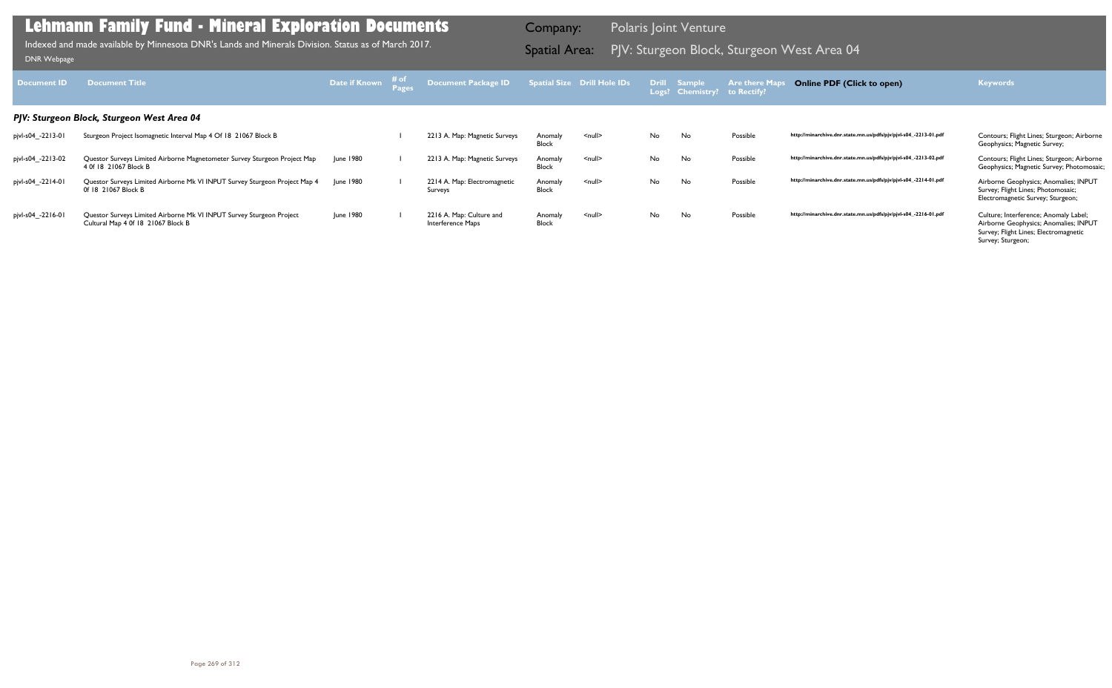| Document <b>ID</b> | <b>Document Title</b>                                                                                      | Date if Known | ⊤# of | <b>Document Package ID</b>                    |                         | <b>Spatial Size Drill Hole IDs</b> |     | Drill Sample<br>Logs? Chemistry? | <b>Are there Map</b><br>to Rectify? | <b>Online PDF (Click to open)</b>                                | <b>Keywords</b>                                                                                                                              |
|--------------------|------------------------------------------------------------------------------------------------------------|---------------|-------|-----------------------------------------------|-------------------------|------------------------------------|-----|----------------------------------|-------------------------------------|------------------------------------------------------------------|----------------------------------------------------------------------------------------------------------------------------------------------|
|                    | PJV: Sturgeon Block, Sturgeon West Area 04                                                                 |               |       |                                               |                         |                                    |     |                                  |                                     |                                                                  |                                                                                                                                              |
| pjvl-s04_-2213-01  | Sturgeon Project Isomagnetic Interval Map 4 Of 18 21067 Block B                                            |               |       | 2213 A. Map: Magnetic Surveys                 | Anomaly<br>Block        | <null></null>                      | No. | No                               | Possible                            | http://minarchive.dnr.state.mn.us/pdfs/pjv/pjvl-s04_-2213-01.pdf | Contours; Flight Lines; Sturgeon; Airborne<br>Geophysics; Magnetic Survey;                                                                   |
| pjvl-s04_-2213-02  | Questor Surveys Limited Airborne Magnetometer Survey Sturgeon Project Map<br>4 0f 18 21067 Block B         | June 1980     |       | 2213 A. Map: Magnetic Surveys                 | Anomaly<br>Block        | $\leq$ null $\geq$                 | No. | No                               | Possible                            | http://minarchive.dnr.state.mn.us/pdfs/pjv/pjvl-s04_-2213-02.pdf | Contours; Flight Lines; Sturgeon; Airborne<br>Geophysics; Magnetic Survey; Photomosaic;                                                      |
| pjvl-s04_-2214-01  | Questor Surveys Limited Airborne Mk VI INPUT Survey Sturgeon Project Map 4<br>0f 18 21067 Block B          | June 1980     |       | 2214 A. Map: Electromagnetic<br>Surveys       | Anomaly<br><b>Block</b> | $null$                             | No. | No                               | Possible                            | http://minarchive.dnr.state.mn.us/pdfs/pjv/pjvl-s04_-2214-01.pdf | Airborne Geophysics; Anomalies; INPUT<br>Survey; Flight Lines; Photomosaic;<br>Electromagnetic Survey; Sturgeon;                             |
| pjvl-s04_-2216-01  | Questor Surveys Limited Airborne Mk VI INPUT Survey Sturgeon Project<br>Cultural Map 4 0f 18 21067 Block B | June 1980     |       | 2216 A. Map: Culture and<br>Interference Maps | Anomaly<br><b>Block</b> | $null$                             | No. | No                               | Possible                            | http://minarchive.dnr.state.mn.us/pdfs/pjv/pjvl-s04_-2216-01.pdf | Culture; Interference; Anomaly Label;<br>Airborne Geophysics; Anomalies; INPUT<br>Survey; Flight Lines; Electromagnetic<br>Survey; Sturgeon; |

PJV: Sturgeon Block, Sturgeon West Area 04 Indexed and made available by Minnesota DNR's Lands and Minerals Division. Status as of March 2017. Spatial Area: [DNR Webpage](http://www.dnr.state.mn.us/lands_minerals/polaris/index.html)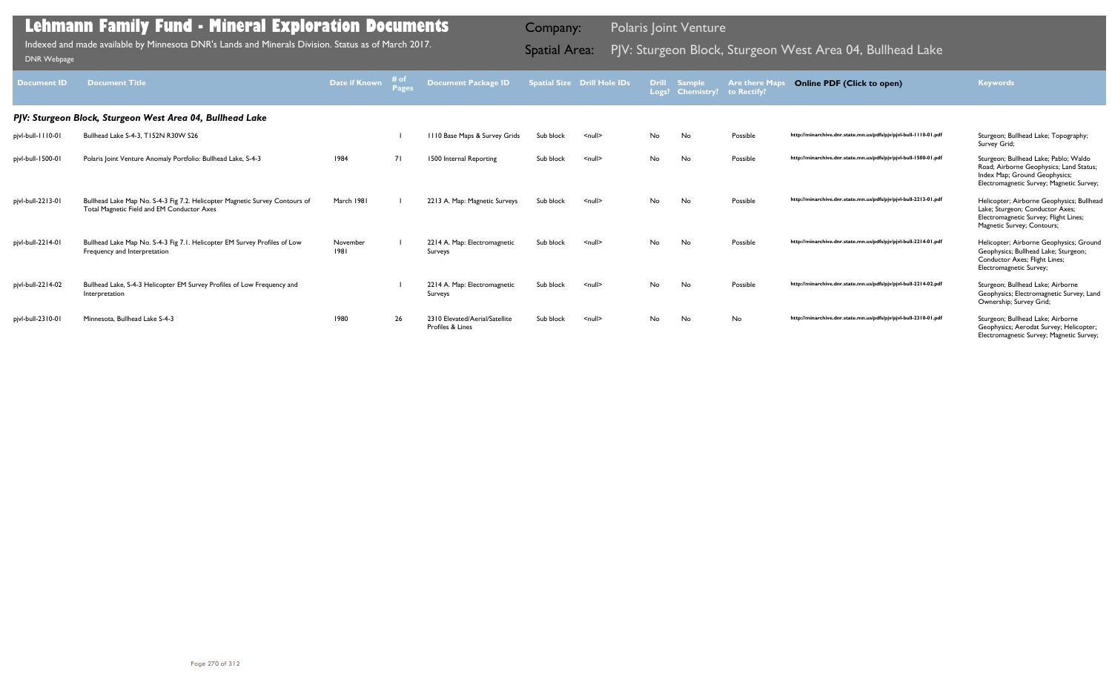| <b>Document ID</b> | <b>Document Title</b>                                                                                                     | Date if Known    | # o <sub>1</sub><br>Pages | <b>Document Package ID</b>                         |           | <b>Spatial Size Drill Hole IDs</b> | <b>Drill</b> | <b>Sample</b><br>Logs? Chemistry? to Rectify? | <b>Are there Map</b> | <b>Online PDF (Click to open)</b>                                | <b>Keywords</b>                                                                                                                                               |
|--------------------|---------------------------------------------------------------------------------------------------------------------------|------------------|---------------------------|----------------------------------------------------|-----------|------------------------------------|--------------|-----------------------------------------------|----------------------|------------------------------------------------------------------|---------------------------------------------------------------------------------------------------------------------------------------------------------------|
|                    | PJV: Sturgeon Block, Sturgeon West Area 04, Bullhead Lake                                                                 |                  |                           |                                                    |           |                                    |              |                                               |                      |                                                                  |                                                                                                                                                               |
| pjvl-bull-1110-01  | Bullhead Lake S-4-3, T152N R30W S26                                                                                       |                  |                           | 1110 Base Maps & Survey Grids                      | Sub block | $\leq$ null $\geq$                 | No           | No                                            | Possible             | http://minarchive.dnr.state.mn.us/pdfs/pjv/pjvl-bull-1110-01.pdf | Sturgeon; Bullhead Lake; Topography;<br>Survey Grid;                                                                                                          |
| pjvl-bull-1500-01  | Polaris Joint Venture Anomaly Portfolio: Bullhead Lake, S-4-3                                                             | 1984             | <b>71</b>                 | 1500 Internal Reporting                            | Sub block | $\leq$ null $\geq$                 | <b>No</b>    | <b>No</b>                                     | Possible             | http://minarchive.dnr.state.mn.us/pdfs/pjv/pjvl-bull-1500-01.pdf | Sturgeon; Bullhead Lake; Pablo; Waldo<br>Road; Airborne Geophysics; Land Status;<br>Index Map; Ground Geophysics;<br>Electromagnetic Survey; Magnetic Survey; |
| pjvl-bull-2213-01  | Bullhead Lake Map No. S-4-3 Fig 7.2. Helicopter Magnetic Survey Contours of<br>Total Magnetic Field and EM Conductor Axes | March 1981       |                           | 2213 A. Map: Magnetic Surveys                      | Sub block | $\leq$ null $\geq$                 | <b>No</b>    | <b>No</b>                                     | Possible             | http://minarchive.dnr.state.mn.us/pdfs/pjv/pjvl-bull-2213-01.pdf | Helicopter; Airborne Geophysics; Bullhead<br>Lake; Sturgeon; Conductor Axes;<br>Electromagnetic Survey; Flight Lines;<br>Magnetic Survey; Contours;           |
| pjvl-bull-2214-01  | Bullhead Lake Map No. S-4-3 Fig 7.1. Helicopter EM Survey Profiles of Low<br>Frequency and Interpretation                 | November<br>1981 |                           | 2214 A. Map: Electromagnetic<br>Surveys            | Sub block | $\leq$ null $\geq$                 | No           | No                                            | Possible             | http://minarchive.dnr.state.mn.us/pdfs/pjv/pjvl-bull-2214-01.pdf | Helicopter; Airborne Geophysics; Ground<br>Geophysics; Bullhead Lake; Sturgeon;<br>Conductor Axes; Flight Lines;<br>Electromagnetic Survey;                   |
| pjvl-bull-2214-02  | Bullhead Lake, S-4-3 Helicopter EM Survey Profiles of Low Frequency and<br>Interpretation                                 |                  |                           | 2214 A. Map: Electromagnetic<br>Surveys            | Sub block | $\leq$ null $\geq$                 | No           | No                                            | Possible             | http://minarchive.dnr.state.mn.us/pdfs/pjv/pjvl-bull-2214-02.pdf | Sturgeon; Bullhead Lake; Airborne<br>Geophysics; Electromagnetic Survey; Land<br>Ownership; Survey Grid;                                                      |
| pjvl-bull-2310-01  | Minnesota, Bullhead Lake S-4-3                                                                                            | 1980             | 26                        | 2310 Elevated/Aerial/Satellite<br>Profiles & Lines | Sub block | $\leq$ null $\geq$                 | <b>No</b>    | No                                            | No                   | http://minarchive.dnr.state.mn.us/pdfs/pjv/pjvl-bull-2310-01.pdf | Sturgeon; Bullhead Lake; Airborne<br>Geophysics; Aerodat Survey; Helicopter;<br>Electromagnetic Survey; Magnetic Survey;                                      |

Indexed and made available by Minnesota DNR's Lands and Minerals Division. Status as of March 2017. **Spatial Area:** PJV: Sturgeon Block, Sturgeon West Area 04, Bullhead Lake DNR Webpage Indexed and made available by Minnesota DNR's Lands and Minerals Division. Status as of March 2017.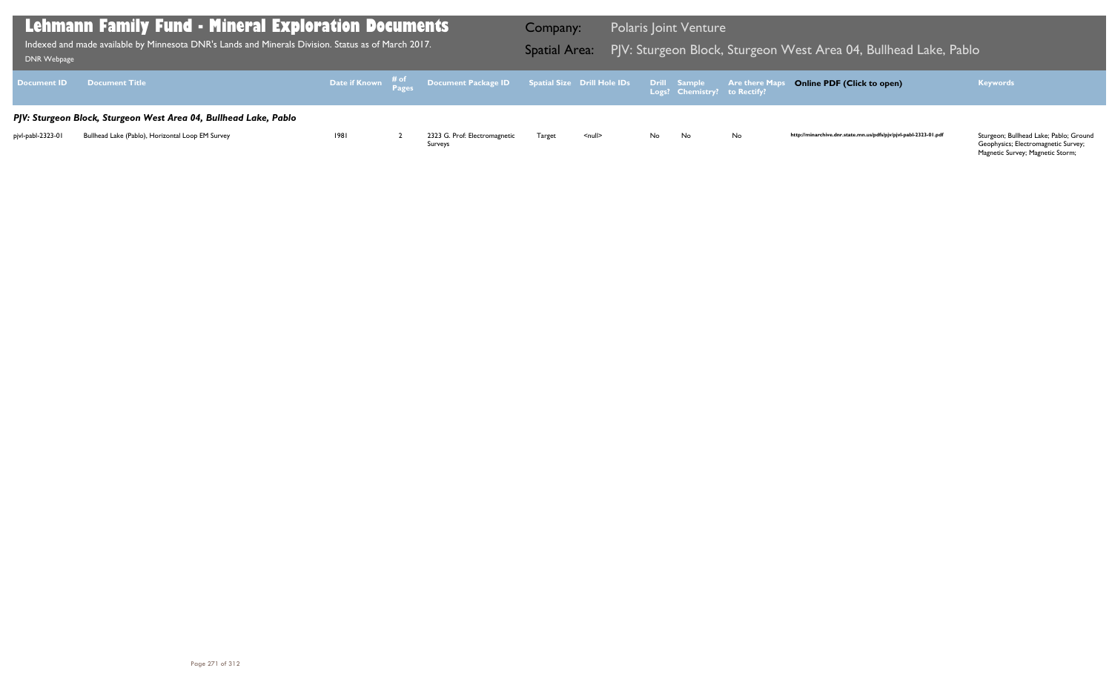Geophysics; Electromagnetic Survey; Magnetic Survey; Magnetic Storm;

| DNR Webpage        | <b>Lehmann Family Fund - Mineral Exploration Documents</b><br>Indexed and made available by Minnesota DNR's Lands and Minerals Division. Status as of March 2017. |      |                                                                                                   | Company:<br><b>Spatial Area:</b> |                    |              | <b>Polaris Joint Venture</b> | PJV: Sturgeon Block, Sturgeon V |
|--------------------|-------------------------------------------------------------------------------------------------------------------------------------------------------------------|------|---------------------------------------------------------------------------------------------------|----------------------------------|--------------------|--------------|------------------------------|---------------------------------|
| <b>Document ID</b> | <b>Document Title</b>                                                                                                                                             |      | Date if Known $\frac{\text{\# of}}{\text{\# a}}}$ Document Package ID Spatial Size Drill Hole IDs |                                  |                    | Drill Sample | Logs? Chemistry? to Rectify? | <b>Are there Maps</b>           |
|                    | PJV: Sturgeon Block, Sturgeon West Area 04, Bullhead Lake, Pablo                                                                                                  |      |                                                                                                   |                                  |                    |              |                              |                                 |
| pjvl-pabl-2323-01  | Bullhead Lake (Pablo), Horizontal Loop EM Survey                                                                                                                  | 1981 | 2323 G. Prof: Electromagnetic<br>Surveys                                                          | Target                           | $\leq$ null $\geq$ | No.          | No                           | No                              |

## $\overline{N}$  West Area 04, Bullhead Lake, Pablo

## **Online PDF (Click to open) Keywords**

http://minarchive.dnr.state.mn.us/pdfs/pjv/pjvl-pabl-2323-01.pdf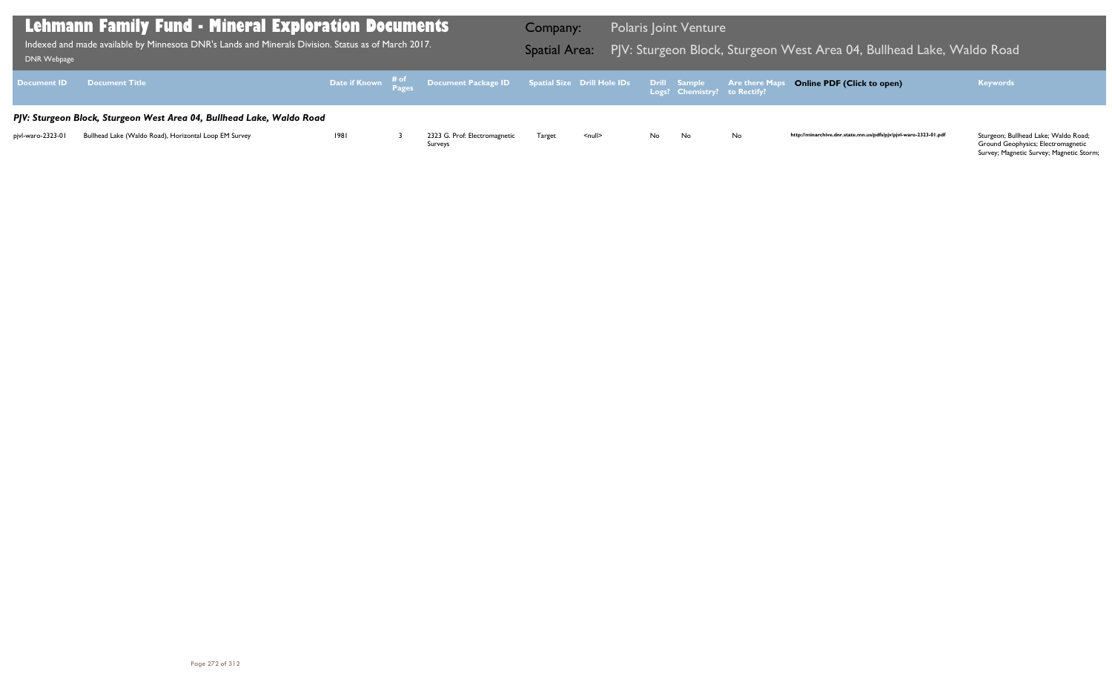Ground Geophysics; Electromagnetic Survey; Magnetic Survey; Magnetic Storm;

| DNR Webpage        | <b>Lehmann Family Fund - Mineral Exploration Documents</b><br>Indexed and made available by Minnesota DNR's Lands and Minerals Division. Status as of March 2017. |      |                                                                                                        | Company:<br><b>Spatial Area:</b> |               | <b>Polaris Joint Venture</b> |                              | PJV: Sturgeon Block, Sturgeon V |
|--------------------|-------------------------------------------------------------------------------------------------------------------------------------------------------------------|------|--------------------------------------------------------------------------------------------------------|----------------------------------|---------------|------------------------------|------------------------------|---------------------------------|
| <b>Document ID</b> | <b>Document Title</b>                                                                                                                                             |      | Date if Known $\frac{\text{\# of}}{\text{\# }2\sigma}$ Document Package ID Spatial Size Drill Hole IDs |                                  |               | <b>Drill Sample</b>          | Logs? Chemistry? to Rectify? | <b>Are there Maps</b>           |
|                    | PJV: Sturgeon Block, Sturgeon West Area 04, Bullhead Lake, Waldo Road                                                                                             |      |                                                                                                        |                                  |               |                              |                              |                                 |
| pjvl-waro-2323-01  | Bullhead Lake (Waldo Road), Horizontal Loop EM Survey                                                                                                             | 1981 | 2323 G. Prof: Electromagnetic<br>Surveys                                                               | Target                           | <null></null> | No.                          | No                           | No                              |

## West Area 04, Bullhead Lake, Waldo Road

## **Online PDF (Click to open) Keywords**

http://minarchive.dnr.state.mn.us/pdfs/pjv/pjvl-waro-2323-01.pdf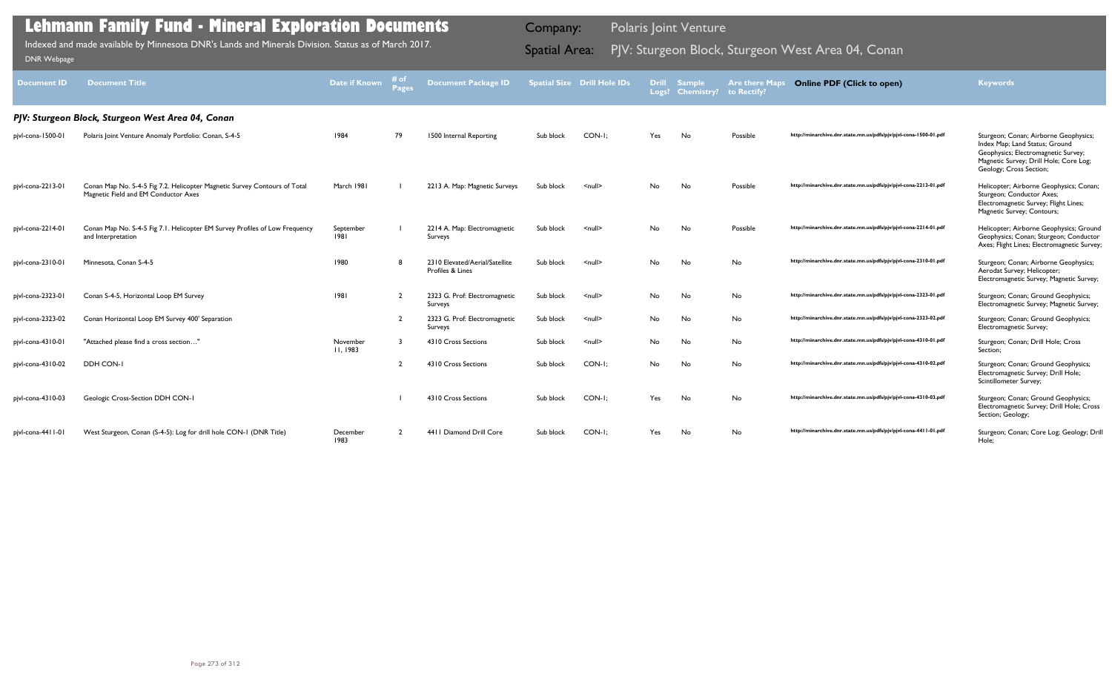| <b>Document ID</b> | <b>Document Title</b>                                                                                             | <b>Date if Known</b> | # of<br><b>Pages</b> | <b>Document Package ID</b>                         |           | <b>Spatial Size Drill Hole IDs</b> | <b>Drill</b> | <b>Sample</b><br>Logs? Chemistry? | <b>Are there Maps</b><br>to Rectify? | <b>Online PDF (Click to open)</b>                                | <b>Keywords</b>                                                                                                                                                                     |
|--------------------|-------------------------------------------------------------------------------------------------------------------|----------------------|----------------------|----------------------------------------------------|-----------|------------------------------------|--------------|-----------------------------------|--------------------------------------|------------------------------------------------------------------|-------------------------------------------------------------------------------------------------------------------------------------------------------------------------------------|
|                    | PJV: Sturgeon Block, Sturgeon West Area 04, Conan                                                                 |                      |                      |                                                    |           |                                    |              |                                   |                                      |                                                                  |                                                                                                                                                                                     |
| pjvl-cona-1500-01  | Polaris Joint Venture Anomaly Portfolio: Conan, S-4-5                                                             | 1984                 | 79                   | 1500 Internal Reporting                            | Sub block | CON-I:                             | Yes          | No                                | Possible                             | http://minarchive.dnr.state.mn.us/pdfs/pjv/pjvl-cona-1500-01.pdf | Sturgeon; Conan; Airborne Geophysics;<br>Index Map; Land Status; Ground<br>Geophysics; Electromagnetic Survey;<br>Magnetic Survey; Drill Hole; Core Log;<br>Geology; Cross Section; |
| pjvl-cona-2213-01  | Conan Map No. S-4-5 Fig 7.2. Helicopter Magnetic Survey Contours of Total<br>Magnetic Field and EM Conductor Axes | March 1981           |                      | 2213 A. Map: Magnetic Surveys                      | Sub block | $\leq$ null $\geq$                 | No.          | No                                | Possible                             | http://minarchive.dnr.state.mn.us/pdfs/pjv/pjvl-cona-2213-01.pdf | Helicopter; Airborne Geophysics; Conan;<br>Sturgeon; Conductor Axes;<br>Electromagnetic Survey; Flight Lines;<br>Magnetic Survey; Contours;                                         |
| pjvl-cona-2214-01  | Conan Map No. S-4-5 Fig 7.1. Helicopter EM Survey Profiles of Low Frequency<br>and Interpretation                 | September<br> 98     |                      | 2214 A. Map: Electromagnetic<br>Surveys            | Sub block | $\leq$ null $\geq$                 | No           | No                                | Possible                             | http://minarchive.dnr.state.mn.us/pdfs/pjv/pjvl-cona-2214-01.pdf | Helicopter; Airborne Geophysics; Ground<br>Geophysics; Conan; Sturgeon; Conductor<br>Axes; Flight Lines; Electromagnetic Survey;                                                    |
| pjvl-cona-2310-01  | Minnesota, Conan S-4-5                                                                                            | 1980                 |                      | 2310 Elevated/Aerial/Satellite<br>Profiles & Lines | Sub block | $\leq$ null $\geq$                 | No           | No                                | No                                   | http://minarchive.dnr.state.mn.us/pdfs/pjv/pjvl-cona-2310-01.pdf | Sturgeon; Conan; Airborne Geophysics;<br>Aerodat Survey; Helicopter;<br>Electromagnetic Survey; Magnetic Survey;                                                                    |
| pjvl-cona-2323-01  | Conan S-4-5, Horizontal Loop EM Survey                                                                            | 1981                 | $\overline{2}$       | 2323 G. Prof: Electromagnetic<br>Surveys           | Sub block | $\leq$ null $\geq$                 | No           | No                                | No                                   | http://minarchive.dnr.state.mn.us/pdfs/pjv/pjvl-cona-2323-01.pdf | Sturgeon; Conan; Ground Geophysics;<br>Electromagnetic Survey; Magnetic Survey;                                                                                                     |
| pjvl-cona-2323-02  | Conan Horizontal Loop EM Survey 400' Separation                                                                   |                      | $\overline{2}$       | 2323 G. Prof: Electromagnetic<br>Surveys           | Sub block | $\leq$ null $\geq$                 | No           | No                                | No                                   | http://minarchive.dnr.state.mn.us/pdfs/pjv/pjvl-cona-2323-02.pdf | Sturgeon; Conan; Ground Geophysics;<br>Electromagnetic Survey;                                                                                                                      |
| pjvl-cona-4310-01  | "Attached please find a cross section"                                                                            | November<br>11.1983  | -3                   | 4310 Cross Sections                                | Sub block | $\leq$ null $\geq$                 | No           | No                                | No                                   | http://minarchive.dnr.state.mn.us/pdfs/pjv/pjvl-cona-4310-01.pdf | Sturgeon; Conan; Drill Hole; Cross<br>Section;                                                                                                                                      |
| pjvl-cona-4310-02  | DDH CON-I                                                                                                         |                      |                      | 4310 Cross Sections                                | Sub block | CON-I;                             | No           | No                                | No                                   | http://minarchive.dnr.state.mn.us/pdfs/pjv/pjvl-cona-4310-02.pdf | Sturgeon; Conan; Ground Geophysics;<br>Electromagnetic Survey; Drill Hole;<br>Scintillometer Survey;                                                                                |
| pjvl-cona-4310-03  | Geologic Cross-Section DDH CON-1                                                                                  |                      |                      | 4310 Cross Sections                                | Sub block | CON-I:                             | Yes          | No                                | No                                   | http://minarchive.dnr.state.mn.us/pdfs/pjv/pjvl-cona-4310-03.pdf | Sturgeon; Conan; Ground Geophysics;<br>Electromagnetic Survey; Drill Hole; Cross<br>Section; Geology;                                                                               |
| pjvl-cona-4411-01  | West Sturgeon, Conan (S-4-5): Log for drill hole CON-1 (DNR Title)                                                | December<br>1983     |                      | 4411 Diamond Drill Core                            | Sub block | CON-I:                             | Yes          | No                                | No                                   | http://minarchive.dnr.state.mn.us/pdfs/pjv/pjvl-cona-4411-01.pdf | Sturgeon; Conan; Core Log; Geology; Drill<br>Hole;                                                                                                                                  |

Indexed and made available by Minnesota DNR's Lands and Minerals Division. Status as of March 2017. Spatial Area: PJV: Sturgeon Block, Sturgeon West Area 04, Conan DNR Webpage Indexed and made available by Minnesota DNR's Lands and Minerals Division. Status as of March 2017.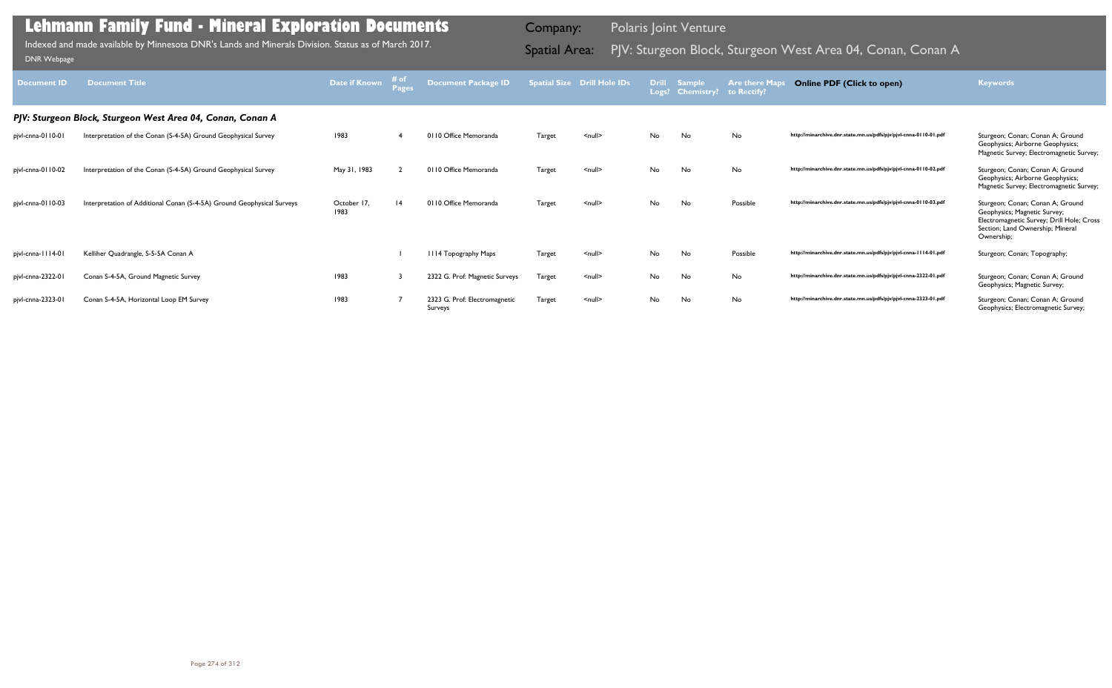| Document ID       | <b>Document Title</b>                                                  | <b>Date if Known</b> |   | <b>Document Package ID</b>               |               | <b>Spatial Size Drill Hole IDs</b> | <b>Drill</b> | <b>Sample</b><br>Logs? Chemistry? | <b>Are there Maps</b><br>to Rectify? | <b>Online PDF (Click to open)</b>                                | <b>Keywords</b>                                                                                                                                                 |
|-------------------|------------------------------------------------------------------------|----------------------|---|------------------------------------------|---------------|------------------------------------|--------------|-----------------------------------|--------------------------------------|------------------------------------------------------------------|-----------------------------------------------------------------------------------------------------------------------------------------------------------------|
|                   | PJV: Sturgeon Block, Sturgeon West Area 04, Conan, Conan A             |                      |   |                                          |               |                                    |              |                                   |                                      |                                                                  |                                                                                                                                                                 |
| pjvl-cnna-0110-01 | Interpretation of the Conan (S-4-5A) Ground Geophysical Survey         | 1983                 |   | 0110 Office Memoranda                    | <b>Target</b> | $\leq$ null $\geq$                 | No           | No                                | No                                   | http://minarchive.dnr.state.mn.us/pdfs/pjv/pjvl-cnna-0110-01.pdf | Sturgeon; Conan; Conan A; Ground<br>Geophysics; Airborne Geophysics;<br>Magnetic Survey; Electromagnetic Survey;                                                |
| pjvl-cnna-0110-02 | Interpretation of the Conan (S-4-5A) Ground Geophysical Survey         | May 31, 1983         |   | 0110 Office Memoranda                    | Target        | $\leq$ null $\geq$                 | No           | No                                | No                                   | http://minarchive.dnr.state.mn.us/pdfs/pjv/pjvl-cnna-0110-02.pdf | Sturgeon; Conan; Conan A; Ground<br>Geophysics; Airborne Geophysics;<br>Magnetic Survey; Electromagnetic Survey;                                                |
| pjvl-cnna-0110-03 | Interpretation of Additional Conan (S-4-5A) Ground Geophysical Surveys | October 17,<br>1983  | 4 | 0110 Office Memoranda                    | <b>Target</b> | $\leq$ null $\geq$                 | No           | No                                | Possible                             | http://minarchive.dnr.state.mn.us/pdfs/pjv/pjvl-cnna-0110-03.pdf | Sturgeon; Conan; Conan A; Ground<br>Geophysics; Magnetic Survey;<br>Electromagnetic Survey; Drill Hole; Cross<br>Section; Land Ownership; Mineral<br>Ownership; |
| pjvl-cnna-1114-01 | Kelliher Quadrangle, S-5-5A Conan A                                    |                      |   | III4 Topography Maps                     | Target        | $\leq$ null $\geq$                 | No           | No                                | Possible                             | http://minarchive.dnr.state.mn.us/pdfs/pjv/pjvl-cnna-1114-01.pdf | Sturgeon; Conan; Topography;                                                                                                                                    |
| pjvl-cnna-2322-01 | Conan S-4-5A, Ground Magnetic Survey                                   | 1983                 |   | 2322 G. Prof: Magnetic Surveys           | <b>Target</b> | $\leq$ null $\geq$                 | No           | No                                | No                                   | http://minarchive.dnr.state.mn.us/pdfs/pjv/pjvl-cnna-2322-01.pdf | Sturgeon; Conan; Conan A; Ground<br>Geophysics; Magnetic Survey;                                                                                                |
| pjvl-cnna-2323-01 | Conan S-4-5A, Horizontal Loop EM Survey                                | 1983                 |   | 2323 G. Prof: Electromagnetic<br>Surveys | Target        | $\leq$ null $\geq$                 | No           | No                                | No                                   | http://minarchive.dnr.state.mn.us/pdfs/pjv/pjvl-cnna-2323-01.pdf | Sturgeon; Conan; Conan A; Ground<br>Geophysics; Electromagnetic Survey;                                                                                         |

Indexed and made available by Minnesota DNR's Lands and Minerals Division. Status as of March 2017. **Spatial Area:** PJV: Sturgeon Block, Sturgeon West Area 04, Conan, Conan A Indexed and made available by Minnesota DNR's L Indexed and made available by Minnesota DNR's Lands and Minerals Division. Status as of March 2017.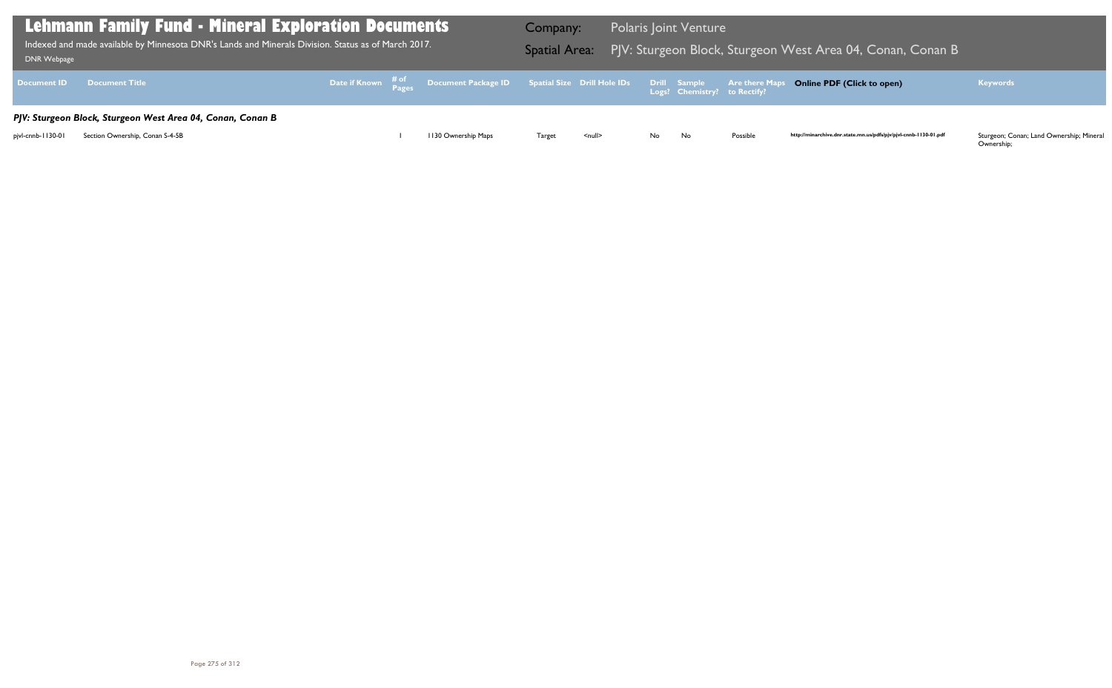Ownership;

| DNR Webpage       | <b>Lehmann Family Fund - Mineral Exploration Documents</b><br>Indexed and made available by Minnesota DNR's Lands and Minerals Division. Status as of March 2017. |  |                                                                                                | Company:      |               |       | <b>Polaris Joint Venture</b> |          | Spatial Area: PJV: Sturgeon Block, Sturgeon West Area 04, Conan, Conan B |                                                                |
|-------------------|-------------------------------------------------------------------------------------------------------------------------------------------------------------------|--|------------------------------------------------------------------------------------------------|---------------|---------------|-------|------------------------------|----------|--------------------------------------------------------------------------|----------------------------------------------------------------|
|                   | Document ID Document Title                                                                                                                                        |  | Date if Known # of Document Package ID Spatial Size Drill Hole IDs Drill Sample Are there Maps |               |               |       |                              |          | <b>Online PDF (Click to open)</b>                                        | <b>Keywords</b>                                                |
| pjvl-cnnb-1130-01 | PJV: Sturgeon Block, Sturgeon West Area 04, Conan, Conan B<br>Section Ownership, Conan S-4-5B                                                                     |  | 1130 Ownership Maps                                                                            | <b>Target</b> | <null></null> | No No |                              | Possible | http://minarchive.dnr.state.mn.us/pdfs/pjv/pjvl-cnnb-1130-01.pdf         | Sturgeon; Conan; Land Ownership; Mineral<br>O <sub>trans</sub> |

## Vest Area 04, Conan, Conan B

## **Online PDF (Click to open) Keywords**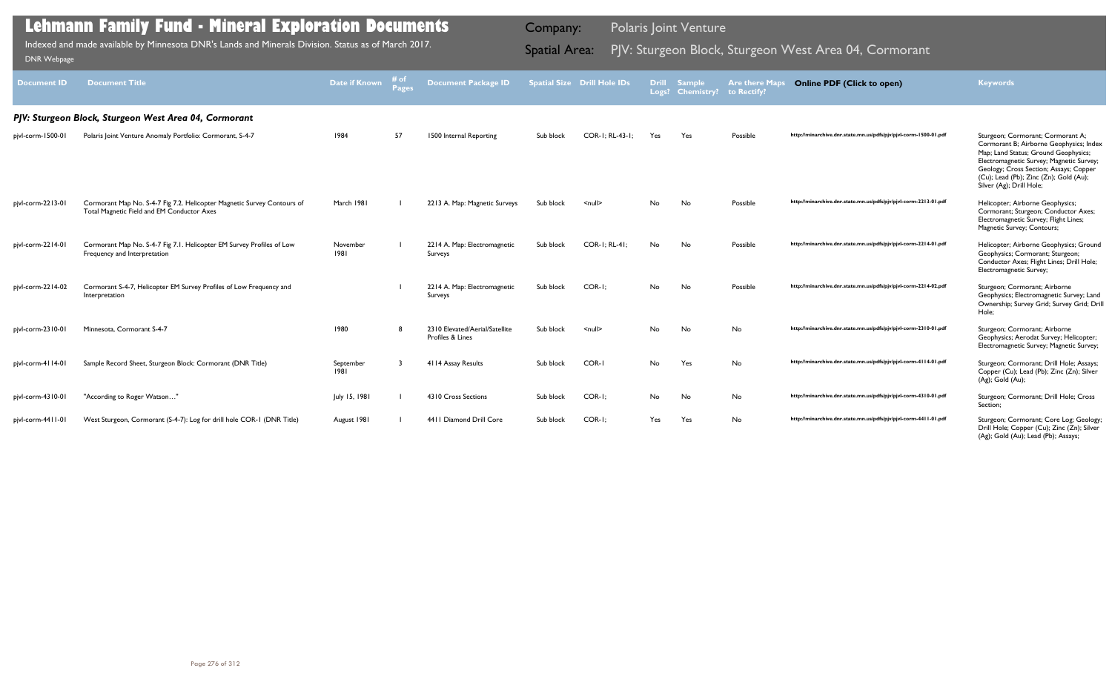| <b>Document ID</b> | <b>Document Title</b>                                                                                                 | Date if Known     | # of<br><b>Pages</b> | <b>Document Package ID</b>                         |           | <b>Spatial Size Drill Hole IDs</b> | <b>Drill</b> | <b>Sample</b><br>Logs? Chemistry? | <b>Are there Maps</b><br>to Rectify? | <b>Online PDF (Click to open)</b>                                | <b>Keywords</b>                                                                                                                                                                                                                                                                  |
|--------------------|-----------------------------------------------------------------------------------------------------------------------|-------------------|----------------------|----------------------------------------------------|-----------|------------------------------------|--------------|-----------------------------------|--------------------------------------|------------------------------------------------------------------|----------------------------------------------------------------------------------------------------------------------------------------------------------------------------------------------------------------------------------------------------------------------------------|
|                    | PJV: Sturgeon Block, Sturgeon West Area 04, Cormorant                                                                 |                   |                      |                                                    |           |                                    |              |                                   |                                      |                                                                  |                                                                                                                                                                                                                                                                                  |
| pjvl-corm-1500-01  | Polaris Joint Venture Anomaly Portfolio: Cormorant, S-4-7                                                             | 1984              | 57                   | 1500 Internal Reporting                            | Sub block | COR-1: RL-43-1:                    | Yes          | Yes                               | Possible                             | http://minarchive.dnr.state.mn.us/pdfs/pjv/pjvl-corm-1500-01.pdf | Sturgeon; Cormorant; Cormorant A;<br>Cormorant B; Airborne Geophysics; Index<br>Map; Land Status; Ground Geophysics;<br>Electromagnetic Survey; Magnetic Survey;<br>Geology; Cross Section; Assays; Copper<br>(Cu); Lead (Pb); Zinc (Zn); Gold (Au);<br>Silver (Ag); Drill Hole; |
| pjvl-corm-2213-01  | Cormorant Map No. S-4-7 Fig 7.2. Helicopter Magnetic Survey Contours of<br>Total Magnetic Field and EM Conductor Axes | March 1981        |                      | 2213 A. Map: Magnetic Surveys                      | Sub block | $\leq$ null $\geq$                 | No           | No                                | Possible                             | http://minarchive.dnr.state.mn.us/pdfs/pjv/pjvl-corm-2213-01.pdf | Helicopter; Airborne Geophysics;<br>Cormorant; Sturgeon; Conductor Axes;<br>Electromagnetic Survey; Flight Lines;<br>Magnetic Survey; Contours;                                                                                                                                  |
| pjvl-corm-2214-01  | Cormorant Map No. S-4-7 Fig 7.1. Helicopter EM Survey Profiles of Low<br>Frequency and Interpretation                 | November<br>1981  |                      | 2214 A. Map: Electromagnetic<br>Surveys            | Sub block | COR-1; RL-41;                      | No           | No                                | Possible                             | http://minarchive.dnr.state.mn.us/pdfs/pjv/pjvl-corm-2214-01.pdf | Helicopter; Airborne Geophysics; Ground<br>Geophysics; Cormorant; Sturgeon;<br>Conductor Axes; Flight Lines; Drill Hole;<br>Electromagnetic Survey;                                                                                                                              |
| pjvl-corm-2214-02  | Cormorant S-4-7, Helicopter EM Survey Profiles of Low Frequency and<br>Interpretation                                 |                   |                      | 2214 A. Map: Electromagnetic<br>Surveys            | Sub block | COR-I:                             | No.          | No                                | Possible                             | http://minarchive.dnr.state.mn.us/pdfs/pjv/pjvl-corm-2214-02.pdf | Sturgeon; Cormorant; Airborne<br>Geophysics; Electromagnetic Survey; Land<br>Ownership; Survey Grid; Survey Grid; Drill<br>Hole;                                                                                                                                                 |
| pjvl-corm-2310-01  | Minnesota, Cormorant S-4-7                                                                                            | 1980              |                      | 2310 Elevated/Aerial/Satellite<br>Profiles & Lines | Sub block | $\leq$ null $\geq$                 | No.          | No                                | No                                   | http://minarchive.dnr.state.mn.us/pdfs/pjv/pjvl-corm-2310-01.pdf | Sturgeon; Cormorant; Airborne<br>Geophysics; Aerodat Survey; Helicopter;<br>Electromagnetic Survey; Magnetic Survey;                                                                                                                                                             |
| pjvl-corm-4114-01  | Sample Record Sheet, Sturgeon Block: Cormorant (DNR Title)                                                            | September<br>1981 |                      | 4114 Assay Results                                 | Sub block | COR-I                              | No           | Yes                               | No                                   | http://minarchive.dnr.state.mn.us/pdfs/pjv/pjvl-corm-4114-01.pdf | Sturgeon; Cormorant; Drill Hole; Assays;<br>Copper (Cu); Lead (Pb); Zinc (Zn); Silver<br>(Ag); Gold (Au);                                                                                                                                                                        |
| pjvl-corm-4310-01  | "According to Roger Watson"                                                                                           | July 15, 1981     |                      | 4310 Cross Sections                                | Sub block | COR-I:                             | No           | No                                | No                                   | http://minarchive.dnr.state.mn.us/pdfs/pjv/pjvl-corm-4310-01.pdf | Sturgeon; Cormorant; Drill Hole; Cross<br>Section;                                                                                                                                                                                                                               |
| pjvl-corm-4411-01  | West Sturgeon, Cormorant (S-4-7): Log for drill hole COR-1 (DNR Title)                                                | August 1981       |                      | 4411 Diamond Drill Core                            | Sub block | COR-I:                             | Yes          | Yes                               | No                                   | http://minarchive.dnr.state.mn.us/pdfs/pjv/pjvl-corm-4411-01.pdf | Sturgeon; Cormorant; Core Log; Geology;<br>Drill Hole; Copper (Cu); Zinc (Zn); Silver<br>(Ag); Gold (Au); Lead (Pb); Assays;                                                                                                                                                     |

Indexed and made available by Minnesota DNR's Lands and Minerals Division. Status as of March 2017. **Spatial Area:** PJV: Sturgeon Block, Sturgeon West Area 04, Cormorant DNR Webpage Indexed and made available by Minnesota DNR's Lands and Minerals Division. Status as of March 2017.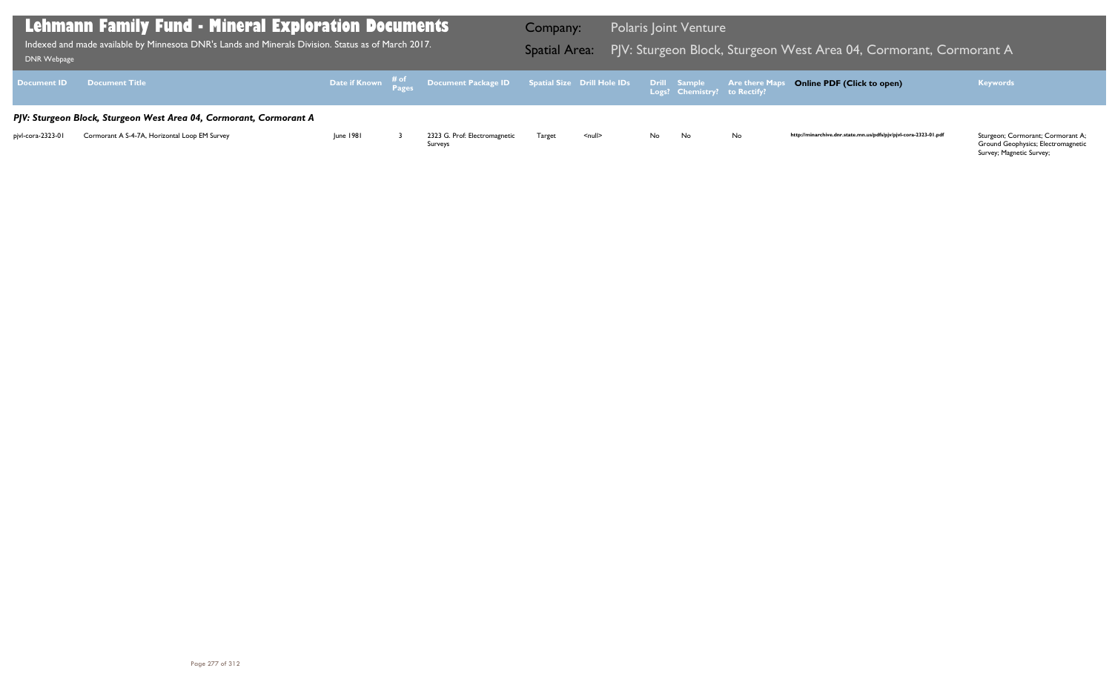Ground Geophysics; Electromagnetic Survey; Magnetic Survey;

| <b>DNR Webpage</b> | <b>Lehmann Family Fund - Mineral Exploration Documents</b><br>Indexed and made available by Minnesota DNR's Lands and Minerals Division. Status as of March 2017. |           |                                                                                                        | Company:<br><b>Spatial Area:</b> |               |              | <b>Polaris Joint Venture</b> | PJV: Sturgeon Block, Sturgeon V |
|--------------------|-------------------------------------------------------------------------------------------------------------------------------------------------------------------|-----------|--------------------------------------------------------------------------------------------------------|----------------------------------|---------------|--------------|------------------------------|---------------------------------|
| <b>Document ID</b> | <b>Document Title</b>                                                                                                                                             |           | Date if Known $\frac{\text{\# of}}{\text{\# }2\sigma}$ Document Package ID Spatial Size Drill Hole IDs |                                  |               | Drill Sample | Logs? Chemistry? to Rectify? | <b>Are there Maps</b>           |
|                    | PJV: Sturgeon Block, Sturgeon West Area 04, Cormorant, Cormorant A                                                                                                |           |                                                                                                        |                                  |               |              |                              |                                 |
| pjvl-cora-2323-01  | Cormorant A S-4-7A, Horizontal Loop EM Survey                                                                                                                     | June 1981 | 2323 G. Prof: Electromagnetic<br>Surveys                                                               | Target                           | <null></null> | No.          | No                           | No                              |

## $\overline{a}$  West Area 04, Cormorant, Cormorant A  $\overline{a}$

## **Online PDF (Click to open) Keywords**

http://minarchive.dnr.state.mn.us/pdfs/pjv/pjvl-cora-2323-01.pdf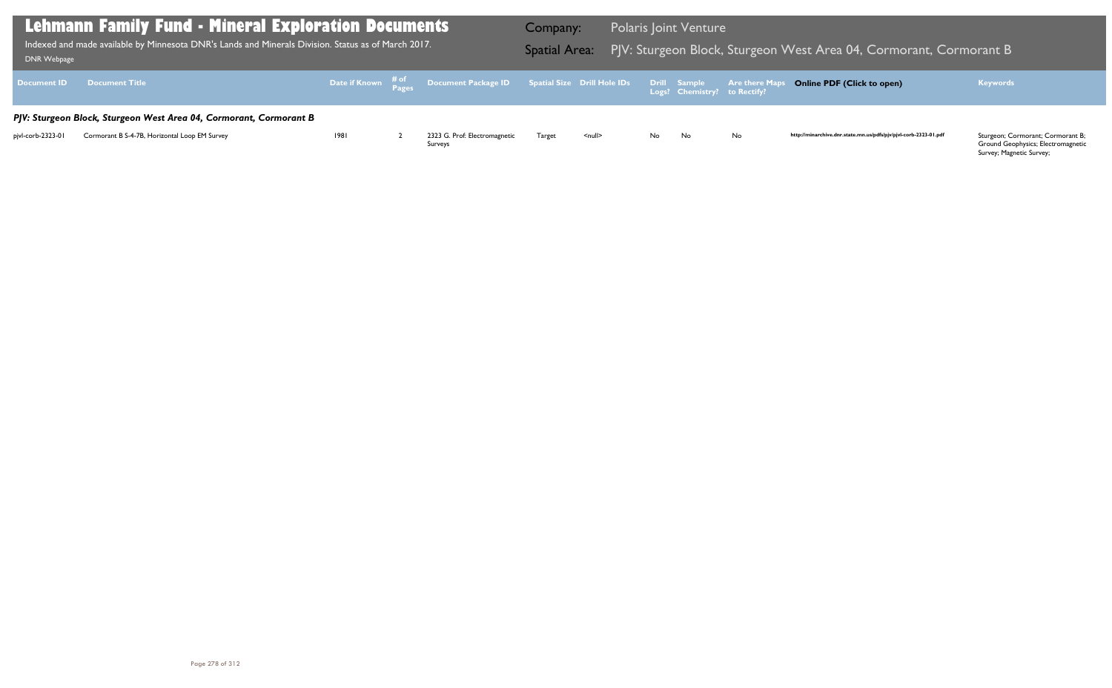Ground Geophysics; Electromagnetic Survey; Magnetic Survey;

| DNR Webpage        | <b>Lehmann Family Fund - Mineral Exploration Documents</b><br>Indexed and made available by Minnesota DNR's Lands and Minerals Division. Status as of March 2017. |      |                                                                                                  | Company:<br><b>Spatial Area:</b> |        |     | <b>Polaris Joint Venture</b>                 | PJV: Sturgeon Block, Sturgeon V |
|--------------------|-------------------------------------------------------------------------------------------------------------------------------------------------------------------|------|--------------------------------------------------------------------------------------------------|----------------------------------|--------|-----|----------------------------------------------|---------------------------------|
| <b>Document ID</b> | <b>Document Title</b>                                                                                                                                             |      | Date if Known $\frac{\text{\# of}}{\text{\# a}}$ Document Package ID Spatial Size Drill Hole IDs |                                  |        |     | Drill Sample<br>Logs? Chemistry? to Rectify? | <b>Are there Maps</b>           |
|                    | PJV: Sturgeon Block, Sturgeon West Area 04, Cormorant, Cormorant B                                                                                                |      |                                                                                                  |                                  |        |     |                                              |                                 |
| pjvl-corb-2323-01  | Cormorant B S-4-7B, Horizontal Loop EM Survey                                                                                                                     | 1981 | 2323 G. Prof: Electromagnetic<br>Surveys                                                         | Target                           | $null$ | No. | No                                           | No                              |

## $\overline{B}$  West Area 04, Cormorant, Cormorant B

## **Online PDF (Click to open) Keywords**

http://minarchive.dnr.state.mn.us/pdfs/pjv/pjvl-corb-2323-01.pdf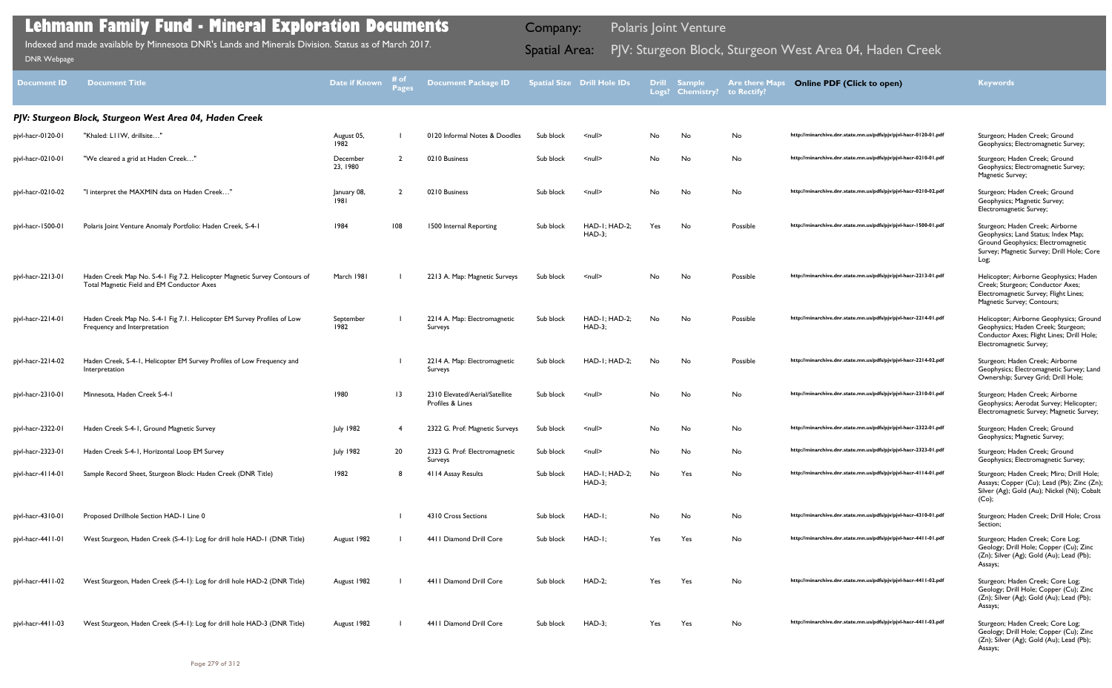| Document ID       | <b>Document Title</b>                                                                                                   | Date if Known        | # of<br>Page:   | <b>Document Package ID</b>                         |           | <b>Spatial Size Drill Hole IDs</b> |     | Drill Sample<br>Logs? Chemistry? to Rectify? | <b>Are there Maps</b> | <b>Online PDF (Click to open)</b>                                | <b>Keywords</b>                                                                                                                                                   |
|-------------------|-------------------------------------------------------------------------------------------------------------------------|----------------------|-----------------|----------------------------------------------------|-----------|------------------------------------|-----|----------------------------------------------|-----------------------|------------------------------------------------------------------|-------------------------------------------------------------------------------------------------------------------------------------------------------------------|
|                   | PJV: Sturgeon Block, Sturgeon West Area 04, Haden Creek                                                                 |                      |                 |                                                    |           |                                    |     |                                              |                       |                                                                  |                                                                                                                                                                   |
| pjvl-hacr-0120-01 | "Khaled: LI IW, drillsite"                                                                                              | August 05,<br>1982   |                 | 0120 Informal Notes & Doodles                      | Sub block | $null$                             | No  | No                                           | No                    | http://minarchive.dnr.state.mn.us/pdfs/pjv/pjvl-hacr-0120-01.pdf | Sturgeon; Haden Creek; Ground<br>Geophysics; Electromagnetic Survey;                                                                                              |
| pjvl-hacr-0210-01 | "We cleared a grid at Haden Creek"                                                                                      | December<br>23, 1980 | $\mathcal{L}$   | 0210 Business                                      | Sub block | $null$                             | No  | No                                           | No                    | http://minarchive.dnr.state.mn.us/pdfs/pjv/pjvl-hacr-0210-01.pdf | Sturgeon; Haden Creek; Ground<br>Geophysics; Electromagnetic Survey;<br>Magnetic Survey;                                                                          |
| pjvl-hacr-0210-02 | "I interpret the MAXMIN data on Haden Creek'                                                                            | January 08,<br>1981  | ້າ              | 0210 Business                                      | Sub block | $\leq$ null $\geq$                 | No  | No                                           | No                    | http://minarchive.dnr.state.mn.us/pdfs/pjv/pjvl-hacr-0210-02.pdf | Sturgeon; Haden Creek; Ground<br>Geophysics; Magnetic Survey;<br>Electromagnetic Survey;                                                                          |
| pjvl-hacr-1500-01 | Polaris Joint Venture Anomaly Portfolio: Haden Creek, S-4-1                                                             | 1984                 | 108             | 1500 Internal Reporting                            | Sub block | HAD-I; HAD-2;<br><b>HAD-3;</b>     | Yes | No                                           | Possible              | http://minarchive.dnr.state.mn.us/pdfs/pjv/pjvl-hacr-1500-01.pdf | Sturgeon; Haden Creek; Airborne<br>Geophysics; Land Status; Index Map;<br>Ground Geophysics; Electromagnetic<br>Survey; Magnetic Survey; Drill Hole; Core<br>Log; |
| pjvl-hacr-2213-01 | Haden Creek Map No. S-4-1 Fig 7.2. Helicopter Magnetic Survey Contours of<br>Total Magnetic Field and EM Conductor Axes | March 1981           |                 | 2213 A. Map: Magnetic Surveys                      | Sub block | $\leq$ null $\geq$                 | No  | No                                           | Possible              | http://minarchive.dnr.state.mn.us/pdfs/pjv/pjvl-hacr-2213-01.pdf | Helicopter; Airborne Geophysics; Haden<br>Creek; Sturgeon; Conductor Axes;<br>Electromagnetic Survey; Flight Lines;<br>Magnetic Survey; Contours;                 |
| pjvl-hacr-2214-01 | Haden Creek Map No. S-4-1 Fig 7.1. Helicopter EM Survey Profiles of Low<br>Frequency and Interpretation                 | September<br>1982    |                 | 2214 A. Map: Electromagnetic<br>Surveys            | Sub block | HAD-I; HAD-2;<br><b>HAD-3;</b>     | No  | No                                           | Possible              | http://minarchive.dnr.state.mn.us/pdfs/pjv/pjvl-hacr-2214-01.pdf | Helicopter; Airborne Geophysics; Ground<br>Geophysics; Haden Creek; Sturgeon;<br>Conductor Axes; Flight Lines; Drill Hole;<br>Electromagnetic Survey;             |
| pjvl-hacr-2214-02 | Haden Creek, S-4-1, Helicopter EM Survey Profiles of Low Frequency and<br>Interpretation                                |                      |                 | 2214 A. Map: Electromagnetic<br>Surveys            | Sub block | $HAD-I$ ; $HAD-2$ ;                | No  | No                                           | Possible              | http://minarchive.dnr.state.mn.us/pdfs/pjv/pjvl-hacr-2214-02.pdf | Sturgeon; Haden Creek; Airborne<br>Geophysics; Electromagnetic Survey; Land<br>Ownership; Survey Grid; Drill Hole;                                                |
| pjvl-hacr-2310-01 | Minnesota, Haden Creek S-4-1                                                                                            | 1980                 | $\overline{13}$ | 2310 Elevated/Aerial/Satellite<br>Profiles & Lines | Sub block | $\leq$ null $\geq$                 | No  | No                                           | No                    | http://minarchive.dnr.state.mn.us/pdfs/pjv/pjvl-hacr-2310-01.pdf | Sturgeon; Haden Creek; Airborne<br>Geophysics; Aerodat Survey; Helicopter;<br>Electromagnetic Survey; Magnetic Survey;                                            |
| pjvl-hacr-2322-01 | Haden Creek S-4-1, Ground Magnetic Survey                                                                               | <b>July 1982</b>     | -4              | 2322 G. Prof: Magnetic Surveys                     | Sub block | $null$                             | No  | No                                           | No                    | http://minarchive.dnr.state.mn.us/pdfs/pjv/pjvl-hacr-2322-01.pdf | Sturgeon; Haden Creek; Ground<br>Geophysics; Magnetic Survey;                                                                                                     |
| pjvl-hacr-2323-01 | Haden Creek S-4-1, Horizontal Loop EM Survey                                                                            | <b>July 1982</b>     | 20              | 2323 G. Prof: Electromagnetic<br>Surveys           | Sub block | $\leq$ null $\geq$                 | No  | No                                           | No                    | http://minarchive.dnr.state.mn.us/pdfs/pjv/pjvl-hacr-2323-01.pdf | Sturgeon; Haden Creek; Ground<br>Geophysics; Electromagnetic Survey;                                                                                              |
| pjvl-hacr-4114-01 | Sample Record Sheet, Sturgeon Block: Haden Creek (DNR Title)                                                            | 1982                 | 8               | 4114 Assay Results                                 | Sub block | HAD-I; HAD-2;<br><b>HAD-3;</b>     | No  | Yes                                          | No                    | http://minarchive.dnr.state.mn.us/pdfs/pjv/pjvl-hacr-4114-01.pdf | Sturgeon; Haden Creek; Miro; Drill Hole;<br>Assays; Copper (Cu); Lead (Pb); Zinc (Zn);<br>Silver (Ag); Gold (Au); Nickel (Ni); Cobalt<br>$(Co)$ ;                 |
| pjvl-hacr-4310-01 | Proposed Drillhole Section HAD-1 Line 0                                                                                 |                      |                 | 4310 Cross Sections                                | Sub block | $HAD-I;$                           | No  | No                                           | No                    | http://minarchive.dnr.state.mn.us/pdfs/pjv/pjvl-hacr-4310-01.pdf | Sturgeon; Haden Creek; Drill Hole; Cross<br>Section;                                                                                                              |
| pjvl-hacr-4411-01 | West Sturgeon, Haden Creek (S-4-1): Log for drill hole HAD-1 (DNR Title)                                                | August 1982          |                 | 4411 Diamond Drill Core                            | Sub block | $HAD-I;$                           | Yes | Yes                                          | No                    | http://minarchive.dnr.state.mn.us/pdfs/pjv/pjvl-hacr-4411-01.pdf | Sturgeon; Haden Creek; Core Log;<br>Geology; Drill Hole; Copper (Cu); Zinc<br>(Zn); Silver (Ag); Gold (Au); Lead (Pb);<br>Assays;                                 |
| pjvl-hacr-4411-02 | West Sturgeon, Haden Creek (S-4-1): Log for drill hole HAD-2 (DNR Title)                                                | August 1982          |                 | 4411 Diamond Drill Core                            | Sub block | $HAD-2;$                           | Yes | Yes                                          | No                    | http://minarchive.dnr.state.mn.us/pdfs/pjv/pjvl-hacr-4411-02.pdf | Sturgeon; Haden Creek; Core Log;<br>Geology; Drill Hole; Copper (Cu); Zinc<br>(Zn); Silver (Ag); Gold (Au); Lead (Pb);<br>Assays;                                 |
| pjvl-hacr-4411-03 | West Sturgeon, Haden Creek (S-4-1): Log for drill hole HAD-3 (DNR Title)                                                | August 1982          |                 | 4411 Diamond Drill Core                            | Sub block | $HAD-3;$                           | Yes | Yes                                          | No                    | http://minarchive.dnr.state.mn.us/pdfs/pjv/pjvl-hacr-4411-03.pdf | Sturgeon; Haden Creek; Core Log;<br>Geology; Drill Hole; Copper (Cu); Zinc<br>(Zn); Silver (Ag); Gold (Au); Lead (Pb);<br>Assays;                                 |

Indexed and made available by Minnesota DNR's Lands and Minerals Division. Status as of March 2017. **Spatial Area:** PJV: Sturgeon Block, Sturgeon West Area 04, Haden Creek <sub>DNR Webpage</sub> Indexed and made available by Minnesota DNR's Lands and Minerals Division. Status as of March 2017.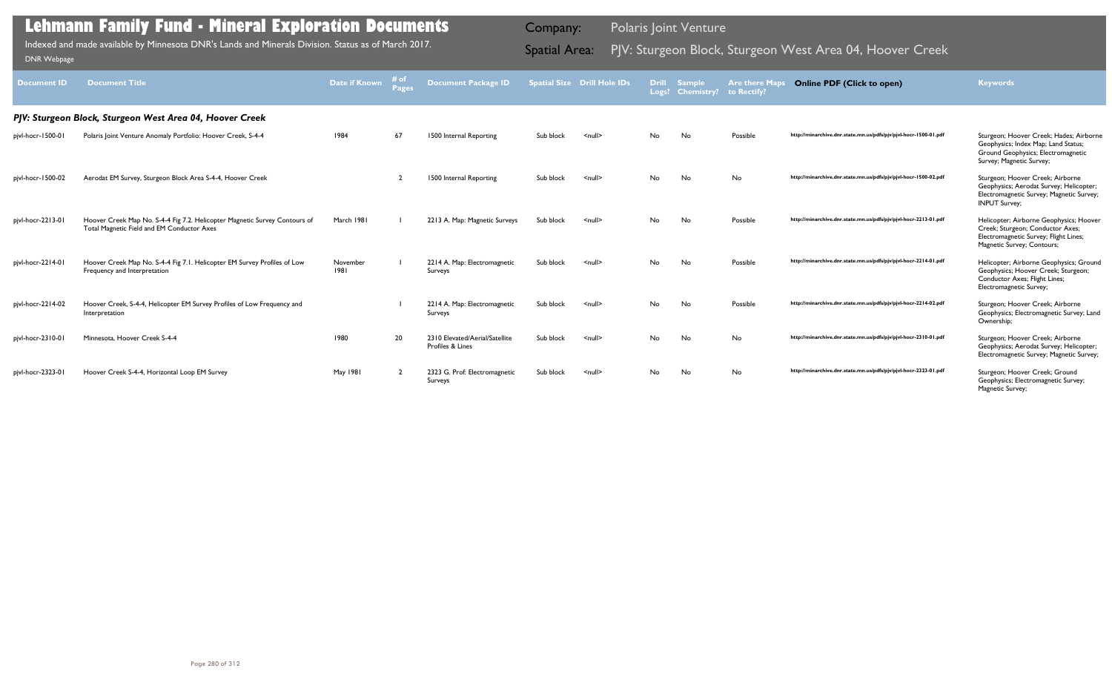| <b>Document ID</b> | <b>Document Title</b>                                                                                                    | Date if Known    | # of<br>Pages | Document Package ID                                |           | <b>Spatial Size Drill Hole IDs</b> |           | <b>Drill Sample</b><br>Logs? Chemistry? to Rectify? | <b>Are there Maps</b> | <b>Online PDF (Click to open)</b>                                | Keywords                                                                                                                                           |
|--------------------|--------------------------------------------------------------------------------------------------------------------------|------------------|---------------|----------------------------------------------------|-----------|------------------------------------|-----------|-----------------------------------------------------|-----------------------|------------------------------------------------------------------|----------------------------------------------------------------------------------------------------------------------------------------------------|
|                    | PJV: Sturgeon Block, Sturgeon West Area 04, Hoover Creek                                                                 |                  |               |                                                    |           |                                    |           |                                                     |                       |                                                                  |                                                                                                                                                    |
| pjvl-hocr-1500-01  | Polaris Joint Venture Anomaly Portfolio: Hoover Creek, S-4-4                                                             | 1984             | 67            | 1500 Internal Reporting                            | Sub block | $\leq$ null $\geq$                 | No.       | No                                                  | Possible              | http://minarchive.dnr.state.mn.us/pdfs/pjv/pjvl-hocr-1500-01.pdf | Sturgeon; Hoover Creek; Hades; Airborne<br>Geophysics; Index Map; Land Status;<br>Ground Geophysics; Electromagnetic<br>Survey; Magnetic Survey;   |
| pjvl-hocr-1500-02  | Aerodat EM Survey, Sturgeon Block Area S-4-4, Hoover Creek                                                               |                  |               | 1500 Internal Reporting                            | Sub block | $\leq$ null $\geq$                 | No.       | No                                                  | No                    | http://minarchive.dnr.state.mn.us/pdfs/pjv/pjvl-hocr-1500-02.pdf | Sturgeon; Hoover Creek; Airborne<br>Geophysics; Aerodat Survey; Helicopter;<br>Electromagnetic Survey; Magnetic Survey;<br><b>INPUT Survey;</b>    |
| pjvl-hocr-2213-01  | Hoover Creek Map No. S-4-4 Fig 7.2. Helicopter Magnetic Survey Contours of<br>Total Magnetic Field and EM Conductor Axes | March 1981       |               | 2213 A. Map: Magnetic Surveys                      | Sub block | $\leq$ null $\geq$                 | No.       | No                                                  | Possible              | http://minarchive.dnr.state.mn.us/pdfs/pjv/pjvl-hocr-2213-01.pdf | Helicopter; Airborne Geophysics; Hoover<br>Creek; Sturgeon; Conductor Axes;<br>Electromagnetic Survey; Flight Lines;<br>Magnetic Survey; Contours; |
| pjvl-hocr-2214-01  | Hoover Creek Map No. S-4-4 Fig 7.1. Helicopter EM Survey Profiles of Low<br>Frequency and Interpretation                 | November<br>1981 |               | 2214 A. Map: Electromagnetic<br>Surveys            | Sub block | $\leq$ null $\geq$                 | No.       | No                                                  | Possible              | http://minarchive.dnr.state.mn.us/pdfs/pjv/pjvl-hocr-2214-01.pdf | Helicopter; Airborne Geophysics; Ground<br>Geophysics; Hoover Creek; Sturgeon;<br>Conductor Axes; Flight Lines;<br>Electromagnetic Survey;         |
| pjvl-hocr-2214-02  | Hoover Creek, S-4-4, Helicopter EM Survey Profiles of Low Frequency and<br>Interpretation                                |                  |               | 2214 A. Map: Electromagnetic<br>Surveys            | Sub block | $\leq$ null $\geq$                 | No.       | No                                                  | Possible              | http://minarchive.dnr.state.mn.us/pdfs/pjv/pjvl-hocr-2214-02.pdf | Sturgeon; Hoover Creek; Airborne<br>Geophysics; Electromagnetic Survey; Land<br>Ownership;                                                         |
| pjvl-hocr-2310-01  | Minnesota, Hoover Creek S-4-4                                                                                            | 1980             | 20            | 2310 Elevated/Aerial/Satellite<br>Profiles & Lines | Sub block | $\leq$ null $\geq$                 | <b>No</b> | No                                                  | No                    | http://minarchive.dnr.state.mn.us/pdfs/pjv/pjvl-hocr-2310-01.pdf | Sturgeon; Hoover Creek; Airborne<br>Geophysics; Aerodat Survey; Helicopter;<br>Electromagnetic Survey; Magnetic Survey;                            |
| pjvl-hocr-2323-01  | Hoover Creek S-4-4, Horizontal Loop EM Survey                                                                            | May 1981         |               | 2323 G. Prof: Electromagnetic<br>Surveys           | Sub block | $\leq$ null $\geq$                 | No.       | No                                                  | No                    | http://minarchive.dnr.state.mn.us/pdfs/pjv/pjvl-hocr-2323-01.pdf | Sturgeon; Hoover Creek; Ground<br>Geophysics; Electromagnetic Survey;<br>Magnetic Survey;                                                          |

Indexed and made available by Minnesota DNR's Lands and Minerals Division. Status as of March 2017. **Spatial Area:** PJV: Sturgeon Block, Sturgeon West Area 04, Hoover Creek <sub>DNR Webpage</sub> Indexed and made available by Minnesota DNR's Lands and Minerals Division. Status as of March 2017.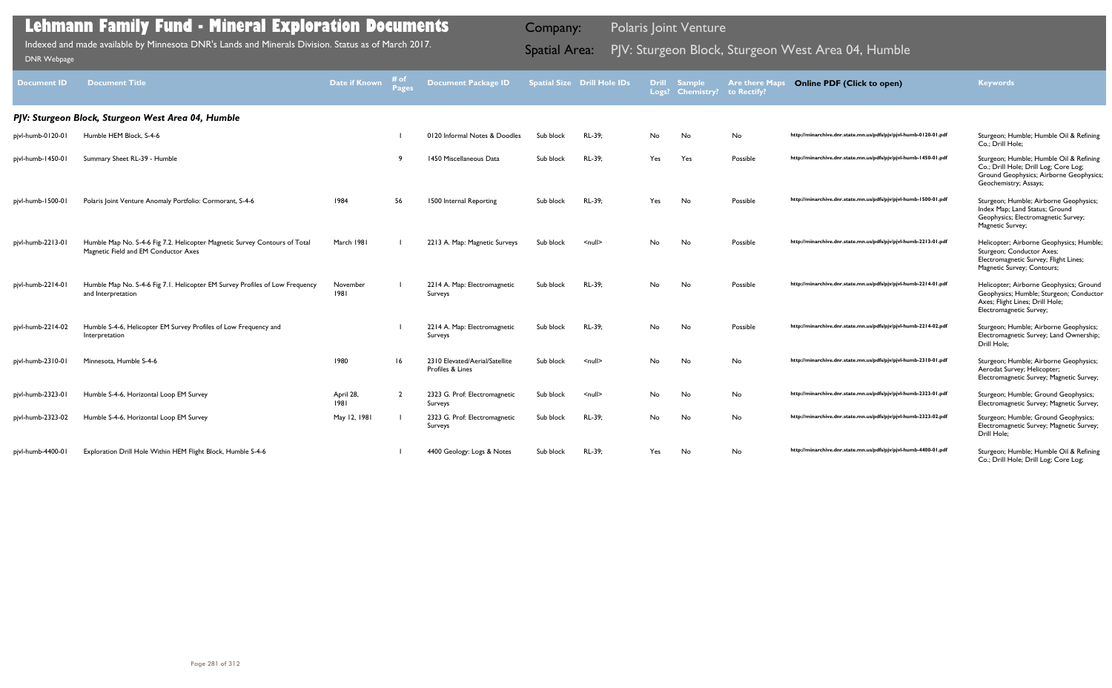| <b>Document ID</b> | <b>Document Title</b>                                                                                              | <b>Date if Known</b> | # of<br><b>Pages</b> | <b>Document Package ID</b>                         |           | <b>Spatial Size Drill Hole IDs</b> | <b>Drill</b><br>Logs? | <b>Sample</b><br><b>Chemistry?</b> | <b>Are there Maps</b><br>to Rectify? | <b>Online PDF (Click to open)</b>                                | <b>Keywords</b>                                                                                                                                      |
|--------------------|--------------------------------------------------------------------------------------------------------------------|----------------------|----------------------|----------------------------------------------------|-----------|------------------------------------|-----------------------|------------------------------------|--------------------------------------|------------------------------------------------------------------|------------------------------------------------------------------------------------------------------------------------------------------------------|
|                    | PJV: Sturgeon Block, Sturgeon West Area 04, Humble                                                                 |                      |                      |                                                    |           |                                    |                       |                                    |                                      |                                                                  |                                                                                                                                                      |
| pjvl-humb-0120-01  | Humble HEM Block, S-4-6                                                                                            |                      |                      | 0120 Informal Notes & Doodles                      | Sub block | RL-39;                             | No                    | No                                 | No                                   | http://minarchive.dnr.state.mn.us/pdfs/pjv/pjvl-humb-0120-01.pdf | Sturgeon; Humble; Humble Oil & Refining<br>Co.; Drill Hole;                                                                                          |
| pjvl-humb-1450-01  | Summary Sheet RL-39 - Humble                                                                                       |                      |                      | 1450 Miscellaneous Data                            | Sub block | RL-39;                             | Yes                   | Yes                                | Possible                             | http://minarchive.dnr.state.mn.us/pdfs/pjv/pjvl-humb-1450-01.pdf | Sturgeon; Humble; Humble Oil & Refining<br>Co.; Drill Hole; Drill Log; Core Log;<br>Ground Geophysics; Airborne Geophysics;<br>Geochemistry; Assays; |
| pjvl-humb-1500-01  | Polaris Joint Venture Anomaly Portfolio: Cormorant, S-4-6                                                          | 1984                 | 56                   | 1500 Internal Reporting                            | Sub block | RL-39;                             | Yes                   | No                                 | Possible                             | http://minarchive.dnr.state.mn.us/pdfs/pjv/pjvl-humb-1500-01.pdf | Sturgeon; Humble; Airborne Geophysics;<br>Index Map; Land Status; Ground<br>Geophysics; Electromagnetic Survey;<br>Magnetic Survey;                  |
| pjvl-humb-2213-01  | Humble Map No. S-4-6 Fig 7.2. Helicopter Magnetic Survey Contours of Total<br>Magnetic Field and EM Conductor Axes | March 1981           |                      | 2213 A. Map: Magnetic Surveys                      | Sub block | $\leq$ null $\geq$                 | No.                   | No                                 | Possible                             | http://minarchive.dnr.state.mn.us/pdfs/pjv/pjvl-humb-2213-01.pdf | Helicopter; Airborne Geophysics; Humble;<br>Sturgeon; Conductor Axes;<br>Electromagnetic Survey; Flight Lines;<br>Magnetic Survey; Contours;         |
| pjvl-humb-2214-01  | Humble Map No. S-4-6 Fig 7.1. Helicopter EM Survey Profiles of Low Frequency<br>and Interpretation                 | November<br>1981     |                      | 2214 A. Map: Electromagnetic<br>Surveys            | Sub block | RL-39;                             | No.                   | No                                 | Possible                             | http://minarchive.dnr.state.mn.us/pdfs/pjv/pjvl-humb-2214-01.pdf | Helicopter; Airborne Geophysics; Ground<br>Geophysics; Humble; Sturgeon; Conductor<br>Axes; Flight Lines; Drill Hole;<br>Electromagnetic Survey;     |
| pjvl-humb-2214-02  | Humble S-4-6, Helicopter EM Survey Profiles of Low Frequency and<br>Interpretation                                 |                      |                      | 2214 A. Map: Electromagnetic<br><b>Surveys</b>     | Sub block | RL-39;                             | No                    | No                                 | Possible                             | http://minarchive.dnr.state.mn.us/pdfs/pjv/pjvl-humb-2214-02.pdf | Sturgeon; Humble; Airborne Geophysics;<br>Electromagnetic Survey; Land Ownership;<br>Drill Hole:                                                     |
| pjvl-humb-2310-01  | Minnesota, Humble S-4-6                                                                                            | 1980                 | 16                   | 2310 Elevated/Aerial/Satellite<br>Profiles & Lines | Sub block | $\leq$ null $\geq$                 | No.                   | No                                 | <b>No</b>                            | http://minarchive.dnr.state.mn.us/pdfs/pjv/pjvl-humb-2310-01.pdf | Sturgeon; Humble; Airborne Geophysics;<br>Aerodat Survey; Helicopter;<br>Electromagnetic Survey; Magnetic Survey;                                    |
| pjvl-humb-2323-01  | Humble S-4-6, Horizontal Loop EM Survey                                                                            | April 28,<br>1981    | $\overline{2}$       | 2323 G. Prof: Electromagnetic<br>Surveys           | Sub block | $\leq$ null $\geq$                 | No                    | No                                 | No                                   | http://minarchive.dnr.state.mn.us/pdfs/pjv/pjvl-humb-2323-01.pdf | Sturgeon; Humble; Ground Geophysics;<br>Electromagnetic Survey; Magnetic Survey;                                                                     |
| pjvl-humb-2323-02  | Humble S-4-6, Horizontal Loop EM Survey                                                                            | May 12, 1981         |                      | 2323 G. Prof: Electromagnetic<br>Surveys           | Sub block | RL-39;                             | No                    | No                                 | No                                   | http://minarchive.dnr.state.mn.us/pdfs/pjv/pjvl-humb-2323-02.pdf | Sturgeon; Humble; Ground Geophysics;<br>Electromagnetic Survey; Magnetic Survey;<br>Drill Hole;                                                      |
| pjvl-humb-4400-01  | Exploration Drill Hole Within HEM Flight Block, Humble S-4-6                                                       |                      |                      | 4400 Geology: Logs & Notes                         | Sub block | RL-39;                             | Yes                   | No                                 | No                                   | http://minarchive.dnr.state.mn.us/pdfs/pjv/pjvl-humb-4400-01.pdf | Sturgeon; Humble; Humble Oil & Refining<br>Co.; Drill Hole; Drill Log; Core Log;                                                                     |

Indexed and made available by Minnesota DNR's Lands and Minerals Division. Status as of March 2017. Spatial Area: PJV: Sturgeon Block, Sturgeon West Area 04, Humble DNR Webpage Indexed and made available by Minnesota DNR's Lands and Minerals Division. Status as of March 2017.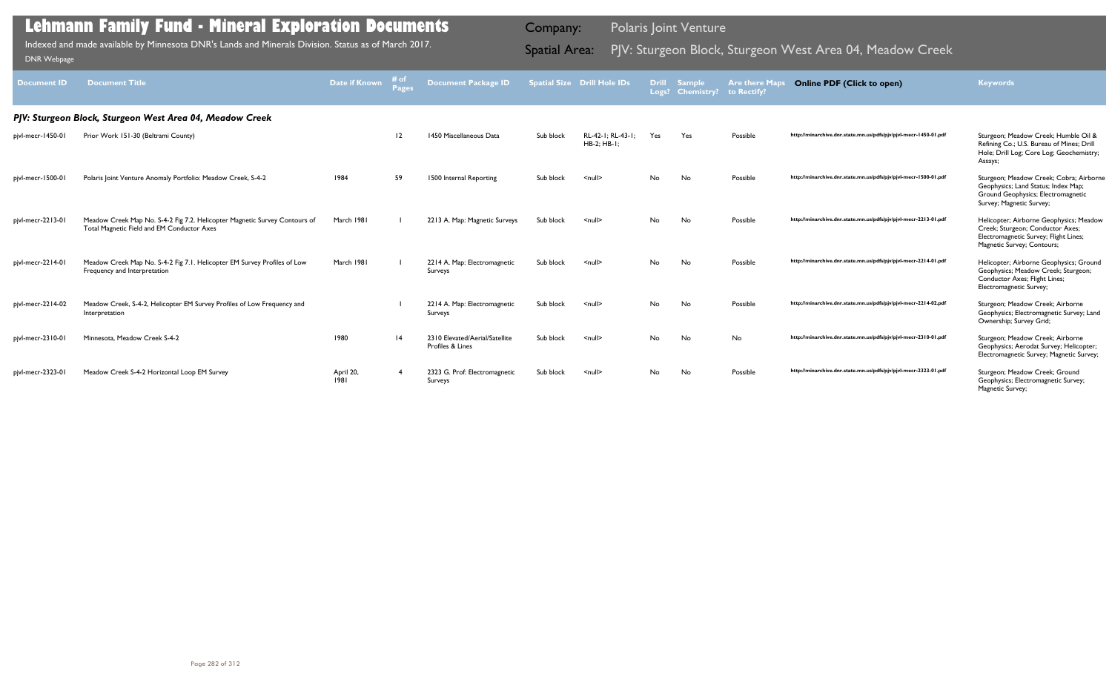| Document ID       | <b>Document Title</b>                                                                                                    | Date if Known     | # of<br><b>Pages</b> | <b>Document Package ID</b>                         |           | <b>Spatial Size Drill Hole IDs</b>  | <b>Drill</b><br>Logs? | <b>Sample</b><br><b>Chemistry?</b> | <b>Are there Maps</b><br>to Rectify? | <b>Online PDF (Click to open)</b>                                | <b>Keywords</b>                                                                                                                                    |
|-------------------|--------------------------------------------------------------------------------------------------------------------------|-------------------|----------------------|----------------------------------------------------|-----------|-------------------------------------|-----------------------|------------------------------------|--------------------------------------|------------------------------------------------------------------|----------------------------------------------------------------------------------------------------------------------------------------------------|
|                   | PJV: Sturgeon Block, Sturgeon West Area 04, Meadow Creek                                                                 |                   |                      |                                                    |           |                                     |                       |                                    |                                      |                                                                  |                                                                                                                                                    |
| pjvl-mecr-1450-01 | Prior Work 151-30 (Beltrami County)                                                                                      |                   | 12                   | 1450 Miscellaneous Data                            | Sub block | RL-42-1: RL-43-1:<br>$HB-2$ : HB-1: | Yes                   | Yes                                | Possible                             | http://minarchive.dnr.state.mn.us/pdfs/pjv/pjvl-mecr-1450-01.pdf | Sturgeon; Meadow Creek; Humble Oil &<br>Refining Co.; U.S. Bureau of Mines; Drill<br>Hole; Drill Log; Core Log; Geochemistry;<br>Assays;           |
| pjvl-mecr-1500-0  | Polaris Joint Venture Anomaly Portfolio: Meadow Creek, S-4-2                                                             | 1984              | 59                   | 1500 Internal Reporting                            | Sub block | $\leq$ null $\geq$                  | No.                   | No                                 | Possible                             | http://minarchive.dnr.state.mn.us/pdfs/pjv/pjvl-mecr-1500-01.pdf | Sturgeon; Meadow Creek; Cobra; Airborne<br>Geophysics; Land Status; Index Map;<br>Ground Geophysics; Electromagnetic<br>Survey; Magnetic Survey;   |
| pjvl-mecr-2213-01 | Meadow Creek Map No. S-4-2 Fig 7.2. Helicopter Magnetic Survey Contours of<br>Total Magnetic Field and EM Conductor Axes | March 1981        |                      | 2213 A. Map: Magnetic Surveys                      | Sub block | $\leq$ null $\geq$                  | <b>No</b>             | No                                 | Possible                             | http://minarchive.dnr.state.mn.us/pdfs/pjv/pjvl-mecr-2213-01.pdf | Helicopter; Airborne Geophysics; Meadow<br>Creek; Sturgeon; Conductor Axes;<br>Electromagnetic Survey; Flight Lines;<br>Magnetic Survey; Contours; |
| pjvl-mecr-2214-01 | Meadow Creek Map No. S-4-2 Fig 7.1. Helicopter EM Survey Profiles of Low<br>Frequency and Interpretation                 | March 1981        |                      | 2214 A. Map: Electromagnetic<br>Surveys            | Sub block | $\le$ null $\ge$                    | <b>No</b>             | No                                 | Possible                             | http://minarchive.dnr.state.mn.us/pdfs/pjv/pjvl-mecr-2214-01.pdf | Helicopter; Airborne Geophysics; Ground<br>Geophysics; Meadow Creek; Sturgeon;<br>Conductor Axes; Flight Lines;<br>Electromagnetic Survey;         |
| pjvl-mecr-2214-02 | Meadow Creek, S-4-2, Helicopter EM Survey Profiles of Low Frequency and<br>Interpretation                                |                   |                      | 2214 A. Map: Electromagnetic<br>Surveys            | Sub block | $\leq$ null $\geq$                  | <b>No</b>             | No                                 | Possible                             | http://minarchive.dnr.state.mn.us/pdfs/pjv/pjvl-mecr-2214-02.pdf | Sturgeon; Meadow Creek; Airborne<br>Geophysics; Electromagnetic Survey; Land<br>Ownership; Survey Grid;                                            |
| pjvl-mecr-2310-01 | Minnesota, Meadow Creek S-4-2                                                                                            | 1980              | 4                    | 2310 Elevated/Aerial/Satellite<br>Profiles & Lines | Sub block | $\le$ null $\ge$                    | No.                   | <b>No</b>                          | <b>No</b>                            | http://minarchive.dnr.state.mn.us/pdfs/pjv/pjvl-mecr-2310-01.pdf | Sturgeon; Meadow Creek; Airborne<br>Geophysics; Aerodat Survey; Helicopter;<br>Electromagnetic Survey; Magnetic Survey;                            |
| pjvl-mecr-2323-01 | Meadow Creek S-4-2 Horizontal Loop EM Survey                                                                             | April 20,<br>1981 |                      | 2323 G. Prof: Electromagnetic<br>Surveys           | Sub block | <null></null>                       | No.                   | No                                 | Possible                             | http://minarchive.dnr.state.mn.us/pdfs/pjv/pjvl-mecr-2323-01.pdf | Sturgeon; Meadow Creek; Ground<br>Geophysics; Electromagnetic Survey;<br>Magnetic Survey;                                                          |

Indexed and made available by Minnesota DNR's Lands and Minerals Division. Status as of March 2017. Sammer Spatial Area: PJV: Sturgeon Block, Sturgeon West Area 04, Meadow Creek DNR Webpage Indexed and made available by Minnesota DNR's Lands and Minerals Division. Status as of March 2017.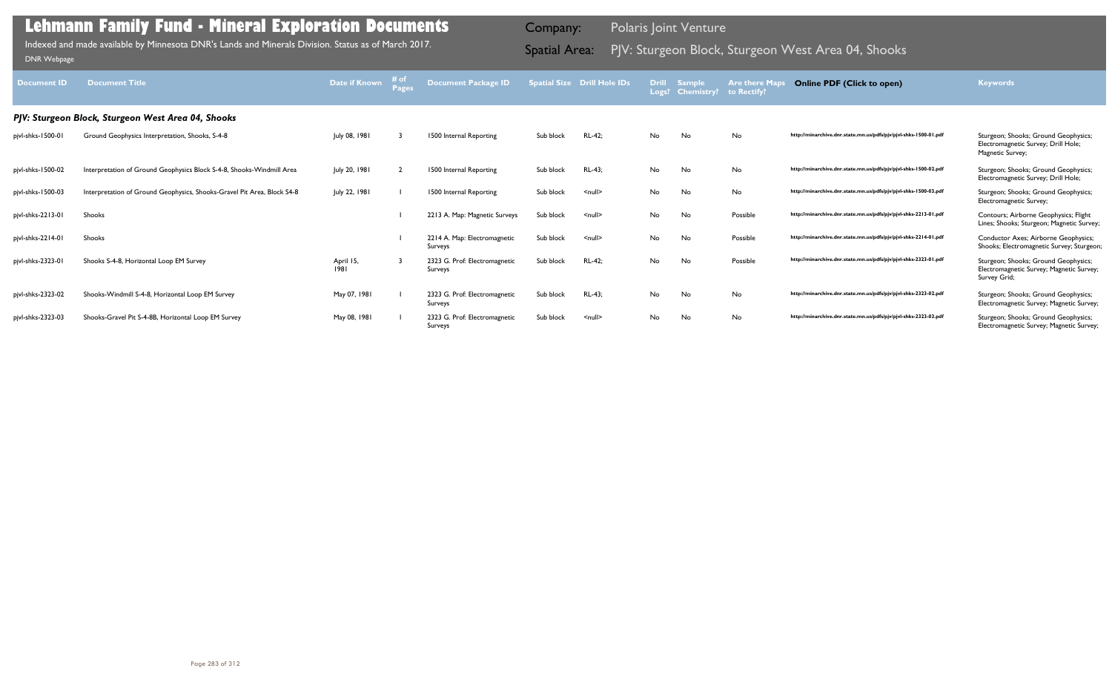| <b>Document ID</b> | <b>Document Title</b>                                                   | <b>Date if Known</b> | # of<br>Pages | Document Package ID                      |           | <b>Spatial Size Drill Hole IDs</b> | <b>Drill</b> | <b>Sample</b><br>Logs? Chemistry? | <b>Are there Map</b><br>to Rectify? | <b>Online PDF (Click to open)</b>                                | <b>Keywords</b>                                                                                  |
|--------------------|-------------------------------------------------------------------------|----------------------|---------------|------------------------------------------|-----------|------------------------------------|--------------|-----------------------------------|-------------------------------------|------------------------------------------------------------------|--------------------------------------------------------------------------------------------------|
|                    | PJV: Sturgeon Block, Sturgeon West Area 04, Shooks                      |                      |               |                                          |           |                                    |              |                                   |                                     |                                                                  |                                                                                                  |
| pjvl-shks-1500-01  | Ground Geophysics Interpretation, Shooks, S-4-8                         | July 08, 1981        |               | 1500 Internal Reporting                  | Sub block | RL-42:                             | No           | No                                | No                                  | http://minarchive.dnr.state.mn.us/pdfs/pjv/pjvl-shks-1500-01.pdf | Sturgeon; Shooks; Ground Geophysics;<br>Electromagnetic Survey; Drill Hole;<br>Magnetic Survey;  |
| pjvl-shks-1500-02  | Interpretation of Ground Geophysics Block S-4-8, Shooks-Windmill Area   | July 20, 1981        |               | 1500 Internal Reporting                  | Sub block | RL-43;                             | No           | No                                | No                                  | http://minarchive.dnr.state.mn.us/pdfs/pjv/pjvl-shks-1500-02.pdf | Sturgeon; Shooks; Ground Geophysics;<br>Electromagnetic Survey; Drill Hole;                      |
| pjvl-shks-1500-03  | Interpretation of Ground Geophysics, Shooks-Gravel Pit Area, Block S4-8 | July 22, 1981        |               | 1500 Internal Reporting                  | Sub block | $\leq$ null $\geq$                 | No           | No                                | No                                  | http://minarchive.dnr.state.mn.us/pdfs/pjv/pjvl-shks-1500-03.pdf | Sturgeon; Shooks; Ground Geophysics;<br>Electromagnetic Survey;                                  |
| pjvl-shks-2213-01  | Shooks                                                                  |                      |               | 2213 A. Map: Magnetic Surveys            | Sub block | $\leq$ null $\geq$                 | No           | No                                | Possible                            | http://minarchive.dnr.state.mn.us/pdfs/pjv/pjvl-shks-2213-01.pdf | Contours; Airborne Geophysics; Flight<br>Lines; Shooks; Sturgeon; Magnetic Survey;               |
| pjvl-shks-2214-01  | Shooks                                                                  |                      |               | 2214 A. Map: Electromagnetic<br>Surveys  | Sub block | $\leq$ null $\geq$                 | No           | No                                | Possible                            | http://minarchive.dnr.state.mn.us/pdfs/pjv/pjvl-shks-2214-01.pdf | Conductor Axes; Airborne Geophysics;<br>Shooks; Electromagnetic Survey; Sturgeon;                |
| pjvl-shks-2323-01  | Shooks S-4-8, Horizontal Loop EM Survey                                 | April 15,<br>1981    |               | 2323 G. Prof: Electromagnetic<br>Surveys | Sub block | RL-42;                             | No           | No                                | Possible                            | http://minarchive.dnr.state.mn.us/pdfs/pjv/pjvl-shks-2323-01.pdf | Sturgeon; Shooks; Ground Geophysics;<br>Electromagnetic Survey; Magnetic Survey;<br>Survey Grid; |
| pjvl-shks-2323-02  | Shooks-Windmill S-4-8, Horizontal Loop EM Survey                        | May 07, 1981         |               | 2323 G. Prof: Electromagnetic<br>Surveys | Sub block | <b>RL-43:</b>                      | No           | No                                | No                                  | http://minarchive.dnr.state.mn.us/pdfs/pjv/pjvl-shks-2323-02.pdf | Sturgeon; Shooks; Ground Geophysics;<br>Electromagnetic Survey; Magnetic Survey;                 |
| pjvl-shks-2323-03  | Shooks-Gravel Pit S-4-8B, Horizontal Loop EM Survey                     | May 08, 1981         |               | 2323 G. Prof: Electromagnetic<br>Surveys | Sub block | $\leq$ null $\geq$                 | No           | No                                | No                                  | http://minarchive.dnr.state.mn.us/pdfs/pjv/pjvl-shks-2323-03.pdf | Sturgeon; Shooks; Ground Geophysics;<br>Electromagnetic Survey; Magnetic Survey;                 |

Indexed and made available by Minnesota DNR's Lands and Minerals Division. Status as of March 2017. Spatial Area: PJV: Sturgeon Block, Sturgeon West Area 04, Shooks וNR Webpage Indexed and made available by Minnesota DNR's Lands and Minerals Division. Status as of March 2017.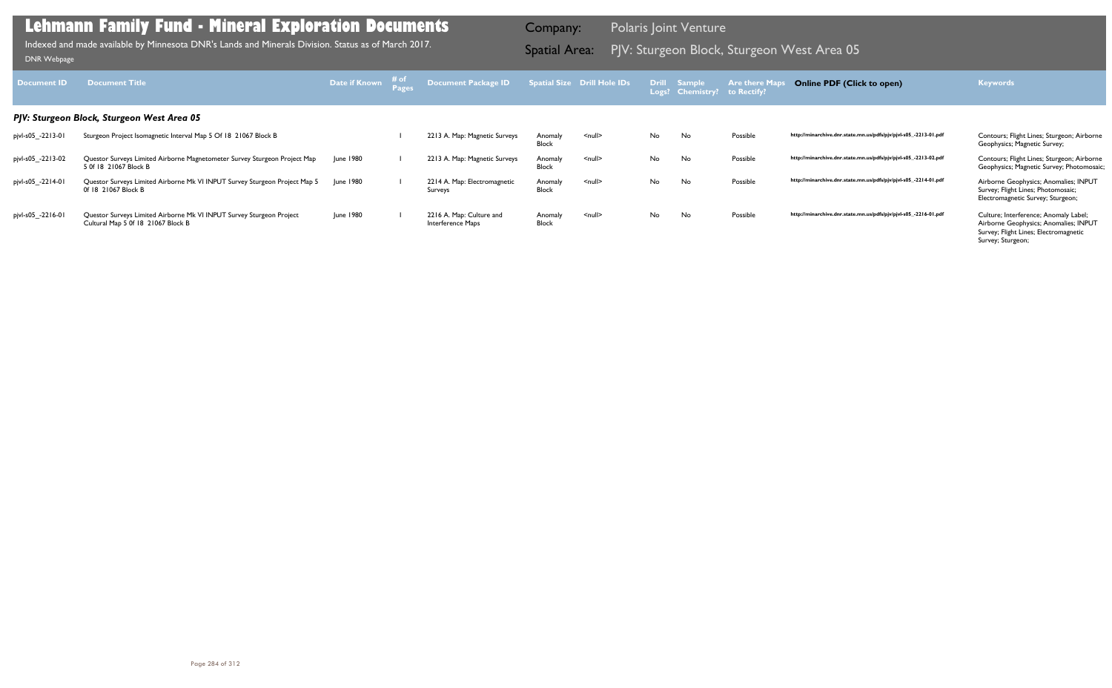| Document ID       | <b>Document Title</b>                                                                                      | Date if Known | ⊤# of | Document Package ID                           |                         | <b>Spatial Size Drill Hole IDs</b> |           | <b>Drill Sample</b><br>Logs? Chemistry? | <b>Are there Map</b><br>to Rectify? | <b>Online PDF (Click to open)</b>                                | <b>Keywords</b>                                                                                                                              |
|-------------------|------------------------------------------------------------------------------------------------------------|---------------|-------|-----------------------------------------------|-------------------------|------------------------------------|-----------|-----------------------------------------|-------------------------------------|------------------------------------------------------------------|----------------------------------------------------------------------------------------------------------------------------------------------|
|                   | PJV: Sturgeon Block, Sturgeon West Area 05                                                                 |               |       |                                               |                         |                                    |           |                                         |                                     |                                                                  |                                                                                                                                              |
| pjvl-s05_-2213-01 | Sturgeon Project Isomagnetic Interval Map 5 Of 18 21067 Block B                                            |               |       | 2213 A. Map: Magnetic Surveys                 | Anomaly<br>Block        | $\leq$ null $\geq$                 | No.       | No                                      | Possible                            | http://minarchive.dnr.state.mn.us/pdfs/pjv/pjvl-s05_-2213-01.pdf | Contours; Flight Lines; Sturgeon; Airborne<br>Geophysics; Magnetic Survey;                                                                   |
| pjvl-s05_-2213-02 | Questor Surveys Limited Airborne Magnetometer Survey Sturgeon Project Map<br>5 Of 18 21067 Block B         | June 1980     |       | 2213 A. Map: Magnetic Surveys                 | Anomaly<br>Block        | $\leq$ null $\geq$                 | <b>No</b> | No                                      | Possible                            | http://minarchive.dnr.state.mn.us/pdfs/pjv/pjvl-s05_-2213-02.pdf | Contours; Flight Lines; Sturgeon; Airborne<br>Geophysics; Magnetic Survey; Photomosaic;                                                      |
| pjvl-s05_-2214-01 | Questor Surveys Limited Airborne Mk VI INPUT Survey Sturgeon Project Map 5<br>0f 18 21067 Block B          | June 1980     |       | 2214 A. Map: Electromagnetic<br>Surveys       | Anomaly<br><b>Block</b> | $null$                             | No.       | No                                      | Possible                            | http://minarchive.dnr.state.mn.us/pdfs/pjv/pjvl-s05_-2214-01.pdf | Airborne Geophysics; Anomalies; INPUT<br>Survey; Flight Lines; Photomosaic;<br>Electromagnetic Survey; Sturgeon;                             |
| pjvl-s05_-2216-01 | Questor Surveys Limited Airborne Mk VI INPUT Survey Sturgeon Project<br>Cultural Map 5 0f 18 21067 Block B | June 1980     |       | 2216 A. Map: Culture and<br>Interference Maps | Anomaly<br>Block        | $\leq$ null $\geq$                 | No.       | No                                      | Possible                            | http://minarchive.dnr.state.mn.us/pdfs/pjv/pjvl-s05_-2216-01.pdf | Culture; Interference; Anomaly Label;<br>Airborne Geophysics; Anomalies; INPUT<br>Survey; Flight Lines; Electromagnetic<br>Survey; Sturgeon; |

PJV: Sturgeon Block, Sturgeon West Area 05 Indexed and made available by Minnesota DNR's Lands and Minerals Division. Status as of March 2017. Spatial Area: [DNR Webpage](http://www.dnr.state.mn.us/lands_minerals/polaris/index.html)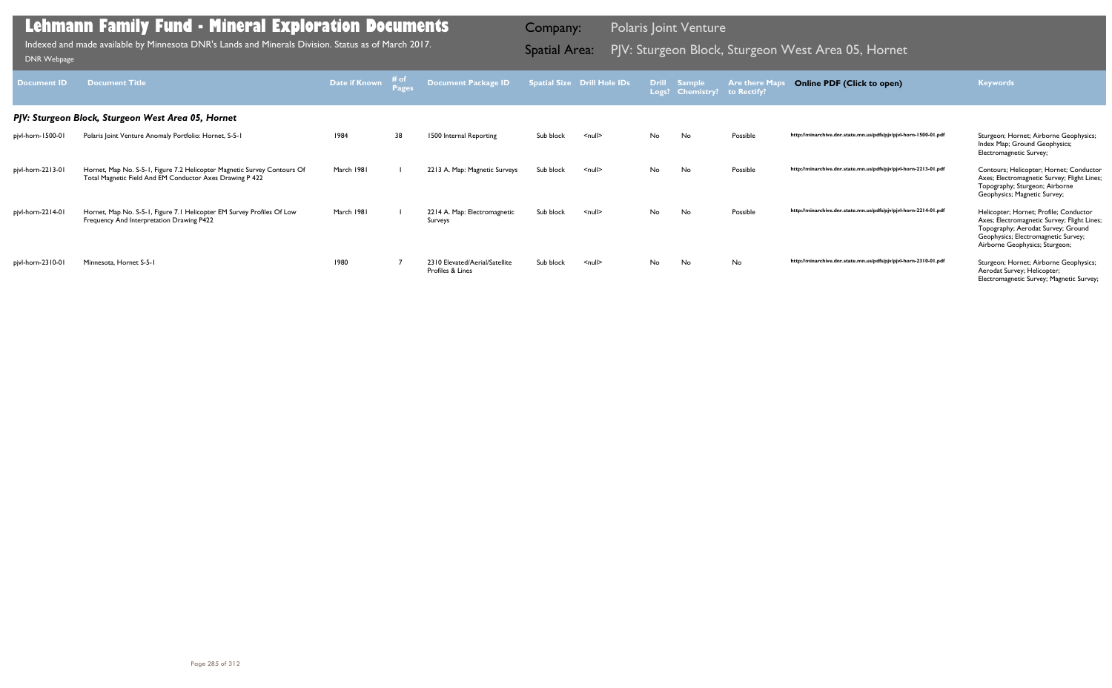| Document ID       | <b>Document Title</b>                                                                                                                | Date if Known | # of | <b>Document Package ID</b>                         |           | <b>Spatial Size Drill Hole IDs</b> |           | <b>Drill Sample</b><br>Logs? Chemistry? to Rectify? | <b>Are there Map</b> | <b>Online PDF (Click to open)</b>                                | <b>Keywords</b>                                                                                                                                                                                      |
|-------------------|--------------------------------------------------------------------------------------------------------------------------------------|---------------|------|----------------------------------------------------|-----------|------------------------------------|-----------|-----------------------------------------------------|----------------------|------------------------------------------------------------------|------------------------------------------------------------------------------------------------------------------------------------------------------------------------------------------------------|
|                   | PJV: Sturgeon Block, Sturgeon West Area 05, Hornet                                                                                   |               |      |                                                    |           |                                    |           |                                                     |                      |                                                                  |                                                                                                                                                                                                      |
| pjvl-horn-1500-01 | Polaris Joint Venture Anomaly Portfolio: Hornet, S-5-1                                                                               | 1984          | 38   | 1500 Internal Reporting                            | Sub block | $null$                             | <b>No</b> | No.                                                 | Possible             | http://minarchive.dnr.state.mn.us/pdfs/pjv/pjvl-horn-1500-01.pdf | Sturgeon; Hornet; Airborne Geophysics;<br>Index Map; Ground Geophysics;<br>Electromagnetic Survey;                                                                                                   |
| pjvl-horn-2213-01 | Hornet, Map No. S-5-1, Figure 7.2 Helicopter Magnetic Survey Contours Of<br>Total Magnetic Field And EM Conductor Axes Drawing P 422 | March 1981    |      | 2213 A. Map: Magnetic Surveys                      | Sub block | $\leq$ null $\geq$                 | No.       | No                                                  | Possible             | http://minarchive.dnr.state.mn.us/pdfs/pjv/pjvl-horn-2213-01.pdf | Contours; Helicopter; Hornet; Conductor<br>Axes; Electromagnetic Survey; Flight Lines;<br>Topography; Sturgeon; Airborne<br>Geophysics; Magnetic Survey;                                             |
| pjvl-horn-2214-01 | Hornet, Map No. S-5-1, Figure 7.1 Helicopter EM Survey Profiles Of Low<br>Frequency And Interpretation Drawing P422                  | March 1981    |      | 2214 A. Map: Electromagnetic<br>Surveys            | Sub block | $null$                             | No        | No                                                  | Possible             | http://minarchive.dnr.state.mn.us/pdfs/pjv/pjvl-horn-2214-01.pdf | Helicopter; Hornet; Profile; Conductor<br>Axes; Electromagnetic Survey; Flight Lines;<br>Topography; Aerodat Survey; Ground<br>Geophysics; Electromagnetic Survey;<br>Airborne Geophysics; Sturgeon; |
| pjvl-horn-2310-01 | Minnesota, Hornet S-5-1                                                                                                              | 1980          |      | 2310 Elevated/Aerial/Satellite<br>Profiles & Lines | Sub block | $\leq$ null $\geq$                 | No.       | No                                                  | No                   | http://minarchive.dnr.state.mn.us/pdfs/pjv/pjvl-horn-2310-01.pdf | Sturgeon; Hornet; Airborne Geophysics;<br>Aerodat Survey; Helicopter;<br>Electromagnetic Survey; Magnetic Survey;                                                                                    |

Indexed and made available by Minnesota DNR's Lands and Minerals Division. Status as of March 2017. **Spatial Area:** PJV: Sturgeon Block, Sturgeon West Area 05, Hornet DNR Webpage Indexed and made available by Minnesota DNR's Lands and Minerals Division. Status as of March 2017.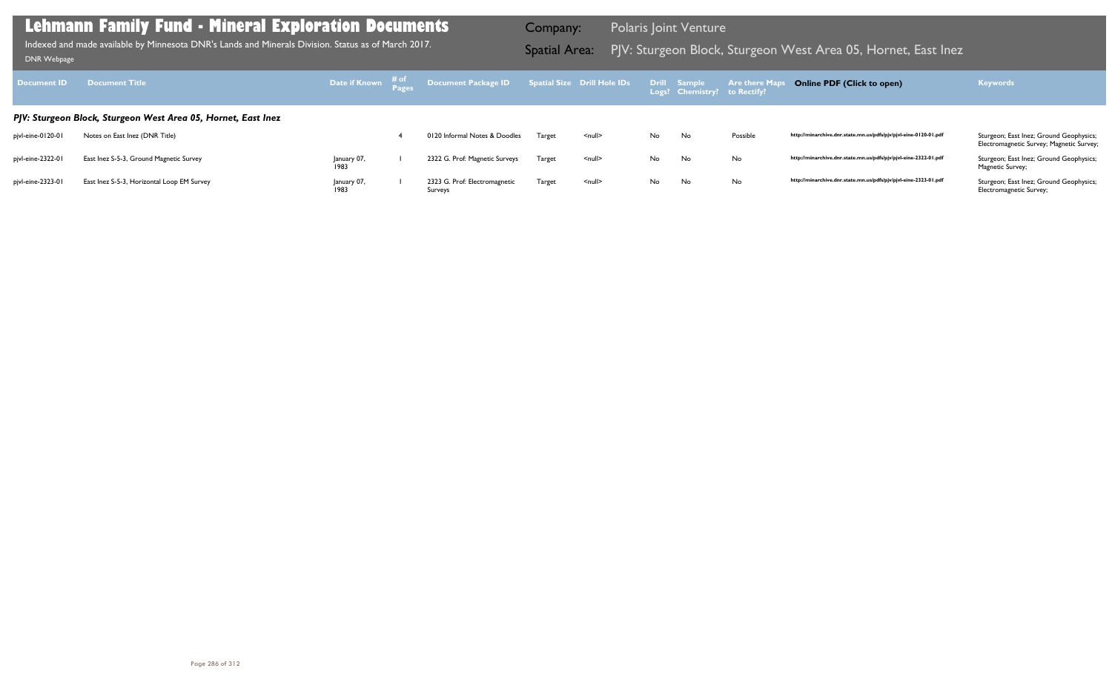Electromagnetic Survey; Magnetic Survey;

| <b>Document ID</b> | <b>Document Title</b>                                         | Date if Known       | # of<br><b>Pages</b> | Document Package ID                      |        | <b>Spatial Size Drill Hole IDs</b> |           | <b>Drill Sample</b><br>Logs? Chemistry? to Rectify? | <b>Are there Maps</b> |
|--------------------|---------------------------------------------------------------|---------------------|----------------------|------------------------------------------|--------|------------------------------------|-----------|-----------------------------------------------------|-----------------------|
|                    | PJV: Sturgeon Block, Sturgeon West Area 05, Hornet, East Inez |                     |                      |                                          |        |                                    |           |                                                     |                       |
| pjvl-eine-0120-01  | Notes on East Inez (DNR Title)                                |                     |                      | 0120 Informal Notes & Doodles            | Target | $\leq$ null $\geq$                 | <b>No</b> | No                                                  | Possible              |
| pjvl-eine-2322-01  | East Inez S-5-3, Ground Magnetic Survey                       | January 07,<br>1983 |                      | 2322 G. Prof: Magnetic Surveys           | Target | $null$                             | <b>No</b> | No                                                  | No                    |
| pjvl-eine-2323-01  | East Inez S-5-3, Horizontal Loop EM Survey                    | January 07,<br>1983 |                      | 2323 G. Prof: Electromagnetic<br>Surveys | Target | $null$                             | No        | No                                                  | No                    |

Magnetic Survey;

Electromagnetic Survey;

## **Lehmann Family Fund - Mineral Exploration Documents**

Indexed and made available by Minnesota DNR's Lands and Minerals Division. Status as of March 2017. Spatial Area: PJV: Sturgeon Block, Sturgeon West Area 05, Hornet, East Inez DNR Webpage Indexed and made available by Minnesota DNR's Lands and Minerals Division. Status as of March 2017.

Company: Polaris Joint Venture

## **Online PDF (Click to open) Keywords**

http://minarchive.dnr.state.mn.us/pdfs/pjv/pjvl-eine-0120-01.pdf Sturgeon; East Inez; Ground Geophysics;

http://minarchive.dnr.state.mn.us/pdfs/pjv/pjvl-eine-2322-01.pdf Sturgeon; East Inez; Ground Geophysics;

http://minarchive.dnr.state.mn.us/pdfs/pjv/pjvl-eine-2323-01.pdf Sturgeon; East Inez; Ground Geophysics;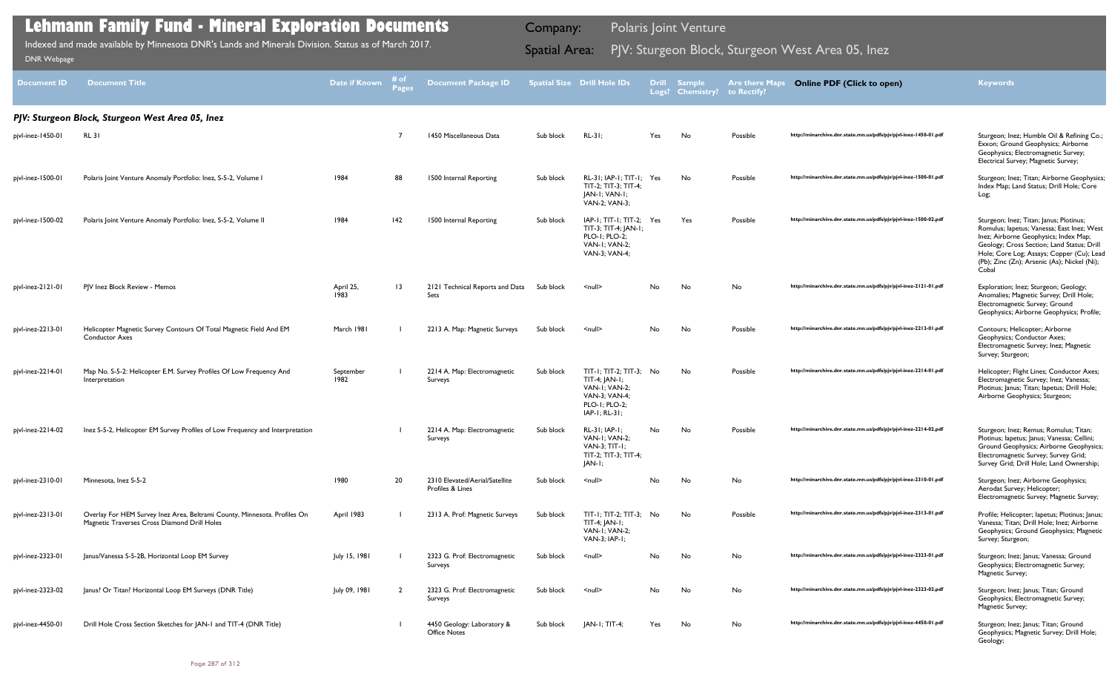| Document ID       | <b>Document Title</b>                                                                                                     | Date if Known     | Pages           | <b>Document Package ID</b>                         |           | <b>Spatial Size Drill Hole IDs</b>                                                                                       |     | Drill Sample<br>Logs? Chemistry? | <b>Are there Maps</b><br>to Rectify? | <b>Online PDF (Click to open)</b>                                | <b>Keywords</b>                                                                                                                                                                                                                                                                   |
|-------------------|---------------------------------------------------------------------------------------------------------------------------|-------------------|-----------------|----------------------------------------------------|-----------|--------------------------------------------------------------------------------------------------------------------------|-----|----------------------------------|--------------------------------------|------------------------------------------------------------------|-----------------------------------------------------------------------------------------------------------------------------------------------------------------------------------------------------------------------------------------------------------------------------------|
|                   | PJV: Sturgeon Block, Sturgeon West Area 05, Inez                                                                          |                   |                 |                                                    |           |                                                                                                                          |     |                                  |                                      |                                                                  |                                                                                                                                                                                                                                                                                   |
| pjvl-inez-1450-01 | <b>RL31</b>                                                                                                               |                   |                 | 1450 Miscellaneous Data                            | Sub block | $RL-31;$                                                                                                                 | Yes | No                               | Possible                             | http://minarchive.dnr.state.mn.us/pdfs/pjv/pjvl-inez-1450-01.pdf | Sturgeon; Inez; Humble Oil & Refining Co.;<br>Exxon; Ground Geophysics; Airborne<br>Geophysics; Electromagnetic Survey;<br>Electrical Survey; Magnetic Survey;                                                                                                                    |
| pjvl-inez-1500-01 | Polaris Joint Venture Anomaly Portfolio: Inez, S-5-2, Volume I                                                            | 1984              | 88              | 1500 Internal Reporting                            | Sub block | RL-31; IAP-1; TIT-1; Yes<br>TIT-2; TIT-3; TIT-4;<br>JAN-I; VAN-I;<br>VAN-2; VAN-3;                                       |     | No                               | Possible                             | http://minarchive.dnr.state.mn.us/pdfs/pjv/pjvl-inez-1500-01.pdf | Sturgeon; Inez; Titan; Airborne Geophysics;<br>Index Map; Land Status; Drill Hole; Core<br>Log;                                                                                                                                                                                   |
| pjvl-inez-1500-02 | Polaris Joint Venture Anomaly Portfolio: Inez, S-5-2, Volume II                                                           | 1984              | 142             | 1500 Internal Reporting                            | Sub block | $IAP-I$ ; TIT-I; TIT-2; Yes<br>TIT-3; TIT-4; JAN-1;<br>PLO-1; PLO-2;<br>VAN-I: VAN-2:<br>VAN-3; VAN-4;                   |     | Yes                              | Possible                             | http://minarchive.dnr.state.mn.us/pdfs/pjv/pjvl-inez-1500-02.pdf | Sturgeon; Inez; Titan; Janus; Plotinus;<br>Romulus; lapetus; Vanessa; East Inez; West<br>Inez; Airborne Geophysics; Index Map;<br>Geology; Cross Section; Land Status; Drill<br>Hole; Core Log; Assays; Copper (Cu); Lead<br>(Pb); Zinc (Zn); Arsenic (As); Nickel (Ni);<br>Cobal |
| pjvl-inez-2121-01 | PJV Inez Block Review - Memos                                                                                             | April 25,<br>1983 | $\overline{13}$ | 2121 Technical Reports and Data<br>Sets            | Sub block | $\leq$ null $\geq$                                                                                                       | No  | No                               | No                                   | http://minarchive.dnr.state.mn.us/pdfs/pjv/pjvl-inez-2121-01.pdf | Exploration; Inez; Sturgeon; Geology;<br>Anomalies; Magnetic Survey; Drill Hole;<br>Electromagnetic Survey; Ground<br>Geophysics; Airborne Geophysics; Profile;                                                                                                                   |
| pjvl-inez-2213-01 | Helicopter Magnetic Survey Contours Of Total Magnetic Field And EM<br><b>Conductor Axes</b>                               | March 1981        |                 | 2213 A. Map: Magnetic Surveys                      | Sub block | $\le$ null $\ge$                                                                                                         | No  | No                               | Possible                             | http://minarchive.dnr.state.mn.us/pdfs/pjv/pjvl-inez-2213-01.pdf | Contours; Helicopter; Airborne<br>Geophysics; Conductor Axes;<br>Electromagnetic Survey; Inez; Magnetic<br>Survey; Sturgeon;                                                                                                                                                      |
| pjvl-inez-2214-01 | Map No. S-5-2: Helicopter E.M. Survey Profiles Of Low Frequency And<br>Interpretation                                     | September<br>1982 |                 | 2214 A. Map: Electromagnetic<br>Surveys            | Sub block | $TIT-I$ ; $TIT-2$ ; $TIT-3$ ; No<br>TIT-4; JAN-1;<br>VAN-I: VAN-2:<br>VAN-3: VAN-4:<br>PLO-1; PLO-2;<br>$IAP-I$ ; RL-31; |     | No.                              | Possible                             | http://minarchive.dnr.state.mn.us/pdfs/pjv/pjvl-inez-2214-01.pdf | Helicopter; Flight Lines; Conductor Axes;<br>Electromagnetic Survey; Inez; Vanessa;<br>Plotinus; Janus; Titan; Iapetus; Drill Hole;<br>Airborne Geophysics; Sturgeon;                                                                                                             |
| pjvl-inez-2214-02 | Inez S-5-2, Helicopter EM Survey Profiles of Low Frequency and Interpretation                                             |                   |                 | 2214 A. Map: Electromagnetic<br>Surveys            | Sub block | $RL-31$ ; $IAP-1$ ;<br><b>VAN-I: VAN-2:</b><br>VAN-3; TIT-1;<br>TIT-2; TIT-3; TIT-4;<br>JAN-I;                           | No. | No                               | Possible                             | http://minarchive.dnr.state.mn.us/pdfs/pjv/pjvl-inez-2214-02.pdf | Sturgeon; Inez; Remus; Romulus; Titan;<br>Plotinus; lapetus; Janus; Vanessa; Cellini;<br>Ground Geophysics; Airborne Geophysics;<br>Electromagnetic Survey; Survey Grid;<br>Survey Grid; Drill Hole; Land Ownership;                                                              |
| pjvl-inez-2310-01 | Minnesota, Inez S-5-2                                                                                                     | 1980              | 20              | 2310 Elevated/Aerial/Satellite<br>Profiles & Lines | Sub block | $\leq$ null $\geq$                                                                                                       | No. | No                               | No                                   | http://minarchive.dnr.state.mn.us/pdfs/pjv/pjvl-inez-2310-01.pdf | Sturgeon; Inez; Airborne Geophysics;<br>Aerodat Survey; Helicopter;<br>Electromagnetic Survey; Magnetic Survey;                                                                                                                                                                   |
| pjvl-inez-2313-01 | Overlay For HEM Survey Inez Area, Beltrami County, Minnesota. Profiles On<br>Magnetic Traverses Cross Diamond Drill Holes | April 1983        |                 | 2313 A. Prof: Magnetic Surveys                     | Sub block | TIT-1; TIT-2; TIT-3; No<br>TIT-4; JAN-1;<br>VAN-I: VAN-2:<br>VAN-3; IAP-1;                                               |     | No                               | Possible                             | http://minarchive.dnr.state.mn.us/pdfs/pjv/pjvl-inez-2313-01.pdf | Profile; Helicopter; lapetus; Plotinus; Janus;<br>Vanessa; Titan; Drill Hole; Inez; Airborne<br>Geophysics; Ground Geophysics; Magnetic<br>Survey; Sturgeon;                                                                                                                      |
| pjvl-inez-2323-01 | Janus/Vanessa S-5-2B, Horizontal Loop EM Survey                                                                           | July 15, 1981     |                 | 2323 G. Prof: Electromagnetic<br>Surveys           | Sub block | $\leq$ null $\geq$                                                                                                       | No  | No                               | No                                   | http://minarchive.dnr.state.mn.us/pdfs/pjv/pjvl-inez-2323-01.pdf | Sturgeon; Inez; Janus; Vanessa; Ground<br>Geophysics; Electromagnetic Survey;<br>Magnetic Survey;                                                                                                                                                                                 |
| pjvl-inez-2323-02 | Janus? Or Titan? Horizontal Loop EM Surveys (DNR Title)                                                                   | July 09, 1981     |                 | 2323 G. Prof: Electromagnetic<br>Surveys           | Sub block | $\leq$ null $\geq$                                                                                                       | No  | No                               | No                                   | http://minarchive.dnr.state.mn.us/pdfs/pjv/pjvl-inez-2323-02.pdf | Sturgeon; Inez; Janus; Titan; Ground<br>Geophysics; Electromagnetic Survey;<br>Magnetic Survey;                                                                                                                                                                                   |
| pjvl-inez-4450-01 | Drill Hole Cross Section Sketches for JAN-1 and TIT-4 (DNR Title)                                                         |                   |                 | 4450 Geology: Laboratory &<br><b>Office Notes</b>  | Sub block | $ AN-1; TIT-4;$                                                                                                          | Yes | No                               | No                                   | http://minarchive.dnr.state.mn.us/pdfs/pjv/pjvl-inez-4450-01.pdf | Sturgeon; Inez; Janus; Titan; Ground<br>Geophysics; Magnetic Survey; Drill Hole;<br>Geology;                                                                                                                                                                                      |

Indexed and made available by Minnesota DNR's Lands and Minerals Division. Status as of March 2017. **Spatial Area:** PJV: Sturgeon Block, Sturgeon West Area 05, Inez DNR Webpage Indexed and made available by Minnesota DNR's Lands and Minerals Division. Status as of March 2017.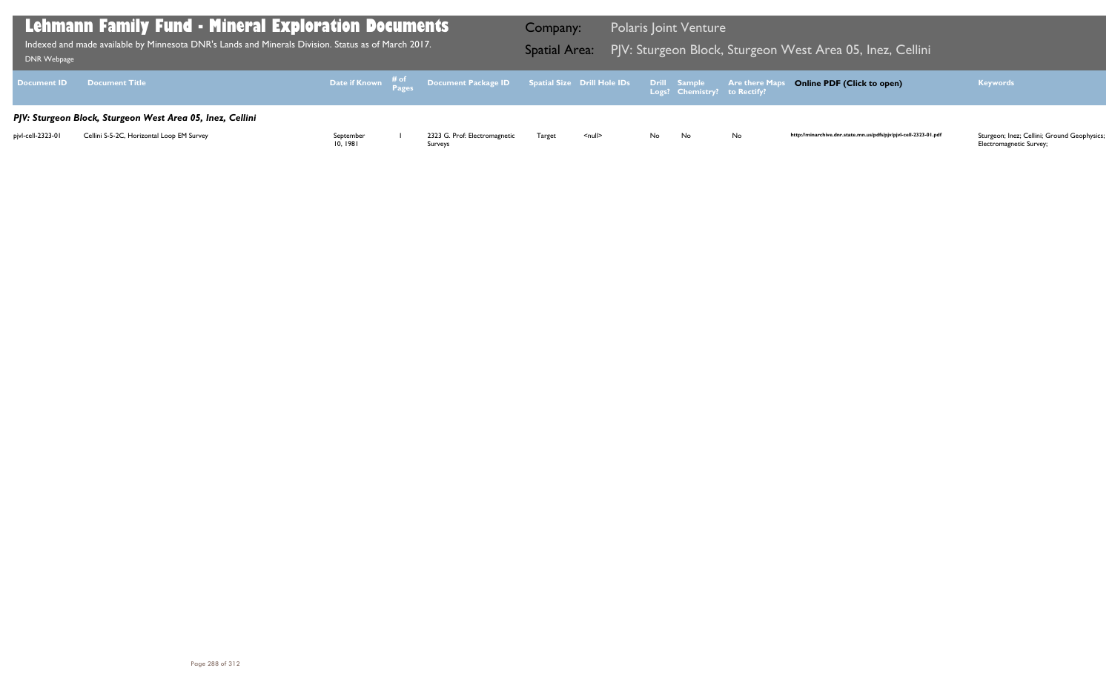| Lehmann Family Fund - Mineral Exploration Documents<br>Indexed and made available by Minnesota DNR's Lands and Minerals Division. Status as of March 2017.<br>DNR Webpage |                                           |                      |  |                                                                                                | Company:<br><b>Spatial Area:</b> |                    | <b>Polaris Joint Venture</b><br>PJV: Sturgeon Block, Sturgeon West Area 05, Inez, Cellini |    |     |                                                                  |                                                                        |
|---------------------------------------------------------------------------------------------------------------------------------------------------------------------------|-------------------------------------------|----------------------|--|------------------------------------------------------------------------------------------------|----------------------------------|--------------------|-------------------------------------------------------------------------------------------|----|-----|------------------------------------------------------------------|------------------------------------------------------------------------|
| <b>Document ID</b>                                                                                                                                                        | <b>Document Title</b>                     |                      |  | Date if Known # of Document Package ID Spatial Size Drill Hole IDs Drill Sample Are there Maps |                                  |                    |                                                                                           |    |     | <b>Online PDF (Click to open)</b>                                | <b>Keywords</b>                                                        |
| PJV: Sturgeon Block, Sturgeon West Area 05, Inez, Cellini                                                                                                                 |                                           |                      |  |                                                                                                |                                  |                    |                                                                                           |    |     |                                                                  |                                                                        |
| pjvl-cell-2323-01                                                                                                                                                         | Cellini S-5-2C, Horizontal Loop EM Survey | September<br>10.1981 |  | 2323 G. Prof: Electromagnetic<br>Surveys                                                       | Target                           | $\leq$ null $\geq$ | No l                                                                                      | No | No. | http://minarchive.dnr.state.mn.us/pdfs/pjv/pjvl-cell-2323-01.pdf | Sturgeon; Inez; Cellini; Ground Geophysics;<br>Electromagnetic Survey; |

## ا West Area 05, Inez, Cellini I

## **Online PDF (Click to open) Keywords**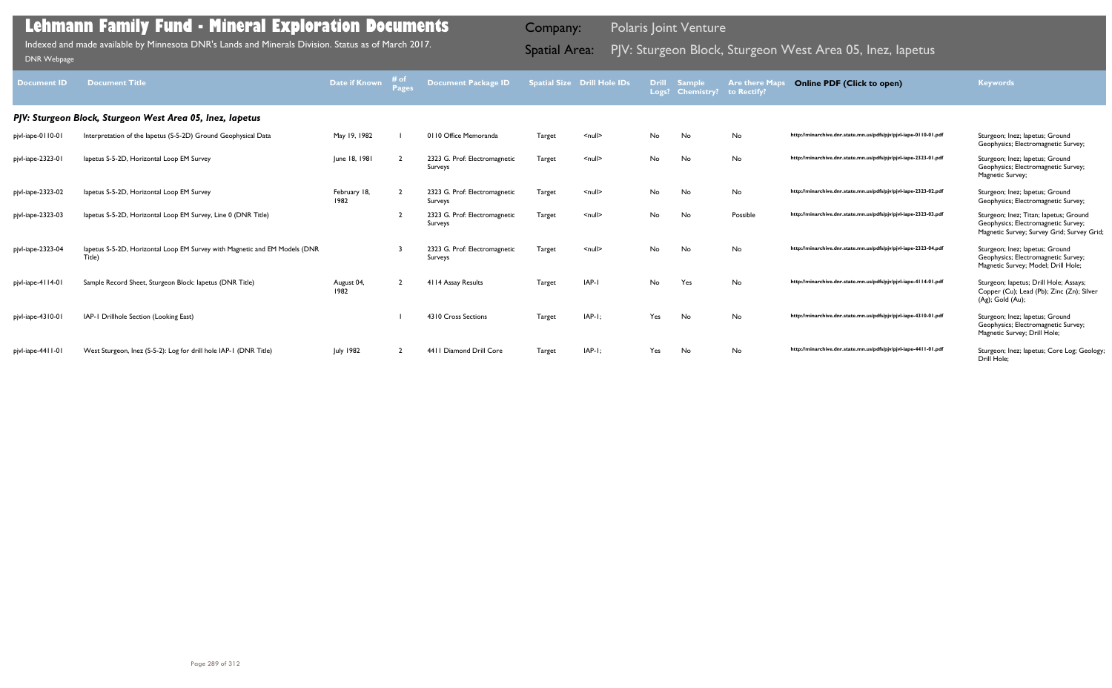| <b>Document ID</b> | <b>Document Title</b>                                                                | Date if Known        | # of<br><b>Pages</b> | <b>Document Package ID</b>               |        | <b>Spatial Size Drill Hole IDs</b> | <b>Drill</b><br>Logs? | <b>Sample</b><br><b>Chemistry?</b> | <b>Are there Maps</b><br>to Rectify? | <b>Online PDF (Click to open)</b>                                | <b>Keywords</b>                                                                                                             |
|--------------------|--------------------------------------------------------------------------------------|----------------------|----------------------|------------------------------------------|--------|------------------------------------|-----------------------|------------------------------------|--------------------------------------|------------------------------------------------------------------|-----------------------------------------------------------------------------------------------------------------------------|
|                    | PJV: Sturgeon Block, Sturgeon West Area 05, Inez, lapetus                            |                      |                      |                                          |        |                                    |                       |                                    |                                      |                                                                  |                                                                                                                             |
| pjvl-iape-0110-01  | Interpretation of the lapetus (S-5-2D) Ground Geophysical Data                       | May 19, 1982         |                      | 0110 Office Memoranda                    | Target | $\leq$ null $\geq$                 | No                    | No                                 | No                                   | http://minarchive.dnr.state.mn.us/pdfs/pjv/pjvl-iape-0110-01.pdf | Sturgeon; Inez; Iapetus; Ground<br>Geophysics; Electromagnetic Survey;                                                      |
| pjvl-iape-2323-01  | lapetus S-5-2D, Horizontal Loop EM Survey                                            | June 18, 1981        |                      | 2323 G. Prof: Electromagnetic<br>Surveys | Target | $\leq$ null $\geq$                 | No                    | No                                 | No                                   | http://minarchive.dnr.state.mn.us/pdfs/pjv/pjvl-iape-2323-01.pdf | Sturgeon; Inez; Iapetus; Ground<br>Geophysics; Electromagnetic Survey;<br>Magnetic Survey;                                  |
| pjvl-iape-2323-02  | lapetus S-5-2D, Horizontal Loop EM Survey                                            | February 18,<br>1982 |                      | 2323 G. Prof: Electromagnetic<br>Surveys | Target | $\leq$ null $\geq$                 | No                    | No                                 | No                                   | http://minarchive.dnr.state.mn.us/pdfs/pjv/pjvl-iape-2323-02.pdf | Sturgeon; Inez; lapetus; Ground<br>Geophysics; Electromagnetic Survey;                                                      |
| pjvl-iape-2323-03  | lapetus S-5-2D, Horizontal Loop EM Survey, Line 0 (DNR Title)                        |                      |                      | 2323 G. Prof: Electromagnetic<br>Surveys | Target | $\leq$ null $\geq$                 | No                    | No                                 | Possible                             | http://minarchive.dnr.state.mn.us/pdfs/pjv/pjvl-iape-2323-03.pdf | Sturgeon; Inez; Titan; lapetus; Ground<br>Geophysics; Electromagnetic Survey;<br>Magnetic Survey; Survey Grid; Survey Grid; |
| pjvl-iape-2323-04  | lapetus S-5-2D, Horizontal Loop EM Survey with Magnetic and EM Models (DNR<br>Title) |                      |                      | 2323 G. Prof: Electromagnetic<br>Surveys | Target | $\leq$ null $\geq$                 | No                    | No                                 | No                                   | http://minarchive.dnr.state.mn.us/pdfs/pjv/pjvl-iape-2323-04.pdf | Sturgeon; Inez; Iapetus; Ground<br>Geophysics; Electromagnetic Survey;<br>Magnetic Survey; Model; Drill Hole;               |
| pjvl-iape-4114-01  | Sample Record Sheet, Sturgeon Block: lapetus (DNR Title)                             | August 04,<br>1982   |                      | 4114 Assay Results                       | Target | IAP-I                              | No.                   | Yes                                | No                                   | http://minarchive.dnr.state.mn.us/pdfs/pjv/pjvl-iape-4114-01.pdf | Sturgeon; lapetus; Drill Hole; Assays;<br>Copper (Cu); Lead (Pb); Zinc (Zn); Silver<br>$(Ag)$ ; Gold $(Au)$ ;               |
| pjvl-iape-4310-01  | IAP-1 Drillhole Section (Looking East)                                               |                      |                      | 4310 Cross Sections                      | Target | $IAP-I:$                           | Yes                   | No                                 | No                                   | http://minarchive.dnr.state.mn.us/pdfs/pjv/pjvl-iape-4310-01.pdf | Sturgeon; Inez; lapetus; Ground<br>Geophysics; Electromagnetic Survey;<br>Magnetic Survey; Drill Hole;                      |
| pjvl-iape-4411-01  | West Sturgeon, Inez (S-5-2): Log for drill hole IAP-1 (DNR Title)                    | <b>July 1982</b>     |                      | 4411 Diamond Drill Core                  | Target | $IAP-I:$                           | Yes                   | No                                 | No                                   | http://minarchive.dnr.state.mn.us/pdfs/pjv/pjvl-iape-4411-01.pdf | Sturgeon; Inez; lapetus; Core Log; Geology;<br>Drill Hole:                                                                  |

Indexed and made available by Minnesota DNR's Lands and Minerals Division. Status as of March 2017.

Company: Polaris Joint Venture

# Indexed and made available by Minnesota DNR's Lands and Minerals Division. Status as of March 2017. **Spatial Area:** PJV: Sturgeon Block, Sturgeon West Area 05, Inez, Iapetus וndexed and made available by Minnesota DNR's La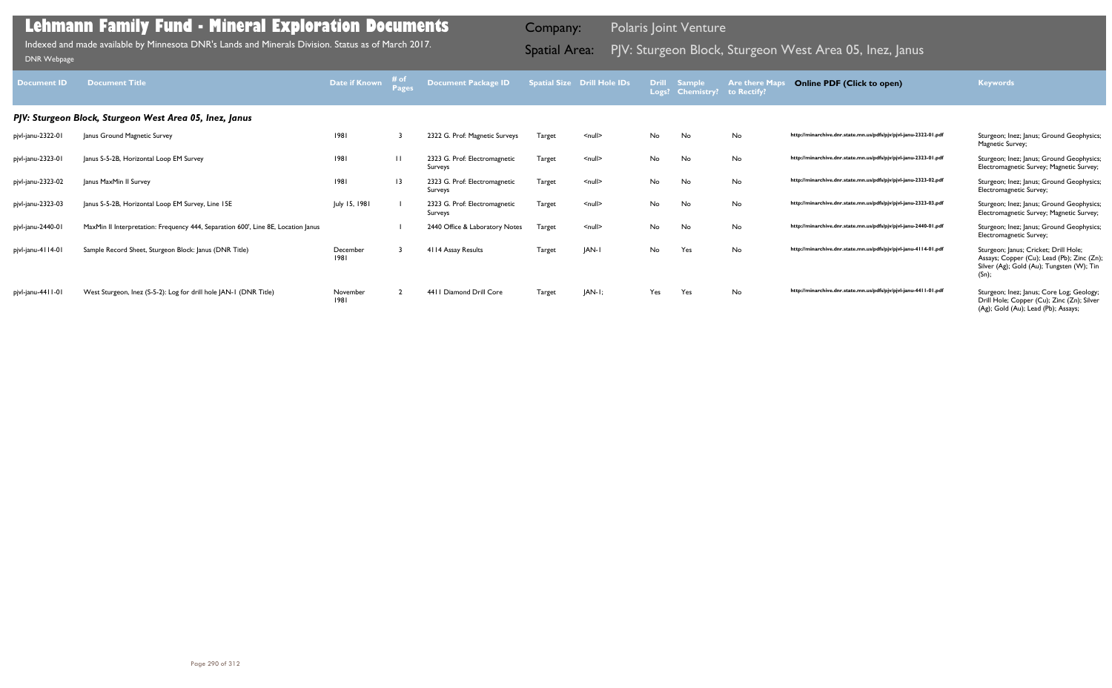|        | atial Size Drill Hole IDs | <b>Drill</b><br>Logs? | <b>Sample</b><br><b>Chemistry?</b> | <b>Are there Maps</b><br>to Rectify? | <b>Online PDF (Click to open)</b>                                | Keywords                                                                                                                                  |
|--------|---------------------------|-----------------------|------------------------------------|--------------------------------------|------------------------------------------------------------------|-------------------------------------------------------------------------------------------------------------------------------------------|
|        |                           |                       |                                    |                                      |                                                                  |                                                                                                                                           |
| Target | $null$                    | No                    | <b>No</b>                          | No                                   | http://minarchive.dnr.state.mn.us/pdfs/pjv/pjvl-janu-2322-01.pdf | Sturgeon; Inez; Janus; Ground Geophysics;<br>Magnetic Survey;                                                                             |
| Target | $null$                    | No                    | No                                 | No                                   | http://minarchive.dnr.state.mn.us/pdfs/pjv/pjvl-janu-2323-01.pdf | Sturgeon; Inez; Janus; Ground Geophysics;<br>Electromagnetic Survey; Magnetic Survey;                                                     |
| Target | $null$                    | No                    | No                                 | No                                   | http://minarchive.dnr.state.mn.us/pdfs/pjv/pjvl-janu-2323-02.pdf | Sturgeon; Inez; Janus; Ground Geophysics;<br>Electromagnetic Survey;                                                                      |
| Target | $\leq$ null $\geq$        | No                    | No                                 | No                                   | http://minarchive.dnr.state.mn.us/pdfs/pjv/pjvl-janu-2323-03.pdf | Sturgeon; Inez; Janus; Ground Geophysics;<br>Electromagnetic Survey; Magnetic Survey;                                                     |
| Target | $\leq$ null $\geq$        | No                    | <b>No</b>                          | No                                   | http://minarchive.dnr.state.mn.us/pdfs/pjv/pjvl-janu-2440-01.pdf | Sturgeon; Inez; Janus; Ground Geophysics;<br>Electromagnetic Survey;                                                                      |
| Target | JAN-I                     | No                    | Yes                                | No                                   | http://minarchive.dnr.state.mn.us/pdfs/pjv/pjvl-janu-4114-01.pdf | Sturgeon; Janus; Cricket; Drill Hole;<br>Assays; Copper (Cu); Lead (Pb); Zinc (Zn);<br>Silver (Ag); Gold (Au); Tungsten (W); Tin<br>(Sn); |
| Target | $ AN-I;$                  | Yes                   | Yes                                | No                                   | http://minarchive.dnr.state.mn.us/pdfs/pjv/pjvl-janu-4411-01.pdf | Sturgeon; Inez; Janus; Core Log; Geology;<br>Drill Hole; Copper (Cu); Zinc (Zn); Silver<br>(Ag); Gold (Au); Lead (Pb); Assays;            |

| <b>Document ID</b> | <b>Document Title</b>                                                             | <b>Date if Known</b> | # <sub>o</sub><br>Pages | Document Package ID                      |               | <b>Spatial Size Drill Hole IDs</b> |     | Drill Sample<br>Logs? Chemistry? | <b>Are there Maps</b><br>to Rectify | <b>Online PDF (Click to open)</b>                                | <b>Keywords</b>                                                                                                                           |
|--------------------|-----------------------------------------------------------------------------------|----------------------|-------------------------|------------------------------------------|---------------|------------------------------------|-----|----------------------------------|-------------------------------------|------------------------------------------------------------------|-------------------------------------------------------------------------------------------------------------------------------------------|
|                    | PJV: Sturgeon Block, Sturgeon West Area 05, Inez, Janus                           |                      |                         |                                          |               |                                    |     |                                  |                                     |                                                                  |                                                                                                                                           |
| pjvl-janu-2322-01  | Janus Ground Magnetic Survey                                                      | 1981                 |                         | 2322 G. Prof: Magnetic Surveys           | Target        | $\leq$ null $\geq$                 | No  | No                               | No                                  | http://minarchive.dnr.state.mn.us/pdfs/pjv/pjvl-janu-2322-01.pdf | Sturgeon; Inez; Janus; Ground Geophysics;<br>Magnetic Survey;                                                                             |
| pjvl-janu-2323-01  | Janus S-5-2B, Horizontal Loop EM Survey                                           | 1981                 | $\mathbf{H}$            | 2323 G. Prof: Electromagnetic<br>Surveys | Target        | $\leq$ null $\geq$                 | No  | No                               | No                                  | http://minarchive.dnr.state.mn.us/pdfs/pjv/pjvl-janu-2323-01.pdf | Sturgeon; Inez; Janus; Ground Geophysics;<br>Electromagnetic Survey; Magnetic Survey;                                                     |
| pjvl-janu-2323-02  | Janus MaxMin II Survey                                                            | 1981                 | $\overline{13}$         | 2323 G. Prof: Electromagnetic<br>Surveys | Target        | $\leq$ null $\geq$                 | No  | No                               | No                                  | http://minarchive.dnr.state.mn.us/pdfs/pjv/pjvl-janu-2323-02.pdf | Sturgeon; Inez; Janus; Ground Geophysics;<br>Electromagnetic Survey;                                                                      |
| pjvl-janu-2323-03  | Janus S-5-2B, Horizontal Loop EM Survey, Line 15E                                 | July 15, 1981        |                         | 2323 G. Prof: Electromagnetic<br>Surveys | Target        | $\leq$ null $\geq$                 | No  | No                               | <b>No</b>                           | http://minarchive.dnr.state.mn.us/pdfs/pjv/pjvl-janu-2323-03.pdf | Sturgeon; Inez; Janus; Ground Geophysics;<br>Electromagnetic Survey; Magnetic Survey;                                                     |
| pjvl-janu-2440-01  | MaxMin II Interpretation: Frequency 444, Separation 600', Line 8E, Location Janus |                      |                         | 2440 Office & Laboratory Notes           | Target        | $\leq$ null $\geq$                 | No  | No                               | No                                  | http://minarchive.dnr.state.mn.us/pdfs/pjv/pjvl-janu-2440-01.pdf | Sturgeon; Inez; Janus; Ground Geophysics;<br>Electromagnetic Survey;                                                                      |
| pjvl-janu-4114-01  | Sample Record Sheet, Sturgeon Block: Janus (DNR Title)                            | December<br>1981     |                         | 4114 Assay Results                       | <b>Target</b> | <b>JAN-I</b>                       | No  | Yes                              | No                                  | http://minarchive.dnr.state.mn.us/pdfs/pjv/pjvl-janu-4114-01.pdf | Sturgeon; Janus; Cricket; Drill Hole;<br>Assays; Copper (Cu); Lead (Pb); Zinc (Zn);<br>Silver (Ag); Gold (Au); Tungsten (W); Tin<br>(Sn); |
| pjvl-janu-4411-01  | West Sturgeon, Inez (S-5-2): Log for drill hole JAN-1 (DNR Title)                 | November<br>1981     |                         | 4411 Diamond Drill Core                  | <b>Target</b> | $ AN-I $                           | Yes | Yes                              | <b>No</b>                           | http://minarchive.dnr.state.mn.us/pdfs/pjv/pjvl-janu-4411-01.pdf | Sturgeon; Inez; Janus; Core Log; Geology;<br>Drill Hole; Copper (Cu); Zinc (Zn); Silver                                                   |

Indexed and made available by Minnesota DNR's Lands and Minerals Division. Status as of March 2017. **Spatial Area:** PJV: Sturgeon Block, Sturgeon West Area 05, Inez, Janus DNR Webpage Indexed and made available by Minnesota DNR's Lands and Minerals Division. Status as of March 2017.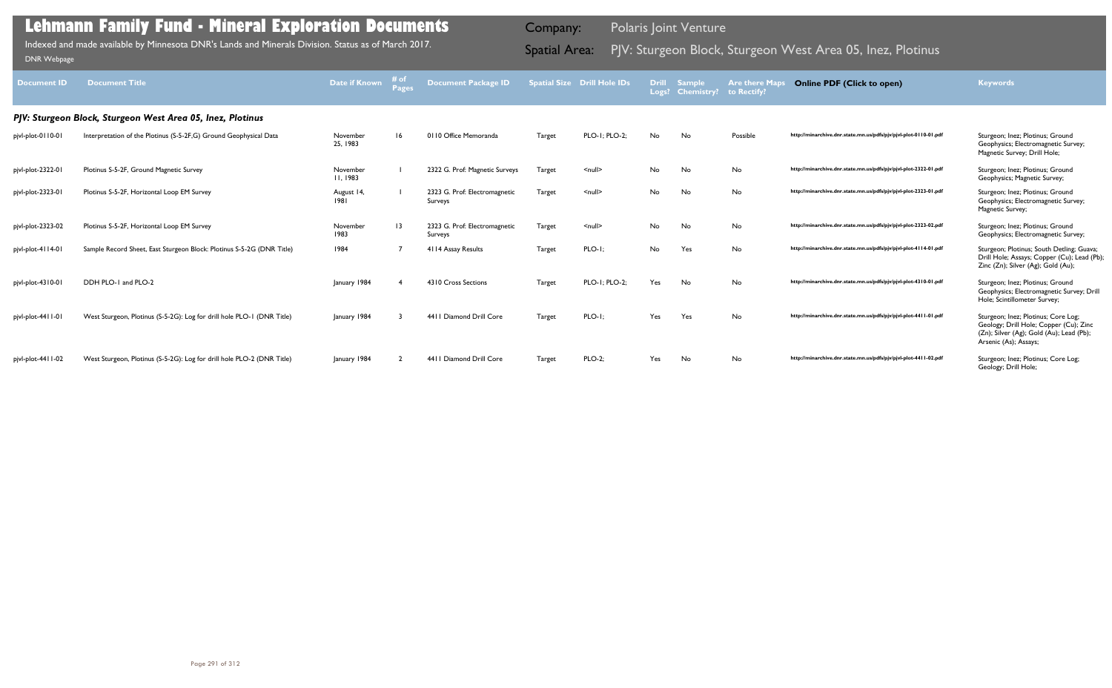| <b>Document ID</b> | <b>Document Title</b>                                                  | Date if Known               | Pages           | <b>Document Package ID</b>               |        | <b>Spatial Size Drill Hole IDs</b> | Drill | Sample<br>Logs? Chemistry? | <b>Are there Maps</b><br>to Rectify? | <b>Online PDF (Click to open)</b>                                | <b>Keywords</b>                                                                                                                                    |
|--------------------|------------------------------------------------------------------------|-----------------------------|-----------------|------------------------------------------|--------|------------------------------------|-------|----------------------------|--------------------------------------|------------------------------------------------------------------|----------------------------------------------------------------------------------------------------------------------------------------------------|
|                    | PJV: Sturgeon Block, Sturgeon West Area 05, Inez, Plotinus             |                             |                 |                                          |        |                                    |       |                            |                                      |                                                                  |                                                                                                                                                    |
| pjvl-plot-0110-01  | Interpretation of the Plotinus (S-5-2F, G) Ground Geophysical Data     | November<br>25, 1983        | 16              | 0110 Office Memoranda                    | Target | PLO-1; PLO-2;                      | No    | No                         | Possible                             | http://minarchive.dnr.state.mn.us/pdfs/pjv/pjvl-plot-0110-01.pdf | Sturgeon; Inez; Plotinus; Ground<br>Geophysics; Electromagnetic Survey;<br>Magnetic Survey; Drill Hole;                                            |
| pjvl-plot-2322-01  | Plotinus S-5-2F, Ground Magnetic Survey                                | November<br><b>II, 1983</b> |                 | 2322 G. Prof: Magnetic Surveys           | Target | $\leq$ null $\geq$                 | No    | No                         | No                                   | http://minarchive.dnr.state.mn.us/pdfs/pjv/pjvl-plot-2322-01.pdf | Sturgeon; Inez; Plotinus; Ground<br>Geophysics; Magnetic Survey;                                                                                   |
| pjvl-plot-2323-01  | Plotinus S-5-2F, Horizontal Loop EM Survey                             | August 14,<br>1981          |                 | 2323 G. Prof: Electromagnetic<br>Surveys | Target | $\leq$ null $\geq$                 | No    | No                         | No                                   | http://minarchive.dnr.state.mn.us/pdfs/pjv/pjvl-plot-2323-01.pdf | Sturgeon; Inez; Plotinus; Ground<br>Geophysics; Electromagnetic Survey;<br>Magnetic Survey;                                                        |
| pjvl-plot-2323-02  | Plotinus S-5-2F, Horizontal Loop EM Survey                             | November<br>1983            | $\overline{13}$ | 2323 G. Prof: Electromagnetic<br>Surveys | Target | $\leq$ null $\geq$                 | No    | No                         | No                                   | http://minarchive.dnr.state.mn.us/pdfs/pjv/pjvl-plot-2323-02.pdf | Sturgeon; Inez; Plotinus; Ground<br>Geophysics; Electromagnetic Survey;                                                                            |
| pjvl-plot-4114-01  | Sample Record Sheet, East Sturgeon Block: Plotinus S-5-2G (DNR Title)  | 1984                        |                 | 4114 Assay Results                       | Target | $PLO-I;$                           | No    | Yes                        | No                                   | http://minarchive.dnr.state.mn.us/pdfs/pjv/pjvl-plot-4114-01.pdf | Sturgeon; Plotinus; South Detling; Guava;<br>Drill Hole; Assays; Copper (Cu); Lead (Pb);<br>Zinc (Zn); Silver (Ag); Gold (Au);                     |
| pjvl-plot-4310-01  | DDH PLO-1 and PLO-2                                                    | January 1984                | -4              | 4310 Cross Sections                      | Target | PLO-1; PLO-2;                      | Yes   | No                         | No                                   | http://minarchive.dnr.state.mn.us/pdfs/pjv/pjvl-plot-4310-01.pdf | Sturgeon; Inez; Plotinus; Ground<br>Geophysics; Electromagnetic Survey; Drill<br>Hole; Scintillometer Survey;                                      |
| pjvl-plot-4411-01  | West Sturgeon, Plotinus (S-5-2G): Log for drill hole PLO-1 (DNR Title) | January 1984                |                 | 4411 Diamond Drill Core                  | Target | $PLO-I;$                           | Yes   | Yes                        | No                                   | http://minarchive.dnr.state.mn.us/pdfs/pjv/pjvl-plot-4411-01.pdf | Sturgeon; Inez; Plotinus; Core Log;<br>Geology; Drill Hole; Copper (Cu); Zinc<br>(Zn); Silver (Ag); Gold (Au); Lead (Pb);<br>Arsenic (As); Assays; |
| pjvl-plot-4411-02  | West Sturgeon, Plotinus (S-5-2G): Log for drill hole PLO-2 (DNR Title) | January 1984                |                 | 4411 Diamond Drill Core                  | Target | <b>PLO-2:</b>                      | Yes   | No                         | No                                   | http://minarchive.dnr.state.mn.us/pdfs/pjv/pjvl-plot-4411-02.pdf | Sturgeon; Inez; Plotinus; Core Log;<br>Geology; Drill Hole;                                                                                        |

Indexed and made available by Minnesota DNR's Lands and Minerals Division. Status as of March 2017. Spatial Area: PJV: Sturgeon Block, Sturgeon West Area 05, Inez, Plotinus וDNR Webpage Indexed and made available by Minnesota DNR's Lands and Minerals Division. Status as of March 2017.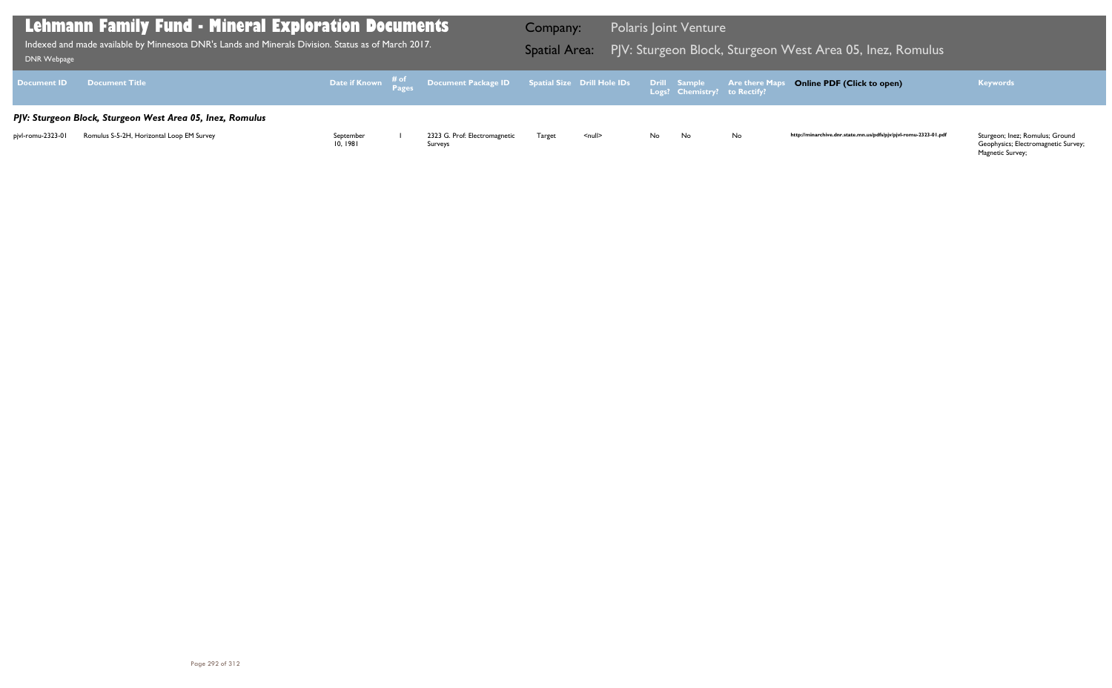Geophysics; Electromagnetic Survey; Magnetic Survey;

| DNR Webpage        | <b>Lehmann Family Fund - Mineral Exploration Documents</b><br>Indexed and made available by Minnesota DNR's Lands and Minerals Division. Status as of March 2017. |                      |                                                                               | Company:<br><b>Spatial Area:</b> |                    |     | <b>Polaris Joint Venture</b>                 | PJV: Sturgeon Block, Sturgeon V |
|--------------------|-------------------------------------------------------------------------------------------------------------------------------------------------------------------|----------------------|-------------------------------------------------------------------------------|----------------------------------|--------------------|-----|----------------------------------------------|---------------------------------|
| <b>Document ID</b> | <b>Document Title</b>                                                                                                                                             |                      | Date if Known # <sup>of</sup> Document Package ID Spatial Size Drill Hole IDs |                                  |                    |     | Drill Sample<br>Logs? Chemistry? to Rectify? | <b>Are there Maps</b>           |
|                    | PJV: Sturgeon Block, Sturgeon West Area 05, Inez, Romulus                                                                                                         |                      |                                                                               |                                  |                    |     |                                              |                                 |
| pivl-romu-2323-01  | Romulus S-5-2H, Horizontal Loop EM Survey                                                                                                                         | September<br>10.1981 | 2323 G. Prof: Electromagnetic<br>Surveys                                      | Target                           | $\leq$ null $\geq$ | No. | No.                                          | No                              |

### PJV: Sturgeon Block, Sturgeon West Area 05, Inez, Romulus Indexed and made available by Minnesota DNR's Lands and Minerals Division. Status as of March 2017.

### **Online PDF (Click to open) Keywords**

http://minarchive.dnr.state.mn.us/pdfs/pjv/pjvl-romu-2323-01.pdf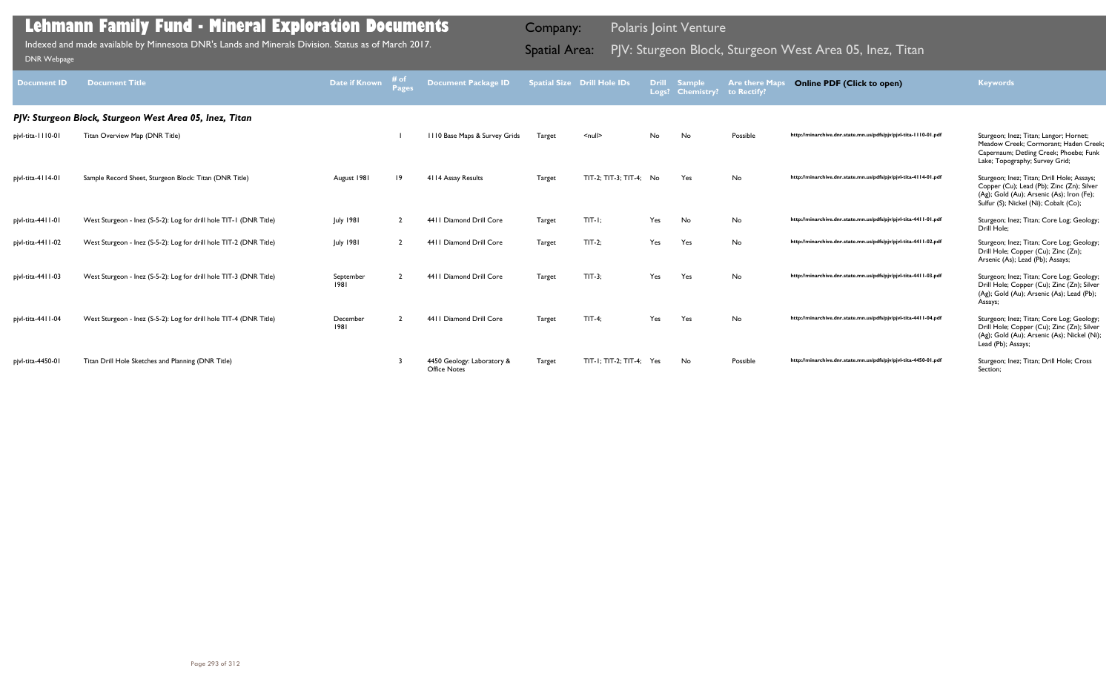| <b>Document ID</b>  | <b>Document Title</b>                                              | <b>Date if Known</b> | Pages       | <b>Document Package ID</b>                        |               | <b>Spatial Size Drill Hole IDs</b> | Drill<br>Logs? | <b>Sample</b><br><b>Chemistry?</b> | <b>Are there Maps</b><br>to Rectify? | <b>Online PDF (Click to open)</b>                                | <b>Keywords</b>                                                                                                                                                               |
|---------------------|--------------------------------------------------------------------|----------------------|-------------|---------------------------------------------------|---------------|------------------------------------|----------------|------------------------------------|--------------------------------------|------------------------------------------------------------------|-------------------------------------------------------------------------------------------------------------------------------------------------------------------------------|
|                     | PJV: Sturgeon Block, Sturgeon West Area 05, Inez, Titan            |                      |             |                                                   |               |                                    |                |                                    |                                      |                                                                  |                                                                                                                                                                               |
| pjvl-tita-1110-01   | Titan Overview Map (DNR Title)                                     |                      |             | 1110 Base Maps & Survey Grids                     | Target        | $\leq$ null $\geq$                 | No.            | No                                 | Possible                             | http://minarchive.dnr.state.mn.us/pdfs/pjv/pjvl-tita-1110-01.pdf | Sturgeon; Inez; Titan; Langor; Hornet;<br>Meadow Creek; Cormorant; Haden Creek;<br>Capernaum; Detling Creek; Phoebe; Funk<br>Lake; Topography; Survey Grid;                   |
| pjvl-tita-4114-01   | Sample Record Sheet, Sturgeon Block: Titan (DNR Title)             | August 1981          | $ 9\rangle$ | 4114 Assay Results                                | Target        | TIT-2; TIT-3; TIT-4; No            |                | Yes                                | No                                   | http://minarchive.dnr.state.mn.us/pdfs/pjv/pjvl-tita-4114-01.pdf | Sturgeon; Inez; Titan; Drill Hole; Assays;<br>Copper (Cu); Lead (Pb); Zinc (Zn); Silver<br>(Ag); Gold (Au); Arsenic (As); Iron (Fe);<br>Sulfur (S); Nickel (Ni); Cobalt (Co); |
| pjvl-tita-4411-01   | West Sturgeon - Inez (S-5-2): Log for drill hole TIT-1 (DNR Title) | July 1981            |             | 4411 Diamond Drill Core                           | <b>Target</b> | $TIT-I:$                           | Yes            | No                                 | No                                   | http://minarchive.dnr.state.mn.us/pdfs/pjv/pjvl-tita-4411-01.pdf | Sturgeon; Inez; Titan; Core Log; Geology;<br>Drill Hole:                                                                                                                      |
| pjvl-tita-44   1-02 | West Sturgeon - Inez (S-5-2): Log for drill hole TIT-2 (DNR Title) | July 1981            |             | 4411 Diamond Drill Core                           | Target        | $TIT-2$                            | Yes            | Yes                                | No                                   | http://minarchive.dnr.state.mn.us/pdfs/pjv/pjvl-tita-4411-02.pdf | Sturgeon; Inez; Titan; Core Log; Geology;<br>Drill Hole; Copper (Cu); Zinc (Zn);<br>Arsenic (As); Lead (Pb); Assays;                                                          |
| pjvl-tita-4411-03   | West Sturgeon - Inez (S-5-2): Log for drill hole TIT-3 (DNR Title) | September<br>1981    |             | 4411 Diamond Drill Core                           | <b>Target</b> | $TIT-3$                            | Yes            | Yes                                | No                                   | http://minarchive.dnr.state.mn.us/pdfs/pjv/pjvl-tita-4411-03.pdf | Sturgeon; Inez; Titan; Core Log; Geology;<br>Drill Hole; Copper (Cu); Zinc (Zn); Silver<br>(Ag); Gold (Au); Arsenic (As); Lead (Pb);<br>Assays;                               |
| pjvl-tita-4411-04   | West Sturgeon - Inez (S-5-2): Log for drill hole TIT-4 (DNR Title) | December<br>1981     |             | 4411 Diamond Drill Core                           | Target        | $TIT-4$ :                          | Yes            | Yes                                | No                                   | http://minarchive.dnr.state.mn.us/pdfs/pjv/pjvl-tita-4411-04.pdf | Sturgeon; Inez; Titan; Core Log; Geology;<br>Drill Hole; Copper (Cu); Zinc (Zn); Silver<br>(Ag); Gold (Au); Arsenic (As); Nickel (Ni);<br>Lead (Pb); Assays;                  |
| pjvl-tita-4450-01   | Titan Drill Hole Sketches and Planning (DNR Title)                 |                      |             | 4450 Geology: Laboratory &<br><b>Office Notes</b> | Target        | TIT-1; TIT-2; TIT-4; Yes           |                | No                                 | Possible                             | http://minarchive.dnr.state.mn.us/pdfs/pjv/pjvl-tita-4450-01.pdf | Sturgeon; Inez; Titan; Drill Hole; Cross<br>Section:                                                                                                                          |

Indexed and made available by Minnesota DNR's Lands and Minerals Division. Status as of March 2017.

Company: Polaris Joint Venture

# Indexed and made available by Minnesota DNR's Lands and Minerals Division. Status as of March 2017. **Spatial Area:** PJV: Sturgeon Block, Sturgeon West Area 05, Inez, Titan DNR Webpage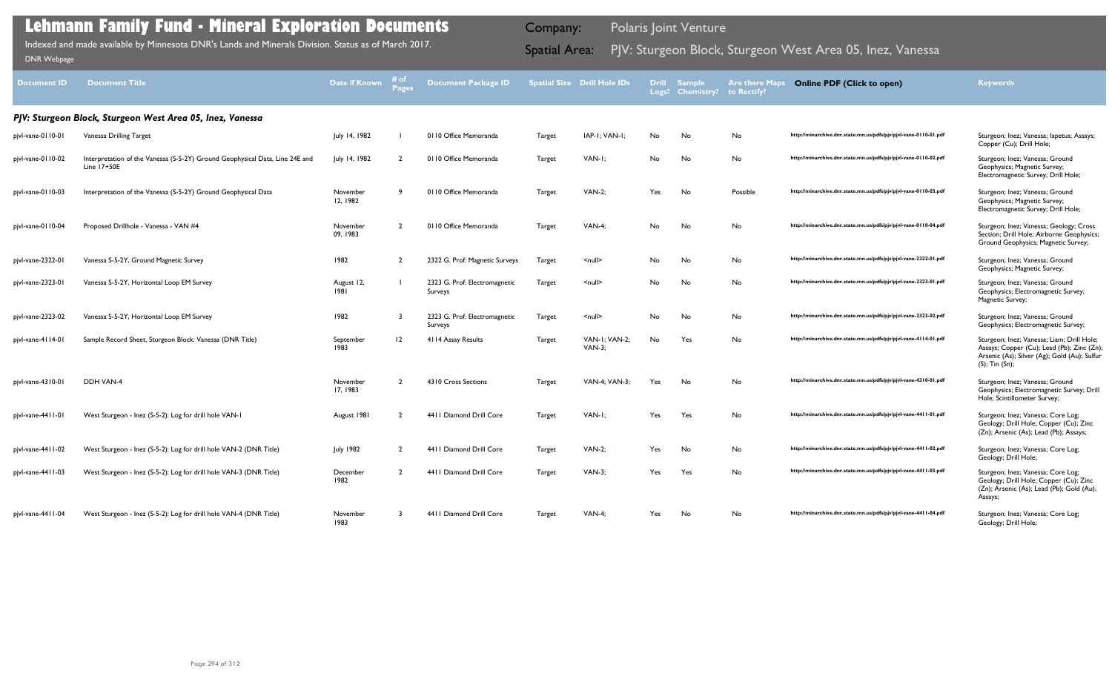| <b>Document ID</b>  | <b>Document Title</b>                                                                       | Date if Known        | # of<br><b>Pages</b> | <b>Document Package ID</b>               |               | <b>Spatial Size Drill Hole IDs</b> | <b>Drill</b> | <b>Sample</b><br>Logs? Chemistry? | <b>Are there Maps</b><br>to Rectify? | <b>Online PDF (Click to open)</b>                                | <b>Keywords</b>                                                                                                                                            |
|---------------------|---------------------------------------------------------------------------------------------|----------------------|----------------------|------------------------------------------|---------------|------------------------------------|--------------|-----------------------------------|--------------------------------------|------------------------------------------------------------------|------------------------------------------------------------------------------------------------------------------------------------------------------------|
|                     | PJV: Sturgeon Block, Sturgeon West Area 05, Inez, Vanessa                                   |                      |                      |                                          |               |                                    |              |                                   |                                      |                                                                  |                                                                                                                                                            |
| pjvl-vane-0110-01   | Vanessa Drilling Target                                                                     | July 14, 1982        |                      | 0110 Office Memoranda                    | Target        | IAP-I; VAN-I;                      | No           | No                                | No                                   | http://minarchive.dnr.state.mn.us/pdfs/pjv/pjvl-vane-0110-01.pdf | Sturgeon; Inez; Vanessa; Iapetus; Assays;<br>Copper (Cu); Drill Hole;                                                                                      |
| pjvl-vane-0110-02   | Interpretation of the Vanessa (S-5-2Y) Ground Geophysical Data, Line 24E and<br>Line 17+50E | July 14, 1982        |                      | 0110 Office Memoranda                    | Target        | VAN-I:                             | No           | No                                | No                                   | http://minarchive.dnr.state.mn.us/pdfs/pjv/pjvl-vane-0110-02.pdf | Sturgeon; Inez; Vanessa; Ground<br>Geophysics; Magnetic Survey;<br>Electromagnetic Survey; Drill Hole;                                                     |
| pjvl-vane-0110-03   | Interpretation of the Vanessa (S-5-2Y) Ground Geophysical Data                              | November<br>12, 1982 |                      | 0110 Office Memoranda                    | Target        | <b>VAN-2:</b>                      | Yes          | No                                | Possible                             | http://minarchive.dnr.state.mn.us/pdfs/pjv/pjvl-vane-0110-03.pdf | Sturgeon; Inez; Vanessa; Ground<br>Geophysics; Magnetic Survey;<br>Electromagnetic Survey; Drill Hole;                                                     |
| pjvl-vane-0110-04   | Proposed Drillhole - Vanessa - VAN #4                                                       | November<br>09, 1983 | $\overline{2}$       | 0110 Office Memoranda                    | Target        | <b>VAN-4;</b>                      | No           | No                                | No                                   | http://minarchive.dnr.state.mn.us/pdfs/pjv/pjvl-vane-0110-04.pdf | Sturgeon; Inez; Vanessa; Geology; Cross<br>Section; Drill Hole; Airborne Geophysics;<br>Ground Geophysics; Magnetic Survey;                                |
| pjvl-vane-2322-01   | Vanessa S-5-2Y, Ground Magnetic Survey                                                      | 1982                 | $\overline{2}$       | 2322 G. Prof: Magnetic Surveys           | Target        | $\leq$ null $\geq$                 | No           | No                                | No                                   | http://minarchive.dnr.state.mn.us/pdfs/pjv/pjvl-vane-2322-01.pdf | Sturgeon; Inez; Vanessa; Ground<br>Geophysics; Magnetic Survey;                                                                                            |
| pjvl-vane-2323-01   | Vanessa S-5-2Y, Horizontal Loop EM Survey                                                   | August 12,<br>1981   |                      | 2323 G. Prof: Electromagnetic<br>Surveys | Target        | $\leq$ null $\geq$                 | No           | No                                | No                                   | http://minarchive.dnr.state.mn.us/pdfs/pjv/pjvl-vane-2323-01.pdf | Sturgeon; Inez; Vanessa; Ground<br>Geophysics; Electromagnetic Survey;<br>Magnetic Survey;                                                                 |
| pjvl-vane-2323-02   | Vanessa S-5-2Y, Horizontal Loop EM Survey                                                   | 1982                 |                      | 2323 G. Prof: Electromagnetic<br>Surveys | Target        | $\le$ null $\ge$                   | No           | No                                | No                                   | http://minarchive.dnr.state.mn.us/pdfs/pjv/pjvl-vane-2323-02.pdf | Sturgeon; Inez; Vanessa; Ground<br>Geophysics; Electromagnetic Survey;                                                                                     |
| pjvl-vane-4114-01   | Sample Record Sheet, Sturgeon Block: Vanessa (DNR Title)                                    | September<br>1983    | 12                   | 4114 Assay Results                       | <b>Target</b> | VAN-I; VAN-2;<br><b>VAN-3:</b>     | No           | Yes                               | No                                   | http://minarchive.dnr.state.mn.us/pdfs/pjv/pjvl-vane-4114-01.pdf | Sturgeon; Inez; Vanessa; Liam; Drill Hole;<br>Assays; Copper (Cu); Lead (Pb); Zinc (Zn);<br>Arsenic (As); Silver (Ag); Gold (Au); Sulfur<br>(S); Tin (Sn); |
| pjvl-vane-4310-01   | DDH VAN-4                                                                                   | November<br>17, 1983 | $\overline{2}$       | 4310 Cross Sections                      | Target        | VAN-4; VAN-3;                      | Yes          | No                                | No                                   | http://minarchive.dnr.state.mn.us/pdfs/pjv/pjvl-vane-4310-01.pdf | Sturgeon; Inez; Vanessa; Ground<br>Geophysics; Electromagnetic Survey; Drill<br>Hole; Scintillometer Survey;                                               |
| pjvl-vane-44     -0 | West Sturgeon - Inez (S-5-2): Log for drill hole VAN-1                                      | August 1981          |                      | 4411 Diamond Drill Core                  | Target        | VAN-I;                             | Yes          | Yes                               | No                                   | http://minarchive.dnr.state.mn.us/pdfs/pjv/pjvl-vane-4411-01.pdf | Sturgeon; Inez; Vanessa; Core Log;<br>Geology; Drill Hole; Copper (Cu); Zinc<br>(Zn); Arsenic (As); Lead (Pb); Assays;                                     |
| pjvl-vane-4411-02   | West Sturgeon - Inez (S-5-2): Log for drill hole VAN-2 (DNR Title)                          | <b>July 1982</b>     | $\overline{2}$       | 4411 Diamond Drill Core                  | <b>Target</b> | <b>VAN-2:</b>                      | Yes          | No                                | No                                   | http://minarchive.dnr.state.mn.us/pdfs/pjv/pjvl-vane-4411-02.pdf | Sturgeon; Inez; Vanessa; Core Log;<br>Geology; Drill Hole;                                                                                                 |
| pjvl-vane-4411-03   | West Sturgeon - Inez (S-5-2): Log for drill hole VAN-3 (DNR Title)                          | December<br>1982     |                      | 4411 Diamond Drill Core                  | Target        | <b>VAN-3;</b>                      | Yes          | Yes                               | No                                   | http://minarchive.dnr.state.mn.us/pdfs/pjv/pjvl-vane-4411-03.pdf | Sturgeon; Inez; Vanessa; Core Log;<br>Geology; Drill Hole; Copper (Cu); Zinc<br>(Zn); Arsenic (As); Lead (Pb); Gold (Au);<br>Assays;                       |
| pivl-vane-4411-04   | West Sturgeon - Inez (S-5-2): Log for drill hole VAN-4 (DNR Title)                          | November<br>1983     |                      | 4411 Diamond Drill Core                  | Target        | VAN-4;                             | Yes          | No                                | No                                   | http://minarchive.dnr.state.mn.us/pdfs/pjv/pjvl-vane-4411-04.pdf | Sturgeon; Inez; Vanessa; Core Log;<br>Geology; Drill Hole;                                                                                                 |

Indexed and made available by Minnesota DNR's Lands and Minerals Division. Status as of March 2017. **Spatial Area:** PJV: Sturgeon Block, Sturgeon West Area 05, Inez, Vanessa <sub>DNR Webpage</sub> Indexed and made available by Minnesota DNR's Lands and Minerals Division. Status as of March 2017.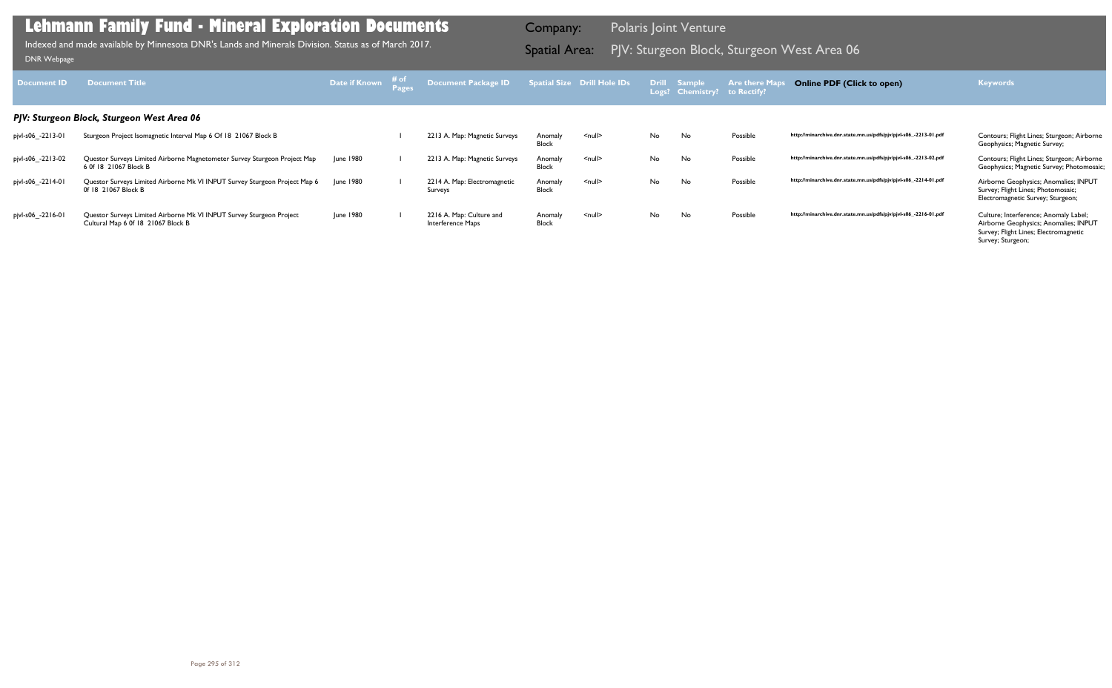| Document <b>ID</b> | <b>Document Title</b>                                                                                      | Date if Known | ⊤# of | <b>Document Package ID</b>                    |                         | <b>Spatial Size Drill Hole IDs</b> |     | <b>Drill Sample</b><br>Logs? Chemistry? | Are there Ma<br>to Rectify? | <b>Online PDF (Click to open)</b>                                | <b>Keywords</b>                                                                                                                              |
|--------------------|------------------------------------------------------------------------------------------------------------|---------------|-------|-----------------------------------------------|-------------------------|------------------------------------|-----|-----------------------------------------|-----------------------------|------------------------------------------------------------------|----------------------------------------------------------------------------------------------------------------------------------------------|
|                    | PJV: Sturgeon Block, Sturgeon West Area 06                                                                 |               |       |                                               |                         |                                    |     |                                         |                             |                                                                  |                                                                                                                                              |
| pjvl-s06_-2213-01  | Sturgeon Project Isomagnetic Interval Map 6 Of 18 21067 Block B                                            |               |       | 2213 A. Map: Magnetic Surveys                 | Anomaly<br><b>Block</b> | $\leq$ null $\geq$                 | No. | No                                      | Possible                    | http://minarchive.dnr.state.mn.us/pdfs/pjv/pjvl-s06_-2213-01.pdf | Contours; Flight Lines; Sturgeon; Airborne<br>Geophysics; Magnetic Survey;                                                                   |
| pjvl-s06_-2213-02  | Questor Surveys Limited Airborne Magnetometer Survey Sturgeon Project Map<br>6 Of 18 21067 Block B         | June 1980     |       | 2213 A. Map: Magnetic Surveys                 | Anomaly<br>Block        | $\leq$ null $\geq$                 | No. | No                                      | Possible                    | http://minarchive.dnr.state.mn.us/pdfs/pjv/pjvl-s06_-2213-02.pdf | Contours; Flight Lines; Sturgeon; Airborne<br>Geophysics; Magnetic Survey; Photomosaic;                                                      |
| pjvl-s06_-2214-01  | Questor Surveys Limited Airborne Mk VI INPUT Survey Sturgeon Project Map 6<br>0f 18 21067 Block B          | June 1980     |       | 2214 A. Map: Electromagnetic<br>Surveys       | Anomaly<br><b>Block</b> | $\leq$ null $\geq$                 | No. | No                                      | Possible                    | http://minarchive.dnr.state.mn.us/pdfs/pjv/pjvl-s06_-2214-01.pdf | Airborne Geophysics; Anomalies; INPUT<br>Survey; Flight Lines; Photomosaic;<br>Electromagnetic Survey; Sturgeon;                             |
| pjvl-s06_-2216-01  | Questor Surveys Limited Airborne Mk VI INPUT Survey Sturgeon Project<br>Cultural Map 6 0f 18 21067 Block B | June 1980     |       | 2216 A. Map: Culture and<br>Interference Maps | Anomaly<br><b>Block</b> | $\leq$ null $\geq$                 | No. | No                                      | Possible                    | http://minarchive.dnr.state.mn.us/pdfs/pjv/pjvl-s06_-2216-01.pdf | Culture; Interference; Anomaly Label;<br>Airborne Geophysics; Anomalies; INPUT<br>Survey; Flight Lines; Electromagnetic<br>Survey; Sturgeon; |

PJV: Sturgeon Block, Sturgeon West Area 06 Indexed and made available by Minnesota DNR's Lands and Minerals Division. Status as of March 2017. Spatial Area: [DNR Webpage](http://www.dnr.state.mn.us/lands_minerals/polaris/index.html)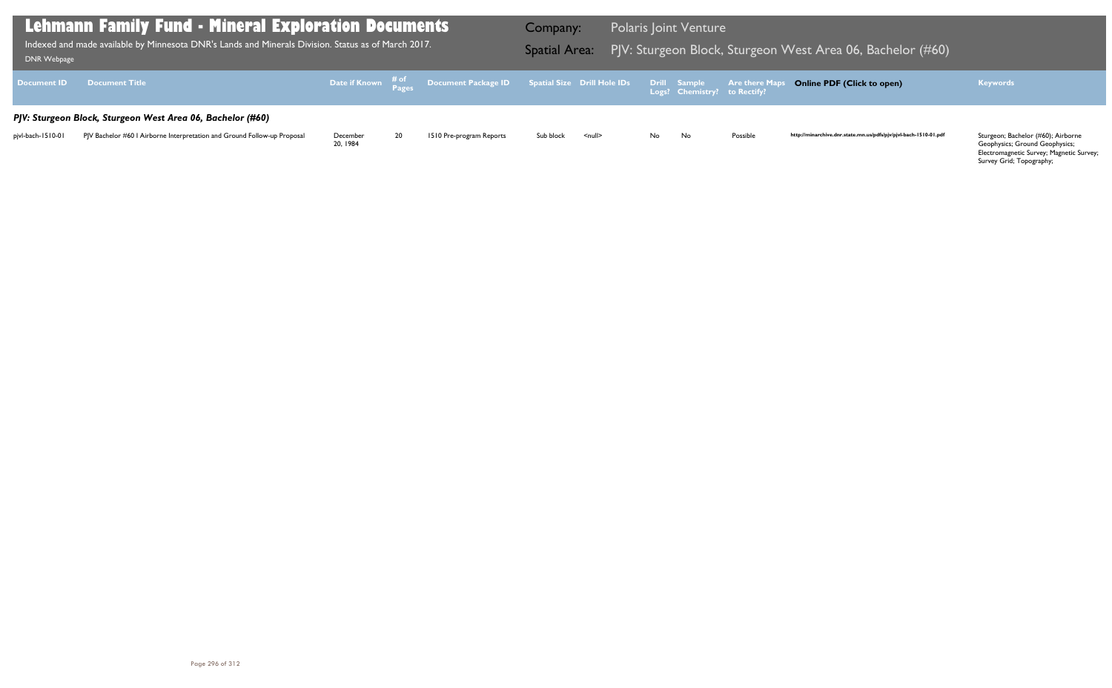Geophysics; Ground Geophysics; Electromagnetic Survey; Magnetic Survey; Survey Grid; Topography;

| DNR Webpage        | Lehmann Family Fund - Mineral Exploration Documents'<br>Indexed and made available by Minnesota DNR's Lands and Minerals Division. Status as of March 2017. |                      |    |                                                                                                  | <b>Company:</b><br><b>Spatial Area:</b> |                    |     | <b>Polaris Joint Venture</b>                 | PJV: Sturgeon Block, Sturgeon V |
|--------------------|-------------------------------------------------------------------------------------------------------------------------------------------------------------|----------------------|----|--------------------------------------------------------------------------------------------------|-----------------------------------------|--------------------|-----|----------------------------------------------|---------------------------------|
| <b>Document ID</b> | <b>Document Title</b>                                                                                                                                       |                      |    | Date if Known $\frac{\text{\# of}}{\text{\# a}}$ Document Package ID Spatial Size Drill Hole IDs |                                         |                    |     | Drill Sample<br>Logs? Chemistry? to Rectify? | <b>Are there Maps</b>           |
|                    | PJV: Sturgeon Block, Sturgeon West Area 06, Bachelor (#60)                                                                                                  |                      |    |                                                                                                  |                                         |                    |     |                                              |                                 |
| pjvl-bach-1510-01  | PJV Bachelor #60 I Airborne Interpretation and Ground Follow-up Proposal                                                                                    | December<br>20, 1984 | 20 | 1510 Pre-program Reports                                                                         | Sub block                               | $\leq$ null $\geq$ | No. | No                                           | Possible                        |

### West Area 06, Bachelor (#60)

### **Online PDF (Click to open) Keywords**

http://minarchive.dnr.state.mn.us/pdfs/pjv/pjvl-bach-1510-01.pdf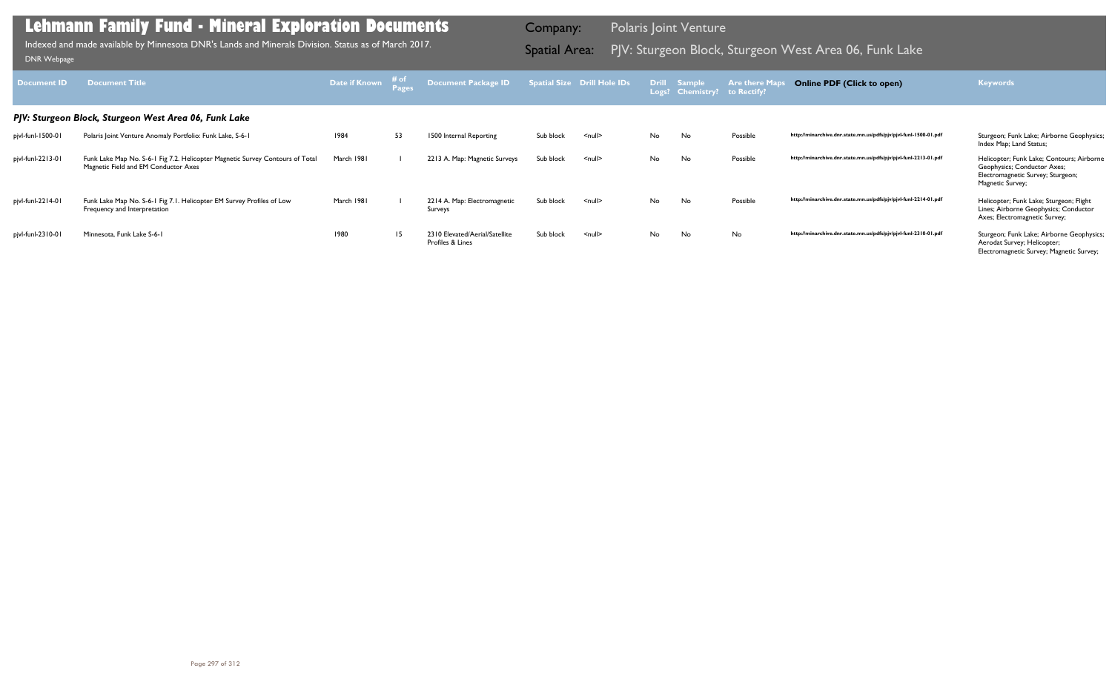| Document <b>ID</b> | <b>Document Title</b>                                                                                                 | Date if Known | # of<br><b>Pages</b> | Document Package ID                                |           | <b>Spatial Size Drill Hole IDs</b> |    | Drill Sample<br>Logs? Chemistry? | <b>Are there Map</b><br>to Rectify? | <b>Online PDF (Click to open)</b>                                | <b>Keywords</b>                                                                                                                   |
|--------------------|-----------------------------------------------------------------------------------------------------------------------|---------------|----------------------|----------------------------------------------------|-----------|------------------------------------|----|----------------------------------|-------------------------------------|------------------------------------------------------------------|-----------------------------------------------------------------------------------------------------------------------------------|
|                    | PJV: Sturgeon Block, Sturgeon West Area 06, Funk Lake                                                                 |               |                      |                                                    |           |                                    |    |                                  |                                     |                                                                  |                                                                                                                                   |
| pjvl-funl-1500-01  | Polaris Joint Venture Anomaly Portfolio: Funk Lake, S-6-1                                                             | 1984          | 53                   | 1500 Internal Reporting                            | Sub block | $null$                             | No | No                               | Possible                            | http://minarchive.dnr.state.mn.us/pdfs/pjv/pjvl-funl-1500-01.pdf | Sturgeon; Funk Lake; Airborne Geophysics;<br>Index Map; Land Status;                                                              |
| pjvl-funl-2213-01  | Funk Lake Map No. S-6-1 Fig 7.2. Helicopter Magnetic Survey Contours of Total<br>Magnetic Field and EM Conductor Axes | March 1981    |                      | 2213 A. Map: Magnetic Surveys                      | Sub block | $null$                             | No | No                               | Possible                            | http://minarchive.dnr.state.mn.us/pdfs/pjv/pjvl-funl-2213-01.pdf | Helicopter; Funk Lake; Contours; Airborne<br>Geophysics; Conductor Axes;<br>Electromagnetic Survey; Sturgeon;<br>Magnetic Survey; |
| pjvl-funl-2214-01  | Funk Lake Map No. S-6-1 Fig 7.1. Helicopter EM Survey Profiles of Low<br>Frequency and Interpretation                 | March 1981    |                      | 2214 A. Map: Electromagnetic<br>Surveys            | Sub block | $\leq$ null $\geq$                 | No | No                               | Possible                            | http://minarchive.dnr.state.mn.us/pdfs/pjv/pjvl-funl-2214-01.pdf | Helicopter; Funk Lake; Sturgeon; Flight<br>Lines; Airborne Geophysics; Conductor<br>Axes; Electromagnetic Survey;                 |
| pjvl-funl-2310-01  | Minnesota, Funk Lake S-6-1                                                                                            | 1980          | 15                   | 2310 Elevated/Aerial/Satellite<br>Profiles & Lines | Sub block | $<$ null $>$                       | No | No                               | No                                  | http://minarchive.dnr.state.mn.us/pdfs/pjv/pjvl-funl-2310-01.pdf | Sturgeon; Funk Lake; Airborne Geophysics;<br>Aerodat Survey; Helicopter;<br>Electromagnetic Survey; Magnetic Survey;              |

Indexed and made available by Minnesota DNR's Lands and Minerals Division. Status as of March 2017. **Spatial Area:** PJV: Sturgeon Block, Sturgeon West Area 06, Funk Lake DNR Webpage Indexed and made available by Minnesota DNR's Lands and Minerals Division. Status as of March 2017.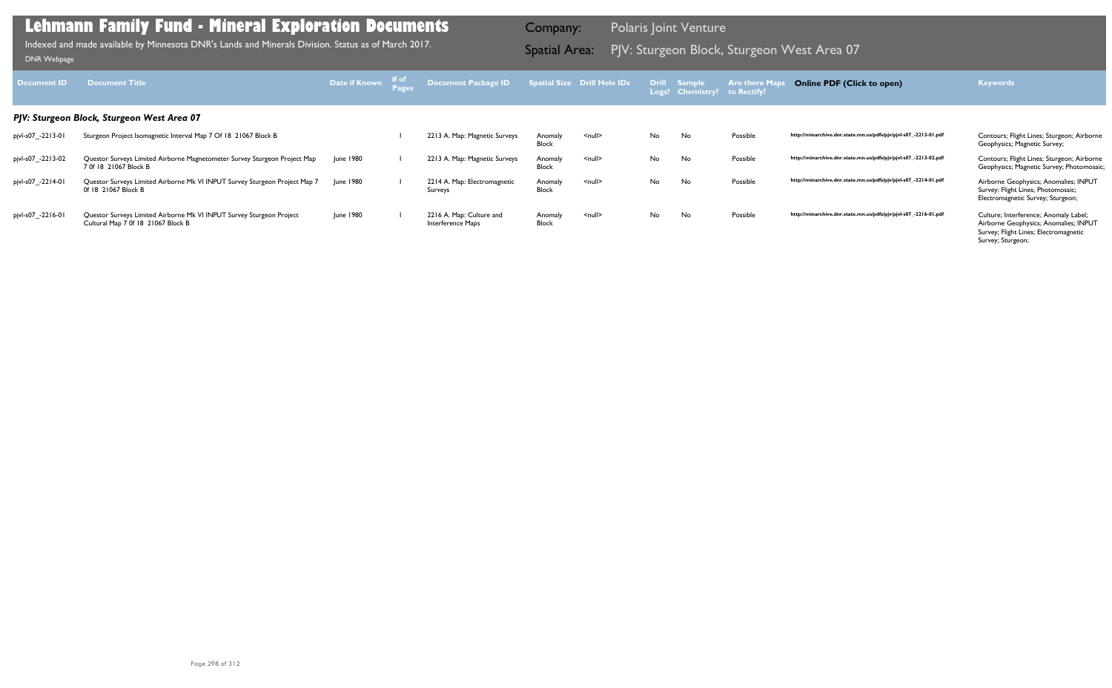| Document <b>ID</b> | <b>Document Title</b>                                                                                      | <b>Date if Known</b> | ⊤# of | <b>Document Package ID</b>                    |                         | <b>Spatial Size Drill Hole IDs</b> |     | Drill Sample<br>Logs? Chemistry? | <b>Are there Map</b><br>to Rectify? | <b>Online PDF (Click to open)</b>                                | <b>Keywords</b>                                                                                                                              |
|--------------------|------------------------------------------------------------------------------------------------------------|----------------------|-------|-----------------------------------------------|-------------------------|------------------------------------|-----|----------------------------------|-------------------------------------|------------------------------------------------------------------|----------------------------------------------------------------------------------------------------------------------------------------------|
|                    | PJV: Sturgeon Block, Sturgeon West Area 07                                                                 |                      |       |                                               |                         |                                    |     |                                  |                                     |                                                                  |                                                                                                                                              |
| pjvl-s07_-2213-01  | Sturgeon Project Isomagnetic Interval Map 7 Of 18 21067 Block B                                            |                      |       | 2213 A. Map: Magnetic Surveys                 | Anomaly<br>Block        | $\leq$ null $\geq$                 | No. | No                               | Possible                            | http://minarchive.dnr.state.mn.us/pdfs/pjv/pjvl-s07_-2213-01.pdf | Contours; Flight Lines; Sturgeon; Airborne<br>Geophysics; Magnetic Survey;                                                                   |
| pjvl-s07_-2213-02  | Questor Surveys Limited Airborne Magnetometer Survey Sturgeon Project Map<br>7 0f 18 21067 Block B         | June 1980            |       | 2213 A. Map: Magnetic Surveys                 | Anomaly<br>Block        | $\leq$ null $\geq$                 | No. | No                               | Possible                            | http://minarchive.dnr.state.mn.us/pdfs/pjv/pjvl-s07_-2213-02.pdf | Contours; Flight Lines; Sturgeon; Airborne<br>Geophysics; Magnetic Survey; Photomosaic;                                                      |
| pjvl-s07_-2214-01  | Questor Surveys Limited Airborne Mk VI INPUT Survey Sturgeon Project Map 7<br>0f 18 21067 Block B          | June 1980            |       | 2214 A. Map: Electromagnetic<br>Surveys       | Anomaly<br><b>Block</b> | $\leq$ null $\geq$                 | No. | No                               | Possible                            | http://minarchive.dnr.state.mn.us/pdfs/pjv/pjvl-s07_-2214-01.pdf | Airborne Geophysics; Anomalies; INPUT<br>Survey; Flight Lines; Photomosaic;<br>Electromagnetic Survey; Sturgeon;                             |
| pjvl-s07_-2216-01  | Questor Surveys Limited Airborne Mk VI INPUT Survey Sturgeon Project<br>Cultural Map 7 0f 18 21067 Block B | June 1980            |       | 2216 A. Map: Culture and<br>Interference Maps | Anomaly<br><b>Block</b> | $null$                             | No. | No                               | Possible                            | http://minarchive.dnr.state.mn.us/pdfs/pjv/pjvl-s07_-2216-01.pdf | Culture; Interference; Anomaly Label;<br>Airborne Geophysics; Anomalies; INPUT<br>Survey; Flight Lines; Electromagnetic<br>Survey; Sturgeon; |

PJV: Sturgeon Block, Sturgeon West Area 07 Indexed and made available by Minnesota DNR's Lands and Minerals Division. Status as of March 2017. Spatial Area: [DNR Webpage](http://www.dnr.state.mn.us/lands_minerals/polaris/index.html)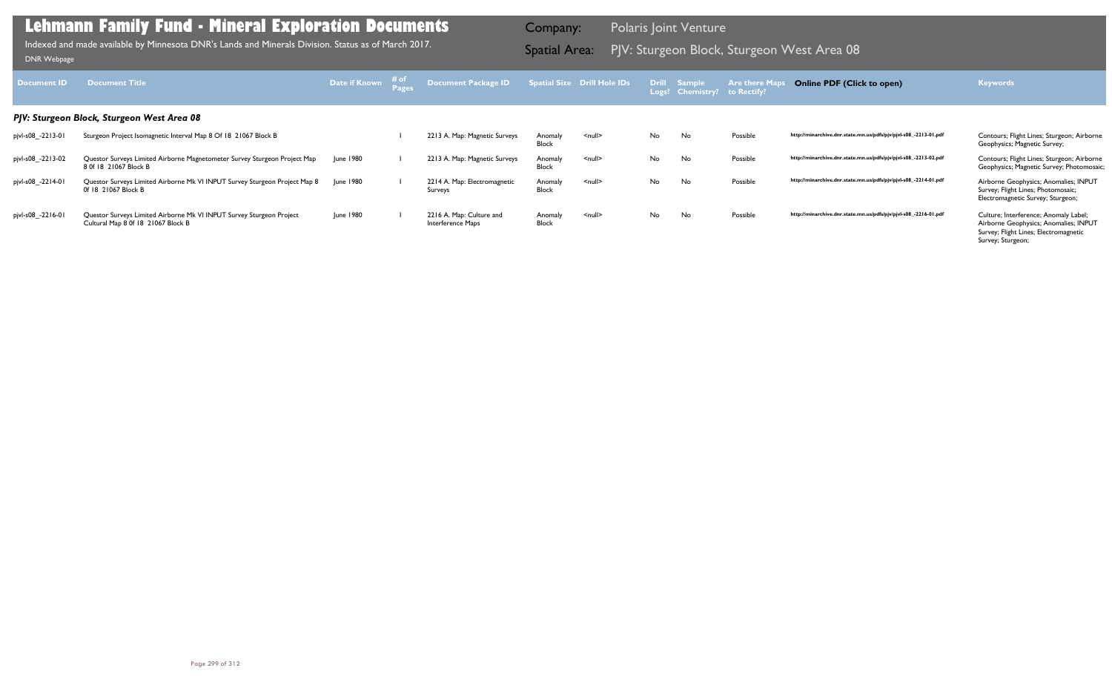| Document ID       | <b>Document Title</b>                                                                                      | Date if Known    | ⊤# of | Document Package ID                           |                         | <b>Spatial Size Drill Hole IDs</b> |    | <b>Drill Sample</b><br>Logs? Chemistry? to Rectify? | <b>Are there Map</b> | <b>Online PDF (Click to open)</b>                                | <b>Keywords</b>                                                                                                                              |
|-------------------|------------------------------------------------------------------------------------------------------------|------------------|-------|-----------------------------------------------|-------------------------|------------------------------------|----|-----------------------------------------------------|----------------------|------------------------------------------------------------------|----------------------------------------------------------------------------------------------------------------------------------------------|
|                   | PJV: Sturgeon Block, Sturgeon West Area 08                                                                 |                  |       |                                               |                         |                                    |    |                                                     |                      |                                                                  |                                                                                                                                              |
| pjvl-s08_-2213-01 | Sturgeon Project Isomagnetic Interval Map 8 Of 18 21067 Block B                                            |                  |       | 2213 A. Map: Magnetic Surveys                 | Anomaly<br>Block        | <null></null>                      | No | No                                                  | Possible             | http://minarchive.dnr.state.mn.us/pdfs/pjv/pjvl-s08_-2213-01.pdf | Contours; Flight Lines; Sturgeon; Airborne<br>Geophysics; Magnetic Survey;                                                                   |
| pjvl-s08_-2213-02 | Questor Surveys Limited Airborne Magnetometer Survey Sturgeon Project Map<br>8 0f 18 21067 Block B         | <b>June 1980</b> |       | 2213 A. Map: Magnetic Surveys                 | Anomaly<br>Block        | $\leq$ null $\geq$                 | No | No                                                  | Possible             | http://minarchive.dnr.state.mn.us/pdfs/pjv/pjvl-s08_-2213-02.pdf | Contours; Flight Lines; Sturgeon; Airborne<br>Geophysics; Magnetic Survey; Photomosaic;                                                      |
| pjvl-s08_-2214-01 | Questor Surveys Limited Airborne Mk VI INPUT Survey Sturgeon Project Map 8<br>0f 18 21067 Block B          | June 1980        |       | 2214 A. Map: Electromagnetic<br>Surveys       | Anomaly<br><b>Block</b> | <null></null>                      | No | No                                                  | Possible             | http://minarchive.dnr.state.mn.us/pdfs/pjv/pjvl-s08_-2214-01.pdf | Airborne Geophysics; Anomalies; INPUT<br>Survey; Flight Lines; Photomosaic;<br>Electromagnetic Survey; Sturgeon;                             |
| pjvl-s08_-2216-01 | Questor Surveys Limited Airborne Mk VI INPUT Survey Sturgeon Project<br>Cultural Map 8 0f 18 21067 Block B | June 1980        |       | 2216 A. Map: Culture and<br>Interference Maps | Anomaly<br><b>Block</b> | $\leq$ null $\geq$                 | No | No                                                  | Possible             | http://minarchive.dnr.state.mn.us/pdfs/pjv/pjvl-s08_-2216-01.pdf | Culture; Interference; Anomaly Label;<br>Airborne Geophysics; Anomalies; INPUT<br>Survey; Flight Lines; Electromagnetic<br>Survey; Sturgeon; |

PJV: Sturgeon Block, Sturgeon West Area 08 Indexed and made available by Minnesota DNR's Lands and Minerals Division. Status as of March 2017. Spatial Area: [DNR Webpage](http://www.dnr.state.mn.us/lands_minerals/polaris/index.html)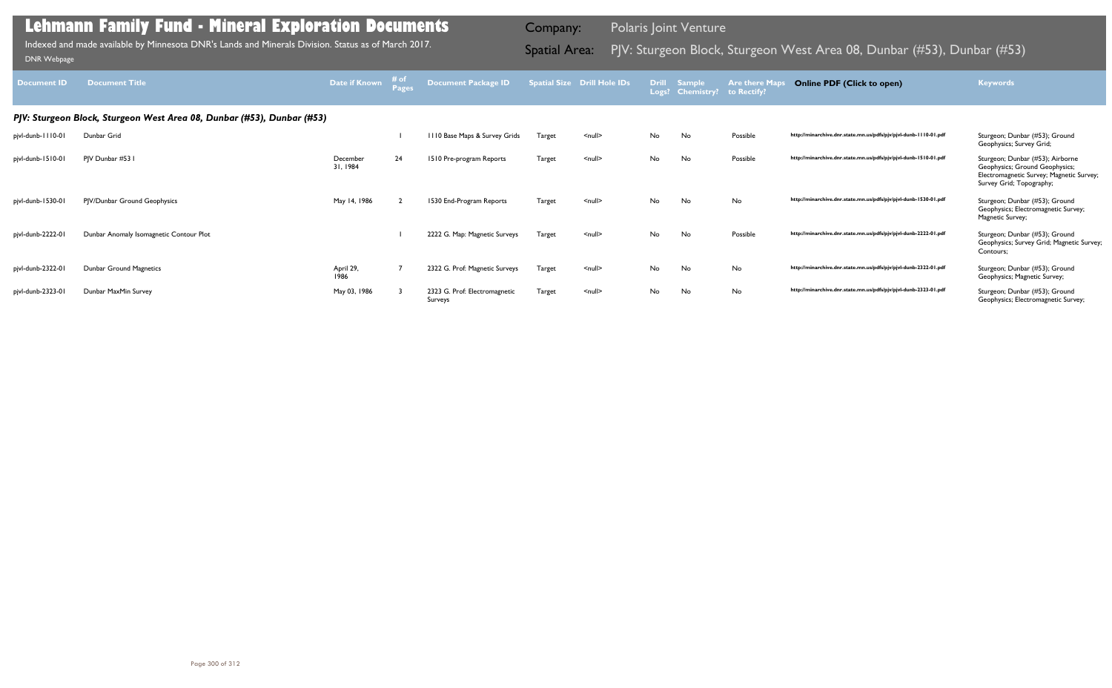| Document ID       | <b>Document Title</b>                                                  | Date if Known        | # of | <b>Document Package ID</b>               |        | <b>Spatial Size Drill Hole IDs</b> |    | Drill Sample<br>Logs? Chemistry? | <b>Are there Maps</b><br>to Rectify? | <b>Online PDF (Click to open)</b>                                | <b>Keywords</b>                                                                                                                            |
|-------------------|------------------------------------------------------------------------|----------------------|------|------------------------------------------|--------|------------------------------------|----|----------------------------------|--------------------------------------|------------------------------------------------------------------|--------------------------------------------------------------------------------------------------------------------------------------------|
|                   | PJV: Sturgeon Block, Sturgeon West Area 08, Dunbar (#53), Dunbar (#53) |                      |      |                                          |        |                                    |    |                                  |                                      |                                                                  |                                                                                                                                            |
| pjvl-dunb-1110-01 | Dunbar Grid                                                            |                      |      | 1110 Base Maps & Survey Grids            | Target | <null></null>                      | No | No                               | Possible                             | http://minarchive.dnr.state.mn.us/pdfs/pjv/pjvl-dunb-1110-01.pdf | Sturgeon; Dunbar (#53); Ground<br>Geophysics; Survey Grid;                                                                                 |
| pjvl-dunb-1510-01 | PJV Dunbar #53 I                                                       | December<br>31, 1984 | 24   | 1510 Pre-program Reports                 | Target | $\leq$ null $\geq$                 | No | No                               | Possible                             | http://minarchive.dnr.state.mn.us/pdfs/pjv/pjvl-dunb-1510-01.pdf | Sturgeon; Dunbar (#53); Airborne<br>Geophysics; Ground Geophysics;<br>Electromagnetic Survey; Magnetic Survey;<br>Survey Grid; Topography; |
| pjvl-dunb-1530-01 | PJV/Dunbar Ground Geophysics                                           | May 14, 1986         |      | 1530 End-Program Reports                 | Target | $\leq$ null $\geq$                 | No | No                               | No                                   | http://minarchive.dnr.state.mn.us/pdfs/pjv/pjvl-dunb-1530-01.pdf | Sturgeon; Dunbar (#53); Ground<br>Geophysics; Electromagnetic Survey;<br>Magnetic Survey;                                                  |
| pjvl-dunb-2222-01 | Dunbar Anomaly Isomagnetic Contour Plot                                |                      |      | 2222 G. Map: Magnetic Surveys            | Target | $\leq$ null $\geq$                 | No | No                               | Possible                             | http://minarchive.dnr.state.mn.us/pdfs/pjv/pjvl-dunb-2222-01.pdf | Sturgeon; Dunbar (#53); Ground<br>Geophysics; Survey Grid; Magnetic Survey;<br>Contours;                                                   |
| pjvl-dunb-2322-01 | Dunbar Ground Magnetics                                                | April 29,<br>1986    |      | 2322 G. Prof: Magnetic Surveys           | Target | $null$                             | No | No                               | No                                   | http://minarchive.dnr.state.mn.us/pdfs/pjv/pjvl-dunb-2322-01.pdf | Sturgeon; Dunbar (#53); Ground<br>Geophysics; Magnetic Survey;                                                                             |
| pjvl-dunb-2323-01 | Dunbar MaxMin Survey                                                   | May 03, 1986         |      | 2323 G. Prof: Electromagnetic<br>Surveys | Target | $\leq$ null $\geq$                 | No | No                               | No                                   | http://minarchive.dnr.state.mn.us/pdfs/pjv/pjvl-dunb-2323-01.pdf | Sturgeon; Dunbar (#53); Ground<br>Geophysics; Electromagnetic Survey;                                                                      |

Indexed and made available by Minnesota DNR's Lands and Minerals Division. Status as of March 2017. Spatial Area: PJV: Sturgeon Block, Sturgeon West Area 08, Dunbar (#53), Dunbar (#53)<br>DNR Webpage Indexed and made available by Minnesota DNR's Lands and Minerals Division. Status as of March 2017.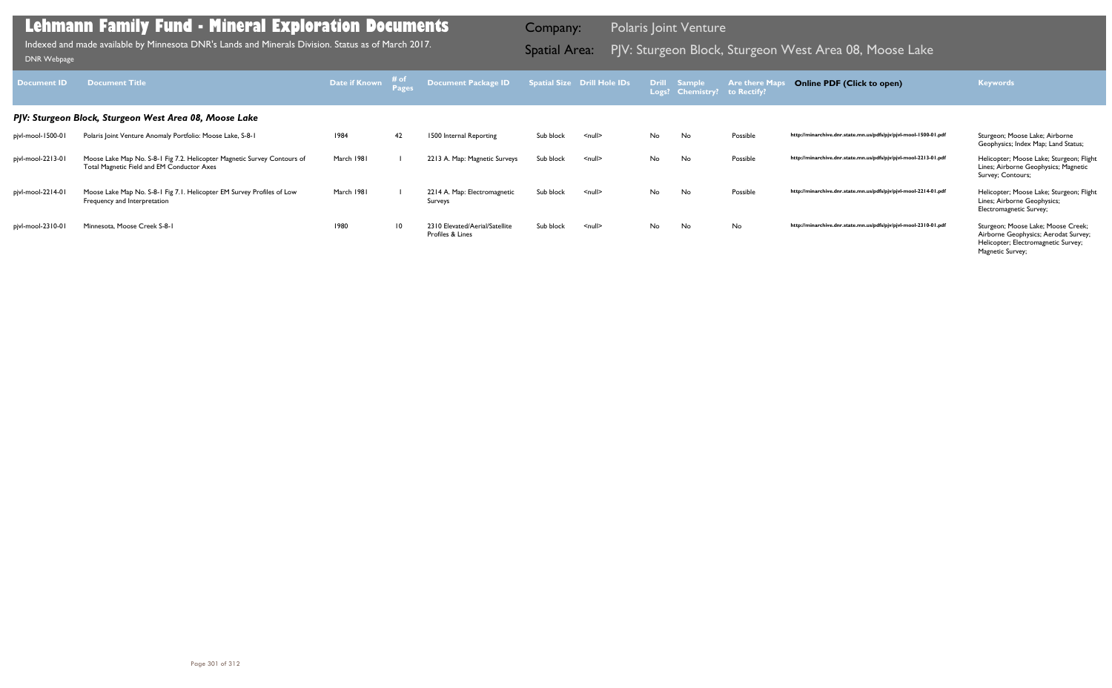| Document ID       | <b>Document Title</b>                                                                                                  | Date if Known # of | Pages           | <b>Document Package ID</b>                         |           | Spatial Size Drill Hole IDs |    | Drill Sample<br>Logs? Chemistry? to Rectify? | <b>Are there Maps</b> | <b>Online PDF (Click to open)</b>                                | <b>Keywords</b>                                                                                                                       |
|-------------------|------------------------------------------------------------------------------------------------------------------------|--------------------|-----------------|----------------------------------------------------|-----------|-----------------------------|----|----------------------------------------------|-----------------------|------------------------------------------------------------------|---------------------------------------------------------------------------------------------------------------------------------------|
|                   | PJV: Sturgeon Block, Sturgeon West Area 08, Moose Lake                                                                 |                    |                 |                                                    |           |                             |    |                                              |                       |                                                                  |                                                                                                                                       |
| pjvl-mool-1500-01 | Polaris Joint Venture Anomaly Portfolio: Moose Lake, S-8-1                                                             | 1984               | 42              | 1500 Internal Reporting                            | Sub block | $\leq$ null $\geq$          | No | No                                           | Possible              | http://minarchive.dnr.state.mn.us/pdfs/pjv/pjvl-mool-1500-01.pdf | Sturgeon; Moose Lake; Airborne<br>Geophysics; Index Map; Land Status;                                                                 |
| pjvl-mool-2213-01 | Moose Lake Map No. S-8-1 Fig 7.2. Helicopter Magnetic Survey Contours of<br>Total Magnetic Field and EM Conductor Axes | March 1981         |                 | 2213 A. Map: Magnetic Surveys                      | Sub block | <null></null>               | No | No                                           | Possible              | http://minarchive.dnr.state.mn.us/pdfs/pjv/pjvl-mool-2213-01.pdf | Helicopter; Moose Lake; Sturgeon; Flight<br>Lines; Airborne Geophysics; Magnetic<br>Survey; Contours;                                 |
| pjvl-mool-2214-01 | Moose Lake Map No. S-8-1 Fig 7.1. Helicopter EM Survey Profiles of Low<br>Frequency and Interpretation                 | March 1981         |                 | 2214 A. Map: Electromagnetic<br>Surveys            | Sub block | <null></null>               | No | No                                           | Possible              | http://minarchive.dnr.state.mn.us/pdfs/pjv/pjvl-mool-2214-01.pdf | Helicopter; Moose Lake; Sturgeon; Flight<br>Lines; Airborne Geophysics;<br>Electromagnetic Survey;                                    |
| pjvl-mool-2310-01 | Minnesota, Moose Creek S-8-1                                                                                           | 1980               | $\overline{10}$ | 2310 Elevated/Aerial/Satellite<br>Profiles & Lines | Sub block | $\leq$ null $\geq$          | No | No                                           | No                    | http://minarchive.dnr.state.mn.us/pdfs/pjv/pjvl-mool-2310-01.pdf | Sturgeon; Moose Lake; Moose Creek;<br>Airborne Geophysics; Aerodat Survey;<br>Helicopter; Electromagnetic Survey;<br>Magnetic Survey; |

Indexed and made available by Minnesota DNR's Lands and Minerals Division. Status as of March 2017. **Spatial Area:** PJV: Sturgeon Block, Sturgeon West Area 08, Moose Lake DNR Webpage Indexed and made available by Minnesota DNR's Lands and Minerals Division. Status as of March 2017.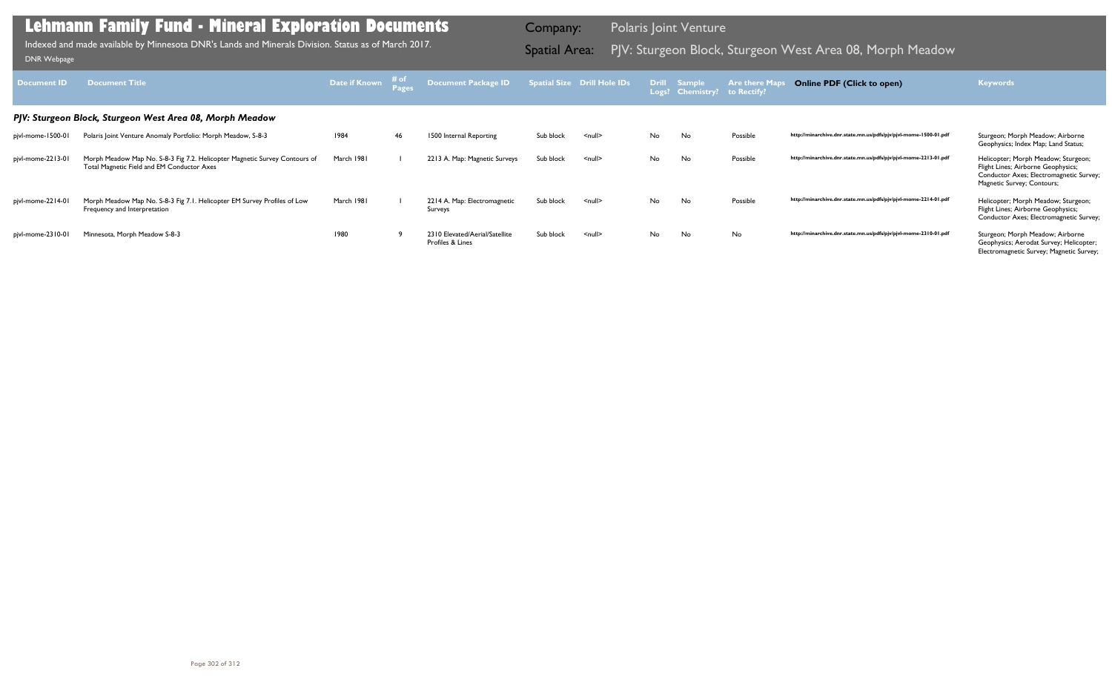| <b>Document ID</b> | <b>Document Title</b>                                                                                                    | Date if Known | # of | Document Package ID                                |           | Spatial Size Drill Hole IDs |    | Drill Sample<br>Logs? Chemistry? to Rectify? | <b>Are there Ma</b> | <b>Online PDF (Click to open)</b>                                | <b>Keywords</b>                                                                                                                                    |
|--------------------|--------------------------------------------------------------------------------------------------------------------------|---------------|------|----------------------------------------------------|-----------|-----------------------------|----|----------------------------------------------|---------------------|------------------------------------------------------------------|----------------------------------------------------------------------------------------------------------------------------------------------------|
|                    | PJV: Sturgeon Block, Sturgeon West Area 08, Morph Meadow                                                                 |               |      |                                                    |           |                             |    |                                              |                     |                                                                  |                                                                                                                                                    |
| pjvl-mome-1500-01  | Polaris Joint Venture Anomaly Portfolio: Morph Meadow, S-8-3                                                             | 1984          | 46   | 1500 Internal Reporting                            | Sub block | $\leq$ null $\geq$          | No | No                                           | Possible            | http://minarchive.dnr.state.mn.us/pdfs/pjv/pjvl-mome-1500-01.pdf | Sturgeon; Morph Meadow; Airborne<br>Geophysics; Index Map; Land Status;                                                                            |
| pjvl-mome-2213-01  | Morph Meadow Map No. S-8-3 Fig 7.2. Helicopter Magnetic Survey Contours of<br>Total Magnetic Field and EM Conductor Axes | March 1981    |      | 2213 A. Map: Magnetic Surveys                      | Sub block | <null></null>               | No | No                                           | Possible            | http://minarchive.dnr.state.mn.us/pdfs/pjv/pjvl-mome-2213-01.pdf | Helicopter; Morph Meadow; Sturgeon;<br>Flight Lines; Airborne Geophysics;<br>Conductor Axes; Electromagnetic Survey;<br>Magnetic Survey; Contours; |
| pjvl-mome-2214-01  | Morph Meadow Map No. S-8-3 Fig 7.1. Helicopter EM Survey Profiles of Low<br>Frequency and Interpretation                 | March 1981    |      | 2214 A. Map: Electromagnetic<br>Surveys            | Sub block | $\leq$ null $\geq$          | No | No                                           | Possible            | http://minarchive.dnr.state.mn.us/pdfs/pjv/pjvl-mome-2214-01.pdf | Helicopter; Morph Meadow; Sturgeon;<br>Flight Lines; Airborne Geophysics;<br>Conductor Axes; Electromagnetic Survey;                               |
| pjvl-mome-2310-01  | Minnesota, Morph Meadow S-8-3                                                                                            | 1980          |      | 2310 Elevated/Aerial/Satellite<br>Profiles & Lines | Sub block | $\leq$ null $\geq$          | No | No                                           | No                  | http://minarchive.dnr.state.mn.us/pdfs/pjv/pjvl-mome-2310-01.pdf | Sturgeon; Morph Meadow; Airborne<br>Geophysics; Aerodat Survey; Helicopter;<br>Electromagnetic Survey; Magnetic Survey;                            |

Indexed and made available by Minnesota DNR's Lands and Minerals Division. Status as of March 2017. Spatial Area: PJV: Sturgeon Block, Sturgeon West Area 08, Morph Meadow DNR Webpage Indexed and made available by Minnesota DNR's Lands and Minerals Division. Status as of March 2017.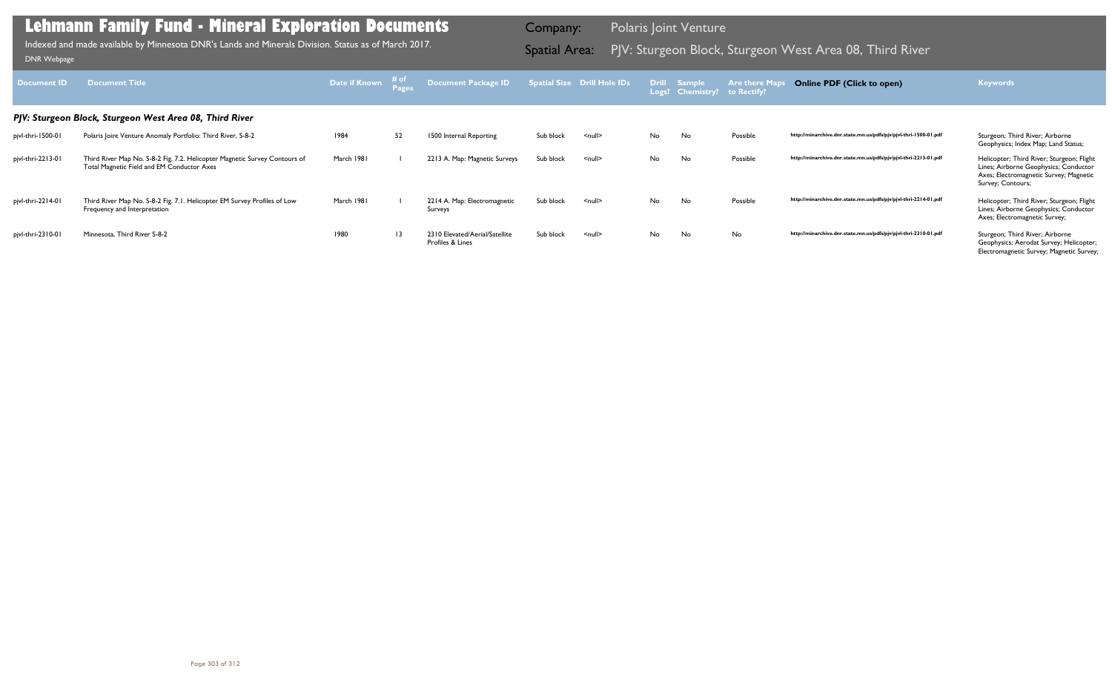| <b>Document ID</b> | <b>Document Title</b>                                                                                                    | Date if Known | # of<br>Pages   | Document Package ID                                |           | <b>Spatial Size Drill Hole IDs</b> |    | Drill Sample<br>Logs? Chemistry? to Rectify? | <b>Are there Map</b> | <b>Online PDF (Click to open)</b>                                | <b>Keywords</b>                                                                                                                                   |
|--------------------|--------------------------------------------------------------------------------------------------------------------------|---------------|-----------------|----------------------------------------------------|-----------|------------------------------------|----|----------------------------------------------|----------------------|------------------------------------------------------------------|---------------------------------------------------------------------------------------------------------------------------------------------------|
|                    | PJV: Sturgeon Block, Sturgeon West Area 08, Third River                                                                  |               |                 |                                                    |           |                                    |    |                                              |                      |                                                                  |                                                                                                                                                   |
| pjvl-thri-1500-01  | Polaris Joint Venture Anomaly Portfolio: Third River, S-8-2                                                              | 1984          | 52              | 1500 Internal Reporting                            | Sub block | $<$ null $>$                       | No | No                                           | Possible             | http://minarchive.dnr.state.mn.us/pdfs/pjv/pjvl-thri-1500-01.pdf | Sturgeon; Third River; Airborne<br>Geophysics; Index Map; Land Status;                                                                            |
| pjvl-thri-2213-01  | Third River Map No. S-8-2 Fig. 7.2. Helicopter Magnetic Survey Contours of<br>Total Magnetic Field and EM Conductor Axes | March 1981    |                 | 2213 A. Map: Magnetic Surveys                      | Sub block | $<$ null $>$                       | No | No                                           | Possible             | http://minarchive.dnr.state.mn.us/pdfs/pjv/pjvl-thri-2213-01.pdf | Helicopter; Third River; Sturgeon; Flight<br>Lines; Airborne Geophysics; Conductor<br>Axes; Electromagnetic Survey; Magnetic<br>Survey; Contours; |
| pjvl-thri-2214-01  | Third River Map No. S-8-2 Fig. 7.1. Helicopter EM Survey Profiles of Low<br>Frequency and Interpretation                 | March 1981    |                 | 2214 A. Map: Electromagnetic<br>Surveys            | Sub block | $<$ null $>$                       | No | No                                           | Possible             | http://minarchive.dnr.state.mn.us/pdfs/pjv/pjvl-thri-2214-01.pdf | Helicopter; Third River; Sturgeon; Flight<br>Lines; Airborne Geophysics; Conductor<br>Axes; Electromagnetic Survey;                               |
| pjvl-thri-2310-01  | Minnesota, Third River S-8-2                                                                                             | 1980          | $\overline{13}$ | 2310 Elevated/Aerial/Satellite<br>Profiles & Lines | Sub block | $\leq$ null $\geq$                 | No | No                                           | No                   | http://minarchive.dnr.state.mn.us/pdfs/pjv/pjvl-thri-2310-01.pdf | Sturgeon; Third River; Airborne<br>Geophysics; Aerodat Survey; Helicopter;<br>Electromagnetic Survey; Magnetic Survey;                            |

Indexed and made available by Minnesota DNR's Lands and Minerals Division. Status as of March 2017. **Spatial Area:** PJV: Sturgeon Block, Sturgeon West Area 08, Third River DNR Webpage Indexed and made available by Minnesota DNR's Lands and Minerals Division. Status as of March 2017.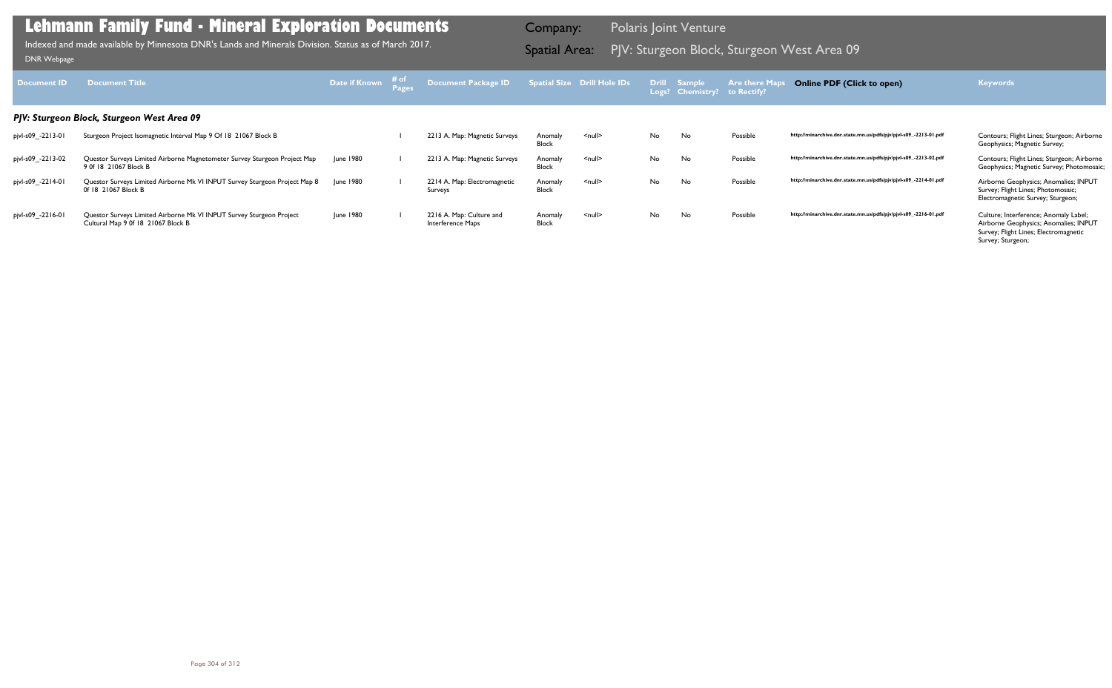| Document <b>ID</b> | <b>Document Title</b>                                                                                      | Date if Known | ⊤# of | Document Package ID                           |                         | Spatial Size Drill Hole IDs |     | Drill Sample<br>Logs? Chemistry? | <b>Are there Maps</b><br>to Rectify? | <b>Online PDF (Click to open)</b>                                | <b>Keywords</b>                                                                                                                              |
|--------------------|------------------------------------------------------------------------------------------------------------|---------------|-------|-----------------------------------------------|-------------------------|-----------------------------|-----|----------------------------------|--------------------------------------|------------------------------------------------------------------|----------------------------------------------------------------------------------------------------------------------------------------------|
|                    | PJV: Sturgeon Block, Sturgeon West Area 09                                                                 |               |       |                                               |                         |                             |     |                                  |                                      |                                                                  |                                                                                                                                              |
| pjvl-s09_-2213-01  | Sturgeon Project Isomagnetic Interval Map 9 Of 18 21067 Block B                                            |               |       | 2213 A. Map: Magnetic Surveys                 | Anomaly<br>Block        | $\leq$ null $\geq$          | No. | No                               | Possible                             | http://minarchive.dnr.state.mn.us/pdfs/pjv/pjvl-s09_-2213-01.pdf | Contours; Flight Lines; Sturgeon; Airborne<br>Geophysics; Magnetic Survey;                                                                   |
| pjvl-s09_-2213-02  | Questor Surveys Limited Airborne Magnetometer Survey Sturgeon Project Map<br>9 0f 18 21067 Block B         | June 1980     |       | 2213 A. Map: Magnetic Surveys                 | Anomaly<br>Block        | $\leq$ null $\geq$          | No. | No                               | Possible                             | http://minarchive.dnr.state.mn.us/pdfs/pjv/pjvl-s09_-2213-02.pdf | Contours; Flight Lines; Sturgeon; Airborne<br>Geophysics; Magnetic Survey; Photomosaic;                                                      |
| pjvl-s09_-2214-01  | Questor Surveys Limited Airborne Mk VI INPUT Survey Sturgeon Project Map 8<br>0f 18 21067 Block B          | June 1980     |       | 2214 A. Map: Electromagnetic<br>Surveys       | Anomaly<br><b>Block</b> | $null$                      | No. | No                               | Possible                             | http://minarchive.dnr.state.mn.us/pdfs/pjv/pjvl-s09_-2214-01.pdf | Airborne Geophysics; Anomalies; INPUT<br>Survey; Flight Lines; Photomosaic;<br>Electromagnetic Survey; Sturgeon;                             |
| pjvl-s09_-2216-01  | Questor Surveys Limited Airborne Mk VI INPUT Survey Sturgeon Project<br>Cultural Map 9 0f 18 21067 Block B | June 1980     |       | 2216 A. Map: Culture and<br>Interference Maps | Anomaly<br><b>Block</b> | $null$                      | No. | No                               | Possible                             | http://minarchive.dnr.state.mn.us/pdfs/pjv/pjvl-s09_-2216-01.pdf | Culture; Interference; Anomaly Label;<br>Airborne Geophysics; Anomalies; INPUT<br>Survey; Flight Lines; Electromagnetic<br>Survey; Sturgeon; |

PJV: Sturgeon Block, Sturgeon West Area 09 Indexed and made available by Minnesota DNR's Lands and Minerals Division. Status as of March 2017. Spatial Area: [DNR Webpage](http://www.dnr.state.mn.us/lands_minerals/polaris/index.html)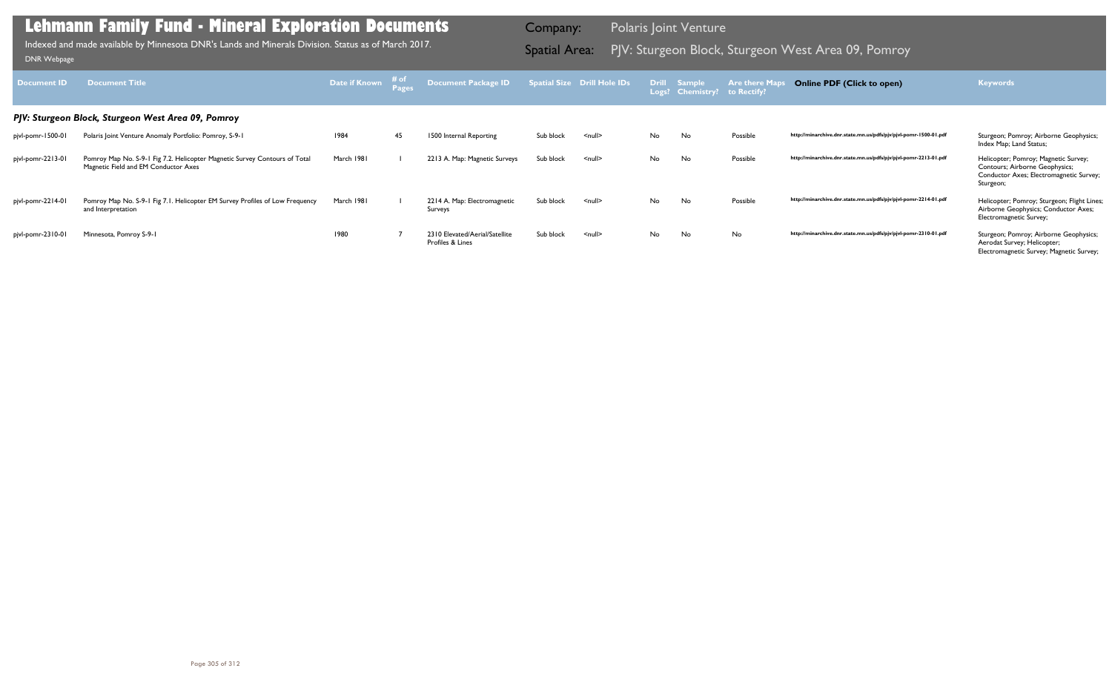| Document ID       | <b>Document Title</b>                                                                                              | Date if Known | # of<br><b>Pages</b> | Document Package ID                                |           | Spatial Size Drill Hole IDs |    | Drill Sample<br>Logs? Chemistry? | <b>Are there Map</b><br>to Rectify? | <b>Online PDF (Click to open)</b>                                | <b>Keywords</b>                                                                                                                |
|-------------------|--------------------------------------------------------------------------------------------------------------------|---------------|----------------------|----------------------------------------------------|-----------|-----------------------------|----|----------------------------------|-------------------------------------|------------------------------------------------------------------|--------------------------------------------------------------------------------------------------------------------------------|
|                   | PJV: Sturgeon Block, Sturgeon West Area 09, Pomroy                                                                 |               |                      |                                                    |           |                             |    |                                  |                                     |                                                                  |                                                                                                                                |
| pjvl-pomr-1500-01 | Polaris Joint Venture Anomaly Portfolio: Pomroy, S-9-1                                                             | 1984          | 45                   | 1500 Internal Reporting                            | Sub block | $\leq$ null $\geq$          | No | No                               | Possible                            | http://minarchive.dnr.state.mn.us/pdfs/pjv/pjvl-pomr-1500-01.pdf | Sturgeon; Pomroy; Airborne Geophysics;<br>Index Map; Land Status;                                                              |
| pjvl-pomr-2213-01 | Pomroy Map No. S-9-1 Fig 7.2. Helicopter Magnetic Survey Contours of Total<br>Magnetic Field and EM Conductor Axes | March 1981    |                      | 2213 A. Map: Magnetic Surveys                      | Sub block | $null$                      | No | No                               | Possible                            | http://minarchive.dnr.state.mn.us/pdfs/pjv/pjvl-pomr-2213-01.pdf | Helicopter; Pomroy; Magnetic Survey;<br>Contours; Airborne Geophysics;<br>Conductor Axes; Electromagnetic Survey;<br>Sturgeon; |
| pjvl-pomr-2214-01 | Pomroy Map No. S-9-1 Fig 7.1. Helicopter EM Survey Profiles of Low Frequency<br>and Interpretation                 | March 1981    |                      | 2214 A. Map: Electromagnetic<br>Surveys            | Sub block | $\leq$ null $\geq$          | No | No                               | Possible                            | http://minarchive.dnr.state.mn.us/pdfs/pjv/pjvl-pomr-2214-01.pdf | Helicopter; Pomroy; Sturgeon; Flight Lines;<br>Airborne Geophysics; Conductor Axes;<br>Electromagnetic Survey;                 |
| pjvl-pomr-2310-01 | Minnesota, Pomroy S-9-1                                                                                            | 1980          |                      | 2310 Elevated/Aerial/Satellite<br>Profiles & Lines | Sub block | $\leq$ null $\geq$          | No | No                               | No                                  | http://minarchive.dnr.state.mn.us/pdfs/pjv/pjvl-pomr-2310-01.pdf | Sturgeon; Pomroy; Airborne Geophysics;<br>Aerodat Survey; Helicopter;<br>Electromagnetic Survey; Magnetic Survey;              |

Indexed and made available by Minnesota DNR's Lands and Minerals Division. Status as of March 2017. **Indexed and Area:** PJV: Sturgeon Block, Sturgeon West Area 09, Pomroy DNR Webpage Indexed and made available by Minnesota DNR's Lands and Minerals Division. Status as of March 2017.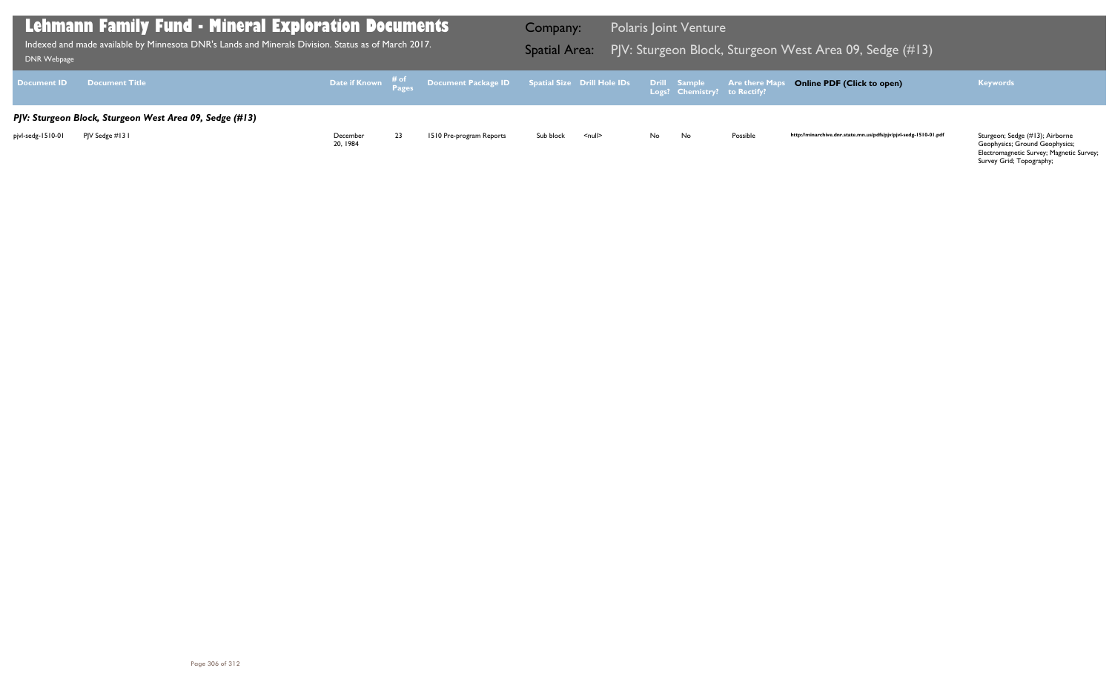Geophysics; Ground Geophysics; Electromagnetic Survey; Magnetic Survey; Survey Grid; Topography;

| <b>DNR Webpage</b> | <b>Lehmann Family Fund - Mineral Exploration Documents</b><br>Indexed and made available by Minnesota DNR's Lands and Minerals Division. Status as of March 2017. |                     |    |                                                                                                    | Company:<br><b>Spatial Area:</b> |                    |     | <b>Polaris Joint Venture</b>                 | PJV: Sturgeon Block, Sturgeon V |
|--------------------|-------------------------------------------------------------------------------------------------------------------------------------------------------------------|---------------------|----|----------------------------------------------------------------------------------------------------|----------------------------------|--------------------|-----|----------------------------------------------|---------------------------------|
| <b>Document ID</b> | <b>Document Title</b>                                                                                                                                             |                     |    | Date if Known $\frac{\text{\# of}}{\text{\#ages}}$ Document Package ID Spatial Size Drill Hole IDs |                                  |                    |     | Drill Sample<br>Logs? Chemistry? to Rectify? | <b>Are there Maps</b>           |
|                    | PJV: Sturgeon Block, Sturgeon West Area 09, Sedge (#13)                                                                                                           |                     |    |                                                                                                    |                                  |                    |     |                                              |                                 |
| pjvl-sedg-1510-01  | PJV Sedge #131                                                                                                                                                    | December<br>20.1984 | 23 | 1510 Pre-program Reports                                                                           | Sub block                        | $\leq$ null $\geq$ | No. | No                                           | Possible                        |

### West Area 09, Sedge (#13)

### **Online PDF (Click to open) Keywords**

http://minarchive.dnr.state.mn.us/pdfs/pjv/pjvl-sedg-1510-01.pdf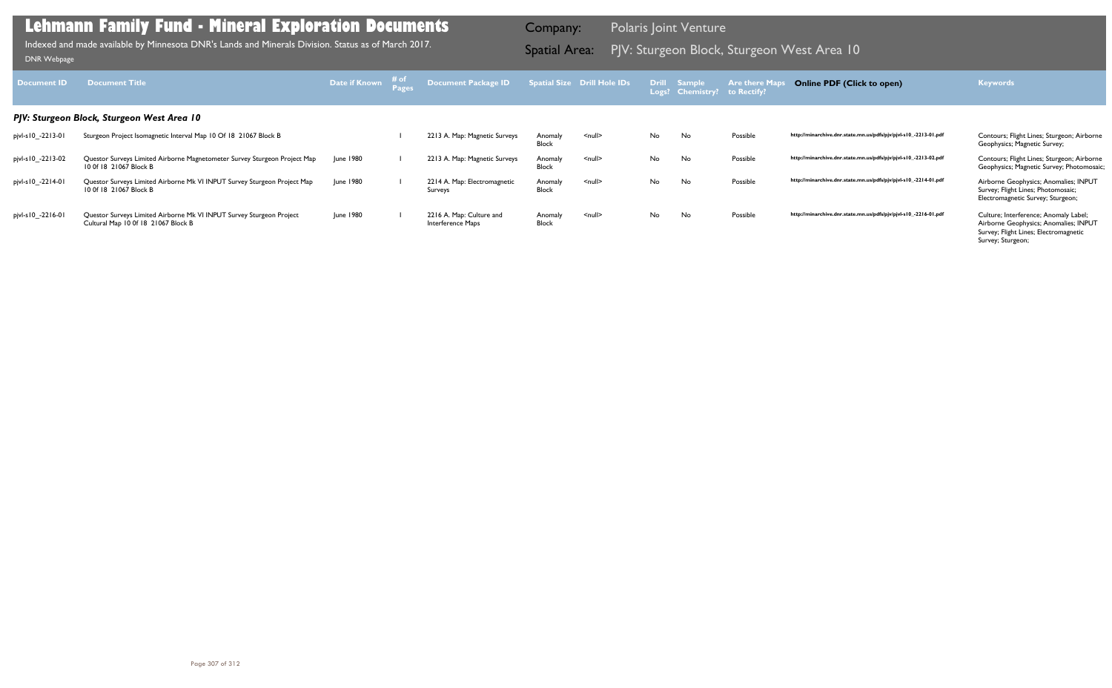| Document <b>ID</b> | <b>Document Title</b>                                                                                       | Date if Known | ⊤# of | <b>Document Package ID</b>                    |                         | <b>Spatial Size Drill Hole IDs</b> |     | <b>Drill Sample</b><br>Logs? Chemistry? | <b>Are there Ma</b><br>to Rectify? | <b>Online PDF (Click to open)</b>                                | <b>Keywords</b>                                                                                                                              |
|--------------------|-------------------------------------------------------------------------------------------------------------|---------------|-------|-----------------------------------------------|-------------------------|------------------------------------|-----|-----------------------------------------|------------------------------------|------------------------------------------------------------------|----------------------------------------------------------------------------------------------------------------------------------------------|
|                    | PJV: Sturgeon Block, Sturgeon West Area 10                                                                  |               |       |                                               |                         |                                    |     |                                         |                                    |                                                                  |                                                                                                                                              |
| pjvl-s10_-2213-01  | Sturgeon Project Isomagnetic Interval Map 10 Of 18 21067 Block B                                            |               |       | 2213 A. Map: Magnetic Surveys                 | Anomaly<br>Block        | $\leq$ null $\geq$                 | No. | No                                      | Possible                           | http://minarchive.dnr.state.mn.us/pdfs/pjv/pjvl-s10_-2213-01.pdf | Contours; Flight Lines; Sturgeon; Airborne<br>Geophysics; Magnetic Survey;                                                                   |
| pjvl-s10_-2213-02  | Questor Surveys Limited Airborne Magnetometer Survey Sturgeon Project Map<br>10 Of 18 21067 Block B         | June 1980     |       | 2213 A. Map: Magnetic Surveys                 | Anomaly<br>Block        | $\leq$ null $\geq$                 | No. | No                                      | Possible                           | http://minarchive.dnr.state.mn.us/pdfs/pjv/pjvl-s10_-2213-02.pdf | Contours; Flight Lines; Sturgeon; Airborne<br>Geophysics; Magnetic Survey; Photomosaic;                                                      |
| pjvl-s10_-2214-01  | Questor Surveys Limited Airborne Mk VI INPUT Survey Sturgeon Project Map<br>10 Of 18 21067 Block B          | June 1980     |       | 2214 A. Map: Electromagnetic<br>Surveys       | Anomaly<br><b>Block</b> | $\leq$ null $\geq$                 | No. | No                                      | Possible                           | http://minarchive.dnr.state.mn.us/pdfs/pjv/pjvl-s10_-2214-01.pdf | Airborne Geophysics; Anomalies; INPUT<br>Survey; Flight Lines; Photomosaic;<br>Electromagnetic Survey; Sturgeon;                             |
| pjvl-s10_-2216-01  | Questor Surveys Limited Airborne Mk VI INPUT Survey Sturgeon Project<br>Cultural Map 10 0f 18 21067 Block B | June 1980     |       | 2216 A. Map: Culture and<br>Interference Maps | Anomaly<br><b>Block</b> | $\leq$ null $\geq$                 | No. | No                                      | Possible                           | http://minarchive.dnr.state.mn.us/pdfs/pjv/pjvl-s10_-2216-01.pdf | Culture; Interference; Anomaly Label;<br>Airborne Geophysics; Anomalies; INPUT<br>Survey; Flight Lines; Electromagnetic<br>Survey; Sturgeon; |

PJV: Sturgeon Block, Sturgeon West Area 10 Indexed and made available by Minnesota DNR's Lands and Minerals Division. Status as of March 2017. Spatial Area: [DNR Webpage](http://www.dnr.state.mn.us/lands_minerals/polaris/index.html)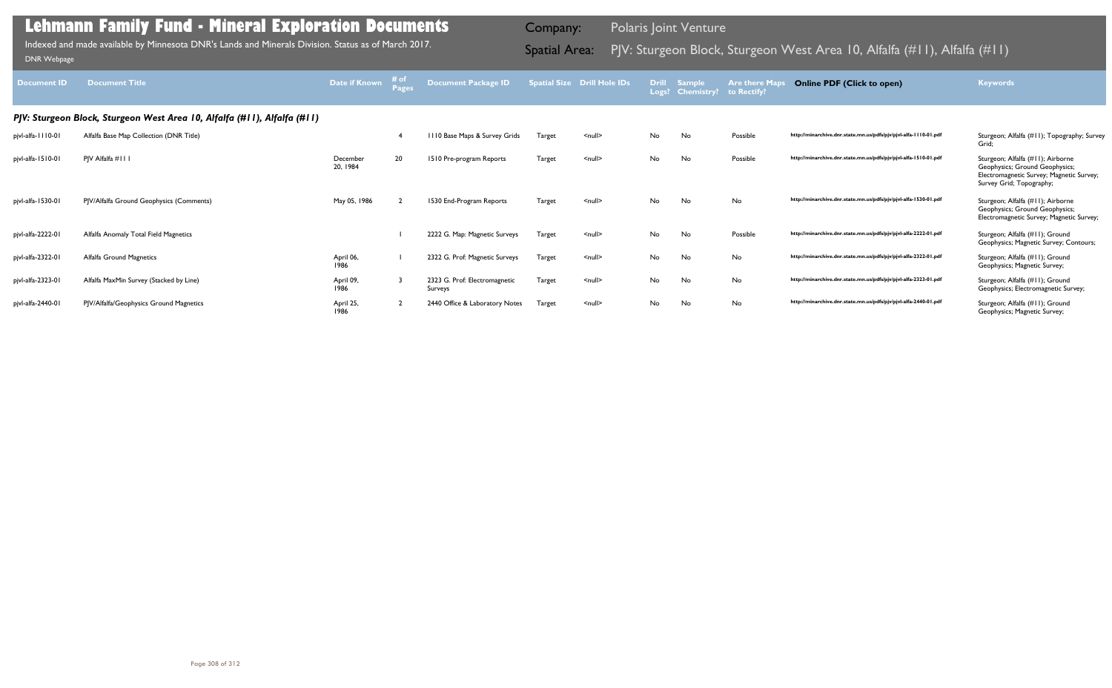| <b>Document ID</b> | <b>Document Title</b>                                                    | Date if Known        | $\left\langle \begin{array}{c} H \\ P \end{array} \right\rangle$ | <b>Document Package ID</b>               |               | <b>Spatial Size Drill Hole IDs</b> | <b>Drill</b><br>Logs? | <b>Sample</b><br><b>Chemistry?</b> | <b>Are there Maps</b><br>to Rectify? | <b>Online PDF (Click to open)</b>                                | <b>Keywords</b>                                                                                                                             |
|--------------------|--------------------------------------------------------------------------|----------------------|------------------------------------------------------------------|------------------------------------------|---------------|------------------------------------|-----------------------|------------------------------------|--------------------------------------|------------------------------------------------------------------|---------------------------------------------------------------------------------------------------------------------------------------------|
|                    | PJV: Sturgeon Block, Sturgeon West Area 10, Alfalfa (#11), Alfalfa (#11) |                      |                                                                  |                                          |               |                                    |                       |                                    |                                      |                                                                  |                                                                                                                                             |
| pjvl-alfa-1110-01  | Alfalfa Base Map Collection (DNR Title)                                  |                      |                                                                  | III0 Base Maps & Survey Grids            | <b>Target</b> | $\leq$ null $\geq$                 | No.                   | No                                 | Possible                             | http://minarchive.dnr.state.mn.us/pdfs/pjv/pjvl-alfa-1110-01.pdf | Sturgeon; Alfalfa (#11); Topography; Survey<br>Grid:                                                                                        |
| pjvl-alfa-1510-01  | PIV Alfalfa #111                                                         | December<br>20, 1984 | 20                                                               | 1510 Pre-program Reports                 | Target        | $\leq$ null $\geq$                 | No                    | No                                 | Possible                             | http://minarchive.dnr.state.mn.us/pdfs/pjv/pjvl-alfa-1510-01.pdf | Sturgeon; Alfalfa (#11); Airborne<br>Geophysics; Ground Geophysics;<br>Electromagnetic Survey; Magnetic Survey;<br>Survey Grid; Topography; |
| pjvl-alfa-1530-01  | PJV/Alfalfa Ground Geophysics (Comments)                                 | May 05, 1986         |                                                                  | 1530 End-Program Reports                 | Target        | $\leq$ null $\geq$                 | No                    | No                                 | No                                   | http://minarchive.dnr.state.mn.us/pdfs/pjv/pjvl-alfa-1530-01.pdf | Sturgeon; Alfalfa (#11); Airborne<br>Geophysics; Ground Geophysics;<br>Electromagnetic Survey; Magnetic Survey;                             |
| pjvl-alfa-2222-01  | Alfalfa Anomaly Total Field Magnetics                                    |                      |                                                                  | 2222 G. Map: Magnetic Surveys            | Target        | $\leq$ null $\geq$                 | No.                   | No                                 | Possible                             | http://minarchive.dnr.state.mn.us/pdfs/pjv/pjvl-alfa-2222-01.pdf | Sturgeon; Alfalfa (#11); Ground<br>Geophysics; Magnetic Survey; Contours;                                                                   |
| pjvl-alfa-2322-01  | Alfalfa Ground Magnetics                                                 | April 06,<br>1986    |                                                                  | 2322 G. Prof: Magnetic Surveys           | Target        | $\leq$ null $\geq$                 | No                    | No                                 | No                                   | http://minarchive.dnr.state.mn.us/pdfs/pjv/pjvl-alfa-2322-01.pdf | Sturgeon; Alfalfa (#11); Ground<br>Geophysics; Magnetic Survey;                                                                             |
| pjvl-alfa-2323-01  | Alfalfa MaxMin Survey (Stacked by Line)                                  | April 09,<br>1986    |                                                                  | 2323 G. Prof: Electromagnetic<br>Surveys | Target        | $\leq$ null $\geq$                 | No                    | No                                 | No                                   | http://minarchive.dnr.state.mn.us/pdfs/pjv/pjvl-alfa-2323-01.pdf | Sturgeon; Alfalfa (#11); Ground<br>Geophysics; Electromagnetic Survey;                                                                      |
| pjvl-alfa-2440-01  | PJV/Alfalfa/Geophysics Ground Magnetics                                  | April 25,<br>1986    |                                                                  | 2440 Office & Laboratory Notes           | Target        | $\leq$ null $\geq$                 | No                    | No                                 | No                                   | http://minarchive.dnr.state.mn.us/pdfs/pjv/pjvl-alfa-2440-01.pdf | Sturgeon; Alfalfa (#11); Ground<br>Geophysics; Magnetic Survey;                                                                             |

Indexed and made available by Minnesota DNR's Lands and Minerals Division. Status as of March 2017.

Company: Polaris Joint Venture

# Indexed and made available by Minnesota DNR's Lands and Minerals Division. Status as of March 2017. Spatial Area: PJV: Sturgeon Block, Sturgeon West Area 10, Alfalfa (#11), Alfalfa (#11) Indexed and made available by Minne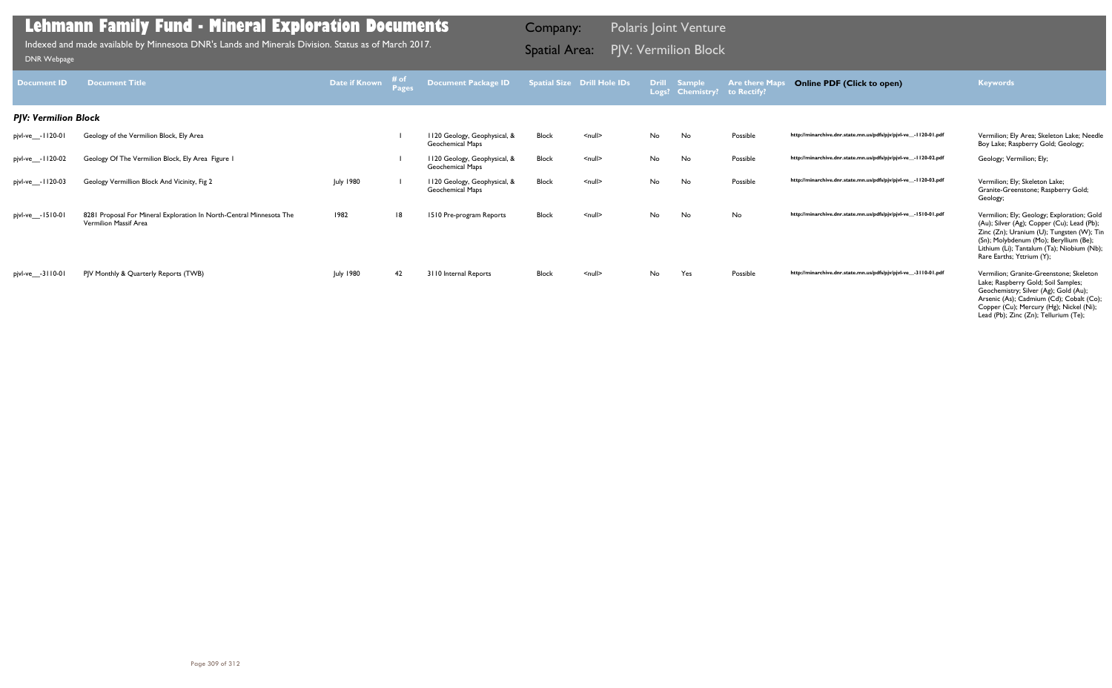| <b>Document ID</b>          | <b>Document Title</b>                                                                         | Date if Known    | ≉ of<br><b>Pages</b> | <b>Document Package ID</b>                              |              | <b>Spatial Size Drill Hole IDs</b> |    | Drill Sample<br>Logs? Chemistry? to Rectify? | <b>Are there Maps</b> | <b>Online PDF (Click to open)</b>                               | <b>Keywords</b>                                                                                                                                                                                                                                            |
|-----------------------------|-----------------------------------------------------------------------------------------------|------------------|----------------------|---------------------------------------------------------|--------------|------------------------------------|----|----------------------------------------------|-----------------------|-----------------------------------------------------------------|------------------------------------------------------------------------------------------------------------------------------------------------------------------------------------------------------------------------------------------------------------|
| <b>PJV: Vermilion Block</b> |                                                                                               |                  |                      |                                                         |              |                                    |    |                                              |                       |                                                                 |                                                                                                                                                                                                                                                            |
| pjvl-ve__-1120-01           | Geology of the Vermilion Block, Ely Area                                                      |                  |                      | 1120 Geology, Geophysical, &<br>Geochemical Maps        | <b>Block</b> | $\leq$ null $\geq$                 | No | No                                           | Possible              | http://minarchive.dnr.state.mn.us/pdfs/pjv/pjvl-ve_-1120-01.pdf | Vermilion; Ely Area; Skeleton Lake; Needle<br>Boy Lake; Raspberry Gold; Geology;                                                                                                                                                                           |
| pjvl-ve__-1120-02           | Geology Of The Vermilion Block, Ely Area Figure I                                             |                  |                      | 1120 Geology, Geophysical, &<br><b>Geochemical Maps</b> | <b>Block</b> | $\leq$ null $\geq$                 | No | No                                           | Possible              | http://minarchive.dnr.state.mn.us/pdfs/pjv/pjvl-ve_-1120-02.pdf | Geology; Vermilion; Ely;                                                                                                                                                                                                                                   |
| pjvl-ve___-1120-03          | Geology Vermillion Block And Vicinity, Fig 2                                                  | <b>July 1980</b> |                      | 1120 Geology, Geophysical, &<br>Geochemical Maps        | <b>Block</b> | $\leq$ null $\geq$                 | No | No                                           | Possible              | http://minarchive.dnr.state.mn.us/pdfs/pjv/pjvl-ve_-1120-03.pdf | Vermilion; Ely; Skeleton Lake;<br>Granite-Greenstone; Raspberry Gold;<br>Geology;                                                                                                                                                                          |
| pjvl-ve__-1510-01           | 8281 Proposal For Mineral Exploration In North-Central Minnesota The<br>Vermilion Massif Area | 1982             | 8                    | 1510 Pre-program Reports                                | <b>Block</b> | $\leq$ null $\geq$                 | No | No                                           | No                    | http://minarchive.dnr.state.mn.us/pdfs/pjv/pjvl-ve_-1510-01.pdf | Vermilion; Ely; Geology; Exploration; Gold<br>(Au); Silver (Ag); Copper (Cu); Lead (Pb);<br>Zinc (Zn); Uranium (U); Tungsten (W); Tin<br>(Sn); Molybdenum (Mo); Beryllium (Be);<br>Lithium (Li); Tantalum (Ta); Niobium (Nb);<br>Rare Earths; Yttrium (Y); |
| pjvl-ve__-3110-01           | PJV Monthly & Quarterly Reports (TWB)                                                         | <b>July 1980</b> | 42                   | 3110 Internal Reports                                   | <b>Block</b> | $\leq$ null $\geq$                 | No | Yes                                          | Possible              | http://minarchive.dnr.state.mn.us/pdfs/pjv/pjvl-ve_-3110-01.pdf | Vermilion: Granite-Greenstone: Skeleton<br>Lake; Raspberry Gold; Soil Samples;<br>Geochemistry; Silver (Ag); Gold (Au);<br>Arsenic (As); Cadmium (Cd); Cobalt (Co);<br>Copper (Cu); Mercury (Hg); Nickel (Ni);<br>Lead (Pb); Zinc (Zn); Tellurium (Te);    |

PJV: Vermilion Block Indexed and made available by Minnesota DNR's Lands and Minerals Division. Status as of March 2017. Spatial Area: [DNR Webpage](http://www.dnr.state.mn.us/lands_minerals/polaris/index.html)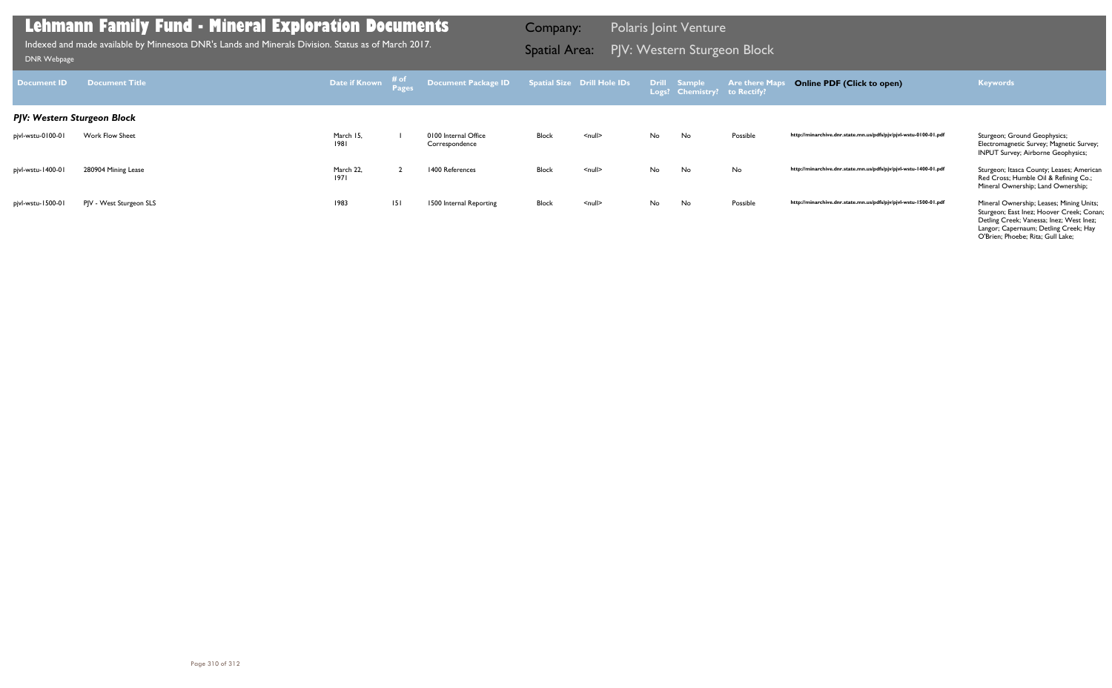| Document ID                 | Document Title          | Date if Known     | ≉ of<br>Pages | Document Package ID                    |       | <b>Spatial Size Drill Hole IDs</b> |    | Drill Sample<br>Logs? Chemistry? to Rectify? | <b>Are there Maps</b> | <b>Online PDF (Click to open)</b>                                | <b>Keywords</b>                                                                                                                                                                                                 |
|-----------------------------|-------------------------|-------------------|---------------|----------------------------------------|-------|------------------------------------|----|----------------------------------------------|-----------------------|------------------------------------------------------------------|-----------------------------------------------------------------------------------------------------------------------------------------------------------------------------------------------------------------|
| PJV: Western Sturgeon Block |                         |                   |               |                                        |       |                                    |    |                                              |                       |                                                                  |                                                                                                                                                                                                                 |
| pjvl-wstu-0100-01           | Work Flow Sheet         | March 15,<br>1981 |               | 0100 Internal Office<br>Correspondence | Block | $\leq$ null $\geq$                 | No | No                                           | Possible              | http://minarchive.dnr.state.mn.us/pdfs/pjv/pjvl-wstu-0100-01.pdf | Sturgeon; Ground Geophysics;<br>Electromagnetic Survey; Magnetic Survey;<br><b>INPUT Survey; Airborne Geophysics;</b>                                                                                           |
| pjvl-wstu-1400-01           | 280904 Mining Lease     | March 22,<br>1971 |               | 1400 References                        | Block | $\leq$ null $\geq$                 | No | No                                           | No                    | http://minarchive.dnr.state.mn.us/pdfs/pjv/pjvl-wstu-1400-01.pdf | Sturgeon; Itasca County; Leases; American<br>Red Cross; Humble Oil & Refining Co.;<br>Mineral Ownership; Land Ownership;                                                                                        |
| pjvl-wstu-1500-01           | PJV - West Sturgeon SLS | 1983              | 151           | 1500 Internal Reporting                | Block | $null$                             | No | No                                           | Possible              | http://minarchive.dnr.state.mn.us/pdfs/pjv/pjvl-wstu-1500-01.pdf | Mineral Ownership; Leases; Mining Units;<br>Sturgeon; East Inez; Hoover Creek; Conan;<br>Detling Creek; Vanessa; Inez; West Inez;<br>Langor; Capernaum; Detling Creek; Hay<br>O'Brien; Phoebe; Rita; Gull Lake; |

Indexed and made available by Minnesota DNR's Lands and Minerals Division. Status as of March 2017. **Spatial Area:** PJV: Western Sturgeon Block וndexed and made available by Minnesota DNR's Lands and Minerals Division. Sta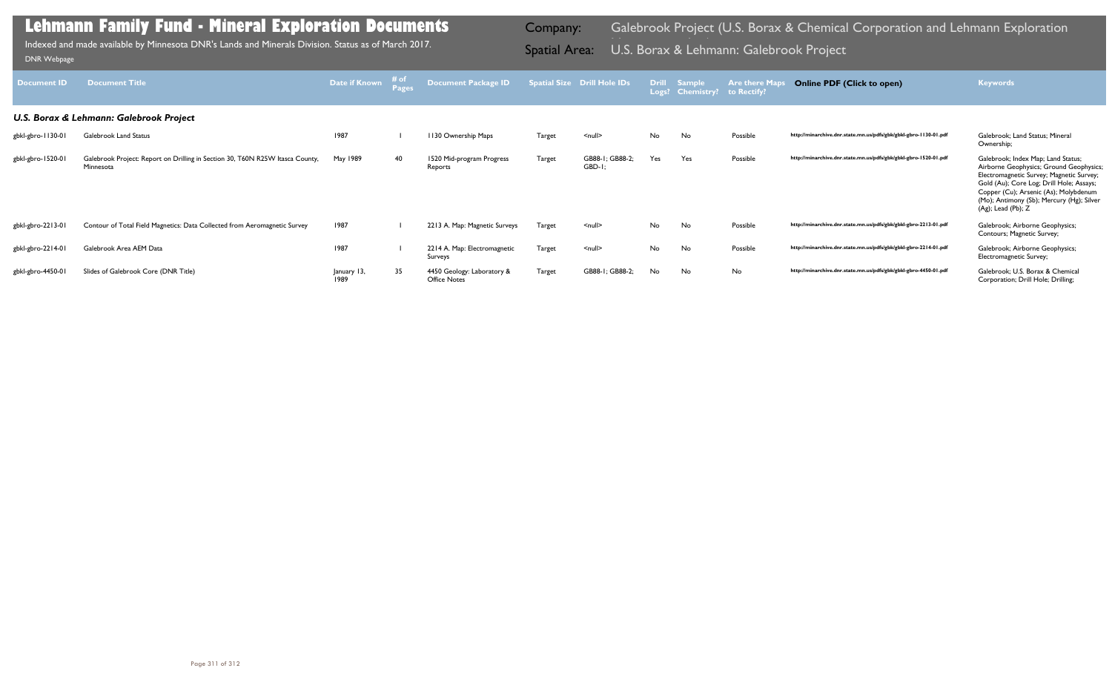| <b>Document ID</b> | <b>Document Title</b>                                                                      | <b>Date if Known</b> | # of<br>Pages | <b>Document Package ID</b>                 |               | <b>Spatial Size Drill Hole IDs</b> |     | Drill Sample<br>Logs? Chemistry? | <b>Are there Maps</b><br>to Rectify? | <b>Online PDF (Click to open)</b>                                | <b>Keywords</b>                                                                                                                                                                                                                                                                   |
|--------------------|--------------------------------------------------------------------------------------------|----------------------|---------------|--------------------------------------------|---------------|------------------------------------|-----|----------------------------------|--------------------------------------|------------------------------------------------------------------|-----------------------------------------------------------------------------------------------------------------------------------------------------------------------------------------------------------------------------------------------------------------------------------|
|                    | U.S. Borax & Lehmann: Galebrook Project                                                    |                      |               |                                            |               |                                    |     |                                  |                                      |                                                                  |                                                                                                                                                                                                                                                                                   |
| gbkl-gbro-1130-01  | <b>Galebrook Land Status</b>                                                               | 1987                 |               | 1130 Ownership Maps                        | Target        | $\leq$ null $\geq$                 | No. | No                               | Possible                             | http://minarchive.dnr.state.mn.us/pdfs/gbk/gbkl-gbro-1130-01.pdf | Galebrook: Land Status: Mineral<br>Ownership;                                                                                                                                                                                                                                     |
| gbkl-gbro-1520-01  | Galebrook Project: Report on Drilling in Section 30, T60N R25W Itasca County,<br>Minnesota | May 1989             | 40            | 1520 Mid-program Progress<br>Reports       | Target        | GB88-1; GB88-2;<br>GBD-1           | Yes | Yes                              | Possible                             | http://minarchive.dnr.state.mn.us/pdfs/gbk/gbkl-gbro-1520-01.pdf | Galebrook; Index Map; Land Status;<br>Airborne Geophysics; Ground Geophysics;<br>Electromagnetic Survey; Magnetic Survey;<br>Gold (Au); Core Log; Drill Hole; Assays;<br>Copper (Cu); Arsenic (As); Molybdenum<br>(Mo); Antimony (Sb); Mercury (Hg); Silver<br>(Ag); Lead (Pb); Z |
| gbkl-gbro-2213-01  | Contour of Total Field Magnetics: Data Collected from Aeromagnetic Survey                  | 1987                 |               | 2213 A. Map: Magnetic Surveys              | <b>Target</b> | $\leq$ null $\geq$                 | No  | No                               | Possible                             | http://minarchive.dnr.state.mn.us/pdfs/gbk/gbkl-gbro-2213-01.pdf | Galebrook; Airborne Geophysics;<br>Contours; Magnetic Survey;                                                                                                                                                                                                                     |
| gbkl-gbro-2214-01  | Galebrook Area AEM Data                                                                    | 1987                 |               | 2214 A. Map: Electromagnetic<br>Surveys    | Target        | $\leq$ null $\geq$                 | No  | No                               | Possible                             | http://minarchive.dnr.state.mn.us/pdfs/gbk/gbkl-gbro-2214-01.pdf | Galebrook; Airborne Geophysics;<br>Electromagnetic Survey;                                                                                                                                                                                                                        |
| gbkl-gbro-4450-01  | Slides of Galebrook Core (DNR Title)                                                       | January 13,<br>1989  | 35            | 4450 Geology: Laboratory &<br>Office Notes | <b>Target</b> | GB88-1<br>: GB88-2:                | No  | No                               | No                                   | http://minarchive.dnr.state.mn.us/pdfs/gbk/gbkl-gbro-4450-01.pdf | Galebrook: U.S. Borax & Chemical<br>Corporation; Drill Hole; Drilling;                                                                                                                                                                                                            |

Indexed and made available by Minnesota DNR's Lands and Minerals Division. Status as of March 2017. **Spatial Area: U.S. Borax & Lehmann: Galebrook Project** DNR Webpage Indexed and made available by Minnesota DNR's Lands and Minerals Division. Status as of March 2017.

# Company: Galebrook Project (U.S. Borax & Chemical Corporation and Lehmann Exploration